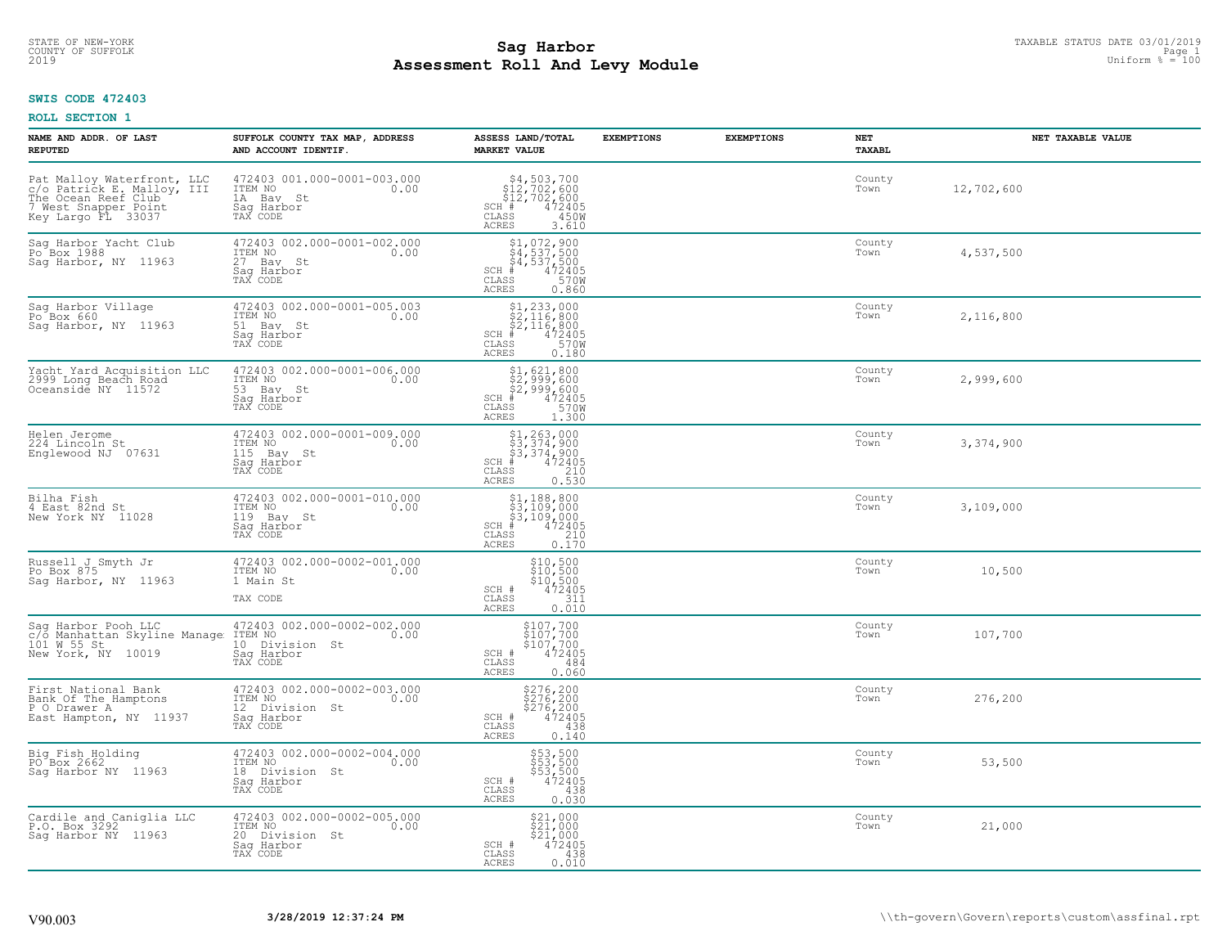# STATE OF NEW-YORK TAXABLE STATUS DATE 03/01/2019<br>COUNTY OF SUFFOLK Page 1 2 and 2010 12:00 Page 1 **Assessment Roll And Levy Module** 2019 Uniform % = 100

#### **SWIS CODE 472403**

| NAME AND ADDR. OF LAST<br><b>REPUTED</b>                                                                                      | SUFFOLK COUNTY TAX MAP, ADDRESS<br>AND ACCOUNT IDENTIF.                                    | ASSESS LAND/TOTAL<br><b>MARKET VALUE</b>                                                                                                                                               | <b>EXEMPTIONS</b> | <b>EXEMPTIONS</b> | NET<br><b>TAXABL</b> | NET TAXABLE VALUE |
|-------------------------------------------------------------------------------------------------------------------------------|--------------------------------------------------------------------------------------------|----------------------------------------------------------------------------------------------------------------------------------------------------------------------------------------|-------------------|-------------------|----------------------|-------------------|
| Pat Malloy Waterfront, LLC<br>c/o Patrick E. Malloy, III<br>The Ocean Reef Club<br>7 West Snapper Point<br>Key Largo FL 33037 | 472403 001.000-0001-003.000<br>ITEM NO<br>0.00<br>1A Bay St<br>Saq Harbor<br>TAX CODE      | $\begin{array}{c}  \  \  \, 54,503,700 \\  \  \, 512,702,600 \\  \  \, 512,702,600 \\  \  \, 1\textcolor{red}{\pm} \end{array}$<br>$SCH$ $#$<br>CLASS<br>450W<br><b>ACRES</b><br>3.610 |                   |                   | County<br>Town       | 12,702,600        |
| Sag Harbor Yacht Club<br>Po <sup>Box</sup> 1988<br>Sag Harbor, NY 11963                                                       | 472403 002.000-0001-002.000<br>TTEM NO 0.00<br>27 Bay St<br>Saq Harbor<br>TAX CODE         | $$4, 537, 500$<br>$$4, 537, 500$<br>$$4, 537, 500$<br>$472405$<br>$$5700$<br>$$5700$<br>$SCH$ #<br>CLASS<br>ACRES<br>0.860                                                             |                   |                   | County<br>Town       | 4,537,500         |
| Sag Harbor Village<br>Po Box 660<br>Saq Harbor, NY 11963                                                                      | 472403 002.000-0001-005.003<br>TTEM NO 0.00<br>51 Bay St<br>Saq Harbor<br>TAX CODE         | $$1,233,000$<br>$$2,116,800$<br>$$2,116,800$<br>$472405$<br>$$35$<br>$$700$<br>$SCH$ #<br>$\mathtt{CLASS}$<br>ACRES<br>0.180                                                           |                   |                   | County<br>Town       | 2,116,800         |
| Yacht Yard Acquisition LLC<br>2999 Long Beach Road<br>Oceanside NY 11572                                                      | 472403 002.000-0001-006.000<br>ITEM NO<br>0.00<br>53 Bay St<br>Saq Harbor<br>TAX CODE      | \$1,621,800<br>\$2,999,600<br>\$2,999,600<br>#472405<br>$SCH$ #<br>570W<br>CLASS<br>ACRES<br>1.300                                                                                     |                   |                   | County<br>Town       | 2,999,600         |
| Helen Jerome<br>224 Lincoln St<br>Englewood NJ 07631                                                                          | 472403 002.000-0001-009.000<br>ITEM NO<br>0.00<br>115 Bay St<br>Sag Harbor<br>TAX CODE     | $$1, 263, 000$<br>$$3, 374, 900$<br>$$3, 374, 900$<br>$$472405$<br>$SCH$ #<br>$\mathtt{CLASS}$<br>210<br><b>ACRES</b><br>0.530                                                         |                   |                   | County<br>Town       | 3,374,900         |
| Bilha Fish<br>4 East 82nd St<br>New York NY 11028                                                                             | 472403 002.000-0001-010.000<br>ITEM NO<br>0.00<br>119 Bay St<br>Saq Harbor<br>TAX CODE     | $$1, 188, 800$<br>$$3, 109, 000$<br>$$3, 109, 000$<br>$$4, 472405$<br>$SCH$ #<br>CLASS<br>$\frac{210}{0.170}$<br>ACRES                                                                 |                   |                   | County<br>Town       | 3,109,000         |
| Russell J Smyth Jr<br>Po Box 875<br>Sag Harbor, NY 11963                                                                      | 472403 002.000-0002-001.000<br>ITEM NO<br>0.00<br>1 Main St<br>TAX CODE                    | \$10,500<br>$\frac{10}{10}$ , 500<br>\$10, 500<br>472405<br>SCH #<br>311<br>CLASS<br>0.010<br>ACRES                                                                                    |                   |                   | County<br>Town       | 10,500            |
| Saq Harbor Pooh LLC<br>c/o Manhattan Skyline Manage ITEM NO<br>101 W 55 St<br>New York, NY 10019                              | 472403 002.000-0002-002.000<br>0.00<br>10 Division St<br>Saq Harbor<br>TAX CODE            | \$107,700<br>\$107,700<br>\$107,700<br>472405<br>SCH #<br>CLASS<br>484<br>0.060<br>ACRES                                                                                               |                   |                   | County<br>Town       | 107,700           |
| First National Bank<br>Bank Of The Hamptons<br>P O Drawer A<br>East Hampton, NY 11937                                         | 472403 002.000-0002-003.000<br>ITEM NO<br>0.00<br>12 Division St<br>Saq Harbor<br>TAX CODE | \$276,200<br>\$276,200<br>\$276,200<br>\$276,200<br>SCH #<br>CLASS<br>438<br>0.140<br><b>ACRES</b>                                                                                     |                   |                   | County<br>Town       | 276,200           |
| Big Fish Holding<br>PO Box 2662<br>Saq Harbor NY 11963                                                                        | 472403 002.000-0002-004.000<br>ITEM NO<br>0.00<br>18 Division St<br>Sag Harbor<br>TAX CODE | \$53,500<br>\$53,500<br>\$53,500<br>\$472405<br>SCH #<br>CLASS<br>438<br><b>ACRES</b><br>0.030                                                                                         |                   |                   | County<br>Town       | 53,500            |
| Cardile and Caniglia LLC<br>P.O. Box 3292<br>Saq Harbor NY 11963                                                              | 472403 002.000-0002-005.000<br>ITEM NO<br>0.00<br>20 Division St<br>Saq Harbor<br>TAX CODE | \$21,000<br>\$21,000<br>\$21,000<br>SCH #<br>472405<br>CLASS<br>438<br>ACRES<br>0.010                                                                                                  |                   |                   | County<br>Town       | 21,000            |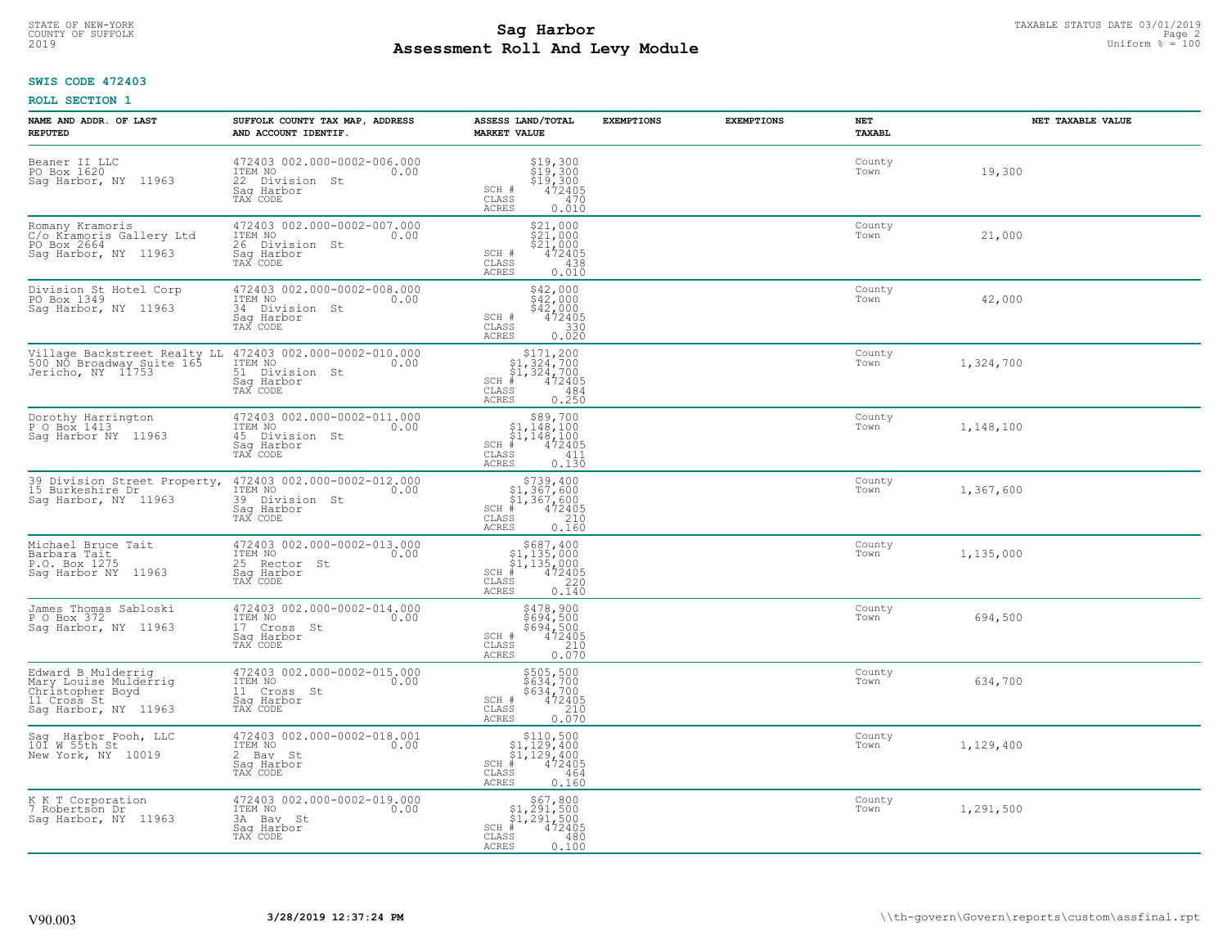# **SWIS CODE 472403**

| NAME AND ADDR. OF LAST<br><b>REPUTED</b>                                                               | SUFFOLK COUNTY TAX MAP, ADDRESS<br>AND ACCOUNT IDENTIF.                                    | ASSESS LAND/TOTAL<br><b>MARKET VALUE</b>                                                                                             | <b>EXEMPTIONS</b> | <b>EXEMPTIONS</b> | NET<br>TAXABL  | NET TAXABLE VALUE |
|--------------------------------------------------------------------------------------------------------|--------------------------------------------------------------------------------------------|--------------------------------------------------------------------------------------------------------------------------------------|-------------------|-------------------|----------------|-------------------|
| Beaner II LLC<br>PO Box 1620<br>Sag Harbor, NY 11963                                                   | 472403 002.000-0002-006.000<br>ITEM NO<br>0.00<br>22 Division St<br>Saq Harbor<br>TAX CODE | $$19,300$<br>$$19,300$<br>$$19,300$<br>$$19,300$<br>$472405$<br>SCH #<br>CLASS<br>470<br><b>ACRES</b><br>0.010                       |                   |                   | County<br>Town | 19,300            |
| Romany Kramoris<br>C/o Kramoris Gallery Ltd<br>PO Box 2664<br>Sag Harbor, NY 11963                     | 472403 002.000-0002-007.000<br>ITEM NO<br>0.00<br>26 Division St<br>Saq Harbor<br>TAX CODE | \$21,000<br>\$21,000<br>\$21,000<br>SCH #<br>472405<br>CLASS<br>438<br>0.010<br>ACRES                                                |                   |                   | County<br>Town | 21,000            |
| Division St Hotel Corp<br>PO Box 1349<br>Sag Harbor, NY 11963                                          | 472403 002.000-0002-008.000<br>ITEM NO<br>0.00<br>34 Division St<br>Sag Harbor<br>TAX CODE | $$42,000$<br>$$42,000$<br>$$42,000$<br>SCH #<br>472405<br>$\mathtt{CLASS}$<br>330<br>0.020<br><b>ACRES</b>                           |                   |                   | County<br>Town | 42,000            |
| Village Backstreet Realty LL<br>500 NO Broadway Suite 165<br>Jericho, NY 11753                         | 472403 002.000-0002-010.000<br>ITEM NO<br>0.00<br>51 Division St<br>Saq Harbor<br>TAX CODE | $$171,200$<br>$$1,324,700$<br>$$1,324,700$<br>$$472405$<br>$SCH$ #<br>CLASS<br>484<br>ACRES<br>0.250                                 |                   |                   | County<br>Town | 1,324,700         |
| Dorothy Harrington<br>P O Box 1413<br>Sag Harbor NY 11963                                              | 472403 002.000-0002-011.000<br>ITEM NO<br>0.00<br>45 Division St<br>Saq Harbor<br>TAX CODE | $\begin{array}{c} $89,700 $1,148,100 $1,148,100 # 472405 \end{array}$<br>$SCH$ #<br>CLASS<br>411<br>ACRES<br>0.130                   |                   |                   | County<br>Town | 1,148,100         |
| 39 Division Street Property,<br>15 Burkeshire Dr<br>Sag Harbor, NY 11963                               | 472403 002.000-0002-012.000<br>ITEM NO<br>0.00<br>39 Division St<br>Sag Harbor<br>TAX CODE | $$739,400$<br>$$1,367,600$<br>$$1,367,600$<br>$*1,367,600$<br>$*1,472405$<br>SCH #<br>210<br>CLASS<br>0.160<br><b>ACRES</b>          |                   |                   | County<br>Town | 1,367,600         |
| Michael Bruce Tait<br>Barbara Tait<br>P.O. Box 1275<br>Sag Harbor NY 11963                             | 472403 002.000-0002-013.000<br>ITEM NO<br>0.00<br>25 Rector St<br>Saq Harbor<br>TAX CODE   | \$687,400<br>$\begin{array}{l} 51,135,000 \\ 51,135,000 \\ * 472405 \end{array}$<br>$SCH$ #<br>220<br>CLASS<br>0.140<br><b>ACRES</b> |                   |                   | County<br>Town | 1,135,000         |
| James Thomas Sabloski<br>P O Box 372<br>Sag Harbor, NY 11963                                           | 472403 002.000-0002-014.000<br>ITEM NO<br>0.00<br>17 Cross St<br>Saq Harbor<br>TAX CODE    | \$478,900<br>\$694,500<br>\$694,500<br>472405<br>SCH #<br>CLASS<br>210<br>0.070<br><b>ACRES</b>                                      |                   |                   | County<br>Town | 694,500           |
| Edward B Mulderrig<br>Mary Louise Mulderrig<br>Christopher Boyd<br>11 Cross St<br>Sag Harbor, NY 11963 | 472403 002.000-0002-015.000<br>TTEM NO 0.00<br>11 Cross St<br>Saq Harbor<br>TAX CODE       | \$505,500<br>\$634,700<br>\$634,700<br>472405<br>SCH #<br>CLASS<br>210<br>ACRES<br>0.070                                             |                   |                   | County<br>Town | 634,700           |
| Sag Harbor Pooh, LLC<br>101 W 55th St<br>New York, NY 10019                                            | 472403 002.000-0002-018.001<br>ITEM NO<br>0.00<br>2 Bay St<br>Saq Harbor<br>TAX CODE       | $\begin{array}{c} $110,500\n$1,129,400\n$1,129,400\n#1,472405 \end{array}$<br>$SCH$ #<br>CLASS<br>464<br><b>ACRES</b><br>0.160       |                   |                   | County<br>Town | 1,129,400         |
| K K T Corporation<br>7 Robertson Dr<br>Saq Harbor, NY 11963                                            | 472403 002.000-0002-019.000<br>ITEM NO<br>0.00<br>3A Bay St<br>Sag Harbor<br>TAX CODE      | $$67,800$<br>$$1,291,500$<br>$$1,291,500$<br>$SCH$ #<br>472405<br>CLASS<br>480<br><b>ACRES</b><br>0.100                              |                   |                   | County<br>Town | 1,291,500         |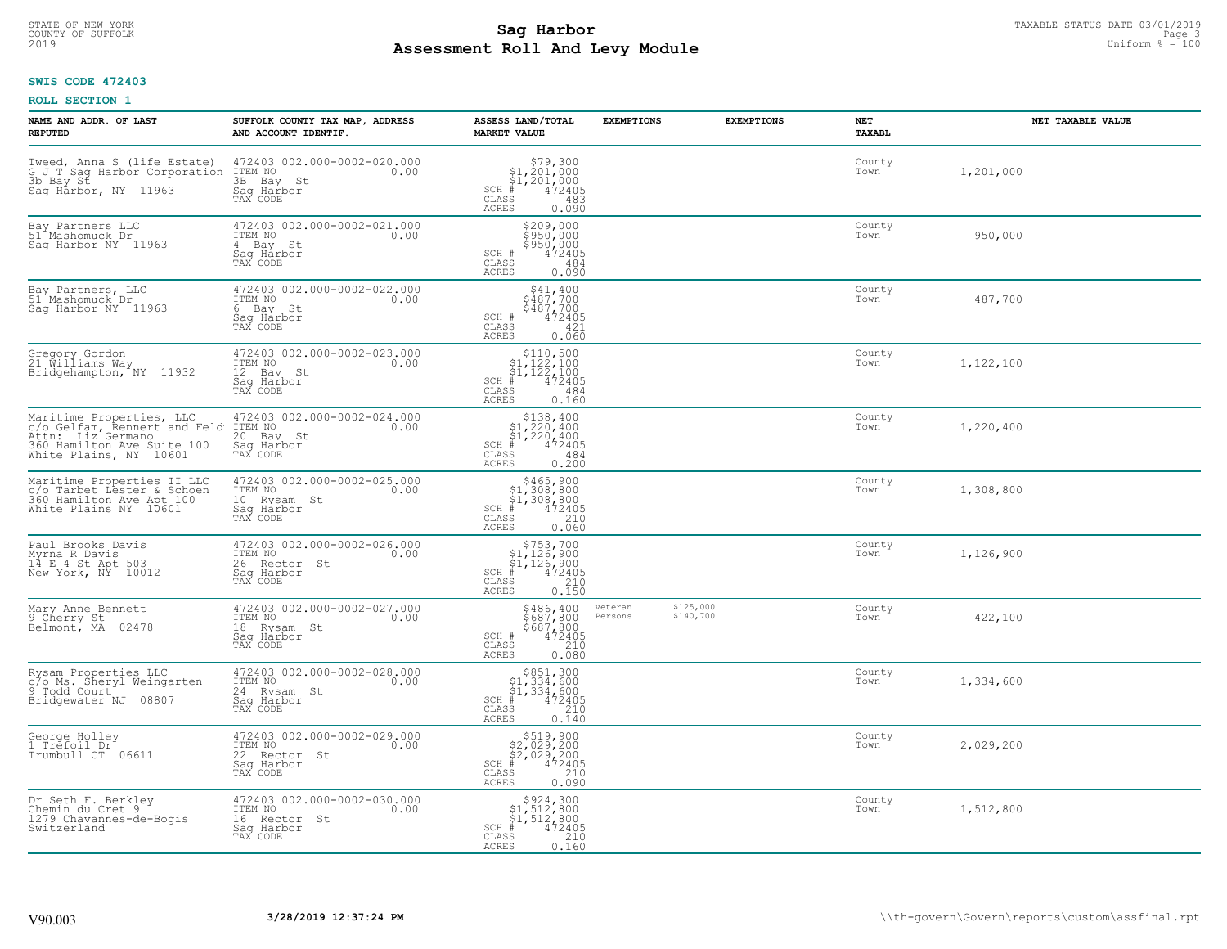# **SWIS CODE 472403**

| NAME AND ADDR. OF LAST<br><b>REPUTED</b>                                                                                              | SUFFOLK COUNTY TAX MAP, ADDRESS<br>AND ACCOUNT IDENTIF.                                  | ASSESS LAND/TOTAL<br><b>MARKET VALUE</b>                                                                                                      | <b>EXEMPTIONS</b>  | <b>EXEMPTIONS</b>      | NET<br><b>TAXABL</b> | NET TAXABLE VALUE |
|---------------------------------------------------------------------------------------------------------------------------------------|------------------------------------------------------------------------------------------|-----------------------------------------------------------------------------------------------------------------------------------------------|--------------------|------------------------|----------------------|-------------------|
| Tweed, Anna S (life Estate)<br>G J_T Sag Harbor Corporation<br>3b Bay St<br>Saq Harbor, NY 11963                                      | 472403 002.000-0002-020.000<br>ITEM NO<br>0.00<br>3B Bay St<br>Saq Harbor<br>TAX CODE    | $$79,300$<br>$$1,201,000$<br>$$1,201,000$<br>$*$ 472405<br>$SCH$ #<br>CLASS<br>483<br><b>ACRES</b><br>0.090                                   |                    |                        | County<br>Town       | 1,201,000         |
| Bay Partners LLC<br>51 Mashomuck Dr<br>Sag Harbor NY 11963                                                                            | 472403 002.000-0002-021.000<br>ITEM NO<br>0.00<br>4 Bay St<br>Sag Harbor<br>TAX CODE     | \$209,000<br>\$950,000<br>\$950,000<br>SCH #<br>472405<br>CLASS<br>484<br>0.090<br>ACRES                                                      |                    |                        | County<br>Town       | 950,000           |
| Bay Partners, LLC<br>51 Mashomuck Dr<br>Sag Harbor NY 11963                                                                           | 472403 002.000-0002-022.000<br>ITEM NO<br>0.00<br>6 Bay St<br>Saq Harbor<br>TAX CODE     | $\begin{array}{c} $41,400 \\ $487,700 \\ $487,700 \\ 472405 \end{array}$<br>SCH #<br>CLASS<br>421<br><b>ACRES</b><br>0.060                    |                    |                        | County<br>Town       | 487,700           |
| Gregory Gordon<br>21 Williams Way<br>Bridgehampton, NY 11932                                                                          | 472403 002.000-0002-023.000<br>TTEM NO 0.00<br>12 Bay St<br>Saq Harbor<br>TAX CODE       | $\begin{array}{c} $110,500 $1,122,100 $1,122,100 # 472405 \end{array}$<br>$SCH$ #<br>CLASS<br>484<br>ACRES<br>0.160                           |                    |                        | County<br>Town       | 1,122,100         |
| Maritime Properties, LLC<br>c/o Gelfam, Rennert and Feld<br>Attn: Liz Germano<br>360 Hamilton Ave Suite 100<br>White Plains, NY 10601 | 472403 002.000-0002-024.000<br>ITEM NO<br>0.00<br>20 Bay St<br>Saq Harbor<br>TAX CODE    | $$138,400$<br>$$1,220,400$<br>$$1,220,400$<br>$*1,220,400$<br>$SCH$ #<br>CLASS<br>484<br>0.200<br>ACRES                                       |                    |                        | County<br>Town       | 1,220,400         |
| Maritime Properties II LLC<br>communication is the star of the schoen<br>360 Hamilton Ave Apt 100<br>White Plains NY 10601            | 472403 002.000-0002-025.000<br>ITEM NO<br>0.00<br>10 Rysam St<br>Saq Harbor<br>TAX CODE  | $$465,900$<br>$$1,308,800$<br>$$1,308,800$<br>$*$<br>$472405$<br>$*$<br>$210$<br>SCH #<br>CLASS<br>0.060<br>ACRES                             |                    |                        | County<br>Town       | 1,308,800         |
| Paul Brooks Davis<br>Myrna R Davis<br>14 E 4 St Apt 503<br>New York, NY 10012                                                         | 472403 002.000-0002-026.000<br>ITEM NO<br>0.00<br>26 Rector St<br>Saq Harbor<br>TAX CODE | $$753,700$<br>$$1,126,900$<br>$$1,126,900$<br>$*1,126,900$<br>$SCH$ #<br>CLASS<br>$\begin{array}{c} 210 \\ 0.150 \end{array}$<br><b>ACRES</b> |                    |                        | County<br>Town       | 1,126,900         |
| Mary Anne Bennett<br>9 Cherry St<br>Belmont, MA 02478                                                                                 | 472403 002.000-0002-027.000<br>TTEM NO 0.00<br>18 Rysam St<br>Saq Harbor<br>TAX CODE     | \$486,400<br>\$687,800<br>\$687,800<br>472405<br>SCH #<br>CLASS<br>210<br>0.080<br>ACRES                                                      | veteran<br>Persons | \$125,000<br>\$140,700 | County<br>Town       | 422,100           |
| Rysam Properties LLC<br>c/o Ms. Sheryl Weingarten<br>9 Todd Court<br>Bridgewater NJ 08807                                             | 472403 002.000-0002-028.000<br>TTEM NO 0.00<br>24 Rysam St<br>Saq Harbor<br>TAX CODE     | $$851,300$<br>$$1,334,600$<br>$$1,334,600$<br>$*1,334,600$<br>$*1,472405$<br>$SCH$ #<br>CLASS<br>210<br>ACRES<br>0.140                        |                    |                        | County<br>Town       | 1,334,600         |
| George Holley<br>1 Trefoil Dr<br>Trumbull CT 06611                                                                                    | 472403 002.000-0002-029.000<br>ITEM NO<br>0.00<br>22 Rector St<br>Sag Harbor<br>TAX CODE | $$519,900$<br>$$2,029,200$<br>$$2,029,200$<br>$$472405$<br>$SCH$ #<br>CLASS<br>210<br><b>ACRES</b><br>0.090                                   |                    |                        | County<br>Town       | 2,029,200         |
| Dr Seth F. Berkley<br>Chemin du Cret 9<br>1279 Chavannes-de-Bogis<br>Switzerland                                                      | 472403 002.000-0002-030.000<br>ITEM NO<br>0.00<br>16 Rector St<br>Sag Harbor<br>TAX CODE | $\begin{array}{c} $924,300\\ $1,512,800\\ $1,512,800 \end{array}$<br>$SCH$ #<br>472405<br>CLASS<br>210<br>ACRES<br>0.160                      |                    |                        | County<br>Town       | 1,512,800         |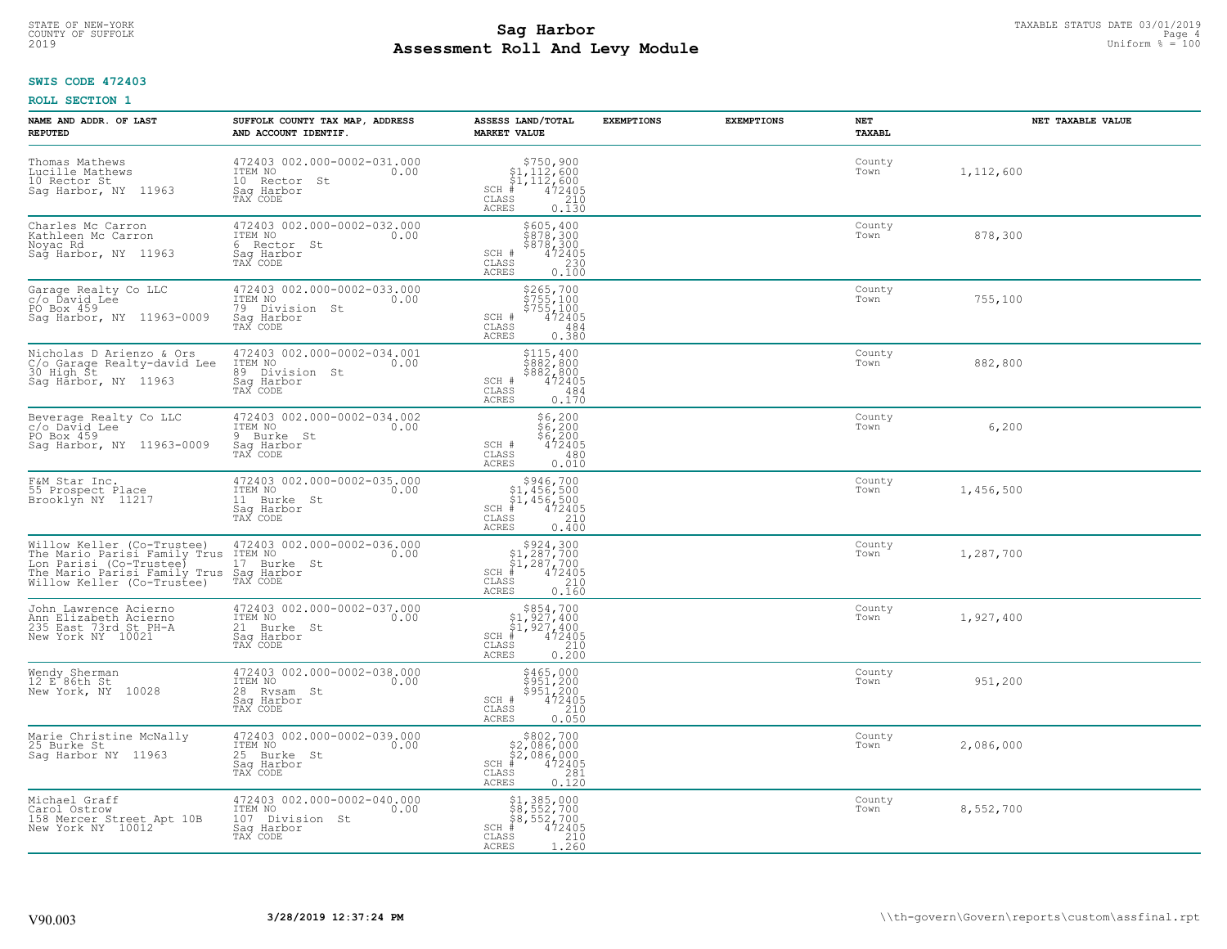# **SWIS CODE 472403**

| NAME AND ADDR. OF LAST<br><b>REPUTED</b>                                                                                                                                                                   | SUFFOLK COUNTY TAX MAP, ADDRESS<br>AND ACCOUNT IDENTIF.                                     | ASSESS LAND/TOTAL<br><b>MARKET VALUE</b>                                                                                                | <b>EXEMPTIONS</b> | <b>EXEMPTIONS</b> | NET<br><b>TAXABL</b> | NET TAXABLE VALUE |
|------------------------------------------------------------------------------------------------------------------------------------------------------------------------------------------------------------|---------------------------------------------------------------------------------------------|-----------------------------------------------------------------------------------------------------------------------------------------|-------------------|-------------------|----------------------|-------------------|
| Thomas Mathews<br>Lucille Mathews<br>10 Rector St<br>Sag Harbor, NY 11963                                                                                                                                  | 472403 002.000-0002-031.000<br>ITEM NO<br>0.00<br>10 Rector St<br>Saq Harbor<br>TAX CODE    | $$750,900$<br>$$1,112,600$<br>$$1,112,600$<br>$472405$<br>$$210$<br>$SCH$ #<br>CLASS<br><b>ACRES</b><br>0.130                           |                   |                   | County<br>Town       | 1,112,600         |
| Charles Mc Carron<br>Kathleen Mc Carron<br>Noyac Rd<br>Sag Harbor, NY 11963                                                                                                                                | 472403 002.000-0002-032.000<br>ITEM NO<br>0.00<br>6 Rector St<br>Saq Harbor<br>TAX CODE     | \$605,400<br>\$878,300<br>\$878,300<br>SCH #<br>472405<br>CLASS<br>230<br>0.100<br><b>ACRES</b>                                         |                   |                   | County<br>Town       | 878,300           |
| Garage Realty Co LLC<br>c/o Ďavid Lee<br>PO Box 459<br>Saq Harbor, NY 11963-0009                                                                                                                           | 472403 002.000-0002-033.000<br>ITEM NO<br>0.00<br>79 Division St<br>Saq Harbor<br>TAX CODE  | \$265,700<br>$\frac{5755}{5755}$ , 100<br>$\frac{5755}{472405}$<br>SCH #<br>CLASS<br>484<br>0.380<br>ACRES                              |                   |                   | County<br>Town       | 755,100           |
| Nicholas D Arienzo & Ors<br>C/o Garage Realty-david Lee<br>30 High St<br>Sag Harbor, NY 11963                                                                                                              | 472403 002.000-0002-034.001<br>ITEM NO<br>0.00<br>89 Division St<br>Saq Harbor<br>TAX CODE  | \$115,400<br>\$882,800<br>\$882,800<br>472405<br>SCH #<br>CLASS<br>484<br><b>ACRES</b><br>0.170                                         |                   |                   | County<br>Town       | 882,800           |
| Beverage Realty Co LLC<br>c/o David Lee<br>PO Box 459<br>Sag Harbor, NY 11963-0009                                                                                                                         | 472403 002.000-0002-034.002<br>ITEM NO<br>0.00<br>9 Burke St<br>Saq Harbor<br>TAX CODE      | \$6,200<br>$\frac{56}{6}$ , 200<br>\$6, 200<br>472405<br>SCH #<br>$\mathtt{CLASS}$<br>480<br>0.010<br><b>ACRES</b>                      |                   |                   | County<br>Town       | 6,200             |
| F&M Star Inc.<br>55 Prospect Place<br>Brooklyn NY 11217                                                                                                                                                    | 472403 002.000-0002-035.000<br>ITEM NO<br>0.00<br>11 Burke St<br>Sag Harbor<br>TAX CODE     | $$946,700$<br>$$1,456,500$<br>$$1,456,500$<br>$472405$<br>$$210$<br>$SCH$ #<br>CLASS<br>0.400<br><b>ACRES</b>                           |                   |                   | County<br>Town       | 1,456,500         |
| Willow Keller (Co-Trustee) 472403 002.000<br>The Mario Parisi Family Trus ITEM NO<br>Lon Parisi (Co-Trustee) 17 Burke St<br>The Mario Parisi Family Trus Sag Harbor<br>Willow Keller (Co-Trustee) TAX CODE | 472403 002.000-0002-036.000<br>0.00                                                         | $$924,300\n$1,287,700\n$1,287,700\n# 472405$<br>$SCH$ #<br>CLASS<br>210<br>0.160<br><b>ACRES</b>                                        |                   |                   | County<br>Town       | 1,287,700         |
| John Lawrence Acierno<br>Ann Elizabeth Acierno<br>235 East 73rd St PH-A<br>New York NY 10021                                                                                                               | 472403 002.000-0002-037.000<br>TTEM NO 0.00<br>21 Burke St<br>Saq Harbor<br>TAX CODE        | $\begin{array}{c} $854,700\n$1,927,400\n$1,927,400\n#1,927,400\n#1,92405 \end{array}$<br>SCH #<br>CLASS<br>210<br><b>ACRES</b><br>0.200 |                   |                   | County<br>Town       | 1,927,400         |
| Wendy Sherman<br>12 E 86th St<br>New York, NY 10028                                                                                                                                                        | 472403 002.000-0002-038.000<br>TTEM NO 0.00<br>28 Rysam St<br>Saq Harbor<br>TAX CODE        | \$465,000<br>\$951,200<br>\$951,200<br>SCH #<br>472405<br>CLASS<br>210<br><b>ACRES</b><br>0.050                                         |                   |                   | County<br>Town       | 951,200           |
| Marie Christine McNally<br>25 Burke St<br>Sag Harbor NY 11963                                                                                                                                              | 472403 002.000-0002-039.000<br>ITEM NO<br>0.00<br>25 Burke St<br>Sag Harbor<br>TAX CODE     | $$802,700\n$2,086,000\n$2,086,000\n# 472405\n85\n281\n281$<br>$SCH$ #<br>CLASS<br><b>ACRES</b><br>0.120                                 |                   |                   | County<br>Town       | 2,086,000         |
| Michael Graff<br>Carol Ostrow<br>158 Mercer Street Apt 10B<br>New York NY 10012                                                                                                                            | 472403 002.000-0002-040.000<br>ITEM NO<br>107 Division St<br>0.00<br>Sag Harbor<br>TAX CODE | \$1,385,000<br>\$8,552,700<br>\$8,552,700<br>$SCH$ #<br>472405<br>CLASS<br>$\frac{210}{1.260}$<br><b>ACRES</b>                          |                   |                   | County<br>Town       | 8,552,700         |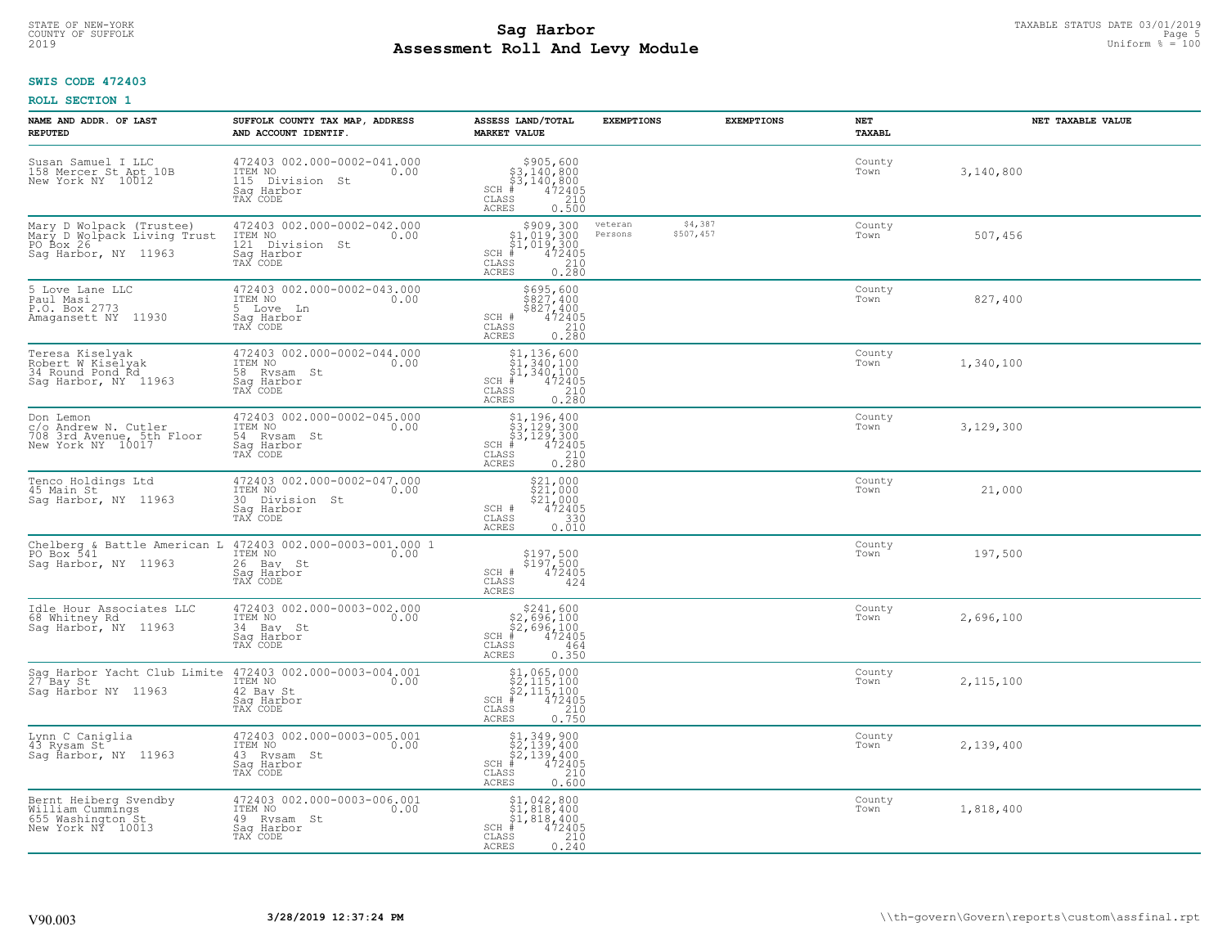# **SWIS CODE 472403**

| NAME AND ADDR. OF LAST<br><b>REPUTED</b>                                                     | SUFFOLK COUNTY TAX MAP, ADDRESS<br>AND ACCOUNT IDENTIF.                                                              | ASSESS LAND/TOTAL<br><b>MARKET VALUE</b>                                                                                                                                                                                                                                                        | <b>EXEMPTIONS</b>  | <b>EXEMPTIONS</b>    | NET<br><b>TAXABL</b> | NET TAXABLE VALUE |
|----------------------------------------------------------------------------------------------|----------------------------------------------------------------------------------------------------------------------|-------------------------------------------------------------------------------------------------------------------------------------------------------------------------------------------------------------------------------------------------------------------------------------------------|--------------------|----------------------|----------------------|-------------------|
| Susan Samuel I LLC<br>158 Mercer St Apt 10B<br>New York NY 10012                             | 472403 002.000-0002-041.000<br>ITEM NO<br>0.00<br>115 Division St<br>Saq Harbor<br>TAX CODE                          | $\begin{array}{r} 5905, 600 \\ 53, 140, 800 \\ 53, 140, 800 \\ \pm 472405 \\ \text{ss} \\ 210 \end{array}$<br>$SCH$ #<br>CLASS<br>ACRES<br>0.500                                                                                                                                                |                    |                      | County<br>Town       | 3,140,800         |
| Mary D Wolpack (Trustee)<br>Mary D Wolpack Living Trust<br>PO Box 26<br>Saq Harbor, NY 11963 | 472403 002.000-0002-042.000<br>ITEM NO<br>121 Division St<br>0.00<br>Saq Harbor<br>TAX CODE                          | $\begin{array}{r} \texttt{\$909,300}\ \\ \texttt{\$1,019,300}\ \\ \texttt{\$1,019,300}\ \\ \texttt{\$1,019,300}\ \\ \texttt{\$1,019,2405}\ \\ \texttt{\$10}\ \\ \texttt{\$10}\ \\ \texttt{\$10}\ \\ \texttt{\$10}\ \\ \texttt{\$10}\ \\ \texttt{\$210}\end{array}$<br>$SCH$ #<br>CLASS<br>ACRES | veteran<br>Persons | \$4,387<br>\$507,457 | County<br>Town       | 507,456           |
| 5 Love Lane LLC<br>Paul Masi<br>P.O. Box 2773<br>Amagansett NY 11930                         | 472403 002.000-0002-043.000<br>ITEM NO<br>0.00<br>5 Love Ln<br>Saq Harbor<br>TAX CODE                                | \$695,600<br>$$827,400$<br>$$827,400$<br>SCH #<br>472405<br>CLASS<br>$\frac{210}{0.280}$<br><b>ACRES</b>                                                                                                                                                                                        |                    |                      | County<br>Town       | 827,400           |
| Teresa Kiselyak<br>Robert W Kiselyak<br>34 Round Pond Rd<br>Sag Harbor, NY 11963             | 472403 002.000-0002-044.000<br>0.00 0.00<br>58 Rysam St<br>Saq Harbor<br>TAX CODE                                    | $$1, 136, 600$<br>$$1, 340, 100$<br>$$1, 340, 100$<br>$*$<br>$*$<br>$*$<br>$*$<br>$SCH$ #<br>CLASS<br>210<br>0.280<br>ACRES                                                                                                                                                                     |                    |                      | County<br>Town       | 1,340,100         |
| Don Lemon<br>c/o Andrew N. Cutler<br>708 3rd Avenue, 5th Floor<br>New York NY 10017          | 472403 002.000-0002-045.000<br>ITEM NO<br>0.00<br>54 Rysam St<br>Saq Harbor<br>TAX CODE                              | $$3,129,300$<br>$$3,129,300$<br>$$3,129,300$<br>$472405$<br>$$210$<br>$SCH$ #<br>CLASS<br>ACRES<br>0.280                                                                                                                                                                                        |                    |                      | County<br>Town       | 3,129,300         |
| Tenco Holdings Ltd<br>45 Main St<br>Sag Harbor, NY 11963                                     | 472403 002.000-0002-047.000<br>ITEM NO<br>0.00<br>30 Division St<br>Sag Harbor<br>TAX CODE                           | $$21,000$<br>$$21,000$<br>$$21,000$<br>$$2472405$<br>SCH #<br>330<br>CLASS<br>0.010<br><b>ACRES</b>                                                                                                                                                                                             |                    |                      | County<br>Town       | 21,000            |
| PO Box 541<br>Saq Harbor, NY 11963                                                           | Chelberg & Battle American L 472403 002.000-0003-001.000 1<br>ITEM NO<br>0.00<br>26 Bay St<br>Saq Harbor<br>TAX CODE | \$197,500<br>\$197,500<br>472405<br>SCH #<br>CLASS<br>424<br><b>ACRES</b>                                                                                                                                                                                                                       |                    |                      | County<br>Town       | 197,500           |
| Idle Hour Associates LLC<br>68 Whitney Rd<br>Saq Harbor, NY 11963                            | 472403 002.000-0003-002.000<br>TTEM NO 0.00<br>34 Bay St<br>Saq Harbor<br>TAX CODE                                   | $$241,600$<br>$$2,696,100$<br>$$2,696,100$<br>$*$ 472405<br>$SCH$ #<br>CLASS<br>464<br>ACRES<br>0.350                                                                                                                                                                                           |                    |                      | County<br>Town       | 2,696,100         |
| Sag Harbor Yacht Club Limite<br>27 Bay St<br>Sag Harbor NY 11963                             | 472403 002.000-0003-004.001<br>ITEM NO 0.00<br>42 Bay St<br>Saq Harbor<br>TAX CODE                                   | $$2,115,100$<br>$$2,115,100$<br>$$2,115,100$<br>$472405$<br>$$2,20$<br>$SCH$ #<br>CLASS<br>0.750<br>ACRES                                                                                                                                                                                       |                    |                      | County<br>Town       | 2,115,100         |
| Lynn C Caniglia<br>43 Rysam St<br>Saq Harbor, NY 11963                                       | 472403 002.000-0003-005.001<br>ITEM NO<br>0.00<br>43 Rysam St<br>Saq Harbor<br>TAX CODE                              | $$2, 139, 900$<br>$$2, 139, 400$<br>$$2, 139, 400$<br>$$472405$<br>$SCH$ #<br>CLASS<br>210<br><b>ACRES</b><br>0.600                                                                                                                                                                             |                    |                      | County<br>Town       | 2,139,400         |
| Bernt Heiberg Svendby<br>William Cummings<br>655 Washington St<br>New York NY 10013          | 472403 002.000-0003-006.001<br>1TEM NO 0.00<br>49 Rysam St<br>Saq Harbor<br>TAX CODE                                 | $$1, 042, 800$<br>$$1, 818, 400$<br>$$1, 818, 400$<br>$$1, 818, 400$<br>$SCH$ #<br>472405<br>CLASS<br>$\frac{210}{0.240}$<br>ACRES                                                                                                                                                              |                    |                      | County<br>Town       | 1,818,400         |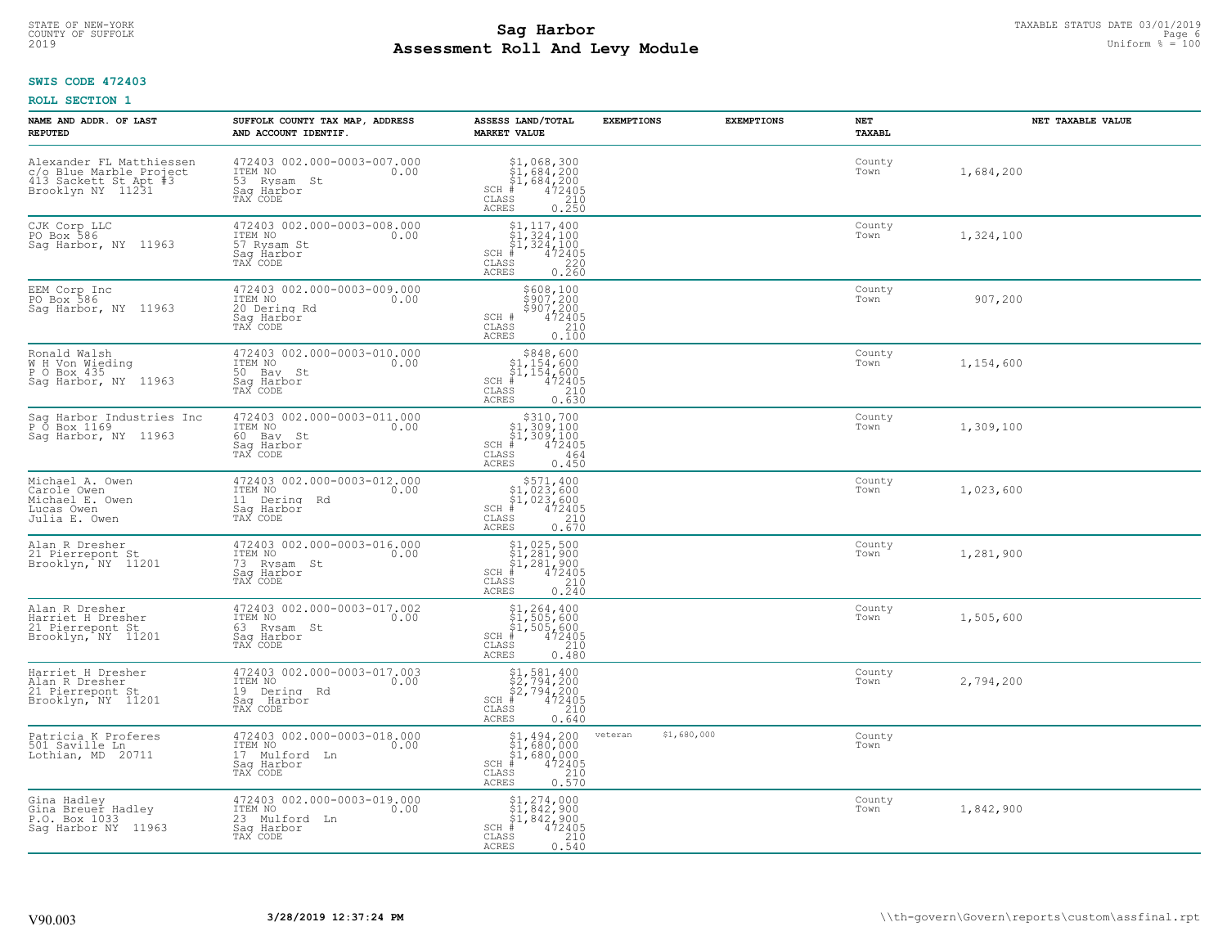# **SWIS CODE 472403**

| NAME AND ADDR. OF LAST<br><b>REPUTED</b>                                                          | SUFFOLK COUNTY TAX MAP, ADDRESS<br>AND ACCOUNT IDENTIF.                                        | ASSESS LAND/TOTAL<br><b>MARKET VALUE</b>                                                                                                                                     | <b>EXEMPTIONS</b>      | <b>EXEMPTIONS</b> | NET<br><b>TAXABL</b> | NET TAXABLE VALUE |
|---------------------------------------------------------------------------------------------------|------------------------------------------------------------------------------------------------|------------------------------------------------------------------------------------------------------------------------------------------------------------------------------|------------------------|-------------------|----------------------|-------------------|
| Alexander FL Matthiessen<br>c/o Blue Marble Project<br>413 Sackett St Apt #3<br>Brooklyn NY 11231 | 472403 002.000-0003-007.000<br>ITEM NO<br>0.00<br>53 Rysam St<br>Sag Harbor<br>TAX CODE        | $$1,068,300$<br>$$1,684,200$<br>$$1,684,200$<br>$$472405$<br>$SCH$ #<br>CLASS<br>210<br><b>ACRES</b><br>0.250                                                                |                        |                   | County<br>Town       | 1,684,200         |
| CJK Corp LLC<br>PO Box 586<br>Sag Harbor, NY 11963                                                | 472403 002.000-0003-008.000<br>ITEM NO<br>0.00<br>57 Rysam St<br>Sag Harbor<br>TAX CODE        | $\begin{array}{l} 51,117,400 \\ 51,324,100 \\ 41,324,100 \\ \frac{4}{1,2405} \end{array}$<br>$SCH$ #<br>CLASS<br>$\begin{array}{c} 220 \\ 0.260 \end{array}$<br><b>ACRES</b> |                        |                   | County<br>Town       | 1,324,100         |
| EEM Corp Inc<br>PO Box 586<br>Sag Harbor, NY 11963                                                | 472403 002.000-0003-009.000<br>ITEM NO<br>0.00<br>20 Dering Rd<br>Saq Harbor<br>TAX CODE       | \$608,100<br>\$907,200<br>\$907,200<br>472405<br>SCH #<br>CLASS<br>210<br><b>ACRES</b><br>0.100                                                                              |                        |                   | County<br>Town       | 907,200           |
| Ronald Walsh<br>W H Von Wieding<br>P O Box 435<br>Sag Harbor, NY 11963                            | 472403 002.000-0003-010.000<br>ITEM NO<br>0.00<br>50 Bay St<br>Saq Harbor<br>TAX CODE          | $$348,600$ $$1,154,600$ $$1,154,600$ $$1,154,600$<br>$SCH$ #<br>472405<br>CLASS<br>210<br>ACRES<br>0.630                                                                     |                        |                   | County<br>Town       | 1,154,600         |
| Sag Harbor Industries Inc<br>P 0 Box 1169<br>Sag Harbor, NY 11963                                 | 472403 002.000-0003-011.000<br>ITEM NO<br>0.00<br>60 Bay St<br>Saq Harbor<br>TAX CODE          | \$310,700<br>$\begin{array}{l} 1,309,100 \\ 51,309,100 \\ \pm 472405 \end{array}$<br>$SCH$ #<br>CLASS<br>464<br><b>ACRES</b><br>0.450                                        |                        |                   | County<br>Town       | 1,309,100         |
| Michael A. Owen<br>Carole Owen<br>Michael E. Owen<br>Lucas Owen<br>Julia E. Owen                  | 472403 002.000-0003-012.000<br>ITEM NO<br>0.00<br>11 Dering Rd<br>Sag Harbor<br>TAX CODE       | $$571, 400$<br>$$1, 023, 600$<br>$$1, 023, 600$<br>$*$<br>$472405$<br>$*$<br>$210$<br>SCH #<br>CLASS<br>0.670<br><b>ACRES</b>                                                |                        |                   | County<br>Town       | 1,023,600         |
| Alan R Dresher<br>21 Pierrepont St<br>Brooklyn, NY 11201                                          | 472403 002.000-0003-016.000<br>ITEM NO<br>0.00<br>73 Rysam St<br>Saq Harbor<br>TAX CODE        | \$1,025,500<br>\$1,281,900<br>\$1,281,900<br>#472405<br>$SCH$ #<br>$\begin{array}{c} 210 \\ 0.240 \end{array}$<br>CLASS<br><b>ACRES</b>                                      |                        |                   | County<br>Town       | 1,281,900         |
| Alan R Dresher<br>Harriet H Dresher<br>21 Pierrepont St<br>Brooklyn, NY 11201                     | 472403 002.000-0003-017.002<br>TTEM NO 0.00<br>63 Rysam St<br>Saq Harbor<br>TAX CODE           | $$1, 264, 400$<br>$$1, 505, 600$<br>$$1, 505, 600$<br>$*$ 472405<br>$SCH$ #<br>CLASS<br>210<br><b>ACRES</b><br>0.480                                                         |                        |                   | County<br>Town       | 1,505,600         |
| Harriet H Dresher<br>Alan R Dresher<br>21 Pierrepont St<br>Brooklyn, NY 11201                     | 472403 002.000-0003-017.003<br>TTEM NO 0.00<br>19 Dering Rd<br>Saq Harbor<br>TAX CODE          | $$2,794,200$<br>$$2,794,200$<br>$$2,794,200$<br>$*$ 472405<br>$SCH$ #<br>CLASS<br>210<br><b>ACRES</b><br>0.640                                                               |                        |                   | County<br>Town       | 2,794,200         |
| Patricia K Proferes<br>501 Saville Ln<br>Lothian, MD 20711                                        | 472403 002.000-0003-018.000<br>ITEM NO<br>0.00<br>17 Mulford<br>- Ln<br>Saq Harbor<br>TAX CODE | $$1,494,200$<br>$$1,680,000$<br>$$1,680,000$<br>$*$<br>$472405$<br>$*$<br>$210$<br>$SCH$ #<br>CLASS<br>0.570<br><b>ACRES</b>                                                 | \$1,680,000<br>veteran |                   | County<br>Town       |                   |
| Gina Hadley<br>Gina Breuer Hadley<br>P.O. Box 1033<br>Saq Harbor NY 11963                         | 472403 002.000-0003-019.000<br>ITEM NO<br>0.00<br>23 Mulford Ln<br>Sag Harbor<br>TAX CODE      | \$1,274,000<br>\$1,842,900<br>\$1,842,900<br>$SCH$ #<br>472405<br>CLASS<br>210<br><b>ACRES</b><br>0.540                                                                      |                        |                   | County<br>Town       | 1,842,900         |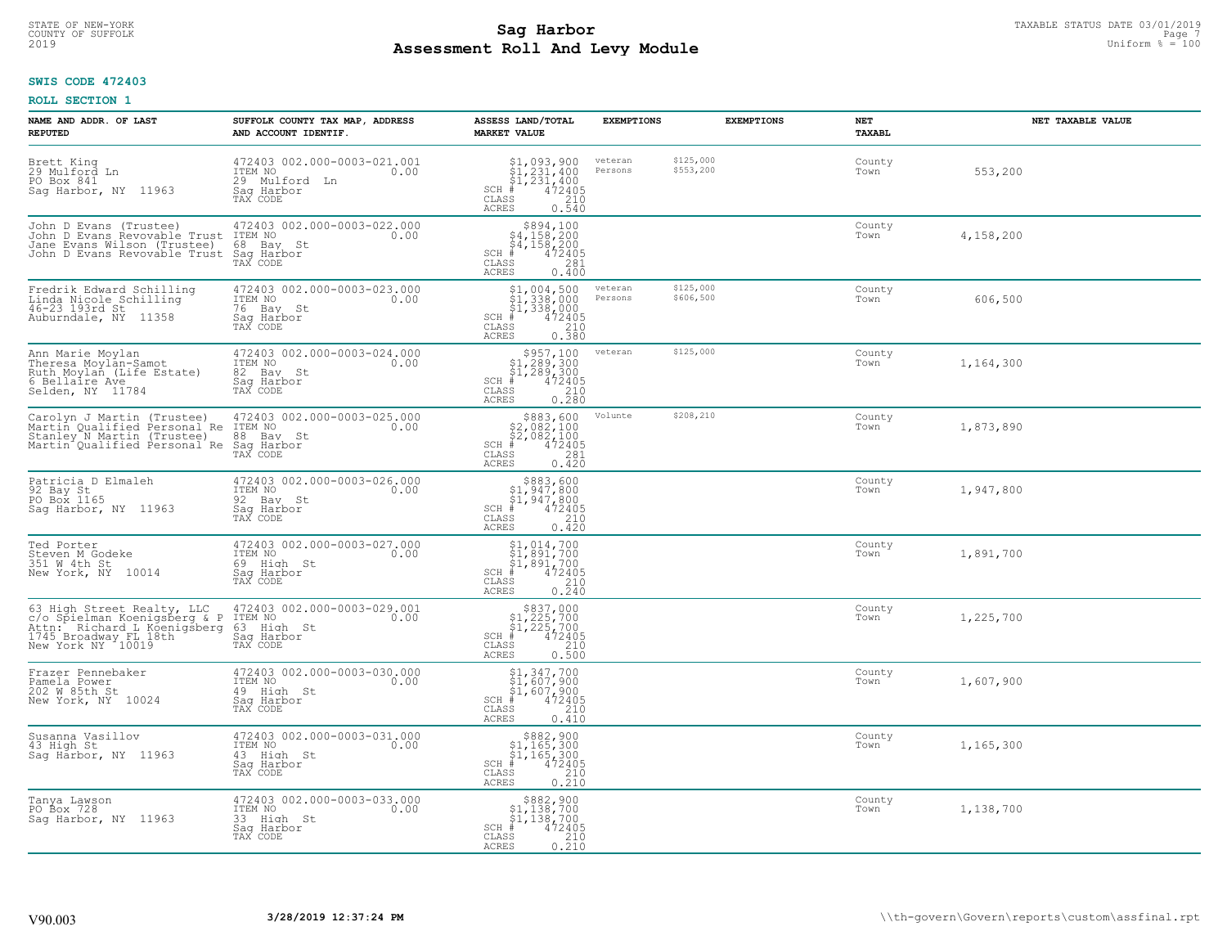#### **Sag Harbor** TAXABLE STATUS DATE 03/01/2019 **Sag Harbor** TAXABLE STATUS DATE 03/01/2019 **Page 7** and **F** and **F** and **F** and **F** and **F** and **F** and **F** and **F** and **F** and **F** and **F** and **F** and **F** and **F** and **E** and **Assessment Roll And Levy Module** 2019 Uniform % = 100 COUNTY OF SUFFOLK Page 7

# **SWIS CODE 472403**

| NAME AND ADDR. OF LAST<br><b>REPUTED</b>                                                                                                | SUFFOLK COUNTY TAX MAP, ADDRESS<br>AND ACCOUNT IDENTIF.                                      | ASSESS LAND/TOTAL<br><b>MARKET VALUE</b>                                                                                                                                                                                                                                                    | <b>EXEMPTIONS</b>  | <b>EXEMPTIONS</b>      | <b>NET</b><br>TAXABL | NET TAXABLE VALUE |
|-----------------------------------------------------------------------------------------------------------------------------------------|----------------------------------------------------------------------------------------------|---------------------------------------------------------------------------------------------------------------------------------------------------------------------------------------------------------------------------------------------------------------------------------------------|--------------------|------------------------|----------------------|-------------------|
| Brett King<br>29 Mulford Ln<br>PO Box 841<br>Sag Harbor, NY 11963                                                                       | 472403 002.000-0003-021.001<br>ITEM NO<br>0.00<br>29 Mulford<br>Ln<br>Saq Harbor<br>TAX CODE | $$1, 093, 900$<br>$$1, 231, 400$<br>$$1, 231, 400$<br>$472405$<br>$$210$<br>$SCH$ #<br>CLASS<br><b>ACRES</b><br>0.540                                                                                                                                                                       | veteran<br>Persons | \$125,000<br>\$553,200 | County<br>Town       | 553,200           |
| John D Evans (Trustee)<br>John D Evans Revovable Trust<br>Jane Evans Wilson (Trustee)<br>John D Evans Revovable Trust                   | 472403 002.000-0003-022.000<br>ITEM NO<br>0.00<br>68 Bay St<br>Saq Harbor<br>TAX CODE        | $$894,100$<br>$$4,158,200$<br>$$4,158,200$<br>$$4,158,200$<br>$SCH$ #<br>472405<br>CLASS<br>281<br>ACRES<br>0.400                                                                                                                                                                           |                    |                        | County<br>Town       | 4,158,200         |
| Fredrik Edward Schilling<br>Linda Nicole Schilling<br>46-23 193rd St<br>Auburndale, NY 11358                                            | 472403 002.000-0003-023.000<br>ITEM NO<br>0.00<br>76 Bay St<br>Saq Harbor<br>TAX CODE        | $$1,004,500$<br>$$1,338,000$<br>$$1,338,000$<br>$$472405$<br>$SCH$ #<br>CLASS<br>210<br>0.380<br>ACRES                                                                                                                                                                                      | veteran<br>Persons | \$125,000<br>\$606,500 | County<br>Town       | 606,500           |
| Ann Marie Moylan<br>Theresa Moylan-Samot<br>Ruth Moylan (Life Estate)<br>6 Bellaire Ave<br>Selden, NY 11784                             | 472403 002.000-0003-024.000<br>ITEM NO<br>0.00<br>82 Bay St<br>Saq Harbor<br>TAX CODE        | $\begin{array}{r} \texttt{\$957,100}\ \\ \texttt{\$1,289,300}\ \\ \texttt{\$1,289,300}\ \\ \texttt{\$1,289,300}\ \\ \texttt{\$1,2405}\ \\ \texttt{\$10}\ \\ \texttt{\$10}\ \\ \texttt{\$10}\ \\ \texttt{\$10}\ \\ \texttt{\$210}\ \\ \texttt{\$28}\end{array}$<br>$SCH$ #<br>CLASS<br>ACRES | veteran            | \$125,000              | County<br>Town       | 1,164,300         |
| Carolyn J Martin (Trustee)<br>Martin Oualified Personal Re<br>Stanley N Martin (Trustee)<br>Martin Qualified Personal Re                | 472403 002.000-0003-025.000<br>ITEM NO<br>0.00<br>88 Bay St<br>Saq Harbor<br>TAX CODE        | ${\begin{array}{c} $883,600 $2,082,100 $2,082,100 # 472405 $281 281$<br>$SCH$ #<br>$\mathtt{CLASS}$<br><b>ACRES</b><br>0.420                                                                                                                                                                | Volunte            | \$208,210              | County<br>Town       | 1,873,890         |
| Patricia D Elmaleh<br>92 Bay St<br>PO Box 1165<br>Saq Harbor, NY 11963                                                                  | 472403 002.000-0003-026.000<br>ITEM NO<br>0.00<br>92 Bay St<br>Sag Harbor<br>TAX CODE        | $$883,600$<br>$$1,947,800$<br>$$1,947,800$<br>$$472405$<br>SCH<br>. #<br>210<br>CLASS<br>0.420<br>ACRES                                                                                                                                                                                     |                    |                        | County<br>Town       | 1,947,800         |
| Ted Porter<br>Steven M Godeke<br>351 W 4th St<br>New York, NY 10014                                                                     | 472403 002.000-0003-027.000<br>ITEM NO<br>0.00<br>69 High St<br>Saq Harbor<br>TAX CODE       | $\begin{array}{l} 51,014,700 \\ 51,891,700 \\ 51,891,700 \end{array}$<br>472405<br>SCH #<br>210<br>CLASS<br>ACRES<br>0.240                                                                                                                                                                  |                    |                        | County<br>Town       | 1,891,700         |
| 63 High Street Realty, LLC<br>c/o Spielman Koenigsberg & P<br>Attn: Richard L Koenigsberg<br>1745 Broadway FL 18th<br>New York NY 10019 | 472403 002.000-0003-029.001<br>1TEM NO 0.00<br>63 High St<br>Saq Harbor<br>TAX CODE          | $$837,000$<br>$$1,225,700$<br>$$1,225,700$<br>$*1,225,700$<br>$*1,22405$<br>SCH #<br>CLASS<br>210<br><b>ACRES</b><br>0.500                                                                                                                                                                  |                    |                        | County<br>Town       | 1,225,700         |
| Frazer Pennebaker<br>Pamela Power<br>202 W 85th St<br>New York, NY 10024                                                                | 472403 002.000-0003-030.000<br>TTEM NO 0.00<br>49 High St<br>Saq Harbor<br>TAX CODE          | $$1,347,700$<br>$$1,607,900$<br>$$1,607,900$<br>$*$ 472405<br>$SCH$ #<br>CLASS<br>210<br>ACRES<br>0.410                                                                                                                                                                                     |                    |                        | County<br>Town       | 1,607,900         |
| Susanna Vasillov<br>43 High St<br>Sag Harbor, NY 11963                                                                                  | 472403 002.000-0003-031.000<br>ITEM NO<br>0.00<br>43 High St<br>Sag Harbor<br>TAX CODE       | $$882,900$<br>$$1,165,300$<br>$$1,165,300$<br>$$1,165,300$<br>$472405$<br>SCH<br>210<br>CLASS<br>0.210<br><b>ACRES</b>                                                                                                                                                                      |                    |                        | County<br>Town       | 1,165,300         |
| Tanya Lawson<br>PO Box 728<br>Saq Harbor, NY 11963                                                                                      | 472403 002.000-0003-033.000<br>ITEM NO<br>0.00<br>33 High St<br>Saq Harbor<br>TAX CODE       | $\begin{array}{c} $882,900\\ $1,138,700\\ $1,138,700 \end{array}$<br>$SCH$ #<br>472405<br>CLASS<br>$\frac{210}{0.210}$<br><b>ACRES</b>                                                                                                                                                      |                    |                        | County<br>Town       | 1,138,700         |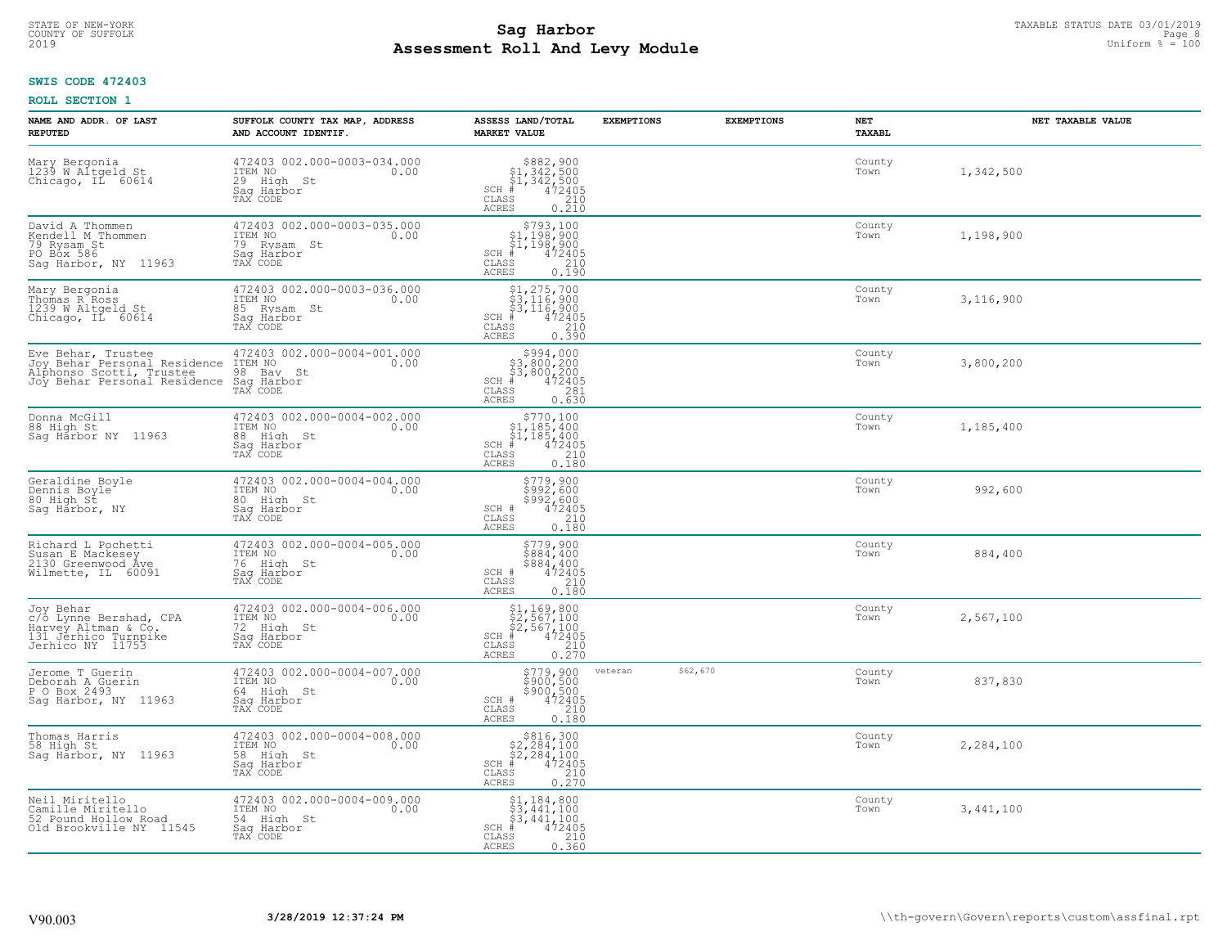# **SWIS CODE 472403**

| NAME AND ADDR. OF LAST<br><b>REPUTED</b>                                                                       | SUFFOLK COUNTY TAX MAP, ADDRESS<br>AND ACCOUNT IDENTIF.                                 | ASSESS LAND/TOTAL<br><b>MARKET VALUE</b>                                                                                                                 | <b>EXEMPTIONS</b>   | <b>EXEMPTIONS</b> | NET<br><b>TAXABL</b> | NET TAXABLE VALUE |
|----------------------------------------------------------------------------------------------------------------|-----------------------------------------------------------------------------------------|----------------------------------------------------------------------------------------------------------------------------------------------------------|---------------------|-------------------|----------------------|-------------------|
| Mary Bergonia<br>1239 W Altgeld St<br>Chicago, IL 60614                                                        | 472403 002.000-0003-034.000<br>ITEM NO<br>0.00<br>29 High St<br>Saq Harbor<br>TAX CODE  | $$882,900$<br>$$1,342,500$<br>$$1,342,500$<br>$472405$<br>$$210$<br>$$210$<br>$SCH$ #<br>CLASS<br><b>ACRES</b><br>0.210                                  |                     |                   | County<br>Town       | 1,342,500         |
| David A Thommen<br>Kendell M Thommen<br>79 Rysam St<br>PO Box 586<br>Sag Harbor, NY 11963                      | 472403 002.000-0003-035.000<br>ITEM NO<br>0.00<br>79 Rysam St<br>Saq Harbor<br>TAX CODE | $$793,100$<br>$$1,198,900$<br>$$1,198,900$<br>$$1,198,900$<br>$SCH$ #<br>$\mathtt{CLASS}$<br>$\frac{210}{0.190}$<br><b>ACRES</b>                         |                     |                   | County<br>Town       | 1,198,900         |
| Mary Bergonia<br>Thomas R Ross<br>1239 W Altgeld St<br>Chicago, IL 60614                                       | 472403 002.000-0003-036.000<br>ITEM NO<br>0.00<br>85 Rysam St<br>Saq Harbor<br>TAX CODE | $$1, 275, 700$<br>$$3, 116, 900$<br>$$3, 116, 900$<br>$$472405$<br>$SCH$ #<br>CLASS<br>210<br>0.390<br>ACRES                                             |                     |                   | County<br>Town       | 3,116,900         |
| Eve Behar, Trustee 6472403 00 472403 00<br>Alphonso Scotti, Trustee<br>Joy Behar Personal Residence Sag Harbor | 472403 002.000-0004-001.000<br>0.00<br>98 Bay St                                        | $\begin{array}{c} $994,000 $3,800,200 $43,800,200 + $472405 \end{array}$<br>$SCH$ #<br>CLASS<br>281<br><b>ACRES</b><br>0.630                             |                     |                   | County<br>Town       | 3,800,200         |
| Donna McGill<br>88 High St<br>Sag Harbor NY 11963                                                              | 472403 002.000-0004-002.000<br>ITEM NO<br>0.00<br>88 High St<br>Saq Harbor<br>TAX CODE  | $\begin{array}{r} 5770,100 \\ 51,185,400 \\ 51,185,400 \\ \pm \\ 472405 \\ 55 \end{array}$<br>$SCH$ #<br>CLASS<br>0.180<br>ACRES                         |                     |                   | County<br>Town       | 1,185,400         |
| Geraldine Boyle<br>Dennis Boyle <sup>-</sup><br>80 High St<br>Saq Harbor, NY                                   | 472403 002.000-0004-004.000<br>ITEM NO<br>0.00<br>80 High St<br>Saq Harbor<br>TAX CODE  | \$779,900<br>\$992,600<br>\$992,600<br>472405<br>SCH #<br>CLASS<br>210<br>0.180<br><b>ACRES</b>                                                          |                     |                   | County<br>Town       | 992,600           |
| Richard L Pochetti<br>Susan E Mackesey<br>2130 Greenwood Ave<br>Wilmette, IL 60091                             | 472403 002.000-0004-005.000<br>ITEM NO<br>0.00<br>76 High St<br>Saq Harbor<br>TAX CODE  | $$779,900$<br>$$884,400$<br>$$884,400$<br>$$472405$<br>SCH #<br>CLASS<br>210<br>0.180<br><b>ACRES</b>                                                    |                     |                   | County<br>Town       | 884,400           |
| Joy Behar<br>c/o Lynne Bershad, CPA<br>Harvey Altman & Co.<br>131 Jerhico Turnpike<br>Jerhico NY 11753         | 472403 002.000-0004-006.000<br>TTEM NO 0.00<br>72 High St<br>Saq Harbor<br>TAX CODE     | $$1, 169, 800$<br>$$2, 567, 100$<br>$$2, 567, 100$<br>$$472405$<br>$SCH$ #<br>CLASS<br>210<br>0.270<br><b>ACRES</b>                                      |                     |                   | County<br>Town       | 2,567,100         |
| Jerome T Guerin<br>Deborah A Guerin<br>P O Box 2493<br>Sag Harbor, NY 11963                                    | 472403 002.000-0004-007.000<br>ITEM NO 0.00<br>64 High St<br>Saq Harbor<br>TAX CODE     | \$779,900<br>\$900,500<br>\$900,500<br>SCH #<br>$\frac{472405}{210}$<br>CLASS<br><b>ACRES</b><br>0.180                                                   | \$62,670<br>veteran |                   | County<br>Town       | 837,830           |
| Thomas Harris<br>58 High St<br>Sag Harbor, NY 11963                                                            | 472403 002.000-0004-008.000<br>ITEM NO<br>0.00<br>58 High St<br>Sag Harbor<br>TAX CODE  | \$816,300<br>$\begin{array}{r} 2284,100 \\ 22,284,100 \\ 472405 \\ \text{is} \qquad \qquad 210 \end{array}$<br>$SCH$ #<br>CLASS<br>0.270<br><b>ACRES</b> |                     |                   | County<br>Town       | 2,284,100         |
| Neil Miritello<br>Camille Miritello<br>52 Pound Hollow Road<br>Old Brookville NY 11545                         | 472403 002.000-0004-009.000<br>ITEM NO<br>0.00<br>54 High St<br>Saq Harbor<br>TAX CODE  | $$1,184,800$<br>$$3,441,100$<br>$$3,441,100$<br>$SCH$ #<br>472405<br>CLASS<br>210<br>0.360<br><b>ACRES</b>                                               |                     |                   | County<br>Town       | 3,441,100         |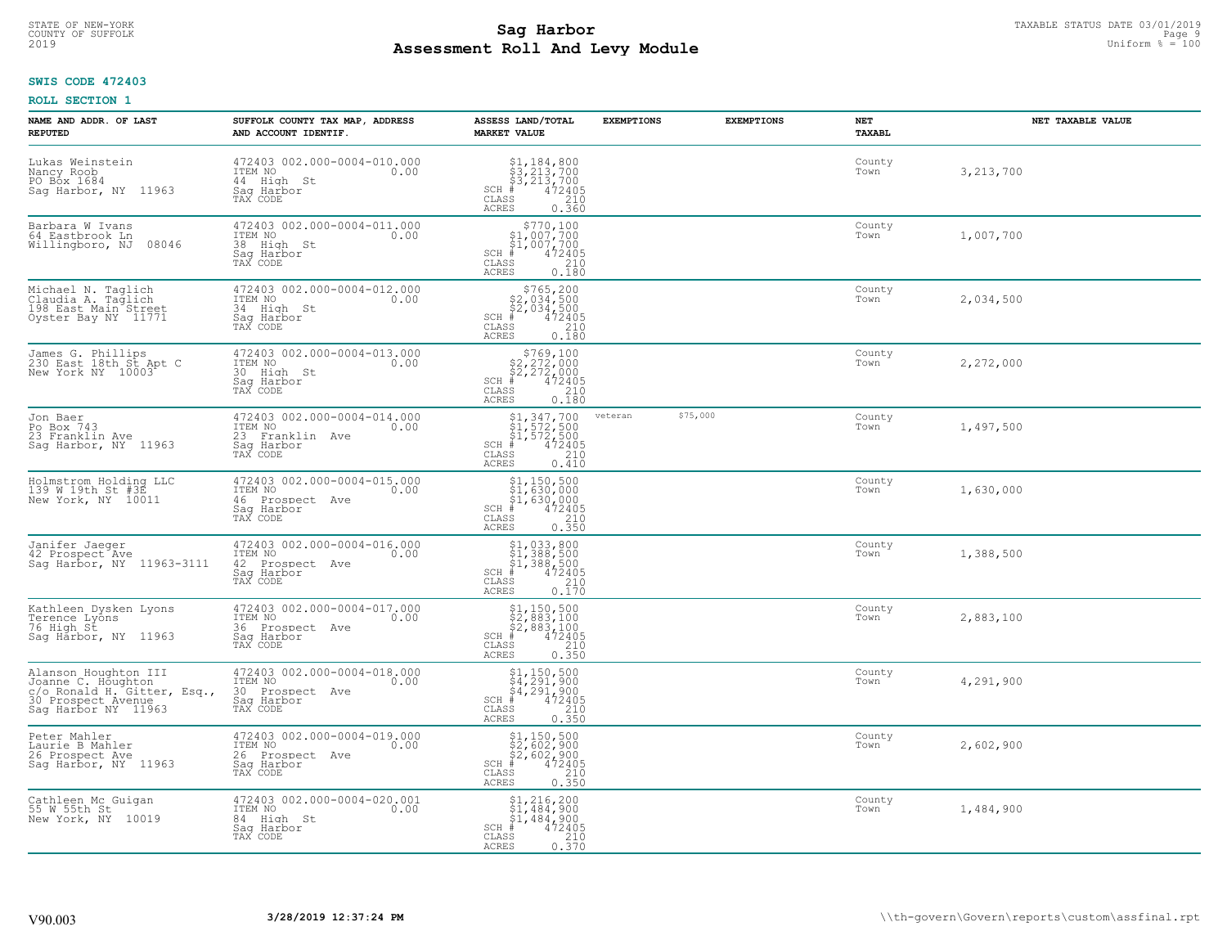# **SWIS CODE 472403**

| NAME AND ADDR. OF LAST<br><b>REPUTED</b>                                                                               | SUFFOLK COUNTY TAX MAP, ADDRESS<br>AND ACCOUNT IDENTIF.                                        | ASSESS LAND/TOTAL<br><b>MARKET VALUE</b>                                                                                                                                                                                                                                | <b>EXEMPTIONS</b> | <b>EXEMPTIONS</b> | NET<br><b>TAXABL</b> | NET TAXABLE VALUE |
|------------------------------------------------------------------------------------------------------------------------|------------------------------------------------------------------------------------------------|-------------------------------------------------------------------------------------------------------------------------------------------------------------------------------------------------------------------------------------------------------------------------|-------------------|-------------------|----------------------|-------------------|
| Lukas Weinstein<br>Nancy Roob<br>PO Box 1684<br>Sag Harbor, NY 11963                                                   | 472403 002.000-0004-010.000<br>ITEM NO<br>0.00<br>44 High St<br>Saq Harbor<br>TAX CODE         | $\begin{array}{l} $1,184,800\\ $3,213,700\\ $3,213,700\\ *\\ 472405\\ *\\ 210\\ *\\ \end{array}$<br>$SCH$ #<br>CLASS<br><b>ACRES</b><br>0.360                                                                                                                           |                   |                   | County<br>Town       | 3,213,700         |
| Barbara W Ivans<br>64 Eastbrook Ln<br>08046<br>Willingboro, NJ                                                         | 472403 002.000-0004-011.000<br>ITEM NO<br>0.00<br>38 High St<br>Saq Harbor<br>TAX CODE         | $$770,100$<br>$$1,007,700$<br>$$1,007,700$<br>$SCH$ #<br>472405<br>CLASS<br>210<br>0.180<br><b>ACRES</b>                                                                                                                                                                |                   |                   | County<br>Town       | 1,007,700         |
| Michael N. Taglich<br>Claudia A. Taglich<br>198 East Main Street<br>Oyster Bay NY 11771                                | 472403 002.000-0004-012.000<br>ITEM NO<br>0.00<br>34 High St<br>Sag Harbor<br>TAX CODE         | $$765, 200$<br>$$2, 034, 500$<br>$$2, 034, 500$<br>$$472405$<br>$SCH$ #<br>CLASS<br>210<br>0.180<br>ACRES                                                                                                                                                               |                   |                   | County<br>Town       | 2,034,500         |
| James G. Phillips<br>230 East 18th St Apt C<br>New York NY 10003                                                       | 472403 002.000-0004-013.000<br>ITEM NO<br>0.00<br>30 High St<br>Saq Harbor<br>TAX CODE         | $SCH$ #<br>CLASS<br><b>ACRES</b><br>0.180                                                                                                                                                                                                                               |                   |                   | County<br>Town       | 2,272,000         |
| Jon Baer<br>Po Box 743<br>23 Franklin Ave<br>Sag Harbor, NY 11963                                                      | 472403 002.000-0004-014.000<br>ITEM NO<br>0.00<br>23 Franklin Ave<br>Saq Harbor<br>TAX CODE    | $\begin{array}{c} \text{\small $51$, $347$, $700$} \\ \text{\small $51$, $572$, $500$} \\ \text{\small $51$, $572$, $500$} \\ \text{\small $4$ & $472405$} \\ \text{\small $58$ & $210$} \\ \text{\small $58$ & $0.410$} \end{array}$<br>SCH #<br>CLASS<br><b>ACRES</b> | veteran           | \$75,000          | County<br>Town       | 1,497,500         |
| Holmstrom Holding LLC<br>139 W 19th St #3E<br>New York, NY 10011                                                       | 472403 002.000-0004-015.000<br>ITEM NO<br>0.00<br>46 Prospect Ave<br>Sag Harbor<br>TAX CODE    | $$1, 150, 500$<br>$$1, 630, 000$<br>$$1, 630, 000$<br>$$472405$<br>SCH<br>. #<br>210<br>CLASS<br><b>ACRES</b><br>0.350                                                                                                                                                  |                   |                   | County<br>Town       | 1,630,000         |
| Janifer Jaeger<br>42 Prospect Ave<br>Sag Harbor, NY 11963-3111                                                         | 472403 002.000-0004-016.000<br>ITEM NO<br>0.00<br>42 Prospect Ave<br>Saq Harbor<br>TAX CODE    | \$1,033,800<br>\$1,388,500<br>\$1,388,500<br>#472405<br>$SCH$ #<br>CLASS<br>210<br>0.170<br><b>ACRES</b>                                                                                                                                                                |                   |                   | County<br>Town       | 1,388,500         |
| Kathleen Dysken Lyons<br>Terence Lyons<br>76 High St<br>Sag Harbor, NY 11963                                           | 472403 002.000-0004-017.000<br>TTEM NO 0.00<br>36 Prospect<br>Ave<br>Saq Harbor<br>TAX CODE    | $$2,883,100$<br>$$2,883,100$<br>$$2,883,100$<br>$*$<br>$*$<br>$*$<br>$*$<br>$*$<br>SCH<br>CLASS<br>210<br><b>ACRES</b><br>0.350                                                                                                                                         |                   |                   | County<br>Town       | 2,883,100         |
| Alanson Houghton III<br>Joanne C. Houghton<br>C/O Ronald H. Gitter, Esq.,<br>30 Prospect Avenue<br>Saq Harbor NY 11963 | 472403 002.000-0004-018.000<br>ITEM NO 0.00<br>30 Prospect Ave<br>Saq Harbor<br>TAX CODE       | $$4, 291, 900$<br>$$4, 291, 900$<br>$$4, 291, 900$<br>SCH<br>472405<br>CLASS<br>210<br><b>ACRES</b><br>0.350                                                                                                                                                            |                   |                   | County<br>Town       | 4,291,900         |
| Peter Mahler<br>Laurie B Mahler<br>26 Prospect Ave<br>Sag Harbor, NY 11963                                             | 472403 002.000-0004-019.000<br>ITEM NO<br>0.00<br>26<br>Prospect Ave<br>Saq Harbor<br>TAX CODE | \$1,150,500<br>\$2,602,900<br>\$2,602,900<br>472405<br>$SCH$ #<br>CLASS<br>210<br><b>ACRES</b><br>0.350                                                                                                                                                                 |                   |                   | County<br>Town       | 2,602,900         |
| Cathleen Mc Guigan<br>55 W 55th St<br>New York, NY 10019                                                               | 472403 002.000-0004-020.001<br>ITEM NO<br>0.00<br>84 High St<br>Saq Harbor<br>TAX CODE         | $$1, 216, 200$<br>$$1, 484, 900$<br>$$1, 484, 900$<br>SCH #<br>472405<br>CLASS<br>210<br>0.370<br><b>ACRES</b>                                                                                                                                                          |                   |                   | County<br>Town       | 1,484,900         |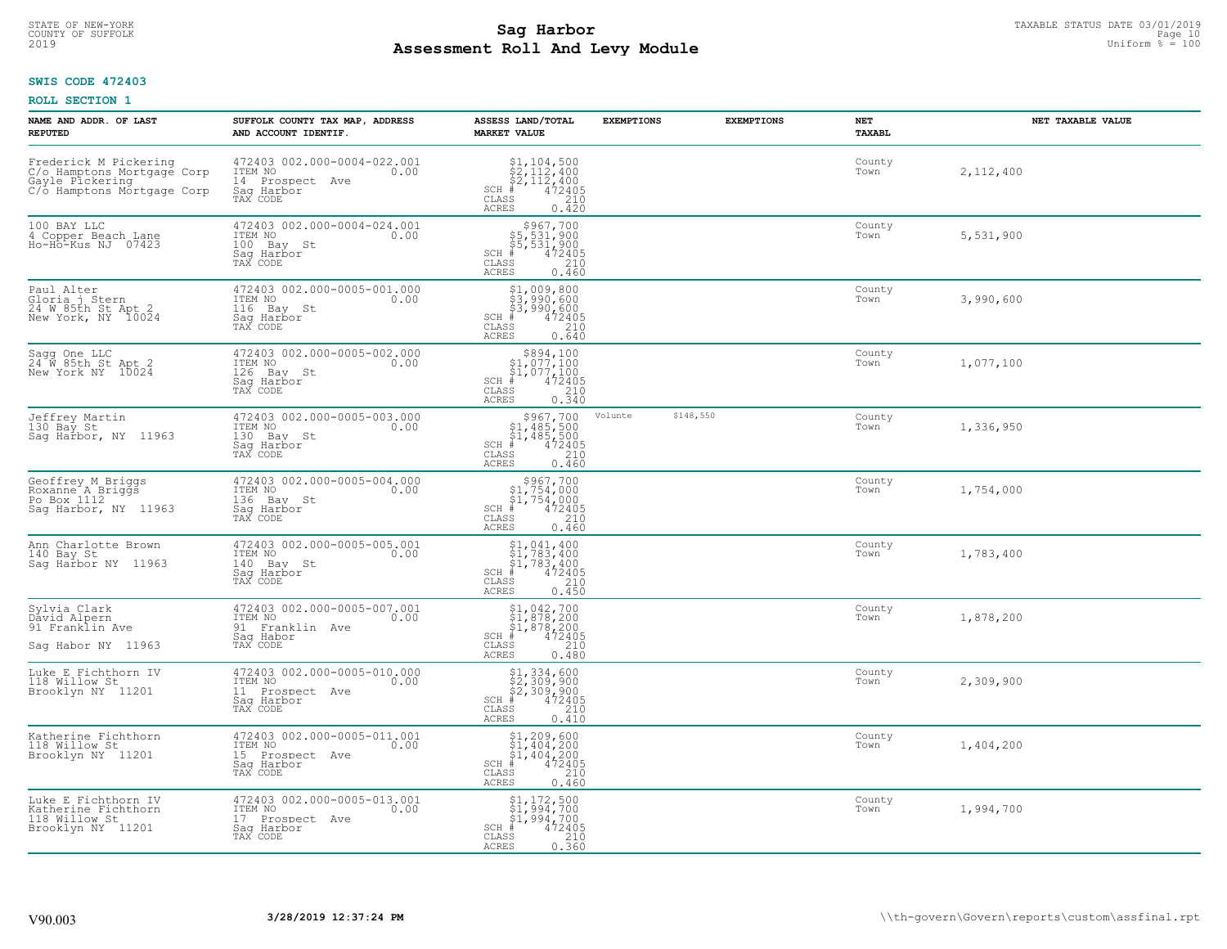## **SWIS CODE 472403**

| NAME AND ADDR. OF LAST<br><b>REPUTED</b>                                                             | SUFFOLK COUNTY TAX MAP, ADDRESS<br>AND ACCOUNT IDENTIF.                                        | ASSESS LAND/TOTAL<br><b>MARKET VALUE</b>                                                                                                                                                                          | <b>EXEMPTIONS</b> | <b>EXEMPTIONS</b> | NET<br>TAXABL  | NET TAXABLE VALUE |
|------------------------------------------------------------------------------------------------------|------------------------------------------------------------------------------------------------|-------------------------------------------------------------------------------------------------------------------------------------------------------------------------------------------------------------------|-------------------|-------------------|----------------|-------------------|
| Frederick M Pickering<br>C/o Hamptons Mortgage Corp<br>Gayle Pickering<br>C/6 Hamptons Mortgage Corp | 472403 002.000-0004-022.001<br>ITEM NO<br>0.00<br>14 Prospect Ave<br>Saq Harbor<br>TAX CODE    | $$2, 104, 500$<br>$$2, 112, 400$<br>$$2, 112, 400$<br>$$472405$<br>SCH #<br>CLASS<br>210<br>ACRES<br>0.420                                                                                                        |                   |                   | County<br>Town | 2,112,400         |
| 100 BAY LLC<br>4 Copper Beach Lane<br>Ho-Ho-Kus NJ 07423                                             | 472403 002.000-0004-024.001<br>ITEM NO<br>0.00<br>100 Bay St<br>Sag Harbor<br>TAX CODE         | $SCH$ #<br>CLASS<br><b>ACRES</b>                                                                                                                                                                                  |                   |                   | County<br>Town | 5,531,900         |
| Paul Alter<br>Gloria j Stern<br>24 W 85th St Apt 2<br>New York, NY 10024                             | 472403 002.000-0005-001.000<br>ITEM NO<br>0.00<br>116<br>Bay St<br>Sag Harbor<br>TAX CODE      | \$1,009,800<br>31,990,600<br>\$3,990,600<br>\$3,990,600<br>\$5 472405<br>\$5 210<br>\$5 640<br>SCH #<br>CLASS<br>ACRES                                                                                            |                   |                   | County<br>Town | 3,990,600         |
| Sagg One LLC<br>24 W 85th St Apt 2<br>New York NY 10024                                              | 472403 002.000-0005-002.000<br>ITEM NO<br>0.00<br>126 Bay St<br>Saq Harbor<br>TAX CODE         | $\begin{array}{r}  \  \  \,  \, 5894, 100\\  \  \, 51, 077, 100\\  \  \, 51, 077, 100\\  \  \  \, 472405\\ \text{ss} \\  \  \, 210\\ \text{ss} \\  \  \, 0.340\\ \end{array}$<br>$SCH$ #<br>CLASS<br><b>ACRES</b> |                   |                   | County<br>Town | 1,077,100         |
| Jeffrey Martin<br>130 Bay St<br>Saq Harbor, NY 11963                                                 | 472403 002.000-0005-003.000<br>ITEM NO<br>0.00<br>130<br>Bay St<br>Saq Harbor<br>TAX CODE      | \$967,700<br>$$1,485,500$<br>$$1,485,500$<br>$*1,485,500$<br>$*32405$<br>$*210$<br>$SCH$ #<br>$\mathtt{CLASS}$<br>ACRES<br>0.460                                                                                  | Volunte           | \$148,550         | County<br>Town | 1,336,950         |
| Geoffrey M Briggs<br>Roxanne A Briggs<br>Po Box 1112<br>Saq Harbor, NY 11963                         | 472403 002.000-0005-004.000<br>ITEM NO<br>0.00<br>136<br>Bay St<br>Saq Harbor<br>TAX CODE      | $SCH$ #<br>CLASS<br><b>ACRES</b><br>0.460                                                                                                                                                                         |                   |                   | County<br>Town | 1,754,000         |
| Ann Charlotte Brown<br>140 Bay St<br>Saq Harbor NY 11963                                             | 472403 002.000-0005-005.001<br>ITEM NO<br>0.00<br>140 Bay St<br>Sag Harbor<br>TAX CODE         | $$1, 041, 400$<br>$$1, 783, 400$<br>$$1, 783, 400$<br>$SCH$ #<br>472405<br>CLASS<br>$\frac{210}{0.450}$<br><b>ACRES</b>                                                                                           |                   |                   | County<br>Town | 1,783,400         |
| Sylvia Clark<br>David Alpern<br>91 Franklin Ave<br>Sag Habor NY 11963                                | 472403 002.000-0005-007.001<br>ITEM NO<br>0.00<br>91 Franklin Ave<br>Saq Habor<br>TAX CODE     | $\begin{array}{l} $1,042,700\\ $1,878,200\\ $1,878,200\\ *\\ *\\ 2405\\ *\\ *\\ 258 \end{array}$<br>SCH<br>CLASS<br><b>ACRES</b><br>0.480                                                                         |                   |                   | County<br>Town | 1,878,200         |
| Luke E Fichthorn IV<br>118 Willow St<br>Brooklyn NY 11201                                            | 472403 002.000-0005-010.000<br>ITEM NO<br>0.00<br>11 Prospect Ave<br>Saq Harbor<br>TAX CODE    | $$2,334,600$<br>$$2,309,900$<br>$$2,309,900$<br>$472405$<br>$$2,10$<br>$SCH$ #<br>CLASS<br><b>ACRES</b><br>0.410                                                                                                  |                   |                   | County<br>Town | 2,309,900         |
| Katherine Fichthorn<br>118 Willow St<br>Brooklyn NY 11201                                            | 472403 002.000-0005-011.001<br>ITEM NO<br>0.00<br>15<br>Prospect Ave<br>Sag Harbor<br>TAX CODE | $$1, 209, 600$<br>$$1, 404, 200$<br>$$1, 404, 200$<br>$$404, 200$<br>$472405$<br>SCH #<br>CLASS<br>210<br><b>ACRES</b><br>0.460                                                                                   |                   |                   | County<br>Town | 1,404,200         |
| Luke E Fichthorn IV<br>Katherine Fichthorn<br>118 Willow St<br>Brooklyn NY 11201                     | 472403 002.000-0005-013.001<br>ITEM NO<br>0.00<br>17 Prospect Ave<br>Saq Harbor<br>TAX CODE    | $$1, 172, 500$<br>$$1, 994, 700$<br>$$1, 994, 700$<br>$SCH$ #<br>472405<br>CLASS<br>210<br>0.360<br>ACRES                                                                                                         |                   |                   | County<br>Town | 1,994,700         |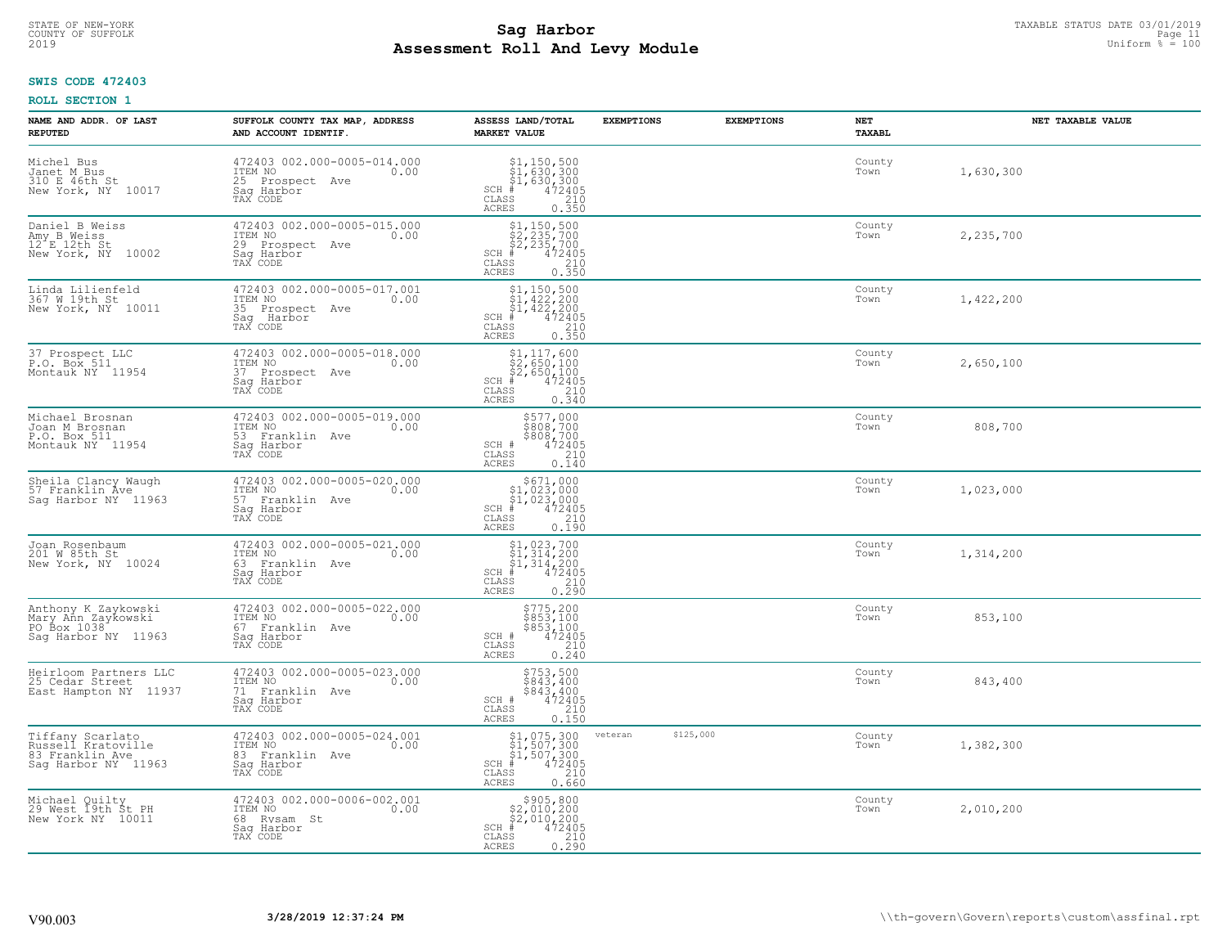## **SWIS CODE 472403**

| NAME AND ADDR. OF LAST<br><b>REPUTED</b>                                              | SUFFOLK COUNTY TAX MAP, ADDRESS<br>AND ACCOUNT IDENTIF.                                           | ASSESS LAND/TOTAL<br><b>MARKET VALUE</b>                                                                                                                                                                                             | <b>EXEMPTIONS</b>    | <b>EXEMPTIONS</b> | NET<br><b>TAXABL</b> | NET TAXABLE VALUE |
|---------------------------------------------------------------------------------------|---------------------------------------------------------------------------------------------------|--------------------------------------------------------------------------------------------------------------------------------------------------------------------------------------------------------------------------------------|----------------------|-------------------|----------------------|-------------------|
| Michel Bus<br>Janet M Bus<br>310 E 46th St<br>New York, NY 10017                      | 472403 002.000-0005-014.000<br>ITEM NO<br>0.00<br>25 Prospect Ave<br>Saq Harbor<br>TAX CODE       | $$1, 150, 500$<br>$$1, 630, 300$<br>$$1, 630, 300$<br>$*$<br>$*$<br>$*$<br>$*$<br>$SCH$ #<br>CLASS<br>$\begin{array}{c} 210 \\ 0.350 \end{array}$<br>ACRES                                                                           |                      |                   | County<br>Town       | 1,630,300         |
| Daniel B Weiss<br>Amy B Weiss<br>$12^{\texttt{f}} E 12th St$<br>New York, NY<br>10002 | 472403 002.000-0005-015.000<br>ITEM NO<br>0.00<br>29 Prospect Ave<br>Sag Harbor<br>TAX CODE       | $\begin{array}{c} \texttt{\$1,150,500}\ \texttt{\$2,235,700}\ \texttt{\$2,235,700}\ \texttt{\$2,235,700}\ \texttt{\$472405}\ \texttt{\$85} \texttt{\$210}\ \texttt{\$85} \texttt{\$0.350}\ \end{array}$<br>$SCH$ #<br>CLASS<br>ACRES |                      |                   | County<br>Town       | 2,235,700         |
| Linda Lilienfeld<br>367 W 19th St<br>New York, NY 10011                               | 472403 002.000-0005-017.001<br>ITEM NO<br>0.00<br>35<br>Prospect Ave<br>Sag<br>Harbor<br>TAX CODE | $$1, 150, 500$<br>$$1, 422, 200$<br>$$1, 422, 200$<br>$$422, 200$<br>$$472405$<br>$SCH$ #<br>CLASS<br>$\frac{210}{0.350}$<br><b>ACRES</b>                                                                                            |                      |                   | County<br>Town       | 1,422,200         |
| 37 Prospect LLC<br>P.O. Box 511<br>Montauk NY 11954                                   | 472403 002.000-0005-018.000<br>ITEM NO<br>0.00<br>37 Prospect Ave<br>Saq Harbor<br>TAX CODE       | $$2,650,100$<br>$$2,650,100$<br>$$2,650,100$<br>$472405$<br>$35$<br>$210$<br>$SCH$ #<br>CLASS<br><b>ACRES</b><br>0.340                                                                                                               |                      |                   | County<br>Town       | 2,650,100         |
| Michael Brosnan<br>Joan M Brosnan<br>P.O. Box 511<br>Montauk NY 11954                 | 472403 002.000-0005-019.000<br>ITEM NO<br>0.00<br>53 Franklin Ave<br>Saq Harbor<br>TAX CODE       | \$577,000<br>\$808,700<br>\$808,700<br>472405<br>SCH #<br>CLASS<br>$\frac{210}{0.140}$<br>ACRES                                                                                                                                      |                      |                   | County<br>Town       | 808,700           |
| Sheila Clancy Waugh<br>57 Franklin Ave<br>Sag Harbor NY 11963                         | 472403 002.000-0005-020.000<br>ITEM NO<br>0.00<br>57 Franklin Ave<br>Saq Harbor<br>TAX CODE       | $$671,000$<br>$$1,023,000$<br>$$1,023,000$<br>$$472405$<br>$SCH$ #<br>$\begin{array}{c} 210 \\ 0.190 \end{array}$<br>CLASS<br><b>ACRES</b>                                                                                           |                      |                   | County<br>Town       | 1,023,000         |
| Joan Rosenbaum<br>201 W 85th St<br>New York, NY 10024                                 | 472403 002.000-0005-021.000<br>ITEM NO<br>0.00<br>63 Franklin Ave<br>Sag Harbor<br>TAX CODE       | $$1,023,700$<br>$$1,314,200$<br>$$1,314,200$<br>$$1,314,200$<br>$472405$<br>SCH #<br>CLASS<br>210<br>0.290<br><b>ACRES</b>                                                                                                           |                      |                   | County<br>Town       | 1,314,200         |
| Anthony K Zaykowski<br>Mary Ann Zaykowski<br>PO Box 1038<br>Sag Harbor NY 11963       | 472403 002.000-0005-022.000<br>ITEM NO<br>0.00<br>67 Franklin Ave<br>Saq Harbor<br>TAX CODE       | \$775,200<br>\$853,100<br>\$853,100<br>SCH #<br>472405<br>210<br>CLASS<br>ACRES<br>0.240                                                                                                                                             |                      |                   | County<br>Town       | 853,100           |
| Heirloom Partners LLC<br>25 Cedar Street<br>East Hampton NY 11937                     | 472403 002.000-0005-023.000<br>ITEM NO<br>0.00<br>71 Franklin Ave<br>Saq Harbor<br>TAX CODE       | \$753,500<br>\$843,400<br>\$843,400<br>SCH #<br>472405<br>CLASS<br>$\frac{210}{0.150}$<br><b>ACRES</b>                                                                                                                               |                      |                   | County<br>Town       | 843,400           |
| Tiffany Scarlato<br>Russell Kratoville<br>83 Franklin Ave<br>Sag Harbor NY 11963      | 472403 002.000-0005-024.001<br>ITEM NO<br>0.00<br>83 Franklin Ave<br>Saq Harbor<br>TAX CODE       | $$1, 075, 300$<br>$$1, 507, 300$<br>$$1, 507, 300$<br>$*1, 507, 300$<br>$SCH$ #<br>210<br>CLASS<br>0.660<br>ACRES                                                                                                                    | \$125,000<br>veteran |                   | County<br>Town       | 1,382,300         |
| Michael Quilty<br>29 West 19th St PH<br>New York NY 10011                             | 472403 002.000-0006-002.001<br>ITEM NO<br>0.00<br>68 Rysam St<br>Saq Harbor<br>TAX CODE           | $\begin{array}{r}  \  \  \,  \, 5905,800 \\  \  \, 52,010,200 \\  \  \, 52,010,200 \\  \  \  \, 472405 \\  \  \, 85 \\  \  \, 85 \\  \  \, 0.290 \\ \end{array}$<br>SCH #<br>CLASS<br>ACRES                                          |                      |                   | County<br>Town       | 2,010,200         |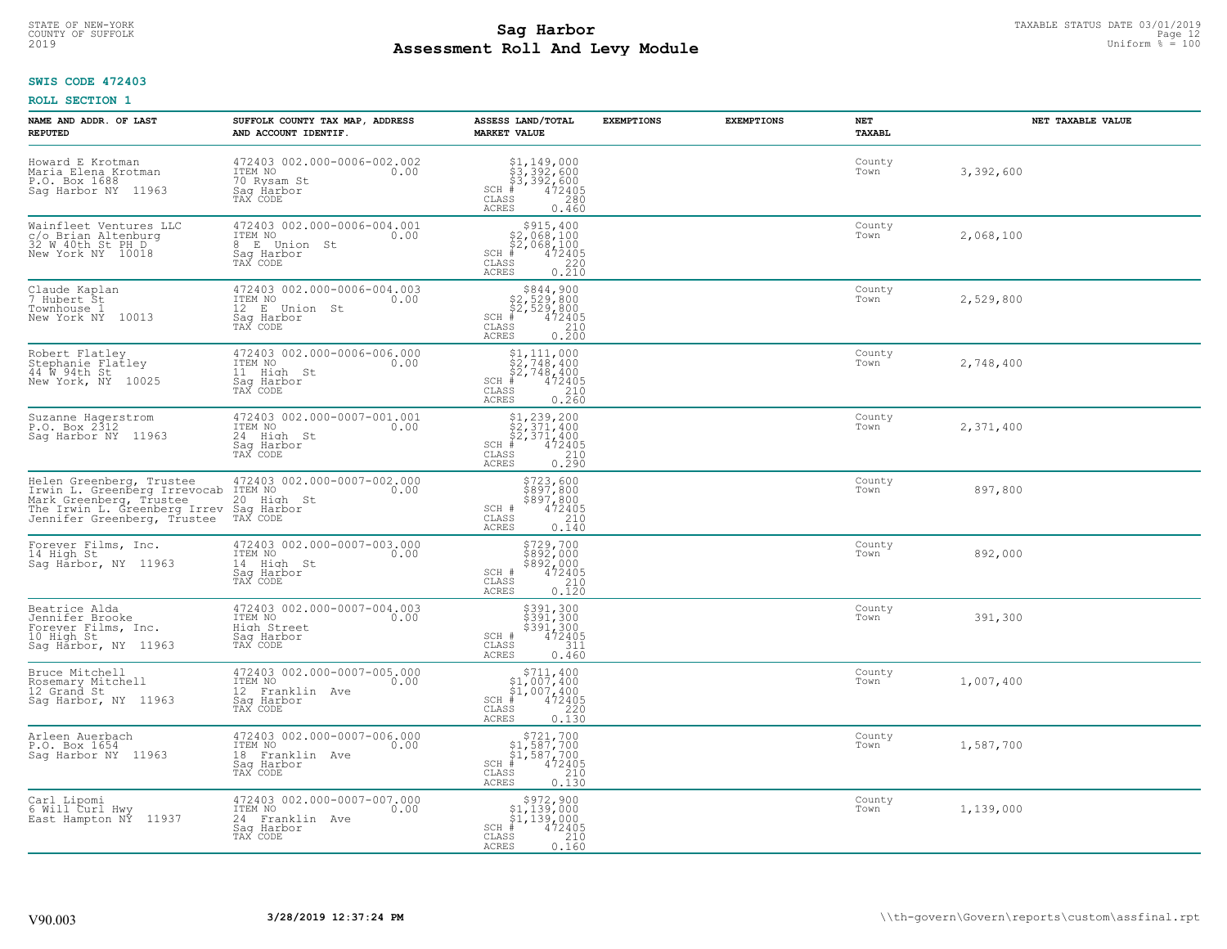#### **Sag Harbor** TAXABLE STATUS DATE 03/01/2019<br>
Poll and Louis Module **Assessment Roll And Levy Module** 2019 Uniform % = 100 COUNTY OF SUFFOLK **Example 12** Page 12 and the country of sufficient the country of sufficient that the page 12 and the page 12 and the page 12 and the page 12 and the page 12 and the page 12 and the page 12 and the page 1

## **SWIS CODE 472403**

| NAME AND ADDR. OF LAST<br><b>REPUTED</b>                                                                                                           | SUFFOLK COUNTY TAX MAP, ADDRESS<br>AND ACCOUNT IDENTIF.                                        | ASSESS LAND/TOTAL<br><b>MARKET VALUE</b>                                                                                                                                                                                                                                                             | <b>EXEMPTIONS</b> | <b>EXEMPTIONS</b> | NET<br><b>TAXABL</b> | NET TAXABLE VALUE |
|----------------------------------------------------------------------------------------------------------------------------------------------------|------------------------------------------------------------------------------------------------|------------------------------------------------------------------------------------------------------------------------------------------------------------------------------------------------------------------------------------------------------------------------------------------------------|-------------------|-------------------|----------------------|-------------------|
| Howard E Krotman<br>Maria Elena Krotman<br>P.O. Box 1688<br>11963<br>Saq Harbor NY                                                                 | 472403 002.000-0006-002.002<br>ITEM NO<br>0.00<br>70 Rysam St<br>Saq Harbor<br>TAX CODE        | $$3,392,600$<br>$$3,392,600$<br>$$3,392,600$<br>$*$<br>$472405$<br>$*$<br>$280$<br>$SCH$ #<br>CLASS<br><b>ACRES</b><br>0.460                                                                                                                                                                         |                   |                   | County<br>Town       | 3,392,600         |
| Wainfleet Ventures LLC<br>c/o Brian Altenburg<br>32 W 40th St PH D<br>New York NY 10018                                                            | 472403 002.000-0006-004.001<br>ITEM NO<br>0.00<br>8<br>E Union St<br>Saq Harbor<br>TAX CODE    | $\begin{array}{r} \texttt{\$915,400}\ \\ \texttt{\$2,068,100}\ \\ \texttt{\$2,068,100}\ \\ \texttt{\$472405}\ \\ \texttt{\$s$} \end{array}\nonumber\\ \begin{array}{r} \texttt{\$915,400}\ \\ \texttt{\$72405}\ \\ \texttt{\$220}\ \\ \texttt{\$210}\end{array}$<br>$SCH$ #<br>CLASS<br><b>ACRES</b> |                   |                   | County<br>Town       | 2,068,100         |
| Claude Kaplan<br>7 Hubert St<br>Townhouse 1<br>New York NY 10013                                                                                   | 472403 002.000-0006-004.003<br>ITEM NO<br>0.00<br>12 E Union St<br>Sag Harbor<br>TAX CODE      | $$844,900$<br>$$2,529,800$<br>$$2,529,800$<br>$$472405$<br>$SCH$ #<br>CLASS<br>$\frac{210}{0.200}$<br><b>ACRES</b>                                                                                                                                                                                   |                   |                   | County<br>Town       | 2,529,800         |
| Robert Flatley<br>Stephanie Flatley<br>44 W 94th St<br>New York, NY<br>10025                                                                       | 472403 002.000-0006-006.000<br>ITEM NO<br>0.00<br>11 High St<br>Saq Harbor<br>TAX CODE         | $$2,748,400$<br>$$2,748,400$<br>$$2,748,400$<br>$472405$<br>$$210$<br>$SCH$ #<br>CLASS<br>0, 260<br><b>ACRES</b>                                                                                                                                                                                     |                   |                   | County<br>Town       | 2,748,400         |
| Suzanne Hagerstrom<br>P.O. Box 2312<br>Sag Harbor NY 11963                                                                                         | 472403 002.000-0007-001.001<br>ITEM NO<br>0.00<br>24 High St<br>Saq Harbor<br>TAX CODE         | \$1,239,200<br>\$2,371,400<br>\$2,371,400<br>$SCH$ #<br>$\frac{472405}{210}$<br>$\mathtt{CLASS}$<br>0.290<br><b>ACRES</b>                                                                                                                                                                            |                   |                   | County<br>Town       | 2,371,400         |
| Helen Greenberg, Trustee<br>Irwin L. Greenberg Irrevocab<br>Mark Greenberg, Trustee<br>The Irwin L. Greenberg Irrev<br>Jennifer Greenberg, Trustee | 472403 002.000-0007-002.000<br>ITEM NO<br>0.00<br>20 High St<br>Saq Harbor<br>TAX CODE         | \$723,600<br>\$897,800<br>\$897,800<br>\$897,800<br>SCH #<br>CLASS<br>210<br>0.140<br><b>ACRES</b>                                                                                                                                                                                                   |                   |                   | County<br>Town       | 897,800           |
| Forever Films, Inc.<br>14 High St<br>Saq Harbor, NY 11963                                                                                          | 472403 002.000-0007-003.000<br>ITEM NO<br>0.00<br>14 High St<br>Saq Harbor<br>TAX CODE         | \$729,700<br>\$892,000<br>\$892,000<br>472405<br>SCH #<br>CLASS<br>210<br>0.120<br><b>ACRES</b>                                                                                                                                                                                                      |                   |                   | County<br>Town       | 892,000           |
| Beatrice Alda<br>Jennifer Brooke<br>Forever Films, Inc.<br>10 High St<br>Sag Harbor, NY 11963                                                      | 472403 002.000-0007-004.003<br>1TEM NO 0.00<br>High Street<br>Saq Harbor<br>TAX CODE           | \$391,300<br>\$391,300<br>\$391,300<br>472405<br>SCH #<br>CLASS<br>311<br><b>ACRES</b><br>0.460                                                                                                                                                                                                      |                   |                   | County<br>Town       | 391,300           |
| Bruce Mitchell<br>Rosemary Mitchell<br>12 Grand St<br>Saq Harbor, NY 11963                                                                         | 472403 002.000-0007-005.000<br>TTEM NO 0.00<br>12 Franklin Ave<br>Saq Harbor<br>TAX CODE       | $\begin{array}{c} $711,400 $1,007,400 $1,007,400 # 472405 \end{array}$<br>SCH<br>CLASS<br>220<br><b>ACRES</b><br>0.130                                                                                                                                                                               |                   |                   | County<br>Town       | 1,007,400         |
| Arleen Auerbach<br>P.O. Box 1654<br>Sag Harbor NY 11963                                                                                            | 472403 002.000-0007-006.000<br>ITEM NO<br>0.00<br>18<br>Franklin Ave<br>Saq Harbor<br>TAX CODE | $$721,700$<br>$$1,587,700$<br>$$1,587,700$<br>$*$ 472405<br>SCH<br>210<br>CLASS<br>0.130<br><b>ACRES</b>                                                                                                                                                                                             |                   |                   | County<br>Town       | 1,587,700         |
| Carl Lipomi<br>6 Will Curl Hwy<br>East Hampton NY 11937                                                                                            | 472403 002.000-0007-007.000<br>ITEM NO<br>0.00<br>24 Franklin Ave<br>Saq Harbor<br>TAX CODE    | \$972,900<br>\$1,139,000<br>\$1,139,000<br>$SCH$ #<br>472405<br>CLASS<br>210<br><b>ACRES</b><br>0.160                                                                                                                                                                                                |                   |                   | County<br>Town       | 1,139,000         |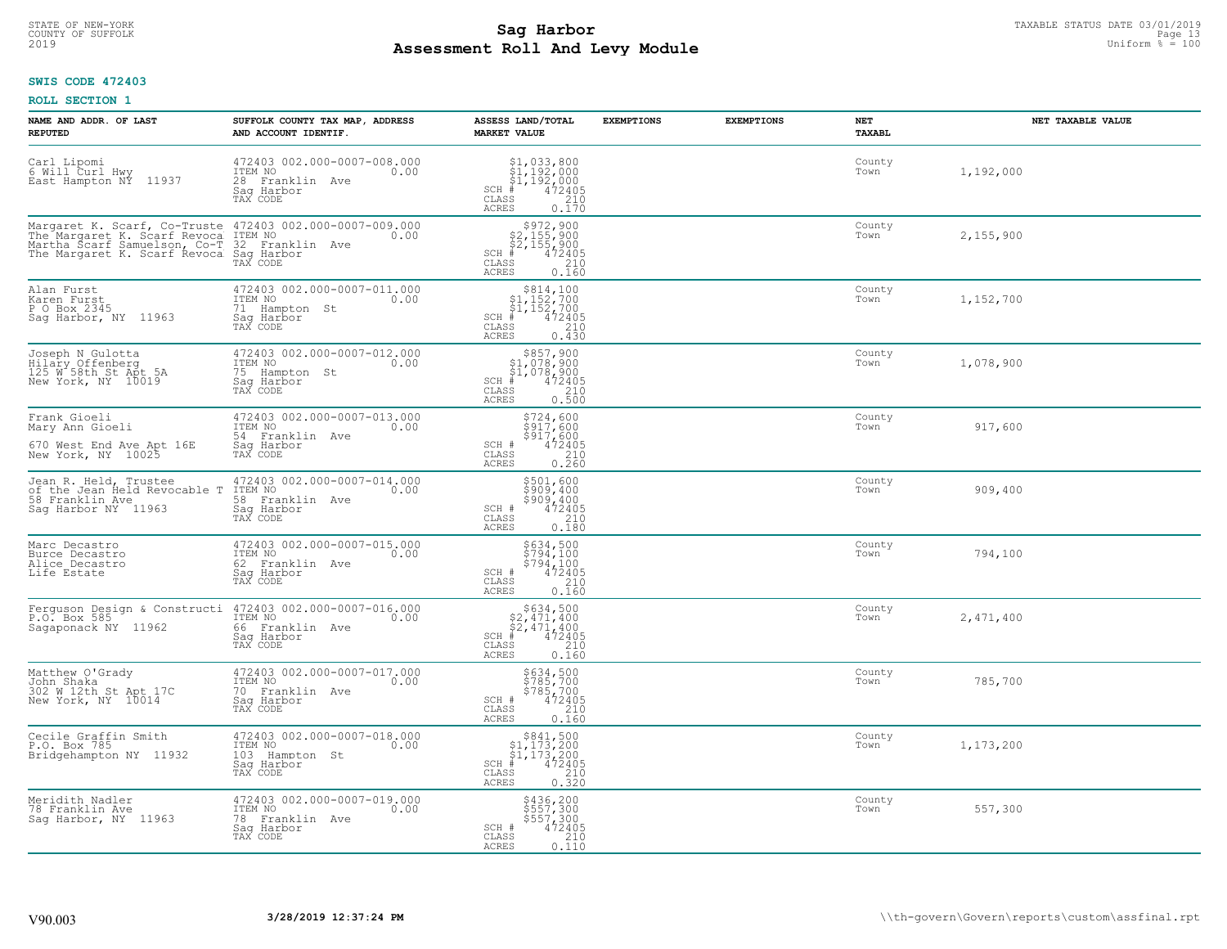## **SWIS CODE 472403**

| NAME AND ADDR. OF LAST<br><b>REPUTED</b>                                                                                     | SUFFOLK COUNTY TAX MAP, ADDRESS<br>AND ACCOUNT IDENTIF.                                       | ASSESS LAND/TOTAL<br><b>MARKET VALUE</b>                                                                                                                    | <b>EXEMPTIONS</b> | <b>EXEMPTIONS</b> | <b>NET</b><br>TAXABL | NET TAXABLE VALUE |
|------------------------------------------------------------------------------------------------------------------------------|-----------------------------------------------------------------------------------------------|-------------------------------------------------------------------------------------------------------------------------------------------------------------|-------------------|-------------------|----------------------|-------------------|
| Carl Lipomi<br>6 Will Curl Hwy<br>East Hampton NY<br>11937                                                                   | 472403 002.000-0007-008.000<br>ITEM NO<br>0.00<br>28 Franklin Ave<br>Saq Harbor<br>TAX CODE   | $$1,033,800$<br>$$1,192,000$<br>$$1,192,000$<br>$*$<br>$*$<br>$*$<br>$*$<br>$SCH$ #<br>CLASS<br>$\begin{array}{c} 210 \\ 0.170 \end{array}$<br><b>ACRES</b> |                   |                   | County<br>Town       | 1,192,000         |
| Margaret K. Scarf, Co-Truste<br>The Margaret K. Scarf Revoca<br>Martha Scarf Samuelson, Co-T<br>The Margaret K. Scarf Revoca | 472403 002.000-0007-009.000<br>ITEM NO<br>0.00<br>32 Franklin Ave<br>Saq Harbor<br>TAX CODE   | $$2,155,900$<br>$$2,155,900$<br>$$2,155,900$<br>$472405$<br>$SCH$ #<br>CLASS<br>$\frac{210}{0.160}$<br><b>ACRES</b>                                         |                   |                   | County<br>Town       | 2,155,900         |
| Alan Furst<br>Karen Furst<br>P O Box 2345<br>Sag Harbor, NY 11963                                                            | 472403 002.000-0007-011.000<br>ITEM NO<br>0.00<br>71<br>Hampton St<br>Sag Harbor<br>TAX CODE  | $\begin{array}{c} $814,100\n$1,152,700\n$1,152,700\n# 472405\n\end{array}$<br>SCH #<br>CLASS<br>210<br>0.430<br>ACRES                                       |                   |                   | County<br>Town       | 1,152,700         |
| Joseph N Gulotta<br>Hilary Offenberg<br>125 W 58th St Apt 5A<br>New York, NY 10019                                           | 472403 002.000-0007-012.000<br>TTEM NO 0.00<br>75 Hampton St<br>Saq Harbor<br>TAX CODE        | $$857,900$<br>$$1,078,900$<br>$$1,078,900$<br>$472405$<br>$$210$<br>SCH<br>CLASS<br>0.500<br>ACRES                                                          |                   |                   | County<br>Town       | 1,078,900         |
| Frank Gioeli<br>Mary Ann Gioeli<br>670 West End Ave Apt 16E<br>New York, NY 10025                                            | 472403 002.000-0007-013.000<br>ITEM NO<br>0.00<br>54 Franklin Ave<br>Saq Harbor<br>TAX CODE   | \$724,600<br>$\begin{array}{c}\n 3/47,600 \\  5917,600 \\  472405 \\  0.260\n \end{array}$<br>SCH #<br>CLASS<br><b>ACRES</b>                                |                   |                   | County<br>Town       | 917,600           |
| Jean R. Held, Trustee<br>of the Jean Held Revocable T<br>58 Franklin Ave<br>Saq Harbor NY 11963                              | 472403 002.000-0007-014.000<br>ITEM NO<br>0.00<br>58 Franklin Ave<br>Sag Harbor<br>TAX CODE   | \$501,600<br>\$909,400<br>\$909,400<br>472405<br>SCH #<br>$\mathtt{CLASS}$<br>210<br><b>ACRES</b><br>0.180                                                  |                   |                   | County<br>Town       | 909,400           |
| Marc Decastro<br>Burce Decastro<br>Alice Decastro<br>Life Estate                                                             | 472403 002.000-0007-015.000<br>ITEM NO<br>0.00<br>62 Franklin Ave<br>Saq Harbor<br>TAX CODE   | \$634,500<br>\$794,100<br>\$794,100<br>472405<br>SCH #<br>CLASS<br>210<br>0.160<br><b>ACRES</b>                                                             |                   |                   | County<br>Town       | 794,100           |
| Ferguson Design & Constructi<br>P.O. Box 585<br>Sagaponack NY 11962                                                          | 472403 002.000-0007-016.000<br>TTEM NO 0.00<br>66 Franklin Ave<br>Saq Harbor<br>TAX CODE      | SCH<br>CLASS<br>210<br><b>ACRES</b><br>0.160                                                                                                                |                   |                   | County<br>Town       | 2,471,400         |
| Matthew O'Grady<br>John Shaka<br>302 W 12th St Apt 17C<br>New York, NY 10014                                                 | 472403 002.000-0007-017.000<br>TTEM NO 0.00<br>70 Franklin Ave<br>Saq Harbor<br>TAX CODE      | \$634,500<br>\$785,700<br>\$785,700<br>\$785,700<br>SCH #<br>CLASS<br>210<br>ACRES<br>0.160                                                                 |                   |                   | County<br>Town       | 785,700           |
| Cecile Graffin Smith<br>P.O. Box 785<br>Bridgehampton NY 11932                                                               | 472403 002.000-0007-018.000<br>ITEM NO<br>0.00<br>103<br>Hampton St<br>Saq Harbor<br>TAX CODE | $\begin{array}{c} $841,500\n$1,173,200\n$1,173,200\n#1472405\n\end{array}$<br>SCH<br>$\frac{210}{0.320}$<br>CLASS<br><b>ACRES</b>                           |                   |                   | County<br>Town       | 1,173,200         |
| Meridith Nadler<br>78 Franklin Ave<br>Saq Harbor, NY 11963                                                                   | 472403 002.000-0007-019.000<br>ITEM NO<br>0.00<br>78 Franklin Ave<br>Sag Harbor<br>TAX CODE   | \$436,200<br>\$557,300<br>\$557,300<br>SCH #<br>472405<br>CLASS<br>$\frac{210}{0.110}$<br><b>ACRES</b>                                                      |                   |                   | County<br>Town       | 557,300           |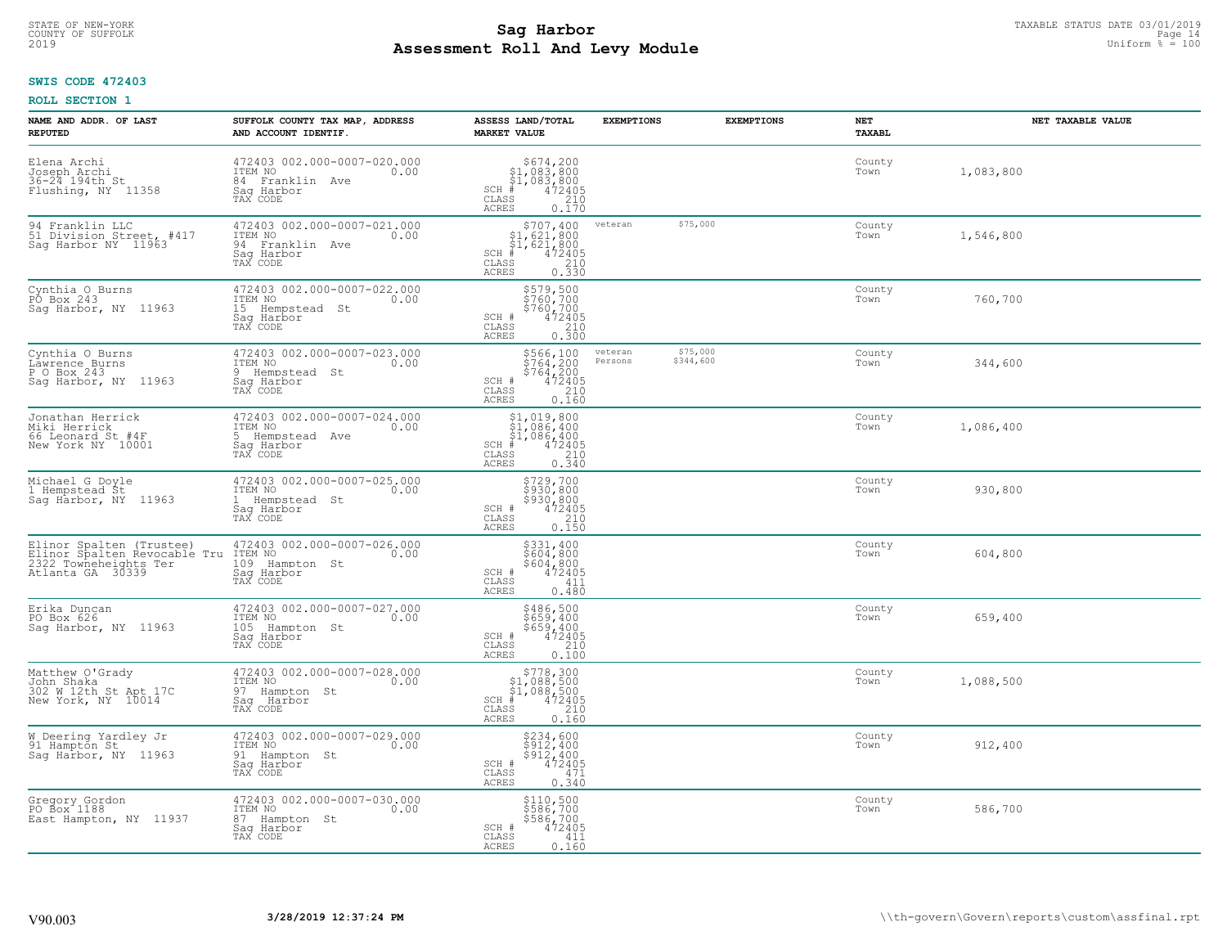## **SWIS CODE 472403**

| NAME AND ADDR. OF LAST<br><b>REPUTED</b>                                                              | SUFFOLK COUNTY TAX MAP, ADDRESS<br>AND ACCOUNT IDENTIF.                                       | ASSESS LAND/TOTAL<br><b>MARKET VALUE</b>                                                                                      | <b>EXEMPTIONS</b>  | <b>EXEMPTIONS</b>     | <b>NET</b><br><b>TAXABL</b> | NET TAXABLE VALUE |
|-------------------------------------------------------------------------------------------------------|-----------------------------------------------------------------------------------------------|-------------------------------------------------------------------------------------------------------------------------------|--------------------|-----------------------|-----------------------------|-------------------|
| Elena Archi<br>Joseph Archi<br>36-24 194th St<br>Flushing, NY 11358                                   | 472403 002.000-0007-020.000<br>ITEM NO<br>0.00<br>84 Franklin Ave<br>Saq Harbor<br>TAX CODE   | $$674, 200$<br>$$1, 083, 800$<br>$$1, 083, 800$<br>$472405$<br>$$210$<br>$SCH$ #<br>CLASS<br>ACRES<br>0.170                   |                    |                       | County<br>Town              | 1,083,800         |
| 94 Franklin LLC<br>51 Division Street, #417<br>Sag Harbor NY 11963                                    | 472403 002.000-0007-021.000<br>ITEM NO<br>0.00<br>94 Franklin Ave<br>Saq Harbor<br>TAX CODE   | \$707,400<br>\$1,621,800<br>\$1,621,800<br>472405<br>$SCH$ #<br>CLASS<br>$\begin{array}{c} 210 \\ 0.330 \end{array}$<br>ACRES | veteran            | \$75,000              | County<br>Town              | 1,546,800         |
| Cynthia O Burns<br>PO Box 243<br>Sag Harbor, NY 11963                                                 | 472403 002.000-0007-022.000<br>ITEM NO<br>0.00<br>15 Hempstead St<br>Saq Harbor<br>TAX CODE   | \$579,500<br>\$760,700<br>\$760,700<br>SCH #<br>$\begin{smallmatrix} 472405\ 210\ 0.300 \end{smallmatrix}$<br>CLASS<br>ACRES  |                    |                       | County<br>Town              | 760,700           |
| Cynthia O Burns<br>Lawrence Burns<br>P O Box 243<br>Sag Harbor, NY 11963                              | 472403 002.000-0007-023.000<br>ITEM NO<br>0.00<br>9 Hempstead St<br>Saq Harbor<br>TAX CODE    | \$566,100<br>\$764,200<br>\$764,200<br>\$764,200<br>\$72405<br>\$10<br>\$160<br>SCH #<br>CLASS<br>ACRES                       | veteran<br>Persons | \$75,000<br>\$344,600 | County<br>Town              | 344,600           |
| Jonathan Herrick<br>Miki Herrick<br>66 Leonard St #4F<br>New York NY 10001                            | 472403 002.000-0007-024.000<br>ITEM NO<br>0.00<br>5 Hempstead Ave<br>Saq Harbor<br>TAX CODE   | \$1,019,800<br>31,086,400<br>\$1,086,400<br>\$1,086,400<br>\$5 210<br>\$5 0.340<br>$SCH$ #<br>CLASS<br>ACRES                  |                    |                       | County<br>Town              | 1,086,400         |
| Michael G Doyle<br>1 Hempstead St<br>Sag Harbor, NY 11963                                             | 472403 002.000-0007-025.000<br>ITEM NO<br>0.00<br>1 Hempstead St<br>Sag Harbor<br>TAX CODE    | $$729,700$<br>$$930,800$<br>$$930,800$<br>$$472405$<br>$$210$<br>SCH #<br>CLASS<br>0.150<br>ACRES                             |                    |                       | County<br>Town              | 930,800           |
| Elinor Spalten (Trustee)<br>Elinor Spalten Revocable Tru<br>2322 Towneheights Ter<br>Atlanta GA 30339 | 472403 002.000-0007-026.000<br>ITEM NO<br>0.00<br>109<br>Hampton St<br>Saq Harbor<br>TAX CODE | \$331,400<br>\$604,800<br>\$604,800<br>472405<br>SCH #<br>411<br>CLASS<br>ACRES<br>0.480                                      |                    |                       | County<br>Town              | 604,800           |
| Erika Duncan<br>PO Box 626<br>Sag Harbor, NY 11963                                                    | 472403 002.000-0007-027.000<br>ITEM NO<br>0.00<br>105 Hampton St<br>Saq Harbor<br>TAX CODE    | $$486,500$<br>$$659,400$<br>$$659,400$<br>$472405$<br>$$210$<br>SCH #<br>CLASS<br>ACRES<br>0.100                              |                    |                       | County<br>Town              | 659,400           |
| Matthew O'Grady<br>John Shaka<br>302 W 12th St Apt 17C<br>New York, NY 10014                          | 472403 002.000-0007-028.000<br>TTEM NO 0.00<br>97 Hampton St<br>Saq Harbor<br>TAX CODE        | $$778,300$<br>$$1,088,500$<br>$$1,088,500$<br>$*$<br>$472405$<br>$$240$<br>$$160$<br>SCH<br>CLASS<br>ACRES<br>0.160           |                    |                       | County<br>Town              | 1,088,500         |
| W Deering Yardley Jr<br>91 Hampton St<br>Sag Harbor, NY 11963                                         | 472403 002.000-0007-029.000<br>ITEM NO<br>0.00<br>91 Hampton St<br>Sag Harbor<br>TAX CODE     | \$234,600<br>\$912,400<br>\$912,400<br>472405<br>SCH #<br>471<br>CLASS<br><b>ACRES</b><br>0.340                               |                    |                       | County<br>Town              | 912,400           |
| Gregory Gordon<br>PO Box 1188<br>East Hampton, NY 11937                                               | 472403 002.000-0007-030.000<br>ITEM NO<br>0.00<br>87 Hampton St<br>Sag Harbor<br>TAX CODE     | \$110,500<br>\$586,700<br>\$586,700<br>SCH #<br>472405<br>CLASS<br>411<br>ACRES<br>0.160                                      |                    |                       | County<br>Town              | 586,700           |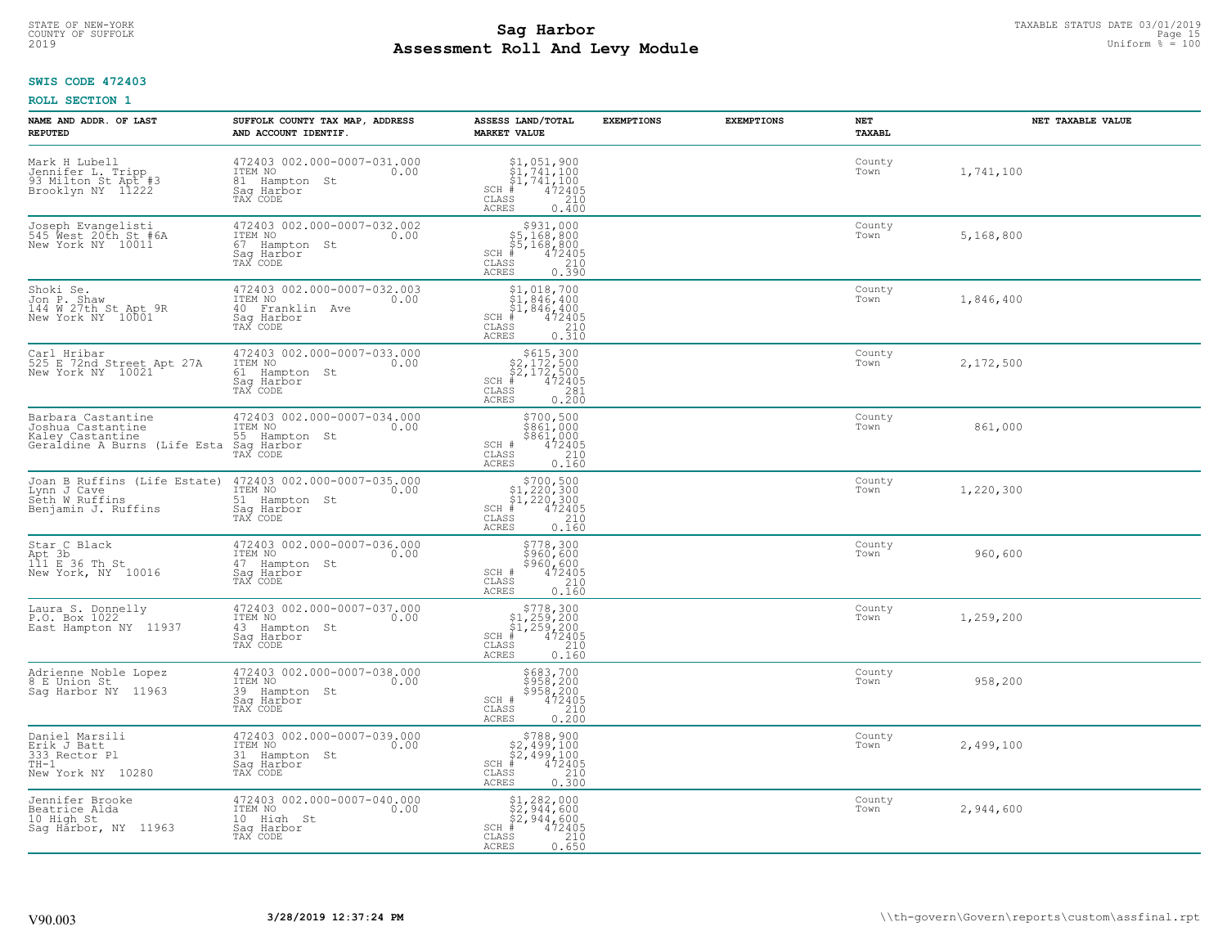## **SWIS CODE 472403**

| NAME AND ADDR. OF LAST<br><b>REPUTED</b>                                                    | SUFFOLK COUNTY TAX MAP, ADDRESS<br>AND ACCOUNT IDENTIF.                                     | ASSESS LAND/TOTAL<br><b>MARKET VALUE</b>                                                                                                                                                                                                                                                                                                                     | <b>EXEMPTIONS</b> | <b>EXEMPTIONS</b> | NET<br>TAXABL  | NET TAXABLE VALUE |
|---------------------------------------------------------------------------------------------|---------------------------------------------------------------------------------------------|--------------------------------------------------------------------------------------------------------------------------------------------------------------------------------------------------------------------------------------------------------------------------------------------------------------------------------------------------------------|-------------------|-------------------|----------------|-------------------|
| Mark H Lubell<br>Jennifer L. Tripp<br>93 Milton St Apt #3<br>Brooklyn NY 11222              | 472403 002.000-0007-031.000<br>ITEM NO<br>0.00<br>81 Hampton St<br>Saq Harbor<br>TAX CODE   | $\begin{array}{l} $1,051,900 \ $1,741,100 \ $1,741,100 \ \end{array}$<br>$SCH$ #<br>CLASS<br>210<br>ACRES<br>0.400                                                                                                                                                                                                                                           |                   |                   | County<br>Town | 1,741,100         |
| Joseph Evangelisti<br>545 West 20th St #6A<br>New York NY 10011                             | 472403 002.000-0007-032.002<br>ITEM NO<br>0.00<br>67 Hampton St<br>Sag Harbor<br>TAX CODE   | $\begin{array}{r}  \  \  \, 5931,000 \\  \  \, 55,168,800 \\  \  \, 55,168,800 \\  \  \  \, 472405 \\  \  \, 55 & 210 \\  \  \, 55 & 210 \\  \  \, 55 & 210 \\  \  \, 55 & 210 \\  \  \, 55 & 210 \\  \  \, 59 & 210 \\  \  \, 59 & 210 \\  \  \, 59 & 210 \\  \  \, 59 & 210 \\  \  \, 59 & 210 \\  \  \, 5$<br>$SCH$ $#$<br>CLASS<br>0.390<br><b>ACRES</b> |                   |                   | County<br>Town | 5,168,800         |
| Shoki Se.<br>Jon P. Shaw<br>144 W 27th St Apt 9R<br>New York NY 10001                       | 472403 002.000-0007-032.003<br>ITEM NO<br>0.00<br>40 Franklin Ave<br>Saq Harbor<br>TAX CODE | $$1,018,700$<br>$$1,846,400$<br>$$1,846,400$<br>$472405$<br>$$210$<br>SCH #<br>CLASS<br>0.310<br>ACRES                                                                                                                                                                                                                                                       |                   |                   | County<br>Town | 1,846,400         |
| Carl Hribar<br>525 E 72nd Street Apt 27A<br>New York NY 10021                               | 472403 002.000-0007-033.000<br>ITEM NO<br>0.00<br>61 Hampton St<br>Saq Harbor<br>TAX CODE   | $$615,300$<br>$$2,172,500$<br>$$2,172,500$<br>$$472405$<br>$SCH$ #<br>CLASS<br>281<br><b>ACRES</b><br>0.200                                                                                                                                                                                                                                                  |                   |                   | County<br>Town | 2,172,500         |
| Barbara Castantine<br>Joshua Castanține<br>Kaley Castantine<br>Geraldine A Burns (Life Esta | 472403 002.000-0007-034.000<br>ITEM NO<br>0.00<br>55 Hampton St<br>Saq Harbor<br>TAX CODE   | \$700,500<br>\$861,000<br>\$861,000<br>472405<br>SCH #<br>CLASS<br>210<br>ACRES<br>0.160                                                                                                                                                                                                                                                                     |                   |                   | County<br>Town | 861,000           |
| Joan B Ruffins (Life Estate)<br>Lynn J Cave<br>Seth W Ruffins<br>Benjamin J. Ruffins        | 472403 002.000-0007-035.000<br>ITEM NO<br>0.00<br>51 Hampton St<br>Saq Harbor<br>TAX CODE   | $$700,500$<br>$$1,220,300$<br>$$1,220,300$<br>$*$ 472405<br>$SCH$ #<br>$\mathtt{CLASS}$<br>210<br>0.160<br>ACRES                                                                                                                                                                                                                                             |                   |                   | County<br>Town | 1,220,300         |
| Star C Black<br>Apt 3b<br>111 E 36 Th St<br>New York, NY 10016                              | 472403 002.000-0007-036.000<br>TTEM NO 0.00<br>47 Hampton St<br>Sag Harbor<br>TAX CODE      | \$778,300<br>\$960,600<br>\$960,600<br>\$960,600<br>SCH #<br>CLASS<br>210<br>0.160<br><b>ACRES</b>                                                                                                                                                                                                                                                           |                   |                   | County<br>Town | 960,600           |
| Laura S. Donnelly<br>P.O. Box 1022<br>East Hampton NY 11937                                 | 472403 002.000-0007-037.000<br>0.00 0.00<br>0.00<br>43 Hampton St<br>Saq Harbor<br>TAX CODE | $$778,300$<br>$$1,259,200$<br>$$1,259,200$<br>$472405$<br>$$210$<br>$SCH$ #<br>CLASS<br><b>ACRES</b><br>0.160                                                                                                                                                                                                                                                |                   |                   | County<br>Town | 1,259,200         |
| Adrienne Noble Lopez<br>8 E Union St<br>Saq Harbor NY 11963                                 | 472403 002.000-0007-038.000<br>ITEM NO<br>0.00<br>39 Hampton St<br>Saq Harbor<br>TAX CODE   | \$683,700<br>\$958,200<br>\$958,200<br>SCH #<br>472405<br>CLASS<br>210<br><b>ACRES</b><br>0.200                                                                                                                                                                                                                                                              |                   |                   | County<br>Town | 958,200           |
| Daniel Marsili<br>Erik J Batt<br>333 Rector Pl<br>$TH-1$<br>New York NY 10280               | 472403 002.000-0007-039.000<br>ITEM NO<br>0.00<br>31 Hampton St<br>Saq Harbor<br>TAX CODE   | $$788,900$<br>$$2,499,100$<br>$$2,499,100$<br>$$472405$<br>$SCH$ $#$<br>CLASS<br>210<br>ACRES<br>0.300                                                                                                                                                                                                                                                       |                   |                   | County<br>Town | 2,499,100         |
| Jennifer Brooke<br>Beatrice Alda<br>10 High St<br>Sag Harbor, NY 11963                      | 472403 002.000-0007-040.000<br>ITEM NO<br>0.00<br>10 High St<br>Saq Harbor<br>TAX CODE      | $$2, 282, 000$<br>$$2, 944, 600$<br>$$2, 944, 600$<br>$SCH$ #<br>472405<br>CLASS<br>210<br>0.650<br>ACRES                                                                                                                                                                                                                                                    |                   |                   | County<br>Town | 2,944,600         |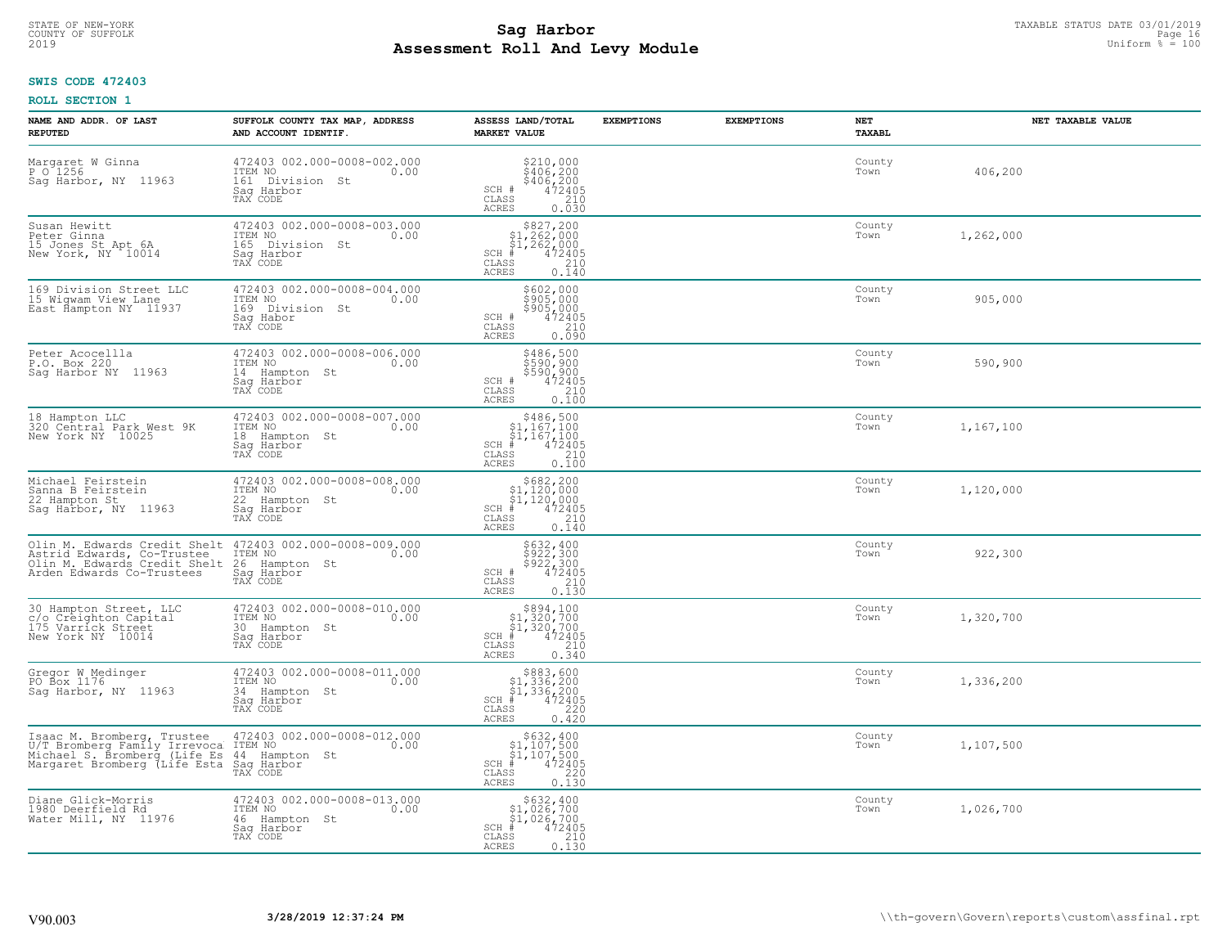# **SWIS CODE 472403**

| NAME AND ADDR. OF LAST<br><b>REPUTED</b>                                                                                                         | SUFFOLK COUNTY TAX MAP, ADDRESS<br>AND ACCOUNT IDENTIF.                                      | ASSESS LAND/TOTAL<br><b>MARKET VALUE</b>                                                                                      | <b>EXEMPTIONS</b> | <b>EXEMPTIONS</b> | NET<br><b>TAXABL</b> | NET TAXABLE VALUE |
|--------------------------------------------------------------------------------------------------------------------------------------------------|----------------------------------------------------------------------------------------------|-------------------------------------------------------------------------------------------------------------------------------|-------------------|-------------------|----------------------|-------------------|
| Margaret W Ginna<br>P 0 1256<br>Sag Harbor, NY 11963                                                                                             | 472403 002.000-0008-002.000<br>ITEM NO<br>0.00<br>161 Division St<br>Saq Harbor<br>TAX CODE  | $$210,000\n$406,200\n$406,200\n472405\n210$<br>SCH #<br>CLASS<br><b>ACRES</b><br>0.030                                        |                   |                   | County<br>Town       | 406,200           |
| Susan Hewitt<br>Peter Ginna<br>15 Jones St Apt 6A<br>New York, NY 10014                                                                          | 472403 002.000-0008-003.000<br>ITEM NO<br>0.00<br>165 Division St<br>Saq Harbor<br>TAX CODE  | $$827, 200$<br>$$1, 262, 000$<br>$$1, 262, 000$<br>$SCH$ #<br>472405<br>CLASS<br>210<br>0.140<br><b>ACRES</b>                 |                   |                   | County<br>Town       | 1,262,000         |
| 169 Division Street LLC<br>15 Wigwam View Lane<br>East Hampton NY 11937                                                                          | 472403 002.000-0008-004.000<br>ITEM NO<br>0.00<br>169 Division St<br>Saq Habor<br>TAX CODE   | \$602,000<br>\$905,000<br>\$905,000<br>\$905,000<br>SCH #<br>CLASS<br>210<br>0.090<br>ACRES                                   |                   |                   | County<br>Town       | 905,000           |
| Peter Acocellla<br>P.O. Box 220<br>Saq Harbor NY 11963                                                                                           | 472403 002.000-0008-006.000<br>TTEM NO 0.00<br>14 Hampton St<br>Saq Harbor<br>TAX CODE       | \$486,500<br>\$590,900<br>\$590,900<br>472405<br>SCH #<br>CLASS<br>210<br><b>ACRES</b><br>0.100                               |                   |                   | County<br>Town       | 590,900           |
| 18 Hampton LLC<br>320 Central Park West 9K<br>New York NY 10025                                                                                  | 472403 002.000-0008-007.000<br>ITEM NO<br>0.00<br>18 Hampton St<br>Saq Harbor<br>TAX CODE    | $$486,500$<br>$$1,167,100$<br>$$1,167,100$<br>$472405$<br>$$240$<br>$SCH$ #<br>CLASS<br><b>ACRES</b><br>0.100                 |                   |                   | County<br>Town       | 1,167,100         |
| Michael Feirstein<br>Sanna B Feirstein<br>22 Hampton St<br>Saq Harbor, NY 11963                                                                  | 472403 002.000-0008-008.000<br>ITEM NO<br>0.00<br>22 Hampton St<br>Sag Harbor<br>TAX CODE    | $$682, 200$<br>$$1, 120, 000$<br>$$1, 120, 000$<br>$4$<br>$472405$<br>$$210$<br>$SCH$ #<br>CLASS<br>0.140<br><b>ACRES</b>     |                   |                   | County<br>Town       | 1,120,000         |
| Olin M. Edwards Credit Shelt<br>Astrid Edwards, Co-Trustee<br>Olin M. Edwards Credit Shelt<br>Arden Edwards Co-Trustees                          | 472403 002.000-0008-009.000<br>ITEM NO<br>0.00<br>26<br>Hampton St<br>Saq Harbor<br>TAX CODE | \$632,400<br>\$922,300<br>\$922,300<br>472405<br>SCH #<br>$\frac{210}{0.130}$<br>CLASS<br><b>ACRES</b>                        |                   |                   | County<br>Town       | 922,300           |
| 30 Hampton Street, LLC<br>c/o Creighton Capital<br>175 Varrick Street<br>New York NY 10014                                                       | 472403 002.000-0008-010.000<br>TTEM NO 0.00<br>30 Hampton St<br>Saq Harbor<br>TAX CODE       | $\begin{array}{c} $894,100 $1,320,700 $1,320,700 # 472405 \end{array}$<br>$SCH$ #<br>CLASS<br>210<br><b>ACRES</b><br>0.340    |                   |                   | County<br>Town       | 1,320,700         |
| Gregor W Medinger<br>PO Box 1176<br>Saq Harbor, NY 11963                                                                                         | 472403 002.000-0008-011.000<br>ITEM NO 0.00<br>34 Hampton St<br>Saq Harbor<br>TAX CODE       | $$883,600$<br>$$1,336,200$<br>$$1,336,200$<br>$*1,336,200$<br>$*1,472405$<br>$SCH$ #<br>CLASS<br>220<br><b>ACRES</b><br>0.420 |                   |                   | County<br>Town       | 1,336,200         |
| Isaac M. Bromberg, Trustee<br>U/T Bromberg Family Irrevoca<br>Michael S. Bromberg (Life Es 44 Hampton<br>Margaret Bromberg (Life Esta Sag Harbor | 472403 002.000-0008-012.000<br>ITEM NO<br>0.00<br>44 Hampton<br>St<br>TAX CODE               | $$632, 400$<br>$$1, 107, 500$<br>$$1, 107, 500$<br>$472405$<br>$$220$<br>$SCH$ #<br>CLASS<br>0.130<br><b>ACRES</b>            |                   |                   | County<br>Town       | 1,107,500         |
| Diane Glick-Morris<br>1980 Deerfield Rd<br>Water Mill, NY 11976                                                                                  | 472403 002.000-0008-013.000<br>ITEM NO<br>0.00<br>46 Hampton St<br>Sag Harbor<br>TAX CODE    | \$632,400<br>\$1,026,700<br>\$1,026,700<br>$SCH$ #<br>472405<br>$\mathtt{CLASS}$<br>$\frac{210}{0.130}$<br><b>ACRES</b>       |                   |                   | County<br>Town       | 1,026,700         |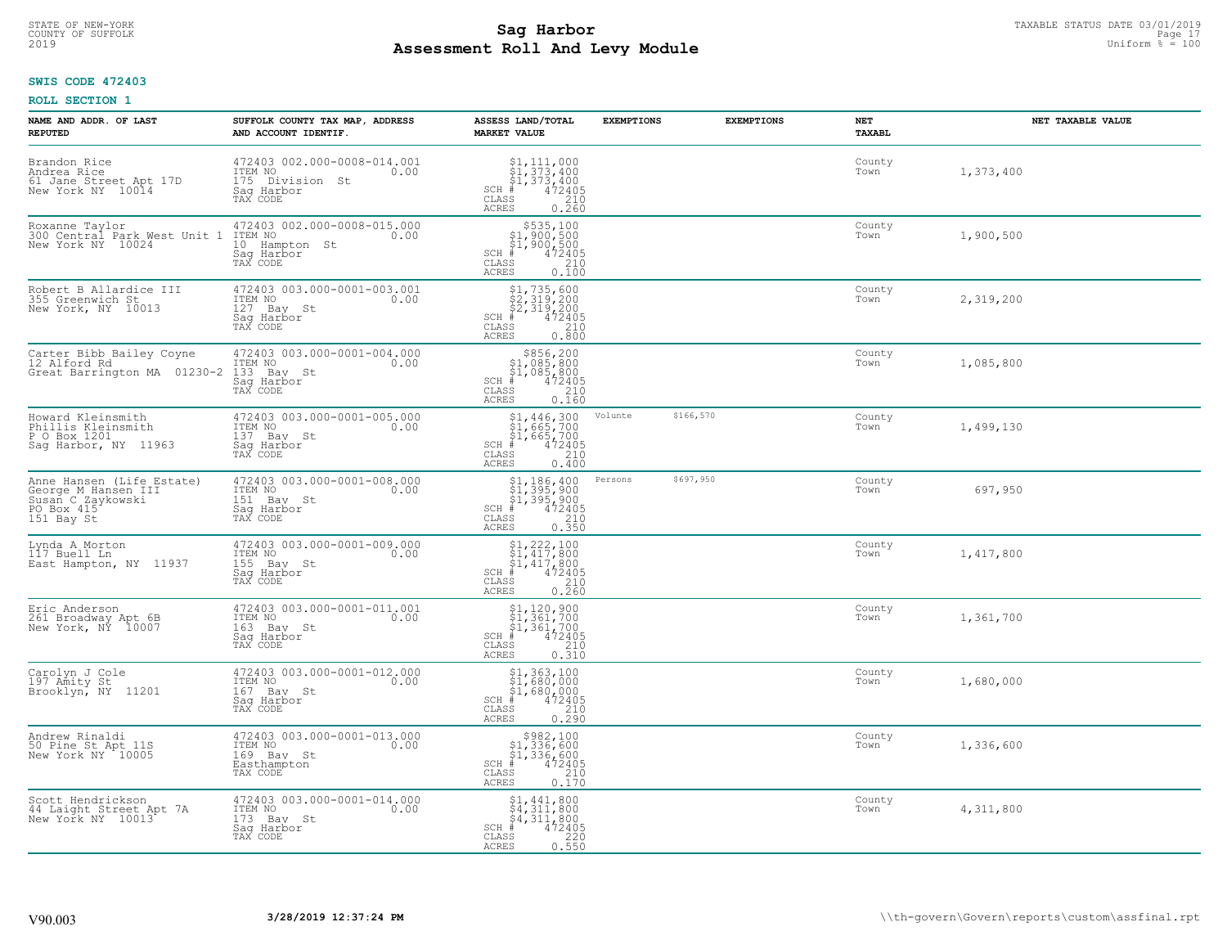## **SWIS CODE 472403**

| NAME AND ADDR. OF LAST<br><b>REPUTED</b>                                                          | SUFFOLK COUNTY TAX MAP, ADDRESS<br>AND ACCOUNT IDENTIF.                                     | ASSESS LAND/TOTAL<br><b>MARKET VALUE</b>                                                                                                                                       | <b>EXEMPTIONS</b> | <b>EXEMPTIONS</b> | NET<br><b>TAXABL</b> | NET TAXABLE VALUE |
|---------------------------------------------------------------------------------------------------|---------------------------------------------------------------------------------------------|--------------------------------------------------------------------------------------------------------------------------------------------------------------------------------|-------------------|-------------------|----------------------|-------------------|
| Brandon Rice<br>Andrea Rice<br>61 Jane Street Apt 17D<br>New York NY 10014                        | 472403 002.000-0008-014.001<br>ITEM NO<br>0.00<br>175 Division St<br>Saq Harbor<br>TAX CODE | \$1,111,000<br>$SCH$ #<br>CLASS<br><b>ACRES</b><br>0.260                                                                                                                       |                   |                   | County<br>Town       | 1,373,400         |
| Roxanne Taylor<br>300 Central Park West Unit 1<br>New York NY 10024                               | 472403 002.000-0008-015.000<br>ITEM NO<br>0.00<br>10 Hampton St<br>Sag Harbor<br>TAX CODE   | $$535,100$<br>$$1,900,500$<br>$$1,900,500$<br>$*1,900,500$<br>$*1,900,500$<br>$SCH$ #<br>CLASS<br>210<br>0.100<br><b>ACRES</b>                                                 |                   |                   | County<br>Town       | 1,900,500         |
| Robert B Allardice III<br>355 Greenwich St<br>New York, NY 10013                                  | 472403 003.000-0001-003.001<br>ITEM NO<br>0.00<br>127 Bay St<br>Saq Harbor<br>TAX CODE      | $$1, 735, 600$<br>$$2, 319, 200$<br>$$2, 319, 200$<br>$$472405$<br>$SCH$ #<br>CLASS<br>$\frac{210}{0.800}$<br><b>ACRES</b>                                                     |                   |                   | County<br>Town       | 2,319,200         |
| Carter Bibb Bailey Coyne<br>12 Alford Rd<br>Great Barrington MA 01230-2                           | 472403 003.000-0001-004.000<br>ITEM NO<br>0.00<br>133 Bay St<br>Saq Harbor<br>TAX CODE      | $$856, 200$<br>$$1, 085, 800$<br>$$1, 085, 800$<br>$472405$<br>$$210$<br>$SCH$ #<br>CLASS<br><b>ACRES</b><br>0.160                                                             |                   |                   | County<br>Town       | 1,085,800         |
| Howard Kleinsmith<br>Phillis Kleinsmith<br>P O Box 1201<br>Sag Harbor, NY 11963                   | 472403 003.000-0001-005.000<br>ITEM NO<br>0.00<br>137 Bay St<br>Saq Harbor<br>TAX CODE      | $$1,446,300$<br>$$1,665,700$<br>$$1,665,700$<br>$472405$<br>$35$<br>$240$<br>SCH #<br>CLASS<br><b>ACRES</b><br>0.400                                                           | Volunte           | \$166,570         | County<br>Town       | 1,499,130         |
| Anne Hansen (Life Estate)<br>George M_Hansen III<br>Susan C Zaykowski<br>PO Box 415<br>151 Bay St | 472403 003.000-0001-008.000<br>ITEM NO<br>151 Bay St<br>0.00<br>Sag Harbor<br>TAX CODE      | $$1, 186, 400$<br>$$1, 395, 900$<br>$$1, 395, 900$<br>$$472405$<br>SCH<br>. #<br>CLASS<br>210<br>0.350<br><b>ACRES</b>                                                         | Persons           | \$697,950         | County<br>Town       | 697,950           |
| Lynda A Morton<br>117 Buell Ln<br>East Hampton, NY 11937                                          | 472403 003.000-0001-009.000<br>ITEM NO<br>0.00<br>155<br>Bay St<br>Saq Harbor<br>TAX CODE   | $\begin{array}{l} $1,222,100\\ $1,417,800\\ $1,417,800\\ $4,417,800\\ $4,42405 \end{array}$<br>$SCH$ #<br>CLASS<br>$\begin{array}{c} 210 \\ 0.260 \end{array}$<br><b>ACRES</b> |                   |                   | County<br>Town       | 1,417,800         |
| Eric Anderson<br>261 Broadway Apt 6B<br>New York, NY 10007                                        | 472403 003.000-0001-011.001<br>ITEM NO 0.00<br>163 Bay St<br>Saq Harbor<br>TAX CODE         | $$1, 120, 900$<br>$$1, 361, 700$<br>$$1, 361, 700$<br>$*$<br>$*$<br>$*$<br>$*$<br>$SCH$ #<br>CLASS<br>210<br><b>ACRES</b><br>0.310                                             |                   |                   | County<br>Town       | 1,361,700         |
| Carolyn J Cole<br>197 Amity St<br>Brooklyn, NY 11201                                              | 472403 003.000-0001-012.000<br>TTEM NO 0.00<br>167 Bay St<br>Saq Harbor<br>TAX CODE         | $$1,363,100$<br>$$1,680,000$<br>$$1,680,000$<br>$*$<br>$*$ 472405<br>$SCH$ #<br>CLASS<br>210<br><b>ACRES</b><br>0.290                                                          |                   |                   | County<br>Town       | 1,680,000         |
| Andrew Rinaldi<br>50 Pine St Apt 11S<br>New York NY 10005                                         | 472403 003.000-0001-013.000<br>ITEM NO<br>0.00<br>169 Bay St<br>Easthampton<br>TAX CODE     | $$982,100$<br>$$1,336,600$<br>$$1,336,600$<br>$*1,336,600$<br>$*1,472405$<br>SCH<br>$\begin{array}{c} 210 \\ 0.170 \end{array}$<br>CLASS<br><b>ACRES</b>                       |                   |                   | County<br>Town       | 1,336,600         |
| Scott Hendrickson<br>44 Laight Street Apt 7A<br>New York NY 10013                                 | 472403 003.000-0001-014.000<br>ITEM NO<br>0.00<br>173 Bay St<br>Saq Harbor<br>TAX CODE      | $$4,311,800$<br>$$4,311,800$<br>$$4,311,800$<br>$$4,311,800$<br>$SCH$ #<br>472405<br>CLASS<br>220<br><b>ACRES</b><br>0.550                                                     |                   |                   | County<br>Town       | 4,311,800         |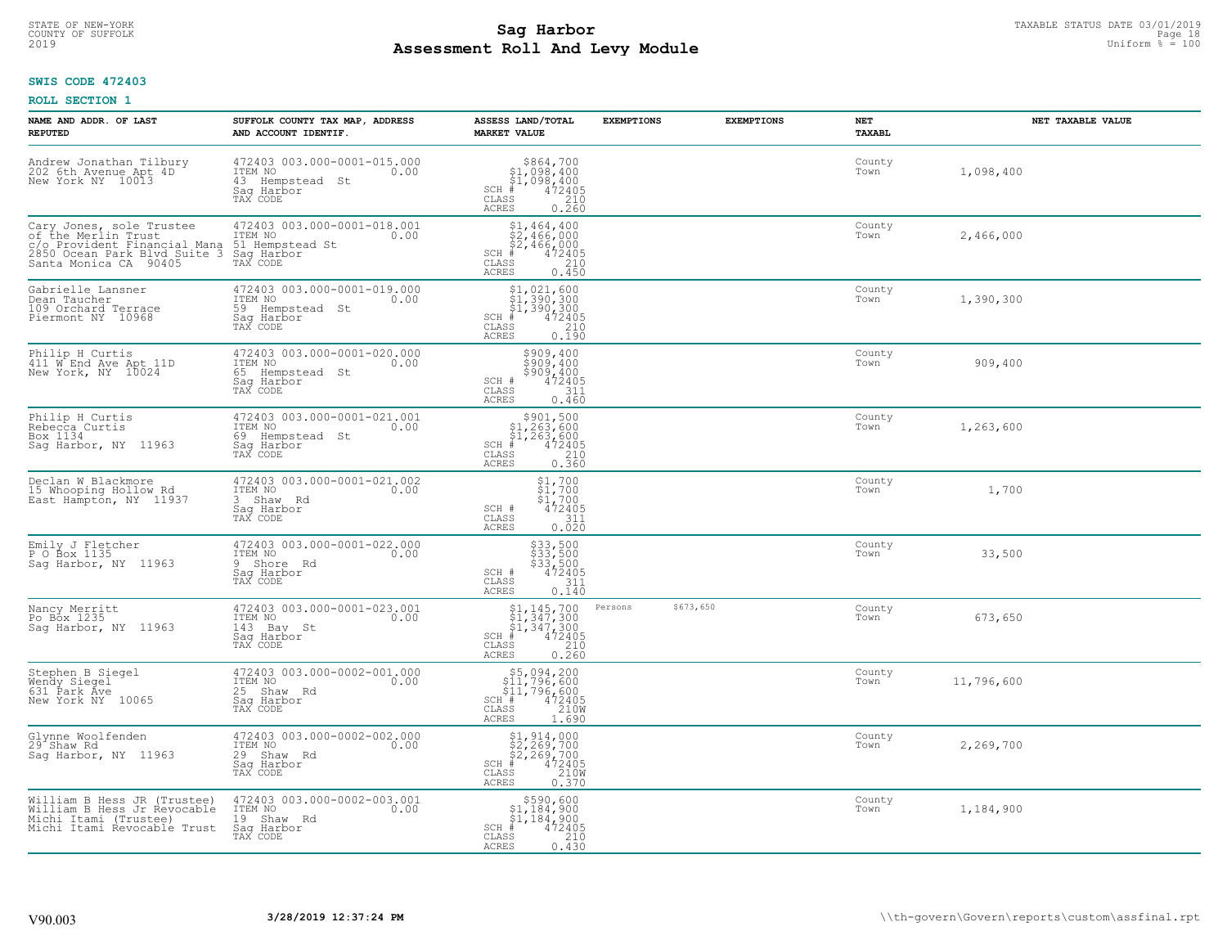## **SWIS CODE 472403**

| NAME AND ADDR. OF LAST<br><b>REPUTED</b>                                                                                                 | SUFFOLK COUNTY TAX MAP, ADDRESS<br>AND ACCOUNT IDENTIF.                                     | ASSESS LAND/TOTAL<br><b>MARKET VALUE</b>                                                                                                                                             | <b>EXEMPTIONS</b>    | <b>EXEMPTIONS</b> | NET<br>TAXABL  | NET TAXABLE VALUE |
|------------------------------------------------------------------------------------------------------------------------------------------|---------------------------------------------------------------------------------------------|--------------------------------------------------------------------------------------------------------------------------------------------------------------------------------------|----------------------|-------------------|----------------|-------------------|
| Andrew Jonathan Tilbury<br>202 6th Avenue Apt 4D<br>New York NY 10013                                                                    | 472403 003.000-0001-015.000<br>ITEM NO<br>0.00<br>43 Hempstead St<br>Saq Harbor<br>TAX CODE | $\begin{array}{r}  \  \  \, 864,700\\  \  \  1,098,400\\  \  \  1,098,400\\  \  \  \, 402405\\  \  \  \, 85\\  \  \  \, 85\\  \  \  \, 0.260 \end{array}$<br>SCH #<br>CLASS<br>ACRES |                      |                   | County<br>Town | 1,098,400         |
| Cary Jones, sole Trustee<br>of the Merlin Trust<br>c/o Provident Financial Mana<br>2850 Ocean Park Blvd Suite 3<br>Santa Monica CA 90405 | 472403 003.000-0001-018.001<br>ITEM NO<br>0.00<br>51 Hempstead St<br>Sag Harbor<br>TAX CODE | $$2,464,400$<br>$$2,466,000$<br>$$2,466,000$<br>$472405$<br>$$35$<br>$$210$<br>$SCH$ #<br>CLASS<br>0.450<br><b>ACRES</b>                                                             |                      |                   | County<br>Town | 2,466,000         |
| Gabrielle Lansner<br>Dean Taucher<br>109 Orchard Terrace<br>Piermont NY 10968                                                            | 472403 003.000-0001-019.000<br>ITEM NO<br>0.00<br>59 Hempstead St<br>Saq Harbor<br>TAX CODE | $$1,021,600$<br>$$1,390,300$<br>$$1,390,300$<br>$472405$<br>$$210$<br>SCH #<br>CLASS<br>ACRES<br>0.190                                                                               |                      |                   | County<br>Town | 1,390,300         |
| Philip H Curtis<br>411 W End Ave Apt 11D<br>New York, NY 10024                                                                           | 472403 003.000-0001-020.000<br>ITEM NO<br>0.00<br>65 Hempstead St<br>Sag Harbor<br>TAX CODE | \$909,400<br>\$909,400<br>\$909,400<br>SCH #<br>472405<br>CLASS<br>311<br><b>ACRES</b><br>0.460                                                                                      |                      |                   | County<br>Town | 909,400           |
| Philip H Curtis<br>Rebecca Curtis<br>Box 1134<br>Saq Harbor, NY 11963                                                                    | 472403 003.000-0001-021.001<br>ITEM NO<br>0.00<br>69 Hempstead St<br>Saq Harbor<br>TAX CODE | $$3901,500\n$1,263,600\n$1,263,600\n# 472405\n35\n210$<br>$SCH$ #<br>CLASS<br>0.360<br>ACRES                                                                                         |                      |                   | County<br>Town | 1,263,600         |
| Declan W Blackmore<br>15 Whooping Hollow Rd<br>East Hampton, NY 11937                                                                    | 472403 003.000-0001-021.002<br>ITEM NO<br>0.00<br>3 Shaw Rd<br>Saq Harbor<br>TAX CODE       | $\begin{array}{c} 51,700 \\ 51,700 \\ 472405 \end{array}$<br>SCH #<br>311<br>CLASS<br>0.020<br>ACRES                                                                                 |                      |                   | County<br>Town | 1,700             |
| Emily J Fletcher<br>P O Box 1135<br>Saq Harbor, NY 11963                                                                                 | 472403 003.000-0001-022.000<br>TTEM NO 0.00<br>9 Shore Rd<br>Sag Harbor<br>TAX CODE         | \$33,500<br>\$33,500<br>\$33,500<br>\$472405<br>SCH #<br>CLASS<br>311<br>0.140<br><b>ACRES</b>                                                                                       |                      |                   | County<br>Town | 33,500            |
| Nancy Merritt<br>Po Box 1235<br>Sag Harbor, NY 11963                                                                                     | 472403 003.000-0001-023.001<br>ITEM NO<br>0.00<br>143 Bay St<br>Saq Harbor<br>TAX CODE      | $$1,145,700$<br>$$1,347,300$<br>$$1,347,300$<br>$472405$<br>$$210$<br>$SCH$ #<br>CLASS<br><b>ACRES</b><br>0.260                                                                      | \$673,650<br>Persons |                   | County<br>Town | 673,650           |
| Stephen B Siegel<br>Wendy Siegel<br>631 Park Ave<br>New York NY 10065                                                                    | 472403 003.000-0002-001.000<br>ITEM NO<br>0.00<br>25 Shaw Rd<br>Saq Harbor<br>TAX CODE      | \$5,094,200<br>\$11,796,600<br>\$11,796,600<br>SCH #<br>472405<br>210W<br>CLASS<br><b>ACRES</b><br>1.690                                                                             |                      |                   | County<br>Town | 11,796,600        |
| Glynne Woolfenden<br>29 <sup>-</sup> Shaw Rd<br>Sag Harbor, NY 11963                                                                     | 472403 003.000-0002-002.000<br>ITEM NO<br>0.00<br>29 Shaw Rd<br>Saq Harbor<br>TAX CODE      | $$1, 914, 000$<br>$$2, 269, 700$<br>$$2, 269, 700$<br>$\frac{472405}{2100}$<br>$SCH$ $#$<br>CLASS<br>ACRES<br>0.370                                                                  |                      |                   | County<br>Town | 2,269,700         |
| William B Hess JR (Trustee)<br>William B Hess Jr Revocable<br>Michi Itami (Trustee)<br>Michi Itami Revocable Trust                       | 472403 003.000-0002-003.001<br>ITEM NO<br>0.00<br>19 Shaw Rd<br>Saq Harbor<br>TAX CODE      | $$590,600$<br>$$1,184,900$<br>$$1,184,900$<br>$SCH$ #<br>472405<br>CLASS<br>210<br>0.430<br>ACRES                                                                                    |                      |                   | County<br>Town | 1,184,900         |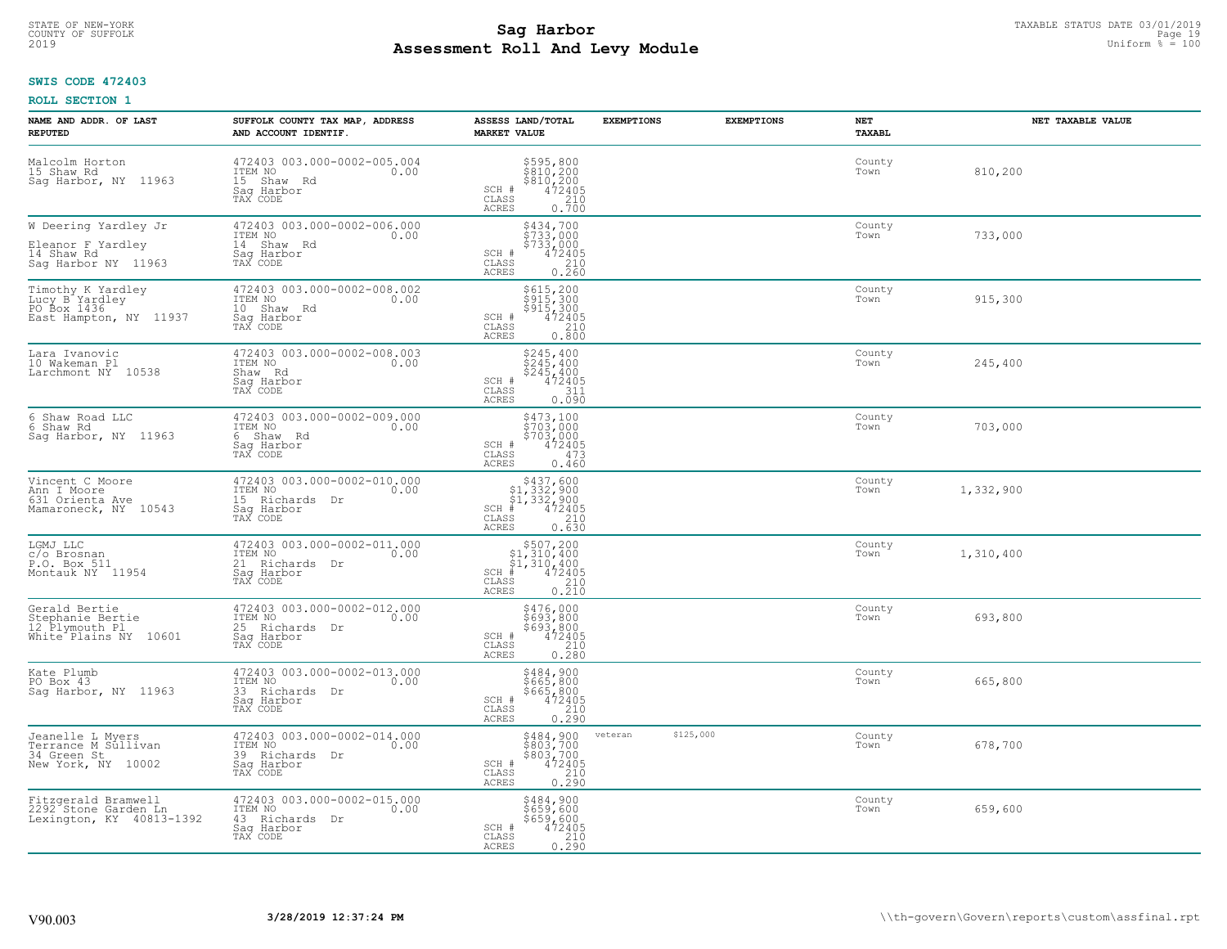# **SWIS CODE 472403**

| NAME AND ADDR. OF LAST<br><b>REPUTED</b>                                                  | SUFFOLK COUNTY TAX MAP, ADDRESS<br>AND ACCOUNT IDENTIF.                                    | ASSESS LAND/TOTAL<br><b>MARKET VALUE</b>                                                                                                                                                      | <b>EXEMPTIONS</b>    | <b>EXEMPTIONS</b> | NET<br><b>TAXABL</b> | NET TAXABLE VALUE |
|-------------------------------------------------------------------------------------------|--------------------------------------------------------------------------------------------|-----------------------------------------------------------------------------------------------------------------------------------------------------------------------------------------------|----------------------|-------------------|----------------------|-------------------|
| Malcolm Horton<br>15 Shaw Rd<br>Sag Harbor, NY 11963                                      | 472403 003.000-0002-005.004<br>ITEM NO 0.00<br>15 Shaw Rd<br>Sag Harbor<br>TAX CODE        | \$595,800<br>\$810,200<br>\$810,200<br>\$810,200<br>\$72405<br>0.700<br>SCH #<br>CLASS<br><b>ACRES</b>                                                                                        |                      |                   | County<br>Town       | 810,200           |
| W Deering Yardley Jr<br>Eleanor F Yardley<br>14 Shaw Rd<br>Sag Harbor NY 11963            | 472403 003.000-0002-006.000<br>ITEM NO<br>0.00<br>14 Shaw Rd<br>Sag Harbor<br>TAX CODE     | \$434,700<br>\$733,000<br>\$733,000<br>SCH #<br>472405<br>210<br>CLASS<br>0.260<br><b>ACRES</b>                                                                                               |                      |                   | County<br>Town       | 733,000           |
| Timothy K Yardley<br>Lucy B Yardley<br>PO Box 1436<br>East Hampton, NY 11937              | 472403 003.000-0002-008.002<br>ITEM NO<br>0.00<br>10 Shaw Rd<br>Sag Harbor<br>TAX CODE     | \$615,200<br>\$915,300<br>\$915,300<br>472405<br>SCH #<br>$\begin{array}{c} 210 \\ 0.800 \end{array}$<br>CLASS<br><b>ACRES</b>                                                                |                      |                   | County<br>Town       | 915,300           |
| Lara Ivanovic<br>10 Wakeman Pl<br>Larchmont NY 10538                                      | 472403 003.000-0002-008.003<br>ITEM NO<br>0.00<br>Shaw Rd<br>Saq Harbor<br>TAX CODE        | \$245,400<br>\$245,400<br>\$245,400<br>SCH #<br>472405<br>CLASS<br>311<br>ACRES<br>0.090                                                                                                      |                      |                   | County<br>Town       | 245,400           |
| 6 Shaw Road LLC<br>6 Shaw Rd<br>Sag Harbor, NY 11963                                      | 472403 003.000-0002-009.000<br>TTEM NO 0.00<br>6 Shaw Rd<br>Saq Harbor<br>TAX CODE         | \$473,100<br>\$703,000<br>\$703,000<br>472405<br>SCH #<br>CLASS<br>473<br>ACRES<br>0.460                                                                                                      |                      |                   | County<br>Town       | 703,000           |
| Vincent C Moore<br>Ann I Moore<br>631 Orienta Ave<br>Mamaroneck, NY 10543                 | 472403 003.000-0002-010.000<br>ITEM NO<br>0.00<br>15 Richards Dr<br>Saq Harbor<br>TAX CODE | $\begin{array}{r}  \  \  \, 5437,600\\  \  \  51,332,900\\  \  \  51,332,900\\  \  \  \, 472405\\ \  \  \, 55\\ \  \  \, 55\\ \  \  \, 0.630\\ \end{array}$<br>SCH #<br>CLASS<br><b>ACRES</b> |                      |                   | County<br>Town       | 1,332,900         |
| LGMJ LLC<br>c/o Brosnan<br>P.O. Box 511<br>Montauk NY 11954                               | 472403 003.000-0002-011.000<br>ITEM NO<br>0.00<br>21 Richards Dr<br>Saq Harbor<br>TAX CODE | $\begin{array}{c} $507,200 $1,310,400 $1,310,400 # 472405 \end{array}$<br>$SCH$ #<br>$\mathtt{CLASS}$<br>$\frac{210}{0.210}$<br><b>ACRES</b>                                                  |                      |                   | County<br>Town       | 1,310,400         |
| Gerald Bertie<br>Stephanie Bertie<br>12 Plymouth Pl<br>White <sup>+</sup> Plains NY 10601 | 472403 003.000-0002-012.000<br>ITEM NO 0.00<br>25 Richards Dr<br>Saq Harbor<br>TAX CODE    | $\begin{array}{r} 5476,000 \\ 5693,800 \\ 5693,800 \\ 472405 \\ 210 \\ 0.280 \end{array}$<br>SCH #<br>CLASS<br><b>ACRES</b>                                                                   |                      |                   | County<br>Town       | 693,800           |
| Kate Plumb<br>PO Box 43<br>Saq Harbor, NY 11963                                           | 472403 003.000-0002-013.000<br>TTEM NO 0.00<br>33 Richards Dr<br>Saq Harbor<br>TAX CODE    | \$484,900<br>\$665,800<br>$$665, 800$<br>472405<br>472405<br>0.290<br>SCH #<br>CLASS<br><b>ACRES</b>                                                                                          |                      |                   | County<br>Town       | 665,800           |
| Jeanelle L Myers<br>Terrance M Sullivan<br>34 Green St<br>New York, NY 10002              | 472403 003.000-0002-014.000<br>ITEM NO<br>0.00<br>39 Richards Dr<br>Saq Harbor<br>TAX CODE | \$484,900<br>\$803,700<br>\$803,700<br>472405<br>SCH #<br>$\begin{array}{c} 210 \\ 0.290 \end{array}$<br>CLASS<br><b>ACRES</b>                                                                | \$125,000<br>veteran |                   | County<br>Town       | 678,700           |
| Fitzgerald Bramwell<br>2292 Stone Garden Ln<br>Lexington, KY 40813-1392                   | 472403 003.000-0002-015.000<br>ITEM NO<br>0.00<br>43 Richards Dr<br>Saq Harbor<br>TAX CODE | \$484,900<br>\$659,600<br>\$659,600<br>SCH #<br>472405<br>CLASS<br>$\frac{210}{0.290}$<br>ACRES                                                                                               |                      |                   | County<br>Town       | 659,600           |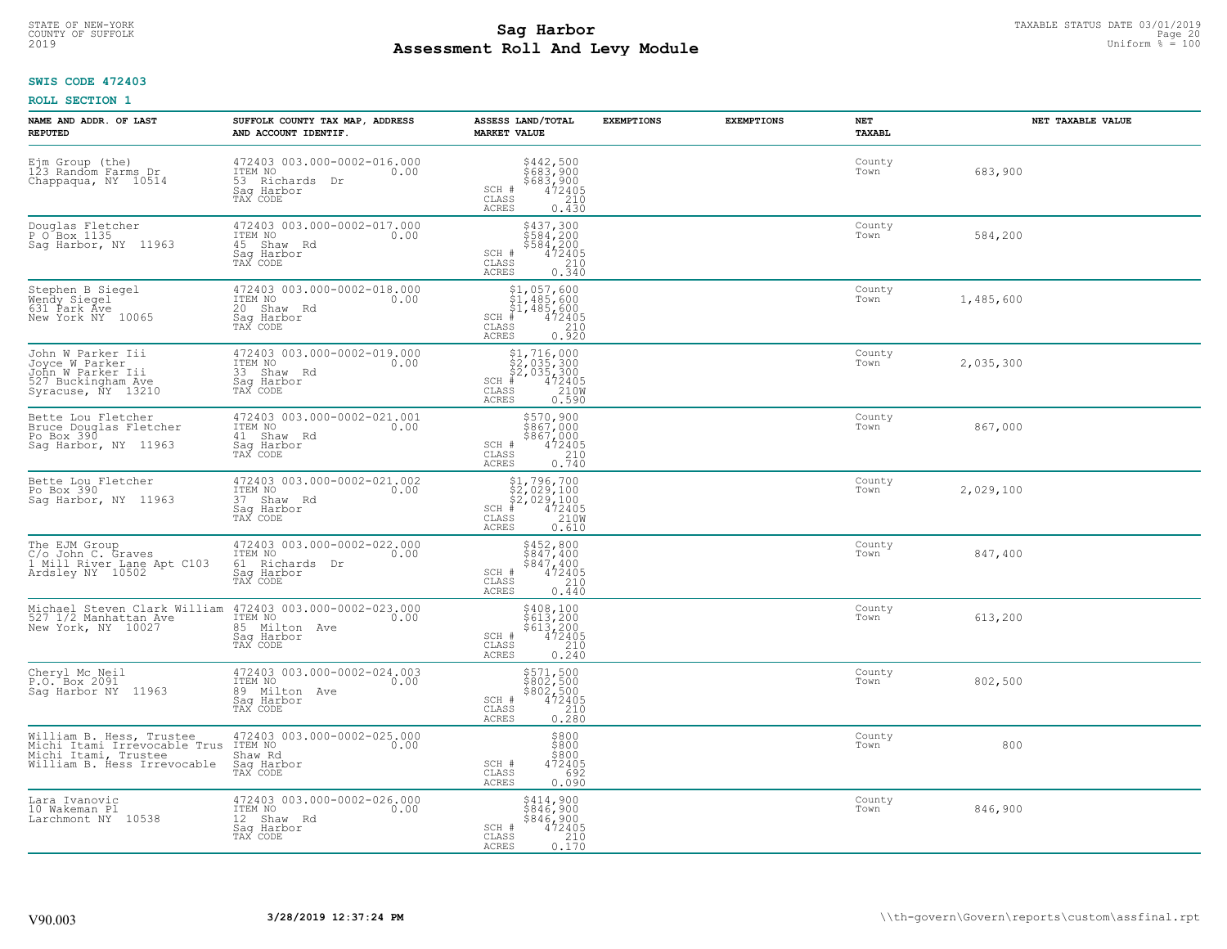# TAXABLE STATUS DATE 03/01/2019<br>COUNTY OF SUFFOLK Page 20 COUNTY OF SUFFOLK Page 20 **Assessment Roll And Levy Module** 2019 Uniform % = 100

# **SWIS CODE 472403**

| NAME AND ADDR. OF LAST<br><b>REPUTED</b>                                                                        | SUFFOLK COUNTY TAX MAP, ADDRESS<br>AND ACCOUNT IDENTIF.                                       | ASSESS LAND/TOTAL<br><b>MARKET VALUE</b>                                                                                                    | <b>EXEMPTIONS</b> | <b>EXEMPTIONS</b> | NET<br><b>TAXABL</b> | NET TAXABLE VALUE |
|-----------------------------------------------------------------------------------------------------------------|-----------------------------------------------------------------------------------------------|---------------------------------------------------------------------------------------------------------------------------------------------|-------------------|-------------------|----------------------|-------------------|
| Ejm Group (the)<br>123 Random Farms Dr<br>Chappaqua, NY 10514                                                   | 472403 003.000-0002-016.000<br>ITEM NO<br>0.00<br>53 Richards<br>Dr<br>Saq Harbor<br>TAX CODE | $$442,500$<br>$$683,900$<br>$$683,900$<br>$472405$<br>$$210$<br>SCH #<br>CLASS<br>ACRES<br>0.430                                            |                   |                   | County<br>Town       | 683,900           |
| Douglas Fletcher<br>P O Box 1135<br>Sag Harbor, NY 11963                                                        | 472403 003.000-0002-017.000<br>ITEM NO<br>0.00<br>45 Shaw Rd<br>Saq Harbor<br>TAX CODE        | \$437,300<br>\$584,200<br>\$584,200<br>472405<br>SCH #<br>$\frac{210}{0.340}$<br>CLASS<br><b>ACRES</b>                                      |                   |                   | County<br>Town       | 584,200           |
| Stephen B Siegel<br>Wendy Siegel<br>631 Park Áve<br>New York NY 10065                                           | 472403 003.000-0002-018.000<br>ITEM NO<br>0.00<br>20 Shaw Rd<br>Sag Harbor<br>TAX CODE        | $$1, 057, 600$<br>$$1, 485, 600$<br>$$1, 485, 600$<br>$$472405$<br>$SCH$ #<br>CLASS<br>$\begin{array}{c} 210 \\ 0.920 \end{array}$<br>ACRES |                   |                   | County<br>Town       | 1,485,600         |
| John W Parker Iii<br>Joyce W Parker<br>John W Parker Iii<br>527 Buckingham Ave<br>Syracuse, NY 13210            | 472403 003.000-0002-019.000<br>TTEM NO 0.00<br>33 Shaw Rd<br>Sag Harbor<br>TAX CODE           | $$2,035,300$<br>$$2,035,300$<br>$$472405$<br>$$472405$<br>$$2100$<br>SCH #<br>CLASS<br><b>ACRES</b><br>0.590                                |                   |                   | County<br>Town       | 2,035,300         |
| Bette Lou Fletcher<br>Bruce Douglas Fletcher<br>Po Box 390<br>Sag Harbor, NY 11963                              | 472403 003.000-0002-021.001<br>ITEM NO<br>0.00<br>41 Shaw Rd<br>Saq Harbor<br>TAX CODE        | \$570,900<br>\$867,000<br>$\begin{array}{r} 3867,000 \\ 472405 \\ 210 \\ 0.740 \end{array}$<br>SCH #<br>CLASS<br>ACRES                      |                   |                   | County<br>Town       | 867,000           |
| Bette Lou Fletcher<br>Po Box 390<br>Sag Harbor, NY 11963                                                        | 472403 003.000-0002-021.002<br>ITEM NO<br>0.00<br>37 Shaw Rd<br>Saq Harbor<br>TAX CODE        | SCH #<br>CLASS<br>0.610<br>ACRES                                                                                                            |                   |                   | County<br>Town       | 2,029,100         |
| The EJM Group<br>C/o John C. Graves<br>I Mill River Lane Apt C103<br>Ardsley NY 10502                           | 472403 003.000-0002-022.000<br>ITEM NO<br>0.00<br>61 Richards Dr<br>Sag Harbor<br>TAX CODE    | \$452,800<br>\$847,400<br>\$847,400<br>472405<br>SCH #<br>210<br>CLASS<br><b>ACRES</b><br>0.440                                             |                   |                   | County<br>Town       | 847,400           |
| Michael Steven Clark William<br>527 1/2 Mannattan Ave<br>New York, NY 10027                                     | 472403 003.000-0002-023.000<br>ITEM NO<br>0.00<br>85 Milton Ave<br>Saq Harbor<br>TAX CODE     | $$408,100$<br>$$613,200$<br>$$613,200$<br>$472405$<br>$$210$<br>SCH #<br>CLASS<br><b>ACRES</b><br>0.240                                     |                   |                   | County<br>Town       | 613,200           |
| Cheryl Mc Neil<br>P.O. Box 2091<br>Sag Harbor NY 11963                                                          | 472403 003.000-0002-024.003<br>ITEM NO 0.00<br>89 Milton Ave<br>Saq Harbor<br>TAX CODE        | \$571,500<br>\$802,500<br>\$802,500<br>472405<br>SCH #<br>CLASS<br>$\frac{210}{0.280}$<br>ACRES                                             |                   |                   | County<br>Town       | 802,500           |
| William B. Hess, Trustee<br>Michi Itami Irrevocable Trus<br>Michi Itami, Trustee<br>William B. Hess Irrevocable | 472403 003.000-0002-025.000<br>ITEM NO<br>0.00<br>Shaw Rd<br>Sag Harbor<br>TAX CODE           | \$800<br>\$800<br>\$800<br>SCH #<br>472405<br>692<br>CLASS<br><b>ACRES</b><br>0.090                                                         |                   |                   | County<br>Town       | 800               |
| Lara Ivanovic<br>10 Wakeman Pl<br>Larchmont NY 10538                                                            | 472403 003.000-0002-026.000<br>ITEM NO<br>0.00<br>12 Shaw Rd<br>Sag Harbor<br>TAX CODE        | \$414,900<br>\$846,900<br>\$846,900<br>SCH #<br>472405<br>$\begin{array}{c} 210 \\ 0.170 \end{array}$<br>CLASS<br><b>ACRES</b>              |                   |                   | County<br>Town       | 846,900           |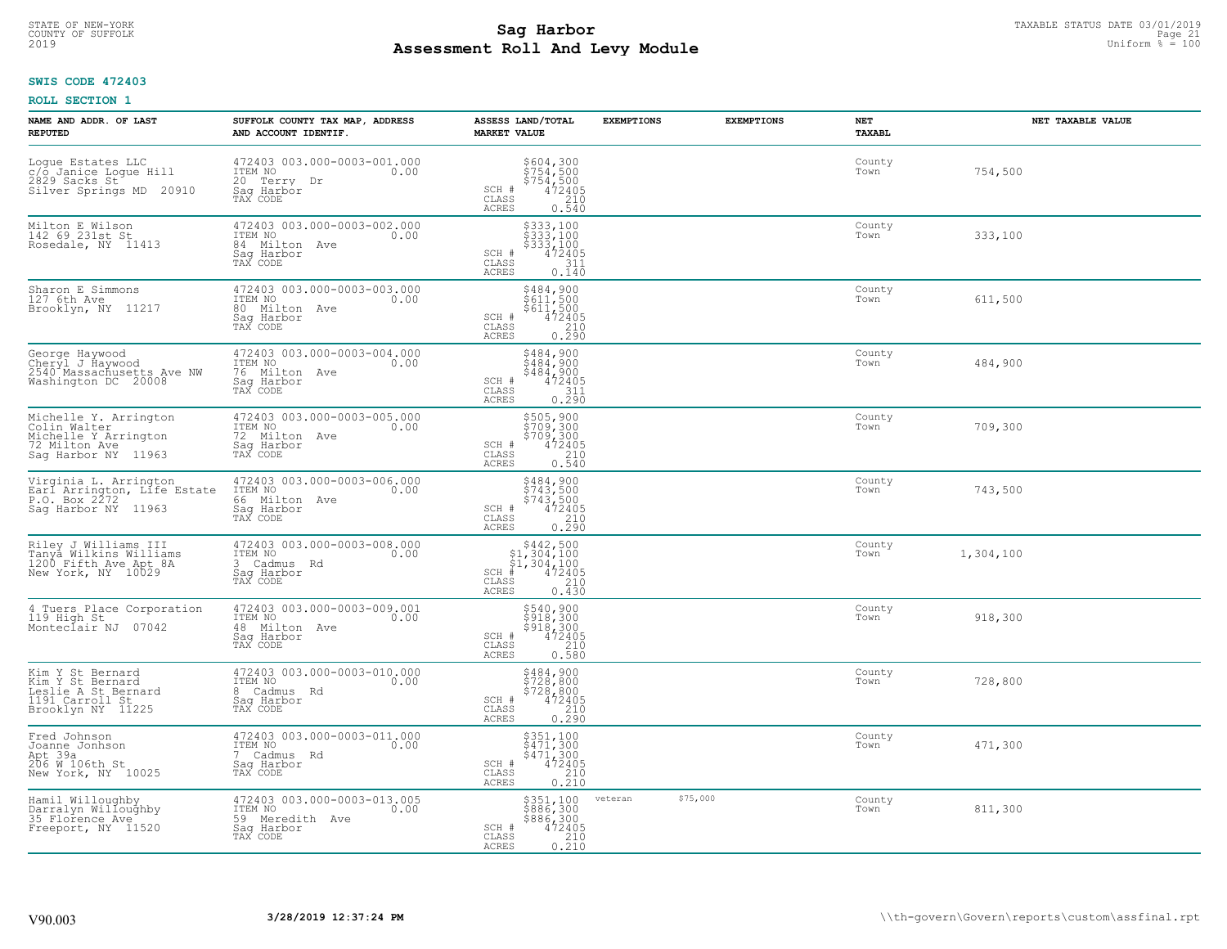#### **SWIS CODE 472403**

| NAME AND ADDR. OF LAST<br><b>REPUTED</b>                                                              | SUFFOLK COUNTY TAX MAP, ADDRESS<br>AND ACCOUNT IDENTIF.                                      | ASSESS LAND/TOTAL<br><b>MARKET VALUE</b>                                                                                       | <b>EXEMPTIONS</b><br><b>EXEMPTIONS</b> | NET<br>TAXABL  | NET TAXABLE VALUE |
|-------------------------------------------------------------------------------------------------------|----------------------------------------------------------------------------------------------|--------------------------------------------------------------------------------------------------------------------------------|----------------------------------------|----------------|-------------------|
| Logue Estates LLC<br>c/o Janice Logue Hill<br>2829 Sacks St<br>Silver Springs MD 20910                | 472403 003.000-0003-001.000<br>ITEM NO<br>0.00<br>20 Terry Dr<br>Sag Harbor<br>TAX CODE      | \$604,300<br>\$754,500<br>\$754,500<br>\$754,500<br>\$72405<br>\$10<br>\$10<br>SCH #<br>CLASS<br><b>ACRES</b>                  |                                        | County<br>Town | 754,500           |
| Milton E Wilson<br>142 69 231st St<br>Rosedale, NY 11413                                              | 472403 003.000-0003-002.000<br>ITEM NO<br>0.00<br>84 Milton Ave<br>Sag Harbor<br>TAX CODE    | \$333,100<br>\$333,100<br>\$333,100<br>472405<br>SCH #<br>CLASS<br>311<br><b>ACRES</b><br>0.140                                |                                        | County<br>Town | 333,100           |
| Sharon E Simmons<br>127 6th Ave<br>Brooklyn, NY 11217                                                 | 472403 003.000-0003-003.000<br>ITEM NO<br>0.00<br>80 Milton Ave<br>Sag Harbor<br>TAX CODE    | $\begin{array}{r} 5484, 900 \\ 5611, 500 \\ 5611, 500 \\ 472405 \\ 210 \\ 0.290 \end{array}$<br>SCH #<br>CLASS<br><b>ACRES</b> |                                        | County<br>Town | 611,500           |
| George Haywood<br>Cheryl J Haywood<br>2540 Massachusetts Ave NW<br>Washington DC 20008                | 472403 003.000-0003-004.000<br>ITEM NO<br>0.00<br>76 Milton Ave<br>Saq Harbor<br>TAX CODE    | \$484,900<br>\$484,900<br>$\begin{array}{r} 7484,900 \\ 472405 \\ 311 \\ 0.290 \end{array}$<br>SCH #<br>CLASS<br>ACRES         |                                        | County<br>Town | 484,900           |
| Michelle Y. Arrington<br>Colin Walter<br>Michelle Y Arrington<br>72 Milton Ave<br>Sag Harbor NY 11963 | 472403 003.000-0003-005.000<br>ITEM NO<br>0.00<br>72<br>Milton Ave<br>Saq Harbor<br>TAX CODE | \$505,900<br>\$709,300<br>\$709,300<br>\$709,300<br>\$72405<br>0.540<br>SCH #<br>CLASS<br><b>ACRES</b>                         |                                        | County<br>Town | 709,300           |
| Virginia L. Arrington<br>Earl Arrington, Life Estate<br>P.O. Box 2272<br>Saq Harbor NY 11963          | 472403 003.000-0003-006.000<br>ITEM NO<br>0.00<br>66 Milton<br>Ave<br>Saq Harbor<br>TAX CODE | \$484,900<br>\$743,500<br>\$743,500<br>472405<br>SCH #<br>CLASS<br>210<br>0.290<br>ACRES                                       |                                        | County<br>Town | 743,500           |
| Riley J Williams III<br>Tanya Wilkins Williams<br>1200 Fifth Ave Apt 8A<br>New York, NY 10029         | 472403 003.000-0003-008.000<br>TTEM NO 0.00<br>3<br>Cadmus Rd<br>Sag Harbor<br>TAX CODE      | $$442,500$<br>$$1,304,100$<br>$$1,304,100$<br>$$472405$<br>$SCH$ #<br>CLASS<br>0.430<br><b>ACRES</b>                           |                                        | County<br>Town | 1,304,100         |
| 4 Tuers Place Corporation<br>119 High St<br>Monteclair NJ<br>07042                                    | 472403 003.000-0003-009.001<br>ITEM NO<br>0.00<br>48 Milton<br>Ave<br>Sag Harbor<br>TAX CODE | \$540,900<br>\$918,300<br>\$918,300<br>472405<br>210<br>SCH #<br>CLASS<br>0.580<br>ACRES                                       |                                        | County<br>Town | 918,300           |
| Kim Y St Bernard<br>Kim Y St Bernard<br>Leslie A St Bernard<br>1191 Carroll St<br>Brooklyn NY 11225   | 472403 003.000-0003-010.000<br>TTEM NO 0.00<br>Cadmus Rd<br>8<br>Saq Harbor<br>TAX CODE      | \$484,900<br>\$728,800<br>\$728,800<br>SCH #<br>472405<br>210<br>CLASS<br>ACRES<br>0.290                                       |                                        | County<br>Town | 728,800           |
| Fred Johnson<br>Joanne Jonhson<br>Apt 39a<br>206 W 106th St<br>New York, NY 10025                     | 472403 003.000-0003-011.000<br>ITEM NO<br>0.00<br>7<br>Cadmus Rd<br>Sag Harbor<br>TAX CODE   | \$351,100<br>\$471,300<br>\$471,300<br>472405<br>SCH #<br>CLASS<br>$\begin{array}{c} 210 \\ 0.210 \end{array}$<br><b>ACRES</b> |                                        | County<br>Town | 471,300           |
| Hamil Willoughby<br>Darralyn Willoughby<br>35 Florence Ave<br>Freeport, NY 11520                      | 472403 003.000-0003-013.005<br>ITEM NO<br>0.00<br>59 Meredith Ave<br>Saq Harbor<br>TAX CODE  | \$351,100<br>\$886,300<br>\$886,300<br>472405<br>SCH #<br>CLASS<br>$\frac{210}{0.210}$<br>ACRES                                | \$75,000<br>veteran                    | County<br>Town | 811,300           |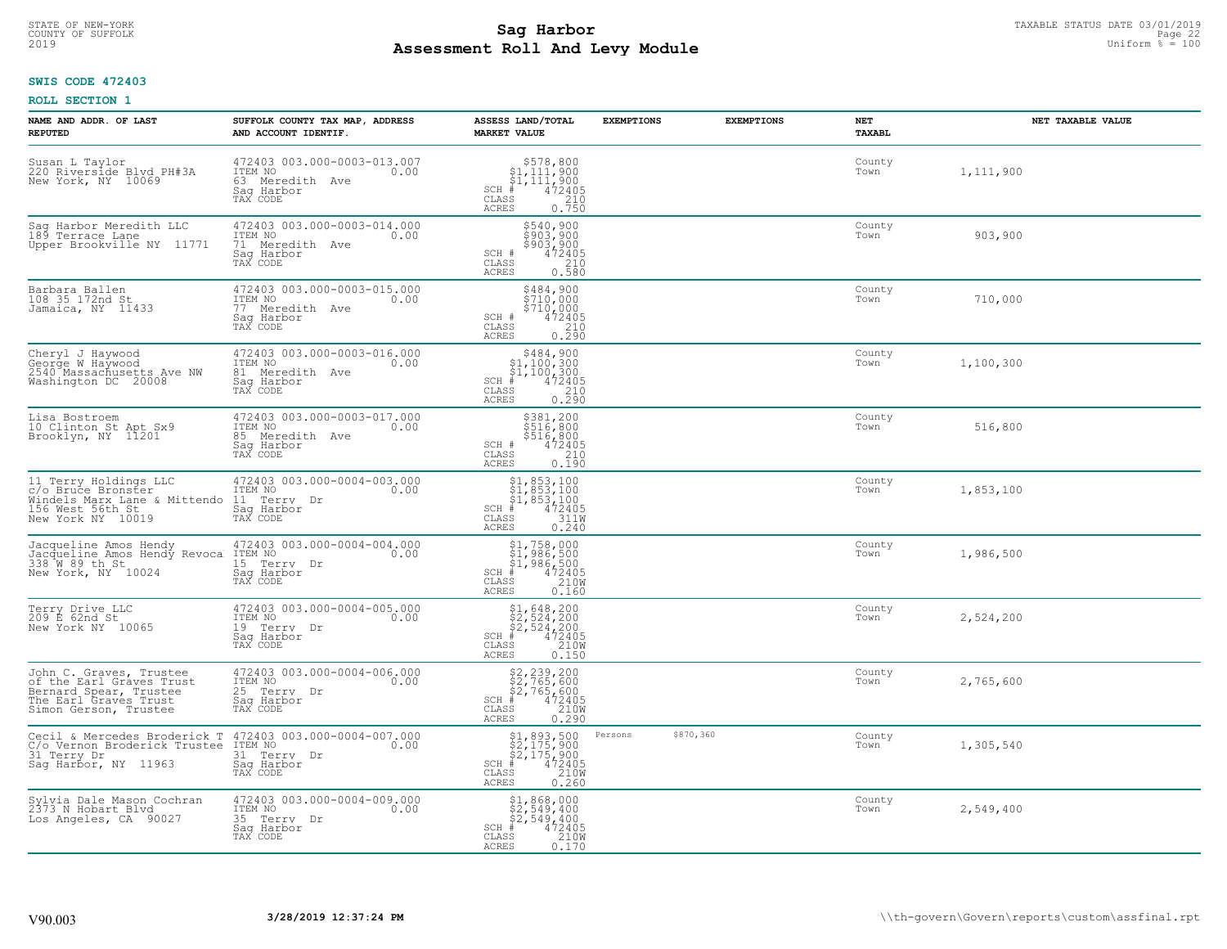# TAXABLE STATUS DATE 03/01/2019<br>COUNTY OF SUFFOLK Page 22 COUNTY OF SUFFOLK Page 22 **Assessment Roll And Levy Module** 2019 Uniform % = 100

# **SWIS CODE 472403**

| NAME AND ADDR. OF LAST<br><b>REPUTED</b>                                                                                        | SUFFOLK COUNTY TAX MAP, ADDRESS<br>AND ACCOUNT IDENTIF.                                     | ASSESS LAND/TOTAL<br><b>MARKET VALUE</b>                                                                                                                                                                                                                                                                                                                                       | <b>EXEMPTIONS</b>    | <b>EXEMPTIONS</b> | NET<br><b>TAXABL</b> | NET TAXABLE VALUE |
|---------------------------------------------------------------------------------------------------------------------------------|---------------------------------------------------------------------------------------------|--------------------------------------------------------------------------------------------------------------------------------------------------------------------------------------------------------------------------------------------------------------------------------------------------------------------------------------------------------------------------------|----------------------|-------------------|----------------------|-------------------|
| Susan L Taylor<br>220 Riverside Blyd PH#3A<br>New York, NY 10069                                                                | 472403 003.000-0003-013.007<br>ITEM NO<br>0.00<br>63 Meredith Ave<br>Saq Harbor<br>TAX CODE | $\begin{array}{r}  \  \  \, 578,800 \\  \  \, 51,111,900 \\  \  \, 51,111,900 \\  \  \  \, 472405 \\  \  \, 35 \\  \  \, 35 \\  \  \, 210 \\  \  \, 0 \\  \  \, 0 \\  \  \, 0 \\  \  \, 0 \\  \  \, 0 \\  \  \, 0 \\  \  \, 0 \\  \  \, 0 \\  \  \, 0 \\  \  \, 0 \\  \  \, 0 \\  \  \, 0 \\  \  \, 0 \\  \  \, 0 \\  \  \, 0 \\$<br>$SCH$ #<br>CLASS<br><b>ACRES</b><br>0.750 |                      |                   | County<br>Town       | 1,111,900         |
| Sag Harbor Meredith LLC<br>189 Terrace Lane<br>Upper Brookville NY 11771                                                        | 472403 003.000-0003-014.000<br>ITEM NO<br>0.00<br>71 Meredith Ave<br>Saq Harbor<br>TAX CODE | \$540,900<br>\$903,900<br>\$903,900<br>SCH #<br>472405<br>CLASS<br>210<br>0.580<br><b>ACRES</b>                                                                                                                                                                                                                                                                                |                      |                   | County<br>Town       | 903,900           |
| Barbara Ballen<br>108 35 172nd St<br>Jamaica, NY 11433                                                                          | 472403 003.000-0003-015.000<br>ITEM NO<br>0.00<br>77 Meredith Ave<br>Saq Harbor<br>TAX CODE | \$484,900<br>\$710,000<br>$$7\bar{10}'$ ,000<br>472405<br>SCH #<br>CLASS<br>210<br>0.290<br>ACRES                                                                                                                                                                                                                                                                              |                      |                   | County<br>Town       | 710,000           |
| Cheryl J Haywood<br>George W Haywood<br>2540 Massachusetts Ave NW<br>Washington DC 20008                                        | 472403 003.000-0003-016.000<br>10.00 0.00<br>81 Meredith Ave<br>Saq Harbor<br>TAX CODE      | $SCH$ #<br>CLASS<br>210<br>ACRES<br>0.290                                                                                                                                                                                                                                                                                                                                      |                      |                   | County<br>Town       | 1,100,300         |
| Lisa Bostroem<br>10 Clinton St Apt Sx9<br>Brooklyn, NY 11201                                                                    | 472403 003.000-0003-017.000<br>ITEM NO<br>0.00<br>85 Meredith Ave<br>Saq Harbor<br>TAX CODE | \$381,200<br>\$516,800<br>\$516,800<br>\$472405<br>\$210<br>SCH #<br>CLASS<br>0.190<br><b>ACRES</b>                                                                                                                                                                                                                                                                            |                      |                   | County<br>Town       | 516,800           |
| 11 Terry Holdings LLC<br>c/o Bruce Bronster<br>Windels Marx Lane & Mittendo<br>156 West 56th St<br>New York NY 10019            | 472403 003.000-0004-003.000<br>ITEM NO<br>0.00<br>11 Terry Dr<br>Saq Harbor<br>TAX CODE     | $$1, 853, 100$<br>$$1, 853, 100$<br>$$1, 853, 100$<br>$472405$<br>$3110$<br>$SCH$ #<br>CLASS<br><b>ACRES</b><br>0.240                                                                                                                                                                                                                                                          |                      |                   | County<br>Town       | 1,853,100         |
| Jacqueline Amos Hendy<br>Jacqueline Amos Hendy Revoca<br>338 W 89 th St<br>New York, NY 10024                                   | 472403 003.000-0004-004.000<br>ITEM NO<br>0.00<br>15 Terry Dr<br>Saq Harbor<br>TAX CODE     | \$1,758,000<br>\$1,986,500<br>\$1,986,500<br># 472405<br>\$5 210M<br>$SCH$ #<br>CLASS<br><b>ACRES</b><br>0.160                                                                                                                                                                                                                                                                 |                      |                   | County<br>Town       | 1,986,500         |
| Terry Drive LLC<br>209 E 62nd St<br>New York NY 10065                                                                           | 472403 003.000-0004-005.000<br>10.00 0.00<br>19 Terry Dr<br>Saq Harbor<br>TAX CODE          | $$2,524,200$<br>$$2,524,200$<br>$$2,524,200$<br>$472405$<br>$$210M$<br>$SCH$ #<br>CLASS<br><b>ACRES</b><br>0.150                                                                                                                                                                                                                                                               |                      |                   | County<br>Town       | 2,524,200         |
| John C. Graves, Trustee<br>of the Earl Graves Trust<br>Bernard Spear, Trustee<br>The Earl Graves Trust<br>Simon Gerson, Trustee | 472403 003.000-0004-006.000<br>10.00 0.00<br>25 Terry Dr<br>Saq Harbor<br>TAX CODE          | \$2,239,200<br>\$2,765,600<br>\$2,765,600<br>SCH #<br>$472405$<br>210W<br>CLASS<br><b>ACRES</b><br>0.290                                                                                                                                                                                                                                                                       |                      |                   | County<br>Town       | 2,765,600         |
| Cecil & Mercedes Broderick T 472403 003.000-0004-007.000<br>C/o Vernon Broderick Trustee<br>31 Terry Dr<br>Sag Harbor, NY 11963 | ITEM NO<br>0.00<br>31 Terry Dr<br>Saq Harbor<br>TAX CODE                                    | $$2,175,900$<br>$$2,175,900$<br>$$2,175,900$<br>$472405$<br>$$2100$<br>$SCH$ #<br>CLASS<br><b>ACRES</b><br>0.260                                                                                                                                                                                                                                                               | \$870,360<br>Persons |                   | County<br>Town       | 1,305,540         |
| Sylvia Dale Mason Cochran<br>2373 N Hobart Blvd<br>Los Angeles, CA 90027                                                        | 472403 003.000-0004-009.000<br>ITEM NO<br>0.00<br>35 Terry Dr<br>Saq Harbor<br>TAX CODE     | $$2,549,400$<br>$$2,549,400$<br>$$2,549,400$<br>$SCH$ #<br>472405<br>210W<br>CLASS<br><b>ACRES</b><br>0.170                                                                                                                                                                                                                                                                    |                      |                   | County<br>Town       | 2,549,400         |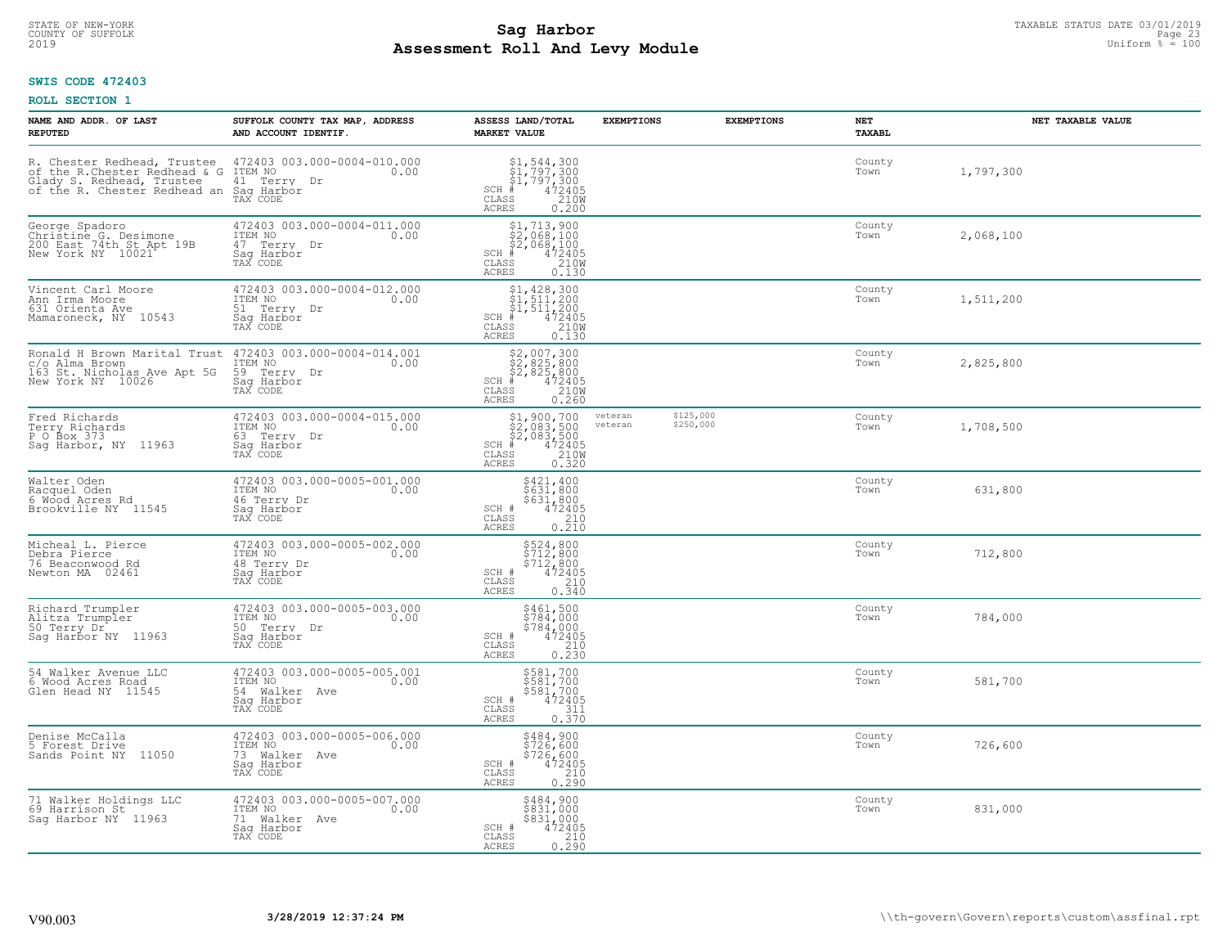# TAXABLE STATUS DATE 03/01/2019<br>COUNTY OF SUFFOLK Page 23 COUNTY OF SUFFOLK Page 23 **Assessment Roll And Levy Module** 2019 Uniform % = 100

### **SWIS CODE 472403**

| NAME AND ADDR. OF LAST<br><b>REPUTED</b>                                                                                                | SUFFOLK COUNTY TAX MAP, ADDRESS<br>AND ACCOUNT IDENTIF.                                    | ASSESS LAND/TOTAL<br><b>MARKET VALUE</b>                                                                                                                                                                                                                                                                                                                                | <b>EXEMPTIONS</b>  | <b>EXEMPTIONS</b>      | <b>NET</b><br>TAXABL | NET TAXABLE VALUE |
|-----------------------------------------------------------------------------------------------------------------------------------------|--------------------------------------------------------------------------------------------|-------------------------------------------------------------------------------------------------------------------------------------------------------------------------------------------------------------------------------------------------------------------------------------------------------------------------------------------------------------------------|--------------------|------------------------|----------------------|-------------------|
| R. Chester Redhead, Trustee 472403<br>of the R.Chester Redhead & G ITEM NO<br>Glady S. Redhead, Trustee<br>of the R. Chester Redhead an | 472403 003.000-0004-010.000<br>0.00<br>41 Terry<br>Dr<br>Saq Harbor<br>TAX CODE            | $$ \begin{array}{l} $1,544,300 \\ $1,797,300 \\ $1,797,300 \\ $4$ & 472405 \\ $8$ & 2100 \\ $9$ & 100 \\ $10$ & 100 \\ $10$ & 100 \\ $10$ & 100 \\ $100$ & 100 \\ $100$ & 1000 \\ $100$ & 1000 \\ $100$ & 1000 \\ $100$ & 1000 \\ $100$ & 1000 \\ $100$ & 1000 \\ $100$ & 1000 \\ $100$ & 1000 \\ $100$ & 1000$<br>$SCH$ #<br>$\mathtt{CLASS}$<br><b>ACRES</b><br>0.200 |                    |                        | County<br>Town       | 1,797,300         |
| George Spadoro<br>Christine G. Desimone<br>200 East 74th St Apt 19B<br>New York NY 10021                                                | 472403 003.000-0004-011.000<br>ITEM NO<br>0.00<br>47 Terry Dr<br>Saq Harbor<br>TAX CODE    | \$1,713,900<br>\$2,068,100<br>\$2,068,100<br>$\frac{472405}{2100}$<br>$SCH$ #<br>CLASS<br><b>ACRES</b><br>0.130                                                                                                                                                                                                                                                         |                    |                        | County<br>Town       | 2,068,100         |
| Vincent Carl Moore<br>Ann Irma Moore<br>631 Orienta Ave<br>Mamaroneck, NY 10543                                                         | 472403 003.000-0004-012.000<br>ITEM NO<br>0.00<br>51<br>Terry Dr<br>Sag Harbor<br>TAX CODE | $$1, 428, 300$<br>$$1, 511, 200$<br>$$1, 511, 200$<br>$4$<br>$472405$<br>$$2100$<br>SCH #<br>CLASS<br>0.130<br>ACRES                                                                                                                                                                                                                                                    |                    |                        | County<br>Town       | 1,511,200         |
| Ronald H Brown Marital Trust<br>c/o Alma Brown<br>163 St. Nicholas Ave Apt 5G<br>New York NY 10026                                      | 472403 003.000-0004-014.001<br>ITEM NO<br>0.00<br>59 Terry Dr<br>Saq Harbor<br>TAX CODE    | SCH<br>CLASS<br><b>ACRES</b>                                                                                                                                                                                                                                                                                                                                            |                    |                        | County<br>Town       | 2,825,800         |
| Fred Richards<br>Terry Richards<br>P 0 Box 373<br>Sag Harbor, NY 11963                                                                  | 472403 003.000-0004-015.000<br>ITEM NO<br>0.00<br>63 Terry Dr<br>Saq Harbor<br>TAX CODE    | $$2,083,500$<br>$$2,083,500$<br>$$2,083,500$<br>$$472405$<br>$$210M$<br>SCH<br>CLASS<br><b>ACRES</b><br>0.320                                                                                                                                                                                                                                                           | veteran<br>veteran | \$125,000<br>\$250,000 | County<br>Town       | 1,708,500         |
| Walter Oden<br>Racquel Oden<br>6 Wood Acres Rd<br>Brookville NY 11545                                                                   | 472403 003.000-0005-001.000<br>ITEM NO<br>0.00<br>46 Terry Dr<br>Saq Harbor<br>TAX CODE    | \$421,400<br>\$631,800<br>\$631,800<br>472405<br>SCH #<br>CLASS<br>210<br><b>ACRES</b><br>0.210                                                                                                                                                                                                                                                                         |                    |                        | County<br>Town       | 631,800           |
| Micheal L. Pierce<br>Debra Pierce<br>76 Beaconwood Rd<br>Newton MA 02461                                                                | 472403 003.000-0005-002.000<br>ITEM NO<br>0.00<br>48 Terry Dr<br>Sag Harbor<br>TAX CODE    | \$524,800<br>\$712,800<br>\$712,800<br>472405<br>SCH #<br>$\mathtt{CLASS}$<br>210<br>0.340<br>ACRES                                                                                                                                                                                                                                                                     |                    |                        | County<br>Town       | 712,800           |
| Richard Trumpler<br>Alitza Trumpler<br>50 Terry Dr<br>Sag Harbor NY 11963                                                               | 472403 003.000-0005-003.000<br>TTEM NO 0.00<br>50 Terry Dr<br>Saq Harbor<br>TAX CODE       | \$461,500<br>\$784,000<br>\$784,000<br>472405<br>SCH #<br>CLASS<br>210<br><b>ACRES</b><br>0.230                                                                                                                                                                                                                                                                         |                    |                        | County<br>Town       | 784,000           |
| 54 Walker Avenue LLC<br>6 Wood Acres Road<br>Glen Head NY 11545                                                                         | 472403 003.000-0005-005.001<br>TTEM NO 0.00<br>54 Walker Ave<br>Saq Harbor<br>TAX CODE     | \$581,700<br>\$581,700<br>\$581,700<br>472405<br>SCH #<br>CLASS<br>311<br>0.370<br>ACRES                                                                                                                                                                                                                                                                                |                    |                        | County<br>Town       | 581,700           |
| Denise McCalla<br>5 Forest Drive<br>Sands Point NY<br>11050                                                                             | 472403 003.000-0005-006.000<br>ITEM NO<br>0.00<br>73 Walker Ave<br>Saq Harbor<br>TAX CODE  | \$484,900<br>\$726,600<br>\$726,600<br>SCH #<br>472405<br>$\begin{array}{c} 210 \\ 0.290 \end{array}$<br>CLASS<br><b>ACRES</b>                                                                                                                                                                                                                                          |                    |                        | County<br>Town       | 726,600           |
| 71 Walker Holdings LLC<br>69 Harrison St<br>Saq Harbor NY 11963                                                                         | 472403 003.000-0005-007.000<br>ITEM NO<br>0.00<br>71 Walker Ave<br>Saq Harbor<br>TAX CODE  | \$484,900<br>\$831,000<br>\$831,000<br>SCH #<br>472405<br>CLASS<br>0.290<br><b>ACRES</b>                                                                                                                                                                                                                                                                                |                    |                        | County<br>Town       | 831,000           |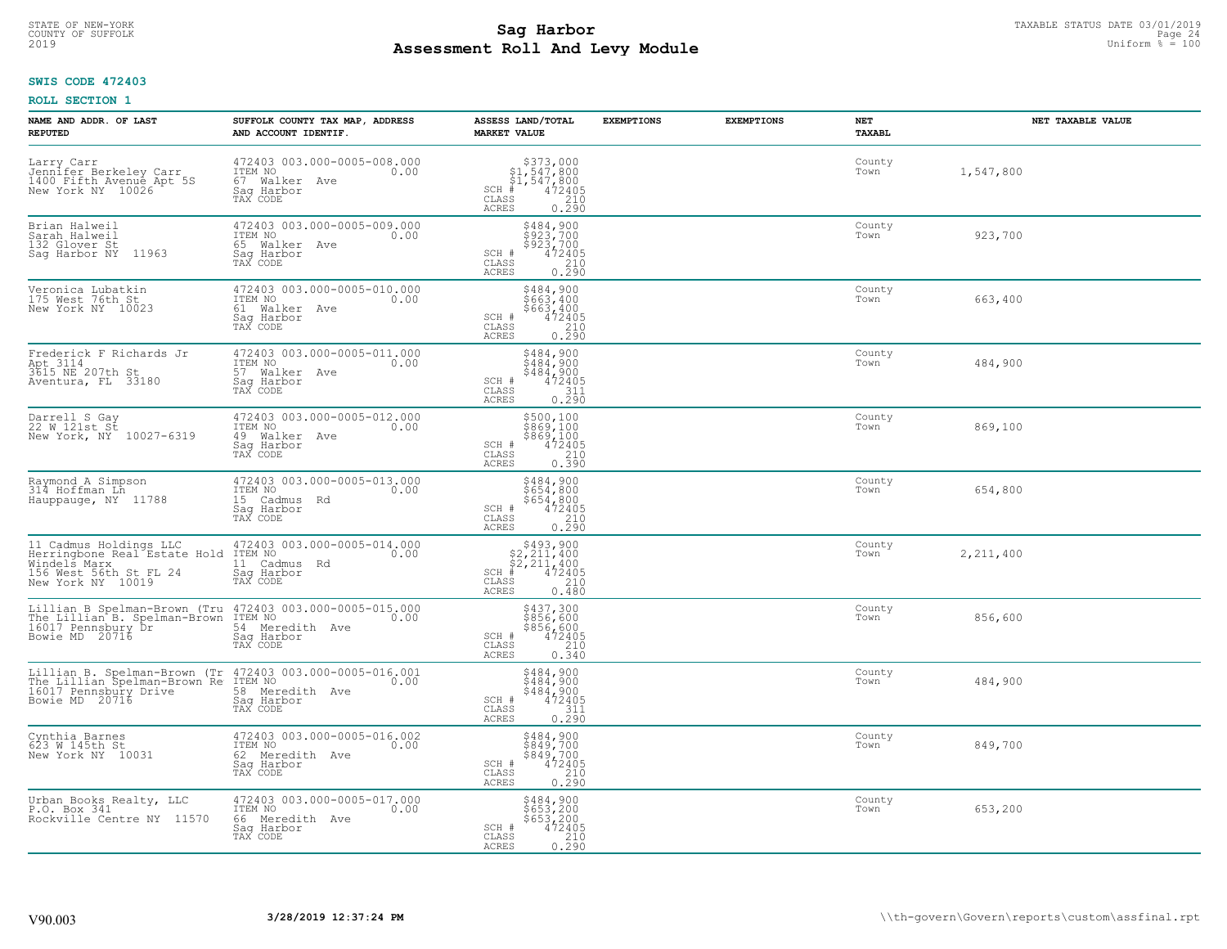# TAXABLE STATUS DATE 03/01/2019<br>COUNTY OF SUFFOLK Page 24 **Assessment Roll And Levy Module** 2019 Uniform % = 100

## **SWIS CODE 472403**

| NAME AND ADDR. OF LAST<br><b>REPUTED</b>                                                                                                                              | SUFFOLK COUNTY TAX MAP, ADDRESS<br>AND ACCOUNT IDENTIF.                                     | ASSESS LAND/TOTAL<br><b>MARKET VALUE</b>                                                                                       | <b>EXEMPTIONS</b><br><b>EXEMPTIONS</b> | NET<br><b>TAXABL</b> | NET TAXABLE VALUE |
|-----------------------------------------------------------------------------------------------------------------------------------------------------------------------|---------------------------------------------------------------------------------------------|--------------------------------------------------------------------------------------------------------------------------------|----------------------------------------|----------------------|-------------------|
| Larry Carr<br>Jennifer Berkeley Carr<br>1400 Fifth Avenue Apt 5S<br>New York NY 10026                                                                                 | 472403 003.000-0005-008.000<br>ITEM NO<br>0.00<br>67 Walker Ave<br>Saq Harbor<br>TAX CODE   | \$373,000<br>\$1,547,800<br>\$1,547,800<br>#472405<br>$SCH$ #<br>CLASS<br>$\begin{array}{c} 210 \\ 0.290 \end{array}$<br>ACRES |                                        | County<br>Town       | 1,547,800         |
| Brian Halweil<br>Sarah Halweil<br>132 Glover St<br>Sag Harbor NY<br>11963                                                                                             | 472403 003.000-0005-009.000<br>ITEM NO<br>0.00<br>65 Walker Ave<br>Saq Harbor<br>TAX CODE   | \$484,900<br>\$923,700<br>\$923,700<br>SCH #<br>472405<br>CLASS<br>0.290<br>ACRES                                              |                                        | County<br>Town       | 923,700           |
| Veronica Lubatkin<br>175 West 76th St<br>New York NY 10023                                                                                                            | 472403 003.000-0005-010.000<br>ITEM NO<br>0.00<br>61 Walker Ave<br>Sag Harbor<br>TAX CODE   | \$484,900<br>\$663,400<br>\$663,400<br>472405<br>$SCH$ #<br>0.290<br>CLASS<br>ACRES                                            |                                        | County<br>Town       | 663,400           |
| Frederick F Richards Jr<br>Apt 3114<br>3615 NE 207th St<br>Aventura, FL 33180                                                                                         | 472403 003.000-0005-011.000<br>ITEM NO<br>0.00<br>57 Walker Ave<br>Saq Harbor<br>TAX CODE   | \$484,900<br>\$484,900<br>$$484,900$<br>$472405$<br>$311$<br>SCH #<br>CLASS<br>0.290<br>ACRES                                  |                                        | County<br>Town       | 484,900           |
| Darrell S Gay<br>22 W 121st St<br>New York, NY 10027-6319                                                                                                             | 472403 003.000-0005-012.000<br>ITEM NO<br>0.00<br>49 Walker Ave<br>Saq Harbor<br>TAX CODE   | \$500,100<br>\$869,100<br>\$869,100<br>472405<br>SCH #<br>CLASS<br>210<br>0.390<br>ACRES                                       |                                        | County<br>Town       | 869,100           |
| Raymond A Simpson<br>314 Hoffman Ln<br>Hauppauge, NY 11788                                                                                                            | 472403 003.000-0005-013.000<br>ITEM NO<br>0.00<br>15 Cadmus Rd<br>Sag Harbor<br>TAX CODE    | \$484,900<br>\$654,800<br>\$654,800<br>472405<br>SCH #<br>CLASS<br>$\begin{array}{c} 210 \\ 0.290 \end{array}$<br><b>ACRES</b> |                                        | County<br>Town       | 654,800           |
| 11 Cadmus Holdings LLC<br>Herringbone Real Estate Hold<br>Windels Marx<br>156 West 56th St FL 24<br>New York NY 10019                                                 | 472403 003.000-0005-014.000<br>ITEM NO<br>0.00<br>11 Cadmus Rd<br>Saq Harbor<br>TAX CODE    | $$493,900$<br>$$2,211,400$<br>$$2,211,400$<br>$$472405$<br>$SCH$ #<br>$\mathtt{CLASS}$<br>210<br>ACRES<br>0.480                |                                        | County<br>Town       | 2, 211, 400       |
| Lillian B Spelman-Brown (Tru 472403 003.000-0005-015.000<br>The Lillian B. Spelman-Brown ITEM NO 1000 16017 Pennsbury Dr<br>Bowie MD 20716                            | Saq Harbor<br>TAX CODE                                                                      | \$437,300<br>\$856,600<br>\$856,600<br>472405<br>210<br>SCH #<br>CLASS<br>0.340<br><b>ACRES</b>                                |                                        | County<br>Town       | 856,600           |
| Lillian B. Spelman-Brown (Tr 472403 003.000-0005-016.001<br>The Lillian Spelman-Brown Re ITEM NO 0.00<br>16017 Pennsbury Drive 58 Meredith Ave 0.00<br>Bowie MD 20716 | Saq Harbor<br>TAX CODE                                                                      | \$484,900<br>\$484,900<br>\$484,900<br>472405<br>SCH #<br>CLASS<br>311<br>0.290<br><b>ACRES</b>                                |                                        | County<br>Town       | 484,900           |
| Cynthia Barnes<br>623 W 145th St<br>New York NY 10031                                                                                                                 | 472403 003.000-0005-016.002<br>ITEM NO<br>0.00<br>62 Meredith Ave<br>Saq Harbor<br>TAX CODE | \$484,900<br>\$849,700<br>\$849,700<br>SCH #<br>472405<br>210<br>CLASS<br>0.290<br>ACRES                                       |                                        | County<br>Town       | 849,700           |
| Urban Books Realty, LLC<br>P.O. Box 341<br>Rockville Centre NY 11570                                                                                                  | 472403 003.000-0005-017.000<br>ITEM NO<br>0.00<br>66 Meredith Ave<br>Sag Harbor<br>TAX CODE | \$484,900<br>\$653,200<br>\$653,200<br>SCH #<br>472405<br>$\begin{array}{c} 210 \\ 0.290 \end{array}$<br>CLASS<br><b>ACRES</b> |                                        | County<br>Town       | 653,200           |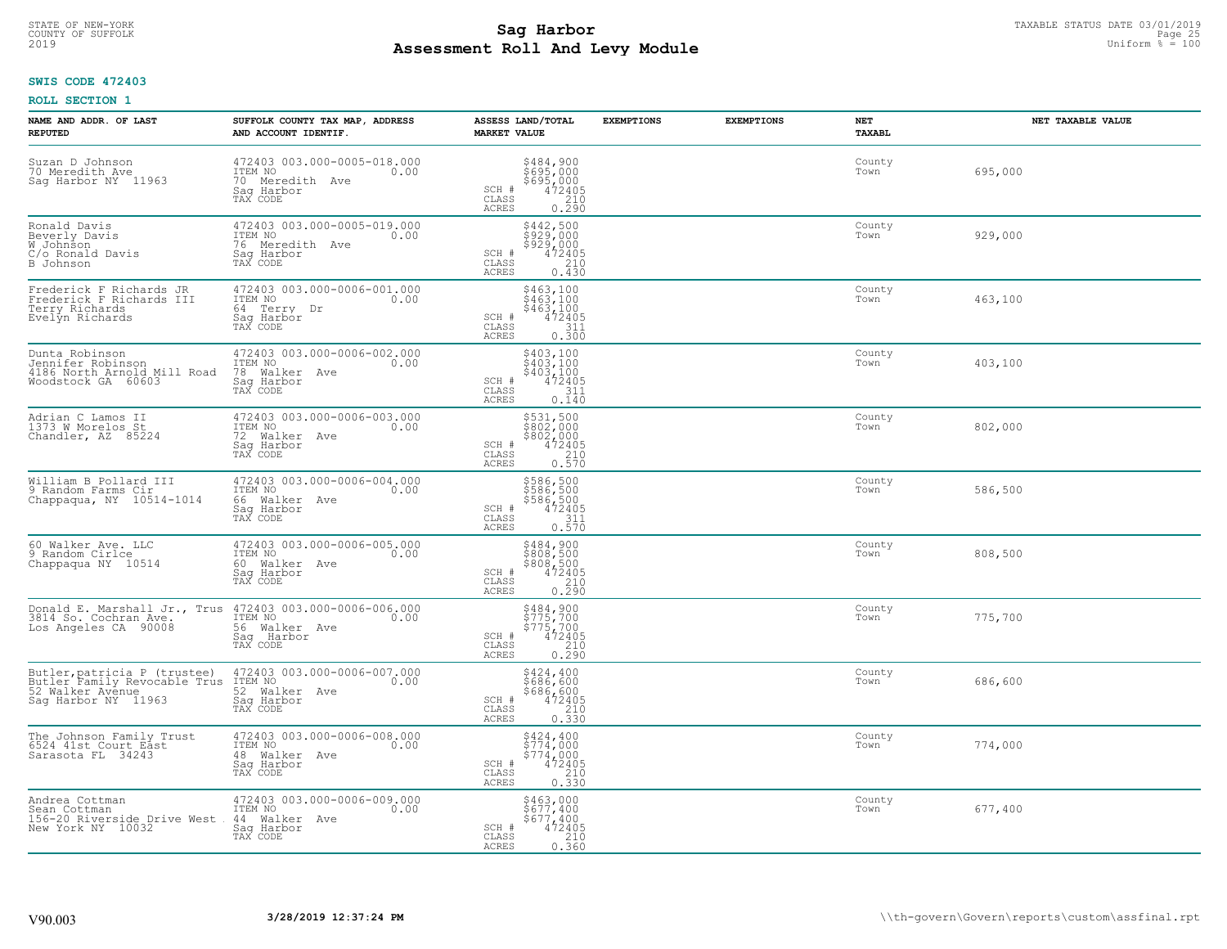# TAXABLE STATUS DATE 03/01/2019<br>COUNTY OF SUFFOLK Page 25 and the state of the state of the state of the state of the state of the state of the<br>Page 25 **Assessment Roll And Levy Module** 2019 Uniform % = 100

## **SWIS CODE 472403**

| NAME AND ADDR, OF LAST<br><b>REPUTED</b>                                                                                 | SUFFOLK COUNTY TAX MAP, ADDRESS<br>AND ACCOUNT IDENTIF.                                                                                                                         | ASSESS LAND/TOTAL<br><b>MARKET VALUE</b>                                                                                                       | <b>EXEMPTIONS</b> | <b>EXEMPTIONS</b><br>NET<br><b>TAXABL</b> | NET TAXABLE VALUE |
|--------------------------------------------------------------------------------------------------------------------------|---------------------------------------------------------------------------------------------------------------------------------------------------------------------------------|------------------------------------------------------------------------------------------------------------------------------------------------|-------------------|-------------------------------------------|-------------------|
| Suzan D Johnson<br>70 Meredith Ave<br>Sag Harbor NY 11963                                                                | 472403 003.000-0005-018.000<br>ITEM NO<br>70 Meredith Ave<br>0.00<br>Saq Harbor<br>TAX CODE                                                                                     | \$484,900<br>\$695,000<br>\$695,000<br>472405<br>210<br>SCH #<br>CLASS<br>ACRES<br>0.290                                                       |                   | County<br>Town                            | 695,000           |
| Ronald Davis<br>Beverly Davis<br>W Johnson<br>C/o Ronald Davis<br>B Johnson                                              | 472403 003.000-0005-019.000<br>ITEM NO<br>0.00<br>76 Meredith Ave<br>Sag Harbor<br>TAX CODE                                                                                     | \$442,500<br>\$929,000<br>\$929,000<br>SCH #<br>472405<br>CLASS<br>210<br>ACRES<br>0.430                                                       |                   | County<br>Town                            | 929,000           |
| Frederick F Richards JR<br>Frederick F Richards III<br>Terry Richards<br>Evelyn Richards                                 | 472403 003.000-0006-001.000<br>ITEM NO<br>0.00<br>64 Terry Dr<br>Saq Harbor<br>TAX CODE                                                                                         | $\begin{array}{r} 5463,100 \\ 5463,100 \\ 463,100 \\ \text{SCH} + 472405 \\ \text{SCH} + 472405 \end{array}$<br>CLASS<br>311<br>0.300<br>ACRES |                   | County<br>Town                            | 463,100           |
|                                                                                                                          | 472403 003.000-0006-002.000<br>ITEM NO 0.00<br>TAX CODE                                                                                                                         | $$403,100$<br>$$403,100$<br>$$403,100$<br>$$403,100$<br>SCH #<br>472405<br>CLASS<br>311<br>ACRES<br>0.140                                      |                   | County<br>Town                            | 403,100           |
| Adrian C Lamos II<br>1373 W Morelos St<br>Chandler, AZ 85224                                                             | 472403 003.000-0006-003.000<br>ITEM NO<br>0.00<br>72 Walker Ave<br>Sag Harbor<br>TAX CODE                                                                                       | \$531,500<br>$\frac{1}{2802}$ ,000<br>\$802,000<br>SCH #<br>$\frac{472405}{210}$<br>$\mathtt{CLASS}$<br>0.570<br>ACRES                         |                   | County<br>Town                            | 802,000           |
| William B Pollard III<br>9 Random Farms Cir<br>Chappaqua, NY 10514-1014                                                  | 472403 003.000-0006-004.000<br>ITEM NO<br>0.00<br>66 Walker Ave<br>Sag Harbor<br>TAX CODE                                                                                       | \$586,500<br>\$586,500<br>\$586,500<br>\$472405<br>\$110<br>SCH #<br>CLASS<br><b>ACRES</b><br>0.570                                            |                   | County<br>Town                            | 586,500           |
| 60 Walker Ave. LLC<br>9 Random Cirlce<br>Chappaqua NY 10514                                                              | 472403 003.000-0006-005.000<br>10.00 0.00<br>60 Walker Ave<br>Sag Harbor<br>TAX CODE                                                                                            | \$484,900<br>\$808,500<br>\$808,500<br>472405<br>SCH #<br>CLASS<br>$\frac{210}{0.290}$<br>ACRES                                                |                   | County<br>Town                            | 808,500           |
|                                                                                                                          | Donald E. Marshall Jr., Trus 472403 003.000-0006-006.000<br>3814 So. Cochran Ave. ITEM NO<br>Los Angeles CA 90008 56 Walker Ave 0.00<br>56 Walker Ave<br>Saq Harbor<br>TAX CODE | \$484,900<br>\$775,700<br>\$775,700<br>472405<br>SCH #<br>CLASS<br>210<br>ACRES<br>0.290                                                       |                   | County<br>Town                            | 775,700           |
| Sag Harbor NY 11963                                                                                                      | Butler, patricia P (trustee) 472403 003.000-0006-007.000<br>Butler Family Revocable Trus ITEM NO<br>52 Walker Avenue, 52 Walker Ave<br>52 Walker Ave<br>Saq Harbor<br>TAX CODE  | \$424,400<br>\$686,600<br>\$686,600<br>472405<br>SCH #<br>CLASS<br>$\frac{210}{0.330}$<br>ACRES                                                |                   | County<br>Town                            | 686,600           |
| The Johnson Family Trust<br>6524 41st_Court East<br>Sarasota FL 34243                                                    | 472403 003.000-0006-008.000<br>ITEM NO<br>0.00<br>48 Walker Ave<br>Sag Harbor<br>TAX CODE                                                                                       | \$424,400<br>\$774,000<br>$\frac{5774,000}{472405}$<br>SCH #<br>CLASS<br>0.330<br><b>ACRES</b>                                                 |                   | County<br>Town                            | 774,000           |
| Andrea Cottman<br>Sean Cottman<br>156-20 Riverside Drive West 44 Walker Ave<br>156-20 Riverside Drive West 44 Walker Ave | 472403 003.000-0006-009.000<br>0.00<br>TAX CODE                                                                                                                                 | \$463,000<br>\$677,400<br>$$677,400$<br>472405<br>SCH #<br>$\begin{array}{c} 210 \\ 0.360 \end{array}$<br>CLASS<br><b>ACRES</b>                |                   | County<br>Town                            | 677,400           |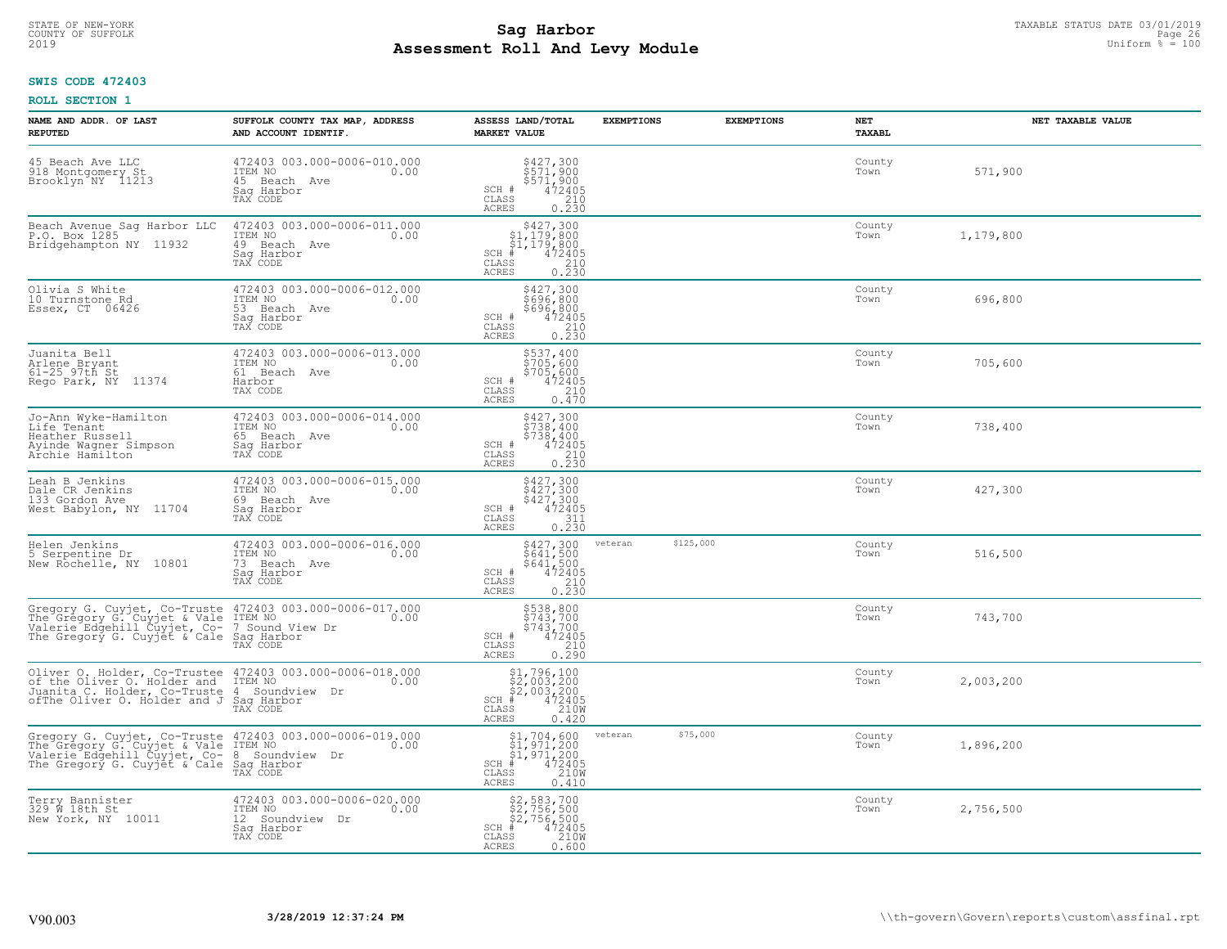# TAXABLE STATUS DATE 03/01/2019<br>COUNTY OF SUFFOLK Page 26 COUNTY OF SUFFOLK Page 26 **Assessment Roll And Levy Module** 2019 Uniform % = 100

## **SWIS CODE 472403**

| NAME AND ADDR. OF LAST<br><b>REPUTED</b>                                                                                                                                                                | SUFFOLK COUNTY TAX MAP, ADDRESS<br>AND ACCOUNT IDENTIF.                                     | ASSESS LAND/TOTAL<br><b>MARKET VALUE</b>                                                                                                                                                                                                                                                                                                                         | <b>EXEMPTIONS</b> | <b>EXEMPTIONS</b> | <b>NET</b><br><b>TAXABL</b> | NET TAXABLE VALUE |
|---------------------------------------------------------------------------------------------------------------------------------------------------------------------------------------------------------|---------------------------------------------------------------------------------------------|------------------------------------------------------------------------------------------------------------------------------------------------------------------------------------------------------------------------------------------------------------------------------------------------------------------------------------------------------------------|-------------------|-------------------|-----------------------------|-------------------|
| 45 Beach Ave LLC<br>918 Montgomery St<br>Brooklyn NY 11213                                                                                                                                              | 472403 003.000-0006-010.000<br>ITEM NO<br>0.00<br>45 Beach Ave<br>Saq Harbor<br>TAX CODE    | \$427,300<br>\$571,900<br>\$571,900<br>472405<br>210<br>SCH #<br>CLASS<br><b>ACRES</b><br>0.230                                                                                                                                                                                                                                                                  |                   |                   | County<br>Town              | 571,900           |
| Beach Avenue Sag Harbor LLC<br>P.O. Box 1285<br>Bridgehampton NY 11932                                                                                                                                  | 472403 003.000-0006-011.000<br>ITEM NO<br>0.00<br>49 Beach Ave<br>Sag Harbor<br>TAX CODE    | $$427,300$<br>$$1,179,800$<br>$$1,179,800$<br>$$472405$<br>$SCH$ #<br>CLASS<br>$\begin{array}{c} 210 \\ 0.230 \end{array}$<br><b>ACRES</b>                                                                                                                                                                                                                       |                   |                   | County<br>Town              | 1,179,800         |
| Olivia S White<br>10 Turnstone Rd<br>Essex, CT 06426                                                                                                                                                    | 472403 003.000-0006-012.000<br>ITEM NO<br>0.00<br>53<br>Beach Ave<br>Saq Harbor<br>TAX CODE | \$427,300<br>\$696,800<br>\$696,800<br>SCH #<br>472405<br>CLASS<br>$\frac{210}{0.230}$<br><b>ACRES</b>                                                                                                                                                                                                                                                           |                   |                   | County<br>Town              | 696,800           |
| Juanita Bell<br>Arlene Bryant<br>$61-25$ $97th$ St<br>Rego Park, NY<br>11374                                                                                                                            | 472403 003.000-0006-013.000<br>TTEM NO 0.00<br>61 Beach Ave<br>Harbor<br>TAX CODE           | \$537,400<br>\$705,600<br>\$705,600<br>\$72405<br>\$710<br>SCH #<br>CLASS<br><b>ACRES</b><br>0.470                                                                                                                                                                                                                                                               |                   |                   | County<br>Town              | 705,600           |
| Jo-Ann Wyke-Hamilton<br>Life Tenant<br>Heather Russell<br>Ayinde Wagner Simpson<br>Archie Hamilton                                                                                                      | 472403 003.000-0006-014.000<br>ITEM NO<br>0.00<br>65 Beach Ave<br>Saq Harbor<br>TAX CODE    | \$427,300<br>$\frac{1}{5}$ 738,400<br>\$738,400<br>SCH #<br>472405<br>210<br>CLASS<br>0.230<br><b>ACRES</b>                                                                                                                                                                                                                                                      |                   |                   | County<br>Town              | 738,400           |
| Leah B Jenkins<br>Dale CR Jenkins<br>133 Gordon Ave<br>West Babylon, NY 11704                                                                                                                           | 472403 003.000-0006-015.000<br>ITEM NO<br>69 Beach Ave<br>0.00<br>Saq Harbor<br>TAX CODE    | \$427,300<br>\$427,300<br>\$427,300<br>472405<br>SCH #<br>CLASS<br>$\frac{311}{0.230}$<br><b>ACRES</b>                                                                                                                                                                                                                                                           |                   |                   | County<br>Town              | 427,300           |
| Helen Jenkins<br>5 Serpentine Dr<br>New Rochelle, NY 10801                                                                                                                                              | 472403 003.000-0006-016.000<br>ITEM NO<br>0.00<br>73 Beach Ave<br>Sag Harbor<br>TAX CODE    | \$427,300<br>\$641,500<br>\$641,500<br>472405<br>SCH #<br>$\begin{array}{c} 210 \\ 0.230 \end{array}$<br>CLASS<br><b>ACRES</b>                                                                                                                                                                                                                                   | veteran           | \$125,000         | County<br>Town              | 516,500           |
| Gregory G. Cuyjet, Co-Truste 472403 003.000-0006-017.000<br>The Gregory G. Cuyjet & Vale ITEM NO<br>Valerie Edgehill Cuyjet, Co- 7 Sound View Dr<br>The Gregory G. Cuyjet & Cale Saq Harbor<br>TAX CODE |                                                                                             | \$538,800<br>\$743,700<br>\$743,700<br>\$472405<br>\$412<br>SCH #<br>CLASS<br><b>ACRES</b><br>0.290                                                                                                                                                                                                                                                              |                   |                   | County<br>Town              | 743,700           |
| Oliver O. Holder, Co-Trustee 472403 003.000-0006-018.000<br>of the Oliver O. Holder and ITEM NO<br>Juanita C. Holder, Co-Truste 4 Soundview Dr<br>ofThe Oliver O. Holder and J Saq Harbor<br>TAX CODE   |                                                                                             | $$2,003,200$<br>$$2,003,200$<br>$$472405$<br>$$2,003,200$<br>$$210M$<br>$SCH$ #<br>CLASS<br><b>ACRES</b><br>0.420                                                                                                                                                                                                                                                |                   |                   | County<br>Town              | 2,003,200         |
| Gregory G. Cuyjet, Co-Truste 472403 003.000-0006-019.000<br>The Gregory G. Cuyjet & Vale ITEM NO<br>Valerie Edgehill Cuyjet, Co- 8 Soundview Dr<br>The Gregory G. Cuyjet & Cale Sag Harbor              | TAX CODE                                                                                    | $\begin{array}{l} $1,704,600\\ $1,971,200\\ $1,971,200\\ *\\ *\\ 2405\\ *\\ 2408\\ *\\ 2408\\ *\\ 2408\\ *\\ 2408\\ *\\ 2408\\ *\\ 2408\\ *\\ 2408\\ *\\ 2408\\ *\\ 2408\\ *\\ 2408\\ *\\ 2408\\ *\\ 2408\\ *\\ 2408\\ *\\ 2408\\ *\\ 2408\\ *\\ 2408\\ *\\ 2408\\ *\\ 2408\\ *\\ 2408\\ *\\ 2408\\ *\\ 2408\\ *\\$<br>$SCH$ #<br>CLASS<br><b>ACRES</b><br>0.410 | veteran           | \$75,000          | County<br>Town              | 1,896,200         |
| Terry Bannister<br>329 W 18th St<br>New York, NY 10011                                                                                                                                                  | 472403 003.000-0006-020.000<br>ITEM NO<br>0.00<br>12 Soundview Dr<br>Sag Harbor<br>TAX CODE | $$2, 583, 700$<br>$$2, 756, 500$<br>$$2, 756, 500$<br>$$472405$<br>$$2100$<br>SCH<br>CLASS<br>ACRES<br>0.600                                                                                                                                                                                                                                                     |                   |                   | County<br>Town              | 2,756,500         |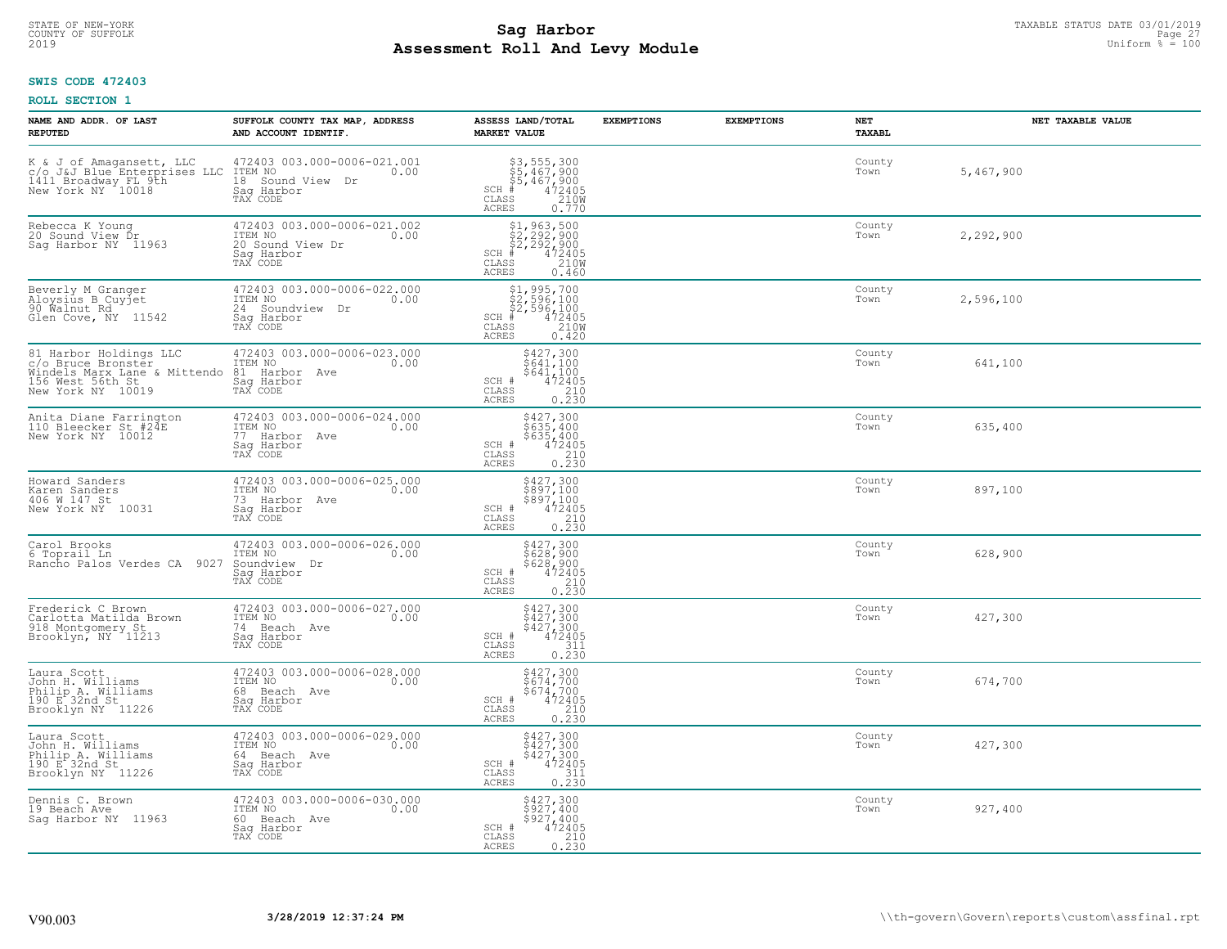# TAXABLE STATUS DATE 03/01/2019<br>COUNTY OF SUFFOLK Page 27 COUNTY OF SUFFOLK Page 27 **Assessment Roll And Levy Module** 2019 Uniform % = 100

## **SWIS CODE 472403**

| NAME AND ADDR. OF LAST<br><b>REPUTED</b>                                                                              | SUFFOLK COUNTY TAX MAP, ADDRESS<br>AND ACCOUNT IDENTIF.                                            | ASSESS LAND/TOTAL<br><b>MARKET VALUE</b>                                                                                       | <b>EXEMPTIONS</b> | <b>EXEMPTIONS</b> | NET<br><b>TAXABL</b> | NET TAXABLE VALUE |
|-----------------------------------------------------------------------------------------------------------------------|----------------------------------------------------------------------------------------------------|--------------------------------------------------------------------------------------------------------------------------------|-------------------|-------------------|----------------------|-------------------|
| K & J of Amagansett, LLC<br>c/o J&J Blue Enterprises LLC<br>1411 Broadway FL 9th<br>New York NY 10018                 | 472403 003.000-0006-021.001<br>ITEM NO<br>0.00<br>18<br>Sound View<br>Dr<br>Saq Harbor<br>TAX CODE | \$3,555,300<br>\$5,467,900<br>\$5,467,900<br># 472405<br>\$<br>$SCH$ #<br>CLASS<br><b>ACRES</b><br>0.770                       |                   |                   | County<br>Town       | 5,467,900         |
| Rebecca K Young<br>20 Sound View Dr<br>Saq Harbor NY 11963                                                            | 472403 003.000-0006-021.002<br>ITEM NO<br>0.00<br>20 Sound View Dr<br>Saq Harbor<br>TAX CODE       | $$2, 292, 900$<br>$$2, 292, 900$<br>$$2, 292, 900$<br>$472405$<br>$$2100$<br>$SCH$ #<br>CLASS<br><b>ACRES</b><br>0.460         |                   |                   | County<br>Town       | 2,292,900         |
| Beverly M Granger<br>Aloysius B Cuyjet<br>90 Walnut Rd<br>Glen Cove, NY 11542                                         | 472403 003.000-0006-022.000<br>ITEM NO<br>0.00<br>24<br>Soundview Dr<br>Saq Harbor<br>TAX CODE     | $$1, 995, 700$<br>$$2, 596, 100$<br>$$2, 596, 100$<br>$472405$<br>$$2100$<br>$$2100$<br>$SCH$ #<br>CLASS<br>ACRES<br>0.420     |                   |                   | County<br>Town       | 2,596,100         |
| 81 Harbor Holdings LLC<br>c/o Bruce Bronster<br>Windels Marx Lane & Mittendo<br>156 West 56th St<br>New York NY 10019 | 472403 003.000-0006-023.000<br>ITEM NO<br>0.00<br>81 Harbor Ave<br>Sag Harbor<br>TAX CODE          | $5427,3005641,1005641,100472405210$<br>SCH #<br>CLASS<br>$0, \overline{2}\,\overline{3}\,\overline{0}$<br><b>ACRES</b>         |                   |                   | County<br>Town       | 641,100           |
| Anita Diane Farrington<br>110 Bleecker St #24E<br>New York NY 10012                                                   | 472403 003.000-0006-024.000<br>ITEM NO<br>0.00<br>77 Harbor Ave<br>Saq Harbor<br>TAX CODE          | \$427,300<br>$$635,400$<br>$$635,400$<br>SCH #<br>472405<br>210<br>CLASS<br>0.230<br><b>ACRES</b>                              |                   |                   | County<br>Town       | 635,400           |
| Howard Sanders<br>Karen Sanders<br>406 W 147 St<br>New York NY 10031                                                  | 472403 003.000-0006-025.000<br>ITEM NO<br>0.00<br>73 Harbor Ave<br>Sag Harbor<br>TAX CODE          | \$427,300<br>\$897,100<br>\$897,100<br>472405<br>SCH #<br>CLASS<br>$\begin{array}{c} 210 \\ 0.230 \end{array}$<br><b>ACRES</b> |                   |                   | County<br>Town       | 897,100           |
| Carol Brooks<br>6 Toprail Ln<br>Rancho Palos Verdes CA<br>9027                                                        | 472403 003.000-0006-026.000<br>ITEM NO<br>0.00<br>Soundview Dr<br>Saq Harbor<br>TAX CODE           | \$427,300<br>\$628,900<br>\$628,900<br>472405<br>$SCH$ #<br>CLASS<br>210<br>0.230<br><b>ACRES</b>                              |                   |                   | County<br>Town       | 628,900           |
| Frederick C Brown<br>Carlotta Matilda Brown<br>918 Montgomery St<br>Brooklyn, NY 11213                                | 472403 003.000-0006-027.000<br>TTEM NO 0.00<br>74 Beach Ave<br>Saq Harbor<br>TAX CODE              | \$427,300<br>\$427,300<br>\$427,300<br>472405<br>SCH #<br>CLASS<br>311<br><b>ACRES</b><br>0.230                                |                   |                   | County<br>Town       | 427,300           |
| Laura Scott<br>John H. Williams<br>Philip A. Williams<br>190 E.32nd St<br>Brooklyn NY 11226                           | 472403 003.000-0006-028.000<br>TTEM NO 0.00<br>68 Beach Ave<br>Saq Harbor<br>TAX CODE              | \$427,300<br>\$674,700<br>\$674,700<br>472405<br>SCH #<br>CLASS<br>210<br><b>ACRES</b><br>0.230                                |                   |                   | County<br>Town       | 674,700           |
| Laura Scott<br>John H. Williams<br>Philip A. Williams<br>190 E 32nd St<br>Brooklyn NY 11226                           | 472403 003.000-0006-029.000<br>ITEM NO<br>0.00<br>64 Beach Ave<br>Saq Harbor<br>TAX CODE           | \$427,300<br>\$427,300<br>\$427,300<br>472405<br>SCH #<br>311<br>CLASS<br>0.230<br><b>ACRES</b>                                |                   |                   | County<br>Town       | 427,300           |
| Dennis C. Brown<br>19 Beach Ave<br>Saq Harbor NY 11963                                                                | 472403 003.000-0006-030.000<br>ITEM NO<br>0.00<br>60 Beach Ave<br>Saq Harbor<br>TAX CODE           | \$427,300<br>\$927,400<br>\$927,400<br>SCH #<br>472405<br>$\begin{array}{c} 210 \\ 0.230 \end{array}$<br>CLASS<br><b>ACRES</b> |                   |                   | County<br>Town       | 927,400           |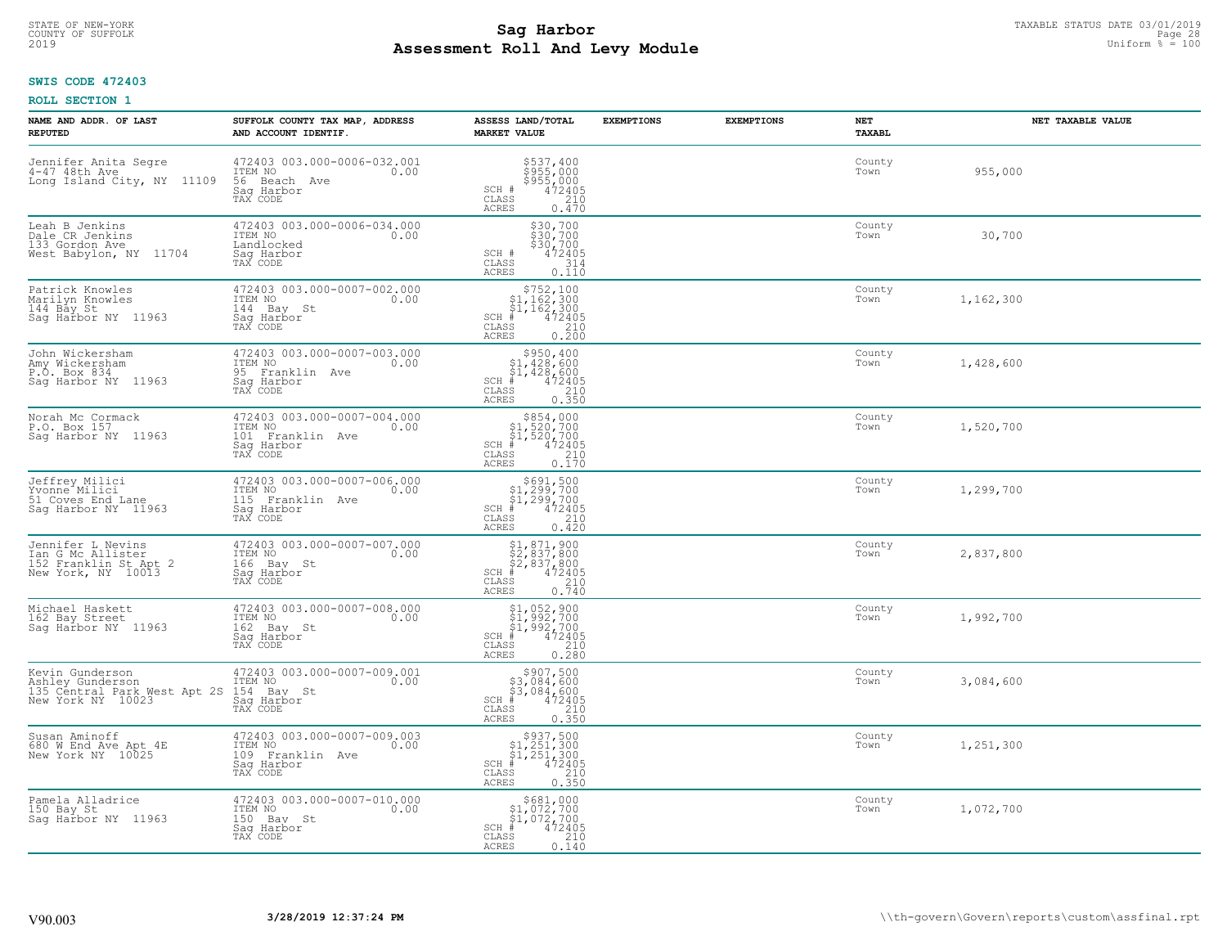# TAXABLE STATUS DATE 03/01/2019<br>COUNTY OF SUFFOLK Page 28 COUNTY OF SUFFOLK Page 28 **Assessment Roll And Levy Module** 2019 Uniform % = 100

## **SWIS CODE 472403**

| NAME AND ADDR. OF LAST<br><b>REPUTED</b>                                                 | SUFFOLK COUNTY TAX MAP, ADDRESS<br>AND ACCOUNT IDENTIF.                                      | ASSESS LAND/TOTAL<br><b>MARKET VALUE</b>                                                                                                                            | <b>EXEMPTIONS</b> | <b>EXEMPTIONS</b> | NET<br><b>TAXABL</b> | NET TAXABLE VALUE |
|------------------------------------------------------------------------------------------|----------------------------------------------------------------------------------------------|---------------------------------------------------------------------------------------------------------------------------------------------------------------------|-------------------|-------------------|----------------------|-------------------|
| Jennifer Anita Segre<br>4-47 48th Ave<br>Long Island City, NY 11109                      | 472403 003.000-0006-032.001<br>ITEM NO<br>0.00<br>56 Beach Ave<br>Saq Harbor<br>TAX CODE     | \$537,400<br>\$955,000<br>\$955,000<br>472405<br>SCH #<br>CLASS<br>210<br><b>ACRES</b><br>0.470                                                                     |                   |                   | County<br>Town       | 955,000           |
| Leah B Jenkins<br>Dale CR Jenkins<br>133 Gordon Ave<br>West Babylon, NY 11704            | 472403 003.000-0006-034.000<br>ITEM NO<br>0.00<br>Landlocked<br>Sag Harbor<br>TAX CODE       | $$30,700$<br>$$30,700$<br>$$30,700$<br>$$472405$<br>SCH #<br>314<br>CLASS<br><b>ACRES</b><br>0.110                                                                  |                   |                   | County<br>Town       | 30,700            |
| Patrick Knowles<br>Marilyn Knowles<br>144 Bay St<br>Sag Harbor NY 11963                  | 472403 003.000-0007-002.000<br>ITEM NO<br>0.00<br>144 Bay St<br>Sag Harbor<br>TAX CODE       | \$752,100<br>$\begin{array}{c} 51,162,300 \\ 51,162,300 \\ * 472405 \end{array}$<br>$SCH$ #<br>CLASS<br>$\begin{array}{c} 210 \\ 0.200 \end{array}$<br><b>ACRES</b> |                   |                   | County<br>Town       | 1,162,300         |
| John Wickersham<br>Amy Wickersham<br>P.O. Box 834<br>Sag Harbor NY 11963                 | 472403 003.000-0007-003.000<br>ITEM NO<br>0.00<br>95 Franklin Ave<br>Saq Harbor<br>TAX CODE  | $$950, 400$<br>$$1, 428, 600$<br>$$1, 428, 600$<br>$SCH$ #<br>472405<br>CLASS<br>210<br>ACRES<br>0.350                                                              |                   |                   | County<br>Town       | 1,428,600         |
| Norah Mc Cormack<br>P.O. Box 157<br>Sag Harbor NY 11963                                  | 472403 003.000-0007-004.000<br>ITEM NO<br>0.00<br>101 Franklin Ave<br>Saq Harbor<br>TAX CODE | $$854,000$<br>$$1,520,700$<br>$$1,520,700$<br>$*$ 472405<br>$SCH$ #<br>CLASS<br>210<br><b>ACRES</b><br>0.170                                                        |                   |                   | County<br>Town       | 1,520,700         |
| Jeffrey Milici<br>Yvonne <sup>-</sup> Milici<br>51 Coves End Lane<br>Sag Harbor NY 11963 | 472403 003.000-0007-006.000<br>ITEM NO<br>0.00<br>115 Franklin Ave<br>Saq Harbor<br>TAX CODE | $$691,500$<br>$$1,299,700$<br>$$1,299,700$<br>$472405$<br>$$240$<br>$$240$<br>SCH #<br>$\mathtt{CLASS}$<br>0.420<br><b>ACRES</b>                                    |                   |                   | County<br>Town       | 1,299,700         |
| Jennifer L Nevins<br>Tan G Mc Allister<br>152 Franklin St Apt 2<br>New York, NY 10013    | 472403 003.000-0007-007.000<br>ITEM NO<br>166 Ba<br>0.00<br>Bay St<br>Saq Harbor<br>TAX CODE | \$1,871,900<br>\$2,837,800<br>\$2,837,800<br>#472405<br>$SCH$ #<br>CLASS<br>$\frac{210}{0.740}$<br><b>ACRES</b>                                                     |                   |                   | County<br>Town       | 2,837,800         |
| Michael Haskett<br>162 Bay Street<br>Sag Harbor NY 11963                                 | 472403 003.000-0007-008.000<br>TTEM NO 0.00<br>162 Bay St<br>Saq Harbor<br>TAX CODE          | \$1,052,900<br>\$1,992,700<br>\$1,992,700<br>#1,992,700<br>$SCH$ #<br>CLASS<br>210<br><b>ACRES</b><br>0.280                                                         |                   |                   | County<br>Town       | 1,992,700         |
| Kevin Gunderson<br>Ashley Gunderson<br>135 Central Park West Apt 2S<br>New York NY 10023 | 472403 003.000-0007-009.001<br>ITEM NO 0.00<br>154 Bay St<br>Saq Harbor<br>TAX CODE          | $$907,500$<br>$$3,084,600$<br>$$3,084,600$<br>$$472405$<br>$SCH$ #<br>CLASS<br>210<br>ACRES<br>0.350                                                                |                   |                   | County<br>Town       | 3,084,600         |
| Susan Aminoff<br>680 W End Ave Apt 4E<br>New York NY 10025                               | 472403 003.000-0007-009.003<br>ITEM NO<br>0.00<br>109 Franklin Ave<br>Saq Harbor<br>TAX CODE | $$937,500$<br>$$1,251,300$<br>$$1,251,300$<br>$*1,251,300$<br>$*1,251,300$<br>$SCH$ #<br>CLASS<br>210<br>0.350<br><b>ACRES</b>                                      |                   |                   | County<br>Town       | 1,251,300         |
| Pamela Alladrice<br>150 Bay St<br>Saq Harbor NY 11963                                    | 472403 003.000-0007-010.000<br>ITEM NO<br>0.00<br>150 Bay St<br>Sag Harbor<br>TAX CODE       | $$681,000$<br>$$1,072,700$<br>$$1,072,700$<br>$SCH$ #<br>472405<br>CLASS<br>210<br><b>ACRES</b><br>0.140                                                            |                   |                   | County<br>Town       | 1,072,700         |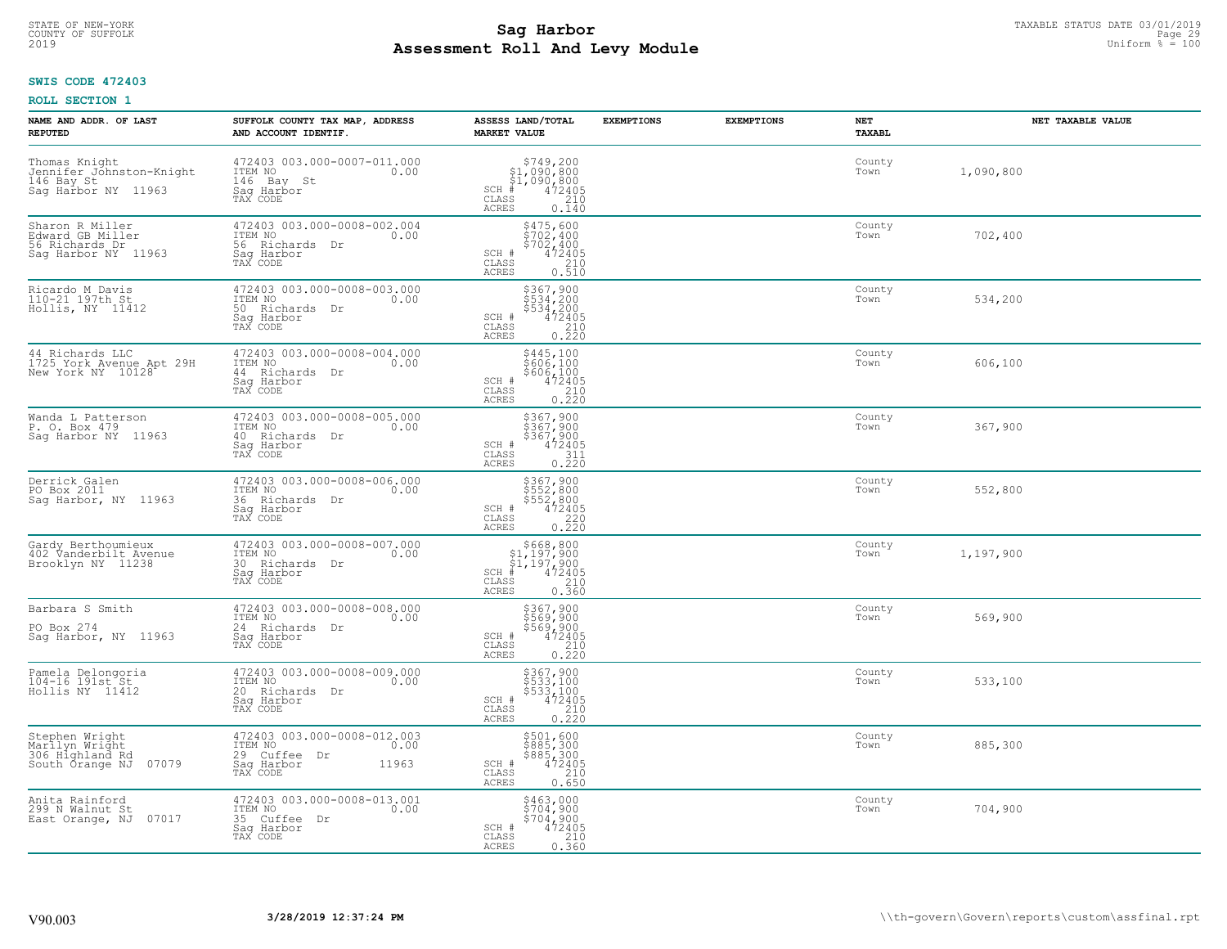# TAXABLE STATUS DATE 03/01/2019<br>COUNTY OF SUFFOLK Page 29 COUNTY OF SUFFOLK Page 29 **Assessment Roll And Levy Module** 2019 Uniform % = 100

## **SWIS CODE 472403**

| NAME AND ADDR. OF LAST<br><b>REPUTED</b>                                        | SUFFOLK COUNTY TAX MAP, ADDRESS<br>AND ACCOUNT IDENTIF.                                           | ASSESS LAND/TOTAL<br><b>MARKET VALUE</b>                                                                                                 | <b>EXEMPTIONS</b> | <b>EXEMPTIONS</b> | <b>NET</b><br><b>TAXABL</b> | NET TAXABLE VALUE |
|---------------------------------------------------------------------------------|---------------------------------------------------------------------------------------------------|------------------------------------------------------------------------------------------------------------------------------------------|-------------------|-------------------|-----------------------------|-------------------|
| Thomas Knight<br>Jennifer Johnston-Knight<br>146 Bay St<br>Sag Harbor NY 11963  | 472403 003.000-0007-011.000<br>ITEM NO<br>0.00<br>146 Bay St<br>Sag Harbor<br>TAX CODE            | $$749,200$<br>$$1,090,800$<br>$$1,090,800$<br>$472405$<br>$$210$<br>$SCH$ #<br>CLASS<br>ACRES<br>0.140                                   |                   |                   | County<br>Town              | 1,090,800         |
| Sharon R Miller<br>Edward GB Miller<br>56 Richards Dr<br>Saq Harbor NY 11963    | 472403 003.000-0008-002.004<br>ITEM NO<br>0.00<br>56 Richards Dr<br>Saq Harbor<br>TAX CODE        | \$475,600<br>\$702,400<br>\$702,400<br>472405<br>SCH #<br>CLASS<br>$\frac{210}{0.510}$<br>ACRES                                          |                   |                   | County<br>Town              | 702,400           |
| Ricardo M Davis<br>110-21 197th St<br>Hollis, NY 11412                          | 472403 003.000-0008-003.000<br>ITEM NO<br>0.00<br>50 Richards Dr<br>Saq Harbor<br>TAX CODE        | $$367,900\n$534,200\n$534,200\n472405\n0.220\n0.220$<br>SCH #<br>CLASS<br>ACRES                                                          |                   |                   | County<br>Town              | 534,200           |
| 44 Richards LLC<br>1725 York Avenue Apt 29H<br>New York NY 10128                | 472403 003.000-0008-004.000<br>ITEM NO<br>0.00<br>44 Richards Dr<br>Saq Harbor<br>TAX CODE        | \$445,100<br>\$606,100<br>\$606,100<br>472405<br>0.220<br>0.220<br>SCH #<br>CLASS<br>ACRES                                               |                   |                   | County<br>Town              | 606,100           |
| Wanda L Patterson<br>P. O. Box 479<br>Sag Harbor NY 11963                       | 472403 003.000-0008-005.000<br>ITEM NO<br>0.00<br>40 Richards Dr<br>Saq Harbor<br>TAX CODE        | $\begin{array}{r} 5367,900 \\ 5367,900 \\ 5367,900 \\ 472405 \\ \underline{311} \\ 0.220 \end{array}$<br>SCH #<br>CLASS<br>ACRES         |                   |                   | County<br>Town              | 367,900           |
| Derrick Galen<br>PO Box 2011<br>Sag Harbor, NY 11963                            | 472403 003.000-0008-006.000<br>ITEM NO<br>0.00<br>36 Richards Dr<br>Sag Harbor<br>TAX CODE        | \$367,900<br>\$552,800<br>\$552,800<br>\$472405<br>SCH #<br>CLASS<br>$\begin{array}{c} 220 \\ 0.220 \end{array}$<br>ACRES                |                   |                   | County<br>Town              | 552,800           |
| Gardy Berthoumieux<br>402 Vanderbilt Avenue<br>Brooklyn NY 11238                | 472403 003.000-0008-007.000<br>ITEM NO<br>0.00<br>30 Richards Dr<br>Saq Harbor<br>TAX CODE        | $$668, 800$<br>$$1, 197, 900$<br>$$1, 197, 900$<br>$$472405$<br>$SCH$ #<br>$\begin{array}{c} 210 \\ 0.360 \end{array}$<br>CLASS<br>ACRES |                   |                   | County<br>Town              | 1,197,900         |
| Barbara S Smith<br>PO Box 274<br>Sag Harbor, NY 11963                           | 472403 003.000-0008-008.000<br>TTEM NO 0.00<br>24 Richards Dr<br>Saq Harbor<br>TAX CODE           | \$367,900<br>\$569,900<br>\$569,900<br>\$569,900<br>\$72405<br>\$210<br>\$220<br>SCH #<br>CLASS<br>ACRES                                 |                   |                   | County<br>Town              | 569,900           |
| Pamela Delongoria<br>104-16 191st St<br>Hollis NY 11412                         | 472403 003.000-0008-009.000<br>ITEM NO 0.00<br>20 Richards Dr<br>Saq Harbor<br>TAX CODE           | \$367,900<br>\$533,100<br>\$533,100<br>472405<br>210<br>SCH #<br>CLASS<br>0.220<br>ACRES                                                 |                   |                   | County<br>Town              | 533,100           |
| Stephen Wright<br>Marìlyn Wright<br>306 Highland Rd<br>07079<br>South Õrange NJ | 472403 003.000-0008-012.003<br>ITEM NO<br>0.00<br>29 Cuffee Dr<br>11963<br>Sag Harbor<br>TAX CODE | \$501,600<br>\$885,300<br>\$885,300<br>472405<br>SCH #<br>$\begin{array}{c} 210 \\ 0.650 \end{array}$<br>CLASS<br><b>ACRES</b>           |                   |                   | County<br>Town              | 885,300           |
| Anita Rainford<br>299 N Walnut St<br>07017<br>East Orange, NJ                   | 472403 003.000-0008-013.001<br>ITEM NO<br>0.00<br>35 Cuffee Dr<br>Saq Harbor<br>TAX CODE          | \$463,000<br>\$704,900<br>\$704,900<br>SCH #<br>472405<br>CLASS<br>210<br>0.360<br>ACRES                                                 |                   |                   | County<br>Town              | 704,900           |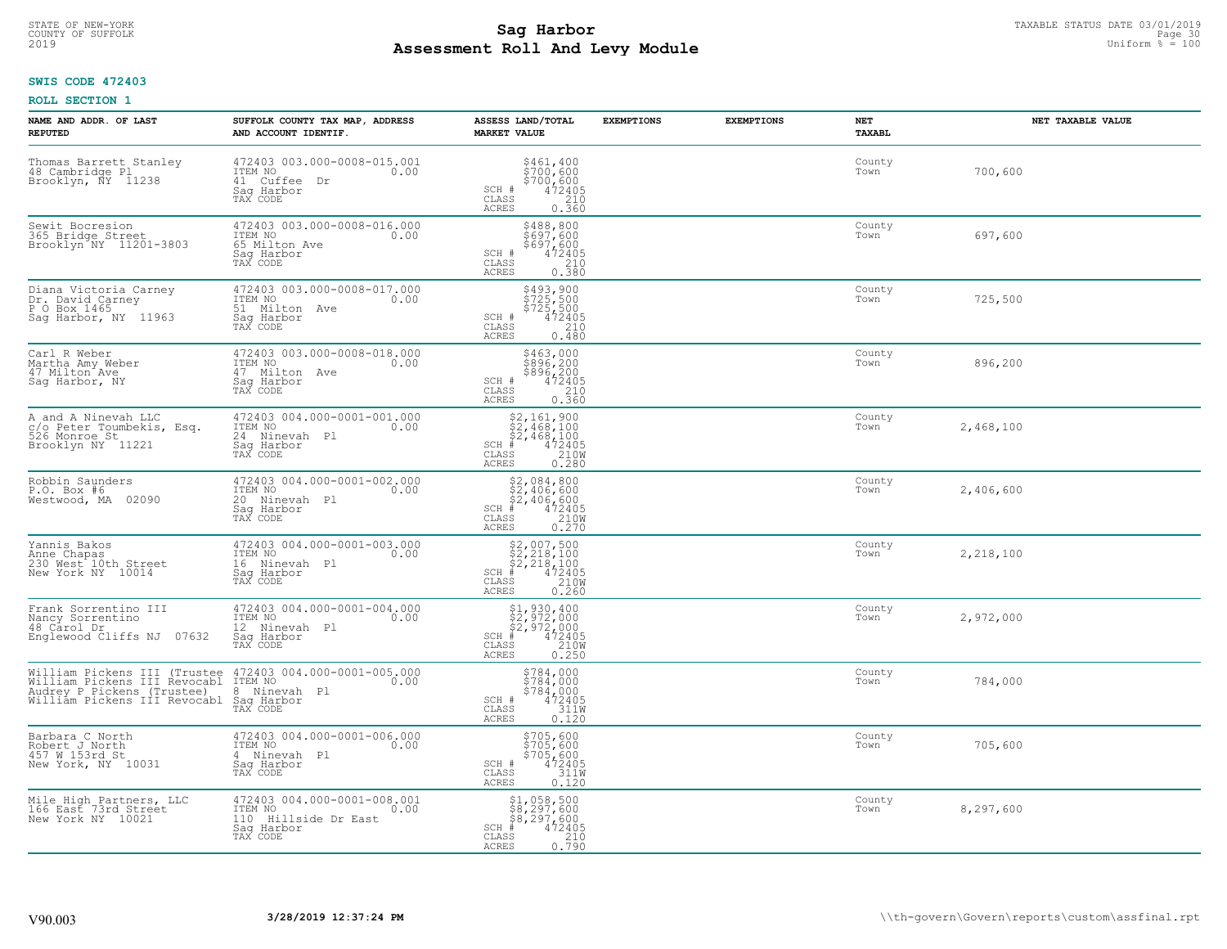# **SWIS CODE 472403**

| NAME AND ADDR. OF LAST<br><b>REPUTED</b>                                                                                                                                                                                                             | SUFFOLK COUNTY TAX MAP, ADDRESS<br>AND ACCOUNT IDENTIF.                                          | ASSESS LAND/TOTAL<br><b>MARKET VALUE</b>                                                                                                                                                                                       | <b>EXEMPTIONS</b> | <b>EXEMPTIONS</b> | NET<br><b>TAXABL</b> | NET TAXABLE VALUE |
|------------------------------------------------------------------------------------------------------------------------------------------------------------------------------------------------------------------------------------------------------|--------------------------------------------------------------------------------------------------|--------------------------------------------------------------------------------------------------------------------------------------------------------------------------------------------------------------------------------|-------------------|-------------------|----------------------|-------------------|
| Thomas Barrett Stanley<br>48 Cambridge Pl<br>Brooklyn, NY 11238                                                                                                                                                                                      | 472403 003.000-0008-015.001<br>TTEM NO 0.00<br>41 Cuffee Dr<br>Sag Harbor<br>TAX CODE            | $\begin{array}{r} 5461, 400 \\ 5700, 600 \\ 5700, 600 \\ 472405 \\ 210 \\ 0.360 \end{array}$<br>SCH #<br>CLASS<br>ACRES                                                                                                        |                   |                   | County<br>Town       | 700,600           |
| Sewit Bocresion<br>365 Bridge Street<br>Brooklyn NY 11201-3803                                                                                                                                                                                       | 472403 003.000-0008-016.000<br>1TEM NO 0.00<br>65 Milton Ave<br>Sag Harbor<br>TAX CODE           | \$488,800<br>\$697,600<br>\$697,600<br>472405<br>210<br>SCH #<br>CLASS<br>0.380<br>ACRES                                                                                                                                       |                   |                   | County<br>Town       | 697,600           |
| Diana Victoria Carney<br>Dr. David Carney<br>P O Box 1465<br>Sag Harbor, NY 11963                                                                                                                                                                    | 472403 003.000-0008-017.000<br>ITEM NO<br>0.00<br>51 Milton Ave<br>Sag Harbor<br>TAX CODE        | \$493,900<br>\$725,500<br>\$725,500<br>\$72405<br>SCH #<br>210<br>CLASS<br>0.480<br>ACRES                                                                                                                                      |                   |                   | County<br>Town       | 725,500           |
| Carl R Weber<br>Martha Amy Weber<br>47 Milton Ave<br>Saq Harbor, NY                                                                                                                                                                                  | 472403 003.000-0008-018.000<br>ITEM NO<br>0.00<br>47 Milton Ave<br>Saq Harbor<br>TAX CODE        | \$463,000<br>\$896,200<br>\$896,200<br>SCH #<br>$72405$<br>0.360<br>0.360<br>CLASS<br>ACRES                                                                                                                                    |                   |                   | County<br>Town       | 896,200           |
| A and A Ninevah LLC<br>c/o Peter Toumbekis, Esq.<br>526 Monroe St<br>Brooklyn NY 11221                                                                                                                                                               | 472403 004.000-0001-001.000<br>ITEM NO<br>0.00<br>24 Ninevah Pl<br>Saq Harbor<br>TAX CODE        | $\begin{array}{r} \text{\small $52$, $161$, $900$} \\ \text{\small $52$, $468$, $100$} \\ \text{\small $52$, $468$, $100$} \\ \text{\small $472405} \\ \text{\small $58$} \end{array}$<br>$SCH$ #<br>$\mathtt{CLASS}$<br>ACRES |                   |                   | County<br>Town       | 2,468,100         |
| Robbin Saunders<br>P.O. Box #6<br>Westwood, MA 02090                                                                                                                                                                                                 | 472403 004.000-0001-002.000<br>ITEM NO<br>0.00<br>20 Ninevah Pl<br>Saq Harbor<br>TAX CODE        | $$2,084,800$<br>$$2,406,600$<br>$$2,406,600$<br>$*$<br>$472405$<br>$*$<br>$2100$<br>$SCH$ #<br>CLASS<br>0.270<br>ACRES                                                                                                         |                   |                   | County<br>Town       | 2,406,600         |
| Yannis Bakos<br>Anne Chapas<br>230 West 10th Street<br>New York NY 10014                                                                                                                                                                             | 472403 004.000-0001-003.000<br>ITEM NO<br>0.00<br>16 Ninevah Pl<br>Saq Harbor<br>TAX CODE        | $$2,007,500$<br>$$2,218,100$<br>$$2,218,100$<br>$472405$<br>$$2100$<br>$$2100$<br>$SCH$ #<br>CLASS<br>ACRES<br>0.260                                                                                                           |                   |                   | County<br>Town       | 2,218,100         |
| Frank Sorrentino III<br>Nancy Sorrentino<br>48 Carol Dr<br>Englewood Cliffs NJ 07632                                                                                                                                                                 | 472403 004.000-0001-004.000<br>ITEM NO 0.00<br>12 Ninevah Pl<br>Saq Harbor<br>TAX CODE           | $\begin{array}{l} $1,930,400\\ $2,972,000\\ $2,972,000\\ $4,72405\\ $4,72405 \end{array}$<br>$SCH$ #<br>CLASS<br>$\frac{210W}{0.250}$<br>ACRES                                                                                 |                   |                   | County<br>Town       | 2,972,000         |
| William Pickens III (Trustee 472403 004.000-0001-005.000<br>William Pickens III Revocabl ITEM NO 000<br>William Pickens III Actorne - 8 Ninevah<br>Audrey P Pickens (Trustee) - 8 Ninevah<br>William Pickens III Revocabl - Saq Harbor<br>- TAX CODE | 8 Ninevah Pl                                                                                     | $$784,000$<br>$$784,000$<br>$5784,000\n472405\n311W$<br>SCH #<br>CLASS<br>ACRES<br>0.120                                                                                                                                       |                   |                   | County<br>Town       | 784,000           |
| Barbara C North<br>Robert J North<br>457 W 153rd St<br>New York, NY 10031                                                                                                                                                                            | 472403 004.000-0001-006.000<br>ITEM NO<br>0.00<br>4 Ninevah Pl<br>Saq Harbor<br>TAX CODE         | \$705,600<br>\$705,600<br>\$705,600<br>472405<br>SCH #<br>311W<br>CLASS<br><b>ACRES</b><br>0.120                                                                                                                               |                   |                   | County<br>Town       | 705,600           |
| Mile High Partners, LLC<br>166 East 73rd Street<br>New York NY 10021                                                                                                                                                                                 | 472403 004.000-0001-008.001<br>ITEM NO<br>0.00<br>110 Hillside Dr East<br>Saq Harbor<br>TAX CODE | \$1,058,500<br>\$8,297,600<br>\$8,297,600<br>$SCH$ #<br>472405<br>CLASS<br>$\frac{210}{0.790}$<br>ACRES                                                                                                                        |                   |                   | County<br>Town       | 8,297,600         |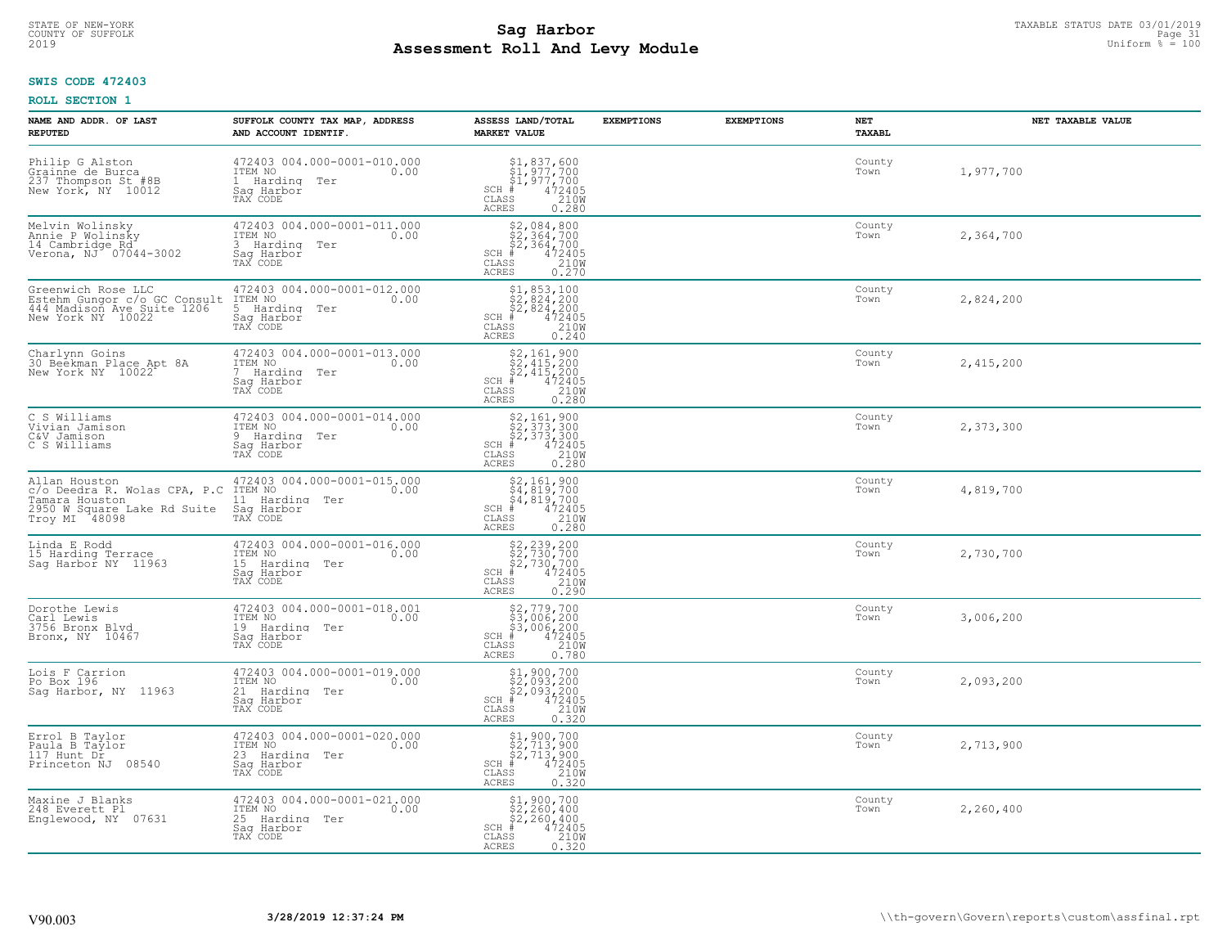# **SWIS CODE 472403**

| NAME AND ADDR. OF LAST<br><b>REPUTED</b>                                                                        | SUFFOLK COUNTY TAX MAP, ADDRESS<br>AND ACCOUNT IDENTIF.                                       | ASSESS LAND/TOTAL<br><b>MARKET VALUE</b>                                                                                                          | <b>EXEMPTIONS</b> | <b>EXEMPTIONS</b> | NET<br>TAXABL  | NET TAXABLE VALUE |
|-----------------------------------------------------------------------------------------------------------------|-----------------------------------------------------------------------------------------------|---------------------------------------------------------------------------------------------------------------------------------------------------|-------------------|-------------------|----------------|-------------------|
| Philip G Alston<br>Crainne de Burca<br>237 Thompson St #8B<br>New York, NY 10012                                | 472403 004.000-0001-010.000<br>ITEM NO<br>0.00<br>1 Harding Ter<br>Saq Harbor<br>TAX CODE     | \$1,837,600<br>$\begin{array}{l} 51,977,700 \\ 51,977,700 \\ \pm 472405 \end{array}$<br>$SCH$ #<br>CLASS<br>210W<br>ACRES<br>0.280                |                   |                   | County<br>Town | 1,977,700         |
| Melvin Wolinsky<br>Annie P Wolinsky<br>14 Cambridge Rd<br>Verona, NJ 07044-3002                                 | 472403 004.000-0001-011.000<br>ITEM NO<br>0.00<br>3 Harding Ter<br>Sag Harbor<br>TAX CODE     | $\begin{array}{r} 52,084,800 \\ 52,364,700 \\ 52,364,700 \\ * \\ * \\ 55 & 210W \\ \text{15} & 0.270 \\ \end{array}$<br>$SCH$ #<br>CLASS<br>ACRES |                   |                   | County<br>Town | 2,364,700         |
| Greenwich Rose LLC<br>Estehm Gungor C/o GC Consult<br>444 Madison Ave Suite 1206<br>New York NY 10022           | 472403 004.000-0001-012.000<br>ITEM NO<br>0.00<br>5 Harding Ter<br>Sag Harbor<br>TAX CODE     | $$2,853,100$<br>$$2,824,200$<br>$$2,824,200$<br>$472405$<br>$$210M$<br>$$210M$<br>SCH #<br>CLASS<br>0.240<br>ACRES                                |                   |                   | County<br>Town | 2,824,200         |
| Charlynn Goins<br>30 Beekman Place Apt 8A<br>New York NY 10022                                                  | 472403 004.000-0001-013.000<br>ITEM NO<br>0.00<br>7 Harding Ter<br>Saq Harbor<br>TAX CODE     | $$2,161,900$<br>$$2,415,200$<br>$$2,415,200$<br>$472405$<br>$$210M$<br>$SCH$ #<br>CLASS<br>0.280<br>ACRES                                         |                   |                   | County<br>Town | 2,415,200         |
| C S Williams<br>Vivian Jamison<br>C&V Jamison<br>C S Williams                                                   | 472403 004.000-0001-014.000<br>ITEM NO<br>0.00<br>9 Harding Ter<br>Saq Harbor<br>TAX CODE     | $$2,161,900$<br>$$2,373,300$<br>$$2,373,300$<br>$472405$<br>$$210M$<br>$SCH$ #<br>$\mathtt{CLASS}$<br><b>ACRES</b><br>0.280                       |                   |                   | County<br>Town | 2,373,300         |
| Allan Houston<br>c/o Deedra R. Wolas CPA, P.C<br>Tamara Houston<br>2950 W Square Lake Rd Suite<br>Troy MI 48098 | 472403 004.000-0001-015.000<br>ITEM NO<br>0.00<br>11 Harding<br>Ter<br>Saq Harbor<br>TAX CODE | $$2,161,900\n$4,819,700\n$4,819,700\n# 472405\n2100\n35\n2100$<br>$SCH$ #<br>$\mathtt{CLASS}$<br>ACRES<br>0.280                                   |                   |                   | County<br>Town | 4,819,700         |
| Linda E Rodd<br>15 Harding Terrace<br>Sag Harbor NY 11963                                                       | 472403 004.000-0001-016.000<br>ITEM NO<br>0.00<br>15 Harding Ter<br>Saq Harbor<br>TAX CODE    | $$2, 239, 200$<br>$$2, 730, 700$<br>$$2, 730, 700$<br>$$472405$<br>$$2100$<br>$SCH$ #<br>CLASS<br>ACRES<br>0.290                                  |                   |                   | County<br>Town | 2,730,700         |
| Dorothe Lewis<br>Carl Lewis<br>3756 Bronx Blvd<br>Bronx, NY 10467                                               | 472403 004.000-0001-018.001<br>ITEM NO<br>0.00<br>19 Harding<br>Ter<br>Saq Harbor<br>TAX CODE | $$2,779,700$<br>$$3,006,200$<br>$$3,006,200$<br>$$472405$<br>$$2100$<br>$SCH$ #<br>CLASS<br>ACRES<br>0.780                                        |                   |                   | County<br>Town | 3,006,200         |
| Lois F Carrion<br>Po Box 196<br>Sag Harbor, NY 11963                                                            | 472403 004.000-0001-019.000<br>ITEM NO<br>0.00<br>21 Harding Ter<br>Saq Harbor<br>TAX CODE    | \$1,900,700<br>\$2,093,200<br>\$2,093,200<br>$SCH$ #<br>$\frac{472405}{2100}$<br>CLASS<br>ACRES<br>0.320                                          |                   |                   | County<br>Town | 2,093,200         |
| Errol B Taylor<br>Paula B Taylor<br>117 Hunt Dr<br>Princeton NJ 08540                                           | 472403 004.000-0001-020.000<br>ITEM NO<br>0.00<br>23 Harding Ter<br>Sag Harbor<br>TAX CODE    | \$1,900,700<br>\$2,713,900<br>\$2,713,900<br>#472405<br>$SCH$ #<br>210W<br>CLASS<br><b>ACRES</b><br>0.320                                         |                   |                   | County<br>Town | 2,713,900         |
| Maxine J Blanks<br>248 Everett Pl<br>Englewood, NY 07631                                                        | 472403 004.000-0001-021.000<br>ITEM NO<br>0.00<br>25 Harding Ter<br>Sag Harbor<br>TAX CODE    | \$1,900,700<br>\$2,260,400<br>\$2,260,400<br>#472405<br>$SCH$ #<br>CLASS<br>210W<br>ACRES<br>0.320                                                |                   |                   | County<br>Town | 2,260,400         |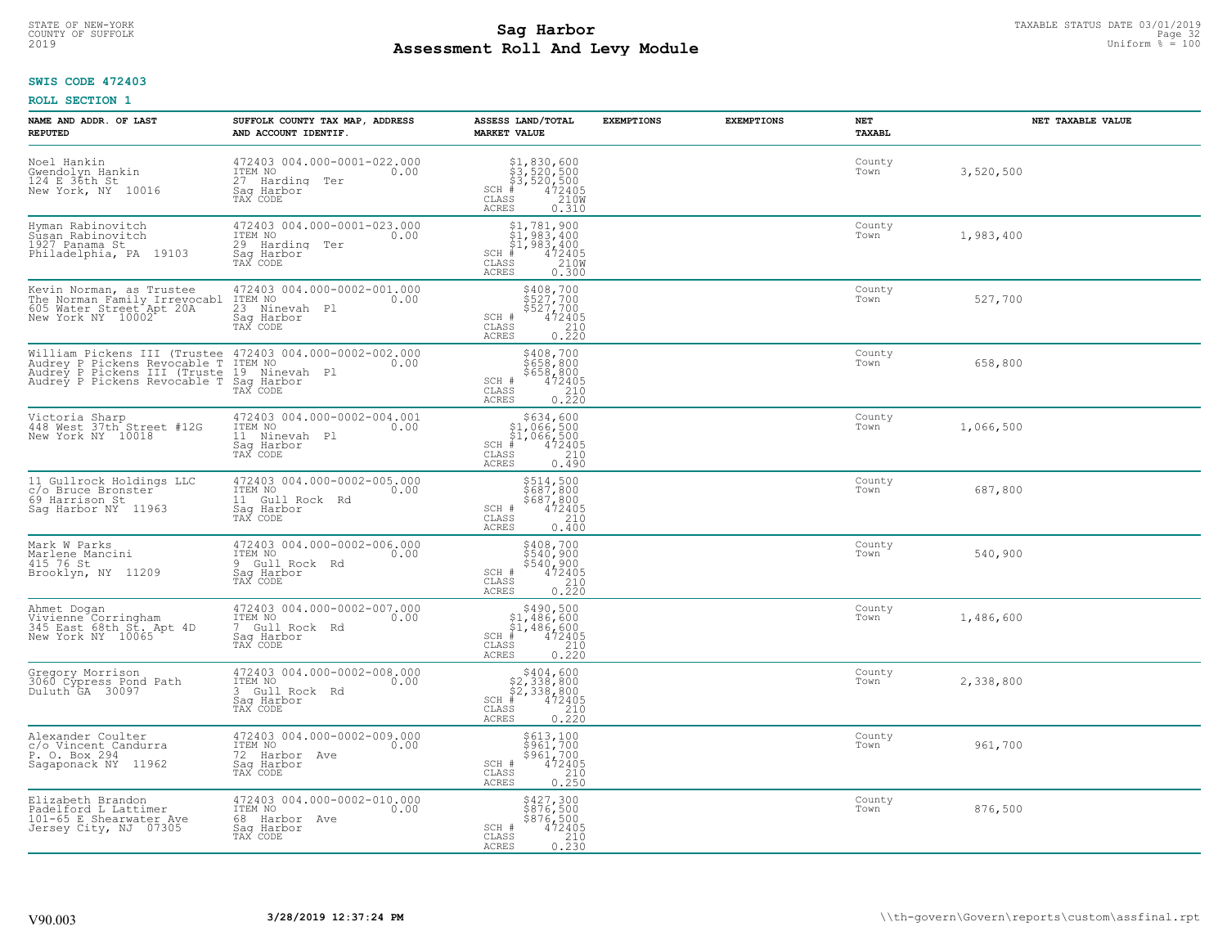#### **Sag Harbor** TAXABLE STATUS DATE 03/01/2019<br>
Poll and Louis Modulo **Assessment Roll And Levy Module** 2019 Uniform % = 100 COUNTY OF SUFFOLK **Example 32** Page 32 Page 32 Page 32 Page 32 Page 32 Page 32 Page 32 Page 32 Page 32 Page 32

## **SWIS CODE 472403**

| NAME AND ADDR. OF LAST<br><b>REPUTED</b>                                                                                                                                                              | SUFFOLK COUNTY TAX MAP, ADDRESS<br>AND ACCOUNT IDENTIF.                                       | ASSESS LAND/TOTAL<br><b>MARKET VALUE</b>                                                                                                                                                                                                                                                     | <b>EXEMPTIONS</b> | <b>EXEMPTIONS</b> | NET<br>TAXABL  | NET TAXABLE VALUE |
|-------------------------------------------------------------------------------------------------------------------------------------------------------------------------------------------------------|-----------------------------------------------------------------------------------------------|----------------------------------------------------------------------------------------------------------------------------------------------------------------------------------------------------------------------------------------------------------------------------------------------|-------------------|-------------------|----------------|-------------------|
| Noel Hankin<br>Gwendolyn Hankin<br>124 E 36th St<br>New York, NY 10016                                                                                                                                | 472403 004.000-0001-022.000<br>TTEM NO 0.00<br>27 Harding Ter<br>Saq Harbor<br>TAX CODE       | $\begin{array}{r} \texttt{\$1,830,600}\ \texttt{\$3,520,500}\ \texttt{\$3,520,500}\ \texttt{\$3,520,500}\ \texttt{\$4,72405}\ \texttt{\$8$} \texttt{\$10W}\ \texttt{\$10W}\ \texttt{\$10W}\ \texttt{\$210W}\ \texttt{\$23D}\ \texttt{\$28$} \end{array}$<br>$SCH$ #<br>CLASS<br><b>ACRES</b> |                   |                   | County<br>Town | 3,520,500         |
| Hyman Rabinovitch<br>Susan Rabinovitch<br>1927 Panama St<br>Philadelphia, PA 19103                                                                                                                    | 472403 004.000-0001-023.000<br>ITEM NO<br>0.00<br>29 Harding<br>Ter<br>Sag Harbor<br>TAX CODE | $\begin{array}{l} \texttt{\$1,781,900}\ \\ \texttt{\$1,983,400}\ \\ \texttt{\$1,983,400}\ \\ \texttt{\$1,983,400}\ \\ \texttt{\$1,983,400}\ \\ \texttt{\$1,2405}\ \\ \texttt{\$10W}\ \\ \texttt{\$10W}\ \\ \texttt{\$10W}\ \\ \texttt{\$0.300}\ \end{array}$<br>SCH #<br>CLASS<br>ACRES      |                   |                   | County<br>Town | 1,983,400         |
| Kevin Norman, as Trustee<br>The Norman Family Irrevocabl<br>605 Mater Street Apt 20A<br>New York NY 10002                                                                                             | 472403 004.000-0002-001.000<br>ITEM NO<br>0.00<br>23 Ninevah Pl<br>Sag Harbor<br>TAX CODE     | \$408,700<br>\$527,700<br>\$527,700<br>\$527,700<br>0.220<br>0.220<br>SCH #<br>CLASS<br><b>ACRES</b>                                                                                                                                                                                         |                   |                   | County<br>Town | 527,700           |
| William Pickens III (Trustee 472403 004.000-0002-002.000<br>Audrey P Pickens Revocable T ITEM NO<br>Audrey P Pickens III (Truste 19 Ninevah P1<br>Audrey P Pickens Revocable T Saq Harbor<br>TAX CODE |                                                                                               | \$408,700<br>\$658,800<br>\$658,800<br>\$658,800<br>472405<br>0.220<br>SCH #<br>$\mathtt{CLASS}$<br><b>ACRES</b>                                                                                                                                                                             |                   |                   | County<br>Town | 658,800           |
| Victoria Sharp<br>448 West 37th Street #12G<br>New York NY 10018                                                                                                                                      | 472403 004.000-0002-004.001<br>ITEM NO<br>0.00<br>11 Ninevah Pl<br>Saq Harbor<br>TAX CODE     | $$634, 600$<br>$$1,066,500$<br>$$1,066,500$<br>$472405$<br>$$210$<br>$SCH$ #<br>CLASS<br>0.490<br><b>ACRES</b>                                                                                                                                                                               |                   |                   | County<br>Town | 1,066,500         |
| 11 Gullrock Holdings LLC<br>c/o Bruce Bronster<br>69 Harrison St<br>Sag Harbor NY 11963                                                                                                               | 472403 004.000-0002-005.000<br>ITEM NO<br>0.00<br>11 Gull Rock Rd<br>Saq Harbor<br>TAX CODE   | \$514,500<br>\$687,800<br>\$687,800<br>472405<br>SCH #<br>CLASS<br>210<br>0.400<br><b>ACRES</b>                                                                                                                                                                                              |                   |                   | County<br>Town | 687,800           |
| Mark W Parks<br>Marlene Mancini<br>415 76 St<br>Brooklyn, NY 11209                                                                                                                                    | 472403 004.000-0002-006.000<br>TTEM NO 0.00<br>9 Gull Rock Rd<br>Sag Harbor<br>TAX CODE       | \$408,700<br>\$540,900<br>\$540,900<br>472405<br>SCH #<br>$\frac{210}{0.220}$<br>CLASS<br><b>ACRES</b>                                                                                                                                                                                       |                   |                   | County<br>Town | 540,900           |
| Ahmet Dogan<br>Throw The Corringham<br>345 East 68th St. Apt 4D<br>New York NY 10065                                                                                                                  | 472403 004.000-0002-007.000<br>TTEM NO 0.00<br>7 Gull Rock Rd<br>Saq Harbor<br>TAX CODE       | $$490,500$<br>$$1,486,600$<br>$$1,486,600$<br>$472405$<br>$$210$<br>$SCH$ #<br>CLASS<br>0.220<br><b>ACRES</b>                                                                                                                                                                                |                   |                   | County<br>Town | 1,486,600         |
| Gregory Morrison<br>3060 Cypress Pond Path<br>Duluth GA 30097                                                                                                                                         | 472403 004.000-0002-008.000<br>TTEM NO 0.00<br>3 Gull Rock Rd<br>Saq Harbor<br>TAX CODE       | \$404,600<br>\$2,338,800<br>\$2,338,800<br>$SCH$ #<br>472405<br>CLASS<br>210<br><b>ACRES</b><br>0.220                                                                                                                                                                                        |                   |                   | County<br>Town | 2,338,800         |
| Alexander Coulter<br>c/o Vincent Candurra<br>P. O. Box 294<br>Sagaponack NY 11962                                                                                                                     | 472403 004.000-0002-009.000<br>ITEM NO<br>0.00<br>72 Harbor Ave<br>Sag Harbor<br>TAX CODE     | \$613,100<br>\$961,700<br>\$961,700<br>\$961,700<br>\$210<br>\$210<br>\$250<br>SCH #<br>CLASS<br><b>ACRES</b>                                                                                                                                                                                |                   |                   | County<br>Town | 961,700           |
| Elizabeth Brandon<br>Padelford L Lattimer<br>101-65 E Shearwater Ave<br>Jersey City, NJ 07305                                                                                                         | 472403 004.000-0002-010.000<br>ITEM NO<br>0.00<br>68 Harbor Ave<br>Sag Harbor<br>TAX CODE     | \$427,300<br>\$876,500<br>\$876,500<br>SCH #<br>472405<br>CLASS<br>$\frac{210}{0.230}$<br><b>ACRES</b>                                                                                                                                                                                       |                   |                   | County<br>Town | 876,500           |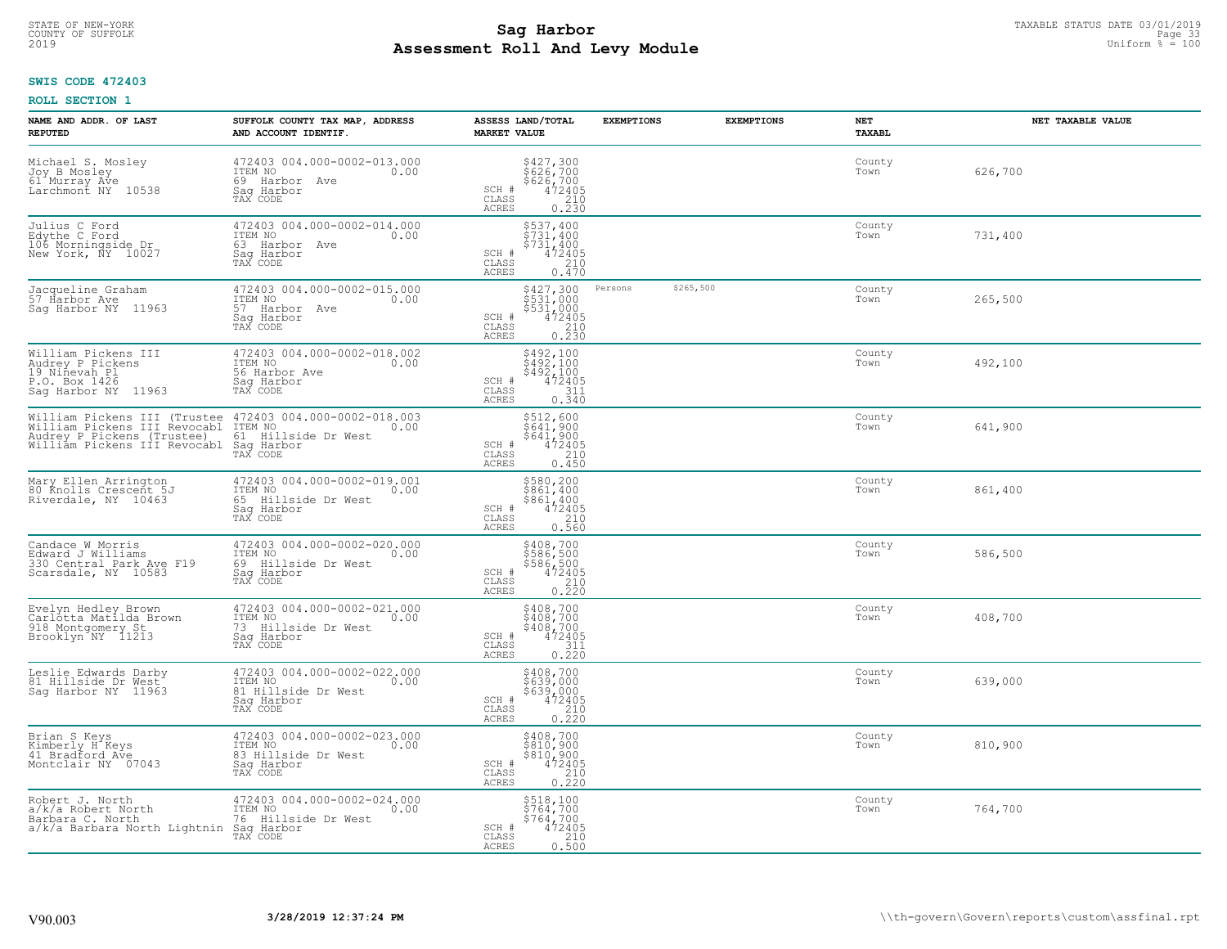## **SWIS CODE 472403**

| NAME AND ADDR. OF LAST<br><b>REPUTED</b>                                                                                   | SUFFOLK COUNTY TAX MAP, ADDRESS<br>AND ACCOUNT IDENTIF.                                         | ASSESS LAND/TOTAL<br><b>MARKET VALUE</b>                                                                                            | <b>EXEMPTIONS</b>    | <b>EXEMPTIONS</b> | <b>NET</b><br><b>TAXABL</b> | NET TAXABLE VALUE |
|----------------------------------------------------------------------------------------------------------------------------|-------------------------------------------------------------------------------------------------|-------------------------------------------------------------------------------------------------------------------------------------|----------------------|-------------------|-----------------------------|-------------------|
| Michael S. Mosley<br>Joy B Mosley<br>61 Murray Ave<br>Larchmont NY 10538                                                   | 472403 004.000-0002-013.000<br>ITEM NO<br>0.00<br>69 Harbor Ave<br>Saq Harbor<br>TAX CODE       | \$427,300<br>\$626,700<br>\$626,700<br>472405<br>210<br>SCH #<br>CLASS<br>ACRES<br>0.230                                            |                      |                   | County<br>Town              | 626,700           |
| Julius C Ford<br>Edythe C Ford<br>106 Morningside Dr<br>New York, NY 10027                                                 | 472403 004.000-0002-014.000<br>ITEM NO<br>0.00<br>63 Harbor Ave<br>Saq Harbor<br>TAX CODE       | \$537,400<br>\$731,400<br>\$731,400<br>472405<br>SCH #<br>CLASS<br>210<br>ACRES<br>0.470                                            |                      |                   | County<br>Town              | 731,400           |
| Jacqueline Graham<br>57 Harbor Ave<br>Saq Harbor NY 11963                                                                  | 472403 004.000-0002-015.000<br>ITEM NO<br>0.00<br>57 Harbor Ave<br>Sag Harbor<br>TAX CODE       | \$427,300<br>\$531,000<br>$$53\overline{1}$ 000<br>$472405$<br>$210$<br>0.230<br>SCH #<br>CLASS<br>ACRES                            | \$265,500<br>Persons |                   | County<br>Town              | 265,500           |
| William Pickens III<br>Audrey P Pickens<br>19 Ninevah Pl<br>P.O. Box 1426<br>Sag Harbor NY 11963                           | 472403 004.000-0002-018.002<br>TTEM NO 0.00<br>56 Harbor Ave<br>Saq Harbor<br>TAX CODE          | \$492,100<br>\$492,100<br>$$492,100$<br>$472405$<br>$311$<br>SCH #<br>CLASS<br>0.340<br>ACRES                                       |                      |                   | County<br>Town              | 492,100           |
| William Pickens III (Trustee<br>William Pickens III Revocabl<br>Audrey P Pickens (Trustee)<br>William Pickens III Revocabl | 472403 004.000-0002-018.003<br>ITEM NO<br>0.00<br>61 Hillside Dr West<br>Saq Harbor<br>TAX CODE | \$512,600<br>\$641,900<br>\$641,900<br>SCH #<br>$\frac{472405}{210}$<br>0.450<br>CLASS<br>ACRES                                     |                      |                   | County<br>Town              | 641,900           |
| Mary Ellen Arrington<br>80 Knolls Crescent 5J<br>Riverdale, NY 10463                                                       | 472403 004.000-0002-019.001<br>ITEM NO<br>0.00<br>65 Hillside Dr West<br>Saq Harbor<br>TAX CODE | $$580, 200$<br>$$861, 400$<br>$$861, 400$<br>$$472405$<br>$$210$<br>SCH #<br>CLASS<br>0.560<br>ACRES                                |                      |                   | County<br>Town              | 861,400           |
| Candace W Morris<br>Edward J Williams<br>330 Central Park Ave F19<br>Scarsdale, NY 10583                                   | 472403 004.000-0002-020.000<br>ITEM NO<br>0.00<br>69 Hillside Dr West<br>Saq Harbor<br>TAX CODE | \$408,700<br>\$586,500<br>\$586,500<br>\$586,500<br>\$72405<br>\$210<br>\$220<br>SCH #<br>CLASS<br><b>ACRES</b>                     |                      |                   | County<br>Town              | 586,500           |
| Evelyn Hedley Brown<br>Carlotta Matilda Brown<br>918 Montgomery St<br>Brooklyn NY 11213                                    | 472403 004.000-0002-021.000<br>ITEM NO 0.00<br>73 Hillside Dr West<br>Sag Harbor<br>TAX CODE    | $\begin{array}{c} 5408, 700 \\ 5408, 700 \\ 5408, 700 \\ 472405 \\ 311 \\ 0.220 \end{array}$<br>SCH #<br>CLASS<br>ACRES             |                      |                   | County<br>Town              | 408,700           |
| Leslie Edwards Darby<br>81 Hillside Dr West<br>Saq Harbor NY 11963                                                         | 472403 004.000-0002-022.000<br>TTEM NO 0.00<br>81 Hillside Dr West<br>Saq Harbor<br>TAX CODE    | \$408,700<br>\$639,000<br>$\begin{array}{r} 5639,000 \\ 472405 \\ 210 \\ 0.220 \end{array}$<br>SCH #<br>CLASS<br>ACRES              |                      |                   | County<br>Town              | 639,000           |
| Brian S Keys<br>Kimberly H Keys<br>41 Bradford Ave<br>Montclair NY 07043                                                   | 472403 004.000-0002-023.000<br>ITEM NO<br>0.00<br>83 Hillside Dr West<br>Sag Harbor<br>TAX CODE | $5408, 700$<br>$5810, 900$<br>$5810, 900$<br>$472405$<br>$210$<br>SCH #<br>CLASS<br>0.220<br><b>ACRES</b>                           |                      |                   | County<br>Town              | 810,900           |
| Robert J. North<br>a/k/a Robert North<br>Barbara C. North<br>a/k/a Barbara North Lightnin Sag Harbor                       | 472403 004.000-0002-024.000<br>ITEM NO<br>0.00<br>76 Hillside Dr West<br>TAX CODE               | \$518,100<br>\$764,700<br>\$764,700<br>SCH #<br>$\begin{smallmatrix} 472405\ 210\ 0.500 \end{smallmatrix}$<br>CLASS<br><b>ACRES</b> |                      |                   | County<br>Town              | 764,700           |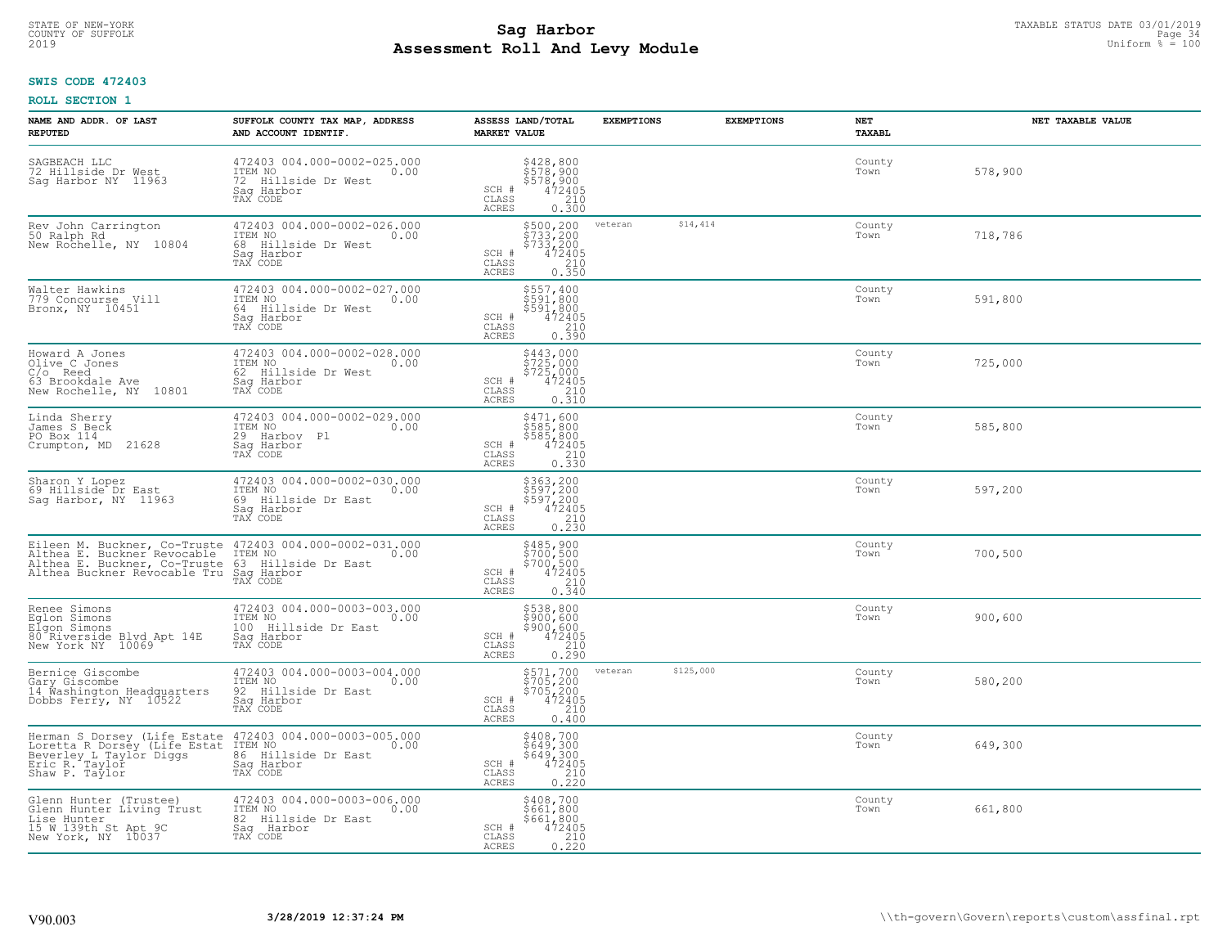#### **Sag Harbor** TAXABLE STATUS DATE 03/01/2019<br>Poll and Louis Module **Assessment Roll And Levy Module** 2019 Uniform % = 100 COUNTY OF SUFFOLK Page 34 Day Reserve that the basic of the country of sufficients of the page 34  $\sim$  Page 34

# **SWIS CODE 472403**

| NAME AND ADDR. OF LAST<br><b>REPUTED</b>                                                                                                                                                                        | SUFFOLK COUNTY TAX MAP, ADDRESS<br>AND ACCOUNT IDENTIF.                                          | ASSESS LAND/TOTAL<br><b>MARKET VALUE</b>                                                                                       | <b>EXEMPTIONS</b>    | <b>EXEMPTIONS</b> | NET<br><b>TAXABL</b> | NET TAXABLE VALUE |
|-----------------------------------------------------------------------------------------------------------------------------------------------------------------------------------------------------------------|--------------------------------------------------------------------------------------------------|--------------------------------------------------------------------------------------------------------------------------------|----------------------|-------------------|----------------------|-------------------|
| SAGBEACH LLC<br>72 Hillside Dr West<br>Sag Harbor NY 11963                                                                                                                                                      | 472403 004.000-0002-025.000<br>ITEM NO<br>0.00<br>72 Hillside Dr West<br>Sag Harbor<br>TAX CODE  | \$428,800<br>\$578,900<br>\$578,900<br>\$578,900<br>\$62,000<br>\$62,000<br>SCH #<br>CLASS<br><b>ACRES</b>                     |                      |                   | County<br>Town       | 578,900           |
| Rev John Carrington<br>50 Ralph Rd<br>New Rochelle, NY 10804                                                                                                                                                    | 472403 004.000-0002-026.000<br>ITEM NO<br>0.00<br>68 Hillside Dr West<br>Sag Harbor<br>TAX CODE  | \$500,200<br>\$733,200<br>\$733,200<br>SCH #<br>472405<br>210<br>CLASS<br><b>ACRES</b><br>0.350                                | \$14,414<br>veteran  |                   | County<br>Town       | 718,786           |
| Walter Hawkins<br>779 Concourse Vill<br>Bronx, NY 10451                                                                                                                                                         | 472403 004.000-0002-027.000<br>ITEM NO<br>0.00<br>64 Hillside Dr West<br>Saq Harbor<br>TAX CODE  | \$557,400<br>\$591,800<br>\$591,800<br>SCH #<br>$\begin{smallmatrix} 472405\ 210\ 0.390 \end{smallmatrix}$<br>CLASS<br>ACRES   |                      |                   | County<br>Town       | 591,800           |
| Howard A Jones<br>Olive C Jones<br>$C/O$ Reed<br>63 Brookdale Ave<br>New Rochelle, NY 10801                                                                                                                     | 472403 004.000-0002-028.000<br>ITEM NO<br>0.00<br>62 Hillside Dr West<br>Saq Harbor<br>TAX CODE  | \$443,000<br>\$725,000<br>\$725,000<br>SCH #<br>472405<br>CLASS<br>210<br>ACRES<br>0.310                                       |                      |                   | County<br>Town       | 725,000           |
| Linda Sherry<br>James S Beck<br>PO Box 114<br>Crumpton, MD 21628                                                                                                                                                | 472403 004.000-0002-029.000<br>ITEM NO<br>0.00<br>29 Harboy Pl<br>Saq Harbor<br>TAX CODE         | \$471,600<br>\$585,800<br>\$585,800<br>472405<br>SCH #<br>CLASS<br>$\frac{210}{0.330}$<br><b>ACRES</b>                         |                      |                   | County<br>Town       | 585,800           |
| Sharon Y Lopez<br>69 Hillside Dr East<br>Saq Harbor, NY 11963                                                                                                                                                   | 472403 004.000-0002-030.000<br>ITEM NO<br>0.00<br>69 Hillside Dr East<br>Sag Harbor<br>TAX CODE  | \$363,200<br>\$597,200<br>\$597,200<br>\$597,200<br>\$72405<br>\$210<br>\$230<br>SCH #<br>CLASS<br><b>ACRES</b>                |                      |                   | County<br>Town       | 597,200           |
| Eileen M. Buckner, Co-Truste 472403 004.000-0002-031.000<br>Althea E. Buckner Revocable ITEM NO 0.00<br>Althea E. Buckner, Co-Truste 63 Hillside Dr East<br>Althea Buckner Revocable Tru Sag Harbor<br>TAX CODE |                                                                                                  | \$485,900<br>\$700,500<br>\$700,500<br>472405<br>SCH #<br>$\frac{210}{0.340}$<br>CLASS<br>ACRES                                |                      |                   | County<br>Town       | 700,500           |
| Renee Simons<br>Eglon Simons<br>Elgon Simons<br>80 Riverside Blvd Apt 14E<br>New York NY 10069                                                                                                                  | 472403 004.000-0003-003.000<br>ITEM NO<br>0.00<br>100 Hillside Dr East<br>Saq Harbor<br>TAX CODE | \$538,800<br>\$900,600<br>\$900,600<br>472405<br>SCH #<br>CLASS<br>$\frac{210}{0.290}$<br>ACRES                                |                      |                   | County<br>Town       | 900,600           |
| Bernice Giscombe<br>Gary Giscombe<br>14 Washington Headquarters<br>Dobbs Ferry, NY 10522                                                                                                                        | 472403 004.000-0003-004.000<br>ITEM NO 0.00<br>92 Hillside Dr East<br>Saq Harbor<br>TAX CODE     | \$571,700<br>\$705,200<br>\$705,200<br>\$72405<br>\$210<br>SCH #<br>CLASS<br><b>ACRES</b><br>0.400                             | \$125,000<br>veteran |                   | County<br>Town       | 580,200           |
| Herman S Dorsey (Life Estate<br>Loretta R Dorsey (Life Estat<br>Beverley L Taylor Diggs<br>Eric R. Taylor<br>Shaw P. Taylor                                                                                     | 472403 004.000-0003-005.000<br>ITEM NO<br>0.00<br>86 Hillside Dr East<br>Sag Harbor<br>TAX CODE  | \$408,700<br>\$649,300<br>\$649,300<br>SCH #<br>$\frac{472405}{210}$<br>CLASS<br>0.220<br><b>ACRES</b>                         |                      |                   | County<br>Town       | 649,300           |
| Glenn Hunter (Trustee)<br>Glenn Hunter Living Trust<br>Lise Hunter<br>15 W 139th St Apt 9C<br>New York, NY 10037                                                                                                | 472403 004.000-0003-006.000<br>ITEM NO<br>0.00<br>82 Hillside Dr East<br>Sag Harbor<br>TAX CODE  | \$408,700<br>\$661,800<br>\$661,800<br>SCH #<br>472405<br>$\begin{array}{c} 210 \\ 0.220 \end{array}$<br>CLASS<br><b>ACRES</b> |                      |                   | County<br>Town       | 661,800           |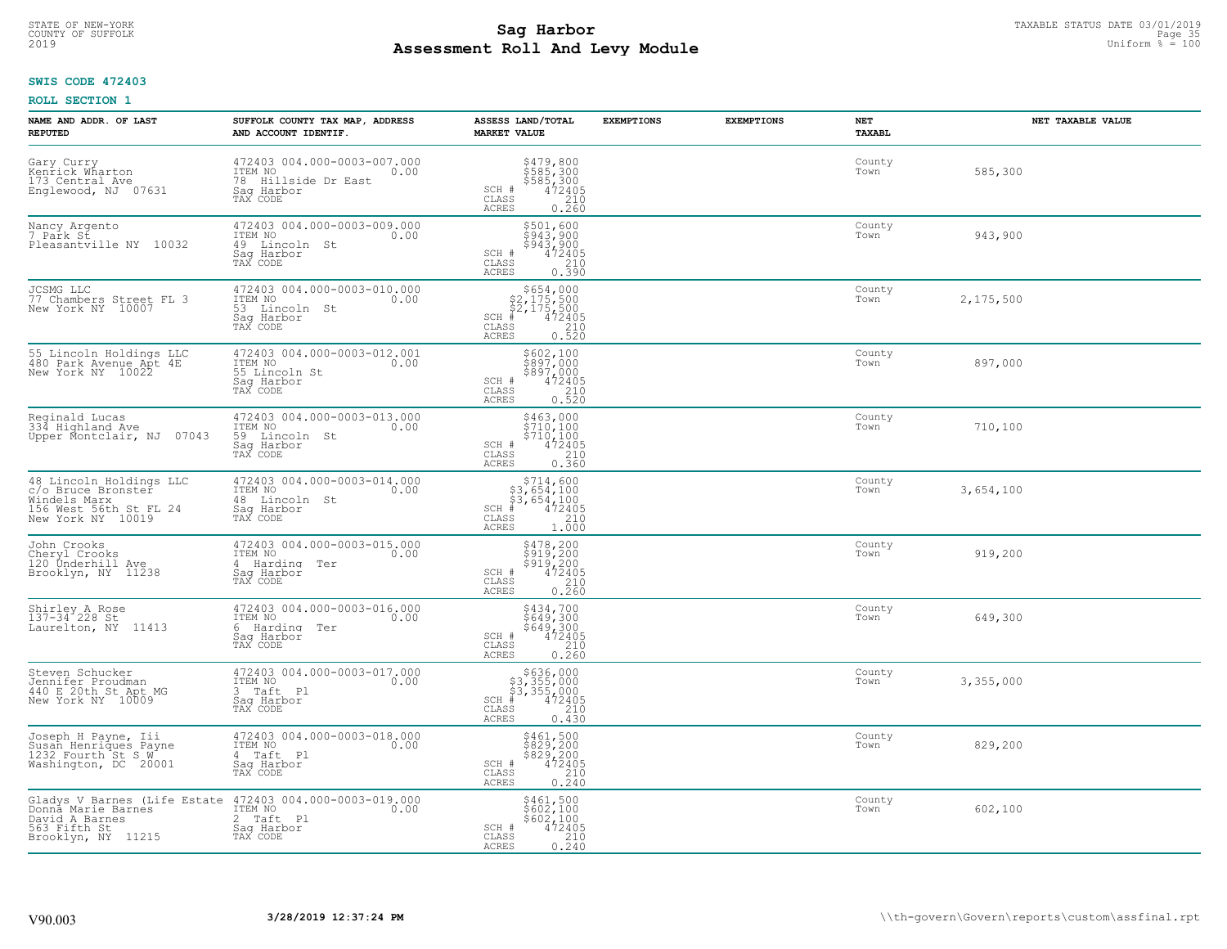#### **Sag Harbor** TAXABLE STATUS DATE 03/01/2019<br>Poll and Louis Modulo **Assessment Roll And Levy Module** 2019 Uniform % = 100 COUNTY OF SUFFOLK **Example 25** and the country of surface and the country of surface and the country of surface  $\frac{1}{2}$  and  $\frac{1}{2}$  and  $\frac{1}{2}$  and  $\frac{1}{2}$  and  $\frac{1}{2}$  and  $\frac{1}{2}$  and  $\frac{1}{2}$  and  $\frac{1}{2}$  an

## **SWIS CODE 472403**

| NAME AND ADDR. OF LAST<br><b>REPUTED</b>                                                                     | SUFFOLK COUNTY TAX MAP, ADDRESS<br>AND ACCOUNT IDENTIF.                                                            | ASSESS LAND/TOTAL<br><b>MARKET VALUE</b>                                                                                                                                                       | <b>EXEMPTIONS</b> | <b>EXEMPTIONS</b> | NET<br>TAXABL  | NET TAXABLE VALUE |
|--------------------------------------------------------------------------------------------------------------|--------------------------------------------------------------------------------------------------------------------|------------------------------------------------------------------------------------------------------------------------------------------------------------------------------------------------|-------------------|-------------------|----------------|-------------------|
| Gary Curry<br>Kenrick Wharton<br>173 Central Ave<br>Englewood, NJ 07631                                      | 472403 004.000-0003-007.000<br>0.00<br>78 Hillside Dr East<br>Sag Harbor<br>TAX CODE                               | \$479,800<br>\$585,300<br>\$585,300<br>472405<br>210<br>SCH #<br>CLASS<br>ACRES<br>0.260                                                                                                       |                   |                   | County<br>Town | 585,300           |
| Nancy Argento<br>7 Park St<br>Pleasantville NY 10032                                                         | 472403 004.000-0003-009.000<br>ITEM NO<br>0.00<br>49 Lincoln St<br>Saq Harbor<br>TAX CODE                          | $\begin{array}{r} 5501, 600 \\ 5943, 900 \\ 5943, 900 \\ 472405 \\ 210 \\ 0.390 \end{array}$<br>SCH #<br>CLASS<br><b>ACRES</b>                                                                 |                   |                   | County<br>Town | 943,900           |
| JCSMG LLC<br>77 Chambers Street FL 3<br>New York NY 10007                                                    | 472403 004.000-0003-010.000<br>ITEM NO<br>0.00<br>53 Lincoln St<br>Sag Harbor<br>TAX CODE                          | $$654,000$<br>$$2,175,500$<br>$$2,175,500$<br>$$472405$<br>$SCH$ #<br>CLASS<br>$\begin{array}{c} 210 \\ 0.520 \end{array}$<br><b>ACRES</b>                                                     |                   |                   | County<br>Town | 2,175,500         |
| 55 Lincoln Holdings LLC<br>480 Park Avenue Apt 4E<br>New York NY 10022                                       | 472403 004.000-0003-012.001<br>ITEM NO<br>0.00<br>55 Lincoln St<br>Saq Harbor<br>TAX CODE                          | \$602,100<br>\$897,000<br>\$897,000<br>SCH #<br>472405<br>CLASS<br>210<br>ACRES<br>0.520                                                                                                       |                   |                   | County<br>Town | 897,000           |
| Reginald Lucas<br>334 Highland Ave<br>Upper Montclair, NJ 07043                                              | 472403 004.000-0003-013.000<br>0.00 0.00<br>59 Lincoln St<br>Saq Harbor<br>TAX CODE                                | \$463,000<br>$\frac{5}{2}$ $\frac{1}{2}$ $\frac{0}{2}$ , $\frac{1}{2}$ $\frac{0}{2}$<br>$\frac{5710}{472405}$<br>SCH #<br>CLASS<br>$\begin{array}{c} 210 \\ 0.360 \end{array}$<br><b>ACRES</b> |                   |                   | County<br>Town | 710,100           |
| 48 Lincoln Holdings LLC<br>c/o Bruce Bronster<br>Windels Marx<br>156 West 56th St FL 24<br>New York NY 10019 | 472403 004.000-0003-014.000<br>ITEM NO<br>0.00<br>48 Lincoln St<br>Sag Harbor<br>TAX CODE                          | $\begin{array}{r} 5714, 600 \\ 53, 654, 100 \\ 53, 654, 100 \\ \text{\#} & 472405 \\ \text{\#} & 210 \\ \text{\#} & 210 \end{array}$<br>$SCH$ #<br>CLASS<br><b>ACRES</b><br>1.000              |                   |                   | County<br>Town | 3,654,100         |
| John Crooks<br>Cheryl Crooks<br>120 Underhill Ave<br>Brooklyn, NY 11238                                      | 472403 004.000-0003-015.000<br>ITEM NO<br>0.00<br>4 Harding Ter<br>Sag Harbor<br>TAX CODE                          | \$478,200<br>\$919,200<br>\$919,200<br>472405<br>SCH #<br>$\begin{array}{c} 210 \\ 0.260 \end{array}$<br>CLASS<br>ACRES                                                                        |                   |                   | County<br>Town | 919,200           |
| Shirley A Rose<br>137-34 228 St<br>Laurelton, NY 11413                                                       | 472403 004.000-0003-016.000<br>ITEM NO<br>0.00<br>6 Harding Ter<br>Saq Harbor<br>TAX CODE                          | \$434,700<br>\$649,300<br>\$649,300<br>472405<br>SCH #<br>CLASS<br>$\begin{array}{c} 210 \\ 0.260 \end{array}$<br><b>ACRES</b>                                                                 |                   |                   | County<br>Town | 649,300           |
| Steven Schucker<br>Jennifer Proudman<br>440 E 20th St Apt MG<br>New York NY 10009                            | 472403 004.000-0003-017.000<br>ITEM NO 0.00<br>3 Taft Pl<br>Saq Harbor<br>TAX CODE                                 | $$636,000$<br>$$3,355,000$<br>$$3,355,000$<br>$$472405$<br>$SCH$ #<br>CLASS<br>210<br><b>ACRES</b><br>0.430                                                                                    |                   |                   | County<br>Town | 3,355,000         |
| Joseph H Payne, Iii<br>Susan Henriques Payne<br>1232 Fourth St S W<br>Washington, DC 20001                   | 472403 004.000-0003-018.000<br>ITEM NO<br>0.00<br>4 Taft Pl<br>Sag Harbor<br>TAX CODE                              | $5829, 200$<br>$5829, 200$<br>$5829, 200$<br>$472405$<br>$210$<br>SCH #<br>CLASS<br>0.240<br>ACRES                                                                                             |                   |                   | County<br>Town | 829,200           |
| Donna Marie Barnes<br>David A Barnes<br>563 Fifth St<br>Brooklyn, NY 11215                                   | Gladys V Barnes (Life Estate 472403 004.000-0003-019.000<br>ITEM NO<br>0.00<br>2 Taft Pl<br>Sag Harbor<br>TAX CODE | \$461,500<br>\$602,100<br>\$602,100<br>SCH #<br>472405<br>$\overline{210}$<br>CLASS<br><b>ACRES</b><br>0.240                                                                                   |                   |                   | County<br>Town | 602,100           |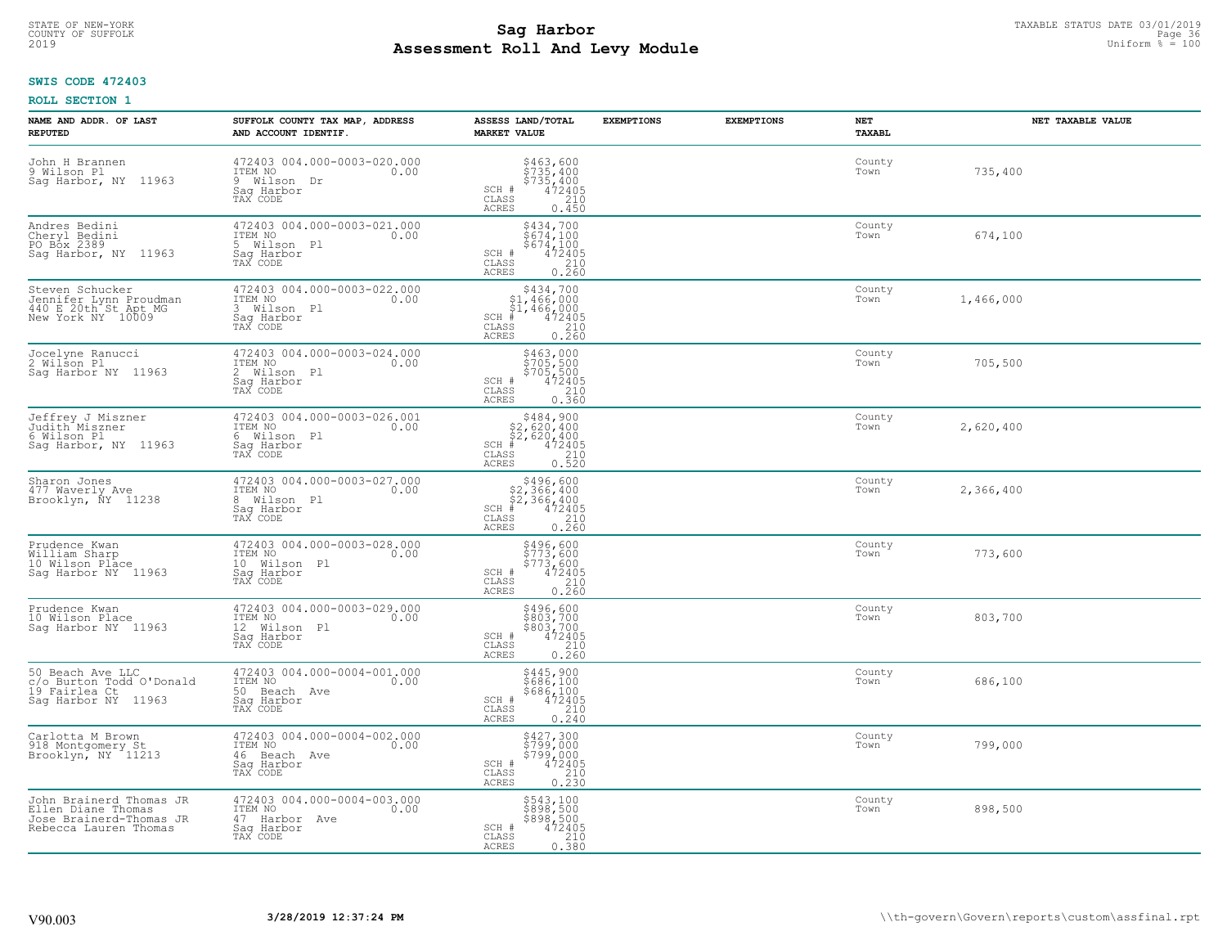#### **SWIS CODE 472403**

| NAME AND ADDR. OF LAST<br><b>REPUTED</b>                                                          | SUFFOLK COUNTY TAX MAP, ADDRESS<br>AND ACCOUNT IDENTIF.                                    | ASSESS LAND/TOTAL<br><b>MARKET VALUE</b>                                                                                                                    | <b>EXEMPTIONS</b> | <b>EXEMPTIONS</b> | NET<br><b>TAXABL</b> | NET TAXABLE VALUE |
|---------------------------------------------------------------------------------------------------|--------------------------------------------------------------------------------------------|-------------------------------------------------------------------------------------------------------------------------------------------------------------|-------------------|-------------------|----------------------|-------------------|
| John H Brannen<br>9 Wilson Pl<br>Saq Harbor, NY 11963                                             | 472403 004.000-0003-020.000<br>ITEM NO<br>0.00<br>9 Wilson Dr<br>Saq Harbor<br>TAX CODE    | $$735, 400$<br>$$735, 400$<br>$$735, 400$<br>$$472405$<br>210<br>SCH #<br>$\mathtt{CLASS}$<br>ACRES<br>0.450                                                |                   |                   | County<br>Town       | 735,400           |
| Andres Bedini<br>Cheryl Bedini<br>PO Box 2389<br>Sag Harbor, NY 11963                             | 472403 004.000-0003-021.000<br>ITEM NO<br>0.00<br>5 Wilson Pl<br>Saq Harbor<br>TAX CODE    | \$434,700<br>$5674,1005674,1004724050.260$<br>SCH #<br>CLASS<br><b>ACRES</b>                                                                                |                   |                   | County<br>Town       | 674,100           |
| Steven Schucker<br>Jennifer Lynn Proudman<br>440 E 20th St Apt MG<br>New York NY 10009            | 472403 004.000-0003-022.000<br>ITEM NO<br>0.00<br>Wilson Pl<br>3<br>Saq Harbor<br>TAX CODE | \$434,700<br>$$1,466,000$<br>$$1,466,000$<br>$*$ 472405<br>$SCH$ #<br>CLASS<br>$\begin{array}{c} 210 \\ 0.260 \end{array}$<br><b>ACRES</b>                  |                   |                   | County<br>Town       | 1,466,000         |
| Jocelyne Ranucci<br>2 Wilson Pl<br>Saq Harbor NY 11963                                            | 472403 004.000-0003-024.000<br>TTEM NO 0.00<br>2 Wilson Pl<br>Saq Harbor<br>TAX CODE       | \$463,000<br>\$705,500<br>\$705,500<br>SCH #<br>472405<br>CLASS<br>0.360<br><b>ACRES</b>                                                                    |                   |                   | County<br>Town       | 705,500           |
| Jeffrey J Miszner<br>Judith Miszner<br>6 Wilson Pl<br>Sag Harbor, NY 11963                        | 472403 004.000-0003-026.001<br>ITEM NO<br>0.00<br>6 Wilson Pl<br>Saq Harbor<br>TAX CODE    | $\begin{array}{r} 5484,900 \\ 52,620,400 \\ 52,620,400 \\ \pm \\ 472405 \\ \text{ss} \\ 210 \\ \text{ss} \\ 25 \\ \end{array}$<br>$SCH$ #<br>CLASS<br>ACRES |                   |                   | County<br>Town       | 2,620,400         |
| Sharon Jones<br>477 Waverly Ave<br>Brooklyn, ÑY 11238                                             | 472403 004.000-0003-027.000<br>ITEM NO<br>0.00<br>8 Wilson Pl<br>Sag Harbor<br>TAX CODE    | SCH #<br>CLASS<br><b>ACRES</b>                                                                                                                              |                   |                   | County<br>Town       | 2,366,400         |
| Prudence Kwan<br>William Sharp<br>10 Wilson Place<br>Sag Harbor NY 11963                          | 472403 004.000-0003-028.000<br>ITEM NO<br>0.00<br>10 Wilson Pl<br>Saq Harbor<br>TAX CODE   | \$496,600<br>\$773,600<br>\$773,600<br>\$773,600<br>SCH #<br>$\begin{array}{c} 210 \\ 0.260 \end{array}$<br>CLASS<br><b>ACRES</b>                           |                   |                   | County<br>Town       | 773,600           |
| Prudence Kwan<br>10 Wilson Place<br>Sag Harbor NY 11963                                           | 472403 004.000-0003-029.000<br>ITEM NO<br>0.00<br>12 Wilson Pl<br>Saq Harbor<br>TAX CODE   | \$496,600<br>\$803,700<br>\$803,700<br>472405<br>SCH #<br>CLASS<br>210<br><b>ACRES</b><br>0.260                                                             |                   |                   | County<br>Town       | 803,700           |
| 50 Beach Ave LLC<br>c/o Burton Todd O'Donald<br>19 Fairlea Ct<br>Sag Harbor NY 11963              | 472403 004.000-0004-001.000<br>ITEM NO 0.00<br>50 Beach Ave<br>Saq Harbor<br>TAX CODE      | $\begin{array}{r} 5445,900 \\ 5686,100 \\ 5686,100 \\ 472405 \\ 210 \\ 0.240 \end{array}$<br>SCH #<br>CLASS<br>ACRES                                        |                   |                   | County<br>Town       | 686,100           |
| Carlotta M Brown<br>918 Montgomery St<br>Brooklyn, NY 11213                                       | 472403 004.000-0004-002.000<br>ITEM NO<br>0.00<br>46 Beach Ave<br>Sag Harbor<br>TAX CODE   | $$427,300$<br>$$799,000$<br>$$799,000$<br>$$472405$<br>$$210$<br>SCH #<br>CLASS<br>0.230<br><b>ACRES</b>                                                    |                   |                   | County<br>Town       | 799,000           |
| John Brainerd Thomas JR<br>Ellen Diane Thomas<br>Jose Brainerd-Thomas JR<br>Rebecca Lauren Thomas | 472403 004.000-0004-003.000<br>ITEM NO<br>0.00<br>47 Harbor Ave<br>Sag Harbor<br>TAX CODE  | \$543,100<br>\$898,500<br>\$898,500<br>SCH #<br>472405<br>$\frac{210}{0.380}$<br>CLASS<br><b>ACRES</b>                                                      |                   |                   | County<br>Town       | 898,500           |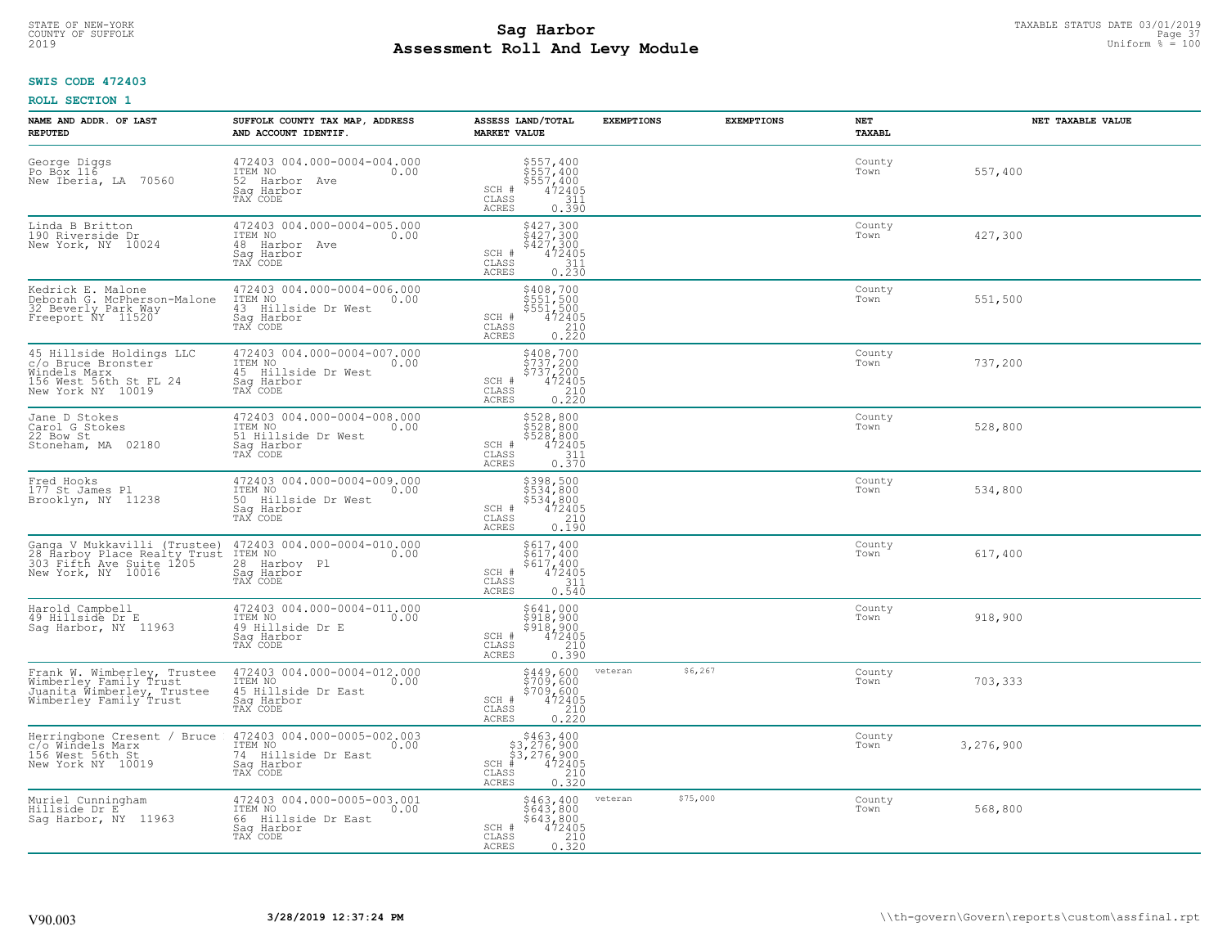#### **Sag Harbor** TAXABLE STATUS DATE 03/01/2019<br>
Poll and Louis Module **Assessment Roll And Levy Module** 2019 Uniform % = 100 COUNTY OF SUFFOLK **Example 37** Page 37 **Page 37** Page 37 Page 37 Page 37 Page 37 Page 37 Page 37 Page 37 Page 37

### **SWIS CODE 472403**

| NAME AND ADDR. OF LAST<br><b>REPUTED</b>                                                                       | SUFFOLK COUNTY TAX MAP, ADDRESS<br>AND ACCOUNT IDENTIF.                                         | ASSESS LAND/TOTAL<br><b>MARKET VALUE</b>                                                                                                | <b>EXEMPTIONS</b>   | <b>EXEMPTIONS</b><br>NET<br><b>TAXABL</b> | NET TAXABLE VALUE |
|----------------------------------------------------------------------------------------------------------------|-------------------------------------------------------------------------------------------------|-----------------------------------------------------------------------------------------------------------------------------------------|---------------------|-------------------------------------------|-------------------|
| George Diggs<br>Po Box 116<br>New Iberia, LA 70560                                                             | 472403 004.000-0004-004.000<br>ITEM NO<br>0.00<br>52 Harbor Ave<br>Sag Harbor<br>TAX CODE       | \$557,400<br>\$557,400<br>\$557,400<br>472405<br>311<br>SCH #<br>CLASS<br><b>ACRES</b><br>0.390                                         |                     | County<br>Town                            | 557,400           |
| Linda B Britton<br>190 Riverside Dr<br>New York, NY 10024                                                      | 472403 004.000-0004-005.000<br>ITEM NO<br>0.00<br>48 Harbor Ave<br>Sag Harbor<br>TAX CODE       | \$427,300<br>\$427,300<br>\$427,300<br>SCH #<br>472405<br>CLASS<br>311<br>0.230<br><b>ACRES</b>                                         |                     | County<br>Town                            | 427,300           |
| Kedrick E. Malone<br>Deborah G. McPherson-Malone<br>32 Beverly Park Way<br>Freeport ÑY 11520                   | 472403 004.000-0004-006.000<br>ITEM NO<br>0.00<br>43 Hillside Dr West<br>Saq Harbor<br>TAX CODE | \$408,700<br>\$551,500<br>\$551,500<br>\$551,500<br>\$72405<br>\$210<br>\$220<br>SCH #<br>CLASS<br>ACRES                                |                     | County<br>Town                            | 551,500           |
| 45 Hillside Holdings LLC<br>c/o Bruce Bronster<br>Windels Marx<br>156 West 56th St FL 24<br>New York NY 10019  | 472403 004.000-0004-007.000<br>ITEM NO<br>0.00<br>45 Hillside Dr West<br>Saq Harbor<br>TAX CODE | \$408,700<br>\$737,200<br>\$737,200<br>SCH #<br>472405<br>CLASS<br>0.220<br>ACRES                                                       |                     | County<br>Town                            | 737,200           |
| Jane D Stokes<br>Carol G Stokes<br>22 Bow St<br>Stoneham, MA<br>02180                                          | 472403 004.000-0004-008.000<br>ITEM NO<br>0.00<br>51 Hillside Dr West<br>Saq Harbor<br>TAX CODE | \$528,800<br>3528,800<br>\$528,800<br>472405<br>SCH #<br>CLASS<br>$\frac{311}{0.370}$<br><b>ACRES</b>                                   |                     | County<br>Town                            | 528,800           |
| Fred Hooks<br>177 St James Pl<br>Brooklyn, NY 11238                                                            | 472403 004.000-0004-009.000<br>ITEM NO<br>0.00<br>50 Hillside Dr West<br>Sag Harbor<br>TAX CODE | \$398,500<br>\$534,800<br>$\begin{array}{r} 534,800 \\ 472405 \\ 210 \\ 0.190 \end{array}$<br>SCH #<br>CLASS<br><b>ACRES</b>            |                     | County<br>Town                            | 534,800           |
| Ganga V Mukkavilli (Trustee)<br>28 Harboy Place Realty Trust<br>303 Fifth Ave Suite 1205<br>New York, NY 10016 | 472403 004.000-0004-010.000<br>ITEM NO<br>0.00<br>28 Harbov Pl<br>Saq Harbor<br>TAX CODE        | \$617,400<br>$\frac{5617}{617}$ , 400<br>$\frac{617}{472405}$<br>SCH #<br>$\begin{array}{c} 311 \\ 0.540 \end{array}$<br>CLASS<br>ACRES |                     | County<br>Town                            | 617,400           |
| Harold Campbell<br>49 Hillside Dr E<br>Sag Harbor, NY 11963                                                    | 472403 004.000-0004-011.000<br>ITEM NO<br>0.00<br>49 Hillside Dr E<br>Saq Harbor<br>TAX CODE    | \$641,000<br>\$918,900<br>\$918,900<br>472405<br>SCH #<br>CLASS<br>210<br>ACRES<br>0.390                                                |                     | County<br>Town                            | 918,900           |
| Frank W. Wimberley, Trustee<br>Wimberley Family Trust<br>Juanita Wimberley, Trustee<br>Wimberley Family Trust  | 472403 004.000-0004-012.000<br>ITEM NO 0.00<br>45 Hillside Dr East<br>Saq Harbor<br>TAX CODE    | \$449,600<br>\$709,600<br>\$709,600<br>472405<br>SCH #<br>CLASS<br>$\begin{array}{c} 210 \\ 0.220 \end{array}$<br><b>ACRES</b>          | \$6,267<br>veteran  | County<br>Town                            | 703,333           |
| Herringbone Cresent / Bruce<br>c/o Windels Marx<br>156 West 56th St<br>New York NY 10019                       | 472403 004.000-0005-002.003<br>ITEM NO<br>0.00<br>74 Hillside Dr East<br>Sag Harbor<br>TAX CODE | $$463, 400$<br>$$3, 276, 900$<br>$$3, 276, 900$<br>$472405$<br>$$210$<br>$$210$<br>$SCH$ #<br>CLASS<br>0.320<br><b>ACRES</b>            |                     | County<br>Town                            | 3,276,900         |
| Muriel Cunningham<br>Hillside Dr E<br>Saq Harbor, NY 11963                                                     | 472403 004.000-0005-003.001<br>ITEM NO<br>0.00<br>66 Hillside Dr East<br>Sag Harbor<br>TAX CODE | \$463,400<br>\$643,800<br>\$643,800<br>SCH #<br>472405<br>$\frac{210}{0.320}$<br>CLASS<br><b>ACRES</b>                                  | \$75,000<br>veteran | County<br>Town                            | 568,800           |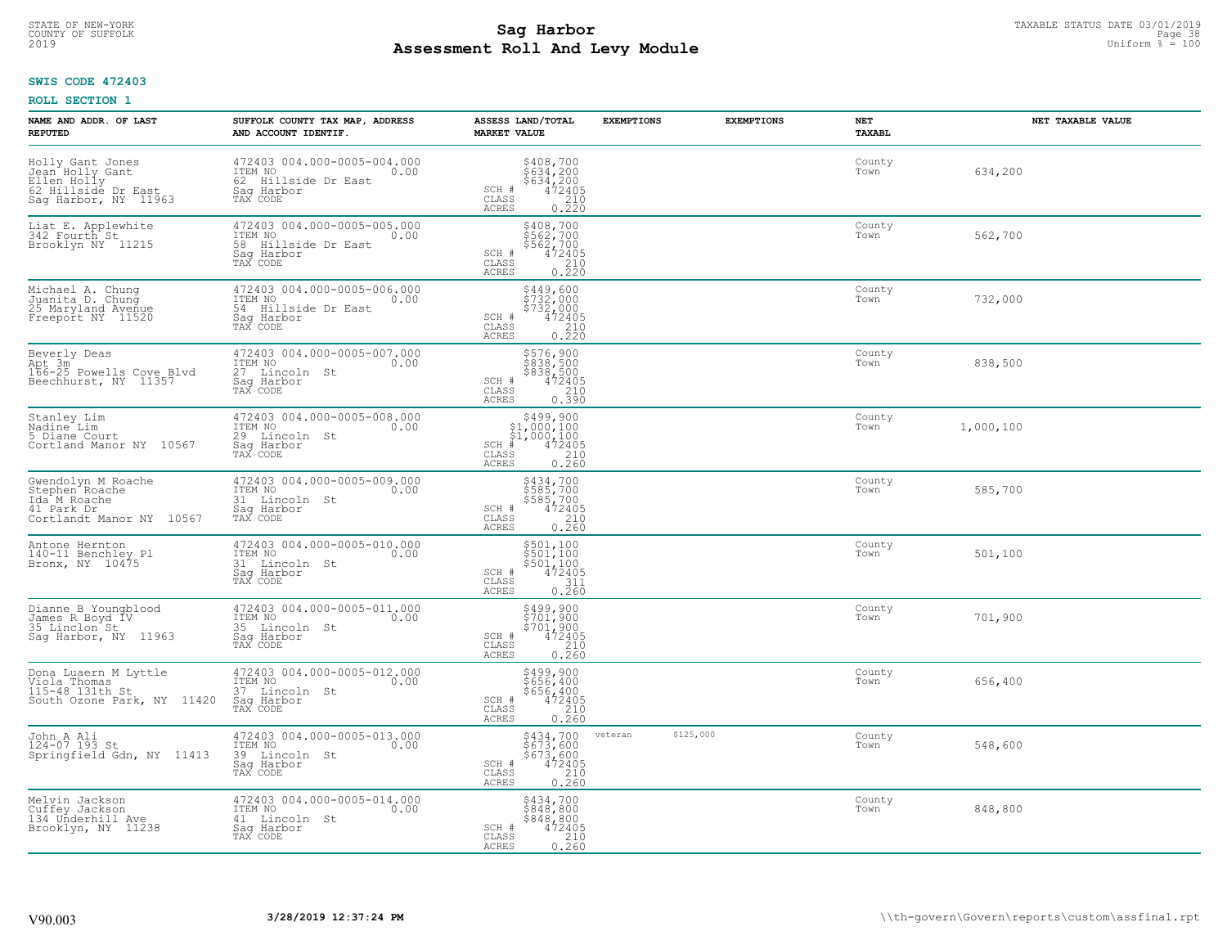#### **Sag Harbor** TAXABLE STATUS DATE 03/01/2019<br>Poll and Louis Module **Assessment Roll And Levy Module** 2019 Uniform % = 100 COUNTY OF SUFFOLK Page 38 and the country of Superior and the country of Superior Page 38 and the Page 38 and the Page 38 and the Page 38 and the Page 38 and the Page 38 and the Page 38 and the Page 38 and the Page 38 and

## **SWIS CODE 472403**

| NAME AND ADDR. OF LAST<br><b>REPUTED</b>                                                                    | SUFFOLK COUNTY TAX MAP, ADDRESS<br>AND ACCOUNT IDENTIF.                                            | ASSESS LAND/TOTAL<br><b>MARKET VALUE</b>                                                                                       | <b>EXEMPTIONS</b>    | <b>EXEMPTIONS</b> | <b>NET</b><br><b>TAXABL</b> | NET TAXABLE VALUE |
|-------------------------------------------------------------------------------------------------------------|----------------------------------------------------------------------------------------------------|--------------------------------------------------------------------------------------------------------------------------------|----------------------|-------------------|-----------------------------|-------------------|
| Holly Gant Jones<br>Jean Holly Gant<br>Ellen Holly<br>62 Hillsidé Dr East<br>Sag Harbor, NY 11963           | 472403 004.000-0005-004.000<br>ITEM NO<br>0.00<br>62 Hillside Dr East<br>Saq Harbor<br>TAX CODE    | $$408,700$<br>$$634,200$<br>$$634,200$<br>$472405$<br>$$210$<br>SCH #<br>CLASS<br><b>ACRES</b><br>0.220                        |                      |                   | County<br>Town              | 634,200           |
| Liat E. Applewhite<br>342 Fourth St<br>Brooklyn NY 11215                                                    | 472403 004.000-0005-005.000<br>ITEM NO<br>0.00<br>58 Hillside Dr East<br>Saq Harbor<br>TAX CODE    | \$408,700<br>\$562,700<br>\$562,700<br>472405<br>SCH #<br>CLASS<br>$\begin{array}{c} 210 \\ 0.220 \end{array}$<br>ACRES        |                      |                   | County<br>Town              | 562,700           |
| Michael A. Chung<br>Juanita D. Chung<br>25 Maryland Avenue<br>Freeport NY 11520                             | 472403 004.000-0005-006.000<br>ITEM NO<br>0.00<br>54<br>Hillside Dr East<br>Saq Harbor<br>TAX CODE | \$449,600<br>\$732,000<br>\$732,000<br>SCH #<br>472405<br>CLASS<br>0.220<br>ACRES                                              |                      |                   | County<br>Town              | 732,000           |
| Beverly Deas<br>Apt 3m <sup>2</sup><br>166-25 Powells Cove Blvd<br>Beechhurst, NY 11357                     | 472403 004.000-0005-007.000<br>ITEM NO<br>0.00<br>27 Lincoln St<br>Saq Harbor<br>TAX CODE          | \$576,900<br>\$838,500<br>$\begin{array}{r} 8838,500 \\ 472405 \\ 210 \\ 0.390 \end{array}$<br>SCH #<br>CLASS<br>ACRES         |                      |                   | County<br>Town              | 838,500           |
| Stanley Lim<br>Nadine Lim<br>5 Diane Court<br>Cortland Manor NY 10567                                       | 472403 004.000-0005-008.000<br>ITEM NO<br>0.00<br>29<br>Lincoln St<br>Saq Harbor<br>TAX CODE       | \$499,900<br>SCH #<br>CLASS<br>ACRES                                                                                           |                      |                   | County<br>Town              | 1,000,100         |
| Gwendolyn M Roache<br>Stephen <sup>-</sup> Roache<br>Ida M Roache<br>41 Park Dr<br>Cortlandt Manor NY 10567 | 472403 004.000-0005-009.000<br>ITEM NO<br>0.00<br>31 Lincoln St<br>Sag Harbor<br>TAX CODE          | \$434,700<br>\$585,700<br>\$585,700<br>472405<br>SCH #<br>$\begin{array}{c} 210 \\ 0.260 \end{array}$<br>CLASS<br><b>ACRES</b> |                      |                   | County<br>Town              | 585,700           |
| Antone Hernton<br>140-11 Benchley Pl<br>Bronx, NY 10475                                                     | 472403 004.000-0005-010.000<br>ITEM NO<br>0.00<br>31<br>Lincoln St<br>Saq Harbor<br>TAX CODE       | \$501,100<br>\$501,100<br>\$501,100<br>472405<br>SCH #<br>CLASS<br>$\frac{311}{0.260}$<br>ACRES                                |                      |                   | County<br>Town              | 501,100           |
| Dianne B Youngblood<br>James R Boyd IV<br>35 Linclon St<br>Sag Harbor, NY 11963                             | 472403 004.000-0005-011.000<br>ITEM NO 0.00<br>35 Lincoln St<br>Sag Harbor<br>TAX CODE             | \$499,900<br>\$701,900<br>\$701,900<br>472405<br>SCH #<br>CLASS<br>$\frac{210}{0.260}$<br><b>ACRES</b>                         |                      |                   | County<br>Town              | 701,900           |
| Dona Luaern M Lyttle<br>Viola Thomas<br>115-48 131th St<br>South Ozone Park, NY 11420                       | 472403 004.000-0005-012.000<br>TTEM NO 0.00<br>37 Lincoln St<br>Saq Harbor<br>TAX CODE             | \$499,900<br>\$656,400<br>\$656,400<br>SCH #<br>472405<br>CLASS<br>0.260<br>ACRES                                              |                      |                   | County<br>Town              | 656,400           |
| John A Ali<br>124-07 193 St<br>Springfield Gdn, NY 11413                                                    | 472403 004.000-0005-013.000<br>ITEM NO<br>0.00<br>39 Lincoln St<br>Sag Harbor<br>TAX CODE          | \$434,700<br>\$673,600<br>\$673,600<br>SCH #<br>$\frac{472405}{210}$<br>CLASS<br>0.260<br><b>ACRES</b>                         | \$125,000<br>veteran |                   | County<br>Town              | 548,600           |
| Melvin Jackson<br>Cuffey Jackson<br>134 Underhill Ave<br>Brooklyn, NY 11238                                 | 472403 004.000-0005-014.000<br>ITEM NO<br>0.00<br>41 Lincoln St<br>Saq Harbor<br>TAX CODE          | \$434,700<br>\$848,800<br>\$848,800<br>SCH #<br>472405<br>$\begin{array}{c} 210 \\ 0.260 \end{array}$<br>CLASS<br><b>ACRES</b> |                      |                   | County<br>Town              | 848,800           |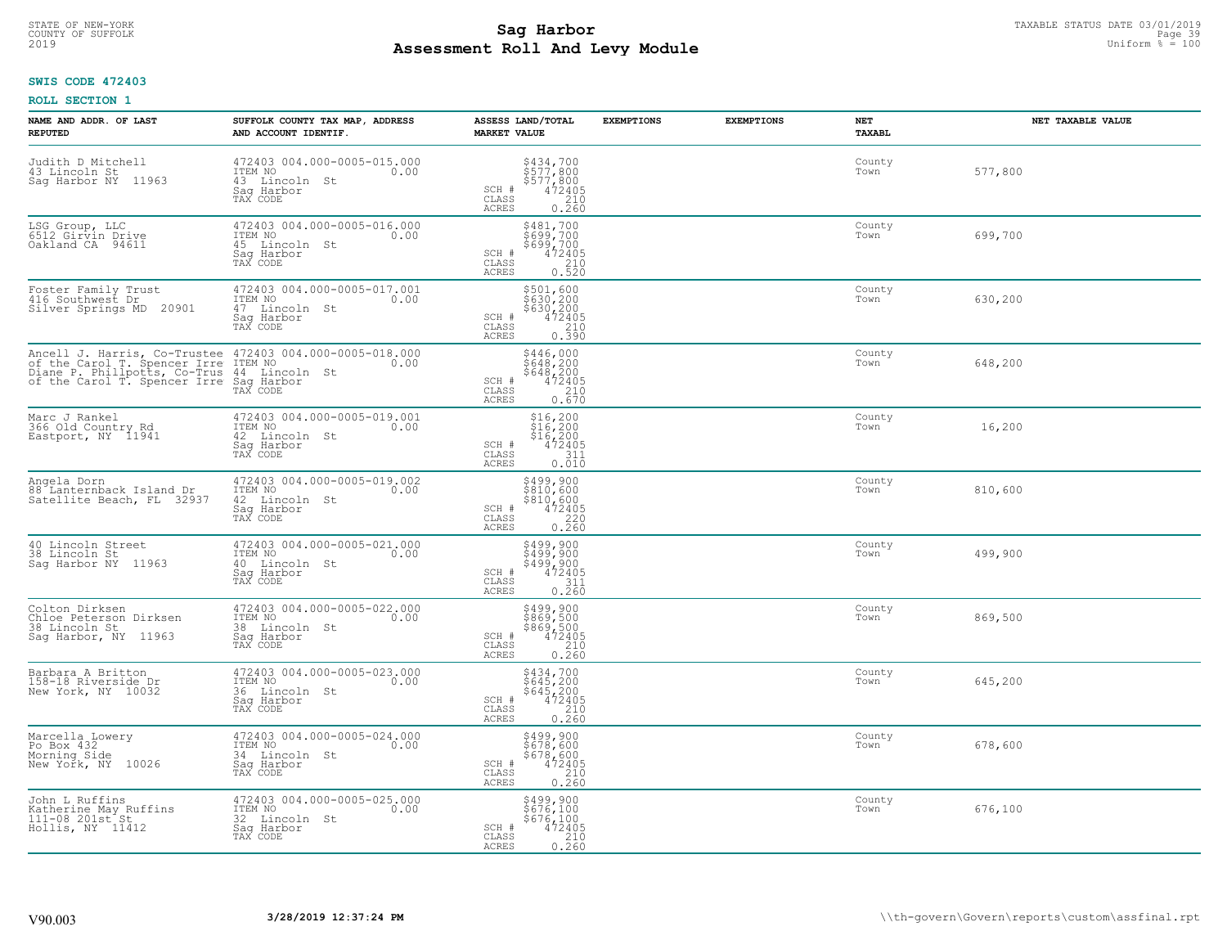#### **Sag Harbor** TAXABLE STATUS DATE 03/01/2019<br>Poll and Louis Module **Assessment Roll And Levy Module** 2019 Uniform % = 100 COUNTY OF SUFFOLK **Example 20 Second COUNTY COUNTY COUNTY OF SUFFOLK** Page 39

# **SWIS CODE 472403**

| NAME AND ADDR. OF LAST<br><b>REPUTED</b>                                          | SUFFOLK COUNTY TAX MAP, ADDRESS<br>AND ACCOUNT IDENTIF.                                                                                                                                               | ASSESS LAND/TOTAL<br><b>MARKET VALUE</b>                                                                                       | <b>EXEMPTIONS</b><br><b>EXEMPTIONS</b> | NET<br><b>TAXABL</b> | NET TAXABLE VALUE |
|-----------------------------------------------------------------------------------|-------------------------------------------------------------------------------------------------------------------------------------------------------------------------------------------------------|--------------------------------------------------------------------------------------------------------------------------------|----------------------------------------|----------------------|-------------------|
| Judith D Mitchell<br>43 Lincoln St<br>Saq Harbor NY<br>11963                      | 472403 004.000-0005-015.000<br>ITEM NO<br>0.00<br>43 Lincoln St<br>Sag Harbor<br>TAX CODE                                                                                                             | \$434,700<br>\$577,800<br>\$577,800<br>\$577,800<br>\$472405<br>0.260<br>SCH #<br>CLASS<br>ACRES                               |                                        | County<br>Town       | 577,800           |
| LSG Group, LLC<br>6512 Girvin Drive<br>Oakland CA 94611                           | 472403 004.000-0005-016.000<br>ITEM NO<br>0.00<br>45 Lincoln St<br>Sag Harbor<br>TAX CODE                                                                                                             | \$481,700<br>\$699,700<br>\$699,700<br>SCH #<br>472405<br>$\frac{210}{0.520}$<br>CLASS<br><b>ACRES</b>                         |                                        | County<br>Town       | 699,700           |
| Foster Family Trust<br>416 Southwest Dr<br>Silver Springs MD 20901                | 472403 004.000-0005-017.001<br>ITEM NO<br>0.00<br>47 Lincoln St<br>Saq Harbor<br>TAX CODE                                                                                                             | \$501,600<br>\$630,200<br>\$630,200<br>472405<br>SCH #<br>CLASS<br>0.390<br>ACRES                                              |                                        | County<br>Town       | 630,200           |
|                                                                                   | Ancell J. Harris, Co-Trustee 472403 004.000-0005-018.000<br>of the Carol T. Spencer Irre ITEM NO<br>Diane P. Phillpotts, Co-Trus 44 Lincoln St<br>of the Carol T. Spencer Irre Saq Harbor<br>TAX CODE | \$446,000<br>\$648,200<br>\$648,200<br>SCH #<br>$472405$<br>$210$<br>0.670<br>CLASS<br>ACRES                                   |                                        | County<br>Town       | 648,200           |
| Marc J Rankel<br>366 Old Country Rd<br>Eastport, NY 11941                         | 472403 004.000-0005-019.001<br>ITEM NO<br>0.00<br>42 Lincoln St<br>Saq Harbor<br>TAX CODE                                                                                                             | $$16, 200$<br>$$16, 200$<br>$$16, 200$<br>SCH #<br>472405<br>CLASS<br>311<br>0.010<br>ACRES                                    |                                        | County<br>Town       | 16,200            |
| Angela Dorn<br>88 Lanternback Island Dr<br>Satellite Beach, FL 32937              | 472403 004.000-0005-019.002<br>ITEM NO<br>0.00<br>42 Lincoln St<br>Sag Harbor<br>TAX CODE                                                                                                             | $\begin{array}{r} 5499,900 \\ 5810,600 \\ 5810,600 \\ 472405 \\ 0.220 \\ 0.260 \end{array}$<br>SCH #<br>CLASS<br><b>ACRES</b>  |                                        | County<br>Town       | 810,600           |
| 40 Lincoln Street<br>38 Lincoln St<br>Saq Harbor NY 11963                         | 472403 004.000-0005-021.000<br>ITEM NO<br>0.00<br>40 Lincoln St<br>Saq Harbor<br>TAX CODE                                                                                                             | \$499,900<br>\$499,900<br>\$499,900<br>472405<br>SCH #<br>$\mathtt{CLASS}$<br>$\frac{311}{0.260}$<br>ACRES                     |                                        | County<br>Town       | 499,900           |
| Colton Dirksen<br>Chloe Peterson Dirksen<br>38 Lincoln St<br>Sag Harbor, NY 11963 | 472403 004.000-0005-022.000<br>ITEM NO<br>0.00<br>38 Lincoln St<br>Sag Harbor<br>TAX CODE                                                                                                             | \$499,900<br>\$869,500<br>\$869,500<br>472405<br>SCH #<br>CLASS<br>$\frac{210}{0.260}$<br><b>ACRES</b>                         |                                        | County<br>Town       | 869,500           |
| Barbara A Britton<br>158-18 Riverside Dr<br>New York, NY 10032                    | 472403 004.000-0005-023.000<br>TTEM NO 0.00<br>36 Lincoln St<br>Sag Harbor<br>TAX CODE                                                                                                                | \$434,700<br>\$645,200<br>\$645,200<br>472405<br>SCH #<br>CLASS<br>0.260<br><b>ACRES</b>                                       |                                        | County<br>Town       | 645,200           |
| Marcella Lowery<br>Po Box 432<br>Morning Side<br>New York, NY 10026               | 472403 004.000-0005-024.000<br>ITEM NO<br>0.00<br>34 Lincoln St<br>Sag Harbor<br>TAX CODE                                                                                                             | \$499,900<br>\$678,600<br>\$678,600<br>472405<br>SCH #<br>$\begin{array}{c} 210 \\ 0.260 \end{array}$<br>CLASS<br><b>ACRES</b> |                                        | County<br>Town       | 678,600           |
| John L Ruffins<br>Katherine May Ruffins<br>111-08 201st St<br>Hollis, NY 11412    | 472403 004.000-0005-025.000<br>ITEM NO<br>0.00<br>32 Lincoln St<br>Saq Harbor<br>TAX CODE                                                                                                             | \$499,900<br>\$676,100<br>\$676,100<br>472405<br>SCH #<br>CLASS<br>0.260<br>ACRES                                              |                                        | County<br>Town       | 676,100           |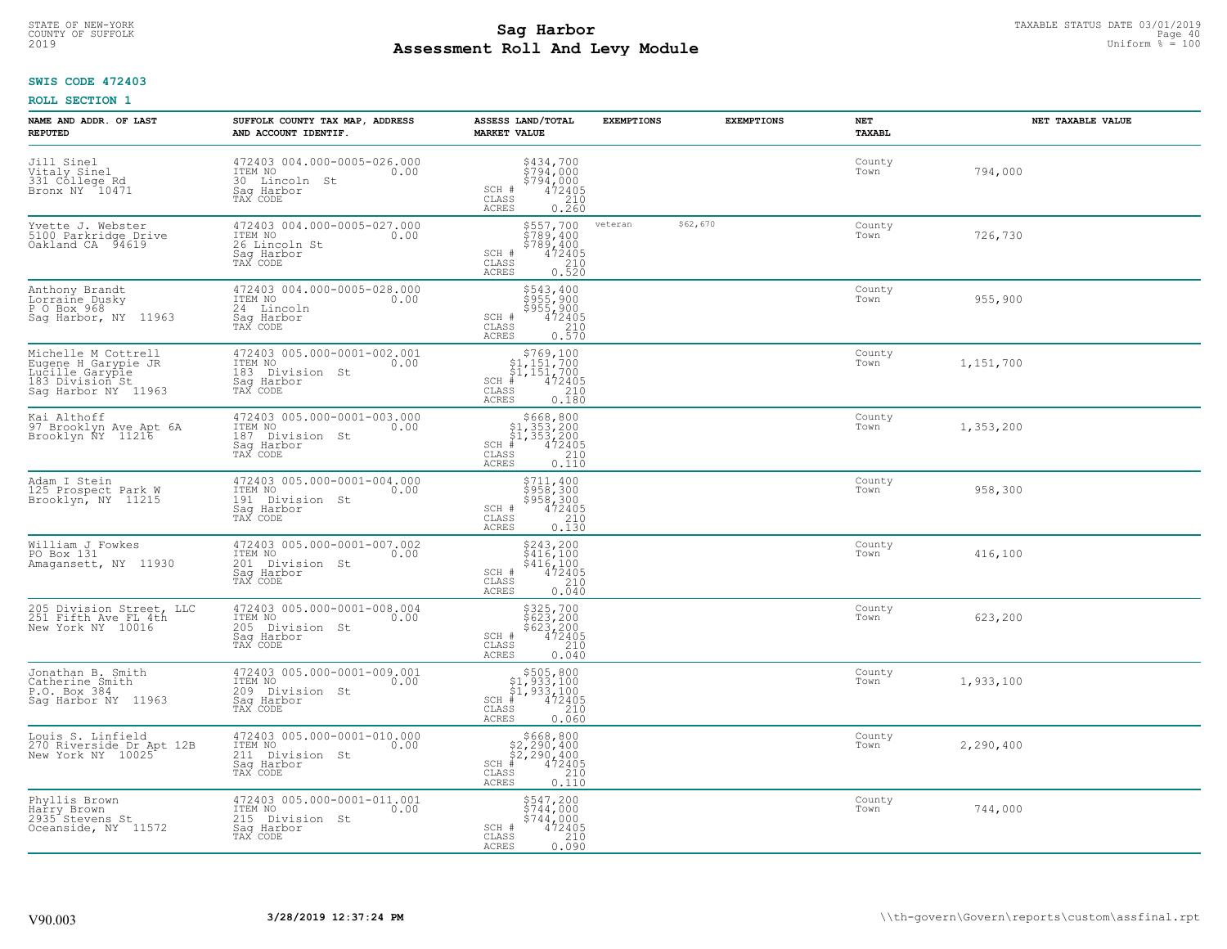#### **Sag Harbor** TAXABLE STATUS DATE 03/01/2019<br>
Poll and Louis Modulo **Assessment Roll And Levy Module** 2019 Uniform % = 100 COUNTY OF SUFFOLK **Example 10** and the country of sufficient of the country of sufficient  $\blacksquare$  and  $\blacksquare$  and  $\blacksquare$

## **SWIS CODE 472403**

| NAME AND ADDR. OF LAST<br><b>REPUTED</b>                                                                | SUFFOLK COUNTY TAX MAP, ADDRESS<br>AND ACCOUNT IDENTIF.                                        | ASSESS LAND/TOTAL<br><b>MARKET VALUE</b>                                                                                               | <b>EXEMPTIONS</b> | <b>EXEMPTIONS</b> | NET<br><b>TAXABL</b> | NET TAXABLE VALUE |
|---------------------------------------------------------------------------------------------------------|------------------------------------------------------------------------------------------------|----------------------------------------------------------------------------------------------------------------------------------------|-------------------|-------------------|----------------------|-------------------|
| Jill Sinel<br>Vitaly Sinel<br>331 College Rd<br>Bronx NY 10471                                          | 472403 004.000-0005-026.000<br>ITEM NO<br>0.00<br>30 Lincoln<br>St<br>Saq Harbor<br>TAX CODE   | $\begin{array}{c}\n 5434, 700 \\  5794, 000 \\  5794, 000 \\  472405 \\  210\n \end{array}$<br>SCH #<br>CLASS<br><b>ACRES</b><br>0.260 |                   |                   | County<br>Town       | 794,000           |
| Yvette J. Webster<br>5100 Parkridge Drive<br>Oakland CA 94619                                           | 472403 004.000-0005-027.000<br>ITEM NO<br>0.00<br>26 Lincoln St<br>Saq Harbor<br>TAX CODE      | \$557,700<br>\$789,400<br>\$789,400<br>472405<br>SCH #<br>CLASS<br>$\begin{array}{c} 210 \\ 0.520 \end{array}$<br><b>ACRES</b>         | veteran           | \$62,670          | County<br>Town       | 726,730           |
| Anthony Brandt<br>Lorraine Dusky<br>P O Box 968<br>Saq Harbor, NY 11963                                 | 472403 004.000-0005-028.000<br>ITEM NO<br>0.00<br>24 Lincoln<br>Saq Harbor<br>TAX CODE         | \$543,400<br>\$955,900<br>\$955,900<br>SCH #<br>472405<br>CLASS<br>210<br>0.570<br><b>ACRES</b>                                        |                   |                   | County<br>Town       | 955,900           |
| Michelle M Cottrell<br>Eugene H Garypie JR<br>Lucille Garypie<br>183 Division St<br>Sag Harbor NY 11963 | 472403 005.000-0001-002.001<br>ITEM NO<br>0.00<br>183 Division St<br>Saq Harbor<br>TAX CODE    | $$769,100$<br>$$1,151,700$<br>$$1,151,700$<br>$*1,151,700$<br>$*1,472405$<br>SCH #<br>CLASS<br>210<br>ACRES<br>0.180                   |                   |                   | County<br>Town       | 1,151,700         |
| Kai Althoff<br>97 Brooklyn Ave Apt 6A<br>Brooklyn ÑY 11216                                              | 472403 005.000-0001-003.000<br>ITEM NO<br>0.00<br>187 Division St<br>Saq Harbor<br>TAX CODE    | $$668, 800$<br>$$1, 353, 200$<br>$$1, 353, 200$<br>$472405$<br>$$210$<br>$SCH$ #<br>CLASS<br><b>ACRES</b><br>0.110                     |                   |                   | County<br>Town       | 1,353,200         |
| Adam I Stein<br>125 Prospect Park W<br>Brooklyn, NY 11215                                               | 472403 005.000-0001-004.000<br>ITEM NO<br>0.00<br>191<br>Division St<br>Saq Harbor<br>TAX CODE | \$711,400<br>\$958,300<br>\$958,300<br>472405<br>SCH #<br>210<br>CLASS<br><b>ACRES</b><br>0.130                                        |                   |                   | County<br>Town       | 958,300           |
| William J Fowkes<br>PO Box 131<br>Amagansett, NY 11930                                                  | 472403 005.000-0001-007.002<br>ITEM NO<br>0.00<br>201<br>Division St<br>Saq Harbor<br>TAX CODE | \$243,200<br>\$416,100<br>\$416,100<br>472405<br>SCH #<br>210<br>CLASS<br><b>ACRES</b><br>0.040                                        |                   |                   | County<br>Town       | 416,100           |
| 205 Division Street, LLC<br>251 Fifth Ave FL 4th<br>New York NY 10016                                   | 472403 005.000-0001-008.004<br>TTEM NO 0.00<br>205<br>Division St<br>Saq Harbor<br>TAX CODE    | \$325,700<br>\$623,200<br>\$623,200<br>472405<br>SCH #<br>CLASS<br>210<br><b>ACRES</b><br>0.040                                        |                   |                   | County<br>Town       | 623,200           |
| Jonathan B. Smith<br>Catherine Smith<br>P.O. Box 384<br>Saq Harbor NY 11963                             | 472403 005.000-0001-009.001<br>TTEM NO 0.00<br>209 Division St<br>Saq Harbor<br>TAX CODE       | $$505, 800$<br>$$1, 933, 100$<br>$$1, 933, 100$<br>$*$<br>$*$<br>$*$<br>$*$<br>$*$<br>SCH<br>CLASS<br>210<br>ACRES<br>0.060            |                   |                   | County<br>Town       | 1,933,100         |
| Louis S. Linfield<br>270 Riverside Dr Apt 12B<br>New York NY 10025                                      | 472403 005.000-0001-010.000<br>ITEM NO<br>0.00<br>211<br>Division St<br>Sag Harbor<br>TAX CODE | $$668, 800$<br>$$2, 290, 400$<br>$$2, 290, 400$<br>SCH<br>472405<br>210<br>CLASS<br><b>ACRES</b><br>0.110                              |                   |                   | County<br>Town       | 2,290,400         |
| Phyllis Brown<br>Harry Brown<br>2935 <sup>-</sup> Stevens St<br>Oceanside, NY 11572                     | 472403 005.000-0001-011.001<br>ITEM NO<br>0.00<br>215<br>Division St<br>Sag Harbor<br>TAX CODE | \$547,200<br>\$744,000<br>\$744,000<br>SCH #<br>472405<br>210<br>CLASS<br><b>ACRES</b><br>0.090                                        |                   |                   | County<br>Town       | 744,000           |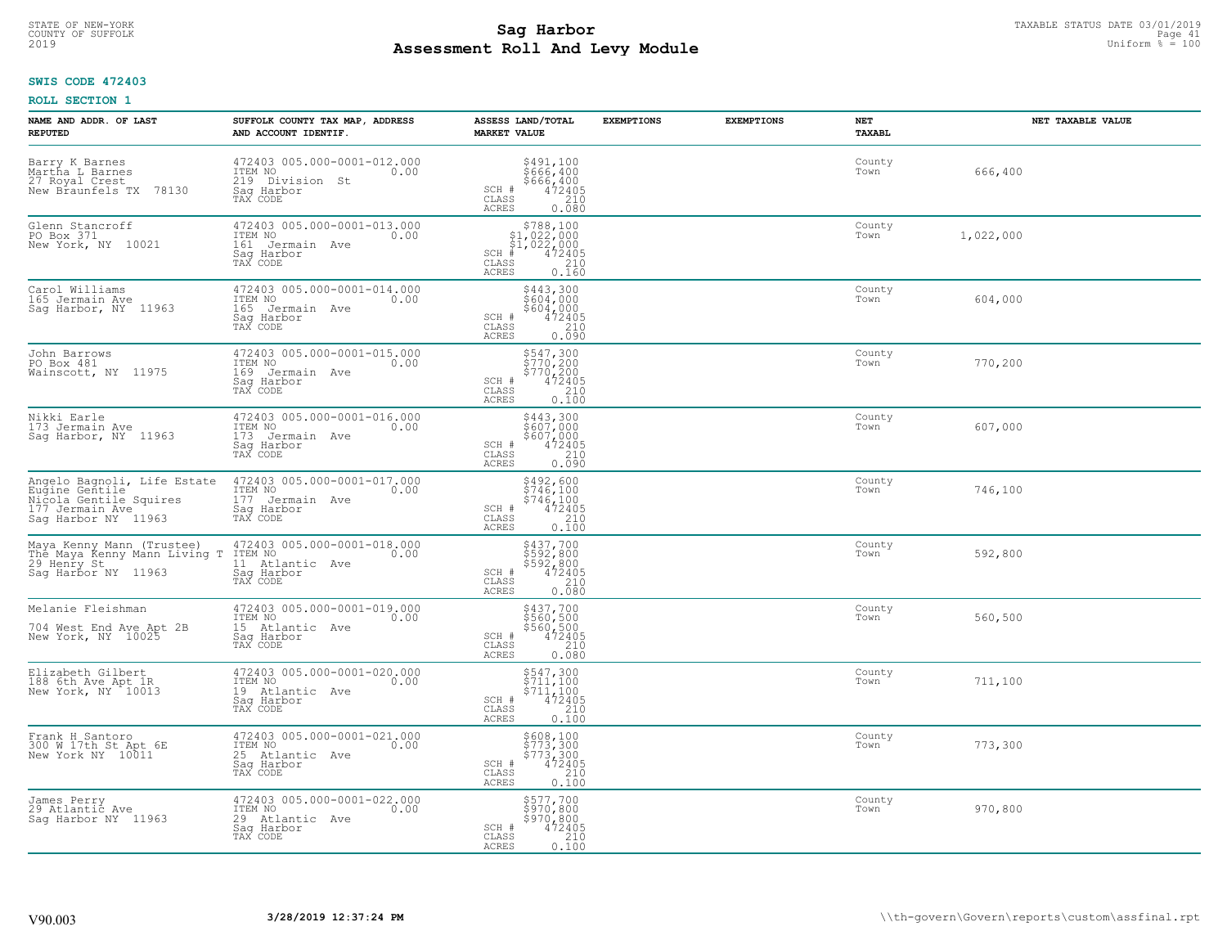#### **Sag Harbor** TAXABLE STATUS DATE 03/01/2019<br>
Poll and Louis Module **Assessment Roll And Levy Module** 2019 Uniform % = 100 COUNTY OF SUFFOLK **Example 2018 COUNTY OF SUFFOLK** Page 41

### **SWIS CODE 472403**

| NAME AND ADDR. OF LAST<br><b>REPUTED</b>                                                                          | SUFFOLK COUNTY TAX MAP, ADDRESS<br>AND ACCOUNT IDENTIF.                                        | ASSESS LAND/TOTAL<br><b>MARKET VALUE</b>                                                                                       | <b>EXEMPTIONS</b> | <b>EXEMPTIONS</b><br>NET<br><b>TAXABL</b> |           | NET TAXABLE VALUE |
|-------------------------------------------------------------------------------------------------------------------|------------------------------------------------------------------------------------------------|--------------------------------------------------------------------------------------------------------------------------------|-------------------|-------------------------------------------|-----------|-------------------|
| Barry K Barnes<br>Martha L Barnes<br>27 Royal Crest<br>New Braunfels TX 78130                                     | 472403 005.000-0001-012.000<br>ITEM NO<br>0.00<br>219 Division St<br>Saq Harbor<br>TAX CODE    | \$491,100<br>\$666,400<br>$$666, 400$<br>$472405$<br>$210$<br>SCH #<br>CLASS<br>ACRES<br>0.080                                 |                   | County<br>Town                            | 666,400   |                   |
| Glenn Stancroff<br>PO Box 371<br>New York, NY 10021                                                               | 472403 005.000-0001-013.000<br>ITEM NO<br>0.00<br>161 Jermain Ave<br>Sag Harbor<br>TAX CODE    | $$788,100$<br>$$1,022,000$<br>$$1,022,000$<br>$$472405$<br>$SCH$ #<br>CLASS<br>$\frac{210}{0.160}$<br>ACRES                    |                   | County<br>Town                            | 1,022,000 |                   |
| Carol Williams<br>165 Jermain Ave<br>Sag Harbor, NY 11963                                                         | 472403 005.000-0001-014.000<br>ITEM NO<br>0.00<br>165<br>Jermain Ave<br>Sag Harbor<br>TAX CODE | \$443,300<br>\$604,000<br>\$604,000<br>472405<br>SCH #<br>CLASS<br>$0.210$<br>$0.090$<br>ACRES                                 |                   | County<br>Town                            | 604,000   |                   |
| John Barrows<br>PO Box 481<br>Wainscott, NY 11975                                                                 | 472403 005.000-0001-015.000<br>ITEM NO<br>0.00<br>169 Jermain Ave<br>Saq Harbor<br>TAX CODE    | \$547,300<br>\$770,200<br>\$770,200<br>472405<br>SCH #<br>CLASS<br>$\frac{210}{0.100}$<br>ACRES                                |                   | County<br>Town                            | 770,200   |                   |
| Nikki Earle<br>173 Jermain Ave<br>Sag Harbor, NY 11963                                                            | 472403 005.000-0001-016.000<br>ITEM NO<br>0.00<br>173<br>Jermain Ave<br>Saq Harbor<br>TAX CODE | \$443,300<br>\$607,000<br>\$607,000<br>472405<br>SCH #<br>CLASS<br>$0.210$<br>$0.090$<br>ACRES                                 |                   | County<br>Town                            | 607,000   |                   |
| Angelo Bagnoli, Life Estate<br>Eugine Gentile<br>Nicola Gentile Squires<br>177 Jermain Ave<br>Sag Harbor NY 11963 | 472403 005.000-0001-017.000<br>ITEM NO<br>0.00<br>177 Jermain Ave<br>Saq Harbor<br>TAX CODE    | $\begin{array}{c} 5492, 600 \\ 5746, 100 \\ 5746, 100 \\ 472405 \\ 210 \\ 0.100 \end{array}$<br>SCH #<br>CLASS<br>ACRES        |                   | County<br>Town                            | 746,100   |                   |
| Maya Kenny Mann (Trustee)<br>The Maya Kenny Mann Living T<br>29 Henry St 11615<br>Sag Harbor NY 11963             | 472403 005.000-0001-018.000<br>ITEM NO<br>0.00<br>11 Atlantic Ave<br>Sag Harbor<br>TAX CODE    | \$437,700<br>\$592,800<br>\$592,800<br>472405<br>SCH #<br>$\begin{array}{c} 210 \\ 0.080 \end{array}$<br>CLASS<br><b>ACRES</b> |                   | County<br>Town                            | 592,800   |                   |
| Melanie Fleishman<br>704 West End Ave Apt 2B<br>New York, NY 10025                                                | 472403 005.000-0001-019.000<br>ITEM NO<br>0.00<br>15 Atlantic Ave<br>Saq Harbor<br>TAX CODE    | \$437,700<br>\$560,500<br>\$560,500<br>472405<br>SCH #<br>CLASS<br>210<br><b>ACRES</b><br>0.080                                |                   | County<br>Town                            | 560,500   |                   |
| Elizabeth Gilbert<br>188 6th Ave Apt 1R<br>New York, NY 10013                                                     | 472403 005.000-0001-020.000<br>TTEM NO 0.00<br>19 Atlantic Ave<br>Sag Harbor<br>TAX CODE       | \$547,300<br>\$711,100<br>\$711,100<br>472405<br>SCH #<br>CLASS<br>$\frac{210}{0.100}$<br><b>ACRES</b>                         |                   | County<br>Town                            | 711,100   |                   |
| Frank H Santoro<br>300 W 17th St Apt 6E<br>New York NY 10011                                                      | 472403 005.000-0001-021.000<br>ITEM NO<br>0.00<br>25 Atlantic<br>Ave<br>Sag Harbor<br>TAX CODE | \$608,100<br>\$773,300<br>\$773,300<br>SCH #<br>$472405$<br>210<br>CLASS<br>ACRES<br>0.100                                     |                   | County<br>Town                            | 773,300   |                   |
| James Perry<br>29 Atlantic Ave<br>Saq Harbor NY 11963                                                             | 472403 005.000-0001-022.000<br>ITEM NO<br>0.00<br>29 Atlantic Ave<br>Sag Harbor<br>TAX CODE    | \$577,700<br>\$970,800<br>\$970,800<br>SCH #<br>$472405$<br>210<br>CLASS<br>0.100<br>ACRES                                     |                   | County<br>Town                            | 970,800   |                   |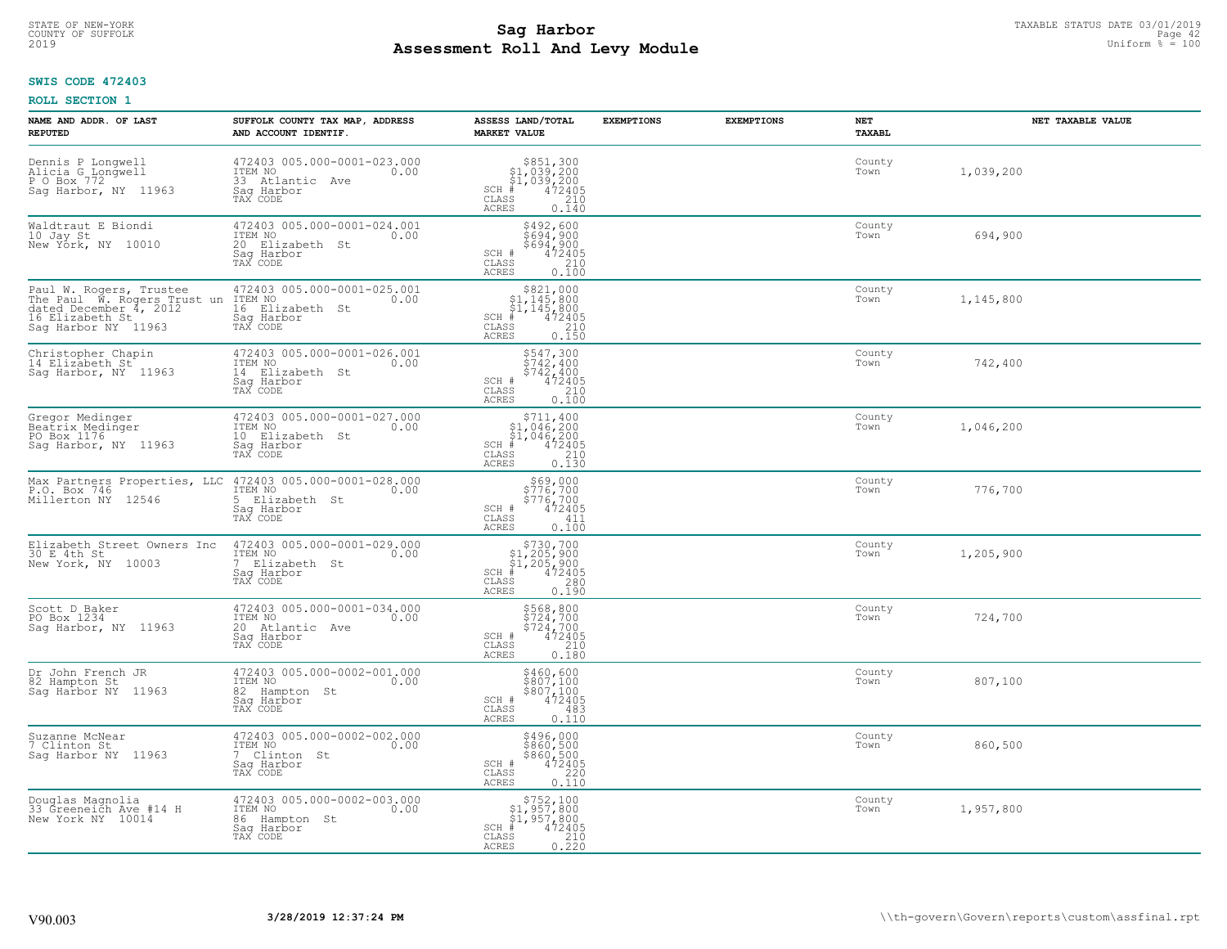#### **Sag Harbor** TAXABLE STATUS DATE 03/01/2019<br>
Poll and Louis Modulo **Assessment Roll And Levy Module** 2019 Uniform % = 100 COUNTY OF SUFFOLK **Example 12** Page 42

## **SWIS CODE 472403**

| NAME AND ADDR. OF LAST<br><b>REPUTED</b>                                                                                   | SUFFOLK COUNTY TAX MAP, ADDRESS<br>AND ACCOUNT IDENTIF.                                                                 | ASSESS LAND/TOTAL<br><b>MARKET VALUE</b>                                                                                                                   | <b>EXEMPTIONS</b> | <b>EXEMPTIONS</b> | NET<br><b>TAXABL</b> | NET TAXABLE VALUE |
|----------------------------------------------------------------------------------------------------------------------------|-------------------------------------------------------------------------------------------------------------------------|------------------------------------------------------------------------------------------------------------------------------------------------------------|-------------------|-------------------|----------------------|-------------------|
| Dennis P Longwell<br>Alicia G Longwell<br>P O Box 772<br>Sag Harbor, NY 11963                                              | 472403 005.000-0001-023.000<br>ITEM NO<br>0.00<br>33 Atlantic<br>Ave<br>Saq Harbor<br>TAX CODE                          | $$851,300$<br>$$1,039,200$<br>$$1,039,200$<br>$472405$<br>$$210$<br>$SCH$ #<br>CLASS<br><b>ACRES</b><br>0.140                                              |                   |                   | County<br>Town       | 1,039,200         |
| Waldtraut E Biondi<br>10 Jay St<br>New York, NY 10010                                                                      | 472403 005.000-0001-024.001<br>ITEM NO<br>0.00<br>20 Elizabeth St<br>Saq Harbor<br>TAX CODE                             | \$492,600<br>\$694,900<br>\$694,900<br>SCH #<br>472405<br>CLASS<br>210<br>0.100<br><b>ACRES</b>                                                            |                   |                   | County<br>Town       | 694,900           |
| Paul W. Rogers, Trustee<br>The Paul W. Rogers Trust un<br>dated December 4, 2012<br>16 Elizabeth St<br>Sag Harbor NY 11963 | 472403 005.000-0001-025.001<br>ITEM NO<br>0.00<br>16 Elizabeth St<br>Saq Harbor<br>TAX CODE                             | \$821,000<br>\$1,145,800<br>\$1,145,800<br># 472405<br>$SCH$ #<br>CLASS<br>210<br>0.150<br>ACRES                                                           |                   |                   | County<br>Town       | 1,145,800         |
| Christopher Chapin<br>14 Elizabeth St<br>Saq Harbor, NY 11963                                                              | 472403 005.000-0001-026.001<br>ITEM NO<br>0.00<br>14 Elizabeth St<br>Saq Harbor<br>TAX CODE                             | \$547,300<br>\$742,400<br>\$742,400<br>472405<br>SCH #<br>CLASS<br>210<br><b>ACRES</b><br>0.100                                                            |                   |                   | County<br>Town       | 742,400           |
| Gregor Medinger<br>Beatrix Medinger<br>PO Box 1176<br>Saq Harbor, NY 11963                                                 | 472403 005.000-0001-027.000<br>ITEM NO<br>0.00<br>10 Elizabeth St<br>Saq Harbor<br>TAX CODE                             | \$711,400<br>$\begin{array}{r} 51,646,200 \\ 51,046,200 \\ * & 472405 \\ * & 210 \\ * & 210 \\ * \end{array}$<br>$SCH$ #<br>CLASS<br><b>ACRES</b><br>0.130 |                   |                   | County<br>Town       | 1,046,200         |
| P.O. Box 746<br>Millerton NY<br>12546                                                                                      | Max Partners Properties, LLC 472403 005.000-0001-028.000<br>ITEM NO<br>0.00<br>5 Elizabeth St<br>Sag Harbor<br>TAX CODE | \$69,000<br>\$776,700<br>\$776,700<br>\$72405<br>SCH #<br>$\mathtt{CLASS}$<br>411<br>0.100<br><b>ACRES</b>                                                 |                   |                   | County<br>Town       | 776,700           |
| Elizabeth Street Owners Inc<br>30 E 4th St<br>New York, NY 10003                                                           | 472403 005.000-0001-029.000<br>ITEM NO<br>0.00<br>$7^{\circ}$<br>Elizabeth St<br>Saq Harbor<br>TAX CODE                 | $$730,700$<br>$$1,205,900$<br>$$1,205,900$<br>$*1$<br>$472405$<br>$SCH$ #<br>CLASS<br>280<br>0.190<br><b>ACRES</b>                                         |                   |                   | County<br>Town       | 1,205,900         |
| Scott D Baker<br>PO Box 1234<br>Sag Harbor, NY 11963                                                                       | 472403 005.000-0001-034.000<br>ITEM NO<br>0.00<br>20 Atlantic Ave<br>Saq Harbor<br>TAX CODE                             | \$568,800<br>\$724,700<br>\$724,700<br>\$724,72405<br>SCH #<br>CLASS<br>210<br><b>ACRES</b><br>0.180                                                       |                   |                   | County<br>Town       | 724,700           |
| Dr John French JR<br>82 Hampton St<br>Saq Harbor NY 11963                                                                  | 472403 005.000-0002-001.000<br>TTEM NO 0.00<br>82 Hampton St<br>Saq Harbor<br>TAX CODE                                  | \$460,600<br>\$807,100<br>\$807,100<br>472405<br>SCH #<br>CLASS<br>483<br><b>ACRES</b><br>0.110                                                            |                   |                   | County<br>Town       | 807,100           |
| Suzanne McNear<br>7 Clinton St<br>Sag Harbor NY 11963                                                                      | 472403 005.000-0002-002.000<br>ITEM NO<br>0.00<br>7 Clinton St<br>Sag Harbor<br>TAX CODE                                | \$496,000<br>\$860,500<br>\$860,500<br>472405<br>SCH #<br>220<br>CLASS<br><b>ACRES</b><br>0.110                                                            |                   |                   | County<br>Town       | 860,500           |
| Douglas Magnolia<br>33 Greeneich Ave #14 H<br>New York NY 10014                                                            | 472403 005.000-0002-003.000<br>ITEM NO<br>0.00<br>86 Hampton St<br>Sag Harbor<br>TAX CODE                               | \$752,100<br>\$1,957,800<br>\$1,957,800<br>$SCH$ #<br>472405<br>CLASS<br>0.220<br><b>ACRES</b>                                                             |                   |                   | County<br>Town       | 1,957,800         |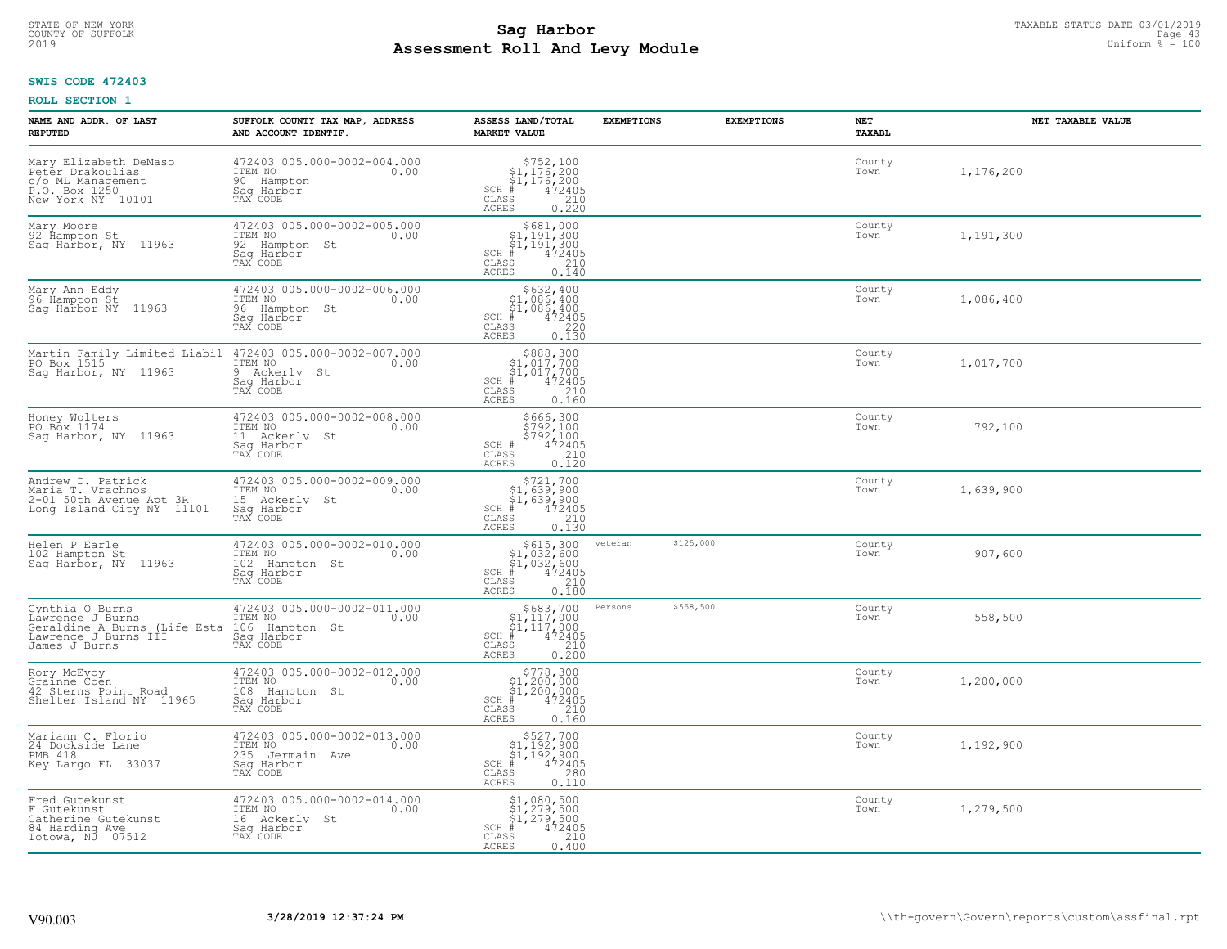#### **Sag Harbor** TAXABLE STATUS DATE 03/01/2019<br>
Poll and Louis Modulo **Assessment Roll And Levy Module** 2019 Uniform % = 100 COUNTY OF SUFFOLK Page 43

## **SWIS CODE 472403**

| NAME AND ADDR. OF LAST<br><b>REPUTED</b>                                                                     | SUFFOLK COUNTY TAX MAP, ADDRESS<br>AND ACCOUNT IDENTIF.                                        | ASSESS LAND/TOTAL<br><b>MARKET VALUE</b>                                                                                  | <b>EXEMPTIONS</b> | <b>EXEMPTIONS</b> | NET<br><b>TAXABL</b> | NET TAXABLE VALUE |
|--------------------------------------------------------------------------------------------------------------|------------------------------------------------------------------------------------------------|---------------------------------------------------------------------------------------------------------------------------|-------------------|-------------------|----------------------|-------------------|
| Mary Elizabeth DeMaso<br>Peter Drakoulias<br>c/o ML Management<br>P.O. Box 1250<br>New York NY 10101         | 472403 005.000-0002-004.000<br>ITEM NO<br>0.00<br>90 Hampton<br>Saq Harbor<br>TAX CODE         | $$752,100$<br>$$1,176,200$<br>$$1,176,200$<br>$# 472405$<br>$32405$<br>$210$<br>$SCH$ #<br>CLASS<br><b>ACRES</b><br>0.220 |                   |                   | County<br>Town       | 1,176,200         |
| Mary Moore<br>92 Hampton St<br>Sag Harbor, NY 11963                                                          | 472403 005.000-0002-005.000<br>ITEM NO<br>0.00<br>92 Hampton St<br>Saq Harbor<br>TAX CODE      | \$681,000<br>\$1,191,300<br>\$1,191,300<br>$SCH$ #<br>472405<br>CLASS<br>210<br>0.140<br><b>ACRES</b>                     |                   |                   | County<br>Town       | 1,191,300         |
| Mary Ann Eddy<br>96 Hampton St<br>Saq Harbor NY 11963                                                        | 472403 005.000-0002-006.000<br>ITEM NO<br>0.00<br>96 Hampton St<br>Saq Harbor<br>TAX CODE      | $$632,400$<br>$$1,086,400$<br>$$1,086,400$<br>$*1,086,400$<br>$*1,0472405$<br>$SCH$ #<br>CLASS<br>220<br>0.130<br>ACRES   |                   |                   | County<br>Town       | 1,086,400         |
| Martin Family Limited Liabil<br>PO Box 1515<br>Sag Harbor, NY 11963                                          | 472403 005.000-0002-007.000<br>ITEM NO<br>0.00<br>9 Ackerly St<br>Sag Harbor<br>TAX CODE       | $$888,300$<br>$$1,017,700$<br>$$1,017,700$<br>$SCH$ #<br>472405<br>$\mathtt{CLASS}$<br>210<br><b>ACRES</b><br>0.160       |                   |                   | County<br>Town       | 1,017,700         |
| Honey Wolters<br>PO Box 1174<br>Sag Harbor, NY 11963                                                         | 472403 005.000-0002-008.000<br>ITEM NO<br>0.00<br>11 Ackerly St<br>Saq Harbor<br>TAX CODE      | \$666,300<br>\$792,100<br>\$792,100<br>SCH #<br>472405<br>CLASS<br>210<br><b>ACRES</b><br>0.120                           |                   |                   | County<br>Town       | 792,100           |
| Andrew D. Patrick<br>Maria T. Vrachnos<br>2-01 50th Avenue Apt 3R<br>Long Island City NY 11101               | 472403 005.000-0002-009.000<br>ITEM NO<br>0.00<br>15 Ackerly<br>St<br>Saq Harbor<br>TAX CODE   | $$721,700$<br>$$1,639,900$<br>$$1,639,900$<br>$$472405$<br>$SCH$ #<br>CLASS<br>210<br>0.130<br><b>ACRES</b>               |                   |                   | County<br>Town       | 1,639,900         |
| Helen P Earle<br>102 Hampton St<br>Sag Harbor, NY 11963                                                      | 472403 005.000-0002-010.000<br>ITEM NO<br>0.00<br>102 Hampton St<br>Saq Harbor<br>TAX CODE     | $$615,300$<br>$$1,032,600$<br>$$1,032,600$<br>$$472405$<br>$SCH$ #<br>CLASS<br>210<br>0.180<br><b>ACRES</b>               | veteran           | \$125,000         | County<br>Town       | 907,600           |
| Cynthia O Burns<br>Lawrence J Burns<br>Geraldine A Burns (Life Esta<br>Lawrence J Burns III<br>James J Burns | 472403 005.000-0002-011.000<br>TTEM NO 0.00<br>106 Hampton St<br>Saq Harbor<br>TAX CODE        | $$683,700$<br>$$1,117,000$<br>$$1,117,000$<br>$*$ 472405<br>$SCH$ #<br>CLASS<br>210<br><b>ACRES</b><br>0.200              | Persons           | \$558,500         | County<br>Town       | 558,500           |
| Rory McEvoy<br>Grainne Coen<br>42 Sterns Point Road<br>Shelter Island NY 11965                               | 472403 005.000-0002-012.000<br>ITEM NO 0.00<br>108 Hampton St<br>Saq Harbor<br>TAX CODE        | $$778,300$<br>$$1,200,000$<br>$$1,200,000$<br>$*$ 472405<br>SCH #<br>CLASS<br>210<br><b>ACRES</b><br>0.160                |                   |                   | County<br>Town       | 1,200,000         |
| Mariann C. Florio<br>24 Dockside Lane<br><b>PMB 418</b><br>Key Largo FL 33037                                | 472403 005.000-0002-013.000<br>ITEM NO<br>0.00<br>235<br>Jermain Ave<br>Saq Harbor<br>TAX CODE | \$527,700<br>\$1,192,900<br>\$1,192,900<br>#472405<br>$SCH$ #<br>CLASS<br>280<br><b>ACRES</b><br>0.110                    |                   |                   | County<br>Town       | 1,192,900         |
| Fred Gutekunst<br>F Gutekunst<br>Catherine Gutekunst<br>84 Harding Ave<br>Totowa, NJ 07512                   | 472403 005.000-0002-014.000<br>ITEM NO<br>0.00<br>16 Ackerly St<br>Saq Harbor<br>TAX CODE      | \$1,080,500<br>\$1,279,500<br>\$1,279,500<br>SCH #<br>472405<br>CLASS<br>210<br>ACRES<br>0.400                            |                   |                   | County<br>Town       | 1,279,500         |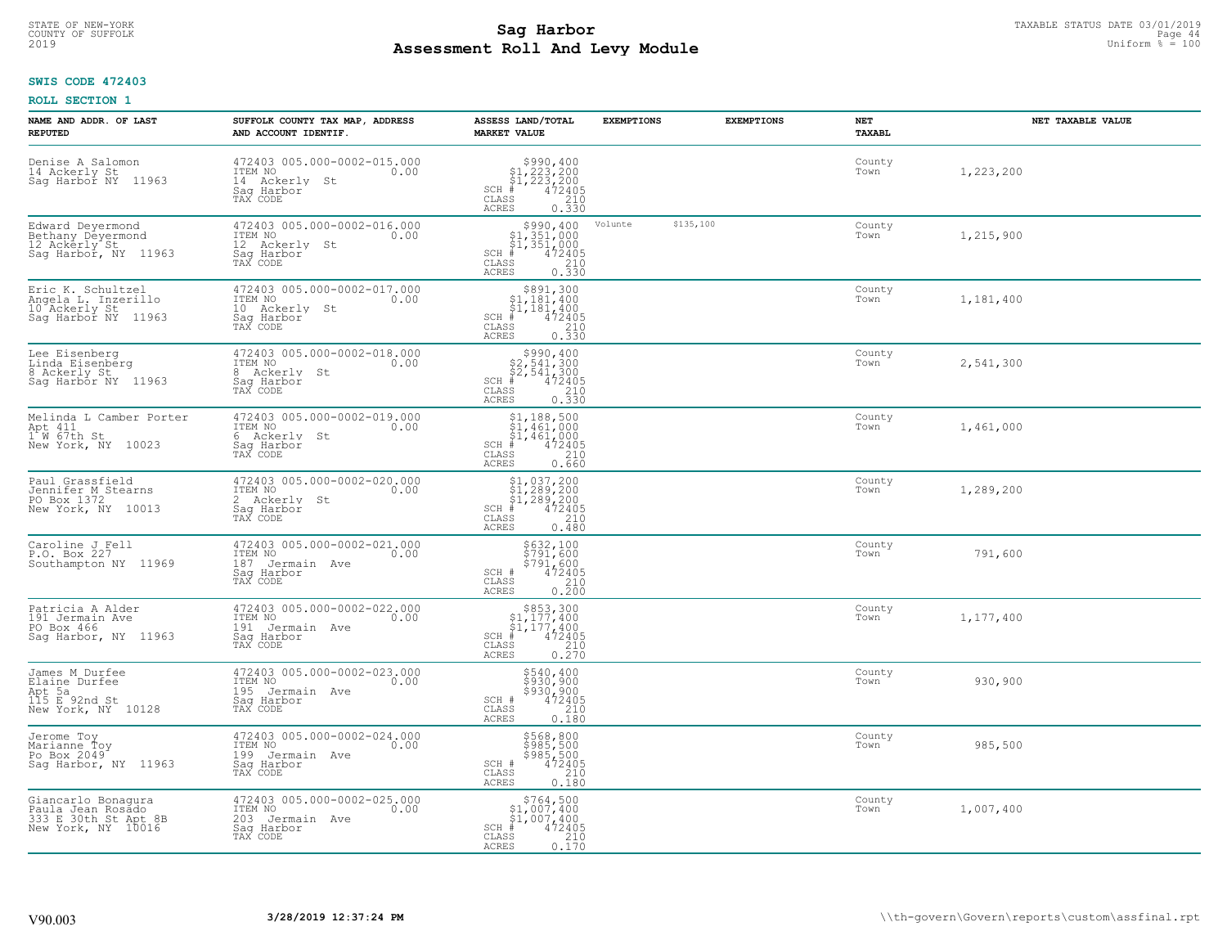#### **Sag Harbor** TAXABLE STATUS DATE 03/01/2019<br>Poll and Louis Module **Assessment Roll And Levy Module** 2019 Uniform % = 100 COUNTY OF SUFFOLK **Example 2018 COUNTY OF SUFFOLK** Page 44

## **SWIS CODE 472403**

| NAME AND ADDR. OF LAST<br><b>REPUTED</b>                                              | SUFFOLK COUNTY TAX MAP, ADDRESS<br>AND ACCOUNT IDENTIF.                                      | ASSESS LAND/TOTAL<br><b>MARKET VALUE</b>                                                                                             | <b>EXEMPTIONS</b>    | <b>EXEMPTIONS</b> | NET<br><b>TAXABL</b> | NET TAXABLE VALUE |
|---------------------------------------------------------------------------------------|----------------------------------------------------------------------------------------------|--------------------------------------------------------------------------------------------------------------------------------------|----------------------|-------------------|----------------------|-------------------|
| Denise A Salomon<br>14 Ackerly St<br>Saq Harbor NY<br>11963                           | 472403 005.000-0002-015.000<br>ITEM NO<br>0.00<br>14 Ackerly<br>St<br>Saq Harbor<br>TAX CODE | $$990, 400$<br>$$1, 223, 200$<br>$$1, 223, 200$<br>$472405$<br>$$210$<br>$SCH$ #<br>CLASS<br><b>ACRES</b><br>0.330                   |                      |                   | County<br>Town       | 1,223,200         |
| Edward Deyermond<br>Bethany Deyermond<br>12 Ackerly St<br>Sag Harbor, NY 11963        | 472403 005.000-0002-016.000<br>ITEM NO<br>0.00<br>12 Ackerly St<br>Saq Harbor<br>TAX CODE    | \$990,400<br>\$1,351,000<br>\$1,351,000<br>$SCH$ #<br>472405<br>CLASS<br>$\begin{array}{c} 210 \\ 0.330 \end{array}$<br><b>ACRES</b> | \$135,100<br>Volunte |                   | County<br>Town       | 1,215,900         |
| Eric K. Schultzel<br>Angela L. Inzerillo<br>10 Ackerly St<br>Saq Harbor NY<br>11963   | 472403 005.000-0002-017.000<br>ITEM NO<br>0.00<br>10 Ackerly St<br>Saq Harbor<br>TAX CODE    | \$891,300<br>$\begin{array}{l} $1,181,400 \ $1,181,400 \ $4 \end{array}$<br>$SCH$ #<br>CLASS<br>210<br>0.330<br>ACRES                |                      |                   | County<br>Town       | 1,181,400         |
| Lee Eisenberg<br>Linda Eisenberg<br>8 Ackerly St<br>Sag Harbor NY 11963               | 472403 005.000-0002-018.000<br>TTEM NO 0.00<br>8 Ackerly St<br>Saq Harbor<br>TAX CODE        | $$990, 400$<br>$$2, 541, 300$<br>$$2, 541, 300$<br>$*$ $472405$<br>$SCH$ #<br>CLASS<br>0.330<br><b>ACRES</b>                         |                      |                   | County<br>Town       | 2,541,300         |
| Melinda L Camber Porter<br>Apt 411<br>1 W 67th St<br>New York, NY 10023               | 472403 005.000-0002-019.000<br>ITEM NO<br>0.00<br>6 Ackerly St<br>Saq Harbor<br>TAX CODE     | $$1,188,500$<br>$$1,461,000$<br>$$1,461,000$<br>$472405$<br>$3240$<br>$SCH$ #<br>CLASS<br><b>ACRES</b><br>0.660                      |                      |                   | County<br>Town       | 1,461,000         |
| Paul Grassfield<br>Jennifer M Stearns<br>PO Box 1372<br>New York, NY 10013            | 472403 005.000-0002-020.000<br>ITEM NO<br>0.00<br>2 Ackerly St<br>Sag Harbor<br>TAX CODE     | $$1,037,200$<br>$$1,289,200$<br>$$1,289,200$<br>$472405$<br>$3240$<br>$SCH$ #<br>CLASS<br>0.480<br><b>ACRES</b>                      |                      |                   | County<br>Town       | 1,289,200         |
| Caroline J Fell<br>P.O. Box 227<br>Southampton NY 11969                               | 472403 005.000-0002-021.000<br>ITEM NO<br>187 Jermain Ave<br>0.00<br>Saq Harbor<br>TAX CODE  | \$632,100<br>\$791,600<br>\$791,600<br>472405<br>SCH #<br>CLASS<br>$\frac{210}{0.200}$<br><b>ACRES</b>                               |                      |                   | County<br>Town       | 791,600           |
| Patricia A Alder<br>191 Jermain Ave<br>PO Box 466<br>Sag Harbor, NY 11963             | 472403 005.000-0002-022.000<br>ITEM NO<br>0.00<br>191 Jermain Ave<br>Saq Harbor<br>TAX CODE  | $$853,300$<br>$$1,177,400$<br>$$1,177,400$<br>$*1$<br>$472405$<br>$SCH$ #<br>CLASS<br>210<br><b>ACRES</b><br>0.270                   |                      |                   | County<br>Town       | 1,177,400         |
| James M Durfee<br>Elaine Durfee<br>Apt 5a<br>115 E 92nd St<br>New York, NY 10128      | 472403 005.000-0002-023.000<br>TTEM NO 0.00<br>195 Jermain Ave<br>Saq Harbor<br>TAX CODE     | \$540,400<br>\$930,900<br>\$930,900<br>472405<br>SCH #<br>CLASS<br>210<br><b>ACRES</b><br>0.180                                      |                      |                   | County<br>Town       | 930,900           |
| Jerome Toy<br>Marianne Ťoy<br>Po Box 2049 <sup>-</sup><br>Saq Harbor, NY 11963        | 472403 005.000-0002-024.000<br>ITEM NO<br>0.00<br>199 Jermain Ave<br>Saq Harbor<br>TAX CODE  | \$568,800<br>\$985,500<br>\$985,500<br>\$985,500<br>SCH #<br>210<br>CLASS<br><b>ACRES</b><br>0.180                                   |                      |                   | County<br>Town       | 985,500           |
| Giancarlo Bonaqura<br>Paula Jean Rosado<br>333 E 30th St Apt 8B<br>New York, NY 10016 | 472403 005.000-0002-025.000<br>ITEM NO<br>0.00<br>203 Jermain Ave<br>Sag Harbor<br>TAX CODE  | $$764,500$1,007,400$1,007,400$<br>$SCH$ #<br>472405<br>CLASS<br>$\frac{210}{0.170}$<br><b>ACRES</b>                                  |                      |                   | County<br>Town       | 1,007,400         |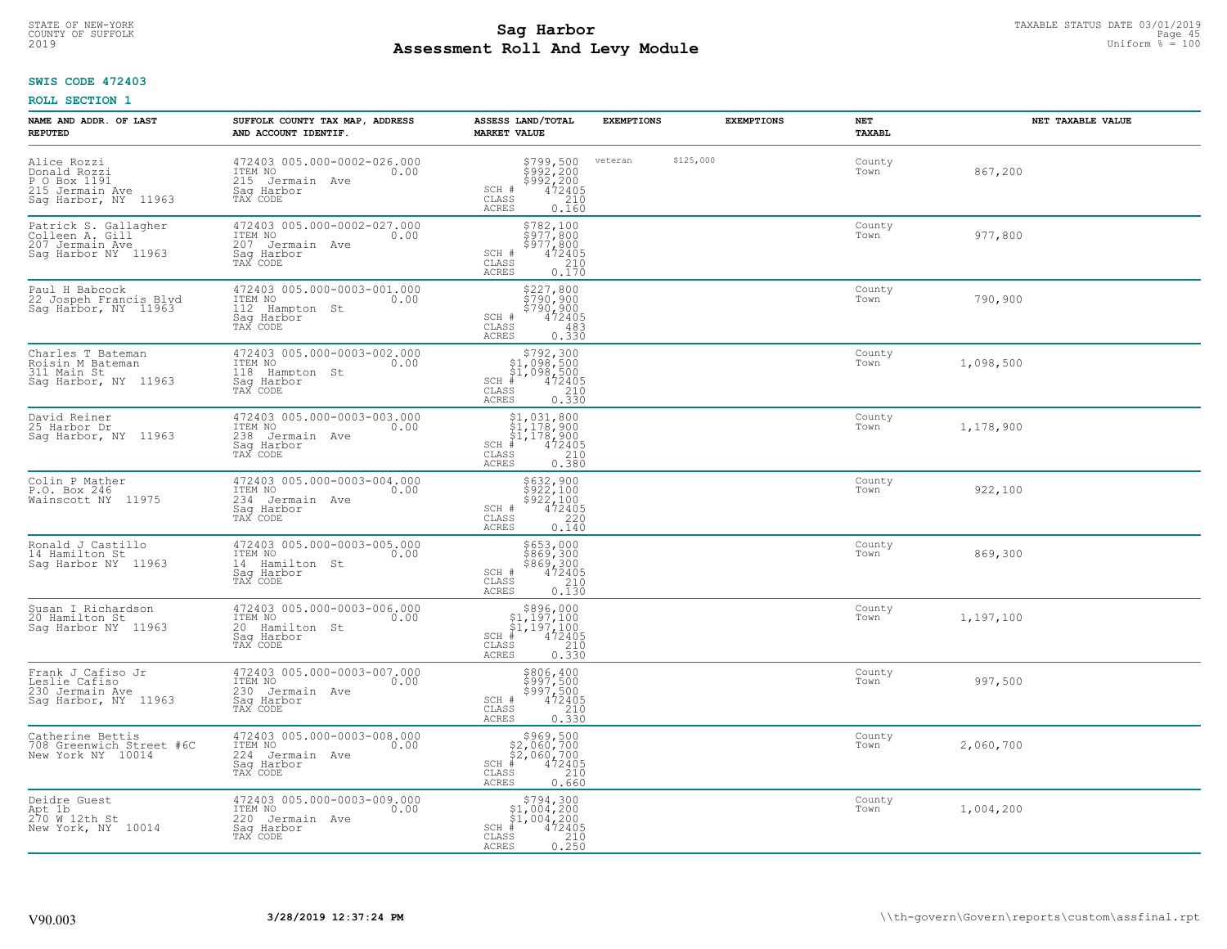#### **Sag Harbor** TAXABLE STATUS DATE 03/01/2019<br>
Poll and Louis Modulo **Assessment Roll And Levy Module** 2019 Uniform % = 100 COUNTY OF SUFFOLK **Example 15** and the country of sufficient of the country of sufficient  $\blacksquare$  and  $\blacksquare$  and  $\blacksquare$

## **SWIS CODE 472403**

| NAME AND ADDR. OF LAST<br><b>REPUTED</b>                                               | SUFFOLK COUNTY TAX MAP, ADDRESS<br>AND ACCOUNT IDENTIF.                                        | ASSESS LAND/TOTAL<br><b>MARKET VALUE</b>                                                                                                          | <b>EXEMPTIONS</b>    | <b>EXEMPTIONS</b> | <b>NET</b><br><b>TAXABL</b> | NET TAXABLE VALUE |
|----------------------------------------------------------------------------------------|------------------------------------------------------------------------------------------------|---------------------------------------------------------------------------------------------------------------------------------------------------|----------------------|-------------------|-----------------------------|-------------------|
| Alice Rozzi<br>Donald Rozzi<br>P O Box 1191<br>215 Jermain Ave<br>Sag Harbor, NY 11963 | 472403 005.000-0002-026.000<br>ITEM NO<br>0.00<br>215 Jermain Ave<br>Saq Harbor<br>TAX CODE    | \$799,500<br>\$992,200<br>\$992,200<br>\$992,200<br>0.160<br>0.160<br>SCH #<br>CLASS<br><b>ACRES</b>                                              | veteran<br>\$125,000 |                   | County<br>Town              | 867,200           |
| Patrick S. Gallagher<br>Colleen A. Gill<br>207 Jermain Ave<br>Saq Harbor NY 11963      | 472403 005.000-0002-027.000<br>ITEM NO<br>0.00<br>207 Jermain Ave<br>Sag Harbor<br>TAX CODE    | \$782,100<br>\$977,800<br>$\frac{5577}{472405}$<br>SCH #<br>CLASS<br>$\frac{210}{0.170}$<br>ACRES                                                 |                      |                   | County<br>Town              | 977,800           |
| Paul H Babcock<br>22 Jospeh Francis Blyd<br>Sag Harbor, NY 11963                       | 472403 005.000-0003-001.000<br>ITEM NO<br>0.00<br>112<br>Hampton St<br>Sag Harbor<br>TAX CODE  | \$227,800<br>\$790,900<br>\$790,900<br>472405<br>SCH #<br>CLASS<br>483<br>0.330<br>ACRES                                                          |                      |                   | County<br>Town              | 790,900           |
| Charles T Bateman<br>Roisin M Bateman<br>311 Main St<br>Sag Harbor, NY 11963           | 472403 005.000-0003-002.000<br>ITEM NO<br>0.00<br>118 Hampton St<br>Saq Harbor<br>TAX CODE     | \$792,300<br>\$1,098,500<br>$\begin{array}{r} 51,098,500 \\ * & 472405 \\ * & 210 \\ * & 210 \\ * & 0.330 \end{array}$<br>SCH #<br>CLASS<br>ACRES |                      |                   | County<br>Town              | 1,098,500         |
| David Reiner<br>25 Harbor Dr<br>Sag Harbor, NY 11963                                   | 472403 005.000-0003-003.000<br>ITEM NO<br>0.00<br>238<br>Jermain Ave<br>Saq Harbor<br>TAX CODE | \$1,031,800<br>$\begin{array}{l} 51,178,900 \\ 51,178,900 \\ +1,472405 \end{array}$<br>$SCH$ #<br>CLASS<br>0.380<br>ACRES                         |                      |                   | County<br>Town              | 1,178,900         |
| Colin P Mather<br>P.O. Box 246<br>Wainscott NY 11975                                   | 472403 005.000-0003-004.000<br>ITEM NO<br>0.00<br>234 Jermain Ave<br>Sag Harbor<br>TAX CODE    | \$632,900<br>\$922,100<br>\$922,100<br>\$922,100<br>0.140<br>0.140<br>SCH #<br>CLASS<br><b>ACRES</b>                                              |                      |                   | County<br>Town              | 922,100           |
| Ronald J Castillo<br>14 Hamilton St<br>Saq Harbor NY 11963                             | 472403 005.000-0003-005.000<br>ITEM NO<br>0.00<br>14 Hamilton St<br>Sag Harbor<br>TAX CODE     | \$653,000<br>\$869,300<br>\$869,300<br>472405<br>SCH #<br>$\begin{array}{c} 210 \\ 0.130 \end{array}$<br>CLASS<br><b>ACRES</b>                    |                      |                   | County<br>Town              | 869,300           |
| Susan I Richardson<br>20 Hamilton St<br>Saq Harbor NY 11963                            | 472403 005.000-0003-006.000<br>ITEM NO<br>0.00<br>20 Hamilton St<br>Saq Harbor<br>TAX CODE     | $$896,000$<br>$$1,197,100$<br>$$1,197,100$<br>$*1$<br>$472405$<br>$SCH$ #<br>CLASS<br>210<br><b>ACRES</b><br>0.330                                |                      |                   | County<br>Town              | 1,197,100         |
| Frank J Cafiso Jr<br>Leslie Cafiso<br>230 Jermain Ave<br>Saq Harbor, NY 11963          | 472403 005.000-0003-007.000<br>10.00 0.00<br>230 Jermain Ave<br>Saq Harbor<br>TAX CODE         | \$806,400<br>\$997,500<br>\$997,500<br>472405<br>SCH #<br>CLASS<br>$\frac{210}{0.330}$<br><b>ACRES</b>                                            |                      |                   | County<br>Town              | 997,500           |
| Catherine Bettis<br>708 Greenwich Street #6C<br>New York NY 10014                      | 472403 005.000-0003-008.000<br>ITEM NO<br>0.00<br>224 Jermain Ave<br>Sag Harbor<br>TAX CODE    | $$969,500\n$2,060,700\n$2,060,700\n# 472405\n 210\n 210$<br>SCH #<br>$\mathtt{CLASS}$<br>ACRES<br>0.660                                           |                      |                   | County<br>Town              | 2,060,700         |
| Deidre Guest<br>Apt 1b<br>270 W 12th St<br>New York, NY 10014                          | 472403 005.000-0003-009.000<br>ITEM NO<br>0.00<br>220 Jermain Ave<br>Sag Harbor<br>TAX CODE    | $$794,300$<br>$$1,004,200$<br>$$1,004,200$<br>$SCH$ #<br>$\frac{47\overline{2}\overline{405}}{210}$<br>CLASS<br>0.250<br>ACRES                    |                      |                   | County<br>Town              | 1,004,200         |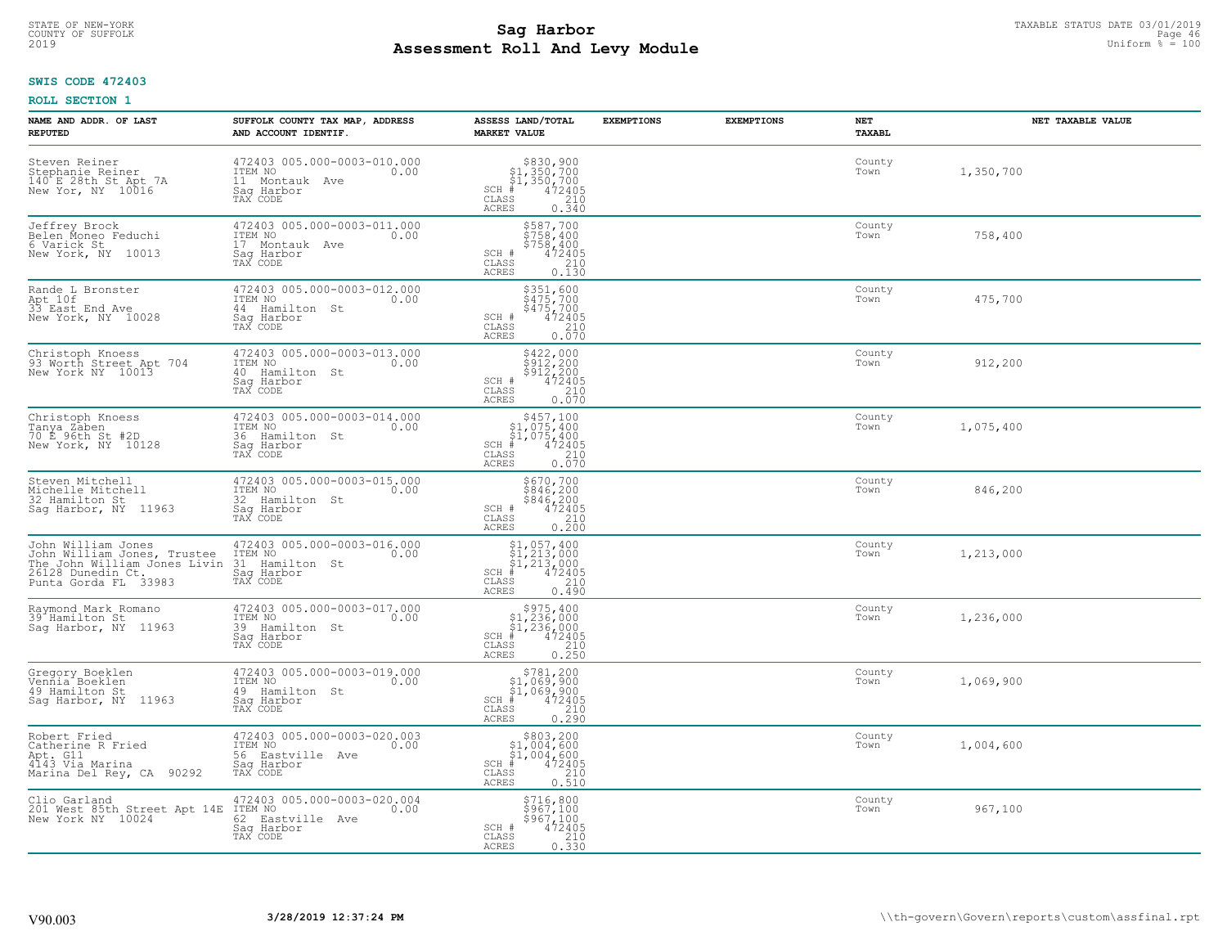#### **Sag Harbor** TAXABLE STATUS DATE 03/01/2019<br>Poll and Louis Modulo **Assessment Roll And Levy Module** 2019 Uniform % = 100 COUNTY OF SUFFOLK **Example 2018 Page 46 COUNTY COUNTY OF SUFFOLK** Page 46 **Page 46**

## **SWIS CODE 472403**

| NAME AND ADDR. OF LAST<br><b>REPUTED</b>                                                                                       | SUFFOLK COUNTY TAX MAP, ADDRESS<br>AND ACCOUNT IDENTIF.                                       | ASSESS LAND/TOTAL<br><b>MARKET VALUE</b>                                                                                       | <b>EXEMPTIONS</b> | <b>EXEMPTIONS</b> | NET<br><b>TAXABL</b> | NET TAXABLE VALUE |
|--------------------------------------------------------------------------------------------------------------------------------|-----------------------------------------------------------------------------------------------|--------------------------------------------------------------------------------------------------------------------------------|-------------------|-------------------|----------------------|-------------------|
| Steven Reiner<br>Stephanie Reiner<br>140 E 28th St Apt 7A<br>New Yor, NY 10016                                                 | 472403 005.000-0003-010.000<br>ITEM NO<br>0.00<br>11 Montauk Ave<br>Saq Harbor<br>TAX CODE    | $$830, 900$<br>$$1, 350, 700$<br>$$1, 350, 700$<br>$472405$<br>$$210$<br>$SCH$ #<br>$\mathtt{CLASS}$<br><b>ACRES</b><br>0.340  |                   |                   | County<br>Town       | 1,350,700         |
| Jeffrey Brock<br>Belen Moneo Feduchi<br>6 Varick St<br>New York, NY 10013                                                      | 472403 005.000-0003-011.000<br>ITEM NO<br>0.00<br>17 Montauk Ave<br>Saq Harbor<br>TAX CODE    | \$587,700<br>\$758,400<br>\$758,400<br>\$758,400<br>SCH #<br>CLASS<br>210<br>0.130<br><b>ACRES</b>                             |                   |                   | County<br>Town       | 758,400           |
| Rande L Bronster<br>Apt 10f<br>33 East End Ave<br>New York, NY 10028                                                           | 472403 005.000-0003-012.000<br>ITEM NO<br>0.00<br>44 Hamilton St<br>Saq Harbor<br>TAX CODE    | \$351,600<br>\$475,700<br>\$475,700<br>472405<br>SCH #<br>CLASS<br>$0.210$<br>$0.070$<br>ACRES                                 |                   |                   | County<br>Town       | 475,700           |
| Christoph Knoess<br>93 Worth Street Apt 704<br>New York NY 10013                                                               | 472403 005.000-0003-013.000<br>ITEM NO<br>0.00<br>40 Hamilton St<br>Saq Harbor<br>TAX CODE    | \$422,000<br>\$912,200<br>\$912,200<br>SCH #<br>$\frac{47\bar{2}\tilde{4}\tilde{0}5}{210}$<br>CLASS<br><b>ACRES</b><br>0.070   |                   |                   | County<br>Town       | 912,200           |
| Christoph Knoess<br>Tanya Zaben<br>70 E_96th St #2D<br>New York, NY 10128                                                      | 472403 005.000-0003-014.000<br>ITEM NO<br>0.00<br>36 Hamilton St<br>Saq Harbor<br>TAX CODE    | \$457,100<br>$$1,075,400$<br>$$1,075,400$<br>$*$ 472405<br>$$210$<br>$SCH$ #<br>CLASS<br><b>ACRES</b><br>0.070                 |                   |                   | County<br>Town       | 1,075,400         |
| Steven Mitchell<br>Michelle Mitchell<br>32 Hamilton St<br>Saq Harbor, NY 11963                                                 | 472403 005.000-0003-015.000<br>ITEM NO<br>0.00<br>32 Hamilton St<br>Sag Harbor<br>TAX CODE    | \$670,700<br>\$846,200<br>\$846,200<br>472405<br>SCH #<br>CLASS<br>$\begin{array}{c} 210 \\ 0.200 \end{array}$<br><b>ACRES</b> |                   |                   | County<br>Town       | 846,200           |
| John William Jones<br>John William Jones, Trustee<br>The John William Jones Livin<br>26128 Dunedin Ct.<br>Punta Gorda FL 33983 | 472403 005.000-0003-016.000<br>ITEM NO<br>0.00<br>31<br>Hamilton St<br>Saq Harbor<br>TAX CODE | $$1,057,400$<br>$$1,213,000$<br>$$1,213,000$<br>$$472405$<br>$SCH$ #<br>CLASS<br>210<br>0.490<br><b>ACRES</b>                  |                   |                   | County<br>Town       | 1,213,000         |
| Raymond Mark Romano<br>39 Hamilton St<br>Saq Harbor, NY 11963                                                                  | 472403 005.000-0003-017.000<br>TTEM NO 0.00<br>39 Hamilton St<br>Saq Harbor<br>TAX CODE       | $$975,400$<br>$$1,236,000$<br>$$1,236,000$<br>$*$ 472405<br>$SCH$ #<br>CLASS<br>210<br><b>ACRES</b><br>0.250                   |                   |                   | County<br>Town       | 1,236,000         |
| Gregory Boeklen<br>Vennia Boeklen<br>49 Hamilton St<br>Saq Harbor, NY 11963                                                    | 472403 005.000-0003-019.000<br>TTEM NO 0.00<br>49 Hamilton St<br>Saq Harbor<br>TAX CODE       | $$781, 200$<br>$$1, 069, 900$<br>$$1, 069, 900$<br>$*$ $472405$<br>$SCH$ #<br>CLASS<br>210<br><b>ACRES</b><br>0.290            |                   |                   | County<br>Town       | 1,069,900         |
| Robert Fried<br>Catherine R Fried<br>Apt. G11<br>4143 Via Marina<br>Marina Del Rey, CA 90292                                   | 472403 005.000-0003-020.003<br>ITEM NO<br>0.00<br>56 Eastville Ave<br>Sag Harbor<br>TAX CODE  | $$803,200\n$1,004,600\n$1,004,600\n# 472405\n 210\n 210$<br>SCH<br>CLASS<br><b>ACRES</b><br>0.510                              |                   |                   | County<br>Town       | 1,004,600         |
| Clio Garland<br>201 West 85th Street Apt 14E<br>New York NY 10024                                                              | 472403 005.000-0003-020.004<br>ITEM NO<br>0.00<br>62 Eastville Ave<br>Sag Harbor<br>TAX CODE  | \$716,800<br>\$967,100<br>\$967,100<br>SCH #<br>472405<br>CLASS<br>210<br><b>ACRES</b><br>0.330                                |                   |                   | County<br>Town       | 967,100           |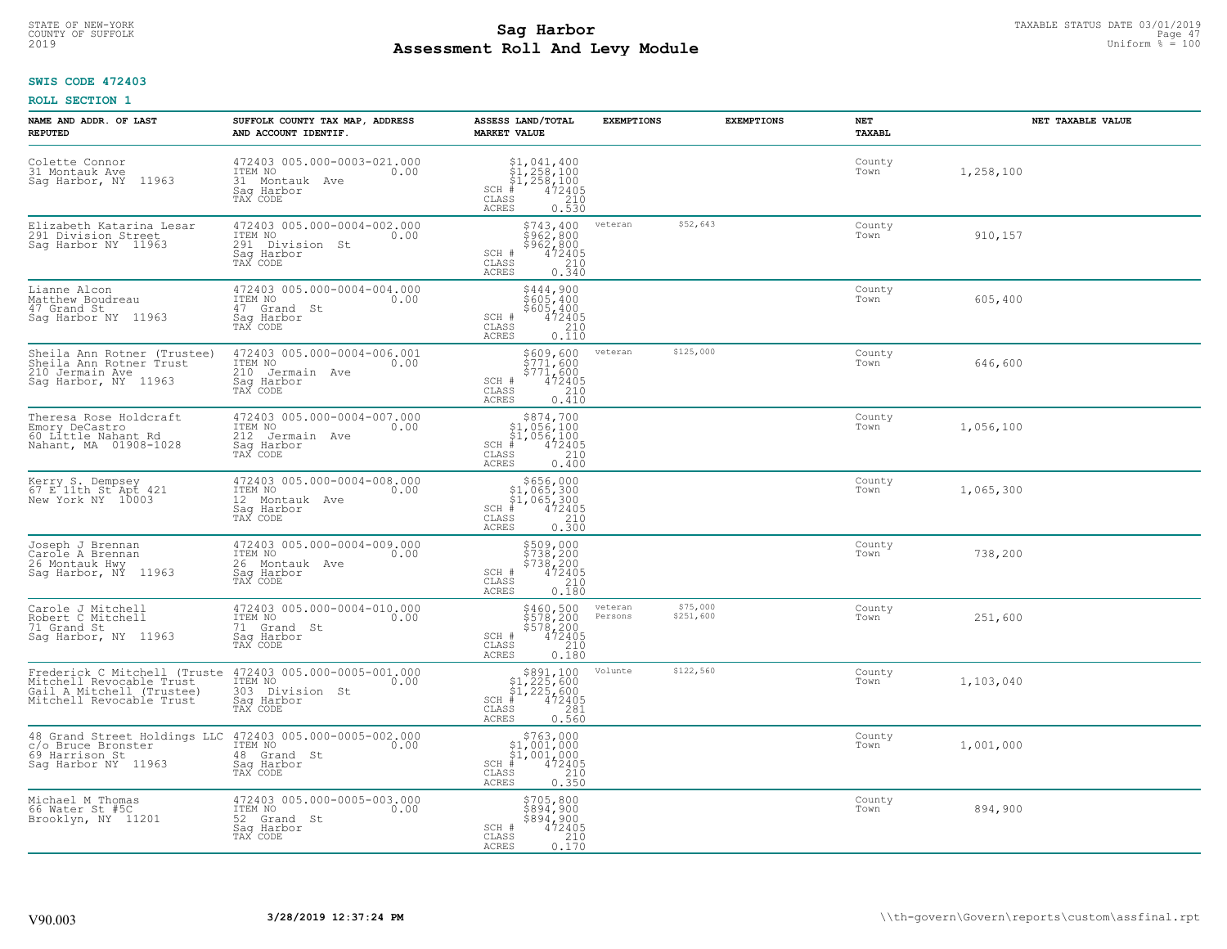#### **Sag Harbor** TAXABLE STATUS DATE 03/01/2019<br>
Poll and Louis Modulo **Assessment Roll And Levy Module** 2019 Uniform % = 100 COUNTY OF SUFFOLK **Example 12** Page 47 **COUNTY OF SUFFOLK** Page 47

## **SWIS CODE 472403**

| NAME AND ADDR. OF LAST<br><b>REPUTED</b>                                                                          | SUFFOLK COUNTY TAX MAP, ADDRESS<br>AND ACCOUNT IDENTIF.                                                              | ASSESS LAND/TOTAL<br><b>MARKET VALUE</b>                                                                                                                                                                                                                                                                                                                                                                                                                 | <b>EXEMPTIONS</b>  | <b>EXEMPTIONS</b>     | NET<br>TAXABL  | NET TAXABLE VALUE |
|-------------------------------------------------------------------------------------------------------------------|----------------------------------------------------------------------------------------------------------------------|----------------------------------------------------------------------------------------------------------------------------------------------------------------------------------------------------------------------------------------------------------------------------------------------------------------------------------------------------------------------------------------------------------------------------------------------------------|--------------------|-----------------------|----------------|-------------------|
| Colette Connor<br>31 Montauk Ave<br>11963<br>Sag Harbor, NY                                                       | 472403 005.000-0003-021.000<br>ITEM NO<br>0.00<br>31 Montauk<br>Ave<br>Saq Harbor<br>TAX CODE                        | $$1, 041, 400$<br>$$1, 258, 100$<br>$$1, 258, 100$<br>$472405$<br>$$210$<br>$SCH$ #<br>CLASS<br><b>ACRES</b><br>0.530                                                                                                                                                                                                                                                                                                                                    |                    |                       | County<br>Town | 1,258,100         |
| Elizabeth Katarina Lesar<br>291 Division Street<br>Saq Harbor NY 11963                                            | 472403 005.000-0004-002.000<br>ITEM NO<br>0.00<br>291 Division St<br>Sag Harbor<br>TAX CODE                          | $$743, 400$<br>$$962, 800$<br>\$962,800<br>472405<br>SCH #<br>$\frac{210}{0.340}$<br>CLASS<br><b>ACRES</b>                                                                                                                                                                                                                                                                                                                                               | veteran            | \$52,643              | County<br>Town | 910,157           |
| Lianne Alcon<br>Matthew Boudreau<br>47 Grand St<br>Sag Harbor NY 11963                                            | 472403 005.000-0004-004.000<br>ITEM NO<br>0.00<br>47 Grand St<br>Saq Harbor<br>TAX CODE                              | \$444,900<br>$$605,400$<br>$$605,400$<br>SCH #<br>472405<br>CLASS<br>210<br><b>ACRES</b><br>0.110                                                                                                                                                                                                                                                                                                                                                        |                    |                       | County<br>Town | 605,400           |
| Sheila Ann Rotner (Trustee)<br>Sheila Ann Rotner Trust<br>210 Jermain Ave<br>Sag Harbor, NY 11963                 | 472403 005.000-0004-006.001<br>ITEM NO<br>0.00<br>210 Jermain Ave<br>Saq Harbor<br>TAX CODE                          | \$609,600<br>$$771,600$<br>$$771,600$<br>SCH #<br>472405<br>CLASS<br>210<br><b>ACRES</b><br>0.410                                                                                                                                                                                                                                                                                                                                                        | veteran            | \$125,000             | County<br>Town | 646,600           |
| Theresa Rose Holdcraft<br>Emory DeCastro<br>60 Little Nahant Rd<br>Nahant, MA 01908-1028                          | 472403 005.000-0004-007.000<br>ITEM NO<br>0.00<br>212<br>Jermain Ave<br>Saq Harbor<br>TAX CODE                       | $$874,700$<br>$$1,056,100$<br>$$1,056,100$<br>$*$<br>$*$ $472405$<br>$SCH$ #<br>$\mathtt{CLASS}$<br>210<br><b>ACRES</b><br>0.400                                                                                                                                                                                                                                                                                                                         |                    |                       | County<br>Town | 1,056,100         |
| Kerry S. Dempsey<br>67 E 11th St Apt 421<br>New York NY 10003                                                     | 472403 005.000-0004-008.000<br>ITEM NO<br>0.00<br>12 Montauk Ave<br>Saq Harbor<br>TAX CODE                           | $\begin{array}{r}  \  \  \, 5656,000\\  \  \, 51,065,300\\  \  \, 51,065,300\\  \  \  \, 472405\\ \text{s} \\ \text{s} \\ \text{s} \\ \text{s} \\ \text{s} \\ \text{d} \\ \text{d} \\ \text{d} \\ \text{d} \\ \text{d} \\ \text{u} \\ \text{u} \\ \text{u} \\ \text{u} \\ \text{u} \\ \text{u} \\ \text{u} \\ \text{u} \\ \text{u} \\ \text{u} \\ \text{u} \\ \text{u} \\ \text{u} \\ \text{u} \\ \text{u} \\ \text$<br>$SCH$ #<br>CLASS<br><b>ACRES</b> |                    |                       | County<br>Town | 1,065,300         |
| Joseph J Brennan<br>Carole A Brennan<br>26 Montauk Hwy<br>Saq Harbor, NY 11963                                    | 472403 005.000-0004-009.000<br>ITEM NO<br>0.00<br>26 Montauk Ave<br>Saq Harbor<br>TAX CODE                           | \$509,000<br>\$738,200<br>\$738,200<br>\$738,200<br>SCH #<br>210<br>CLASS<br>0.180<br><b>ACRES</b>                                                                                                                                                                                                                                                                                                                                                       |                    |                       | County<br>Town | 738,200           |
| Carole J Mitchell<br>Robert C Mitchell<br>71 Grand St<br>Sag Harbor, NY 11963                                     | 472403 005.000-0004-010.000<br>TTEM NO 0.00<br>71 Grand St<br>Saq Harbor<br>TAX CODE                                 | \$460,500<br>\$578,200<br>\$578,200<br>\$472405<br>SCH #<br>CLASS<br>210<br><b>ACRES</b><br>0.180                                                                                                                                                                                                                                                                                                                                                        | veteran<br>Persons | \$75,000<br>\$251,600 | County<br>Town | 251,600           |
| Frederick C Mitchell (Truste<br>Mitchell Revocable Trust<br>Gail A Mitchell (Trustee)<br>Mitchell Revocable Trust | 472403 005.000-0005-001.000<br>ITEM NO 0.00<br>303 Division St<br>Saq Harbor<br>TAX CODE                             | $$891,100$<br>$$1,225,600$<br>$$1,225,600$<br>$*$<br>$*$<br>$472405$<br>$SCH$ #<br>CLASS<br>281<br><b>ACRES</b><br>0.560                                                                                                                                                                                                                                                                                                                                 | Volunte            | \$122,560             | County<br>Town | 1,103,040         |
| c/o Bruce Bronster<br>69 Harrison St<br>Saq Harbor NY 11963                                                       | 48 Grand Street Holdings LLC 472403 005.000-0005-002.000<br>ITEM NO<br>0.00<br>48 Grand St<br>Saq Harbor<br>TAX CODE | $$763,000$<br>$$1,001,000$<br>$$1,001,000$<br>$SCH$ #<br>$\frac{472405}{210}$<br>CLASS<br><b>ACRES</b><br>0.350                                                                                                                                                                                                                                                                                                                                          |                    |                       | County<br>Town | 1,001,000         |
| Michael M Thomas<br>66 Water St #5C<br>Brooklyn, NY 11201                                                         | 472403 005.000-0005-003.000<br>ITEM NO<br>0.00<br>52 Grand St<br>Saq Harbor<br>TAX CODE                              | \$705,800<br>\$894,900<br>\$894,900<br>SCH #<br>472405<br>CLASS<br>210<br>0.170<br><b>ACRES</b>                                                                                                                                                                                                                                                                                                                                                          |                    |                       | County<br>Town | 894,900           |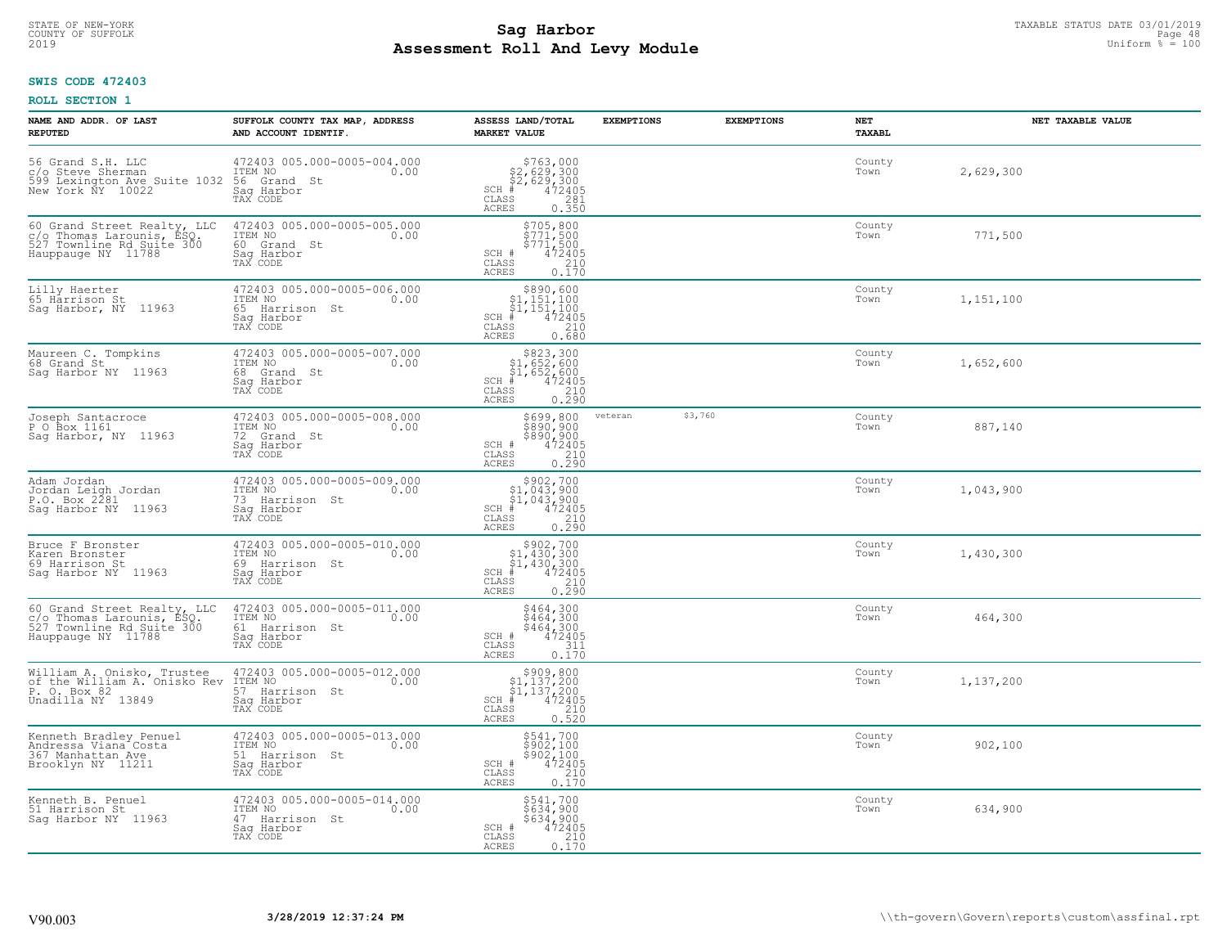#### **Sag Harbor** TAXABLE STATUS DATE 03/01/2019<br>
Poll and Louis Modulo **Assessment Roll And Levy Module** 2019 Uniform % = 100 COUNTY OF SUFFOLK **Example 18** Page 48 **COUNTY COUNTY OF SUFFOLK** Page 48 Page 48 Page 48

## **SWIS CODE 472403**

| NAME AND ADDR. OF LAST<br><b>REPUTED</b>                                                                    | SUFFOLK COUNTY TAX MAP, ADDRESS<br>AND ACCOUNT IDENTIF.                                       | ASSESS LAND/TOTAL<br><b>MARKET VALUE</b>                                                                                                                                                                            | <b>EXEMPTIONS</b> | <b>EXEMPTIONS</b> | NET<br><b>TAXABL</b> | NET TAXABLE VALUE |
|-------------------------------------------------------------------------------------------------------------|-----------------------------------------------------------------------------------------------|---------------------------------------------------------------------------------------------------------------------------------------------------------------------------------------------------------------------|-------------------|-------------------|----------------------|-------------------|
| 56 Grand S.H. LLC<br>c/o Steve Sherman<br>599 Lexington Ave Suite 1032<br>New York NY 10022                 | 472403 005.000-0005-004.000<br>ITEM NO<br>0.00<br>56 Grand St<br>Saq Harbor<br>TAX CODE       | $$763,000$<br>$$2,629,300$<br>$$2,629,300$<br>$472405$<br>$35$<br>$$281$<br>$SCH$ #<br>CLASS<br><b>ACRES</b><br>0.350                                                                                               |                   |                   | County<br>Town       | 2,629,300         |
| 60 Grand Street Realty, LLC<br>c/o Thomas Larounis, ESQ.<br>527 Townline Rd Suite 300<br>Hauppauge NY 11788 | 472403 005.000-0005-005.000<br>ITEM NO<br>0.00<br>60 Grand St<br>Saq Harbor<br>TAX CODE       | \$705,800<br>\$771,500<br>\$771,500<br>\$771,500<br>SCH #<br>CLASS<br>$\frac{210}{0.170}$<br><b>ACRES</b>                                                                                                           |                   |                   | County<br>Town       | 771,500           |
| Lilly Haerter<br>65 Härrison St<br>Sag Harbor, NY 11963                                                     | 472403 005.000-0005-006.000<br>ITEM NO<br>0.00<br>65 Harrison St<br>Saq Harbor<br>TAX CODE    | \$890,600<br>$\begin{array}{r} 1,151,100 \\ 51,151,100 \\ + 472405 \end{array}$<br>$SCH$ #<br>CLASS<br>210<br>0.680<br><b>ACRES</b>                                                                                 |                   |                   | County<br>Town       | 1,151,100         |
| Maureen C. Tompkins<br>68 Grand St<br>Saq Harbor NY 11963                                                   | 472403 005.000-0005-007.000<br>ITEM NO<br>0.00<br>68 Grand St<br>Saq Harbor<br>TAX CODE       | \$823,300<br>\$1,652,600<br>\$1,652,600<br>SCH #<br>$\begin{array}{r} 472405 \\ 210 \\ 0.290 \end{array}$<br>CLASS<br>ACRES                                                                                         |                   |                   | County<br>Town       | 1,652,600         |
| Joseph Santacroce<br>P O Box 1161<br>Sag Harbor, NY 11963                                                   | 472403 005.000-0005-008.000<br>ITEM NO<br>0.00<br>72 Grand St<br>Saq Harbor<br>TAX CODE       | \$699,800<br>9899, 800<br>\$890, 900<br>\$890, 900<br>472405<br>0.290<br>SCH #<br>CLASS<br>ACRES                                                                                                                    | veteran           | \$3,760           | County<br>Town       | 887,140           |
| Adam Jordan<br>Jordan Leigh Jordan<br>P.O. Box 2281<br>Sag Harbor NY 11963                                  | 472403 005.000-0005-009.000<br>ITEM NO<br>0.00<br>73 Harrison St<br>Sag Harbor<br>TAX CODE    | $$902,700\n$1,043,900\n$1,043,900\n#1 472405$<br>$SCH$ #<br>$\begin{array}{c} 210 \\ 0.290 \end{array}$<br>CLASS<br><b>ACRES</b>                                                                                    |                   |                   | County<br>Town       | 1,043,900         |
| Bruce F Bronster<br>Karen Bronster<br>69 Harrison St<br>Sag Harbor NY 11963                                 | 472403 005.000-0005-010.000<br>ITEM NO<br>0.00<br>69<br>Harrison St<br>Saq Harbor<br>TAX CODE | $\begin{array}{c} $902,700 $1,430,300 $1,430,300 # 472405 \end{array}$<br>$SCH$ #<br>CLASS<br>0.290<br>ACRES                                                                                                        |                   |                   | County<br>Town       | 1,430,300         |
| 60 Grand Street Realty, LLC<br>c/o Thomas Larounis, ESQ.<br>527 Townline Rd Suite 300<br>Hauppauge NY 11788 | 472403 005.000-0005-011.000<br>ITEM NO 0.00<br>61 Harrison St<br>Saq Harbor<br>TAX CODE       | \$464,300<br>\$464,300<br>\$464,300<br>472405<br>SCH #<br>CLASS<br>311<br><b>ACRES</b><br>0.170                                                                                                                     |                   |                   | County<br>Town       | 464,300           |
| William A. Onisko, Trustee<br>of the William A. Onisko Rev<br>P. O. Box 82<br>Unadilla NY 13849             | 472403 005.000-0005-012.000<br>10.00 1TEM NO<br>57 Harrison St<br>Saq Harbor<br>TAX CODE      | $\begin{array}{r}  \  \  \,  \, 5909,800 \\  \  \, 51,137,200 \\  \  \, 51,137,200 \\  \  \  \, 472405 \\  \  \, 55 \\  \  \  \, 210 \\  \  \, 520 \\  \  \, 0.520 \end{array}$<br>$SCH$ #<br>CLASS<br><b>ACRES</b> |                   |                   | County<br>Town       | 1,137,200         |
| Kenneth Bradley Penuel<br>Andressa Viana Costa<br>367 Manhattan Ave<br>Brooklyn NY 11211                    | 472403 005.000-0005-013.000<br>ITEM NO<br>0.00<br>51 Harrison St<br>Saq Harbor<br>TAX CODE    | $$541,700\n$902,100\n$902,100\n472405\n210\n210$<br>SCH #<br>CLASS<br><b>ACRES</b><br>0.170                                                                                                                         |                   |                   | County<br>Town       | 902,100           |
| Kenneth B. Penuel<br>51 Harrison St<br>Saq Harbor NY 11963                                                  | 472403 005.000-0005-014.000<br>ITEM NO<br>0.00<br>47 Harrison St<br>Sag Harbor<br>TAX CODE    | \$541,700<br>\$634,900<br>\$634,900<br>SCH #<br>472405<br>$\frac{210}{0.170}$<br>CLASS<br><b>ACRES</b>                                                                                                              |                   |                   | County<br>Town       | 634,900           |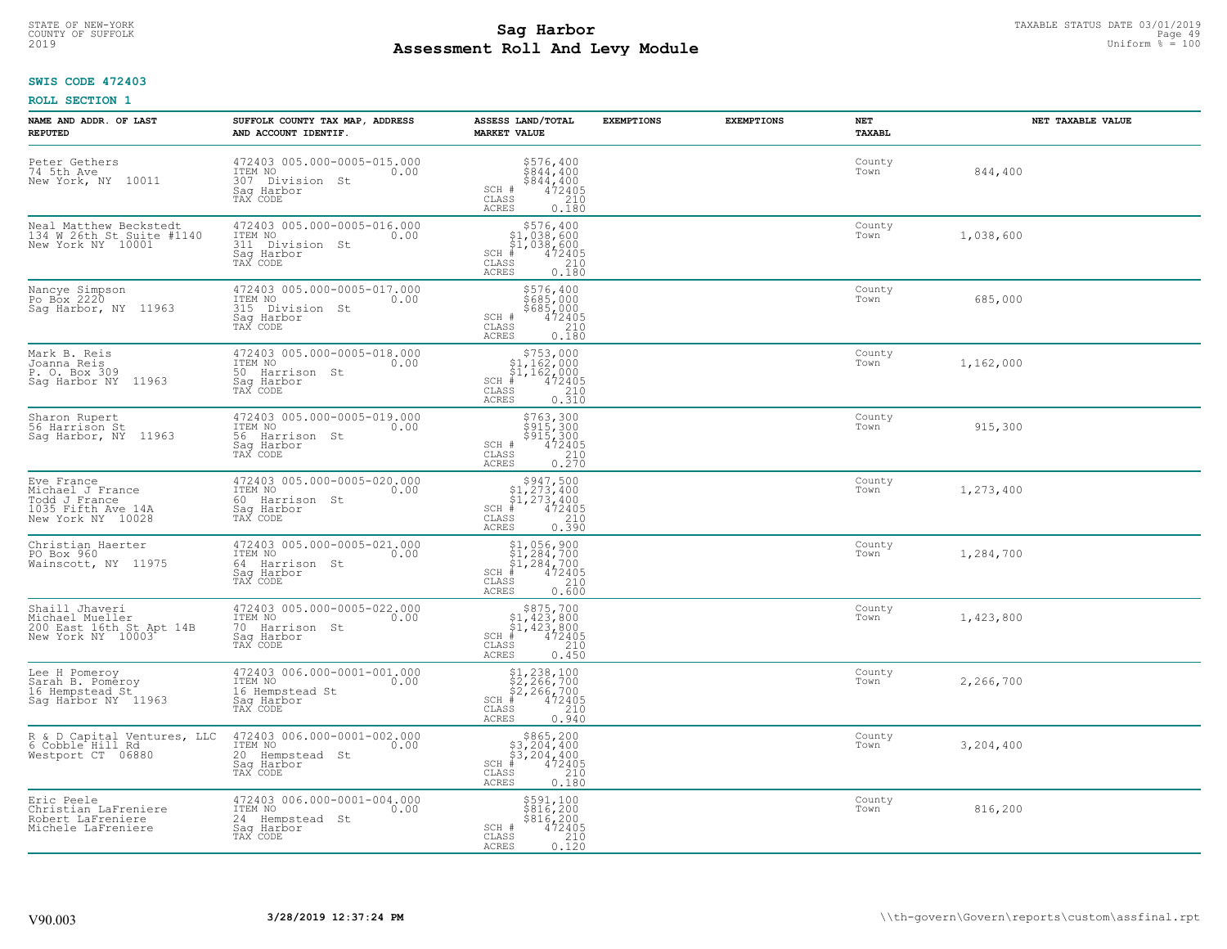#### **Sag Harbor** TAXABLE STATUS DATE 03/01/2019<br>
Poll and Louis Modulo **Assessment Roll And Levy Module** 2019 Uniform % = 100 COUNTY OF SUFFOLK **Example 2018 COUNTY OF SUFFOLK** Page 49

## **SWIS CODE 472403**

| NAME AND ADDR. OF LAST<br><b>REPUTED</b>                                                   | SUFFOLK COUNTY TAX MAP, ADDRESS<br>AND ACCOUNT IDENTIF.                                        | ASSESS LAND/TOTAL<br><b>MARKET VALUE</b>                                                                                             | <b>EXEMPTIONS</b> | <b>EXEMPTIONS</b> | <b>NET</b><br>TAXABL | NET TAXABLE VALUE |
|--------------------------------------------------------------------------------------------|------------------------------------------------------------------------------------------------|--------------------------------------------------------------------------------------------------------------------------------------|-------------------|-------------------|----------------------|-------------------|
| Peter Gethers<br>74 5th Ave<br>New York, NY<br>10011                                       | 472403 005.000-0005-015.000<br>ITEM NO<br>0.00<br>307 Division<br>St<br>Saq Harbor<br>TAX CODE | $$576, 400$<br>$$844, 400$<br>$$442400$<br>$$472405$<br>$$210$<br>SCH #<br>CLASS<br><b>ACRES</b><br>0.180                            |                   |                   | County<br>Town       | 844,400           |
| Neal Matthew Beckstedt<br>134 W 26th St Suite #1140<br>New York NY 10001                   | 472403 005.000-0005-016.000<br>ITEM NO<br>0.00<br>311 Division St<br>Saq Harbor<br>TAX CODE    | \$576,400<br>\$1,038,600<br>\$1,038,600<br>$SCH$ $#$<br>472405<br>CLASS<br>210<br>0.180<br><b>ACRES</b>                              |                   |                   | County<br>Town       | 1,038,600         |
| Nancye Simpson<br>Po Box 2220<br>11963<br>Saq Harbor, NY                                   | 472403 005.000-0005-017.000<br>ITEM NO<br>0.00<br>315<br>Division St<br>Saq Harbor<br>TAX CODE | \$576,400<br>\$685,000<br>\$685,000<br>SCH #<br>472405<br>CLASS<br>210<br>0.180<br>ACRES                                             |                   |                   | County<br>Town       | 685,000           |
| Mark B. Reis<br>Joanna Reis<br>P. O. Box 309<br>Sag Harbor NY<br>11963                     | 472403 005.000-0005-018.000<br>ITEM NO<br>0.00<br>50 Harrison St<br>Saq Harbor<br>TAX CODE     | $$753,000$<br>$$1,162,000$<br>$$1,162,000$<br>$*$<br>$472405$<br>$SCH$ #<br>CLASS<br>210<br>0.310<br>ACRES                           |                   |                   | County<br>Town       | 1,162,000         |
| Sharon Rupert<br>56 Harrison St<br>Sag Harbor, NY<br>11963                                 | 472403 005.000-0005-019.000<br>ITEM NO<br>0.00<br>56 Harrison St<br>Saq Harbor<br>TAX CODE     | \$763,300<br>\$915,300<br>\$915,300<br>\$210<br>\$210<br>SCH #<br>CLASS<br>$0, \overline{2}\overline{7}\overline{0}$<br><b>ACRES</b> |                   |                   | County<br>Town       | 915,300           |
| Eve France<br>Michael J France<br>Todd J France<br>1035 Fifth Ave 14A<br>New York NY 10028 | 472403 005.000-0005-020.000<br>ITEM NO<br>0.00<br>60 Harrison St<br>Sag Harbor<br>TAX CODE     | $$947,500$<br>$$1,273,400$<br>$$1,273,400$<br>$*1$<br>$472405$<br>$SCH$ #<br>CLASS<br>210<br>0.390<br><b>ACRES</b>                   |                   |                   | County<br>Town       | 1,273,400         |
| Christian Haerter<br>PO Box 960<br>Wainscott, NY 11975                                     | 472403 005.000-0005-021.000<br>ITEM NO<br>0.00<br>64 Harrison St<br>Saq Harbor<br>TAX CODE     | $$1,056,900$<br>$$1,284,700$<br>$$1,284,700$<br>472405<br>SCH #<br>CLASS<br>210<br><b>ACRES</b><br>0.600                             |                   |                   | County<br>Town       | 1,284,700         |
| Shaill Jhaveri<br>Michael Mueller<br>200 East 16th St Apt 14B<br>New York NY 10003         | 472403 005.000-0005-022.000<br>TTEM NO 0.00<br>70 Harrison St<br>Saq Harbor<br>TAX CODE        | $$875,700$<br>$$1,423,800$<br>$$1,423,800$<br>$*1,423,800$<br>$*1,42405$<br>SCH<br>CLASS<br>210<br><b>ACRES</b><br>0.450             |                   |                   | County<br>Town       | 1,423,800         |
| Lee H Pomeroy<br>Sarah B. Pomeroy<br>16 Hempstead St<br>Saq Harbor NY 11963                | 472403 006.000-0001-001.000<br>TTEM NO 0.00<br>16 Hempstead St<br>Saq Harbor<br>TAX CODE       | $$1, 238, 100$<br>$$2, 266, 700$<br>$$2, 266, 700$<br>$*$ 472405<br>SCH<br>CLASS<br>210<br>ACRES<br>0.940                            |                   |                   | County<br>Town       | 2,266,700         |
| R & D Capital Ventures, LLC<br>6 Cobble Hill Rd<br>Westport CT 06880                       | 472403 006.000-0001-002.000<br>ITEM NO<br>0.00<br>20<br>Hempstead St<br>Sag Harbor<br>TAX CODE | $$865, 200$<br>$$3, 204, 400$<br>$$3, 204, 400$<br>SCH<br>472405<br>210<br>CLASS<br>0.180<br><b>ACRES</b>                            |                   |                   | County<br>Town       | 3,204,400         |
| Eric Peele<br>Christian LaFreniere<br>Robert LaFreniere<br>Michele LaFreniere              | 472403 006.000-0001-004.000<br>ITEM NO<br>0.00<br>24 Hempstead St<br>Sag Harbor<br>TAX CODE    | \$591,100<br>\$816,200<br>\$816,200<br>SCH #<br>472405<br>CLASS<br>210<br><b>ACRES</b><br>0.120                                      |                   |                   | County<br>Town       | 816,200           |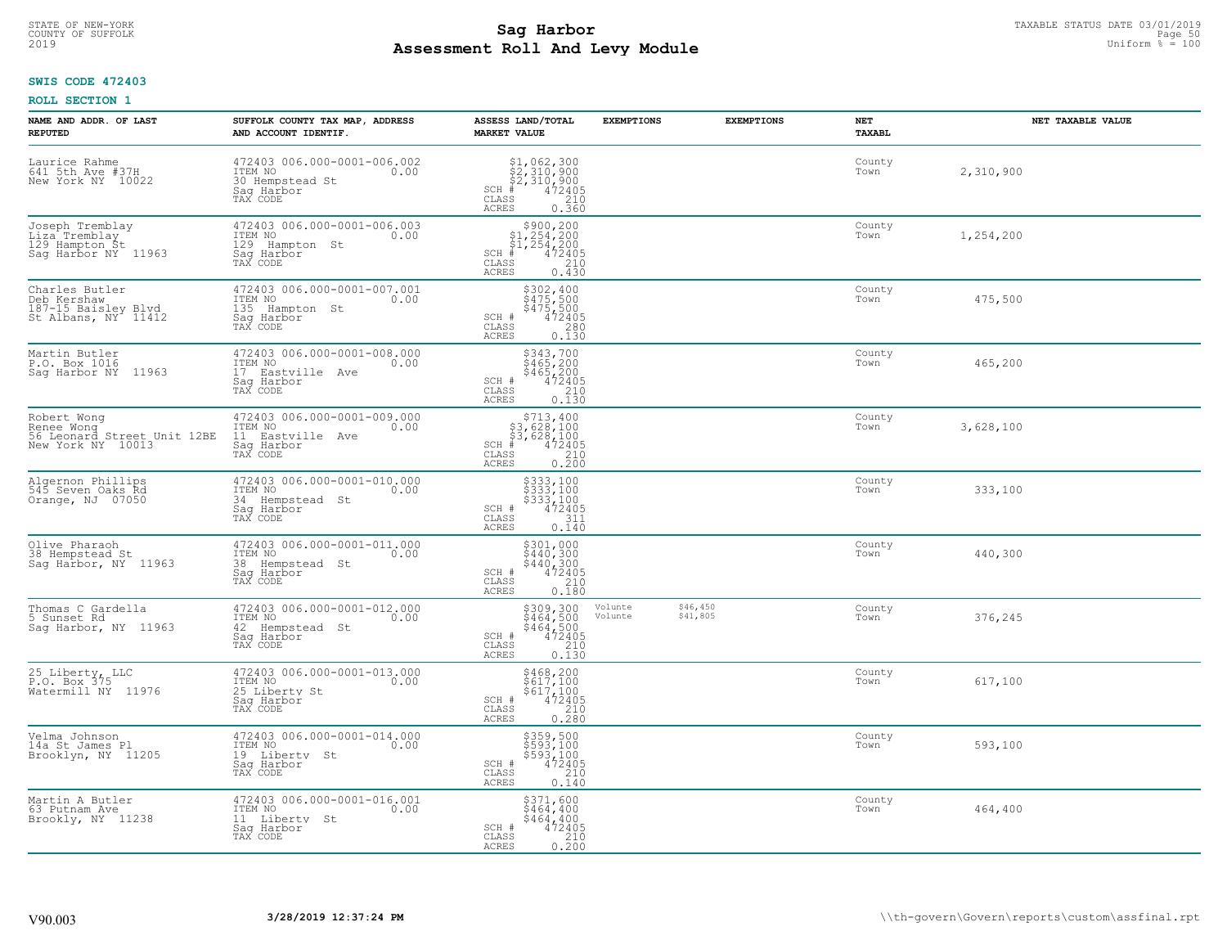# TAXABLE STATUS DATE 03/01/2019<br>COUNTY OF SUFFOLK Page 50 COUNTY OF SUFFOLK Page 50 **Assessment Roll And Levy Module** 2019 Uniform % = 100

## **SWIS CODE 472403**

| NAME AND ADDR. OF LAST<br><b>REPUTED</b>                                      | SUFFOLK COUNTY TAX MAP, ADDRESS<br>AND ACCOUNT IDENTIF.                                      | ASSESS LAND/TOTAL<br><b>MARKET VALUE</b>                                                                                                       | <b>EXEMPTIONS</b>  | <b>EXEMPTIONS</b>    | NET<br>TAXABL  | NET TAXABLE VALUE |
|-------------------------------------------------------------------------------|----------------------------------------------------------------------------------------------|------------------------------------------------------------------------------------------------------------------------------------------------|--------------------|----------------------|----------------|-------------------|
| Laurice Rahme<br>641 5th Ave #37H<br>New York NY 10022                        | 472403 006.000-0001-006.002<br>ITEM NO<br>0.00<br>30 Hempstead St<br>Saq Harbor<br>TAX CODE  | $$2,310,900$<br>$$2,310,900$<br>$$2,310,900$<br>$$472405$<br>$$35$<br>35<br>$SCH$ #<br>CLASS<br><b>ACRES</b><br>0.360                          |                    |                      | County<br>Town | 2,310,900         |
| Joseph Tremblay<br>Liza Tremblay<br>129 Hampton St<br>Saq Harbor NY 11963     | 472403 006.000-0001-006.003<br>ITEM NO<br>0.00<br>129 Hampton St<br>Saq Harbor<br>TAX CODE   | $$300, 200$<br>$$1, 254, 200$<br>$$1, 254, 200$<br>$*$<br>$472405$<br>$SCH$ #<br>CLASS<br>210<br>0.430<br>ACRES                                |                    |                      | County<br>Town | 1,254,200         |
| Charles Butler<br>Deb Kershaw<br>187-15 Baisley Blvd<br>St Albans, NY 11412   | 472403 006.000-0001-007.001<br>ITEM NO<br>0.00<br>135 Hampton St<br>Saq Harbor<br>TAX CODE   | \$302,400<br>\$475,500<br>$$475,500$<br>$472405$<br>SCH #<br>CLASS<br>$\frac{280}{0.130}$<br>ACRES                                             |                    |                      | County<br>Town | 475,500           |
| Martin Butler<br>P.O. Box 1016<br>Sag Harbor NY 11963                         | 472403 006.000-0001-008.000<br>ITEM NO<br>0.00<br>17 Eastville Ave<br>Saq Harbor<br>TAX CODE | \$343,700<br>\$465,200<br>\$465,200<br>472405<br>SCH #<br>CLASS<br>210<br><b>ACRES</b><br>0.130                                                |                    |                      | County<br>Town | 465,200           |
| Robert Wong<br>Renee Wong<br>56 Leonard Street Unit 12BE<br>New York NY 10013 | 472403 006.000-0001-009.000<br>ITEM NO<br>0.00<br>11 Eastville Ave<br>Saq Harbor<br>TAX CODE | \$713,400<br>$\begin{array}{r} 53,628,100 \\ 53,628,100 \\ * & 472405 \\ * & 210 \\ * & 210 \end{array}$<br>$SCH$ #<br>CLASS<br>0.200<br>ACRES |                    |                      | County<br>Town | 3,628,100         |
| Algernon Phillips<br>545 Seven Oaks Rd<br>Orange, NJ 07050                    | 472403 006.000-0001-010.000<br>ITEM NO<br>0.00<br>34 Hempstead St<br>Sag Harbor<br>TAX CODE  | \$333,100<br>\$333,100<br>\$333,100<br>\$333,100<br>SCH #<br>CLASS<br>311<br>$0.\overline{1}\overline{4}\overline{0}$<br>ACRES                 |                    |                      | County<br>Town | 333,100           |
| Olive Pharaoh<br>38 Hempstead St<br>Sag Harbor, NY 11963                      | 472403 006.000-0001-011.000<br>ITEM NO<br>0.00<br>38 Hempstead St<br>Saq Harbor<br>TAX CODE  | \$301,000<br>\$440,300<br>\$440,300<br>472405<br>SCH #<br>CLASS<br>210<br>0.180<br>ACRES                                                       |                    |                      | County<br>Town | 440,300           |
| Thomas C Gardella<br>5 Sunset Rd<br>Saq Harbor, NY 11963                      | 472403 006.000-0001-012.000<br>ITEM NO<br>0.00<br>42 Hempstead St<br>Saq Harbor<br>TAX CODE  | $$309, 300$<br>$$464, 500$<br>$$464, 500$<br>$472405$<br>$$210$<br>SCH #<br>CLASS<br><b>ACRES</b><br>0.130                                     | Volunte<br>Volunte | \$46,450<br>\$41,805 | County<br>Town | 376,245           |
| 25 Liberty, LLC<br>P.O. Box 375<br>Watermill NY 11976                         | 472403 006.000-0001-013.000<br>ITEM NO<br>0.00<br>25 Liberty St<br>Saq Harbor<br>TAX CODE    | $$468, 200$<br>$$617, 100$<br>$$617, 100$<br>$$617, 100$<br>SCH #<br>472405<br>CLASS<br>210<br><b>ACRES</b><br>0.280                           |                    |                      | County<br>Town | 617,100           |
| Velma Johnson<br>14a St James Pl<br>Brooklyn, NY 11205                        | 472403 006.000-0001-014.000<br>ITEM NO<br>0.00<br>19 Liberty St<br>Saq Harbor<br>TAX CODE    | \$359,500<br>\$593,100<br>\$593,100<br>472405<br>SCH #<br>CLASS<br>210<br><b>ACRES</b><br>0.140                                                |                    |                      | County<br>Town | 593,100           |
| Martin A Butler<br>63 Putnam Ave<br>Brookly, NY 11238                         | 472403 006.000-0001-016.001<br>ITEM NO<br>0.00<br>11 Liberty St<br>Saq Harbor<br>TAX CODE    | \$371,600<br>$$464, 400$<br>$$464, 400$<br>$472405$<br>SCH #<br>CLASS<br>0.210<br>ACRES                                                        |                    |                      | County<br>Town | 464,400           |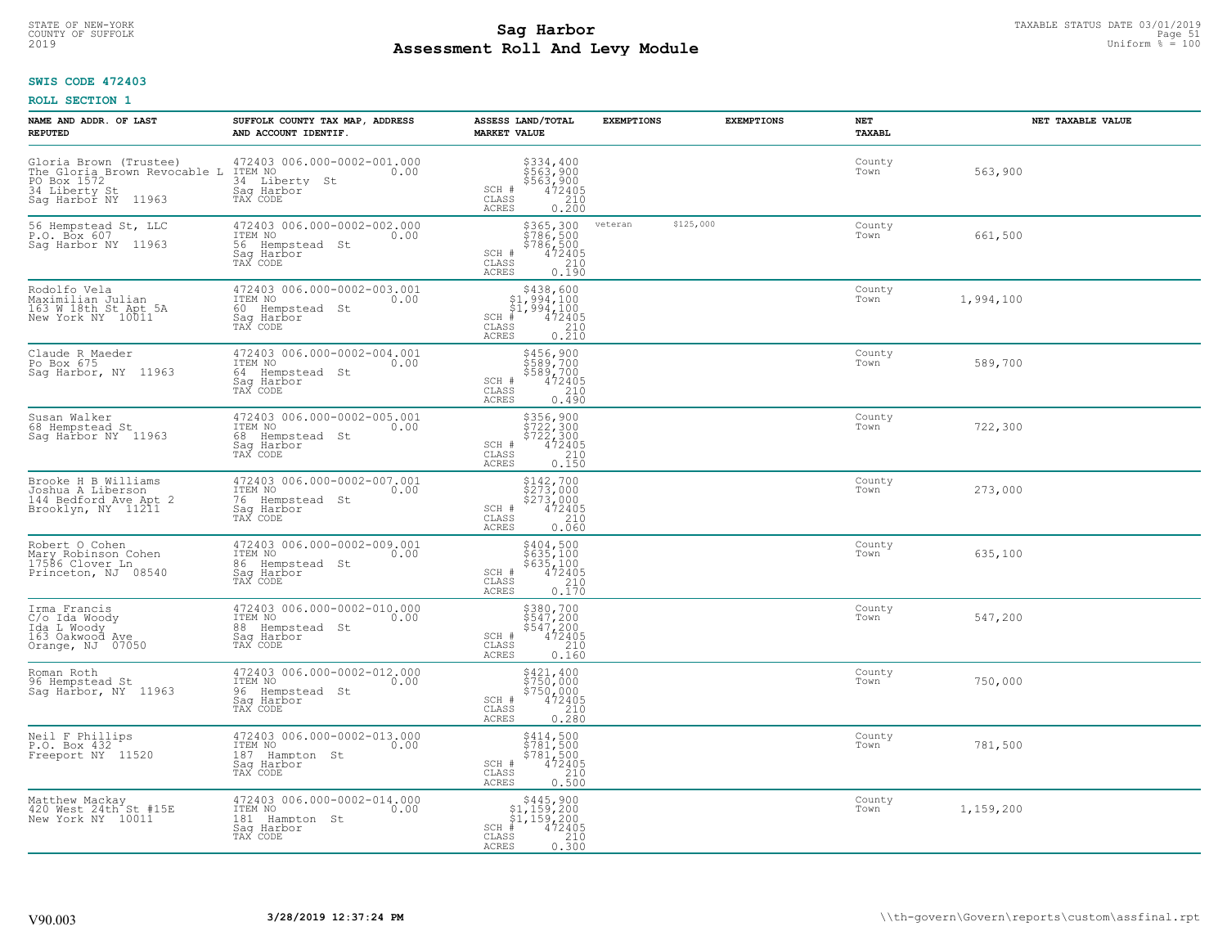#### **Sag Harbor** TAXABLE STATUS DATE 03/01/2019<br>
Poll and Louis Module **Assessment Roll And Levy Module** 2019 Uniform % = 100 COUNTY OF SUFFOLK **Example 31 COUNTY COUNTY OF SUFFOLK** Page 51

### **SWIS CODE 472403**

| NAME AND ADDR. OF LAST<br><b>REPUTED</b>                                                                      | SUFFOLK COUNTY TAX MAP, ADDRESS<br>AND ACCOUNT IDENTIF.                                        | ASSESS LAND/TOTAL<br><b>MARKET VALUE</b>                                                                                       | <b>EXEMPTIONS</b>    | <b>EXEMPTIONS</b> | <b>NET</b><br><b>TAXABL</b> | NET TAXABLE VALUE |
|---------------------------------------------------------------------------------------------------------------|------------------------------------------------------------------------------------------------|--------------------------------------------------------------------------------------------------------------------------------|----------------------|-------------------|-----------------------------|-------------------|
| Gloria Brown (Trustee)<br>The Gloria Brown Revocable L<br>PO Box 1572<br>34 Liberty St<br>Sag Harbor NY 11963 | 472403 006.000-0002-001.000<br>ITEM NO<br>0.00<br>34 Liberty<br>St<br>Saq Harbor<br>TAX CODE   | \$334,400<br>\$563,900<br>\$563,900<br>472405<br>210<br>SCH #<br>CLASS<br>ACRES<br>0.200                                       |                      |                   | County<br>Town              | 563,900           |
| 56 Hempstead St, LLC<br>P.O. Box 607<br>Saq Harbor NY 11963                                                   | 472403 006.000-0002-002.000<br>ITEM NO<br>0.00<br>56 Hempstead St<br>Saq Harbor<br>TAX CODE    | \$365,300<br>\$786,500<br>\$786,500<br>472405<br>SCH #<br>CLASS<br>$\begin{array}{c} 210 \\ 0.190 \end{array}$<br>ACRES        | \$125,000<br>veteran |                   | County<br>Town              | 661,500           |
| Rodolfo Vela<br>Maximilian Julian<br>163 W 18th St Apt 5A<br>New York NY 10011                                | 472403 006.000-0002-003.001<br>ITEM NO<br>0.00<br>60<br>Hempstead St<br>Saq Harbor<br>TAX CODE | $$438,600$<br>$$1,994,100$<br>$$1,994,100$<br>$$1,994,100$<br>$SCH$ #<br>472405<br>CLASS<br>$\frac{210}{0.210}$<br>ACRES       |                      |                   | County<br>Town              | 1,994,100         |
| Claude R Maeder<br>Po Box 675<br>Saq Harbor, NY 11963                                                         | 472403 006.000-0002-004.001<br>ITEM NO<br>0.00<br>64 Hempstead St<br>Saq Harbor<br>TAX CODE    | \$456,900<br>\$589,700<br>\$589,700<br>SCH #<br>$472405$<br>210<br>CLASS<br>ACRES<br>0.490                                     |                      |                   | County<br>Town              | 589,700           |
| Susan Walker<br>68 Hempstead St<br>Sag Harbor NY 11963                                                        | 472403 006.000-0002-005.001<br>ITEM NO<br>0.00<br>68<br>Hempstead St<br>Saq Harbor<br>TAX CODE | \$356,900<br>\$722,300<br>\$722,300<br>\$72405<br>\$72405<br>\$710<br>\$710<br>\$710<br>SCH #<br>CLASS<br><b>ACRES</b>         |                      |                   | County<br>Town              | 722,300           |
| Brooke H B Williams<br>Joshua A Liberson<br>144 Bedford Ave Apt 2<br>Brooklyn, NY 11211                       | 472403 006.000-0002-007.001<br>ITEM NO<br>0.00<br>76 Hempstead St<br>Sag Harbor<br>TAX CODE    | \$142,700<br>\$273,000<br>\$273,000<br>472405<br>SCH #<br>$\begin{array}{c} 210 \\ 0.060 \end{array}$<br>CLASS<br><b>ACRES</b> |                      |                   | County<br>Town              | 273,000           |
| Robert O Cohen<br>Mary Robinson Cohen<br>17586 Clover Ln<br>Princeton, NJ 08540                               | 472403 006.000-0002-009.001<br>ITEM NO<br>0.00<br>86<br>Hempstead St<br>Saq Harbor<br>TAX CODE | \$404,500<br>\$635,100<br>\$635,100<br>472405<br>SCH #<br>CLASS<br>$\frac{210}{0.170}$<br>ACRES                                |                      |                   | County<br>Town              | 635,100           |
| Irma Francis<br>C/o Ida Woody<br>Ida L Woody<br>163 Oakwood Ave<br>Orange, NJ 07050                           | 472403 006.000-0002-010.000<br>TTEM NO 0.00<br>88 Hempstead St<br>Sag Harbor<br>TAX CODE       | \$380,700<br>\$547,200<br>\$547,200<br>472405<br>SCH #<br>CLASS<br>210<br><b>ACRES</b><br>0.160                                |                      |                   | County<br>Town              | 547,200           |
| Roman Roth<br>96 Hempstead St<br>Saq Harbor, NY 11963                                                         | 472403 006.000-0002-012.000<br>TTEM NO 0.00<br>96 Hempstead St<br>Saq Harbor<br>TAX CODE       | \$421,400<br>\$750,000<br>\$750,000<br>SCH #<br>472405<br>CLASS<br>$0.210$<br>$0.280$<br>ACRES                                 |                      |                   | County<br>Town              | 750,000           |
| Neil F Phillips<br>P.O. Box 432<br>Freeport NY 11520                                                          | 472403 006.000-0002-013.000<br>ITEM NO<br>0.00<br>187<br>Hampton St<br>Sag Harbor<br>TAX CODE  | $$781,500$<br>$$781,500$<br>$$781,500$<br>$472405$<br>210<br>SCH #<br>CLASS<br>0.500<br><b>ACRES</b>                           |                      |                   | County<br>Town              | 781,500           |
| Matthew Mackay<br>420 West 24th <sup>-</sup> St #15E<br>New York NY 10011                                     | 472403 006.000-0002-014.000<br>ITEM NO<br>0.00<br>181<br>Hampton St<br>Sag Harbor<br>TAX CODE  | $$445,900$<br>$$1,159,200$<br>$$1,159,200$<br>$SCH$ #<br>472405<br>$\frac{210}{0.300}$<br>CLASS<br><b>ACRES</b>                |                      |                   | County<br>Town              | 1,159,200         |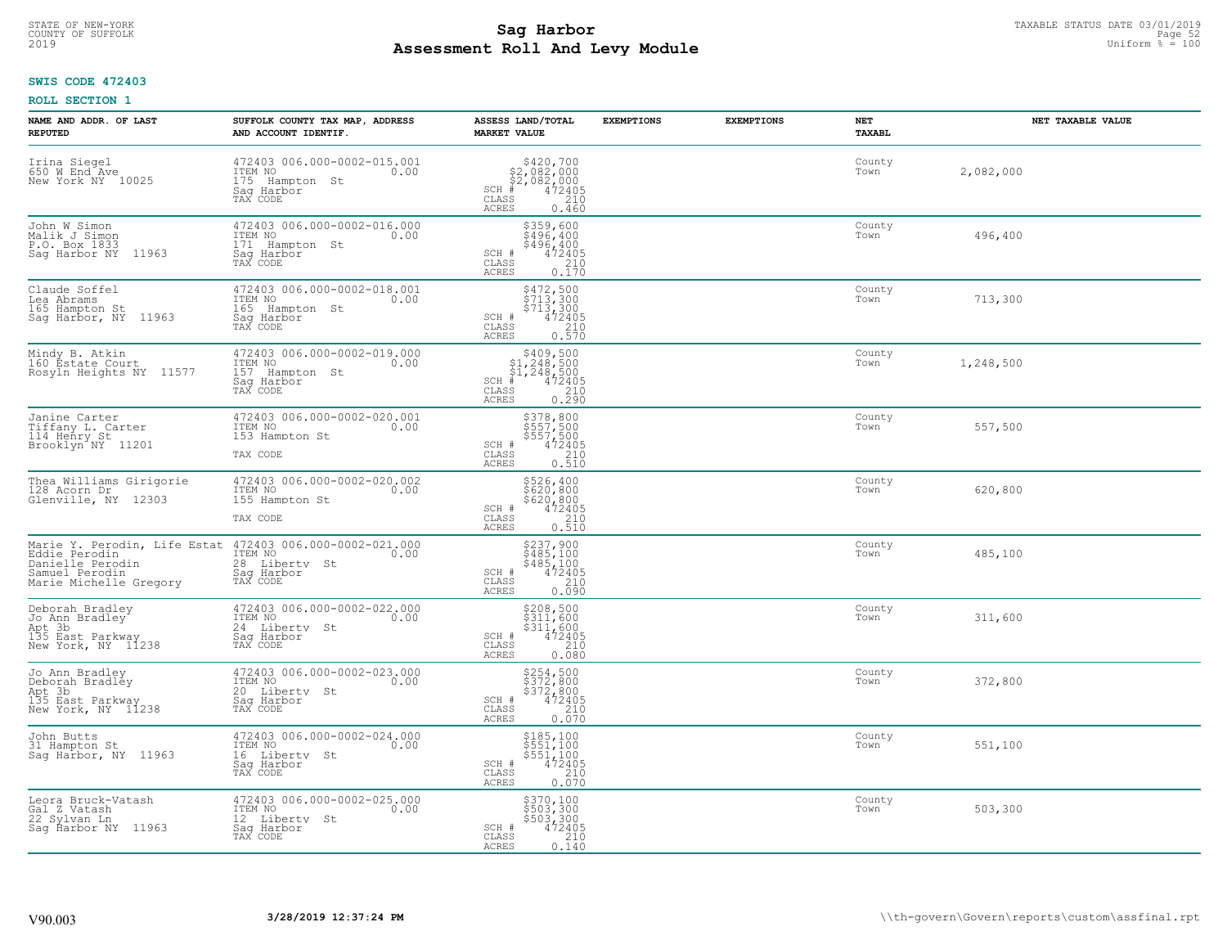# TAXABLE STATUS DATE 03/01/2019<br>COUNTY OF SUFFOLK Page 52 COUNTY OF SUFFOLK Page 52 **Assessment Roll And Levy Module** 2019 Uniform % = 100

# **SWIS CODE 472403**

| NAME AND ADDR. OF LAST<br><b>REPUTED</b>                                              | SUFFOLK COUNTY TAX MAP, ADDRESS<br>AND ACCOUNT IDENTIF.                                                                            | ASSESS LAND/TOTAL<br><b>MARKET VALUE</b>                                                                                           | <b>EXEMPTIONS</b> | <b>EXEMPTIONS</b> | NET<br><b>TAXABL</b> | NET TAXABLE VALUE |
|---------------------------------------------------------------------------------------|------------------------------------------------------------------------------------------------------------------------------------|------------------------------------------------------------------------------------------------------------------------------------|-------------------|-------------------|----------------------|-------------------|
| Irina Siegel<br>650 W End Ave<br>New York NY 10025                                    | 472403 006.000-0002-015.001<br>ITEM NO<br>0.00<br>175 Hampton St<br>Sag Harbor<br>TAX CODE                                         | $$420,700\n$2,082,000\n$2,082,000\n# 472405\n$3\n$5\n210$<br>$SCH$ #<br>CLASS<br>ACRES<br>0.460                                    |                   |                   | County<br>Town       | 2,082,000         |
| John W Simon<br>Malik J Simon<br>P.O. Box 1833<br>Sag Harbor NY 11963                 | 472403 006.000-0002-016.000<br>ITEM NO<br>0.00<br>171 Hampton St<br>Saq Harbor<br>TAX CODE                                         | \$359,600<br>\$496,400<br>\$496, 400<br>472405<br>SCH #<br>CLASS<br>$\frac{210}{0.170}$<br>ACRES                                   |                   |                   | County<br>Town       | 496,400           |
| Claude Soffel<br>Lea Abrams<br>165 Hampton St<br>Sag Harbor, NY 11963                 | 472403 006.000-0002-018.001<br>ITEM NO<br>0.00<br>165 Hampton St<br>Saq Harbor<br>TAX CODE                                         | \$472,500<br>\$713,300<br>\$713,300<br>472405<br>SCH #<br>$\frac{210}{0.570}$<br>CLASS<br>ACRES                                    |                   |                   | County<br>Town       | 713,300           |
| Mindy B. Atkin<br>160 Éstate Court<br>Rosyln Heights NY 11577                         | 472403 006.000-0002-019.000<br>TTEM NO 0.00<br>157 Hampton St<br>Saq Harbor<br>TAX CODE                                            | $$409,500$<br>$$1,248,500$<br>$$1,248,500$<br>$472405$<br>$$240$<br>$$210$<br>$SCH$ #<br>CLASS<br>0.290<br><b>ACRES</b>            |                   |                   | County<br>Town       | 1,248,500         |
| Janine Carter<br>Tiffany L. Carter<br>114 Henry St<br>Brooklyn <sup>"</sup> NY 11201  | 472403 006.000-0002-020.001<br>ITEM NO<br>0.00<br>153 Hampton St<br>TAX CODE                                                       | \$378,800<br>$\frac{5557}{500}$<br>$\frac{5557}{472405}$<br>$\frac{210}{210}$<br>SCH #<br>CLASS<br>0.510<br>ACRES                  |                   |                   | County<br>Town       | 557,500           |
| Thea Williams Girigorie<br>128 Acorn Dr<br>Glenville, NY 12303                        | 472403 006.000-0002-020.002<br>ITEM NO<br>0.00<br>155 Hampton St<br>TAX CODE                                                       | \$526,400<br>\$620,800<br>\$620,800<br>472405<br>SCH #<br>CLASS<br>210<br><b>ACRES</b><br>0.510                                    |                   |                   | County<br>Town       | 620,800           |
| Eddie Perodin<br>Danielle Perodin<br>Samuel Perodin<br>Marie Michelle Gregory         | Marie Y. Perodin, Life Estat 472403 006.000-0002-021.000<br>ITEM NO<br>0.00<br>28 Liberty St<br>Sag Harbor<br>TAX CODE             | \$237,900<br>\$485,100<br>\$485,100<br>472405<br>SCH #<br>$\begin{array}{c} 210 \\ 0.090 \end{array}$<br>CLASS<br>ACRES            |                   |                   | County<br>Town       | 485,100           |
| Deborah Bradley<br>Jo Ann Bradley<br>Not 3b<br>135 East Parkway<br>New York, NY 11238 | $\frac{472403}{17EM} \n\begin{matrix}\n006.000 - 0002 - 022.000 \\ 0 & 0\n\end{matrix}$<br>24 Liberty St<br>Saq Harbor<br>TAX CODE | $\begin{array}{r} 5208, 500 \\ 5311, 600 \\ 5311, 600 \\ 472405 \\ 210 \end{array}$<br>SCH #<br>$\mathtt{CLASS}$<br>ACRES<br>0.080 |                   |                   | County<br>Town       | 311,600           |
| Jo Ann Bradley<br>Deborah Bradley<br>Apt 3b<br>135 East Parkway<br>New York, NY 11238 | 472403 006.000-0002-023.000<br>10.00 0.00<br>20 Liberty St<br>Saq Harbor<br>TAX CODE                                               | \$254,500<br>\$372,800<br>\$372,800<br>SCH #<br>472405<br>210<br>CLASS<br><b>ACRES</b><br>0.070                                    |                   |                   | County<br>Town       | 372,800           |
| John Butts<br>31 Hampton St<br>Sag Harbor, NY 11963                                   | 472403 006.000-0002-024.000<br>ITEM NO<br>0.00<br>16 Liberty St<br>Sag Harbor<br>TAX CODE                                          | \$185,100<br>\$551,100<br>\$551,100<br>472405<br>SCH #<br>210<br>CLASS<br><b>ACRES</b><br>0.070                                    |                   |                   | County<br>Town       | 551,100           |
| Leora Bruck-Vatash<br>Gal Z Vatash<br>22 Sylvan Ln<br>Saq Harbor NY 11963             | 472403 006.000-0002-025.000<br>ITEM NO<br>0.00<br>12 Liberty St<br>Saq Harbor<br>TAX CODE                                          | \$370,100<br>\$503,300<br>\$503,300<br>SCH #<br>$\frac{472405}{210}$<br>CLASS<br>ACRES<br>0.140                                    |                   |                   | County<br>Town       | 503,300           |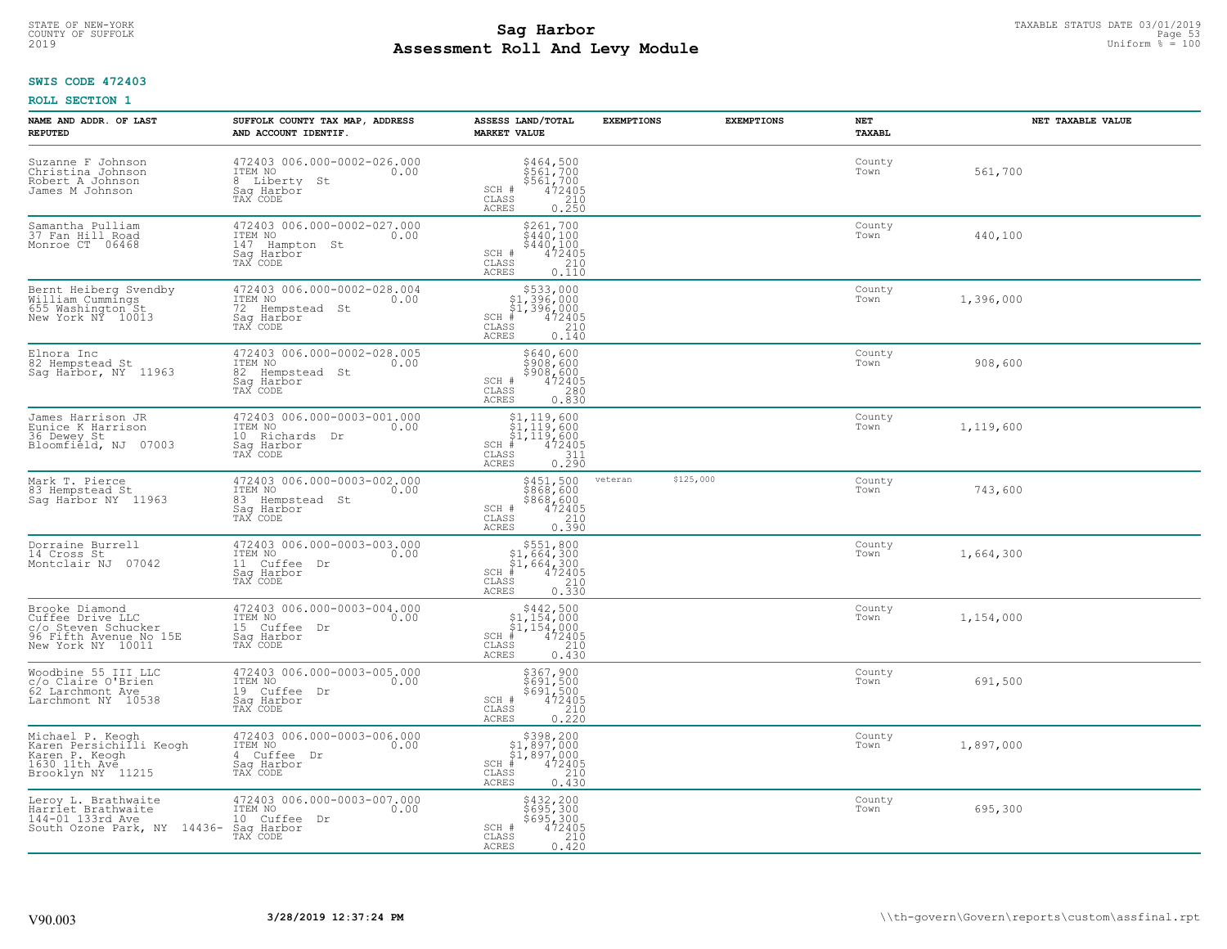# TAXABLE STATUS DATE 03/01/2019<br>COUNTY OF SUFFOLK Page 53 COUNTY OF SUFFOLK Page 53 **Assessment Roll And Levy Module** 2019 Uniform % = 100

## **SWIS CODE 472403**

| NAME AND ADDR. OF LAST<br><b>REPUTED</b>                                                                 | SUFFOLK COUNTY TAX MAP, ADDRESS<br>AND ACCOUNT IDENTIF.                                        | ASSESS LAND/TOTAL<br><b>MARKET VALUE</b>                                                                                                                                                                    | <b>EXEMPTIONS</b> | <b>EXEMPTIONS</b> | NET<br><b>TAXABL</b> | NET TAXABLE VALUE |
|----------------------------------------------------------------------------------------------------------|------------------------------------------------------------------------------------------------|-------------------------------------------------------------------------------------------------------------------------------------------------------------------------------------------------------------|-------------------|-------------------|----------------------|-------------------|
| Suzanne F Johnson<br>Christina Johnson<br>Robert A Johnson<br>James M Johnson                            | 472403 006.000-0002-026.000<br>ITEM NO<br>0.00<br>8 Liberty St<br>Saq Harbor<br>TAX CODE       | \$464,500<br>\$561,700<br>\$561,700<br>SCH #<br>$\begin{smallmatrix} 472405\ 210\ 0.250 \end{smallmatrix}$<br>CLASS<br>ACRES                                                                                |                   |                   | County<br>Town       | 561,700           |
| Samantha Pulliam<br>37 Fan Hill Road<br>Monroe CT 06468                                                  | 472403 006.000-0002-027.000<br>ITEM NO<br>0.00<br>147 Hampton St<br>Sag Harbor<br>TAX CODE     | $\begin{array}{c} 5261, 700 \\ 5440, 100 \\ 5440, 100 \\ 472405 \\ 210 \\ 0.110 \end{array}$<br>SCH #<br>CLASS<br>ACRES                                                                                     |                   |                   | County<br>Town       | 440,100           |
| Bernt Heiberg Svendby<br>William Cummings<br>655 Washington St<br>New York NY 10013                      | 472403 006.000-0002-028.004<br>ITEM NO<br>0.00<br>72<br>Hempstead St<br>Sag Harbor<br>TAX CODE | \$533,000<br>31,396,000<br>\$1,396,000<br>\$1,396,000<br>\$5 210<br>\$5 0.140<br>$SCH$ #<br>$\mathtt{CLASS}$<br>ACRES                                                                                       |                   |                   | County<br>Town       | 1,396,000         |
| Elnora Inc<br>82 Hempstead St<br>Sag Harbor, NY 11963                                                    | 472403 006.000-0002-028.005<br>ITEM NO<br>0.00<br>82 Hempstead St<br>Sag Harbor<br>TAX CODE    | \$640,600<br>\$908,600<br>\$908,600<br>SCH #<br>$\frac{472405}{280}$<br>CLASS<br><b>ACRES</b><br>0.830                                                                                                      |                   |                   | County<br>Town       | 908,600           |
| James Harrison JR<br>Eunice K Harrison<br>36 Dewey St<br>Bloomfield, NJ 07003                            | 472403 006.000-0003-001.000<br>ITEM NO<br>0.00<br>10 Richards Dr<br>Sag Harbor<br>TAX CODE     | $\begin{array}{l} $1,119,600 \ $1,119,600 \ $1,119,600 \ $1,119,600 \ \end{array}$<br>$SCH$ #<br>$\mathtt{CLASS}$<br>$\begin{array}{c} 311 \\ 0.290 \end{array}$<br><b>ACRES</b>                            |                   |                   | County<br>Town       | 1,119,600         |
| Mark T. Pierce<br>83 Hempstead St<br>Sag Harbor NY 11963                                                 | 472403 006.000-0003-002.000<br>ITEM NO<br>0.00<br>83 Hempstead St<br>Saq Harbor<br>TAX CODE    | \$451,500<br>\$868,600<br>\$868,600<br>\$72405<br>\$72405<br>\$700.390<br>SCH #<br>CLASS<br><b>ACRES</b>                                                                                                    | veteran           | \$125,000         | County<br>Town       | 743,600           |
| Dorraine Burrell<br>14 Cross St<br>Montclair NJ 07042                                                    | 472403 006.000-0003-003.000<br>TTEM NO 0.00<br>11 Cuffee<br>Dr<br>Sag Harbor<br>TAX CODE       | $\begin{array}{r}  \  \  \, 5551,800\\  \  \  51,664,300\\  \  \  51,664,300\\  \  \  \, 472405\\  \  \  \, 85\\  \  \  \, 210\\  \  \  \, 25\\  \  \  \, 0.330\\ \end{array}$<br>$SCH$ #<br>CLASS<br>ACRES |                   |                   | County<br>Town       | 1,664,300         |
| Brooke Diamond<br>Cuffee Drive LLC<br>c/o Steven Schucker<br>96 Fifth Avenue No 15E<br>New York NY 10011 | 472403 006.000-0003-004.000<br>ITEM NO<br>0.00<br>15 Cuffee<br>Dr<br>Saq Harbor<br>TAX CODE    | $\begin{array}{r} 5442,500 \\ 51,154,000 \\ 51,154,000 \\ \text{\#} & 472405 \\ \text{\#} & 210 \\ \end{array}$<br>SCH<br>CLASS<br>ACRES<br>0.430                                                           |                   |                   | County<br>Town       | 1,154,000         |
| Woodbine 55 III LLC<br>c/o Claire O'Brien<br>62 Larchmont Ave<br>Larchmont NY 10538                      | 472403 006.000-0003-005.000<br>ITEM NO<br>0.00<br>19 Cuffee Dr<br>Saq Harbor<br>TAX CODE       | $$367, 900$<br>$$691, 500$<br>$$691, 500$<br>$472405$<br>210<br>SCH #<br>CLASS<br><b>ACRES</b><br>0.220                                                                                                     |                   |                   | County<br>Town       | 691,500           |
| Michael P. Keogh<br>Karen Persichilli Keogh<br>Karen P. Keogh<br>1630 11th Ave<br>Brooklyn NY 11215      | 472403 006.000-0003-006.000<br>ITEM NO<br>0.00<br>4 Cuffee Dr<br>Saq Harbor<br>TAX CODE        | \$398,200<br>$$1,897,000$<br>$$1,897,000$<br>$*$ 472405<br>$SCH$ #<br>$\mathtt{CLASS}$<br>210<br>ACRES<br>0.430                                                                                             |                   |                   | County<br>Town       | 1,897,000         |
| Leroy L. Brathwaite<br>Harriet Brathwaite<br>144-01 133rd Ave<br>South Ozone Park, NY 14436-             | 472403 006.000-0003-007.000<br>ITEM NO<br>0.00<br>10 Cuffee<br>Dr<br>Saq Harbor<br>TAX CODE    | \$432,200<br>\$695,300<br>\$695,300<br>SCH #<br>472405<br>CLASS<br>210<br>0.420<br>ACRES                                                                                                                    |                   |                   | County<br>Town       | 695,300           |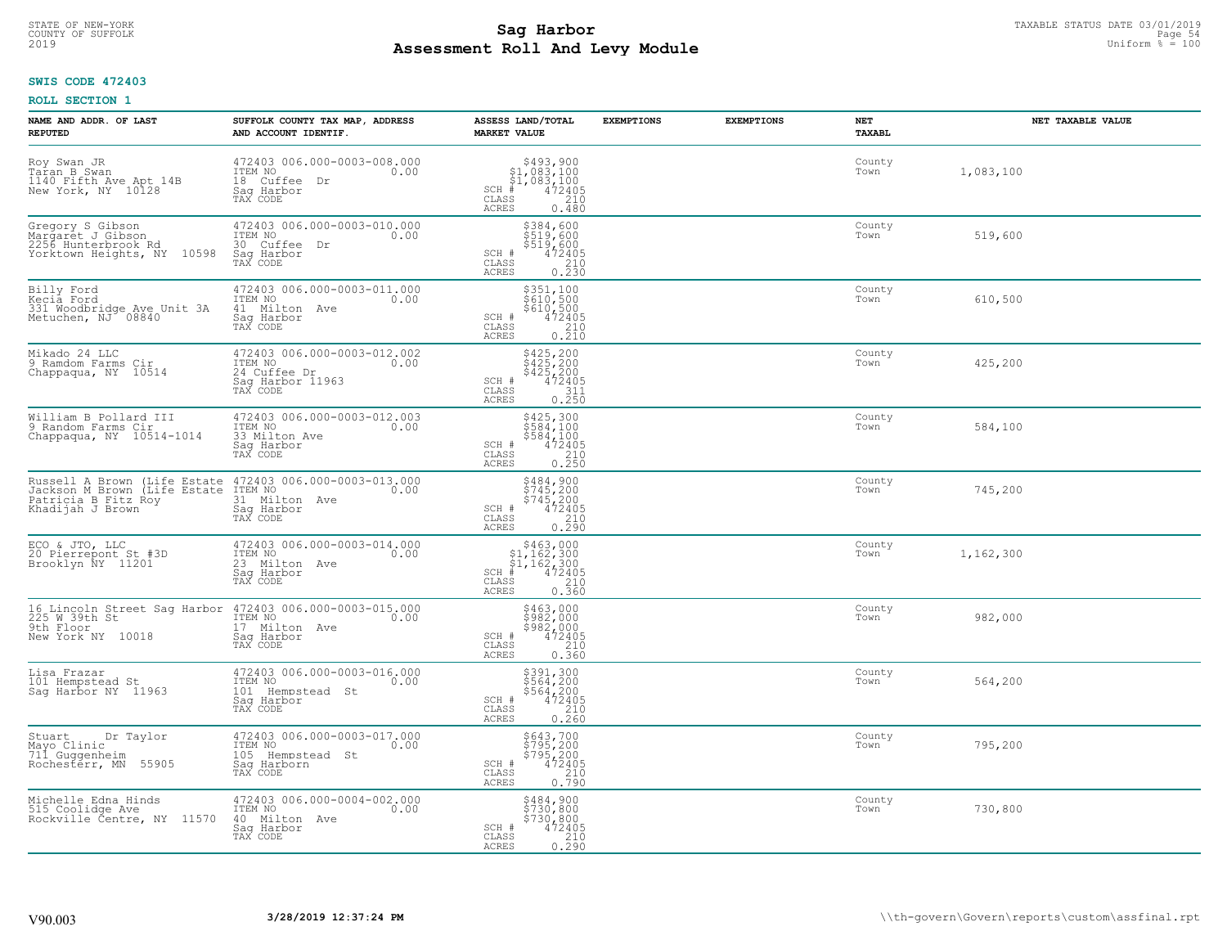# TAXABLE STATUS DATE 03/01/2019<br>COUNTY OF SUFFOLK Page 54 **Assessment Roll And Levy Module** 2019 Uniform % = 100

## **SWIS CODE 472403**

| NAME AND ADDR. OF LAST<br><b>REPUTED</b>                                                                                   | SUFFOLK COUNTY TAX MAP, ADDRESS<br>AND ACCOUNT IDENTIF.                                       | ASSESS LAND/TOTAL<br><b>MARKET VALUE</b>                                                                                                                          | <b>EXEMPTIONS</b> | <b>EXEMPTIONS</b> | <b>NET</b><br><b>TAXABL</b> | NET TAXABLE VALUE |
|----------------------------------------------------------------------------------------------------------------------------|-----------------------------------------------------------------------------------------------|-------------------------------------------------------------------------------------------------------------------------------------------------------------------|-------------------|-------------------|-----------------------------|-------------------|
| Roy Swan JR<br>Taran B Swan<br>1140 Fifth Ave Apt 14B<br>New York, NY 10128                                                | 472403 006.000-0003-008.000<br>ITEM NO<br>0.00<br>18 Cuffee Dr<br>Saq Harbor<br>TAX CODE      | $$493,900$<br>$$1,083,100$<br>$$1,083,100$<br>$472405$<br>$$240$<br>$$240$<br>$SCH$ #<br>CLASS<br>ACRES<br>0.480                                                  |                   |                   | County<br>Town              | 1,083,100         |
| Gregory S Gibson<br>Margarēt J Gibson<br>2256 Hunterbrook Rd<br>Yorktown Heights, NY 10598                                 | 472403 006.000-0003-010.000<br>ITEM NO<br>0.00<br>30 Cuffee Dr<br>Saq Harbor<br>TAX CODE      | \$384,600<br>\$519,600<br>\$519,600<br>$472405$<br>$210$<br>0.230<br>SCH #<br>CLASS<br>ACRES                                                                      |                   |                   | County<br>Town              | 519,600           |
| Billy Ford<br>Kecia Ford<br>331 Woodbridge Ave Unit 3A<br>Metuchen, NJ 08840                                               | 472403 006.000-0003-011.000<br>ITEM NO<br>0.00<br>41 Milton Ave<br>Sag Harbor<br>TAX CODE     | $\begin{array}{r} 5351,100 \\ 5610,500 \\ 5610,500 \\ 472405 \\ 0.210 \\ \hline \end{array}$<br>SCH #<br>CLASS<br>ACRES                                           |                   |                   | County<br>Town              | 610,500           |
| Mikado 24 LLC<br>9 Ramdom Farms Cir<br>Chappaqua, NY 10514                                                                 | 472403 006.000-0003-012.002<br>ITEM NO 0.00<br>24 Cuffee Dr<br>Sag Harbor 11963<br>TAX CODE   | \$425,200<br>\$425,200<br>\$425,200<br>\$472405<br>0.250<br>SCH #<br>CLASS<br>ACRES                                                                               |                   |                   | County<br>Town              | 425,200           |
| William B Pollard III<br>9 Random Farms Cir<br>Chappaqua, NY 10514-1014                                                    | 472403 006.000-0003-012.003<br>ITEM NO<br>0.00<br>33 Milton Ave<br>Saq Harbor<br>TAX CODE     | \$425,300<br>3423, 300<br>\$584, 100<br>\$584, 100<br>472405<br>0.250<br>SCH #<br>CLASS<br>ACRES                                                                  |                   |                   | County<br>Town              | 584,100           |
| Patricia B Fitz Roy<br>Khadijah J Brown                                                                                    | 31 Milton Ave<br>Sag Harbor<br>TAX CODE                                                       | \$484,900<br>\$745,200<br>\$745,200<br>472405<br>SCH #<br>CLASS<br>$\begin{array}{c} 210 \\ 0.290 \end{array}$<br><b>ACRES</b>                                    |                   |                   | County<br>Town              | 745,200           |
| ECO & JTO, LLC<br>20 Pierrepont St #3D<br>Brooklyn NY 11201                                                                | 472403 006.000-0003-014.000<br>ITEM NO<br>0.00<br>23 Milton Ave<br>Saq Harbor<br>TAX CODE     | $\begin{array}{r} 5463,000 \\ 51,162,300 \\ 51,162,300 \\ \frac{4}{7} & 472405 \\ 38 & 0.360 \\ \frac{18}{7} & 0.360 \\ \end{array}$<br>$SCH$ #<br>CLASS<br>ACRES |                   |                   | County<br>Town              | 1,162,300         |
| 16 Lincoln Street Sag Harbor 472403 006.000-0003-015.000<br>225 W 39th St TEM NO 100 000<br>9th Floor<br>New York NY 10018 | 17 Milton Ave<br>Sag Harbor<br>TAX CODE                                                       | \$463,000<br>\$982,000<br>\$982,000<br>\$982,000<br>\$10<br>0.360<br>SCH #<br>CLASS<br>ACRES                                                                      |                   |                   | County<br>Town              | 982,000           |
| Lisa Frazar<br>101 Hempstead St<br>Sag Harbor NY 11963                                                                     | 472403 006.000-0003-016.000<br>TTEM NO 0.00<br>101 Hempstead St<br>Sag Harbor<br>TAX CODE     | \$391,300<br>\$564,200<br>\$564,200<br>\$564,200<br>\$10<br>\$10<br>\$260<br>SCH #<br>CLASS<br>ACRES                                                              |                   |                   | County<br>Town              | 564,200           |
| Stuart<br>Dr Taylor<br>Mayo Clinic<br>711 Guggenheim<br>Rochesterr, MN 55905                                               | 472403 006.000-0003-017.000<br>ITEM NO<br>0.00<br>105 Hempstead St<br>Sag Harborn<br>TAX CODE | \$643,700<br>\$795,200<br>\$795,200<br>\$795,200<br>\$72405<br>\$790<br>\$790<br>SCH #<br>CLASS<br>ACRES                                                          |                   |                   | County<br>Town              | 795,200           |
| Michelle Edna Hinds<br>515 Coolidge Ave<br>Rockville Čentre, NY 11570                                                      | 472403 006.000-0004-002.000<br>ITEM NO<br>0.00<br>40 Milton Ave<br>Saq Harbor<br>TAX CODE     | \$484,900<br>\$730,800<br>\$730,800<br>SCH #<br>472405<br>$\begin{array}{c} 210 \\ 0.290 \end{array}$<br>CLASS<br>ACRES                                           |                   |                   | County<br>Town              | 730,800           |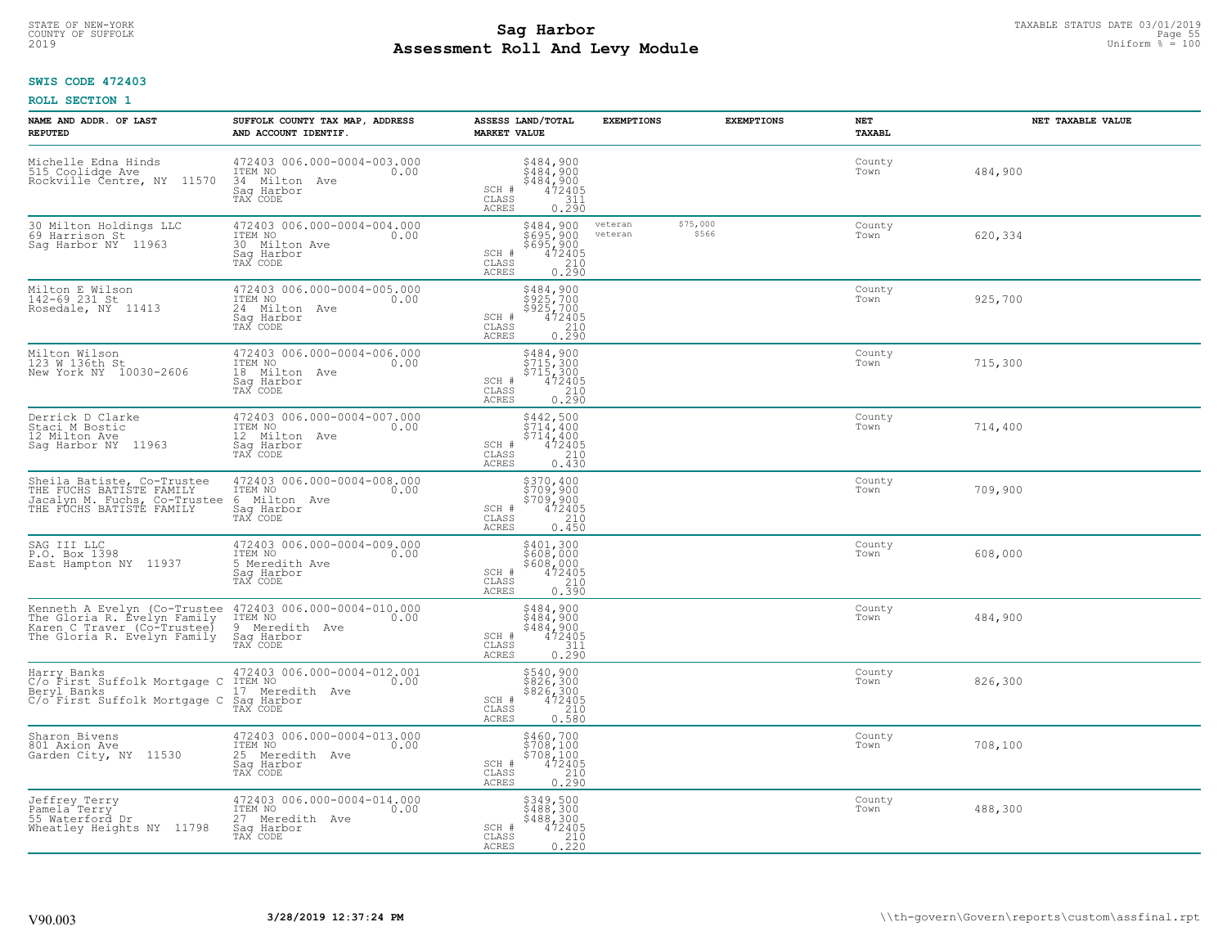# TAXABLE STATUS DATE 03/01/2019<br>COUNTY OF SUFFOLK Page 55 **Assessment Roll And Levy Module** 2019 Uniform % = 100

## **SWIS CODE 472403**

| NAME AND ADDR. OF LAST<br><b>REPUTED</b>                                                                                  | SUFFOLK COUNTY TAX MAP, ADDRESS<br>AND ACCOUNT IDENTIF.                                     | ASSESS LAND/TOTAL<br><b>MARKET VALUE</b>                                                                                       | <b>EXEMPTIONS</b><br><b>EXEMPTIONS</b>  | <b>NET</b><br><b>TAXABL</b> | NET TAXABLE VALUE |
|---------------------------------------------------------------------------------------------------------------------------|---------------------------------------------------------------------------------------------|--------------------------------------------------------------------------------------------------------------------------------|-----------------------------------------|-----------------------------|-------------------|
| Michelle Edna Hinds<br>515 Coolidge Ave<br>11570<br>Rockville Čentre, NY                                                  | 472403 006.000-0004-003.000<br>ITEM NO<br>0.00<br>34 Milton Ave<br>Saq Harbor<br>TAX CODE   | $$484,900$<br>$$484,900$<br>$$484,900$<br>$472405$<br>$$311$<br>SCH #<br>CLASS<br>ACRES<br>0.290                               |                                         | County<br>Town              | 484,900           |
| 30 Milton Holdings LLC<br>69 Harrison St<br>Saq Harbor NY 11963                                                           | 472403 006.000-0004-004.000<br>ITEM NO<br>0.00<br>30 Milton Ave<br>Sag Harbor<br>TAX CODE   | \$484,900<br>\$695,900<br>\$695,900<br>472405<br>SCH #<br>CLASS<br>$\begin{array}{c} 210 \\ 0.290 \end{array}$<br><b>ACRES</b> | \$75,000<br>veteran<br>\$566<br>veteran | County<br>Town              | 620,334           |
| Milton E Wilson<br>142-69 231 St<br>Rosedale, NY 11413                                                                    | 472403 006.000-0004-005.000<br>ITEM NO<br>0.00<br>24 Milton Ave<br>Sag Harbor<br>TAX CODE   | \$484,900<br>\$925,700<br>\$925,700<br>SCH #<br>472405<br>CLASS<br>0.290<br>ACRES                                              |                                         | County<br>Town              | 925,700           |
| Milton Wilson<br>123 W 136th St<br>New York NY 10030-2606                                                                 | 472403 006.000-0004-006.000<br>ITEM NO<br>0.00<br>18 Milton Ave<br>Sag Harbor<br>TAX CODE   | \$484,900<br>\$715,300<br>\$715,300<br>SCH #<br>$\begin{array}{r} 472405 \\ 210 \\ 0.290 \end{array}$<br>CLASS<br>ACRES        |                                         | County<br>Town              | 715,300           |
| Derrick D Clarke<br>Staci M Bostic<br>12 Milton Ave<br>Saq Harbor NY 11963                                                | 472403 006.000-0004-007.000<br>ITEM NO<br>0.00<br>12 Milton Ave<br>Saq Harbor<br>TAX CODE   | \$442,500<br>\$714,400<br>\$714,400<br>SCH #<br>$\begin{array}{r} 472405 \\ 210 \\ 0.430 \end{array}$<br>CLASS<br>ACRES        |                                         | County<br>Town              | 714,400           |
| Sheila Batiste, Co-Trustee<br>THE FUCHS BATISTE FAMILY<br>Jacalyn M. Fuchs, Co-Trustee<br>THE FUCHS BATISTE FAMILY        | 472403 006.000-0004-008.000<br>ITEM NO<br>0.00<br>6 Milton Ave<br>Sag Harbor<br>TAX CODE    | $$370, 400$<br>$$709, 900$<br>$$709, 900$<br>$472405$<br>$$210$<br>SCH #<br>CLASS<br>0.450<br><b>ACRES</b>                     |                                         | County<br>Town              | 709,900           |
| SAG III LLC<br>P.O. Box 1398<br>East Hampton NY 11937                                                                     | 472403 006.000-0004-009.000<br>ITEM NO<br>0.00<br>5 Meredith Ave<br>Saq Harbor<br>TAX CODE  | \$401,300<br>\$608,000<br>\$608,000<br>472405<br>SCH #<br>$\begin{array}{c} 210 \\ 0.390 \end{array}$<br>CLASS<br><b>ACRES</b> |                                         | County<br>Town              | 608,000           |
| Kenneth A Evelyn (Co-Trustee<br>The Gloria R. Evelyn Family<br>Karen C Traver (Co-Trustee)<br>The Gloria R. Evelyn Family | 472403 006.000-0004-010.000<br>ITEM NO<br>0.00<br>9 Meredith Ave<br>Saq Harbor<br>TAX CODE  | \$484,900<br>\$484,900<br>\$484,900<br>472405<br>SCH #<br>CLASS<br>$\frac{311}{0.290}$<br><b>ACRES</b>                         |                                         | County<br>Town              | 484,900           |
| Harry Banks<br>C/o First Suffolk Mortgage C<br>Beryl Banks<br>C/o <sup>-</sup> First Suffolk Mortgage C                   | 472403 006.000-0004-012.001<br>ITEM NO<br>0.00<br>17 Meredith Ave<br>Saq Harbor<br>TAX CODE | \$540,900<br>\$826,300<br>\$826,300<br>472405<br>SCH #<br>CLASS<br>$\frac{210}{0.580}$<br><b>ACRES</b>                         |                                         | County<br>Town              | 826,300           |
| Sharon Bivens<br>801 Axion Ave<br>Garden City, NY 11530                                                                   | 472403 006.000-0004-013.000<br>ITEM NO<br>0.00<br>25 Meredith Ave<br>Sag Harbor<br>TAX CODE | $$460, 700$<br>$$708, 100$<br>$$708, 100$<br>$472405$<br>210<br>SCH #<br>CLASS<br>0.290<br><b>ACRES</b>                        |                                         | County<br>Town              | 708,100           |
| Jeffrey Terry<br>Pamela Terry<br>55 Waterford Dr<br>Wheatley Heights NY 11798                                             | 472403 006.000-0004-014.000<br>ITEM NO<br>0.00<br>27 Meredith Ave<br>Sag Harbor<br>TAX CODE | \$349,500<br>\$488,300<br>\$488,300<br>SCH #<br>$72405$<br>$0.220$<br>CLASS<br><b>ACRES</b>                                    |                                         | County<br>Town              | 488,300           |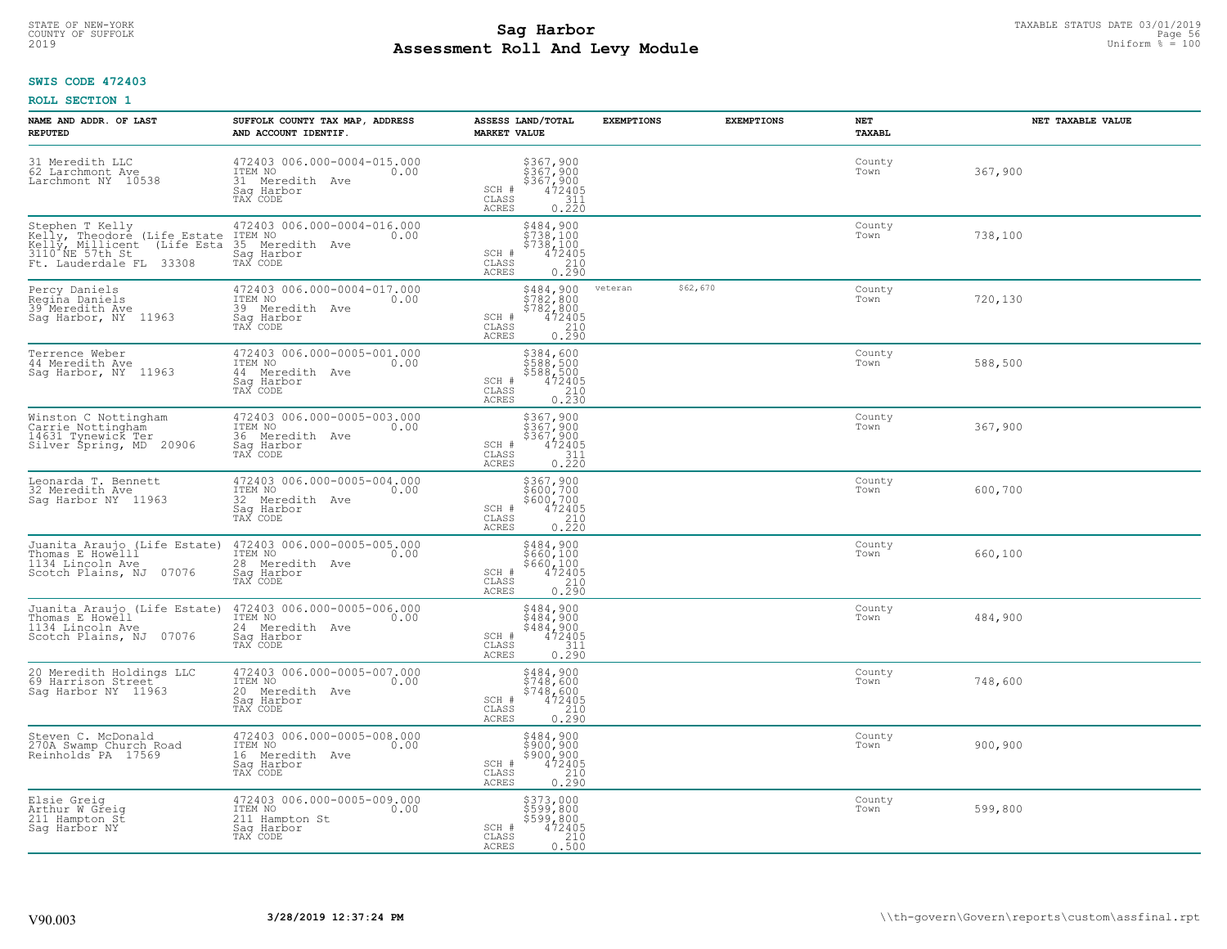# TAXABLE STATUS DATE 03/01/2019<br>COUNTY OF SUFFOLK Page 56 COUNTY OF SUFFOLK Page 56 **Assessment Roll And Levy Module** 2019 Uniform % = 100

#### **SWIS CODE 472403**

| NAME AND ADDR. OF LAST<br><b>REPUTED</b>                                                                                                     | SUFFOLK COUNTY TAX MAP, ADDRESS<br>AND ACCOUNT IDENTIF.                                        | ASSESS LAND/TOTAL<br><b>MARKET VALUE</b>                                                                                                      | <b>EXEMPTIONS</b>   | <b>EXEMPTIONS</b> | <b>NET</b><br><b>TAXABL</b> | NET TAXABLE VALUE |
|----------------------------------------------------------------------------------------------------------------------------------------------|------------------------------------------------------------------------------------------------|-----------------------------------------------------------------------------------------------------------------------------------------------|---------------------|-------------------|-----------------------------|-------------------|
| 31 Meredith LLC<br>62 Larchmont Ave<br>Larchmont NY 10538                                                                                    | 472403 006.000-0004-015.000<br>ITEM NO<br>0.00<br>31 Meredith Ave<br>Saq Harbor<br>TAX CODE    | \$367,900<br>\$367,900<br>\$367,900<br>472405<br>311<br>SCH #<br>CLASS<br><b>ACRES</b><br>0.220                                               |                     |                   | County<br>Town              | 367,900           |
| Stephen T Kelly<br>Kelly, Theodore (Life Estate<br>Kelly, Millicent<br>(Life Esta<br>3110 <sup>-</sup> NE 57th St<br>Ft. Lauderdale FL 33308 | 472403 006.000-0004-016.000<br>ITEM NO<br>0.00<br>35 Meredith Ave<br>Saq Harbor<br>TAX CODE    | \$484,900<br>\$738,100<br>\$738,100<br>SCH #<br>472405<br>CLASS<br>$\begin{array}{c} 210 \\ 0.290 \end{array}$<br><b>ACRES</b>                |                     |                   | County<br>Town              | 738,100           |
| Percy Daniels<br>Regiña Daniels<br>39 Meredith Ave<br>Saq Harbor, NY 11963                                                                   | 472403 006.000-0004-017.000<br>ITEM NO<br>0.00<br>39 Meredith Ave<br>Saq Harbor<br>TAX CODE    | \$484,900<br>$5782,8005782,8004724050.290$<br>SCH #<br>CLASS<br>ACRES                                                                         | \$62,670<br>veteran |                   | County<br>Town              | 720,130           |
| Terrence Weber<br>44 Meredith Ave<br>Saq Harbor, NY 11963                                                                                    | 472403 006.000-0005-001.000<br>ITEM NO<br>0.00<br>44 Meredith Ave<br>Saq Harbor<br>TAX CODE    | \$384,600<br>\$588,500<br>$\begin{array}{r} 588,500 \\ 472405 \\ 210 \\ 0.230 \end{array}$<br>SCH #<br>CLASS<br>ACRES                         |                     |                   | County<br>Town              | 588,500           |
| Winston C Nottingham<br>Carrie Nottingham<br>14631 Tynewick Ter<br>Silver Špring, MD 20906                                                   | 472403 006.000-0005-003.000<br>ITEM NO<br>0.00<br>36 Meredith Ave<br>Saq Harbor<br>TAX CODE    | \$367,900<br>$\frac{1}{2}$ $\frac{3}{2}$ $\frac{6}{2}$ , $\frac{9}{2}$<br>$$367,900$ $472405$ $311$ $0.220$<br>SCH #<br>CLASS<br><b>ACRES</b> |                     |                   | County<br>Town              | 367,900           |
| Leonarda T. Bennett<br>32 Meredith Ave<br>Saq Harbor NY 11963                                                                                | 472403 006.000-0005-004.000<br>ITEM NO<br>0.00<br>32<br>Meredith Ave<br>Saq Harbor<br>TAX CODE | \$367,900<br>\$600,700<br>\$600,700<br>472405<br>SCH #<br>$\begin{array}{c} 210 \\ 0.220 \end{array}$<br>CLASS<br><b>ACRES</b>                |                     |                   | County<br>Town              | 600,700           |
| Juanita Araujo (Life Estate)<br>Thomas E Howelll<br>1134 Lincoln Ave<br>Scotch Plains, NJ 07076                                              | 472403 006.000-0005-005.000<br>ITEM NO<br>0.00<br>28<br>Meredith Ave<br>Saq Harbor<br>TAX CODE | \$484,900<br>\$660,100<br>\$660,100<br>472405<br>SCH #<br>$\mathtt{CLASS}$<br>0.290<br><b>ACRES</b>                                           |                     |                   | County<br>Town              | 660,100           |
| Juanita Araujo (Life Estate)<br>Thomas E Howell<br>1134 Lincoln Ave<br>Scotch Plains, NJ 07076                                               | 472403 006.000-0005-006.000<br>ITEM NO<br>24 Meredith Ave<br>Saq Harbor<br>TAX CODE            | $$484,900$<br>$$484,900$<br>$$484,900$<br>$$472405$<br>$$311$<br>SCH #<br>CLASS<br><b>ACRES</b><br>0.290                                      |                     |                   | County<br>Town              | 484,900           |
| 20 Meredith Holdings LLC<br>69 Harrison Street<br>Sag Harbor NY 11963                                                                        | 472403 006.000-0005-007.000<br>TTEM NO 0.00<br>20 Meredith Ave<br>Saq Harbor<br>TAX CODE       | \$484,900<br>\$748,600<br>\$748,600<br>SCH #<br>472405<br>CLASS<br>$0.210$<br>$0.290$<br><b>ACRES</b>                                         |                     |                   | County<br>Town              | 748,600           |
| Steven C. McDonald<br>270A Swamp Church Road<br>Reinholds PA 17569                                                                           | 472403 006.000-0005-008.000<br>ITEM NO<br>0.00<br>16 Meredith Ave<br>Sag Harbor<br>TAX CODE    | $5484,900$<br>$5900,900$<br>$5900,900$<br>$472405$<br>$210$<br>SCH #<br>CLASS<br>0.290<br><b>ACRES</b>                                        |                     |                   | County<br>Town              | 900,900           |
| Elsie Greig<br>Arthur W Greig<br>211 Hampton St<br>Saq Harbor NY                                                                             | 472403 006.000-0005-009.000<br>ITEM NO<br>0.00<br>211 Hampton St<br>Sag Harbor<br>TAX CODE     | \$373,000<br>\$599,800<br>\$599,800<br>SCH #<br>472405<br>$\begin{array}{c} 210 \\ 0.500 \end{array}$<br>CLASS<br><b>ACRES</b>                |                     |                   | County<br>Town              | 599,800           |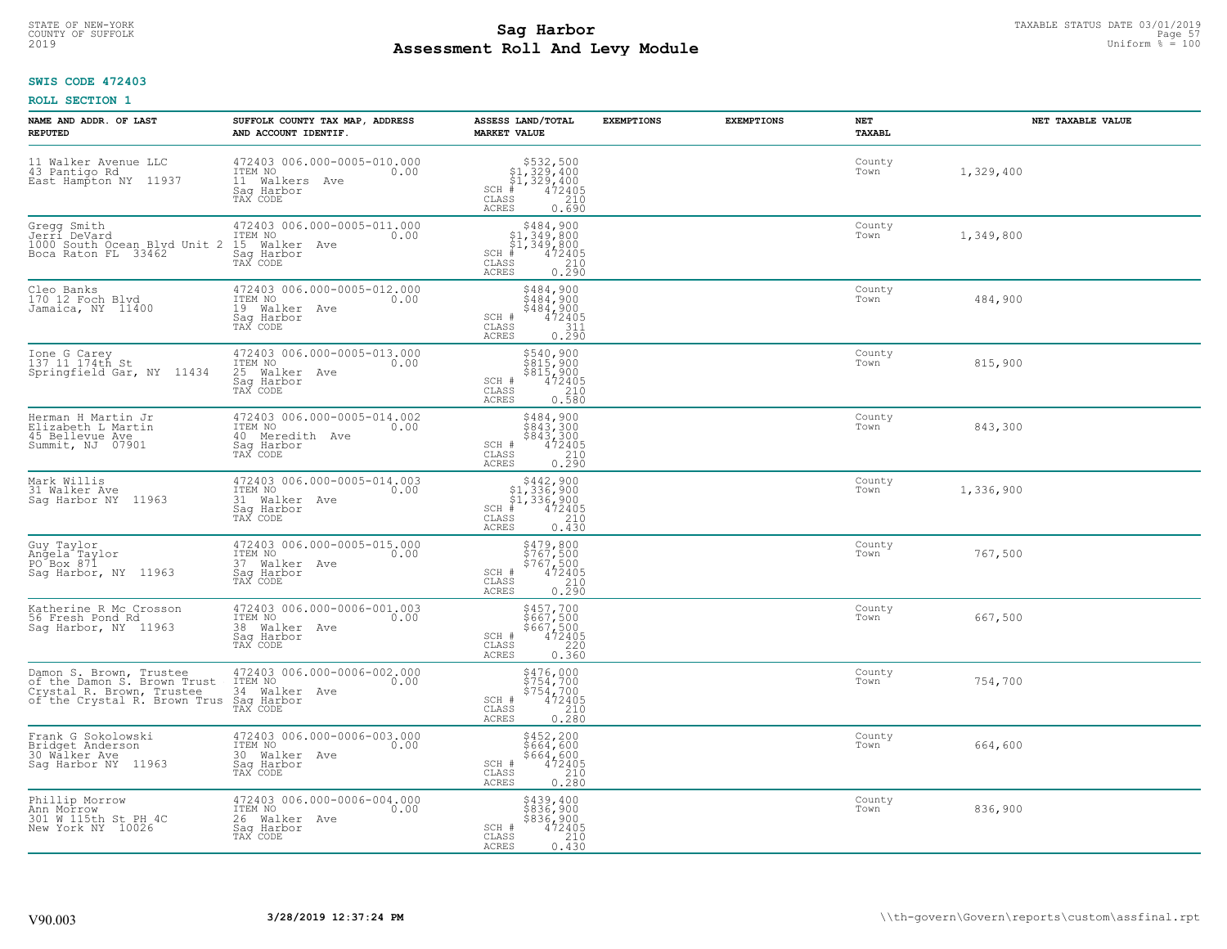# TAXABLE STATUS DATE 03/01/2019<br>COUNTY OF SUFFOLK Page 57 **Assessment Roll And Levy Module** 2019 Uniform % = 100

## **SWIS CODE 472403**

| NAME AND ADDR. OF LAST<br><b>REPUTED</b>                                                                                                                                            | SUFFOLK COUNTY TAX MAP, ADDRESS<br>AND ACCOUNT IDENTIF.                                       | ASSESS LAND/TOTAL<br><b>MARKET VALUE</b>                                                                                       | <b>EXEMPTIONS</b> | <b>EXEMPTIONS</b> | NET<br><b>TAXABL</b> | NET TAXABLE VALUE |
|-------------------------------------------------------------------------------------------------------------------------------------------------------------------------------------|-----------------------------------------------------------------------------------------------|--------------------------------------------------------------------------------------------------------------------------------|-------------------|-------------------|----------------------|-------------------|
| 11 Walker Avenue LLC<br>43 Pantigo Rd<br>East Hampton NY 11937                                                                                                                      | 472403 006.000-0005-010.000<br>ITEM NO<br>0.00<br>11 Walkers<br>Ave<br>Saq Harbor<br>TAX CODE | $$532,500$<br>$$1,329,400$<br>$$1,329,400$<br>$# 472405$<br>$$210$<br>$SCH$ #<br>CLASS<br><b>ACRES</b><br>0.690                |                   |                   | County<br>Town       | 1,329,400         |
| Gregg Smith<br>Jerri DeVard<br>1000 South Ocean Blvd Unit 2<br>Boca Raton FL 33462                                                                                                  | 472403 006.000-0005-011.000<br>ITEM NO<br>0.00<br>15 Walker Ave<br>Saq Harbor<br>TAX CODE     | \$484,900<br>\$1,349,800<br>\$1,349,800<br>$SCH$ #<br>472405<br>CLASS<br>$\frac{210}{0.290}$<br><b>ACRES</b>                   |                   |                   | County<br>Town       | 1,349,800         |
| Cleo Banks<br>170 12 Foch Blvd<br>Jamaica, NY 11400                                                                                                                                 | 472403 006.000-0005-012.000<br>ITEM NO<br>0.00<br>19 Walker Ave<br>Saq Harbor<br>TAX CODE     | \$484,900<br>$\begin{array}{c} 7484, 900 \\ 484, 900 \\ 472405 \end{array}$<br>SCH #<br>CLASS<br>$\frac{311}{0.290}$<br>ACRES  |                   |                   | County<br>Town       | 484,900           |
| Ione G Carey<br>137 11 174th St<br>Springfield Gar, NY 11434                                                                                                                        | 472403 006.000-0005-013.000<br>TTEM NO 0.00<br>25 Walker Ave<br>Saq Harbor<br>TAX CODE        | \$540,900<br>\$815,900<br>\$815,900<br>472405<br>SCH #<br>CLASS<br>$0.210$<br>$0.580$<br><b>ACRES</b>                          |                   |                   | County<br>Town       | 815,900           |
| Herman H Martin Jr<br>Elizabeth L Martin<br>45 Bellevue Ave<br>Summit, NJ 07901                                                                                                     | 472403 006.000-0005-014.002<br>ITEM NO<br>0.00<br>40 Meredith Ave<br>Saq Harbor<br>TAX CODE   | $\begin{array}{r} 5484, 900 \\ 5843, 300 \\ 5843, 300 \\ 472405 \\ 210 \\ 0.290 \end{array}$<br>SCH #<br>CLASS<br><b>ACRES</b> |                   |                   | County<br>Town       | 843,300           |
| Mark Willis<br>31 Walker Ave<br>Saq Harbor NY 11963                                                                                                                                 | 472403 006.000-0005-014.003<br>ITEM NO<br>0.00<br>31 Walker Ave<br>Saq Harbor<br>TAX CODE     | $$442,900$<br>$$1,336,900$<br>$$1,336,900$<br>$*$<br>$472405$<br>$*$<br>$210$<br>$SCH$ #<br>CLASS<br>0.430<br><b>ACRES</b>     |                   |                   | County<br>Town       | 1,336,900         |
| Guy Taylor<br>Angela Taylor<br>PO Box 871<br>Saq Harbor, NY 11963                                                                                                                   | 472403 006.000-0005-015.000<br>ITEM NO<br>0.00<br>37 Walker Ave<br>Saq Harbor<br>TAX CODE     | \$479,800<br>\$767,500<br>\$767,500<br>472405<br>SCH #<br>CLASS<br>$\frac{210}{0.290}$<br><b>ACRES</b>                         |                   |                   | County<br>Town       | 767,500           |
| Katherine R Mc Crosson<br>56 Fresh Pond Rd<br>Saq Harbor, NY 11963                                                                                                                  | 472403 006.000-0006-001.003<br>ITEM NO 0.00<br>38 Walker Ave<br>Saq Harbor<br>TAX CODE        | \$457,700<br>\$667,500<br>\$667,500<br>472405<br>SCH #<br>CLASS<br>220<br><b>ACRES</b><br>0.360                                |                   |                   | County<br>Town       | 667,500           |
| Damon S. Brown, Trustee<br>of the Damon S. Brown Trust<br>of the Damon S. Divens 2000<br>Crystal R. Brown, Trustee 34 Walker<br>of the Crystal R. Brown Trus Saq Harbor<br>TAX CODE | 472403 006.000-0006-002.000<br>1TEM NO 0.00<br>34 Walker Ave                                  | \$476,000<br>\$754,700<br>\$754,700<br>\$754,700<br>SCH #<br>CLASS<br>210<br><b>ACRES</b><br>0.280                             |                   |                   | County<br>Town       | 754,700           |
| Frank G Sokolowski<br>Bridget Anderson<br>30 Wälker Ave<br>Sag Harbor NY 11963                                                                                                      | 472403 006.000-0006-003.000<br>ITEM NO<br>0.00<br>30 Walker Ave<br>Sag Harbor<br>TAX CODE     | \$452,200<br>\$664,600<br>\$664,600<br>472405<br>210<br>SCH #<br>CLASS<br>0.280<br><b>ACRES</b>                                |                   |                   | County<br>Town       | 664,600           |
| Phillip Morrow<br>Ann Morrow<br>301 W 115th St PH 4C<br>New York NY 10026                                                                                                           | 472403 006.000-0006-004.000<br>TTEM NO 0.00<br>26 Walker Ave<br>Sag Harbor<br>TAX CODE        | \$439,400<br>\$836,900<br>\$836,900<br>SCH #<br>472405<br>CLASS<br>210<br><b>ACRES</b><br>0.430                                |                   |                   | County<br>Town       | 836,900           |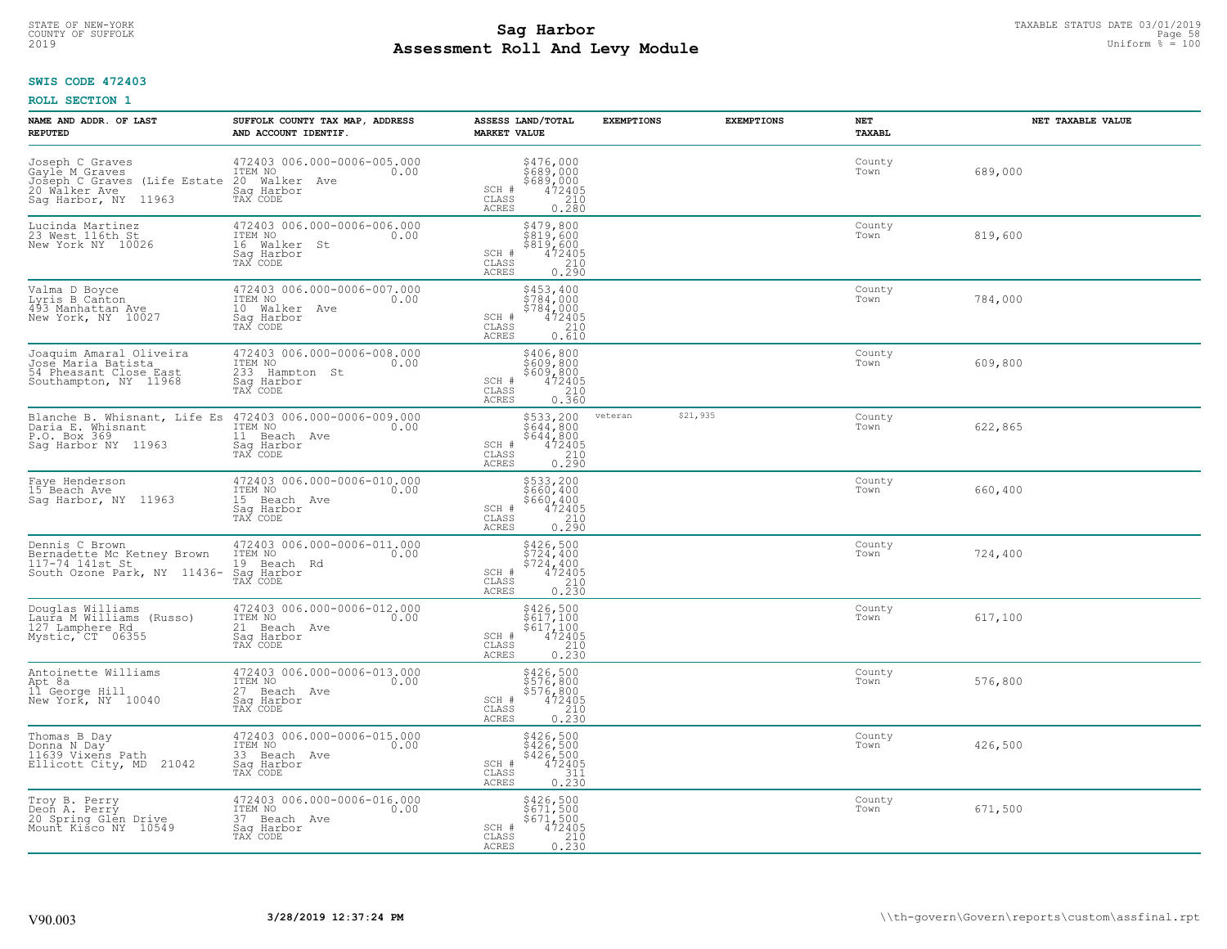# TAXABLE STATUS DATE 03/01/2019<br>COUNTY OF SUFFOLK Page 58 COUNTY OF SUFFOLK Page 58 **Assessment Roll And Levy Module** 2019 Uniform % = 100

### **SWIS CODE 472403**

| NAME AND ADDR. OF LAST<br><b>REPUTED</b>                                                                   | SUFFOLK COUNTY TAX MAP, ADDRESS<br>AND ACCOUNT IDENTIF.                                    | ASSESS LAND/TOTAL<br><b>MARKET VALUE</b>                                                                                             | <b>EXEMPTIONS</b> | <b>EXEMPTIONS</b> | <b>NET</b><br>TAXABL | NET TAXABLE VALUE |
|------------------------------------------------------------------------------------------------------------|--------------------------------------------------------------------------------------------|--------------------------------------------------------------------------------------------------------------------------------------|-------------------|-------------------|----------------------|-------------------|
| Joseph C Graves<br>Gayle M Graves<br>Joseph C Graves (Life Estate<br>20 Walker Ave<br>Saq Harbor, NY 11963 | 472403 006.000-0006-005.000<br>ITEM NO<br>0.00<br>20 Walker Ave<br>Saq Harbor<br>TAX CODE  | $\begin{array}{r} 5476,000 \\ 5689,000 \\ 5689,000 \\ 472405 \\ 210 \\ 0.280 \end{array}$<br>SCH #<br>CLASS<br>ACRES                 |                   |                   | County<br>Town       | 689,000           |
| Lucinda Martinez<br>23 West 116th St<br>New York NY 10026                                                  | 472403 006.000-0006-006.000<br>ITEM NO<br>0.00<br>16 Walker St<br>Saq Harbor<br>TAX CODE   | \$479,800<br>\$819,600<br>\$819,600<br>472405<br>SCH #<br>CLASS<br>0.290<br>ACRES                                                    |                   |                   | County<br>Town       | 819,600           |
| Valma D Boyce<br>Lyris B Canton<br>493 Manhattan Ave<br>New York, NY 10027                                 | 472403 006.000-0006-007.000<br>ITEM NO<br>0.00<br>10 Walker Ave<br>Sag Harbor<br>TAX CODE  | \$453,400<br>\$784,000<br>$\begin{array}{r} 5784,000 \\ 472405 \\ 210 \\ 0.610 \end{array}$<br>SCH #<br>CLASS<br>ACRES               |                   |                   | County<br>Town       | 784,000           |
| Joaquim Amaral Oliveira<br>Jose Maria Batista<br>54 Pheasant Close East<br>Southampton, NY 11968           | 472403 006.000-0006-008.000<br>ITEM NO<br>0.00<br>233 Hampton St<br>Saq Harbor<br>TAX CODE | \$406,800<br>\$609,800<br>\$609, 800<br>SCH #<br>$\begin{smallmatrix} 472405\ 210\ 0.360 \end{smallmatrix}$<br>CLASS<br><b>ACRES</b> |                   |                   | County<br>Town       | 609,800           |
| Blanche B. Whisnant, Life Es<br>Daria E. Whisnant<br>P.O. Box 369<br>Saq Harbor NY 11963                   | 472403 006.000-0006-009.000<br>ITEM NO<br>0.00<br>11 Beach Ave<br>Saq Harbor<br>TAX CODE   | \$533,200<br>\$644,800<br>$\begin{array}{r} 3644,800 \\ 472405 \\ 210 \\ 0.290 \end{array}$<br>SCH #<br>CLASS<br><b>ACRES</b>        | veteran           | \$21,935          | County<br>Town       | 622,865           |
| Faye Henderson<br>15 Beach Ave<br>Sag Harbor, NY 11963                                                     | 472403 006.000-0006-010.000<br>ITEM NO<br>0.00<br>15 Beach Ave<br>Saq Harbor<br>TAX CODE   | \$533,200<br>\$660,400<br>\$660,400<br>472405<br>SCH #<br>CLASS<br>$\begin{array}{c} 210 \\ 0.290 \end{array}$<br><b>ACRES</b>       |                   |                   | County<br>Town       | 660,400           |
| Dennis C Brown<br>Bernadette Mc Ketney Brown<br>117-74 141st St<br>South Ozone Park, NY 11436-             | 472403 006.000-0006-011.000<br>ITEM NO<br>0.00<br>19 Beach Rd<br>Saq Harbor<br>TAX CODE    | \$426,500<br>\$724,400<br>\$724,400<br>472405<br>SCH #<br>CLASS<br>$\frac{210}{0.230}$<br>ACRES                                      |                   |                   | County<br>Town       | 724,400           |
| Douglas Williams<br>Laura M Williams (Russo)<br>127 Lamphere Rd<br>Mystic, CT 06355                        | 472403 006.000-0006-012.000<br>TTEM NO 0.00<br>21 Beach Ave<br>Sag Harbor<br>TAX CODE      | $\begin{array}{r} 5426, 500 \\ 5617, 100 \\ 5617, 100 \\ 472405 \\ 0.230 \end{array}$<br>SCH #<br>CLASS<br><b>ACRES</b>              |                   |                   | County<br>Town       | 617,100           |
| Antoinette Williams<br>Apt 8a<br>11 George Hill<br>New York, NY 10040                                      | 472403 006.000-0006-013.000<br>TTEM NO 0.00<br>27 Beach Ave<br>Saq Harbor<br>TAX CODE      | \$426,500<br>\$576,800<br>\$576,800<br>\$472405<br>SCH #<br>CLASS<br>$\frac{210}{0.230}$<br><b>ACRES</b>                             |                   |                   | County<br>Town       | 576,800           |
| Thomas B Day<br>Donna N Day<br>11639 Vixens Path<br>Ellicott City, MD 21042                                | 472403 006.000-0006-015.000<br>ITEM NO<br>0.00<br>33 Beach Ave<br>Saq Harbor<br>TAX CODE   | $$426,500$<br>$$426,500$<br>$$426,500$<br>$472405$<br>$$311$<br>SCH #<br>CLASS<br>0.230<br><b>ACRES</b>                              |                   |                   | County<br>Town       | 426,500           |
| Troy B. Perry<br>Deon A. Perry<br>20 Spring Glen Drive<br>Mount Kisco NY<br>10549                          | 472403 006.000-0006-016.000<br>ITEM NO<br>0.00<br>37 Beach Ave<br>Sag Harbor<br>TAX CODE   | \$426,500<br>\$671,500<br>\$671,500<br>SCH #<br>472405<br>$\begin{array}{c} 210 \\ 0.230 \end{array}$<br>CLASS<br><b>ACRES</b>       |                   |                   | County<br>Town       | 671,500           |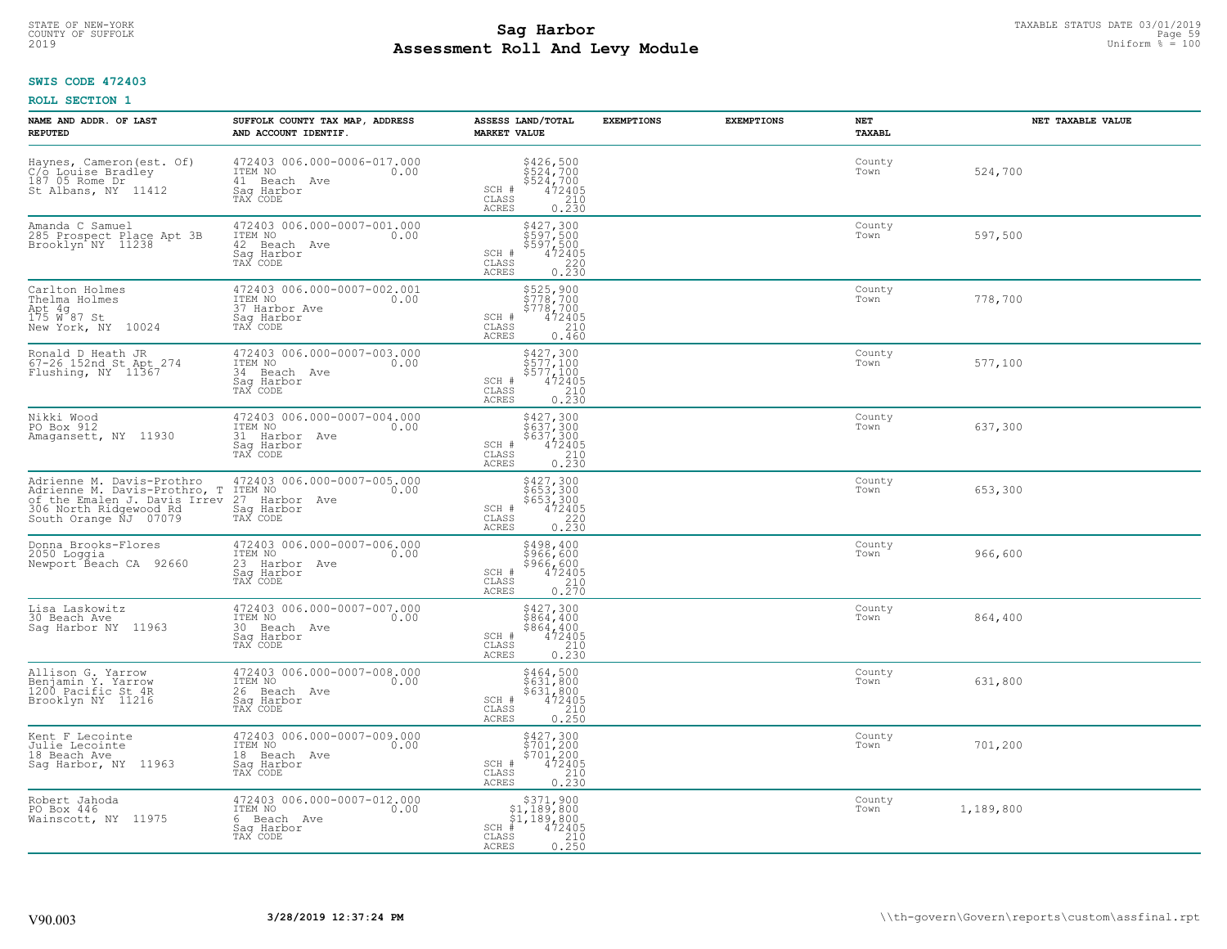# TAXABLE STATUS DATE 03/01/2019<br>COUNTY OF SUFFOLK Page 59 **Assessment Roll And Levy Module** 2019 Uniform % = 100

## **SWIS CODE 472403**

| NAME AND ADDR. OF LAST<br><b>REPUTED</b>                                                                                                     | SUFFOLK COUNTY TAX MAP, ADDRESS<br>AND ACCOUNT IDENTIF.                                   | ASSESS LAND/TOTAL<br><b>MARKET VALUE</b>                                                                                                | <b>EXEMPTIONS</b> | <b>EXEMPTIONS</b> | <b>NET</b><br><b>TAXABL</b> | NET TAXABLE VALUE |
|----------------------------------------------------------------------------------------------------------------------------------------------|-------------------------------------------------------------------------------------------|-----------------------------------------------------------------------------------------------------------------------------------------|-------------------|-------------------|-----------------------------|-------------------|
| Haynes, Cameron (est. Of)<br>C/o Louise Bradley<br>187 05 Rome Dr<br>St Albans, NY 11412                                                     | 472403 006.000-0006-017.000<br>ITEM NO<br>0.00<br>41 Beach Ave<br>Saq Harbor<br>TAX CODE  | $$426,500$<br>$$524,700$<br>$$524,700$<br>$$472405$<br>$$210$<br>SCH #<br>CLASS<br><b>ACRES</b><br>0.230                                |                   |                   | County<br>Town              | 524,700           |
| Amanda C Samuel<br>285 Prospect Place Apt 3B<br>Brooklyn NY 11238                                                                            | 472403 006.000-0007-001.000<br>ITEM NO<br>0.00<br>42 Beach Ave<br>Saq Harbor<br>TAX CODE  | \$427,300<br>\$597,500<br>\$597,500<br>472405<br>SCH #<br>$\mathtt{CLASS}$<br>$\frac{220}{0.230}$<br>ACRES                              |                   |                   | County<br>Town              | 597,500           |
| Carlton Holmes<br>Thelma Holmes<br>Apt 4g<br>175 W 87 St<br>New York, NY 10024                                                               | 472403 006.000-0007-002.001<br>ITEM NO<br>0.00<br>37 Harbor Ave<br>Sag Harbor<br>TAX CODE | \$525,900<br>\$778,700<br>\$778,700<br>SCH #<br>$472405$<br>210<br>CLASS<br><b>ACRES</b><br>0.460                                       |                   |                   | County<br>Town              | 778,700           |
| Ronald D Heath JR<br>67-26 152nd St Apt 274<br>Flushing, NY 11367                                                                            | 472403 006.000-0007-003.000<br>ITEM NO<br>0.00<br>34 Beach Ave<br>Saq Harbor<br>TAX CODE  | \$427,300<br>\$577,100<br>$\begin{array}{r} \frac{2}{5}577,100 \\ 472405 \\ 210 \\ 0.230 \end{array}$<br>SCH #<br>CLASS<br>ACRES        |                   |                   | County<br>Town              | 577,100           |
| Nikki Wood<br>PO Box 912<br>Amagansett, NY 11930                                                                                             | 472403 006.000-0007-004.000<br>ITEM NO<br>0.00<br>31 Harbor Ave<br>Saq Harbor<br>TAX CODE | \$427,300<br>$\begin{array}{r} 7427,300 \\ 5637,300 \\ 637,300 \\ 472405 \\ 210 \\ 0.230 \end{array}$<br>SCH #<br>CLASS<br><b>ACRES</b> |                   |                   | County<br>Town              | 637,300           |
| Adrienne M. Davis-Prothro<br>Adrienne M. Davis-Prothro, T<br>of the Emalen J. Davis Irrev<br>306 North Ridgewood Rd<br>South Orange NJ 07079 | 472403 006.000-0007-005.000<br>ITEM NO<br>27 Harbor Ave<br>0.00<br>Sag Harbor<br>TAX CODE | \$427,300<br>\$653,300<br>\$653,300<br>\$653,300<br>472405<br>0.230<br>SCH #<br>$\mathtt{CLASS}$<br>ACRES                               |                   |                   | County<br>Town              | 653,300           |
| Donna Brooks-Flores<br>2050 Loggia<br>Newport Beach CA 92660                                                                                 | 472403 006.000-0007-006.000<br>ITEM NO<br>0.00<br>23 Harbor Ave<br>Saq Harbor<br>TAX CODE | \$498,400<br>\$966,600<br>\$966,600<br>472405<br>SCH #<br>CLASS<br>$\frac{210}{0.270}$<br><b>ACRES</b>                                  |                   |                   | County<br>Town              | 966,600           |
| Lisa Laskowitz<br>30 Beach Ave<br>Sag Harbor NY 11963                                                                                        | 472403 006.000-0007-007.000<br>TTEM NO 0.00<br>30 Beach Ave<br>Sag Harbor<br>TAX CODE     | $\begin{array}{r} 5427,300 \\ 5864,400 \\ 5864,400 \\ 472405 \\ 210 \\ 0.230 \end{array}$<br>SCH #<br>CLASS<br>ACRES                    |                   |                   | County<br>Town              | 864,400           |
| Allison G. Yarrow<br>Benjamin Y. Yarrow<br>1200 Pacific St 4R<br>Brooklyn NY 11216                                                           | 472403 006.000-0007-008.000<br>TTEM NO 0.00<br>26 Beach Ave<br>Saq Harbor<br>TAX CODE     | \$464,500<br>\$631,800<br>\$631,800<br>SCH #<br>472405<br>210<br>CLASS<br><b>ACRES</b><br>0.250                                         |                   |                   | County<br>Town              | 631,800           |
| Kent F Lecointe<br>Julie Lecointe<br>18 Beach Ave<br>Sag Harbor, NY 11963                                                                    | 472403 006.000-0007-009.000<br>ITEM NO<br>0.00<br>18 Beach Ave<br>Sag Harbor<br>TAX CODE  | \$427,300<br>\$701,200<br>\$701,200<br>472405<br>SCH #<br>CLASS<br>$\begin{array}{c} 210 \\ 0.230 \end{array}$<br><b>ACRES</b>          |                   |                   | County<br>Town              | 701,200           |
| Robert Jahoda<br>PO Box 446<br>Wainscott, NY 11975                                                                                           | 472403 006.000-0007-012.000<br>ITEM NO<br>0.00<br>6 Beach Ave<br>Saq Harbor<br>TAX CODE   | $\substack{\$371,900\\\$1,189,800\\\$1,189,800}$<br>$SCH$ #<br>472405<br>CLASS<br>$\frac{210}{0.250}$<br>ACRES                          |                   |                   | County<br>Town              | 1,189,800         |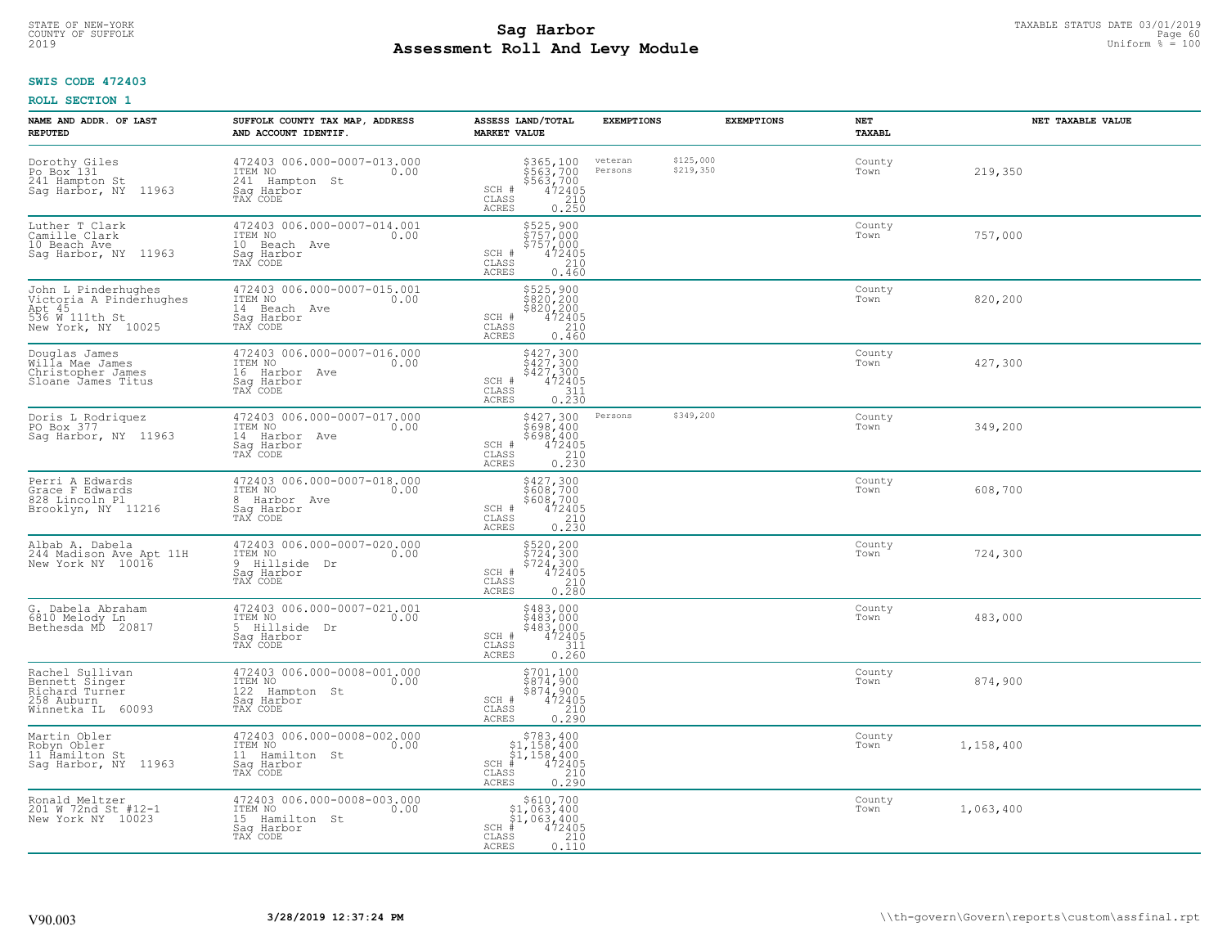#### **Sag Harbor** TAXABLE STATUS DATE 03/01/2019<br>
Poll and Louis Modulo **Assessment Roll And Levy Module** 2019 Uniform % = 100 COUNTY OF SUFFOLK **Example 19 Second COUNTY COUNTY OF SUFFOLK** Page 60

## **SWIS CODE 472403**

| NAME AND ADDR. OF LAST<br><b>REPUTED</b>                                                         | SUFFOLK COUNTY TAX MAP, ADDRESS<br>AND ACCOUNT IDENTIF.                                    | ASSESS LAND/TOTAL<br><b>MARKET VALUE</b>                                                                                       | <b>EXEMPTIONS</b>  | <b>EXEMPTIONS</b>      | <b>NET</b><br><b>TAXABL</b> | NET TAXABLE VALUE |
|--------------------------------------------------------------------------------------------------|--------------------------------------------------------------------------------------------|--------------------------------------------------------------------------------------------------------------------------------|--------------------|------------------------|-----------------------------|-------------------|
| Dorothy Giles<br>Po Box 131<br>241 Hampton St<br>Sag Harbor, NY 11963                            | 472403 006.000-0007-013.000<br>ITEM NO<br>0.00<br>241 Hampton St<br>Sag Harbor<br>TAX CODE | \$365,100<br>\$563,700<br>\$563,700<br>472405<br>210<br>SCH #<br>CLASS<br>ACRES<br>0.250                                       | veteran<br>Persons | \$125,000<br>\$219,350 | County<br>Town              | 219,350           |
| Luther T Clark<br>Camille Clark<br>10 Beach Ave<br>Sag Harbor, NY 11963                          | 472403 006.000-0007-014.001<br>ITEM NO<br>0.00<br>10 Beach Ave<br>Saq Harbor<br>TAX CODE   | \$525,900<br>\$757,000<br>\$757,000<br>472405<br>SCH #<br>CLASS<br>210<br>ACRES<br>0.460                                       |                    |                        | County<br>Town              | 757,000           |
| John L Pinderhughes<br>Victoria A Pinderhughes<br>Apt 45<br>536 W 111th St<br>New York, NY 10025 | 472403 006.000-0007-015.001<br>ITEM NO<br>0.00<br>14 Beach Ave<br>Saq Harbor<br>TAX CODE   | \$525,900<br>\$820,200<br>\$820,200<br>472405<br>SCH #<br>CLASS<br>210<br>0.460<br>ACRES                                       |                    |                        | County<br>Town              | 820,200           |
| Douglas James<br>Willa Mae James<br>Christopher James<br>Sloane James Titus                      | 472403 006.000-0007-016.000<br>TTEM NO 0.00<br>16 Harbor Ave<br>Saq Harbor<br>TAX CODE     | $\begin{array}{r} 5427,300 \\ 5427,300 \\ 5427,300 \\ 472405 \\ 311 \\ 0.230 \end{array}$<br>SCH #<br>CLASS<br>ACRES           |                    |                        | County<br>Town              | 427,300           |
| Doris L Rodriquez<br>PO Box 377<br>Sag Harbor, NY 11963                                          | 472403 006.000-0007-017.000<br>ITEM NO<br>0.00<br>14 Harbor Ave<br>Saq Harbor<br>TAX CODE  | \$427,300<br>\$698,400<br>\$698,400<br>SCH #<br>$\begin{array}{r} \n 472405 \\  210 \\  0.230\n \end{array}$<br>CLASS<br>ACRES | Persons            | \$349,200              | County<br>Town              | 349,200           |
| Perri A Edwards<br>Grace F Edwards<br>828 Lincoln Pl<br>Brooklyn, NY 11216                       | 472403 006.000-0007-018.000<br>ITEM NO<br>0.00<br>8 Harbor Ave<br>Saq Harbor<br>TAX CODE   | $\begin{array}{r} 5427,300 \\ 5608,700 \\ 5608,700 \\ 472405 \\ 210 \\ 0.230 \end{array}$<br>SCH #<br>CLASS<br>ACRES           |                    |                        | County<br>Town              | 608,700           |
| Albab A. Dabela<br>244 Madison Ave Apt 11H<br>New York NY 10016                                  | 472403 006.000-0007-020.000<br>ITEM NO<br>0.00<br>9 Hillside Dr<br>Saq Harbor<br>TAX CODE  | \$520,200<br>\$724,300<br>\$724,300<br>\$72405<br>0.280<br>0.280<br>SCH #<br>CLASS<br>ACRES                                    |                    |                        | County<br>Town              | 724,300           |
| G. Dabela Abraham<br>6810 Melody Ln<br>Bethesda MD 20817                                         | 472403 006.000-0007-021.001<br>ITEM NO 0.00<br>5 Hillside<br>Dr<br>Saq Harbor<br>TAX CODE  | $$483,000$<br>$$483,000$<br>$$483,000$<br>$$472405$<br>$$311$<br>SCH #<br>CLASS<br>ACRES<br>0.260                              |                    |                        | County<br>Town              | 483,000           |
| Rachel Sullivan<br>Bennett Singer<br>Richard Turner<br>258 Auburn<br>Winnetka IL 60093           | 472403 006.000-0008-001.000<br>TTEM NO 0.00<br>122 Hampton St<br>Sag Harbor<br>TAX CODE    | $\begin{array}{c} 5701,100 \\ 5874,900 \\ 5874,900 \\ 472405 \\ 210 \\ 0.290 \end{array}$<br>SCH #<br>CLASS<br>ACRES           |                    |                        | County<br>Town              | 874,900           |
| Martin Obler<br>Robyn Obler<br>11 Ĥamilton St<br>Sag Harbor, NY 11963                            | 472403 006.000-0008-002.000<br>ITEM NO<br>0.00<br>11 Hamilton St<br>Sag Harbor<br>TAX CODE | $$783, 400$<br>$$1, 158, 400$<br>$$1, 158, 400$<br>$472405$<br>$$240$<br>$$240$<br>$SCH$ #<br>CLASS<br>0.290<br><b>ACRES</b>   |                    |                        | County<br>Town              | 1,158,400         |
| Ronald Meltzer<br>201 W 72nd St #12-1<br>New York NY 10023                                       | 472403 006.000-0008-003.000<br>ITEM NO<br>0.00<br>15 Hamilton St<br>Sag Harbor<br>TAX CODE | \$610,700<br>\$1,063,400<br>\$1,063,400<br>$SCH$ #<br>472405<br>210<br>CLASS<br>ACRES<br>0.110                                 |                    |                        | County<br>Town              | 1,063,400         |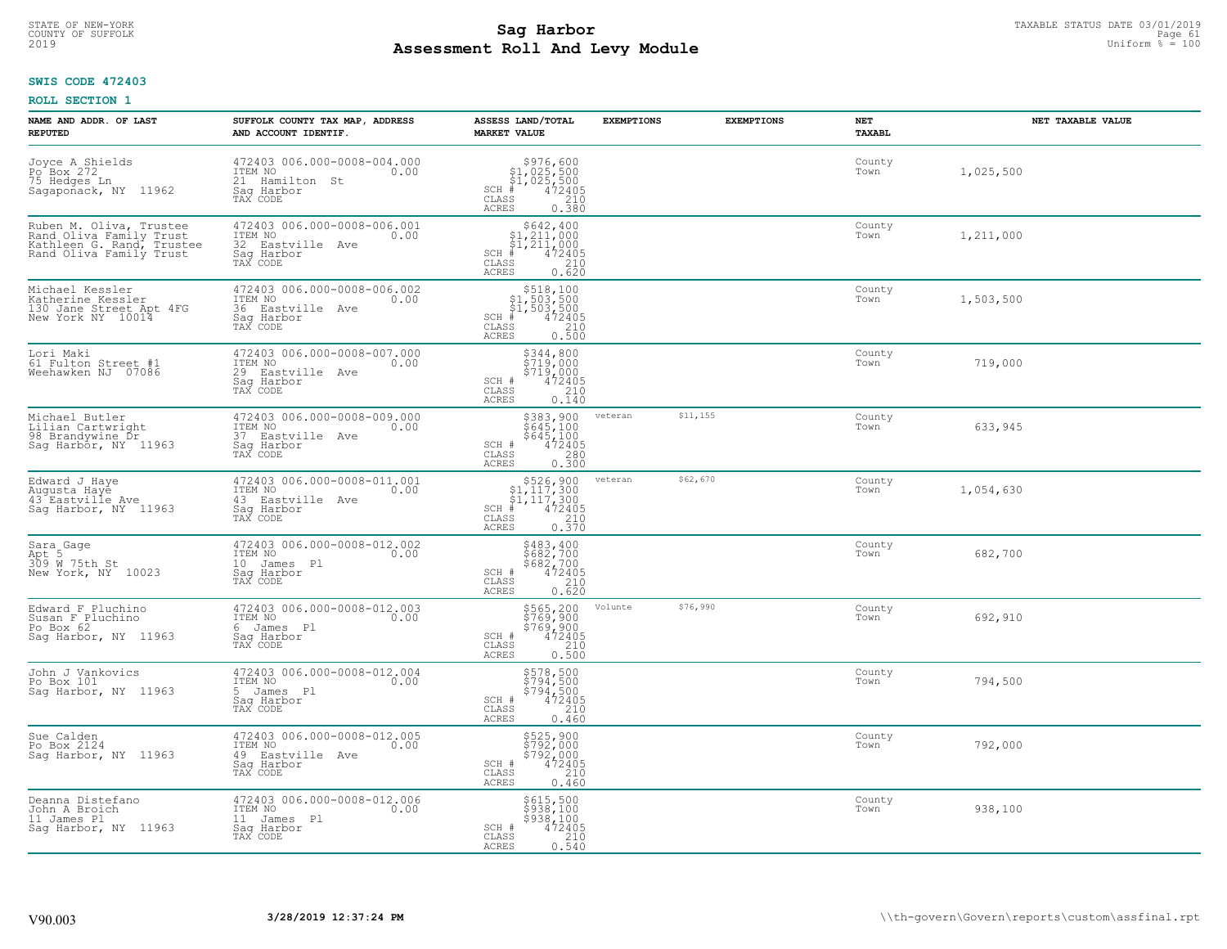#### **Sag Harbor** TAXABLE STATUS DATE 03/01/2019<br>
Poll and Louis Module **Assessment Roll And Levy Module** 2019 Uniform % = 100 COUNTY OF SUFFOLK **Example 19 Second 2008 Second 2009 Research Countries and Second 2009 Research Page 61**

## **SWIS CODE 472403**

| NAME AND ADDR. OF LAST<br><b>REPUTED</b>                                                                   | SUFFOLK COUNTY TAX MAP, ADDRESS<br>AND ACCOUNT IDENTIF.                                      | ASSESS LAND/TOTAL<br><b>MARKET VALUE</b>                                                                                                                                                                                                                                                        | <b>EXEMPTIONS</b> | <b>EXEMPTIONS</b> | NET<br>TAXABL  | NET TAXABLE VALUE |
|------------------------------------------------------------------------------------------------------------|----------------------------------------------------------------------------------------------|-------------------------------------------------------------------------------------------------------------------------------------------------------------------------------------------------------------------------------------------------------------------------------------------------|-------------------|-------------------|----------------|-------------------|
| Joyce A Shields<br>Po <sup>-</sup> Box 272<br>75 Hedges Ln<br>Sagaponack, NY 11962                         | 472403 006.000-0008-004.000<br>ITEM NO<br>0.00<br>21 Hamilton St<br>Saq Harbor<br>TAX CODE   | $$976,600$<br>$$1,025,500$<br>$$1,025,500$<br>$472405$<br>$$250$<br>$$210$<br>$SCH$ #<br>CLASS<br>ACRES<br>0.380                                                                                                                                                                                |                   |                   | County<br>Town | 1,025,500         |
| Ruben M. Oliva, Trustee<br>Rand Oliva Family Trust<br>Kathleen G. Rand, Trustee<br>Rand Oliva Family Trust | 472403 006.000-0008-006.001<br>ITEM NO<br>0.00<br>32 Eastville Ave<br>Saq Harbor<br>TAX CODE | $$642, 400$<br>$$1, 211, 000$<br>$$1, 211, 000$<br>$$1, 211, 000$<br>472405<br>$SCH$ #<br>CLASS<br>$\frac{210}{0.620}$<br>ACRES                                                                                                                                                                 |                   |                   | County<br>Town | 1,211,000         |
| Michael Kessler<br>Katherine Kessler<br>130 Jane Street Apt 4FG<br>New York NY 10014                       | 472403 006.000-0008-006.002<br>ITEM NO<br>0.00<br>36 Eastville Ave<br>Sag Harbor<br>TAX CODE | $\begin{array}{r} \text{\small $>$518$, 100} \\ \text{\small $>$1$, 503$, 500} \\ \text{\small $>$1$, 503$, 500} \\ \text{\small $>$4$} \\ \text{\small $>$3$} \\ \text{\small $3$} \\ \text{\small $25$} \\ \text{\small $25$} \\ \text{\small $25$} \end{array}$<br>$SCH$ #<br>CLASS<br>ACRES |                   |                   | County<br>Town | 1,503,500         |
| Lori Maki<br>61 Fulton Street #1<br>Weehawken NJ 07086                                                     | 472403 006.000-0008-007.000<br>ITEM NO<br>0.00<br>29 Eastville Ave<br>Saq Harbor<br>TAX CODE | \$344,800<br>\$719,000<br>\$719,000<br>SCH #<br>$\begin{array}{r} 472405 \\ 210 \\ 0.140 \end{array}$<br>CLASS<br><b>ACRES</b>                                                                                                                                                                  |                   |                   | County<br>Town | 719,000           |
| Michael Butler<br>Lilian Cartwright<br>98 Brandywine Dr<br>Sag Harbor, NY 11963                            | 472403 006.000-0008-009.000<br>ITEM NO<br>0.00<br>37 Eastville Ave<br>Saq Harbor<br>TAX CODE | \$383,900<br>\$645,100<br>$\begin{array}{r} 3645,100 \\ 472405 \\ 280 \\ 0.300 \end{array}$<br>SCH #<br>$\mathtt{CLASS}$<br><b>ACRES</b>                                                                                                                                                        | veteran           | \$11,155          | County<br>Town | 633,945           |
| Edward J Haye<br>Augusta Haye<br>43 Eastville Ave<br>Sag Harbor, NY 11963                                  | 472403 006.000-0008-011.001<br>ITEM NO<br>0.00<br>43 Eastville Ave<br>Saq Harbor<br>TAX CODE | $\begin{array}{r}  \  \  \, 526,900\\  \  \, 51,117,300\\  \  \, 51,117,300\\  \  \  \, 472405\\ \  \  \, 85\\  \  \  \, 210\\  \  \  \, 0.370\\ \end{array}$<br>$SCH$ #<br>CLASS<br><b>ACRES</b>                                                                                               | veteran           | \$62,670          | County<br>Town | 1,054,630         |
| Sara_Gage<br>Apt 5<br>309 W 75th St<br>New York, NY 10023                                                  | 472403 006.000-0008-012.002<br>ITEM NO<br>0.00<br>10 James Pl<br>Saq Harbor<br>TAX CODE      | \$483,400<br>\$682,700<br>\$682,700<br>472405<br>SCH #<br>CLASS<br>$\frac{210}{0.620}$<br>ACRES                                                                                                                                                                                                 |                   |                   | County<br>Town | 682,700           |
| Edward F Pluchino<br>Susan F Pluchino<br>Po Box 62<br>Sag Harbor, NY 11963                                 | 472403 006.000-0008-012.003<br>TTEM NO 0.00<br>6 James Pl<br>Saq Harbor<br>TAX CODE          | \$565,200<br>\$769,900<br>\$769,900<br>\$769,900<br>\$72405<br>\$210<br>\$500<br>$SCH$ #<br>CLASS<br><b>ACRES</b>                                                                                                                                                                               | Volunte           | \$76,990          | County<br>Town | 692,910           |
| John J Vankovics<br>Po Box 101<br>Saq Harbor, NY 11963                                                     | 472403 006.000-0008-012.004<br>ITEM NO 0.00<br>5 James Pl<br>Saq Harbor<br>TAX CODE          | \$578,500<br>\$794,500<br>\$794,500<br>\$794,500<br>SCH #<br>CLASS<br>210<br>ACRES<br>0.460                                                                                                                                                                                                     |                   |                   | County<br>Town | 794,500           |
| Sue Calden<br>Po Box 2124<br>Sag Harbor, NY 11963                                                          | 472403 006.000-0008-012.005<br>ITEM NO<br>0.00<br>49 Eastville Ave<br>Saq Harbor<br>TAX CODE | $$792,000$<br>$$792,000$<br>$$792,000$<br>$$210$<br>$$2405$<br>SCH #<br>CLASS<br><b>ACRES</b><br>0.460                                                                                                                                                                                          |                   |                   | County<br>Town | 792,000           |
| Deanna Distefano<br>John A Broich<br>11 James Pl<br>Saq Harbor, NY 11963                                   | 472403 006.000-0008-012.006<br>ITEM NO<br>0.00<br>11 James Pl<br>Sag Harbor<br>TAX CODE      | \$615,500<br>\$938,100<br>\$938,100<br>SCH #<br>472405<br>$\begin{array}{c} 210 \\ 0.540 \end{array}$<br>CLASS<br><b>ACRES</b>                                                                                                                                                                  |                   |                   | County<br>Town | 938,100           |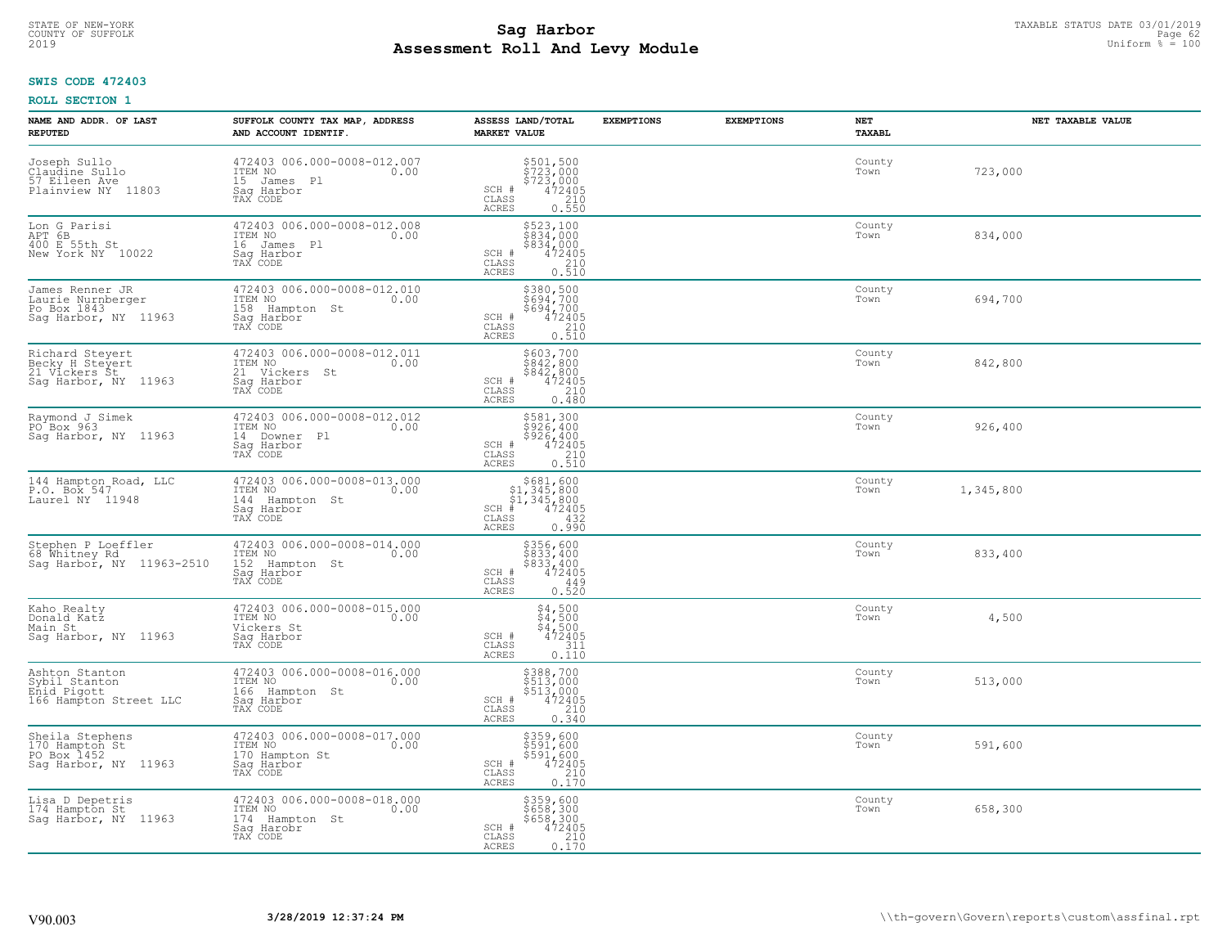#### **Sag Harbor** TAXABLE STATUS DATE 03/01/2019<br>
Poll and Louis Module **Assessment Roll And Levy Module** 2019 Uniform % = 100 COUNTY OF SUFFOLK **Example 19 Second COUNTY COUNTY COUNTY OF SUFFOLK** Page 62

## **SWIS CODE 472403**

| NAME AND ADDR. OF LAST<br><b>REPUTED</b>                                    | SUFFOLK COUNTY TAX MAP, ADDRESS<br>AND ACCOUNT IDENTIF.                                    | ASSESS LAND/TOTAL<br><b>MARKET VALUE</b>                                                                                                                                                                                                                                                                                                                                       | <b>EXEMPTIONS</b> | <b>EXEMPTIONS</b> | NET<br><b>TAXABL</b> | NET TAXABLE VALUE |
|-----------------------------------------------------------------------------|--------------------------------------------------------------------------------------------|--------------------------------------------------------------------------------------------------------------------------------------------------------------------------------------------------------------------------------------------------------------------------------------------------------------------------------------------------------------------------------|-------------------|-------------------|----------------------|-------------------|
| Joseph Sullo<br>Claudine Sullo<br>57 Eileen Ave<br>Plainview NY 11803       | 472403 006.000-0008-012.007<br>ITEM NO<br>0.00<br>15 James Pl<br>Saq Harbor<br>TAX CODE    | \$501,500<br>\$723,000<br>\$723,000<br>\$472405<br>\$210<br>SCH #<br>CLASS<br><b>ACRES</b><br>0.550                                                                                                                                                                                                                                                                            |                   |                   | County<br>Town       | 723,000           |
| Lon G Parisi<br>APT 6B<br>400 E 55th St<br>New York NY 10022                | 472403 006.000-0008-012.008<br>ITEM NO<br>0.00<br>16 James Pl<br>Saq Harbor<br>TAX CODE    | \$523,100<br>\$834,000<br>\$834,000<br>SCH #<br>472405<br>CLASS<br>$\frac{210}{0.510}$<br><b>ACRES</b>                                                                                                                                                                                                                                                                         |                   |                   | County<br>Town       | 834,000           |
| James Renner JR<br>Laurie Nurnberger<br>Po Box 1843<br>Saq Harbor, NY 11963 | 472403 006.000-0008-012.010<br>ITEM NO<br>0.00<br>158 Hampton St<br>Saq Harbor<br>TAX CODE | \$380,500<br>\$694,700<br>\$694,700<br>SCH #<br>$\begin{smallmatrix} 472405 \\ 472405 \\ 210 \\ 0.510 \end{smallmatrix}$<br>CLASS<br>ACRES                                                                                                                                                                                                                                     |                   |                   | County<br>Town       | 694,700           |
| Richard Steyert<br>Becky H Steyert<br>21 Vickers Št<br>Sag Harbor, NY 11963 | 472403 006.000-0008-012.011<br>ITEM NO 0.00<br>21 Vickers St<br>Saq Harbor<br>TAX CODE     | \$603,700<br>\$842,800<br>$$84\frac{7}{4}$ $800$<br>SCH #<br>$472405$<br>$210$<br>0.480<br>CLASS<br>ACRES                                                                                                                                                                                                                                                                      |                   |                   | County<br>Town       | 842,800           |
| Raymond J Simek<br>PO Box 963<br>Sag Harbor, NY 11963                       | 472403 006.000-0008-012.012<br>ITEM NO<br>0.00<br>14 Downer Pl<br>Saq Harbor<br>TAX CODE   | \$581,300<br>$\frac{1}{2}$ $\frac{1}{2}$ $\frac{1}{2}$ $\frac{1}{2}$ $\frac{1}{2}$ $\frac{1}{2}$ $\frac{1}{2}$<br>$\frac{5526}{472405}$<br>SCH #<br>CLASS<br>0.510<br><b>ACRES</b>                                                                                                                                                                                             |                   |                   | County<br>Town       | 926,400           |
| 144 Hampton Road, LLC<br>P.O. Box 547<br>Laurel NY 11948                    | 472403 006.000-0008-013.000<br>ITEM NO<br>0.00<br>144 Hampton St<br>Saq Harbor<br>TAX CODE | $\begin{array}{r}  \  \  \, 5681, 600 \\  \  \, 51, 345, 800 \\  \  \, 51, 345, 800 \\  \  \  \, 472405 \\  \  \, 55 \\  \  \  \, 632 \\  \  \, 6432 \\  \  \, 65 \\  \  \, 69 \\  \  \, 6432 \\  \  \, 69 \\  \  \, 69 \\  \  \, 69 \\  \  \, 69 \\  \  \, 69 \\  \  \, 69 \\  \  \, 69 \\  \  \, 69 \\  \  \, 69 \\$<br>$SCH$ #<br>$\mathtt{CLASS}$<br>0.990<br><b>ACRES</b> |                   |                   | County<br>Town       | 1,345,800         |
| Stephen P Loeffler<br>68 Whitney Rd<br>Sag Harbor, NY 11963-2510            | 472403 006.000-0008-014.000<br>ITEM NO 0.00<br>152 Hampton St<br>Saq Harbor<br>TAX CODE    | \$356,600<br>\$833,400<br>\$833/400<br>472405<br>SCH #<br>CLASS<br>449<br><b>ACRES</b><br>0.520                                                                                                                                                                                                                                                                                |                   |                   | County<br>Town       | 833,400           |
| Kaho Realty<br>Donald Katz<br>Main St<br>Saq Harbor, NY 11963               | 472403 006.000-0008-015.000<br>ITEM NO 0.00<br>Vickers St<br>Saq Harbor<br>TAX CODE        | $$4,500$<br>$$4,500$<br>$$4,500$<br>$472405$<br>$$311$<br>SCH #<br>CLASS<br>ACRES<br>0.110                                                                                                                                                                                                                                                                                     |                   |                   | County<br>Town       | 4,500             |
| Ashton Stanton<br>Sybil Stanton<br>Enid Pigott<br>166 Hampton Street LLC    | 472403 006.000-0008-016.000<br>ITEM NO 0.00<br>166 Hampton St<br>Sag Harbor<br>TAX CODE    | \$388,700<br>\$513,000<br>\$513,000<br>\$513,000<br>472405<br>0.340<br>SCH #<br>$\mathtt{CLASS}$<br>ACRES                                                                                                                                                                                                                                                                      |                   |                   | County<br>Town       | 513,000           |
| Sheila Stephens<br>170_Hampton St<br>PO Box 1452<br>Sag Harbor, NY 11963    | 472403 006.000-0008-017.000<br>ITEM NO<br>0.00<br>170 Hampton St<br>Sag Harbor<br>TAX CODE | \$359,600<br>\$591,600<br>\$591,600<br>472405<br>210<br>SCH #<br>CLASS<br><b>ACRES</b><br>0.170                                                                                                                                                                                                                                                                                |                   |                   | County<br>Town       | 591,600           |
| Lisa D Depetris<br>174 Hampton St<br>Sag Harbor, NY 11963                   | 472403 006.000-0008-018.000<br>ITEM NO<br>0.00<br>174 Hampton St<br>Sag Harobr<br>TAX CODE | \$359,600<br>\$658,300<br>\$658,300<br>\$658,300<br>\$72405<br>\$710<br>\$110<br>\$110<br>SCH #<br>CLASS<br><b>ACRES</b>                                                                                                                                                                                                                                                       |                   |                   | County<br>Town       | 658,300           |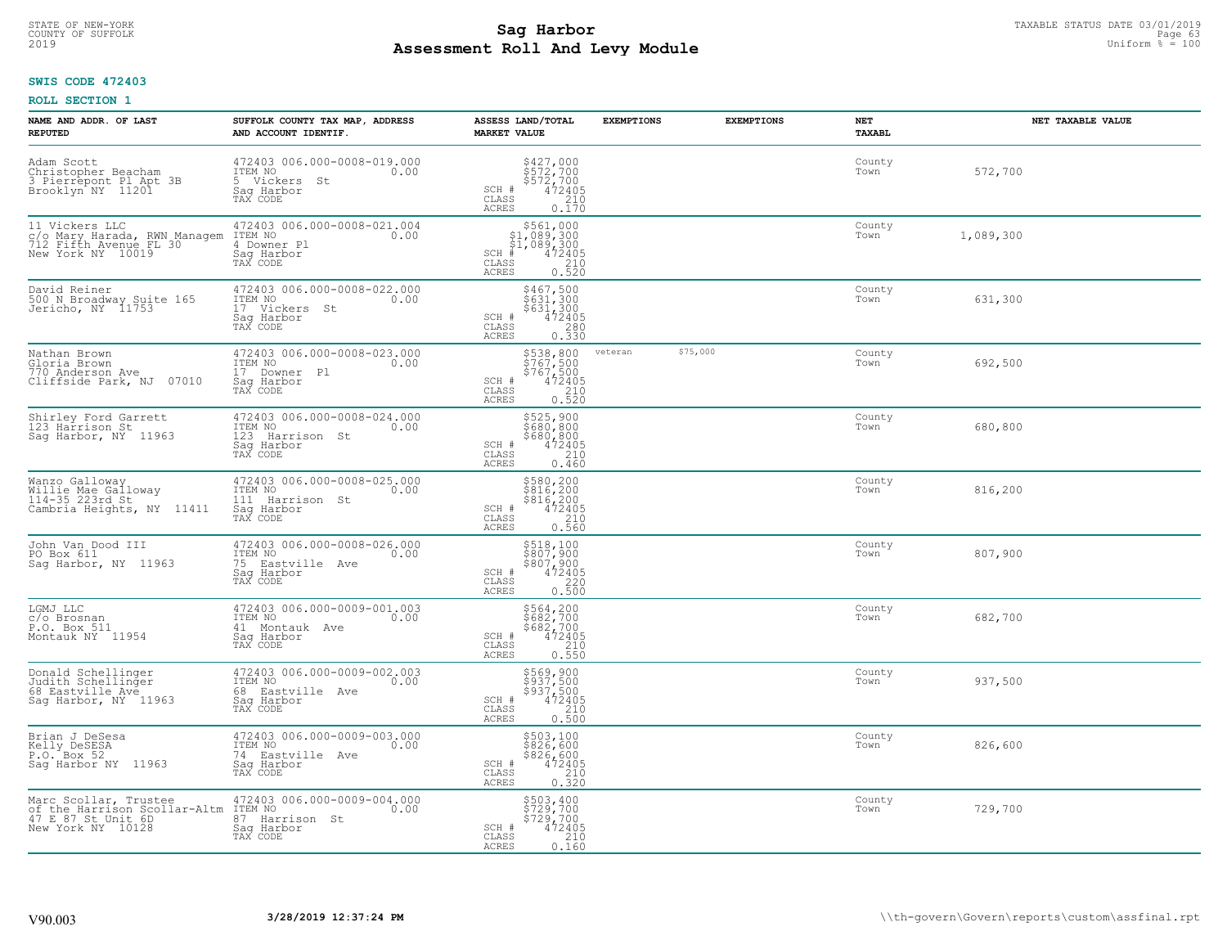#### **Sag Harbor** TAXABLE STATUS DATE 03/01/2019<br>
Poll and Louis Modulo **Assessment Roll And Levy Module** 2019 Uniform % = 100 COUNTY OF SUFFOLK **Example 19 Second COUNTY COUNTY COUNTY OF SUFFOLK** Page 63

## **SWIS CODE 472403**

| NAME AND ADDR. OF LAST<br><b>REPUTED</b>                                                         | SUFFOLK COUNTY TAX MAP, ADDRESS<br>AND ACCOUNT IDENTIF.                                        | ASSESS LAND/TOTAL<br><b>MARKET VALUE</b>                                                                                                                                                                                     | <b>EXEMPTIONS</b> | <b>EXEMPTIONS</b> | NET<br>TAXABL  | NET TAXABLE VALUE |
|--------------------------------------------------------------------------------------------------|------------------------------------------------------------------------------------------------|------------------------------------------------------------------------------------------------------------------------------------------------------------------------------------------------------------------------------|-------------------|-------------------|----------------|-------------------|
| Adam Scott<br>Christopher Beacham<br>3 Pierrepont Pl Apt 3B<br>Brooklyn NY 11201                 | 472403 006.000-0008-019.000<br>ITEM NO<br>0.00<br>5 Vickers<br>Saq Harbor<br>TAX CODE<br>St    | \$427,000<br>\$572,700<br>\$572,700<br>\$472405<br>SCH #<br>CLASS<br>$\begin{array}{c} 210 \\ 0.170 \end{array}$<br>ACRES                                                                                                    |                   |                   | County<br>Town | 572,700           |
| 11 Vickers LLC<br>c/o Mary Harada, RWN Managem<br>712 Fifth Avenue FL 30<br>New York NY 10019    | 472403 006.000-0008-021.004<br>ITEM NO 0.00<br>4 Downer Pl<br>Sag Harbor<br>TAX CODE           | $\begin{array}{r}  \  \  \, 5561,000\\  \  \  51,089,300\\  \  \  51,089,300\\  \  \  \, 472405\\  \  \  \, 85\\  \  \  \, 85\\  \  \  \, 210\\  \  \  \, 2520\\  \  \  \, 0.520\\ \end{array}$<br>$SCH$ #<br>CLASS<br>ACRES |                   |                   | County<br>Town | 1,089,300         |
| David Reiner<br>500 N Broadway Suite 165<br>Jericho, NY 11753                                    | 472403 006.000-0008-022.000<br>ITEM NO<br>0.00<br>17 Vickers St<br>Sag Harbor<br>TAX CODE      | \$467,500<br>\$631,300<br>\$631,300<br>\$631,300<br>\$72405<br>\$630<br>\$630<br>SCH #<br>CLASS<br><b>ACRES</b>                                                                                                              |                   |                   | County<br>Town | 631,300           |
| Nathan Brown<br>Gloria Brown<br>770 Anderson Ave<br>Cliffside Park, NJ 07010                     | 472403 006.000-0008-023.000<br>ITEM NO<br>0.00<br>17 Downer Pl<br>Saq Harbor<br>TAX CODE       | \$538,800<br>\$767,500<br>\$767,500<br>\$767,500<br>\$72405<br>0.520<br>SCH #<br>CLASS<br>ACRES                                                                                                                              | veteran           | \$75,000          | County<br>Town | 692,500           |
| Shirley Ford Garrett<br>123 Harrison St<br>Sag Harbor, NY 11963                                  | 472403 006.000-0008-024.000<br>ITEM NO<br>0.00<br>123<br>Harrison St<br>Saq Harbor<br>TAX CODE | \$525,900<br>$\frac{2680,800}{680,800}$<br>\$680,800<br>472405<br>0.210<br>SCH #<br>$\mathtt{CLASS}$<br>ACRES<br>0.460                                                                                                       |                   |                   | County<br>Town | 680,800           |
| Wanzo Galloway<br>Willie Mae Galloway<br>114-35 223rd St<br>Cambria Heights, NY<br>11411         | 472403 006.000-0008-025.000<br>ITEM NO<br>0.00<br>111 Harrison St<br>Saq Harbor<br>TAX CODE    | \$580,200<br>\$816,200<br>\$816,200<br>\$472405<br>0.560<br>0.560<br>SCH #<br>CLASS<br><b>ACRES</b>                                                                                                                          |                   |                   | County<br>Town | 816,200           |
| John Van Dood III<br>PO Box 611<br>Saq Harbor, NY 11963                                          | 472403 006.000-0008-026.000<br>ITEM NO<br>0.00<br>75 Eastville Ave<br>Sag Harbor<br>TAX CODE   | \$518,100<br>\$807,900<br>\$807,900<br>472405<br>220<br>SCH #<br>CLASS<br>0.500<br><b>ACRES</b>                                                                                                                              |                   |                   | County<br>Town | 807,900           |
| LGMJ LLC<br>c/o Brosnan<br>P.O. Box 511<br>Montauk NY 11954                                      | 472403 006.000-0009-001.003<br>ITEM NO<br>0.00<br>41 Montauk Ave<br>Saq Harbor<br>TAX CODE     | $$564, 200$<br>$$682, 700$<br>$$682, 700$<br>$$472405$<br>$0.210$<br>SCH #<br>CLASS<br><b>ACRES</b><br>0.550                                                                                                                 |                   |                   | County<br>Town | 682,700           |
| Donald Schellinger<br>Judith Schellinger<br>68 Eastville Ave<br>Sag Harbor, NY 11963             | 472403 006.000-0009-002.003<br>ITEM NO<br>0.00<br>68 Eastville Ave<br>Saq Harbor<br>TAX CODE   | \$569,900<br>\$937,500<br>\$937,500<br>\$937,500<br>SCH #<br>CLASS<br>$\frac{210}{0.500}$<br><b>ACRES</b>                                                                                                                    |                   |                   | County<br>Town | 937,500           |
| Brian J DeSesa<br>Kelly DeSESA<br>P.O. Box 52<br>Sag Harbor NY 11963                             | 472403 006.000-0009-003.000<br>ITEM NO<br>0.00<br>74 Eastville Ave<br>Saq Harbor<br>TAX CODE   | \$503,100<br>\$826,600<br>\$826,600<br>SCH #<br>$\begin{array}{r} 472405 \\ 210 \\ 0.320 \end{array}$<br>CLASS<br><b>ACRES</b>                                                                                               |                   |                   | County<br>Town | 826,600           |
| Marc Scollar, Trustee<br>of the Harrison Scollar-Altm<br>47 E 87 St Unit 6D<br>New York NY 10128 | 472403 006.000-0009-004.000<br>ITEM NO<br>0.00<br>87 Harrison St<br>Sag Harbor<br>TAX CODE     | \$503,400<br>\$729,700<br>\$729,700<br>SCH #<br>$472405$<br>210<br>CLASS<br>ACRES<br>0.160                                                                                                                                   |                   |                   | County<br>Town | 729,700           |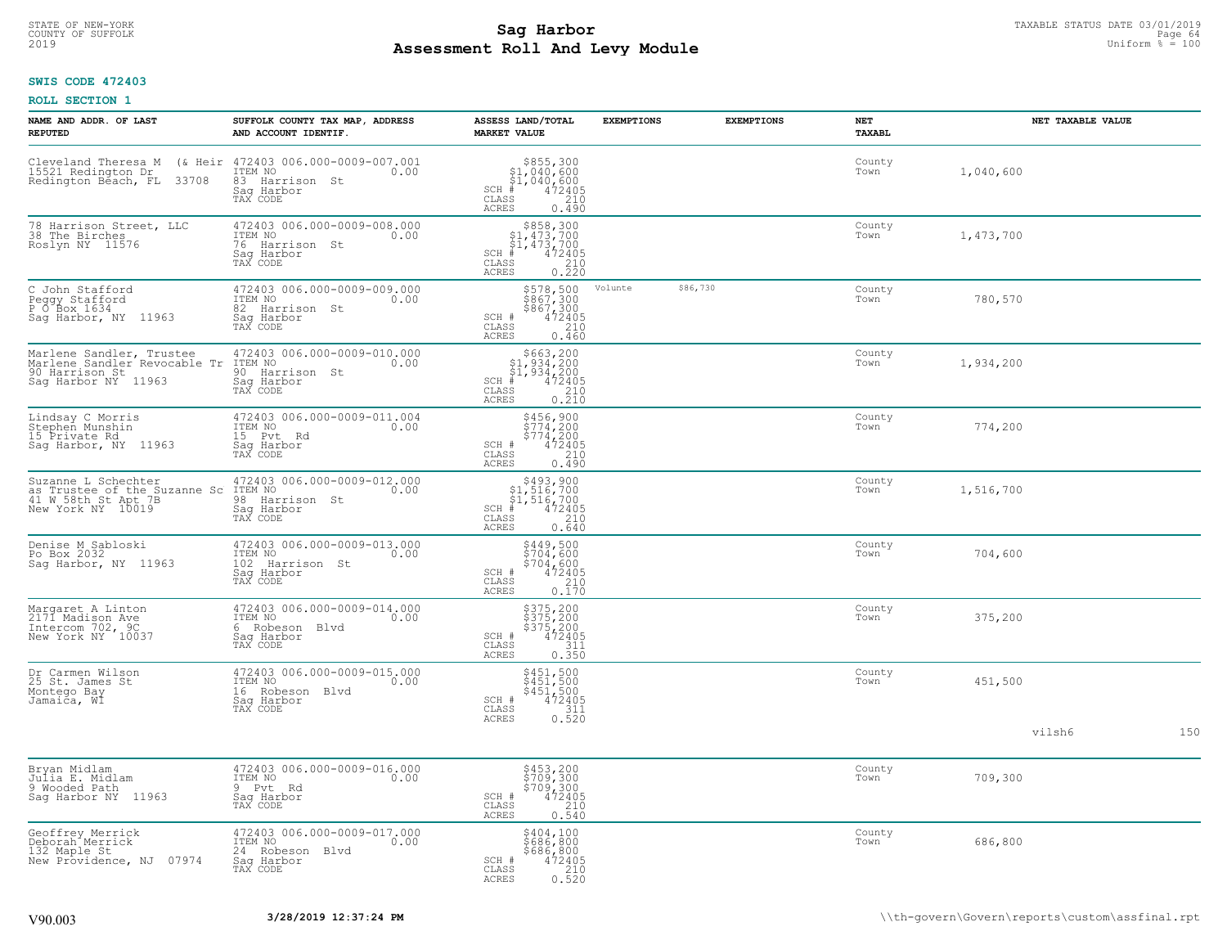#### **Sag Harbor** TAXABLE STATUS DATE 03/01/2019<br>Poll and Louis Module **Assessment Roll And Levy Module** 2019 Uniform % = 100 COUNTY OF SUFFOLK **Example 19 Second 2008 COUNTY COUNTY OF SUFFOLK** Page 64

## **SWIS CODE 472403**

| NAME AND ADDR. OF LAST<br><b>REPUTED</b>                                                          | SUFFOLK COUNTY TAX MAP, ADDRESS<br>AND ACCOUNT IDENTIF.                                            | ASSESS LAND/TOTAL<br><b>MARKET VALUE</b>                                                                                                      | <b>EXEMPTIONS</b> | <b>EXEMPTIONS</b> | <b>NET</b><br>TAXABL | NET TAXABLE VALUE |     |
|---------------------------------------------------------------------------------------------------|----------------------------------------------------------------------------------------------------|-----------------------------------------------------------------------------------------------------------------------------------------------|-------------------|-------------------|----------------------|-------------------|-----|
| Cleveland Theresa M<br>15521 Redington Dr<br>Redington Béach, FL<br>33708                         | (& Heir 472403 006.000-0009-007.001<br>ITEM NO<br>0.00<br>83 Harrison St<br>Saq Harbor<br>TAX CODE | $$855,300$<br>$$1,040,600$<br>$$1,040,600$<br>$472405$<br>$$210$<br>$SCH$ #<br>CLASS<br><b>ACRES</b><br>0.490                                 |                   |                   | County<br>Town       | 1,040,600         |     |
| 78 Harrison Street, LLC<br>38 The Birches<br>Roslyn NY 11576                                      | 472403 006.000-0009-008.000<br>ITEM NO<br>0.00<br>76<br>Harrison<br>St<br>Saq Harbor<br>TAX CODE   | $\begin{array}{r} 5858,300\\ 51,473,700\\ 51,473,700\\ *\\ *\\ 210\\ *\\ \text{ss}\end{array}$<br>$SCH$ #<br>$\mathtt{CLASS}$<br><b>ACRES</b> |                   |                   | County<br>Town       | 1,473,700         |     |
| C John Stafford<br>Peggy Stafford<br>P O Box 1634<br>Saq Harbor, NY 11963                         | 472403 006.000-0009-009.000<br>ITEM NO<br>0.00<br>82 Harrison St<br>Saq Harbor<br>TAX CODE         | \$578,500<br>\$867,300<br>\$867,300<br>472405<br>210<br>SCH #<br>CLASS<br>ACRES<br>0.460                                                      | Volunte           | \$86,730          | County<br>Town       | 780,570           |     |
| Marlene Sandler, Trustee<br>Marlene Sandler Revocable Tr<br>90 Harrison St<br>Saq Harbor NY 11963 | 472403 006.000-0009-010.000<br>ITEM NO<br>0.00<br>90 Harrison St<br>Saq Harbor<br>TAX CODE         | $$663, 200$<br>$$1, 934, 200$<br>$$1, 934, 200$<br>$472405$<br>$$210$<br>SCH<br>CLASS<br>0.210<br><b>ACRES</b>                                |                   |                   | County<br>Town       | 1,934,200         |     |
| Lindsay C Morris<br>Stephen Munshin<br>15 Private Rd<br>Sag Harbor, NY 11963                      | 472403 006.000-0009-011.004<br>ITEM NO<br>0.00<br>15 Pvt<br>Rd<br>Saq Harbor<br>TAX CODE           | \$456,900<br>\$774,200<br>\$774,200<br>\$774,200<br>SCH #<br>CLASS<br>210<br><b>ACRES</b><br>0.490                                            |                   |                   | County<br>Town       | 774,200           |     |
| Suzanne L Schechter<br>ouznance Book Che Suzanne Sc<br>41 W 58th St Apt 7B<br>New York NY 10019   | 472403 006.000-0009-012.000<br>ITEM NO<br>0.00<br>98 Harrison St<br>Saq Harbor<br>TAX CODE         | \$493,900<br>SCH #<br>$\mathtt{CLASS}$<br>0.640<br>ACRES                                                                                      |                   |                   | County<br>Town       | 1,516,700         |     |
| Denise M Sabloski<br>Po Box 2032<br>Sag Harbor, NY 11963                                          | 472403 006.000-0009-013.000<br>ITEM NO<br>0.00<br>102<br>Harrison St<br>Saq Harbor<br>TAX CODE     | \$449,500<br>\$704,600<br>\$704,600<br>SCH #<br>$\begin{smallmatrix} 472405\ 210\ 0.170 \end{smallmatrix}$<br>CLASS<br>ACRES                  |                   |                   | County<br>Town       | 704,600           |     |
| Margaret A Linton<br>2171 Madison Ave<br>Intercom 702, 9C<br>New York NY 10037                    | 472403 006.000-0009-014.000<br>ITEM NO<br>0.00<br>6 Robeson<br>Blvd<br>Saq Harbor<br>TAX CODE      | \$375,200<br>\$375,200<br>\$375,200<br>\$375,200<br>SCH #<br>$\mathtt{CLASS}$<br>311<br><b>ACRES</b><br>0.350                                 |                   |                   | County<br>Town       | 375,200           |     |
| Dr Carmen Wilson<br>25 St. James St<br>Montego Bay<br>Jamaica, WI                                 | 472403 006.000-0009-015.000<br>ITEM NO<br>0.00<br>16 Robeson Blvd<br>Sag Harbor<br>TAX CODE        | \$451,500<br>\$451,500<br>$$451,500\n472405\n311\n0.520$<br>SCH #<br>$\mathtt{CLASS}$<br><b>ACRES</b>                                         |                   |                   | County<br>Town       | 451,500           |     |
|                                                                                                   |                                                                                                    |                                                                                                                                               |                   |                   |                      | vilsh6            | 150 |
| Bryan Midlam<br>Julia E. Midlam<br>9 Wooded Path<br>Saq Harbor NY 11963                           | 472403 006.000-0009-016.000<br>ITEM NO<br>0.00<br>9 Pvt<br>Rd<br>Saq Harbor<br>TAX CODE            | \$453,200<br>\$709,300<br>\$709,300<br>\$709,300<br>SCH #<br>CLASS<br>210<br>0.540<br><b>ACRES</b>                                            |                   |                   | County<br>Town       | 709,300           |     |
| Geoffrey Merrick<br>Deborah <sup>-</sup> Merrick<br>132 Maple St<br>New Providence, NJ 07974      | 472403 006.000-0009-017.000<br>ITEM NO<br>0.00<br>24 Robeson Blvd<br>Sag Harbor<br>TAX CODE        | \$404,100<br>\$686,800<br>$$686, 800$<br>472405<br>210<br>SCH #<br>CLASS<br>0.520<br>ACRES                                                    |                   |                   | County<br>Town       | 686,800           |     |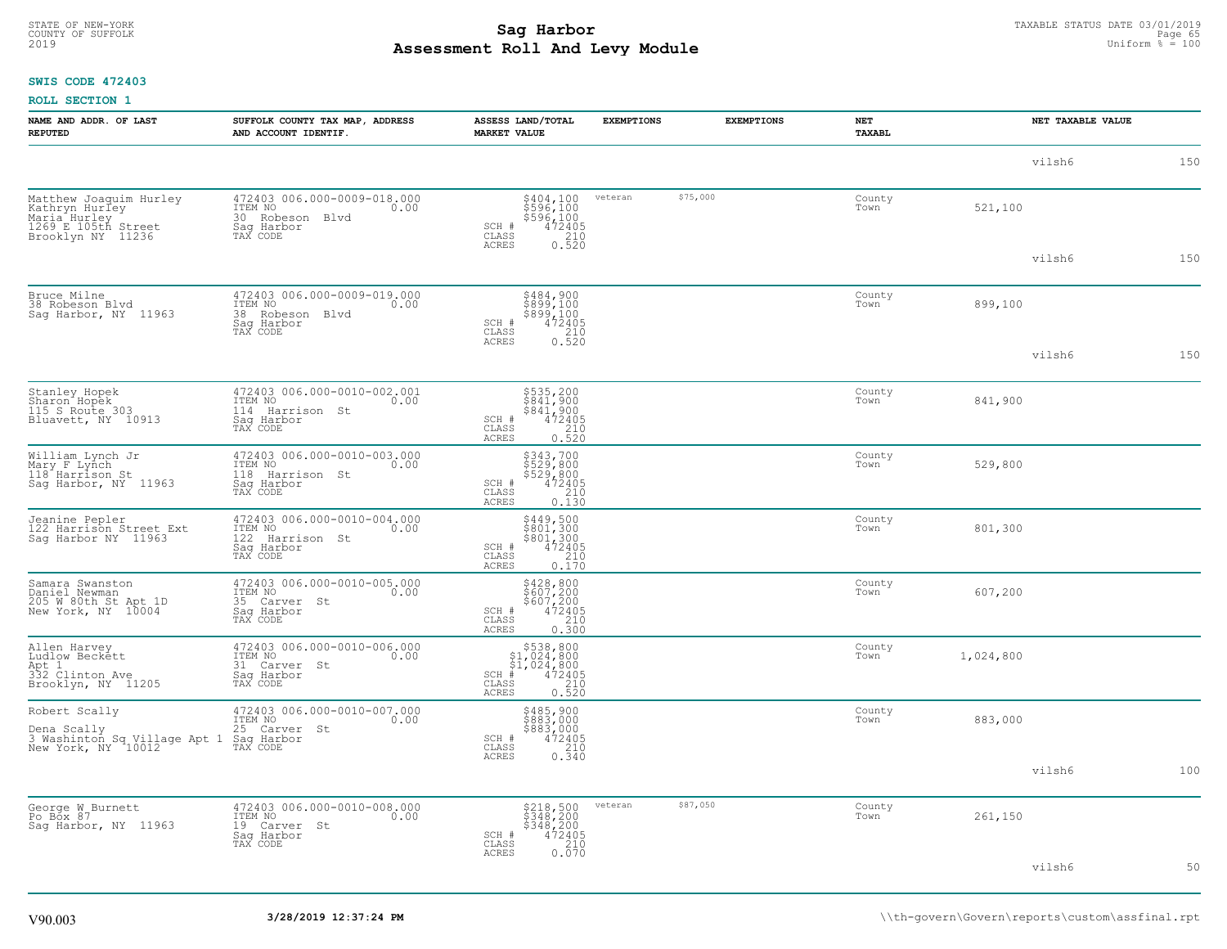#### **Sag Harbor** TAXABLE STATUS DATE 03/01/2019<br>Poll and Louis Module **Assessment Roll And Levy Module** 2019 Uniform % = 100 COUNTY OF SUFFOLK **Example 19 Second COUNTY COUNTY OF SUFFOLK** Page 65

### **SWIS CODE 472403**

| NAME AND ADDR. OF LAST<br><b>REPUTED</b>                                                                         | SUFFOLK COUNTY TAX MAP, ADDRESS<br>AND ACCOUNT IDENTIF.                                     | ASSESS LAND/TOTAL<br><b>MARKET VALUE</b>                                                                                                            | <b>EXEMPTIONS</b> | <b>EXEMPTIONS</b> | NET<br>TAXABL  | NET TAXABLE VALUE |     |  |
|------------------------------------------------------------------------------------------------------------------|---------------------------------------------------------------------------------------------|-----------------------------------------------------------------------------------------------------------------------------------------------------|-------------------|-------------------|----------------|-------------------|-----|--|
|                                                                                                                  |                                                                                             |                                                                                                                                                     |                   |                   |                | vilsh6            | 150 |  |
| Matthew Joaquim Hurley<br>Kathryn HurIey<br>Maria Hurley<br>1269 E 105th Street<br>Brooklyn NY 11236             | 472403 006.000-0009-018.000<br>TTEM NO 0.00<br>30 Robeson Blvd<br>Saq Harbor<br>TAX CODE    | \$404,100<br>\$596,100<br>\$596,100<br>\$596,100<br>\$72405<br>0.520<br>SCH #<br>$\mathtt{CLASS}$<br>ACRES                                          | veteran           | \$75,000          | County<br>Town | 521,100           |     |  |
|                                                                                                                  |                                                                                             |                                                                                                                                                     |                   |                   |                | vilsh6            | 150 |  |
| Bruce Milne<br>38 Robeson Blvd<br>Sag Harbor, NY 11963                                                           | 472403 006.000-0009-019.000<br>ITEM NO<br>0.00<br>38 Robeson Blvd<br>Saq Harbor<br>TAX CODE | \$484,900<br>\$899,100<br>\$899,100<br>SCH #<br>$\frac{47\bar{2}\bar{4}\bar{0}5}{210}$<br>$\mathtt{CLASS}$<br>ACRES<br>0.520                        |                   |                   | County<br>Town | 899,100           |     |  |
|                                                                                                                  |                                                                                             |                                                                                                                                                     |                   |                   |                | vilsh6            | 150 |  |
| Stanley Hopek<br>Sharon Hopek<br>115 S Route 303<br>Bluavett, NY 10913                                           | 472403 006.000-0010-002.001<br>ITEM NO 0.00<br>114 Harrison St<br>Sag Harbor<br>TAX CODE    | \$535,200<br>\$841,900<br>\$841,900<br>\$841,900<br>\$72405<br>0.520<br>SCH #<br>CLASS<br><b>ACRES</b>                                              |                   |                   | County<br>Town | 841,900           |     |  |
| William Lynch Jr<br>Mary F Lynch<br>118 <sup>-</sup> Harrison St<br>Sag Harbor, NY 11963                         | 472403 006.000-0010-003.000<br>ITEM NO<br>0.00<br>118 Harrison St<br>Sag Harbor<br>TAX CODE | \$343,700<br>\$529,800<br>\$529,800<br>\$529,800<br>\$72405<br>\$710<br>\$710<br>\$110<br>\$130<br>SCH #<br>CLASS<br>ACRES                          |                   |                   | County<br>Town | 529,800           |     |  |
| Jeanine Pepler<br>122 Harrison Street Ext<br>Sag Harbor NY 11963                                                 | 472403 006.000-0010-004.000<br>ITEM NO<br>0.00<br>122 Harrison St<br>Sag Harbor<br>TAX CODE | $\begin{array}{l} 5449, 500 \\ 5801, 300 \\ 5801, 300 \\ 472405 \\ 210 \\ 210 \end{array}$<br>SCH #<br>CLASS<br>${\tt ACKES}$<br>0.170              |                   |                   | County<br>Town | 801,300           |     |  |
| Samara Swanston<br>Daniel Newman<br>205 W 80th St Apt 1D<br>New York, NY 10004                                   | 472403 006.000-0010-005.000<br>ITEM NO<br>0.00<br>35 Carver St<br>Saq Harbor<br>TAX CODE    | $\begin{array}{r} 5428, 800 \\ 5607, 200 \\ 5607, 200 \\ 472405 \\ 210 \\ 0.300 \end{array}$<br>SCH #<br>CLASS<br>ACRES                             |                   |                   | County<br>Town | 607,200           |     |  |
| Allen Harvey<br>Ludlow Beckett<br>Apt 1<br>332 Clinton Ave<br>Brooklyn, NY 11205                                 | 472403 006.000-0010-006.000<br>ITEM NO<br>0.00<br>31 Carver St<br>Sag Harbor<br>TAX CODE    | \$538,800<br>$$1,024,800$<br>$$1,024,800$<br>$472405$<br>$SCH$ #<br>CLASS<br>$\frac{210}{0.520}$<br><b>ACRES</b>                                    |                   |                   | County<br>Town | 1,024,800         |     |  |
| Robert Scally<br>Dena Scally 25 Carver<br>3 Washinton Sq Village Apt 1 Sag Harbor<br>New York, NY 10012 TAX CODE | 472403 006.000-0010-007.000<br>ITEM NO<br>0.00<br>25 Carver St                              | \$485,900<br>\$883,000<br>\$883,000<br>$\begin{smallmatrix} 2405 \\ 472405 \\ 210 \\ 0.340 \end{smallmatrix}$<br>SCH #<br>$\mathtt{CLASS}$<br>ACRES |                   |                   | County<br>Town | 883,000           |     |  |
|                                                                                                                  |                                                                                             |                                                                                                                                                     |                   |                   |                | vilsh6            | 100 |  |
| George W_Burnett<br>Po Box 87<br>Sag Harbor, NY 11963                                                            | 472403 006.000-0010-008.000<br>ITEM NO<br>0.00<br>19 Carver St<br>Saq Harbor<br>TAX CODE    | $\begin{array}{r} 5218,500 \\ 5348,200 \\ 5348,200 \\ 472405 \\ 210 \\ 0.070 \end{array}$<br>SCH #<br>CLASS<br>ACRES                                | veteran           | \$87,050          | County<br>Town | 261,150           |     |  |
|                                                                                                                  |                                                                                             |                                                                                                                                                     |                   |                   |                | vilsh6            | 50  |  |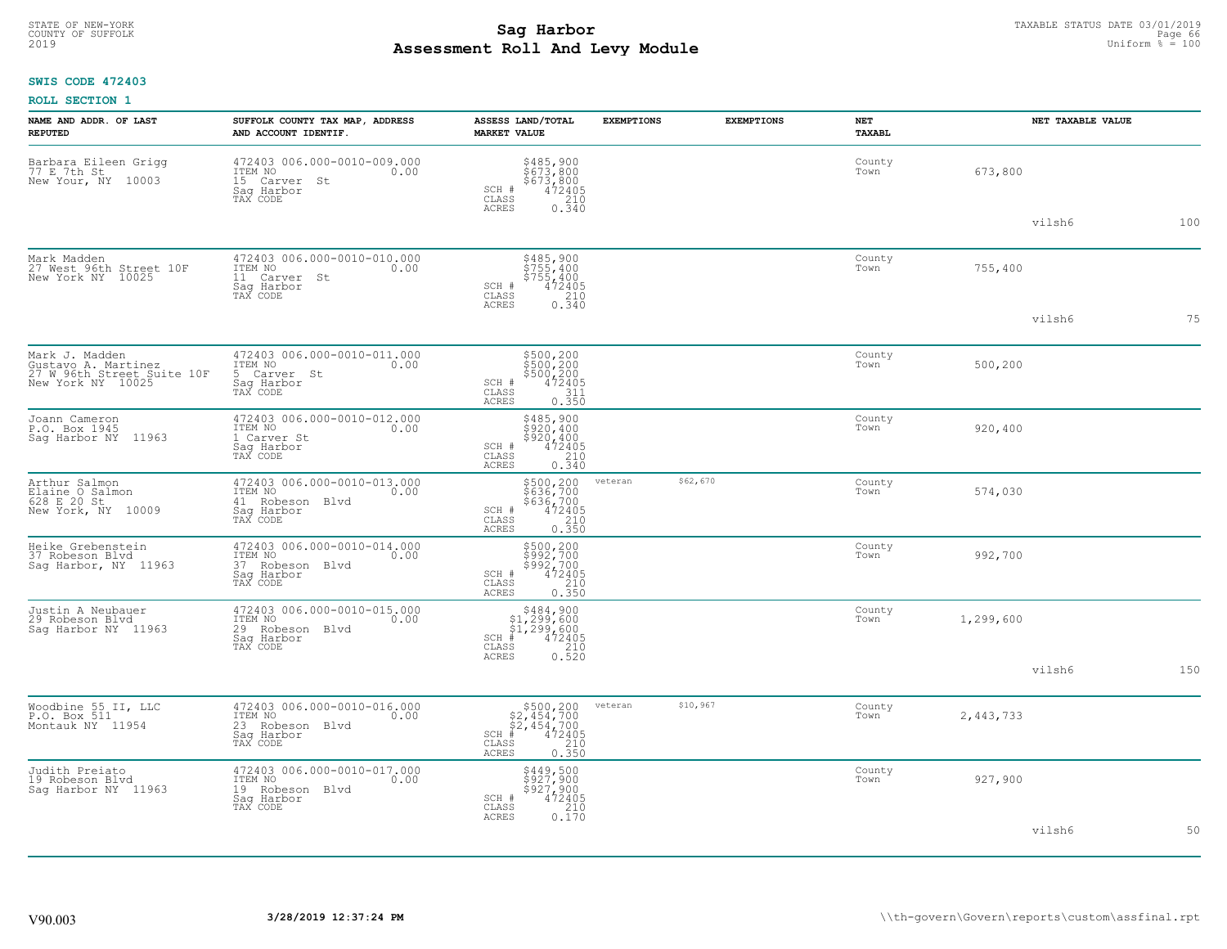# TAXABLE STATUS DATE 03/01/2019<br>COUNTY OF SUFFOLK Page 66 **Assessment Roll And Levy Module** 2019 Uniform % = 100

### **SWIS CODE 472403**

|  | <b>ROLL SECTION 1</b> |  |
|--|-----------------------|--|
|--|-----------------------|--|

| NAME AND ADDR. OF LAST<br><b>REPUTED</b>                                                 | SUFFOLK COUNTY TAX MAP, ADDRESS<br>AND ACCOUNT IDENTIF.                                     | ASSESS LAND/TOTAL<br><b>MARKET VALUE</b>                                                                 | <b>EXEMPTIONS</b> | <b>EXEMPTIONS</b> | <b>NET</b><br>TAXABL |           | NET TAXABLE VALUE |     |
|------------------------------------------------------------------------------------------|---------------------------------------------------------------------------------------------|----------------------------------------------------------------------------------------------------------|-------------------|-------------------|----------------------|-----------|-------------------|-----|
| Barbara Eileen Grigg<br>77 E 7th St<br>New Your, NY 10003                                | 472403 006.000-0010-009.000<br>ITEM NO<br>0.00<br>15 Carver St<br>Saq Harbor<br>TAX CODE    | \$485,900<br>\$673,800<br>\$673,800<br>SCH #<br>472405<br>CLASS<br>210<br><b>ACRES</b><br>0.340          |                   |                   | County<br>Town       | 673,800   |                   |     |
|                                                                                          |                                                                                             |                                                                                                          |                   |                   |                      |           | vilsh6            | 100 |
| Mark Madden<br>27 West 96th Street 10F<br>New York NY 10025                              | 472403 006.000-0010-010.000<br>ITEM NO<br>0.00<br>11 Carver St<br>Saq Harbor<br>TAX CODE    | \$485,900<br>\$755,400<br>\$755,400<br>SCH #<br>472405<br>CLASS<br>210                                   |                   |                   | County<br>Town       | 755,400   |                   |     |
|                                                                                          |                                                                                             | 0.340<br>ACRES                                                                                           |                   |                   |                      |           | vilsh6            | 75  |
| Mark J. Madden<br>Gustavo A. Martinez<br>27 W 96th Street Suite 10F<br>New York NY 10025 | 472403 006.000-0010-011.000<br>ITEM NO<br>0.00<br>5 Carver St<br>Saq Harbor<br>TAX CODE     | $$500, 200$<br>$$500, 200$<br>$$500, 200$<br>$472405$<br>$$311$<br>SCH #<br>CLASS<br>ACRES<br>0.350      |                   |                   | County<br>Town       | 500,200   |                   |     |
| Joann Cameron<br>P.O. Box 1945<br>Saq Harbor NY 11963                                    | 472403 006.000-0010-012.000<br>ITEM NO<br>0.00<br>1 Carver St<br>Saq Harbor<br>TAX CODE     | \$485,900<br>\$920,400<br>\$920,400<br>472405<br>210<br>SCH #<br>CLASS<br><b>ACRES</b><br>0.340          |                   |                   | County<br>Town       | 920,400   |                   |     |
| Arthur Salmon<br>Elaine O Salmon<br>628 E 20 St<br>New York, NY 10009                    | 472403 006.000-0010-013.000<br>ITEM NO<br>0.00<br>41 Robeson Blvd<br>Sag Harbor<br>TAX CODE | \$500,200<br>\$636,700<br>\$636,700<br>472405<br>210<br>SCH #<br>CLASS<br>0.350<br>ACRES                 | veteran           | \$62,670          | County<br>Town       | 574,030   |                   |     |
| Heike Grebenstein<br>37 Robeson Blvd<br>Saq Harbor, NY 11963                             | 472403 006.000-0010-014.000<br>ITEM NO<br>0.00<br>37 Robeson Blvd<br>Saq Harbor<br>TAX CODE | \$500,200<br>\$992,700<br>\$992,700<br>SCH #<br>$\frac{472405}{210}$<br>CLASS<br><b>ACRES</b><br>0.350   |                   |                   | County<br>Town       | 992,700   |                   |     |
| Justin A Neubauer<br>29 Robeson Blvd<br>Saq Harbor NY 11963                              | 472403 006.000-0010-015.000<br>ITEM NO<br>0.00<br>29 Robeson Blvd<br>Saq Harbor<br>TAX CODE | $$484,900$<br>$$1,299,600$<br>$$1,299,600$<br>$472405$<br>$$210$<br>$SCH$ #<br>CLASS<br>0.520<br>ACRES   |                   |                   | County<br>Town       | 1,299,600 |                   |     |
|                                                                                          |                                                                                             |                                                                                                          |                   |                   |                      |           | vilsh6            | 150 |
| Woodbine 55 II, LLC<br>P.O. Box 511<br>Montauk NY 11954                                  | 472403 006.000-0010-016.000<br>ITEM NO<br>0.00<br>23 Robeson Blvd<br>Saq Harbor<br>TAX CODE | $$500, 200$<br>$$2, 454, 700$<br>$$2, 454, 700$<br>$*$ $472405$<br>SCH<br>CLASS<br>210<br>0.350<br>ACRES | veteran           | \$10,967          | County<br>Town       | 2,443,733 |                   |     |
| Judith Preiato<br>19 Robeson Blvd<br>Sag Harbor NY 11963                                 | 472403 006.000-0010-017.000<br>ITEM NO<br>0.00<br>19 Robeson Blvd<br>Saq Harbor<br>TAX CODE | \$449,500<br>\$927,900<br>\$927,900<br>472405<br>SCH #<br>CLASS<br>210<br>0.170<br><b>ACRES</b>          |                   |                   | County<br>Town       | 927,900   |                   |     |
|                                                                                          |                                                                                             |                                                                                                          |                   |                   |                      |           | vilsh6            | 50  |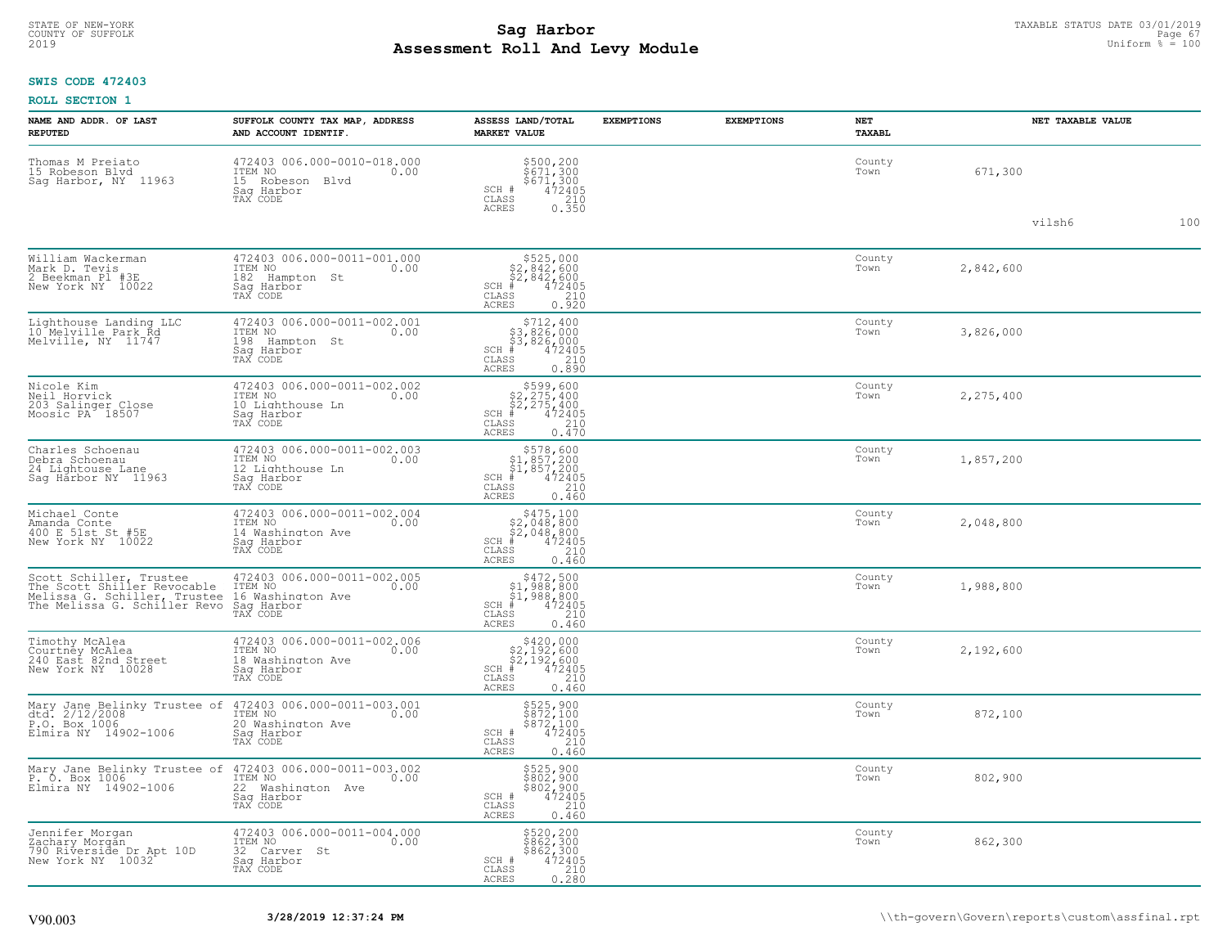#### **Sag Harbor** TAXABLE STATUS DATE 03/01/2019<br>
Poll and Louis Modulo **Assessment Roll And Levy Module** 2019 Uniform % = 100 COUNTY OF SUFFOLK **Example 19 Second COUNTY COUNTY COUNTY OF SUFFOLK** Page 67

### **SWIS CODE 472403**

| NAME AND ADDR. OF LAST<br><b>REPUTED</b>                                                                               | SUFFOLK COUNTY TAX MAP, ADDRESS<br>AND ACCOUNT IDENTIF.                                        | ASSESS LAND/TOTAL<br><b>MARKET VALUE</b>                                                                                        | <b>EXEMPTIONS</b> | <b>EXEMPTIONS</b> | NET<br><b>TAXABL</b> | NET TAXABLE VALUE |     |  |
|------------------------------------------------------------------------------------------------------------------------|------------------------------------------------------------------------------------------------|---------------------------------------------------------------------------------------------------------------------------------|-------------------|-------------------|----------------------|-------------------|-----|--|
| Thomas M Preiato<br>15 Robeson Blvd<br>Sag Harbor, NY 11963                                                            | 472403 006.000-0010-018.000<br>10.00 0.00<br>0.00<br>15 Robeson Blvd<br>Saq Harbor<br>TAX CODE | \$500,200<br>\$671,300<br>\$671,300<br>472405<br>SCH #<br>CLASS<br>$\begin{array}{c} 210 \\ 0.350 \end{array}$<br>ACRES         |                   |                   | County<br>Town       | 671,300           |     |  |
|                                                                                                                        |                                                                                                |                                                                                                                                 |                   |                   |                      | vilsh6            | 100 |  |
| William Wackerman<br>Mark D. Tevis<br>2 Beekman Pl #3E<br>New York NY 10022                                            | 472403 006.000-0011-001.000<br>ITEM NO<br>0.00<br>182<br>Hampton St<br>Saq Harbor<br>TAX CODE  | $$525,000$<br>$$2,842,600$<br>$$2,842,600$<br>$$2,842,600$<br>$SCH$ #<br>$\frac{75505}{210}$<br>CLASS<br>0.920<br>ACRES         |                   |                   | County<br>Town       | 2,842,600         |     |  |
| Lighthouse Landing LLC<br>10 Melville Park Rd<br>Melville, NY 11747                                                    | 472403 006.000-0011-002.001<br>ITEM NO<br>0.00<br>198 Hampton St<br>Sag Harbor<br>TAX CODE     | $$712, 400$<br>$$3, 826, 000$<br>$$3, 826, 000$<br>$*$<br>$472405$<br>$*$<br>$210$<br>$SCH$ #<br>CLASS<br>0.890<br><b>ACRES</b> |                   |                   | County<br>Town       | 3,826,000         |     |  |
| Nicole Kim<br>Neil Horvick<br>203 Salinger Close<br>Moosic PA 18507                                                    | 472403 006.000-0011-002.002<br>ITEM NO<br>0.00<br>10 Lighthouse Ln<br>Sag Harbor<br>TAX CODE   | $$599,600$<br>$$2,275,400$<br>$$2,275,400$<br>$$472405$<br>$$32,275,400$<br>$$210$<br>SCH #<br>CLASS<br><b>ACRES</b><br>0.470   |                   |                   | County<br>Town       | 2,275,400         |     |  |
| Charles Schoenau<br>Debra Schoenau<br>24 Lightouse Lane<br>Sag Harbor NY 11963                                         | 472403 006.000-0011-002.003<br>TTEM NO 0.00<br>12 Lighthouse Ln<br>Saq Harbor<br>TAX CODE      | $$578,600$<br>$$1,857,200$<br>$$1,857,200$<br>$*$<br>$*$<br>$472405$<br>$SCH$ #<br>CLASS<br>210<br>0.460<br>ACRES               |                   |                   | County<br>Town       | 1,857,200         |     |  |
| Michael Conte<br>Amanda Conte<br>400 E 51st St #5E<br>New York NY 10022                                                | 472403 006.000-0011-002.004<br>ITEM NO<br>0.00<br>14 Washington Ave<br>Saq Harbor<br>TAX CODE  | $$475,100$<br>$$2,048,800$<br>$$2,048,800$<br>$*$ 472405<br>$SCH$ #<br>CLASS<br>210<br>0.460<br><b>ACRES</b>                    |                   |                   | County<br>Town       | 2,048,800         |     |  |
| Scott Schiller, Trustee<br>The Scott Shiller Revocable<br>Melissa G. Schiller, Trustee<br>The Melissa G. Schiller Revo | 472403 006.000-0011-002.005<br>ITEM NO<br>0.00<br>16 Washington Ave<br>Saq Harbor<br>TAX CODE  | $$472,500$<br>$$1,988,800$<br>$$1,988,800$<br>$$472405$<br>$SCH$ #<br>CLASS<br>210<br>0.460<br>ACRES                            |                   |                   | County<br>Town       | 1,988,800         |     |  |
| Timothy McAlea<br>Courtney McAlea<br>240 East 82nd Street<br>New York NY 10028                                         | 472403 006.000-0011-002.006<br>ITEM NO<br>0.00<br>18 Washington Ave<br>Saq Harbor<br>TAX CODE  | $$420,000$<br>$$2,192,600$<br>$$2,192,600$<br>$$472405$<br>$SCH$ #<br>CLASS<br>210<br><b>ACRES</b><br>0.460                     |                   |                   | County<br>Town       | 2,192,600         |     |  |
| Mary Jane Belinky Trustee of<br>dtd. 2/12/2008<br>P.O. Box 1006<br>Elmira NY 14902-1006                                | 472403 006.000-0011-003.001<br>ITEM NO<br>0.00<br>20 Washington Ave<br>Saq Harbor<br>TAX CODE  | \$525,900<br>\$872,100<br>\$872,100<br>472405<br>SCH #<br>CLASS<br>210<br><b>ACRES</b><br>0.460                                 |                   |                   | County<br>Town       | 872,100           |     |  |
| Mary Jane Belinky Trustee of<br>P. O. Box 1006<br>Elmira NY 14902-1006                                                 | 472403 006.000-0011-003.002<br>ITEM NO<br>0.00<br>22 Washington Ave<br>Saq Harbor<br>TAX CODE  | \$525,900<br>\$802,900<br>\$802,900<br>472405<br>SCH #<br>CLASS<br>210<br><b>ACRES</b><br>0.460                                 |                   |                   | County<br>Town       | 802,900           |     |  |
| Jennifer Morgan<br>Zachary Morgan<br>790 Riverside Dr Apt 10D<br>New York NY 10032                                     | 472403 006.000-0011-004.000<br>ITEM NO<br>0.00<br>32 Carver St<br>Sag Harbor<br>TAX CODE       | \$520,200<br>\$862,300<br>\$862,300<br>\$472405<br>\$210<br>SCH #<br>$\mathtt{CLASS}$<br>0.280<br>ACRES                         |                   |                   | County<br>Town       | 862,300           |     |  |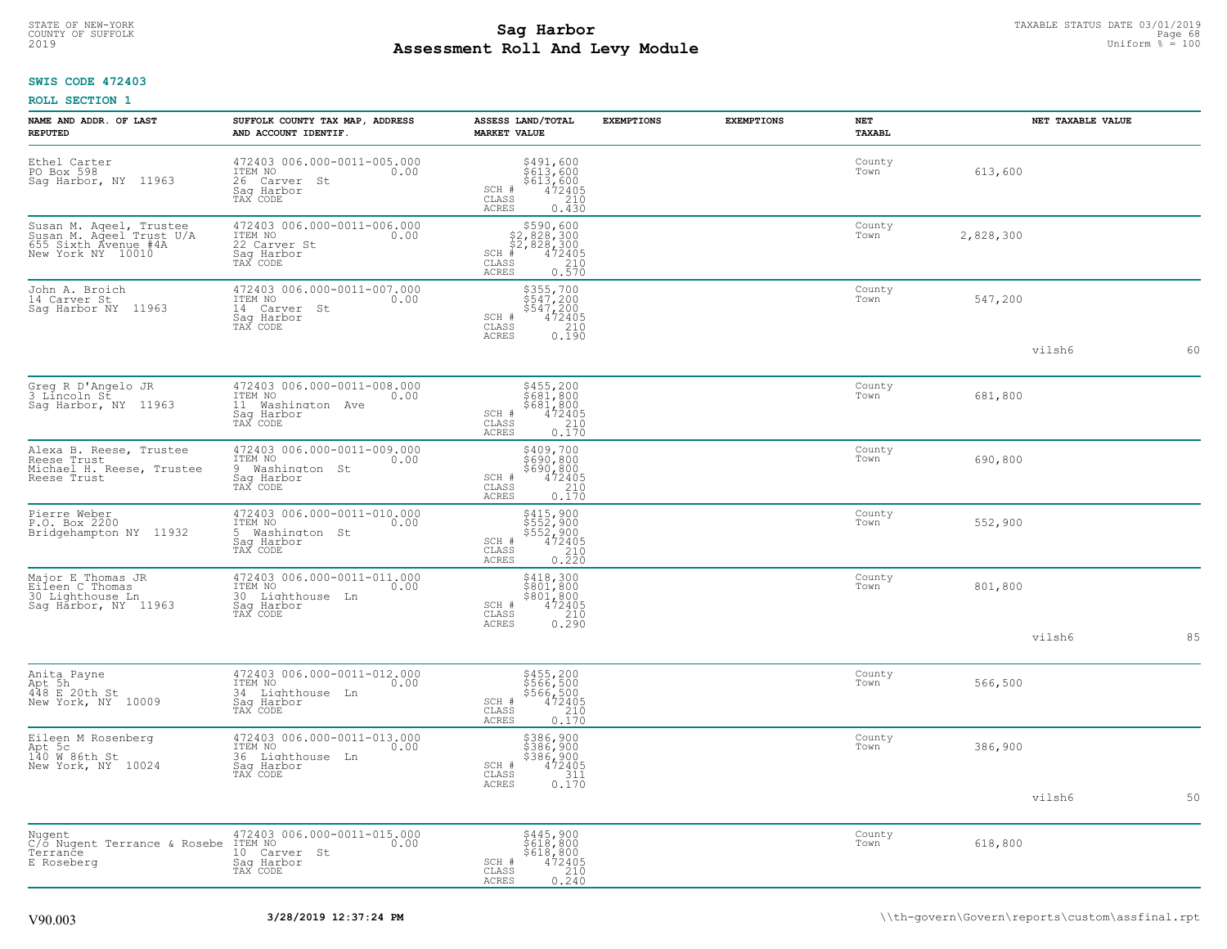#### **Sag Harbor** TAXABLE STATUS DATE 03/01/2019<br>Poll and Louis Module **Assessment Roll And Levy Module** 2019 Uniform % = 100 COUNTY OF SUFFOLK **Example 19 Second COUNTY COUNTY COUNTY OF SUFFOLK** Page 68 Page 68

### **SWIS CODE 472403**

| NAME AND ADDR. OF LAST<br><b>REPUTED</b>                                                         | SUFFOLK COUNTY TAX MAP, ADDRESS<br>AND ACCOUNT IDENTIF.                                       | ASSESS LAND/TOTAL<br><b>MARKET VALUE</b>                                                                                               | <b>EXEMPTIONS</b> | <b>EXEMPTIONS</b> | <b>NET</b><br>TAXABL | NET TAXABLE VALUE |    |
|--------------------------------------------------------------------------------------------------|-----------------------------------------------------------------------------------------------|----------------------------------------------------------------------------------------------------------------------------------------|-------------------|-------------------|----------------------|-------------------|----|
| Ethel Carter<br>PO Box 598<br>Saq Harbor, NY 11963                                               | 472403 006.000-0011-005.000<br>ITEM NO<br>0.00<br>26 Carver St<br>Sag Harbor<br>TAX CODE      | \$491,600<br>\$613,600<br>\$613,600<br>472405<br>210<br>SCH #<br>CLASS<br><b>ACRES</b><br>0.430                                        |                   |                   | County<br>Town       | 613,600           |    |
| Susan M. Aqeel, Trustee<br>Susan M. Aqeel Trust U/A<br>655 Sixth Avenue #4A<br>New York NY 10010 | 472403 006.000-0011-006.000<br>ITEM NO<br>0.00<br>22 Carver St<br>Sag Harbor<br>TAX CODE      | $$590,600$<br>$$2,828,300$<br>$$2,828,300$<br>$472405$<br>$$210$<br>$SCH$ #<br>$\mathtt{CLASS}$<br>0.570<br>ACRES                      |                   |                   | County<br>Town       | 2,828,300         |    |
| John A. Broich<br>14 Carver St<br>Sag Harbor NY 11963                                            | 472403 006.000-0011-007.000<br>ITEM NO<br>0.00<br>14 Carver St<br>Saq Harbor<br>TAX CODE      | $\begin{array}{r} 5355,700 \\ 547,200 \\ 547,200 \\ 472405 \\ 210 \\ 0.190 \end{array}$<br>SCH #<br>$\mathtt{CLASS}$<br><b>ACRES</b>   |                   |                   | County<br>Town       | 547,200           |    |
|                                                                                                  |                                                                                               |                                                                                                                                        |                   |                   |                      | vilsh6            | 60 |
| Greg R D'Angelo JR<br>3 Líncoln St<br>Saq Harbor, NY 11963                                       | 472403 006.000-0011-008.000<br>ITEM NO<br>0.00<br>11 Washington Ave<br>Sag Harbor<br>TAX CODE | \$455,200<br>\$681,800<br>$$681,800$<br>472405<br>472405<br>0.170<br>SCH #<br>$\mathtt{CLASS}$<br><b>ACRES</b>                         |                   |                   | County<br>Town       | 681,800           |    |
| Alexa B. Reese, Trustee<br>Reese Trust<br>Michael H. Reese, Trustee<br>Reese Trust               | 472403 006.000-0011-009.000<br>TTEM NO 0.00<br>9 Washington St<br>Saq Harbor<br>TAX CODE      | \$409,700<br>\$690,800<br>\$690,800<br>472405<br>0.170<br>0.170<br>SCH #<br>CLASS<br>ACRES                                             |                   |                   | County<br>Town       | 690,800           |    |
| Pierre Weber<br>P.O. Box 2200<br>Bridgehampton NY 11932                                          | 472403 006.000-0011-010.000<br>ITEM NO<br>0.00<br>5 Washington St<br>Saq Harbor<br>TAX CODE   | \$415,900<br>\$552,900<br>\$552,900<br>472405<br>SCH #<br>CLASS<br>$\begin{array}{c} 210 \\ 0.220 \end{array}$<br>ACRES                |                   |                   | County<br>Town       | 552,900           |    |
| Major E Thomas JR<br>Eileen C Thomas<br>30 Lighthouse Ln<br>Sag Harbor, NY 11963                 | 472403 006.000-0011-011.000<br>ITEM NO<br>0.00<br>30 Lighthouse Ln<br>Sag Harbor<br>TAX CODE  | \$418,300<br>\$801,800<br>\$801,800<br>SCH #<br>$\frac{472405}{210}$<br>CLASS<br>0.290<br><b>ACRES</b>                                 |                   |                   | County<br>Town       | 801,800           |    |
|                                                                                                  |                                                                                               |                                                                                                                                        |                   |                   |                      | vilsh6            | 85 |
| Anita Payne<br>Apt 5h<br>448 E 20th St<br>New York, NY 10009                                     | 472403 006.000-0011-012.000<br>ITEM NO<br>0.00<br>34 Lighthouse Ln<br>Sag Harbor<br>TAX CODE  | \$455,200<br>\$566,500<br>\$566,500<br>\$472405<br>\$410<br>SCH #<br>CLASS<br>$0.\overline{1}\overline{7}\overline{0}$<br><b>ACRES</b> |                   |                   | County<br>Town       | 566,500           |    |
| Eileen M Rosenberg<br>Apt 5c<br>140 W 86th St<br>New York, NY 10024                              | 472403 006.000-0011-013.000<br>ITEM NO 0.00<br>36 Lighthouse Ln<br>Sag Harbor<br>TAX CODE     | \$386,900<br>\$386,900<br>\$386,900<br>SCH #<br>472405<br>$\mathtt{CLASS}$<br>$\frac{311}{0.170}$<br>ACRES                             |                   |                   | County<br>Town       | 386,900           |    |
|                                                                                                  |                                                                                               |                                                                                                                                        |                   |                   |                      | vilsh6            | 50 |
| Nugent<br>C/o Nugent Terrance & Rosebe ITEM NO<br>Terrance<br>E Roseberg                         | 472403 006.000-0011-015.000<br>0.00<br>10 Carver St<br>Sag Harbor<br>TAX CODE                 | \$445,900<br>\$618,800<br>\$618,800<br>SCH #<br>472405<br>210<br>CLASS<br>0.240<br>ACRES                                               |                   |                   | County<br>Town       | 618,800           |    |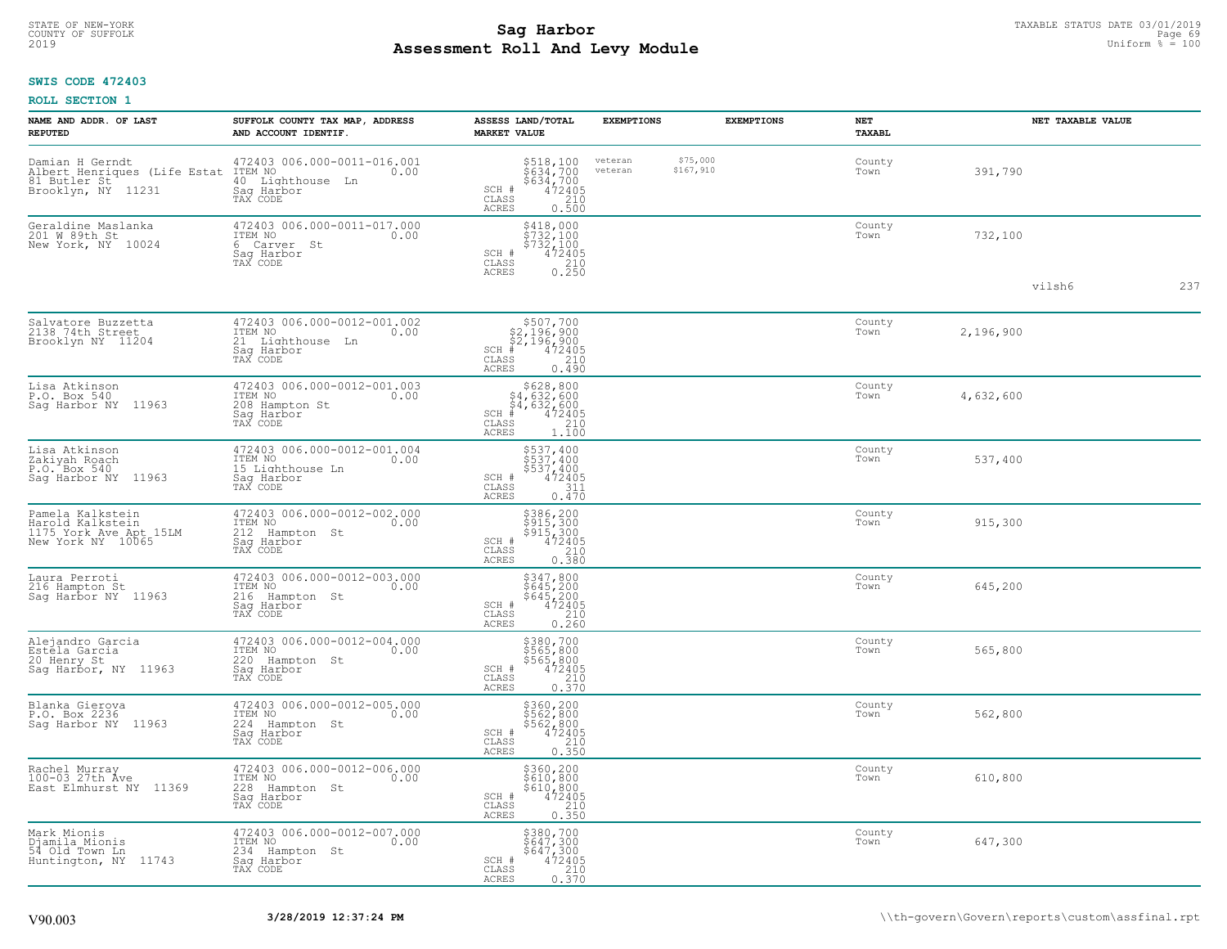#### **Sag Harbor** TAXABLE STATUS DATE 03/01/2019<br>
Poll and Louis Module **Assessment Roll And Levy Module** 2019 Uniform % = 100 COUNTY OF SUFFOLK **Example 19 Second COUNTY COUNTY OF SUFFOLK** Page 69 Page 69

## **SWIS CODE 472403**

|  | <b>ROLL SECTION 1</b> |  |
|--|-----------------------|--|
|--|-----------------------|--|

| NAME AND ADDR. OF LAST<br><b>REPUTED</b>                                              | SUFFOLK COUNTY TAX MAP, ADDRESS<br>AND ACCOUNT IDENTIF.                                       | ASSESS LAND/TOTAL<br><b>MARKET VALUE</b>                                                                                          | <b>EXEMPTIONS</b>  |                       | <b>EXEMPTIONS</b> | NET<br>TAXABL  |           | NET TAXABLE VALUE |     |
|---------------------------------------------------------------------------------------|-----------------------------------------------------------------------------------------------|-----------------------------------------------------------------------------------------------------------------------------------|--------------------|-----------------------|-------------------|----------------|-----------|-------------------|-----|
| Damian H Gerndt<br>Albert Henriques (Life Estat<br>81 Butler St<br>Brooklyn, NY 11231 | 472403 006.000-0011-016.001<br>ITEM NO<br>0.00<br>40 Lighthouse Ln<br>Saq Harbor<br>TAX CODE  | \$518,100<br>\$634,700<br>\$634,700<br>472405<br>SCH #<br>CLASS<br>210<br><b>ACRES</b><br>0.500                                   | veteran<br>veteran | \$75,000<br>\$167,910 |                   | County<br>Town | 391,790   |                   |     |
| Geraldine Maslanka<br>201 W 89th St<br>New York, NY 10024                             | 472403 006.000-0011-017.000<br>ITEM NO<br>0.00<br>6 Carver St<br>Sag Harbor<br>TAX CODE       | $\begin{array}{r} 5418,000\\ 5732,100\\ 5732,100\\ 472405\\ 210\\ 0.250 \end{array}$<br>SCH #<br>CLASS<br><b>ACRES</b>            |                    |                       |                   | County<br>Town | 732,100   |                   |     |
|                                                                                       |                                                                                               |                                                                                                                                   |                    |                       |                   |                |           | vilsh6            | 237 |
| Salvatore Buzzetta<br>2138 74th Street<br>Brooklyn NY 11204                           | 472403 006.000-0012-001.002<br>ITEM NO<br>0.00<br>21 Lighthouse Ln<br>Saq Harbor<br>TAX CODE  | \$507,700<br>\$2,196,900<br>\$2,196,900<br>$SCH$ #<br>472405<br>CLASS<br>210<br><b>ACRES</b><br>0.490                             |                    |                       |                   | County<br>Town | 2,196,900 |                   |     |
| Lisa Atkinson<br>P.O. Box 540<br>Saq Harbor NY 11963                                  | 472403 006.000-0012-001.003<br>ITEM NO<br>0.00<br>208 Hampton St<br>Sag Harbor<br>TAX CODE    | $$628, 800$<br>$$4, 632, 600$<br>$$4, 632, 600$<br>$$4, 632, 600$<br>$472405$<br>$SCH$ #<br>CLASS<br>210<br><b>ACRES</b><br>1.100 |                    |                       |                   | County<br>Town | 4,632,600 |                   |     |
| Lisa Atkinson<br>Zakiyah Roach<br>P.O. Box 540<br>Saq Harbor NY 11963                 | 472403 006.000-0012-001.004<br>ITEM NO 0.00<br>15 Lighthouse Ln<br>Saq Harbor<br>TAX CODE     | \$537,400<br>$$537,400$<br>$$537,400$<br>SCH #<br>472405<br>311<br>$\mathtt{CLASS}$<br>0.470<br><b>ACRES</b>                      |                    |                       |                   | County<br>Town | 537,400   |                   |     |
| Pamela Kalkstein<br>Harold Kalkstein<br>1175 York Ave Apt 15LM<br>New York NY 10065   | 472403 006.000-0012-002.000<br>TTEM NO 0.00<br>212 Hampton St<br>Sag Harbor<br>TAX CODE       | \$386,200<br>\$915,300<br>\$915,300<br>472405<br>SCH #<br>CLASS<br>210<br><b>ACRES</b><br>0.380                                   |                    |                       |                   | County<br>Town | 915,300   |                   |     |
| Laura Perroti<br>216 Hampton St<br>Saq Harbor NY 11963                                | 472403 006.000-0012-003.000<br>ITEM NO<br>0.00<br>216<br>Hampton St<br>Sag Harbor<br>TAX CODE | \$347,800<br>\$645,200<br>\$645,200<br>472405<br>SCH #<br>210<br>CLASS<br><b>ACRES</b><br>0.260                                   |                    |                       |                   | County<br>Town | 645,200   |                   |     |
| Alejandro Garcia<br>Estéla Garcia<br>20 Henry St<br>Sag Harbor, NY 11963              | 472403 006.000-0012-004.000<br>ITEM NO<br>0.00<br>220 Hampton St<br>Sag Harbor<br>TAX CODE    | \$380,700<br>\$565,800<br>\$565,800<br>SCH #<br>$\frac{472405}{210}$<br>CLASS<br>0.370<br><b>ACRES</b>                            |                    |                       |                   | County<br>Town | 565,800   |                   |     |
| Blanka Gierova<br>P.O. Box 2236<br>Sag Harbor NY 11963                                | 472403 006.000-0012-005.000<br>TTEM NO 0.00<br>224 Hampton St<br>Saq Harbor<br>TAX CODE       | \$360,200<br>\$562,800<br>\$562,800<br>\$472405<br>SCH #<br>CLASS<br>$\begin{array}{c} 210 \\ 0.350 \end{array}$<br><b>ACRES</b>  |                    |                       |                   | County<br>Town | 562,800   |                   |     |
| Rachel Murray<br>100-03 27th Ave<br>East Elmhurst NY 11369                            | 472403 006.000-0012-006.000<br>ITEM NO<br>0.00<br>228<br>Hampton St<br>Saq Harbor<br>TAX CODE | \$360,200<br>\$610,800<br>\$610,800<br>472405<br>SCH #<br>CLASS<br>210<br>0.350<br><b>ACRES</b>                                   |                    |                       |                   | County<br>Town | 610,800   |                   |     |
| Mark Mionis<br>Djamila Mionis<br>54 Old Town Ln<br>Huntington, NY 11743               | 472403 006.000-0012-007.000<br>ITEM NO<br>0.00<br>234<br>Hampton St<br>Sag Harbor<br>TAX CODE | \$380,700<br>$$647,300$<br>$$647,300$<br>SCH #<br>$\frac{472405}{210}$<br>CLASS<br>0.370<br>ACRES                                 |                    |                       |                   | County<br>Town | 647,300   |                   |     |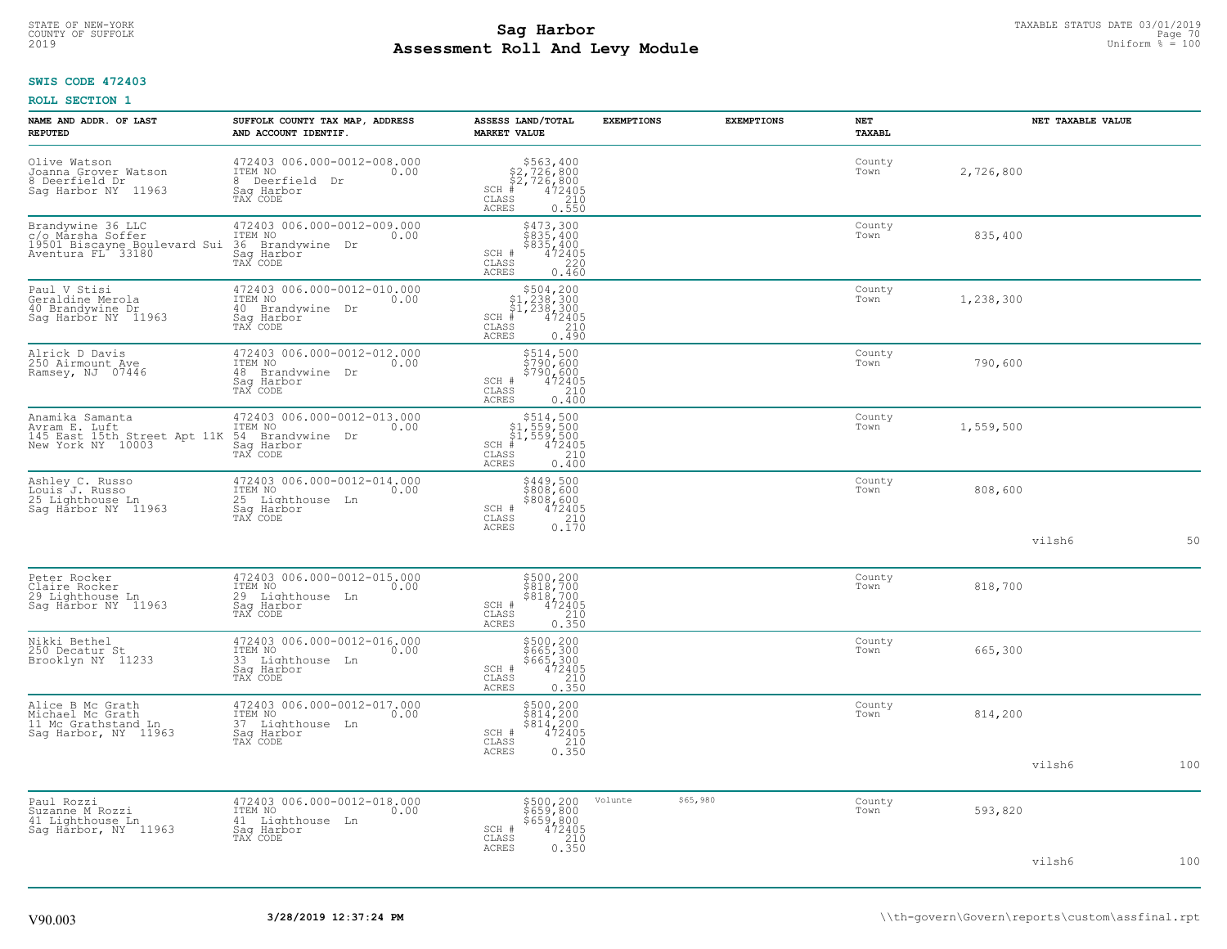# TAXABLE STATUS DATE 03/01/2019<br>COUNTY OF SUFFOLK Page 70 COUNTY OF SUFFOLK Page 70 **Assessment Roll And Levy Module** 2019 Uniform % = 100

## **SWIS CODE 472403**

| NAME AND ADDR. OF LAST<br><b>REPUTED</b>                                                    | SUFFOLK COUNTY TAX MAP, ADDRESS<br>AND ACCOUNT IDENTIF.                                         | ASSESS LAND/TOTAL<br><b>MARKET VALUE</b>                                                                                                         | <b>EXEMPTIONS</b>   | <b>EXEMPTIONS</b> | <b>NET</b><br>TAXABL |           | NET TAXABLE VALUE |     |
|---------------------------------------------------------------------------------------------|-------------------------------------------------------------------------------------------------|--------------------------------------------------------------------------------------------------------------------------------------------------|---------------------|-------------------|----------------------|-----------|-------------------|-----|
| Olive Watson<br>Joanna Grover Watson<br>8 Deerfield Dr<br>Saq Harbor NY 11963               | 472403 006.000-0012-008.000<br>ITEM NO<br>0.00<br>8 Deerfield Dr<br>Saq Harbor<br>TAX CODE      | $$563, 400$<br>$$2, 726, 800$<br>$$2, 726, 800$<br>$*$ 472405<br>$SCH$ #<br>CLASS<br>$\begin{array}{c} 210 \\ 0.550 \end{array}$<br><b>ACRES</b> |                     |                   | County<br>Town       | 2,726,800 |                   |     |
| Brandywine 36 LLC<br>c/o Marsha Soffer<br>19501 Biscayne Boulevard Sui<br>Aventura FL 33180 | 472403 006.000-0012-009.000<br>ITEM NO<br>0.00<br>36 Brandywine Dr<br>Sag Harbor<br>TAX CODE    | \$473,300<br>\$835,400<br>\$835,400<br>472405<br>SCH #<br>$\mathtt{CLASS}$<br>220<br><b>ACRES</b><br>0.460                                       |                     |                   | County<br>Town       | 835,400   |                   |     |
| Paul V Stisi<br>Geraldine Merola<br>40 Brandywine Dr<br>Sag Harbor NY 11963                 | 472403 006.000-0012-010.000<br>TTEM NO 0.00<br>40 Brandywine Dr<br>Sag Harbor<br>TAX CODE       | $\begin{array}{r} 504, 200 \\ 51, 238, 300 \\ 51, 238, 300 \\ * \\ * \\ 55 \end{array}$<br>SCH #<br>CLASS<br><b>ACRES</b><br>0.490               |                     |                   | County<br>Town       | 1,238,300 |                   |     |
| Alrick D Davis<br>250 Airmount Ave<br>Ramsey, NJ 07446                                      | 472403 006.000-0012-012.000<br>ITEM NO<br>0.00<br>48<br>Brandywine Dr<br>Saq Harbor<br>TAX CODE | \$514,500<br>\$790,600<br>\$790,600<br>SCH #<br>472405<br>CLASS<br>$\frac{210}{0.400}$<br>ACRES                                                  |                     |                   | County<br>Town       | 790,600   |                   |     |
| Anamika Samanta<br>Avram E. Luft<br>145 East 15th Street Apt 11K<br>New York NY 10003       | 472403 006.000-0012-013.000<br>54 Brandywine Dr<br>Saq Harbor<br>TAX CODE                       | $$514,500$<br>$$1,559,500$<br>$$1,559,500$<br>$472405$<br>$$240$<br>$$240$<br>SCH<br>CLASS<br><b>ACRES</b><br>0.400                              |                     |                   | County<br>Town       | 1,559,500 |                   |     |
| Ashley C. Russo<br>Louis J. Russo<br>25 Lighthouse Ln<br>Sag Harbor NY 11963                | 472403 006.000-0012-014.000<br>ITEM NO<br>0.00<br>25 Lighthouse Ln<br>Sag Harbor<br>TAX CODE    | \$449,500<br>\$808,600<br>\$808,600<br>SCH #<br>$\begin{smallmatrix} 472405\ 210\ 0.170 \end{smallmatrix}$<br>$\mathtt{CLASS}$<br><b>ACRES</b>   |                     |                   | County<br>Town       | 808,600   |                   |     |
|                                                                                             |                                                                                                 |                                                                                                                                                  |                     |                   |                      |           | vilsh6            | 50  |
| Peter Rocker<br>Claire Rocker<br>29 Lighthouse Ln<br>Sag Harbor NY 11963                    | 472403 006.000-0012-015.000<br>ITEM NO<br>0.00<br>29 Lighthouse Ln<br>Sag Harbor<br>TAX CODE    | \$500,200<br>\$818,700<br>\$818,700<br>SCH #<br>$\frac{472405}{210}$<br>CLASS<br>ACRES<br>0.350                                                  |                     |                   | County<br>Town       | 818,700   |                   |     |
| Nikki Bethel<br>250 Decatur St<br>Brooklyn NY 11233                                         | 472403 006.000-0012-016.000<br>ITEM NO<br>0.00<br>33 Lighthouse Ln<br>Saq Harbor<br>TAX CODE    | \$500,200<br>\$665,300<br>\$665,300<br>472405<br>SCH #<br>CLASS<br>$\frac{210}{0.350}$<br><b>ACRES</b>                                           |                     |                   | County<br>Town       | 665,300   |                   |     |
| Alice B Mc Grath<br>Michael Mc Grath<br>11 Mc Grathstand Ln<br>Sag Harbor, NY 11963         | 472403 006.000-0012-017.000<br>ITEM NO<br>0.00<br>37 Lighthouse Ln<br>Saq Harbor<br>TAX CODE    | \$500,200<br>\$814,200<br>\$814,200<br>472405<br>SCH #<br>$\mathtt{CLASS}$<br>$\begin{array}{c} 210 \\ 0.350 \end{array}$<br><b>ACRES</b>        |                     |                   | County<br>Town       | 814,200   |                   |     |
|                                                                                             |                                                                                                 |                                                                                                                                                  |                     |                   |                      |           | vilsh6            | 100 |
| Paul Rozzi<br>Suzanne M Rozzi<br>41 Lighthouse Ln<br>Sag Harbor, NY 11963                   | 472403 006.000-0012-018.000<br>ITEM NO<br>0.00<br>41 Lighthouse Ln<br>Saq Harbor<br>TAX CODE    | \$500,200<br>\$659,800<br>\$659,800<br>\$659,800<br>\$72405<br>\$72405<br>\$750<br>SCH #<br>CLASS<br><b>ACRES</b>                                | Volunte<br>\$65,980 |                   | County<br>Town       | 593,820   |                   |     |
|                                                                                             |                                                                                                 |                                                                                                                                                  |                     |                   |                      |           | vilsh6            | 100 |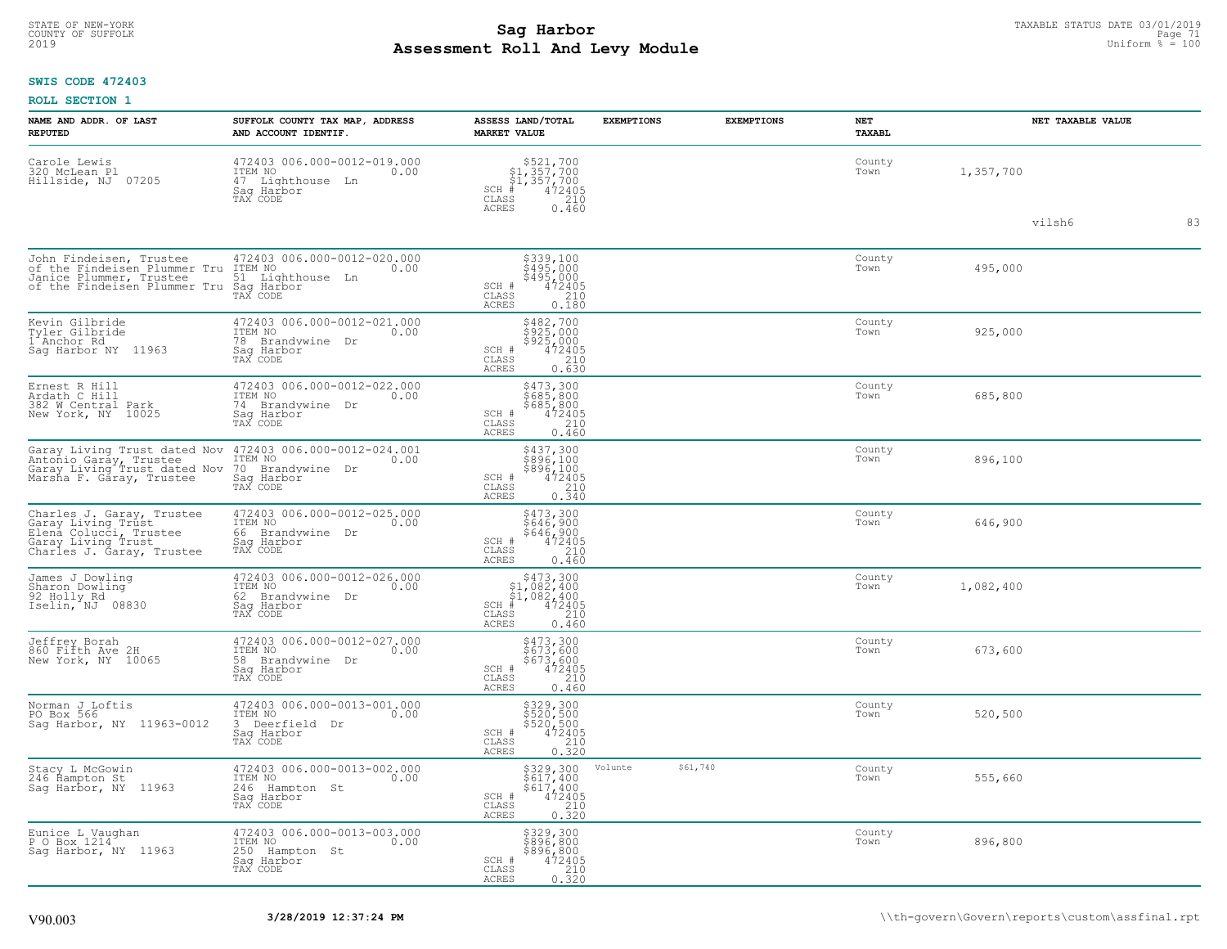#### **Sag Harbor** TAXABLE STATUS DATE 03/01/2019<br>
Poll and Louis Module **Assessment Roll And Levy Module** 2019 Uniform % = 100 COUNTY OF SUFFOLK Page 71

## **SWIS CODE 472403**

| NAME AND ADDR. OF LAST<br><b>REPUTED</b>                                                                                     | SUFFOLK COUNTY TAX MAP, ADDRESS<br>AND ACCOUNT IDENTIF.                                            | ASSESS LAND/TOTAL<br><b>MARKET VALUE</b>                                                                                                        | <b>EXEMPTIONS</b> | <b>EXEMPTIONS</b> | NET<br><b>TAXABL</b> | NET TAXABLE VALUE |    |
|------------------------------------------------------------------------------------------------------------------------------|----------------------------------------------------------------------------------------------------|-------------------------------------------------------------------------------------------------------------------------------------------------|-------------------|-------------------|----------------------|-------------------|----|
| Carole Lewis<br>320 McLean Pl<br>Hillside, NJ 07205                                                                          | 472403 006.000-0012-019.000<br>TTEM NO 0.00<br>0.00<br>47 Lighthouse Ln<br>Saq Harbor<br>TAX CODE  | $$521,700$<br>$$1,357,700$<br>$$1,357,700$<br>$472405$<br>$$210$<br>$SCH$ #<br>CLASS<br><b>ACRES</b><br>0.460                                   |                   |                   | County<br>Town       | 1,357,700         |    |
|                                                                                                                              |                                                                                                    |                                                                                                                                                 |                   |                   |                      | vilsh6            | 83 |
| John Findeisen, Trustee<br>of the Findeisen Plummer Tru<br>Janice Plummer, Trustee<br>of the Findeisen Plummer Tru           | 472403 006.000-0012-020.000<br>ITEM NO<br>0.00<br>51 Lighthouse Ln<br>Saq Harbor<br>TAX CODE       | \$339,100<br>\$495,000<br>\$495,000<br>472405<br>SCH #<br>CLASS<br>$\frac{210}{0.180}$<br>ACRES                                                 |                   |                   | County<br>Town       | 495,000           |    |
| Kevin Gilbride<br>Tyler Gilbride<br>1 Anchor Rd<br>Sag Harbor NY 11963                                                       | 472403 006.000-0012-021.000<br>ITEM NO<br>0.00<br>78<br>Brandywine<br>Dr<br>Sag Harbor<br>TAX CODE | $$482,700$<br>$$925,000$<br>$$925,000$<br>$$472405$<br>$0.230$<br>SCH #<br>CLASS<br><b>ACRES</b><br>0.630                                       |                   |                   | County<br>Town       | 925,000           |    |
| Ernest R Hill<br>Ardath C Hill<br>382 W Central Park<br>New York, NY 10025                                                   | 472403 006.000-0012-022.000<br>ITEM NO<br>0.00<br>74 Brandvwine Dr<br>Saq Harbor<br>TAX CODE       | \$473,300<br>\$685,800<br>\$685,800<br>SCH #<br>472405<br>$\mathtt{CLASS}$<br>210<br>0.460<br>ACRES                                             |                   |                   | County<br>Town       | 685,800           |    |
| Garay Living Trust dated Nov<br>Antoñio Garáy, Trustee<br>Garay Living Trust dated Nov<br>Marsha F. Gāray, Trustee           | 472403 006.000-0012-024.001<br>ITEM NO<br>0.00<br>70 Brandywine Dr<br>Saq Harbor<br>TAX CODE       | \$437,300<br>\$896,100<br>\$896,100<br>SCH #<br>472405<br>CLASS<br>210<br>ACRES<br>0.340                                                        |                   |                   | County<br>Town       | 896,100           |    |
| Charles J. Garay, Trustee<br>Garay Living Trust<br>Elena Colucci, Trustee<br>Garay Living Trust<br>Charles J. Garay, Trustee | 472403 006.000-0012-025.000<br>ITEM NO<br>0.00<br>66 Brandvwine Dr<br>Sag Harbor<br>TAX CODE       | \$473,300<br>\$646,900<br>\$646,900<br>472405<br>SCH #<br>CLASS<br>210<br><b>ACRES</b><br>0.460                                                 |                   |                   | County<br>Town       | 646,900           |    |
| James J Dowling<br>Sharon Dowling<br>92 Holly Rd<br>Iselin, NJ 08830                                                         | 472403 006.000-0012-026.000<br>ITEM NO<br>0.00<br>62<br>Brandywine Dr<br>Sag Harbor<br>TAX CODE    | $$473,300$<br>$$1,082,400$<br>$$1,082,400$<br>$472405$<br>$$210$<br>$SCH$ #<br>CLASS<br>0.460<br><b>ACRES</b>                                   |                   |                   | County<br>Town       | 1,082,400         |    |
| Jeffrey Borah<br>860 Fifth Ave 2H<br>New York, NY 10065                                                                      | 472403 006.000-0012-027.000<br>ITEM NO<br>0.00<br>58<br>Brandvwine<br>Dr<br>Sag Harbor<br>TAX CODE | \$473,300<br>\$673,600<br>\$673,600<br>472405<br>210<br>$\begin{array}{c} \text{SCH} \ \# \\ \text{CLASS} \end{array}$<br>0.460<br><b>ACRES</b> |                   |                   | County<br>Town       | 673,600           |    |
| Norman J Loftis<br>PO Box 566<br>Sag Harbor, NY 11963-0012                                                                   | 472403 006.000-0013-001.000<br>ITEM NO<br>0.00<br>3 Deerfield Dr<br>Saq Harbor<br>TAX CODE         | \$329,300<br>\$520,500<br>\$520,500<br>472405<br>SCH #<br>$\mathtt{CLASS}$<br>$\begin{array}{c} 210 \\ 0.320 \end{array}$<br>ACRES              |                   |                   | County<br>Town       | 520,500           |    |
| Stacy L McGowin<br>246 Hampton St<br>Saq Harbor, NY 11963                                                                    | 472403 006.000-0013-002.000<br>TTEM NO 0.00<br>246 Hampton St<br>Saq Harbor<br>TAX CODE            | \$329,300<br>\$617,400<br>\$617,400<br>472405<br>SCH #<br>$\mathtt{CLASS}$<br>$\begin{array}{c} 210 \\ 0.320 \end{array}$<br><b>ACRES</b>       | Volunte           | \$61,740          | County<br>Town       | 555,660           |    |
| Eunice L Vaughan<br>P 0 Box 1214<br>Sag Harbor, NY 11963                                                                     | 472403 006.000-0013-003.000<br>ITEM NO<br>0.00<br>250<br>Hampton St<br>Saq Harbor<br>TAX CODE      | \$329,300<br>\$896,800<br>\$896,800<br>\$996,800<br>SCH #<br>CLASS<br>ACRES<br>210<br>0.520                                                     |                   |                   | County<br>Town       | 896,800           |    |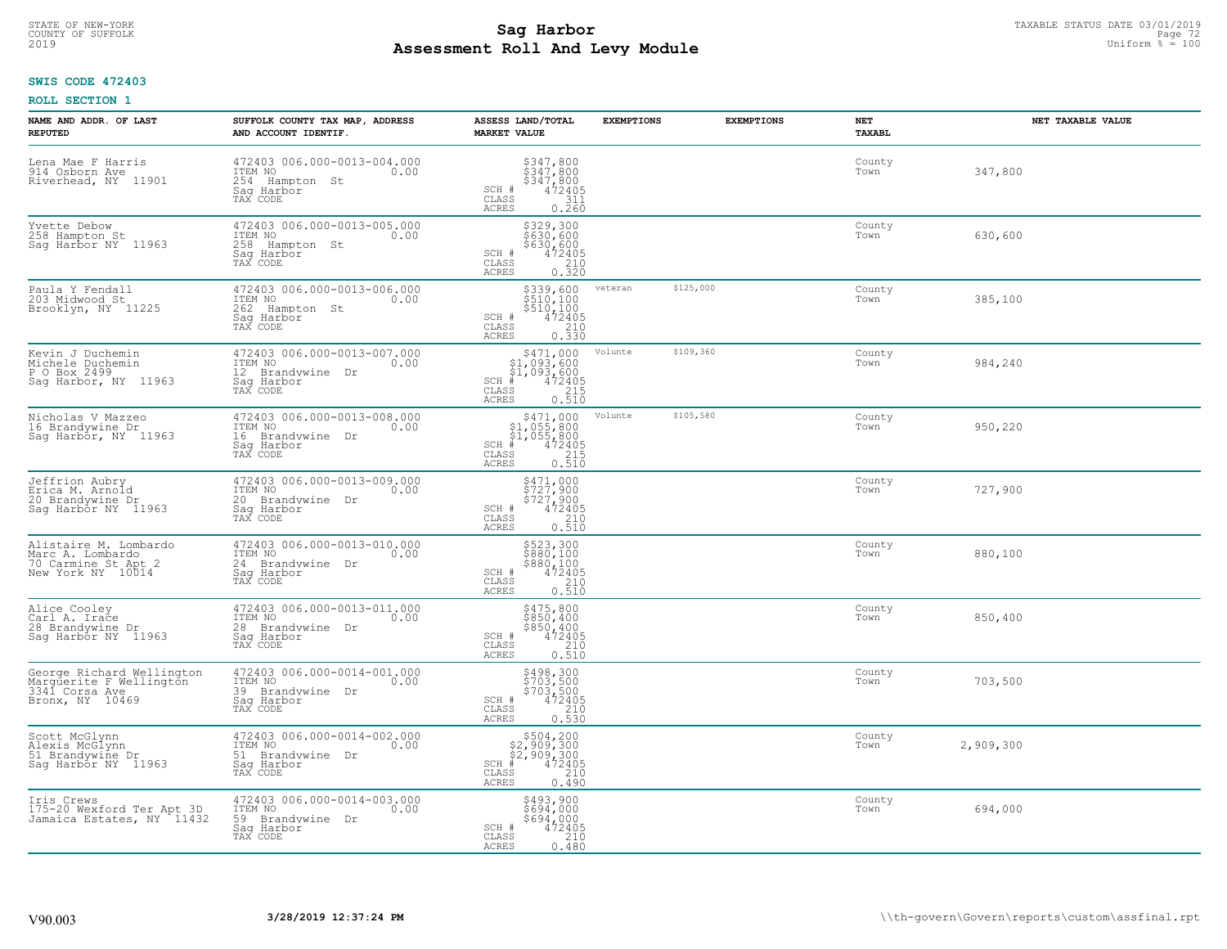# TAXABLE STATUS DATE 03/01/2019<br>COUNTY OF SUFFOLK Page 72 COUNTY OF SUFFOLK Page 72 **Assessment Roll And Levy Module** 2019 Uniform % = 100

# **SWIS CODE 472403**

| NAME AND ADDR. OF LAST<br><b>REPUTED</b>                                                  | SUFFOLK COUNTY TAX MAP, ADDRESS<br>AND ACCOUNT IDENTIF.                                       | ASSESS LAND/TOTAL<br><b>MARKET VALUE</b>                                                                                                          | <b>EXEMPTIONS</b> | <b>EXEMPTIONS</b> | NET<br><b>TAXABL</b> | NET TAXABLE VALUE |
|-------------------------------------------------------------------------------------------|-----------------------------------------------------------------------------------------------|---------------------------------------------------------------------------------------------------------------------------------------------------|-------------------|-------------------|----------------------|-------------------|
| Lena Mae F Harris<br>914 Osborn Ave<br>Riverhead, NY 11901                                | 472403 006.000-0013-004.000<br>ITEM NO<br>0.00<br>254 Hampton St<br>Saq Harbor<br>TAX CODE    | $\begin{array}{r} 5347, 800 \\ 5347, 800 \\ 5347, 800 \\ 472405 \\ 311 \\ 0.260 \end{array}$<br>SCH #<br>CLASS<br>ACRES                           |                   |                   | County<br>Town       | 347,800           |
| Yvette Debow<br>258 Hampton St<br>Sag Harbor NY 11963                                     | 472403 006.000-0013-005.000<br>ITEM NO<br>0.00<br>258 Hampton St<br>Sag Harbor<br>TAX CODE    | \$329,300<br>\$630,600<br>\$630,600<br>SCH #<br>472405<br>210<br>CLASS<br>0.320<br>ACRES                                                          |                   |                   | County<br>Town       | 630,600           |
| Paula Y Fendall<br>203 Midwood St<br>Brooklyn, NY 11225                                   | 472403 006.000-0013-006.000<br>ITEM NO<br>0.00<br>262<br>Hampton St<br>Saq Harbor<br>TAX CODE | \$339,600<br>\$510,100<br>$\begin{array}{r} 510,100 \\ 472405 \\ 210 \\ 0.330 \end{array}$<br>SCH #<br>CLASS<br>ACRES                             | veteran           | \$125,000         | County<br>Town       | 385,100           |
| Kevin J Duchemin<br>Michele Duchemin<br>P O Box 2499<br>Sag Harbor, NY 11963              | 472403 006.000-0013-007.000<br>ITEM NO<br>0.00<br>12 Brandvwine Dr<br>Saq Harbor<br>TAX CODE  | \$471,000<br>\$1,093,600<br>\$1,093,600<br>$472405$<br>$215$<br>0.510<br>SCH #<br>CLASS<br>ACRES                                                  | Volunte           | \$109,360         | County<br>Town       | 984,240           |
| Nicholas V Mazzeo<br>16 Brandywine Dr<br>Sag Harbor, NY 11963                             | 472403 006.000-0013-008.000<br>ITEM NO<br>0.00<br>16 Brandywine Dr<br>Saq Harbor<br>TAX CODE  | \$471,000<br>$\begin{array}{r} 347.1,0000\\ 51,055,800\\ 472405\\ \text{ss} \\ 215\\ \text{ss} \\ 0.510 \end{array}$<br>$SCH$ #<br>CLASS<br>ACRES | Volunte           | \$105,580         | County<br>Town       | 950,220           |
| Jeffrion Aubry<br>Erica M. Arnold<br>20 Brandywine Dr<br>Sag Harbor NY 11963              | 472403 006.000-0013-009.000<br>ITEM NO<br>0.00<br>20 Brandywine Dr<br>Sag Harbor<br>TAX CODE  | $\begin{array}{c} 5471,000 \\ 5727,900 \\ 5727,900 \\ 472405 \\ 210 \\ 0.510 \end{array}$<br>SCH #<br>$\mathtt{CLASS}$<br>ACRES                   |                   |                   | County<br>Town       | 727,900           |
| Alistaire M. Lombardo<br>Marc A. Lombardo<br>70 Carmine St Apt 2<br>New York NY 10014     | 472403 006.000-0013-010.000<br>ITEM NO<br>0.00<br>24 Brandywine Dr<br>Saq Harbor<br>TAX CODE  | \$523,300<br>\$880,100<br>\$880,100<br>\$880,100<br>\$72405<br>0.510<br>SCH #<br>CLASS<br>ACRES                                                   |                   |                   | County<br>Town       | 880,100           |
| Alice Cooley<br>Carl A. Irace<br>28 Brandywine Dr<br>Sag Harbor NY 11963                  | 472403 006.000-0013-011.000<br>ITEM NO<br>0.00<br>28 Brandywine Dr<br>Saq Harbor<br>TAX CODE  | \$475,800<br>\$850,400<br>$$850,400$<br>472405<br>210<br>SCH #<br>CLASS<br>ACRES<br>0.510                                                         |                   |                   | County<br>Town       | 850,400           |
| George Richard Wellington<br>Marguerite F Wellington<br>3341 Corsa Ave<br>Bronx, NY 10469 | 472403 006.000-0014-001.000<br>TTEM NO 0.00<br>39 Brandvwine Dr<br>Saq Harbor<br>TAX CODE     | \$498,300<br>\$703,500<br>\$703,500<br>\$703,500<br>\$72405<br>\$210<br>\$210<br>\$250.530<br>SCH #<br>CLASS<br><b>ACRES</b>                      |                   |                   | County<br>Town       | 703,500           |
| Scott McGlynn<br>Alexis McGlynn<br>51 Brandywine Dr<br>Sag Harbor NY 11963                | 472403 006.000-0014-002.000<br>ITEM NO<br>0.00<br>51 Brandywine Dr<br>Sag Harbor<br>TAX CODE  | $$504, 200$<br>$$2, 909, 300$<br>$$2, 909, 300$<br>$472405$<br>$$210$<br>SCH<br>CLASS<br>ACRES<br>0.490                                           |                   |                   | County<br>Town       | 2,909,300         |
| Iris Crews<br>175-20 Wexford Ter Apt 3D<br>Jamaica Estates, NY 11432                      | 472403 006.000-0014-003.000<br>ITEM NO<br>0.00<br>59 Brandywine Dr<br>Sag Harbor<br>TAX CODE  | \$493,900<br>\$694,000<br>\$694,000<br>SCH #<br>472405<br>210<br>CLASS<br>ACRES<br>0.480                                                          |                   |                   | County<br>Town       | 694,000           |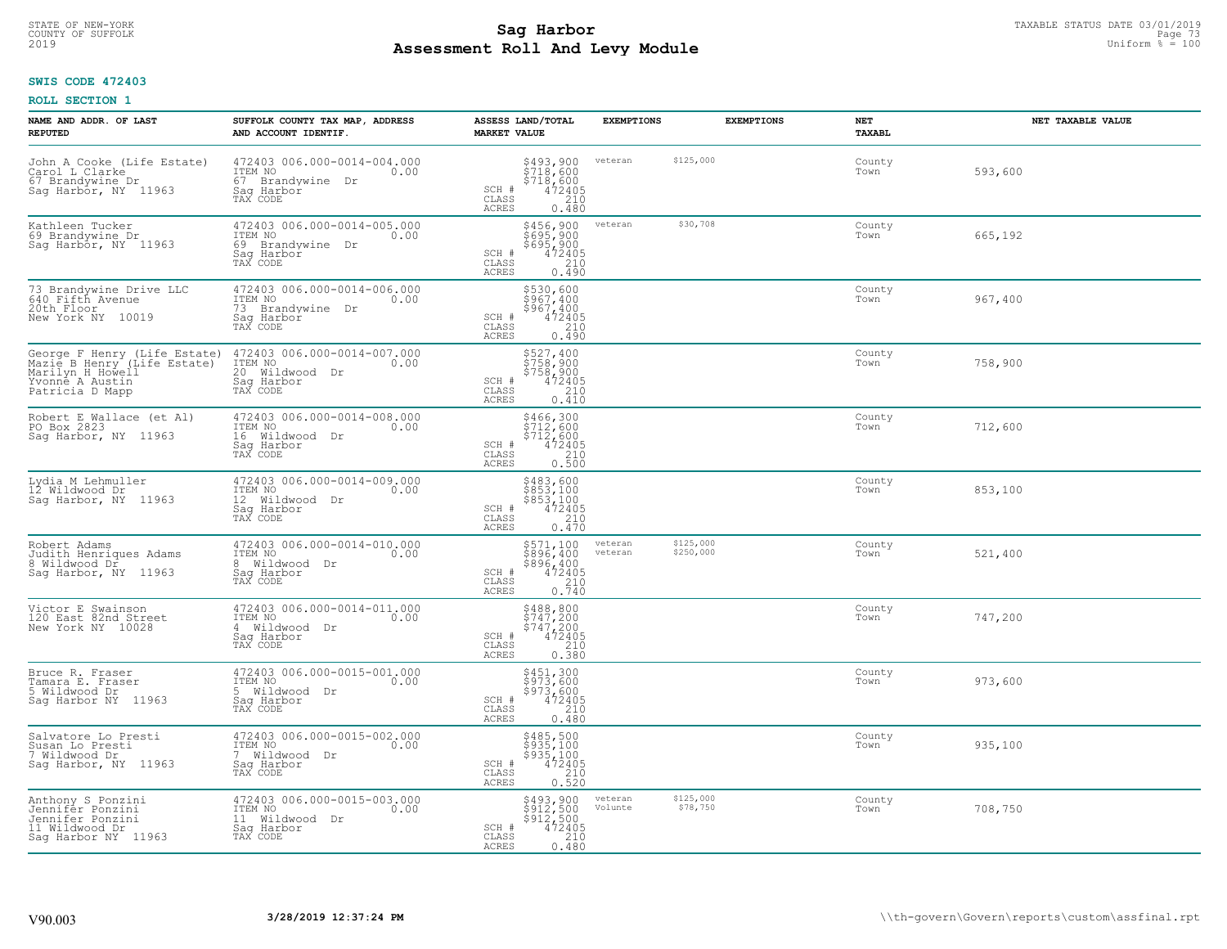# TAXABLE STATUS DATE 03/01/2019<br>COUNTY OF SUFFOLK Page 73 **Assessment Roll And Levy Module** 2019 Uniform % = 100

## **SWIS CODE 472403**

| NAME AND ADDR. OF LAST<br><b>REPUTED</b>                                                                                           | SUFFOLK COUNTY TAX MAP, ADDRESS<br>AND ACCOUNT IDENTIF.                                         | ASSESS LAND/TOTAL<br><b>MARKET VALUE</b>                                                                                                                                                                                  | <b>EXEMPTIONS</b>  | <b>EXEMPTIONS</b>      | NET<br><b>TAXABL</b> | NET TAXABLE VALUE |
|------------------------------------------------------------------------------------------------------------------------------------|-------------------------------------------------------------------------------------------------|---------------------------------------------------------------------------------------------------------------------------------------------------------------------------------------------------------------------------|--------------------|------------------------|----------------------|-------------------|
| John A Cooke (Life Estate)<br>Carol L Clarke<br>67 Brandywine Dr<br>Sag Harbor, NY 11963                                           | 472403 006.000-0014-004.000<br>ITEM NO<br>0.00<br>67 Brandvwine<br>Dr<br>Saq Harbor<br>TAX CODE | \$493,900<br>\$718,600<br>\$718,600<br>\$472405<br>\$410<br>SCH #<br>CLASS<br><b>ACRES</b><br>0.480                                                                                                                       | veteran            | \$125,000              | County<br>Town       | 593,600           |
| Kathleen Tucker<br>69 Brandywine Dr<br>Sag Harbor, NY 11963                                                                        | 472403 006.000-0014-005.000<br>ITEM NO<br>0.00<br>69 Brandywine Dr<br>Saq Harbor<br>TAX CODE    | \$456,900<br>\$695,900<br>\$695,900<br>472405<br>SCH #<br>$\mathtt{CLASS}$<br>210<br>ACRES<br>0.490                                                                                                                       | veteran            | \$30,708               | County<br>Town       | 665,192           |
| 73 Brandywine Drive LLC<br>640 Fifth Avenue<br>20th Floor<br>New York NY 10019                                                     | 472403 006.000-0014-006.000<br>ITEM NO<br>0.00<br>73 Brandvwine Dr<br>Saq Harbor<br>TAX CODE    | \$530,600<br>\$967,400<br>\$967,400<br>SCH #<br>472405<br>CLASS<br>210<br>0.490<br>ACRES                                                                                                                                  |                    |                        | County<br>Town       | 967,400           |
| George F Henry (Life Estate)<br>Mazie B Henry <sup>-</sup> (Life Estate)<br>Marilyn H Howell<br>Yvonne A Austin<br>Patricia D Mapp | 472403 006.000-0014-007.000<br>ITEM NO<br>0.00<br>20 Wildwood Dr<br>Saq Harbor<br>TAX CODE      | \$527,400<br>\$758,900<br>$$758,900$<br>472405<br>210<br>SCH #<br>CLASS<br>0.410<br><b>ACRES</b>                                                                                                                          |                    |                        | County<br>Town       | 758,900           |
| Robert E Wallace (et Al)<br>PO Box 2823<br>Sag Harbor, NY 11963                                                                    | 472403 006.000-0014-008.000<br>ITEM NO<br>0.00<br>16 Wildwood Dr<br>Saq Harbor<br>TAX CODE      | \$466,300<br>$\frac{1}{2}$ <sup>7</sup> <sup>12</sup> , 600<br>\$712,600<br>SCH #<br>$\begin{array}{r} 472405 \\ 210 \\ 0.500 \end{array}$<br>CLASS<br>ACRES                                                              |                    |                        | County<br>Town       | 712,600           |
| Lydia M Lehmuller<br>12 Wildwood Dr<br>Sag Harbor, NY 11963                                                                        | 472403 006.000-0014-009.000<br>ITEM NO<br>0.00<br>12 Wildwood Dr<br>Saq Harbor<br>TAX CODE      | \$483,600<br>\$853,100<br>\$853,100<br>472405<br>SCH #<br>CLASS<br>210<br><b>ACRES</b><br>0.470                                                                                                                           |                    |                        | County<br>Town       | 853,100           |
| Robert Adams<br>Judith Henriques Adams<br>8 Wildwood Dr<br>Saq Harbor, NY 11963                                                    | 472403 006.000-0014-010.000<br>ITEM NO<br>0.00<br>8 Wildwood Dr<br>Saq Harbor<br>TAX CODE       | $\begin{array}{r} \text{\small $5571,100} \\ \text{\small $896,400} \\ \text{\small $896,400} \\ \text{\small $472405} \\ \text{\small $0.740} \\ \text{\small $0.740} \end{array}$<br>SCH #<br>$\mathtt{CLASS}$<br>ACRES | veteran<br>veteran | \$125,000<br>\$250,000 | County<br>Town       | 521,400           |
| Victor E Swainson<br>120 East 82nd Street<br>New York NY 10028                                                                     | 472403 006.000-0014-011.000<br>ITEM NO 0.00<br>4 Wildwood Dr<br>Saq Harbor<br>TAX CODE          | $\begin{array}{c}\n 5488, 800 \\  5747, 200 \\  5747, 200 \\  472405 \\  \hline\n 210\n \end{array}$<br>SCH #<br>CLASS<br>0.380<br>ACRES                                                                                  |                    |                        | County<br>Town       | 747,200           |
| Bruce R. Fraser<br>Tamara E. Fraser<br>5 Wildwood Dr<br>Sag Harbor NY 11963                                                        | 472403 006.000-0015-001.000<br>ITEM NO 0.00<br>5 Wildwood Dr<br>Saq Harbor<br>TAX CODE          | \$451,300<br>\$973,600<br>\$973,600<br>SCH #<br>472405<br>210<br>CLASS<br>ACRES<br>0.480                                                                                                                                  |                    |                        | County<br>Town       | 973,600           |
| Salvatore Lo Presti<br>Susan Lo Presti<br>7 Wildwood Dr<br>Sag Harbor, NY 11963                                                    | 472403 006.000-0015-002.000<br>ITEM NO<br>0.00<br>7 Wildwood Dr<br>Sag Harbor<br>TAX CODE       | \$485,500<br>\$935,100<br>\$935,100<br>472405<br>SCH #<br>$\frac{210}{0.520}$<br>CLASS<br><b>ACRES</b>                                                                                                                    |                    |                        | County<br>Town       | 935,100           |
| Anthony S Ponzini<br>Jennifēr Ponzini<br>Jennifer Ponzini<br>11 Wildwood Dr<br>Saq Harbor NY 11963                                 | 472403 006.000-0015-003.000<br>ITEM NO<br>0.00<br>11 Wildwood Dr<br>Saq Harbor<br>TAX CODE      | \$493,900<br>\$912,500<br>\$912,500<br>$\frac{472405}{210}$<br>SCH #<br>$\mathtt{CLASS}$<br>ACRES<br>0.480                                                                                                                | veteran<br>Volunte | \$125,000<br>\$78,750  | County<br>Town       | 708,750           |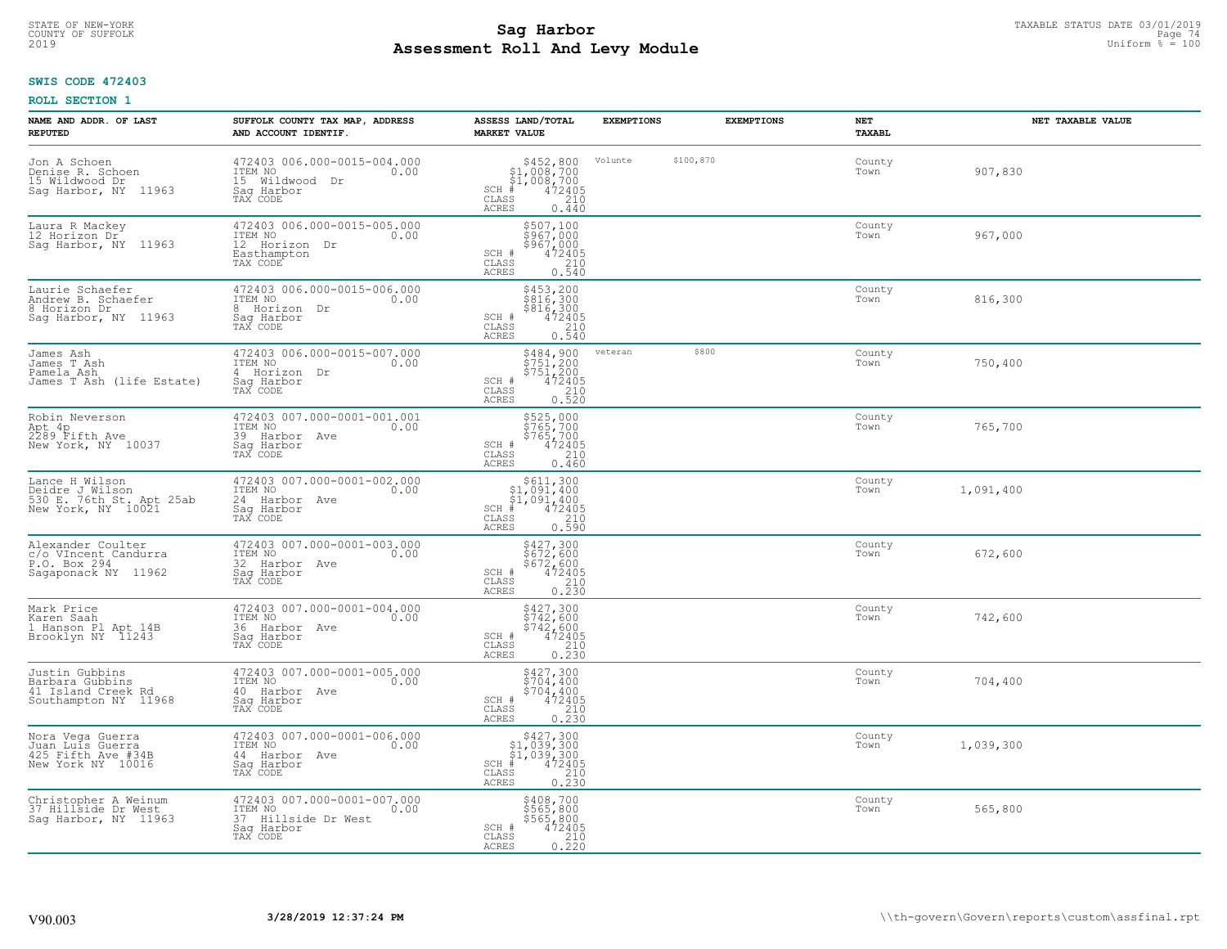# TAXABLE STATUS DATE 03/01/2019<br>COUNTY OF SUFFOLK Page 74 **Assessment Roll And Levy Module** 2019 Uniform % = 100

## **SWIS CODE 472403**

| <b>NAME AND ADDR. OF LAST</b><br><b>REPUTED</b>                                     | SUFFOLK COUNTY TAX MAP, ADDRESS<br>AND ACCOUNT IDENTIF.                                         | ASSESS LAND/TOTAL<br><b>MARKET VALUE</b>                                                                                       | <b>EXEMPTIONS</b> | <b>EXEMPTIONS</b> | NET<br><b>TAXABL</b> | NET TAXABLE VALUE |
|-------------------------------------------------------------------------------------|-------------------------------------------------------------------------------------------------|--------------------------------------------------------------------------------------------------------------------------------|-------------------|-------------------|----------------------|-------------------|
| Jon A Schoen<br>Denise R. Schoen<br>15 Wildwood Dr<br>Sag Harbor, NY 11963          | 472403 006.000-0015-004.000<br>ITEM NO<br>0.00<br>15 Wildwood<br>Dr<br>Saq Harbor<br>TAX CODE   | $$452,800$<br>$$1,008,700$<br>$$1,008,700$<br>$472405$<br>$$240$<br>$$240$<br>$SCH$ #<br>$\mathtt{CLASS}$<br>ACRES<br>0.440    | Volunte           | \$100,870         | County<br>Town       | 907,830           |
| Laura R Mackey<br>12 Horizon Dr<br>Sag Harbor, NY 11963                             | 472403 006.000-0015-005.000<br>ITEM NO<br>0.00<br>12 Horizon Dr<br>Easthampton<br>TAX CODE      | \$507,100<br>\$967,000<br>\$967,000<br>$472405$<br>$210$<br>0.540<br>SCH #<br>CLASS<br>ACRES                                   |                   |                   | County<br>Town       | 967,000           |
| Laurie Schaefer<br>Andrew B. Schaefer<br>8 Horizon Dr<br>Sag Harbor, NY 11963       | 472403 006.000-0015-006.000<br>ITEM NO<br>0.00<br>8 Horizon Dr<br>Sag Harbor<br>TAX CODE        | \$453,200<br>\$816,300<br>\$816,300<br>472405<br>210<br>0.540<br>SCH #<br>CLASS<br>ACRES                                       |                   |                   | County<br>Town       | 816,300           |
| James Ash<br>James T Ash<br>Pamela Ash<br>James T Ash (life Estate)                 | 472403 006.000-0015-007.000<br>ITEM NO<br>0.00<br>4 Horizon Dr<br>Saq Harbor<br>TAX CODE        | $\begin{array}{c} 5484, 900 \\ 5751, 200 \\ 5751, 200 \\ 472405 \\ 210 \\ 0.520 \end{array}$<br>SCH #<br>CLASS<br><b>ACRES</b> | veteran           | \$800             | County<br>Town       | 750,400           |
| Robin Neverson<br>Apt 4p<br>2289 Fifth Ave<br>New York, NY 10037                    | 472403 007.000-0001-001.001<br>ITEM NO<br>0.00<br>39 Harbor Ave<br>Saq Harbor<br>TAX CODE       | \$525,000<br>$$765,700$<br>$$765,700$<br>$$472405$<br>$$210$<br>SCH #<br>CLASS<br>ACRES<br>0.460                               |                   |                   | County<br>Town       | 765,700           |
| Lance H Wilson<br>Deidre J Wilson<br>530 E. 76th St. Apt 25ab<br>New York, NY 10021 | 472403 007.000-0001-002.000<br>ITEM NO<br>0.00<br>24 Harbor Ave<br>Sag Harbor<br>TAX CODE       | $\begin{array}{c} $611,300\n$1,091,400\n$1,091,400\n#1 472405 \end{array}$<br>$SCH$ #<br>CLASS<br>210<br>0.590<br><b>ACRES</b> |                   |                   | County<br>Town       | 1,091,400         |
| Alexander Coulter<br>c/o VIncent Candurra<br>P.O. Box 294<br>Sagaponack NY 11962    | 472403 007.000-0001-003.000<br>ITEM NO<br>0.00<br>32 Harbor Ave<br>Saq Harbor<br>TAX CODE       | \$427,300<br>\$672,600<br>\$672,600<br>472405<br>0.230<br>0.230<br>SCH #<br>$\mathtt{CLASS}$<br>ACRES                          |                   |                   | County<br>Town       | 672,600           |
| Mark Price<br>Karen Saah<br>1 Hanson Pl Apt 14B<br>Brooklyn NY 11243                | 472403 007.000-0001-004.000<br>TTEM NO 0.00<br>36 Harbor Ave<br>Saq Harbor<br>TAX CODE          | $\begin{array}{r} 5427,300 \\ 5742,600 \\ 5742,600 \\ 472405 \\ 210 \\ 0.230 \end{array}$<br>SCH #<br>CLASS<br><b>ACRES</b>    |                   |                   | County<br>Town       | 742,600           |
| Justin Gubbins<br>Barbara Gubbins<br>41 Island Creek Rd<br>Southampton NY 11968     | 472403 007.000-0001-005.000<br>TTEM NO 0.00<br>40 Harbor Ave<br>Saq Harbor<br>TAX CODE          | \$427,300<br>\$704,400<br>$\begin{array}{r} 5704, 400 \\ 472405 \\ 210 \\ 0.230 \end{array}$<br>SCH #<br>CLASS<br><b>ACRES</b> |                   |                   | County<br>Town       | 704,400           |
| Nora Vega Guerra<br>Juan Luís Guerra<br>425 Fifth Ave #34B<br>New York NY 10016     | 472403 007.000-0001-006.000<br>ITEM NO<br>0.00<br>44 Harbor Ave<br>Sag Harbor<br>TAX CODE       | $$427,300$<br>$$1,039,300$<br>$$1,039,300$<br>$472405$<br>$$210$<br>$$210$<br>$SCH$ #<br>CLASS<br>0.230<br><b>ACRES</b>        |                   |                   | County<br>Town       | 1,039,300         |
| Christopher A Weinum<br>37 Hillside Dr West<br>Saq Harbor, NY 11963                 | 472403 007.000-0001-007.000<br>ITEM NO<br>0.00<br>37 Hillside Dr West<br>Sag Harbor<br>TAX CODE | \$408,700<br>\$565,800<br>\$565,800<br>\$565,800<br>\$72405<br>0.220<br>SCH #<br>CLASS<br><b>ACRES</b>                         |                   |                   | County<br>Town       | 565,800           |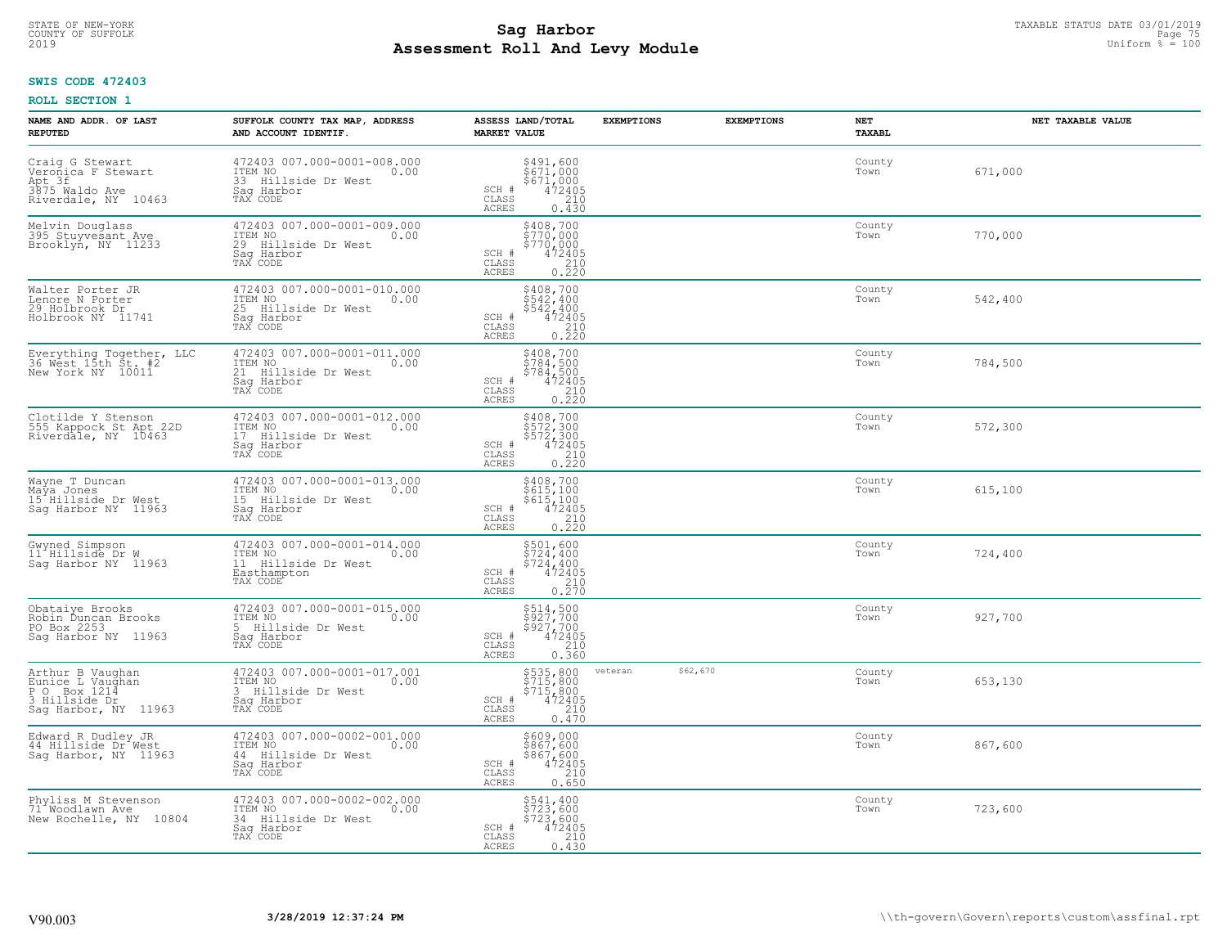# TAXABLE STATUS DATE 03/01/2019<br>COUNTY OF SUFFOLK Page 75 COUNTY OF SUFFOLK Page 75 **Assessment Roll And Levy Module** 2019 Uniform % = 100

## **SWIS CODE 472403**

| NAME AND ADDR. OF LAST<br><b>REPUTED</b>                                                         | SUFFOLK COUNTY TAX MAP, ADDRESS<br>AND ACCOUNT IDENTIF.                                                      | ASSESS LAND/TOTAL<br><b>MARKET VALUE</b>                                                                                       | <b>EXEMPTIONS</b><br><b>EXEMPTIONS</b> | <b>NET</b><br><b>TAXABL</b> | NET TAXABLE VALUE |
|--------------------------------------------------------------------------------------------------|--------------------------------------------------------------------------------------------------------------|--------------------------------------------------------------------------------------------------------------------------------|----------------------------------------|-----------------------------|-------------------|
| Craig G Stewart<br>Veronica F Stewart<br>Apt 3f<br>3875 Waldo Ave<br>Riverdale, NY 10463         | 472403 007.000-0001-008.000<br>ITEM NO<br>0.00<br>33 Hillside Dr West<br>Saq Harbor<br>TAX CODE              | \$491,600<br>\$671,000<br>\$671,000<br>SCH #<br>472405<br>210<br>CLASS<br><b>ACRES</b><br>0.430                                |                                        | County<br>Town              | 671,000           |
| Melvin Douglass<br>395 Stuyvesant Ave<br>Brooklyn, NY 11233                                      | 472403 007.000-0001-009.000<br>ITEM NO<br>0.00<br>29 Hillside Dr West<br>Saq Harbor<br>TAX CODE              | \$408,700<br>\$770,000<br>\$770,000<br>472405<br>SCH #<br>CLASS<br>$\begin{array}{c} 210 \\ 0.220 \end{array}$<br>ACRES        |                                        | County<br>Town              | 770,000           |
| Walter Porter JR<br>Lenore N Porter<br>29 Holbrook Dr<br>Holbrook NY 11741                       | 472403 007.000-0001-010.000<br>ITEM NO<br>0.00<br>25<br>Hillside Dr West<br>Saq Harbor<br>TAX CODE           | \$408,700<br>$$542,400$<br>$$542,400$<br>SCH #<br>472405<br>CLASS<br>$0.210$<br>$0.220$<br>ACRES                               |                                        | County<br>Town              | 542,400           |
| Everything Together, LLC<br>36 West 15th St. #2<br>New York NY 10011                             | 472403 007.000-0001-011.000<br>ITEM NO<br>0.00<br>21 Hillside Dr West<br>Saq Harbor<br>TAX CODE              | \$408,700<br>\$784,500<br>$\begin{array}{r} 784,500 \\ 472405 \\ 210 \\ 0.220 \end{array}$<br>SCH #<br>CLASS<br>ACRES          |                                        | County<br>Town              | 784,500           |
| Clotilde Y Stenson<br>555 Kappock St Apt 22D<br>Riverdale, NY 10463                              | 472403 007.000-0001-012.000<br>ITEM NO<br>0.00<br>17<br>Hillside Dr West<br>Saq Harbor<br>TAX CODE           | $\begin{array}{r} 5408, 700 \\ 5572, 300 \\ 5572, 300 \\ 472405 \\ 210 \\ 0.220 \end{array}$<br>SCH #<br>CLASS<br><b>ACRES</b> |                                        | County<br>Town              | 572,300           |
| Wayne T Duncan<br>Maya Jones<br>15 Hillside Dr West<br>Sag Harbor NY 11963                       | 472403 007.000-0001-013.000<br>ITEM NO<br>0.00<br>15 Hillside Dr West<br>Sag Harbor<br>TAX CODE              | \$408,700<br>\$615,100<br>\$615,100<br>472405<br>SCH #<br>$\begin{array}{c} 210 \\ 0.220 \end{array}$<br>CLASS<br><b>ACRES</b> |                                        | County<br>Town              | 615,100           |
| Gwyned Simpson<br>11 <sup>-</sup> Hillside Dr W<br>Saq Harbor NY 11963                           | 472403 007.000-0001-014.000<br>ITEM NO<br>0.00<br>11<br>Hillside Dr West<br>Easthampton<br>TAX CODE          | \$501,600<br>\$724,400<br>\$724,400<br>472405<br>SCH #<br>CLASS<br>$\frac{210}{0.270}$<br>ACRES                                |                                        | County<br>Town              | 724,400           |
| Obataiye Brooks<br>Robin Duncan Brooks<br>PO Box 2253<br>Sag Harbor NY<br>11963                  | 472403 007.000-0001-015.000<br>TTEM NO 0.00<br>0.00<br>5 Hillside Dr West<br>Saq Harbor<br>TAX CODE          | \$514,500<br>\$927,700<br>\$927,700<br>472405<br>SCH #<br>CLASS<br>$\frac{210}{0.360}$<br><b>ACRES</b>                         |                                        | County<br>Town              | 927,700           |
| Arthur B Vaughan<br>Eunice L Vaughan<br>Box 1214<br>P O<br>3 Hillside Dr<br>Sag Harbor, NY 11963 | 472403 007.000-0001-017.001<br>ITEM NO<br>0.00<br>$\mathbf{3}$<br>Hillside Dr West<br>Saq Harbor<br>TAX CODE | \$535,800<br>\$715,800<br>\$715,800<br>472405<br>SCH #<br>CLASS<br>$\frac{210}{0.470}$<br>ACRES                                | \$62,670<br>veteran                    | County<br>Town              | 653,130           |
| Edward R Dudley JR<br>44 Hillside Dr West<br>Sag Harbor, NY 11963                                | 472403 007.000-0002-001.000<br>ITEM NO<br>0.00<br>44 Hillside Dr West<br>Sag Harbor<br>TAX CODE              | $$8609,000$<br>$$867,600$<br>$$867,600$<br>$472405$<br>210<br>SCH #<br>CLASS<br><b>ACRES</b><br>0.650                          |                                        | County<br>Town              | 867,600           |
| Phyliss M Stevenson<br>71 <sup>*</sup> Woodlawn Ave<br>New Rochelle, NY 10804                    | 472403 007.000-0002-002.000<br>ITEM NO<br>0.00<br>34 Hillside Dr West<br>Sag Harbor<br>TAX CODE              | \$541,400<br>\$723,600<br>\$723,600<br>SCH #<br>472405<br>CLASS<br>210<br><b>ACRES</b><br>0.430                                |                                        | County<br>Town              | 723,600           |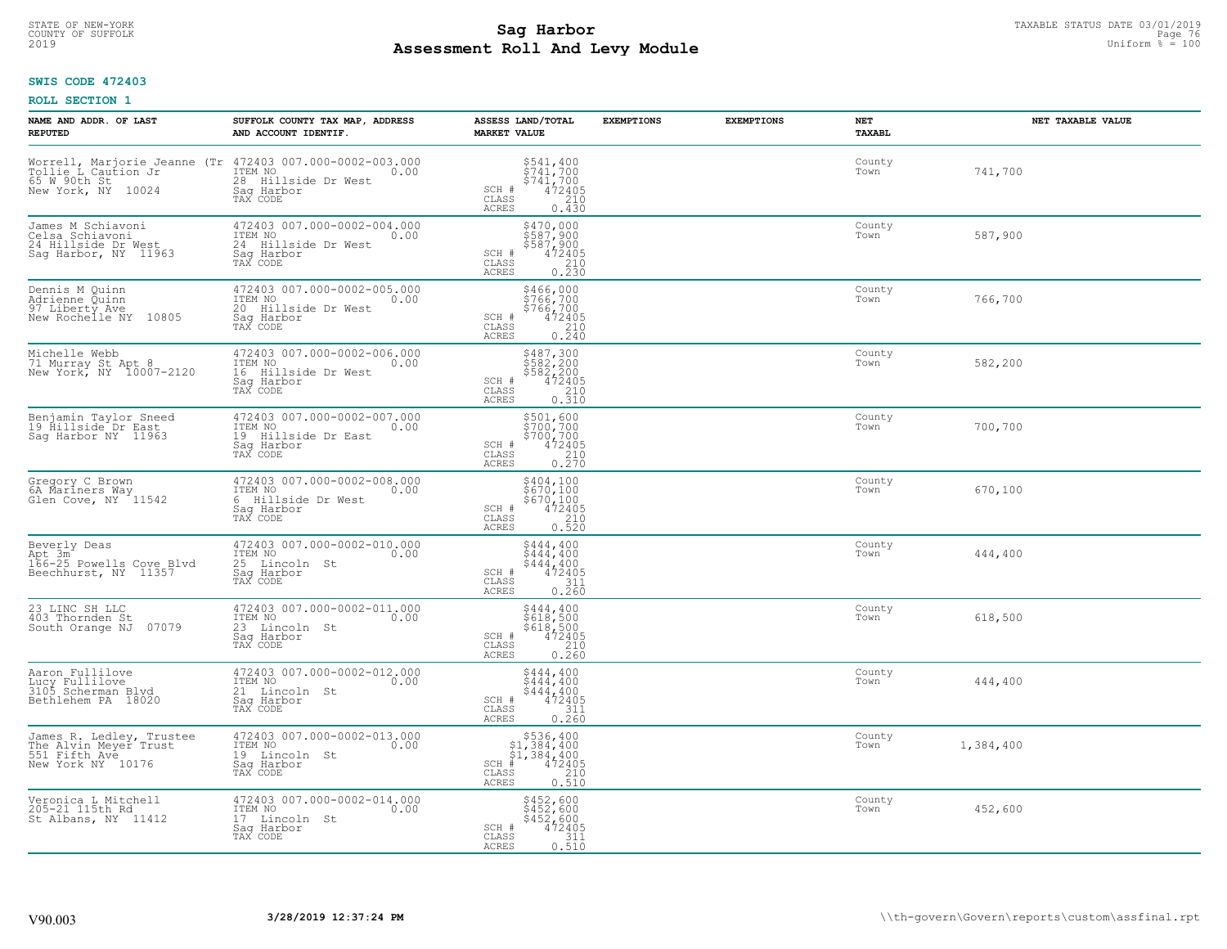# TAXABLE STATUS DATE 03/01/2019<br>COUNTY OF SUFFOLK Page 76 COUNTY OF SUFFOLK Page 76 **Assessment Roll And Levy Module** 2019 Uniform % = 100

## **SWIS CODE 472403**

| NAME AND ADDR. OF LAST<br><b>REPUTED</b>                                                | SUFFOLK COUNTY TAX MAP, ADDRESS<br>AND ACCOUNT IDENTIF.                                                                                                                                 | ASSESS LAND/TOTAL<br><b>MARKET VALUE</b>                                                                                                                                                                                                                                                                                                                   | <b>EXEMPTIONS</b> | <b>EXEMPTIONS</b> | NET<br><b>TAXABL</b> | NET TAXABLE VALUE |
|-----------------------------------------------------------------------------------------|-----------------------------------------------------------------------------------------------------------------------------------------------------------------------------------------|------------------------------------------------------------------------------------------------------------------------------------------------------------------------------------------------------------------------------------------------------------------------------------------------------------------------------------------------------------|-------------------|-------------------|----------------------|-------------------|
| New York, NY<br>10024                                                                   | Worrell, Marjorie Jeanne (Tr 472403 007.000-0002-003.000<br>Tollie L Caution Jr ITEM NO 0.00<br>65 W 90th St 10001 28 Hillside Dr West<br>28 Hillside Dr West<br>Saq Harbor<br>TAX CODE | \$541,400<br>\$741,700<br>\$741,700<br>472405<br>SCH #<br>CLASS<br>210<br>ACRES<br>0.430                                                                                                                                                                                                                                                                   |                   |                   | County<br>Town       | 741,700           |
| James M Schiavoni<br>Celsa Schiavoni<br>24 Hillside Dr West<br>Saq Harbor, NY 11963     | 472403 007.000-0002-004.000<br>ITEM NO<br>0.00<br>24 Hillside Dr West<br>Saq Harbor<br>TAX CODE                                                                                         | \$470,000<br>\$587,900<br>\$587,900<br>472405<br>SCH #<br>$\begin{array}{c} 210 \\ 0.230 \end{array}$<br>CLASS<br>ACRES                                                                                                                                                                                                                                    |                   |                   | County<br>Town       | 587,900           |
| Dennis M Quinn<br>Adrienne Quinn<br>97 Liberty Ave<br>New Rochelle NY 10805             | 472403 007.000-0002-005.000<br>ITEM NO<br>0.00<br>20<br>Hillside Dr West<br>Sag Harbor<br>TAX CODE                                                                                      | \$466,000<br>\$766,700<br>\$766,700<br>472405<br>SCH #<br>$\frac{210}{0.240}$<br>CLASS<br><b>ACRES</b>                                                                                                                                                                                                                                                     |                   |                   | County<br>Town       | 766,700           |
| Michelle Webb<br>71 Murray St Apt 8<br>New York, NY 10007-2120                          | 472403 007.000-0002-006.000<br>ITEM NO<br>0.00<br>16 Hillside Dr West<br>Saq Harbor<br>TAX CODE                                                                                         | \$487,300<br>\$582,200<br>\$582,200<br>SCH #<br>472405<br>CLASS<br>210<br>ACRES<br>0.310                                                                                                                                                                                                                                                                   |                   |                   | County<br>Town       | 582,200           |
| Benjamin Taylor Sneed<br>19 Hillside Dr East<br>Sag Harbor NY 11963                     | 472403 007.000-0002-007.000<br>ITEM NO<br>0.00<br>19 Hillside Dr East<br>Saq Harbor<br>TAX CODE                                                                                         | \$501,600<br>\$700,700<br>\$700,700<br>SCH #<br>$\frac{472405}{210}$<br>0.270<br>CLASS<br>ACRES                                                                                                                                                                                                                                                            |                   |                   | County<br>Town       | 700,700           |
| Gregory C Brown<br>6A Mariners Way<br>Glen Cove, NY <sup>11542</sup>                    | 472403 007.000-0002-008.000<br>ITEM NO<br>0.00<br>6 Hillside Dr West<br>Sag Harbor<br>TAX CODE                                                                                          | $\begin{array}{r} 5404, 100 \\ 5670, 100 \\ 5670, 100 \\ 472405 \\ 210 \\ 0.520 \end{array}$<br>SCH #<br>CLASS<br><b>ACRES</b>                                                                                                                                                                                                                             |                   |                   | County<br>Town       | 670,100           |
| Beverly Deas<br>Apt 3m <sup>2</sup><br>166-25 Powells Cove Blvd<br>Beechhurst, NY 11357 | 472403 007.000-0002-010.000<br>ITEM NO<br>0.00<br>25<br>Lincoln St<br>Saq Harbor<br>TAX CODE                                                                                            | \$444,400<br>\$444,400<br>$$444, 400$<br>$472405$<br>SCH #<br>$\begin{array}{c} 311 \\ 0.260 \end{array}$<br>$\mathtt{CLASS}$<br>ACRES                                                                                                                                                                                                                     |                   |                   | County<br>Town       | 444,400           |
| 23 LINC SH LLC<br>403 Thornden St<br>07079<br>South Orange NJ                           | 472403 007.000-0002-011.000<br>ITEM NO<br>0.00<br>23 Lincoln St<br>Saq Harbor<br>TAX CODE                                                                                               | \$444,400<br>\$618,500<br>\$618,500<br>472405<br>SCH #<br>CLASS<br>$\begin{array}{c} 210 \\ 0.260 \end{array}$<br><b>ACRES</b>                                                                                                                                                                                                                             |                   |                   | County<br>Town       | 618,500           |
| Aaron Fullilove<br>Lucy Fullilove<br>3105 Scherman Blvd<br>Bethlehem PA 18020           | 472403 007.000-0002-012.000<br>ITEM NO<br>0.00<br>21 Lincoln St<br>Saq Harbor<br>TAX CODE                                                                                               | \$444,400<br>$\frac{1}{2}$ $\frac{4}{4}$ $\frac{4}{4}$ $\frac{4}{4}$ $\frac{4}{4}$<br>$\frac{4}{2}$ $\frac{4}{4}$ $\frac{6}{2}$<br>$\frac{6}{4}$<br>SCH #<br>CLASS<br>$\frac{311}{0.260}$<br><b>ACRES</b>                                                                                                                                                  |                   |                   | County<br>Town       | 444,400           |
| James R. Ledley, Trustee<br>The Alvin Meyer Trust<br>551 Fifth Ave<br>New York NY 10176 | 472403 007.000-0002-013.000<br>ITEM NO<br>0.00<br>19 Lincoln<br>St<br>Sag Harbor<br>TAX CODE                                                                                            | $\begin{array}{r}  \  \  \, 536,400 \\  \  \, 51,384,400 \\  \  \, 51,384,400 \\  \  \  \, 472405 \\  \  \, 55 & 210 \\  \  \, 240 \\  \  \, 55 & 210 \\  \  \, 59 & 210 \\  \  \, 59 & 210 \\  \  \, 59 & 210 \\  \  \, 59 & 210 \\  \  \, 59 & 210 \\  \  \, 59 & 210 \\  \  \, 59 & 210 \\  \  \, 59 & 21$<br>$SCH$ #<br>CLASS<br><b>ACRES</b><br>0.510 |                   |                   | County<br>Town       | 1,384,400         |
| Veronica L Mitchell<br>205-21 115th Rd<br>St Albans, NY 11412                           | 472403 007.000-0002-014.000<br>ITEM NO<br>0.00<br>17 Lincoln St<br>Sag Harbor<br>TAX CODE                                                                                               | \$452,600<br>\$452,600<br>\$452,600<br>SCH #<br>472405<br>311<br>CLASS<br>0.510<br>ACRES                                                                                                                                                                                                                                                                   |                   |                   | County<br>Town       | 452,600           |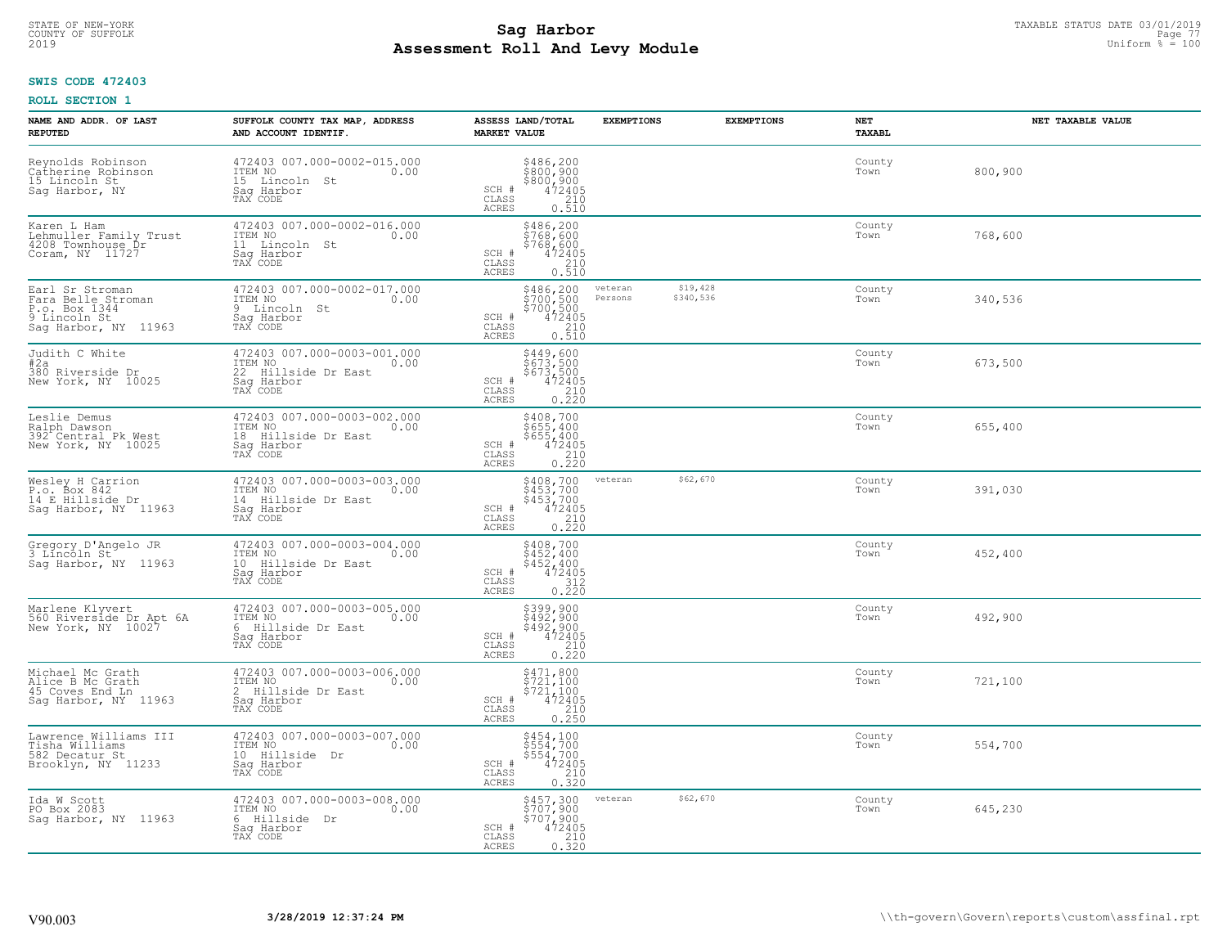# TAXABLE STATUS DATE 03/01/2019<br>COUNTY OF SUFFOLK Page 77 COUNTY OF SUFFOLK Page 77 **Assessment Roll And Levy Module** 2019 Uniform % = 100

## **SWIS CODE 472403**

| NAME AND ADDR. OF LAST<br><b>REPUTED</b>                                                       | SUFFOLK COUNTY TAX MAP, ADDRESS<br>AND ACCOUNT IDENTIF.                                            | ASSESS LAND/TOTAL<br><b>MARKET VALUE</b>                                                                                    | <b>EXEMPTIONS</b>                           | <b>EXEMPTIONS</b> | NET<br><b>TAXABL</b> | NET TAXABLE VALUE |
|------------------------------------------------------------------------------------------------|----------------------------------------------------------------------------------------------------|-----------------------------------------------------------------------------------------------------------------------------|---------------------------------------------|-------------------|----------------------|-------------------|
| Reynolds Robinson<br>Catherine Robinson<br>15 Lincoln St<br>Sag Harbor, NY                     | 472403 007.000-0002-015.000<br>ITEM NO<br>0.00<br>15 Lincoln<br>St<br>Saq Harbor<br>TAX CODE       | \$486,200<br>\$800,900<br>\$800,900<br>SCH #<br>$\frac{472405}{210}$<br>CLASS<br><b>ACRES</b><br>0.510                      |                                             |                   | County<br>Town       | 800,900           |
| Karen L Ham<br>Lehmuller Family Trust<br>4208 Townhouse Dr<br>Coram, NY 11727                  | 472403 007.000-0002-016.000<br>ITEM NO<br>0.00<br>11 Lincoln St<br>Saq Harbor<br>TAX CODE          | \$486,200<br>\$768,600<br>\$768,600<br>SCH #<br>472405<br>CLASS<br>$\frac{210}{0.510}$<br><b>ACRES</b>                      |                                             |                   | County<br>Town       | 768,600           |
| Earl Sr Stroman<br>Fara Belle Stroman<br>P.o. Box 1344<br>9 Lincoln St<br>Sag Harbor, NY 11963 | 472403 007.000-0002-017.000<br>ITEM NO<br>0.00<br>9 Lincoln St<br>Saq Harbor<br>TAX CODE           | \$486,200<br>\$700,500<br>\$700,500<br>472405<br>SCH #<br>CLASS<br>$\frac{210}{0.510}$<br>ACRES                             | \$19,428<br>veteran<br>\$340,536<br>Persons |                   | County<br>Town       | 340,536           |
| Judith C White<br>#2a<br>380 Riverside Dr<br>New York, NY 10025                                | 472403 007.000-0003-001.000<br>ITEM NO 0.00<br>22 Hillside Dr East<br>Saq Harbor<br>TAX CODE       | \$449,600<br>\$673,500<br>\$673,500<br>472405<br>SCH #<br>CLASS<br>0.210<br><b>ACRES</b>                                    |                                             |                   | County<br>Town       | 673,500           |
| Leslie Demus<br>Ralph Dawson<br>392 <sup>o</sup> Central Pk West<br>New York, NY 10025         | 472403 007.000-0003-002.000<br>ITEM NO<br>0.00<br>18 Hillside Dr East<br>Saq Harbor<br>TAX CODE    | \$408,700<br>\$655,400<br>\$655,400<br>\$655,400<br>472405<br>0.220<br>SCH #<br>CLASS<br><b>ACRES</b>                       |                                             |                   | County<br>Town       | 655,400           |
| Wesley H Carrion<br>P.o. Box 842<br>14 E Hillside Dr<br>Sag Harbor, NY 11963                   | 472403 007.000-0003-003.000<br>ITEM NO<br>0.00<br>14 Hillside Dr East<br>Sag Harbor<br>TAX CODE    | \$408,700<br>\$453,700<br>\$453,700<br>\$453,700<br>\$472405<br>\$210<br>\$220<br>SCH #<br>$\mathtt{CLASS}$<br><b>ACRES</b> | \$62,670<br>veteran                         |                   | County<br>Town       | 391,030           |
| Gregory D'Angelo JR<br>3 Lincoln St<br>Sag Harbor, NY 11963                                    | 472403 007.000-0003-004.000<br>ITEM NO<br>0.00<br>Hillside Dr East<br>10<br>Saq Harbor<br>TAX CODE | \$408,700<br>\$452,400<br>\$452,400<br>472405<br>SCH #<br>$\frac{312}{0.220}$<br>CLASS<br><b>ACRES</b>                      |                                             |                   | County<br>Town       | 452,400           |
| Marlene Klyvert<br>560 Riverside Dr Apt 6A<br>New York, NY 10027                               | 472403 007.000-0003-005.000<br>ITEM NO<br>0.00<br>6 Hillside Dr East<br>Saq Harbor<br>TAX CODE     | \$399,900<br>\$492,900<br>\$492,900<br>472405<br>SCH #<br>CLASS<br>210<br><b>ACRES</b><br>0.220                             |                                             |                   | County<br>Town       | 492,900           |
| Michael Mc Grath<br>Alice B Mc Grath<br>45 Coves End Ln<br>Sag Harbor, NY 11963                | 472403 007.000-0003-006.000<br>TTEM NO 0.00<br>2 Hillside Dr East<br>Saq Harbor<br>TAX CODE        | \$471,800<br>\$721,100<br>\$721,100<br>472405<br>SCH #<br>CLASS<br>210<br><b>ACRES</b><br>0.250                             |                                             |                   | County<br>Town       | 721,100           |
| Lawrence Williams III<br>Tisha Williams<br>582 Decatur St<br>Brooklyn, NY 11233                | 472403 007.000-0003-007.000<br>ITEM NO<br>0.00<br>10 Hillside<br>Dr<br>Sag Harbor<br>TAX CODE      | $5554, 700$<br>$5554, 700$<br>$55472405$<br>$210$<br>$230$<br>SCH #<br>CLASS<br>0.320<br><b>ACRES</b>                       |                                             |                   | County<br>Town       | 554,700           |
| Ida W Scott<br>PO Box 2083<br>Saq Harbor, NY 11963                                             | 472403 007.000-0003-008.000<br>ITEM NO<br>0.00<br>6 Hillside<br>Dr<br>Sag Harbor<br>TAX CODE       | \$457,300<br>\$707,900<br>\$707,900<br>472405<br>SCH #<br>$\frac{210}{0.320}$<br>CLASS<br>ACRES                             | \$62,670<br>veteran                         |                   | County<br>Town       | 645,230           |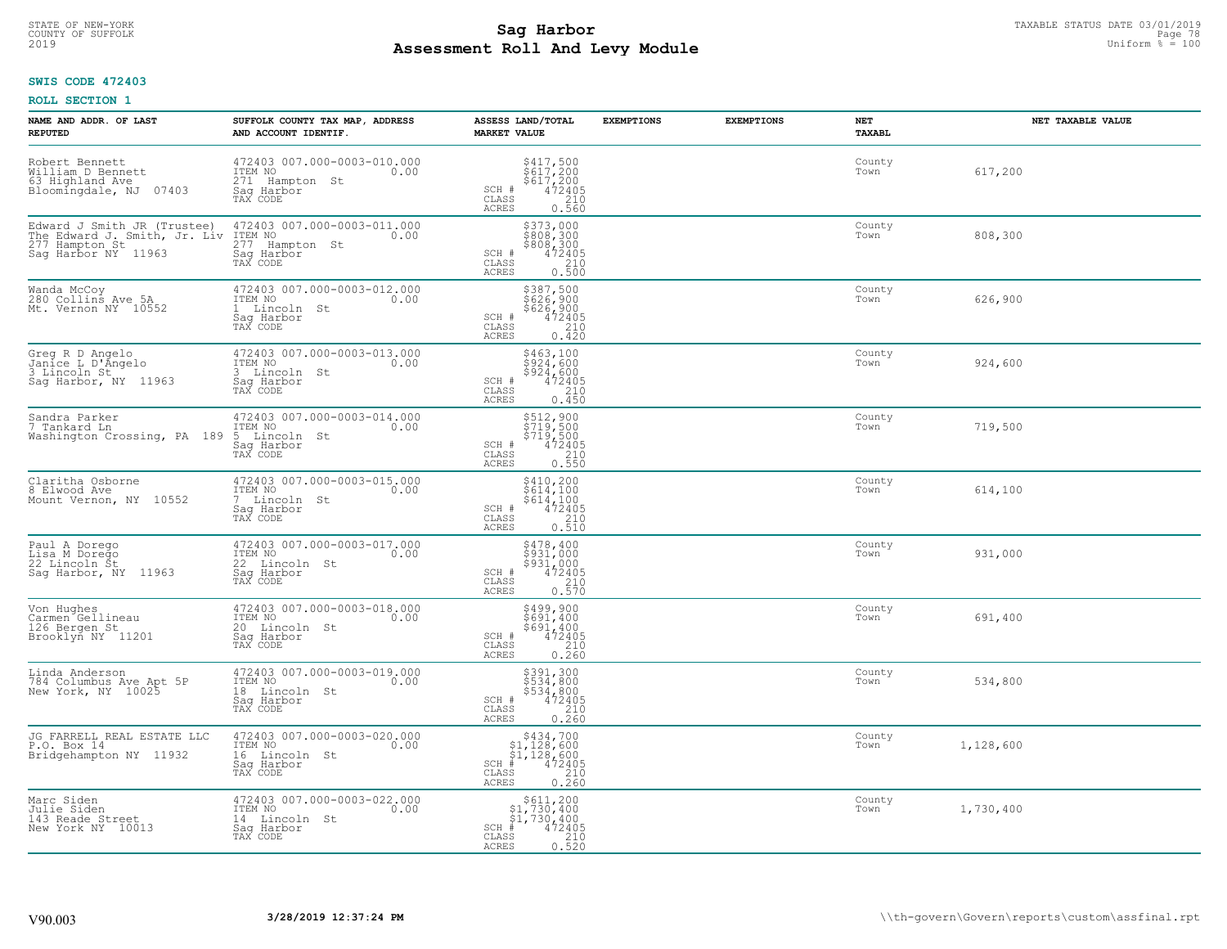# TAXABLE STATUS DATE 03/01/2019<br>COUNTY OF SUFFOLK Page 78 Page 78 **Assessment Roll And Levy Module** 2019 Uniform % = 100

## **SWIS CODE 472403**

| NAME AND ADDR. OF LAST<br><b>REPUTED</b>                                                             | SUFFOLK COUNTY TAX MAP, ADDRESS<br>AND ACCOUNT IDENTIF.                                                | ASSESS LAND/TOTAL<br><b>MARKET VALUE</b>                                                                                       | <b>EXEMPTIONS</b><br><b>EXEMPTIONS</b> | <b>NET</b><br>TAXABL | NET TAXABLE VALUE |
|------------------------------------------------------------------------------------------------------|--------------------------------------------------------------------------------------------------------|--------------------------------------------------------------------------------------------------------------------------------|----------------------------------------|----------------------|-------------------|
| Robert Bennett<br>William D Bennett<br>63 Highland Ave<br>Bloomingdale, NJ 07403                     | 472403 007.000-0003-010.000<br>ITEM NO<br>0.00<br>271 Hampton St<br>Saq Harbor<br>TAX CODE             | $$417,500$<br>$$617,200$<br>$$617,200$<br>$472405$<br>$$210$<br>SCH #<br>CLASS<br><b>ACRES</b><br>0.560                        |                                        | County<br>Town       | 617,200           |
| Edward J Smith JR (Trustee)<br>The Edward J. Smith, Jr. Liv<br>277 Hampton St<br>Saq Harbor NY 11963 | 472403 007.000-0003-011.000<br>ITEM NO<br>277 Hampton St<br>0.00<br>Saq Harbor<br>TAX CODE             | \$373,000<br>\$808,300<br>\$808,300<br>472405<br>SCH #<br>CLASS<br>$\begin{array}{c} 210 \\ 0.500 \end{array}$<br><b>ACRES</b> |                                        | County<br>Town       | 808,300           |
| Wanda McCoy<br>280 Collins Ave 5A<br>Mt. Vernon NY 10552                                             | 472403 007.000-0003-012.000<br>ITEM NO<br>0.00<br>Lincoln St<br>$\mathbf{1}$<br>Saq Harbor<br>TAX CODE | \$387,500<br>\$626,900<br>\$626,900<br>SCH #<br>472405<br>CLASS<br>210<br>0.420<br>ACRES                                       |                                        | County<br>Town       | 626,900           |
| Greg R D Angelo<br>Janice L D'Angelo<br>3 Lincoln St<br>Sag Harbor, NY 11963                         | 472403 007.000-0003-013.000<br>ITEM NO<br>0.00<br>3 Lincoln St<br>Saq Harbor<br>TAX CODE               | \$463,100<br>\$924,600<br>5924/600<br>SCH #<br>472405<br>CLASS<br>210<br><b>ACRES</b><br>0.450                                 |                                        | County<br>Town       | 924,600           |
| Sandra Parker<br>7 Tankard Ln<br>Washington Crossing, PA 189                                         | 472403 007.000-0003-014.000<br>ITEM NO<br>0.00<br>5 Lincoln St<br>Saq Harbor<br>TAX CODE               | \$512,900<br>\$719,500<br>$\begin{array}{r} 5719,500 \\ 472405 \\ 210 \\ 0.550 \end{array}$<br>SCH #<br>CLASS<br>ACRES         |                                        | County<br>Town       | 719,500           |
| Claritha Osborne<br>8 Elwood Ave<br>Mount Vernon, NY 10552                                           | 472403 007.000-0003-015.000<br>ITEM NO<br>0.00<br>7 Lincoln St<br>Sag Harbor<br>TAX CODE               | $\begin{array}{r} 5410, 200 \\ 5614, 100 \\ 5614, 100 \\ 472405 \\ 0.510 \\ \end{array}$<br>SCH #<br>CLASS<br><b>ACRES</b>     |                                        | County<br>Town       | 614,100           |
| Paul A Dorego<br>Lisa M Dorego<br>22 Lincoln St<br>Saq Harbor, NY 11963                              | 472403 007.000-0003-017.000<br>ITEM NO<br>0.00<br>22 Lincoln St<br>Saq Harbor<br>TAX CODE              | \$478,400<br>\$931,000<br>\$931,000<br>472405<br>SCH #<br>$\begin{array}{c} 210 \\ 0.570 \end{array}$<br>CLASS<br><b>ACRES</b> |                                        | County<br>Town       | 931,000           |
| Von Hughes<br>Carmen Gellineau<br>126 Bergen St<br>Brooklyn NY 11201                                 | 472403 007.000-0003-018.000<br>ITEM NO<br>0.00<br>20 Lincoln St<br>Saq Harbor<br>TAX CODE              | \$499,900<br>\$691,400<br>\$691,400<br>472405<br>SCH #<br>CLASS<br>210<br><b>ACRES</b><br>0.260                                |                                        | County<br>Town       | 691,400           |
| Linda Anderson<br>784 Columbus Ave Apt 5P<br>New York, NY 10025                                      | 472403 007.000-0003-019.000<br>ITEM NO 0.00<br>18 Lincoln St<br>Saq Harbor<br>TAX CODE                 | \$391,300<br>\$534,800<br>\$534,800<br>472405<br>SCH #<br>CLASS<br>0.260<br><b>ACRES</b>                                       |                                        | County<br>Town       | 534,800           |
| JG FARRELL REAL ESTATE LLC<br>P.O. Box 14<br>Bridgehampton NY 11932                                  | 472403 007.000-0003-020.000<br>ITEM NO<br>0.00<br>16 Lincoln St<br>Sag Harbor<br>TAX CODE              | $$434,700$<br>$$1,128,600$<br>$$1,128,600$<br>$472405$<br>$$220$<br>$SCH$ #<br>CLASS<br><b>ACRES</b><br>0.260                  |                                        | County<br>Town       | 1,128,600         |
| Marc Siden<br>Julie Siden<br>143 Reade Street<br>New York NY 10013                                   | 472403 007.000-0003-022.000<br>ITEM NO<br>0.00<br>14 Lincoln St<br>Saq Harbor<br>TAX CODE              | $$611, 200$<br>$$1, 730, 400$<br>$$1, 730, 400$<br>$SCH$ #<br>472405<br>210<br>CLASS<br>0.520<br><b>ACRES</b>                  |                                        | County<br>Town       | 1,730,400         |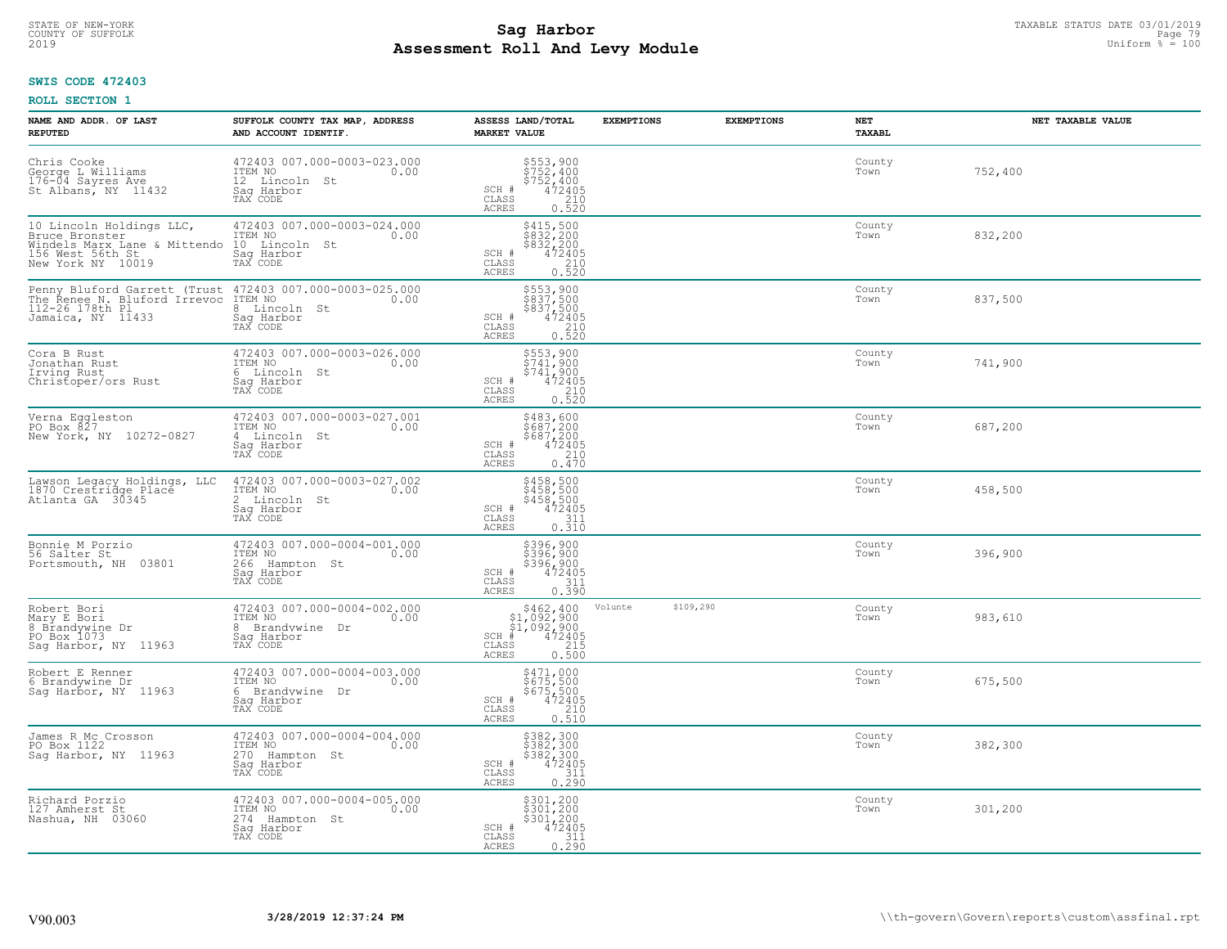# TAXABLE STATUS DATE 03/01/2019<br>COUNTY OF SUFFOLK Page 79 COUNTY OF SUFFOLK Page 79 **Assessment Roll And Levy Module** 2019 Uniform % = 100

## **SWIS CODE 472403**

| NAME AND ADDR. OF LAST<br><b>REPUTED</b>                                                                            | SUFFOLK COUNTY TAX MAP, ADDRESS<br>AND ACCOUNT IDENTIF.                                    | ASSESS LAND/TOTAL<br><b>MARKET VALUE</b>                                                                                                                    | <b>EXEMPTIONS</b><br><b>EXEMPTIONS</b> | NET<br><b>TAXABL</b> | NET TAXABLE VALUE |
|---------------------------------------------------------------------------------------------------------------------|--------------------------------------------------------------------------------------------|-------------------------------------------------------------------------------------------------------------------------------------------------------------|----------------------------------------|----------------------|-------------------|
| Chris Cooke<br>George L Williams<br>176-04 Sayres Ave<br>St Albans, NY 11432                                        | 472403 007.000-0003-023.000<br>ITEM NO<br>0.00<br>12 Lincoln St<br>Saq Harbor<br>TAX CODE  | \$553,900<br>\$752,400<br>$$752,400\n472405\n210\n0.520$<br>SCH #<br>CLASS<br>ACRES                                                                         |                                        | County<br>Town       | 752,400           |
| 10 Lincoln Holdings LLC,<br>Bruce Bronster<br>Windels Marx Lane & Mittendo<br>156 West 56th St<br>New York NY 10019 | 472403 007.000-0003-024.000<br>ITEM NO<br>0.00<br>10 Lincoln St<br>Sag Harbor<br>TAX CODE  | \$415,500<br>\$832,200<br>\$832,200<br>472405<br>SCH #<br>$\begin{array}{c} 210 \\ 0.520 \end{array}$<br>CLASS<br>ACRES                                     |                                        | County<br>Town       | 832,200           |
| Penny Bluford Garrett (Trust<br>The Renee N. Bluford Irrevoc<br>112-26 178th Pl<br>Jamaica, NY 11433                | 472403 007.000-0003-025.000<br>ITEM NO<br>0.00<br>8 Lincoln St<br>Sag Harbor<br>TAX CODE   | \$553,900<br>\$837,500<br>\$837,500<br>472405<br>SCH #<br>$\frac{210}{0.520}$<br>CLASS<br>ACRES                                                             |                                        | County<br>Town       | 837,500           |
| Cora B Rust<br>Jonathan Rust<br>Irving Rust<br>Christoper/ors Rust                                                  | 472403 007.000-0003-026.000<br>ITEM NO<br>0.00<br>6 Lincoln St<br>Saq Harbor<br>TAX CODE   | \$553,900<br>\$741,900<br>$\begin{array}{r} 5741,900 \\ 472405 \\ 210 \\ 0.520 \end{array}$<br>SCH #<br>CLASS<br>ACRES                                      |                                        | County<br>Town       | 741,900           |
| Verna Eqqleston<br>PO Box 827<br>New York, NY 10272-0827                                                            | 472403 007.000-0003-027.001<br>ITEM NO<br>0.00<br>4 Lincoln St<br>Saq Harbor<br>TAX CODE   | \$483,600<br>$5687,2005687,2004724050.470$<br>SCH #<br>CLASS<br>ACRES                                                                                       |                                        | County<br>Town       | 687,200           |
| Lawson Legacy Holdings, LLC<br>1870 Crestridge Place<br>Atlanta GA 30345                                            | 472403 007.000-0003-027.002<br>ITEM NO<br>0.00<br>2 Lincoln St<br>Sag Harbor<br>TAX CODE   | \$458,500<br>\$458,500<br>\$458,500<br>472405<br>SCH #<br>CLASS<br>311<br>0.310<br><b>ACRES</b>                                                             |                                        | County<br>Town       | 458,500           |
| Bonnie M Porzio<br>56 Salter St<br>Portsmouth, NH 03801                                                             | 472403 007.000-0004-001.000<br>ITEM NO<br>0.00<br>266 Hampton St<br>Saq Harbor<br>TAX CODE | \$396,900<br>\$396,900<br>\$396,900<br>\$396,900<br>\$472405<br>\$111<br>\$110.390<br>SCH #<br>$\mathtt{CLASS}$<br>ACRES                                    |                                        | County<br>Town       | 396,900           |
| Robert Bori<br>Mary E Bori<br>8 Brandywine Dr<br>PO Box 1073<br>Sag Harbor, NY 11963                                | 472403 007.000-0004-002.000<br>TTEM NO 0.00<br>8 Brandvwine Dr<br>Saq Harbor<br>TAX CODE   | $\begin{array}{r} 5462, 400\\ 51, 092, 900\\ 51, 092, 900\\ *\\ 55\phantom{00}215\\ 215\\ 55\phantom{0}0.500 \end{array}$<br>SCH #<br>CLASS<br><b>ACRES</b> | \$109,290<br>Volunte                   | County<br>Town       | 983,610           |
| Robert E Renner<br>6 Brandywine Dr<br>Sag Harbor, NY 11963                                                          | 472403 007.000-0004-003.000<br>TTEM NO 0.00<br>6 Brandywine Dr<br>Saq Harbor<br>TAX CODE   | \$471,000<br>\$675,500<br>\$675,500<br>472405<br>0.510<br>0.510<br>SCH #<br>CLASS<br>ACRES                                                                  |                                        | County<br>Town       | 675,500           |
| James R Mc Crosson<br>PO Box 1122<br>Sag Harbor, NY 11963                                                           | 472403 007.000-0004-004.000<br>ITEM NO<br>0.00<br>270 Hampton St<br>Saq Harbor<br>TAX CODE | $$382, 300$<br>$$382, 300$<br>$$382, 300$<br>$$472405$<br>$$311$<br>SCH #<br>CLASS<br>0.290<br>ACRES                                                        |                                        | County<br>Town       | 382,300           |
| Richard Porzio<br>127 Amherst St<br>Nashua, NH 03060                                                                | 472403 007.000-0004-005.000<br>ITEM NO<br>0.00<br>274 Hampton St<br>Sag Harbor<br>TAX CODE | \$301,200<br>\$301,200<br>\$301,200<br>\$472405<br>SCH #<br>311<br>CLASS<br>0.290<br>ACRES                                                                  |                                        | County<br>Town       | 301,200           |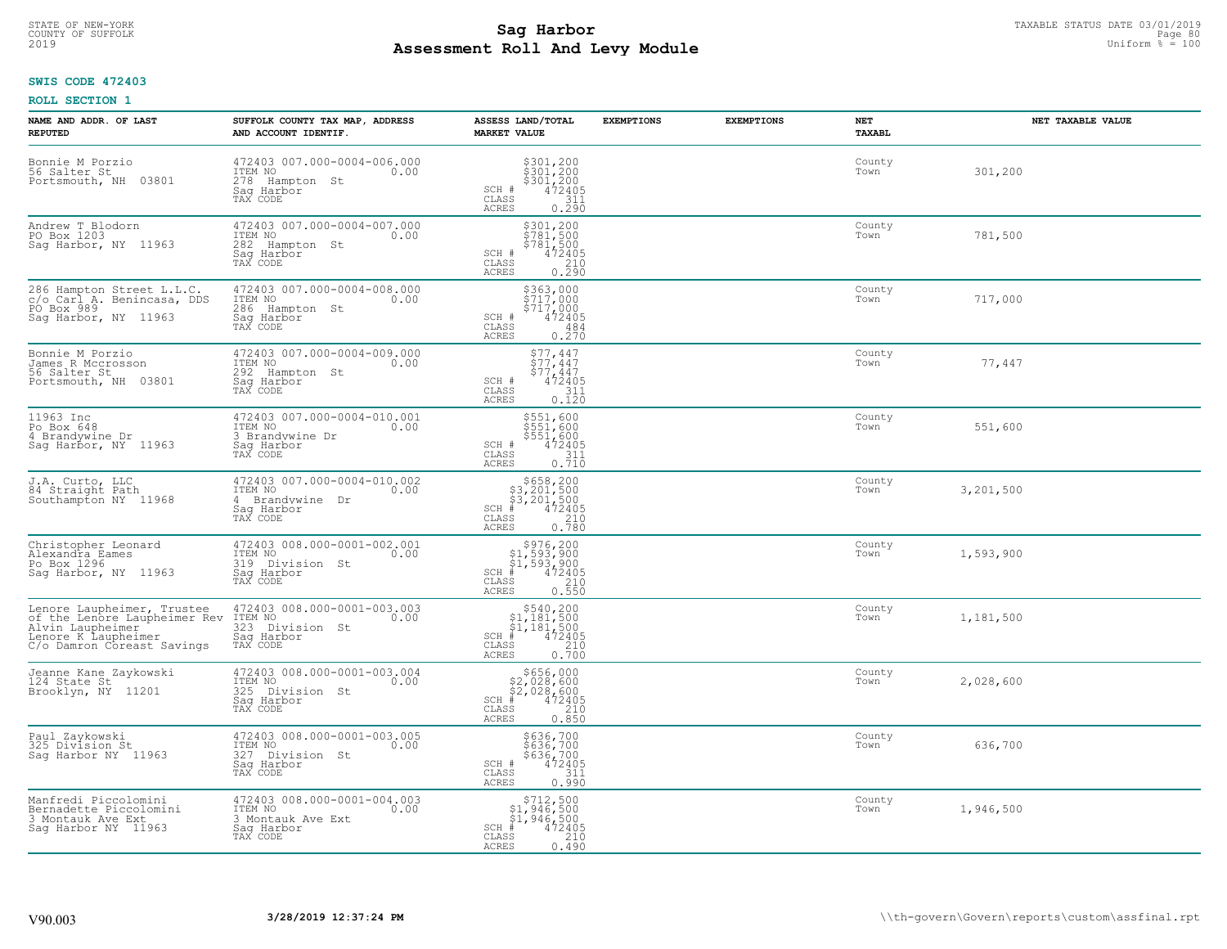## **Sag Harbor** TAXABLE STATUS DATE 03/01/2019<br>Poll and Louis Module **Assessment Roll And Levy Module** 2019 Uniform % = 100 COUNTY OF SUFFOLK **Example 2018 COUNTY OF SUFFOLK** Page 80

## **SWIS CODE 472403**

| NAME AND ADDR. OF LAST<br><b>REPUTED</b>                                                                                            | SUFFOLK COUNTY TAX MAP, ADDRESS<br>AND ACCOUNT IDENTIF.                                        | ASSESS LAND/TOTAL<br><b>MARKET VALUE</b>                                                                                                                                                                            | <b>EXEMPTIONS</b> | <b>EXEMPTIONS</b> | <b>NET</b><br><b>TAXABL</b> | NET TAXABLE VALUE |
|-------------------------------------------------------------------------------------------------------------------------------------|------------------------------------------------------------------------------------------------|---------------------------------------------------------------------------------------------------------------------------------------------------------------------------------------------------------------------|-------------------|-------------------|-----------------------------|-------------------|
| Bonnie M Porzio<br>56 Salter St<br>Portsmouth, NH<br>03801                                                                          | 472403 007.000-0004-006.000<br>ITEM NO<br>0.00<br>278 Hampton St<br>Saq Harbor<br>TAX CODE     | $$301, 200$<br>$$301, 200$<br>$$301, 200$<br>$472405$<br>$$311$<br>SCH #<br>CLASS<br>ACRES<br>0.290                                                                                                                 |                   |                   | County<br>Town              | 301,200           |
| Andrew T Blodorn<br>PO Box 1203<br>Sag Harbor, NY 11963                                                                             | 472403 007.000-0004-007.000<br>ITEM NO<br>0.00<br>282 Hampton St<br>Saq Harbor<br>TAX CODE     | \$301,200<br>\$781,500<br>\$781,500<br>472405<br>SCH #<br>CLASS<br>$\begin{array}{c} 210 \\ 0.290 \end{array}$<br>ACRES                                                                                             |                   |                   | County<br>Town              | 781,500           |
| 286 Hampton Street L.L.C.<br>c/o Carl A. Benincasa, DDS<br>PO Box 989<br>Saq Harbor, NY 11963                                       | 472403 007.000-0004-008.000<br>ITEM NO<br>0.00<br>286<br>Hampton St<br>Saq Harbor<br>TAX CODE  | \$363,000<br>\$717,000<br>\$717,000<br>SCH #<br>472405<br>CLASS<br>484<br>ACRES<br>0.270                                                                                                                            |                   |                   | County<br>Town              | 717,000           |
| Bonnie M Porzio<br>James R Mccrosson<br>56 Salter St<br>03801<br>Portsmouth, NH                                                     | 472403 007.000-0004-009.000<br>ITEM NO<br>0.00<br>292 Hampton St<br>Sag Harbor<br>TAX CODE     | $$77, 447$<br>$$77, 447$<br>$$77, 447$<br>$$472405$<br>SCH #<br>CLASS<br>$\frac{311}{0.120}$<br>ACRES                                                                                                               |                   |                   | County<br>Town              | 77,447            |
| 11963 Inc<br>Po Box 648<br>4 Brandywine Dr<br>Sag Harbor, NY 11963                                                                  | 472403 007.000-0004-010.001<br>ITEM NO<br>0.00<br>3 Brandywine Dr<br>Saq Harbor<br>TAX CODE    | \$551,600<br>\$551,600<br>\$551,600<br>SCH #<br>$\frac{472405}{311}$<br>0.710<br>CLASS<br>ACRES                                                                                                                     |                   |                   | County<br>Town              | 551,600           |
| J.A. Curto, LLC<br>84 Straight Path<br>Southampton NY 11968                                                                         | 472403 007.000-0004-010.002<br>ITEM NO<br>0.00<br>4 Brandywine Dr<br>Sag Harbor<br>TAX CODE    | $\begin{array}{r}  \  \  \, 5658, 200 \\  \  \, 33, 201, 500 \\  \  \, 33, 201, 500 \\  \  \  \, 472405 \\  \  \  \, 85 \\  \  \  \, 210 \\  \  \  \, 210 \\  \  \, 0.780 \end{array}$<br>$SCH$ #<br>CLASS<br>ACRES |                   |                   | County<br>Town              | 3,201,500         |
| Christopher Leonard<br>Alexandra Eames<br>Po Box 1296<br>Sag Harbor, NY 11963                                                       | 472403 008.000-0001-002.001<br>ITEM NO<br>0.00<br>319<br>Division St<br>Saq Harbor<br>TAX CODE | $$976, 200$<br>$$1, 593, 900$<br>$$1, 593, 900$<br>$472405$<br>$$210$<br>$$210$<br>$SCH$ #<br>$\mathtt{CLASS}$<br>0.550<br><b>ACRES</b>                                                                             |                   |                   | County<br>Town              | 1,593,900         |
| Lenore Laupheimer, Trustee<br>of the Lenore Laupheimer Rev<br>Alvin Laupheimer<br>Lenore K Laupheimer<br>C/o Damron Coreast Savings | 472403 008.000-0001-003.003<br>ITEM NO<br>0.00<br>323 Division St<br>Saq Harbor<br>TAX CODE    | $\begin{array}{r}  \  \  \, 5540,200\\  \  \, 51,181,500\\  \  \, 51,181,500\\  \  \  \, 472405\\  \  \  \, 85\\  \  \  \, 210\\  \  \  \, 25\\  \  \  \, 0.700\\ \end{array}$<br>SCH<br>CLASS<br>ACRES             |                   |                   | County<br>Town              | 1,181,500         |
| Jeanne Kane Zaykowski<br>124 State St<br>Brooklyn, NY 11201                                                                         | 472403 008.000-0001-003.004<br>ITEM NO<br>0.00<br>325 Division St<br>Saq Harbor<br>TAX CODE    | $$656,000$<br>$$2,028,600$<br>$$2,028,600$<br>$*$ 472405<br>SCH<br>CLASS<br>$\frac{210}{0.850}$<br><b>ACRES</b>                                                                                                     |                   |                   | County<br>Town              | 2,028,600         |
| Paul Zaykowski<br>325 Division St<br>Sag Harbor NY 11963                                                                            | 472403 008.000-0001-003.005<br>ITEM NO<br>0.00<br>327 Division St<br>Sag Harbor<br>TAX CODE    | \$636,700<br>\$636,700<br>\$636,700<br>SCH #<br>$\frac{472405}{311}$<br>CLASS<br><b>ACRES</b><br>0.990                                                                                                              |                   |                   | County<br>Town              | 636,700           |
| Manfredi Piccolomini<br>Bernadette Piccolomini<br>3 Montauk Ave Ext<br>Sag Harbor NY 11963                                          | 472403 008.000-0001-004.003<br>ITEM NO<br>0.00<br>3 Montauk Ave Ext<br>Sag Harbor<br>TAX CODE  | \$712,500<br>\$1,946,500<br>\$1,946,500<br>472405<br>$SCH$ #<br>210<br>CLASS<br>ACRES<br>0.490                                                                                                                      |                   |                   | County<br>Town              | 1,946,500         |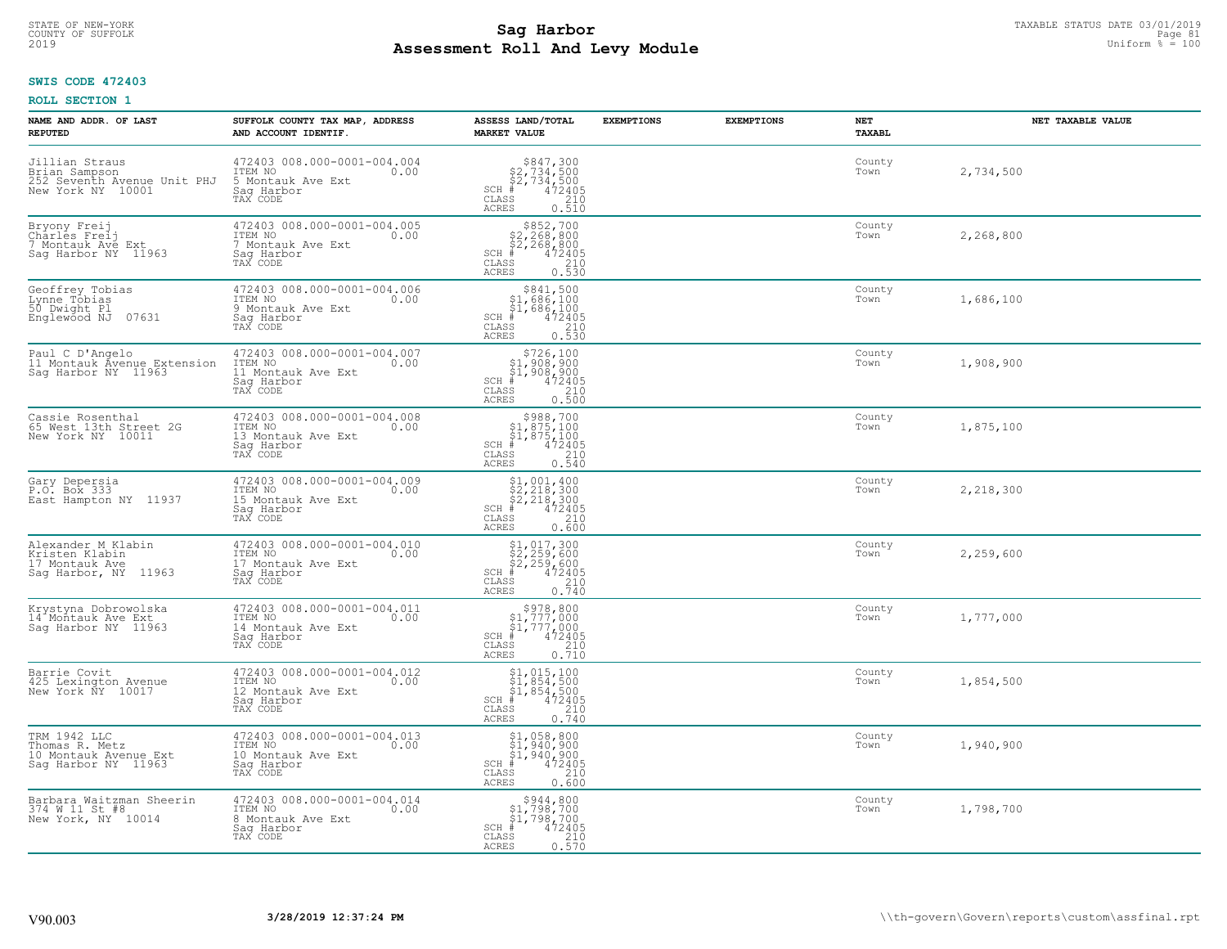## **Sag Harbor** TAXABLE STATUS DATE 03/01/2019<br>Poll and Louis Module **Assessment Roll And Levy Module** 2019 Uniform % = 100 COUNTY OF SUFFOLK **Example 2018 COUNTY OF SUFFOLK** Page 81

## **SWIS CODE 472403**

| NAME AND ADDR. OF LAST<br><b>REPUTED</b>                                            | SUFFOLK COUNTY TAX MAP, ADDRESS<br>AND ACCOUNT IDENTIF.                                        | ASSESS LAND/TOTAL<br><b>MARKET VALUE</b>                                                                                                                                                                                                                                                                                                                                                        | <b>EXEMPTIONS</b> | <b>EXEMPTIONS</b> | NET<br>TAXABL  | NET TAXABLE VALUE |
|-------------------------------------------------------------------------------------|------------------------------------------------------------------------------------------------|-------------------------------------------------------------------------------------------------------------------------------------------------------------------------------------------------------------------------------------------------------------------------------------------------------------------------------------------------------------------------------------------------|-------------------|-------------------|----------------|-------------------|
| Jillian Straus<br>Brian Sampson<br>252 Seventh Avenue Unit PHJ<br>New York NY 10001 | 472403 008.000-0001-004.004<br>ITEM NO<br>0.00<br>5 Montauk Ave Ext<br>Saq Harbor<br>TAX CODE  | $$847,300$<br>$$2,734,500$<br>$$2,734,500$<br>$472405$<br>$$2,10$<br>$$240$<br>$SCH$ #<br>CLASS<br>ACRES<br>0.510                                                                                                                                                                                                                                                                               |                   |                   | County<br>Town | 2,734,500         |
| Bryony Freij<br>Charles Freij<br>7 Montauk Ave Ext<br>Saq Harbor NY 11963           | 472403 008.000-0001-004.005<br>ITEM NO<br>0.00<br>7 Montauk Ave Ext<br>Saq Harbor<br>TAX CODE  | $$852,700$<br>$$2,268,800$<br>$$2,268,800$<br>$$472405$<br>$SCH$ #<br>CLASS<br>$\frac{210}{0.530}$<br>ACRES                                                                                                                                                                                                                                                                                     |                   |                   | County<br>Town | 2,268,800         |
| Geoffrey Tobias<br>Lynne Tõbias<br>50 Dwight Pl<br>Englewood NJ 07631               | 472403 008.000-0001-004.006<br>ITEM NO<br>0.00<br>9 Montauk Ave Ext<br>Sag Harbor<br>TAX CODE  | \$841,500<br>$\begin{array}{r} 31,686,100 \\ 51,686,100 \\ * & 472405 \\ * & 210 \\ * & 210 \\ * & 210 \\ * & 210 \\ * & 210 \\ * & 210 \\ * & 210 \\ * & 210 \\ * & 210 \\ * & 210 \\ * & 210 \\ * & 210 \\ * & 210 \\ * & 210 \\ * & 210 \\ * & 210 \\ * & 210 \\ * & 210 \\ * & 210 \\ * & 210 \\ * & 210 \\ * & 210 \\ * & 210 \\ * & 210 \\ * & 210 \\ * & 2$<br>$SCH$ #<br>CLASS<br>ACRES |                   |                   | County<br>Town | 1,686,100         |
| Paul C D'Angelo<br>11 Montauk Avenue Extension<br>Sag Harbor NY 11963               | 472403 008.000-0001-004.007<br>ITEM NO<br>0.00<br>11 Montauk Ave Ext<br>Saq Harbor<br>TAX CODE | $$726,100$<br>$$1,908,900$<br>$$1,908,900$<br>$472405$<br>$$210$<br>$SCH$ #<br>CLASS<br><b>ACRES</b><br>0.500                                                                                                                                                                                                                                                                                   |                   |                   | County<br>Town | 1,908,900         |
| Cassie Rosenthal<br>65 West 13th Street 2G<br>New York NY 10011                     | 472403 008.000-0001-004.008<br>ITEM NO<br>0.00<br>13 Montauk Ave Ext<br>Saq Harbor<br>TAX CODE | $$988,700$<br>$$1,875,100$<br>$$1,875,100$<br>$472405$<br>$$240$<br>$$240$<br>$SCH$ #<br>CLASS<br><b>ACRES</b><br>0.540                                                                                                                                                                                                                                                                         |                   |                   | County<br>Town | 1,875,100         |
| Gary Depersia<br>P.O. Box 333<br>East Hampton NY 11937                              | 472403 008.000-0001-004.009<br>ITEM NO<br>0.00<br>15 Montauk Ave Ext<br>Sag Harbor<br>TAX CODE | $$2, 218, 300$<br>$$2, 218, 300$<br>$$2, 218, 300$<br>$$472405$<br>$SCH$ #<br>CLASS<br>210<br>0.600<br><b>ACRES</b>                                                                                                                                                                                                                                                                             |                   |                   | County<br>Town | 2,218,300         |
| Alexander M Klabin<br>Kristen Klabin<br>17 Montauk Ave<br>Saq Harbor, NY 11963      | 472403 008.000-0001-004.010<br>ITEM NO<br>0.00<br>17 Montauk Ave Ext<br>Saq Harbor<br>TAX CODE | \$1,017,300<br>\$2,259,600<br>\$2,259,600<br>#472405<br>$SCH$ #<br>CLASS<br>$\frac{210}{0.740}$<br>ACRES                                                                                                                                                                                                                                                                                        |                   |                   | County<br>Town | 2,259,600         |
| Krystyna Dobrowolska<br>14 Montauk Ave Ext<br>Sag Harbor NY 11963                   | 472403 008.000-0001-004.011<br>ITEM NO 0.00<br>14 Montauk Ave Ext<br>Saq Harbor<br>TAX CODE    | $$978,800$<br>$$1,777,000$<br>$$1,777,000$<br>$*$ 472405<br>$SCH$ #<br>CLASS<br>$\frac{210}{0.710}$<br>ACRES                                                                                                                                                                                                                                                                                    |                   |                   | County<br>Town | 1,777,000         |
| Barrie Covit<br>425 Lexington Avenue<br>New York NY 10017                           | 472403 008.000-0001-004.012<br>ITEM NO<br>0.00<br>12 Montauk Ave Ext<br>Saq Harbor<br>TAX CODE | $SCH$ #<br>CLASS<br>$\frac{210}{0.740}$<br><b>ACRES</b>                                                                                                                                                                                                                                                                                                                                         |                   |                   | County<br>Town | 1,854,500         |
| TRM 1942 LLC<br>Thomas R. Metz<br>10 Montauk Avenue Ext<br>Sag Harbor NY 11963      | 472403 008.000-0001-004.013<br>ITEM NO<br>0.00<br>10 Montauk Ave Ext<br>Saq Harbor<br>TAX CODE | $$1,940,900$<br>$$1,940,900$<br>$$1,940,900$<br>$472405$<br>$$240$<br>$$240$<br>$SCH$ #<br>CLASS<br>0.600<br>ACRES                                                                                                                                                                                                                                                                              |                   |                   | County<br>Town | 1,940,900         |
| Barbara Waitzman Sheerin<br>374 W 11 St #8<br>New York, NY 10014                    | 472403 008.000-0001-004.014<br>ITEM NO<br>0.00<br>8 Montauk Ave Ext<br>Sag Harbor<br>TAX CODE  | $\begin{array}{c} $944,800\n$1,798,700\n$1,798,700\n# 472405 \end{array}$<br>$SCH$ #<br>CLASS<br>$\frac{210}{0.570}$<br><b>ACRES</b>                                                                                                                                                                                                                                                            |                   |                   | County<br>Town | 1,798,700         |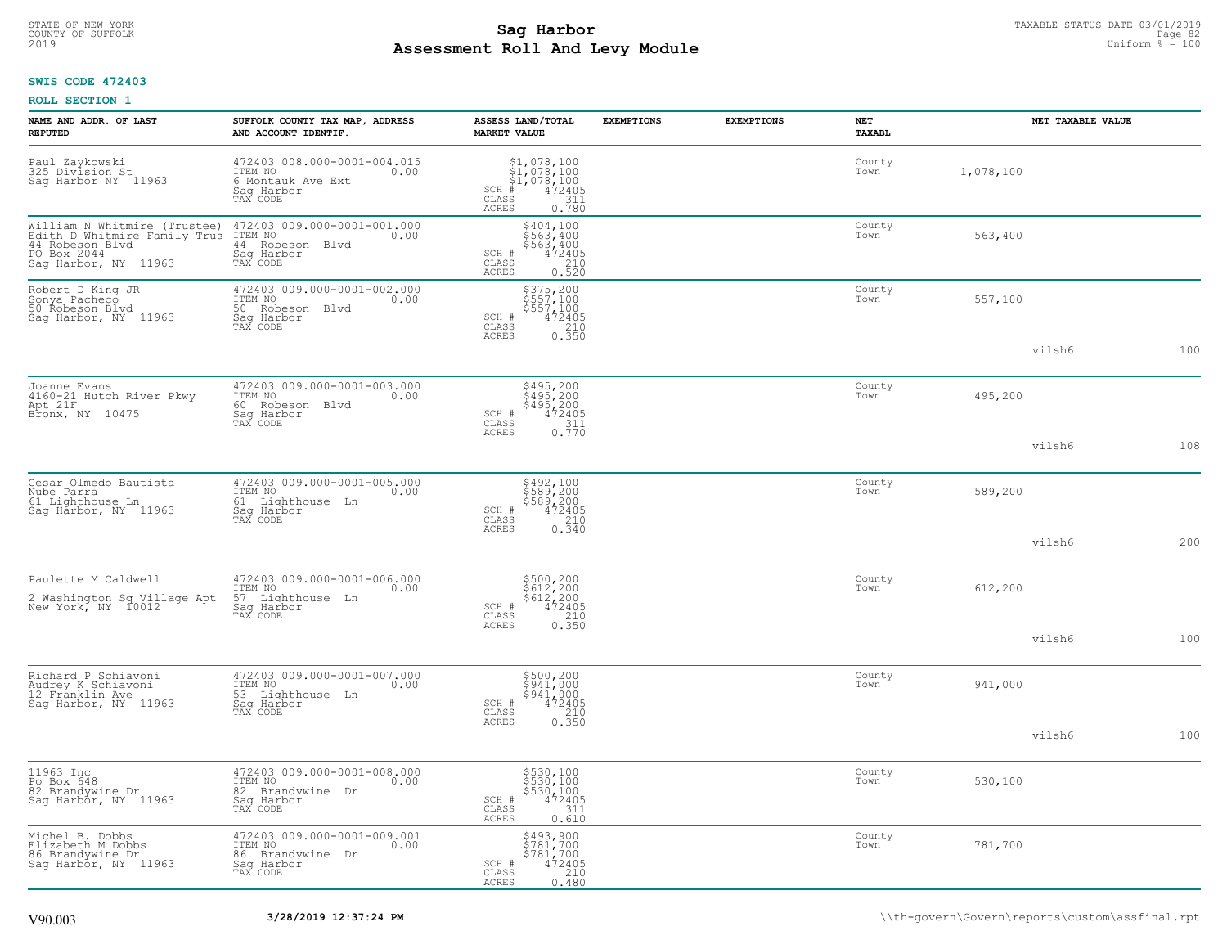# TAXABLE STATUS DATE 03/01/2019<br>COUNTY OF SUFFOLK Page 82 **Assessment Roll And Levy Module** 2019 Uniform % = 100

## **SWIS CODE 472403**

|  | <b>ROLL SECTION 1</b> |  |
|--|-----------------------|--|
|--|-----------------------|--|

| NAME AND ADDR. OF LAST<br><b>REPUTED</b>                                                                               | SUFFOLK COUNTY TAX MAP, ADDRESS<br>AND ACCOUNT IDENTIF.                                         | ASSESS LAND/TOTAL<br><b>MARKET VALUE</b>                                                                       | <b>EXEMPTIONS</b> | <b>EXEMPTIONS</b> | NET<br>TAXABL  | NET TAXABLE VALUE |     |
|------------------------------------------------------------------------------------------------------------------------|-------------------------------------------------------------------------------------------------|----------------------------------------------------------------------------------------------------------------|-------------------|-------------------|----------------|-------------------|-----|
| Paul Zaykowski<br>325 Division St<br>Sag Harbor NY 11963                                                               | 472403 008.000-0001-004.015<br>ITEM NO<br>0.00<br>6 Montauk Ave Ext<br>Saq Harbor<br>TAX CODE   | \$1,078,100<br>\$1,078,100<br>\$1,078,100<br>$SCH$ #<br>472405<br>CLASS<br>$\frac{311}{0.780}$<br>ACRES        |                   |                   | County<br>Town | 1,078,100         |     |
| William N Whitmire (Trustee)<br>Edith D Whitmire Family Trus<br>44 Robeson Blvd<br>PO Box 2044<br>Saq Harbor, NY 11963 | 472403 009.000-0001-001.000<br>ITEM NO<br>0.00<br>44 Robeson Blvd<br>Sag Harbor<br>TAX CODE     | $$404,100$<br>$$563,400$<br>$$563,400$<br>$472405$<br>$$210$<br>SCH #<br>CLASS<br><b>ACRES</b><br>0.520        |                   |                   | County<br>Town | 563,400           |     |
| Robert D King JR<br>Sonya Pacheco<br>50 Řobeson Blvd<br>Saq Harbor, NY 11963                                           | 472403 009.000-0001-002.000<br>ITEM NO<br>0.00<br>50 Robeson Blvd<br>Saq Harbor<br>TAX CODE     | $$375,200$<br>$$557,100$<br>$$557,100$<br>$$472405$<br>$$210$<br>SCH #<br>CLASS<br>ACRES<br>0.350              |                   |                   | County<br>Town | 557,100           |     |
|                                                                                                                        |                                                                                                 |                                                                                                                |                   |                   |                | vilsh6            | 100 |
| Joanne Evans<br>4160-21 Hutch River Pkwy<br>Apt 21F<br>Bronx, NY 10475                                                 | 472403 009.000-0001-003.000<br>ITEM NO<br>0.00<br>60 Robeson Blvd<br>Saq Harbor<br>TAX CODE     | \$495,200<br>\$495,200<br>\$495,200<br>SCH #<br>472405<br>CLASS<br>$\frac{311}{0.770}$                         |                   |                   | County<br>Town | 495,200           |     |
|                                                                                                                        |                                                                                                 | <b>ACRES</b>                                                                                                   |                   |                   |                | vilsh6            | 108 |
| Cesar Olmedo Bautista<br>Nube Parra<br>61 Lighthouse Ln<br>Sag Harbor, NY 11963                                        | 472403 009.000-0001-005.000<br>ITEM NO<br>0.00<br>Lighthouse Ln<br>61<br>Sag Harbor<br>TAX CODE | \$492,100<br>\$589,200<br>\$589,200<br>472405<br>SCH #<br>210<br>$\mathtt{CLASS}$                              |                   |                   | County<br>Town | 589,200           |     |
|                                                                                                                        |                                                                                                 | 0.340<br><b>ACRES</b>                                                                                          |                   |                   |                | vilsh6            | 200 |
| Paulette M Caldwell                                                                                                    | 472403 009.000-0001-006.000<br>ITEM NO<br>0.00                                                  |                                                                                                                |                   |                   | County<br>Town | 612,200           |     |
| 2 Washington Sq Village Apt<br>New York, NY 10012                                                                      | 57 Lighthouse Ln<br>Sag Harbor<br>TAX CODE                                                      | $\begin{array}{r} 5500, 200 \\ 5612, 200 \\ 5612, 200 \\ 472405 \\ 210 \\ 0.350 \end{array}$<br>SCH #<br>CLASS |                   |                   |                |                   |     |
|                                                                                                                        |                                                                                                 | ACRES                                                                                                          |                   |                   |                | vilsh6            | 100 |
| Richard P Schiavoni<br>Audrey K Schiavoni<br>12 Frânklin Ave<br>Sag Harbor, NY 11963                                   | 472403 009.000-0001-007.000<br>ITEM NO<br>0.00<br>53 Lighthouse Ln<br>Sag Harbor<br>TAX CODE    | \$500,200<br>\$941,000<br>\$941,000<br>SCH #<br>472405<br>CLASS                                                |                   |                   | County<br>Town | 941,000           |     |
|                                                                                                                        |                                                                                                 | $\begin{array}{c} 210 \\ 0.350 \end{array}$<br>ACRES                                                           |                   |                   |                | vilsh6            | 100 |
| 11963 Inc<br>Po Box 648<br>82 Brandywine Dr<br>Sag Harbor, NY 11963                                                    | 472403 009.000-0001-008.000<br>ITEM NO<br>0.00<br>82 Brandywine Dr<br>Saq Harbor<br>TAX CODE    | \$530,100<br>\$530,100<br>\$530,100<br>472405<br>SCH #<br>CLASS<br>311<br>ACRES<br>0.610                       |                   |                   | County<br>Town | 530,100           |     |
| Michel B. Dobbs<br>Elizabeth M Dobbs<br>86 Brandywine Dr<br>Sag Harbor, NY 11963                                       | 472403 009.000-0001-009.001<br>ITEM NO<br>0.00<br>86 Brandywine Dr<br>Saq Harbor<br>TAX CODE    | \$493,900<br>\$781,700<br>\$781,700<br>SCH #<br>$\frac{472405}{210}$<br>CLASS<br>0, 480<br>ACRES               |                   |                   | County<br>Town | 781,700           |     |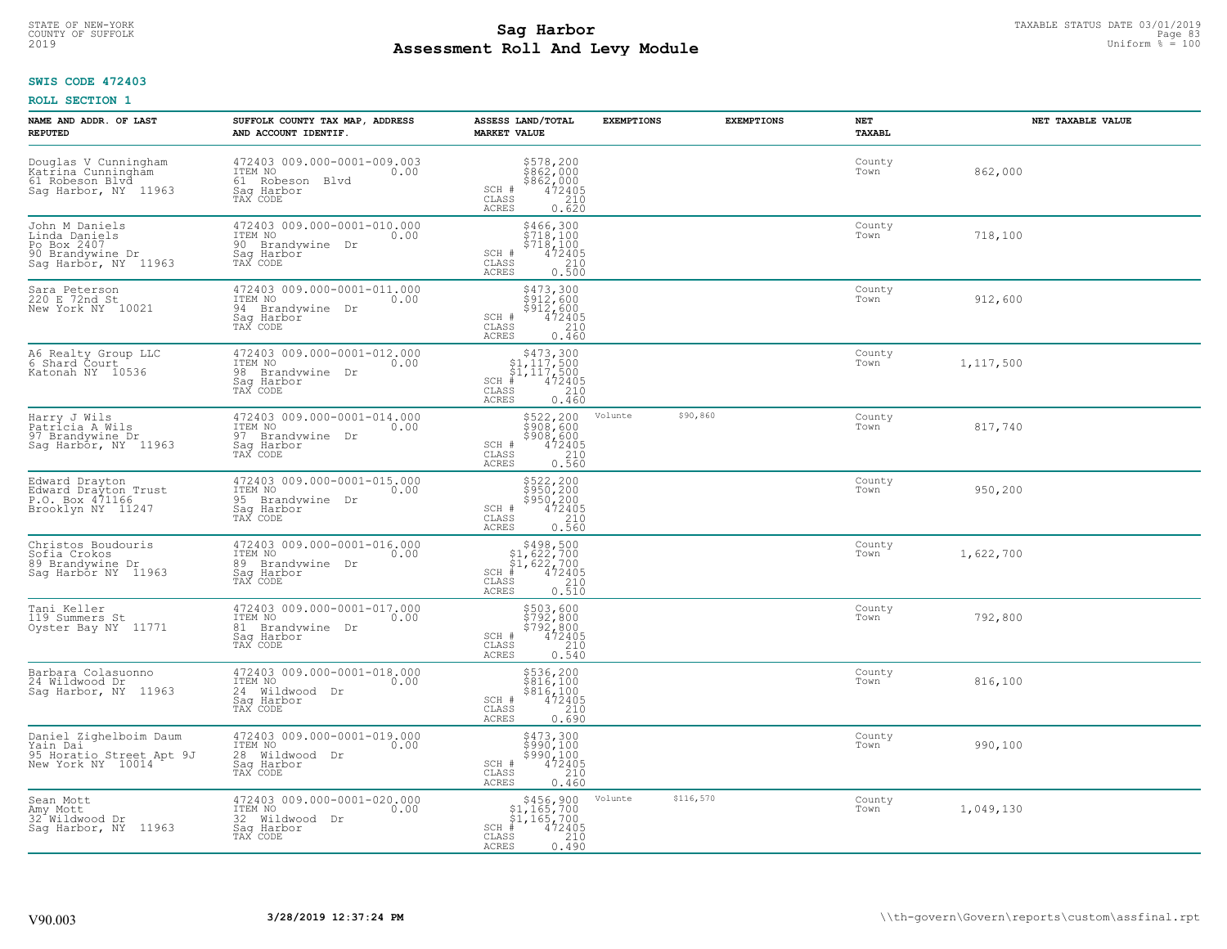## **Sag Harbor** TAXABLE STATUS DATE 03/01/2019<br>Poll and Louis Module **Assessment Roll And Levy Module** 2019 Uniform % = 100 COUNTY OF SUFFOLK **Example 2018 Page 83 COUNTY And Support Page 83 Page 83 Page 83**

## **SWIS CODE 472403**

| NAME AND ADDR. OF LAST<br><b>REPUTED</b>                                                   | SUFFOLK COUNTY TAX MAP, ADDRESS<br>AND ACCOUNT IDENTIF.                                      | ASSESS LAND/TOTAL<br><b>MARKET VALUE</b>                                                                                 | <b>EXEMPTIONS</b> | <b>EXEMPTIONS</b> | <b>NET</b><br><b>TAXABL</b> | NET TAXABLE VALUE |
|--------------------------------------------------------------------------------------------|----------------------------------------------------------------------------------------------|--------------------------------------------------------------------------------------------------------------------------|-------------------|-------------------|-----------------------------|-------------------|
| Douglas V Cunningham<br>Katrina Cunningham<br>61 Robeson Blvd<br>Sag Harbor, NY 11963      | 472403 009.000-0001-009.003<br>ITEM NO<br>0.00<br>61 Robeson Blvd<br>Saq Harbor<br>TAX CODE  | $$862,000$<br>$$862,000$<br>$$862,000$<br>$$472405$<br>210<br>SCH #<br>CLASS<br>ACRES<br>0.620                           |                   |                   | County<br>Town              | 862,000           |
| John M Daniels<br>Linda Daniels<br>Po Box 2407<br>90 Brandywine Dr<br>Sag Harbor, NY 11963 | 472403 009.000-0001-010.000<br>ITEM NO<br>0.00<br>90 Brandywine Dr<br>Saq Harbor<br>TAX CODE | \$466,300<br>\$718,100<br>\$718,100<br>472405<br>SCH #<br>$\mathtt{CLASS}$<br>210<br>0.500<br>ACRES                      |                   |                   | County<br>Town              | 718,100           |
| Sara Peterson<br>220 E 72nd St<br>New York NY 10021                                        | 472403 009.000-0001-011.000<br>ITEM NO<br>0.00<br>94 Brandywine Dr<br>Saq Harbor<br>TAX CODE | \$473,300<br>\$912,600<br>\$912,600<br>SCH #<br>472405<br>CLASS<br>210<br>0.460<br>ACRES                                 |                   |                   | County<br>Town              | 912,600           |
| A6 Realty Group LLC<br>6 Shard Court<br>Katonah NY 10536                                   | 472403 009.000-0001-012.000<br>ITEM NO<br>0.00<br>98 Brandvwine Dr<br>Saq Harbor<br>TAX CODE | $$473,300$<br>$$1,117,500$<br>SCH #<br>CLASS<br>ACRES<br>0.460                                                           |                   |                   | County<br>Town              | 1,117,500         |
| Harry J Wils<br>Patricia A Wils<br>97 Brandywine Dr<br>Saq Harbor, NY 11963                | 472403 009.000-0001-014.000<br>ITEM NO<br>0.00<br>97 Brandywine Dr<br>Saq Harbor<br>TAX CODE | \$522,200<br>\$908,600<br>\$908,600<br>SCH #<br>$\begin{array}{r} 472405 \\ 210 \\ 0.560 \end{array}$<br>CLASS<br>ACRES  | Volunte           | \$90,860          | County<br>Town              | 817,740           |
| Edward Drayton<br>Edward Drayton Trust<br>P.O. Box 471166<br>Brooklyn NY 11247             | 472403 009.000-0001-015.000<br>ITEM NO<br>0.00<br>95 Brandywine Dr<br>Sag Harbor<br>TAX CODE | $$522, 200$<br>$$950, 200$<br>$$950, 200$<br>$$472405$<br>$$210$<br>SCH #<br>CLASS<br>0.560<br>ACRES                     |                   |                   | County<br>Town              | 950,200           |
| Christos Boudouris<br>Sofia Crokos<br>89 Brandywine Dr<br>Sag Harbor NY 11963              | 472403 009.000-0001-016.000<br>ITEM NO<br>0.00<br>89 Brandywine Dr<br>Saq Harbor<br>TAX CODE | $$498,500$<br>$$1,622,700$<br>$$1,622,700$<br>$$1,622,700$<br>$SCH$ #<br>472405<br>CLASS<br>210<br>0.510<br><b>ACRES</b> |                   |                   | County<br>Town              | 1,622,700         |
| Tani Keller<br>119 Summers St<br>Oyster Bay NY 11771                                       | 472403 009.000-0001-017.000<br>ITEM NO<br>0.00<br>81 Brandywine Dr<br>Saq Harbor<br>TAX CODE | \$503,600<br>\$792,800<br>\$792,800<br>\$72405<br>\$210<br>SCH #<br>CLASS<br>0.540<br>ACRES                              |                   |                   | County<br>Town              | 792,800           |
| Barbara Colasuonno<br>24 Wildwood Dr<br>Saq Harbor, NY 11963                               | 472403 009.000-0001-018.000<br>TTEM NO 0.00<br>24 Wildwood Dr<br>Saq Harbor<br>TAX CODE      | \$536,200<br>\$816,100<br>\$816,100<br>472405<br>SCH #<br>CLASS<br>0.690<br>ACRES                                        |                   |                   | County<br>Town              | 816,100           |
| Daniel Zighelboim Daum<br>Yain Dai<br>95 Horatio Street Apt 9J<br>New York NY 10014        | 472403 009.000-0001-019.000<br>ITEM NO<br>0.00<br>28 Wildwood Dr<br>Sag Harbor<br>TAX CODE   | $$473,300$<br>$$990,100$<br>$$990,100$<br>$472405$<br>$$210$<br>SCH #<br>CLASS<br><b>ACRES</b><br>0.460                  |                   |                   | County<br>Town              | 990,100           |
| Sean Mott<br>Amy Mott<br>32 Wildwood Dr<br>Sag Harbor, NY 11963                            | 472403 009.000-0001-020.000<br>ITEM NO<br>0.00<br>32 Wildwood Dr<br>Sag Harbor<br>TAX CODE   | $\begin{array}{c} $456,900\\ $1,165,700\\ $1,165,700 \end{array}$<br>$SCH$ #<br>472405<br>210<br>CLASS<br>ACRES<br>0.490 | Volunte           | \$116,570         | County<br>Town              | 1,049,130         |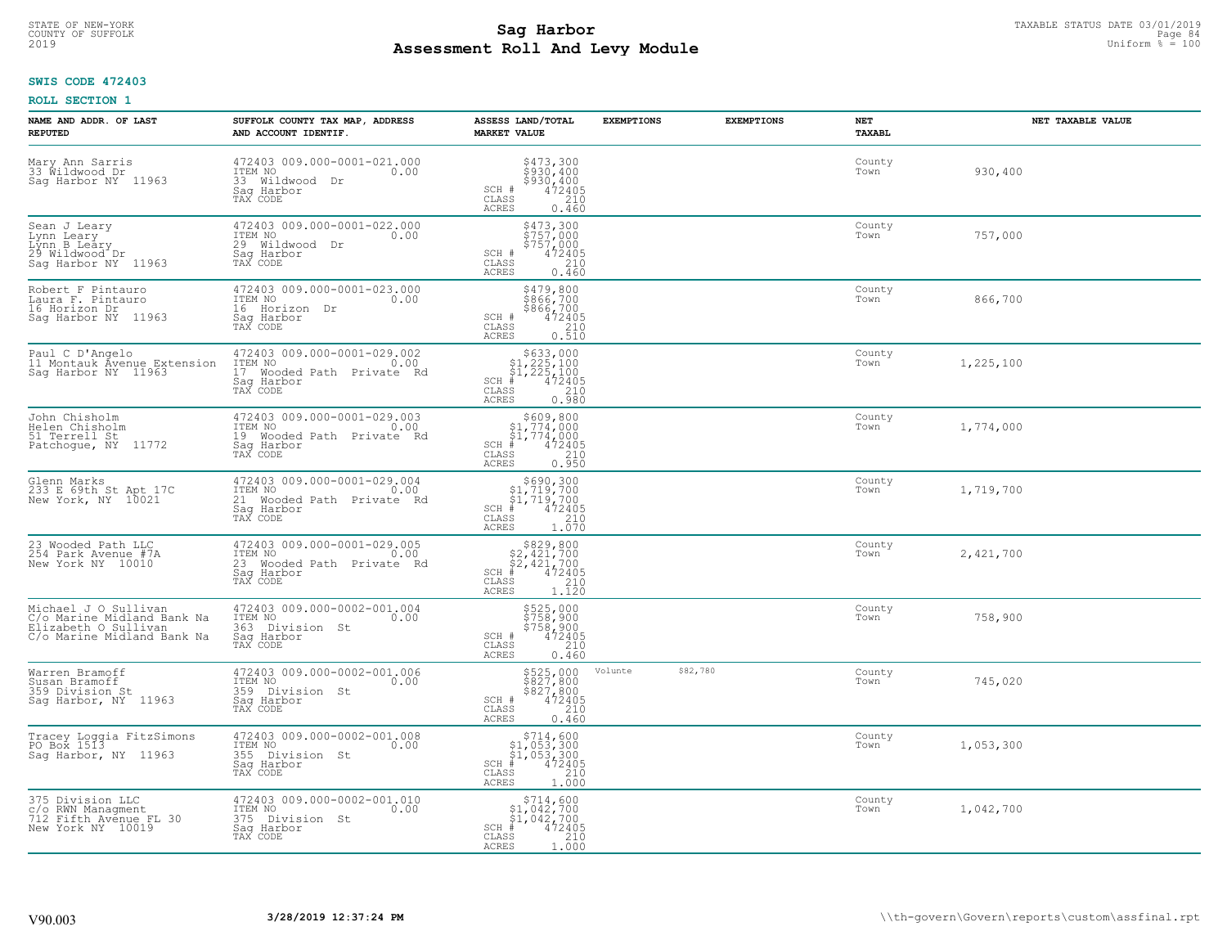## **Sag Harbor** TAXABLE STATUS DATE 03/01/2019<br>Poll and Louis Module **Assessment Roll And Levy Module** 2019 Uniform % = 100 COUNTY OF SUFFOLK **Example 31 COUNTY COUNTY OF SUFFOLK** Page 84

## **SWIS CODE 472403**

| NAME AND ADDR. OF LAST<br><b>REPUTED</b>                                                                 | SUFFOLK COUNTY TAX MAP, ADDRESS<br>AND ACCOUNT IDENTIF.                                               | ASSESS LAND/TOTAL<br><b>MARKET VALUE</b>                                                                                 | <b>EXEMPTIONS</b> | <b>EXEMPTIONS</b> | NET<br><b>TAXABL</b> | NET TAXABLE VALUE |
|----------------------------------------------------------------------------------------------------------|-------------------------------------------------------------------------------------------------------|--------------------------------------------------------------------------------------------------------------------------|-------------------|-------------------|----------------------|-------------------|
| Mary Ann Sarris<br>33 Wildwood Dr<br>Saq Harbor NY 11963                                                 | 472403 009.000-0001-021.000<br>ITEM NO<br>0.00<br>33 Wildwood Dr<br>Saq Harbor<br>TAX CODE            | \$473,300<br>\$930,400<br>\$930,400<br>472405<br>SCH #<br>CLASS<br>210<br><b>ACRES</b><br>0.460                          |                   |                   | County<br>Town       | 930,400           |
| Sean J Leary<br>Lynn Leary<br>Lýnn B Leáry<br>29 Wildwood Dr<br>Saq Harbor NY 11963                      | 472403 009.000-0001-022.000<br>ITEM NO<br>0.00<br>29 Wildwood Dr<br>Sag Harbor<br>TAX CODE            | \$473,300<br>\$757,000<br>\$757,000<br>SCH #<br>472405<br>CLASS<br>210<br><b>ACRES</b><br>0.460                          |                   |                   | County<br>Town       | 757,000           |
| Robert F Pintauro<br>Laura F. Pintauro<br>16 Horizon Dr<br>Sag Harbor NY 11963                           | 472403 009.000-0001-023.000<br>ITEM NO<br>0.00<br>16 Horizon Dr<br>Sag Harbor<br>TAX CODE             | \$479,800<br>\$866,700<br>\$866,700<br>\$472405<br>\$10<br>SCH #<br>CLASS<br>0.510<br>ACRES                              |                   |                   | County<br>Town       | 866,700           |
| Paul C D'Angelo<br>11 Montauk Avenue Extension<br>Sag Harbor NY 11963                                    | 472403 009.000-0001-029.002<br>ITEM NO<br>0.00<br>17 Wooded Path Private Rd<br>Saq Harbor<br>TAX CODE | $$633,000$<br>$$1,225,100$<br>$$1,225,100$<br>$*1,225,100$<br>$*1,22405$<br>$SCH$ #<br>CLASS<br>210<br>0.980<br>ACRES    |                   |                   | County<br>Town       | 1,225,100         |
| John Chisholm<br>Helen Chisholm<br>51 Terrell St<br>Patchogue, NY 11772                                  | 472403 009.000-0001-029.003<br>ITEM NO<br>0.00<br>19 Wooded Path Private Rd<br>Saq Harbor<br>TAX CODE | $$609, 800$<br>$$1, 774, 000$<br>$$1, 774, 000$<br>$*$ $472405$<br>$SCH$ #<br>CLASS<br>210<br>ACRES<br>0.950             |                   |                   | County<br>Town       | 1,774,000         |
| Glenn Marks<br>233 E 69th St Apt 17C<br>New York, NY 10021                                               | 472403 009.000-0001-029.004<br>0.00<br>ITEM NO<br>21 Wooded Path Private Rd<br>Sag Harbor<br>TAX CODE | $$690,300$<br>$$1,719,700$<br>$$1,719,700$<br>$472405$<br>$$210$<br>SCH #<br>CLASS<br><b>ACRES</b><br>1.070              |                   |                   | County<br>Town       | 1,719,700         |
| 23 Wooded Path LLC<br>254 Park Avenue #7A<br>New York NY 10010                                           | 472403 009.000-0001-029.005<br>ITEM NO<br>0.00<br>23 Wooded Path Private Rd<br>Saq Harbor<br>TAX CODE | $$829, 800$<br>$$2, 421, 700$<br>$$2, 421, 700$<br>$*$ 472405<br>$SCH$ #<br>$\frac{210}{1.120}$<br>CLASS<br><b>ACRES</b> |                   |                   | County<br>Town       | 2,421,700         |
| Michael J O Sullivan<br>C/o Marine Midland Bank Na<br>Elizabeth O Sullivan<br>C/o Marine Midland Bank Na | 472403 009.000-0002-001.004<br>ITEM NO<br>0.00<br>363 Division St<br>Saq Harbor<br>TAX CODE           | \$525,000<br>\$758,900<br>\$758,900<br>\$758,900<br>SCH #<br>CLASS<br>210<br><b>ACRES</b><br>0.460                       |                   |                   | County<br>Town       | 758,900           |
| Warren Bramoff<br>Susan Bramoff<br>359 Division St<br>Sag Harbor, NY 11963                               | 472403 009.000-0002-001.006<br>TTEM NO 0.00<br>359 Division St<br>Saq Harbor<br>TAX CODE              | \$525,000<br>\$827,800<br>\$827,800<br>472405<br>SCH #<br>CLASS<br>210<br><b>ACRES</b><br>0.460                          | Volunte           | \$82,780          | County<br>Town       | 745,020           |
| Tracey Loggia FitzSimons<br>PO Box 1513<br>Sag Harbor, NY 11963                                          | 472403 009.000-0002-001.008<br>ITEM NO<br>0.00<br>355 Division St<br>Saq Harbor<br>TAX CODE           | $$714,600$<br>$$1,053,300$<br>$$1,053,300$<br>$*1$<br>$472405$<br>$SCH$ #<br>CLASS<br>210<br><b>ACRES</b><br>1.000       |                   |                   | County<br>Town       | 1,053,300         |
| 375 Division LLC<br>c/o RWN Managment<br>712 Fifth Avenue FL 30<br>New York NY 10019                     | 472403 009.000-0002-001.010<br>ITEM NO<br>0.00<br>375 Division St<br>Sag Harbor<br>TAX CODE           | $$714,600$<br>$$1,042,700$<br>$$1,042,700$<br>$SCH$ #<br>472405<br>CLASS<br>210<br>ACRES<br>1.000                        |                   |                   | County<br>Town       | 1,042,700         |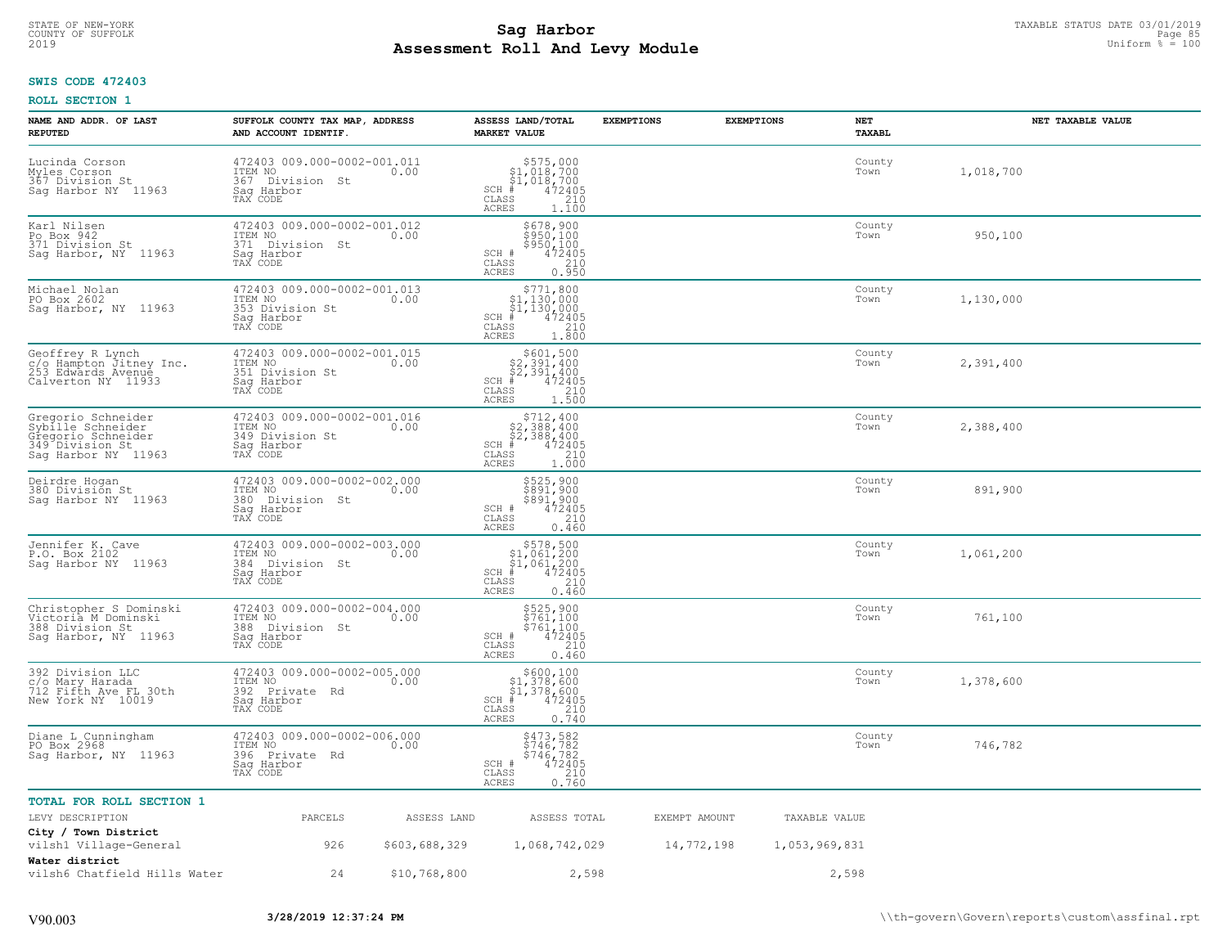## **Sag Harbor** TAXABLE STATUS DATE 03/01/2019<br>Poll and Louis Module **Assessment Roll And Levy Module** 2019 Uniform % = 100 COUNTY OF SUFFOLK **Example 25 and Sample 20 and Sample 20 and Sample 20 and Sample 20 and Sample 20 and Sample 20 and Sample 20 and Page 85**

## **SWIS CODE 472403**

| NAME AND ADDR. OF LAST<br><b>REPUTED</b>                                                                | SUFFOLK COUNTY TAX MAP, ADDRESS<br>AND ACCOUNT IDENTIF.                                        | ASSESS LAND/TOTAL<br><b>MARKET VALUE</b>                                                                                                | <b>EXEMPTIONS</b> | <b>EXEMPTIONS</b><br>NET<br><b>TAXABL</b> | NET TAXABLE VALUE |
|---------------------------------------------------------------------------------------------------------|------------------------------------------------------------------------------------------------|-----------------------------------------------------------------------------------------------------------------------------------------|-------------------|-------------------------------------------|-------------------|
| Lucinda Corson<br>Myles Corson<br>367 Division St<br>Sag Harbor NY 11963                                | 472403 009.000-0002-001.011<br>ITEM NO<br>0.00<br>367 Division St<br>Saq Harbor<br>TAX CODE    | $$575,000$<br>$$1,018,700$<br>$$1,018,700$<br>$*$<br>$472405$<br>$35$<br>$1210$<br>$SCH$ #<br>$\mathtt{CLASS}$<br><b>ACRES</b><br>1,100 |                   | County<br>Town                            | 1,018,700         |
| Karl Nilsen<br>Po Box 942<br>371 Division St<br>Sag Harbor, NY 11963                                    | 472403 009.000-0002-001.012<br>ITEM NO<br>0.00<br>371<br>Division St<br>Sag Harbor<br>TAX CODE | \$678,900<br>\$950,100<br>\$950,100<br>SCH #<br>472405<br>210<br>CLASS<br><b>ACRES</b><br>0.950                                         |                   | County<br>Town                            | 950,100           |
| Michael Nolan<br>PO Box 2602<br>Sag Harbor, NY 11963                                                    | 472403 009.000-0002-001.013<br>ITEM NO<br>0.00<br>353 Division St<br>Sag Harbor<br>TAX CODE    | SCH<br>. #<br>CLASS<br><b>ACRES</b><br>1,800                                                                                            |                   | County<br>Town                            | 1,130,000         |
| Geoffrey R Lynch<br>c/o Hampton Jitney Inc.<br>253 Edwards Avenue<br>Calverton NY 11933                 | 472403 009.000-0002-001.015<br>ITEM NO 0.00<br>351 Division St<br>Saq Harbor<br>TAX CODE       | $$601,500$<br>$$2,391,400$<br>$$2,391,400$<br>$$2,391,400$<br>$SCH$ #<br>472405<br>CLASS<br>$\frac{210}{1.500}$<br>ACRES                |                   | County<br>Town                            | 2,391,400         |
| Gregorio Schneider<br>Sybille Schneider<br>Gregorio Schneider<br>349 Division St<br>Sag Harbor NY 11963 | 472403 009.000-0002-001.016<br>ITEM NO<br>0.00<br>349 Division St<br>Sag Harbor<br>TAX CODE    | $\begin{array}{c} $712,400 $2,388,400 $2,388,400 $472405 \end{array}$<br>$SCH$ #<br>CLASS<br>210<br>ACRES<br>1.000                      |                   | County<br>Town                            | 2,388,400         |
| Deirdre Hogan<br>380 División St<br>Sag Harbor NY 11963                                                 | 472403 009.000-0002-002.000<br>ITEM NO<br>0.00<br>380<br>Division St<br>Saq Harbor<br>TAX CODE | \$525,900<br>\$891,900<br>\$891,900<br>SCH #<br>472405<br>CLASS<br>210<br>0.460<br>ACRES                                                |                   | County<br>Town                            | 891,900           |
| Jennifer K. Cave<br>P.O. Box 2102<br>Sag Harbor NY 11963                                                | 472403 009.000-0002-003.000<br>ITEM NO<br>0.00<br>384 Division St<br>Saq Harbor<br>TAX CODE    | $$578,500$<br>$$1,061,200$<br>$$1,061,200$<br>$$472405$<br>SCH #<br>CLASS<br>210<br>0.460<br><b>ACRES</b>                               |                   | County<br>Town                            | 1,061,200         |
| Christopher S Dominski<br>Victoria M Dominski<br>388 Division St<br>Saq Harbor, NY 11963                | 472403 009.000-0002-004.000<br>ITEM NO<br>0.00<br>388 Division St<br>Saq Harbor<br>TAX CODE    | \$525,900<br>\$761,100<br>\$761,100<br>SCH #<br>472405<br>CLASS<br>210<br>ACRES<br>0.460                                                |                   | County<br>Town                            | 761,100           |
| 392 Division LLC<br>c/o Mary Harada<br>712 Fifth Ave FL 30th<br>New York NY 10019                       | 472403 009.000-0002-005.000<br>ITEM NO<br>0.00<br>392<br>Private Rd<br>Saq Harbor<br>TAX CODE  | $$600,100$<br>$$1,378,600$<br>$$1,378,600$<br>$*1,378,600$<br>$*1,472405$<br>$SCH$ #<br>CLASS<br>210<br><b>ACRES</b><br>0.740           |                   | County<br>Town                            | 1,378,600         |
| Diane L Cunningham<br>PO Box 2968<br>Sag Harbor, NY 11963                                               | 472403 009.000-0002-006.000<br>ITEM NO<br>0.00<br>396<br>Private Rd<br>Saq Harbor<br>TAX CODE  | \$473,582<br>\$746,782<br>\$746,782<br>\$746,782<br>SCH #<br>CLASS<br>210<br>0.760<br>ACRES                                             |                   | County<br>Town                            | 746,782           |
| TOTAL FOR ROLL SECTION 1                                                                                |                                                                                                |                                                                                                                                         |                   |                                           |                   |
| LEVY DESCRIPTION                                                                                        | PARCELS<br>ASSESS LAND                                                                         | ASSESS TOTAL                                                                                                                            | EXEMPT AMOUNT     | TAXABLE VALUE                             |                   |
| City / Town District<br>vilsh1 Village-General                                                          | 926<br>\$603,688,329                                                                           | 1,068,742,029                                                                                                                           | 14,772,198        | 1,053,969,831                             |                   |
| Water district<br>vilsh6 Chatfield Hills Water                                                          | 24<br>\$10,768,800                                                                             | 2,598                                                                                                                                   |                   | 2,598                                     |                   |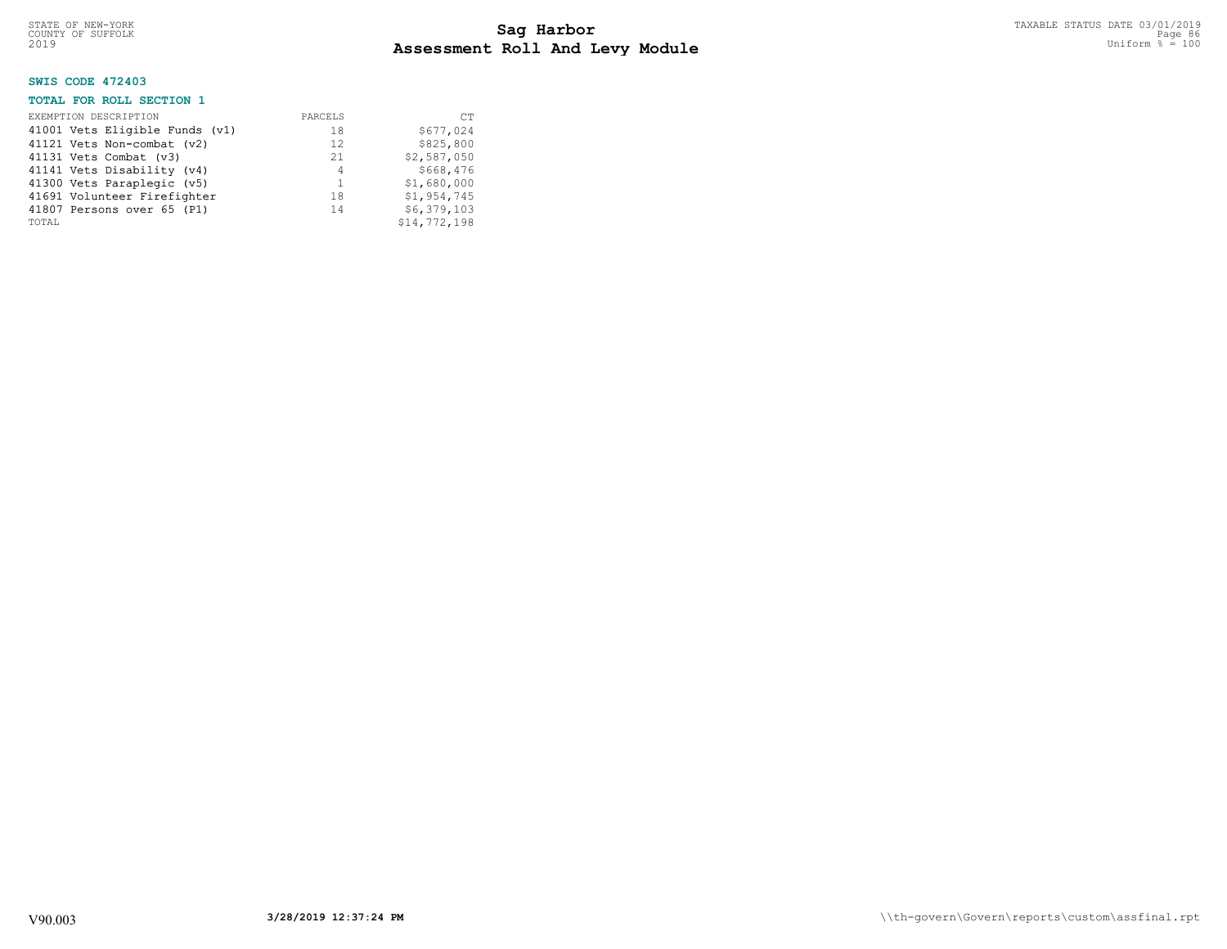## **SWIS CODE 472403**

## **TOTAL FOR ROLL SECTION 1**

| EXEMPTION DESCRIPTION          | PARCELS | <b>CT</b>    |
|--------------------------------|---------|--------------|
| 41001 Vets Eligible Funds (v1) | 18      | \$677,024    |
| 41121 Vets Non-combat (v2)     | 12.     | \$825,800    |
| 41131 Vets Combat (v3)         | 21      | \$2,587,050  |
| 41141 Vets Disability (v4)     | 4       | \$668,476    |
| 41300 Vets Paraplegic (v5)     | 1       | \$1,680,000  |
| 41691 Volunteer Firefighter    | 18      | \$1,954,745  |
| 41807 Persons over 65 (P1)     | 14      | \$6,379,103  |
| TOTAL                          |         | \$14,772,198 |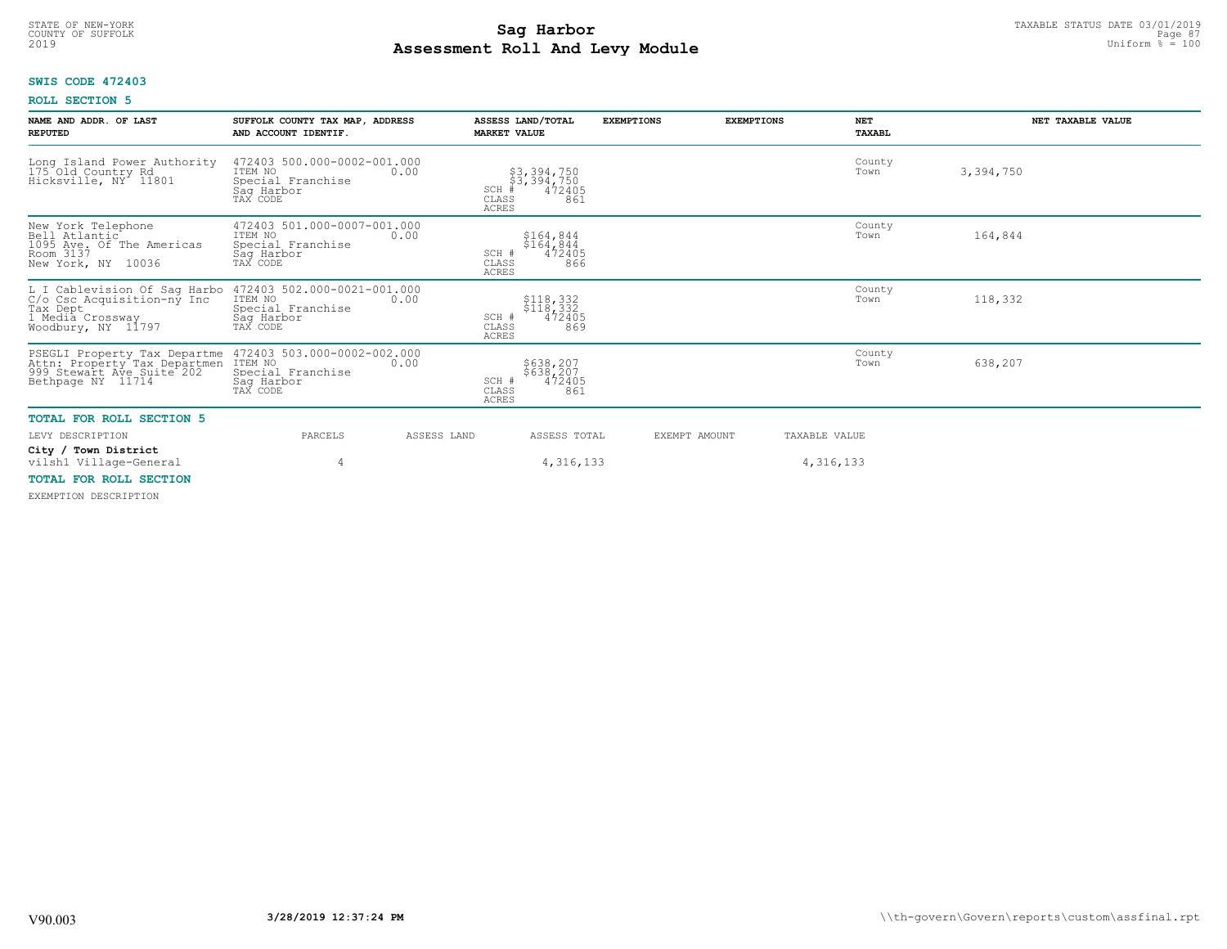## **Sag Harbor** TAXABLE STATUS DATE 03/01/2019<br>Poll and Louis Module **Assessment Roll And Levy Module** 2019 Uniform % = 100 COUNTY OF SUFFOLK **Example 2018 Page 87 Page 87 Page 87 Page 87 Page 87 Page 87**

## **SWIS CODE 472403**

## **ROLL SECTION 5**

| NAME AND ADDR. OF LAST<br><b>REPUTED</b>                                                                                              | SUFFOLK COUNTY TAX MAP, ADDRESS<br>AND ACCOUNT IDENTIF.                                       | ASSESS LAND/TOTAL<br><b>MARKET VALUE</b>                                     | <b>EXEMPTIONS</b> | <b>EXEMPTIONS</b><br><b>NET</b><br>TAXABL | NET TAXABLE VALUE |
|---------------------------------------------------------------------------------------------------------------------------------------|-----------------------------------------------------------------------------------------------|------------------------------------------------------------------------------|-------------------|-------------------------------------------|-------------------|
| Long Island Power Authority<br>175 Old Country Rd<br>Hicksville, NY 11801                                                             | 472403 500.000-0002-001.000<br>ITEM NO<br>0.00<br>Special Franchise<br>Saq Harbor<br>TAX CODE | \$3,394,750<br>\$3,394,750<br>#472405<br>SCH<br>CLASS<br>861<br><b>ACRES</b> |                   | County<br>Town                            | 3,394,750         |
| New York Telephone<br>Bell Atlantic<br>1095 Ave. Of The Americas<br>Room 3137<br>New York, NY 10036                                   | 472403 501.000-0007-001.000<br>ITEM NO<br>0.00<br>Special Franchise<br>Saq Harbor<br>TAX CODE | \$164,844<br>\$164,844<br>472405<br>SCH #<br>CLASS<br>866<br><b>ACRES</b>    |                   | County<br>Town                            | 164,844           |
| L I Cablevision Of Sag Harbo<br>C/o Csc Acquisition-ny Inc<br>Tax Dept<br>I Media Crossway<br>Woodbury, NY 11797                      | 472403 502.000-0021-001.000<br>ITEM NO<br>0.00<br>Special Franchise<br>Sag Harbor<br>TAX CODE | \$118,332<br>\$118,332<br>472405<br>SCH #<br>CLASS<br>869<br><b>ACRES</b>    |                   | County<br>Town                            | 118,332           |
| PSEGLI Property Tax Departme 472403<br>Attn: Property Tax Departmen ITEM NO<br>999 Stewart Ave_Suite 202 Special<br>Bethpage NY 11714 | 472403 503.000-0002-002.000<br>0.00<br>Special Franchise<br>Saq Harbor<br>TAX CODE            | \$638,207<br>\$638,207<br>472405<br>SCH #<br>CLASS<br>861<br><b>ACRES</b>    |                   | County<br>Town                            | 638,207           |
| <b>TOTAL FOR ROLL SECTION 5</b>                                                                                                       |                                                                                               |                                                                              |                   |                                           |                   |
| LEVY DESCRIPTION                                                                                                                      | PARCELS<br>ASSESS LAND                                                                        | ASSESS TOTAL                                                                 | EXEMPT AMOUNT     | TAXABLE VALUE                             |                   |
| City / Town District<br>vilsh1 Village-General                                                                                        | 4                                                                                             | 4, 316, 133                                                                  |                   | 4,316,133                                 |                   |
| <b>TOTAL FOR ROLL SECTION</b>                                                                                                         |                                                                                               |                                                                              |                   |                                           |                   |

EXEMPTION DESCRIPTION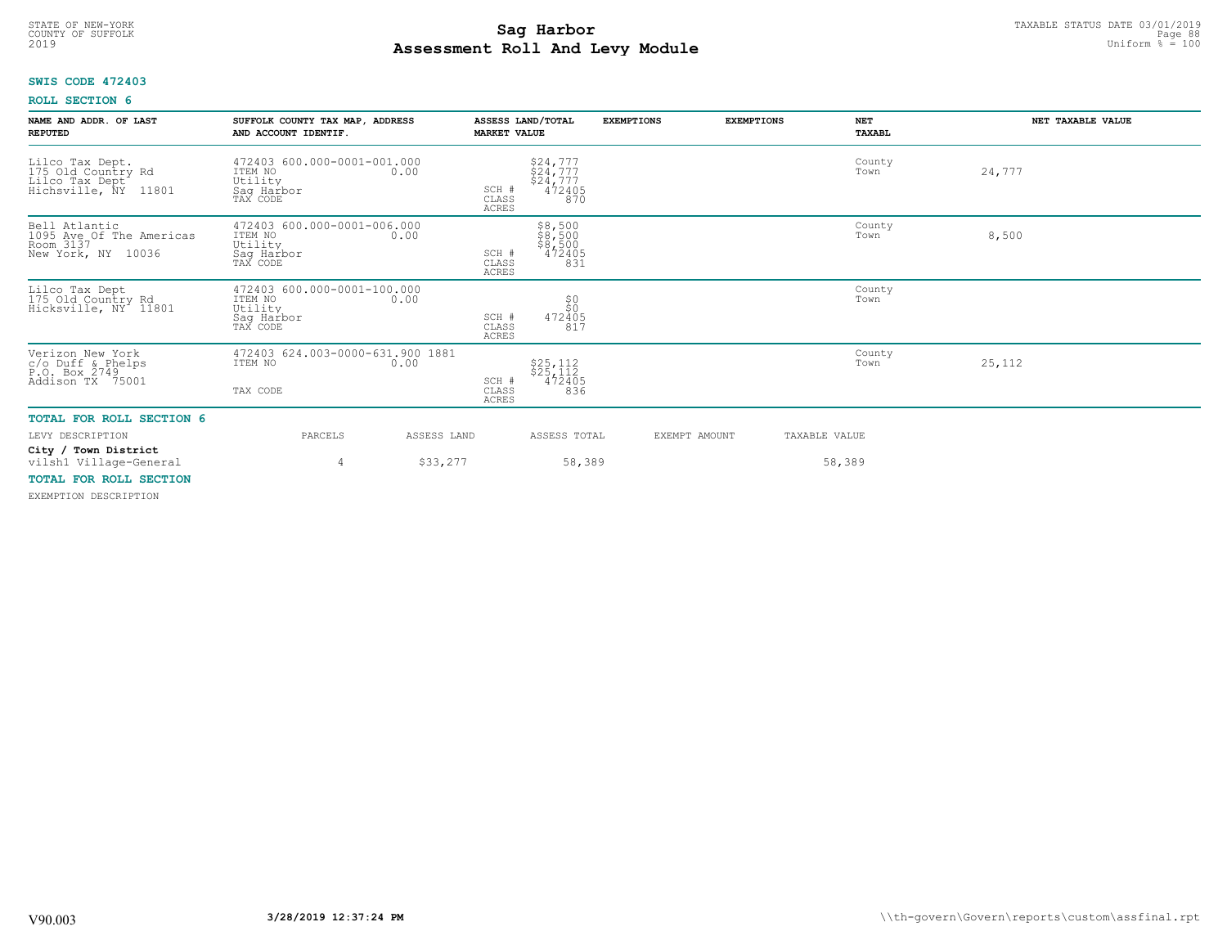## **Sag Harbor** TAXABLE STATUS DATE 03/01/2019<br>Poll and Louis Module **Assessment Roll And Levy Module** 2019 Uniform % = 100 COUNTY OF SUFFOLK **Example 2018 Page 88 Page 88 Page 88 Page 88 Page 88 Page 88 Page 88 Page 88**

## **SWIS CODE 472403**

## **ROLL SECTION 6**

| NAME AND ADDR. OF LAST<br><b>REPUTED</b>                                                              | SUFFOLK COUNTY TAX MAP, ADDRESS<br>AND ACCOUNT IDENTIF.                             | ASSESS LAND/TOTAL<br><b>MARKET VALUE</b> |                                                      | <b>EXEMPTIONS</b> | <b>EXEMPTIONS</b> | <b>NET</b><br>TAXABL    | NET TAXABLE VALUE |
|-------------------------------------------------------------------------------------------------------|-------------------------------------------------------------------------------------|------------------------------------------|------------------------------------------------------|-------------------|-------------------|-------------------------|-------------------|
| Lilco Tax Dept.<br>175 Old Country Rd<br>Lilco Tax Dept<br>Hichsville, NY 118<br>11801                | 472403 600.000-0001-001.000<br>ITEM NO<br>0.00<br>Utility<br>Saq Harbor<br>TAX CODE | SCH #<br>CLASS<br><b>ACRES</b>           | \$24,777<br>\$24,777<br>\$24,777<br>\$2472405<br>870 |                   |                   | County<br>Town          | 24,777            |
| Bell Atlantic<br>1095 Ave Of The Americas<br>Room 3137<br>New York, NY 10036                          | 472403 600.000-0001-006.000<br>ITEM NO<br>0.00<br>Utility<br>Sag Harbor<br>TAX CODE | SCH #<br>CLASS<br>ACRES                  | \$8,500<br>\$8,500<br>\$8,500<br>472405<br>831       |                   |                   | County<br>Town          | 8,500             |
| Lilco Tax Dept<br>175 Old Country Rd<br>Hicksville, NY 11801                                          | 472403 600.000-0001-100.000<br>ITEM NO<br>0.00<br>Utility<br>Sag Harbor<br>TAX CODE | SCH #<br>CLASS<br>ACRES                  | 50<br>472405<br>817                                  |                   |                   | County<br>Town          |                   |
| Verizon New York<br>c/o Duff & Phelps<br>P.O. Box 2749<br>Addison TX 75001                            | 472403 624.003-0000-631.900 1881<br>ITEM NO 624.003-0000-631.900<br>TAX CODE        | SCH #<br>CLASS<br><b>ACRES</b>           | \$25,112<br>\$25,112<br>472405<br>836                |                   |                   | County<br>Town          | 25,112            |
| <b>TOTAL FOR ROLL SECTION 6</b><br>LEVY DESCRIPTION<br>City / Town District<br>vilsh1 Village-General | PARCELS<br>4                                                                        | ASSESS LAND<br>\$33,277                  | ASSESS TOTAL<br>58,389                               |                   | EXEMPT AMOUNT     | TAXABLE VALUE<br>58,389 |                   |
|                                                                                                       |                                                                                     |                                          |                                                      |                   |                   |                         |                   |

## **TOTAL FOR ROLL SECTION**

EXEMPTION DESCRIPTION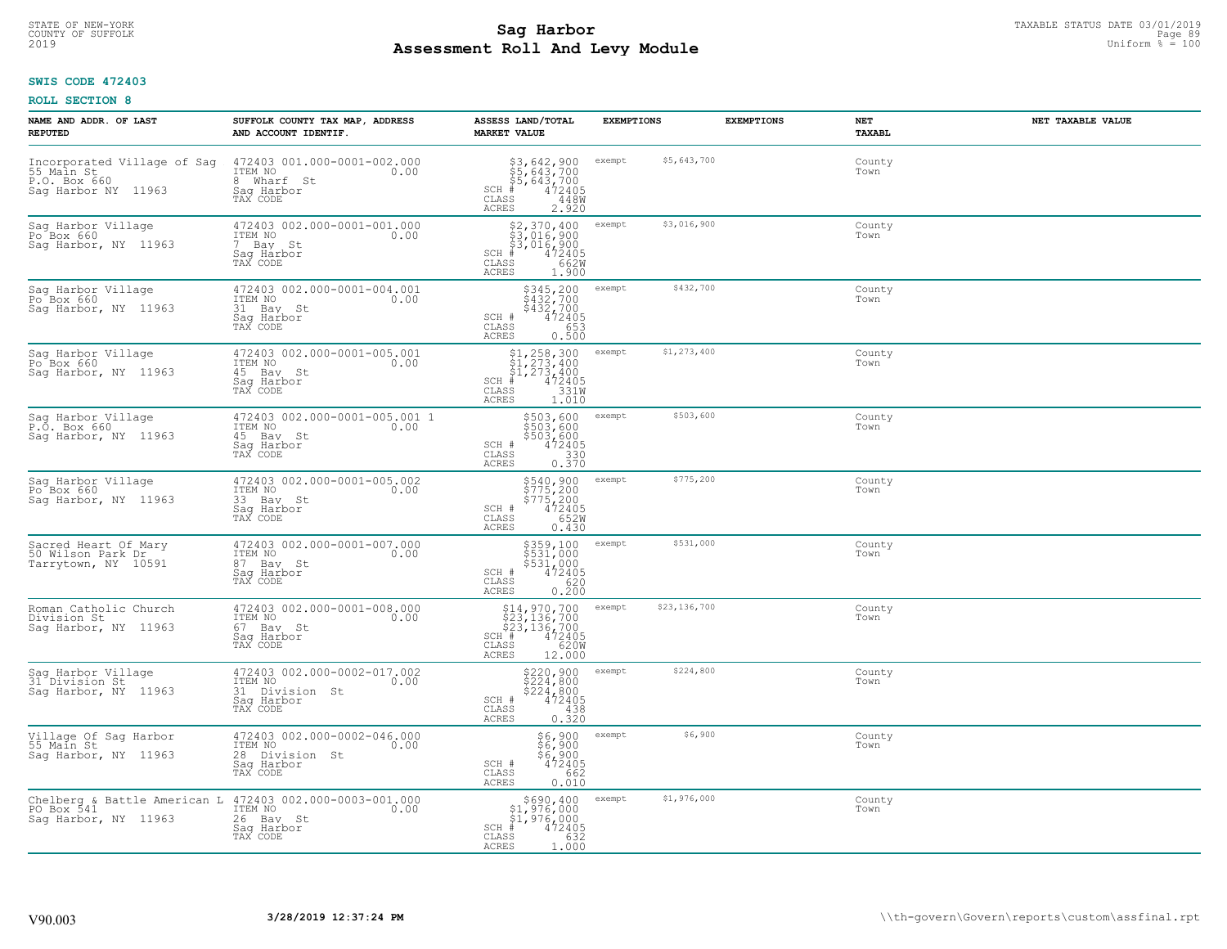## **Sag Harbor** TAXABLE STATUS DATE 03/01/2019<br>Poll and Louis Module **Assessment Roll And Levy Module** 2019 Uniform % = 100 COUNTY OF SUFFOLK **Example 2018 COUNTY OF SUFFOLK** Page 89

## **SWIS CODE 472403**

| NAME AND ADDR. OF LAST<br><b>REPUTED</b>                                                       | SUFFOLK COUNTY TAX MAP, ADDRESS<br>AND ACCOUNT IDENTIF.                                    | ASSESS LAND/TOTAL<br><b>MARKET VALUE</b>                                                                                                                     | <b>EXEMPTIONS</b>      | <b>EXEMPTIONS</b> | NET<br><b>TAXABL</b> | NET TAXABLE VALUE |
|------------------------------------------------------------------------------------------------|--------------------------------------------------------------------------------------------|--------------------------------------------------------------------------------------------------------------------------------------------------------------|------------------------|-------------------|----------------------|-------------------|
| Incorporated Village of Sag<br>55 Main St<br>P.O. Box 660<br>Saq Harbor NY 11963               | 472403 001.000-0001-002.000<br>ITEM NO<br>0.00<br>8 Wharf St<br>Saq Harbor<br>TAX CODE     | \$3,642,900<br>\$5,643,700<br>\$5,643,700<br>#472405<br>$SCH$ #<br>CLASS<br>448W<br>ACRES<br>2.920                                                           | \$5,643,700<br>exempt  |                   | County<br>Town       |                   |
| Sag Harbor Village<br>$Po$ Box 660<br>Sag Harbor, NY 11963                                     | 472403 002.000-0001-001.000<br>ITEM NO<br>0.00<br>7 Bay St<br>Sag Harbor<br>TAX CODE       | \$2,370,400<br>\$3,016,900<br>\$3,016,900<br># 472405<br>\$8 662M<br>$SCH$ #<br>CLASS<br>ACRES<br>1.900                                                      | \$3,016,900<br>exempt  |                   | County<br>Town       |                   |
| Sag Harbor Village<br>Po Box 660<br>Sag Harbor, NY 11963                                       | 472403 002.000-0001-004.001<br>ITEM NO<br>0.00<br>31 Bay St<br>Saq Harbor<br>TAX CODE      | \$345,200<br>\$432,700<br>\$432,700<br>472405<br>SCH #<br>653<br>CLASS<br>0.500<br>ACRES                                                                     | \$432,700<br>exempt    |                   | County<br>Town       |                   |
| Sag Harbor Village<br>Po <sup>6</sup> Box 660<br>Sag Harbor, NY 11963                          | 472403 002.000-0001-005.001<br>ITEM NO<br>0.00<br>45 Bay St<br>Saq Harbor<br>TAX CODE      | $$1, 258, 300$<br>$$1, 273, 400$<br>$$1, 273, 400$<br>$SCH$ #<br>472405<br>331W<br>CLASS<br>ACRES<br>1.010                                                   | \$1,273,400<br>exempt  |                   | County<br>Town       |                   |
| Sag Harbor Village<br>P.O. Box 660<br>Sag Harbor, NY 11963                                     | 472403 002.000-0001-005.001 1<br>ITEM NO<br>0.00<br>45 Bay St<br>Saq Harbor<br>TAX CODE    | \$503,600<br>\$503,600<br>\$503,600<br>SCH #<br>$\begin{array}{r} 472405 \\ 330 \\ 0.370 \end{array}$<br>CLASS<br>ACRES                                      | \$503,600<br>exempt    |                   | County<br>Town       |                   |
| Sag Harbor Village<br>Po Box 660<br>Saq Harbor, NY 11963                                       | 472403 002.000-0001-005.002<br>ITEM NO<br>0.00<br>33 Bay St<br>Sag Harbor<br>TAX CODE      | \$540,900<br>\$775,200<br>\$775,200<br>472405<br>652W<br>SCH #<br>$\mathtt{CLASS}$<br>ACRES<br>0.430                                                         | \$775,200<br>exempt    |                   | County<br>Town       |                   |
| Sacred Heart Of Mary<br>50 Wilson Park Dr<br>Tarrytown, NY 10591                               | 472403 002.000-0001-007.000<br>ITEM NO<br>0.00<br>87 Bay St<br>Saq Harbor<br>TAX CODE      | \$359,100<br>\$531,000<br>\$531,000<br>472405<br>SCH #<br>620<br>CLASS<br>0.200<br>ACRES                                                                     | \$531,000<br>exempt    |                   | County<br>Town       |                   |
| Roman Catholic Church<br>Division St<br>Sag Harbor, NY 11963                                   | 472403 002.000-0001-008.000<br>ITEM NO<br>0.00<br>67 Bay St<br>Saq Harbor<br>TAX CODE      | $514, 970, 700$<br>$523, 136, 700$<br>$523, 136, 700$<br>$\text{H}$ # 472405<br>$1, 6200$<br>$\text{PSE}$ 102000<br>SCH #<br>CLASS<br><b>ACRES</b><br>12.000 | \$23,136,700<br>exempt |                   | County<br>Town       |                   |
| Sag Harbor Village<br>31 Division St<br>Sag Harbor, NY 11963                                   | 472403 002.000-0002-017.002<br>ITEM NO<br>0.00<br>31 Division St<br>Saq Harbor<br>TAX CODE | \$220,900<br>\$224,800<br>\$224,800<br>\$224,800<br>SCH #<br>CLASS<br>0.380<br>ACRES                                                                         | \$224,800<br>exempt    |                   | County<br>Town       |                   |
| Village Of Sag Harbor<br>55 Main St<br>Sag Harbor, NY 11963                                    | 472403 002.000-0002-046.000<br>ITEM NO<br>0.00<br>28 Division St<br>Saq Harbor<br>TAX CODE | \$6,900<br>$\frac{56}{6}$ , 900<br>$\frac{6}{4}$ 72405<br>$\frac{662}{662}$<br>SCH #<br>CLASS<br>ACRES<br>0.010                                              | \$6,900<br>exempt      |                   | County<br>Town       |                   |
| Chelberg & Battle American L 472403 002.000-0003-001.000<br>PO Box 541<br>Sag Harbor, NY 11963 | ITEM NO<br>0.00<br>26 Bay St<br>Sag Harbor<br>TAX CODE                                     | \$690,400<br>\$1,976,000<br>\$1,976,000<br>$SCH$ #<br>472405<br>632<br>CLASS<br>1,000<br>ACRES                                                               | \$1,976,000<br>exempt  |                   | County<br>Town       |                   |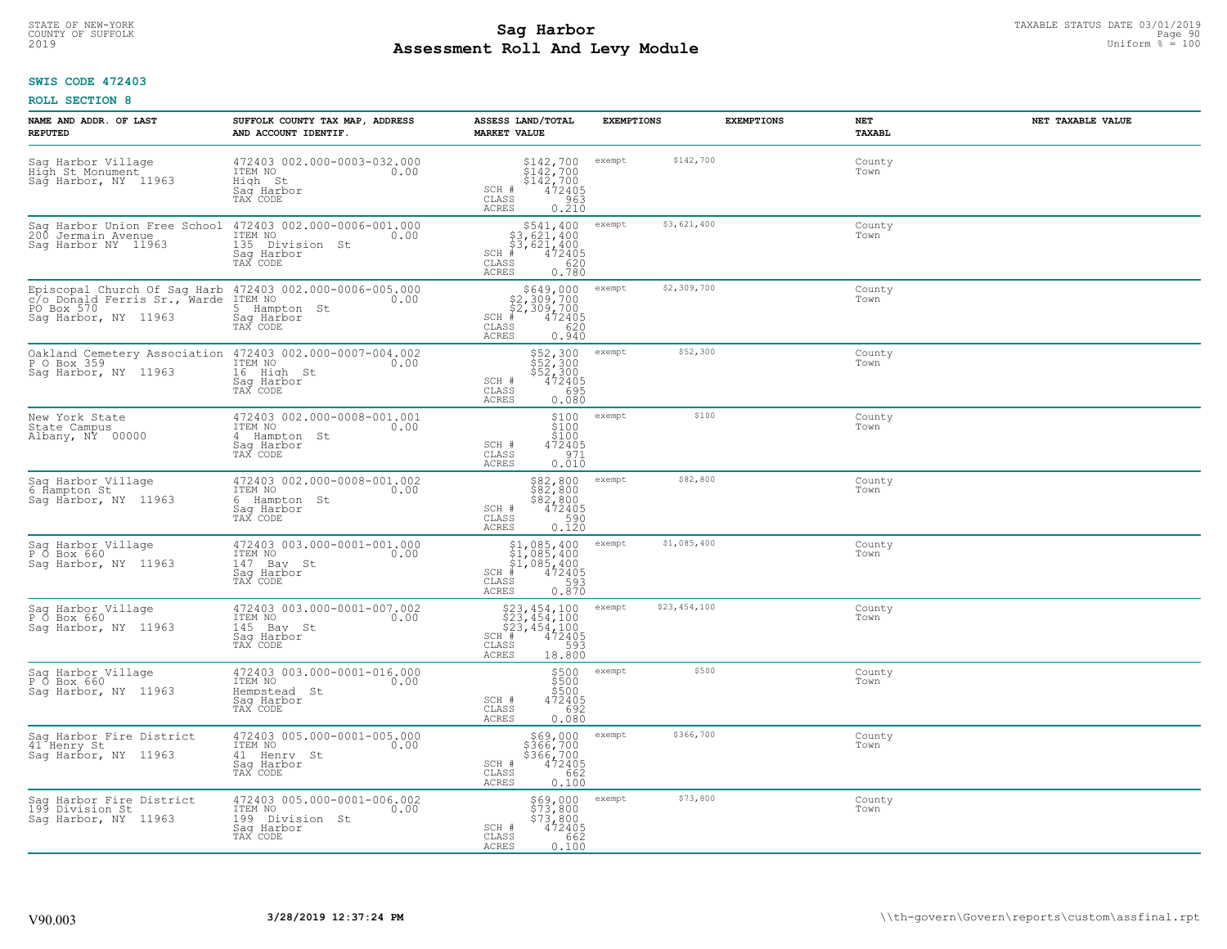## **Sag Harbor** TAXABLE STATUS DATE 03/01/2019<br>
Poll and Louis Module **Assessment Roll And Levy Module** 2019 Uniform % = 100 COUNTY OF SUFFOLK Page 90

## **SWIS CODE 472403**

| NAME AND ADDR. OF LAST<br><b>REPUTED</b>                                                                                                    | SUFFOLK COUNTY TAX MAP, ADDRESS<br>AND ACCOUNT IDENTIF.                                                                                    | ASSESS LAND/TOTAL<br><b>MARKET VALUE</b>                                                                                        | <b>EXEMPTIONS</b>      | NET<br><b>EXEMPTIONS</b><br><b>TAXABL</b> | NET TAXABLE VALUE |
|---------------------------------------------------------------------------------------------------------------------------------------------|--------------------------------------------------------------------------------------------------------------------------------------------|---------------------------------------------------------------------------------------------------------------------------------|------------------------|-------------------------------------------|-------------------|
| Sag Harbor Village<br>High St Monument<br>Sag Harbor, NY 11963                                                                              | 472403 002.000-0003-032.000<br>ITEM NO<br>0.00<br>High St<br>Saq Harbor<br>TAX CODE                                                        | \$142,700<br>\$142,700<br>\$142,700<br>472405<br>SCH #<br>CLASS<br>963<br><b>ACRES</b><br>0.210                                 | \$142,700<br>exempt    | County<br>Town                            |                   |
| Sag Harbor Union Free School<br>200 Jermain Avenue<br>Saq Harbor NY 11963                                                                   | 472403 002.000-0006-001.000<br>ITEM NO<br>0.00<br>135 Division St<br>Sag Harbor<br>TAX CODE                                                | $$541, 400$<br>$$3, 621, 400$<br>$$3, 621, 400$<br>$$3, 621, 400$<br>$SCH$ #<br>472405<br>620<br>CLASS<br><b>ACRES</b><br>0.780 | \$3,621,400<br>exempt  | County<br>Town                            |                   |
| Episcopal Church Of Sag Harb 472403 002.000-0006-005.000<br>C/o_Donald Ferris Sr., Warde ITEM NO 0.00<br>PO Box 570<br>Sag Harbor, NY 11963 | 5 Hampton St<br>Saq Harbor<br>TAX CODE                                                                                                     | \$649,000<br>$$2,309,700$<br>$$2,309,700$<br>$*$ 472405<br>$$620$<br>$SCH$ #<br>CLASS<br>0.940<br>ACRES                         | \$2,309,700<br>exempt  | County<br>Town                            |                   |
| Sag Harbor, NY 11963                                                                                                                        | Oakland Cemetery Association 472403 002.000-0007-004.002<br>P O Box 359 (1994) 1TEM NO (1996) 0.00<br>16 High St<br>Saq Harbor<br>TAX CODE | \$52,300<br>\$52,300<br>\$52,300<br>SCH #<br>472405<br>CLASS<br>695<br>ACRES<br>0.080                                           | \$52,300<br>exempt     | County<br>Town                            |                   |
| New York State<br>State Campus<br>Albany, NY 00000                                                                                          | 472403 002.000-0008-001.001<br>ITEM NO<br>0.00<br>4 Hampton St<br>Saq Harbor<br>TAX CODE                                                   | \$100<br>\$100<br>\$100<br>SCH #<br>472405<br>CLASS<br>$\frac{971}{0.010}$<br><b>ACRES</b>                                      | \$100<br>exempt        | County<br>Town                            |                   |
| Sag Harbor Village<br>6 Hampton St<br>Sag Harbor, NY 11963                                                                                  | 472403 002.000-0008-001.002<br>ITEM NO<br>0.00<br>6 Hampton St<br>Sag Harbor<br>TAX CODE                                                   | \$82,800<br>$\begin{array}{r} 882,800 \\ 882,800 \\ 982,800 \\ 472405 \\ 0.120 \end{array}$<br>$SCH$ #<br>CLASS<br>ACRES        | \$82,800<br>exempt     | County<br>Town                            |                   |
| Sag Harbor Village<br>P Ő Box 660<br>Sag Harbor, NY 11963                                                                                   | 472403 003.000-0001-001.000<br>ITEM NO<br>0.00<br>147 Bay St<br>Saq Harbor<br>TAX CODE                                                     | $$1,085,400$<br>$$1,085,400$<br>$$1,085,400$<br>$$472405$<br>$SCH$ #<br>0.870<br>CLASS<br>ACRES                                 | \$1,085,400<br>exempt  | County<br>Town                            |                   |
| Sag Harbor Village<br>P 0 Box 660<br>Saq Harbor, NY 11963                                                                                   | 472403 003.000-0001-007.002<br>ITEM NO<br>0.00<br>145 Bay St<br>Saq Harbor<br>TAX CODE                                                     | \$23,454,100<br>\$23,454,100<br>\$23,454,100<br>\$472405<br>SCH #<br>CLASS<br>593<br>ACRES<br>18.800                            | \$23,454,100<br>exempt | County<br>Town                            |                   |
| Sag Harbor Village<br>P O Box 660<br>Saq Harbor, NY 11963                                                                                   | 472403 003.000-0001-016.000<br>ITEM NO<br>0.00<br>Hempstead St<br>Saq Harbor<br>TAX CODE                                                   | \$500<br>\$500<br>\$500<br>SCH #<br>472405<br>CLASS<br>0.692<br><b>ACRES</b>                                                    | \$500<br>exempt        | County<br>Town                            |                   |
| Sag Harbor Fire District<br>41 Henry St<br>Sag Harbor, NY 11963                                                                             | 472403 005.000-0001-005.000<br>ITEM NO<br>0.00<br>41 Henry St<br>Sag Harbor<br>TAX CODE                                                    | $$369,000\n$366,700\n$366,700\n472405\n662\n0$<br>SCH #<br>CLASS<br><b>ACRES</b><br>0.100                                       | \$366,700<br>exempt    | County<br>Town                            |                   |
| Saq Harbor Fire District<br>199 Division St<br>Saq Harbor, NY 11963                                                                         | 472403 005.000-0001-006.002<br>ITEM NO<br>0.00<br>199 Division St<br>Sag Harbor<br>TAX CODE                                                | \$69,000<br>\$73,800<br>\$73,800<br>SCH #<br>472405<br>CLASS<br>662<br><b>ACRES</b><br>0.100                                    | \$73,800<br>exempt     | County<br>Town                            |                   |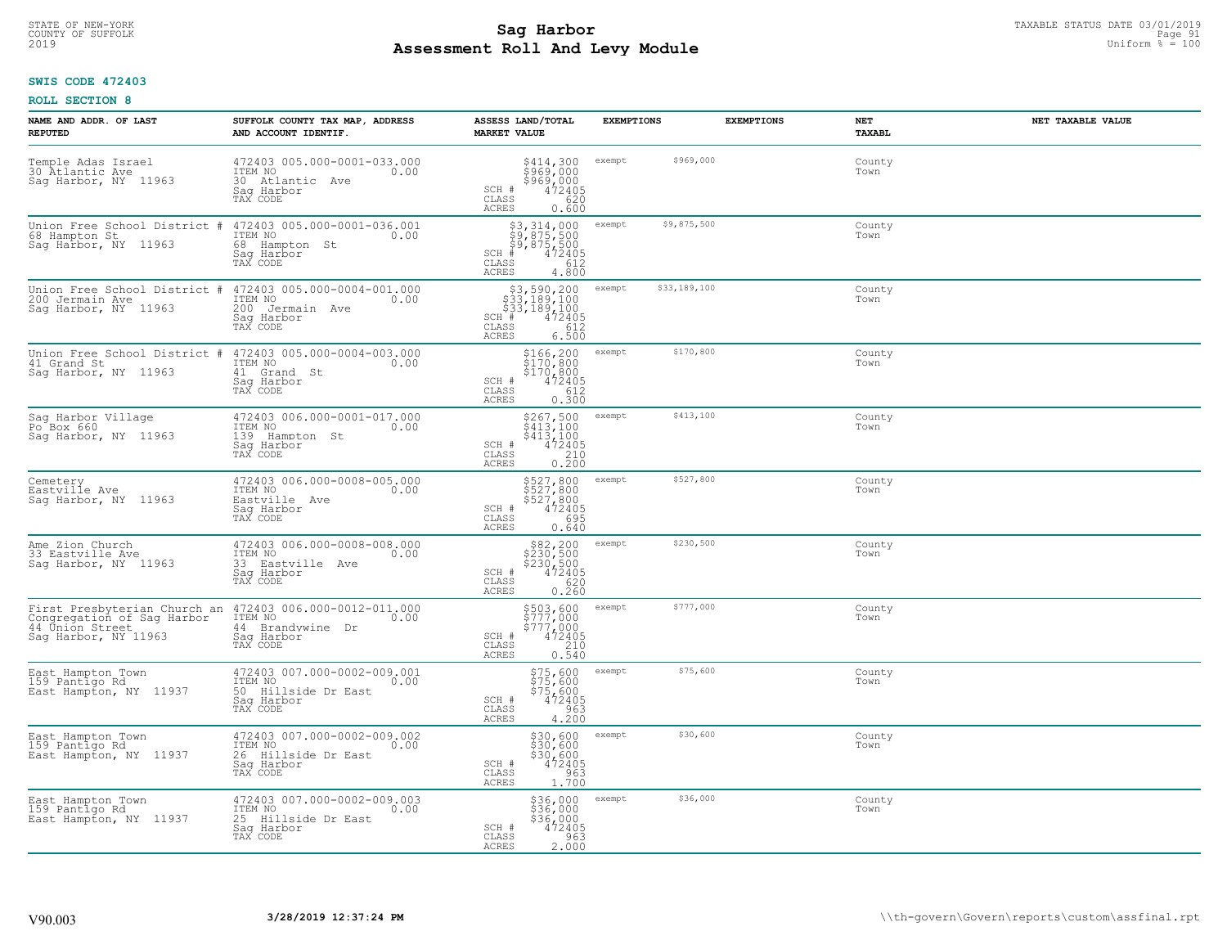## **Sag Harbor** TAXABLE STATUS DATE 03/01/2019<br>
Poll and Louis Module **Assessment Roll And Levy Module** 2019 Uniform % = 100 COUNTY OF SUFFOLK Page 91 **DEALLY PAGE 91** COUNTY OF SUFFOLK Page 91

## **SWIS CODE 472403**

| NAME AND ADDR. OF LAST<br><b>REPUTED</b>                                                              | SUFFOLK COUNTY TAX MAP, ADDRESS<br>AND ACCOUNT IDENTIF.                                         | ASSESS LAND/TOTAL<br><b>MARKET VALUE</b>                                                                                                                | <b>EXEMPTIONS</b>      | <b>EXEMPTIONS</b><br>NET | NET TAXABLE VALUE<br><b>TAXABL</b> |
|-------------------------------------------------------------------------------------------------------|-------------------------------------------------------------------------------------------------|---------------------------------------------------------------------------------------------------------------------------------------------------------|------------------------|--------------------------|------------------------------------|
| Temple Adas Israel<br>30 Atlantic Ave<br>Saq Harbor, NY 11963                                         | 472403 005.000-0001-033.000<br>ITEM NO<br>0.00<br>30 Atlantic Ave<br>Sag Harbor<br>TAX CODE     | \$414,300<br>\$969,000<br>\$969,000<br>472405<br>SCH #<br>CLASS<br>620<br><b>ACRES</b><br>0.600                                                         | \$969,000<br>exempt    |                          | County<br>Town                     |
| Union Free School District #<br>68 Hampton St<br>Saq Harbor, NY 11963                                 | 472403 005.000-0001-036.001<br>ITEM NO<br>0.00<br>68 Hampton St<br>Sag Harbor<br>TAX CODE       | \$3,314,000<br>\$9,875,500<br>\$9,875,500<br>$SCH$ #<br>472405<br>CLASS<br>612<br>ACRES<br>4.800                                                        | \$9,875,500<br>exempt  |                          | County<br>Town                     |
| Union Free School District #<br>200 Jermain Ave<br>Sag Harbor, NY 11963                               | 472403 005.000-0004-001.000<br>ITEM NO<br>0.00<br>200<br>Jermain Ave<br>Saq Harbor<br>TAX CODE  | $\begin{array}{r} 53,590,200 \\ 533,189,100 \\ 533,189,100 \\ \text{H} & 472405 \\ \text{Ass} & 612 \\ \end{array}$<br>SCH #<br>CLASS<br>ACRES<br>6.500 | \$33,189,100<br>exempt |                          | County<br>Town                     |
| Union Free School District<br>#<br>41 Grand St<br>Sag Harbor, NY 11963                                | 472403 005.000-0004-003.000<br>ITEM NO<br>0.00<br>41 Grand St<br>Saq Harbor<br>TAX CODE         | \$166,200<br>\$170,800<br>\$170,800<br>SCH #<br>472405<br>CLASS<br>612<br>ACRES<br>0.300                                                                | \$170,800<br>exempt    |                          | County<br>Town                     |
| Sag Harbor Village<br>Po Box 660<br>Sag Harbor, NY 11963                                              | 472403 006.000-0001-017.000<br>ITEM NO<br>0.00<br>139<br>Hampton St<br>Saq Harbor<br>TAX CODE   | \$267,500<br>\$413,100<br>\$413,100<br>472405<br>SCH #<br>CLASS<br>$\begin{array}{c} 210 \\ 0.200 \end{array}$<br><b>ACRES</b>                          | \$413,100<br>exempt    |                          | County<br>Town                     |
| Cemetery<br>Eastville Ave<br>Saq Harbor, NY 11963                                                     | 472403 006.000-0008-005.000<br>ITEM NO<br>0.00<br>Eastville Ave<br>Saq Harbor<br>TAX CODE       | \$527,800<br>\$527,800<br>\$527,800<br>\$472405<br>\$95<br>SCH #<br>CLASS<br>ACRES<br>0.640                                                             | \$527,800<br>exempt    |                          | County<br>Town                     |
| Ame Zion Church<br>33 Eastville Ave<br>Sag Harbor, NY 11963                                           | 472403 006.000-0008-008.000<br>ITEM NO<br>0.00<br>33 Eastville Ave<br>Sag Harbor<br>TAX CODE    | \$82,200<br>\$230,500<br>\$230,500<br>472405<br>SCH #<br>0.260<br>$\mathtt{CLASS}$<br>ACRES                                                             | \$230,500<br>exempt    |                          | County<br>Town                     |
| First Presbyterian Church an<br>Congregation of Sag Harbor<br>44 Union Street<br>Sag Harbor, NY 11963 | 472403 006.000-0012-011.000<br>ITEM NO<br>0.00<br>44 Brandywine Dr<br>Saq Harbor<br>TAX CODE    | $$777,000$<br>$$777,000$<br>$$777,000$<br>$$472405$<br>$$210$<br>SCH #<br>CLASS<br>ACRES<br>0.540                                                       | \$777,000<br>exempt    |                          | County<br>Town                     |
| East Hampton Town<br>159 Pantigo Rd<br>East Hampton, NY 11937                                         | 472403 007.000-0002-009.001<br>TTEM NO 0.00<br>50 Hillside Dr East<br>Saq Harbor<br>TAX CODE    | $$75,600$<br>$$75,600$<br>$$75,600$<br>$$472405$<br>SCH #<br>CLASS<br>4.200<br><b>ACRES</b>                                                             | \$75,600<br>exempt     |                          | County<br>Town                     |
| East Hampton Town<br>159 Pantigo Rd<br>East Hampton, NY 11937                                         | 472403 007.000-0002-009.002<br>ITEM NO<br>0.00<br>26 Hillside Dr East<br>Sag Harbor<br>TAX CODE | \$30,600<br>\$30,600<br>\$30,600<br>SCH #<br>$\frac{472405}{963}$<br>CLASS<br>1,700<br><b>ACRES</b>                                                     | \$30,600<br>exempt     |                          | County<br>Town                     |
| East Hampton Town<br>159 Pantigo Rd<br>East Hampton, NY 11937                                         | 472403 007.000-0002-009.003<br>ITEM NO<br>0.00<br>25 Hillside Dr East<br>Sag Harbor<br>TAX CODE | \$36,000<br>\$36,000<br>\$36,000<br>SCH #<br>472405<br>963<br>CLASS<br><b>ACRES</b><br>2.000                                                            | \$36,000<br>exempt     |                          | County<br>Town                     |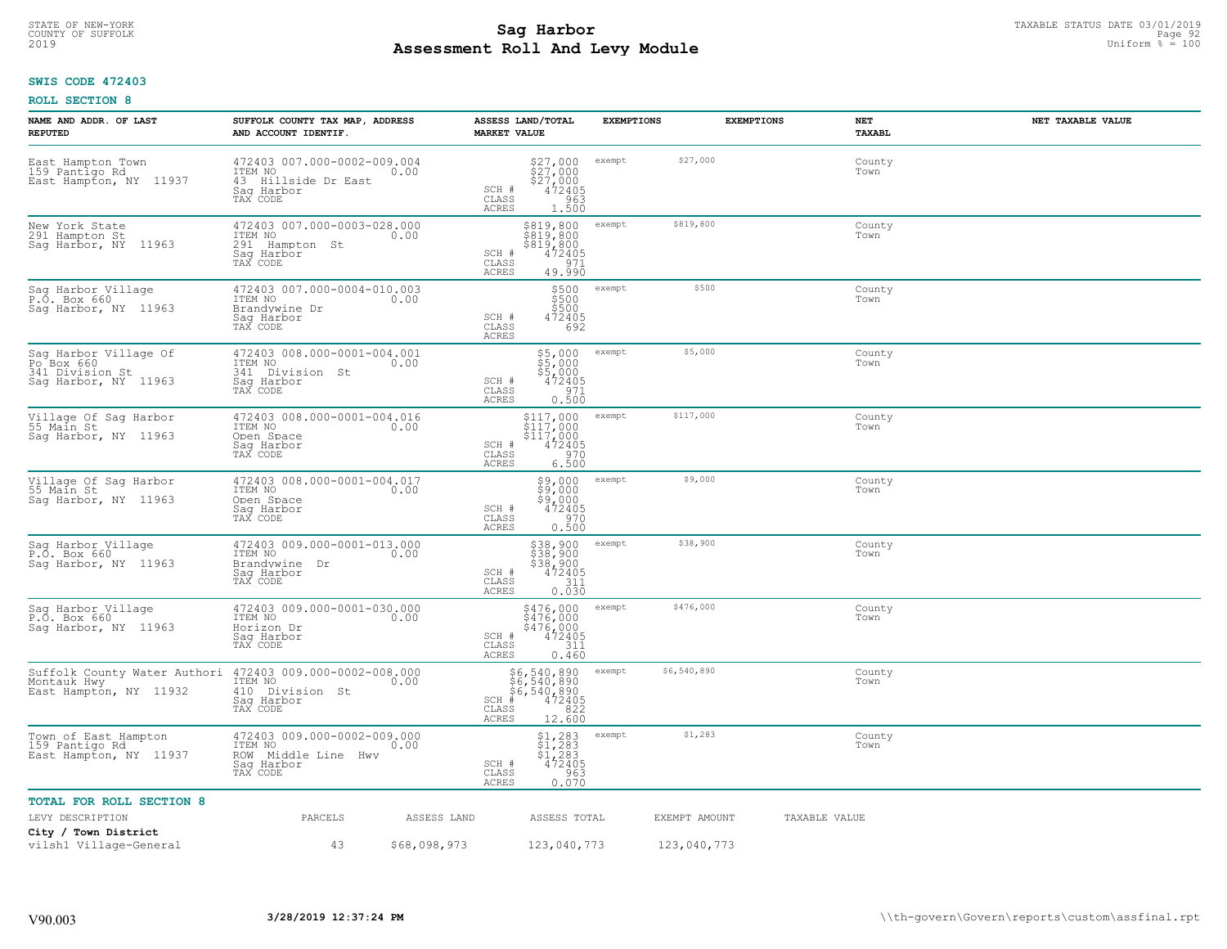## **Sag Harbor** TAXABLE STATUS DATE 03/01/2019<br>
Poll and Louis Module **Assessment Roll And Levy Module** 2019 Uniform % = 100 COUNTY OF SUFFOLK **Example 192** and the country of the country of sufficient and the country of sufficient and the page 92

## **SWIS CODE 472403**

| NAME AND ADDR. OF LAST<br><b>REPUTED</b>                                                  | SUFFOLK COUNTY TAX MAP, ADDRESS<br>AND ACCOUNT IDENTIF.                                         | ASSESS LAND/TOTAL<br><b>MARKET VALUE</b>                                                                                          | <b>EXEMPTIONS</b>     | <b>EXEMPTIONS</b><br>NET<br><b>TAXABL</b> | NET TAXABLE VALUE |
|-------------------------------------------------------------------------------------------|-------------------------------------------------------------------------------------------------|-----------------------------------------------------------------------------------------------------------------------------------|-----------------------|-------------------------------------------|-------------------|
| East Hampton Town<br>159 Pantigo Rd<br>East Hampton, NY 11937                             | 472403 007.000-0002-009.004<br>ITEM NO<br>0.00<br>43 Hillside Dr East<br>Saq Harbor<br>TAX CODE | $$27,000$<br>$$27,000$<br>$$27,000$<br>$$472405$<br>SCH #<br>CLASS<br>$\frac{963}{1.500}$<br><b>ACRES</b>                         | \$27,000<br>exempt    | County<br>Town                            |                   |
| New York State<br>291 Hampton St<br>Sag Harbor, NY 11963                                  | 472403 007.000-0003-028.000<br>ITEM NO<br>0.00<br>291 Hampton St<br>Sag Harbor<br>TAX CODE      | \$819,800<br>\$819,800<br>\$819,800<br>SCH #<br>472405<br>CLASS<br>971<br><b>ACRES</b><br>49.990                                  | \$819,800<br>exempt   | County<br>Town                            |                   |
| Sag Harbor Village<br>P.O. Box 660<br>Sag Harbor, NY 11963                                | 472403 007.000-0004-010.003<br>ITEM NO<br>0.00<br>Brandvwine Dr<br>Sag Harbor<br>TAX CODE       | \$500<br>\$500<br>\$500<br>SCH #<br>472405<br>692<br>CLASS<br>ACRES                                                               | \$500<br>exempt       | County<br>Town                            |                   |
| Sag Harbor Village Of<br>Po <sup>Box</sup> 660<br>341 Division St<br>Sag Harbor, NY 11963 | 472403 008.000-0001-004.001<br>ITEM NO<br>0.00<br>341 Division St<br>Saq Harbor<br>TAX CODE     | \$5,000<br>\$5,000<br>\$5,000<br>SCH #<br>472405<br>971<br>$\mathtt{CLASS}$<br><b>ACRES</b><br>0.500                              | \$5,000<br>exempt     | County<br>Town                            |                   |
| Village Of Sag Harbor<br>55 Main St<br>Sag Harbor, NY 11963                               | 472403 008.000-0001-004.016<br>ITEM NO<br>0.00<br>Open Space<br>Saq Harbor<br>TAX CODE          | $\begin{array}{c}\n$117,000 \\ $117,000 \\ $117,000 \\ $1472405 \\ 6970 \\ 6970\n\end{array}$<br>SCH #<br>CLASS<br>ACRES<br>6.500 | \$117,000<br>exempt   | County<br>Town                            |                   |
| Village Of Sag Harbor<br>55 Main St<br>Sag Harbor, NY 11963                               | 472403 008.000-0001-004.017<br>ITEM NO<br>0.00<br>Open Space<br>Saq Harbor<br>TAX CODE          | $\frac{59,000}{59,000}$<br>\$9,000<br>472405<br>SCH #<br>0.500<br>$\mathtt{CLASS}$<br>ACRES                                       | \$9,000<br>exempt     | County<br>Town                            |                   |
| Sag Harbor Village<br>P.O. Box 660<br>Sag Harbor, NY 11963                                | 472403 009.000-0001-013.000<br>ITEM NO<br>0.00<br>Brandywine Dr<br>Saq Harbor<br>TAX CODE       | \$38,900<br>\$38,900<br>\$38,900<br>472405<br>SCH #<br>311<br>CLASS<br><b>ACRES</b><br>0.030                                      | \$38,900<br>exempt    | County<br>Town                            |                   |
| Sag Harbor Village<br>P.O. Box 660<br>Saq Harbor, NY 11963                                | 472403 009.000-0001-030.000<br>ITEM NO<br>0.00<br>Horizon Dr<br>Saq Harbor<br>TAX CODE          | \$476,000<br>\$476,000<br>\$476,000<br>SCH #<br>472405<br>CLASS<br>311<br>ACRES<br>0.460                                          | \$476,000<br>exempt   | County<br>Town                            |                   |
| Suffolk County Water Authori<br>Montauk Hwy<br>East Hampton, NY 11932                     | 472403 009.000-0002-008.000<br>ITEM NO<br>0.00<br>410<br>Division St<br>Saq Harbor<br>TAX CODE  | \$6,540,890<br>\$6,540,890<br>\$6,540,890<br>#472405<br>$SCH$ #<br>CLASS<br>822<br>ACRES<br>12.600                                | \$6,540,890<br>exempt | County<br>Town                            |                   |
| Town of East Hampton<br>159 Pantigo Rd<br>East Hampton, NY 11937                          | 472403 009.000-0002-009.000<br>ITEM NO<br>0.00<br>ROW Middle Line Hwy<br>Sag Harbor<br>TAX CODE | $\begin{array}{c} 51,283 \\ 51,283 \\ 51,283 \end{array}$<br>472405<br>SCH #<br>CLASS<br>0.963<br>ACRES                           | \$1,283<br>exempt     | County<br>Town                            |                   |
| <b>TOTAL FOR ROLL SECTION 8</b>                                                           |                                                                                                 |                                                                                                                                   |                       |                                           |                   |
| LEVY DESCRIPTION                                                                          | PARCELS<br>ASSESS LAND                                                                          | ASSESS TOTAL                                                                                                                      | EXEMPT AMOUNT         | TAXABLE VALUE                             |                   |
| City / Town District<br>vilsh1 Village-General                                            | 43<br>\$68,098,973                                                                              | 123,040,773                                                                                                                       | 123,040,773           |                                           |                   |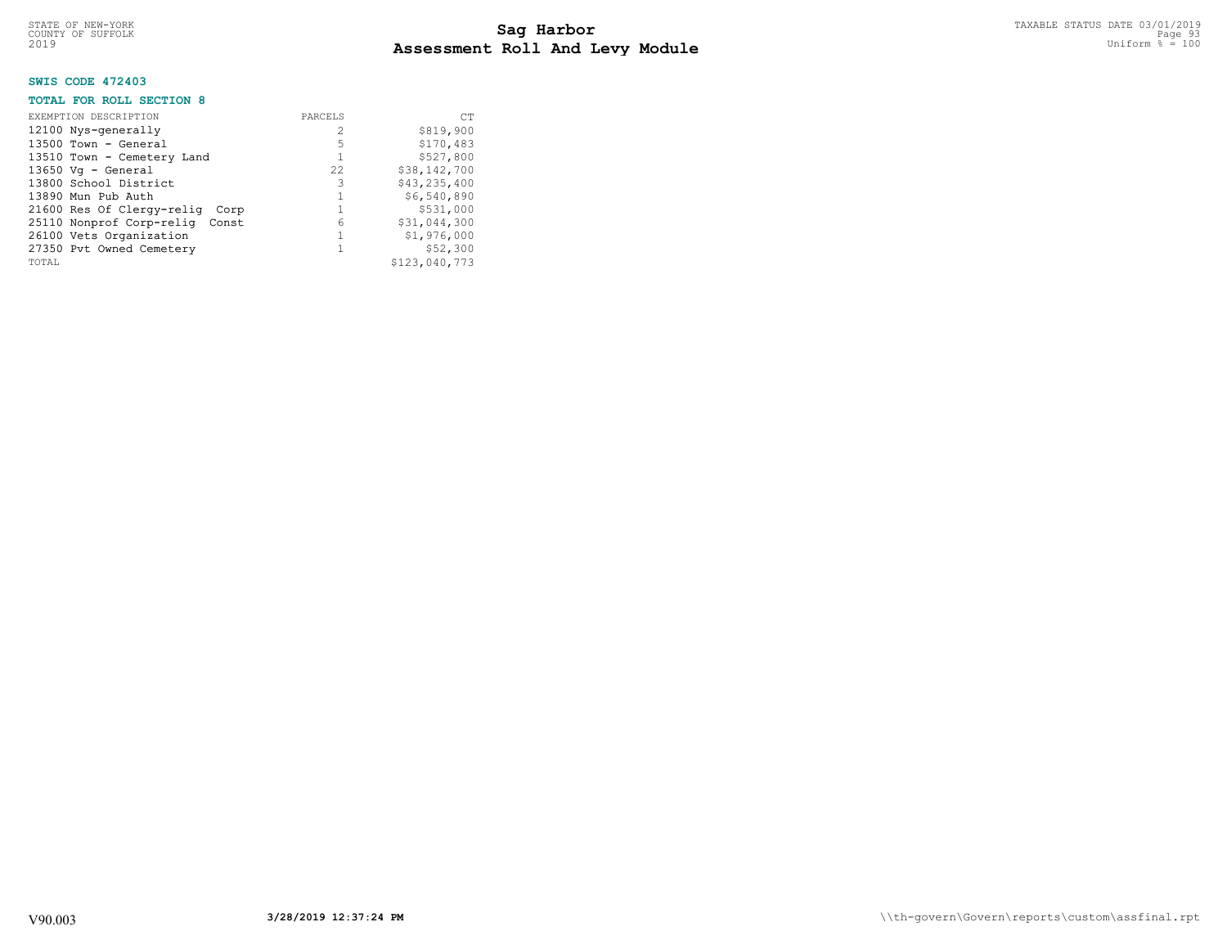## **SWIS CODE 472403**

## **TOTAL FOR ROLL SECTION 8**

| EXEMPTION DESCRIPTION<br>12100 Nys-generally<br>$13500$ Town - General<br>13510 Town - Cemetery Land<br>$13650$ Vq - General<br>13800 School District<br>13890 Mun Pub Auth<br>21600 Res Of Clergy-relig Corp<br>25110 Nonprof Corp-relig Const | PARCELS<br>2<br>5<br>22.2<br>3<br>6 | <b>CT</b><br>\$819,900<br>\$170,483<br>\$527,800<br>\$38,142,700<br>\$43, 235, 400<br>\$6,540,890<br>\$531,000<br>\$31,044,300 |
|-------------------------------------------------------------------------------------------------------------------------------------------------------------------------------------------------------------------------------------------------|-------------------------------------|--------------------------------------------------------------------------------------------------------------------------------|
| 26100 Vets Organization<br>27350 Pvt Owned Cemetery<br>TOTAL                                                                                                                                                                                    |                                     | \$1,976,000<br>\$52,300<br>\$123,040,773                                                                                       |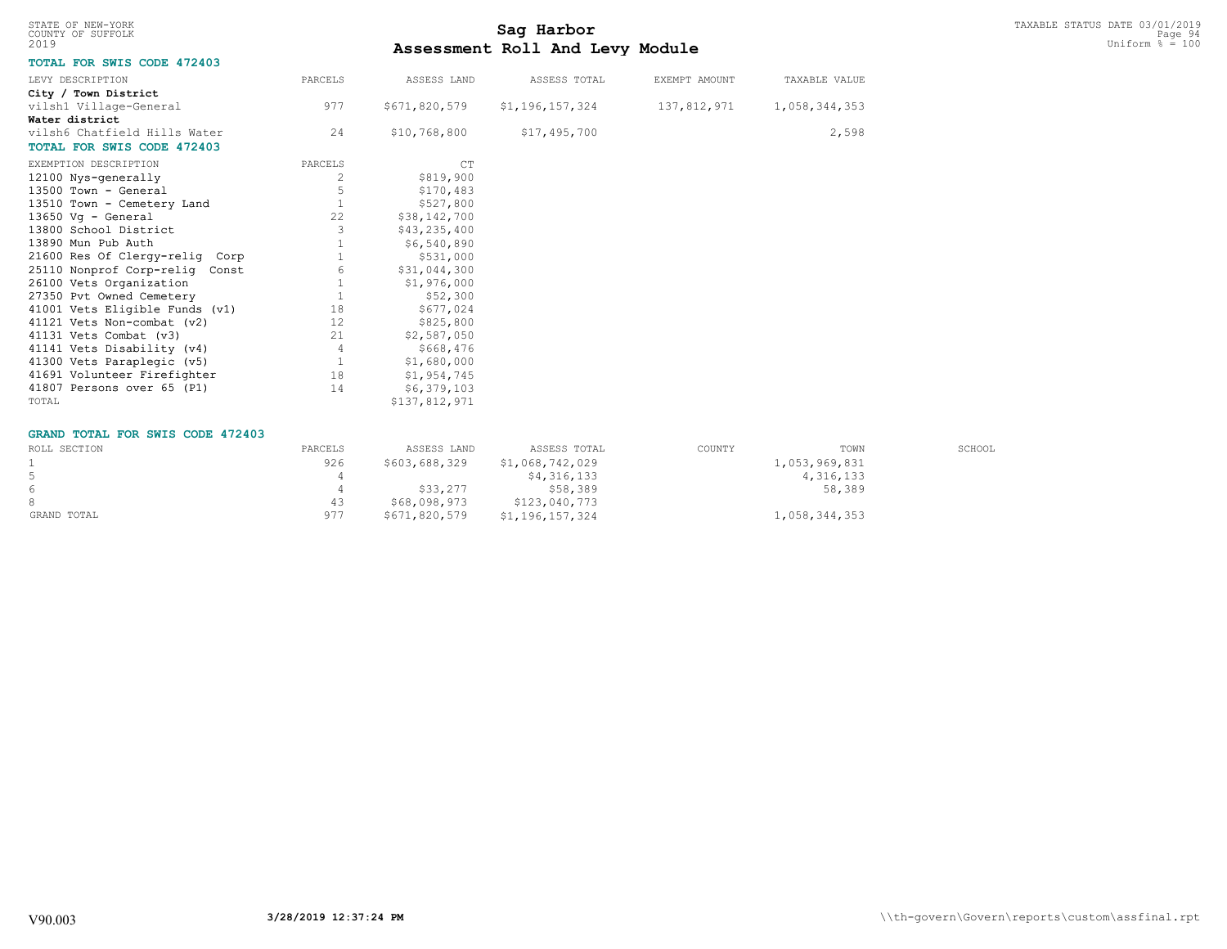| STATE OF NEW-YORK |  |  |
|-------------------|--|--|
| COUNTY OF SUFFOLK |  |  |
| 2019              |  |  |

# TAXABLE STATUS DATE 03/01/2019<br>COUNTY OF SUFFOLK Page 94 **Assessment Roll And Levy Module** 2019 Uniform % = 100

## **TOTAL FOR SWIS CODE 472403**

| LEVY DESCRIPTION                  | PARCELS | ASSESS LAND   | ASSESS TOTAL    | EXEMPT AMOUNT | TAXABLE VALUE |
|-----------------------------------|---------|---------------|-----------------|---------------|---------------|
| City / Town District              |         |               |                 |               |               |
| vilsh1 Village-General            | 977     | \$671,820,579 | \$1,196,157,324 | 137,812,971   | 1,058,344,353 |
| Water district                    |         |               |                 |               |               |
| vilsh6 Chatfield Hills Water      | 24      | \$10,768,800  | \$17,495,700    |               | 2,598         |
| <b>TOTAL FOR SWIS CODE 472403</b> |         |               |                 |               |               |
| EXEMPTION DESCRIPTION             | PARCELS | CT            |                 |               |               |
| 12100 Nys-generally               | 2       | \$819,900     |                 |               |               |
| 13500 Town - General              | 5       | \$170,483     |                 |               |               |
| 13510 Town - Cemetery Land        |         | \$527,800     |                 |               |               |
| 13650 Vq - General                | 22      | \$38,142,700  |                 |               |               |
| 13800 School District             |         | \$43,235,400  |                 |               |               |
| 13890 Mun Pub Auth                |         | \$6,540,890   |                 |               |               |
| 21600 Res Of Clergy-relig Corp    |         | \$531,000     |                 |               |               |
| 25110 Nonprof Corp-relig Const    | 6       | \$31,044,300  |                 |               |               |
| 26100 Vets Organization           |         | \$1,976,000   |                 |               |               |
| 27350 Pvt Owned Cemetery          |         | \$52,300      |                 |               |               |
| 41001 Vets Eligible Funds (v1)    | 18      | \$677,024     |                 |               |               |
| 41121 Vets Non-combat (v2)        | 12      | \$825,800     |                 |               |               |
| 41131 Vets Combat (v3)            | 21      | \$2,587,050   |                 |               |               |
| 41141 Vets Disability (v4)        | 4       | \$668,476     |                 |               |               |
| 41300 Vets Paraplegic (v5)        |         | \$1,680,000   |                 |               |               |
| 41691 Volunteer Firefighter       | 18      | \$1,954,745   |                 |               |               |
| 41807 Persons over 65 (P1)        | 14      | \$6,379,103   |                 |               |               |
| TOTAL                             |         | \$137,812,971 |                 |               |               |

#### **GRAND TOTAL FOR SWIS CODE 472403**

| ROLL SECTION | PARCELS | ASSESS LAND   | ASSESS TOTAL    | COUNTY | TOWN          | SCHOOL |
|--------------|---------|---------------|-----------------|--------|---------------|--------|
|              | 926     | \$603,688,329 | \$1,068,742,029 |        | 1,053,969,831 |        |
|              |         |               | \$4,316,133     |        | 4,316,133     |        |
| 6            |         | \$33,277      | \$58,389        |        | 58,389        |        |
|              | 43      | \$68,098,973  | \$123,040,773   |        |               |        |
| GRAND TOTAL  | 977     | \$671,820,579 | \$1,196,157,324 |        | 1,058,344,353 |        |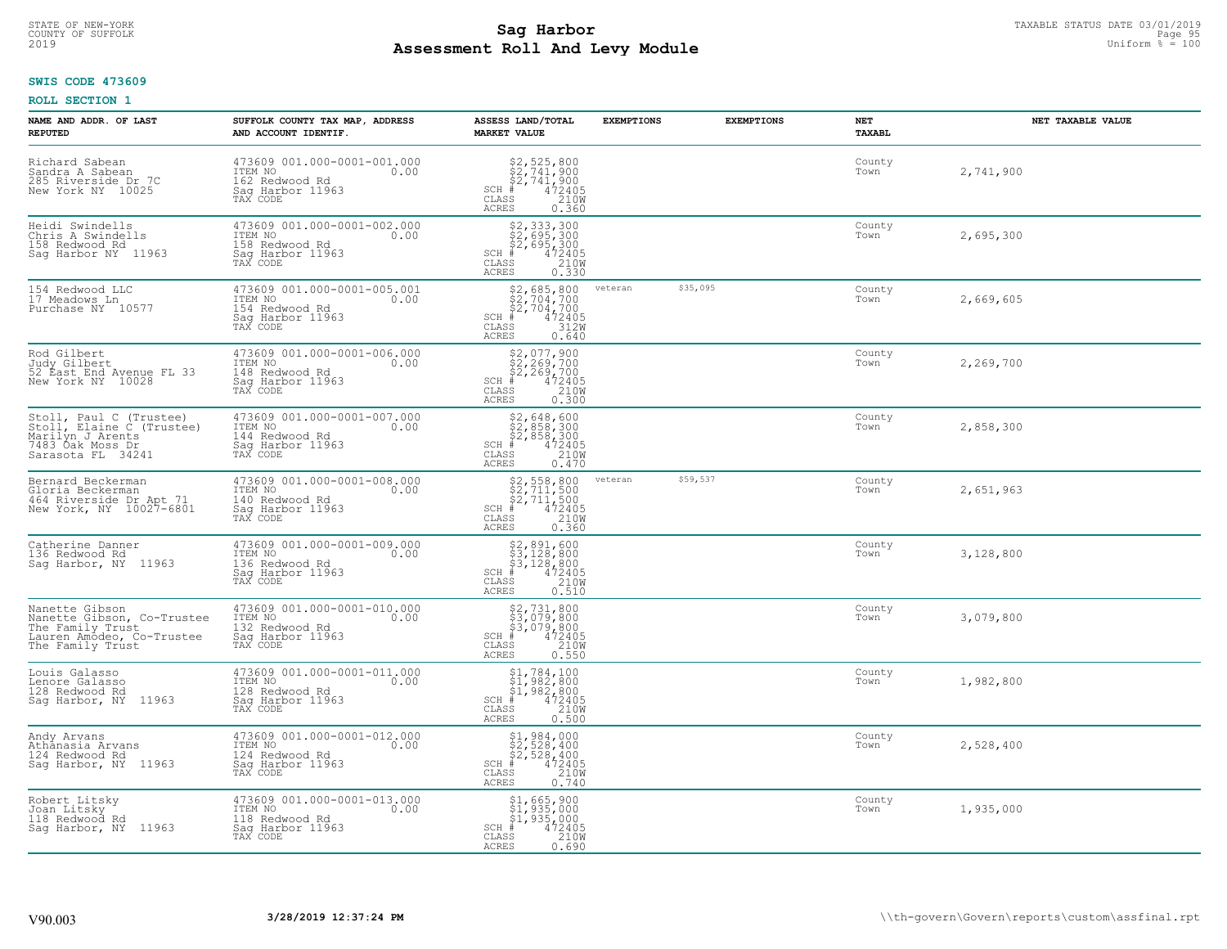## **Sag Harbor** TAXABLE STATUS DATE 03/01/2019<br>Poll and Louis Module **Assessment Roll And Levy Module** 2019 Uniform % = 100 COUNTY OF SUFFOLK Page 95

#### **SWIS CODE 473609**

| NAME AND ADDR. OF LAST<br><b>REPUTED</b>                                                                          | SUFFOLK COUNTY TAX MAP, ADDRESS<br>AND ACCOUNT IDENTIF.                                          | ASSESS LAND/TOTAL<br><b>MARKET VALUE</b>                                                                                                                                         | <b>EXEMPTIONS</b> | <b>EXEMPTIONS</b> | NET<br>TAXABL  | NET TAXABLE VALUE |
|-------------------------------------------------------------------------------------------------------------------|--------------------------------------------------------------------------------------------------|----------------------------------------------------------------------------------------------------------------------------------------------------------------------------------|-------------------|-------------------|----------------|-------------------|
| Richard Sabean<br>Sandra A Sabean<br>285 Riverside Dr 7C<br>New York NY 10025                                     | 473609 001.000-0001-001.000<br>ITEM NO<br>0.00<br>162 Redwood Rd<br>Sag Harbor 11963<br>TAX CODE | $$2, 525, 800$<br>$$2, 741, 900$<br>$$2, 741, 900$<br>$472405$<br>$$210W$<br>$SCH$ #<br>$\mathtt{CLASS}$<br>ACRES<br>0.360                                                       |                   |                   | County<br>Town | 2,741,900         |
| Heidi Swindells<br>Chris A Swindells<br>158 Redwood Rd<br>Sag Harbor NY 11963                                     | 473609 001.000-0001-002.000<br>ITEM NO<br>0.00<br>158 Redwood Rd<br>Saq Harbor 11963<br>TAX CODE | \$2, 333, 300<br>\$2, 695, 300<br>\$2, 695, 300<br>\$4, 472405<br>$SCH$ #<br>CLASS<br>$\frac{210W}{0.330}$<br><b>ACRES</b>                                                       |                   |                   | County<br>Town | 2,695,300         |
| 154 Redwood LLC<br>17 Meadows Ln<br>Purchase NY 10577                                                             | 473609 001.000-0001-005.001<br>ITEM NO<br>0.00<br>154 Redwood Rd<br>Sag Harbor 11963<br>TAX CODE | $$2,685,800$<br>$$2,704,700$<br>$$2,704,700$<br>$472405$<br>$3120$<br>$SCH$ #<br>CLASS<br><b>ACRES</b><br>0.640                                                                  | veteran           | \$35,095          | County<br>Town | 2,669,605         |
| Rod Gilbert<br>Judy Gilbert<br>52 East End Avenue FL 33<br>New York NY 10028                                      | 473609 001.000-0001-006.000<br>ITEM NO<br>0.00<br>148 Redwood Rd<br>Saq Harbor 11963<br>TAX CODE | $\begin{array}{r} 52,077,900 \\ 52,269,700 \\ 52,269,700 \\ \text{\#} & 472405 \\ \text{\#} & 210 \text{W} \\ \text{\#} & 0.300 \end{array}$<br>$SCH$ #<br>CLASS<br><b>ACRES</b> |                   |                   | County<br>Town | 2,269,700         |
| Stoll, Paul C (Trustee)<br>Stoll, Elaine C (Trustee)<br>Marilyn J Arents<br>7483 Oak Moss Dr<br>Sarasota FL 34241 | 473609 001.000-0001-007.000<br>ITEM NO<br>0.00<br>144 Redwood Rd<br>Saq Harbor 11963<br>TAX CODE | \$2,648,600<br>\$2,858,300<br>\$2,858,300<br>$SCH$ #<br>$\frac{472405}{210W}$<br>CLASS<br><b>ACRES</b><br>0.470                                                                  |                   |                   | County<br>Town | 2,858,300         |
| Bernard Beckerman<br>Gloria Beckerman<br>464 Riverside Dr Apt 71<br>New York, NY 10027-6801                       | 473609 001.000-0001-008.000<br>ITEM NO<br>140 Redwood Rd<br>Sag Harbor 11963<br>0.00<br>TAX CODE | $$2, 558, 800$<br>$$2, 711, 500$<br>$$2, 711, 500$<br>$$472405$<br>$SCH$ #<br>CLASS<br>210W<br><b>ACRES</b><br>0.360                                                             | veteran           | \$59,537          | County<br>Town | 2,651,963         |
| Catherine Danner<br>136 Redwood Rd<br>Saq Harbor, NY 11963                                                        | 473609 001.000-0001-009.000<br>ITEM NO<br>0.00<br>136 Redwood Rd<br>Sag Harbor 11963<br>TAX CODE | \$2,891,600<br>\$3,128,800<br>\$3,128,800<br>\$4,472405<br>$SCH$ #<br>210W<br>CLASS<br><b>ACRES</b><br>0.510                                                                     |                   |                   | County<br>Town | 3,128,800         |
| Nanette Gibson<br>Nanette Gibson, Co-Trustee<br>The Family Trust<br>Lauren Amodeo, Co-Trustee<br>The Family Trust | 473609 001.000-0001-010.000<br>1TEM NO 0.00<br>132 Redwood Rd<br>Sag Harbor 11963<br>TAX CODE    | $$2,731,800$<br>$$3,079,800$<br>$$3,079,800$<br>$$472405$<br>$$210M$<br>$SCH$ #<br>CLASS<br><b>ACRES</b><br>0.550                                                                |                   |                   | County<br>Town | 3,079,800         |
| Louis Galasso<br>Lenore Galasso<br>128 Redwood Rd<br>Saq Harbor, NY 11963                                         | 473609 001.000-0001-011.000<br>ITEM NO 0.00<br>128 Redwood Rd<br>Saq Harbor 11963<br>TAX CODE    | $$1,784,100$<br>$$1,982,800$<br>$$1,982,800$<br>$472405$<br>$$210W$<br>$SCH$ #<br>CLASS<br><b>ACRES</b><br>0.500                                                                 |                   |                   | County<br>Town | 1,982,800         |
| Andy Arvans<br>Athānasia Arvans<br>124 Redwood Rd<br>Sag Harbor, NY 11963                                         | 473609 001.000-0001-012.000<br>ITEM NO<br>0.00<br>124 Redwood Rd<br>Saq Harbor 11963<br>TAX CODE | $$2, 528, 400$<br>$$2, 528, 400$<br>$$2, 528, 400$<br>$$472405$<br>$SCH$ #<br>$\frac{210W}{0.740}$<br>CLASS<br><b>ACRES</b>                                                      |                   |                   | County<br>Town | 2,528,400         |
| Robert Litsky<br>Joan Litsky<br>118 Redwood Rd<br>Sag Harbor, NY 11963                                            | 473609 001.000-0001-013.000<br>ITEM NO<br>0.00<br>118 Redwood Rd<br>Sag Harbor 11963<br>TAX CODE | \$1,665,900<br>\$1,935,000<br>\$1,935,000<br>$SCH$ #<br>472405<br>CLASS<br>210W<br><b>ACRES</b><br>0.690                                                                         |                   |                   | County<br>Town | 1,935,000         |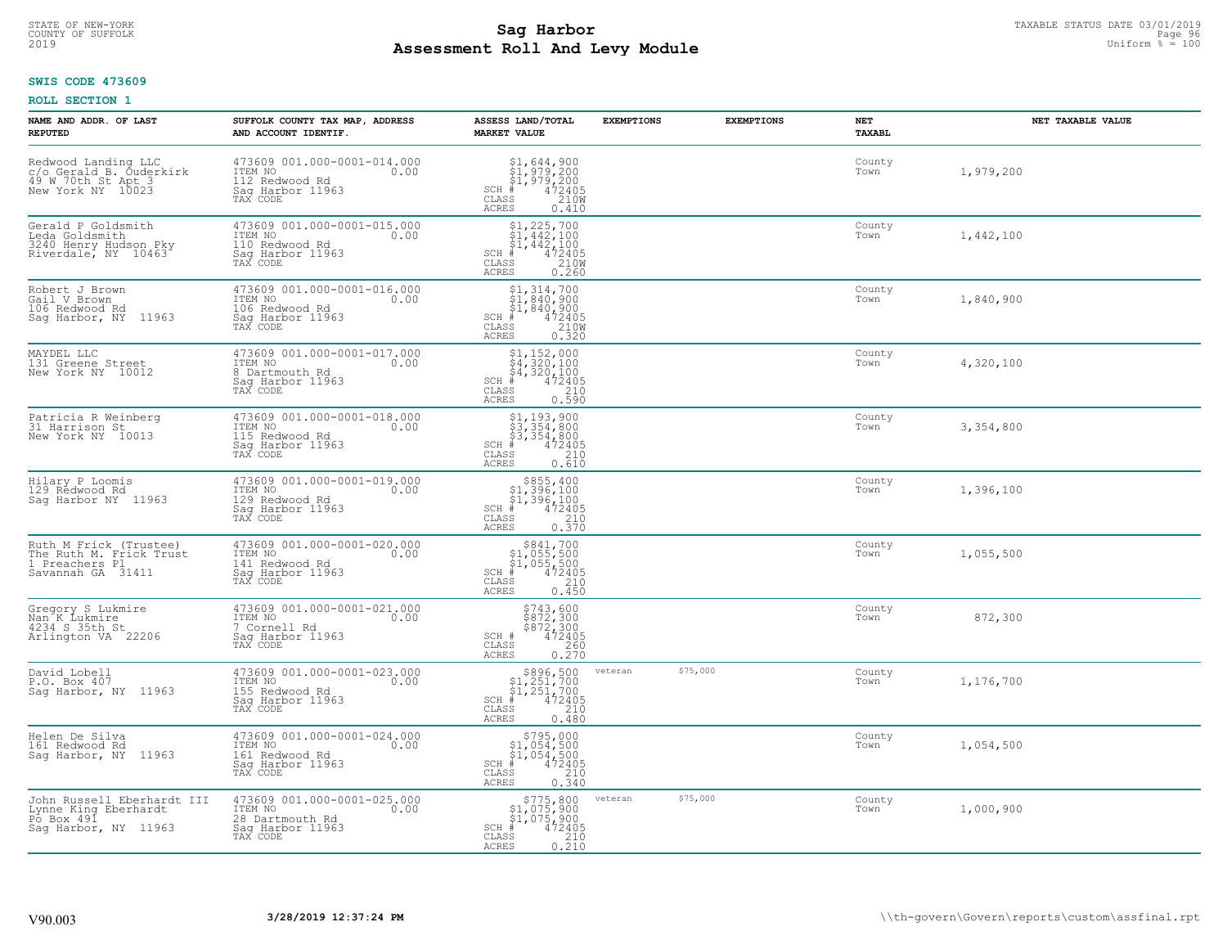## **Sag Harbor** TAXABLE STATUS DATE 03/01/2019<br>Poll and Louis Module **Assessment Roll And Levy Module** 2019 Uniform % = 100 COUNTY OF SUFFOLK **Example 1999 State of the Superior State of Superior Countries of the COUNTY OF SUFFOLK Page 96 Page 96**

## **SWIS CODE 473609**

| NAME AND ADDR. OF LAST<br><b>REPUTED</b>                                                  | SUFFOLK COUNTY TAX MAP, ADDRESS<br>AND ACCOUNT IDENTIF.                                           | ASSESS LAND/TOTAL<br><b>MARKET VALUE</b>                                                                                                  | <b>EXEMPTIONS</b> | <b>EXEMPTIONS</b> | NET<br><b>TAXABL</b> | NET TAXABLE VALUE |
|-------------------------------------------------------------------------------------------|---------------------------------------------------------------------------------------------------|-------------------------------------------------------------------------------------------------------------------------------------------|-------------------|-------------------|----------------------|-------------------|
| Redwood Landing LLC<br>c/o Gerald B. Ouderkirk<br>49 W 70th St Apt 3<br>New York NY 10023 | 473609 001.000-0001-014.000<br>ITEM NO<br>0.00<br>112 Redwood Rd<br>Saq Harbor 11963<br>TAX CODE  | $\begin{array}{l} $1,644,900\\ $1,979,200\\ $1,979,200\\ *\\ 2405\\ *\\ 22,00\\ \end{array}$<br>$SCH$ #<br>CLASS<br><b>ACRES</b><br>0.410 |                   |                   | County<br>Town       | 1,979,200         |
| Gerald P Goldsmith<br>Leda Goldsmith<br>3240 Henry Hudson Pky<br>Riverdale, NY 10463      | 473609 001.000-0001-015.000<br>ITEM NO<br>0.00<br>110 Redwood Rd<br>Sag Harbor 11963<br>TAX CODE  | $$1, 225, 700$<br>$$1, 442, 100$<br>$$1, 442, 100$<br>$$1, 442, 100$<br>$SCH$ #<br>472405<br>210W<br>CLASS<br><b>ACRES</b><br>0.260       |                   |                   | County<br>Town       | 1,442,100         |
| Robert J Brown<br>Gail V Brown<br>106 Redwood Rd<br>Saq Harbor, NY 11963                  | 473609 001.000-0001-016.000<br>ITEM NO<br>0.00<br>106 Redwood Rd<br>Sag Harbor 11963<br>TAX CODE  | $$1,314,700$<br>$$1,840,900$<br>$$1,840,900$<br>$472405$<br>$$2100$<br>$SCH$ #<br>CLASS<br><b>ACRES</b><br>0.320                          |                   |                   | County<br>Town       | 1,840,900         |
| MAYDEL LLC<br>131 Greene Street<br>New York NY 10012                                      | 473609 001.000-0001-017.000<br>ITEM NO<br>0.00<br>8 Dartmouth Rd<br>Saq Harbor 11963<br>TAX CODE  | $$4, 152, 000$<br>$$4, 320, 100$<br>$$4, 320, 100$<br>$$4, 320, 100$<br>$$4, 2405$<br>$SCH$ #<br>CLASS<br>210<br><b>ACRES</b><br>0.590    |                   |                   | County<br>Town       | 4,320,100         |
| Patricia R Weinberg<br>31 Harrison St<br>New York NY 10013                                | 473609 001.000-0001-018.000<br>ITEM NO<br>0.00<br>115 Redwood Rd<br>Sag Harbor 11963<br>TAX CODE  | $$3, 354, 800$<br>$$3, 354, 800$<br>$$3, 354, 800$<br>$472405$<br>$$210$<br>$SCH$ #<br>CLASS<br><b>ACRES</b><br>0.610                     |                   |                   | County<br>Town       | 3,354,800         |
| Hilary P Loomis<br>129 Redwood Rd<br>Saq Harbor NY 11963                                  | 473609 001.000-0001-019.000<br>ITEM NO<br>0.00<br>129 Redwood Rd<br>Sag Harbor 11963<br>TAX CODE  | $$855,400$<br>$$1,396,100$<br>$$1,396,100$<br>$$472405$<br>$SCH$ #<br>210<br>CLASS<br>0.370<br><b>ACRES</b>                               |                   |                   | County<br>Town       | 1,396,100         |
| Ruth M Frick (Trustee)<br>The Ruth M. Frick Trust<br>1 Preachers Pl<br>Savannah GA 31411  | 473609 001.000-0001-020.000<br>ITEM NO<br>0.00<br>141 Redwood Rd<br>Saq Harbor 11963<br>TAX CODE  | $$841,700$<br>$$1,055,500$<br>$$1,055,500$<br>$*1,055,500$<br>$*1,052,05$<br>$SCH$ #<br>CLASS<br>210<br>0.450<br><b>ACRES</b>             |                   |                   | County<br>Town       | 1,055,500         |
| Gregory S Lukmire<br>Nan K Lukmire<br>4234 S 35th St<br>Arlington VA 22206                | 473609 001.000-0001-021.000<br>ITEM NO 0.00<br>7 Cornell Rd<br>Sag Harbor 11963<br>TAX CODE       | \$743,600<br>\$872,300<br>\$872,300<br>472405<br>SCH #<br>CLASS<br>260<br>ACRES<br>0.270                                                  |                   |                   | County<br>Town       | 872,300           |
| David Lobell<br>P.O. Box 407<br>Saq Harbor, NY 11963                                      | 473609 001.000-0001-023.000<br>TTEM NO 0.00<br>155 Redwood Rd<br>Saq Harbor 11963<br>TAX CODE     | $$896,500$<br>$$1,251,700$<br>$$1,251,700$<br>$*$<br>$*$<br>$*$<br>$*$<br>$SCH$ #<br>CLASS<br>210<br><b>ACRES</b><br>0.480                | veteran           | \$75,000          | County<br>Town       | 1,176,700         |
| Helen De Silva<br>161 Redwood Rd<br>11963<br>Sag Harbor, NY                               | 473609 001.000-0001-024.000<br>ITEM NO<br>0.00<br>161 Redwood Rd<br>Sag Harbor 11963<br>TAX CODE  | $$795,000$<br>$$1,054,500$<br>$$1,054,500$<br>$$472405$<br>SCH #<br>210<br>CLASS<br><b>ACRES</b><br>0.340                                 |                   |                   | County<br>Town       | 1,054,500         |
| John Russell Eberhardt III<br>Lynne King Eberhardt<br>Po Box 491<br>Saq Harbor, NY 11963  | 473609 001.000-0001-025.000<br>ITEM NO<br>0.00<br>28 Dartmouth Rd<br>Sag Harbor 11963<br>TAX CODE | \$775,800<br>\$1,075,900<br>\$1,075,900<br>472405<br>SCH #<br>CLASS<br>$\begin{array}{c} 210 \\ 0.210 \end{array}$<br><b>ACRES</b>        | veteran           | \$75,000          | County<br>Town       | 1,000,900         |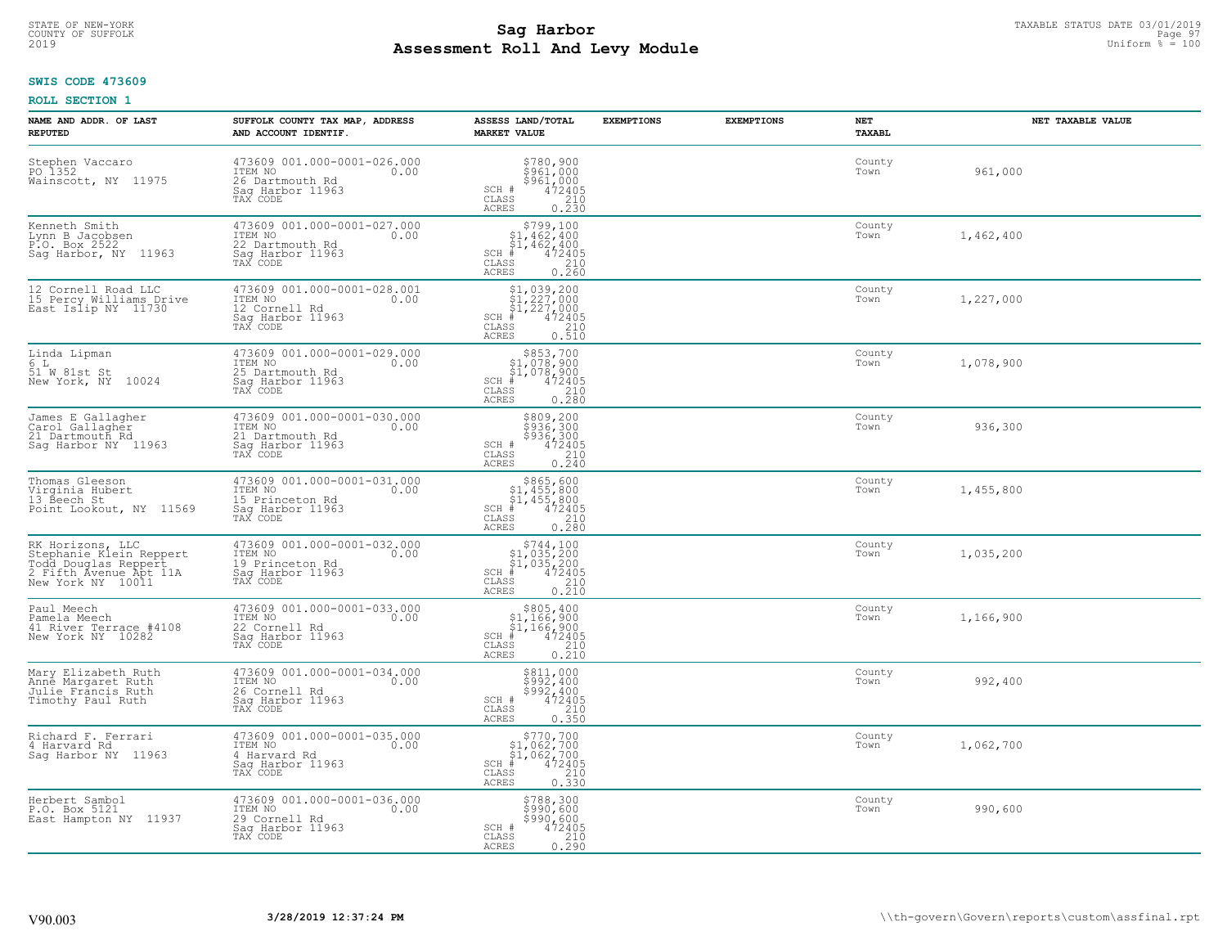## **Sag Harbor** TAXABLE STATUS DATE 03/01/2019<br>
Poll and Louis Module **Assessment Roll And Levy Module** 2019 Uniform % = 100 COUNTY OF SUFFOLK **Example 1999 Page 97 COUNTY SUFFOLK** Page 97

## **SWIS CODE 473609**

| NAME AND ADDR. OF LAST<br><b>REPUTED</b>                                                                           | SUFFOLK COUNTY TAX MAP, ADDRESS<br>AND ACCOUNT IDENTIF.                                           | ASSESS LAND/TOTAL<br><b>MARKET VALUE</b>                                                                                                   | <b>EXEMPTIONS</b> | <b>EXEMPTIONS</b> | NET<br><b>TAXABL</b> | NET TAXABLE VALUE |
|--------------------------------------------------------------------------------------------------------------------|---------------------------------------------------------------------------------------------------|--------------------------------------------------------------------------------------------------------------------------------------------|-------------------|-------------------|----------------------|-------------------|
| Stephen Vaccaro<br>PO 1352<br>Wainscott, NY 11975                                                                  | 473609 001.000-0001-026.000<br>ITEM NO<br>0.00<br>26 Dartmouth Rd<br>Saq Harbor 11963<br>TAX CODE | $$961, 000$<br>$$961, 000$<br>$$961, 000$<br>$472405$<br>210<br>SCH #<br>CLASS<br><b>ACRES</b><br>0.230                                    |                   |                   | County<br>Town       | 961,000           |
| Kenneth Smith<br>Lynn B Jacobsen<br>P.O. Box 2522<br>Sag Harbor, NY 11963                                          | 473609 001.000-0001-027.000<br>ITEM NO<br>0.00<br>22 Dartmouth Rd<br>Sag Harbor 11963<br>TAX CODE | $$799,100$<br>$$1,462,400$<br>$$1,462,400$<br>$$1,462,400$<br>$SCH$ #<br>472405<br>CLASS<br>$\frac{210}{0.260}$<br><b>ACRES</b>            |                   |                   | County<br>Town       | 1,462,400         |
| 12 Cornell Road LLC<br>15 Percy Williams Drive<br>East Islip NY 11730                                              | 473609 001.000-0001-028.001<br>ITEM NO<br>0.00<br>12 Cornell Rd<br>Sag Harbor 11963<br>TAX CODE   | $$1,039,200$<br>$$1,227,000$<br>$$1,227,000$<br>$$472405$<br>$SCH$ #<br>210<br>CLASS<br>0.510<br>ACRES                                     |                   |                   | County<br>Town       | 1,227,000         |
| Linda Lipman<br>6 L<br>51 W 81st St<br>New York, NY 10024                                                          | 473609 001.000-0001-029.000<br>ITEM NO<br>0.00<br>25 Dartmouth Rd<br>Saq Harbor 11963<br>TAX CODE | $$853,700$<br>$$1,078,900$<br>$$1,078,900$<br>$*$ $472405$<br>$SCH$ #<br>CLASS<br>210<br><b>ACRES</b><br>0.280                             |                   |                   | County<br>Town       | 1,078,900         |
| James E Gallagher<br>Carol Gallagher<br>21 Dartmouth Rd<br>Sag Harbor NY 11963                                     | 473609 001.000-0001-030.000<br>ITEM NO<br>0.00<br>21 Dartmouth Rd<br>Saq Harbor 11963<br>TAX CODE | \$809,200<br>\$936,300<br>\$936,300<br>472405<br>0.240<br>0.240<br>SCH #<br>$\mathtt{CLASS}$<br><b>ACRES</b>                               |                   |                   | County<br>Town       | 936,300           |
| Thomas Gleeson<br>Virginia Hubert<br>13 Beech St<br>Point Lookout, NY 11569                                        | 473609 001.000-0001-031.000<br>ITEM NO<br>0.00<br>15 Princeton Rd<br>Sag Harbor 11963<br>TAX CODE | $$865, 600$<br>$$1, 455, 800$<br>$$1, 455, 800$<br>$$472405$<br>SCH #<br>CLASS<br>210<br>0.280<br><b>ACRES</b>                             |                   |                   | County<br>Town       | 1,455,800         |
| RK Horizons, LLC<br>Stephanie Klein Reppert<br>rodd Douglas Reppert<br>2 Fifth Avenue Apt 11A<br>New York NY 10011 | 473609 001.000-0001-032.000<br>ITEM NO<br>0.00<br>19 Princeton Rd<br>Sag Harbor 11963<br>TAX CODE | $$744,100$<br>$$1,035,200$<br>$$1,035,200$<br>$$472405$<br>$SCH$ #<br>CLASS<br>210<br>0.210<br><b>ACRES</b>                                |                   |                   | County<br>Town       | 1,035,200         |
| Paul Meech<br>Pamela Meech<br>41 River Terrace #4108<br>New York NY 10282                                          | 473609 001.000-0001-033.000<br>TTEM NO 0.00<br>22 Cornell Rd<br>Saq Harbor 11963<br>TAX CODE      | $$805, 400$<br>$$1, 166, 900$<br>$$1, 166, 900$<br>$*$ $472405$<br>$SCH$ #<br>CLASS<br>210<br>ACRES<br>0.210                               |                   |                   | County<br>Town       | 1,166,900         |
| Mary Elizabeth Ruth<br>Anne Margaret Ruth<br>Julie Fráncis Ruth<br>Timothy Paul Ruth                               | 473609 001.000-0001-034.000<br>TTEM NO 0.00<br>26 Cornell Rd<br>Saq Harbor 11963<br>TAX CODE      | \$811,000<br>\$992,400<br>\$992,400<br>SCH #<br>472405<br>210<br>$\mathtt{CLASS}$<br><b>ACRES</b><br>0.350                                 |                   |                   | County<br>Town       | 992,400           |
| Richard F. Ferrari<br>4 Harvard Rd<br>Saq Harbor NY 11963                                                          | 473609 001.000-0001-035.000<br>ITEM NO<br>0.00<br>4 Harvard Rd<br>Sag Harbor 11963<br>TAX CODE    | $\begin{array}{c} $770,700$ \\ $1,062,700$ \\ $1,062,700$ \\ $4,062,700$ \\ $35$ \end{array}$<br>$SCH$ #<br>CLASS<br><b>ACRES</b><br>0.330 |                   |                   | County<br>Town       | 1,062,700         |
| Herbert Sambol<br>P.O. Box 5121<br>East Hampton NY 11937                                                           | 473609 001.000-0001-036.000<br>ITEM NO<br>0.00<br>29 Cornell Rd<br>Sag Harbor 11963<br>TAX CODE   | \$788,300<br>\$990,600<br>\$990,600<br>SCH #<br>472405<br>CLASS<br>$\frac{210}{0.290}$<br><b>ACRES</b>                                     |                   |                   | County<br>Town       | 990,600           |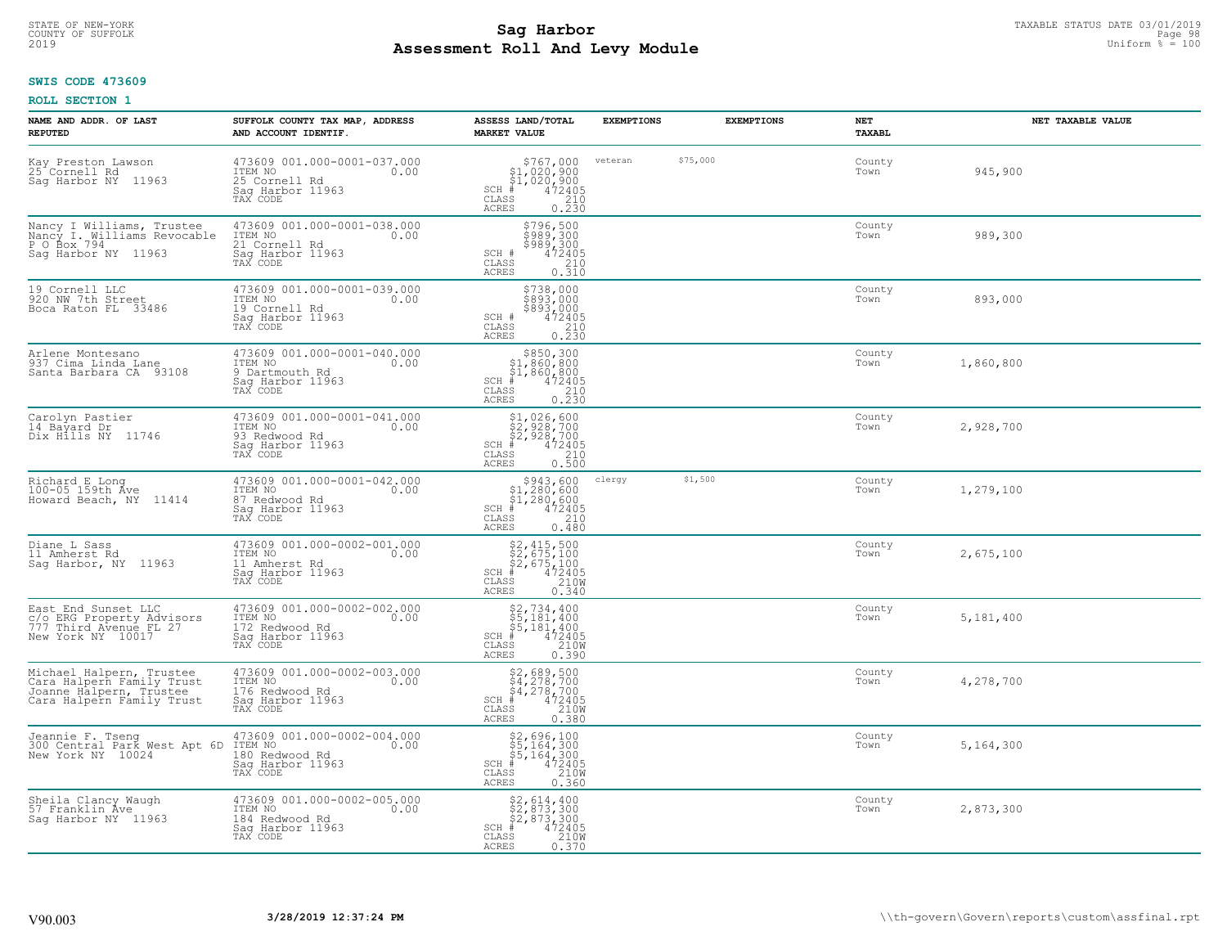## **Sag Harbor** TAXABLE STATUS DATE 03/01/2019<br>Poll and Louis Module **Assessment Roll And Levy Module** 2019 Uniform % = 100 COUNTY OF SUFFOLK Page 98 Page 98 Page 98 Page 98 Page 98 Page 98 Page 98 Page 98 Page 98 Page 98 Page 98 Page 98

## **SWIS CODE 473609**

| NAME AND ADDR. OF LAST<br><b>REPUTED</b>                                                                      | SUFFOLK COUNTY TAX MAP, ADDRESS<br>AND ACCOUNT IDENTIF.                                          | ASSESS LAND/TOTAL<br><b>MARKET VALUE</b>                                                                             | <b>EXEMPTIONS</b> | <b>EXEMPTIONS</b> | <b>NET</b><br><b>TAXABL</b> | NET TAXABLE VALUE |
|---------------------------------------------------------------------------------------------------------------|--------------------------------------------------------------------------------------------------|----------------------------------------------------------------------------------------------------------------------|-------------------|-------------------|-----------------------------|-------------------|
| Kay Preston Lawson<br>25 Cornell Rd<br>Saq Harbor NY<br>11963                                                 | 473609 001.000-0001-037.000<br>ITEM NO<br>0.00<br>25 Cornell Rd<br>Saq Harbor 11963<br>TAX CODE  | $$767,000$<br>$$1,020,900$<br>$$1,020,900$<br>$472405$<br>$$210$<br>$SCH$ #<br>CLASS<br><b>ACRES</b><br>0.230        | veteran           | \$75,000          | County<br>Town              | 945,900           |
| Nancy I Williams, Trustee<br>Nancy I. Williams Revocable<br>P O Box 794<br>Sag Harbor NY 11963                | 473609 001.000-0001-038.000<br>ITEM NO<br>21 Cornell Rd<br>0.00<br>Sag Harbor 11963<br>TAX CODE  | \$796,500<br>\$989,300<br>\$989,300<br>SCH #<br>472405<br>CLASS<br>$\frac{210}{0.310}$<br>ACRES                      |                   |                   | County<br>Town              | 989,300           |
| 19 Cornell LLC<br>920 NW 7th Street<br>Boca Raton FL 33486                                                    | 473609 001.000-0001-039.000<br>ITEM NO<br>0.00<br>19 Cornell Rd<br>Sag Harbor 11963<br>TAX CODE  | \$738,000<br>\$893,000<br>\$893,000<br>SCH #<br>472405<br>CLASS<br>$\frac{210}{0.230}$<br>ACRES                      |                   |                   | County<br>Town              | 893,000           |
| Arlene Montesano<br>937 Cima Linda Lane<br>Santa Barbara CA 93108                                             | 473609 001.000-0001-040.000<br>ITEM NO<br>0.00<br>9 Dartmouth Rd<br>Saq Harbor 11963<br>TAX CODE | $SCH$ #<br>CLASS<br>ACRES                                                                                            |                   |                   | County<br>Town              | 1,860,800         |
| Carolyn Pastier<br>14 Bayard Dr<br>Dix Hills NY 11746                                                         | 473609 001.000-0001-041.000<br>ITEM NO<br>0.00<br>93 Redwood Rd<br>Saq Harbor 11963<br>TAX CODE  | \$1,026,600<br>$SCH$ #<br>CLASS<br>ACRES                                                                             |                   |                   | County<br>Town              | 2,928,700         |
| Richard E Long<br>100-05 159th Ave<br>Howard Beach, NY 11414                                                  | 473609 001.000-0001-042.000<br>ITEM NO<br>0.00<br>87 Redwood Rd<br>Sag Harbor 11963<br>TAX CODE  | $$943,600$<br>$$1,280,600$<br>$$1,280,600$<br>$$472405$<br>$SCH$ #<br>CLASS<br>210<br><b>ACRES</b><br>0.480          | clergy            | \$1,500           | County<br>Town              | 1,279,100         |
| Diane L Sass<br>11 Amherst Rd<br>Saq Harbor, NY 11963                                                         | 473609 001.000-0002-001.000<br>ITEM NO<br>0.00<br>11 Amherst Rd<br>Sag Harbor 11963<br>TAX CODE  | $$2, 415, 500$<br>$$2, 675, 100$<br>$$2, 675, 100$<br>$$472405$<br>$SCH$ #<br>CLASS<br>210W<br><b>ACRES</b><br>0.340 |                   |                   | County<br>Town              | 2,675,100         |
| East End Sunset LLC<br>C/O ERG Property Advisors<br>777 Third Avenue FL 27<br>New York NY 10017               | 473609 001.000-0002-002.000<br>ITEM NO<br>0.00<br>172 Redwood Rd<br>Saq Harbor 11963<br>TAX CODE | $$5,181,400$<br>$$5,181,400$<br>$$5,181,400$<br>$472405$<br>$$2100$<br>$SCH$ #<br>CLASS<br>0.390<br><b>ACRES</b>     |                   |                   | County<br>Town              | 5,181,400         |
| Michael Halpern, Trustee<br>Cara Halpern Family Trust<br>Joanne Halpern, Trustee<br>Cara Halpern Family Trust | 473609 001.000-0002-003.000<br>ITEM NO<br>0.00<br>176 Redwood Rd<br>Saq Harbor 11963<br>TAX CODE | \$2,689,500<br>\$4,278,700<br>\$4,278,700<br>#472405<br>\$5,210M<br>$SCH$ #<br>CLASS<br><b>ACRES</b><br>0.380        |                   |                   | County<br>Town              | 4,278,700         |
| Jeannie F. Tseng<br>300 Central Park West Apt 6D<br>New York NY 10024                                         | 473609 001.000-0002-004.000<br>ITEM NO<br>0.00<br>180 Redwood Rd<br>Sag Harbor 11963<br>TAX CODE | \$2,696,100<br>\$5,164,300<br>\$5,164,300<br>#472405<br>$SCH$ #<br>$\mathtt{CLASS}$<br>210W<br><b>ACRES</b><br>0.360 |                   |                   | County<br>Town              | 5,164,300         |
| Sheila Clancy Waugh<br>57 Franklin Ave<br>Saq Harbor NY 11963                                                 | 473609 001.000-0002-005.000<br>ITEM NO<br>0.00<br>184 Redwood Rd<br>Sag Harbor 11963<br>TAX CODE | \$2,614,400<br>\$2,873,300<br>\$2,873,300<br>$SCH$ #<br>472405<br>210W<br>CLASS<br>ACRES<br>0.370                    |                   |                   | County<br>Town              | 2,873,300         |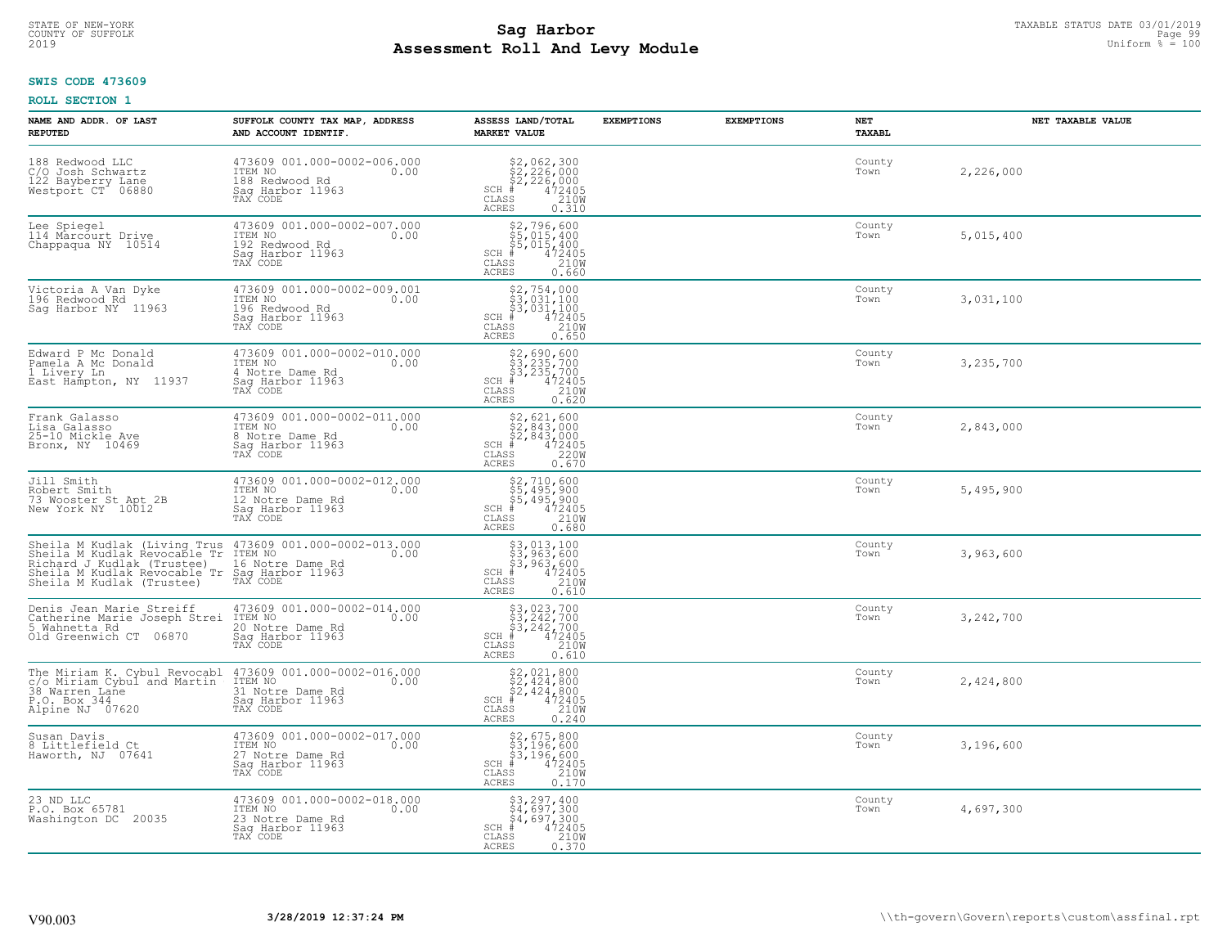## **Sag Harbor** TAXABLE STATUS DATE 03/01/2019<br>Poll and Louis Module **Assessment Roll And Levy Module** 2019 Uniform % = 100 COUNTY OF SUFFOLK Page 99

#### **SWIS CODE 473609**

| NAME AND ADDR. OF LAST<br><b>REPUTED</b>                                                                                                                               | SUFFOLK COUNTY TAX MAP, ADDRESS<br>AND ACCOUNT IDENTIF.                                                                                                                                                                                | ASSESS LAND/TOTAL<br><b>MARKET VALUE</b>                                                                                           | <b>EXEMPTIONS</b> | <b>EXEMPTIONS</b> | NET<br><b>TAXABL</b> | NET TAXABLE VALUE |
|------------------------------------------------------------------------------------------------------------------------------------------------------------------------|----------------------------------------------------------------------------------------------------------------------------------------------------------------------------------------------------------------------------------------|------------------------------------------------------------------------------------------------------------------------------------|-------------------|-------------------|----------------------|-------------------|
| 188 Redwood LLC<br>C/O Josh Schwartz<br>122 Bayberry Lane<br>Westport CT 06880                                                                                         | 473609 001.000-0002-006.000<br>ITEM NO 0.00<br>188 Redwood Rd<br>Saq Harbor 11963<br>TAX CODE                                                                                                                                          | $$2,062,300\n$2,226,000\n$2,226,000\n# 472405\n72,210M\n73$<br>$SCH$ $#$<br>CLASS<br><b>ACRES</b><br>0.310                         |                   |                   | County<br>Town       | 2,226,000         |
| Lee Spiegel<br>114 Marcourt Drive<br>Chappaqua NY 10514                                                                                                                | 473609 001.000-0002-007.000<br>ITEM NO<br>192 Redwood Rd<br>0.00<br>Sag Harbor 11963<br>TAX CODE                                                                                                                                       | $$5,015,400$ $$5,015,400$ $$4,72405$ $$85$ $$210Msss$<br>$SCH$ #<br>CLASS<br><b>ACRES</b><br>0.660                                 |                   |                   | County<br>Town       | 5,015,400         |
| Victoria A Van Dyke<br>196 Redwood Rd<br>Sag Harbor NY 11963                                                                                                           | 473609 001.000-0002-009.001<br>ITEM NO<br>0.00<br>196 Redwood Rd<br>Sag Harbor 11963<br>TAX CODE                                                                                                                                       | $$2, 754, 000$<br>$$3, 031, 100$<br>$$3, 031, 100$<br>$$472405$<br>$SCH$ #<br>CLASS<br>210W<br>ACRES<br>0.650                      |                   |                   | County<br>Town       | 3,031,100         |
| Edward P Mc Donald<br>Pamela A Mc Donald<br>1 Livery Ln<br>East Hampton, NY 11937                                                                                      | 473609 001.000-0002-010.000<br>TTEM NO 0.00<br>4 Notre Dame Rd<br>Saq Harbor 11963<br>TAX CODE                                                                                                                                         | $$2,690,600$<br>$$3,235,700$<br>$$3,235,700$<br>$$472405$<br>$$2100$<br>$$2100$<br>$SCH$ #<br>CLASS<br><b>ACRES</b><br>0.620       |                   |                   | County<br>Town       | 3,235,700         |
| Frank Galasso<br>Lisa Galasso<br>25-10 Mickle Ave<br>Bronx, NY 10469                                                                                                   | 473609 001.000-0002-011.000<br>ITEM NO<br>0.00<br>8 Notre Dame Rd<br>Saq Harbor 11963                                                                                                                                                  | $$2, 621, 600$<br>$$2, 843, 000$<br>$$2, 843, 000$<br>$472405$<br>$$2200$<br>$SCH$ #<br>CLASS<br><b>ACRES</b><br>0.670             |                   |                   | County<br>Town       | 2,843,000         |
| Jill Smith<br>Robert Smith<br>73 Wooster St Apt 2B<br>New York NY 10012                                                                                                | 473609 001.000-0002-012.000<br>ITEM NO<br>12 Notre Dame Rd<br>Sag Harbor 11963<br>0.00<br>TAX CODE                                                                                                                                     | \$2,710,600<br>\$5,495,900<br>\$5,495,900<br># 472405<br>\$8 210M<br>$SCH$ #<br>CLASS<br><b>ACRES</b><br>0.680                     |                   |                   | County<br>Town       | 5,495,900         |
|                                                                                                                                                                        | Sheila M Kudlak (Living Trus 473609 001.000-0002-013.000<br>Sheila M Kudlak Revocable Tr ITEM NO<br>Richard J Kudlak (Trustee) 16 Notre Dame Rd<br>Sheila M Kudlak Revocable Tr Sag Harbor 11963<br>Sheila M Kudlak (Trustee) TAX CODE | \$3,013,100<br>\$3,963,600<br>\$3,963,600<br>\$4,963,600<br>$SCH$ #<br>$\mathtt{CLASS}$<br>210W<br><b>ACRES</b><br>0.610           |                   |                   | County<br>Town       | 3,963,600         |
| Denis Jean Marie Streiff 473609 001.000-0002-014.000<br>Catherine Marie Joseph Strei ITEM NO 0.00<br>5 Wahnetta Rd<br>Old Greenwich CT 06870                           | 20 Notre Dame Rd<br>Sag Harbor 11963<br>TAX CODE                                                                                                                                                                                       | $$3, 023, 700$<br>$$3, 242, 700$<br>$$3, 242, 700$<br>$$472405$<br>$$210M$<br>$SCH$ $#$<br>CLASS<br><b>ACRES</b><br>0.610          |                   |                   | County<br>Town       | 3,242,700         |
| The Miriam K. Cybul Revocabl $473609001.000-0002-016.000$<br>c/o Miriam Cybul and Martin ITEM NO<br>38 Warren Lane 31 Notre Dame Rd<br>P.O. Box 344<br>Alpine NJ 07620 | 31 Notre Dame Rd<br>Saq Harbor 11963<br>TAX CODE                                                                                                                                                                                       | $SCH$ #<br>CLASS<br><b>ACRES</b><br>0.240                                                                                          |                   |                   | County<br>Town       | 2,424,800         |
| Susan Davis<br>8 Littlefield Ct<br>Haworth, NJ 07641                                                                                                                   | 473609 001.000-0002-017.000<br>ITEM NO<br>0.00<br>27 Notre Dame Rd<br>Sag Harbor 11963<br>TAX CODE                                                                                                                                     | $$2, 675, 800$<br>$$3, 196, 600$<br>$$3, 196, 600$<br>$*$<br>$472405$<br>$75$<br>$75$<br>$SCH$ #<br>CLASS<br><b>ACRES</b><br>0.170 |                   |                   | County<br>Town       | 3,196,600         |
| 23 ND LLC<br>P.O. Box 65781<br>Washington DC 20035                                                                                                                     | 473609 001.000-0002-018.000<br>ITEM NO 0.00<br>23 Notre Dame Rd<br>Sag Harbor 11963<br>TAX CODE                                                                                                                                        | \$3,297,400<br>\$4,697,300<br>\$4,697,300<br>#472405<br>$SCH$ #<br>CLASS<br>210W<br><b>ACRES</b><br>0.370                          |                   |                   | County<br>Town       | 4,697,300         |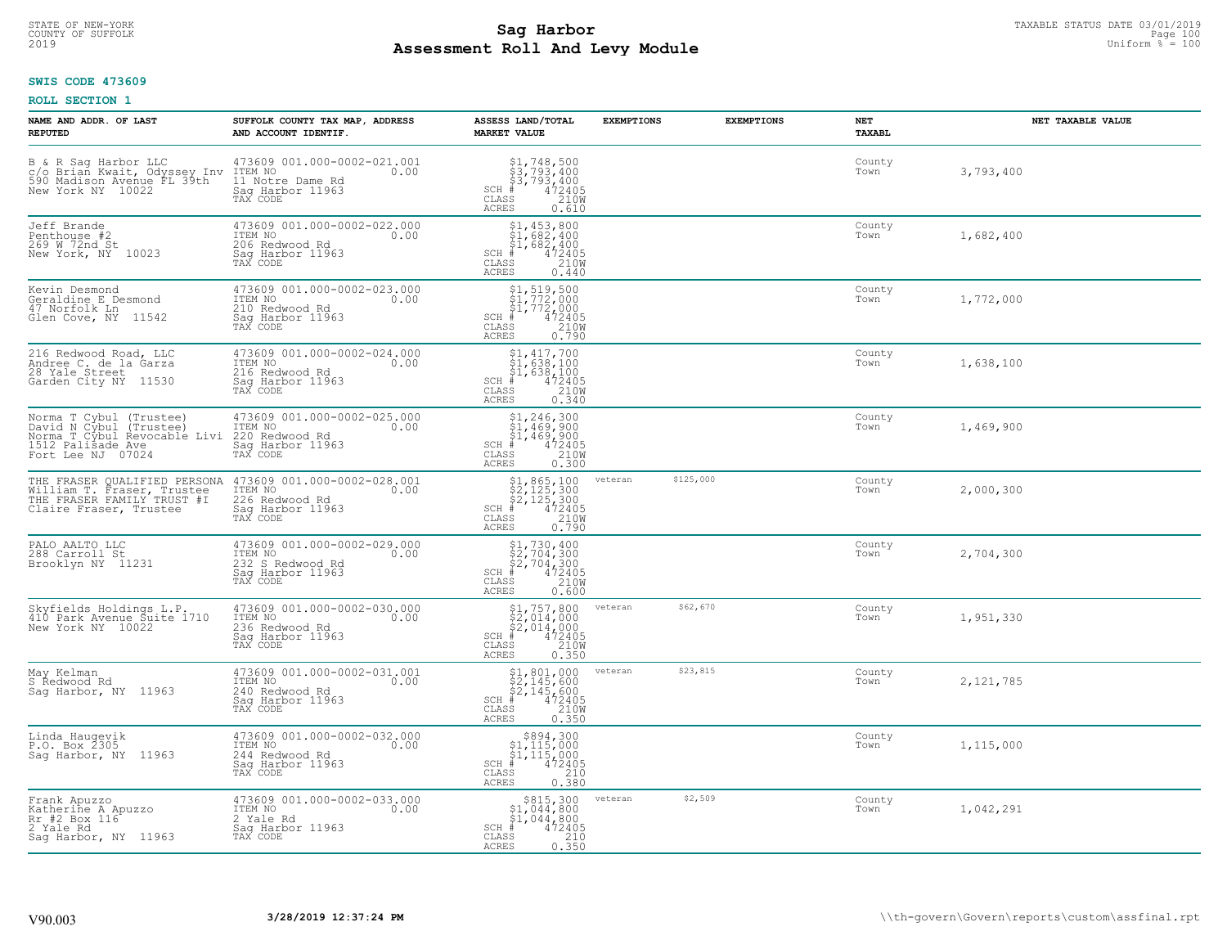# STATE OF NEW-YORK TAXABLE STATUS DATE 03/01/2019<br>COUNTY OF SUFFOLK Page 100 Page 100 **Assessment Roll And Levy Module** 2019 Uniform % = 100

## **SWIS CODE 473609**

| NAME AND ADDR. OF LAST<br><b>REPUTED</b>                                                                                        | SUFFOLK COUNTY TAX MAP, ADDRESS<br>AND ACCOUNT IDENTIF.                                                                                                                                         | ASSESS LAND/TOTAL<br><b>MARKET VALUE</b>                                                                                                                                                                                                                                                                                                                                                                                         | <b>EXEMPTIONS</b> | <b>EXEMPTIONS</b> | NET<br><b>TAXABL</b> | NET TAXABLE VALUE |
|---------------------------------------------------------------------------------------------------------------------------------|-------------------------------------------------------------------------------------------------------------------------------------------------------------------------------------------------|----------------------------------------------------------------------------------------------------------------------------------------------------------------------------------------------------------------------------------------------------------------------------------------------------------------------------------------------------------------------------------------------------------------------------------|-------------------|-------------------|----------------------|-------------------|
| B & R Sag Harbor LLC<br>C/O Brian Kwait, Odyssey Inv ITEM NO<br>590 Madison Avenue FL 39th 11 Notr<br>New York NY 10022 Saq Har | 473609 001.000-0002-021.001<br>0.00<br>11 Notre Dame Rd<br>Saq Harbor 11963<br>TAX CODE                                                                                                         | $\begin{array}{l} $1,748,500\n$3,793,400\n$3,793,400\n# 472405\n85\n210M\n\end{array}$<br>$SCH$ #<br>$\mathtt{CLASS}$<br>ACRES<br>0.610                                                                                                                                                                                                                                                                                          |                   |                   | County<br>Town       | 3,793,400         |
| Jeff Brande<br>Penthouse #2<br>269 W 72nd St<br>New York, NY 10023                                                              | 473609 001.000-0002-022.000<br>ITEM NO<br>0.00<br>206 Redwood Rd<br>Sag Harbor 11963<br>TAX CODE                                                                                                | $$1, 453, 800$<br>$$1, 682, 400$<br>$$1, 682, 400$<br>$$472405$<br>$SCH$ #<br>CLASS<br>210W<br>ACRES<br>0.440                                                                                                                                                                                                                                                                                                                    |                   |                   | County<br>Town       | 1,682,400         |
| Kevin Desmond<br>Geraldine E Desmond<br>47 Norfolk Ln<br>Glen Cove, NY 11542                                                    | 473609 001.000-0002-023.000<br>ITEM NO<br>0.00<br>210 Redwood Rd<br>Sag Harbor 11963<br>TAX CODE                                                                                                | $\begin{array}{l} \text{\small $51$, $519$, $500$} \\ \text{\small $51$, $772$, $000$} \\ \text{\small $51$, $772$, $000$} \\ \text{\small $*$} \\ \text{\small $88$} \end{array} \quad \begin{array}{l} \text{\small $500$} \\ \text{\small $72405$} \\ \text{\small $72405$} \\ \text{\small $210W$} \\ \text{\small $0.790$} \end{array}$<br>$SCH$ #<br>CLASS<br><b>ACRES</b>                                                 |                   |                   | County<br>Town       | 1,772,000         |
| 216 Redwood Road, LLC<br>Andree C. de la Garza<br>28 Yale Street<br>Garden City NY 11530                                        | 473609 001.000-0002-024.000<br>ITEM NO<br>0.00<br>216 Redwood Rd<br>Saq Harbor 11963<br>TAX CODE                                                                                                | $\begin{array}{c} \texttt{\$1,417,700}\ \\ \texttt{\$1,638,100}\ \\ \texttt{\$1,638,100}\ \\ \texttt{\$1,638,100}\ \\ \texttt{\$12405}\ \\ \texttt{\$15}\qquad \qquad 210W\ \\ \texttt{\$15}\qquad \qquad 0.340 \end{array}$<br>$SCH$ #<br>CLASS<br><b>ACRES</b>                                                                                                                                                                 |                   |                   | County<br>Town       | 1,638,100         |
| Norma T Cybul (Trustee)<br>David N Cybul (Trustee)<br>Norma T Cybul Revocable Livi<br>1512 Palisade Ave<br>Fort Lee NJ 07024    | 473609 001.000-0002-025.000<br>ITEM NO<br>0.00<br>220 Redwood Rd<br>Saq Harbor 11963<br>TAX CODE                                                                                                | $\begin{array}{r} $1,246,300 \ $1,469,900 \ $1,469,900 \ $472405 \\\ $15$ \ 35$ \ 469,900 \ 472405 \\\ $15$ \ 210W \ 35$ \ 0.300 \end{array}$<br>$SCH$ #<br>CLASS<br>ACRES                                                                                                                                                                                                                                                       |                   |                   | County<br>Town       | 1,469,900         |
|                                                                                                                                 | THE FRASER QUALIFIED PERSONA 473609 001.000-0002-028.001<br>William T. Fraser, Trustee ITEM NO THE FRASER FAMILY TRUST #I 226 Redwood Rd<br>Claire Fraser, Trustee Sag Harbor 11963<br>TAX CODE | $\begin{array}{r} \text{\$1,865,100} \\ \text{\$2,125,300} \\ \text{\$2,125,300} \\ \text{\$472405} \\ \text{\$8$8$} \\ \text{\$125,300} \\ \text{\$120W} \\ \text{\$120W} \\ \text{\$120W} \\ \text{\$120W} \\ \text{\$120W} \\ \text{\$120W} \\ \text{\$120W} \\ \text{\$120W} \\ \text{\$120W} \\ \text{\$120W} \\ \text{\$120W} \\ \text{\$120W} \\ \text{\$120W} \\ \text{\$<br>$SCH$ #<br>$\mathtt{CLASS}$<br><b>ACRES</b> | veteran           | \$125,000         | County<br>Town       | 2,000,300         |
| PALO AALTO LLC<br>288 Carroll St<br>Brooklyn NY 11231                                                                           | 473609 001.000-0002-029.000<br>ITEM NO<br>0.00<br>232 S Redwood Rd<br>Sag Harbor 11963<br>TAX CODE                                                                                              | $$2,730,400$<br>$$2,704,300$<br>$$2,704,300$<br>$472405$<br>$$2100$<br>$SCH$ #<br>CLASS<br><b>ACRES</b><br>0.600                                                                                                                                                                                                                                                                                                                 |                   |                   | County<br>Town       | 2,704,300         |
| Skyfields Holdings L.P.<br>410 Park Avenue Suite 1710<br>New York NY 10022                                                      | 473609 001.000-0002-030.000<br>TTEM NO 0.00<br>236 Redwood Rd<br>Saq Harbor 11963<br>TAX CODE                                                                                                   | $$2,014,00052,014,0004724055872108$<br>$SCH$ #<br>CLASS<br><b>ACRES</b><br>0.350                                                                                                                                                                                                                                                                                                                                                 | veteran           | \$62,670          | County<br>Town       | 1,951,330         |
| May Kelman<br>S Redwood Rd<br>Saq Harbor, NY 11963                                                                              | 473609 001.000-0002-031.001<br>ITEM NO 0.00<br>240 Redwood Rd<br>Saq Harbor 11963<br>TAX CODE                                                                                                   | $$2,145,600$<br>$$2,145,600$<br>$$2,145,600$<br>$472405$<br>$$210M$<br>$SCH$ #<br>CLASS<br><b>ACRES</b><br>0.350                                                                                                                                                                                                                                                                                                                 | veteran           | \$23,815          | County<br>Town       | 2, 121, 785       |
| Linda Haugevik<br>P.O. Box 2305<br>Sag Harbor, NY 11963                                                                         | 473609 001.000-0002-032.000<br>ITEM NO<br>0.00<br>244 Redwood Rd<br>Saq Harbor 11963<br>TAX CODE                                                                                                | $$894,300\n$1,115,000\n$1,115,000\n# 472405\n85\n210\n210$<br>$SCH$ #<br>CLASS<br>0.380<br><b>ACRES</b>                                                                                                                                                                                                                                                                                                                          |                   |                   | County<br>Town       | 1,115,000         |
| Frank Apuzzo<br>Katherine A Apuzzo<br>Rr #2 Box 116<br>2 Yale Rd<br>Sag Harbor, NY 11963                                        | 473609 001.000-0002-033.000<br>ITEM NO<br>0.00<br>2 Yale Rd<br>Sag Harbor 11963<br>TAX CODE                                                                                                     | $\begin{array}{c} $815,300 \\ $1,044,800 \\ $1,044,800 \end{array}$<br>$SCH$ #<br>472405<br>CLASS<br>$\frac{210}{0.350}$<br><b>ACRES</b>                                                                                                                                                                                                                                                                                         | veteran           | \$2,509           | County<br>Town       | 1,042,291         |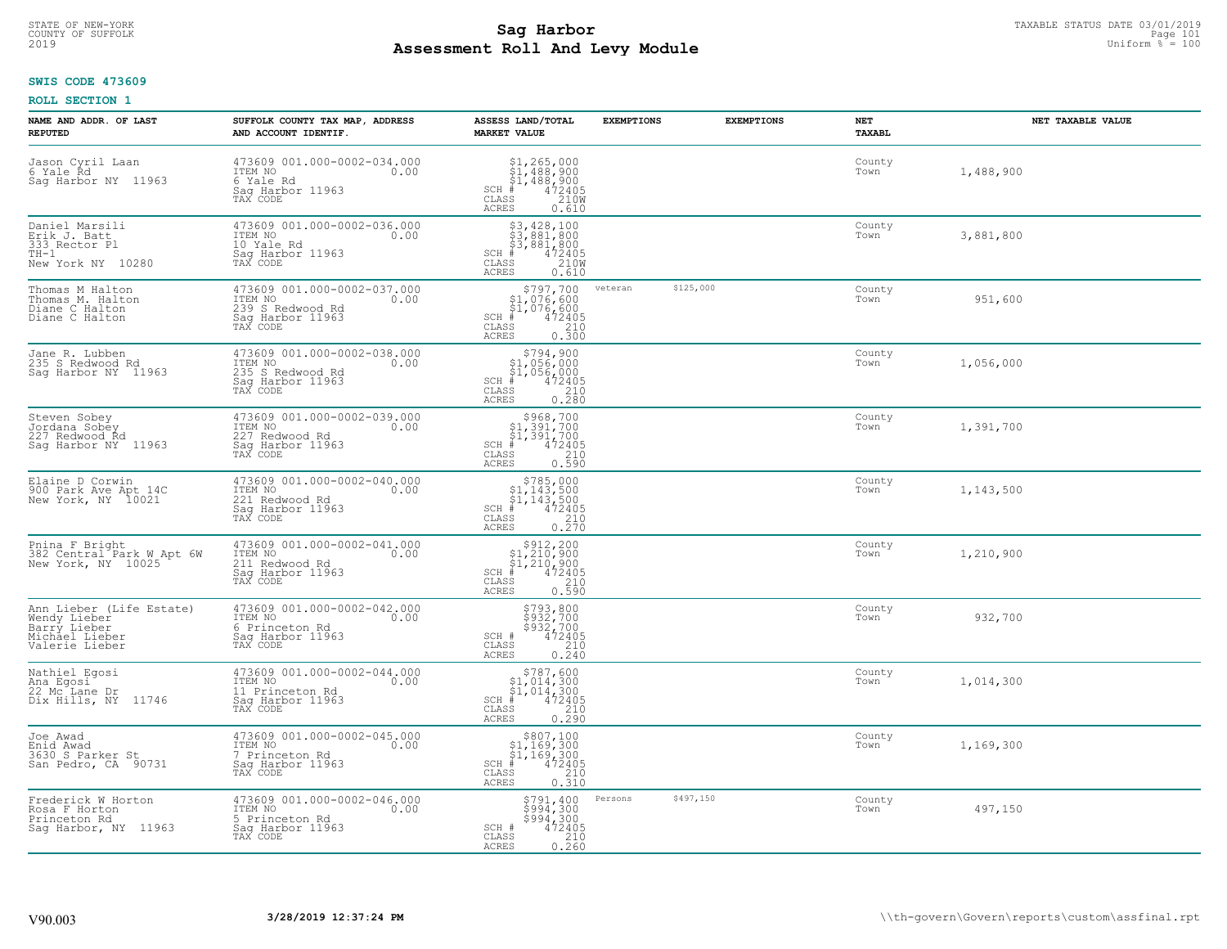## **Sag Harbor** TAXABLE STATUS DATE 03/01/2019<br>Pall and Louis Module **Assessment Roll And Levy Module** 2019 Uniform % = 100 COUNTY OF SUFFOLK Page 101

## **SWIS CODE 473609**

| NAME AND ADDR. OF LAST<br><b>REPUTED</b>                                                     | SUFFOLK COUNTY TAX MAP, ADDRESS<br>AND ACCOUNT IDENTIF.                                            | ASSESS LAND/TOTAL<br><b>MARKET VALUE</b>                                                                                                                                                                                                                                                                                             | <b>EXEMPTIONS</b> | <b>EXEMPTIONS</b> | NET<br><b>TAXABL</b> | NET TAXABLE VALUE |
|----------------------------------------------------------------------------------------------|----------------------------------------------------------------------------------------------------|--------------------------------------------------------------------------------------------------------------------------------------------------------------------------------------------------------------------------------------------------------------------------------------------------------------------------------------|-------------------|-------------------|----------------------|-------------------|
| Jason Cyril Laan<br>6 Yale Rd<br>Sag Harbor NY 11963                                         | 473609 001.000-0002-034.000<br>ITEM NO<br>0.00<br>6 Yale Rd<br>Saq Harbor 11963<br>TAX CODE        | $\begin{array}{c} \texttt{\$1,265,000} \\ \texttt{\$1,488,900} \\ \texttt{\$1,488,900} \\ \texttt{\$1,488,900} \\ \texttt{\$1,488,900} \\ \texttt{\$12405} \\ \texttt{SS} \texttt{0.610} \end{array}$<br>SCH<br>$\mathtt{CLASS}$<br>ACRES                                                                                            |                   |                   | County<br>Town       | 1,488,900         |
| Daniel Marsili<br>Erik J. Batt<br>333 Rector Pl<br>$TH-1$<br>New York NY 10280               | 473609 001.000-0002-036.000<br>ITEM NO<br>0.00<br>10 Yale Rd<br>Sag Harbor 11963<br>TAX CODE       | \$3,428,100<br>\$3,881,800<br>\$3,881,800<br># 472405<br>\$5 210M<br>$SCH$ #<br>CLASS<br>ACRES<br>0.610                                                                                                                                                                                                                              |                   |                   | County<br>Town       | 3,881,800         |
| Thomas M Halton<br>Thomas M. Halton<br>Diane C Halton<br>Diane C Halton                      | 473609 001.000-0002-037.000<br>ITEM NO<br>0.00<br>239 S Redwood Rd<br>Sag Harbor 11963<br>TAX CODE | \$797,700<br>\$1,076,600<br>\$1,076,600<br>#472405<br>$SCH$ #<br>CLASS<br>$\begin{array}{c} 210 \\ 0.300 \end{array}$<br><b>ACRES</b>                                                                                                                                                                                                | veteran           | \$125,000         | County<br>Town       | 951,600           |
| Jane R. Lubben<br>235 S Redwood Rd<br>Sag Harbor NY 11963                                    | 473609 001.000-0002-038.000<br>ITEM NO<br>0.00<br>235 S Redwood Rd<br>Saq Harbor 11963<br>TAX CODE | \$794,900<br>\$1,056,000<br>\$1,056,000<br>$SCH$ #<br>$\begin{array}{r} 472405 \\ 210 \\ 0.280 \end{array}$<br>CLASS<br>ACRES                                                                                                                                                                                                        |                   |                   | County<br>Town       | 1,056,000         |
| Steven Sobey<br>Jordana Sobey<br>227 Redwood Rd<br>Sag Harbor NY 11963                       | 473609 001.000-0002-039.000<br>ITEM NO<br>0.00<br>227 Redwood Rd<br>Saq Harbor 11963<br>TAX CODE   | \$968,700<br>\$1,391,700<br>\$1,391,700<br>$SCH$ #<br>$\frac{7}{4}$ 72405<br>210<br>CLASS<br>0.590<br><b>ACRES</b>                                                                                                                                                                                                                   |                   |                   | County<br>Town       | 1,391,700         |
| Elaine D Corwin<br>900 Park Ave Apt 14C<br>New York, NY 10021                                | 473609 001.000-0002-040.000<br>ITEM NO<br>0.00<br>221 Redwood Rd<br>Saq Harbor 11963<br>TAX CODE   | $\begin{array}{r} \text{\small $>$785$, 000} \\ \text{\small $>$1$, $143$, 500} \\ \text{\small $>$1$, $143$, 500} \\ \text{\small $>$472405} \\ \text{\small $>$85$} \\ \text{\small $25$} \\ \text{\small $25$} \\ \text{\small $25$} \\ \text{\small $28$} \\ \text{\small $28$} \end{array}$<br>$SCH$ #<br>CLASS<br><b>ACRES</b> |                   |                   | County<br>Town       | 1,143,500         |
| Pnina F Bright<br>382 Central Park W Apt 6W<br>New York, NY 10025                            | 473609 001.000-0002-041.000<br>ITEM NO<br>0.00<br>211 Redwood Rd<br>Sag Harbor 11963<br>TAX CODE   | $$312,20051,210,90051,210,900472405$<br>$SCH$ #<br>$\begin{array}{c} 210 \\ 0.590 \end{array}$<br>CLASS<br>ACRES                                                                                                                                                                                                                     |                   |                   | County<br>Town       | 1,210,900         |
| Ann Lieber (Life Estate)<br>Wendy Lieber<br>Barry Lieber<br>Michael Lieber<br>Valerie Lieber | 473609 001.000-0002-042.000<br>ITEM NO<br>0.00<br>6 Princeton Rd<br>Saq Harbor 11963<br>TAX CODE   | \$793,800<br>\$932,700<br>\$932,700<br>\$932,700<br>SCH #<br>CLASS<br>$\begin{array}{c} 210 \\ 0.240 \end{array}$<br>ACRES                                                                                                                                                                                                           |                   |                   | County<br>Town       | 932,700           |
| Nathiel Egosi<br>Ana Egosi<br>22 Mc Lane Dr<br>Dix Hills, NY 11746                           | 473609 001.000-0002-044.000<br>ITEM NO<br>0.00<br>11 Princeton Rd<br>Saq Harbor 11963<br>TAX CODE  | $$787,600$<br>$$1,014,300$<br>$$1,014,300$<br>$*$<br>$472405$<br>$SCH$ #<br>CLASS<br>$\frac{210}{0.290}$<br><b>ACRES</b>                                                                                                                                                                                                             |                   |                   | County<br>Town       | 1,014,300         |
| Joe Awad<br>Enid Awad<br>3630 S Parker St<br>San Pedro, CA 90731                             | 473609 001.000-0002-045.000<br>ITEM NO<br>0.00<br>7 Princeton Rd<br>Sag Harbor 11963<br>TAX CODE   | $SCH$ #<br>CLASS<br>0.310<br>ACRES                                                                                                                                                                                                                                                                                                   |                   |                   | County<br>Town       | 1,169,300         |
| Frederick W Horton<br>Rosa F Horton<br>Princeton Rd<br>Sag Harbor, NY 11963                  | 473609 001.000-0002-046.000<br>ITEM NO<br>0.00<br>5 Princeton Rd<br>Sag Harbor 11963<br>TAX CODE   | \$791,400<br>$\frac{25947300}{39947300}$<br>\$994,300<br>472405<br>210<br>SCH #<br>$\mathtt{CLASS}$<br><b>ACRES</b><br>0.260                                                                                                                                                                                                         | Persons           | \$497,150         | County<br>Town       | 497,150           |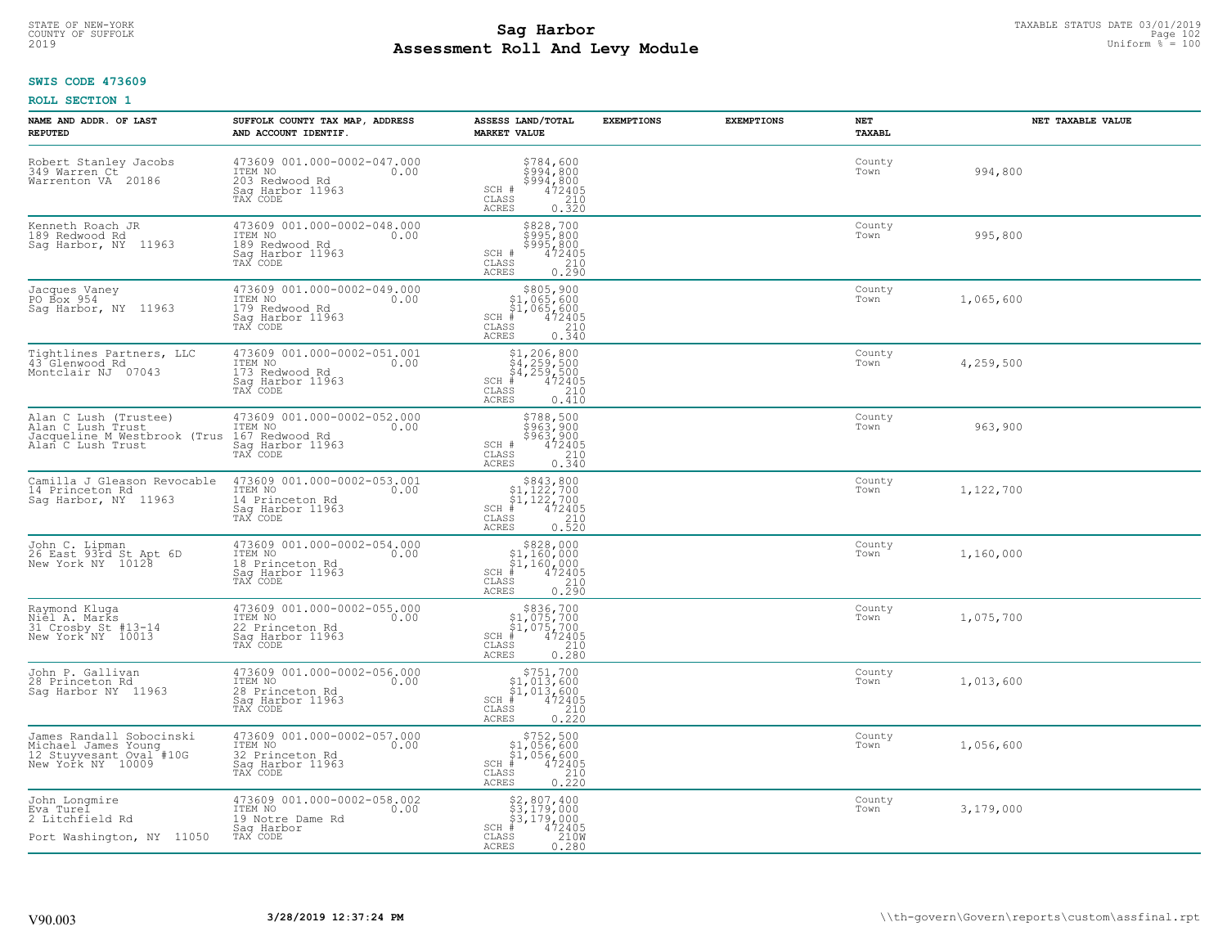# STATE OF NEW-YORK TAXABLE STATUS DATE 03/01/2019<br>COUNTY OF SUFFOLK Page 102 **Assessment Roll And Levy Module** 2019 Uniform % = 100

## **SWIS CODE 473609**

| NAME AND ADDR. OF LAST<br><b>REPUTED</b>                                                                                        | SUFFOLK COUNTY TAX MAP, ADDRESS<br>AND ACCOUNT IDENTIF.                                                                       | ASSESS LAND/TOTAL<br><b>MARKET VALUE</b>                                                                                                                                                                                                                                                                                                                                 | <b>EXEMPTIONS</b> | <b>EXEMPTIONS</b> | NET<br>TAXABL  | NET TAXABLE VALUE |
|---------------------------------------------------------------------------------------------------------------------------------|-------------------------------------------------------------------------------------------------------------------------------|--------------------------------------------------------------------------------------------------------------------------------------------------------------------------------------------------------------------------------------------------------------------------------------------------------------------------------------------------------------------------|-------------------|-------------------|----------------|-------------------|
| Robert Stanley Jacobs<br>349 Warren Ct<br>Warrenton VA 20186                                                                    | 473609 001.000-0002-047.000<br>ITEM NO 0.00<br>203 Redwood Rd<br>Sag Harbor 11963<br>TAX CODE                                 | \$784,600<br>\$994,800<br>$\begin{array}{r} 5\bar{9}\bar{9}\bar{4}\ \ 4\bar{7}\bar{2}\bar{4}\bar{0}\bar{0} \\ 4\bar{7}\bar{2}\bar{4}\bar{0}\bar{5} \end{array}$<br>SCH #<br>CLASS<br>210<br>ACRES<br>0.320                                                                                                                                                               |                   |                   | County<br>Town | 994,800           |
| Kenneth Roach JR<br>189 Redwood Rd<br>Sag Harbor, NY 11963                                                                      | 473609 001.000-0002-048.000<br>ITEM NO<br>0.00<br>189 Redwood Rd<br>Sag Harbor 11963<br>TAX CODE                              | \$828,700<br>\$995,800<br>\$995,800<br>\$995,800<br>SCH #<br>CLASS<br>0.210<br>ACRES                                                                                                                                                                                                                                                                                     |                   |                   | County<br>Town | 995,800           |
| Jacques Vaney<br>PO Box 954<br>Sag Harbor, NY 11963                                                                             | 473609 001.000-0002-049.000<br>ITEM NO<br>179 Redwood Rd<br>529 Harbor 11963<br>TAX CODE                                      | \$805,900<br>\$1,065,600<br>\$1,065,600<br>\$1,065,600<br>\$1,065,600<br>\$1,065,000<br>\$100<br>\$100 0.340<br>0.340<br>ACRES                                                                                                                                                                                                                                           |                   |                   | County<br>Town | 1,065,600         |
| Tightlines Partners, LLC<br>43 Glenwood Rd<br>Montclair NJ 07043                                                                | 473609 001.000-0002-051.001<br>ITEM NO 0.00<br>173 Redwood Rd<br>Sag Harbor 11963<br>TAX CODE                                 | $$1, 206, 800$<br>$$4, 259, 500$<br>$$4, 259, 500$<br>$472405$<br>ss<br>$$210$<br>$SCH$ #<br>CLASS<br><b>ACRES</b><br>0.410                                                                                                                                                                                                                                              |                   |                   | County<br>Town | 4,259,500         |
| Alan C Lush (Trustee)<br>Alan C Lush Trust<br>Jacqueline M Westbrook (Trus 167 Redwood Rd<br>Alan C Lush Trust Saq Harbor 11963 | 473609 001.000-0002-052.000<br>ITEM NO 0.00<br>167 Podwood Rd<br>TAX CODE                                                     | $\begin{array}{c} \text{\tt $5788$, 500} \\ \text{\tt $963$, 900} \\ \text{\tt SCH} \text{\tt \#} & 472405 \\ \text{\tt CLASS} & 210 \\ \text{\tt ACRES} & 0.340 \end{array}$                                                                                                                                                                                            |                   |                   | County<br>Town | 963,900           |
| 14 Princeton Rd<br>Sag Harbor, NY 11963                                                                                         | Camilla J Gleason Revocable 473609 001.000-0002-053.001<br>ITEM NO<br>0.00<br>14 Princeton Rd<br>Saq Harbor 11963<br>TAX CODE | $$843,800$<br>$$1,122,700$<br>$$1,122,700$<br>$$1,122,700$<br>$$472405$<br>$SCH$ #<br>CLASS<br>210<br>0.520<br>ACRES                                                                                                                                                                                                                                                     |                   |                   | County<br>Town | 1,122,700         |
| John C. Lipman<br>26 East 93rd St Apt 6D<br>New York NY 10128                                                                   | 473609 001.000-0002-054.000<br>ITEM NO<br>18 Princeton Rd<br>Sag Harbor 11963<br>TAX CODE                                     | $\begin{array}{c} 5828,000 \\ \texttt{\$1,160,000} \\ \texttt{\$1,160,000} \\ \texttt{SCH} \texttt{\#} \texttt{\$160,000} \\ \texttt{\$CLAS} \texttt{\$1210} \\ \texttt{\tiny ACRES} \texttt{\$0.290} \end{array}$                                                                                                                                                       |                   |                   | County<br>Town | 1,160,000         |
| Raymond Kluga<br>Niel A. Marks<br>31 Crosby St #13-14<br>New York NY 10013                                                      | 473609 001.000-0002-055.000<br>ITEM NO 0.00<br>22 Princeton Rd<br>Saq Harbor 11963<br>TAX CODE                                | $$836,700$<br>$$1,075,700$<br>$$1,075,700$<br>$$CH # 472405$<br>CLASS 210<br><b>ACRES</b><br>0.280                                                                                                                                                                                                                                                                       |                   |                   | County<br>Town | 1,075,700         |
| John P. Gallivan<br>28 Princeton Rd<br>Saq Harbor NY 11963                                                                      | 473609 001.000-0002-056.000<br>ITEM NO 0.00<br>28 Princeton Rd<br>Sag Harbor 11963<br>TAX CODE                                | $\frac{210}{0.220}$<br><b>ACRES</b>                                                                                                                                                                                                                                                                                                                                      |                   |                   | County<br>Town | 1,013,600         |
| James Randall Sobocinski<br>Michael James Young<br>12 Stuyvesant Oval #10G<br>New York NY 10009                                 | 473609 001.000-0002-057.000<br>ITEM NO<br>32 Princeton Rd<br>Sag Harbor 11963<br>TAX CODE                                     | $\begin{array}{c} $752,500$ \\ $1,056,600$ \\ $1,056,600$ \\ $4$ \\ $210$ \\ $210$ \\ $210$ \\ $210$ \\ $220$ \\ $220$ \\ $230$ \\ $230$ \\ $230$ \\ $230$ \\ $240$ \\ $230$ \\ $230$ \\ $240$ \\ $240$ \\ $230$ \\ $240$ \\ $240$ \\ $230$ \\ $240$ \\ $230$ \\ $240$ \\ $230$ \\ $240$ \\ $240$ \\ $240$ \\ $240$ \\ $240$ \\ $240$ \\ $$<br>$SCH$ #<br>CLASS<br>ACRES |                   |                   | County<br>Town | 1,056,600         |
| John Longmire<br>Eva Turel<br>2 Litchfield Rd<br>Port Washington, NY 11050                                                      | 473609 001.000-0002-058.002<br>ITEM NO<br>19 Notre Dame Rd<br>0.00<br>Sag Harbor<br>TAX CODE                                  | \$2,807,400<br>\$3,179,000<br>\$3,179,000<br>#472405<br>$SCH$ #<br>CLASS<br>210W<br><b>ACRES</b><br>0.280                                                                                                                                                                                                                                                                |                   |                   | County<br>Town | 3,179,000         |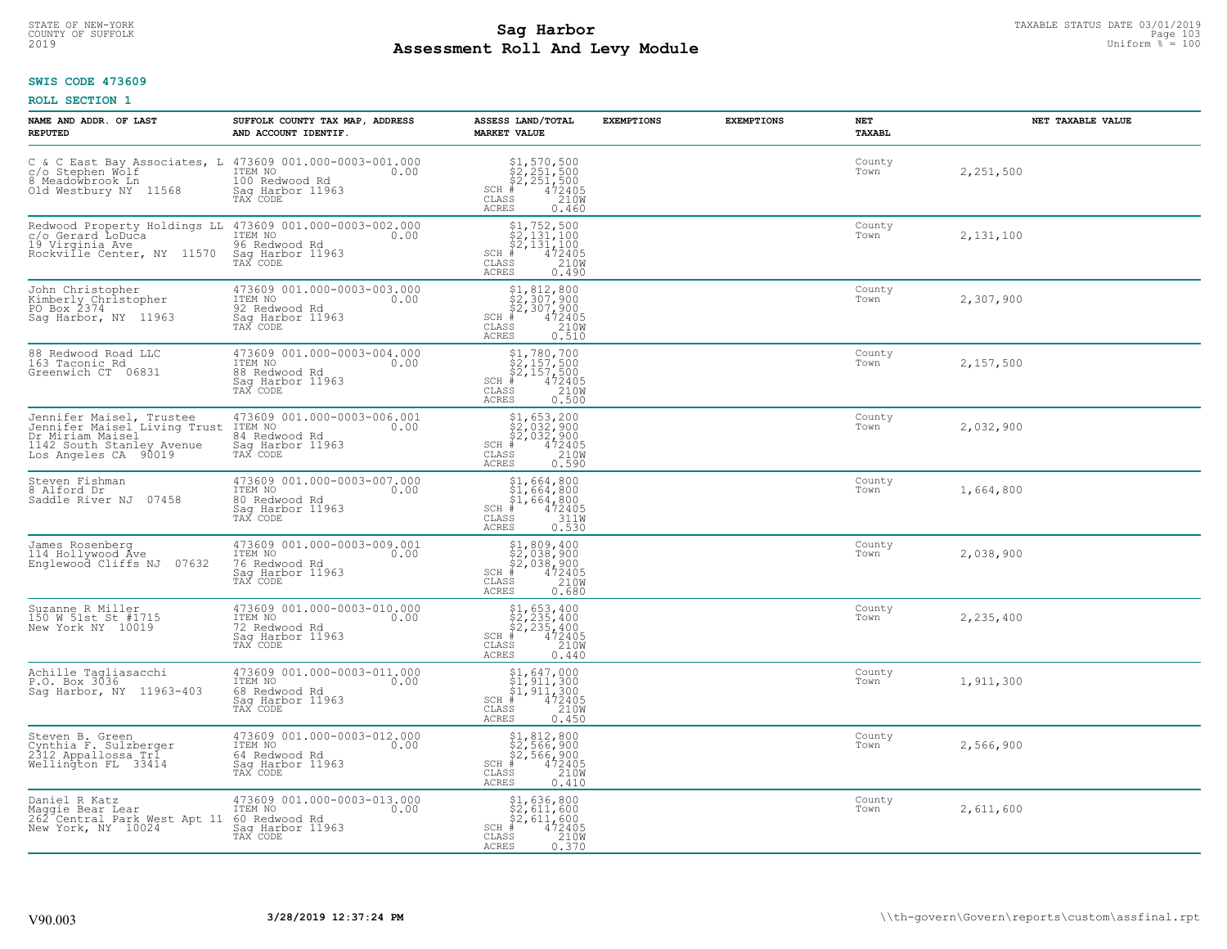## **Sag Harbor** TAXABLE STATUS DATE 03/01/2019<br>Pall and Louis Module **Assessment Roll And Levy Module** 2019 Uniform % = 100 COUNTY OF SUFFOLK Page 103

## **SWIS CODE 473609**

| NAME AND ADDR. OF LAST<br><b>REPUTED</b>                                                                                                       | SUFFOLK COUNTY TAX MAP, ADDRESS<br>AND ACCOUNT IDENTIF.                                                                                      | ASSESS LAND/TOTAL<br>MARKET VALUE                                                                                                  | <b>EXEMPTIONS</b> | <b>EXEMPTIONS</b> | NET<br>TAXABL  | NET TAXABLE VALUE |
|------------------------------------------------------------------------------------------------------------------------------------------------|----------------------------------------------------------------------------------------------------------------------------------------------|------------------------------------------------------------------------------------------------------------------------------------|-------------------|-------------------|----------------|-------------------|
| C & C East Bay Associates, L $473609001.000-0003-001.000$<br>c/o Stephen Wolf<br>8 Meadowbrook Ln 100 Redwood Rd 0.00<br>Old Westbury NY 11568 | Sag Harbor 11963<br>TAX CODE                                                                                                                 | $$2, 251, 500$<br>$$2, 251, 500$<br>$$2, 251, 500$<br>$472405$<br>$$210M$<br>SCH #<br>CLASS<br><b>ACRES</b><br>0.460               |                   |                   | County<br>Town | 2,251,500         |
| 19 Virginia Ave<br>Rockville Center, NY 11570                                                                                                  | Redwood Property Holdings LL 473609 001.000-0003-002.000<br>C/o Gerard LoDuca ITEM NO  0.00<br>96 Redwood Rd<br>Sag Harbor 11963<br>TAX CODE | $$2,131,100$<br>$$2,131,100$<br>$$2,131,100$<br>$4$<br>$472405$<br>$2100$<br>$$2,000$<br>$SCH$ #<br>CLASS<br><b>ACRES</b><br>0.490 |                   |                   | County<br>Town | 2,131,100         |
| John Christopher<br>Kimberly Christopher<br>PO Box 2374<br>Sag Harbor, NY 11963                                                                | 473609 001.000-0003-003.000<br>ITEM NO<br>0.00<br>92 Redwood Rd<br>Sag Harbor 11963<br>TAX CODE                                              | $$2,307,900$<br>$$2,307,900$<br>$$2,307,900$<br>$472405$<br>$$210M$<br>$SCH$ #<br>CLASS<br><b>ACRES</b><br>0.510                   |                   |                   | County<br>Town | 2,307,900         |
| 88 Redwood Road LLC<br>163 Taconic Rd<br>Greenwich CT 06831                                                                                    | 473609 001.000-0003-004.000<br>ITEM NO<br>0.00<br>88 Redwood Rd<br>Sag Harbor 11963<br>TAX CODE                                              | $$2,157,500$<br>$$2,157,500$<br>$$2,157,500$<br>$472405$<br>$$2100$<br>$SCH$ #<br>CLASS<br><b>ACRES</b><br>0.500                   |                   |                   | County<br>Town | 2,157,500         |
| Jennifer Maisel, Trustee<br>Jennifer Maisel Living Trust<br>Dr Miriam Maisel<br>1142 South Stanley Avenue<br>Los Angeles CA 90019              | 473609 001.000-0003-006.001<br>ITEM NO<br>0.00<br>84 Redwood Rd<br>Sag Harbor 11963<br>TAX CODE                                              | $$1,653,200$<br>$$2,032,900$<br>$$2,032,900$<br>$472405$<br>$$2100$<br>$$2100$<br>$SCH$ #<br>CLASS<br><b>ACRES</b><br>0.590        |                   |                   | County<br>Town | 2,032,900         |
| Steven Fishman<br>8 Alford Dr<br>07458<br>Saddle River NJ                                                                                      | 473609 001.000-0003-007.000<br>TTEM NO 0.00<br>80 Redwood Rd<br>Sag Harbor 11963<br>TAX CODE                                                 | $$1,664,800$<br>$$1,664,800$<br>$$1,664,800$<br>$472405$<br>$3110$<br>$SCH$ #<br>CLASS<br>0.530<br><b>ACRES</b>                    |                   |                   | County<br>Town | 1,664,800         |
| James Rosenberg<br>114 Hollywood Ave<br>Englewood Cliffs NJ 07632                                                                              | 473609 001.000-0003-009.001<br>TTEM NO 0.00<br>76 Redwood Rd<br>Sag Harbor 11963<br>TAX CODE                                                 | $$2,038,900$<br>$$2,038,900$<br>$$472405$<br>$$38$<br>$$210M$<br>$SCH$ #<br>CLASS<br>ACRES<br>0.680                                |                   |                   | County<br>Town | 2,038,900         |
| Suzanne R Miller<br>150 W 51st St #1715<br>New York NY 10019                                                                                   | 473609 001.000-0003-010.000<br>TTEM NO 0.00<br>72 Redwood Rd<br>Saq Harbor 11963<br>TAX CODE                                                 | $$2, 235, 400$<br>$$2, 235, 400$<br>$$472405$<br>$$35$<br>$$2100$<br>$$2100$<br>$SCH$ #<br>CLASS<br><b>ACRES</b><br>0.440          |                   |                   | County<br>Town | 2,235,400         |
| Achille Tagliasacchi<br>P.O. Box 3036<br>Saq Harbor, NY 11963-403                                                                              | 473609 001.000-0003-011.000<br>ITEM NO<br>0.00<br>68 Redwood Rd<br>Saq Harbor 11963<br>TAX CODE                                              | $$1, 647, 000$<br>$$1, 911, 300$<br>$$1, 911, 300$<br>$472405$<br>$$210M$<br>$SCH$ #<br>CLASS<br><b>ACRES</b><br>0.450             |                   |                   | County<br>Town | 1,911,300         |
| Steven B. Green<br>Cynthia F. Sulzberger<br>2312 Appallossa Tr1<br>Wellington FL 33414                                                         | 473609 001.000-0003-012.000<br>ITEM NO<br>0.00<br>64 Redwood Rd<br>Sag Harbor 11963<br>TAX CODE                                              | $$1, 812, 800$<br>$$2, 566, 900$<br>$$2, 566, 900$<br>$$472405$<br>$SCH$ #<br>CLASS<br>210W<br><b>ACRES</b><br>0.410               |                   |                   | County<br>Town | 2,566,900         |
| Daniel R Katz<br>Maggie Bear Lear<br>262 Central Park West Apt 11<br>New York, NY 10024                                                        | 473609 001.000-0003-013.000<br>ITEM NO<br>0.00<br>60 Redwood Rd<br>Sag Harbor 11963<br>TAX CODE                                              | \$1,636,800<br>\$2,611,600<br>\$2,611,600<br>$SCH$ #<br>472405<br>210W<br>CLASS<br><b>ACRES</b><br>0.370                           |                   |                   | County<br>Town | 2,611,600         |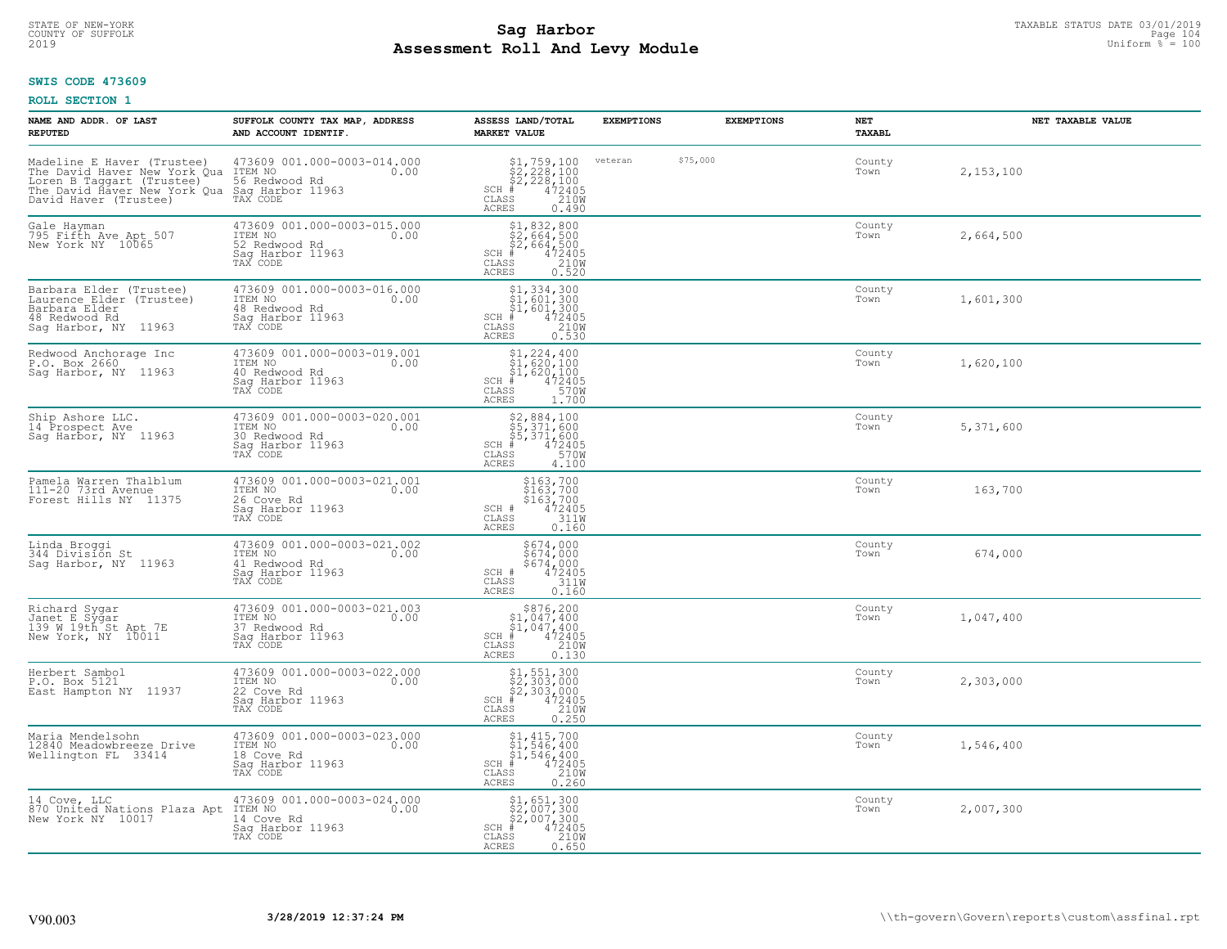## **Sag Harbor** TAXABLE STATUS DATE 03/01/2019<br>Pall and Louis Module **Assessment Roll And Levy Module** 2019 Uniform % = 100 COUNTY OF SUFFOLK Page 104

## **SWIS CODE 473609**

| NAME AND ADDR. OF LAST<br><b>REPUTED</b>                                                                                                                                                                                                              | SUFFOLK COUNTY TAX MAP, ADDRESS<br>AND ACCOUNT IDENTIF.                                              | ASSESS LAND/TOTAL<br><b>MARKET VALUE</b>                                                                                                                                                                                                                                                                                                                                                                                   | <b>EXEMPTIONS</b> |          | <b>EXEMPTIONS</b> | <b>NET</b><br>TAXABL | NET TAXABLE VALUE |
|-------------------------------------------------------------------------------------------------------------------------------------------------------------------------------------------------------------------------------------------------------|------------------------------------------------------------------------------------------------------|----------------------------------------------------------------------------------------------------------------------------------------------------------------------------------------------------------------------------------------------------------------------------------------------------------------------------------------------------------------------------------------------------------------------------|-------------------|----------|-------------------|----------------------|-------------------|
| Madeline E Haver (Trustee) 473609 001.000-0003-014.000<br>The David Haver New York Qua ITEM NO<br>Loren B Taggart (Trustee) 56 Redwood Rd<br>The David Haver New York Qua Saq Harbor 11963<br>David Haver (Trustee) TAX CODE<br>David Haver (Trustee) |                                                                                                      | $$2, 228, 100$<br>$$2, 228, 100$<br>$$472405$<br>$$2100$<br>$$2100$<br>$SCH$ $#$<br>CLASS<br><b>ACRES</b><br>0.490                                                                                                                                                                                                                                                                                                         | veteran           | \$75,000 |                   | County<br>Town       | 2,153,100         |
| Gale Hayman<br>795 Fifth Ave Apt 507<br>New York NY 10065                                                                                                                                                                                             | 473609 001.000-0003-015.000<br>ITEM NO<br>0.00<br>52 Redwood Rd<br>Sag Harbor 11963<br>TAX CODE      | $$2, 832, 800$<br>$$2, 664, 500$<br>$$2, 664, 500$<br>$472405$<br>$$210M$<br>$SCH$ #<br>CLASS<br><b>ACRES</b><br>0.520                                                                                                                                                                                                                                                                                                     |                   |          |                   | County<br>Town       | 2,664,500         |
| Barbara Elder (Trustee)<br>Laurence Elder (Trustee)<br>Barbara Elder<br>48 Redwood Rd<br>Sag Harbor, NY 11963                                                                                                                                         | 473609 001.000-0003-016.000<br>ITEM NO<br>0.00<br>48 Redwood Rd<br>Sag Harbor 11963<br>TAX CODE      | $$1,334,300$<br>$$1,601,300$<br>$$1,601,300$<br>$472405$<br>$2100$<br>$2100$<br>SCH #<br>CLASS<br><b>ACRES</b><br>0.530                                                                                                                                                                                                                                                                                                    |                   |          |                   | County<br>Town       | 1,601,300         |
| Redwood Anchorage Inc<br>P.O. Box 2660<br>Saq Harbor, NY 11963                                                                                                                                                                                        | 473609 001.000-0003-019.001<br>TTEM NO 0.00<br>0.00<br>40 Redwood Rd<br>Sag Harbor 11963<br>TAX CODE | $$1, 224, 400$<br>$$1, 620, 100$<br>$$1, 620, 100$<br>$472405$<br>$35$<br>$3700$<br>$SCH$ #<br>CLASS<br>ACRES<br>1,700                                                                                                                                                                                                                                                                                                     |                   |          |                   | County<br>Town       | 1,620,100         |
| Ship Ashore LLC.<br>14 Prospect Ave<br>Sag Harbor, NY 11963                                                                                                                                                                                           | 473609 001.000-0003-020.001<br>ITEM NO<br>0.00<br>30 Redwood Rd<br>Sag Harbor 11963<br>TAX CODE      | \$2,884,100<br>\$5,371,600<br>\$5,371,600<br>#472405<br>$SCH$ #<br>CLASS<br>570W<br><b>ACRES</b><br>4.100                                                                                                                                                                                                                                                                                                                  |                   |          |                   | County<br>Town       | 5,371,600         |
| Pamela Warren Thalblum<br>111-20 73rd Avenue<br>Forest Hills NY 11375                                                                                                                                                                                 | 473609 001.000-0003-021.001<br>ITEM NO<br>0.00<br>26 Cove Rd<br>Sag Harbor 11963<br>TAX CODE         | \$163,700<br>\$163,700<br>\$163,700<br>472405<br>311M<br>SCH #<br>CLASS<br><b>ACRES</b><br>0.160                                                                                                                                                                                                                                                                                                                           |                   |          |                   | County<br>Town       | 163,700           |
| Linda Broggi<br>344 División St<br>Sag Harbor, NY 11963                                                                                                                                                                                               | 473609 001.000-0003-021.002<br>ITEM NO 0.00<br>41 Redwood Rd<br>Sag Harbor 11963<br>TAX CODE         | \$674,000<br>\$674,000<br>\$674,000<br>472405<br>311W<br>SCH #<br>CLASS<br>ACRES<br>0.160                                                                                                                                                                                                                                                                                                                                  |                   |          |                   | County<br>Town       | 674,000           |
| Richard Sygar<br>Janet E Sygar<br>139 W 19th St Apt 7E<br>New York, NY 10011                                                                                                                                                                          | 473609 001.000-0003-021.003<br>TTEM NO 0.00<br>37 Redwood Rd<br>Saq Harbor 11963<br>TAX CODE         | $$876, 200$<br>$$1, 047, 400$<br>$$1, 047, 400$<br>$472405$<br>$$210M$<br>$SCH$ #<br>CLASS<br><b>ACRES</b><br>0.130                                                                                                                                                                                                                                                                                                        |                   |          |                   | County<br>Town       | 1,047,400         |
| Herbert Sambol<br>P.O. Box 5121<br>East Hampton NY 11937                                                                                                                                                                                              | 473609 001.000-0003-022.000<br>ITEM NO<br>0.00<br>22 Cove Rd<br>Saq Harbor 11963<br>TAX CODE         | $\begin{array}{l} \text{\$1$, $551$, $300$} \\ \text{\$2$, $303$, $000$} \\ \text{\$2$, $303$, $000$} \\ \text{\$4$} \\ \text{\$100$} \\ \text{\$1100$} \\ \text{\$12405} \\ \text{\$1300} \\ \text{\$1300} \\ \text{\$1400} \\ \text{\$1500} \\ \text{\$1600} \\ \text{\$1800} \\ \text{\$1900} \\ \text{\$1900} \\ \text{\$1900} \\ \text{\$1900} \\ \text{\$1900} \\ \text{\$1900}$<br>$SCH$ #<br>CLASS<br><b>ACRES</b> |                   |          |                   | County<br>Town       | 2,303,000         |
| Maria Mendelsohn<br>12840 Meadowbreeze Drive<br>Wellington FL 33414                                                                                                                                                                                   | 473609 001.000-0003-023.000<br>ITEM NO<br>0.00<br>18 Cove Rd<br>Sag Harbor 11963<br>TAX CODE         | $$1, 415, 700$<br>$$1, 546, 400$<br>$$1, 546, 400$<br>$SCH$ #<br>472405<br>210W<br>CLASS<br>ACRES<br>0.260                                                                                                                                                                                                                                                                                                                 |                   |          |                   | County<br>Town       | 1,546,400         |
| 14 Cove, LLC<br>870 United Nations Plaza Apt<br>New York NY 10017                                                                                                                                                                                     | 473609 001.000-0003-024.000<br>ITEM NO<br>0.00<br>14 Cove Rd<br>Sag Harbor 11963<br>TAX CODE         | $$1,651,300$<br>$$2,007,300$<br>$$2,007,300$<br>$SCH$ #<br>472405<br>210W<br>CLASS<br>ACRES<br>0.650                                                                                                                                                                                                                                                                                                                       |                   |          |                   | County<br>Town       | 2,007,300         |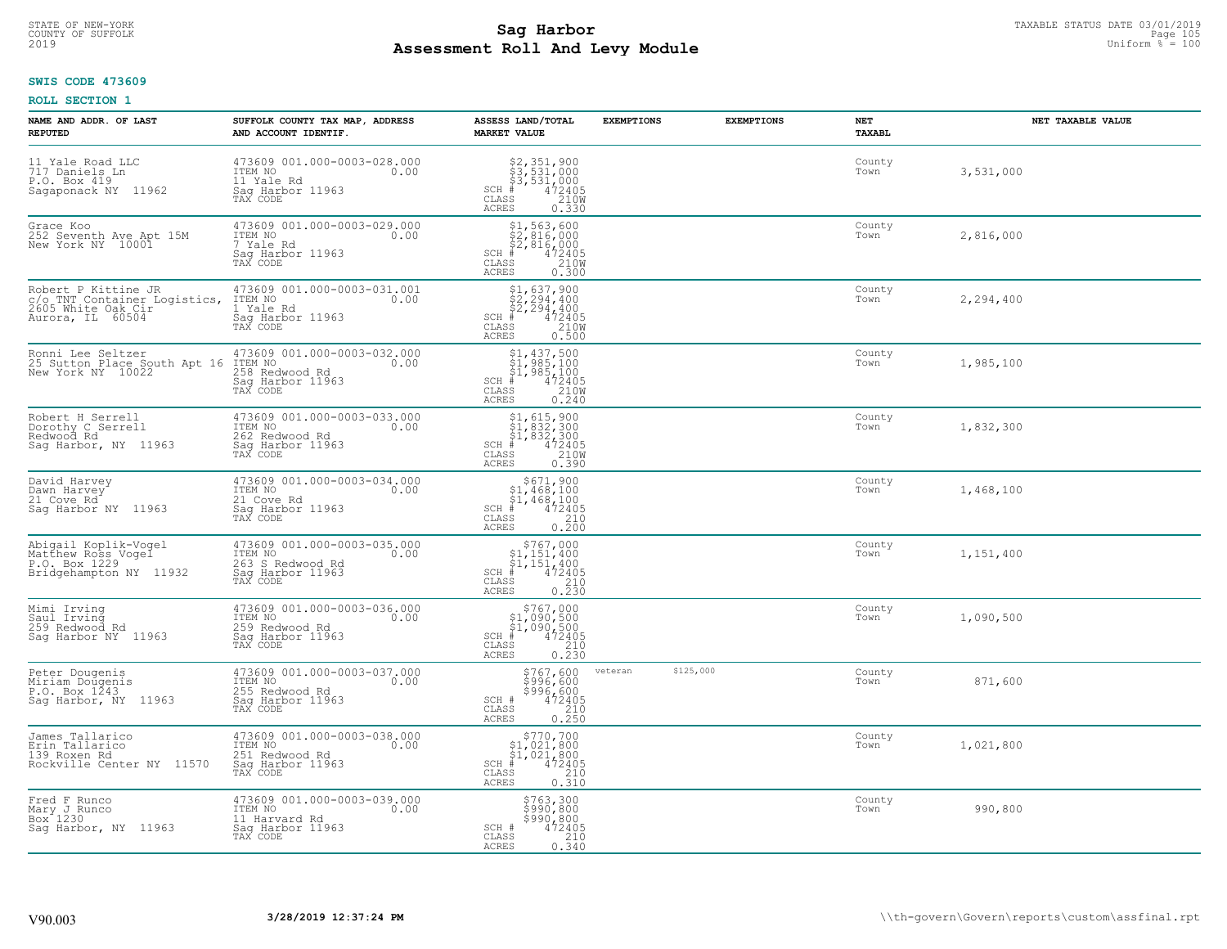# STATE OF NEW-YORK TAXABLE STATUS DATE 03/01/2019<br>COUNTY OF SUFFOLK Page 105 Page 105 **Assessment Roll And Levy Module** 2019 Uniform % = 100

## **SWIS CODE 473609**

| NAME AND ADDR. OF LAST<br><b>REPUTED</b>                                                      | SUFFOLK COUNTY TAX MAP, ADDRESS<br>AND ACCOUNT IDENTIF.                                            | ASSESS LAND/TOTAL<br><b>MARKET VALUE</b>                                                                                                                                                           | <b>EXEMPTIONS</b>    | <b>EXEMPTIONS</b> | NET<br><b>TAXABL</b> | NET TAXABLE VALUE |
|-----------------------------------------------------------------------------------------------|----------------------------------------------------------------------------------------------------|----------------------------------------------------------------------------------------------------------------------------------------------------------------------------------------------------|----------------------|-------------------|----------------------|-------------------|
| 11 Yale Road LLC<br>717 Daniels Ln<br>P.O. Box 419<br>Sagaponack NY 11962                     | 473609 001.000-0003-028.000<br>ITEM NO<br>0.00<br>11 Yale Rd<br>Sag Harbor 11963<br>TAX CODE       | \$2,351,900<br>\$3,531,000<br>\$3,531,000<br>#472405<br>\$5,210M<br>$SCH$ #<br>CLASS<br><b>ACRES</b><br>0.330                                                                                      |                      |                   | County<br>Town       | 3,531,000         |
| Grace Koo<br>252 Seventh Ave Apt 15M<br>New York NY 10001                                     | 473609 001.000-0003-029.000<br>ITEM NO<br>0.00<br>7 Yale Rd<br>Sag Harbor 11963<br>TAX CODE        | $$1, 563, 600$<br>$$2, 816, 000$<br>$$2, 816, 000$<br>$$472405$<br>$SCH$ #<br>CLASS<br>210W<br><b>ACRES</b><br>0.300                                                                               |                      |                   | County<br>Town       | 2,816,000         |
| Robert P Kittine JR<br>c/o_TNT Container Logistics,<br>2605 White Oak Cir<br>Aurora, IL 60504 | 473609 001.000-0003-031.001<br>ITEM NO<br>0.00<br>1 Yale Rd<br>Sag Harbor 11963<br>TAX CODE        | $$2, 294, 400$ $$2, 294, 400$ $$4, 294, 400$ $$472405$ $$2100$ $$2200$<br>$SCH$ #<br>CLASS<br><b>ACRES</b><br>0.500                                                                                |                      |                   | County<br>Town       | 2,294,400         |
| Ronni Lee Seltzer<br>25 Sutton Place South Apt 16<br>New York NY 10022                        | 473609 001.000-0003-032.000<br>ITEM NO<br>0.00<br>258 Redwood Rd<br>Sag Harbor 11963<br>TAX CODE   | $\begin{array}{l} \mathbf{\S}1,437,500 \\ \mathbf{\S}1,985,100 \\ \mathbf{\S}1,985,100 \\ \mathbf{\S}2100 \\ \mathbf{\S}0.240 \\ \mathbf{\S}0.240 \end{array}$<br>$SCH$ #<br>CLASS<br><b>ACRES</b> |                      |                   | County<br>Town       | 1,985,100         |
| Robert H Serrell<br>Dorothy C Serrell<br>Redwood Rd<br>Saq Harbor, NY 11963                   | 473609 001.000-0003-033.000<br>ITEM NO<br>0.00<br>262 Redwood Rd<br>Saq Harbor 11963<br>TAX CODE   | $$1, 615, 900$<br>$$1, 832, 300$<br>$$1, 832, 300$<br>$472405$<br>$$2100$<br>SCH #<br>CLASS<br><b>ACRES</b><br>0.390                                                                               |                      |                   | County<br>Town       | 1,832,300         |
| David Harvey<br>Dawn Harvey<br>21 Cove Rd<br>Sag Harbor NY 11963                              | 473609 001.000-0003-034.000<br>ITEM NO<br>0.00<br>21 Cove Rd<br>Sag Harbor 11963<br>TAX CODE       | $\begin{array}{c} $671,900\n$1,468,100\n$1,468,100\n# 472405 \end{array}$<br>SCH #<br>CLASS<br>$\begin{array}{c} 210 \\ 0.200 \end{array}$<br><b>ACRES</b>                                         |                      |                   | County<br>Town       | 1,468,100         |
| Abigail Koplik-Vogel<br>Matthew Ross Vogel<br>P.O. Box 1229<br>Bridgehampton NY 11932         | 473609 001.000-0003-035.000<br>ITEM NO<br>0.00<br>263 S Redwood Rd<br>Sag Harbor 11963<br>TAX CODE | $$767,000$<br>$$1,151,400$<br>$$1,151,400$<br>$$472405$<br>$SCH$ #<br>CLASS<br>$\frac{210}{0.230}$<br><b>ACRES</b>                                                                                 |                      |                   | County<br>Town       | 1,151,400         |
| Mimi Irving<br>Saul Irving<br>259 Redwood Rd<br>Sag Harbor NY 11963                           | 473609 001.000-0003-036.000<br>TTEM NO 0.00<br>259 Redwood Rd<br>Saq Harbor 11963<br>TAX CODE      | $$767,000$<br>$$1,090,500$<br>$$1,090,500$<br>$$472405$<br>$SCH$ #<br>CLASS<br>210<br>ACRES<br>0.230                                                                                               |                      |                   | County<br>Town       | 1,090,500         |
| Peter Dougenis<br>Miriam Doŭgenis<br>P.O. Box 1243<br>Saq Harbor, NY 11963                    | 473609 001.000-0003-037.000<br>TTEM NO 0.00<br>255 Redwood Rd<br>Saq Harbor 11963<br>TAX CODE      | \$767,600<br>\$996,600<br>\$996,600<br>\$996,600<br>SCH #<br>CLASS<br>210<br><b>ACRES</b><br>0.250                                                                                                 | \$125,000<br>veteran |                   | County<br>Town       | 871,600           |
| James Tallarico<br>Erin Tallarico<br>139 Roxen Rd<br>Rockville Center NY 11570                | 473609 001.000-0003-038.000<br>ITEM NO<br>0.00<br>251 Redwood Rd<br>Sag Harbor 11963<br>TAX CODE   | $\begin{array}{c} $770,700$ \\ $1,021,800$ \\ $1,021,800$ \\ $472405$ \end{array}$<br>SCH<br>210<br>CLASS<br>0.310<br><b>ACRES</b>                                                                 |                      |                   | County<br>Town       | 1,021,800         |
| Fred F Runco<br>Mary J Runco<br>Box 1230<br>Sag Harbor, NY 11963                              | 473609 001.000-0003-039.000<br>ITEM NO<br>0.00<br>11 Harvard Rd<br>Sag Harbor 11963<br>TAX CODE    | \$763,300<br>\$990,800<br>\$990,800<br>SCH #<br>472405<br>CLASS<br>210<br><b>ACRES</b><br>0.340                                                                                                    |                      |                   | County<br>Town       | 990,800           |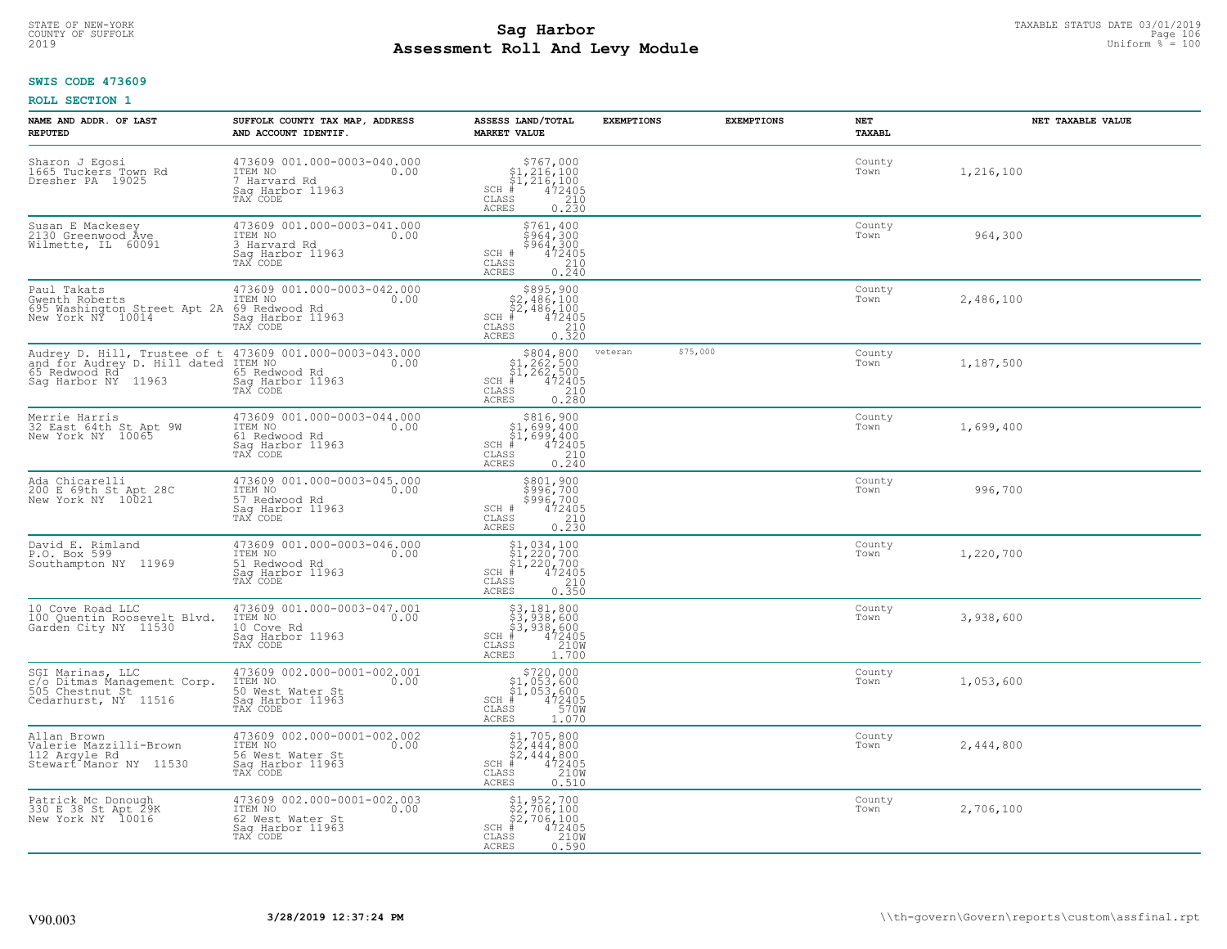# STATE OF NEW-YORK TAXABLE STATUS DATE 03/01/2019<br>COUNTY OF SUFFOLK Page 106 Page 106 **Assessment Roll And Levy Module** 2019 Uniform % = 100

## **SWIS CODE 473609**

| NAME AND ADDR. OF LAST<br><b>REPUTED</b>                                                                        | SUFFOLK COUNTY TAX MAP, ADDRESS<br>AND ACCOUNT IDENTIF.                                                                                                | ASSESS LAND/TOTAL<br><b>MARKET VALUE</b>                                                                                                                                                                 | <b>EXEMPTIONS</b> | <b>EXEMPTIONS</b> | NET<br>TAXABL  | NET TAXABLE VALUE |
|-----------------------------------------------------------------------------------------------------------------|--------------------------------------------------------------------------------------------------------------------------------------------------------|----------------------------------------------------------------------------------------------------------------------------------------------------------------------------------------------------------|-------------------|-------------------|----------------|-------------------|
| Sharon J Egosi<br>1665 Tuckers Town Rd<br>Dresher PA 19025                                                      | 473609 001.000-0003-040.000<br>ITEM NO<br>0.00<br>7 Harvard Rd<br>Saq Harbor 11963<br>TAX CODE                                                         | $\begin{array}{c} $767,000$ \\ $1,216,100$ \\ $1,216,100$ \\ \# & 472405\\ $85$ \\ $210$ \\ $25$ \\ $25$ \\ $230$ \\ $230$ \\ \end{array}$<br>$SCH$ #<br>CLASS<br>ACRES                                  |                   |                   | County<br>Town | 1,216,100         |
| Susan E Mackesey<br>2130 Greenwood Ave<br>Wilmette, IL 60091                                                    | 473609 001.000-0003-041.000<br>ITEM NO<br>0.00<br>3 Harvard Rd<br>Sag Harbor 11963<br>TAX CODE                                                         | \$761,400<br>3964,300<br>\$964,300<br>472405<br>SCH #<br>CLASS<br>0.210<br>ACRES                                                                                                                         |                   |                   | County<br>Town | 964,300           |
| Paul Takats<br>Gwenth Roberts<br>695 Washington Street Apt 2A 69 Redwood Rd<br>New York NY 10014 Sag Harbor 119 | 473609 001.000-0003-042.000<br>ITEM NO<br>0.00<br>Sag Harbor 11963<br>TAX CODE                                                                         | \$895,900<br>$$2,486,100$<br>$$2,486,100$<br>$*$ 472405<br>$=$ 210<br>$SCH$ #<br>CLASS<br>0.320<br><b>ACRES</b>                                                                                          |                   |                   | County<br>Town | 2,486,100         |
| 65 Redwood Rd <sup>-</sup><br>Sag Harbor NY 11963                                                               | Audrey D. Hill, Trustee of t 473609 001.000-0003-043.000<br>and for Audrey D. Hill dated ITEM NO 0.00<br>65 Redwood Rd<br>Saq Harbor 11963<br>TAX CODE | $$804, 800$<br>$$1, 262, 500$<br>$$1, 262, 500$<br>$472405$<br>$$210$<br>$SCH$ #<br>CLASS<br><b>ACRES</b><br>0.280                                                                                       | veteran           | \$75,000          | County<br>Town | 1,187,500         |
| Merrie Harris<br>32 East 64th St Apt 9W<br>New York NY 10065                                                    | 473609 001.000-0003-044.000<br>TTEM NO 0.00<br>0.00<br>61 Redwood Rd<br>Sag Harbor 11963<br>TAX CODE                                                   | $\begin{array}{c} \text{\tt \$816,900} \\ \text{\tt \$1,699,400} \\ \text{\tt \$1,699,400} \\ \text{\tt SCH} \\ \text{\tt CLAS} \\ \text{\tt ACRES} \\ \text{\tt ACRES} \\ \text{\tt 0.240} \end{array}$ |                   |                   | County<br>Town | 1,699,400         |
| Ada Chicarelli<br>200 E 69th St Apt 28C<br>New York NY 10021                                                    | 473609 001.000-0003-045.000<br>ITEM NO<br>0.00<br>57 Redwood Rd<br>Sag Harbor 11963<br>TAX CODE                                                        | \$801,900<br>\$996,700<br>\$996,700<br>472405<br>SCH #<br>210<br>CLASS<br>0.230<br><b>ACRES</b>                                                                                                          |                   |                   | County<br>Town | 996,700           |
| David E. Rimland<br>P.O. Box 599<br>Southampton NY 11969                                                        | 473609 001.000-0003-046.000<br>ITEM NO<br>0.00<br>51 Redwood Rd<br>Sag Harbor 11963<br>TAX CODE                                                        | $$1,034,100$<br>$$1,220,700$<br>$$1,220,700$<br>$$472405$<br>$SCH$ #<br>CLASS<br>210<br>0.350<br><b>ACRES</b>                                                                                            |                   |                   | County<br>Town | 1,220,700         |
| 10 Cove Road LLC<br>100 Quentin Roosevelt Blvd.<br>Garden City NY 11530                                         | 473609 001.000-0003-047.001<br>ITEM NO<br>0.00<br>10 Cove Rd<br>Saq Harbor 11963<br>TAX CODE                                                           | \$3,181,800<br>\$3,938,600<br>\$3,938,600<br># 472405<br>\$8 1210M<br>$SCH$ #<br>CLASS<br><b>ACRES</b><br>1.700                                                                                          |                   |                   | County<br>Town | 3,938,600         |
| SGI Marinas, LLC<br>c/o Ditmas Management Corp.<br>505 Chestnut St<br>Cedarhurst, NY 11516                      | 473609 002.000-0001-002.001<br>TTEM NO<br>50 West Water St<br>Saq Harbor 11963<br>TAX CODE<br>0.00                                                     | $$720,000$<br>$$1,053,600$<br>$$1,053,600$<br>$$1,053,600$<br>$472405$<br>$SCH$ #<br>CLASS<br>570W<br>ACRES<br>1.070                                                                                     |                   |                   | County<br>Town | 1,053,600         |
| Allan Brown<br>Valerie Mazzilli-Brown<br>112 Arqyle Rd<br>Stewart <sup>*</sup> Manor NY 11530                   | 473609 002.000-0001-002.002<br>ITEM NO<br>0.00<br>56 West Water St<br>Saq Harbor 11963<br>TAX CODE                                                     | $$2, 444, 800$<br>$$2, 444, 800$<br>$$2, 444, 800$<br>$$472405$<br>$SCH$ #<br>CLASS<br>210W<br>ACRES<br>0.510                                                                                            |                   |                   | County<br>Town | 2,444,800         |
| Patrick Mc Donough<br>330 E 38 St Apt 29K<br>New York NY 10016                                                  | 473609 002.000-0001-002.003<br>ITEM NO<br>0.00<br>62 West Water St<br>Sag Harbor 11963<br>TAX CODE                                                     | $\begin{array}{r} \texttt{\$1,\$952,\$700}\\ \texttt{\$2,\$706,\$100}\\ \texttt{\$2,\$706,\$100}\\ \texttt{\$4\$72405}\\ \texttt{\$s$} \end{array}$<br>$SCH$ #<br>CLASS<br>ACRES                         |                   |                   | County<br>Town | 2,706,100         |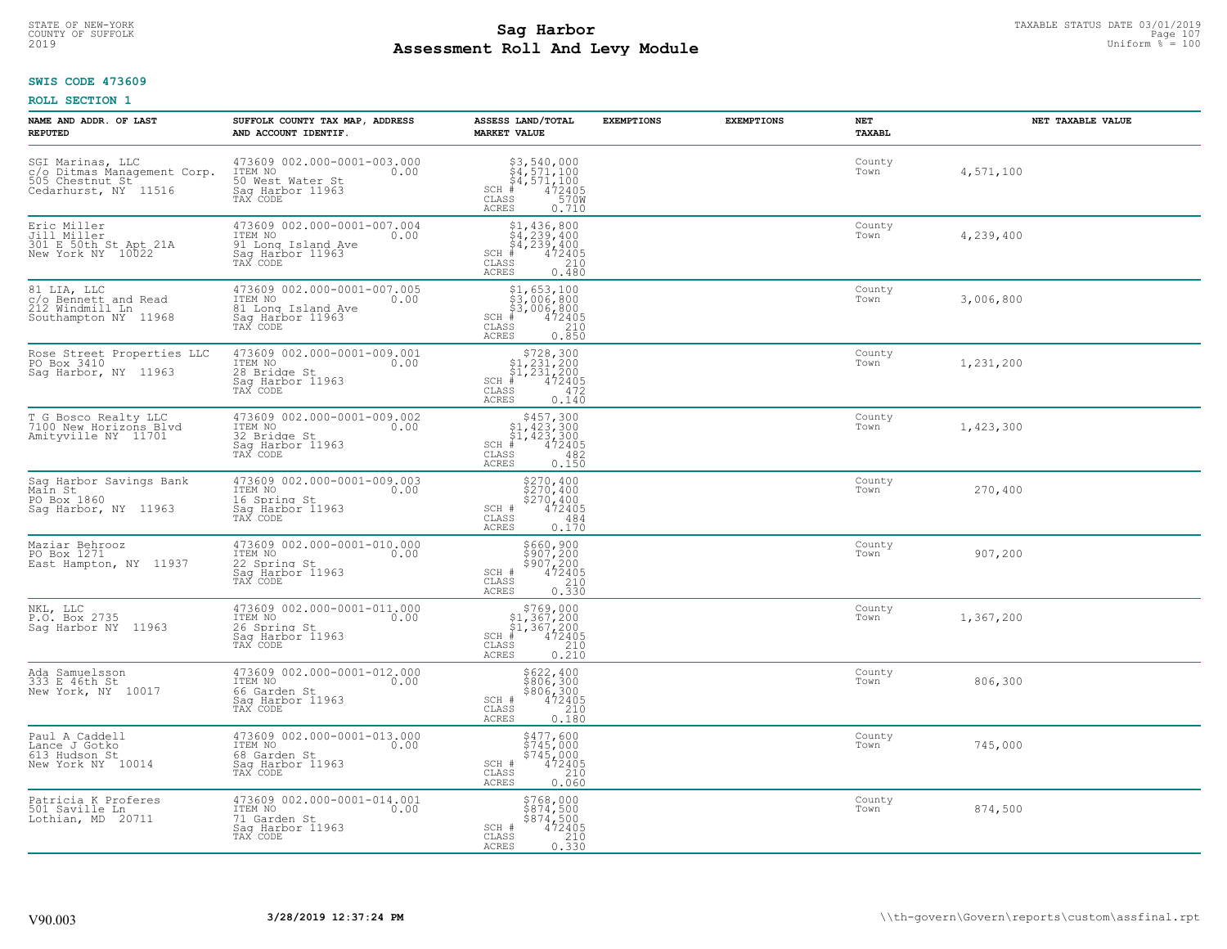## **Sag Harbor** TAXABLE STATUS DATE 03/01/2019<br>Pall and Louis Module **Assessment Roll And Levy Module** 2019 Uniform % = 100 COUNTY OF SUFFOLK Page 107

## **SWIS CODE 473609**

| NAME AND ADDR. OF LAST<br><b>REPUTED</b>                                                   | SUFFOLK COUNTY TAX MAP, ADDRESS<br>AND ACCOUNT IDENTIF.                                              | ASSESS LAND/TOTAL<br><b>MARKET VALUE</b>                                                                                                                                                        | <b>EXEMPTIONS</b> | <b>EXEMPTIONS</b> | NET<br>TAXABL  | NET TAXABLE VALUE |
|--------------------------------------------------------------------------------------------|------------------------------------------------------------------------------------------------------|-------------------------------------------------------------------------------------------------------------------------------------------------------------------------------------------------|-------------------|-------------------|----------------|-------------------|
| SGI Marinas, LLC<br>c/o Ditmas Management Corp.<br>505 Chestnut St<br>Cedarhurst, NY 11516 | 473609 002.000-0001-003.000<br>ITEM NO<br>0.00<br>50 West Water St<br>Sag Harbor 11963<br>TAX CODE   | $$3,540,000$<br>$$4,571,100$<br>$$4,571,100$<br>$472405$<br>$$570M$<br>SCH #<br>CLASS<br><b>ACRES</b><br>0.710                                                                                  |                   |                   | County<br>Town | 4,571,100         |
| Eric Miller<br>Jill Miller<br>301 E 50th St Apt 21A<br>New York NY 10022                   | 473609 002.000-0001-007.004<br>ITEM NO<br>0.00<br>91 Long Island Ave<br>Sag Harbor 11963<br>TAX CODE | $$4, 239, 400$<br>$$4, 239, 400$<br>$$4, 239, 400$<br>$472405$<br>$$210$<br>SCH #<br>CLASS<br><b>ACRES</b><br>0.480                                                                             |                   |                   | County<br>Town | 4,239,400         |
| 81 LIA, LLC<br>c/o Bennett and Read<br>212 Windmill Ln<br>Southampton NY 11968             | 473609 002.000-0001-007.005<br>ITEM NO<br>0.00<br>81 Long Island Ave<br>Sag Harbor 11963             | \$1,653,100<br>\$3,006,800<br>\$3,006,800<br># 472405<br>\$5 210<br>$SCH$ #<br>CLASS<br>ACRES<br>0.850                                                                                          |                   |                   | County<br>Town | 3,006,800         |
| Rose Street Properties LLC<br>PO Box 3410<br>Saq Harbor, NY 11963                          | 473609 002.000-0001-009.001<br>ITEM NO<br>0.00<br>28 Bridge St<br>Saq Harbor 11963<br>TAX CODE       | $$728,300$<br>$$1,231,200$<br>$$1,231,200$<br>$472405$<br>$472$<br>$SCH$ #<br>$\mathtt{CLASS}$<br><b>ACRES</b><br>0.140                                                                         |                   |                   | County<br>Town | 1,231,200         |
| T G Bosco Realty LLC<br>7100 New Horizons Blvd<br>Amityville NY 11701                      | 473609 002.000-0001-009.002<br>TTEM NO 0.00<br>32 Bridge St<br>Sag Harbor 11963<br>TAX CODE          | $$457,300$<br>$$1,423,300$<br>$$1,423,300$<br>$$472405$<br>$SCH$ #<br>$\mathtt{CLASS}$<br>482<br>0.150<br>ACRES                                                                                 |                   |                   | County<br>Town | 1,423,300         |
| Sag Harbor Savings Bank<br>Main St<br>PO Box 1860<br>Saq Harbor, NY 11963                  | 473609 002.000-0001-009.003<br>ITEM NO<br>0.00<br>16 Spring St<br>Sag Harbor 11963<br>TAX CODE       | \$270,400<br>\$270,400<br>\$270,400<br>\$270,400<br>SCH #<br>CLASS<br>484<br>0.170<br><b>ACRES</b>                                                                                              |                   |                   | County<br>Town | 270,400           |
| Maziar Behrooz<br>PO Box 1271<br>East Hampton, NY 11937                                    | 473609 002.000-0001-010.000<br>TTEM NO 0.00<br>22 Spring St<br>Sag Harbor 11963<br>TAX CODE          | \$660,900<br>\$907,200<br>\$907,200<br>\$907,200<br>0.330<br>0.330<br>SCH #<br>CLASS<br><b>ACRES</b>                                                                                            |                   |                   | County<br>Town | 907,200           |
| NKL, LLC<br>P.O. Box 2735<br>Sag Harbor NY 11963                                           | 473609 002.000-0001-011.000<br>ITEM NO<br>0.00<br>26 Spring St<br>Saq Harbor 11963<br>TAX CODE       | $\begin{array}{r}  \  \  \, 5769,000 \\  \  \, 51,367,200 \\  \  \, 51,367,200 \\  \  \  \, 472405 \\  \  \, 55 & 210 \\  \  \, 210 & \end{array}$<br>$SCH$ #<br>CLASS<br>0.210<br><b>ACRES</b> |                   |                   | County<br>Town | 1,367,200         |
| Ada Samuelsson<br>333 E 46th St<br>New York, NY 10017                                      | 473609 002.000-0001-012.000<br>ITEM NO 0.00<br>66 Garden St<br>Saq Harbor 11963<br>TAX CODE          | \$622,400<br>\$806,300<br>\$806,300<br>472405<br>210<br>SCH #<br>CLASS<br><b>ACRES</b><br>0.180                                                                                                 |                   |                   | County<br>Town | 806,300           |
| Paul A Caddell<br>Lance J Gotko<br>613 Hudson St<br>New York NY 10014                      | 473609 002.000-0001-013.000<br>ITEM NO<br>0.00<br>68 Garden St<br>Sag Harbor 11963<br>TAX CODE       | \$477,600<br>\$745,000<br>\$745,000<br>472405<br>SCH #<br>CLASS<br>210<br>0.060<br><b>ACRES</b>                                                                                                 |                   |                   | County<br>Town | 745,000           |
| Patricia K Proferes<br>501 Saville Ln<br>Lothian, MD 20711                                 | 473609 002.000-0001-014.001<br>ITEM NO<br>0.00<br>71 Garden St<br>Sag Harbor 11963<br>TAX CODE       | \$768,000<br>\$874,500<br>\$874,500<br>SCH #<br>472405<br>CLASS<br>210<br>0.330<br>ACRES                                                                                                        |                   |                   | County<br>Town | 874,500           |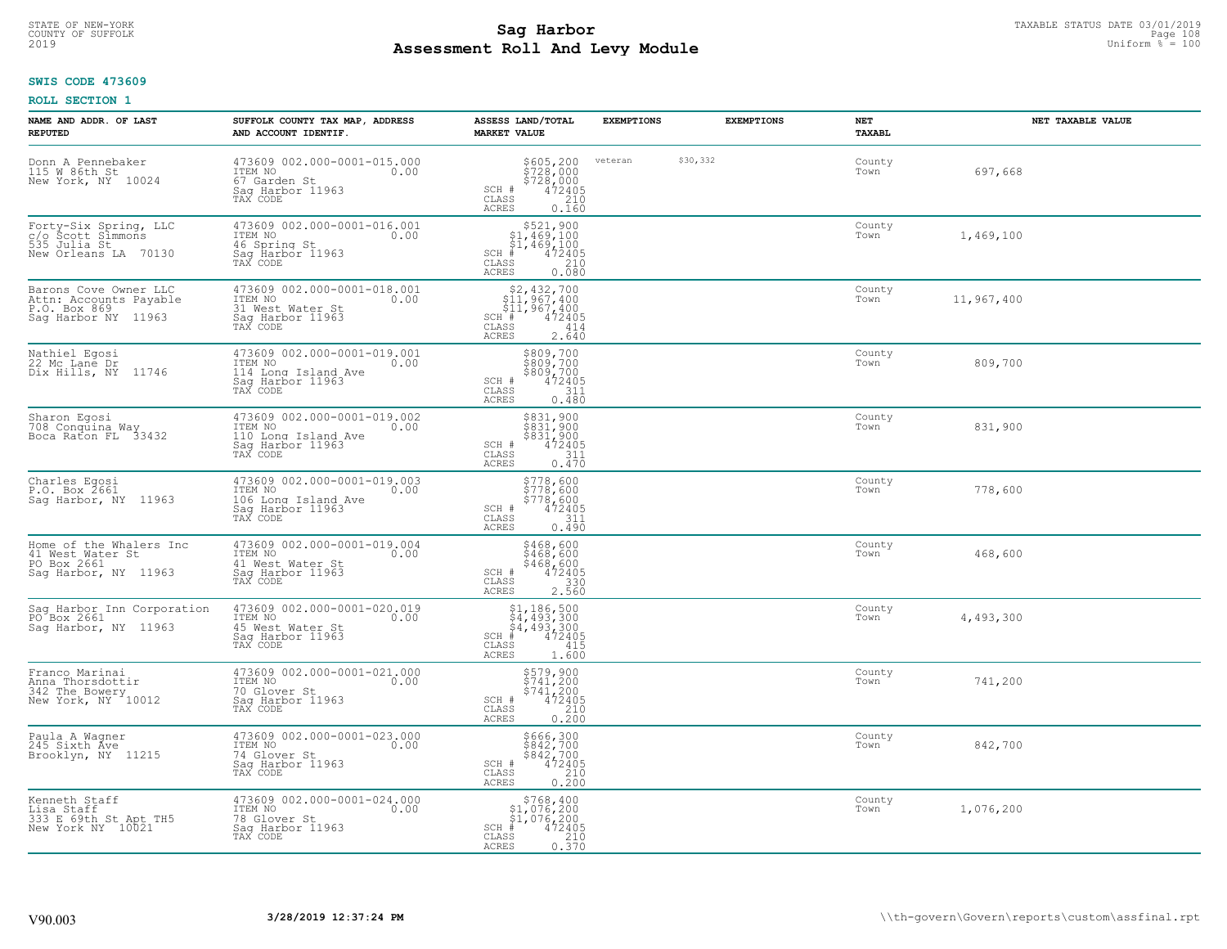# STATE OF NEW-YORK TAXABLE STATUS DATE 03/01/2019<br>COUNTY OF SUFFOLK Page 108 Page 108 **Assessment Roll And Levy Module** 2019 Uniform % = 100

## **SWIS CODE 473609**

| NAME AND ADDR. OF LAST<br><b>REPUTED</b>                                               | SUFFOLK COUNTY TAX MAP, ADDRESS<br>AND ACCOUNT IDENTIF.                                               | ASSESS LAND/TOTAL<br><b>MARKET VALUE</b>                                                                                                                                                                       | <b>EXEMPTIONS</b> | <b>EXEMPTIONS</b> | NET<br>TAXABL  | NET TAXABLE VALUE |
|----------------------------------------------------------------------------------------|-------------------------------------------------------------------------------------------------------|----------------------------------------------------------------------------------------------------------------------------------------------------------------------------------------------------------------|-------------------|-------------------|----------------|-------------------|
| Donn A Pennebaker<br>115 W 86th St<br>New York, NY 10024                               | 473609 002.000-0001-015.000<br>ITEM NO<br>0.00<br>67 Garden St<br>Saq Harbor 11963<br>TAX CODE        | \$605,200<br>\$728,000<br>$$728,000$<br>472405<br>210<br>SCH #<br>$\mathtt{CLASS}$<br>ACRES<br>0.160                                                                                                           | veteran           | \$30,332          | County<br>Town | 697,668           |
| Forty-Six Spring, LLC<br>c/o Scott Simmons<br>535 Julia St<br>New Orleans LA 70130     | 473609 002.000-0001-016.001<br>ITEM NO<br>0.00<br>46 Spring St<br>Sag Harbor 11963<br>TAX CODE        | $$521,900$<br>$$1,469,100$<br>$$1,469,100$<br>$$472405$<br>$SCH$ #<br>CLASS<br>$\begin{array}{c} 210 \\ 0.080 \end{array}$<br><b>ACRES</b>                                                                     |                   |                   | County<br>Town | 1,469,100         |
| Barons Cove Owner LLC<br>Attn: Accounts Payable<br>P.O. Box 869<br>Sag Harbor NY 11963 | 473609 002.000-0001-018.001<br>ITEM NO<br>0.00<br>31 West Water St<br>Sag Harbor 11963<br>TAX CODE    | $$2,432,700$<br>$$11,967,400$<br>$$11,967,400$<br>$$11,967,400$<br>$$11,967,400$<br>SCH #<br>CLASS<br>414<br>2.640<br>ACRES                                                                                    |                   |                   | County<br>Town | 11,967,400        |
| Nathiel Egosi<br>22 Mc Lané Dr<br>Dix Hills, NY 11746                                  | 473609 002.000-0001-019.001<br>ITEM NO<br>0.00<br>114 Long Island Ave<br>Saq Harbor 11963<br>TAX CODE | \$809,700<br>\$809,700<br>\$809,700<br>SCH #<br>$\frac{472405}{311}$<br>CLASS<br><b>ACRES</b><br>0.480                                                                                                         |                   |                   | County<br>Town | 809,700           |
| Sharon Egosi<br>708 Conquina Way<br>Boca Raton FL 33432                                | 473609 002.000-0001-019.002<br>ITEM NO<br>0.00<br>110 Long Island Ave<br>Saq Harbor 11963<br>TAX CODE | \$831,900<br>$\frac{5831,900}{831,900}$<br>$\frac{472405}{72405}$<br>SCH #<br>31ĭ<br>CLASS<br>0.470<br>ACRES                                                                                                   |                   |                   | County<br>Town | 831,900           |
| Charles Egosi<br>P.O. Box 2661<br>Sag Harbor, NY 11963                                 | 473609 002.000-0001-019.003<br>ITEM NO<br>0.00<br>106 Long Island Ave<br>Sag Harbor 11963<br>TAX CODE | \$778,600<br>\$778,600<br>\$778,600<br>\$778,600<br>SCH #<br>CLASS<br>311<br><b>ACRES</b><br>0.490                                                                                                             |                   |                   | County<br>Town | 778,600           |
| Home of the Whalers Inc<br>41 West Water St<br>PO Box 2661<br>Saq Harbor, NY 11963     | 473609 002.000-0001-019.004<br>ITEM NO<br>0.00<br>41 West Water St<br>Sag Harbor 11963<br>TAX CODE    | \$468,600<br>\$468,600<br>\$468,600<br>SCH #<br>472405<br>$\mathtt{CLASS}$<br>330<br>2.560<br>ACRES                                                                                                            |                   |                   | County<br>Town | 468,600           |
| Sag Harbor Inn Corporation<br>PO Box 2661<br>Saq Harbor, NY 11963                      | 473609 002.000-0001-020.019<br>TTEM NO 0.00<br>45 West Water St<br>Saq Harbor 11963<br>TAX CODE       | $$1, 186, 500$<br>$$4, 493, 300$<br>$$4, 493, 300$<br>$$4, 493, 300$<br>$$4, 72405$<br>$SCH$ #<br>CLASS<br>415<br><b>ACRES</b><br>1.600                                                                        |                   |                   | County<br>Town | 4,493,300         |
| Franco Marinai<br>Anna Thorsdottir<br>342 The Bowery<br>New York, NY 10012             | 473609 002.000-0001-021.000<br>ITEM NO 0.00<br>70 Glover St<br>Saq Harbor 11963<br>TAX CODE           | \$579,900<br>\$741,200<br>\$741,200<br>SCH #<br>472405<br>CLASS<br>210<br><b>ACRES</b><br>0.200                                                                                                                |                   |                   | County<br>Town | 741,200           |
| Paula A Wagner<br>245 Sixth Áve<br>Brooklyn, NY 11215                                  | 473609 002.000-0001-023.000<br>ITEM NO<br>0.00<br>74 Glover St<br>Sag Harbor 11963<br>TAX CODE        | \$666,300<br>\$842,700<br>\$842,700<br>472405<br>SCH #<br>CLASS<br>210<br>0.200<br>ACRES                                                                                                                       |                   |                   | County<br>Town | 842,700           |
| Kenneth Staff<br>Lisa Staff<br>333 E 69th St Apt TH5<br>New York NY 10021              | 473609 002.000-0001-024.000<br>ITEM NO<br>0.00<br>78 Glover St<br>Sag Harbor 11963<br>TAX CODE        | $\begin{array}{r}  \  \  \, 5768,400\\  \  \  51,076,200\\  \  \  51,076,200\\  \  \  \, 472405\\ \text{ss} \\  \  \  \, 210\\ \text{ss} \\  \  \  \, 0.370\\ \end{array}$<br>$SCH$ #<br>CLASS<br><b>ACRES</b> |                   |                   | County<br>Town | 1,076,200         |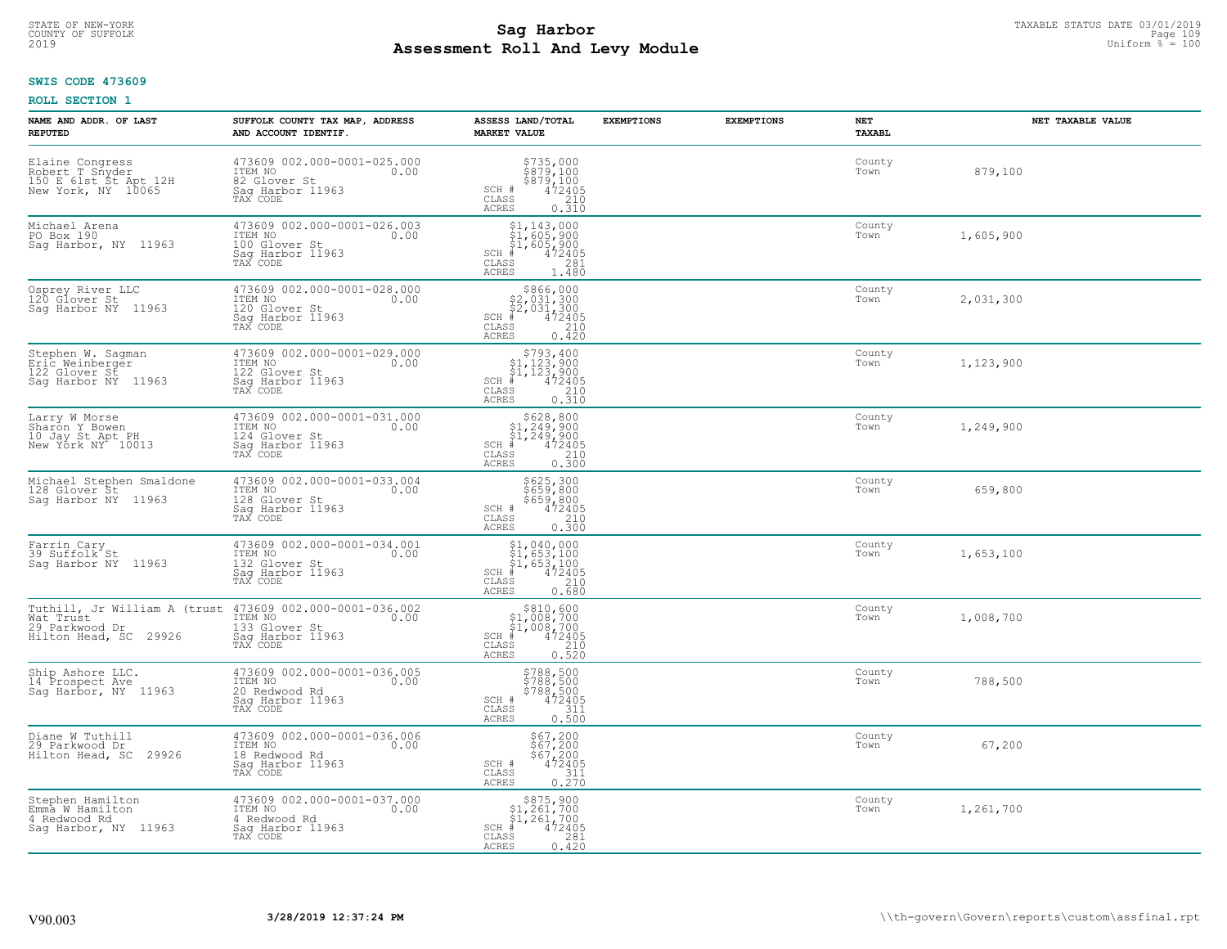# **SWIS CODE 473609**

| NAME AND ADDR. OF LAST<br><b>REPUTED</b>                                          | SUFFOLK COUNTY TAX MAP, ADDRESS<br>AND ACCOUNT IDENTIF.                                                                                | ASSESS LAND/TOTAL<br><b>MARKET VALUE</b>                                                                                                                                                                     | <b>EXEMPTIONS</b> | <b>EXEMPTIONS</b> | NET<br>TAXABL  | NET TAXABLE VALUE |
|-----------------------------------------------------------------------------------|----------------------------------------------------------------------------------------------------------------------------------------|--------------------------------------------------------------------------------------------------------------------------------------------------------------------------------------------------------------|-------------------|-------------------|----------------|-------------------|
| Elaine Congress<br>Robert T Snyder<br>150 E 61st St Apt 12H<br>New York, NY 10065 | 473609 002.000-0001-025.000<br>ITEM NO<br>0.00<br>82 Glover St<br>Saq Harbor 11963<br>TAX CODE                                         | $\begin{array}{c} $735,000 $879,100 $879,100 472405 210 210 \end{array}$<br>SCH #<br>CLASS<br><b>ACRES</b><br>0.310                                                                                          |                   |                   | County<br>Town | 879,100           |
| Michael Arena<br>PO Box 190<br>Sag Harbor, NY 11963                               | 473609 002.000-0001-026.003<br>ITEM NO<br>0.00<br>100 Glover St<br>Saq Harbor 11963<br>TAX CODE                                        | \$1,143,000<br>\$1,605,900<br>\$1,605,900<br>472405<br>$SCH$ #<br>CLASS<br>281<br><b>ACRES</b><br>1.480                                                                                                      |                   |                   | County<br>Town | 1,605,900         |
| Osprey River LLC<br>120 Glover St<br>Sag Harbor NY 11963                          | 473609 002.000-0001-028.000<br>ITEM NO<br>0.00<br>120 Glover St<br>Sag Harbor 11963<br>TAX CODE                                        | \$866,000<br>$$2,031,300$<br>$$2,031,300$<br>$472405$<br>$SCH$ #<br>CLASS<br>210<br>0.420<br>ACRES                                                                                                           |                   |                   | County<br>Town | 2,031,300         |
| Stephen W. Sagman<br>Eric Weinberger<br>122 Glover St<br>Saq Harbor NY 11963      | 473609 002.000-0001-029.000<br>ITEM NO<br>0.00<br>122 Glover St<br>Sag Harbor 11963<br>TAX CODE                                        | $\begin{array}{r}  \  \  \, 5793,400\\  \  \  51,123,900\\  \  \  51,123,900\\  \  \  \, 472405\\  \  \  \, 55\\  \  \  \, 210\\  \  \  \, 210\\  \  \  \, 0.310\\ \end{array}$<br>$SCH$ #<br>CLASS<br>ACRES |                   |                   | County<br>Town | 1,123,900         |
| Larry W Morse<br>Sharon Y Bowen<br>10 Jay St Apt PH<br>New York NY 10013          | 473609 002.000-0001-031.000<br>ITEM NO<br>0.00<br>124 Glover St<br>Sag Harbor 11963<br>TAX CODE                                        | $$628, 800$<br>$$1, 249, 900$<br>$$1, 249, 900$<br>$472405$<br>$$210$<br>$SCH$ #<br>CLASS<br>0.300<br><b>ACRES</b>                                                                                           |                   |                   | County<br>Town | 1,249,900         |
| Michael Stephen Smaldone<br>128 Glover St<br>Saq Harbor NY 11963                  | 473609 002.000-0001-033.004<br>ITEM NO<br>0.00<br>128 Glover St<br>Sag Harbor 11963<br>TAX CODE                                        | \$625,300<br>\$659,800<br>\$659,800<br>472405<br>SCH #<br>CLASS<br>$\begin{array}{c} 210 \\ 0.300 \end{array}$<br><b>ACRES</b>                                                                               |                   |                   | County<br>Town | 659,800           |
| Farrin Cary<br>39 Suffolk St<br>Saq Harbor NY 11963                               | 473609 002.000-0001-034.001<br>ITEM NO<br>132 Glover St<br>Sag Harbor 11963<br>0.00<br>TAX CODE                                        | $$1,040,000$<br>$$1,653,100$<br>$$1,653,100$<br>$$472405$<br>$SCH$ #<br>CLASS<br>210<br><b>ACRES</b><br>0.680                                                                                                |                   |                   | County<br>Town | 1,653,100         |
| Wat Trust<br>29 Parkwood Dr<br>Hilton Head, SC 29926                              | Tuthill, Jr William A (trust 473609 002.000-0001-036.002<br>Wat Trust 178M NO 1000.00<br>133 Glover St<br>Sag Harbor 11963<br>TAX CODE | $\begin{array}{c} $810, 600 $1,008,700 $1,008,700 $472405 \end{array}$<br>SCH #<br>CLASS<br>210<br><b>ACRES</b><br>0.520                                                                                     |                   |                   | County<br>Town | 1,008,700         |
| Ship Ashore LLC.<br>14 Prospect Ave<br>Sag Harbor, NY 11963                       | 473609 002.000-0001-036.005<br>TTEM NO 0.00<br>20 Redwood Rd<br>Sag Harbor 11963<br>TAX CODE                                           | \$788,500<br>\$788,500<br>\$788,500<br>\$788,500<br>SCH #<br>CLASS<br>311<br><b>ACRES</b><br>0.500                                                                                                           |                   |                   | County<br>Town | 788,500           |
| Diane W Tuthill<br>29 Parkwood Dr<br>Hilton Head, SC 29926                        | 473609 002.000-0001-036.006<br>ITEM NO<br>0.00<br>18 Redwood Rd<br>Sag Harbor 11963<br>TAX CODE                                        | \$67,200<br>\$67,200<br>\$67,200<br>472405<br>SCH #<br>311<br>CLASS<br><b>ACRES</b><br>0.270                                                                                                                 |                   |                   | County<br>Town | 67,200            |
| Stephen Hamilton<br>Emma W Hamilton<br>4 Redwood Rd<br>Saq Harbor, NY 11963       | 473609 002.000-0001-037.000<br>ITEM NO<br>0.00<br>4 Redwood Rd<br>Sag Harbor 11963<br>TAX CODE                                         | $\begin{array}{c} $875,900 \\ $1,261,700 \\ $1,261,700 \end{array}$<br>$SCH$ #<br>472405<br>CLASS<br>281<br><b>ACRES</b><br>0.420                                                                            |                   |                   | County<br>Town | 1,261,700         |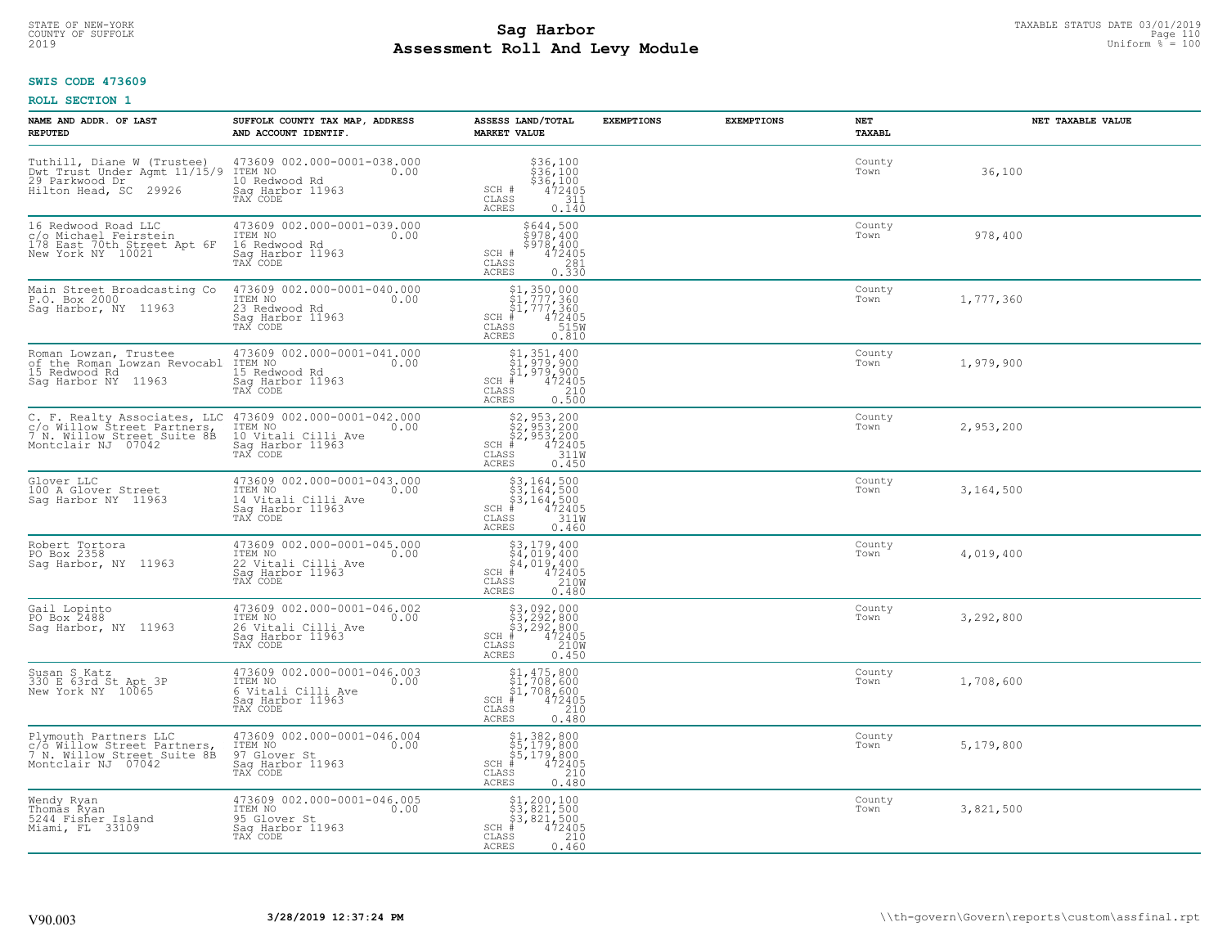## **Sag Harbor**<br>**Poll And Low Module Assessment Roll And Levy Module** 2019 Uniform % = 100 COUNTY OF SUFFOLK Page 110

#### **SWIS CODE 473609**

| NAME AND ADDR. OF LAST<br><b>REPUTED</b>                                                                         | SUFFOLK COUNTY TAX MAP, ADDRESS<br>AND ACCOUNT IDENTIF.                                               | ASSESS LAND/TOTAL<br><b>MARKET VALUE</b>                                                                                       | <b>EXEMPTIONS</b> | <b>EXEMPTIONS</b> | <b>NET</b><br><b>TAXABL</b> | NET TAXABLE VALUE |
|------------------------------------------------------------------------------------------------------------------|-------------------------------------------------------------------------------------------------------|--------------------------------------------------------------------------------------------------------------------------------|-------------------|-------------------|-----------------------------|-------------------|
| Tuthill, Diane W (Trustee)<br>Dwt Trust Under Agmt 11/15/9<br>29 Parkwood Dr<br>Hilton Head, SC 29926            | 473609 002.000-0001-038.000<br>ITEM NO<br>0.00<br>10 Redwood Rd<br>Sag Harbor 11963<br>TAX CODE       | $$36,100$<br>$$36,100$<br>$$36,100$<br>$$472405$<br>$$311$<br>SCH #<br>CLASS<br><b>ACRES</b><br>0.140                          |                   |                   | County<br>Town              | 36,100            |
| 16 Redwood Road LLC<br>c/o Michael Feirstein<br>178 East 70th Street Apt 6F<br>New York NY 10021                 | 473609 002.000-0001-039.000<br>ITEM NO<br>0.00<br>16 Redwood Rd<br>Sag Harbor 11963<br>TAX CODE       | \$644,500<br>\$978,400<br>\$978,400<br>SCH #<br>472405<br>CLASS<br>281<br>ACRES<br>0.330                                       |                   |                   | County<br>Town              | 978,400           |
| Main Street Broadcasting Co<br>P.O. Box 2000<br>Sag Harbor, NY 11963                                             | 473609 002.000-0001-040.000<br>ITEM NO<br>0.00<br>23 Redwood Rd<br>Sag Harbor 11963<br>TAX CODE       | \$1,350,000<br>\$1,777,360<br>\$1,777,360<br>#472405<br>$SCH$ #<br>CLASS<br>515W<br>ACRES<br>0.810                             |                   |                   | County<br>Town              | 1,777,360         |
| Roman Lowzan, Trustee<br>of the Roman Lowzan Revocabl ITEM NO<br>15 Redwood Rd<br>Saq Harbor NY 11963            | 473609 002.000-0001-041.000<br>0.00<br>15 Redwood Rd<br>Saq Harbor 11963<br>TAX CODE                  | \$1,351,400<br>\$1,979,900<br>$\frac{1}{4}$ , 979, 900<br>$\frac{1}{4}$ 472405<br>$SCH$ #<br>CLASS<br>0.500<br>ACRES           |                   |                   | County<br>Town              | 1,979,900         |
| C. F. Realty Associates, LLC<br>c/o Willow Street Partners,<br>7 N. Willow Street Suite 8B<br>Montclair NJ 07042 | 473609 002.000-0001-042.000<br>ITEM NO<br>0.00<br>10 Vitali Cilli Ave<br>Saq Harbor 11963             | \$2,953,200<br>\$2,953,200<br>\$2,953,200<br>#472405<br>\$5 311W<br>$SCH$ #<br>CLASS<br>ACRES<br>0.450                         |                   |                   | County<br>Town              | 2,953,200         |
| Glover LLC<br>100 A Glover Street<br>Saq Harbor NY 11963                                                         | 473609 002.000-0001-043.000<br>ITEM NO<br>0.00<br>14 Vitali Cilli Ave<br>Sag Harbor 11963<br>TAX CODE | \$3,164,500<br>\$3,164,500<br>\$3,164,500<br>#472405<br>\$5 311M<br>$SCH$ #<br>CLASS<br><b>ACRES</b><br>0.460                  |                   |                   | County<br>Town              | 3,164,500         |
| Robert Tortora<br>PO Box 2358<br>Saq Harbor, NY 11963                                                            | 473609 002.000-0001-045.000<br>ITEM NO<br>0.00<br>22 Vitali Cilli Ave<br>Sag Harbor 11963<br>TAX CODE | $$3, 179, 400$<br>$$4, 019, 400$<br>$$4, 019, 400$<br>$$4, 019, 400$<br>$472405$<br>$SCH$ #<br>210W<br>CLASS<br>ACRES<br>0.480 |                   |                   | County<br>Town              | 4,019,400         |
| Gail Lopinto<br>PO Box 2488<br>Saq Harbor, NY 11963                                                              | 473609 002.000-0001-046.002<br>TTEM NO 0.00<br>26 Vitali Cilli Ave<br>Saq Harbor 11963<br>TAX CODE    | \$3,092,000<br>\$3,292,800<br>\$3,292,800<br>#472405<br>$SCH$ #<br>CLASS<br>210W<br><b>ACRES</b><br>0.450                      |                   |                   | County<br>Town              | 3,292,800         |
| Susan S Katz<br>330 E 63rd St Apt 3P<br>New York NY 10065                                                        | 473609 002.000-0001-046.003<br>ITEM NO 0.00<br>6 Vitali Cilli Ave<br>Saq Harbor 11963                 | $$1, 475, 800$<br>$$1, 708, 600$<br>$$1, 708, 600$<br>$*$ 472405<br>$SCH$ #<br>CLASS<br>210<br><b>ACRES</b><br>0.480           |                   |                   | County<br>Town              | 1,708,600         |
| Plymouth Partners LLC<br>c/o Willow Street Partners,<br>7 N. Willow Street Suite 8B<br>Montclair NJ 07042        | 473609 002.000-0001-046.004<br>ITEM NO<br>0.00<br>97 Glover St<br>Saq Harbor 11963<br>TAX CODE        | \$1,382,800<br>\$5,179,800<br>\$5,179,800<br>#472405<br>SCH<br>210<br>CLASS<br><b>ACRES</b><br>0.480                           |                   |                   | County<br>Town              | 5,179,800         |
| Wendy Ryan<br>Thomas Ryan<br>5244 Fisher Island<br>Miami, FL 33109                                               | 473609 002.000-0001-046.005<br>ITEM NO<br>0.00<br>95 Glover St<br>Saq Harbor 11963<br>TAX CODE        | \$1,200,100<br>\$3,821,500<br>\$3,821,500<br>$SCH$ #<br>472405<br>210<br>CLASS<br><b>ACRES</b><br>0.460                        |                   |                   | County<br>Town              | 3,821,500         |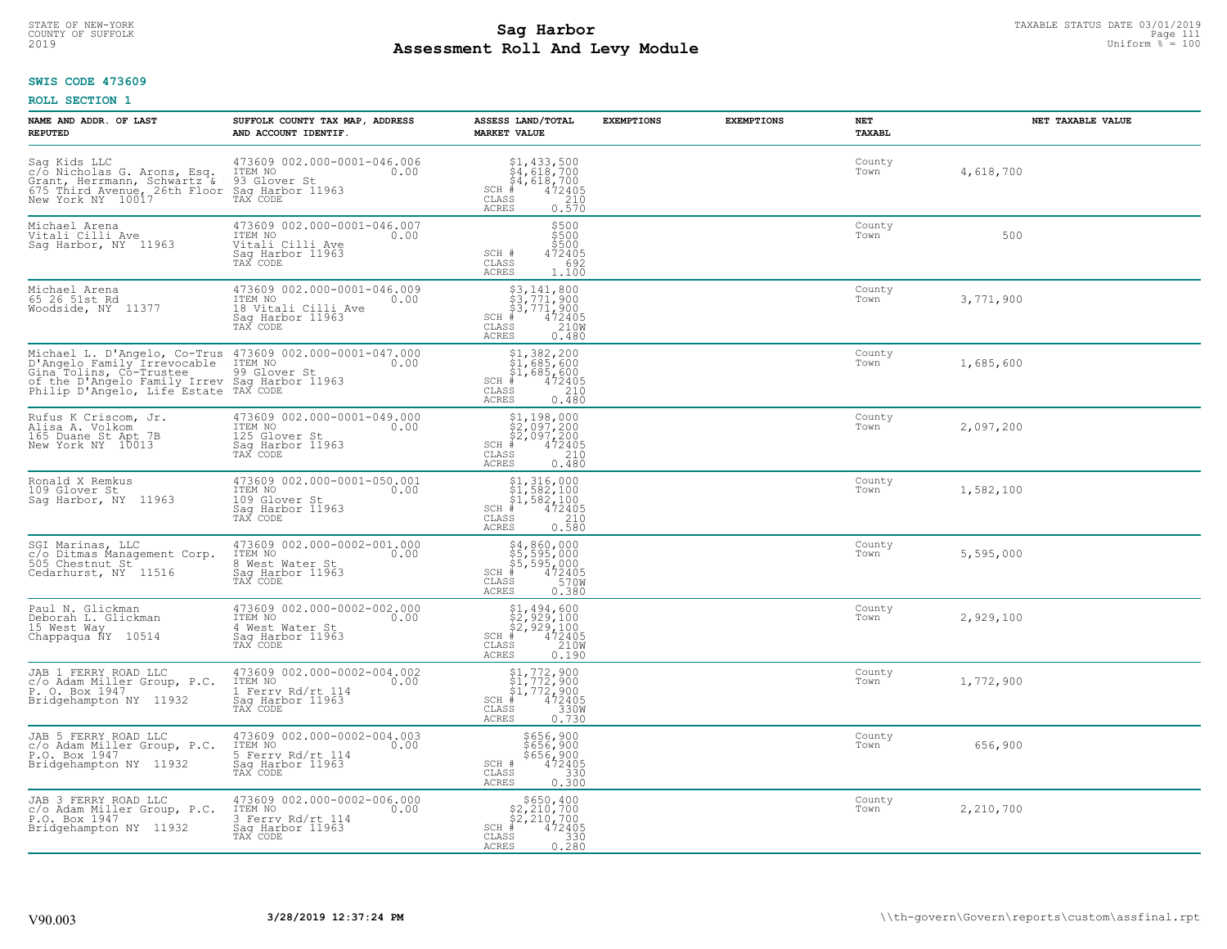#### **SWIS CODE 473609**

| NAME AND ADDR. OF LAST<br><b>REPUTED</b>                                                                                                                                                                                                                                                                                | SUFFOLK COUNTY TAX MAP, ADDRESS<br>AND ACCOUNT IDENTIF.                                                                                                                                                                           | ASSESS LAND/TOTAL<br><b>MARKET VALUE</b>                                                                                                                                                                                                                                                              | <b>EXEMPTIONS</b> | <b>EXEMPTIONS</b> | <b>NET</b><br><b>TAXABL</b> | NET TAXABLE VALUE |
|-------------------------------------------------------------------------------------------------------------------------------------------------------------------------------------------------------------------------------------------------------------------------------------------------------------------------|-----------------------------------------------------------------------------------------------------------------------------------------------------------------------------------------------------------------------------------|-------------------------------------------------------------------------------------------------------------------------------------------------------------------------------------------------------------------------------------------------------------------------------------------------------|-------------------|-------------------|-----------------------------|-------------------|
| $\begin{array}{llll} \texttt{Sag Kids LLC} & \texttt{473609 002.000-00} \\ \texttt{c/o Nicholas G. Arons, Esq. TTEM NO} \\ \texttt{Gratt, Hermann, Schwartz & \texttt{93 Glover St} \\ \texttt{675 Third Avenue, 26th Floor Sag flavor 11963} \\ \texttt{New York NY} & \texttt{10017} & \texttt{TAX CODE} \end{array}$ | 473609 002.000-0001-046.006<br>TTEM NO 0.00                                                                                                                                                                                       | $\begin{array}{l} \text{\small $51$, $433$, $500$} \\ \text{\small $54$, $618$, $700$} \\ \text{\small $44$, $618$, $700$} \\ \text{\small $4$} \\ \text{\small $72405$} \\ \text{\small $58$} \\ \text{\small $25$} \\ \text{\small $25$} \\ \end{array}$<br>$SCH$ #<br><b>CLASS</b><br><b>ACRES</b> |                   |                   | County<br>Town              | 4,618,700         |
| Michael Arena<br>Vitali Cilli Ave<br>Sag Harbor, NY 11963                                                                                                                                                                                                                                                               | 473609 002.000-0001-046.007<br>ITEM NO<br>0.00<br>Vitali Cilli Ave<br>Sag Harbor 11963<br>TAX CODE                                                                                                                                | \$500<br>\$500<br>\$500<br>SCH #<br>472405<br>692<br>CLASS<br>ACRES<br>1,100                                                                                                                                                                                                                          |                   |                   | County<br>Town              | 500               |
| Michael Arena<br>65 26 51st Rd<br>Woodside, NY 11377                                                                                                                                                                                                                                                                    | 473609 002.000-0001-046.009<br>ITEM NO<br>0.00<br>18 Vitali Cilli Ave<br>Sag Harbor 11963<br>TAX CODE                                                                                                                             | \$3,141,800<br>\$3,771,900<br>\$3,771,900<br># 472405<br>\$5 210M<br>SCH #<br>CLASS<br><b>ACRES</b><br>0.480                                                                                                                                                                                          |                   |                   | County<br>Town              | 3,771,900         |
|                                                                                                                                                                                                                                                                                                                         | Michael L. D'Angelo, Co-Trus 473609 002.000-0001-047.000<br>D'Angelo Family Irrevocable ITEM NO<br>Gina Tolins, Co-Trustee 99 Glover St<br>of the D'Angelo Family Irrev Sag Harbor 11963<br>Philip D'Angelo, Life Estate TAX CODE | \$1,382,200<br>\$1,685,600<br>\$1,685,600<br>#472405<br>$SCH$ #<br>CLASS<br>210<br>ACRES<br>0.480                                                                                                                                                                                                     |                   |                   | County<br>Town              | 1,685,600         |
| Rufus K Criscom, Jr.<br>Alisa A. Volkom<br>165 Duane St Apt 7B<br>New York NY 10013                                                                                                                                                                                                                                     | 473609 002.000-0001-049.000<br>ITEM NO<br>0.00<br>125 Glover St<br>Sag Harbor 11963<br>TAX CODE                                                                                                                                   | $$2,097,200$<br>$$2,097,200$<br>$$2,097,200$<br>$*$ 472405<br>$SCH$ #<br>CLASS<br>210<br><b>ACRES</b><br>0.480                                                                                                                                                                                        |                   |                   | County<br>Town              | 2,097,200         |
| Ronald X Remkus<br>109 Glover St<br>Saq Harbor, NY 11963                                                                                                                                                                                                                                                                | 473609 002.000-0001-050.001<br>1TEM NO 0.00<br>109 Glover St<br>Sag Harbor 11963<br>TAX CODE                                                                                                                                      | $\begin{array}{r} \texttt{\$1,316,000}\ \texttt{\$1,582,100}\ \texttt{\$1,582,100}\ \texttt{\$1,582,100}\ \texttt{\$1,582,100}\ \texttt{\#} & 472405\ \texttt{\$10}\ \texttt{\$210}\ \texttt{\$28}\ \texttt{\$38}\ \texttt{\$28}\ \texttt{\$10}. \end{array}$<br>SCH #<br>CLASS<br>ACRES              |                   |                   | County<br>Town              | 1,582,100         |
| SGI Marinas, LLC<br>c/o Ditmas Management Corp.<br>505 Chestnut St<br>Cedarhurst, NY 11516                                                                                                                                                                                                                              | 473609 002.000-0002-001.000<br>ITEM NO 0.00<br>8 West Water St<br>Sag Harbor 11963<br>TAX CODE                                                                                                                                    | \$4,860,000<br>\$5,595,000<br>\$5,595,000<br>#472405<br>\$570M<br>$SCH$ #<br>CLASS<br><b>ACRES</b><br>0.380                                                                                                                                                                                           |                   |                   | County<br>Town              | 5,595,000         |
| Paul N. Glickman<br>Deborah L. Glickman<br>15 West Way<br>Chappaqua ÑY 10514                                                                                                                                                                                                                                            | 473609 002.000-0002-002.000<br>ITEM NO<br>0.00<br>4 West Water St<br>Sag Harbor 11963<br>TAX CODE                                                                                                                                 | $$2,929,100$<br>$$2,929,100$<br>$$2,929,100$<br>$472405$<br>$$2100$<br>$$2100$<br>$SCH$ #<br>CLASS<br><b>ACRES</b><br>0.190                                                                                                                                                                           |                   |                   | County<br>Town              | 2,929,100         |
| JAB 1 FERRY ROAD LLC<br>c/o Adam Miller Group, P.C.<br>P. O. Box 1947<br>Bridgehampton NY 11932                                                                                                                                                                                                                         | 473609 002.000-0002-004.002<br>ITEM NO<br>0.00<br>1 Ferry Rd/rt 114<br>Saq Harbor 11963<br>TAX CODE                                                                                                                               | $$1, 772, 900$<br>$$1, 772, 900$<br>$$1, 772, 900$<br>$472405$<br>$3300$<br>$SCH$ #<br>CLASS<br><b>ACRES</b><br>0.730                                                                                                                                                                                 |                   |                   | County<br>Town              | 1,772,900         |
| JAB 5 FERRY ROAD LLC<br>c/o Adam Miller Group, P.C.<br>P.O. Box 1947<br>Bridgehampton NY 11932                                                                                                                                                                                                                          | 473609 002.000-0002-004.003<br>ITEM NO<br>0.00<br>5 Ferry Rd/rt 114<br>Sag Harbor 11963<br>TAX CODE                                                                                                                               | \$656,900<br>\$656,900<br>\$656,900<br>SCH #<br>472405<br>$\mathtt{CLASS}$<br>330<br>0.300<br><b>ACRES</b>                                                                                                                                                                                            |                   |                   | County<br>Town              | 656,900           |
| JAB 3 FERRY ROAD LLC<br>c/o Adam Miller Group, P.C.<br>P.O. Box 1947<br>Bridgehampton NY 11932                                                                                                                                                                                                                          | 473609 002.000-0002-006.000<br>ITEM NO<br>0.00<br>3 Ferry Rd/rt 114<br>Saq Harbor 11963<br>TAX CODE                                                                                                                               | $$650, 400$<br>$$2, 210, 700$<br>$$2, 210, 700$<br>$SCH$ #<br>472405<br>$\mathtt{CLASS}$<br>$\begin{array}{c} 330 \\ 0.280 \end{array}$<br>ACRES                                                                                                                                                      |                   |                   | County<br>Town              | 2,210,700         |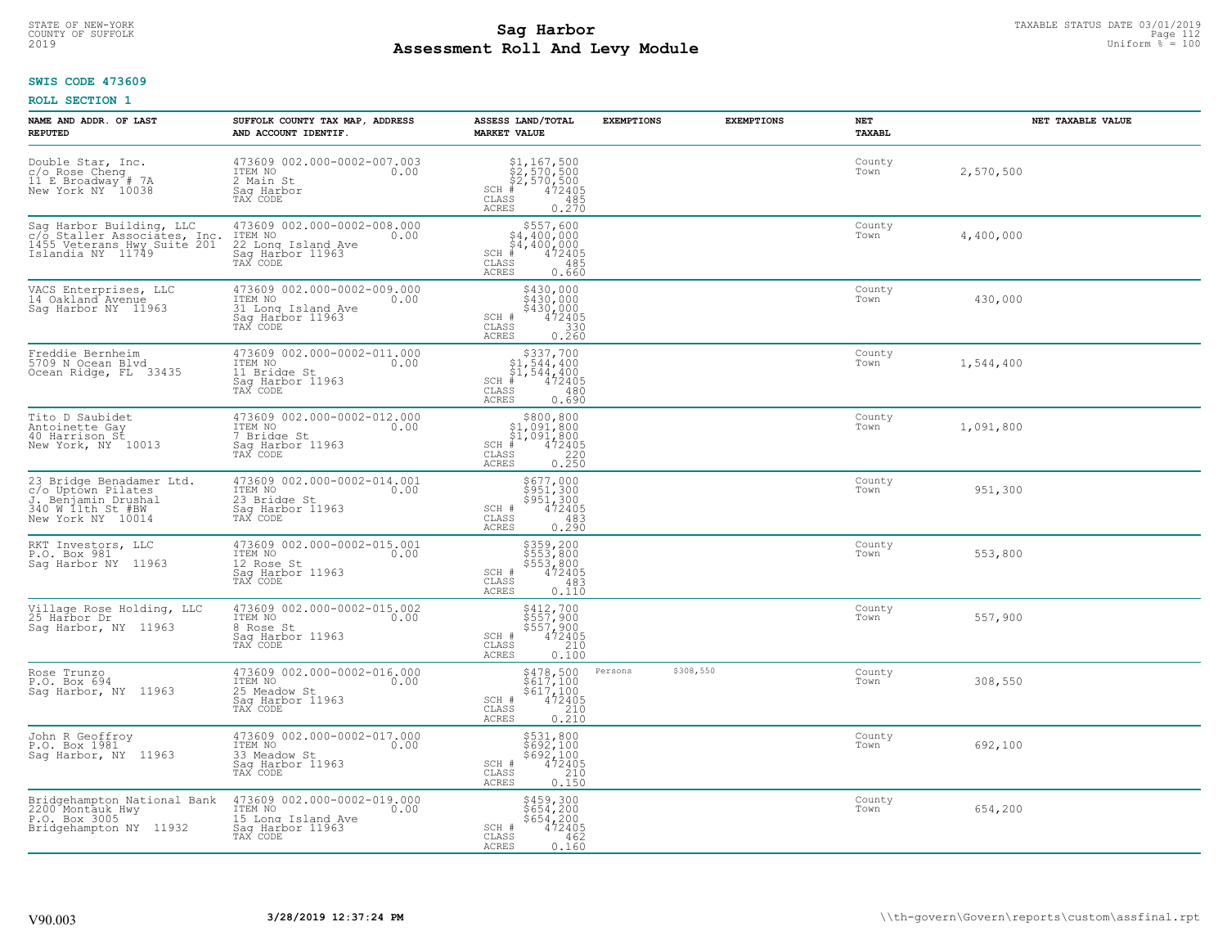## **SWIS CODE 473609**

| NAME AND ADDR. OF LAST<br><b>REPUTED</b>                                                                        | SUFFOLK COUNTY TAX MAP, ADDRESS<br>AND ACCOUNT IDENTIF.                                              | ASSESS LAND/TOTAL<br><b>MARKET VALUE</b>                                                                                     | <b>EXEMPTIONS</b>    | <b>EXEMPTIONS</b> | NET<br><b>TAXABL</b> | NET TAXABLE VALUE |
|-----------------------------------------------------------------------------------------------------------------|------------------------------------------------------------------------------------------------------|------------------------------------------------------------------------------------------------------------------------------|----------------------|-------------------|----------------------|-------------------|
| Double Star, Inc.<br>C/O Rose Cheng<br>11 E Broadway # 7A<br>New York NY 10038                                  | 473609 002.000-0002-007.003<br>ITEM NO<br>0.00<br>2 Main St<br>Saq Harbor<br>TAX CODE                | \$1,167,500<br>\$2,570,500<br>\$2,570,500<br>#472405<br>$SCH$ #<br>$\mathtt{CLASS}$<br>485<br>ACRES<br>0.270                 |                      |                   | County<br>Town       | 2,570,500         |
| Sag Harbor Building, LLC<br>c/o Staller Associates, Inc.<br>1455 Veterans Hwy Suite 201<br>Islandia NY 11749    | 473609 002.000-0002-008.000<br>ITEM NO<br>22 Long Island Ave<br>Sag Harbor 11963<br>0.00<br>TAX CODE | $\begin{array}{c} $557,600 $4,400,000 $4,400,000# 472405 \end{array}$<br>$SCH$ #<br>CLASS<br>485<br>0.660<br>ACRES           |                      |                   | County<br>Town       | 4,400,000         |
| VACS Enterprises, LLC<br>14 Oakland Avenue<br>Saq Harbor NY 11963                                               | 473609 002.000-0002-009.000<br>ITEM NO<br>0.00<br>31 Long Island Ave<br>Sag Harbor 11963<br>TAX CODE | \$430,000<br>$$430,000$<br>$$430,000$<br>$472405$<br>SCH #<br>CLASS<br>$0.330$<br>$0.260$<br><b>ACRES</b>                    |                      |                   | County<br>Town       | 430,000           |
| Freddie Bernheim<br>5709 N Ocean Blvd<br>Ocean Ridge, FL 33435                                                  | 473609 002.000-0002-011.000<br>ITEM NO<br>0.00<br>11 Bridge St<br>Saq Harbor 11963<br>TAX CODE       | $$337,700$<br>$$1,544,400$<br>$$1,544,400$<br>$*$<br>$*$<br>$472405$<br>$SCH$ #<br>CLASS<br>480<br>0.690<br><b>ACRES</b>     |                      |                   | County<br>Town       | 1,544,400         |
| Tito D Saubidet<br>Antoinette Gay<br>40 Harrison St<br>New York, NY 10013                                       | 473609 002.000-0002-012.000<br>ITEM NO<br>0.00<br>7 Bridge St<br>Saq Harbor 11963<br>TAX CODE        | $$800, 800$<br>$$1, 091, 800$<br>$$1, 091, 800$<br>$$1, 091, 800$<br>$SCH$ #<br>$472405$<br>$220$<br>CLASS<br>0.250<br>ACRES |                      |                   | County<br>Town       | 1,091,800         |
| 23 Bridge Benadamer Ltd.<br>c/o Uptown Pilates<br>J. Benjamin Drushal<br>340 W 11th St #BW<br>New York NY 10014 | 473609 002.000-0002-014.001<br>ITEM NO<br>0.00<br>23 Bridge St<br>Sag Harbor 11963<br>TAX CODE       | \$677,000<br>\$951,300<br>\$951,300<br>472405<br>SCH #<br>CLASS<br>483<br>0.290<br><b>ACRES</b>                              |                      |                   | County<br>Town       | 951,300           |
| RKT Investors, LLC<br>P.O. Box 981<br>Saq Harbor NY 11963                                                       | 473609 002.000-0002-015.001<br>ITEM NO<br>0.00<br>12 Rose St<br>Sag Harbor 11963<br>TAX CODE         | \$359,200<br>\$553,800<br>\$553,800<br>\$553,800<br>SCH #<br>CLASS<br>483<br>0.110<br><b>ACRES</b>                           |                      |                   | County<br>Town       | 553,800           |
| Village Rose Holding, LLC<br>25 Harbor Dr<br>Saq Harbor, NY 11963                                               | 473609 002.000-0002-015.002<br>TTEM NO 0.00<br>8 Rose St<br>Saq Harbor 11963<br>TAX CODE             | \$412,700<br>\$557,900<br>\$557,900<br>472405<br>SCH #<br>CLASS<br>210<br><b>ACRES</b><br>$0.\bar{1}\bar{0}\bar{0}$          |                      |                   | County<br>Town       | 557,900           |
| Rose Trunzo<br>P.O. Box 694<br>Saq Harbor, NY 11963                                                             | 473609 002.000-0002-016.000<br>ITEM NO 0.00<br>25 Meadow St<br>Saq Harbor 11963<br>TAX CODE          | \$478,500<br>\$617,100<br>\$617,100<br>472405<br>SCH #<br>CLASS<br>210<br>0.210<br><b>ACRES</b>                              | \$308,550<br>Persons |                   | County<br>Town       | 308,550           |
| John R Geoffroy<br>P.O. Box 1981<br>Sag Harbor, NY 11963                                                        | 473609 002.000-0002-017.000<br>ITEM NO<br>0.00<br>33 Meadow St<br>Sag Harbor 11963<br>TAX CODE       | $$531,800\n$692,100\n$692,100\n472405\n210\n215$<br>SCH #<br>CLASS<br>0.150<br><b>ACRES</b>                                  |                      |                   | County<br>Town       | 692,100           |
| Bridgehampton National Bank<br>2200 Montauk Hwy<br>P.O. Box 3005<br>Bridgehampton NY 11932                      | 473609 002.000-0002-019.000<br>ITEM NO<br>15 Long Island Ave<br>0.00<br>Sag Harbor 11963<br>TAX CODE | \$459,300<br>\$654,200<br>\$654,200<br>SCH #<br>472405<br>CLASS<br>462<br><b>ACRES</b><br>0.160                              |                      |                   | County<br>Town       | 654,200           |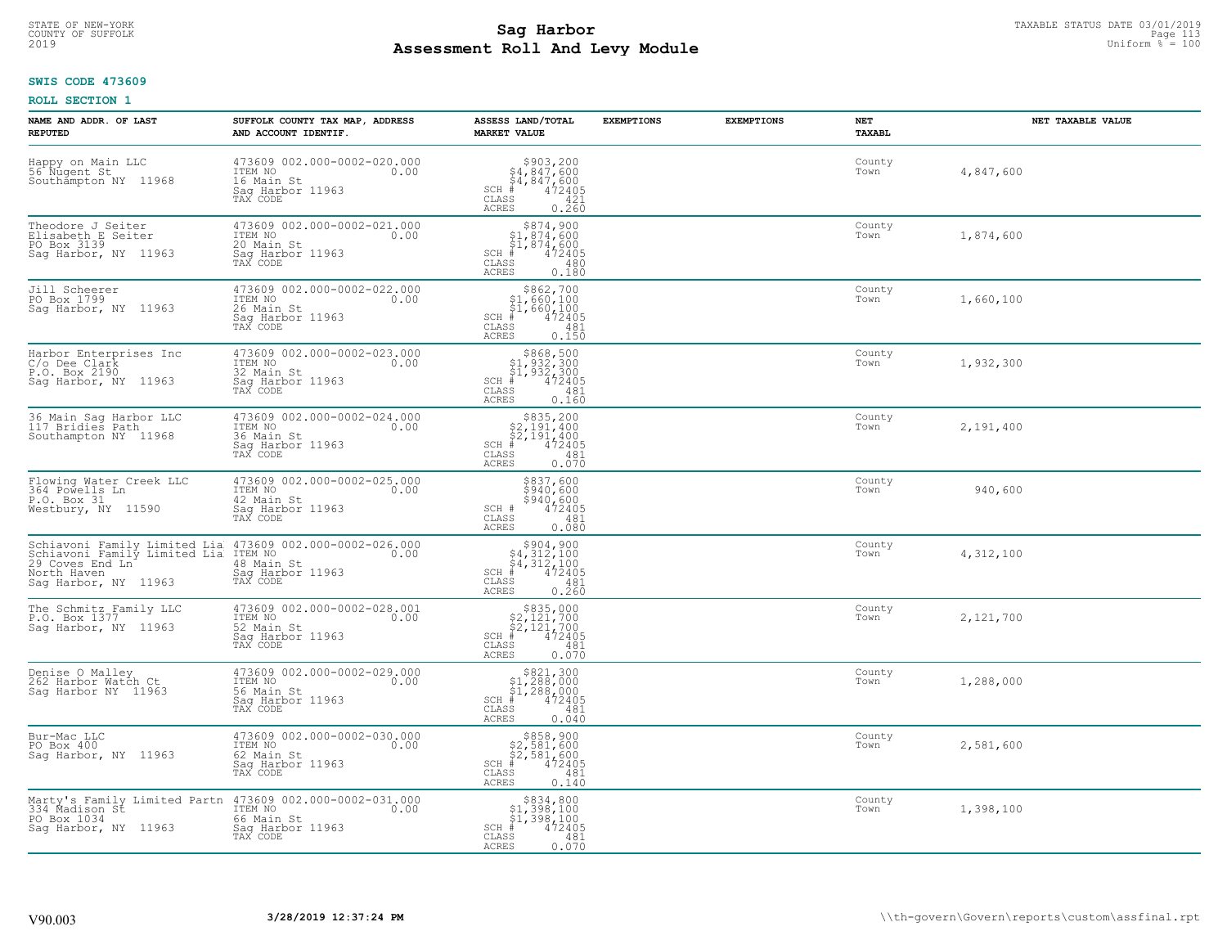## **SWIS CODE 473609**

| NAME AND ADDR. OF LAST<br><b>REPUTED</b>                                                                                                                         | SUFFOLK COUNTY TAX MAP, ADDRESS<br>AND ACCOUNT IDENTIF.                                                                   | ASSESS LAND/TOTAL<br><b>MARKET VALUE</b>                                                                                             | <b>EXEMPTIONS</b> | <b>EXEMPTIONS</b> | NET<br>TAXABL  | NET TAXABLE VALUE |
|------------------------------------------------------------------------------------------------------------------------------------------------------------------|---------------------------------------------------------------------------------------------------------------------------|--------------------------------------------------------------------------------------------------------------------------------------|-------------------|-------------------|----------------|-------------------|
| Happy on Main LLC<br>56 Nugent St<br>Southampton NY 11968                                                                                                        | 473609 002.000-0002-020.000<br>ITEM NO<br>0.00<br>16 Main St<br>Saq Harbor 11963<br>TAX CODE                              | $$903, 200$<br>$$4, 847, 600$<br>$$4, 847, 600$<br>$$4, 847, 600$<br>$SCH$ #<br>CLASS<br>421<br><b>ACRES</b><br>0.260                |                   |                   | County<br>Town | 4,847,600         |
| Theodore J Seiter<br>Elisabeth E Seiter<br>PO Box 3139<br>Saq Harbor, NY 11963                                                                                   | 473609 002.000-0002-021.000<br>ITEM NO<br>0.00<br>20 Main St<br>Sag Harbor 11963<br>TAX CODE                              | $$874,900$<br>$$1,874,600$<br>$$1,874,600$<br>$$1,874,600$<br>$472405$<br>$SCH$ #<br><b>CLASS</b><br>480<br><b>ACRES</b><br>0.180    |                   |                   | County<br>Town | 1,874,600         |
| Jill Scheerer<br>PO Box 1799<br>Sag Harbor, NY 11963                                                                                                             | 473609 002.000-0002-022.000<br>ITEM NO<br>0.00<br>26 Main St<br>Sag Harbor 11963<br>TAX CODE                              | $$862,700$<br>$$1,660,100$<br>$$1,660,100$<br>$$1,660,100$<br>$SCH$ #<br>472405<br>CLASS<br>481<br>0.150<br><b>ACRES</b>             |                   |                   | County<br>Town | 1,660,100         |
| Harbor Enterprises Inc<br>C/o Dee Clark<br>P.O. Box 2190<br>Sag Harbor, NY 11963                                                                                 | 473609 002.000-0002-023.000<br>ITEM NO<br>0.00<br>32 Main St<br>Saq Harbor 11963<br>TAX CODE                              | $$868,500$<br>$$1,932,300$<br>$$1,932,300$<br>$*1,932,300$<br>$*1,932,300$<br>$SCH$ #<br>CLASS<br>481<br><b>ACRES</b><br>0.160       |                   |                   | County<br>Town | 1,932,300         |
| 36 Main Sag Harbor LLC<br>117 Bridies Path<br>Southampton NY 11968                                                                                               | 473609 002.000-0002-024.000<br>ITEM NO<br>0.00<br>36 Main St<br>Saq Harbor 11963<br>TAX CODE                              | \$835,200<br>$\begin{array}{r} 27191,400 \\ 27191,400 \\ \ast \end{array}$<br>$SCH$ #<br>CLASS<br>481<br>0.070<br><b>ACRES</b>       |                   |                   | County<br>Town | 2,191,400         |
| Flowing Water Creek LLC<br>364 Powells Ln<br>P.O. Box 31<br>Westbury, NY 11590                                                                                   | 473609 002.000-0002-025.000<br>ITEM NO<br>0.00<br>42 Main St<br>Saq Harbor 11963<br>TAX CODE                              | \$837,600<br>\$940,600<br>\$940,600<br>472405<br>SCH #<br>$\mathtt{CLASS}$<br>481<br>0.080<br><b>ACRES</b>                           |                   |                   | County<br>Town | 940,600           |
| Schiavoni Family Limited Lia 473609 002.000-0002-026.000<br>Schiavoni Family Limited Lia ITEM NO 2.000<br>29 Coves End Ln<br>North Haven<br>Sag Harbor, NY 11963 | 48 Main St<br>Saq Harbor 11963<br>TAX CODE                                                                                | $\begin{array}{c} $904, 900 $4, 312, 100 $4, 312, 100 # 472405 \end{array}$<br>$SCH$ #<br>CLASS<br>481<br>0.260<br><b>ACRES</b>      |                   |                   | County<br>Town | 4,312,100         |
| The Schmitz Family LLC<br>P.O. Box 1377<br>Saq Harbor, NY 11963                                                                                                  | 473609 002.000-0002-028.001<br>TTEM NO 0.00<br>52 Main St<br>Saq Harbor 11963<br>TAX CODE                                 | $\begin{array}{c} $835,000 $2,121,700 $2,121,700 $472405 $472405 \end{array}$<br>$SCH$ #<br>CLASS<br>481<br><b>ACRES</b><br>0.070    |                   |                   | County<br>Town | 2,121,700         |
| Denise O Malley<br>262 Harbor Watch Ct<br>Sag Harbor NY 11963                                                                                                    | 473609 002.000-0002-029.000<br>ITEM NO 0.00<br>56 Main St<br>Saq Harbor 11963<br>TAX CODE                                 | $\begin{array}{c} $821,300 $1,288,000 $1,288,000 $4,288,000 $4,2405 \end{array}$<br>$SCH$ #<br>CLASS<br>481<br><b>ACRES</b><br>0.040 |                   |                   | County<br>Town | 1,288,000         |
| Bur-Mac LLC<br>PO Box 400<br>Sag Harbor, NY 11963                                                                                                                | 473609 002.000-0002-030.000<br>ITEM NO<br>0.00<br>62 Main St<br>Sag Harbor 11963<br>TAX CODE                              | $$858,900$<br>$$2,581,600$<br>$$2,581,600$<br>$$472405$<br>$SCH$ #<br>CLASS<br>481<br>0.140<br><b>ACRES</b>                          |                   |                   | County<br>Town | 2,581,600         |
| 334 Madison St<br>PO Box 1034<br>Sag Harbor, NY 11963                                                                                                            | Marty's Family Limited Partn 473609 002.000-0002-031.000<br>ITEM NO<br>66 Main St<br>0.00<br>Sag Harbor 11963<br>TAX CODE | $$834, 800$<br>$$1, 398, 100$<br>$$1, 398, 100$<br>$$1, 398, 100$<br>$SCH$ #<br>472405<br>CLASS<br>481<br><b>ACRES</b><br>0.070      |                   |                   | County<br>Town | 1,398,100         |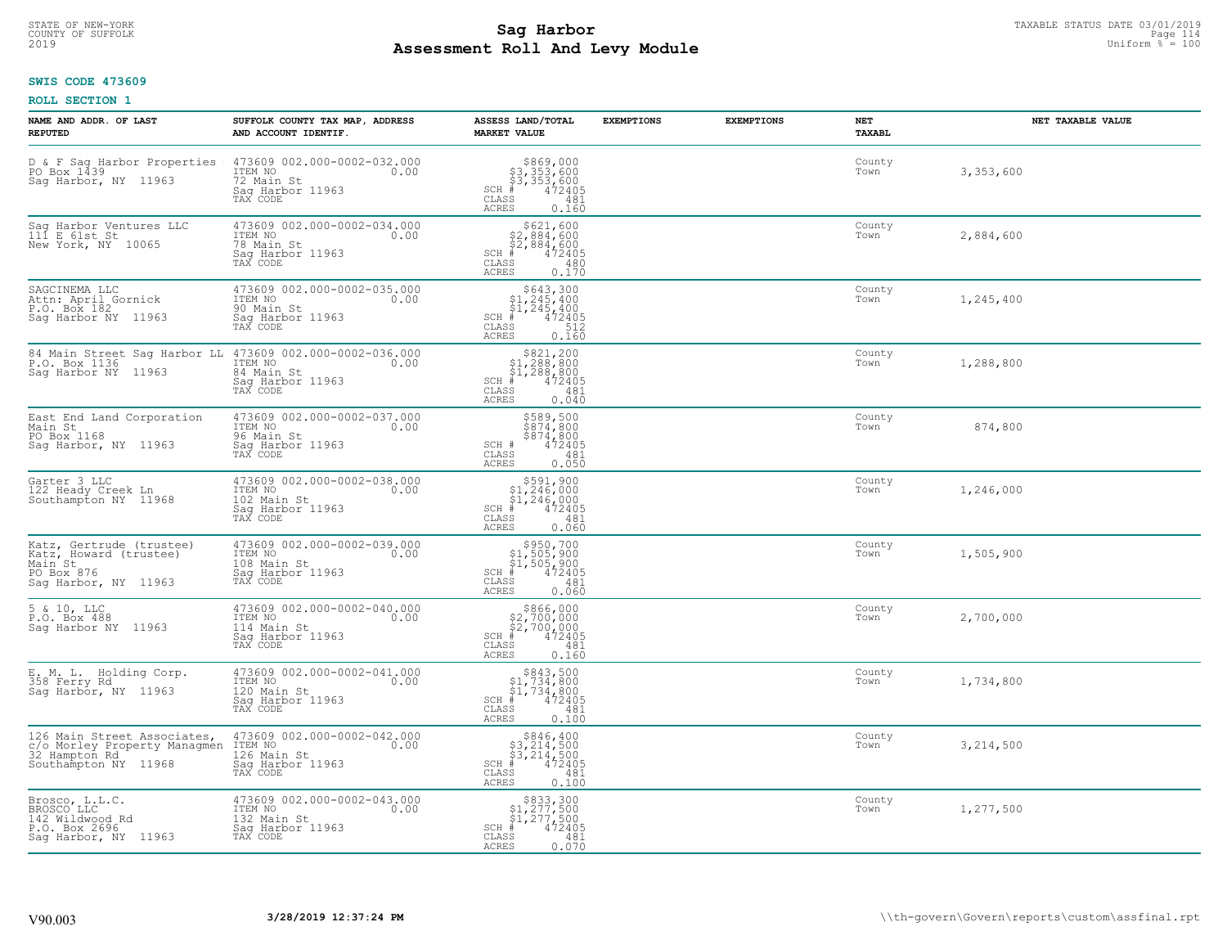# **SWIS CODE 473609**

| NAME AND ADDR. OF LAST<br><b>REPUTED</b>                                                                             | SUFFOLK COUNTY TAX MAP, ADDRESS<br>AND ACCOUNT IDENTIF.                                       | ASSESS LAND/TOTAL<br><b>MARKET VALUE</b>                                                                                         | <b>EXEMPTIONS</b> | <b>EXEMPTIONS</b> | NET<br>TAXABL  | NET TAXABLE VALUE |
|----------------------------------------------------------------------------------------------------------------------|-----------------------------------------------------------------------------------------------|----------------------------------------------------------------------------------------------------------------------------------|-------------------|-------------------|----------------|-------------------|
| D & F Sag Harbor Properties<br>PO Box 1439<br>Sag Harbor, NY 11963                                                   | 473609 002.000-0002-032.000<br>ITEM NO<br>0.00<br>72 Main St<br>Saq Harbor 11963<br>TAX CODE  | $$869,000$<br>$$3,353,600$<br>$$3,353,600$<br>$*$<br>$*$<br>$*$<br>$*$<br>$SCH$ #<br>$\mathtt{CLASS}$<br>481<br>ACRES<br>0.160   |                   |                   | County<br>Town | 3,353,600         |
| Sag Harbor Ventures LLC<br>111 E 61st St<br>New York, NY 10065                                                       | 473609 002.000-0002-034.000<br>ITEM NO<br>0.00<br>78 Main St<br>Sag Harbor 11963<br>TAX CODE  | $$621,600$<br>$$2,884,600$<br>$$2,884,600$<br>$$2,884,600$<br>$SCH$ #<br>472405<br>CLASS<br>480<br>0.170<br><b>ACRES</b>         |                   |                   | County<br>Town | 2,884,600         |
| SAGCINEMA LLC<br>Attn: April Gornick<br>P.O. Box 182<br>Saq Harbor NY 11963                                          | 473609 002.000-0002-035.000<br>ITEM NO<br>0.00<br>90 Main St<br>Sag Harbor 11963<br>TAX CODE  | $$643,300$<br>$$1,245,400$<br>$$1,245,400$<br>$$472405$<br>$SCH$ #<br>CLASS<br>512<br>0.160<br>ACRES                             |                   |                   | County<br>Town | 1,245,400         |
| 84 Main Street Sag Harbor LL<br>P.O. Box 1136<br>Sag Harbor NY 11963                                                 | 473609 002.000-0002-036.000<br>ITEM NO<br>0.00<br>84 Main St<br>Saq Harbor 11963<br>TAX CODE  | $\begin{array}{c} $821,200 $1,288,800 $1,288,800 # 472405 \end{array}$<br>$SCH$ #<br>CLASS<br>481<br>0.040<br><b>ACRES</b>       |                   |                   | County<br>Town | 1,288,800         |
| East End Land Corporation<br>Main St<br>PO Box 1168<br>Sag Harbor, NY 11963                                          | 473609 002.000-0002-037.000<br>ITEM NO<br>0.00<br>96 Main St<br>Sag Harbor 11963<br>TAX CODE  | \$589,500<br>\$874,800<br>\$874,800<br>472405<br>SCH #<br>CLASS<br>481<br><b>ACRES</b><br>0.050                                  |                   |                   | County<br>Town | 874,800           |
| Garter 3 LLC<br>122 Heady Creek Ln<br>Southampton NY 11968                                                           | 473609 002.000-0002-038.000<br>ITEM NO<br>0.00<br>102 Main St<br>Sag Harbor 11963<br>TAX CODE | $$591,900$<br>$$1,246,000$<br>$$1,246,000$<br>$$472405$<br>SCH #<br>CLASS<br>481<br>0.060<br><b>ACRES</b>                        |                   |                   | County<br>Town | 1,246,000         |
| Katz, Gertrude (trustee)<br>Katz, Howard (trustee)<br>Main St<br>PO Box 876<br>Sag Harbor, NY 11963                  | 473609 002.000-0002-039.000<br>ITEM NO<br>0.00<br>108 Main St<br>Sag Harbor 11963<br>TAX CODE | $$950, 700$<br>$$1, 505, 900$<br>$$1, 505, 900$<br>$*1, 505, 900$<br>$SCH$ #<br>$\mathtt{CLASS}$<br>481<br>0.060<br><b>ACRES</b> |                   |                   | County<br>Town | 1,505,900         |
| 5 & 10, LLC<br>P.O. Box 488<br>Saq Harbor NY 11963                                                                   | 473609 002.000-0002-040.000<br>TTEM NO 0.00<br>114 Main St<br>Sag Harbor 11963<br>TAX CODE    | $$866,000$<br>$$2,700,000$<br>$$2,700,000$<br>$*$ 472405<br>SCH #<br>CLASS<br>481<br><b>ACRES</b><br>0.160                       |                   |                   | County<br>Town | 2,700,000         |
| E. M. L. Holding Corp.<br>358 Ferry Rd<br>Saq Harbor, NY 11963                                                       | 473609 002.000-0002-041.000<br>ITEM NO<br>120 Main St<br>Saq Harbor 11963<br>TAX CODE         | $$843,500$<br>$$1,734,800$<br>$$1,734,800$<br>$*1,734,800$<br>$*1,734,2405$<br>$SCH$ #<br>CLASS<br>481<br><b>ACRES</b><br>0.100  |                   |                   | County<br>Town | 1,734,800         |
| 126 Main Street Associates,<br>c/o Morley Property Managmen ITEM NO<br>32 Hampton Rd 126 Mai<br>Southampton NY 11968 | 473609 002.000-0002-042.000<br>0.00<br>126 Main St<br>Sag Harbor 11963<br>TAX CODE            | $$846, 400$<br>$$3, 214, 500$<br>$$3, 214, 500$<br>$$472405$<br>$SCH$ #<br>CLASS<br>481<br>0.100<br><b>ACRES</b>                 |                   |                   | County<br>Town | 3,214,500         |
| Brosco, L.L.C.<br>BROSCO LLC<br>142 Wildwood Rd<br>P.O. Box 2696<br>Sag Harbor, NY 11963                             | 473609 002.000-0002-043.000<br>ITEM NO<br>0.00<br>132 Main St<br>Sag Harbor 11963<br>TAX CODE | $$833,300$<br>$$1,277,500$<br>$$1,277,500$<br>$*1$<br>$*12405$<br>$SCH$ #<br>CLASS<br>481<br><b>ACRES</b><br>0.070               |                   |                   | County<br>Town | 1,277,500         |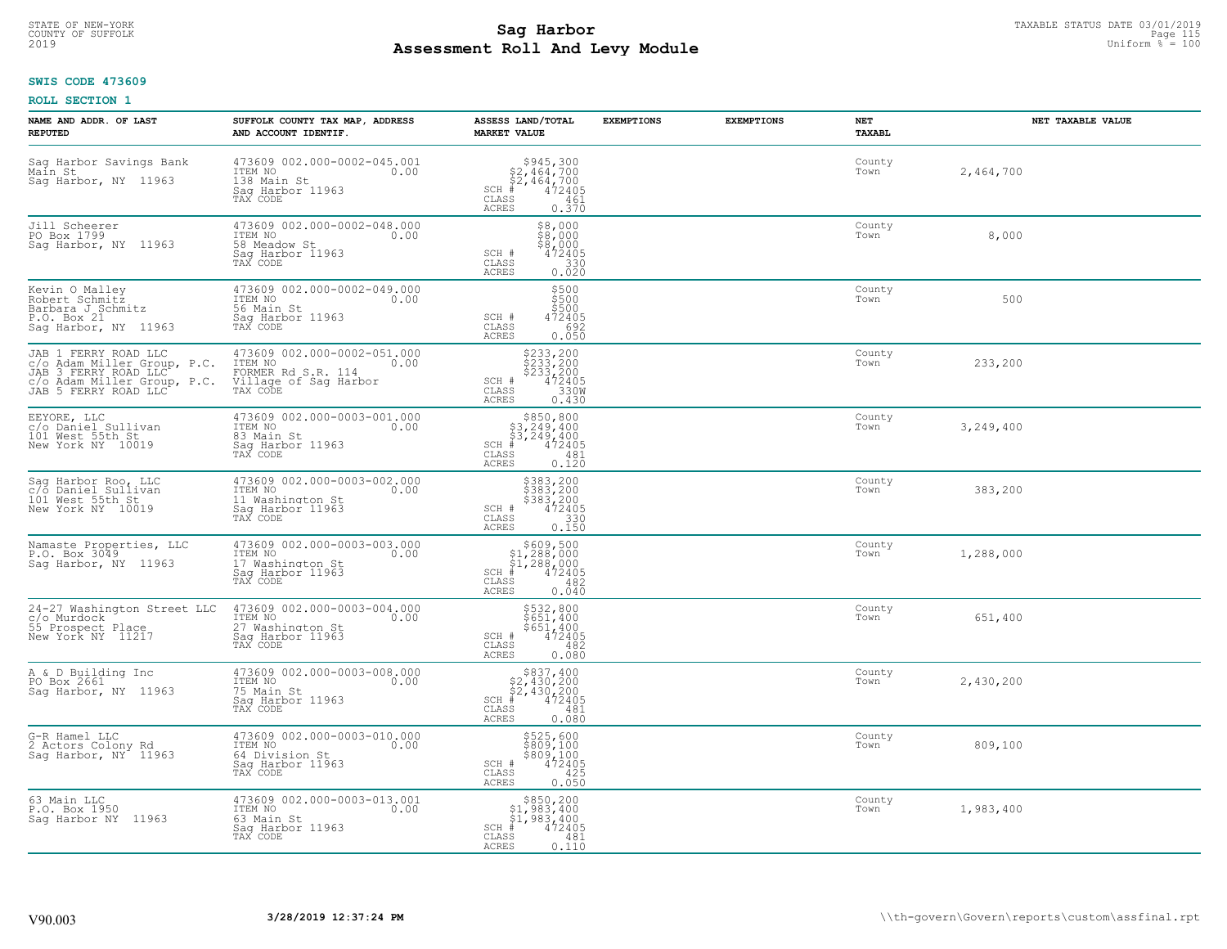## **SWIS CODE 473609**

| NAME AND ADDR. OF LAST<br><b>REPUTED</b>                                                                                           | SUFFOLK COUNTY TAX MAP, ADDRESS<br>AND ACCOUNT IDENTIF.                                                | ASSESS LAND/TOTAL<br><b>MARKET VALUE</b>                                                                                        | <b>EXEMPTIONS</b> | <b>EXEMPTIONS</b> | NET<br>TAXABL  | NET TAXABLE VALUE |
|------------------------------------------------------------------------------------------------------------------------------------|--------------------------------------------------------------------------------------------------------|---------------------------------------------------------------------------------------------------------------------------------|-------------------|-------------------|----------------|-------------------|
| Saq Harbor Savings Bank<br>Main St<br>Sag Harbor, NY 11963                                                                         | 473609 002.000-0002-045.001<br>ITEM NO<br>0.00<br>138 Main St<br>Saq Harbor 11963<br>TAX CODE          | $$2,464,700$<br>$$2,464,700$<br>$$472405$<br>$$+84,72405$<br>$SCH$ #<br>CLASS<br>461<br>ACRES<br>0.370                          |                   |                   | County<br>Town | 2,464,700         |
| Jill Scheerer<br>PO Box 1799<br>Sag Harbor, NY 11963                                                                               | 473609 002.000-0002-048.000<br>ITEM NO<br>0.00<br>58 Meadow St<br>Sag Harbor 11963<br>TAX CODE         | \$8,000<br>\$8,000<br>\$§,ŏŏŏ<br>SCH #<br>472405<br>CLASS<br>$\begin{array}{c} 330 \\ 0.020 \end{array}$<br>ACRES               |                   |                   | County<br>Town | 8,000             |
| Kevin O Malley<br>Robert Schmitz<br>Barbara J Schmitz<br>P.O. Box 21<br>Sag Harbor, NY 11963                                       | 473609 002.000-0002-049.000<br>ITEM NO<br>0.00<br>56 Main St<br>Sag Harbor 11963<br>TAX CODE           | \$500<br>\$500<br>\$500<br>SCH #<br>472405<br>CLASS<br>692<br>0.050<br>ACRES                                                    |                   |                   | County<br>Town | 500               |
| JAB 1 FERRY ROAD LLC<br>c/o Adam Miller Group, P.C.<br>JAB 3 FERRY ROAD LLC<br>c/o Adam Miller Group, P.C.<br>JAB 5 FERRY ROAD LLC | 473609 002.000-0002-051.000<br>ITEM NO 0.00<br>FORMER Rd S.R. 114<br>Village of Sag Harbor<br>TAX CODE | \$233,200<br>\$233,200<br>\$233,200<br>\$2472405<br>\$330M<br>SCH #<br>CLASS<br><b>ACRES</b><br>0.430                           |                   |                   | County<br>Town | 233,200           |
| EEYORE, LLC<br>c/o Daniel Sullivan<br>101 West 55th St<br>New York NY 10019                                                        | 473609 002.000-0003-001.000<br>ITEM NO<br>0.00<br>83 Main St<br>Saq Harbor 11963<br>TAX CODE           | \$850,800<br>$\begin{array}{r} 53,249,400 \\ 53,249,400 \\ \pm 472405 \end{array}$<br>$SCH$ #<br>CLASS<br>481<br>0.120<br>ACRES |                   |                   | County<br>Town | 3,249,400         |
| Sag Harbor Roo, LLC<br>c/o Daniel Sullivan<br>101 West 55th St<br>New York NY 10019                                                | 473609 002.000-0003-002.000<br>ITEM NO<br>0.00<br>11 Washington St<br>Sag Harbor 11963<br>TAX CODE     | \$383,200<br>\$383,200<br>\$383,200<br>\$383,200<br>SCH #<br>CLASS<br>330<br><b>ACRES</b><br>0.150                              |                   |                   | County<br>Town | 383,200           |
| Namaste Properties, LLC<br>P.O. Box 3049<br>Saq Harbor, NY 11963                                                                   | 473609 002.000-0003-003.000<br>ITEM NO<br>0.00<br>17 Washington St<br>Sag Harbor 11963<br>TAX CODE     | $$609,500$<br>$$1,288,000$<br>$$1,288,000$<br>$$472405$<br>$SCH$ #<br>CLASS<br>482<br>0.040<br>ACRES                            |                   |                   | County<br>Town | 1,288,000         |
| 24-27 Washington Street LLC<br>c/o Murdock<br>55 Prospect Place<br>New York NY 11217                                               | 473609 002.000-0003-004.000<br>TTEM NO 0.00<br>27 Washington St<br>Saq Harbor 11963<br>TAX CODE        | \$532,800<br>\$651,400<br>\$651,400<br>472405<br>SCH #<br>CLASS<br>482<br><b>ACRES</b><br>0.080                                 |                   |                   | County<br>Town | 651,400           |
| A & D Building Inc<br>PO Box 2661<br>Sag Harbor, NY 11963                                                                          | 473609 002.000-0003-008.000<br>TTEM NO 0.00<br>75 Main St<br>Saq Harbor 11963<br>TAX CODE              | $$837, 400$<br>$$2, 430, 200$<br>$$2, 430, 200$<br>$SCH$ #<br>472405<br>CLASS<br>481<br><b>ACRES</b><br>0.080                   |                   |                   | County<br>Town | 2,430,200         |
| G-R Hamel LLC<br>2 Actors Colony Rd<br>Sag Harbor, NY 11963                                                                        | 473609 002.000-0003-010.000<br>ITEM NO<br>0.00<br>64 Division St<br>Sag Harbor 11963<br>TAX CODE       | \$525,600<br>\$809,100<br>\$809,100<br>472405<br>SCH #<br>CLASS<br>425<br>0.050<br><b>ACRES</b>                                 |                   |                   | County<br>Town | 809,100           |
| 63 Main LLC<br>P.O. Box 1950<br>Sag Harbor NY 11963                                                                                | 473609 002.000-0003-013.001<br>ITEM NO<br>0.00<br>63 Main St<br>Sag Harbor 11963<br>TAX CODE           | \$850,200<br>$$1,983,400$<br>$$1,983,400$<br>$SCH$ #<br>472405<br>CLASS<br>481<br><b>ACRES</b><br>0.110                         |                   |                   | County<br>Town | 1,983,400         |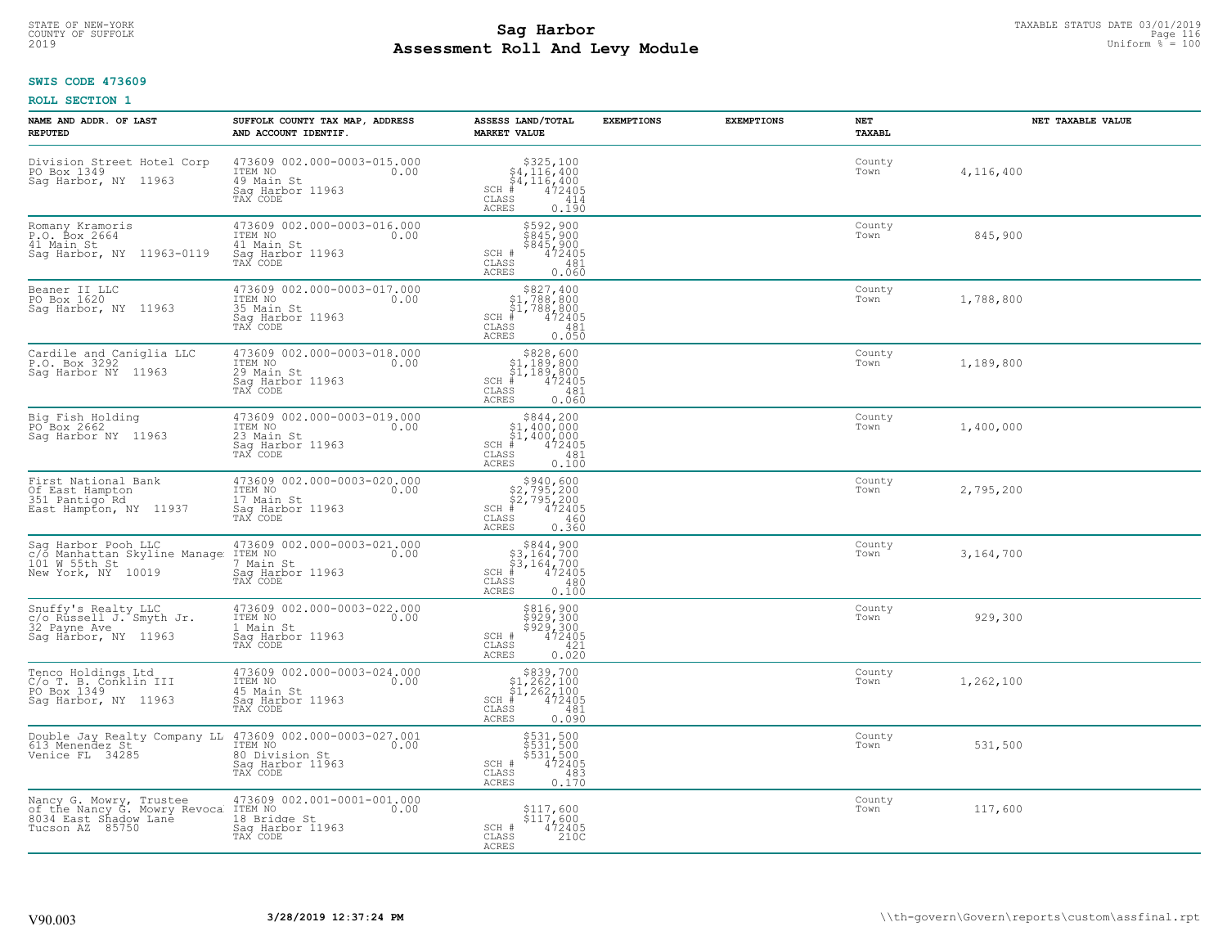## **SWIS CODE 473609**

| NAME AND ADDR. OF LAST<br><b>REPUTED</b>                                                                                   | SUFFOLK COUNTY TAX MAP, ADDRESS<br>AND ACCOUNT IDENTIF.                                             | ASSESS LAND/TOTAL<br><b>MARKET VALUE</b>                                                                                           | <b>EXEMPTIONS</b> | <b>EXEMPTIONS</b> | NET<br><b>TAXABL</b> | NET TAXABLE VALUE |
|----------------------------------------------------------------------------------------------------------------------------|-----------------------------------------------------------------------------------------------------|------------------------------------------------------------------------------------------------------------------------------------|-------------------|-------------------|----------------------|-------------------|
| Division Street Hotel Corp<br>PO Box 1349<br>Sag Harbor, NY 11963                                                          | 473609 002.000-0003-015.000<br>0.00 0.00<br>49 Main St<br>Sag Harbor 11963<br>TAX CODE              | $$325,100\n$4,116,400\n$4,116,400\n#4,472405$<br>$SCH$ $#$<br>CLASS<br>414<br>ACRES<br>0.190                                       |                   |                   | County<br>Town       | 4,116,400         |
| Romany Kramoris<br>P.O. Box 2664<br>41 Main St<br>Saq Harbor, NY 11963-0119                                                | 473609 002.000-0003-016.000<br>ITEM NO<br>0.00<br>41 Main St<br>Sag Harbor 11963<br>TAX CODE        | \$592,900<br>\$845,900<br>\$845,900<br>472405<br>SCH #<br>CLASS<br>481<br>0.060<br><b>ACRES</b>                                    |                   |                   | County<br>Town       | 845,900           |
| Beaner II LLC<br>PO Box 1620<br>Sag Harbor, NY 11963                                                                       | 473609 002.000-0003-017.000<br>ITEM NO<br>0.00<br>35 Main St<br>Sag Harbor 11963<br>TAX CODE        | $\begin{array}{c} $827,400 $1,788,800 $1,788,800 # 472405 \end{array}$<br>$SCH$ #<br>CLASS<br>481<br>0.050<br><b>ACRES</b>         |                   |                   | County<br>Town       | 1,788,800         |
| Cardile and Caniglia LLC<br>P.O. Box 3292<br>Saq Harbor NY 11963                                                           | 473609 002.000-0003-018.000<br>ITEM NO 0.00<br>29 Main St<br>Sag Harbor 11963                       | $\begin{array}{c} $828, 600 \\ $1, 189, 800 \\ $1, 189, 800 \end{array}$<br>$SCH$ #<br>472405<br>CLASS<br>481<br>0.060<br>ACRES    |                   |                   | County<br>Town       | 1,189,800         |
| Big Fish Holding<br>PO Box 2662<br>Saq Harbor NY 11963                                                                     | 473609 002.000-0003-019.000<br>0.00 0.00<br>0.00<br>23 Main St<br>Sag Harbor 11963<br>TAX CODE      | \$844,200<br>$\begin{array}{r} 51,400,600 \\ 51,400,000 \\ 472405 \end{array}$<br>$SCH$ #<br>CLASS<br>481<br><b>ACRES</b><br>0.100 |                   |                   | County<br>Town       | 1,400,000         |
| First National Bank<br>Of East Hampton<br>351 Pantigo Rd<br>East Hampton, NY 11937                                         | 473609 002.000-0003-020.000<br>0.00<br>ITEM NO<br>17 Main St<br>Sag Harbor 11963<br>TAX CODE        | $$2,795,200$<br>$$2,795,200$<br>$$2,795,200$<br>$472405$<br>$SCH$ #<br>CLASS<br>460<br>0.360<br><b>ACRES</b>                       |                   |                   | County<br>Town       | 2,795,200         |
| Sag Harbor Pooh LLC<br>C/O Manhattan Skyline Manage ITEM NO<br>101 W 55th St 7 Main<br>New York, NY 10019 Sag Har          | 473609 002.000-0003-021.000<br>0.00<br>7 Main St<br>Sag Harbor 11963<br>TAX CODE                    | $$3,164,700$<br>$$3,164,700$<br>$$4,72405$<br>$\pm 472405$<br>$SCH$ #<br>CLASS<br>480<br>0.100<br><b>ACRES</b>                     |                   |                   | County<br>Town       | 3,164,700         |
| Snuffy's Realty LLC<br>c/o Russell J. Smyth Jr.<br>32 Payne Ave 11060<br>Sag Harbor, NY 11963                              | 473609 002.000-0003-022.000<br>ITEM NO<br>0.00<br>1 Main St<br>Saq Harbor 11963<br>TAX CODE         | \$816,900<br>\$929,300<br>\$929,300<br>\$929,300<br>SCH #<br>CLASS<br>421<br>0.020<br><b>ACRES</b>                                 |                   |                   | County<br>Town       | 929,300           |
| Tenco Holdings Ltd<br>C/o T. B. Conklin III<br>PO Box 1349<br>Saq Harbor, NY 11963                                         | 473609 002.000-0003-024.000<br>ITEM NO 0.00<br>45 Main St<br>Sag Harbor 11963<br>TAX CODE           | $\begin{array}{c} $839,700\n$1,262,100\n$1,262,100\n$4,262,100\n*$<br>$SCH$ #<br>CLASS<br>481<br>0.090<br>ACRES                    |                   |                   | County<br>Town       | 1,262,100         |
| Double Jay Realty Company LL 473609 002.000-0003-027.001<br>613 Menendez St_ Michael TIEM NO 0.00<br>Venice FL 34285       | ITEM NO<br>80 Division St<br>Sag Harbor 11963<br>TAX CODE                                           | \$531,500<br>\$531,500<br>\$531,500<br>472405<br>SCH #<br>CLASS<br>483<br><b>ACRES</b><br>0.170                                    |                   |                   | County<br>Town       | 531,500           |
| Nancy G. Mowry, Trustee 473609<br>of the Nancy G. Mowry Revoca ITEM NO<br>8034 East Shadow Lane 18 Brid<br>Tucson AZ 85750 | 473609 002.001-0001-001.000<br>ITEM NO 0.00<br>0.00<br>18 Bridge St<br>Sag Harbor 11963<br>TAX CODE | $$117,600$<br>$$117,600$<br>SCH #<br>472405<br>210C<br>CLASS<br>ACRES                                                              |                   |                   | County<br>Town       | 117,600           |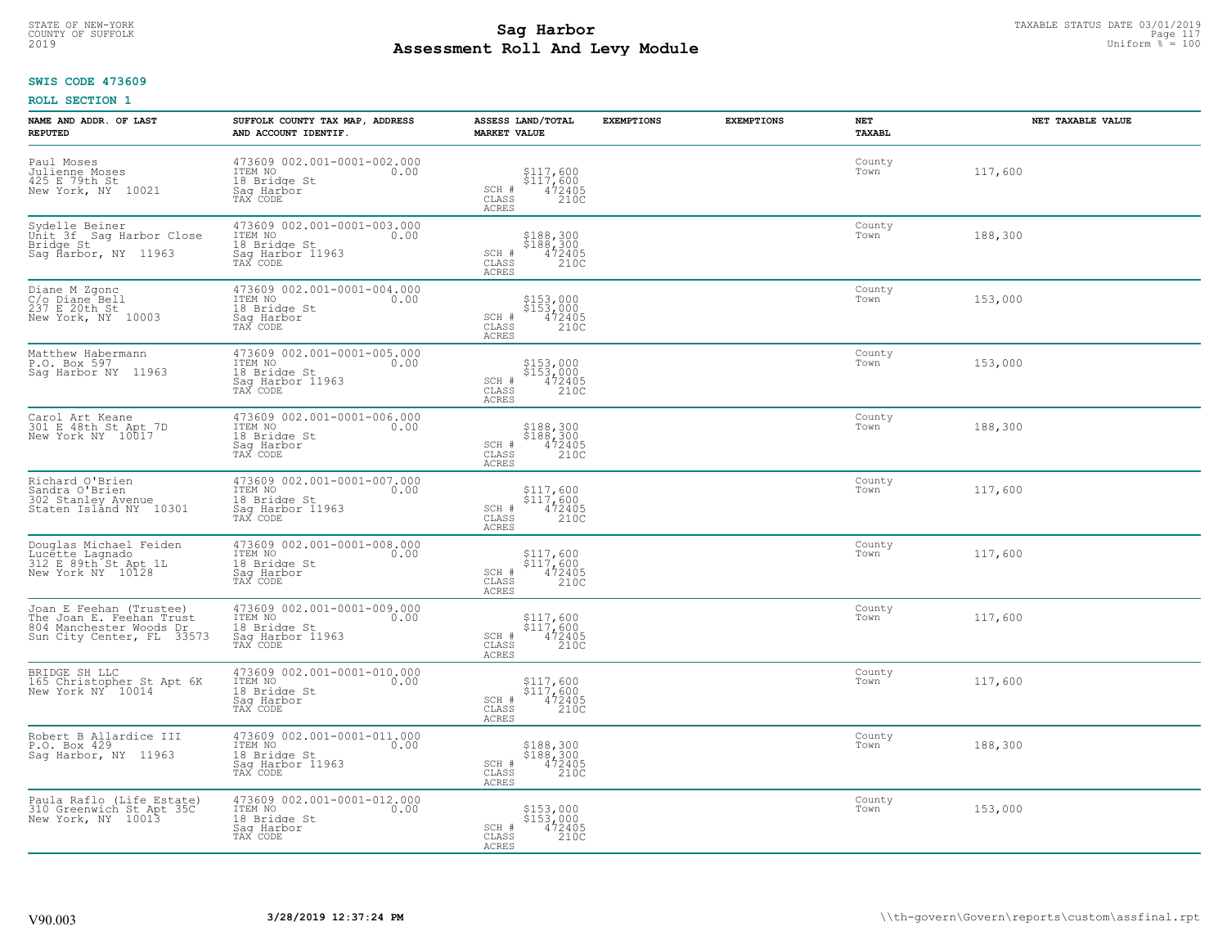## **Sag Harbor** TAXABLE STATUS DATE 03/01/2019 Page 117<br>Pall and Louis Page 117 Uniform  $\frac{PaD}{Pa} = 100$ **Assessment Roll And Levy Module** 2019 Uniform % = 100 COUNTY OF SUFFOLK Page 117

#### **SWIS CODE 473609**

| NAME AND ADDR. OF LAST<br><b>REPUTED</b>                                                                    | SUFFOLK COUNTY TAX MAP, ADDRESS<br>AND ACCOUNT IDENTIF.                                        | ASSESS LAND/TOTAL<br><b>MARKET VALUE</b>                                                                  | <b>EXEMPTIONS</b> | <b>EXEMPTIONS</b> | NET<br><b>TAXABL</b> | NET TAXABLE VALUE |
|-------------------------------------------------------------------------------------------------------------|------------------------------------------------------------------------------------------------|-----------------------------------------------------------------------------------------------------------|-------------------|-------------------|----------------------|-------------------|
| Paul Moses<br>Julienne Moses<br>425 E 79th St<br>New York, NY 10021                                         | 473609 002.001-0001-002.000<br>ITEM NO<br>0.00<br>18 Bridge St<br>Saq Harbor<br>TAX CODE       | \$117,600<br>\$117,600<br>472405<br>210C<br>SCH #<br>CLASS<br><b>ACRES</b>                                |                   |                   | County<br>Town       | 117,600           |
| Sydelle Beiner<br>Unit 3f Sag Harbor Close<br>Bridge St<br>Sag Harbor, NY 11963                             | 473609 002.001-0001-003.000<br>ITEM NO<br>0.00<br>18 Bridge St<br>Sag Harbor 11963<br>TAX CODE | $$188,300$<br>$$188,300$<br>$\frac{472405}{2100}$<br>SCH #<br>CLASS<br>ACRES                              |                   |                   | County<br>Town       | 188,300           |
| Diane M Zgonc<br>C/o Diane Bell<br>237 E 20th St<br>New York, NY 10003                                      | 473609 002.001-0001-004.000<br>ITEM NO<br>0.00<br>18 Bridge St<br>Saq Harbor<br>TAX CODE       | \$153,000<br>\$153,000<br>472405<br>SCH #<br>210C<br>CLASS<br><b>ACRES</b>                                |                   |                   | County<br>Town       | 153,000           |
| Matthew Habermann<br>P.O. Box 597<br>Saq Harbor NY 11963                                                    | 473609 002.001-0001-005.000<br>ITEM NO<br>0.00<br>18 Bridge St<br>Sag Harbor 11963<br>TAX CODE | \$153,000<br>\$153,000<br>SCH #<br>472405<br>CLASS<br>210C<br>ACRES                                       |                   |                   | County<br>Town       | 153,000           |
| Carol Art Keane<br>301 E 48th St Apt 7D<br>New York NY 10017                                                | 473609 002.001-0001-006.000<br>ITEM NO<br>0.00<br>18 Bridge St<br>Saq Harbor<br>TAX CODE       | \$188,300<br>\$188,300<br>472405<br>210C<br>SCH #<br>CLASS<br>ACRES                                       |                   |                   | County<br>Town       | 188,300           |
| Richard O'Brien<br>Sandra O'Brien<br>302 Stanley Avenue<br>Staten Island NY 10301                           | 473609 002.001-0001-007.000<br>ITEM NO<br>0.00<br>18 Bridge St<br>Sag Harbor 11963<br>TAX CODE | \$117,600<br>\$117,600<br>472405<br>210C<br>SCH #<br>CLASS<br>ACRES                                       |                   |                   | County<br>Town       | 117,600           |
| Douglas Michael Feiden<br>Lucette Lagnado<br>312 E 89th St Apt 1L<br>New York NY 10128                      | 473609 002.001-0001-008.000<br>ITEM NO<br>0.00<br>18 Bridge St<br>Sag Harbor<br>TAX CODE       | \$117,600<br>\$117,600<br>472405<br>210C<br>SCH #<br>$\mathtt{CLASS}$<br><b>ACRES</b>                     |                   |                   | County<br>Town       | 117,600           |
| Joan E Feehan (Trustee)<br>The Joan E. Feehan Trust<br>804 Manchester Woods Dr<br>Sun City Center, FL 33573 | 473609 002.001-0001-009.000<br>ITEM NO<br>0.00<br>18 Bridge St<br>Saq Harbor 11963<br>TAX CODE | \$117,600<br>\$117,600<br>472405<br>SCH #<br>CLASS<br>210C<br><b>ACRES</b>                                |                   |                   | County<br>Town       | 117,600           |
| BRIDGE SH LLC<br>165 Christopher St Apt 6K<br>New York NY 10014                                             | 473609 002.001-0001-010.000<br>TTEM NO 0.00<br>18 Bridge St<br>Saq Harbor<br>TAX CODE          | \$117,600<br>\$117,600<br>472405<br>210C<br>SCH #<br>CLASS<br><b>ACRES</b>                                |                   |                   | County<br>Town       | 117,600           |
| Robert B Allardice III<br>P.O. Box 429<br>Saq Harbor, NY 11963                                              | 473609 002.001-0001-011.000<br>ITEM NO<br>0.00<br>18 Bridge St<br>Sag Harbor 11963<br>TAX CODE | $\substack{ \\ \$188,300 \\ \$188,300 \\ \{472405 \\ 210C} \end{array}$<br>SCH #<br>CLASS<br><b>ACRES</b> |                   |                   | County<br>Town       | 188,300           |
| Paula Raflo (Life Estate)<br>310 Greenwich St Apt 35C<br>New York, NY 10013                                 | 473609 002.001-0001-012.000<br>ITEM NO<br>0.00<br>18 Bridge St<br>Saq Harbor<br>TAX CODE       | \$153,000<br>\$153,000<br>SCH #<br>472405<br>210C<br>CLASS<br><b>ACRES</b>                                |                   |                   | County<br>Town       | 153,000           |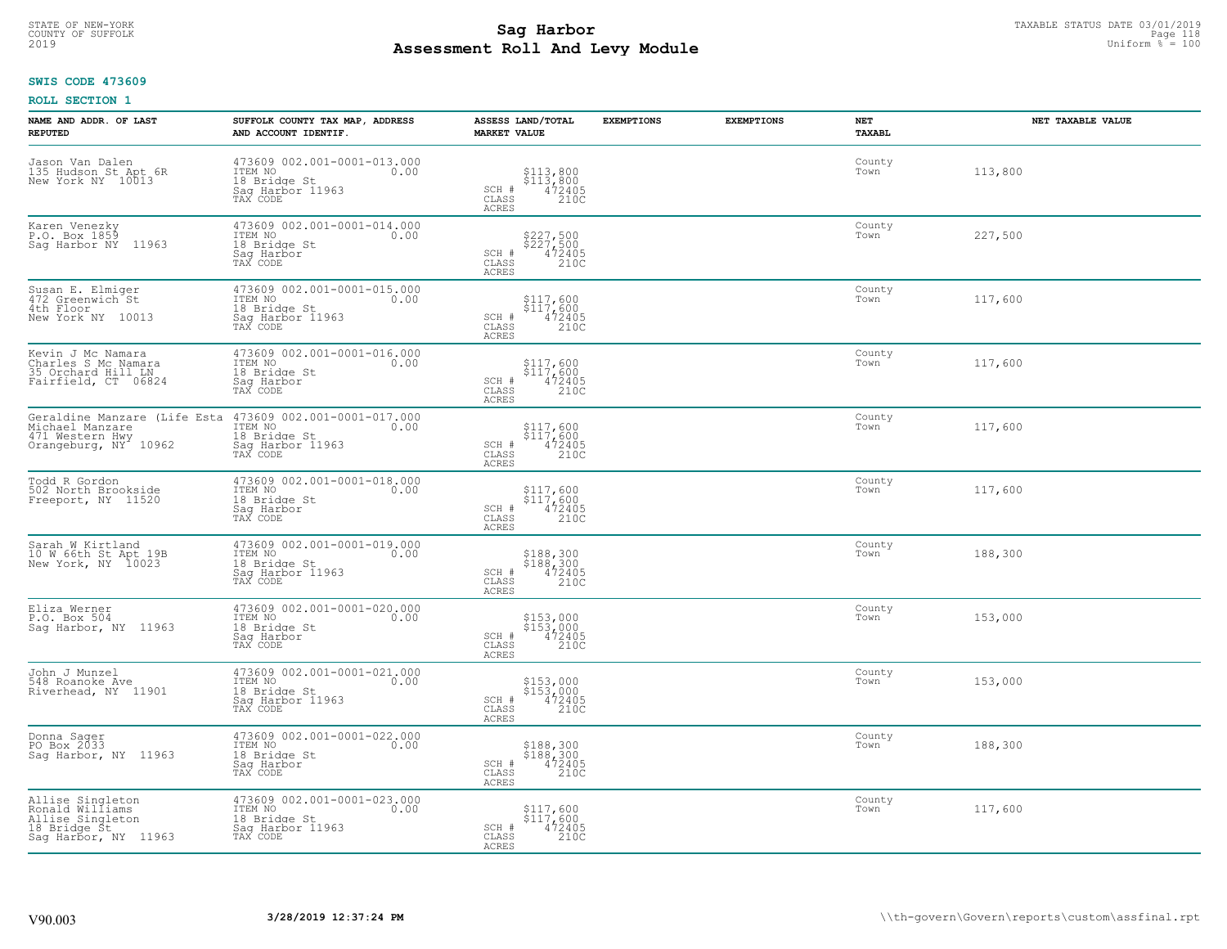# **SWIS CODE 473609**

| NAME AND ADDR. OF LAST<br><b>REPUTED</b>                                                        | SUFFOLK COUNTY TAX MAP, ADDRESS<br>AND ACCOUNT IDENTIF.                                                                                | ASSESS LAND/TOTAL<br><b>MARKET VALUE</b>                                                                                                 | <b>EXEMPTIONS</b> | <b>EXEMPTIONS</b> | <b>NET</b><br>TAXABL | NET TAXABLE VALUE |
|-------------------------------------------------------------------------------------------------|----------------------------------------------------------------------------------------------------------------------------------------|------------------------------------------------------------------------------------------------------------------------------------------|-------------------|-------------------|----------------------|-------------------|
| Jason Van Dalen<br>135 Hudson St Apt 6R<br>New York NY 10013                                    | 473609 002.001-0001-013.000<br>ITEM NO<br>0.00<br>18 Bridge St<br>Saq Harbor 11963<br>TAX CODE                                         | \$113,800<br>\$113,800<br>472405<br>210C<br>SCH #<br>$\mathtt{CLASS}$<br><b>ACRES</b>                                                    |                   |                   | County<br>Town       | 113,800           |
| Karen Venezky<br>P.O. Box 1859<br>Saq Harbor NY 11963                                           | 473609 002.001-0001-014.000<br>ITEM NO<br>0.00<br>18 Bridge St<br>Sag Harbor<br>TAX CODE                                               | \$227,500<br>\$227,500<br>472405<br>210C<br>SCH #<br>$\mathtt{CLASS}$<br>ACRES                                                           |                   |                   | County<br>Town       | 227,500           |
| Susan E. Elmiger<br>472 Greenwich St<br>4th Floor<br>New York NY 10013                          | 473609 002.001-0001-015.000<br>ITEM NO<br>0.00<br>18 Bridge St<br>Sag Harbor 11963<br>TAX CODE                                         | \$117,600<br>\$117,600<br>472405<br>210C<br>SCH #<br>CLASS<br><b>ACRES</b>                                                               |                   |                   | County<br>Town       | 117,600           |
| Kevin J Mc Namara<br>Charles S Mc Namara<br>35 Orchard Hill LN<br>Fairfield, CT 06824           | 473609 002.001-0001-016.000<br>TTEM NO 0.00<br>18 Bridge St<br>Saq Harbor<br>TAX CODE                                                  | \$117,600<br>$\begin{array}{r} \frac{5}{5} \frac{11}{17} \frac{7}{1600} \\ 472405 \\ 2100 \end{array}$<br>SCH #<br>CLASS<br><b>ACRES</b> |                   |                   | County<br>Town       | 117,600           |
| Michael Manzare<br>471 Western Hwy<br>Orangeburg, NY <sup>1</sup> 10962                         | Geraldine Manzare (Life Esta 473609 002.001-0001-017.000<br>Michael Manzare TEM NO 100<br>18 Bridge St<br>Sag Harbor 11963<br>TAX CODE | \$117,600<br>$\begin{array}{r} \frac{5}{5} \frac{11}{17} \frac{7}{1600} \\ 472405 \\ 2100 \end{array}$<br>SCH #<br>CLASS<br>ACRES        |                   |                   | County<br>Town       | 117,600           |
| Todd R Gordon<br>502 North Brookside<br>Freeport, NY 11520                                      | 473609 002.001-0001-018.000<br>ITEM NO<br>0.00<br>18 Bridge St<br>Sag Harbor<br>TAX CODE                                               | \$117,600<br>$$117,600$<br>$472405$<br>SCH #<br>CLASS<br>210C<br>ACRES                                                                   |                   |                   | County<br>Town       | 117,600           |
| Sarah W Kirtland<br>10 W 66th St Apt 19B<br>New York, NY 10023                                  | 473609 002.001-0001-019.000<br>ITEM NO<br>0.00<br>18 Bridge St<br>Sag Harbor 11963<br>TAX CODE                                         | \$188,300<br>\$188,300<br>472405<br>210C<br>SCH #<br>$\mathtt{CLASS}$<br>ACRES                                                           |                   |                   | County<br>Town       | 188,300           |
| Eliza Werner<br>P.O. Box 504<br>Sag Harbor, NY 11963                                            | 473609 002.001-0001-020.000<br>ITEM NO<br>0.00<br>18 Bridge St<br>Saq Harbor<br>TAX CODE                                               | \$153,000<br>\$153,000<br>472405<br>210C<br>SCH #<br>CLASS<br><b>ACRES</b>                                                               |                   |                   | County<br>Town       | 153,000           |
| John J Munzel<br>548 Roanoke Ave<br>Riverhead, NY 11901                                         | 473609 002.001-0001-021.000<br>ITEM NO 0.00<br>18 Bridge St<br>Saq Harbor 11963<br>TAX CODE                                            | \$153,000<br>\$153,000<br>472405<br>210C<br>SCH #<br>CLASS<br>ACRES                                                                      |                   |                   | County<br>Town       | 153,000           |
| Donna Sager<br>PO Box 2033<br>Sag Harbor, NY 11963                                              | 473609 002.001-0001-022.000<br>ITEM NO<br>0.00<br>18 Bridge St<br>Saq Harbor<br>TAX CODE                                               | \$188,300<br>\$188,300<br>472405<br>SCH #<br>210C<br>CLASS<br>ACRES                                                                      |                   |                   | County<br>Town       | 188,300           |
| Allise Singleton<br>Ronald Williams<br>Allise Singleton<br>18 Bridge St<br>Sag Harbor, NY 11963 | 473609 002.001-0001-023.000<br>ITEM NO<br>0.00<br>18 Bridge St<br>Sag Harbor 11963<br>TAX CODE                                         | \$117,600<br>\$117,600<br>472405<br>SCH #<br>$\mathtt{CLASS}$<br>210C<br>ACRES                                                           |                   |                   | County<br>Town       | 117,600           |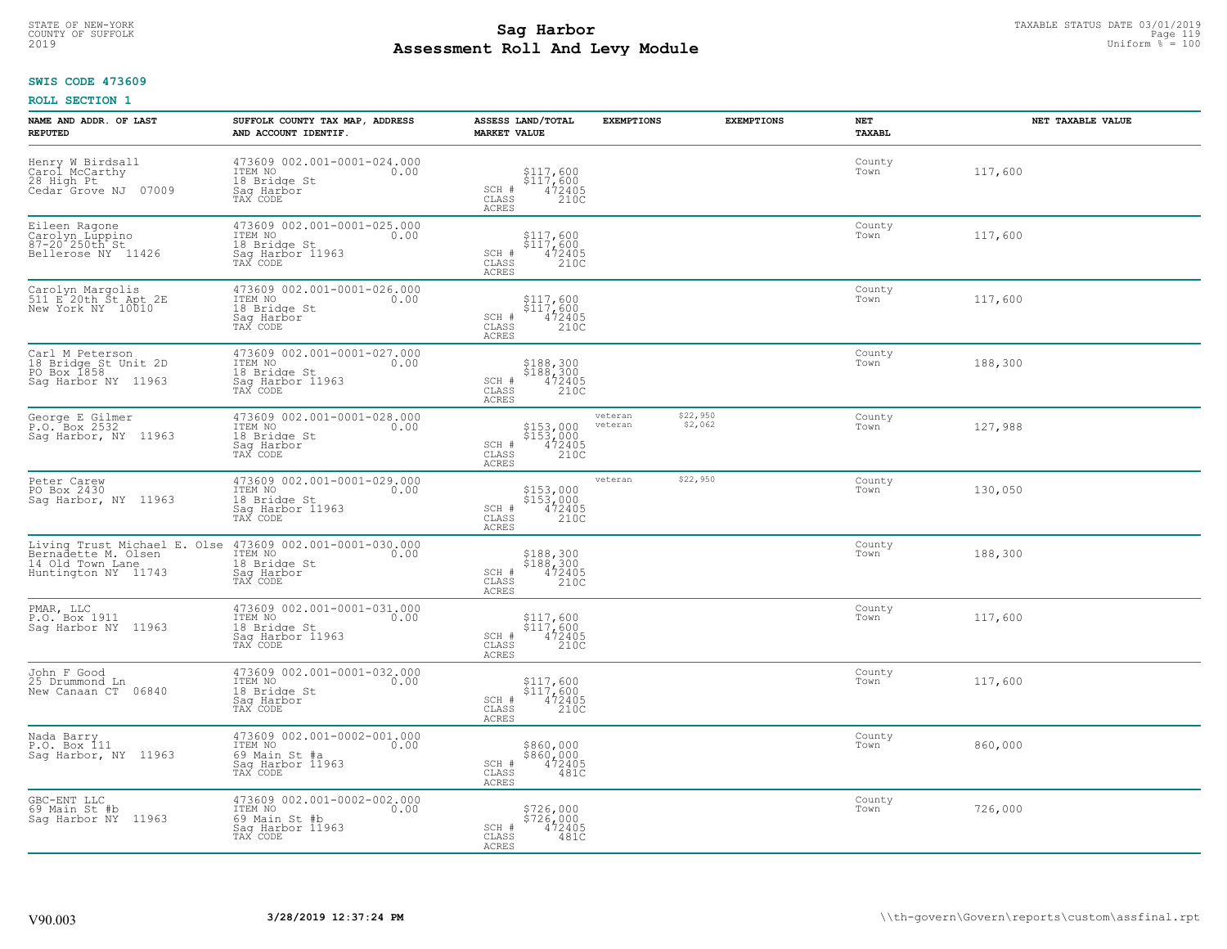#### **SWIS CODE 473609**

| NAME AND ADDR. OF LAST<br><b>REPUTED</b>                                                       | SUFFOLK COUNTY TAX MAP, ADDRESS<br>AND ACCOUNT IDENTIF.                                         | ASSESS LAND/TOTAL<br><b>MARKET VALUE</b>                                            | <b>EXEMPTIONS</b>  | <b>EXEMPTIONS</b>   | NET<br><b>TAXABL</b> | NET TAXABLE VALUE |
|------------------------------------------------------------------------------------------------|-------------------------------------------------------------------------------------------------|-------------------------------------------------------------------------------------|--------------------|---------------------|----------------------|-------------------|
| Henry W Birdsall<br>Carol McCarthy<br>28 High Pt<br>Cedar <sup>o</sup> Grove NJ<br>07009       | 473609 002.001-0001-024.000<br>ITEM NO<br>0.00<br>18 Bridge St<br>Saq Harbor<br>TAX CODE        | \$117,600<br>\$117,600<br>472405<br>210C<br>SCH #<br>CLASS<br>ACRES                 |                    |                     | County<br>Town       | 117,600           |
| Eileen Ragone<br>Carolyn Lúppino<br>87-20 250th St<br>Bellerose NY 11426                       | 473609 002.001-0001-025.000<br>ITEM NO<br>0.00<br>18 Bridge St<br>Sag Harbor 11963<br>TAX CODE  | $$117,600$<br>$$117,600$<br>$\frac{472405}{2100}$<br>SCH #<br>CLASS<br><b>ACRES</b> |                    |                     | County<br>Town       | 117,600           |
| Carolyn Margolis<br>511 E 20th St Apt 2E<br>New York NY 10010                                  | 473609 002.001-0001-026.000<br>ITEM NO<br>0.00<br>18 Bridge St<br>Sag Harbor<br>TAX CODE        | \$117,600<br>$$117,600$<br>$472405$<br>$210C$<br>SCH #<br>CLASS<br><b>ACRES</b>     |                    |                     | County<br>Town       | 117,600           |
| Carl M Peterson<br>18 Bridge St Unit 2D<br>PO Box 1858<br>Saq Harbor NY 11963                  | 473609 002.001-0001-027.000<br>ITEM NO<br>0.00<br>18 Bridge St<br>Sag Harbor 11963<br>TAX CODE  | \$188,300<br>\$188,300<br>SCH #<br>472405<br>210C<br>CLASS<br><b>ACRES</b>          |                    |                     | County<br>Town       | 188,300           |
| George E Gilmer<br>P.O. Box 2532<br>Sag Harbor, NY 11963                                       | 473609 002.001-0001-028.000<br>ITEM NO<br>0.00<br>18 Bridge St<br>Saq Harbor<br>TAX CODE        | \$153,000<br>$$153,000$<br>$472405$<br>210C<br>SCH #<br>CLASS<br>ACRES              | veteran<br>veteran | \$22,950<br>\$2,062 | County<br>Town       | 127,988           |
| Peter Carew<br>PO Box 2430<br>Sag Harbor, NY 11963                                             | 473609 002.001-0001-029.000<br>ITEM NO<br>0.00<br>18 Bridge St<br>Saq Harbor 11963<br>TAX CODE  | \$153,000<br>\$153,000<br>472405<br>210C<br>SCH #<br>CLASS<br>ACRES                 | veteran            | \$22,950            | County<br>Town       | 130,050           |
| Living Trust Michael E. Olse<br>Bernadette M. Olsen<br>14 Old Town Lane<br>Huntington NY 11743 | 473609 002.001-0001-030.000<br>ITEM NO<br>0.00<br>18 Bridge St<br>Saq Harbor<br>TAX CODE        | \$188,300<br>\$188,300<br>472405<br>210C<br>SCH #<br>CLASS<br>ACRES                 |                    |                     | County<br>Town       | 188,300           |
| PMAR, LLC<br>P.O. Box 1911<br>Saq Harbor NY 11963                                              | 473609 002.001-0001-031.000<br>ITEM NO<br>0.00<br>18 Bridge St<br>Saq Harbor 11963<br>TAX CODE  | \$117,600<br>\$117,600<br>472405<br>210C<br>SCH #<br>CLASS<br>ACRES                 |                    |                     | County<br>Town       | 117,600           |
| John F Good<br>25 Drummond Ln<br>New Canaan CT 06840                                           | 473609 002.001-0001-032.000<br>TTEM NO 0.00<br>18 Bridge St<br>Saq Harbor<br>TAX CODE           | \$117,600<br>\$117,600<br>472405<br>210C<br>SCH #<br>$\mathtt{CLASS}$<br>ACRES      |                    |                     | County<br>Town       | 117,600           |
| Nada Barry<br>P.O. Box 111<br>Sag Harbor, NY 11963                                             | 473609 002.001-0002-001.000<br>ITEM NO<br>0.00<br>69 Main St #a<br>Saq Harbor 11963<br>TAX CODE | \$860,000<br>\$860,000<br>472405<br>SCH #<br>CLASS<br>481C<br><b>ACRES</b>          |                    |                     | County<br>Town       | 860,000           |
| GBC-ENT LLC<br>69 Main St #b<br>Saq Harbor NY 11963                                            | 473609 002.001-0002-002.000<br>ITEM NO<br>0.00<br>69 Main St #b<br>Sag Harbor 11963<br>TAX CODE | \$726,000<br>\$726,000<br>SCH #<br>472405<br>CLASS<br>481C<br>ACRES                 |                    |                     | County<br>Town       | 726,000           |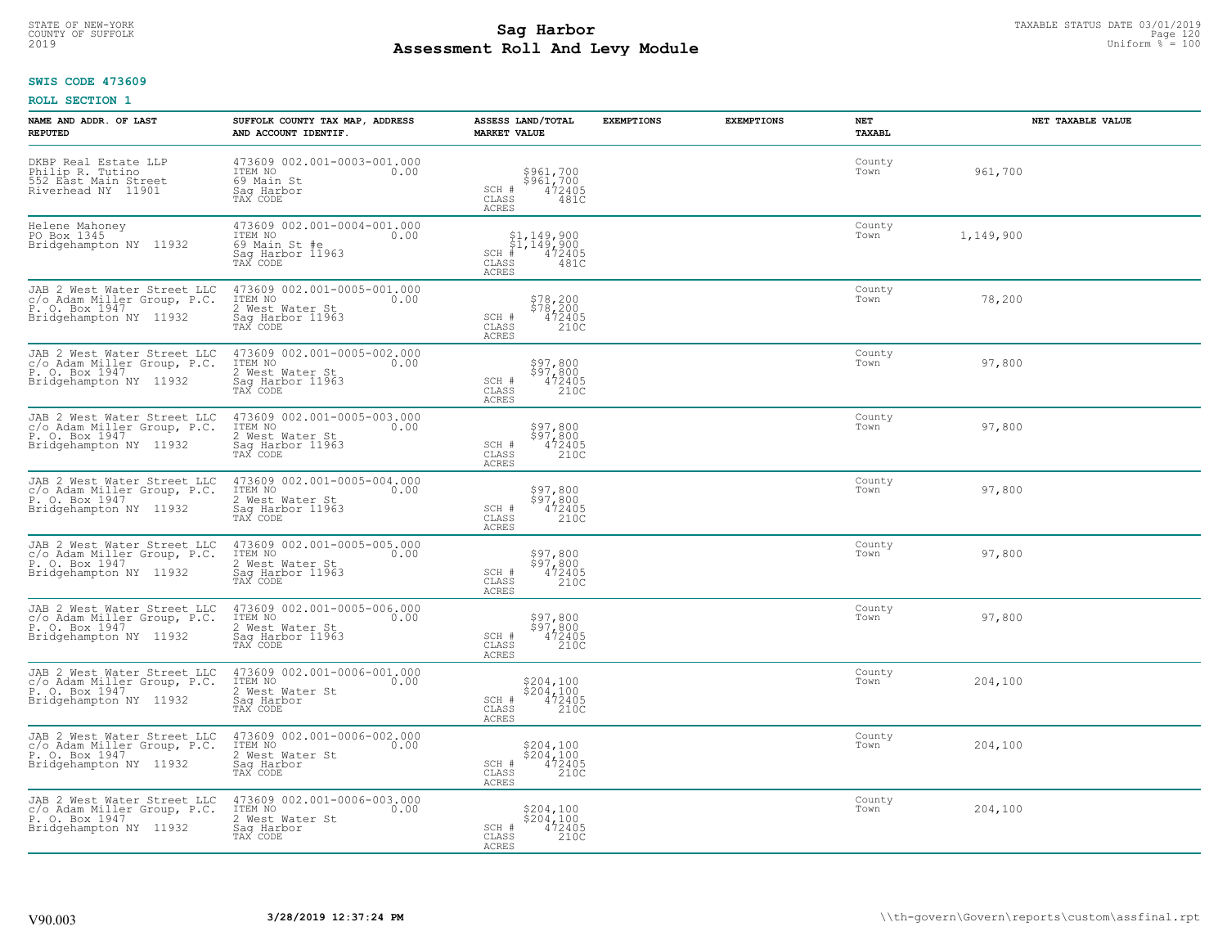# STATE OF NEW-YORK TAXABLE STATUS DATE 03/01/2019<br>COUNTY OF SUFFOLK Page 120 Page 120 **Assessment Roll And Levy Module** 2019 Uniform % = 100

#### **SWIS CODE 473609**

| NAME AND ADDR. OF LAST<br><b>REPUTED</b>                                                               | SUFFOLK COUNTY TAX MAP, ADDRESS<br>AND ACCOUNT IDENTIF.                                                 | ASSESS LAND/TOTAL<br><b>MARKET VALUE</b>                                                  | <b>EXEMPTIONS</b> | <b>EXEMPTIONS</b> | NET<br>TAXABL  | NET TAXABLE VALUE |
|--------------------------------------------------------------------------------------------------------|---------------------------------------------------------------------------------------------------------|-------------------------------------------------------------------------------------------|-------------------|-------------------|----------------|-------------------|
| DKBP Real Estate LLP<br>Philip R. Tutino<br>552 East Main Street<br>Riverhead NY 11901                 | 473609 002.001-0003-001.000<br>ITEM NO<br>0.00<br>69 Main St<br>Saq Harbor<br>TAX CODE                  | \$961,700<br>\$961,700<br>472405<br>$SCH$ $#$<br>CLASS<br>481C<br>ACRES                   |                   |                   | County<br>Town | 961,700           |
| Helene Mahoney<br>PO Box 1345<br>Bridgehampton NY 11932                                                | 473609 002.001-0004-001.000<br>ITEM NO 0.00<br>ITEM NO<br>69 Main St #e<br>Sag Harbor 11963<br>TAX CODE | $$1,149,900$<br>$$1,149,900$<br>$$CH$ # 472405<br>CLASS<br>481C<br>ACRES                  |                   |                   | County<br>Town | 1,149,900         |
| JAB 2 West Water Street LLC<br>c/o Adam Miller Group, P.C.<br>P. O. Box 1947<br>Bridgehampton NY 11932 | 473609 002.001-0005-001.000<br>ITEM NO<br>0.00<br>2 West Water St<br>Sag Harbor 11963<br>TAX CODE       | \$78,200<br>\$78,200<br>472405<br>210C<br>SCH #<br>CLASS<br>ACRES                         |                   |                   | County<br>Town | 78,200            |
| JAB 2 West Water Street LLC<br>c/o Adam Miller Group, P.C.<br>P. O. Box 1947<br>Bridgehampton NY 11932 | 473609 002.001-0005-002.000<br>ITEM NO<br>0.00<br>2 West Water St<br>Sag Harbor 11963<br>TAX CODE       | \$97,800<br>\$97,800<br>472405<br>SCH #<br>210C<br>CLASS<br><b>ACRES</b>                  |                   |                   | County<br>Town | 97,800            |
| JAB 2 West Water Street LLC<br>c/o Adam Miller Group, P.C.<br>P. O. Box 1947<br>Bridgehampton NY 11932 | 473609 002.001-0005-003.000<br>ITEM NO<br>0.00<br>2 West Water St<br>Sag Harbor 11963<br>TAX CODE       | \$97,800<br>\$97,800<br>472405<br>SCH #<br>CLASS<br>210C<br>ACRES                         |                   |                   | County<br>Town | 97,800            |
| JAB 2 West Water Street LLC<br>c/o Adam Miller Group, P.C.<br>P. O. Box 1947<br>Bridgehampton NY 11932 | 473609 002.001-0005-004.000<br>ITEM NO<br>0.00<br>2 West Water St<br>Sag Harbor 11963<br>TAX CODE       | \$97,800<br>\$97,800<br>472405<br>SCH #<br>CLASS<br>210C<br>ACRES                         |                   |                   | County<br>Town | 97,800            |
| JAB 2 West Water Street LLC<br>c/o Adam Miller Group, P.C.<br>P. O. Box 1947<br>Bridgehampton NY 11932 | 473609 002.001-0005-005.000<br>ITEM NO<br>0.00<br>2 West Water St<br>Sag Harbor 11963<br>TAX CODE       | \$97,800<br>\$97,800<br>472405<br>SCH #<br>$\overline{210C}$<br>CLASS<br>ACRES            |                   |                   | County<br>Town | 97,800            |
| JAB 2 West Water Street LLC<br>c/o Adam Miller Group, P.C.<br>P. O. Box 1947<br>Bridgehampton NY 11932 | 473609 002.001-0005-006.000<br>ITEM NO<br>0.00<br>2 West Water St<br>Sag Harbor 11963<br>TAX CODE       | \$97,800<br>\$97,800<br>472405<br>SCH #<br>CLASS<br>210C<br>ACRES                         |                   |                   | County<br>Town | 97,800            |
| JAB 2 West Water Street LLC<br>c/o Adam Miller Group, P.C.<br>P. O. Box 1947<br>Bridgehampton NY 11932 | 473609 002.001-0006-001.000<br>ITEM NO 0.00<br>2 West Water St<br>Saq Harbor<br>TAX CODE                | $\substack{ \\$ {204,100} \\ 204,100 \\ 472405 \\ 2100}<br>SCH #<br>CLASS<br><b>ACRES</b> |                   |                   | County<br>Town | 204,100           |
| JAB 2 West Water Street LLC<br>c/o Adam Miller Group, P.C.<br>P. O. Box 1947<br>Bridgehampton NY 11932 | 473609 002.001-0006-002.000<br>ITEM NO<br>0.00<br>2 West Water St<br>Sag Harbor<br>TAX CODE             | \$204,100<br>\$204,100<br>472405<br>SCH #<br>210C<br>CLASS<br><b>ACRES</b>                |                   |                   | County<br>Town | 204,100           |
| JAB 2 West Water Street LLC<br>c/o Adam Miller Group, P.C.<br>P. O. Box 1947<br>Bridgehampton NY 11932 | 473609 002.001-0006-003.000<br>ITEM NO<br>0.00<br>2 West Water St<br>Saq Harbor<br>TAX CODE             | \$204,100<br>\$204,100<br>SCH # 472405<br>CLASS<br>210C<br><b>ACRES</b>                   |                   |                   | County<br>Town | 204,100           |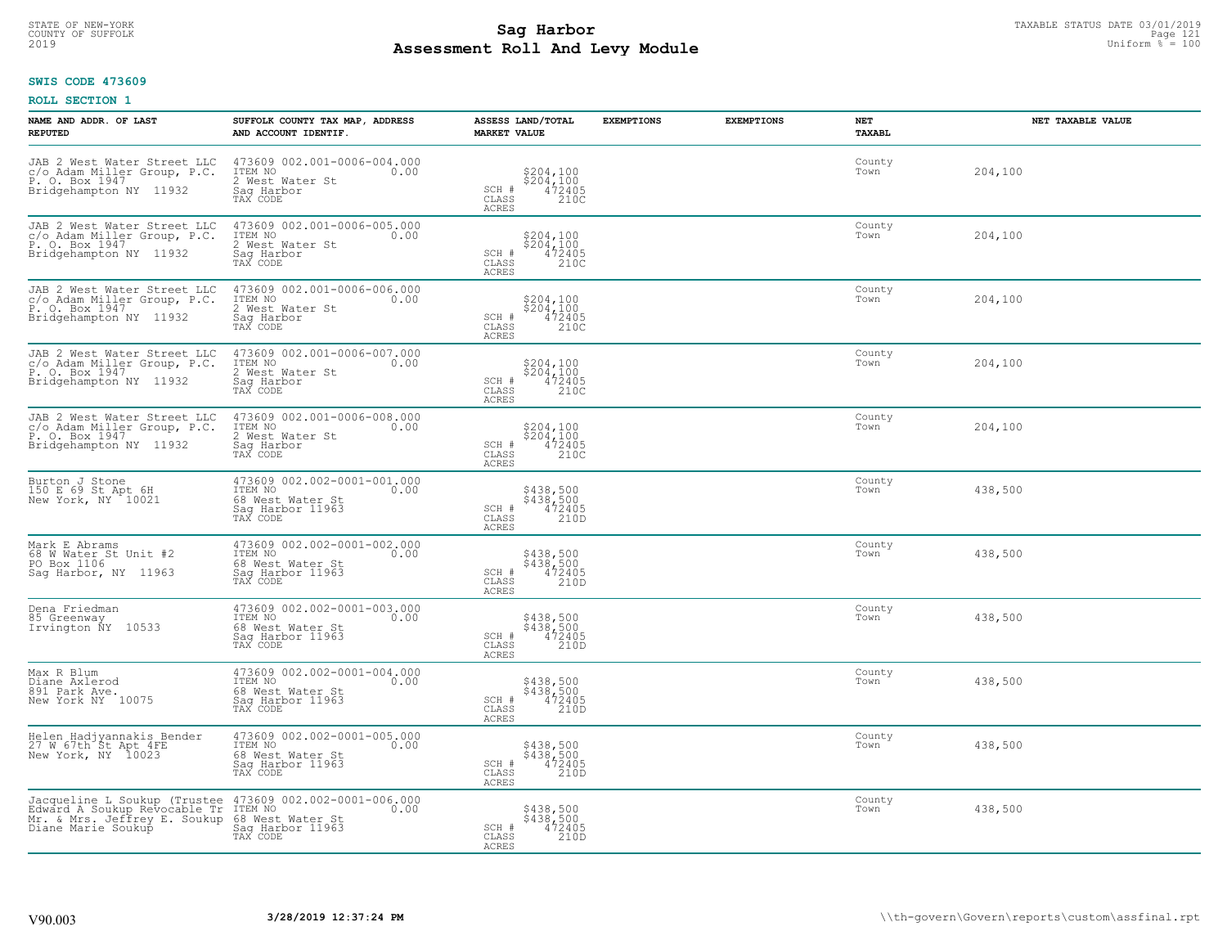#### **SWIS CODE 473609**

| NAME AND ADDR. OF LAST<br><b>REPUTED</b>                                                                           | SUFFOLK COUNTY TAX MAP, ADDRESS<br>AND ACCOUNT IDENTIF.                                                     | ASSESS LAND/TOTAL<br><b>MARKET VALUE</b>                                                    | <b>EXEMPTIONS</b> | <b>EXEMPTIONS</b> | NET<br><b>TAXABL</b> | NET TAXABLE VALUE |
|--------------------------------------------------------------------------------------------------------------------|-------------------------------------------------------------------------------------------------------------|---------------------------------------------------------------------------------------------|-------------------|-------------------|----------------------|-------------------|
| JAB 2 West Water Street LLC<br>c/o Adam Miller Group, P.C.<br>P. O. Box 1947<br>Bridgehampton NY 11932             | 473609 002.001-0006-004.000<br>TTEM NO 0.00<br>2 West Water St<br>Saq Harbor<br>TAX CODE                    | \$204,100<br>\$204,100<br>472405<br>210C<br>SCH #<br>CLASS<br><b>ACRES</b>                  |                   |                   | County<br>Town       | 204,100           |
| JAB 2 West Water Street LLC<br>c/o Adam Miller Group, P.C.<br>P. O. Box 1947<br>Bridgehampton NY 11932             | 473609 002.001-0006-005.000<br>ITEM NO<br>0.00<br>2 West Water St<br>Sag Harbor<br>TAX CODE                 | \$204,100<br>\$204,100<br>472405<br>SCH #<br>210C<br>CLASS<br><b>ACRES</b>                  |                   |                   | County<br>Town       | 204,100           |
| JAB 2 West Water Street LLC<br>c/o Adam Miller Group, P.C.<br>P. O. Box 1947<br>Bridgehampton NY 11932             | 473609 002.001-0006-006.000<br>ITEM NO<br>2 West Water St<br>Sag Harbor<br>0.00<br>TAX CODE                 | \$204,100<br>\$204,100<br>472405<br>SCH #<br>210C<br>CLASS<br><b>ACRES</b>                  |                   |                   | County<br>Town       | 204,100           |
| JAB 2 West Water Street LLC<br>c/o Adam Miller Group, P.C.<br>P. O. Box 1947<br>Bridgehampton NY 11932             | 473609 002.001-0006-007.000<br>ITEM NO<br>0.00<br>2 West Water St<br>Saq Harbor<br>TAX CODE                 | $$204, 100$<br>$$204, 100$<br>SCH #<br>$\frac{47\bar{2}405}{210C}$<br>CLASS<br><b>ACRES</b> |                   |                   | County<br>Town       | 204,100           |
| JAB 2 West Water Street LLC<br>c/o Adam Miller Group, P.C.<br>P. O. Box 1947<br>Bridgehampton NY 11932             | 473609 002.001-0006-008.000<br>0.00 0.00<br>2 West Water St<br>Sag Harbor<br>TAX CODE                       | \$204,100<br>\$204,100<br>472405<br>210C<br>SCH #<br>CLASS<br><b>ACRES</b>                  |                   |                   | County<br>Town       | 204,100           |
| Burton J Stone<br>150 E 69 St Apt 6H<br>New York, NY 10021                                                         | 473609 002.002-0001-001.000<br>ITEM NO<br>0.00<br>68 West Water St<br>Sag Harbor 11963<br>TAX CODE          | \$438,500<br>\$438,500<br>472405<br>210D<br>SCH #<br>CLASS<br><b>ACRES</b>                  |                   |                   | County<br>Town       | 438,500           |
| Mark E Abrams<br>68 W Water St Unit #2<br>PO Box 1106<br>Saq Harbor, NY 11963                                      | 473609 002.002-0001-002.000<br>ITEM NO<br>0.00<br>68 West Water St<br>Sag Harbor 11963<br>TAX CODE          | \$438,500<br>\$438,500<br>472405<br>210D<br>SCH #<br>$\mathtt{CLASS}$<br><b>ACRES</b>       |                   |                   | County<br>Town       | 438,500           |
| Dena Friedman<br>85 Greenway<br>Irvington NY 10533                                                                 | 473609 002.002-0001-003.000<br>TTEM NO 0.00<br>--------<br>68 West Water St<br>Saq Harbor 11963<br>TAX CODE | \$438,500<br>\$438,500<br>472405<br>SCH #<br>CLASS<br>210D<br><b>ACRES</b>                  |                   |                   | County<br>Town       | 438,500           |
| Max R Blum<br>Diane Axlerod<br>891 Park Ave.<br>New York NY 10075                                                  | 473609 002.002-0001-004.000<br>TTEM NO 0.00<br>68 West Water St<br>Saq Harbor 11963<br>TAX CODE             | \$438,500<br>\$438,500<br>472405<br>210D<br>SCH #<br>CLASS<br><b>ACRES</b>                  |                   |                   | County<br>Town       | 438,500           |
| Helen Hadjyannakis Bender<br>27 W 67th St Apt 4FE<br>New York, NY 10023                                            | 473609 002.002-0001-005.000<br>ITEM NO 0.00<br>68 West Water St<br>Sag Harbor 11963<br>TAX CODE             | \$438,500<br>\$438,500<br>472405<br>210D<br>SCH #<br>CLASS<br><b>ACRES</b>                  |                   |                   | County<br>Town       | 438,500           |
| Jacqueline L Soukup (Trustee<br>Edward A Soukup Revocable Tr<br>Mr. & Mrs. Jeffrey E. Soukup<br>Diane Marie Soukup | 473609 002.002-0001-006.000<br>ITEM NO 0.00<br>68 West Water St<br>Sag Harbor 11963<br>TAX CODE             | \$438,500<br>\$438,500<br>SCH #<br>472405<br>210D<br>CLASS<br><b>ACRES</b>                  |                   |                   | County<br>Town       | 438,500           |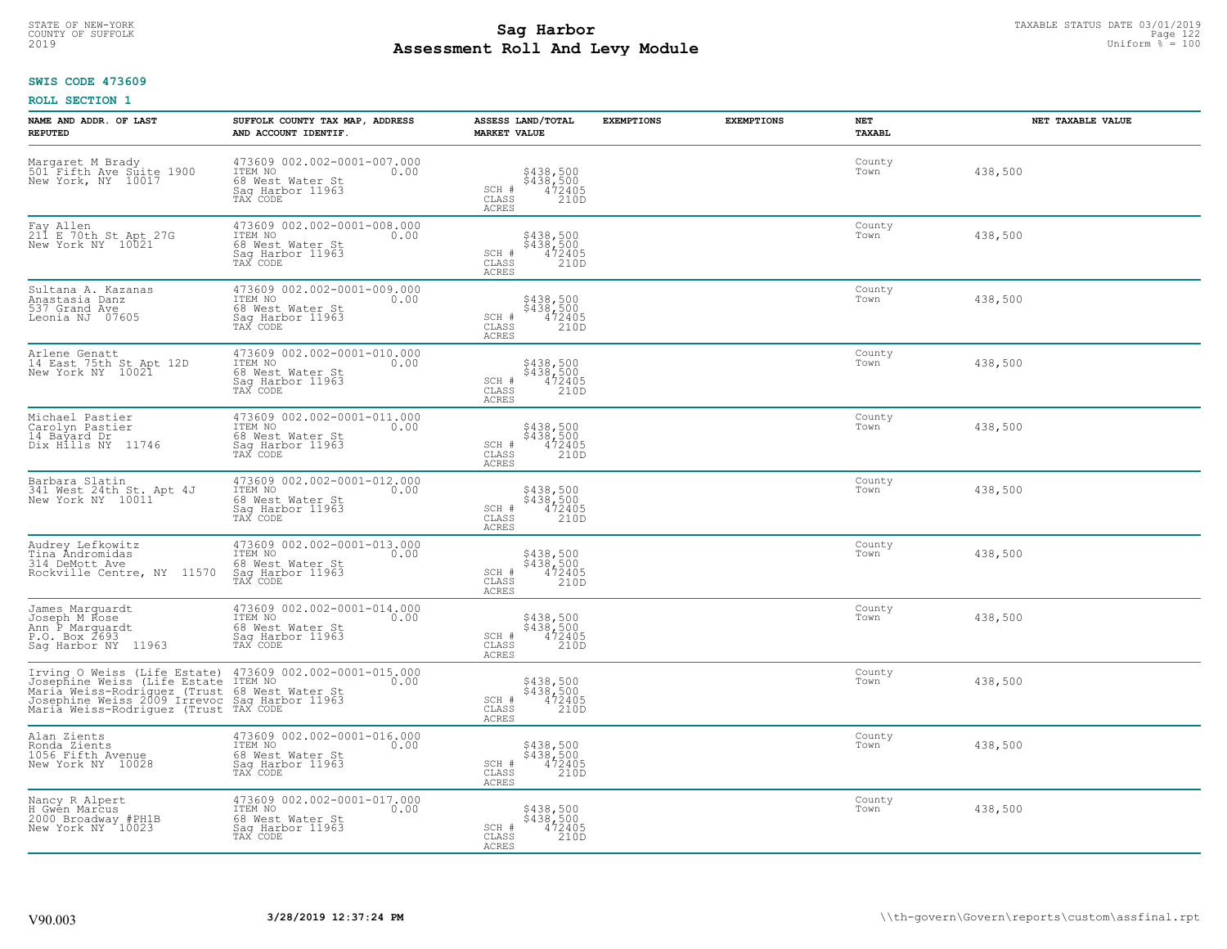# STATE OF NEW-YORK TAXABLE STATUS DATE 03/01/2019<br>COUNTY OF SUFFOLK Page 122 **Assessment Roll And Levy Module** 2019 Uniform % = 100

#### **SWIS CODE 473609**

| NAME AND ADDR. OF LAST<br><b>REPUTED</b>                                                                                                                                                                                                  | SUFFOLK COUNTY TAX MAP, ADDRESS<br>AND ACCOUNT IDENTIF.                                            | ASSESS LAND/TOTAL<br><b>MARKET VALUE</b>                                       | <b>EXEMPTIONS</b> | <b>EXEMPTIONS</b> | NET<br>TAXABL  | NET TAXABLE VALUE |
|-------------------------------------------------------------------------------------------------------------------------------------------------------------------------------------------------------------------------------------------|----------------------------------------------------------------------------------------------------|--------------------------------------------------------------------------------|-------------------|-------------------|----------------|-------------------|
| Margaret M Brady<br>501 Fifth Ave Suite 1900<br>New York, NY 10017                                                                                                                                                                        | 473609 002.002-0001-007.000<br>ITEM NO<br>0.00<br>68 West Water St<br>Saq Harbor 11963<br>TAX CODE | \$438,500<br>\$438,500<br>472405<br>SCH #<br>CLASS<br>210D<br>ACRES            |                   |                   | County<br>Town | 438,500           |
| Fay Allen<br>211 E 70th St Apt 27G<br>New York NY 10021                                                                                                                                                                                   | 473609 002.002-0001-008.000<br>ITEM NO<br>0.00<br>68 West Water St<br>Sag Harbor 11963<br>TAX CODE | \$438,500<br>\$438,500<br>472405<br>SCH #<br>CLASS<br>210D<br>ACRES            |                   |                   | County<br>Town | 438,500           |
| Sultana A. Kazanas<br>Anastasia Danz<br>537 Grand Ave<br>Leonia NJ 07605                                                                                                                                                                  | 473609 002.002-0001-009.000<br>ITEM NO<br>0.00<br>68 West Water St<br>Sag Harbor 11963<br>TAX CODE | \$438,500<br>\$438,500<br>472405<br>210D<br>$\texttt{SCH}$ #<br>CLASS<br>ACRES |                   |                   | County<br>Town | 438,500           |
| Arlene Genatt<br>14 East 75th St Apt 12D<br>New York NY 10021                                                                                                                                                                             | 473609 002.002-0001-010.000<br>ITEM NO<br>0.00<br>68 West Water St<br>Saq Harbor 11963<br>TAX CODE | \$438,500<br>\$438,500<br>472405<br>SCH #<br>$\mathtt{CLASS}$<br>210D<br>ACRES |                   |                   | County<br>Town | 438,500           |
| Michael Pastier<br>Carolyn Pastier<br>14 Bayard Dr<br>Dix Hills NY 11746                                                                                                                                                                  | 473609 002.002-0001-011.000<br>ITEM NO<br>0.00<br>68 West Water St<br>Saq Harbor 11963<br>TAX CODE | \$438,500<br>\$438,500<br>472405<br>SCH #<br>CLASS<br>210D<br>ACRES            |                   |                   | County<br>Town | 438,500           |
| Barbara Slatin<br>341 West 24th St. Apt 4J<br>New York NY 10011                                                                                                                                                                           | 473609 002.002-0001-012.000<br>ITEM NO<br>0.00<br>68 West Water St<br>Sag Harbor 11963<br>TAX CODE | \$438,500<br>\$438,500<br>472405<br>210D<br>SCH #<br>CLASS<br>ACRES            |                   |                   | County<br>Town | 438,500           |
| Audrey Lefkowitz<br>Tina Åndromidas<br>314 DeMott Ave<br>Rockville Centre, NY 11570                                                                                                                                                       | 473609 002.002-0001-013.000<br>ITEM NO<br>0.00<br>68 West Water St<br>Sag Harbor 11963<br>TAX CODE | \$438,500<br>\$438,500<br>472405<br>210D<br>SCH #<br>CLASS<br>ACRES            |                   |                   | County<br>Town | 438,500           |
| James Marquardt<br>Joseph M Rose<br>Ann P Marquardt<br>P.O. Box 2693<br>Sag Harbor NY 11963                                                                                                                                               | 473609 002.002-0001-014.000<br>ITEM NO<br>0.00<br>68 West Water St<br>Saq Harbor 11963<br>TAX CODE | \$438,500<br>\$438,500<br>472405<br>210D<br>SCH #<br>CLASS<br>ACRES            |                   |                   | County<br>Town | 438,500           |
| Irving O Weiss (Life Estate) 473609 002.002-0001-015.000<br>Josephine Weiss (Life Estate ITEM NO<br>Maria Weiss-Rodriguez (Trust 68 West Water St<br>Josephine Weiss-Rodriguez (Trust 68 West Water 11963<br>Maria Weiss-Rodriguez (Trust |                                                                                                    | \$438,500<br>\$438,500<br>472405<br>210D<br>SCH #<br>CLASS<br>ACRES            |                   |                   | County<br>Town | 438,500           |
| Alan Zients<br>Ronda Zients<br>1056 Fifth Avenue<br>New York NY 10028                                                                                                                                                                     | 473609 002.002-0001-016.000<br>ITEM NO<br>0.00<br>68 West Water St<br>Sag Harbor 11963<br>TAX CODE | \$438,500<br>\$438,500<br>472405<br>SCH #<br>210D<br>CLASS<br>ACRES            |                   |                   | County<br>Town | 438,500           |
| Nancy R Alpert<br>H Gwên Marcus<br>2000 Broadway #PH1B<br>New York NY 10023                                                                                                                                                               | 473609 002.002-0001-017.000<br>ITEM NO<br>0.00<br>68 West Water St<br>Sag Harbor 11963<br>TAX CODE | \$438,500<br>\$438,500<br>SCH #<br>472405<br>CLASS<br>210D<br>ACRES            |                   |                   | County<br>Town | 438,500           |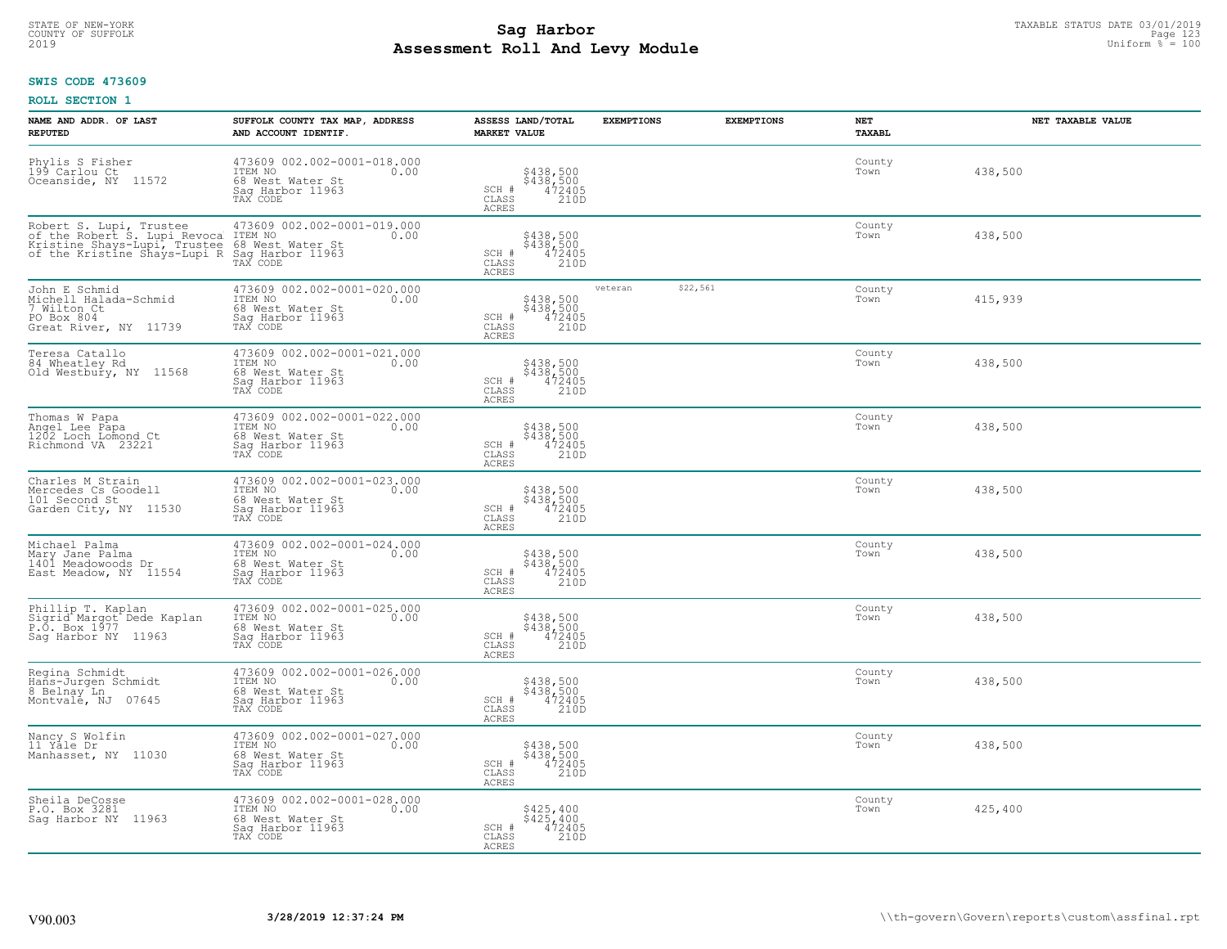# STATE OF NEW-YORK TAXABLE STATUS DATE 03/01/2019<br>COUNTY OF SUFFOLK Page 123 Page 123 **Assessment Roll And Levy Module** 2019 Uniform % = 100

#### **SWIS CODE 473609**

| NAME AND ADDR. OF LAST<br><b>REPUTED</b>                                                                                                                                                        | SUFFOLK COUNTY TAX MAP, ADDRESS<br>AND ACCOUNT IDENTIF.                                            | ASSESS LAND/TOTAL<br><b>MARKET VALUE</b>                                   | <b>EXEMPTIONS</b> |          | <b>EXEMPTIONS</b><br><b>NET</b><br><b>TAXABL</b> |         | NET TAXABLE VALUE |
|-------------------------------------------------------------------------------------------------------------------------------------------------------------------------------------------------|----------------------------------------------------------------------------------------------------|----------------------------------------------------------------------------|-------------------|----------|--------------------------------------------------|---------|-------------------|
| Phylis S Fisher<br>199 Carlou Ct<br>Oceanside, NY<br>11572                                                                                                                                      | 473609 002.002-0001-018.000<br>ITEM NO<br>0.00<br>68 West Water St<br>Saq Harbor 11963<br>TAX CODE | \$438,500<br>\$438,500<br>472405<br>210D<br>SCH #<br>CLASS<br><b>ACRES</b> |                   |          | County<br>Town                                   | 438,500 |                   |
| Robert S. Lupi, Trustee 473609 002.002-00<br>of the Robert S. Lupi Revoca ITEM NO<br>Kristine Shays-Lupi, Trustee 68 West Water St<br>of the Kristine Shays-Lupi R Sag Harbor 11963<br>TAX CODE | 473609 002.002-0001-019.000<br>0.00 0.00                                                           | \$438,500<br>\$438,500<br>472405<br>SCH #<br>210D<br>CLASS<br><b>ACRES</b> |                   |          | County<br>Town                                   | 438,500 |                   |
| John E Schmid<br>Michell Halada-Schmid<br>7 Wilton Ct<br>PO Box 804<br>Great River, NY 11739                                                                                                    | 473609 002.002-0001-020.000<br>ITEM NO<br>0.00<br>68 West Water St<br>Sag Harbor 11963<br>TAX CODE | \$438,500<br>\$438,500<br>472405<br>210D<br>SCH #<br>CLASS<br>ACRES        | veteran           | \$22,561 | County<br>Town                                   | 415,939 |                   |
| Teresa Catallo<br>84 Wheatley Rd<br>Old Westbury, NY 11568                                                                                                                                      | 473609 002.002-0001-021.000<br>TTEM NO 0.00<br>68 West Water St<br>Sag Harbor 11963<br>TAX CODE    | \$438,500<br>\$438,500<br>472405<br>210D<br>SCH #<br>CLASS<br>ACRES        |                   |          | County<br>Town                                   | 438,500 |                   |
| Thomas W Papa<br>Angel Lee Papa<br>1202 Loch Lomond Ct<br>Richmond VA 23221                                                                                                                     | 473609 002.002-0001-022.000<br>ITEM NO<br>0.00<br>68 West Water St<br>Saq Harbor 11963<br>TAX CODE | \$438,500<br>\$438,500<br>472405<br>210D<br>SCH #<br>CLASS<br>ACRES        |                   |          | County<br>Town                                   | 438,500 |                   |
| Charles M Strain<br>Mercedes Cs Goodell<br>101 Second St<br>Garden City, NY 11530                                                                                                               | 473609 002.002-0001-023.000<br>ITEM NO<br>0.00<br>68 West Water St<br>Sag Harbor 11963<br>TAX CODE | \$438,500<br>\$438,500<br>472405<br>210D<br>SCH #<br>CLASS<br>ACRES        |                   |          | County<br>Town                                   | 438,500 |                   |
| Michael Palma<br>Mary Jane Palma<br>1401 Meadowoods Dr<br>East Meadow, NY 11554                                                                                                                 | 473609 002.002-0001-024.000<br>ITEM NO<br>0.00<br>68 West Water St<br>Sag Harbor 11963<br>TAX CODE | \$438,500<br>\$438,500<br>472405<br>210D<br>SCH #<br>CLASS<br>ACRES        |                   |          | County<br>Town                                   | 438,500 |                   |
| Phillip T. Kaplan<br>Sigrid Margot Dede Kaplan<br>P.O. Box 1977<br>Sag Harbor NY 11963                                                                                                          | 473609 002.002-0001-025.000<br>ITEM NO<br>0.00<br>68 West Water St<br>Saq Harbor 11963<br>TAX CODE | \$438,500<br>\$438,500<br>472405<br>210D<br>SCH #<br>CLASS<br><b>ACRES</b> |                   |          | County<br>Town                                   | 438,500 |                   |
| Regina Schmidt<br>Hans-Jurgen Schmidt<br>8 Belnay Ln<br>Montvale, NJ 07645                                                                                                                      | 473609 002.002-0001-026.000<br>TTEM NO 0.00<br>68 West Water St<br>Saq Harbor 11963<br>TAX CODE    | \$438,500<br>\$438,500<br>472405<br>210D<br>SCH #<br>CLASS<br><b>ACRES</b> |                   |          | County<br>Town                                   | 438,500 |                   |
| Nancy S Wolfin<br>11 Yale Dr<br>Manhasset, NY 11030                                                                                                                                             | 473609 002.002-0001-027.000<br>ITEM NO<br>0.00<br>68 West Water St<br>Sag Harbor 11963<br>TAX CODE | \$438,500<br>\$438,500<br>472405<br>210D<br>SCH #<br>CLASS<br><b>ACRES</b> |                   |          | County<br>Town                                   | 438,500 |                   |
| Sheila DeCosse<br>P.O. Box 3281<br>Saq Harbor NY 11963                                                                                                                                          | 473609 002.002-0001-028.000<br>ITEM NO<br>0.00<br>68 West Water St<br>Sag Harbor 11963<br>TAX CODE | \$425,400<br>\$425,400<br>472405<br>SCH #<br>210D<br>CLASS<br><b>ACRES</b> |                   |          | County<br>Town                                   | 425,400 |                   |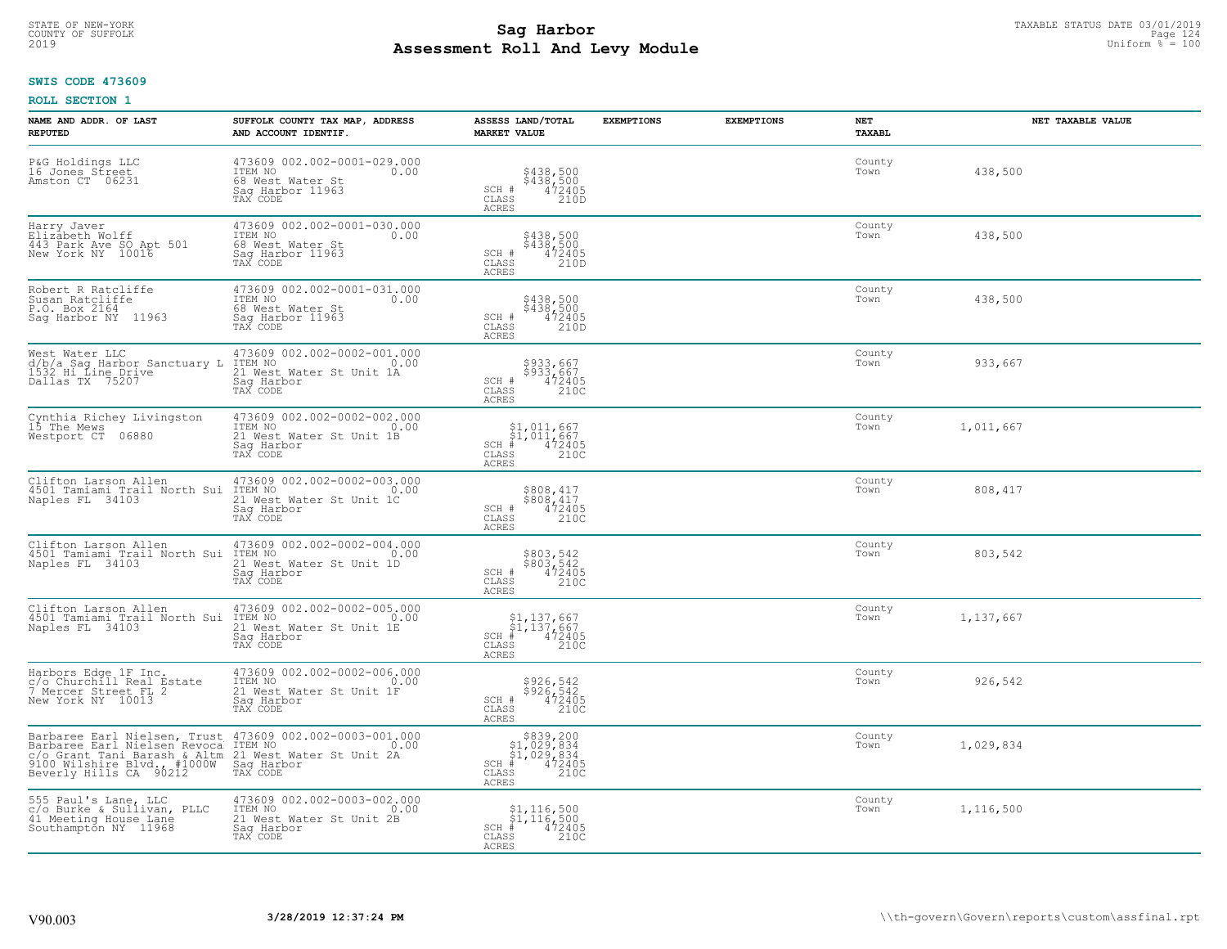# STATE OF NEW-YORK TAXABLE STATUS DATE 03/01/2019<br>COUNTY OF SUFFOLK Page 124 **Assessment Roll And Levy Module** 2019 Uniform % = 100

#### **SWIS CODE 473609**

| NAME AND ADDR. OF LAST<br><b>REPUTED</b>                                                                                                                                                                                                 | SUFFOLK COUNTY TAX MAP, ADDRESS<br>AND ACCOUNT IDENTIF.                                                      | ASSESS LAND/TOTAL<br><b>MARKET VALUE</b>                                                                                       | <b>EXEMPTIONS</b> | <b>EXEMPTIONS</b> | NET<br>TAXABL  | NET TAXABLE VALUE |
|------------------------------------------------------------------------------------------------------------------------------------------------------------------------------------------------------------------------------------------|--------------------------------------------------------------------------------------------------------------|--------------------------------------------------------------------------------------------------------------------------------|-------------------|-------------------|----------------|-------------------|
| P&G Holdings LLC<br>16 Jones Street<br>Amston CT 06231                                                                                                                                                                                   | 473609 002.002-0001-029.000<br>ITEM NO<br>0.00<br>68 West Water St<br>Saq Harbor 11963<br>TAX CODE           | \$438,500<br>\$438,500<br>472405<br>210D<br>SCH #<br>CLASS<br><b>ACRES</b>                                                     |                   |                   | County<br>Town | 438,500           |
| Harry Javer<br>Elizabeth Wolff<br>443 Park Ave SO Apt 501<br>New York NY 10016                                                                                                                                                           | 473609 002.002-0001-030.000<br>ITEM NO<br>0.00<br>68 West Water St<br>Sag Harbor 11963<br>TAX CODE           | \$438,500<br>\$438,500<br>472405<br>SCH #<br>CLASS<br>210D<br>ACRES                                                            |                   |                   | County<br>Town | 438,500           |
| Robert R Ratcliffe<br>Susan Ratcliffe<br>P.O. Box 2164<br>Sag Harbor NY 11963                                                                                                                                                            | 473609 002.002-0001-031.000<br>ITEM NO<br>0.00<br>68 West Water St<br>Sag Harbor 11963<br>TAX CODE           | \$438,500<br>\$438,500<br>472405<br>210D<br>SCH #<br>CLASS<br>ACRES                                                            |                   |                   | County<br>Town | 438,500           |
| West Water LLC<br>d/b/a Sag Harbor Sanctuary L<br>1532 Hi_Line_Drive<br>Dallas TX 75207                                                                                                                                                  | 473609 002.002-0002-001.000<br>1TEM NO 0.00<br>21 West Water St Unit 1A<br>Saq Harbor<br>TAX CODE            | \$933,667<br>$$933,667$<br>$472405$<br>210C<br>SCH #<br>CLASS<br><b>ACRES</b>                                                  |                   |                   | County<br>Town | 933,667           |
| Cynthia Richey Livingston<br>15 The Mews<br>Westport CT 06880                                                                                                                                                                            | 473609 002.002-0002-002.000<br>ITEM NO<br>0.00<br>21 West Water St Unit 1B<br>Saq Harbor<br>TAX CODE         | $$1,011,667$<br>$$1,011,667$<br>$SCH$ $#$<br>$\frac{172405}{2100}$<br>CLASS<br>ACRES                                           |                   |                   | County<br>Town | 1,011,667         |
| Clifton Larson Allen<br>4501 Tamiami Trail North Sui<br>Naples FL 34103                                                                                                                                                                  | 473609 002.002-0002-003.000<br>TTEM NO 0.00<br>ITEM NO<br>21 West Water St Unit 1C<br>Sag Harbor<br>TAX CODE | \$808,417<br>\$808,417<br>SCH #<br>472405<br>CLASS<br>210C<br>ACRES                                                            |                   |                   | County<br>Town | 808,417           |
| Clifton Larson Allen<br>4501 Tamiami Trail North Sui<br>Naples FL 34103                                                                                                                                                                  | 473609 002.002-0002-004.000<br>ITEM NO<br>0.00<br>21 West Water St Unit 1D<br>Sag Harbor<br>TAX CODE         | \$803,542<br>\$803,542<br>472405<br>210C<br>SCH #<br>CLASS<br>ACRES                                                            |                   |                   | County<br>Town | 803,542           |
| Clifton Larson Allen<br>4501 Tamiami Trail North Sui<br>Naples FL 34103                                                                                                                                                                  | 473609 002.002-0002-005.000<br>0.00 0.00<br>21 West Water St Unit 1E<br>Saq Harbor<br>TAX CODE               | $\begin{array}{l} $1,137,667\\ $1,137,667\\ * &472405\\ * &210C \end{array}$<br>$SCH$ #<br>CLASS<br>ACRES                      |                   |                   | County<br>Town | 1,137,667         |
| Harbors Edge 1F Inc.<br>c/o Churchill Real Estate<br>7 Mercer Street FL 2<br>New York NY 10013                                                                                                                                           | 473609 002.002-0002-006.000<br>TTEM NO 0.00<br>21 West Water St Unit 1F<br>Saq Harbor<br>TAX CODE            | \$926,542<br>\$926,542<br>472405<br>210C<br>SCH #<br>CLASS<br>ACRES                                                            |                   |                   | County<br>Town | 926,542           |
| Barbaree Earl Nielsen, Trust 473609 002.002-0003-001.000<br>Barbaree Earl Nielsen Revoca ITEM NO<br>CONSTRAINT TRANSPORTED A SALEM 21 West Water St Unit 2A<br>9100 Wilshire Blvd., #1000W Sag Harbor<br>Beverly Hills CA 90212 TAX CODE |                                                                                                              | $\begin{array}{r} $839,200$ \\ $1,029,834$ \\ $1,029,834$ \\ # 472405$ \\ ss \\ 210C \end{array}$<br>$SCH$ #<br>CLASS<br>ACRES |                   |                   | County<br>Town | 1,029,834         |
| 555 Paul's Lane, LLC<br>c/o Burke & Sullivan, PLLC<br>41 Meeting House Lane<br>Southampton NY 11968                                                                                                                                      | 473609 002.002-0003-002.000<br>ITEM NO 0.00<br>21 West Water St Unit 2B<br>Sag Harbor<br>TAX CODE            | $\begin{array}{l} $1,116,500\\ $1,116,500\\ * &472405\\ * &2100 \end{array}$<br>$SCH$ #<br>CLASS<br>ACRES                      |                   |                   | County<br>Town | 1,116,500         |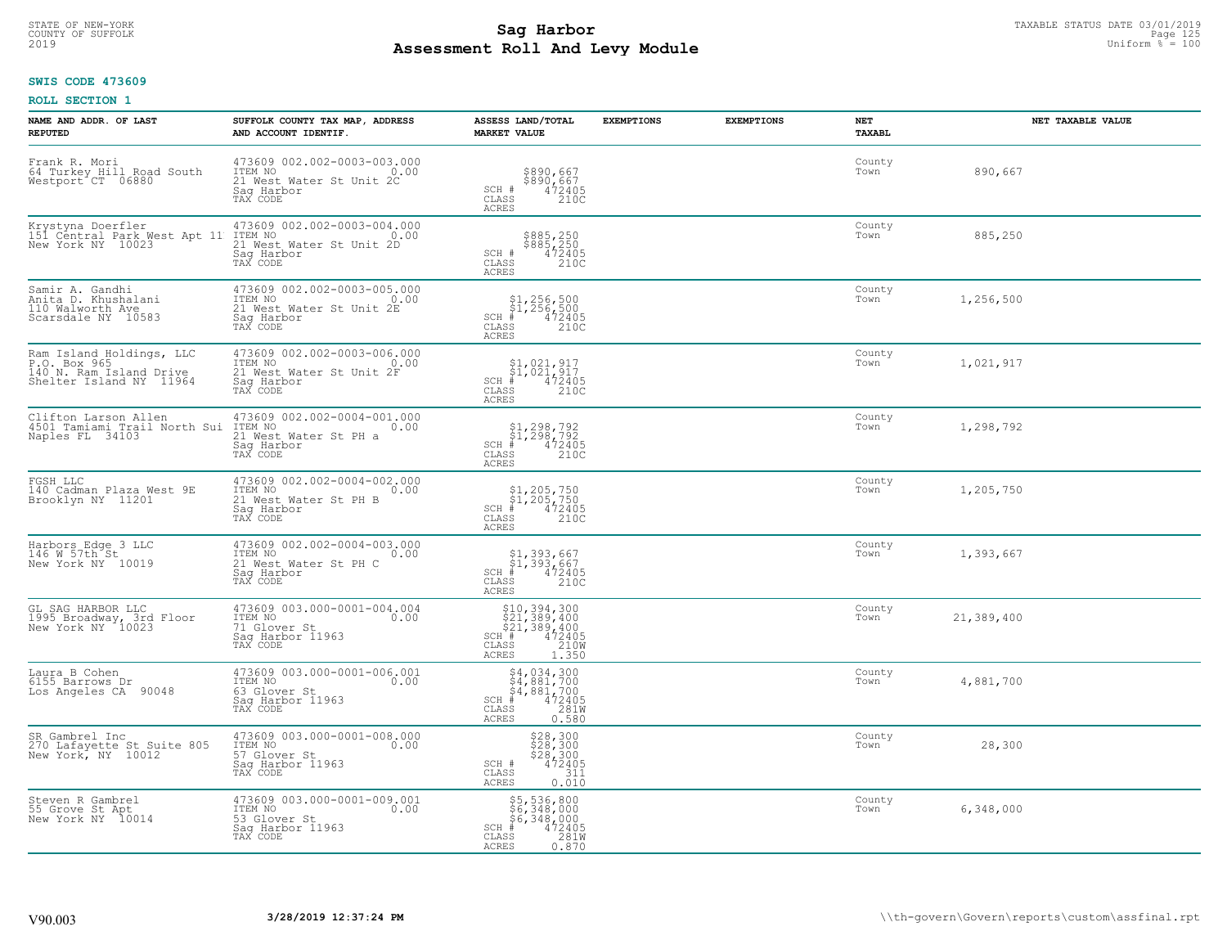# STATE OF NEW-YORK TAXABLE STATUS DATE 03/01/2019<br>COUNTY OF SUFFOLK Page 125 and the state of the state of the state of the state of the state of the state of th **Assessment Roll And Levy Module** 2019 Uniform % = 100

#### **SWIS CODE 473609**

| NAME AND ADDR. OF LAST<br><b>REPUTED</b>                                                       | SUFFOLK COUNTY TAX MAP, ADDRESS<br>AND ACCOUNT IDENTIF.                                                   | ASSESS LAND/TOTAL<br><b>MARKET VALUE</b>                                                                                             | <b>EXEMPTIONS</b> | <b>EXEMPTIONS</b> | <b>NET</b><br><b>TAXABL</b> | NET TAXABLE VALUE |
|------------------------------------------------------------------------------------------------|-----------------------------------------------------------------------------------------------------------|--------------------------------------------------------------------------------------------------------------------------------------|-------------------|-------------------|-----------------------------|-------------------|
| Frank R. Mori<br>64 Turkey Hill Road South<br>Westport CT 06880                                | 473609 002.002-0003-003.000<br>TTEM NO 0.00<br>21 West Water St Unit 2C<br>Saq Harbor<br>TAX CODE         | \$890,667<br>\$890,667<br>472405<br>$SCH$ #<br>CLASS<br>210C<br><b>ACRES</b>                                                         |                   |                   | County<br>Town              | 890,667           |
| Krystyna Doerfler<br>151 Central Park West Apt 11<br>New York NY 10023                         | 473609 002.002-0003-004.000<br>ITEM NO<br>0.00<br>21 West Water St Unit 2D<br>Sag Harbor<br>TAX CODE      | \$885,250<br>\$885,250<br>472405<br>210C<br>SCH #<br>CLASS<br><b>ACRES</b>                                                           |                   |                   | County<br>Town              | 885,250           |
| Samir A. Gandhi<br>Anita D. Khushalani<br>110 Walworth Ave<br>Scarsdale NY 10583               | 473609 002.002-0003-005.000<br>ITEM NO<br>0.00<br>21 West Water St Unit 2E<br>Sag Harbor<br>TAX CODE      | $$1, 256, 500$<br>$$1, 256, 500$<br>$*$ 472405<br>$2100$<br>$SCH$ #<br>CLASS<br>ACRES                                                |                   |                   | County<br>Town              | 1,256,500         |
| Ram Island Holdings, LLC<br>P.O. Box 965<br>140 N. Ram Island Drive<br>Shelter Island NY 11964 | 473609 002.002-0003-006.000<br>TTEM NO 0.00<br>0.00<br>21 West Water St Unit 2F<br>Saq Harbor<br>TAX CODE | $$1,021,917$<br>$$1,021,917$<br>SCH #<br>472405<br>CLASS<br>210C<br>ACRES                                                            |                   |                   | County<br>Town              | 1,021,917         |
| Clifton Larson Allen<br>4501 Tamiami Trail North Sui<br>Naples FL 34103                        | 473609 002.002-0004-001.000<br>ITEM NO<br>0.00<br>21 West Water St PH a<br>Saq Harbor<br>TAX CODE         | $$1, 298, 792$<br>$$1, 298, 792$<br>$# 472405$<br>$35$<br>210C<br>$SCH$ #<br>CLASS<br><b>ACRES</b>                                   |                   |                   | County<br>Town              | 1,298,792         |
| FGSH LLC<br>140 Cadman Plaza West 9E<br>Brooklyn NY 11201                                      | 473609 002.002-0004-002.000<br>ITEM NO<br>0.00<br>21 West Water St PH B<br>Sag Harbor<br>TAX CODE         | \$1,205,750<br>\$1,205,750<br># 472405<br>\$ 210C<br>SCH #<br>CLASS<br>ACRES                                                         |                   |                   | County<br>Town              | 1,205,750         |
| Harbors Edge 3 LLC<br>146 W 57th St<br>New York NY 10019                                       | 473609 002.002-0004-003.000<br>ITEM NO<br>0.00<br>21 West Water St PH C<br>Sag Harbor<br>TAX CODE         | \$1,393,667<br>\$1,393,667<br>#472405<br>$SCH$ #<br>210C<br>CLASS<br><b>ACRES</b>                                                    |                   |                   | County<br>Town              | 1,393,667         |
| GL SAG HARBOR LLC<br>1995 Broadway, 3rd Floor<br>New York NY 10023                             | 473609 003.000-0001-004.004<br>ITEM NO<br>0.00<br>71 Glover St<br>Saq Harbor 11963<br>TAX CODE            | $510, 394, 300$<br>$521, 389, 400$<br>$521, 389, 400$<br>$1 + 472405$<br>$155$<br>$1210M$<br>SCH #<br>CLASS<br><b>ACRES</b><br>1.350 |                   |                   | County<br>Town              | 21,389,400        |
| Laura B Cohen<br>6155 Barrows Dr<br>Los Angeles CA 90048                                       | 473609 003.000-0001-006.001<br>TTEM NO 0.00<br>63 Glover St<br>Saq Harbor 11963<br>TAX CODE               | $$4, 034, 300$<br>$$4, 881, 700$<br>$$4, 881, 700$<br>$472405$<br>$$281M$<br>$$281M$<br>$SCH$ #<br>CLASS<br><b>ACRES</b><br>0.580    |                   |                   | County<br>Town              | 4,881,700         |
| SR Gambrel Inc<br>270 Lafayette St Suite 805<br>New York, NY 10012                             | 473609 003.000-0001-008.000<br>ITEM NO<br>0.00<br>57 Glover St<br>Sag Harbor 11963<br>TAX CODE            | \$28,300<br>\$28,300<br>\$28,300<br>\$28,300<br>SCH #<br>31ĭ<br>CLASS<br>0.010<br><b>ACRES</b>                                       |                   |                   | County<br>Town              | 28,300            |
| Steven R Gambrel<br>55 Grove St Apt<br>New York NY 10014                                       | 473609 003.000-0001-009.001<br>ITEM NO<br>0.00<br>53 Glover St<br>Sag Harbor 11963<br>TAX CODE            | \$5,536,800<br>\$6,348,000<br>\$6,348,000<br>$SCH$ #<br>472405<br>281W<br>CLASS<br>ACRES<br>0.870                                    |                   |                   | County<br>Town              | 6,348,000         |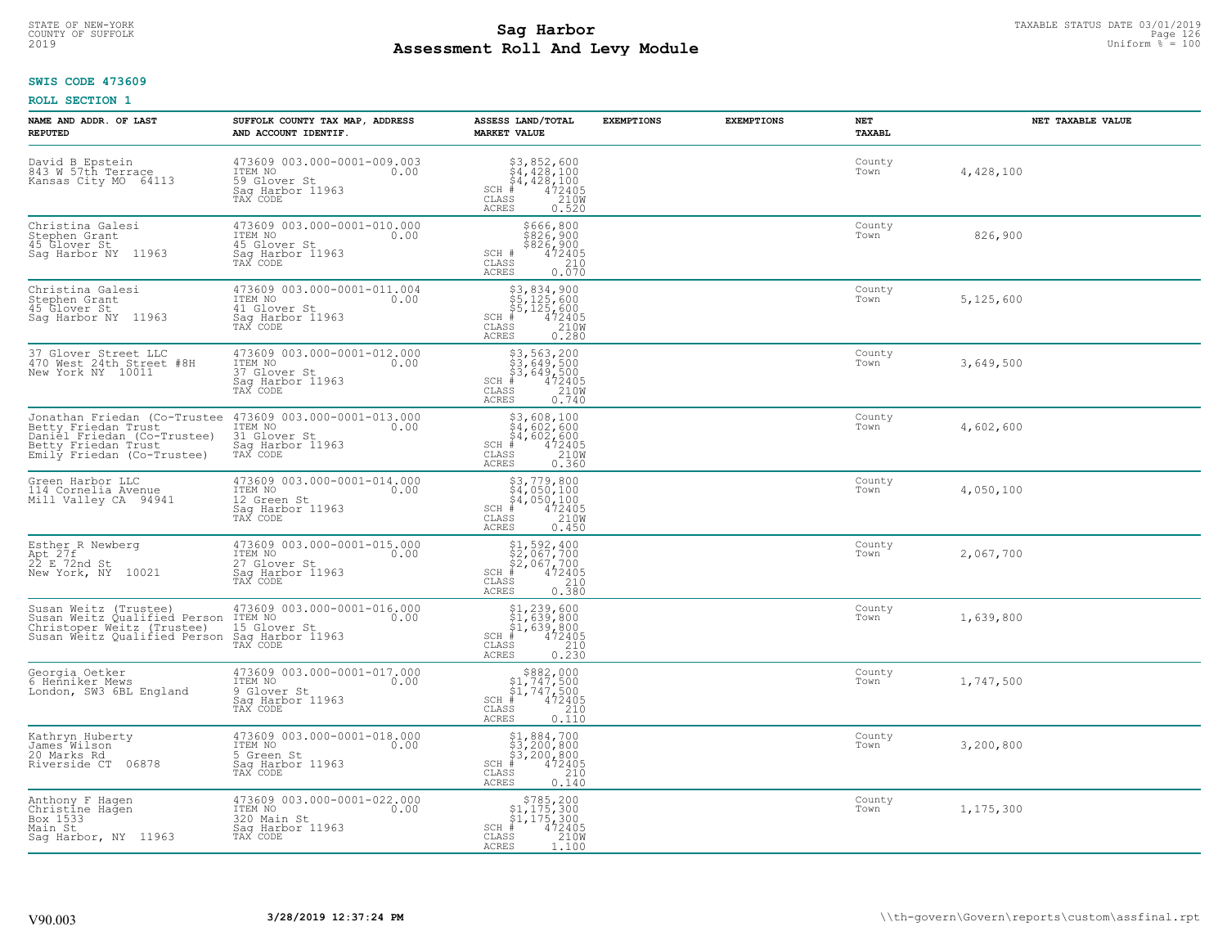# STATE OF NEW-YORK TAXABLE STATUS DATE 03/01/2019<br>COUNTY OF SUFFOLK Page 126 Page 126 **Assessment Roll And Levy Module** 2019 Uniform % = 100

# **SWIS CODE 473609**

| NAME AND ADDR. OF LAST<br><b>REPUTED</b>                                                                                                | SUFFOLK COUNTY TAX MAP, ADDRESS<br>AND ACCOUNT IDENTIF.                                                                                        | ASSESS LAND/TOTAL<br><b>MARKET VALUE</b>                                                                                                                                                                                                                                                                                                                                                                                                                                                                                            | <b>EXEMPTIONS</b> | <b>EXEMPTIONS</b> | NET<br><b>TAXABL</b> | NET TAXABLE VALUE |
|-----------------------------------------------------------------------------------------------------------------------------------------|------------------------------------------------------------------------------------------------------------------------------------------------|-------------------------------------------------------------------------------------------------------------------------------------------------------------------------------------------------------------------------------------------------------------------------------------------------------------------------------------------------------------------------------------------------------------------------------------------------------------------------------------------------------------------------------------|-------------------|-------------------|----------------------|-------------------|
| David B Epstein<br>843 W 57th Terrace<br>Kansas City MO 64113                                                                           | 473609 003.000-0001-009.003<br>ITEM NO<br>0.00<br>59 Glover St<br>Sag Harbor 11963<br>TAX CODE                                                 | $$3,852,600$<br>$$4,428,100$<br>$$4,428,100$<br>$*$<br>$472405$<br>$*$<br>$2100$<br>$SCH$ #<br>$\mathtt{CLASS}$<br>ACRES<br>0.520                                                                                                                                                                                                                                                                                                                                                                                                   |                   |                   | County<br>Town       | 4,428,100         |
| Christina Galesi<br>Stephen Grant<br>45 Glover St<br>Sag Harbor NY 11963                                                                | 473609 003.000-0001-010.000<br>ITEM NO<br>0.00<br>45 Glover St<br>Saq Harbor 11963<br>TAX CODE                                                 | \$666,800<br>\$826,900<br>\$826,900<br>472405<br>SCH #<br>CLASS<br>$\frac{210}{0.070}$<br><b>ACRES</b>                                                                                                                                                                                                                                                                                                                                                                                                                              |                   |                   | County<br>Town       | 826,900           |
| Christina Galesi<br>Stephen Grant<br>45 Glover St<br>Saq Harbor NY 11963                                                                | 473609 003.000-0001-011.004<br>ITEM NO<br>0.00<br>41 Glover St<br>Sag Harbor 11963<br>TAX CODE                                                 | $\begin{array}{r} \text{\small $53$, 834$, 900} \\ \text{\small $55$, 125,600} \\ \text{\small $55$, 125,600} \\ \text{\small $4$} \\ \text{\small $72405} \\ \text{\small $85$} \\ \text{\small $15$} \\ \text{\small $15$} \\ \text{\small $1600} \\ \text{\small $18$} \\ \text{\small $18$} \\ \text{\small $18$} \end{array}$<br>$SCH$ #<br>CLASS<br><b>ACRES</b>                                                                                                                                                              |                   |                   | County<br>Town       | 5,125,600         |
| 37 Glover Street LLC<br>470 West 24th Street #8H<br>New York NY 10011                                                                   | 473609 003.000-0001-012.000<br>ITEM NO<br>0.00<br>37 Glover St<br>Saq Harbor 11963<br>TAX CODE                                                 | $\begin{array}{r} \text{\small $53$, 563, 200} \\ \text{\small $53$, 649, 500} \\ \text{\small $53$, 649, 500} \\ \text{\small $+$} \\ \text{\small $+$} \\ \text{\small $+$} \\ \text{\small $+$} \\ \text{\small $+$} \\ \text{\small $+$} \\ \text{\small $+$} \\ \text{\small $+$} \\ \text{\small $+$} \\ \text{\small $+$} \\ \text{\small $+$} \\ \text{\small $+$} \\ \text{\small $+$} \\ \text{\small $+$} \\ \text{\small $+$} \\ \text{\small $+$} \\ \text{\small $+$} \\ \text{\$<br>$SCH$ #<br>CLASS<br><b>ACRES</b> |                   |                   | County<br>Town       | 3,649,500         |
| Jonathan Friedan (Co-Trustee<br>Betty Friedan Trust<br>Daniel Friedan (Co-Trustee)<br>Betty Friedan Trust<br>Emily Friedan (Co-Trustee) | 473609 003.000-0001-013.000<br>ITEM NO<br>0.00<br>31 Glover St<br>Saq Harbor 11963<br>TAX CODE                                                 | $\begin{array}{r} 53,608,100 \\ 54,602,600 \\ 54,602,600 \\ \pm \\ 4,72405 \\ \text{ss} \\ 210W \\ \text{ss} \\ 0.360 \end{array}$<br>SCH #<br>CLASS<br>ACRES                                                                                                                                                                                                                                                                                                                                                                       |                   |                   | County<br>Town       | 4,602,600         |
| Green Harbor LLC<br>114 Cornelia Avenue<br>Mill Valley CA 94941                                                                         | 473609 003.000-0001-014.000<br>ITEM NO<br>0.00<br>12 Green St<br>Sag Harbor 11963<br>TAX CODE                                                  | $$3, 779, 800$<br>$$4, 050, 100$<br>$$4, 050, 100$<br>$$4, 050, 100$<br>$472405$<br>$SCH$ #<br>CLASS<br>210W<br><b>ACRES</b><br>0.450                                                                                                                                                                                                                                                                                                                                                                                               |                   |                   | County<br>Town       | 4,050,100         |
| Esther R Newberg<br>Apt 27f<br>22 E 72nd St<br>New York, NY 10021                                                                       | 473609 003.000-0001-015.000<br>ITEM NO<br>0.00<br>27 Glover St<br>Saq Harbor 11963<br>TAX CODE                                                 | $$1,592,400$<br>$$2,067,700$<br>$$2,067,700$<br>$$472405$<br>$SCH$ #<br>CLASS<br>210<br>0.380<br><b>ACRES</b>                                                                                                                                                                                                                                                                                                                                                                                                                       |                   |                   | County<br>Town       | 2,067,700         |
| Christoper Weitz (Trustee)<br>Susan Weitz Qualified Person                                                                              | Susan Weitz (Trustee) 473609 003.000-0001-016.000<br>Susan Weitz Qualified Person ITEM NO 0.00<br>15 Glover St<br>Sag Harbor 11963<br>TAX CODE | $$1, 239, 600$<br>$$1, 639, 800$<br>$$1, 639, 800$<br>$$472405$<br>$SCH$ #<br>CLASS<br>210<br><b>ACRES</b><br>0.230                                                                                                                                                                                                                                                                                                                                                                                                                 |                   |                   | County<br>Town       | 1,639,800         |
| Georgia Oetker<br>6 Henniker Mews<br>London, SW3 6BL England                                                                            | 473609 003.000-0001-017.000<br>ITEM NO 0.00<br>9 Glover St<br>Saq Harbor 11963<br>TAX CODE                                                     | $$882,000$<br>$$1,747,500$<br>$$1,747,500$<br>$*1$<br>$472405$<br>$SCH$ #<br>CLASS<br>210<br><b>ACRES</b><br>0.110                                                                                                                                                                                                                                                                                                                                                                                                                  |                   |                   | County<br>Town       | 1,747,500         |
| Kathryn Huberty<br>James Wilson<br>20 Marks Rd<br>Riverside CT 06878                                                                    | 473609 003.000-0001-018.000<br>ITEM NO<br>0.00<br>5 Green St<br>Sag Harbor 11963<br>TAX CODE                                                   | $$1,884,700$<br>$$3,200,800$<br>$$3,200,800$<br>$$472405$<br>$SCH$ #<br>CLASS<br>210<br><b>ACRES</b><br>0.140                                                                                                                                                                                                                                                                                                                                                                                                                       |                   |                   | County<br>Town       | 3,200,800         |
| Anthony F Hagen<br>Christine Hagen<br>Box 1533<br>Main St<br>Saq Harbor, NY 11963                                                       | 473609 003.000-0001-022.000<br>ITEM NO<br>320 Main St<br>0.00<br>Sag Harbor 11963<br>TAX CODE                                                  | $$785, 200$<br>$$1, 175, 300$<br>$$1, 175, 300$<br>$SCH$ #<br>472405<br>CLASS<br>210W<br><b>ACRES</b><br>1,100                                                                                                                                                                                                                                                                                                                                                                                                                      |                   |                   | County<br>Town       | 1,175,300         |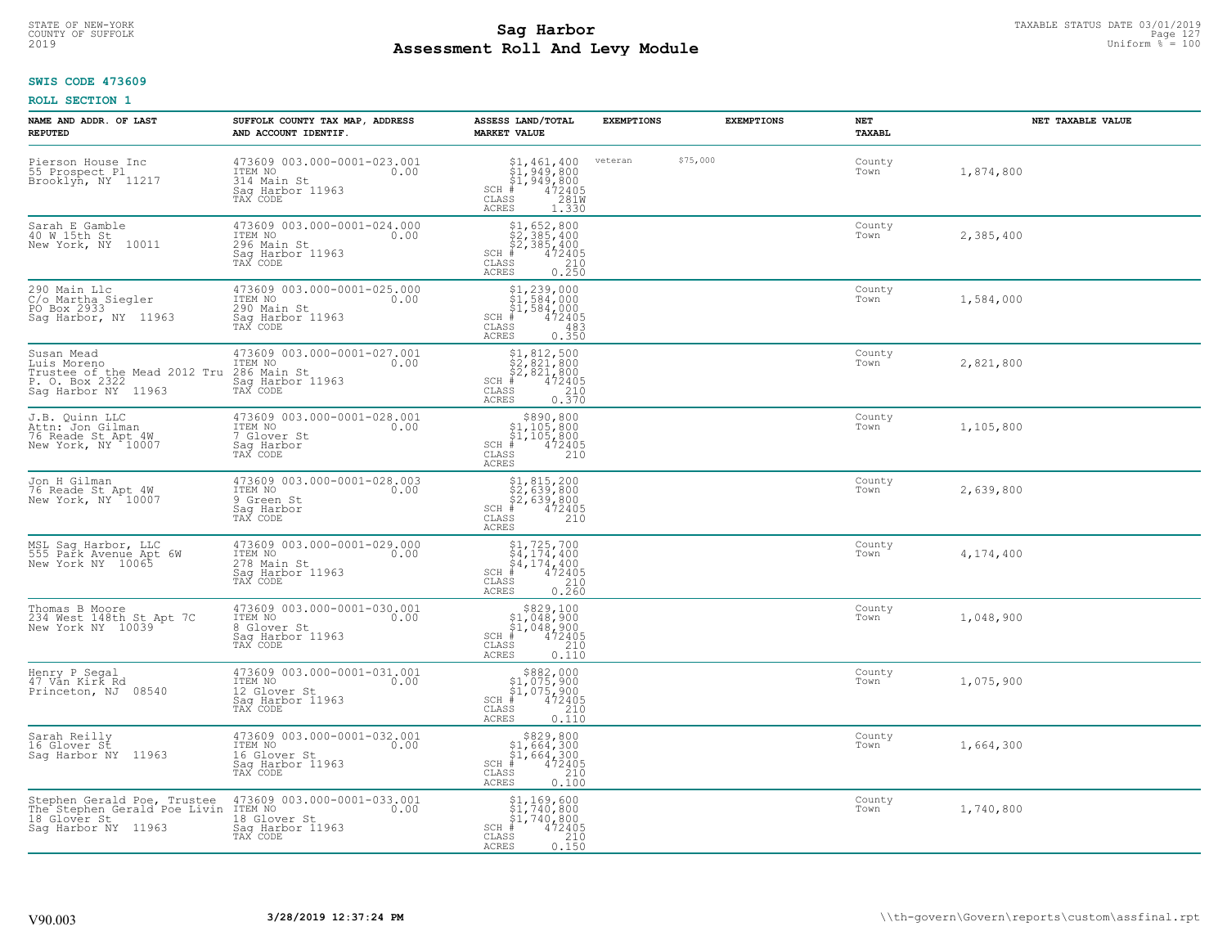# STATE OF NEW-YORK TAXABLE STATUS DATE 03/01/2019<br>COUNTY OF SUFFOLK Page 127 Page 127 **Assessment Roll And Levy Module** 2019 Uniform % = 100

## **SWIS CODE 473609**

| NAME AND ADDR. OF LAST<br><b>REPUTED</b>                                                                                             | SUFFOLK COUNTY TAX MAP, ADDRESS<br>AND ACCOUNT IDENTIF.                                                                                              | ASSESS LAND/TOTAL<br><b>MARKET VALUE</b>                                                                                                           | <b>EXEMPTIONS</b> | <b>EXEMPTIONS</b> | NET<br><b>TAXABL</b> | NET TAXABLE VALUE |
|--------------------------------------------------------------------------------------------------------------------------------------|------------------------------------------------------------------------------------------------------------------------------------------------------|----------------------------------------------------------------------------------------------------------------------------------------------------|-------------------|-------------------|----------------------|-------------------|
| Pierson House Inc<br>55 Prospect Pl<br>Brooklyn, NY 11217                                                                            | 473609 003.000-0001-023.001<br>ITEM NO<br>0.00<br>314 Main St<br>Saq Harbor 11963<br>TAX CODE                                                        | $$^{51}_{51},^{461}_{949},^{400}_{800}$ \$1,949,800<br>\$1,949,800<br># 472405<br>\$3 4281M<br>$SCH$ #<br>CLASS<br><b>ACRES</b><br>1.330           | veteran           | \$75,000          | County<br>Town       | 1,874,800         |
| Sarah E Gamble<br>40 W 15th St<br>New York, NY 10011                                                                                 | 473609 003.000-0001-024.000<br>ITEM NO<br>296 Main St<br>0.00<br>Sag Harbor 11963<br>TAX CODE                                                        | $$2, 385, 400$<br>$$2, 385, 400$<br>$$2, 385, 400$<br>$$472405$<br>$SCH$ #<br>CLASS<br>$\begin{array}{c} 210 \\ 0.250 \end{array}$<br><b>ACRES</b> |                   |                   | County<br>Town       | 2,385,400         |
| 290 Main Llc<br>C/o Martha Siegler<br>PO Box 2933<br>Sag Harbor, NY 11963                                                            | 473609 003.000-0001-025.000<br>ITEM NO<br>0.00<br>290 Main St<br>Saq Harbor 11963<br>TAX CODE                                                        | $$1, 239, 000$<br>$$1, 584, 000$<br>$$1, 584, 000$<br>$$472405$<br>$SCH$ #<br>CLASS<br>483<br>0.350<br>ACRES                                       |                   |                   | County<br>Town       | 1,584,000         |
| Susan Mead<br>Luis Moreno<br>Trustee of the Mead 2012 Tru 286 Main St<br>P. O. Box 2322 Sag Harbor 1<br>Sag Harbor NY 11963 TAX CODE | 473609 003.000-0001-027.001<br>0.00<br>Saq Harbor 11963                                                                                              | $$1, 812, 500$<br>$$2, 821, 800$<br>$$2, 821, 800$<br>$$472405$<br>$SCH$ #<br>CLASS<br>$\frac{210}{0.370}$<br>ACRES                                |                   |                   | County<br>Town       | 2,821,800         |
| J.B. Quinn LLC<br>Attn: Jon Gilman<br>76 Reade St Apt 4W<br>New York, NY 10007                                                       | 473609 003.000-0001-028.001<br>ITEM NO<br>0.00<br>7 Glover St<br>Saq Harbor<br>TAX CODE                                                              | \$890,800<br>$$1,105,800$<br>$$1,105,800$<br>$472405$<br>$SCH$ #<br>CLASS<br>210<br>ACRES                                                          |                   |                   | County<br>Town       | 1,105,800         |
| Jon H Gilman<br>76 Reade St Apt 4W<br>New York, NY 10007                                                                             | 473609 003.000-0001-028.003<br>ITEM NO<br>0.00<br>9 Green St<br>Saq Harbor<br>TAX CODE                                                               | $$1, 815, 200$<br>$$2, 639, 800$<br>$$2, 639, 800$<br>$$472405$<br>$SCH$ #<br>CLASS<br>210<br><b>ACRES</b>                                         |                   |                   | County<br>Town       | 2,639,800         |
| MSL Sag Harbor, LLC<br>555 Park Avenue Apt 6W<br>New York NY 10065                                                                   | 473609 003.000-0001-029.000<br>ITEM NO<br>0.00<br>278 Main St<br>Sag Harbor 11963<br>TAX CODE                                                        | $$4, 174, 400$<br>$$4, 174, 400$<br>$$4, 174, 400$<br>$SCH$ #<br>472405<br>CLASS<br>210<br>0.260<br>ACRES                                          |                   |                   | County<br>Town       | 4,174,400         |
| Thomas B Moore<br>234 West 148th St Apt 7C<br>New York NY 10039                                                                      | 473609 003.000-0001-030.001<br>ITEM NO<br>0.00<br>8 Glover St<br>Saq Harbor 11963<br>TAX CODE                                                        | $$829,100$<br>$$1,048,900$<br>$$1,048,900$<br>$*$ 472405<br>$SCH$ #<br>CLASS<br>210<br><b>ACRES</b><br>0.110                                       |                   |                   | County<br>Town       | 1,048,900         |
| Henry P Segal<br>47 Vån Kirk Rd<br>Princeton, NJ 08540                                                                               | 473609 003.000-0001-031.001<br>ITEM NO<br>0.00<br>12 Glover St<br>Saq Harbor 11963<br>TAX CODE                                                       | $$3882,000\n$1,075,900\n$1,075,900\n$4,72405$<br>$SCH$ #<br>CLASS<br>210<br>ACRES<br>0.110                                                         |                   |                   | County<br>Town       | 1,075,900         |
| Sarah Reilly<br>16 Glover St<br>Sag Harbor NY 11963                                                                                  | 473609 003.000-0001-032.001<br>ITEM NO 0.00<br>16 Glover St<br>Saq Harbor 11963<br>TAX CODE                                                          | \$829,800<br>$$1,664,300$<br>$$1,664,300$<br>$SCH$ #<br>472405<br>CLASS<br>210<br>ACRES<br>0.100                                                   |                   |                   | County<br>Town       | 1,664,300         |
| 18 Glover St<br>Sag Harbor NY 11963                                                                                                  | Stephen Gerald Poe, Trustee 473609 003.000-0001-033.001<br>The Stephen Gerald Poe Livin ITEM NO 0.00<br>18 Glover St<br>Sag Harbor 11963<br>TAX CODE | $$1,169,600$<br>$$1,740,800$<br>$$1,740,800$<br>$SCH$ #<br>472405<br>CLASS<br>0.150<br>ACRES                                                       |                   |                   | County<br>Town       | 1,740,800         |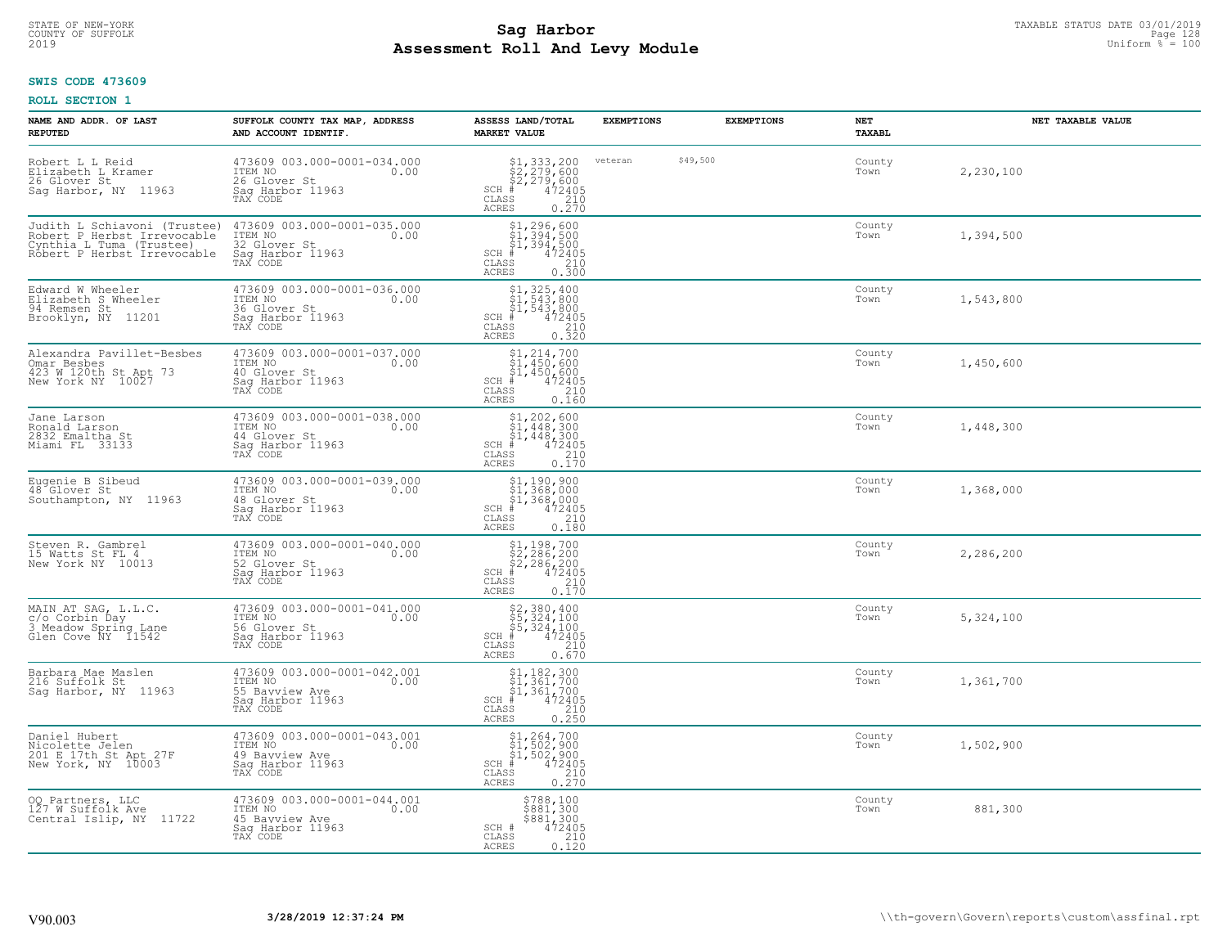# STATE OF NEW-YORK TAXABLE STATUS DATE 03/01/2019<br>COUNTY OF SUFFOLK Page 128 Page 128 **Assessment Roll And Levy Module** 2019 Uniform % = 100

## **SWIS CODE 473609**

| NAME AND ADDR. OF LAST<br><b>REPUTED</b>                                                                               | SUFFOLK COUNTY TAX MAP, ADDRESS<br>AND ACCOUNT IDENTIF.                                          | ASSESS LAND/TOTAL<br><b>MARKET VALUE</b>                                                                                                | <b>EXEMPTIONS</b> |          | <b>EXEMPTIONS</b> | <b>NET</b><br>TAXABL | NET TAXABLE VALUE |
|------------------------------------------------------------------------------------------------------------------------|--------------------------------------------------------------------------------------------------|-----------------------------------------------------------------------------------------------------------------------------------------|-------------------|----------|-------------------|----------------------|-------------------|
| Robert L L Reid<br>Elizabeth L Kramer<br>26 Glover St<br>Sag Harbor, NY 11963                                          | 473609 003.000-0001-034.000<br>ITEM NO<br>0.00<br>26 Glover St<br>Sag Harbor 11963<br>TAX CODE   | \$1,333,200<br>\$2,279,600<br>\$2,279,600<br>#472405<br>$SCH$ #<br>CLASS<br>$\begin{array}{c} 210 \\ 0.270 \end{array}$<br><b>ACRES</b> | veteran           | \$49,500 |                   | County<br>Town       | 2,230,100         |
| Judith L Schiavoni (Trustee)<br>Robert P Herbst Irrevocable<br>Cynthia L Tuma (Trustee)<br>Robert P Herbst Irrevocable | 473609 003.000-0001-035.000<br>ITEM NO<br>0.00<br>32 Glover St<br>Sag Harbor 11963<br>TAX CODE   | $$1, 296, 600$<br>$$1, 394, 500$<br>$$1, 394, 500$<br>$472405$<br>$$210$<br>SCH #<br>CLASS<br>0.300<br>ACRES                            |                   |          |                   | County<br>Town       | 1,394,500         |
| Edward W Wheeler<br>Elizabeth S Wheeler<br>94 Remsen St<br>Brooklyn, NY 11201                                          | 473609 003.000-0001-036.000<br>ITEM NO<br>0.00<br>36 Glover St<br>Sag Harbor 11963<br>TAX CODE   | $$1, 325, 400$<br>$$1, 543, 800$<br>$$1, 543, 800$<br>$$472405$<br>$SCH$ #<br>210<br>CLASS<br>0.320<br>ACRES                            |                   |          |                   | County<br>Town       | 1,543,800         |
| Alexandra Pavillet-Besbes<br>Omar Besbes<br>423 W 120th St Apt 73<br>New York NY 10027                                 | 473609 003.000-0001-037.000<br>ITEM NO<br>0.00<br>40 Glover St<br>Saq Harbor 11963<br>TAX CODE   | $$1, 214, 700$<br>$$1, 450, 600$<br>$$1, 450, 600$<br>$472405$<br>$$240$<br>$SCH$ #<br>CLASS<br><b>ACRES</b><br>0.160                   |                   |          |                   | County<br>Town       | 1,450,600         |
| Jane Larson<br>Ronald Larson<br>2832 Emaltha St<br>Miami FL 33133                                                      | 473609 003.000-0001-038.000<br>ITEM NO<br>0.00<br>44 Glover St<br>Sag Harbor 11963<br>TAX CODE   | $$1, 202, 600$<br>$$1, 448, 300$<br>$$1, 448, 300$<br>$472405$<br>$$210$<br>$SCH$ #<br>CLASS<br>0.170<br>ACRES                          |                   |          |                   | County<br>Town       | 1,448,300         |
| Eugenie B Sibeud<br>48 Glover St<br>Southampton, NY 11963                                                              | 473609 003.000-0001-039.000<br>ITEM NO<br>0.00<br>48 Glover St<br>Sag Harbor 11963<br>TAX CODE   | $$1, 190, 900$<br>$$1, 368, 000$<br>$$1, 368, 000$<br>$$472405$<br>$SCH$ #<br>CLASS<br>210<br>0.180<br><b>ACRES</b>                     |                   |          |                   | County<br>Town       | 1,368,000         |
| Steven R. Gambrel<br>15 Watts St FL 4<br>New York NY 10013                                                             | 473609 003.000-0001-040.000<br>TTEM NO 0.00<br>52 Glover St<br>Saq Harbor 11963<br>TAX CODE      | $$1, 198, 700$<br>$$2, 286, 200$<br>$$2, 286, 200$<br>$$472405$<br>$SCH$ #<br>CLASS<br>210<br>0.170<br><b>ACRES</b>                     |                   |          |                   | County<br>Town       | 2,286,200         |
| MAIN AT SAG, L.L.C.<br>c/o Corbin Day<br>3 Meadow Spring Lane<br>Glen Cove NY 11542                                    | 473609 003.000-0001-041.000<br>ITEM NO 0.00<br>56 Glover St<br>Saq Harbor 11963<br>TAX CODE      | $$5,324,100$<br>$$5,324,100$<br>$$5,324,100$<br>$472405$<br>$$210$<br>$SCH$ #<br>CLASS<br>ACRES<br>0.670                                |                   |          |                   | County<br>Town       | 5,324,100         |
| Barbara Mae Maslen<br>216 Suffolk St<br>Saq Harbor, NY 11963                                                           | 473609 003.000-0001-042.001<br>ITEM NO<br>0.00<br>55 Bayview Ave<br>Sag Harbor 11963<br>TAX CODE | $$1,182,300$<br>$$1,361,700$<br>$$1,361,700$<br>$472405$<br>$$210$<br>$SCH$ #<br>CLASS<br>ACRES<br>0.250                                |                   |          |                   | County<br>Town       | 1,361,700         |
| Daniel Hubert<br>Nicolette Jelen<br>201 E 17th St Apt 27F<br>New York, NY 10003                                        | 473609 003.000-0001-043.001<br>ITEM NO<br>0.00<br>49 Bayview Ave<br>Sag Harbor 11963<br>TAX CODE | $$1, 264, 700$<br>$$1, 502, 900$<br>$$1, 502, 900$<br>$$472405$<br>$SCH$ #<br>$\frac{210}{0.270}$<br>CLASS<br><b>ACRES</b>              |                   |          |                   | County<br>Town       | 1,502,900         |
| 00 Partners, LLC<br>127 W Suffolk Ave<br>Central Islip, NY 11722                                                       | 473609 003.000-0001-044.001<br>ITEM NO<br>0.00<br>45 Bayview Ave<br>Sag Harbor 11963<br>TAX CODE | \$788,100<br>\$881,300<br>\$881,300<br>SCH #<br>472405<br>CLASS<br>210<br>ACRES<br>0.120                                                |                   |          |                   | County<br>Town       | 881,300           |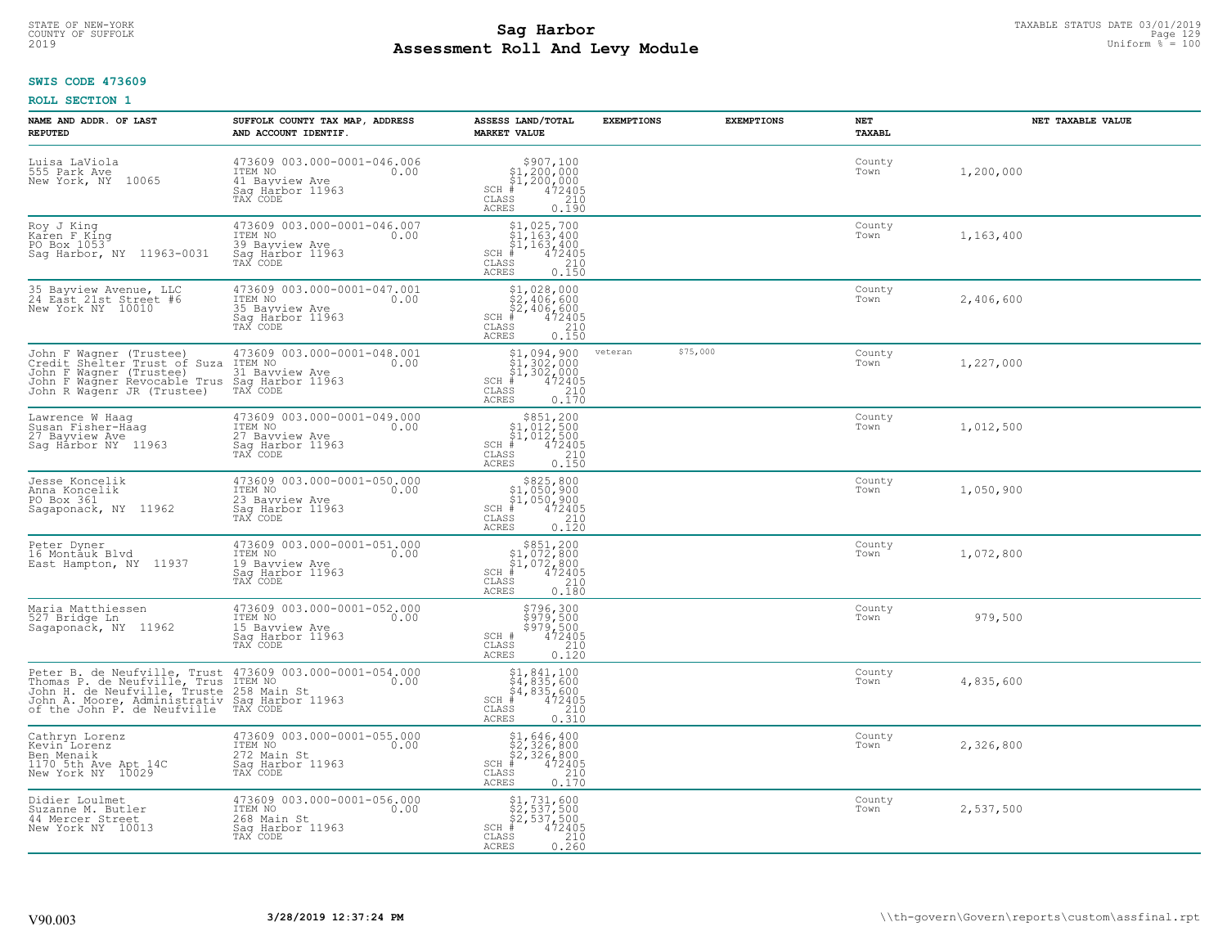# STATE OF NEW-YORK TAXABLE STATUS DATE 03/01/2019<br>COUNTY OF SUFFOLK Page 129 Page 129 **Assessment Roll And Levy Module** 2019 Uniform % = 100

## **SWIS CODE 473609**

| NAME AND ADDR. OF LAST<br><b>REPUTED</b>                                                                                                                                                                                              | SUFFOLK COUNTY TAX MAP, ADDRESS<br>AND ACCOUNT IDENTIF.                                          | ASSESS LAND/TOTAL<br><b>MARKET VALUE</b>                                                                                                                                                                                                                                                                                                                                                                              | <b>EXEMPTIONS</b> | <b>EXEMPTIONS</b> | NET<br><b>TAXABL</b> | NET TAXABLE VALUE |
|---------------------------------------------------------------------------------------------------------------------------------------------------------------------------------------------------------------------------------------|--------------------------------------------------------------------------------------------------|-----------------------------------------------------------------------------------------------------------------------------------------------------------------------------------------------------------------------------------------------------------------------------------------------------------------------------------------------------------------------------------------------------------------------|-------------------|-------------------|----------------------|-------------------|
| Luisa LaViola<br>555 Park Ave<br>New York, NY<br>10065                                                                                                                                                                                | 473609 003.000-0001-046.006<br>ITEM NO 0.00<br>41 Bayview Ave<br>Saq Harbor 11963<br>TAX CODE    | $$907,100\n$1,200,000\n$1,200,000\n# 472405\n35\n210$<br>$SCH \#$<br>CLASS<br><b>ACRES</b><br>0.190                                                                                                                                                                                                                                                                                                                   |                   |                   | County<br>Town       | 1,200,000         |
| Roy J King<br>Karen F King<br>PO Box 1053<br>Sag Harbor, NY 11963-0031                                                                                                                                                                | 473609 003.000-0001-046.007<br>ITEM NO<br>0.00<br>39 Bayview Ave<br>Saq Harbor 11963<br>TAX CODE | $$1,025,700$<br>$$1,163,400$<br>$$1,163,400$<br>$$1,163,400$<br>$472405$<br>$SCH$ #<br>CLASS<br>$\begin{array}{c} 210 \\ 0.150 \end{array}$<br><b>ACRES</b>                                                                                                                                                                                                                                                           |                   |                   | County<br>Town       | 1,163,400         |
| 35 Bayview Avenue, LLC<br>24 East 21st Street #6<br>New York NY 10010                                                                                                                                                                 | 473609 003.000-0001-047.001<br>ITEM NO<br>0.00<br>35 Bayview Ave<br>Sag Harbor 11963<br>TAX CODE | $$1,028,000$<br>$$2,406,600$<br>$$2,406,600$<br>$SCH$ #<br>472405<br>CLASS<br>210<br>0.150<br>ACRES                                                                                                                                                                                                                                                                                                                   |                   |                   | County<br>Town       | 2,406,600         |
| John F Wagner (Trustee) 473609 (Credit Shelter Trust of Suza ITEM NO<br>John F Wagner (Trustee)<br>John F Wagner Revocable Trus Sag Harbor 11963<br>John R Wagenr JR (Trustee) TAX CODE<br>John R Wagenr JR (Trustee)                 | 473609 003.000-0001-048.001<br>0.00<br>31 Bayview Ave                                            | $\begin{array}{l} \text{\small $51$, 094, 900} \\ \text{\small $51$, 302, 000} \\ \text{\small $51$, 302, 000} \\ \text{\small $4$} \\ \text{\small $58$} \\ \text{\small $58$} \\ \text{\small $58$} \\ \text{\small $61$} \\ \text{\small $61$} \\ \text{\small $72405} \\ \text{\small $10$} \\ \text{\small $10$} \\ \text{\small $10$} \\ \text{\small $18$} \\ \end{array}$<br>$SCH$ #<br>CLASS<br><b>ACRES</b> | veteran           | \$75,000          | County<br>Town       | 1,227,000         |
| Lawrence W Haaq<br>Susan Fisher-Haag<br>27 Bayview Ave<br>Sag Harbor NY 11963                                                                                                                                                         | 473609 003.000-0001-049.000<br>ITEM NO<br>0.00<br>27 Bayview Ave<br>Saq Harbor 11963<br>TAX CODE | $$851, 200$<br>$$1, 012, 500$<br>$$1, 012, 500$<br>$472405$<br>$$210$<br>$$210$<br>$SCH$ #<br>CLASS<br>0.150<br>ACRES                                                                                                                                                                                                                                                                                                 |                   |                   | County<br>Town       | 1,012,500         |
| Jesse Koncelik<br>Anna Koncelik<br>PO Box 361<br>Sagaponack, NY 11962                                                                                                                                                                 | 473609 003.000-0001-050.000<br>ITEM NO<br>0.00<br>23 Bayview Ave<br>Sag Harbor 11963<br>TAX CODE | $$825, 800$<br>$$1, 050, 900$<br>$$1, 050, 900$<br>$$472405$<br>$SCH$ #<br>$\mathtt{CLASS}$<br>210<br>ACRES<br>0.120                                                                                                                                                                                                                                                                                                  |                   |                   | County<br>Town       | 1,050,900         |
| Peter Dyner<br>16 Montauk Blvd<br>East Hampton, NY 11937                                                                                                                                                                              | 473609 003.000-0001-051.000<br>ITEM NO<br>0.00<br>19 Bayview Ave<br>Sag Harbor 11963<br>TAX CODE | $$351, 200$<br>$$1, 072, 800$<br>$$1, 072, 800$<br>$*1, 072, 800$<br>$*1, 472405$<br>$SCH$ #<br>CLASS<br>210<br><b>ACRES</b><br>0.180                                                                                                                                                                                                                                                                                 |                   |                   | County<br>Town       | 1,072,800         |
| Maria Matthiessen<br>527 Bridge Ln<br>Sagaponack, NY 11962                                                                                                                                                                            | 473609 003.000-0001-052.000<br>ITEM NO 0.00<br>15 Bavview Ave<br>Saq Harbor 11963<br>TAX CODE    | $\begin{array}{r} 5796,300 \\ 5979,500 \\ 5979,500 \\ 472405 \\ 210 \\ 210 \end{array}$<br>SCH #<br>CLASS<br><b>ACRES</b><br>0.120                                                                                                                                                                                                                                                                                    |                   |                   | County<br>Town       | 979,500           |
| Peter B. de Neufville, Trust 473609 003.000-0001-054.000<br>Thomas P. de Neufville, Trus ITEM NO<br>John H. de Neufville, Truste 258 Main St<br>John H. Moore, Administrativ Saq Harbor 11963<br>of the John P. de Neufville TAX CODE |                                                                                                  | $$1,841,100$<br>$$4,835,600$<br>$\frac{1}{4}$ , 835, 600<br># 472405<br>$SCH$ #<br>CLASS<br>$\begin{array}{c} 210 \\ 0.310 \end{array}$<br><b>ACRES</b>                                                                                                                                                                                                                                                               |                   |                   | County<br>Town       | 4,835,600         |
| Cathryn Lorenz<br>Kevin <sup>-</sup> Lorenz<br>Ben Menaik<br>1170 5th Ave Apt 14C<br>New York NY 10029                                                                                                                                | 473609 003.000-0001-055.000<br>ITEM NO<br>0.00<br>272 Main St<br>Sag Harbor 11963<br>TAX CODE    | \$1,646,400<br>\$2,326,800<br>\$2,326,800<br>$SCH$ #<br>472405<br>CLASS<br>210<br>ACRES<br>0.170                                                                                                                                                                                                                                                                                                                      |                   |                   | County<br>Town       | 2,326,800         |
| Didier Loulmet<br>Suzanne M. Butler<br>44 Mercer Street<br>New York NY 10013                                                                                                                                                          | 473609 003.000-0001-056.000<br>ITEM NO<br>0.00<br>268 Main St<br>Saq Harbor 11963<br>TAX CODE    | $\begin{array}{l} \texttt{\$1,731,600} \\ \texttt{\$2,537,500} \\ \texttt{\$2,537,500} \\ \texttt{\$4\,72405} \\ \texttt{\$8S$} \end{array}$<br>$SCH$ #<br>CLASS<br>ACRES                                                                                                                                                                                                                                             |                   |                   | County<br>Town       | 2,537,500         |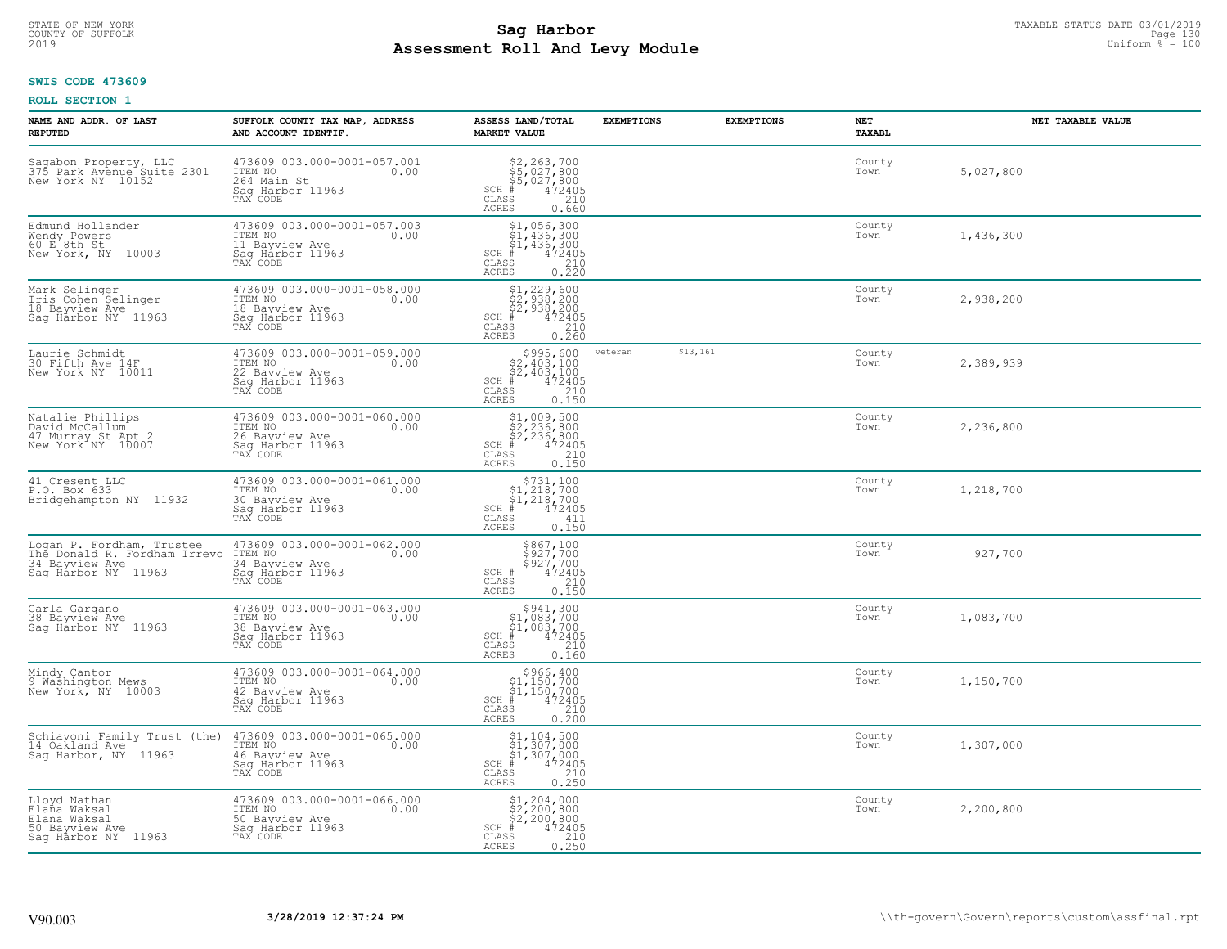# **SWIS CODE 473609**

| NAME AND ADDR. OF LAST<br><b>REPUTED</b>                                                           | SUFFOLK COUNTY TAX MAP, ADDRESS<br>AND ACCOUNT IDENTIF.                                          | ASSESS LAND/TOTAL<br><b>MARKET VALUE</b>                                                                                                                                                                                                                                                                                 | <b>EXEMPTIONS</b> | <b>EXEMPTIONS</b> | NET<br>TAXABL  | NET TAXABLE VALUE |
|----------------------------------------------------------------------------------------------------|--------------------------------------------------------------------------------------------------|--------------------------------------------------------------------------------------------------------------------------------------------------------------------------------------------------------------------------------------------------------------------------------------------------------------------------|-------------------|-------------------|----------------|-------------------|
| Sagabon Property, LLC<br>375 Park Avenue Suite 2301<br>New York NY 10152                           | 473609 003.000-0001-057.001<br>ITEM NO<br>0.00<br>264 Main St<br>Saq Harbor 11963<br>TAX CODE    | $$2, 263, 700$<br>$$5, 027, 800$<br>$$5, 027, 800$<br>$$472405$<br>$$210$<br>$SCH$ #<br>$\mathtt{CLASS}$<br>ACRES<br>0.660                                                                                                                                                                                               |                   |                   | County<br>Town | 5,027,800         |
| Edmund Hollander<br>Wendy Powers<br>$60 E^{\dagger} 8th St$<br>New York, NY 10003                  | 473609 003.000-0001-057.003<br>ITEM NO<br>0.00<br>11 Bayview Ave<br>Saq Harbor 11963<br>TAX CODE | \$1,056,300<br>\$1,436,300<br>\$1,436,300<br>#472405<br>$SCH$ #<br>CLASS<br>$\frac{210}{0.220}$<br>ACRES                                                                                                                                                                                                                 |                   |                   | County<br>Town | 1,436,300         |
| Mark Selinger<br>Iris Cohen Selinger<br>18 Bayview Ave<br>Sag Harbor NY 11963                      | 473609 003.000-0001-058.000<br>ITEM NO<br>0.00<br>18 Bayview Ave<br>Sag Harbor 11963<br>TAX CODE | $$1, 229, 600$<br>$$2, 938, 200$<br>$$2, 938, 200$<br>$$472405$<br>$SCH$ #<br>CLASS<br>$\frac{210}{0.260}$<br><b>ACRES</b>                                                                                                                                                                                               |                   |                   | County<br>Town | 2,938,200         |
| Laurie Schmidt<br>30 Fifth Ave 14F<br>New York NY 10011                                            | 473609 003.000-0001-059.000<br>ITEM NO<br>0.00<br>22 Bayview Ave<br>Saq Harbor 11963<br>TAX CODE | $$995,600$<br>$$2,403,100$<br>$$2,403,100$<br>$$472405$<br>$$210$<br>$SCH$ #<br>CLASS<br><b>ACRES</b><br>0.150                                                                                                                                                                                                           | veteran           | \$13,161          | County<br>Town | 2,389,939         |
| Natalie Phillips<br>David McCallum<br>47 Murray St Apt 2<br>New York NY 10007                      | 473609 003.000-0001-060.000<br>ITEM NO<br>0.00<br>26 Bayview Ave<br>Saq Harbor 11963<br>TAX CODE | \$1,009,500<br>\$2,236,800<br>\$2,236,800<br>$SCH$ #<br>$472405$<br>210<br>CLASS<br>0.150<br>ACRES                                                                                                                                                                                                                       |                   |                   | County<br>Town | 2,236,800         |
| 41 Cresent LLC<br>P.O. Box 633<br>Bridgehampton NY 11932                                           | 473609 003.000-0001-061.000<br>ITEM NO<br>0.00<br>30 Bayview Ave<br>Sag Harbor 11963<br>TAX CODE | $\begin{array}{c} $731,100 $1,218,700 $1,218,700 # 472405 \end{array}$<br>$SCH$ #<br>CLASS<br>411<br>0.150<br><b>ACRES</b>                                                                                                                                                                                               |                   |                   | County<br>Town | 1,218,700         |
| Logan P. Fordham, Trustee<br>The Donald R. Fordham Irrevo<br>34 Bayview Ave<br>Saq Harbor NY 11963 | 473609 003.000-0001-062.000<br>ITEM NO<br>0.00<br>34 Bavview Ave<br>Sag Harbor 11963<br>TAX CODE | \$867,100<br>\$927,700<br>\$927,700<br>472405<br>SCH #<br>CLASS<br>210<br>0.150<br><b>ACRES</b>                                                                                                                                                                                                                          |                   |                   | County<br>Town | 927,700           |
| Carla Gargano<br>38 Bayview Ave<br>Saq Harbor NY 11963                                             | 473609 003.000-0001-063.000<br>10.00 0.00<br>38 Bayview Ave<br>Saq Harbor 11963<br>TAX CODE      | $$941,300$<br>$$1,083,700$<br>$$1,083,700$<br>$*$ 472405<br>$SCH$ #<br>CLASS<br>210<br><b>ACRES</b><br>0.160                                                                                                                                                                                                             |                   |                   | County<br>Town | 1,083,700         |
| Mindy Cantor<br>9 Washington Mews<br>New York, NY 10003                                            | 473609 003.000-0001-064.000<br>TTEM NO 0.00<br>42 Bayview Ave<br>Saq Harbor 11963<br>TAX CODE    | $$966, 400$<br>$$1, 150, 700$<br>$$1, 150, 700$<br>$*$<br>$*$<br>$472405$<br>$SCH$ #<br>CLASS<br>210<br><b>ACRES</b><br>0.200                                                                                                                                                                                            |                   |                   | County<br>Town | 1,150,700         |
| Schiavoni Family Trust (the)<br>14 Oakland Ave<br>Sag Harbor, NY 11963                             | 473609 003.000-0001-065.000<br>ITEM NO<br>0.00<br>46 Bavview Ave<br>Sag Harbor 11963<br>TAX CODE | $\begin{array}{c} \texttt{\$1,104,500}\ \\ \texttt{\$1,307,000}\ \\ \texttt{\$1,307,000}\ \\ \texttt{\$1,307,000}\ \\ \texttt{\$1,2405}\ \\ \texttt{\$10}\ \\ \texttt{\$10}\ \\ \texttt{\$10}\ \\ \texttt{\$10}\ \\ \texttt{\$10}\ \\ \texttt{\$210}\ \\ \texttt{\$25}\ \end{array}$<br>$SCH$ #<br>CLASS<br><b>ACRES</b> |                   |                   | County<br>Town | 1,307,000         |
| Lloyd Nathan<br>Elaña Waksal<br>Elana Waksal<br>50 Bayview Ave<br>Saq Harbor NY 11963              | 473609 003.000-0001-066.000<br>ITEM NO<br>0.00<br>50 Bayview Ave<br>Sag Harbor 11963<br>TAX CODE | $$1,204,000$<br>$$2,200,800$<br>$$2,200,800$<br>$SCH$ #<br>472405<br>CLASS<br>0.250<br><b>ACRES</b>                                                                                                                                                                                                                      |                   |                   | County<br>Town | 2,200,800         |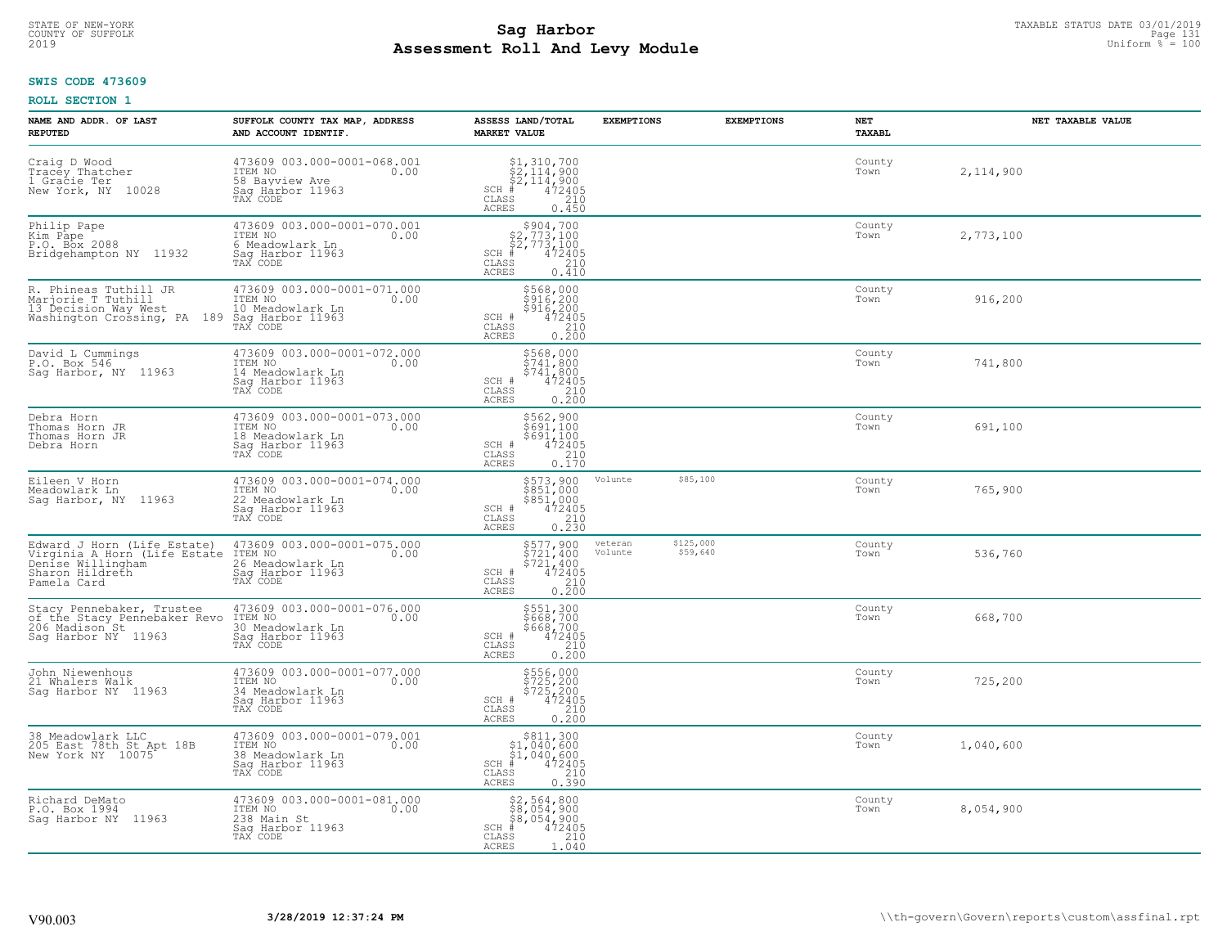## **SWIS CODE 473609**

| NAME AND ADDR. OF LAST<br><b>REPUTED</b>                                                                                        | SUFFOLK COUNTY TAX MAP, ADDRESS<br>AND ACCOUNT IDENTIF.                                            | ASSESS LAND/TOTAL<br><b>MARKET VALUE</b>                                                                                                 | <b>EXEMPTIONS</b>  | <b>EXEMPTIONS</b>     | NET<br><b>TAXABL</b> | NET TAXABLE VALUE |
|---------------------------------------------------------------------------------------------------------------------------------|----------------------------------------------------------------------------------------------------|------------------------------------------------------------------------------------------------------------------------------------------|--------------------|-----------------------|----------------------|-------------------|
| Craig D Wood<br>Tracey Thatcher<br>1 Gracie Ter<br>New York, NY 10028                                                           | 473609 003.000-0001-068.001<br>ITEM NO 0.00<br>58 Bayview Ave<br>Sag Harbor 11963<br>TAX CODE      | $$2,114,900$<br>$$2,114,900$<br>$$2,114,900$<br>$472405$<br>$$2,10$<br>$$210$<br>$SCH$ #<br>CLASS<br><b>ACRES</b><br>0.450               |                    |                       | County<br>Town       | 2,114,900         |
| Philip Pape<br>Kim Pape<br>P.O. Box 2088<br>Bridgehampton NY 11932                                                              | 473609 003.000-0001-070.001<br>ITEM NO<br>0.00<br>6 Meadowlark Ln<br>Sag Harbor 11963<br>TAX CODE  | $$2,773,100$<br>$$2,773,100$<br>$$2,773,100$<br>$472405$<br>$SCH$ #<br>$\mathtt{CLASS}$<br>210<br>0.410<br>ACRES                         |                    |                       | County<br>Town       | 2,773,100         |
| R. Phineas Tuthill JR<br>Marjorie T Tuthill<br>13 Decision Way West<br>Washington Crossing, PA 189 Sag Harbor 11963<br>TAX CODE | 473609 003.000-0001-071.000<br>ITEM NO<br>0.00<br>10 Meadowlark Ln                                 | \$568,000<br>$$916, 200$<br>$$916, 200$<br>$472405$<br>SCH #<br>CLASS<br>$\frac{210}{0.200}$<br>ACRES                                    |                    |                       | County<br>Town       | 916,200           |
| David L Cummings<br>P.O. Box 546<br>Sag Harbor, NY 11963                                                                        | 473609 003.000-0001-072.000<br>TTEM NO 0.00<br>14 Meadowlark Ln<br>Saq Harbor 11963<br>TAX CODE    | \$568,000<br>\$741,800<br>\$741,800<br>SCH #<br>472405<br>CLASS<br>210<br>$0, \overline{200}$<br><b>ACRES</b>                            |                    |                       | County<br>Town       | 741,800           |
| Debra Horn<br>Thomas Horn JR<br>Thomas Horn JR<br>Debra Horn                                                                    | 473609 003.000-0001-073.000<br>ITEM NO<br>0.00<br>18 Meadowlark Ln<br>Saq Harbor 11963<br>TAX CODE | \$562,900<br>\$691,100<br>$\begin{array}{r} 5691,100 \\ 472405 \\ 210 \\ 0.170 \end{array}$<br>SCH #<br>$\mathtt{CLASS}$<br><b>ACRES</b> |                    |                       | County<br>Town       | 691,100           |
| Eileen V Horn<br>Meadowlark Ln<br>Sag Harbor, NY 11963                                                                          | 473609 003.000-0001-074.000<br>ITEM NO<br>0.00<br>22 Meadowlark Ln<br>Sag Harbor 11963<br>TAX CODE | \$573,900<br>\$851,000<br>\$851,000<br>472405<br>SCH #<br>CLASS<br>210<br>0.230<br><b>ACRES</b>                                          | Volunte            | \$85,100              | County<br>Town       | 765,900           |
| Edward J Horn (Life Estate)<br>Virginia A Horn (Life Estate<br>Denise Willingham<br>Sharon Hildreth<br>Pamela Card              | 473609 003.000-0001-075.000<br>ITEM NO<br>0.00<br>26 Meadowlark Ln<br>Sag Harbor 11963<br>TAX CODE | \$577,900<br>\$721,400<br>\$721,400<br>472405<br>SCH #<br>CLASS<br>$\frac{210}{0.200}$<br><b>ACRES</b>                                   | veteran<br>Volunte | \$125,000<br>\$59,640 | County<br>Town       | 536,760           |
| Stacy Pennebaker, Trustee<br>of the Stacy Pennebaker Revo<br>206 Madison St<br>Sag Harbor NY 11963                              | 473609 003.000-0001-076.000<br>ITEM NO 0.00<br>30 Meadowlark Ln<br>Saq Harbor 11963<br>TAX CODE    | \$551,300<br>\$668,700<br>\$668,700<br>472405<br>SCH #<br>CLASS<br>210<br><b>ACRES</b><br>0.200                                          |                    |                       | County<br>Town       | 668,700           |
| John Niewenhous<br>21 Whalers Walk<br>Sag Harbor NY 11963                                                                       | 473609 003.000-0001-077.000<br>TTEM NO 0.00<br>34 Meadowlark Ln<br>Saq Harbor 11963<br>TAX CODE    | \$556,000<br>\$725,200<br>\$725,200<br>SCH #<br>472405<br>210<br>CLASS<br><b>ACRES</b><br>0.200                                          |                    |                       | County<br>Town       | 725,200           |
| 38 Meadowlark LLC<br>205 East 78th St Apt 18B<br>New York NY 10075                                                              | 473609 003.000-0001-079.001<br>ITEM NO<br>0.00<br>38 Meadowlark Ln<br>Sag Harbor 11963<br>TAX CODE | \$811,300<br>$$1,040,600$<br>$$1,040,600$<br>$*$ 472405<br>$$210$<br>$SCH$ #<br>CLASS<br><b>ACRES</b><br>0.390                           |                    |                       | County<br>Town       | 1,040,600         |
| Richard DeMato<br>P.O. Box 1994<br>Saq Harbor NY 11963                                                                          | 473609 003.000-0001-081.000<br>ITEM NO<br>0.00<br>238 Main St<br>Sag Harbor 11963<br>TAX CODE      | $$2,564,800$<br>$$8,054,900$<br>$$8,054,900$<br>$SCH$ #<br>472405<br>CLASS<br>210<br>1.040<br><b>ACRES</b>                               |                    |                       | County<br>Town       | 8,054,900         |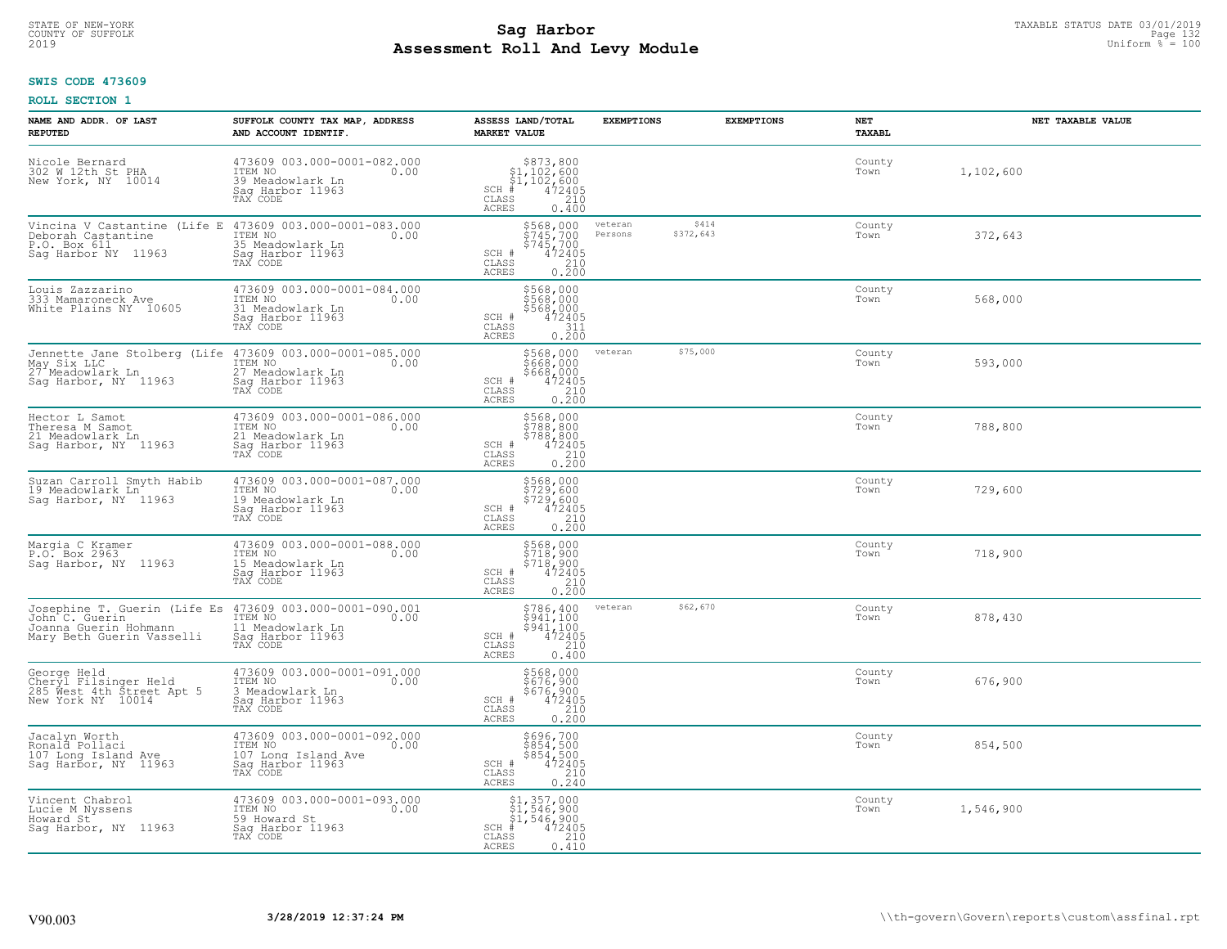# STATE OF NEW-YORK TAXABLE STATUS DATE 03/01/2019<br>COUNTY OF SUFFOLK Page 132 **Assessment Roll And Levy Module** 2019 Uniform % = 100

#### **SWIS CODE 473609**

| NAME AND ADDR. OF LAST<br><b>REPUTED</b>                                                                                                      | SUFFOLK COUNTY TAX MAP, ADDRESS<br>AND ACCOUNT IDENTIF.                                               | ASSESS LAND/TOTAL<br><b>MARKET VALUE</b>                                                                                                    | <b>EXEMPTIONS</b>                        | <b>EXEMPTIONS</b><br><b>NET</b><br><b>TAXABL</b> | NET TAXABLE VALUE |
|-----------------------------------------------------------------------------------------------------------------------------------------------|-------------------------------------------------------------------------------------------------------|---------------------------------------------------------------------------------------------------------------------------------------------|------------------------------------------|--------------------------------------------------|-------------------|
| Nicole Bernard<br>302 W 12th St PHA<br>New York, NY 10014                                                                                     | 473609 003.000-0001-082.000<br>TTEM NO 0.00<br>39 Meadowlark Ln<br>Saq Harbor 11963<br>TAX CODE       | $$373,800$<br>$$1,102,600$<br>$$1,102,600$<br>$*$<br>$472405$<br>SCH #<br>CLASS<br>210<br><b>ACRES</b><br>0.400                             |                                          | County<br>Town                                   | 1,102,600         |
| Vincina V Castantine (Life E 473609 003.000-0001-083.000<br>Deborah Castantine ITEM NO 0.00<br>P.O. Box 611<br>Saq Harbor NY 11963            | 35 Meadowlark Ln<br>Sag Harbor 11963<br>TAX CODE                                                      | $5745,700$<br>$5745,700$<br>$5745,700$<br>$472405$<br>$210$<br>SCH #<br>CLASS<br>0.200<br><b>ACRES</b>                                      | veteran<br>\$414<br>Persons<br>\$372,643 | County<br>Town                                   | 372,643           |
| Louis Zazzarino<br>333 Mamaroneck Ave<br>White Plains NY 10605                                                                                | 473609 003.000-0001-084.000<br>ITEM NO<br>0.00<br>31 Meadowlark Ln<br>Sag Harbor 11963<br>TAX CODE    | \$568,000<br>\$568,000<br>\$568,000<br>SCH #<br>472405<br>311<br>CLASS<br><b>ACRES</b><br>0.200                                             |                                          | County<br>Town                                   | 568,000           |
| Jennette Jane Stolberg (Life 473609 003.000-0001-085.000<br>May Six LLC<br>27 Meadowlark Ln<br>Saq Harbor, NY 11963                           | ITEM NO<br>0.00<br>27 Meadowlark Ln<br>Saq Harbor 11963<br>TAX CODE                                   | \$568,000<br>\$668,000<br>\$668,000<br>SCH #<br>$\begin{smallmatrix} 472405\ 472405\ 210\ 0.200 \end{smallmatrix}$<br>CLASS<br><b>ACRES</b> | \$75,000<br>veteran                      | County<br>Town                                   | 593,000           |
| Hector L Samot<br>Theresa M Samot<br>21 Meadowlark Ln<br>Sag Harbor, NY 11963                                                                 | 473609 003.000-0001-086.000<br>ITEM NO<br>0.00<br>21 Meadowlark Ln<br>Saq Harbor 11963<br>TAX CODE    | \$568,000<br>5788,800<br>$\begin{array}{r} 7788,800 \\ 472405 \\ 210 \\ 0.200 \end{array}$<br>SCH #<br>$\mathtt{CLASS}$<br><b>ACRES</b>     |                                          | County<br>Town                                   | 788,800           |
| Suzan Carroll Smyth Habib<br>19 Meadowlark Ln <sup>1</sup><br>Sag Harbor, NY 11963                                                            | 473609 003.000-0001-087.000<br>ITEM NO<br>0.00<br>19 Meadowlark Ln<br>Sag Harbor 11963<br>TAX CODE    | \$568,000<br>\$729,600<br>\$729,600<br>\$729,600<br>SCH #<br>$\begin{array}{c} 210 \\ 0.200 \end{array}$<br>CLASS<br><b>ACRES</b>           |                                          | County<br>Town                                   | 729,600           |
| Margia C Kramer<br>P.O. Box 2963<br>Saq Harbor, NY 11963                                                                                      | 473609 003.000-0001-088.000<br>ITEM NO<br>0.00<br>15 Meadowlark Ln<br>Sag Harbor 11963<br>TAX CODE    | \$568,000<br>\$718,900<br>\$718,900<br>\$718,900<br>SCH #<br>CLASS<br>$\frac{210}{0.200}$<br>ACRES                                          |                                          | County<br>Town                                   | 718,900           |
| Josephine T. Guerin (Life Es 473609 003.000-0001-090.001<br>John C. Guerin ITEM NO 0.00<br>Joanna Guerin Hohmann<br>Mary Beth Guerin Vasselli | 11 Meadowlark Ln<br>Saq Harbor 11963<br>TAX CODE                                                      | $\begin{array}{c} $786,400 $941,100 $941,100 472405 210 210 \end{array}$<br>SCH #<br>CLASS<br><b>ACRES</b><br>0.400                         | \$62,670<br>veteran                      | County<br>Town                                   | 878,430           |
| George Held<br>Cheryl Filsinger Held<br>285 Mest 4th Street Apt 5<br>New York NY 10014                                                        | 473609 003.000-0001-091.000<br>ITEM NO<br>0.00<br>3 Meadowlark Ln<br>Saq Harbor 11963<br>TAX CODE     | \$568,000<br>\$676,900<br>\$676,900<br>\$676,900<br>\$210<br>SCH #<br>CLASS<br><b>ACRES</b><br>0.200                                        |                                          | County<br>Town                                   | 676,900           |
| Jacalyn Worth<br>Ronald Pollaci<br>107 Long Island Ave<br>Saq Harbor, NY 11963                                                                | 473609 003.000-0001-092.000<br>ITEM NO<br>0.00<br>107 Long Island Ave<br>Sag Harbor 11963<br>TAX CODE | \$696,700<br>$$854,500$<br>$$854,500$<br>SCH #<br>$472405$<br>$210$<br>0.240<br>CLASS<br>ACRES                                              |                                          | County<br>Town                                   | 854,500           |
| Vincent Chabrol<br>Lucie M Nyssens<br>Howard St <sup>-</sup><br>Sag Harbor, NY 11963                                                          | 473609 003.000-0001-093.000<br>ITEM NO<br>0.00<br>59 Howard St<br>Sag Harbor 11963<br>TAX CODE        | $$1,357,000$<br>$$1,546,900$<br>$$1,546,900$<br>$SCH$ #<br>$\frac{472405}{210}$<br>CLASS<br>0.410<br>ACRES                                  |                                          | County<br>Town                                   | 1,546,900         |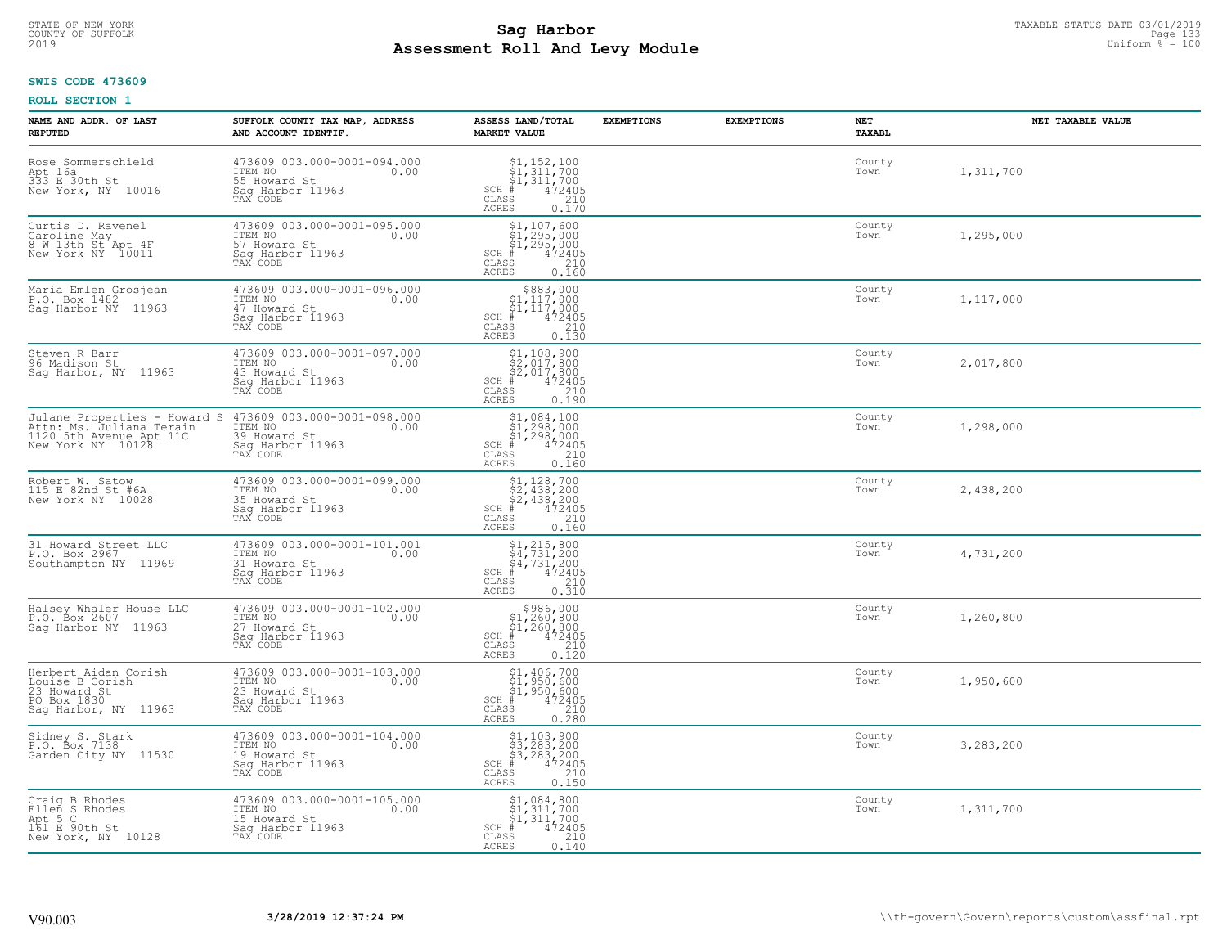## **SWIS CODE 473609**

| NAME AND ADDR. OF LAST<br><b>REPUTED</b>                                                                 | SUFFOLK COUNTY TAX MAP, ADDRESS<br>AND ACCOUNT IDENTIF.                                        | ASSESS LAND/TOTAL<br><b>MARKET VALUE</b>                                                                                                                                                                                                                                                                                 | <b>EXEMPTIONS</b> | <b>EXEMPTIONS</b> | NET<br>TAXABL  | NET TAXABLE VALUE |
|----------------------------------------------------------------------------------------------------------|------------------------------------------------------------------------------------------------|--------------------------------------------------------------------------------------------------------------------------------------------------------------------------------------------------------------------------------------------------------------------------------------------------------------------------|-------------------|-------------------|----------------|-------------------|
| Rose Sommerschield<br>Apt 16a<br>333 E 30th St<br>New York, NY 10016                                     | 473609 003.000-0001-094.000<br>ITEM NO<br>0.00<br>55 Howard St<br>Saq Harbor 11963<br>TAX CODE | $\begin{array}{l} $1,152,100 \ $1,311,700 \ $1,311,700 \ $1,472405 \ \end{array}$<br>$SCH$ #<br>CLASS<br>210<br>ACRES<br>0.170                                                                                                                                                                                           |                   |                   | County<br>Town | 1,311,700         |
| Curtis D. Ravenel<br>Caroline May<br>8 W 13th St Apt 4F<br>New York NY 10011                             | 473609 003.000-0001-095.000<br>ITEM NO<br>0.00<br>57 Howard St<br>Sag Harbor 11963<br>TAX CODE | $\begin{array}{c} \texttt{\$1,107,600}\ \\ \texttt{\$1,295,000}\ \\ \texttt{\$1,295,000}\ \\ \texttt{\$1,295,000}\ \\ \texttt{\$1,2405}\ \\ \texttt{\$10}\ \\ \texttt{\$10}\ \\ \texttt{\$10}\ \\ \texttt{\$16}\end{array}$<br>SCH #<br>CLASS<br>ACRES                                                                   |                   |                   | County<br>Town | 1,295,000         |
| Maria Emlen Grosjean<br>P.O. Box 1482<br>Sag Harbor NY 11963                                             | 473609 003.000-0001-096.000<br>ITEM NO<br>0.00<br>47 Howard St<br>Sag Harbor 11963<br>TAX CODE | $$883,000$<br>$$1,117,000$<br>$\frac{1}{21}$ , 117, 000<br>$\frac{1}{210}$<br>$\frac{210}{210}$<br>$SCH$ #<br>CLASS<br>0.130<br><b>ACRES</b>                                                                                                                                                                             |                   |                   | County<br>Town | 1,117,000         |
| Steven R Barr<br>96 Madison St<br>Sag Harbor, NY 11963                                                   | 473609 003.000-0001-097.000<br>ITEM NO<br>0.00<br>43 Howard St<br>Saq Harbor 11963<br>TAX CODE | $\begin{array}{c} \text{\$1,108,900} \\ \text{\$2,017,800} \\ \text{\$2,017,800} \\ \text{\$4\,72405} \\ \text{\$8$8$} \\ \text{\$10$} \\ \text{\$110$} \\ \text{\$120$} \\ \text{\$130$} \\ \text{\$130$} \\ \text{\$140$} \\ \text{\$150$} \\ \text{\$180$} \\ \text{\$190$} \end{array}$<br>$SCH$ #<br>CLASS<br>ACRES |                   |                   | County<br>Town | 2,017,800         |
| Julane Properties - Howard S<br>Attn: Ms. Juliana Terain<br>1120 5th Avenue Apt 11C<br>New York NY 10128 | 473609 003.000-0001-098.000<br>ITEM NO<br>0.00<br>39 Howard St<br>Saq Harbor 11963<br>TAX CODE | $$1,084,100$<br>$$1,298,000$<br>$$1,298,000$<br>$$472405$<br>$SCH$ #<br>CLASS<br>$\begin{array}{c} 210 \\ 0.160 \end{array}$<br>ACRES                                                                                                                                                                                    |                   |                   | County<br>Town | 1,298,000         |
| Robert W. Satow<br>115 E 82nd St #6A<br>New York NY 10028                                                | 473609 003.000-0001-099.000<br>ITEM NO<br>0.00<br>35 Howard St<br>Sag Harbor 11963<br>TAX CODE | $$2,438,700$<br>$$2,438,200$<br>$$2,438,200$<br>$472405$<br>$$2,60$<br>$$210$<br>$SCH$ #<br>CLASS<br>0.160<br><b>ACRES</b>                                                                                                                                                                                               |                   |                   | County<br>Town | 2,438,200         |
| 31 Howard Street LLC<br>P.O. Box 2967<br>Southampton NY 11969                                            | 473609 003.000-0001-101.001<br>TTEM NO 0.00<br>31 Howard St<br>Sag Harbor 11963<br>TAX CODE    | $\begin{array}{r} \text{\small $51$, $215$, $800$} \\ \text{\small $54$, $731$, $200$} \\ \text{\small $54$, $731$, $200$} \\ \text{\small $4$ & $472405$} \\ \text{\small $85$ & $210$} \\ \text{\small $85$ & $0.310$} \end{array}$<br>$SCH$ #<br>CLASS<br>ACRES                                                       |                   |                   | County<br>Town | 4,731,200         |
| Halsey Whaler House LLC<br>P.O. Box 2607<br>Saq Harbor NY 11963                                          | 473609 003.000-0001-102.000<br>ITEM NO<br>0.00<br>27 Howard St<br>Saq Harbor 11963<br>TAX CODE | $$986,000\n$1,260,800\n$1,260,800\n# 472405\n85\n210$<br>$SCH$ #<br>CLASS<br>ACRES<br>0.120                                                                                                                                                                                                                              |                   |                   | County<br>Town | 1,260,800         |
| Herbert Aidan Corish<br>Louise B Corish<br>23 Howard St<br>PO Box 1830<br>Saq Harbor, NY 11963           | 473609 003.000-0001-103.000<br>ITEM NO<br>0.00<br>23 Howard St<br>Saq Harbor 11963<br>TAX CODE | $\begin{array}{r} \texttt{\$1,406,700}\ \\ \texttt{\$1,950,600}\ \\ \texttt{\$1,950,600}\ \\ \texttt{\$1,950,600}\ \\ \texttt{\$1,950,600}\ \\ \texttt{\$12405}\ \\ \texttt{\$210}\ \\ \texttt{\$28}\end{array}$<br>$SCH$ #<br>CLASS<br>ACRES                                                                            |                   |                   | County<br>Town | 1,950,600         |
| Sidney S. Stark<br>P.O. Box 7138<br>Garden City NY 11530                                                 | 473609 003.000-0001-104.000<br>ITEM NO<br>0.00<br>19 Howard St<br>Sag Harbor 11963<br>TAX CODE | $$3, 283, 200$<br>$$3, 283, 200$<br>$$3, 283, 200$<br>$472405$<br>$$240$<br>$SCH$ #<br>CLASS<br>0.150<br>ACRES                                                                                                                                                                                                           |                   |                   | County<br>Town | 3,283,200         |
| Craig B Rhodes<br>Ellen S Rhodes<br>Apt 5 C<br>161 E 90th St<br>New York, NY 10128                       | 473609 003.000-0001-105.000<br>ITEM NO<br>0.00<br>15 Howard St<br>Saq Harbor 11963<br>TAX CODE | $$1,084,800$<br>$$1,311,700$<br>\$1,311,700<br>$SCH$ #<br>$\frac{472405}{210}$<br>CLASS<br>0.140<br>ACRES                                                                                                                                                                                                                |                   |                   | County<br>Town | 1,311,700         |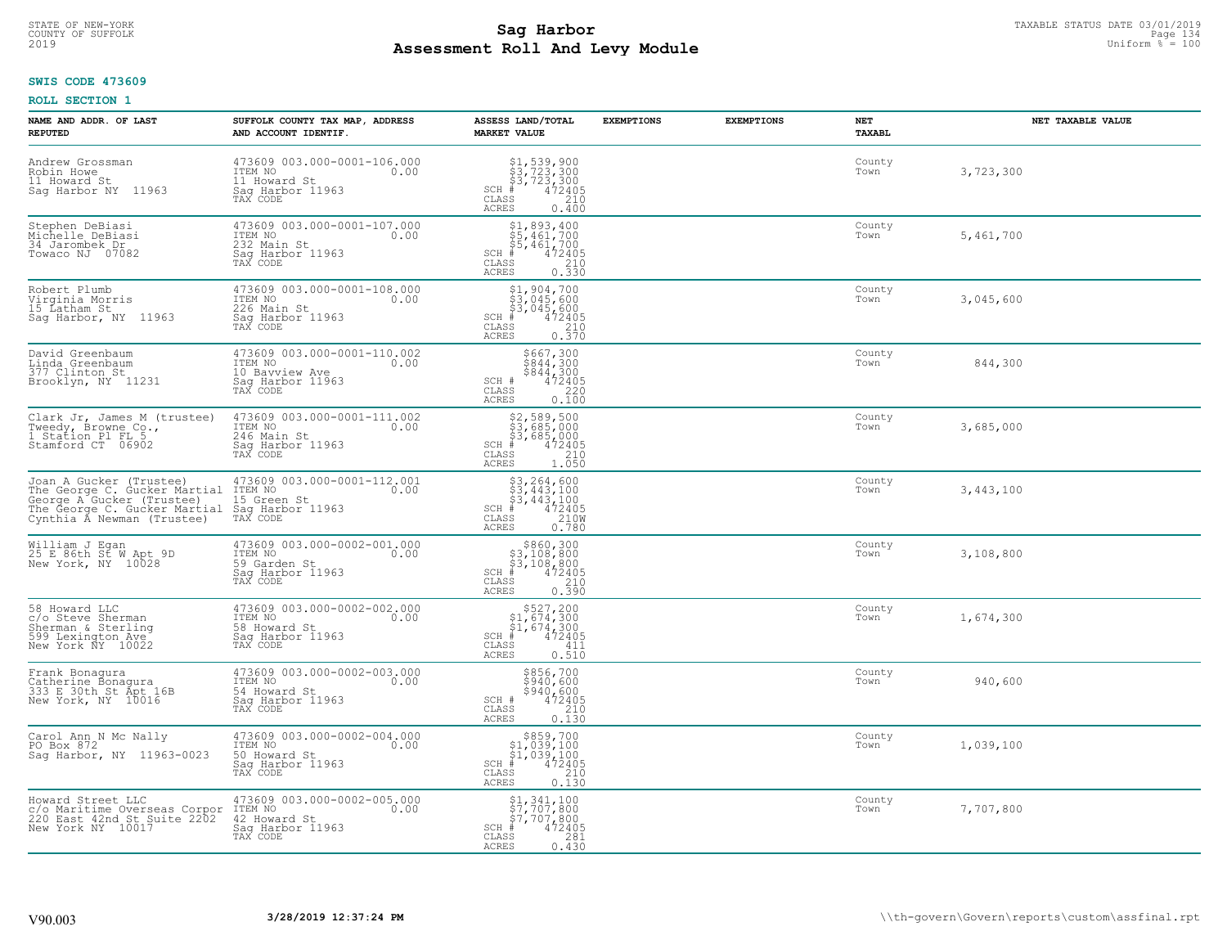## **SWIS CODE 473609**

| NAME AND ADDR. OF LAST<br><b>REPUTED</b>                                                                                                                                                | SUFFOLK COUNTY TAX MAP, ADDRESS<br>AND ACCOUNT IDENTIF.                                        | ASSESS LAND/TOTAL<br><b>MARKET VALUE</b>                                                                                          | <b>EXEMPTIONS</b> | <b>EXEMPTIONS</b> | NET<br><b>TAXABL</b> | NET TAXABLE VALUE |
|-----------------------------------------------------------------------------------------------------------------------------------------------------------------------------------------|------------------------------------------------------------------------------------------------|-----------------------------------------------------------------------------------------------------------------------------------|-------------------|-------------------|----------------------|-------------------|
| Andrew Grossman<br>Robin Howe<br>11 Howard St<br>Saq Harbor NY 11963                                                                                                                    | 473609 003.000-0001-106.000<br>ITEM NO<br>0.00<br>11 Howard St<br>Saq Harbor 11963<br>TAX CODE | $$3, 723, 300$<br>$$3, 723, 300$<br>$$4, 723, 300$<br>$$4, 72405$<br>$SCH$ #<br>CLASS<br>210<br>ACRES<br>0.400                    |                   |                   | County<br>Town       | 3,723,300         |
| Stephen DeBiasi<br>Michelle DeBiasi<br>34 Jarombek Dr<br>Towaco NJ 07082                                                                                                                | 473609 003.000-0001-107.000<br>ITEM NO<br>0.00<br>232 Main St<br>Saq Harbor 11963<br>TAX CODE  | $$1,893,400$<br>$$5,461,700$<br>$$5,461,700$<br>$$5,461,700$<br>$SCH$ #<br>472405<br>CLASS<br>$\frac{210}{0.330}$<br>ACRES        |                   |                   | County<br>Town       | 5,461,700         |
| Robert Plumb<br>Virginia Morris<br>15 Latham St<br>Saq Harbor, NY 11963                                                                                                                 | 473609 003.000-0001-108.000<br>ITEM NO<br>0.00<br>226 Main St<br>Saq Harbor 11963<br>TAX CODE  | $$1, 904, 700$<br>$$3, 045, 600$<br>$$3, 045, 600$<br>$$472405$<br>$SCH$ #<br>CLASS<br>210<br>0.370<br>ACRES                      |                   |                   | County<br>Town       | 3,045,600         |
| David Greenbaum<br>Linda Greenbaum<br>377 Clinton St<br>Brooklyn, NY 11231                                                                                                              | 473609 003.000-0001-110.002<br>ITEM NO 0.00<br>10 Bavview Ave<br>Saq Harbor 11963<br>TAX CODE  | \$667,300<br>\$844,300<br>\$844,300<br>472405<br>SCH #<br>CLASS<br>220<br>ACRES<br>0.100                                          |                   |                   | County<br>Town       | 844,300           |
| Clark Jr, James M (trustee)<br>Tweedy, Browne Co.,<br>1 Station Pl FL 5,<br>5 Stamford CT 06902                                                                                         | 473609 003.000-0001-111.002<br>ITEM NO<br>0.00<br>246 Main St<br>Sag Harbor 11963<br>TAX CODE  | $$2,589,500$<br>$$3,685,000$<br>$$3,685,000$<br>$*$<br>$472405$<br>$*$<br>$210$<br>$SCH$ #<br>CLASS<br>1.050<br>ACRES             |                   |                   | County<br>Town       | 3,685,000         |
| Joan A Gucker (Trustee)<br>The George C. Gucker Martial ITEM NO<br>George A Gucker (Trustee) 15 Gree<br>Score C. Gucker Martial Sag Harbor 11963<br>Cynthia A Newman (Trustee) TAX CODE | 473609 003.000-0001-112.001<br>0.00<br>15 Green St                                             | $$3, 264, 600$<br>$$3, 443, 100$<br>$$3, 443, 100$<br>$472405$<br>$$2100$<br>$$2100$<br>$SCH$ #<br>CLASS<br><b>ACRES</b><br>0.780 |                   |                   | County<br>Town       | 3,443,100         |
| William J Egan<br>25 E 86th St W Apt 9D<br>New York, NY 10028                                                                                                                           | 473609 003.000-0002-001.000<br>ITEM NO<br>0.00<br>59 Garden St<br>Sag Harbor 11963<br>TAX CODE | $$860, 300$<br>$$3, 108, 800$<br>$$3, 108, 800$<br>$$472405$<br>$SCH$ #<br>CLASS<br>210<br>0.390<br><b>ACRES</b>                  |                   |                   | County<br>Town       | 3,108,800         |
| 58 Howard LLC<br>c/o Steve Sherman<br>Sherman & Sterling<br>599 Lexington Ave<br>New York NY 10022                                                                                      | 473609 003.000-0002-002.000<br>10.00 0.00<br>58 Howard St<br>Saq Harbor 11963<br>TAX CODE      | $$527,200$<br>$$1,674,300$<br>$$1,674,300$<br>$*$<br>$*$<br>$472405$<br>$SCH$ #<br>CLASS<br>411<br>ACRES<br>0.510                 |                   |                   | County<br>Town       | 1,674,300         |
| Frank Bonagura<br>Catherine Bonagura<br>333 E 30th St Apt 16B<br>New York, NY 10016                                                                                                     | 473609 003.000-0002-003.000<br>TTEM NO 0.00<br>54 Howard St<br>Saq Harbor 11963<br>TAX CODE    | \$856,700<br>\$940,600<br>\$940,600<br>SCH #<br>$472405$<br>210<br>CLASS<br><b>ACRES</b><br>0.130                                 |                   |                   | County<br>Town       | 940,600           |
| Carol Ann N Mc Nally<br>PO Box 872<br>Sag Harbor, NY 11963-0023                                                                                                                         | 473609 003.000-0002-004.000<br>ITEM NO<br>0.00<br>50 Howard St<br>Sag Harbor 11963<br>TAX CODE | \$859,700<br>$$1,039,100$<br>$$1,039,100$<br>$*$ 472405<br>$SCH$ #<br>CLASS<br>210<br><b>ACRES</b><br>0.130                       |                   |                   | County<br>Town       | 1,039,100         |
| Howard Street LLC<br>c/o Maritime Overseas Corpor ITEM NO<br>220 East 42nd St Suite 2202 42 Howa<br>New York NY 10017                                                                   | 473609 003.000-0002-005.000<br>0.00<br>42 Howard St<br>Sag Harbor 11963<br>TAX CODE            | $$1,341,100$<br>$$7,707,800$<br>$$7,707,800$<br>$SCH$ #<br>472405<br>CLASS<br>281<br><b>ACRES</b><br>0.430                        |                   |                   | County<br>Town       | 7,707,800         |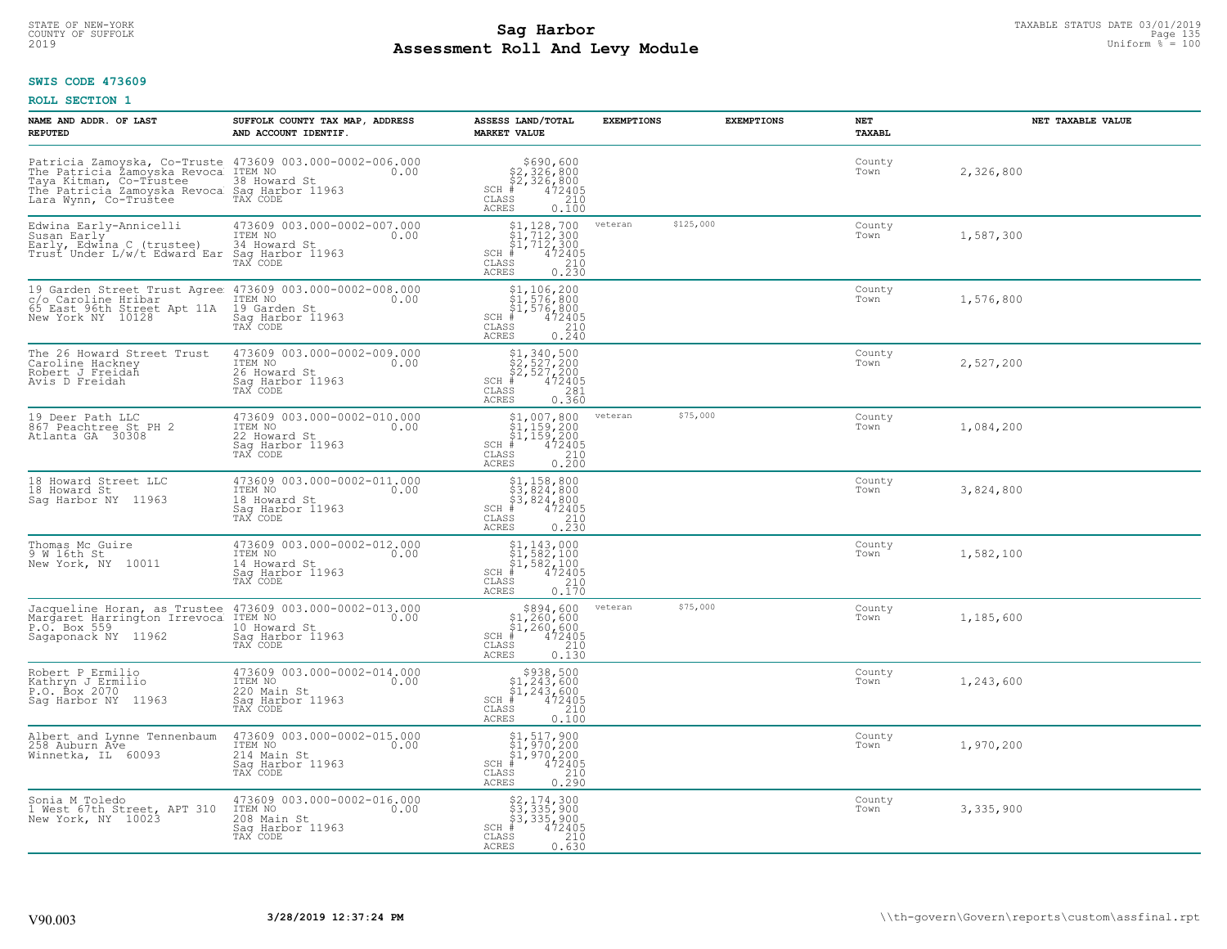## **Sag Harbor**<br>**Poll And Low Module**<br>
Poll And Low Module **Assessment Roll And Levy Module** 2019 Uniform % = 100 COUNTY OF SUFFOLK Page 135

#### **SWIS CODE 473609**

| NAME AND ADDR. OF LAST<br><b>REPUTED</b>                                                                                                                                                                                    | SUFFOLK COUNTY TAX MAP, ADDRESS<br>AND ACCOUNT IDENTIF.                                        | ASSESS LAND/TOTAL<br><b>MARKET VALUE</b>                                                                                                                   | <b>EXEMPTIONS</b> | <b>EXEMPTIONS</b> | NET<br><b>TAXABL</b> | NET TAXABLE VALUE |
|-----------------------------------------------------------------------------------------------------------------------------------------------------------------------------------------------------------------------------|------------------------------------------------------------------------------------------------|------------------------------------------------------------------------------------------------------------------------------------------------------------|-------------------|-------------------|----------------------|-------------------|
| Patricia Zamoyska, Co-Truste 473609 003.000-0002-006.000<br>The Patricia Zamoyska Revoca ITEM NO<br>Taya Kitman, Co-Trustee 38 Howard St<br>The Patricia Zamoyska Revoca Sag Harbor 11963<br>Lara Wynn, Co-Trustee TAX CODE |                                                                                                | $$690, 600$<br>$$2, 326, 800$<br>$$2, 326, 800$<br>$$472405$<br>SCH #<br>CLASS<br>210<br><b>ACRES</b><br>0.100                                             |                   |                   | County<br>Town       | 2,326,800         |
| Edwina Early-Annicelli<br>Susan Early <sup>-</sup><br>Early, Edwina C (trustee)<br>Trust Under L/w/t Edward Ear                                                                                                             | 473609 003.000-0002-007.000<br>ITEM NO<br>0.00<br>34 Howard St<br>Sag Harbor 11963<br>TAX CODE | $$1, 128, 700$<br>$$1, 712, 300$<br>$$1, 712, 300$<br>$*$<br>$472405$<br>$*$<br>$210$<br>SCH #<br>CLASS<br>0.230<br><b>ACRES</b>                           | veteran           | \$125,000         | County<br>Town       | 1,587,300         |
| 19 Garden Street Trust Agree<br>r/o Caroline Hribar<br>65 East 96th Street Apt 11A<br>New York NY 10128                                                                                                                     | 473609 003.000-0002-008.000<br>ITEM NO<br>0.00<br>19 Garden St<br>Sag Harbor 11963<br>TAX CODE | \$1,106,200<br>\$1,576,800<br>\$1,576,800<br>#472405<br>$SCH$ #<br>$\begin{array}{c} 210 \\ 0.240 \end{array}$<br>CLASS<br><b>ACRES</b>                    |                   |                   | County<br>Town       | 1,576,800         |
| The 26 Howard Street Trust<br>Caroline Hackney<br>Robert J Freidah<br>Avis D Freidah                                                                                                                                        | 473609 003.000-0002-009.000<br>ITEM NO<br>0.00<br>26 Howard St<br>Sag Harbor 11963             | \$1,340,500<br>\$2,527,200<br>\$2,527,200<br>#472405<br>$SCH$ #<br>$\mathtt{CLASS}$<br>281<br>0.360<br><b>ACRES</b>                                        |                   |                   | County<br>Town       | 2,527,200         |
| 19 Deer Path LLC<br>867 Peachtree St PH 2<br>Atlanta GA 30308                                                                                                                                                               | 473609 003.000-0002-010.000<br>ITEM NO<br>0.00<br>22 Howard St<br>Saq Harbor 11963<br>TAX CODE | $$1,007,800$<br>$$1,159,200$<br>$$1,159,200$<br>$$1,159,200$<br>$472405$<br>$SCH$ #<br>CLASS<br>210<br><b>ACRES</b><br>0.200                               | veteran           | \$75,000          | County<br>Town       | 1,084,200         |
| 18 Howard Street LLC<br>18 Howard St<br>Saq Harbor NY 11963                                                                                                                                                                 | 473609 003.000-0002-011.000<br>ITEM NO<br>0.00<br>18 Howard St<br>Sag Harbor 11963<br>TAX CODE | \$1,158,800<br>\$3,824,800<br>\$3,824,800<br># 472405<br>\$5 210<br>$SCH$ #<br>CLASS<br>$0, \overline{2}\,\overline{3}\,\overline{0}$<br><b>ACRES</b>      |                   |                   | County<br>Town       | 3,824,800         |
| Thomas Mc Guire<br>9 W 16th St<br>New York, NY 10011                                                                                                                                                                        | 473609 003.000-0002-012.000<br>ITEM NO<br>0.00<br>14 Howard St<br>Sag Harbor 11963<br>TAX CODE | $$1, 143, 000$<br>$$1, 582, 100$<br>$$1, 582, 100$<br>$SCH$ #<br>472405<br>$\begin{array}{c} 210 \\ 0.170 \end{array}$<br>$\mathtt{CLASS}$<br><b>ACRES</b> |                   |                   | County<br>Town       | 1,582,100         |
| Jacqueline Horan, as Trustee 473609 003.000-0002-013.000<br>Margaret Harrington Irrevoca ITEM NO 0.00<br>P.O. Box 559<br>Sagaponack NY 11962                                                                                | 10 Howard St<br>Saq Harbor 11963<br>TAX CODE                                                   | $$894,600$<br>$$1,260,600$<br>$$1,260,600$<br>$*$ 472405<br>$SCH$ #<br>CLASS<br>210<br>ACRES<br>0.130                                                      | veteran           | \$75,000          | County<br>Town       | 1,185,600         |
| Robert P Ermilio<br>Kathryn J Ermilio<br>P.O. Box 2070<br>Sag Harbor NY 11963                                                                                                                                               | 473609 003.000-0002-014.000<br>ITEM NO<br>0.00<br>220 Main St<br>Saq Harbor 11963<br>TAX CODE  | $$938,500$<br>$$1,243,600$<br>$$1,243,600$<br>$*$<br>$*$ 472405<br>$SCH$ #<br>CLASS<br>$\begin{array}{c} 210 \\ 0.100 \end{array}$<br><b>ACRES</b>         |                   |                   | County<br>Town       | 1,243,600         |
| Albert and Lynne Tennenbaum<br>258 Auburn Ave<br>Winnetka, IL 60093                                                                                                                                                         | 473609 003.000-0002-015.000<br>ITEM NO<br>0.00<br>214 Main St<br>Sag Harbor 11963<br>TAX CODE  | \$1,517,900<br>\$1,970,200<br>\$1,970,200<br># 472405<br>\$5 210<br>$SCH$ #<br>CLASS<br>0.290<br><b>ACRES</b>                                              |                   |                   | County<br>Town       | 1,970,200         |
| Sonia M Toledo<br>1 West 67th Street, APT 310<br>New York, NY 10023                                                                                                                                                         | 473609 003.000-0002-016.000<br>ITEM NO<br>0.00<br>208 Main St<br>Saq Harbor 11963<br>TAX CODE  | $$2,174,300$<br>$$3,335,900$<br>$$3,335,900$<br>$*$<br>$472405$<br>$*$<br>$210$<br>SCH #<br>CLASS<br>0.630<br>ACRES                                        |                   |                   | County<br>Town       | 3,335,900         |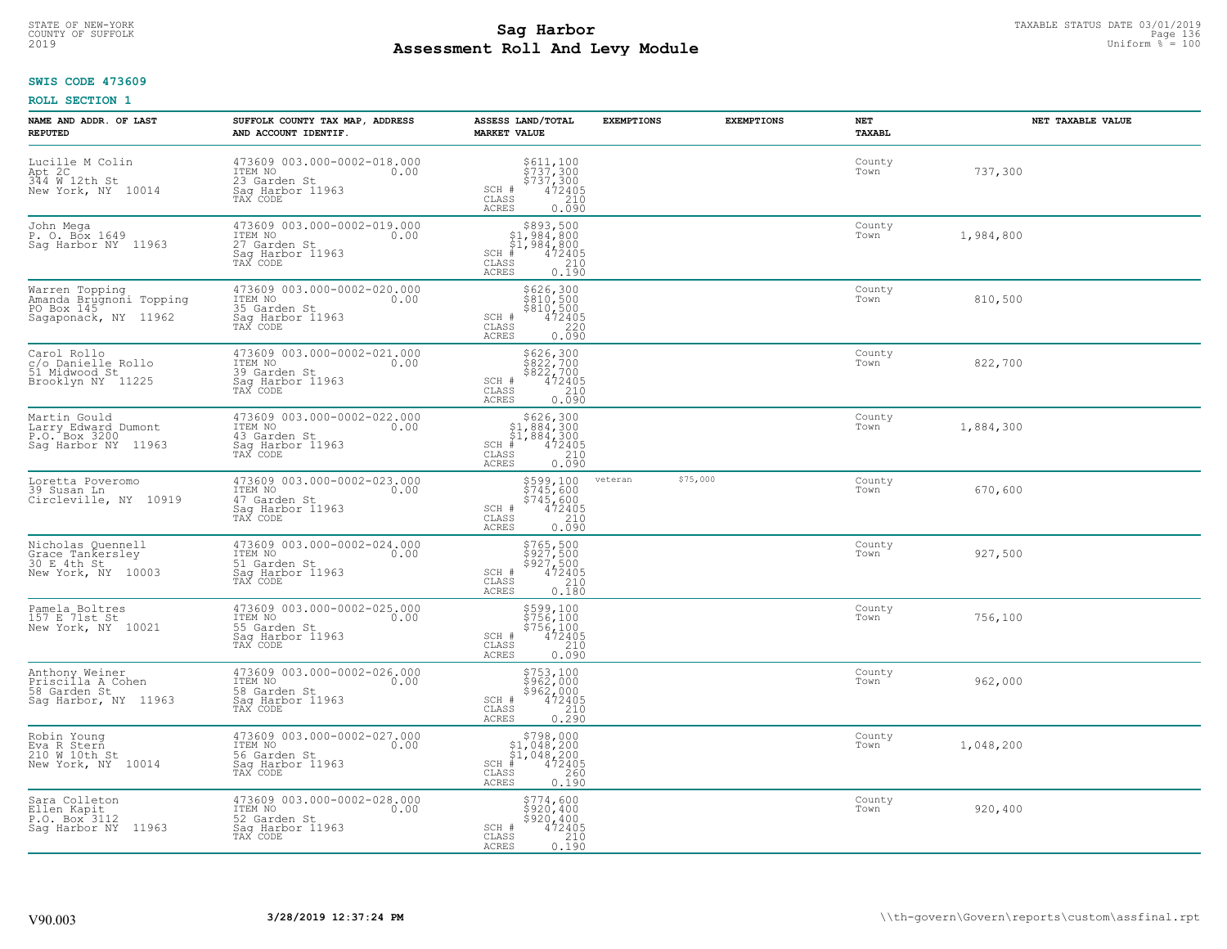## **Sag Harbor**<br>**Poll And Low Module**<br>Doll And Low Module **Assessment Roll And Levy Module** 2019 Uniform % = 100 COUNTY OF SUFFOLK Page 136

## **SWIS CODE 473609**

| NAME AND ADDR. OF LAST<br><b>REPUTED</b>                                        | SUFFOLK COUNTY TAX MAP, ADDRESS<br>AND ACCOUNT IDENTIF.                                        | ASSESS LAND/TOTAL<br><b>MARKET VALUE</b>                                                                                                                                                                          | <b>EXEMPTIONS</b> | <b>EXEMPTIONS</b> | NET<br><b>TAXABL</b> | NET TAXABLE VALUE |
|---------------------------------------------------------------------------------|------------------------------------------------------------------------------------------------|-------------------------------------------------------------------------------------------------------------------------------------------------------------------------------------------------------------------|-------------------|-------------------|----------------------|-------------------|
| Lucille M Colin<br>Apt 2C<br>344 W 12th St<br>New York, NY 10014                | 473609 003.000-0002-018.000<br>TTEM NO 0.00<br>23 Garden St<br>Saq Harbor 11963<br>TAX CODE    | \$611,100<br>\$737,300<br>\$737,300<br>472405<br>$\texttt{SCH}$ # CLASS<br>210<br><b>ACRES</b><br>0.090                                                                                                           |                   |                   | County<br>Town       | 737,300           |
| John Mega<br>P. O. Box 1649<br>Saq Harbor NY 11963                              | 473609 003.000-0002-019.000<br>ITEM NO 0.00<br>27 Garden St<br>Sag Harbor 11963<br>TAX CODE    | $$393,500$<br>$$1,984,800$<br>$$1,984,800$<br>$$472405$<br>$SCH$ #<br>CLASS<br>$\frac{1}{210}$<br><b>ACRES</b><br>0.190                                                                                           |                   |                   | County<br>Town       | 1,984,800         |
| Warren Topping<br>Amanda Brugnoni Topping<br>PO Box 145<br>Sagaponack, NY 11962 | 473609 003.000-0002-020.000<br>ITEM NO<br>0.00<br>35 Garden St<br>Sag Harbor 11963<br>TAX CODE | \$626,300<br>\$810,500<br>\$810,500<br>\$220<br>\$220<br>SCH #<br>CLASS<br><b>ACRES</b><br>0.090                                                                                                                  |                   |                   | County<br>Town       | 810,500           |
| Carol Rollo<br>c/o Danielle Rollo<br>51 Midwood St<br>Brooklyn NY 11225         | 473609 003.000-0002-021.000<br>ITEM NO<br>0.00<br>39 Garden St<br>Saq Harbor 11963<br>TAX CODE | \$626,300<br>\$822,700<br>\$822,700<br>SCH #<br>CLASS<br>$472405$<br>210<br>ACRES<br>0.090                                                                                                                        |                   |                   | County<br>Town       | 822,700           |
| Martin Gould<br>Larry Edward Dumont<br>P.O. Box 3200<br>Saq Harbor NY 11963     | 473609 003.000-0002-022.000<br>ITEM NO<br>0.00<br>43 Garden St<br>Saq Harbor 11963<br>TAX CODE | $\begin{array}{r}  \  \  \, 5626,300\\  \  \, 51,884,300\\  \  \, 51,884,300\\  \  \  \, 472405\\  \  \  \, 88\\  \  \  \, 8210\\  \  \  \, 210\\  \  \, 0.090\\ \end{array}$<br>$SCH$ #<br>CLASS<br><b>ACRES</b> |                   |                   | County<br>Town       | 1,884,300         |
| Loretta Poveromo<br>39 Susan Ln<br>Circleville, NY 10919                        | 473609 003.000-0002-023.000<br>ITEM NO<br>0.00<br>47 Garden St<br>Sag Harbor 11963<br>TAX CODE | \$599,100<br>\$745,600<br>\$745,600<br>\$72405<br>\$210<br>SCH #<br>$\mathtt{CLASS}$<br>0.090<br>ACRES                                                                                                            | veteran           | \$75,000          | County<br>Town       | 670,600           |
| Nicholas Quennell<br>Grace Tankersley<br>30 E 4th St<br>New York, NY 10003      | 473609 003.000-0002-024.000<br>ITEM NO<br>0.00<br>51 Garden St<br>Sag Harbor 11963<br>TAX CODE | \$765,500<br>\$927,500<br>\$927,500<br>472405<br>SCH #<br>210<br>CLASS<br><b>ACRES</b><br>0.180                                                                                                                   |                   |                   | County<br>Town       | 927,500           |
| Pamela Boltres<br>157 E 71st St<br>New York, NY 10021                           | 473609 003.000-0002-025.000<br>TTEM NO 0.00<br>55 Garden St<br>Saq Harbor 11963<br>TAX CODE    | \$599,100<br>\$756,100<br>\$756,100<br>472405<br>$SCH$ #<br>CLASS<br>210<br>ACRES<br>0.090                                                                                                                        |                   |                   | County<br>Town       | 756,100           |
| Anthony Weiner<br>Priscilla A Cohen<br>58 Garden St<br>Sag Harbor, NY 11963     | 473609 003.000-0002-026.000<br>0.00 0.00<br>58 Garden St<br>Sag Harbor 11963<br>TAX CODE       | \$753,100<br>\$962,000<br>\$962,000<br>472405<br>SCH #<br>CLASS<br>210<br><b>ACRES</b><br>0.290                                                                                                                   |                   |                   | County<br>Town       | 962,000           |
| Robin Young<br>Eva R Stern<br>210 W 10th St<br>New York, NY 10014               | 473609 003.000-0002-027.000<br>ITEM NO<br>0.00<br>56 Garden St<br>Sag Harbor 11963<br>TAX CODE | \$798,000<br>$$1,048,200$<br>$$1,048,200$<br>$472405$<br>$SCH$ #<br>260<br>CLASS<br>0.190<br><b>ACRES</b>                                                                                                         |                   |                   | County<br>Town       | 1,048,200         |
| Sara Colleton<br>Ellen Kapit<br>P.O. Box <sup>3112</sup><br>Saq Harbor NY 11963 | 473609 003.000-0002-028.000<br>ITEM NO<br>0.00<br>52 Garden St<br>Saq Harbor 11963<br>TAX CODE | \$774,600<br>\$920,400<br>\$920, 400<br>SCH #<br>472405<br>CLASS<br>210<br>ACRES<br>0.190                                                                                                                         |                   |                   | County<br>Town       | 920,400           |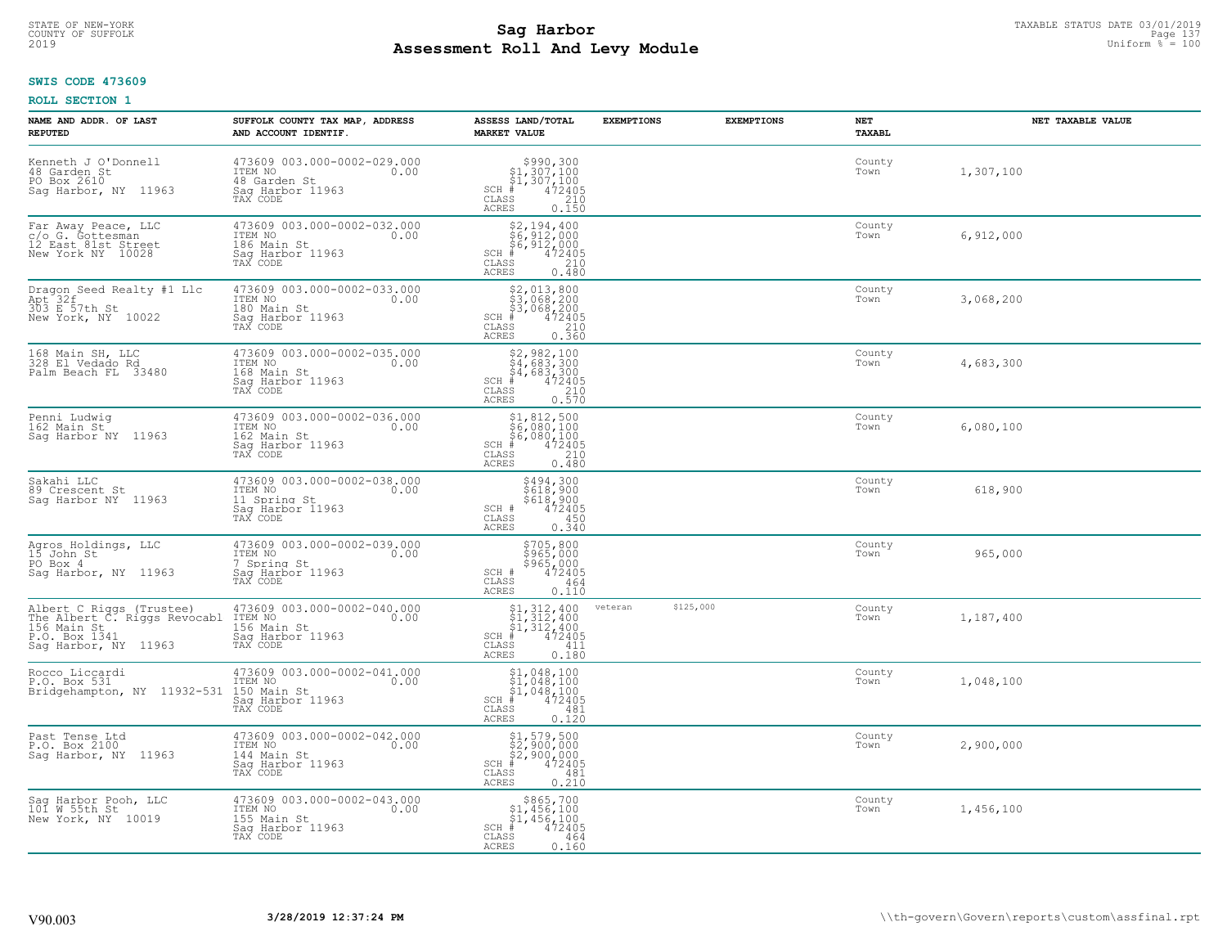## **SWIS CODE 473609**

| NAME AND ADDR. OF LAST<br><b>REPUTED</b>                                                                         | SUFFOLK COUNTY TAX MAP, ADDRESS<br>AND ACCOUNT IDENTIF.                                        | ASSESS LAND/TOTAL<br><b>MARKET VALUE</b>                                                                                                                                    | <b>EXEMPTIONS</b><br><b>EXEMPTIONS</b> | NET<br>TAXABL  | NET TAXABLE VALUE |
|------------------------------------------------------------------------------------------------------------------|------------------------------------------------------------------------------------------------|-----------------------------------------------------------------------------------------------------------------------------------------------------------------------------|----------------------------------------|----------------|-------------------|
| Kenneth J O'Donnell<br>48 Garden St<br>PO Box 2610<br>Sag Harbor, NY 11963                                       | 473609 003.000-0002-029.000<br>ITEM NO<br>0.00<br>48 Garden St<br>Saq Harbor 11963<br>TAX CODE | $$990,300$<br>$$1,307,100$<br>$$1,307,100$<br>$*$<br>$*$<br>$*$<br>$*$<br>$SCH$ #<br>CLASS<br>210<br>ACRES<br>0.150                                                         |                                        | County<br>Town | 1,307,100         |
| Far Away Peace, LLC<br>c/o G. Gottesman<br>12 East 81st Street<br>New York NY 10028                              | 473609 003.000-0002-032.000<br>ITEM NO<br>0.00<br>186 Main St<br>Sag Harbor 11963<br>TAX CODE  | \$2,194,400<br>\$6,912,000<br>\$6,912,000<br>$SCH$ #<br>472405<br>CLASS<br>210<br>0.480<br>ACRES                                                                            |                                        | County<br>Town | 6,912,000         |
| Dragon Seed Realty #1 Llc<br>Apt 32f<br>303 E 57th St<br>New York, NY 10022                                      | 473609 003.000-0002-033.000<br>ITEM NO<br>0.00<br>180 Main St<br>Sag Harbor 11963<br>TAX CODE  | $\begin{array}{r} 52,013,800 \\ 53,068,200 \\ 53,068,200 \\ * & 472405 \\ * & 210 \\ * & 210 \\ * & 210 \\ * & 210 \\ * & 0.360 \end{array}$<br>$SCH$ #<br>CLASS<br>ACRES   |                                        | County<br>Town | 3,068,200         |
| 168 Main SH, LLC<br>328 El Vedado Rd<br>Palm Beach FL 33480                                                      | 473609 003.000-0002-035.000<br>ITEM NO<br>0.00<br>168 Main St<br>Saq Harbor 11963<br>TAX CODE  | $\begin{array}{r} 52,982,100 \\ 54,683,300 \\ 54,683,300 \\ \frac{4}{7} & 472405 \\ \frac{210}{35} & 210 \\ \frac{25}{35} & 0.570 \end{array}$<br>$SCH$ #<br>CLASS<br>ACRES |                                        | County<br>Town | 4,683,300         |
| Penni Ludwig<br>162 Main St<br>Sag Harbor NY 11963                                                               | 473609 003.000-0002-036.000<br>ITEM NO<br>0.00<br>162 Main St<br>Sag Harbor 11963<br>TAX CODE  | \$1,812,500<br>$\frac{1}{6}$ , 080, 100<br>$\frac{6}{4}$ , 080, 100<br>$\frac{4}{2}$<br>$SCH$ #<br>CLASS<br>210<br>0.480<br>ACRES                                           |                                        | County<br>Town | 6,080,100         |
| Sakahi LLC<br>89 Crescent St<br>Sag Harbor NY 11963                                                              | 473609 003.000-0002-038.000<br>ITEM NO<br>0.00<br>11 Spring St<br>Saq Harbor 11963<br>TAX CODE | \$494,300<br>\$618,900<br>\$618,900<br>472405<br>SCH #<br>CLASS<br>450<br>0.340<br>ACRES                                                                                    |                                        | County<br>Town | 618,900           |
| Agros Holdings, LLC<br>15 John St<br>PO Box 4<br>Sag Harbor, NY 11963                                            | 473609 003.000-0002-039.000<br>ITEM NO<br>0.00<br>7 Spring St<br>Sag Harbor 11963<br>TAX CODE  | \$705,800<br>\$965,000<br>\$965,000<br>\$965,000<br>SCH #<br>CLASS<br>464<br>0.110<br>ACRES                                                                                 |                                        | County<br>Town | 965,000           |
| Albert C Riggs (Trustee)<br>The Albert C. Riggs Revocabl<br>156 Main St<br>P.O. Box 1341<br>Sag Harbor, NY 11963 | 473609 003.000-0002-040.000<br>ITEM NO<br>0.00<br>156 Main St<br>Sag Harbor 11963<br>TAX CODE  | $\begin{array}{l} 51,312,400 \\ 51,312,400 \\ 41,312,400 \\ \frac{4}{5} & 472405 \end{array}$<br>SCH<br>CLASS<br>411<br><b>ACRES</b><br>0.180                               | \$125,000<br>veteran                   | County<br>Town | 1,187,400         |
| Rocco Liccardi<br>P.O. Box 531<br>Bridgehampton, NY 11932-531                                                    | 473609 003.000-0002-041.000<br>ITEM NO<br>0.00<br>150 Main St<br>Sag Harbor 11963<br>TAX CODE  | $$1,048,100$<br>$$1,048,100$<br>$$1,048,100$<br>$*$<br>$*$<br>$*$<br>$*$<br>$SCH$ #<br>CLASS<br>481<br><b>ACRES</b><br>0.120                                                |                                        | County<br>Town | 1,048,100         |
| Past Tense Ltd<br>P.O. Box 2100<br>Saq Harbor, NY 11963                                                          | 473609 003.000-0002-042.000<br>ITEM NO<br>0.00<br>144 Main St<br>Saq Harbor 11963<br>TAX CODE  | \$1,579,500<br>\$2,900,000<br>\$2,900,000<br>$SCH$ #<br>472405<br>$\mathtt{CLASS}$<br>481<br><b>ACRES</b><br>0.210                                                          |                                        | County<br>Town | 2,900,000         |
| Sag Harbor Pooh, LLC<br>101 W 55th St<br>New York, NY 10019                                                      | 473609 003.000-0002-043.000<br>ITEM NO<br>0.00<br>155 Main St<br>Sag Harbor 11963<br>TAX CODE  | \$865,700<br>\$1,456,100<br>\$1,456,100<br>$SCH$ #<br>472405<br>CLASS<br>464<br>0.160<br>ACRES                                                                              |                                        | County<br>Town | 1,456,100         |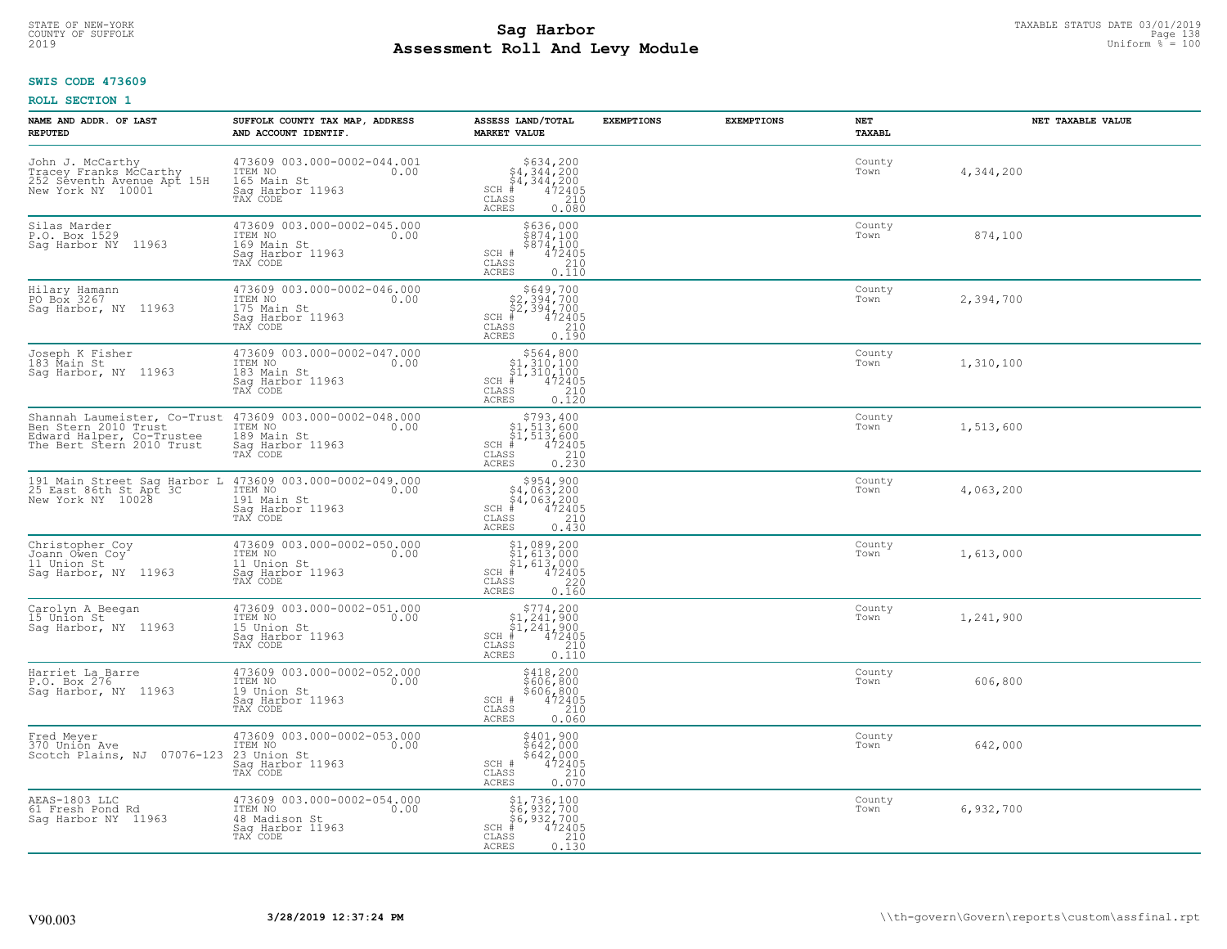## **Sag Harbor**<br>**Poll And Low Module**<br>Doll And Low Module **Assessment Roll And Levy Module** 2019 Uniform % = 100 COUNTY OF SUFFOLK Page 138

## **SWIS CODE 473609**

| NAME AND ADDR. OF LAST<br><b>REPUTED</b>                                                      | SUFFOLK COUNTY TAX MAP, ADDRESS<br>AND ACCOUNT IDENTIF.                                                                                                      | ASSESS LAND/TOTAL<br><b>MARKET VALUE</b>                                                                                        | <b>EXEMPTIONS</b> | <b>EXEMPTIONS</b><br>NET<br>TAXABL | NET TAXABLE VALUE |
|-----------------------------------------------------------------------------------------------|--------------------------------------------------------------------------------------------------------------------------------------------------------------|---------------------------------------------------------------------------------------------------------------------------------|-------------------|------------------------------------|-------------------|
| John J. McCarthy<br>Tracey Franks McCarthy<br>252 Seventh Avenue Apt 15H<br>New York NY 10001 | 473609 003.000-0002-044.001<br>ITEM NO 0.00<br>165 Main St<br>Sag Harbor 11963<br>TAX CODE                                                                   | $5634, 200$<br>$54, 344, 200$<br>$54, 344, 200$<br>$1 \#$<br>$472405$<br>$210$<br>$210$<br>$SCH$ $#$<br>CLASS<br>ACRES<br>0.080 |                   | County<br>Town                     | 4,344,200         |
| Silas Marder<br>P.O. Box 1529<br>Sag Harbor NY 11963                                          | 473609 003.000-0002-045.000<br>ITEM NO<br>0.00<br>169 Main St<br>Saq Harbor 11963<br>TAX CODE                                                                | \$636,000<br>\$874,100<br>\$874,100<br>SCH #<br>472405<br>CLASS<br>$\frac{210}{0.110}$<br>ACRES                                 |                   | County<br>Town                     | 874,100           |
| Hilary Hamann<br>PO Box 3267<br>Sag Harbor, NY 11963                                          | 473609 003.000-0002-046.000<br>ITEM NO<br>0.00<br>175 Main St<br>Saq Harbor 11963<br>TAX CODE                                                                | $$649,700$<br>$$2,394,700$<br>$$2,394,700$<br>$$472405$<br>$$5$<br>$SCH$ #<br>CLASS<br>210<br>0.190<br>ACRES                    |                   | County<br>Town                     | 2,394,700         |
| Joseph K Fisher<br>183 Main St<br>Saq Harbor, NY 11963                                        | 473609 003.000-0002-047.000<br>ITEM NO 0.00<br>183 Main St<br>Saq Harbor 11963<br>TAX CODE                                                                   | $$564,800$<br>$$1,310,100$<br>$\frac{1}{4}$ , 310, 100<br>$\frac{4}{4}$ , 472405<br>$SCH$ #<br>CLASS<br>210<br>ACRES<br>0.120   |                   | County<br>Town                     | 1,310,100         |
| Edward Halper, Co-Trustee<br>The Bert Stern 2010 Trust                                        | Shannah Laumeister, Co-Trust 473609 003.000-0002-048.000<br>Ben Stern 2010 Trust ITEM NO.00<br>TTEM NO $0.00$<br>189 Main St<br>Sag Harbor 11963<br>TAX CODE | $$793, 400$<br>$$1, 513, 600$<br>$$1, 513, 600$<br>$472405$<br>ss 210<br>$SCH \#$<br>CLASS<br>0.230<br>ACRES                    |                   | County<br>Town                     | 1,513,600         |
| New York NY 10028                                                                             | 191 Main Street Sag Harbor L 473609 003.000-0002-049.000<br>25 East 86th St Apt 3C ITEM NO 0.00<br>191 Main St<br>Sag Harbor 11963<br>TAX CODE               | $$954, 900$<br>$$4, 063, 200$<br>$$4, 063, 200$<br>$$4, 063, 200$<br>$SCH$ #<br>210<br>CLASS<br>0.430<br>ACRES                  |                   | County<br>Town                     | 4,063,200         |
| Christopher Coy<br>Joann Owen Coy<br>11 Union St<br>Saq Harbor, NY 11963                      | 473609 003.000-0002-050.000<br>ITEM NO<br>0.00<br>11 Union St<br>Sag Harbor 11963<br>TAX CODE                                                                | $$1,089,200$<br>$$1,613,000$<br>$$1,613,000$<br>$$1,613,000$<br>$$1,472405$<br>$SCH$ #<br>CLASS<br>220<br>0.160<br>ACRES        |                   | County<br>Town                     | 1,613,000         |
| Carolyn A Beegan<br>15 Union St<br>Sag Harbor, NY 11963                                       | 473609 003.000-0002-051.000<br>ITEM NO 0.00<br>15 Union St<br>Saq Harbor 11963<br>TAX CODE                                                                   | $\begin{array}{c} $774,200\n$1,241,900\n$1,241,900\n$4,242,900\n*$<br>$SCH$ #<br>CLASS<br>210<br>ACRES<br>0.110                 |                   | County<br>Town                     | 1,241,900         |
| Harriet La Barre<br>P.O. Box 276<br>Saq Harbor, NY 11963                                      | 473609 003.000-0002-052.000<br>ITEM NO 0.00<br>19 Union St<br>19 Union St<br>Saq Harbor 11963<br>TAX CODE                                                    | \$418,200<br>\$606,800<br>\$606,800<br>SCH #<br>472405<br>CLASS<br>210<br>ACRES<br>0.060                                        |                   | County<br>Town                     | 606,800           |
| Fred Meyer<br>370 Union Ave<br>Scotch Plains, NJ 07076-123 23 Union St                        | 473609 003.000-0002-053.000<br>ITEM NO 0.00<br>Sag Harbor 11963<br>TAX CODE                                                                                  | \$401,900<br>\$642,000<br>$$642,000$<br>472405<br>SCH #<br>CLASS<br>210<br><b>ACRES</b><br>0.070                                |                   | County<br>Town                     | 642,000           |
| AEAS-1803 LLC<br>61 Fresh Pond Rd<br>Saq Harbor NY 11963                                      | 473609 003.000-0002-054.000<br>ITEM NO<br>0.00<br>48 Madison St<br>Saq Harbor 11963<br>TAX CODE                                                              | \$1,736,100<br>\$6,932,700<br>\$6,932,700<br>$SCH$ #<br>472405<br>CLASS<br>210<br>ACRES<br>0.130                                |                   | County<br>Town                     | 6,932,700         |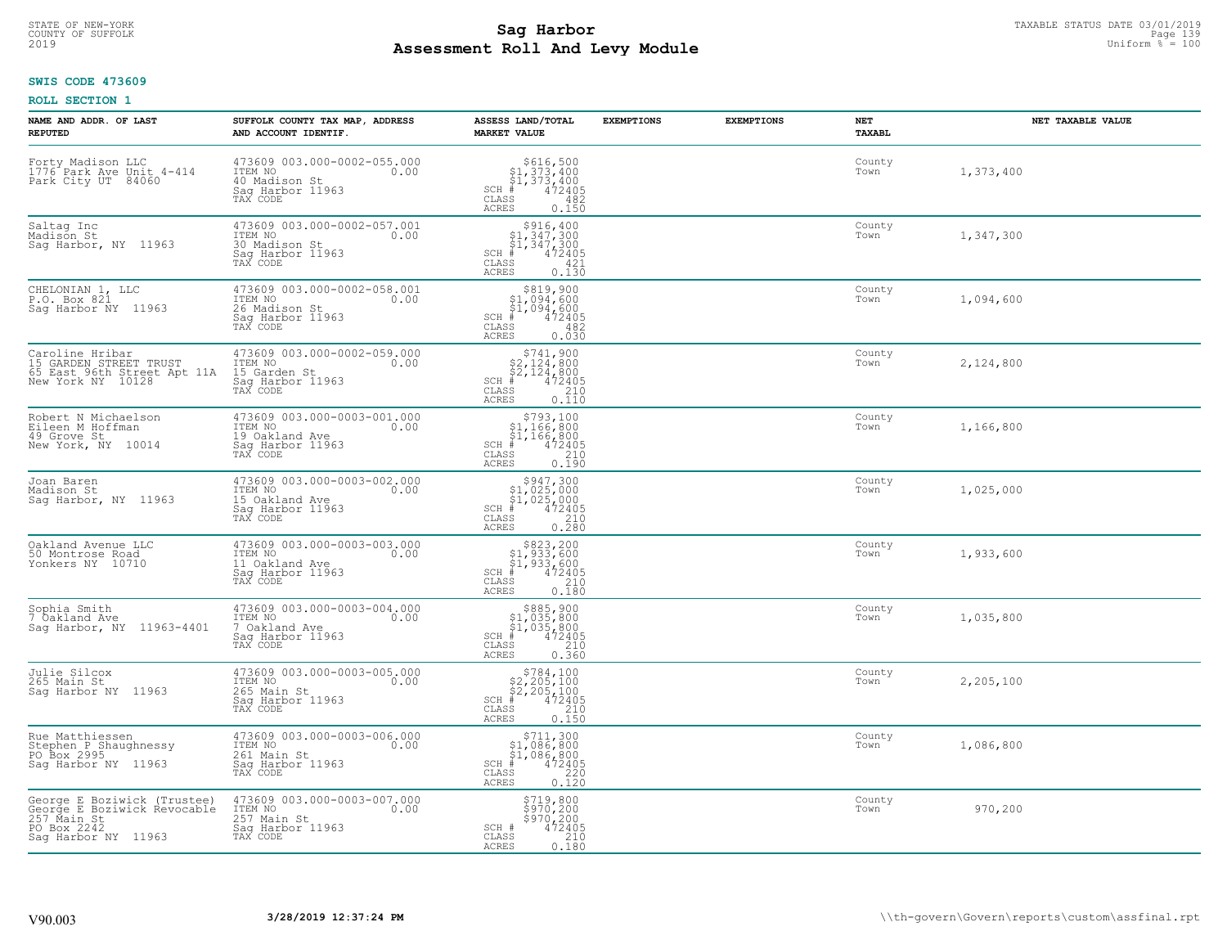## **SWIS CODE 473609**

| NAME AND ADDR. OF LAST<br><b>REPUTED</b>                                                                        | SUFFOLK COUNTY TAX MAP, ADDRESS<br>AND ACCOUNT IDENTIF.                                          | ASSESS LAND/TOTAL<br><b>MARKET VALUE</b>                                                                                                                   | <b>EXEMPTIONS</b> | <b>EXEMPTIONS</b> | NET<br>TAXABL  | NET TAXABLE VALUE |
|-----------------------------------------------------------------------------------------------------------------|--------------------------------------------------------------------------------------------------|------------------------------------------------------------------------------------------------------------------------------------------------------------|-------------------|-------------------|----------------|-------------------|
| Forty Madison LLC<br>1776 Park Ave Unit 4-414<br>Park City UT 84060                                             | 473609 003.000-0002-055.000<br>ITEM NO<br>0.00<br>40 Madison St<br>Saq Harbor 11963<br>TAX CODE  | $SCH$ #<br>CLASS<br>482<br><b>ACRES</b><br>0.150                                                                                                           |                   |                   | County<br>Town | 1,373,400         |
| Saltag Inc<br>Madison St<br>Sag Harbor, NY 11963                                                                | 473609 003.000-0002-057.001<br>ITEM NO<br>0.00<br>30 Madison St<br>Sag Harbor 11963<br>TAX CODE  | $$316, 400$<br>$$1, 347, 300$<br>$$1, 347, 300$<br>$$472405$<br>$SCH$ #<br>CLASS<br>421<br>0.130<br><b>ACRES</b>                                           |                   |                   | County<br>Town | 1,347,300         |
| CHELONIAN 1, LLC<br>P.O. Box 821<br>Saq Harbor NY 11963                                                         | 473609 003.000-0002-058.001<br>ITEM NO<br>0.00<br>26 Madison St<br>Sag Harbor 11963<br>TAX CODE  | \$819,900<br>$$1,094,600$<br>$$1,094,600$<br>$472405$<br>$SCH$ #<br>CLASS<br>482<br>0.030<br><b>ACRES</b>                                                  |                   |                   | County<br>Town | 1,094,600         |
| Caroline Hribar<br>15 GARDEN STREET TRUST<br>65 East 96th Street Apt 11A<br>New York NY 10128                   | 473609 003.000-0002-059.000<br>ITEM NO<br>0.00<br>15 Garden St<br>Sag Harbor 11963<br>TAX CODE   | $$741,900$<br>$$2,124,800$<br>$$2,124,800$<br>$472405$<br>$$35$<br>$$240$<br>$SCH$ #<br>CLASS<br><b>ACRES</b><br>0.110                                     |                   |                   | County<br>Town | 2,124,800         |
| Robert N Michaelson<br>Eileen M Hoffman<br>49 Grove St<br>New York, NY 10014                                    | 473609 003.000-0003-001.000<br>ITEM NO<br>0.00<br>19 Oakland Ave<br>Saq Harbor 11963<br>TAX CODE | $\begin{array}{c} $793,100 \\ $1,166,800 \\ $1,166,800 \end{array}$<br>$SCH$ #<br>$\frac{472405}{210}$<br>CLASS<br>ACRES<br>0.190                          |                   |                   | County<br>Town | 1,166,800         |
| Joan Baren<br>Madison St<br>Sag Harbor, NY 11963                                                                | 473609 003.000-0003-002.000<br>ITEM NO<br>0.00<br>15 Oakland Ave<br>Sag Harbor 11963<br>TAX CODE | $\begin{array}{c} $947,300\n$1,025,000\n$1,025,000\n# 472405 \end{array}$<br>SCH #<br>CLASS<br>$\begin{array}{c} 210 \\ 0.280 \end{array}$<br><b>ACRES</b> |                   |                   | County<br>Town | 1,025,000         |
| Oakland Avenue LLC<br>50 Montrose Road<br>Yonkers NY 10710                                                      | 473609 003.000-0003-003.000<br>ITEM NO<br>0.00<br>11 Oakland Ave<br>Sag Harbor 11963<br>TAX CODE | $$823, 200$<br>$$1, 933, 600$<br>$$1, 933, 600$<br>$$472405$<br>$SCH$ #<br>CLASS<br>210<br>0.180<br>ACRES                                                  |                   |                   | County<br>Town | 1,933,600         |
| Sophia Smith<br>7 Oakland Ave<br>Saq Harbor, NY 11963-4401                                                      | 473609 003.000-0003-004.000<br>10.00 0.00<br>7 Oakland Ave<br>Saq Harbor 11963<br>TAX CODE       | $$885,900$<br>$$1,035,800$<br>$$1,035,800$<br>$*$<br>$*$<br>$472405$<br>$SCH$ #<br>CLASS<br>210<br><b>ACRES</b><br>0.360                                   |                   |                   | County<br>Town | 1,035,800         |
| Julie Silcox<br>265 Main St<br>Sag Harbor NY 11963                                                              | 473609 003.000-0003-005.000<br>TTEM NO 0.00<br>265 Main St<br>Saq Harbor 11963<br>TAX CODE       | $$784,100$<br>$$2,205,100$<br>$$2,205,100$<br>$*$<br>$*$ 472405<br>$SCH$ #<br>CLASS<br>210<br><b>ACRES</b><br>0.150                                        |                   |                   | County<br>Town | 2,205,100         |
| Rue Matthiessen<br>Stephen P Shaughnessy<br>PO Box 2995<br>Sag Harbor NY 11963                                  | 473609 003.000-0003-006.000<br>ITEM NO<br>0.00<br>261 Main St<br>Sag Harbor 11963<br>TAX CODE    | $$711,300$<br>$$1,086,800$<br>$$1,086,800$<br>$*$<br>$472405$<br>$35$<br>$220$<br>SCH<br>CLASS<br><b>ACRES</b><br>0.120                                    |                   |                   | County<br>Town | 1,086,800         |
| George E Boziwick (Trustee)<br>George E Boziwick Revocable<br>257 Main St<br>PO Box 2242<br>Sag Harbor NY 11963 | 473609 003.000-0003-007.000<br>ITEM NO<br>0.00<br>257 Main St<br>Sag Harbor 11963<br>TAX CODE    | \$719,800<br>\$970,200<br>\$970,200<br>SCH #<br>472405<br>CLASS<br>210<br><b>ACRES</b><br>0.180                                                            |                   |                   | County<br>Town | 970,200           |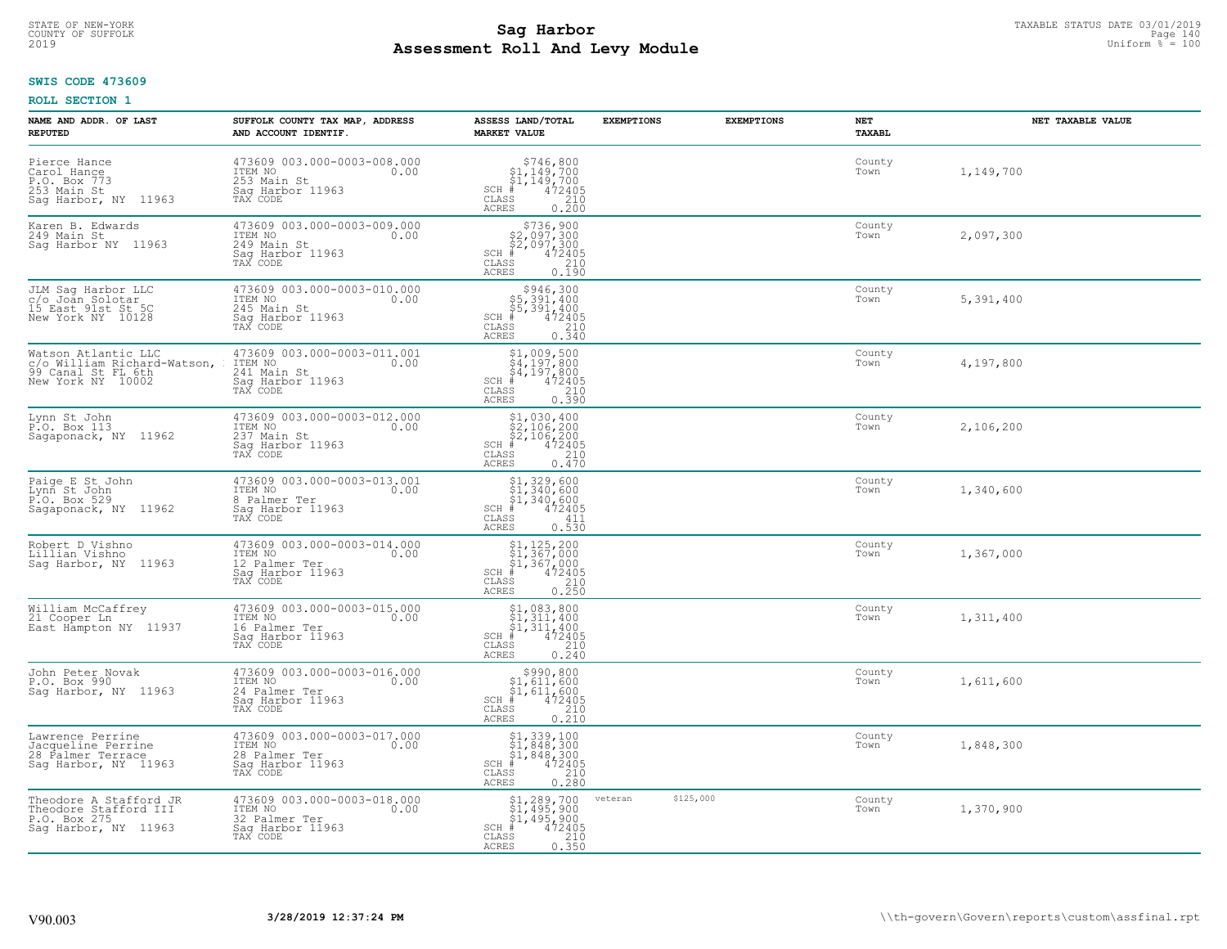# **SWIS CODE 473609**

| NAME AND ADDR. OF LAST<br><b>REPUTED</b>                                                      | SUFFOLK COUNTY TAX MAP, ADDRESS<br>AND ACCOUNT IDENTIF.                                         | ASSESS LAND/TOTAL<br><b>MARKET VALUE</b>                                                                                                                                                                                                                                                                                                                                       | <b>EXEMPTIONS</b>    | <b>EXEMPTIONS</b> | NET<br>TAXABL  | NET TAXABLE VALUE |
|-----------------------------------------------------------------------------------------------|-------------------------------------------------------------------------------------------------|--------------------------------------------------------------------------------------------------------------------------------------------------------------------------------------------------------------------------------------------------------------------------------------------------------------------------------------------------------------------------------|----------------------|-------------------|----------------|-------------------|
| Pierce Hance<br>Carol Hance<br>P.O. Box 773<br>253 Main St<br>Sag Harbor, NY 11963            | 473609 003.000-0003-008.000<br>ITEM NO<br>0.00<br>253 Main St<br>Saq Harbor 11963<br>TAX CODE   | $$746,800$<br>$$1,149,700$<br>$$1,149,700$<br>$# 472405$<br>$35$<br>$210$<br>$SCH$ #<br>CLASS<br><b>ACRES</b><br>0.200                                                                                                                                                                                                                                                         |                      |                   | County<br>Town | 1,149,700         |
| Karen B. Edwards<br>249 Main St<br>Saq Harbor NY 11963                                        | 473609 003.000-0003-009.000<br>ITEM NO<br>0.00<br>249 Main St<br>Sag Harbor 11963<br>TAX CODE   | $\begin{array}{c} $736,900$ \\ $2,097,300$ \\ $2,097,300$ \\ $472405$ \\ $85$ \\ $25$ \\ $10$ \\ $10$ \\ $210$ \\ $210$ \\ $210$ \\ $210$ \\ $210$ \\ $210$ \\ $210$ \\ $210$ \\ $210$ \\ $210$ \\ $210$ \\ $210$ \\ $210$ \\ $210$ \\ $210$ \\ $210$ \\ $210$ \\ $210$ \\ $210$ \\ $210$ \\ $210$ \\ $210$ \\ $210$ \\ $210$ \\ $210$ \\$<br>$SCH$ #<br>CLASS<br><b>ACRES</b> |                      |                   | County<br>Town | 2,097,300         |
| JLM Saq Harbor LLC<br>c/o Joan Solotar<br>15 East 91st St 5C<br>New York NY 10128             | 473609 003.000-0003-010.000<br>ITEM NO<br>0.00<br>245 Main St<br>Sag Harbor 11963<br>TAX CODE   | \$946,300<br>\$5,391,400<br>\$5,391,400<br>$SCH$ #<br>472405<br>$\begin{array}{c} 210 \\ 0.340 \end{array}$<br>CLASS<br>ACRES                                                                                                                                                                                                                                                  |                      |                   | County<br>Town | 5,391,400         |
| Watson Atlantic LLC<br>c/o William Richard-Watson,<br>99 Canal St FL 6th<br>New York NY 10002 | 473609 003.000-0003-011.001<br>ITEM NO<br>0.00<br>241 Main St<br>Saq Harbor 11963<br>TAX CODE   | $\begin{array}{c} \texttt{\$1,009,500}\ \\ \texttt{\$4,197,800}\ \\ \texttt{\$4,197,800}\ \\ \texttt{\$4,197,800}\ \\ \texttt{\$4,2405}\ \\ \texttt{\$5} \qquad \qquad 210\ \\ \texttt{\$5} \qquad \qquad 0.390 \end{array}$<br>$SCH$ #<br>CLASS<br>ACRES                                                                                                                      |                      |                   | County<br>Town | 4,197,800         |
| Lynn St John<br>P.O. Box 113<br>Sagaponack, NY 11962                                          | 473609 003.000-0003-012.000<br>ITEM NO<br>0.00<br>237 Main St<br>Saq Harbor 11963<br>TAX CODE   | $$1,030,400$<br>$$2,106,200$<br>$$2,106,200$<br>$472405$<br>$35$<br>$210$<br>$SCH$ #<br>CLASS<br>0.470<br><b>ACRES</b>                                                                                                                                                                                                                                                         |                      |                   | County<br>Town | 2,106,200         |
| Paige E St John<br>Lynn St John<br>P.O. Box 529<br>Sagaponack, NY 11962                       | 473609 003.000-0003-013.001<br>ITEM NO<br>0.00<br>8 Palmer Ter<br>Sag Harbor 11963<br>TAX CODE  | \$1,329,600<br>\$1,340,600<br>\$1,340,600<br>#472405<br>$SCH$ #<br>411<br>CLASS<br>0.530<br><b>ACRES</b>                                                                                                                                                                                                                                                                       |                      |                   | County<br>Town | 1,340,600         |
| Robert D Vishno<br>Lillian Vishno<br>Sag Harbor, NY 11963                                     | 473609 003.000-0003-014.000<br>ITEM NO<br>0.00<br>12 Palmer Ter<br>Sag Harbor 11963<br>TAX CODE | $$1, 125, 200$<br>$$1, 367, 000$<br>$$1, 367, 000$<br>$$472405$<br>$SCH$ #<br>CLASS<br>$\frac{210}{0.250}$<br><b>ACRES</b>                                                                                                                                                                                                                                                     |                      |                   | County<br>Town | 1,367,000         |
| William McCaffrey<br>21 Cooper Ln<br>East Hampton NY 11937                                    | 473609 003.000-0003-015.000<br>TTEM NO 0.00<br>16 Palmer Ter<br>Saq Harbor 11963<br>TAX CODE    | $$1,083,800$<br>$$1,311,400$<br>$$1,311,400$<br>$$1,311,400$<br>$472405$<br>SCH #<br>CLASS<br>210<br>ACRES<br>0.240                                                                                                                                                                                                                                                            |                      |                   | County<br>Town | 1,311,400         |
| John Peter Novak<br>P.O. Box 990<br>Saq Harbor, NY 11963                                      | 473609 003.000-0003-016.000<br>TTEM NO 0.00<br>24 Palmer Ter<br>Saq Harbor <sup>-11963</sup>    | $$990, 800$<br>$$1, 611, 600$<br>$$1, 611, 600$<br>$*$ $472405$<br>$SCH$ #<br>CLASS<br>210<br>0.210<br><b>ACRES</b>                                                                                                                                                                                                                                                            |                      |                   | County<br>Town | 1,611,600         |
| Lawrence Perrine<br>Jacqueline Perrine<br>28 Palmer Terrace<br>Sag Harbor, NY 11963           | 473609 003.000-0003-017.000<br>ITEM NO<br>0.00<br>28 Palmer Ter<br>Sag Harbor 11963<br>TAX CODE | $$1,339,100$<br>$$1,848,300$<br>$$1,848,300$<br>$472405$<br>$35$<br>$210$<br>$SCH$ #<br>CLASS<br><b>ACRES</b><br>0.280                                                                                                                                                                                                                                                         |                      |                   | County<br>Town | 1,848,300         |
| Theodore A Stafford JR<br>Theodore Stafford III<br>P.O. Box 275<br>Saq Harbor, NY 11963       | 473609 003.000-0003-018.000<br>ITEM NO<br>0.00<br>32 Palmer Ter<br>Sag Harbor 11963<br>TAX CODE | $$1, 289, 700$<br>$$1, 495, 900$<br>$$1, 495, 900$<br>$472405$<br>$$210$<br>$SCH$ #<br>CLASS<br><b>ACRES</b><br>0.350                                                                                                                                                                                                                                                          | \$125,000<br>veteran |                   | County<br>Town | 1,370,900         |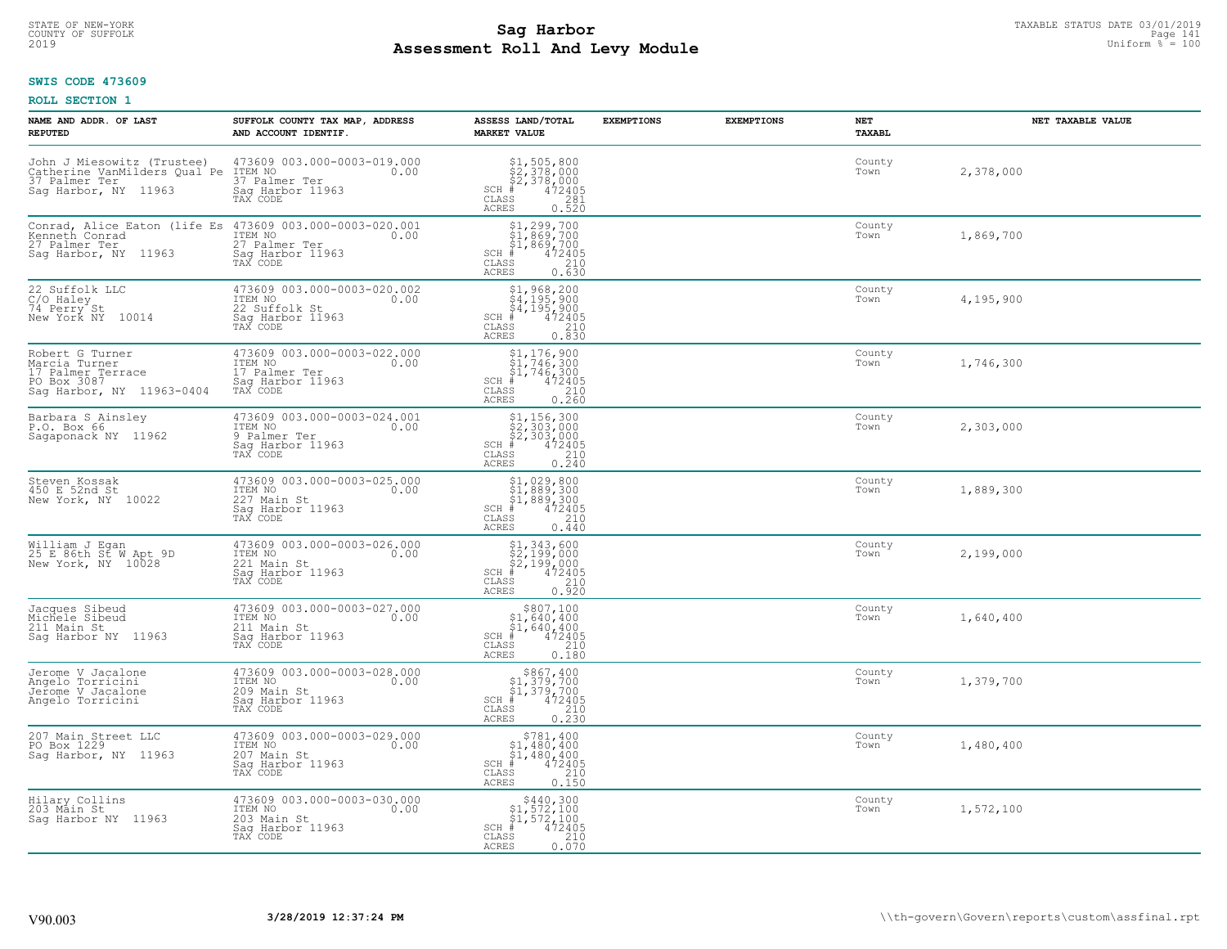## **Sag Harbor** TAXABLE STATUS DATE 03/01/2019<br>Pall and Louis Module **Assessment Roll And Levy Module** 2019 Uniform % = 100 COUNTY OF SUFFOLK Page 141 and the country of Superior and the Page 141 and the Page 141 and the Page 141 and the Page 141

## **SWIS CODE 473609**

| NAME AND ADDR. OF LAST<br><b>REPUTED</b>                                                            | SUFFOLK COUNTY TAX MAP, ADDRESS<br>AND ACCOUNT IDENTIF.                                         | ASSESS LAND/TOTAL<br><b>MARKET VALUE</b>                                                                                                                                                                                                                                                                                                                                                                                 | <b>EXEMPTIONS</b> | <b>EXEMPTIONS</b> | NET<br>TAXABL  | NET TAXABLE VALUE |
|-----------------------------------------------------------------------------------------------------|-------------------------------------------------------------------------------------------------|--------------------------------------------------------------------------------------------------------------------------------------------------------------------------------------------------------------------------------------------------------------------------------------------------------------------------------------------------------------------------------------------------------------------------|-------------------|-------------------|----------------|-------------------|
| John J Miesowitz (Trustee)<br>Catherine VanMilders Qual Pe<br>37 Palmer Ter<br>Sag Harbor, NY 11963 | 473609 003.000-0003-019.000<br>ITEM NO<br>0.00<br>37 Palmer Ter<br>Saq Harbor 11963<br>TAX CODE | \$1,505,800<br>\$2,378,000<br>\$2,378,000<br>#472405<br>$SCH$ #<br>CLASS<br>281<br>ACRES<br>0.520                                                                                                                                                                                                                                                                                                                        |                   |                   | County<br>Town | 2,378,000         |
| Conrad, Alice Eaton (life Es<br>Kenneth Conrad<br>27 Palmer Ter<br>Sag Harbor, NY 11963             | 473609 003.000-0003-020.001<br>ITEM NO<br>0.00<br>27 Palmer Ter<br>Sag Harbor 11963<br>TAX CODE | $\begin{array}{l} 51,299,700 \\ 51,869,700 \\ 71,869,700 \end{array}$<br>$SCH$ #<br>472405<br>CLASS<br>210<br>0.630<br>ACRES                                                                                                                                                                                                                                                                                             |                   |                   | County<br>Town | 1,869,700         |
| 22 Suffolk LLC<br>C/O Haley<br>74 Perry St<br>New York NY 10014                                     | 473609 003.000-0003-020.002<br>ITEM NO<br>0.00<br>22 Suffolk St<br>Sag Harbor 11963<br>TAX CODE | $$1, 968, 200$<br>$$4, 195, 900$<br>$$4, 195, 900$<br>$$4, 195, 900$<br>$472405$<br>SCH #<br>CLASS<br>210<br>0.830<br>ACRES                                                                                                                                                                                                                                                                                              |                   |                   | County<br>Town | 4,195,900         |
| Robert G Turner<br>Marcia Turner<br>17 Palmer Terrace<br>PO Box 3087<br>Saq Harbor, NY 11963-0404   | 473609 003.000-0003-022.000<br>ITEM NO<br>0.00<br>17 Palmer Ter<br>Saq Harbor 11963<br>TAX CODE | \$1,176,900<br>\$1,746,300<br>\$1,746,300<br># 472405<br>\$210<br>$SCH$ #<br>CLASS<br><b>ACRES</b><br>0.260                                                                                                                                                                                                                                                                                                              |                   |                   | County<br>Town | 1,746,300         |
| Barbara S Ainsley<br>P.O. Box 66<br>Sagaponack NY 11962                                             | 473609 003.000-0003-024.001<br>ITEM NO<br>0.00<br>9 Palmer Ter<br>Saq Harbor 11963<br>TAX CODE  | $\begin{array}{l} \text{\$1$, $156$, $300$} \\ \text{\$2$, $303$, $000$} \\ \text{\$2$, $303$, $000$} \\ \text{\$4$} \\ \text{\$5$} \\ \text{\$10$} \\ \text{\$110$} \\ \text{\$12405} \\ \text{\$13$} \\ \text{\$140$} \\ \text{\$15$} \\ \text{\$160$} \\ \text{\$180$} \\ \text{\$190$} \\ \text{\$191$} \\ \text{\$192$} \\ \text{\$103$} \\ \text{\$193$} \\ \text{\$194$} \\ \text{\$1$<br>SCH #<br>CLASS<br>ACRES |                   |                   | County<br>Town | 2,303,000         |
| Steven Kossak<br>450 E 52nd St<br>New York, NY 10022                                                | 473609 003.000-0003-025.000<br>ITEM NO<br>0.00<br>227 Main St<br>Sag Harbor 11963<br>TAX CODE   | $$1,029,800$<br>$$1,889,300$<br>$$1,889,300$<br>$$1,889,300$<br>$472405$<br>SCH #<br>CLASS<br>210<br><b>ACRES</b><br>0.440                                                                                                                                                                                                                                                                                               |                   |                   | County<br>Town | 1,889,300         |
| William J Egan<br>25 E 86th St W Apt 9D<br>New York, NY 10028                                       | 473609 003.000-0003-026.000<br>ITEM NO<br>0.00<br>221 Main St<br>Sag Harbor 11963<br>TAX CODE   | $$1,343,600$<br>$$2,199,000$<br>$$2,199,000$<br>$$472405$<br>SCH #<br>CLASS<br>210<br>0.920<br>ACRES                                                                                                                                                                                                                                                                                                                     |                   |                   | County<br>Town | 2,199,000         |
| Jacques Sibeud<br>Michele Sibeud<br>211 Main St<br>Sag Harbor NY 11963                              | 473609 003.000-0003-027.000<br>10.00 0.00<br>211 Main St<br>Saq Harbor 11963<br>TAX CODE        | $\begin{array}{c} $807,100\n$1,640,400\n$1,640,400\n# 472405 \end{array}$<br>$SCH$ #<br>CLASS<br>210<br><b>ACRES</b><br>0.180                                                                                                                                                                                                                                                                                            |                   |                   | County<br>Town | 1,640,400         |
| Jerome V Jacalone<br>Angelo Torricini<br>Jerome V Jacalone<br>Angelo Torricini                      | 473609 003.000-0003-028.000<br>TTEM NO 0.00<br>209 Main St<br>Saq Harbor 11963<br>TAX CODE      | $$867, 400$<br>$$1, 379, 700$<br>$$1, 379, 700$<br>$*$ 472405<br>$SCH$ #<br>CLASS<br>210<br>$0, \overline{2}\,\overline{3}\,\overline{0}$<br><b>ACRES</b>                                                                                                                                                                                                                                                                |                   |                   | County<br>Town | 1,379,700         |
| 207 Main Street LLC<br>PO Box 1229<br>11963<br>Sag Harbor, NY                                       | 473609 003.000-0003-029.000<br>ITEM NO<br>0.00<br>207 Main St<br>Saq Harbor 11963<br>TAX CODE   | \$781,400<br>\$1,480,400<br>\$1,480,400<br>$SCH$ #<br>472405<br>210<br>CLASS<br>ACRES<br>0.150                                                                                                                                                                                                                                                                                                                           |                   |                   | County<br>Town | 1,480,400         |
| Hilary Collins<br>203 Main St<br>Saq Harbor NY 11963                                                | 473609 003.000-0003-030.000<br>ITEM NO<br>0.00<br>203 Main St<br>Sag Harbor 11963<br>TAX CODE   | $$440,300$<br>$$1,572,100$<br>$$1,572,100$<br>$$1,572,100$<br>$SCH$ #<br>472405<br>CLASS<br>210<br><b>ACRES</b><br>0.070                                                                                                                                                                                                                                                                                                 |                   |                   | County<br>Town | 1,572,100         |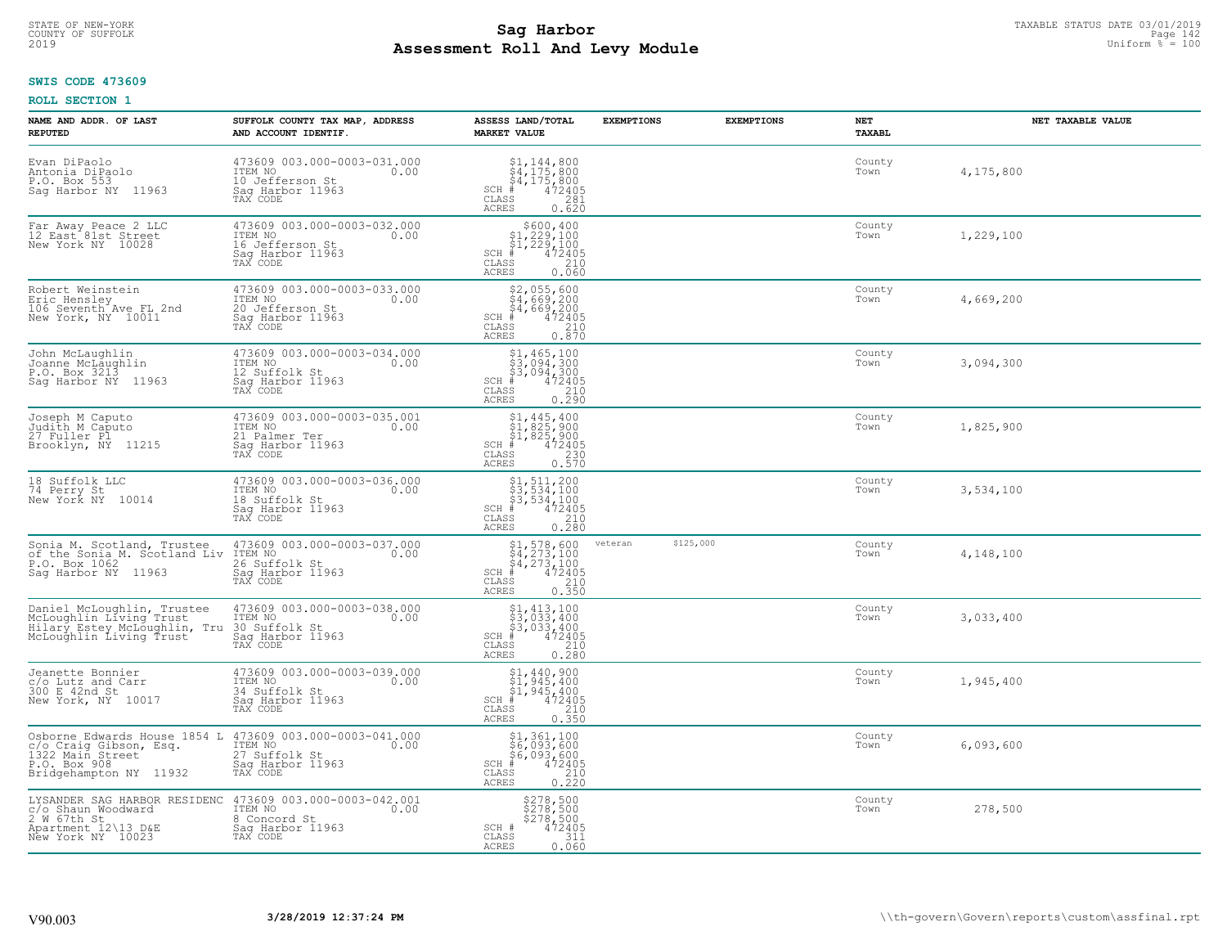## **SWIS CODE 473609**

| NAME AND ADDR. OF LAST<br><b>REPUTED</b>                                                                                                         | SUFFOLK COUNTY TAX MAP, ADDRESS<br>AND ACCOUNT IDENTIF.                                           | ASSESS LAND/TOTAL<br><b>MARKET VALUE</b>                                                                                                                                                                                                                                                                                                                                 | <b>EXEMPTIONS</b>    | <b>EXEMPTIONS</b> | NET<br>TAXABL  | NET TAXABLE VALUE |
|--------------------------------------------------------------------------------------------------------------------------------------------------|---------------------------------------------------------------------------------------------------|--------------------------------------------------------------------------------------------------------------------------------------------------------------------------------------------------------------------------------------------------------------------------------------------------------------------------------------------------------------------------|----------------------|-------------------|----------------|-------------------|
| Evan DiPaolo<br>Antonia DiPaolo<br>P.O. Box 553<br>Sag Harbor NY 11963                                                                           | 473609 003.000-0003-031.000<br>ITEM NO<br>0.00<br>10 Jefferson St<br>Saq Harbor 11963<br>TAX CODE | $\begin{array}{l} $1,144,800\\ $4,175,800\\ $4,175,800\\ *\\ 4,175,800\\ *\\ 2405\\ *\\ 281\\ *\\ 281\\ *\\ 283\\ *\\ 281\\ *\\ 283\\ *\\ 284\\ *\\ 285\\ *\\ 283\\ *\\ 284\\ *\\ 285\\ *\\ 288\\ *\\ 288\\ *\\ 288\\ *\\ 288\\ *\\ 288\\ *\\ 288\\ *\\ 288\\ *\\ 288\\ *\\ 288\\ *\\ 288\\ *\\ 288\\ *\\ 288\\ *\\ 28$<br>$SCH$ #<br>CLASS<br><b>ACRES</b><br>0.620     |                      |                   | County<br>Town | 4,175,800         |
| Far Away Peace 2 LLC<br>12 East 81st Street<br>New York NY 10028                                                                                 | 473609 003.000-0003-032.000<br>ITEM NO<br>0.00<br>16 Jefferson St<br>Sag Harbor 11963<br>TAX CODE | $\begin{array}{c} $600, 400 \\ $1, 229, 100 \\ $1, 229, 100 \end{array}$<br>$SCH$ #<br>$\frac{1472405}{210}$<br>CLASS<br><b>ACRES</b><br>0.060                                                                                                                                                                                                                           |                      |                   | County<br>Town | 1,229,100         |
| Robert Weinstein<br>Eric Hensley<br>106 Seventh <sup>-</sup> Ave FL 2nd<br>New York, NY 10011                                                    | 473609 003.000-0003-033.000<br>ITEM NO<br>0.00<br>20 Jefferson St<br>Sag Harbor 11963<br>TAX CODE | \$2,055,600<br>\$4,669,200<br>\$4,669,200<br>472405<br>$SCH$ #<br>CLASS<br>210<br>0.870<br>ACRES                                                                                                                                                                                                                                                                         |                      |                   | County<br>Town | 4,669,200         |
| John McLaughlin<br>Joanne McLaughlin<br>P.O. Box 3213<br>Sag Harbor NY 11963                                                                     | 473609 003.000-0003-034.000<br>ITEM NO<br>0.00<br>12 Suffolk St<br>Sag Harbor 11963<br>TAX CODE   | $\begin{array}{l} \text{\small $51$, $465$, $100$} \\ \text{\small $53$, $094$, $300$} \\ \text{\small $53$, $094$, $300$} \\ \text{\small $+$} \hspace*{1.3cm} \end{array} \quad \begin{array}{l} \text{\small $472405} \\ \text{\small $72405} \\ \text{\small $210$} \\ \text{\small $210$} \\ \text{\small $0.290$} \end{array}$<br>$SCH$ #<br>CLASS<br><b>ACRES</b> |                      |                   | County<br>Town | 3,094,300         |
| Joseph M Caputo<br>Judith M Caputo<br>27 Fuller Pl<br>Brooklyn, NY 11215                                                                         | 473609 003.000-0003-035.001<br>ITEM NO<br>0.00<br>21 Palmer Ter<br>Sag Harbor 11963<br>TAX CODE   | $\begin{array}{l} \text{\small $\$1$, $445$, $400$} \\ \text{\small $\$1$, $825$, $900$} \\ \text{\small $\$1$, $825$, $900$} \\ \text{\small $\$1$} \end{array}\nonumber\\ \begin{array}{l} \text{\small $\$25,900$} \\ \text{\small $472405$} \\ \text{\small $230$} \\ \text{\small $0.570$} \end{array}$<br>$SCH$ #<br>CLASS<br><b>ACRES</b>                         |                      |                   | County<br>Town | 1,825,900         |
| 18 Suffolk LLC<br>74 Perry St<br>New York NY<br>10014                                                                                            | 473609 003.000-0003-036.000<br>ITEM NO<br>0.00<br>18 Suffolk St<br>Sag Harbor 11963<br>TAX CODE   | $$3, 511, 200$<br>$$3, 534, 100$<br>$$3, 534, 100$<br>$$472405$<br>$SCH$ #<br>210<br>CLASS<br>0.280<br><b>ACRES</b>                                                                                                                                                                                                                                                      |                      |                   | County<br>Town | 3,534,100         |
| Sonia M. Scotland, Trustee<br>of the Sonia M. Scotland Liv<br>P.O. Box 1062<br>Saq Harbor NY 11963                                               | 473609 003.000-0003-037.000<br>ITEM NO<br>0.00<br>26 Suffolk St<br>Sag Harbor 11963<br>TAX CODE   | $$1, 578, 600$<br>$$4, 273, 100$<br>$$4, 273, 100$<br>$$4, 273, 100$<br>$472405$<br>$SCH$ #<br>210<br>CLASS<br>0.350<br><b>ACRES</b>                                                                                                                                                                                                                                     | \$125,000<br>veteran |                   | County<br>Town | 4,148,100         |
| Daniel McLoughlin, Trustee<br>McLoughlin Living Trust<br>Hilary Estey McLoughlin, Tru<br>McLoughlin Living Trust                                 | 473609 003.000-0003-038.000<br>ITEM NO<br>0.00<br>30 Suffolk St<br>Saq Harbor 11963<br>TAX CODE   | $$1, 413, 100$<br>$$3, 033, 400$<br>$$3, 033, 400$<br>$$472405$<br>$SCH$ #<br>CLASS<br>210<br><b>ACRES</b><br>0.280                                                                                                                                                                                                                                                      |                      |                   | County<br>Town | 3,033,400         |
| Jeanette Bonnier<br>c/o Lutz and Carr<br>300 E 42nd St<br>New York, NY 10017                                                                     | 473609 003.000-0003-039.000<br>TTEM NO 0.00<br>34 Suffolk St<br>Saq Harbor 11963<br>TAX CODE      | \$1,440,900<br>\$1,945,400<br>\$1,945,400<br>#472405<br>SCH #<br>CLASS<br>$\frac{210}{0.350}$<br><b>ACRES</b>                                                                                                                                                                                                                                                            |                      |                   | County<br>Town | 1,945,400         |
| Osborne Edwards House 1854 L 473609 003.000-0003-041.000<br>c/o Craig Gibson, Esq.<br>1322 Main Street<br>P.O. Box 908<br>Bridgehampton NY 11932 | ITEM NO<br>0.00<br>27 Suffolk St<br>Sag Harbor 11963<br>TAX CODE                                  | \$1,361,100<br>\$6,093,600<br>\$6,093,600<br># 472405<br>\$8 210<br>$SCH$ #<br>CLASS<br>ACRES<br>0.220                                                                                                                                                                                                                                                                   |                      |                   | County<br>Town | 6,093,600         |
| LYSANDER SAG HARBOR RESIDENC<br>c/o Shaun Woodward<br>2 W 67th St<br>Apartment 12\13 D&E<br>New York NY 10023                                    | 473609 003.000-0003-042.001<br>ITEM NO<br>0.00<br>8 Concord St<br>Sag Harbor 11963<br>TAX CODE    | \$278,500<br>\$278,500<br>\$278,500<br>\$278,500<br>SCH #<br>311<br>CLASS<br><b>ACRES</b><br>0.060                                                                                                                                                                                                                                                                       |                      |                   | County<br>Town | 278,500           |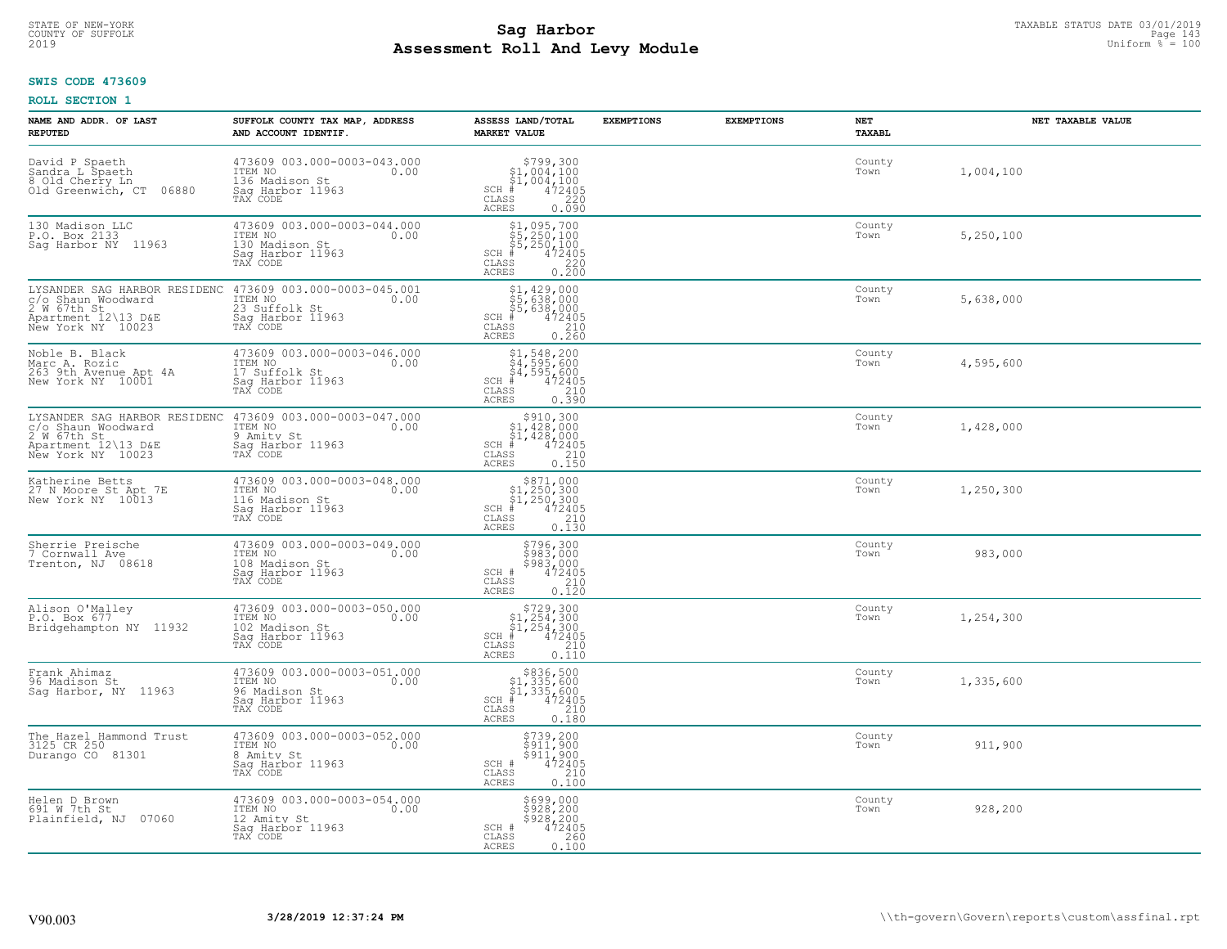#### **SWIS CODE 473609**

| NAME AND ADDR. OF LAST<br><b>REPUTED</b>                                                                      | SUFFOLK COUNTY TAX MAP, ADDRESS<br>AND ACCOUNT IDENTIF.                                          | ASSESS LAND/TOTAL<br><b>MARKET VALUE</b>                                                                                                                                                                                                                                                                                                                                                                                        | <b>EXEMPTIONS</b> | <b>EXEMPTIONS</b> | NET<br>TAXABL  | NET TAXABLE VALUE |
|---------------------------------------------------------------------------------------------------------------|--------------------------------------------------------------------------------------------------|---------------------------------------------------------------------------------------------------------------------------------------------------------------------------------------------------------------------------------------------------------------------------------------------------------------------------------------------------------------------------------------------------------------------------------|-------------------|-------------------|----------------|-------------------|
| David P Spaeth<br>Sandra L Spaeth<br>8 Old Cherry Ln<br>06880<br>Old Greenwich, CT                            | 473609 003.000-0003-043.000<br>ITEM NO<br>0.00<br>136 Madison St<br>Saq Harbor 11963<br>TAX CODE | \$799,300<br>\$1,004,100<br>\$1,004,100<br>$SCH$ #<br>472405<br>CLASS<br>220<br>ACRES<br>0.090                                                                                                                                                                                                                                                                                                                                  |                   |                   | County<br>Town | 1,004,100         |
| 130 Madison LLC<br>P.O. Box 2133<br>Sag Harbor NY 11963                                                       | 473609 003.000-0003-044.000<br>ITEM NO<br>0.00<br>130 Madison St<br>Sag Harbor 11963<br>TAX CODE | $\begin{array}{r} \texttt{\$1,095,700}\ \texttt{\$5,250,100}\ \texttt{\$5,250,100}\ \texttt{\$5,250,100}\ \texttt{\$4\,72405}\ \texttt{\$8$} \texttt{\$220}\ \texttt{\$8$} \texttt{\$20}\ \texttt{\$20}\ \texttt{\$20}\ \texttt{\$20}\ \texttt{\$20}\ \texttt{\$21}\ \texttt{\$220}\ \texttt{\$220}\ \texttt{\$230}\ \texttt{\$230}\ \texttt{\$240}\ \texttt{\$260}\ \texttt{\$260}\ \texttt$<br>SCH #<br>CLASS<br><b>ACRES</b> |                   |                   | County<br>Town | 5,250,100         |
| LYSANDER SAG HARBOR RESIDENC<br>c/o Shaun Woodward<br>2 W 67th St<br>Apartment 12\13 D&E<br>New York NY 10023 | 473609 003.000-0003-045.001<br>ITEM NO<br>0.00<br>23 Suffolk St<br>Sag Harbor 11963<br>TAX CODE  | \$1,429,000<br>55, 429, 000<br>\$5, 638, 000<br>\$5, 638, 000<br>\$5, 638, 000<br>\$5 210<br>\$5 0. 260<br>SCH #<br>CLASS<br>ACRES                                                                                                                                                                                                                                                                                              |                   |                   | County<br>Town | 5,638,000         |
| Noble B. Black<br>Marc A. Rozic<br>263 9th Avenue Apt 4A<br>New York NY 10001                                 | 473609 003.000-0003-046.000<br>ITEM NO<br>0.00<br>17 Suffolk St<br>Saq Harbor 11963<br>TAX CODE  | \$1,548,200<br>\$4,595,600<br>\$4,595,600<br>$SCH$ #<br>472405<br>210<br>CLASS<br>0.390<br>ACRES                                                                                                                                                                                                                                                                                                                                |                   |                   | County<br>Town | 4,595,600         |
| LYSANDER SAG HARBOR RESIDENC<br>c/o Shaun Woodward<br>2 W 67th St<br>Apartment 12\13 D&E<br>New York NY 10023 | 473609 003.000-0003-047.000<br>ITEM NO<br>0.00<br>9 Amity St<br>Sag Harbor 11963<br>TAX CODE     | \$910,300<br>\$1,428,000<br>\$1,428,000<br>#472405<br>$SCH$ #<br>CLASS<br>$\begin{array}{c} 210 \\ 0.150 \end{array}$<br><b>ACRES</b>                                                                                                                                                                                                                                                                                           |                   |                   | County<br>Town | 1,428,000         |
| Katherine Betts<br>27 N Moore St Apt 7E<br>New York NY 10013                                                  | 473609 003.000-0003-048.000<br>ITEM NO<br>0.00<br>116 Madison St<br>Saq Harbor 11963<br>TAX CODE | $$371,000\n$1,250,300\n$1,250,300\n# 472405\n 410\n 210$<br>$SCH$ #<br>CLASS<br>0.130<br>ACRES                                                                                                                                                                                                                                                                                                                                  |                   |                   | County<br>Town | 1,250,300         |
| Sherrie Preische<br>7 Cornwall Ave<br>Trenton, NJ 08618                                                       | 473609 003.000-0003-049.000<br>ITEM NO<br>0.00<br>108 Madison St<br>Sag Harbor 11963<br>TAX CODE | \$796,300<br>\$983,000<br>\$983,000<br>\$983,000<br>SCH #<br>210<br>CLASS<br>0.120<br><b>ACRES</b>                                                                                                                                                                                                                                                                                                                              |                   |                   | County<br>Town | 983,000           |
| Alison O'Malley<br>P.O. Box 677<br>Bridgehampton NY 11932                                                     | 473609 003.000-0003-050.000<br>ITEM NO<br>0.00<br>102 Madison St<br>Saq Harbor 11963<br>TAX CODE | $$729,300$<br>$$1,254,300$<br>$$1,254,300$<br>$472405$<br>$$250$<br>$$210$<br>$\mbox{SCH}$<br>CLASS<br>ACRES<br>0.110                                                                                                                                                                                                                                                                                                           |                   |                   | County<br>Town | 1,254,300         |
| Frank Ahimaz<br>96 Madison St<br>Saq Harbor, NY 11963                                                         | 473609 003.000-0003-051.000<br>ITEM NO 0.00<br>96 Madison St<br>Saq Harbor 11963<br>TAX CODE     | $$836,500$<br>$$1,335,600$<br>$$1,335,600$<br>$472405$<br>$$210$<br>SCH<br>CLASS<br><b>ACRES</b><br>0.180                                                                                                                                                                                                                                                                                                                       |                   |                   | County<br>Town | 1,335,600         |
| The Hazel Hammond Trust<br>3125 CR 250<br>Durango CO 81301                                                    | 473609 003.000-0003-052.000<br>ITEM NO<br>0.00<br>8 Amity St<br>Sag Harbor 11963<br>TAX CODE     | \$739,200<br>\$911,900<br>\$911,900<br>472405<br>SCH #<br>210<br>CLASS<br>ACRES<br>0.100                                                                                                                                                                                                                                                                                                                                        |                   |                   | County<br>Town | 911,900           |
| Helen D Brown<br>691 W 7th St<br>Plainfield, NJ 07060                                                         | 473609 003.000-0003-054.000<br>ITEM NO<br>0.00<br>12 Amity St<br>Sag Harbor 11963<br>TAX CODE    | \$699,000<br>\$928,200<br>\$928,200<br>472405<br>SCH #<br>260<br>CLASS<br><b>ACRES</b><br>0.100                                                                                                                                                                                                                                                                                                                                 |                   |                   | County<br>Town | 928,200           |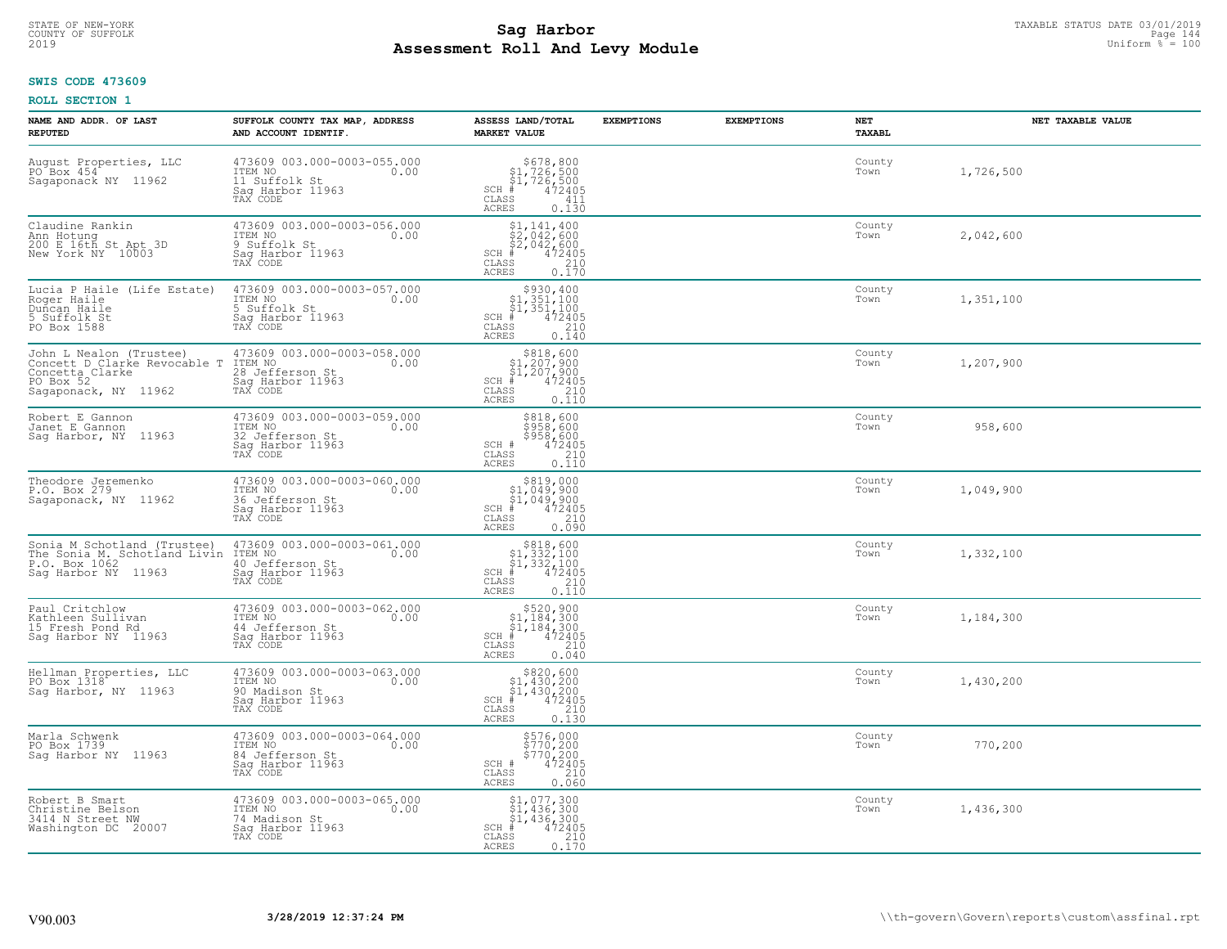# **SWIS CODE 473609**

| NAME AND ADDR. OF LAST<br><b>REPUTED</b>                                                                        | SUFFOLK COUNTY TAX MAP, ADDRESS<br>AND ACCOUNT IDENTIF.                                           | ASSESS LAND/TOTAL<br><b>MARKET VALUE</b>                                                                                                           | <b>EXEMPTIONS</b> | <b>EXEMPTIONS</b> | NET<br>TAXABL  | NET TAXABLE VALUE |
|-----------------------------------------------------------------------------------------------------------------|---------------------------------------------------------------------------------------------------|----------------------------------------------------------------------------------------------------------------------------------------------------|-------------------|-------------------|----------------|-------------------|
| August Properties, LLC<br>PO <sup>2</sup> Box 454 <sup>2</sup><br>Sagaponack NY 11962                           | 473609 003.000-0003-055.000<br>ITEM NO<br>0.00<br>11 Suffolk St<br>Saq Harbor 11963<br>TAX CODE   | $\begin{array}{c} $678,800\n$1,726,500\n$1,726,500\n# 472405 \end{array}$<br>$SCH$ #<br>$\mathtt{CLASS}$<br>411<br>ACRES<br>0.130                  |                   |                   | County<br>Town | 1,726,500         |
| Claudine Rankin<br>Ann Hotung<br>200 E 16th St Apt 3D<br>New York NY 10003                                      | 473609 003.000-0003-056.000<br>ITEM NO<br>0.00<br>9 Suffolk St<br>Sag Harbor 11963<br>TAX CODE    | $$1, 141, 400$<br>$$2, 042, 600$<br>$$2, 042, 600$<br>$$472405$<br>$SCH$ #<br>CLASS<br>$\begin{array}{c} 210 \\ 0.170 \end{array}$<br><b>ACRES</b> |                   |                   | County<br>Town | 2,042,600         |
| Lucia P Haile (Life Estate)<br>Roger Haile<br>Duncan Haile<br>5 Suffolk St<br>PO Box 1588                       | 473609 003.000-0003-057.000<br>ITEM NO<br>0.00<br>5 Suffolk St<br>Sag Harbor 11963<br>TAX CODE    | \$930,400<br>\$1,351,100<br>$\frac{51}{4}$ , 351, 100<br>$\frac{4}{4}$<br>SCH #<br>CLASS<br>210<br>0.140<br>ACRES                                  |                   |                   | County<br>Town | 1,351,100         |
| John L Nealon (Trustee)<br>Concett D Clarke Revocable T<br>Concetta Clarke<br>PO Box 52<br>Sagaponack, NY 11962 | 473609 003.000-0003-058.000<br>ITEM NO<br>0.00<br>28 Jefferson St<br>Saq Harbor 11963<br>TAX CODE | $$818,600$<br>$$1,207,900$<br>$$1,207,900$<br>$472405$<br>$$210$<br>$SCH$ #<br>CLASS<br><b>ACRES</b><br>0.110                                      |                   |                   | County<br>Town | 1,207,900         |
| Robert E Gannon<br>Janet E Gannon<br>Sag Harbor, NY 11963                                                       | 473609 003.000-0003-059.000<br>ITEM NO<br>0.00<br>32 Jefferson St<br>Saq Harbor 11963<br>TAX CODE | \$818,600<br>\$958,600<br>\$958,600<br>SCH #<br>472405<br>$\frac{210}{0.110}$<br>CLASS<br>ACRES                                                    |                   |                   | County<br>Town | 958,600           |
| Theodore Jeremenko<br>P.O. Box 279<br>Sagaponack, NY 11962                                                      | 473609 003.000-0003-060.000<br>ITEM NO<br>0.00<br>36 Jefferson St<br>Sag Harbor 11963<br>TAX CODE | $$319,00051,049,90051,049,900472405$<br>$SCH$ #<br>CLASS<br>210<br><b>ACRES</b><br>0.090                                                           |                   |                   | County<br>Town | 1,049,900         |
| Sonia M Schotland (Trustee)<br>The Sonia M. Schotland Livin<br>P.O. Box 1062<br>Saq Harbor NY 11963             | 473609 003.000-0003-061.000<br>ITEM NO<br>0.00<br>40 Jefferson St<br>Sag Harbor 11963<br>TAX CODE | $$318,60051,332,10051,332,100+ 472405$<br>$SCH$ #<br>CLASS<br>210<br>0.110<br>ACRES                                                                |                   |                   | County<br>Town | 1,332,100         |
| Paul Critchlow<br>Kathleen Sullivan<br>15 Fresh Pond Rd<br>Sag Harbor NY 11963                                  | 473609 003.000-0003-062.000<br>10.00 0.00<br>44 Jefferson St<br>Saq Harbor 11963<br>TAX CODE      | $$520, 900$<br>$$1, 184, 300$<br>$$1, 184, 300$<br>$*$<br>$472405$<br>$SCH$ #<br>CLASS<br>210<br><b>ACRES</b><br>0.040                             |                   |                   | County<br>Town | 1,184,300         |
| Hellman Properties, LLC<br>PO Box 1318<br>Sag Harbor, NY 11963                                                  | 473609 003.000-0003-063.000<br>TTEM NO 0.00<br>90 Madison St<br>Saq Harbor 11963<br>TAX CODE      | $$820,60051,430,20051,430,2004472405$<br>$SCH$ #<br>CLASS<br>210<br><b>ACRES</b><br>0.130                                                          |                   |                   | County<br>Town | 1,430,200         |
| Marla Schwenk<br>PO Box 1739<br>Sag Harbor NY 11963                                                             | 473609 003.000-0003-064.000<br>ITEM NO<br>0.00<br>84 Jefferson St<br>Sag Harbor 11963<br>TAX CODE | \$576,000<br>\$770,200<br>\$770,200<br>\$774,2405<br>SCH #<br>CLASS<br>210<br><b>ACRES</b><br>0.060                                                |                   |                   | County<br>Town | 770,200           |
| Robert B Smart<br>Christine Belson<br>3414 N Street NW<br>Washington DC 20007                                   | 473609 003.000-0003-065.000<br>ITEM NO<br>0.00<br>74 Madison St<br>Sag Harbor 11963<br>TAX CODE   | $$1, 077, 300$<br>$$1, 436, 300$<br>$$1, 436, 300$<br>$*$ $*$ $472405$<br>$SCH$ #<br>210<br>CLASS<br><b>ACRES</b><br>0.170                         |                   |                   | County<br>Town | 1,436,300         |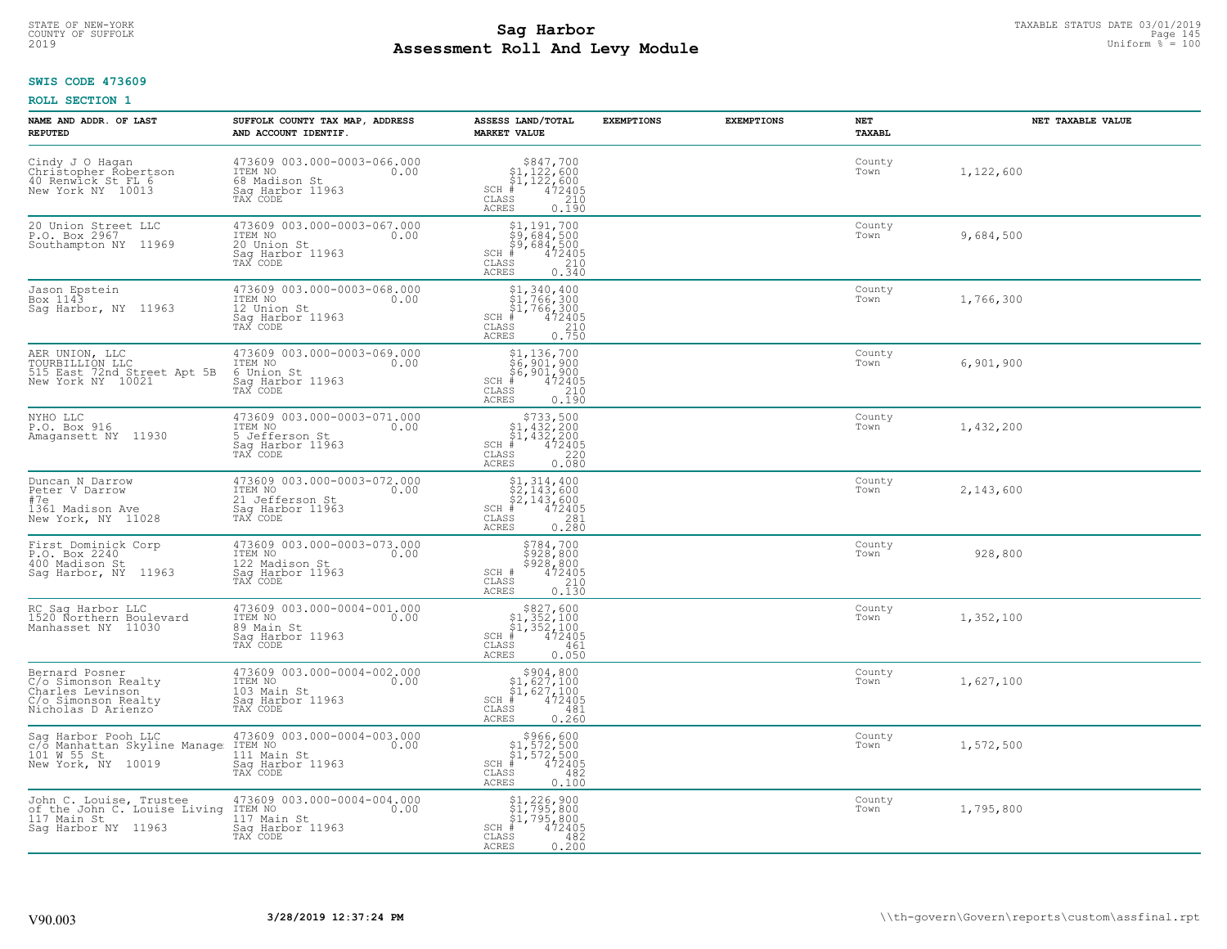# **SWIS CODE 473609**

| NAME AND ADDR. OF LAST<br><b>REPUTED</b>                                                               | SUFFOLK COUNTY TAX MAP, ADDRESS<br>AND ACCOUNT IDENTIF.                                           | ASSESS LAND/TOTAL<br><b>MARKET VALUE</b>                                                                                                    | <b>EXEMPTIONS</b> | <b>EXEMPTIONS</b> | NET<br><b>TAXABL</b> | NET TAXABLE VALUE |
|--------------------------------------------------------------------------------------------------------|---------------------------------------------------------------------------------------------------|---------------------------------------------------------------------------------------------------------------------------------------------|-------------------|-------------------|----------------------|-------------------|
| Cindy J O Hagan<br>Christopher Robertson<br>40 Renwick St FL 6<br>New York NY 10013                    | 473609 003.000-0003-066.000<br>ITEM NO<br>0.00<br>68 Madison St<br>Sag Harbor 11963<br>TAX CODE   | $$847,700$<br>$$1,122,600$<br>$$1,122,600$<br>$472405$<br>$$240$<br>$SCH$ #<br>CLASS<br><b>ACRES</b><br>0.190                               |                   |                   | County<br>Town       | 1,122,600         |
| 20 Union Street LLC<br>P.O. Box 2967<br>Southampton NY 11969                                           | 473609 003.000-0003-067.000<br>ITEM NO<br>0.00<br>20 Union St<br>Sag Harbor 11963<br>TAX CODE     | \$1,191,700<br>\$9,684,500<br>\$9,684,500<br>#472405<br>$SCH$ #<br>CLASS<br>$\begin{array}{c}\n 210 \\  0.340\n\end{array}$<br><b>ACRES</b> |                   |                   | County<br>Town       | 9,684,500         |
| Jason Epstein<br>Box 1143<br>Saq Harbor, NY 11963                                                      | 473609 003.000-0003-068.000<br>ITEM NO<br>0.00<br>12 Union St<br>Sag Harbor 11963<br>TAX CODE     | $$1,340,400$<br>$$1,766,300$<br>$$1,766,300$<br>$$472405$<br>SCH #<br>CLASS<br>$\frac{210}{0.750}$<br><b>ACRES</b>                          |                   |                   | County<br>Town       | 1,766,300         |
| AER UNION, LLC<br>TOURBILLION LLC<br>515 East 72nd Street Apt 5B<br>New York NY 10021                  | 473609 003.000-0003-069.000<br>ITEM NO<br>0.00<br>6 Union St<br>Sag Harbor 11963<br>TAX CODE      | \$1,136,700<br>\$6,901,900<br>\$6,901,900<br>#472405<br>\$8,210<br>$SCH$ #<br>CLASS<br><b>ACRES</b><br>0.190                                |                   |                   | County<br>Town       | 6,901,900         |
| NYHO LLC<br>P.O. Box 916<br>Amagansett NY 11930                                                        | 473609 003.000-0003-071.000<br>ITEM NO<br>0.00<br>5 Jefferson St<br>Saq Harbor 11963<br>TAX CODE  | $$733,500$<br>$$1,432,200$<br>$$1,432,200$<br>$472405$<br>$$220$<br>SCH #<br>CLASS<br>0.080<br><b>ACRES</b>                                 |                   |                   | County<br>Town       | 1,432,200         |
| Duncan N Darrow<br>Peter V Darrow<br>#7e<br>1361 Madison Ave<br>New York, NY 11028                     | 473609 003.000-0003-072.000<br>ITEM NO<br>21 Jefferson St<br>Sag Harbor 11963<br>0.00<br>TAX CODE | \$1, 314, 400<br>\$2, 143, 600<br>\$2, 143, 600<br>#472405<br>SCH #<br>CLASS<br>$\begin{array}{c} 281 \\ 0.280 \end{array}$<br><b>ACRES</b> |                   |                   | County<br>Town       | 2,143,600         |
| First Dominick Corp<br>P.O. Box 2240<br>400 Madison St<br>Saq Harbor, NY 11963                         | 473609 003.000-0003-073.000<br>ITEM NO<br>0.00<br>122 Madison St<br>Sag Harbor 11963<br>TAX CODE  | \$784,700<br>\$928,800<br>\$928,800<br>\$928,800<br>SCH #<br>CLASS<br>210<br>0.130<br><b>ACRES</b>                                          |                   |                   | County<br>Town       | 928,800           |
| RC Sag Harbor LLC<br>1520 Northern Boulevard<br>Manhasset NY 11030                                     | 473609 003.000-0004-001.000<br>TTEM NO 0.00<br>89 Main St<br>Saq Harbor 11963<br>TAX CODE         | $$827,600$<br>$$1,352,100$<br>$$1,352,100$<br>$$472405$<br>$SCH$ #<br>CLASS<br>461<br><b>ACRES</b><br>0.050                                 |                   |                   | County<br>Town       | 1,352,100         |
| Bernard Posner<br>C/o Simonson Realty<br>Charles Levinson<br>C/o Simonson Realty<br>Nicholas D Arienzo | 473609 003.000-0004-002.000<br>ITEM NO 0.00<br>103 Main St<br>Saq Harbor 11963<br>TAX CODE        | $\begin{array}{c} $904, 800\n$1, 627, 100\n$1, 627, 100\n# 472405 \end{array}$<br>$SCH$ #<br>CLASS<br>481<br><b>ACRES</b><br>0.260          |                   |                   | County<br>Town       | 1,627,100         |
| Sag Harbor Pooh LLC<br>c/o Manhattan Skyline Manage<br>101 W 55 St<br>New York, NY 10019               | 473609 003.000-0004-003.000<br>ITEM NO<br>0.00<br>111 Main St<br>Sag Harbor 11963<br>TAX CODE     | $$966, 600$<br>$$1, 572, 500$<br>$$1, 572, 500$<br>$*1, 572, 500$<br>$SCH$ #<br>CLASS<br>482<br>0.100<br><b>ACRES</b>                       |                   |                   | County<br>Town       | 1,572,500         |
| John C. Louise, Trustee<br>of the John C. Louise Living<br>117 Main St<br>Saq Harbor NY 11963          | 473609 003.000-0004-004.000<br>ITEM NO<br>0.00<br>117 Main St<br>Sag Harbor 11963<br>TAX CODE     | \$1,226,900<br>\$1,795,800<br>\$1,795,800<br>SCH #<br>472405<br>CLASS<br>482<br><b>ACRES</b><br>0.200                                       |                   |                   | County<br>Town       | 1,795,800         |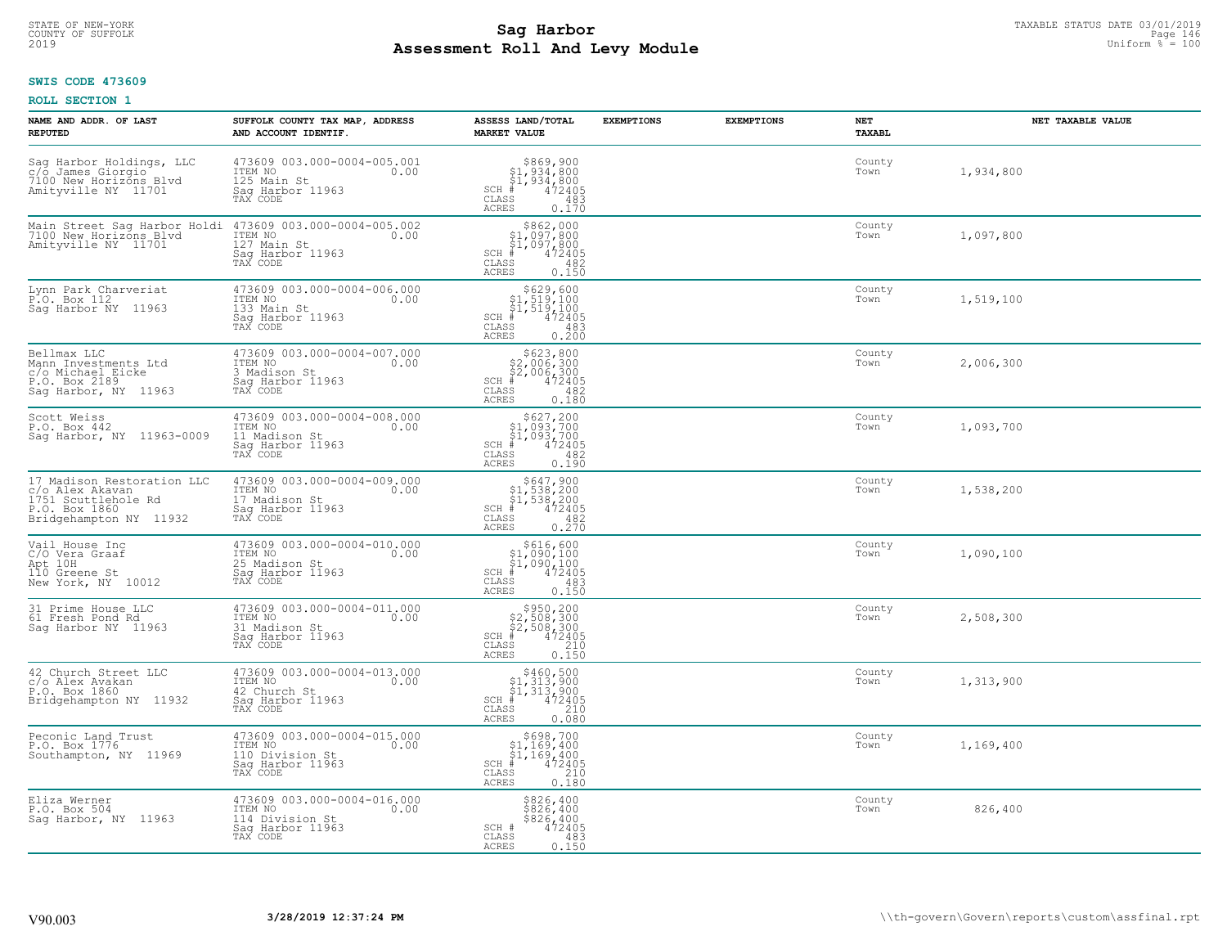### **SWIS CODE 473609**

| NAME AND ADDR. OF LAST<br><b>REPUTED</b>                                                                        | SUFFOLK COUNTY TAX MAP, ADDRESS<br>AND ACCOUNT IDENTIF.                                                                                                   | ASSESS LAND/TOTAL<br><b>MARKET VALUE</b>                                                                                | <b>EXEMPTIONS</b> | <b>EXEMPTIONS</b> | NET<br><b>TAXABL</b> | NET TAXABLE VALUE |
|-----------------------------------------------------------------------------------------------------------------|-----------------------------------------------------------------------------------------------------------------------------------------------------------|-------------------------------------------------------------------------------------------------------------------------|-------------------|-------------------|----------------------|-------------------|
| Sag Harbor Holdings, LLC<br>c/o James Giorgio<br>7100 New Horizons Blvd<br>Amityville NY 11701                  | 473609 003.000-0004-005.001<br>ITEM NO<br>0.00<br>125 Main St<br>Saq Harbor 11963<br>TAX CODE                                                             | $$869, 900$<br>$$1, 934, 800$<br>$$1, 934, 800$<br>$*$ $472405$<br>$SCH$ #<br>CLASS<br>483<br><b>ACRES</b><br>0.170     |                   |                   | County<br>Town       | 1,934,800         |
| Amityville NY 11701                                                                                             | Main Street Sag Harbor Holdi 473609 003.000-0004-005.002<br>7100 New Horizons Blvd ITEM NO. 000<br>ITEM NO<br>127 Main St<br>Saq Harbor 11963<br>TAX CODE | $$862,000$<br>$$1,097,800$<br>$$1,097,800$<br>$$472405$<br>$SCH$ #<br>CLASS<br>482<br><b>ACRES</b><br>0.150             |                   |                   | County<br>Town       | 1,097,800         |
| Lynn Park Charveriat<br>P.O. Box 112<br>Sag Harbor NY 11963                                                     | 473609 003.000-0004-006.000<br>ITEM NO<br>0.00<br>133 Main St<br>Saq Harbor 11963<br>TAX CODE                                                             | $$629,600$<br>$$1,519,100$<br>$$1,519,100$<br>$$472405$<br>$SCH$ #<br>CLASS<br>483<br>0.200<br>ACRES                    |                   |                   | County<br>Town       | 1,519,100         |
| Bellmax LLC<br>Mann Investments Ltd<br>c/o Michael Eicke<br>P.O. Box 2189<br>Sag Harbor, NY 11963               | 473609 003.000-0004-007.000<br>ITEM NO<br>0.00<br>3 Madison St<br>Saq Harbor 11963<br>TAX CODE                                                            | $$623, 800$<br>$$2, 006, 300$<br>$$2, 006, 300$<br>$*$ 472405<br>$SCH$ #<br>CLASS<br>482<br><b>ACRES</b><br>0.180       |                   |                   | County<br>Town       | 2,006,300         |
| Scott Weiss<br>P.O. Box 442<br>Sag Harbor, NY 11963-0009                                                        | 473609 003.000-0004-008.000<br>ITEM NO<br>0.00<br>11 Madison St<br>Saq Harbor 11963<br>TAX CODE                                                           | $$627,20051,093,70041,093,700472405$<br>$SCH$ #<br>CLASS<br>482<br><b>ACRES</b><br>0.190                                |                   |                   | County<br>Town       | 1,093,700         |
| 17 Madison Restoration LLC<br>c/o Alex Akavan<br>1751 Scuttlehole Rd<br>P.O. Box 1860<br>Bridgehampton NY 11932 | 473609 003.000-0004-009.000<br>ITEM NO<br>0.00<br>17 Madison St<br>Sag Harbor 11963<br>TAX CODE                                                           | $$647,900$<br>$$1,538,200$<br>$$1,538,200$<br>$$472405$<br>$SCH$ #<br>CLASS<br>482<br>0.270<br><b>ACRES</b>             |                   |                   | County<br>Town       | 1,538,200         |
| Vail House Inc<br>C/O Vera Graaf<br>Apt 10H<br>110 Greene St<br>New York, NY 10012                              | 473609 003.000-0004-010.000<br>ITEM NO<br>0.00<br>25 Madison St<br>Sag Harbor 11963<br>TAX CODE                                                           | \$616,600<br>$$1,090,100$<br>$$1,090,100$<br>$472405$<br>$SCH$ #<br>CLASS<br>483<br>0.150<br><b>ACRES</b>               |                   |                   | County<br>Town       | 1,090,100         |
| 31 Prime House LLC<br>61 Fresh Pond Rd<br>Saq Harbor NY 11963                                                   | 473609 003.000-0004-011.000<br>ITEM NO 0.00<br>31 Madison St<br>Saq Harbor 11963<br>TAX CODE                                                              | $$950, 200$<br>$$2, 508, 300$<br>$$2, 508, 300$<br>$$472405$<br>$SCH$ #<br>CLASS<br>$\frac{210}{0.150}$<br><b>ACRES</b> |                   |                   | County<br>Town       | 2,508,300         |
| 42 Church Street LLC<br>c/o Alex Avakan<br>P.O. Box 1860<br>Bridgehampton NY 11932                              | 473609 003.000-0004-013.000<br>ITEM NO 0.00<br>42 Church St<br>Saq Harbor 11963<br>TAX CODE                                                               | $$460,500$<br>$$1,313,900$<br>$$1,313,900$<br>$*$<br>$*$ 472405<br>$SCH$ #<br>CLASS<br>0.080<br><b>ACRES</b>            |                   |                   | County<br>Town       | 1,313,900         |
| Peconic Land Trust<br>P.O. Box 1776<br>Southampton, NY 11969                                                    | 473609 003.000-0004-015.000<br>ITEM NO<br>0.00<br>110 Division St<br>Sag Harbor 11963<br>TAX CODE                                                         | $$698,700$<br>$$1,169,400$<br>$$1,169,400$<br>$472405$<br>$$240$<br>$$240$<br>$SCH$ #<br>CLASS<br><b>ACRES</b><br>0.180 |                   |                   | County<br>Town       | 1,169,400         |
| Eliza Werner<br>P.O. Box 504<br>Saq Harbor, NY 11963                                                            | 473609 003.000-0004-016.000<br>ITEM NO<br>0.00<br>114 Division St<br>Sag Harbor 11963<br>TAX CODE                                                         | \$826,400<br>\$826,400<br>\$826,400<br>SCH #<br>472405<br>CLASS<br>483<br><b>ACRES</b><br>0.150                         |                   |                   | County<br>Town       | 826,400           |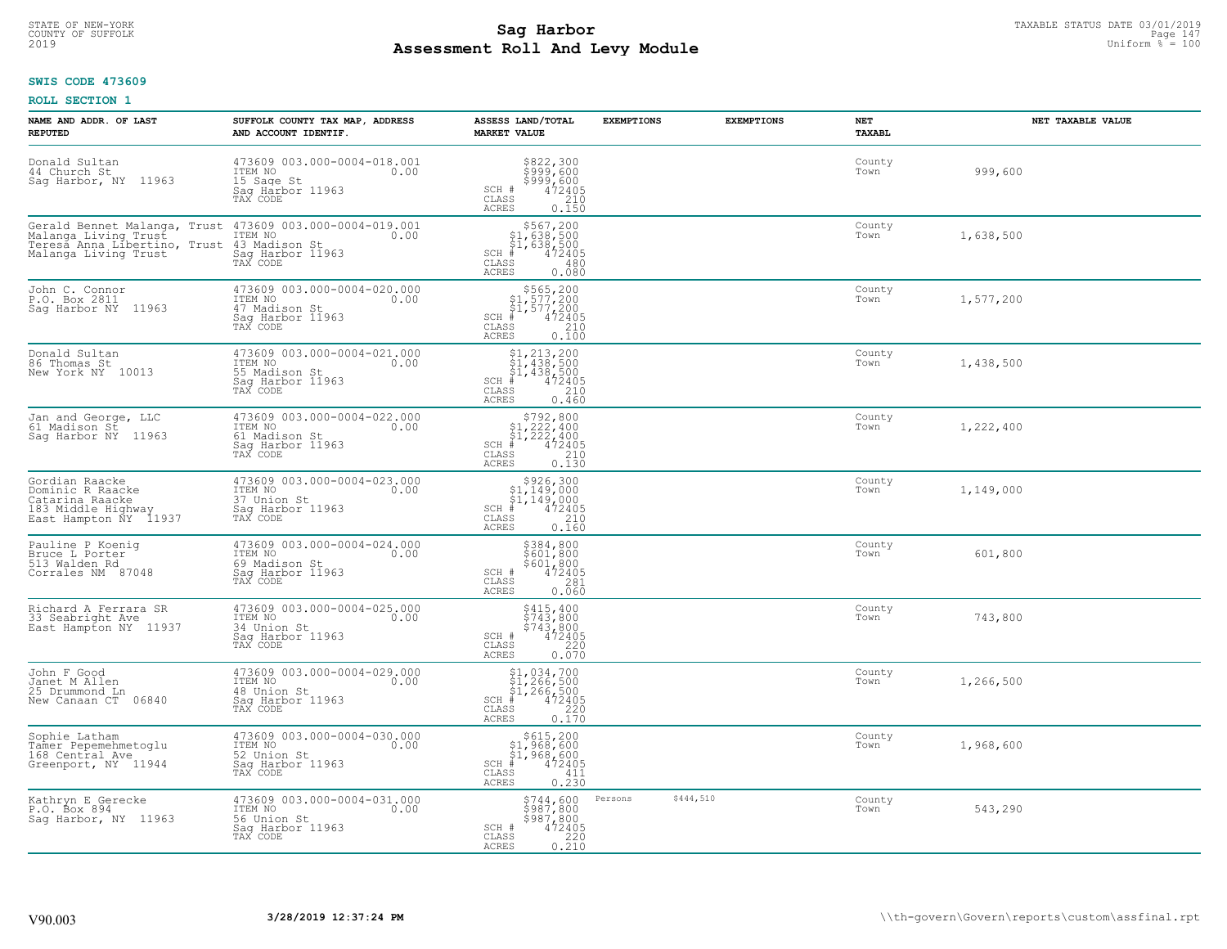### **Sag Harbor** TAXABLE STATUS DATE 03/01/2019 Page 147<br>Pall and Louis Page 147 Uniform  $\frac{PaB}{Pa} = 100$ **Assessment Roll And Levy Module** 2019 Uniform % = 100 COUNTY OF SUFFOLK Page 147

### **SWIS CODE 473609**

| NAME AND ADDR. OF LAST<br><b>REPUTED</b>                                                                     | SUFFOLK COUNTY TAX MAP, ADDRESS<br>AND ACCOUNT IDENTIF.                                         | ASSESS LAND/TOTAL<br><b>MARKET VALUE</b>                                                                                                                                                    | <b>EXEMPTIONS</b> | <b>EXEMPTIONS</b> | NET<br><b>TAXABL</b> | NET TAXABLE VALUE |
|--------------------------------------------------------------------------------------------------------------|-------------------------------------------------------------------------------------------------|---------------------------------------------------------------------------------------------------------------------------------------------------------------------------------------------|-------------------|-------------------|----------------------|-------------------|
| Donald Sultan<br>44 Church St<br>Sag Harbor, NY 11963                                                        | 473609 003.000-0004-018.001<br>1TEM NO 0.00<br>15 Sage St<br>Saq Harbor 11963<br>TAX CODE       | \$822,300<br>\$999,600<br>\$999,600<br>\$999,600<br>\$72405<br>\$710<br>\$710<br>\$150<br>SCH #<br>CLASS<br><b>ACRES</b>                                                                    |                   |                   | County<br>Town       | 999,600           |
| Gerald Bennet Malanga, Trust<br>Malanga Living Trust<br>Teresa Anna Libertino, Trust<br>Malanga Living Trust | 473609 003.000-0004-019.001<br>ITEM NO<br>0.00<br>43 Madison St<br>Sag Harbor 11963<br>TAX CODE | \$567,200<br>\$1,638,500<br>\$1,638,500<br>472405<br>$SCH$ #<br>CLASS<br>480<br>0.080<br>ACRES                                                                                              |                   |                   | County<br>Town       | 1,638,500         |
| John C. Connor<br>P.O. Box 2811<br>Sag Harbor NY 11963                                                       | 473609 003.000-0004-020.000<br>ITEM NO<br>0.00<br>47 Madison St<br>Saq Harbor 11963<br>TAX CODE | $$565, 200$<br>$$1, 577, 200$<br>$$1, 577, 200$<br>$*1, 577, 200$<br>$*1, 472405$<br>$SCH$ #<br>CLASS<br>$\begin{array}{c} 210 \\ 0.100 \end{array}$<br>ACRES                               |                   |                   | County<br>Town       | 1,577,200         |
| Donald Sultan<br>86 Thomas St<br>New York NY 10013                                                           | 473609 003.000-0004-021.000<br>ITEM NO<br>0.00<br>55 Madison St<br>Saq Harbor 11963<br>TAX CODE | $$1, 213, 200$<br>$$1, 438, 500$<br>$$1, 438, 500$<br>$$4, 438, 500$<br>$$472405$<br>$SCH$ #<br>CLASS<br>210<br>ACRES<br>0.460                                                              |                   |                   | County<br>Town       | 1,438,500         |
| Jan and George, LLC<br>61 Madison St<br>Saq Harbor NY<br>11963                                               | 473609 003.000-0004-022.000<br>TTEM NO 0.00<br>61 Madison St<br>Sag Harbor 11963<br>TAX CODE    | $\begin{array}{r}  \  \  \, 5792,800\\  \  \  51,222,400\\  \  \  51,222,400\\  \  \  \, 472405\\ \  \  \, 85\\  \  \  \, 210\\  \  \  \, 0.130\\ \end{array}$<br>$SCH$ #<br>CLASS<br>ACRES |                   |                   | County<br>Town       | 1,222,400         |
| Gordian Raacke<br>Dominic R Raacke<br>Catarina Raacke<br>183 Middle Highway<br>East Hampton NY 11937         | 473609 003.000-0004-023.000<br>ITEM NO<br>0.00<br>37 Union St<br>Sag Harbor 11963<br>TAX CODE   | $$926,300\n$1,149,000\n$1,149,000\n# 472405\n 210\n 210$<br>SCH<br>CLASS<br>0.160<br><b>ACRES</b>                                                                                           |                   |                   | County<br>Town       | 1,149,000         |
| Pauline P Koeniq<br>Bruce L Porter<br>513 Walden Rd<br>Corrales NM 87048                                     | 473609 003.000-0004-024.000<br>ITEM NO<br>0.00<br>69 Madison St<br>Sag Harbor 11963<br>TAX CODE | \$384,800<br>\$601,800<br>\$601,800<br>472405<br>SCH #<br>281<br>$\mathtt{CLASS}$<br><b>ACRES</b><br>0.060                                                                                  |                   |                   | County<br>Town       | 601,800           |
| Richard A Ferrara SR<br>33 Seabright Ave<br>East Hampton NY 11937                                            | 473609 003.000-0004-025.000<br>TTEM NO 0.00<br>34 Union St<br>Saq Harbor 11963<br>TAX CODE      | $$743, 800$<br>$$743, 800$<br>$$743, 800$<br>$472405$<br>220<br>SCH #<br>CLASS<br><b>ACRES</b><br>0.070                                                                                     |                   |                   | County<br>Town       | 743,800           |
| John F Good<br>Janet M Allen<br>25 Drummond Ln<br>New Canaan CT 06840                                        | 473609 003.000-0004-029.000<br>TTEM NO 0.00<br>48 Union St<br>Saq Harbor 11963<br>TAX CODE      | $$1,034,700$<br>$$1,266,500$<br>$$1,266,500$<br>$*$ 472405<br>SCH<br>CLASS<br>$0.220$<br>$0.170$<br>ACRES                                                                                   |                   |                   | County<br>Town       | 1,266,500         |
| Sophie Latham<br>Tamer Pepemehmetoglu<br>168 Central Ave<br>Greenport, NY 11944                              | 473609 003.000-0004-030.000<br>ITEM NO<br>0.00<br>52 Union St<br>Sag Harbor 11963<br>TAX CODE   | $$615, 200$<br>$$1, 968, 600$<br>$$1, 968, 600$<br>$$472405$<br>SCH<br>CLASS<br>411<br>0.230<br><b>ACRES</b>                                                                                |                   |                   | County<br>Town       | 1,968,600         |
| Kathryn E Gerecke<br>P.O. Box 894<br>Saq Harbor, NY 11963                                                    | 473609 003.000-0004-031.000<br>ITEM NO<br>0.00<br>56 Union St<br>Sag Harbor 11963<br>TAX CODE   | \$744,600<br>\$987,800<br>\$987,800<br>SCH #<br>472405<br>$\mathtt{CLASS}$<br>$\begin{array}{c} 220 \\ 0.210 \end{array}$<br><b>ACRES</b>                                                   | Persons           | \$444,510         | County<br>Town       | 543,290           |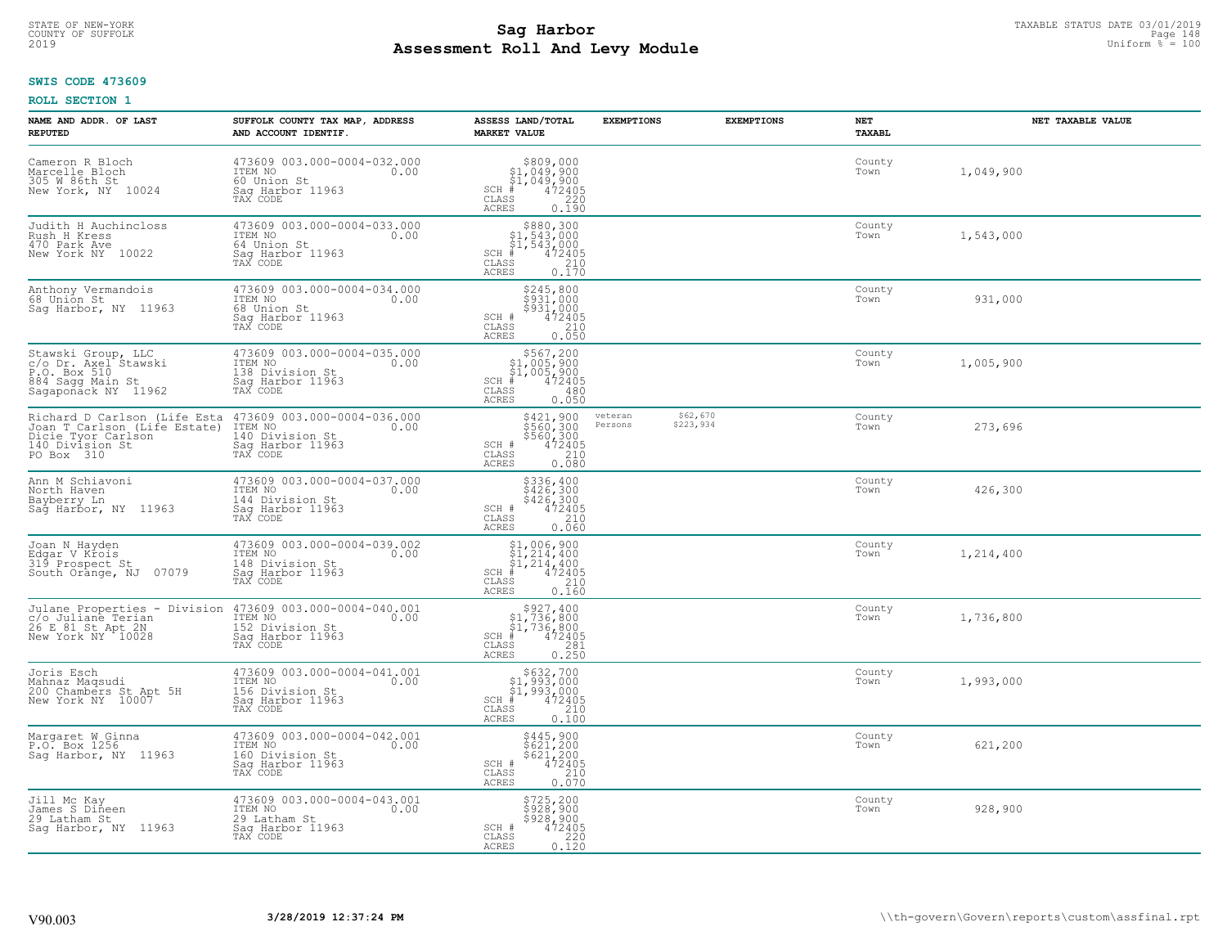# **SWIS CODE 473609**

| NAME AND ADDR. OF LAST<br><b>REPUTED</b>                                                                                                                    | SUFFOLK COUNTY TAX MAP, ADDRESS<br>AND ACCOUNT IDENTIF.                                           | ASSESS LAND/TOTAL<br><b>MARKET VALUE</b>                                                                                             | <b>EXEMPTIONS</b>  | <b>EXEMPTIONS</b>     | NET<br>TAXABL  | NET TAXABLE VALUE |
|-------------------------------------------------------------------------------------------------------------------------------------------------------------|---------------------------------------------------------------------------------------------------|--------------------------------------------------------------------------------------------------------------------------------------|--------------------|-----------------------|----------------|-------------------|
| Cameron R Bloch<br>Marcelle Bloch<br>305 W 86th St<br>New York, NY 10024                                                                                    | 473609 003.000-0004-032.000<br>ITEM NO<br>0.00<br>60 Union St<br>Saq Harbor 11963<br>TAX CODE     | \$809,000<br>$SCH$ $#$<br>CLASS<br>ACRES<br>0.190                                                                                    |                    |                       | County<br>Town | 1,049,900         |
| Judith H Auchincloss<br>Rush H Kress<br>470 Park Ave<br>New York NY 10022                                                                                   | 473609 003.000-0004-033.000<br>ITEM NO<br>0.00<br>64 Union St<br>Saq Harbor 11963<br>TAX CODE     | $$880,300$<br>$$1,543,000$<br>$$1,543,000$<br>$$1,543,000$<br>$SCH$ #<br>472405<br>CLASS<br>$\frac{210}{0.170}$<br>ACRES             |                    |                       | County<br>Town | 1,543,000         |
| Anthony Vermandois<br>68 Union St<br>Sag Harbor, NY 11963                                                                                                   | 473609 003.000-0004-034.000<br>ITEM NO<br>0.00<br>68 Union St<br>Sag Harbor 11963<br>TAX CODE     | \$245,800<br>\$931,000<br>\$931,000<br>SCH #<br>$\begin{smallmatrix} 472405\ 472405\ 210\ 0.050 \end{smallmatrix}$<br>CLASS<br>ACRES |                    |                       | County<br>Town | 931,000           |
| Stawski Group, LLC<br>c/o Dr. Axel Stawski<br>P.O. Box 510<br>884 Sagg Main St<br>Sagapoñack NY 11962                                                       | 473609 003.000-0004-035.000<br>ITEM NO<br>0.00<br>138 Division St<br>Sag Harbor 11963<br>TAX CODE | \$567,200<br>\$1,005,900<br>$\frac{1}{2}$ , 005, 900<br>$\frac{1}{4}$ , 472405<br>$SCH$ #<br>CLASS<br>480<br><b>ACRES</b><br>0.050   |                    |                       | County<br>Town | 1,005,900         |
| Richard D Carlson (Life Esta<br>Joan T Carlson (Life Estate)<br>Dicie Tyor Carlson<br>140 Division St<br>PO Box 310                                         | 473609 003.000-0004-036.000<br>ITEM NO<br>0.00<br>140 Division St<br>Sag Harbor 11963<br>TAX CODE | \$421,900<br>$560, 3005560, 3004724050.080$<br>SCH #<br>CLASS<br>ACRES                                                               | veteran<br>Persons | \$62,670<br>\$223,934 | County<br>Town | 273,696           |
| Ann M Schiavoni<br>North Haven<br>Bayberry Ln<br>Sag Harbor, NY 11963                                                                                       | 473609 003.000-0004-037.000<br>ITEM NO<br>0.00<br>144 Division St<br>Sag Harbor 11963<br>TAX CODE | \$336,400<br>\$426,300<br>\$426,300<br>472405<br>SCH #<br>$\mathtt{CLASS}$<br>210<br><b>ACRES</b><br>0.060                           |                    |                       | County<br>Town | 426,300           |
| Joan N Hayden<br>Edgar V Krois<br>319 Prospect St<br>South Orange, NJ 07079                                                                                 | 473609 003.000-0004-039.002<br>ITEM NO<br>0.00<br>148 Division St<br>Sag Harbor 11963<br>TAX CODE | $$1,006,900$<br>$$1,214,400$<br>$$1,214,400$<br>$$1,214,400$<br>$472405$<br>$SCH$ #<br>CLASS<br>210<br>0.160<br>ACRES                |                    |                       | County<br>Town | 1,214,400         |
| Julane Properties - Division 473609 003.000-0004-040.001<br>C/o Juliane Terian ITEM NO 6.00<br>c/o Juliane Terian<br>26 E 81 St Apt 2N<br>New York NY 10028 | 152 Division St<br>Sag Harbor 11963<br>TAX CODE                                                   | $$927,400$<br>$$1,736,800$<br>$$1,736,800$<br>$*$ 472405<br>$SCH$ #<br>CLASS<br>281<br>0.250<br>ACRES                                |                    |                       | County<br>Town | 1,736,800         |
| Joris Esch<br>Mahnaz Maqsudi<br>200 Chambers St Apt 5H<br>New York NY 10007                                                                                 | 473609 003.000-0004-041.001<br>ITEM NO 0.00<br>156 Division St<br>Sag Harbor 11963<br>TAX CODE    | $$632,700$<br>$$1,993,000$<br>$$1,993,000$<br>$472405$<br>$$210$<br>SCH<br>$\mathtt{CLASS}$<br>ACRES<br>0.100                        |                    |                       | County<br>Town | 1,993,000         |
| Margaret W Ginna<br>P.O. Box 1256<br>Sag Harbor, NY 11963                                                                                                   | 473609 003.000-0004-042.001<br>ITEM NO<br>0.00<br>160 Division St<br>Sag Harbor 11963<br>TAX CODE | \$445,900<br>\$621,200<br>\$621,200<br>472405<br>SCH #<br>210<br>CLASS<br>0.070<br>ACRES                                             |                    |                       | County<br>Town | 621,200           |
| Jill Mc Kay<br>James S Dineen<br>29 Latham St<br>Saq Harbor, NY 11963                                                                                       | 473609 003.000-0004-043.001<br>ITEM NO<br>0.00<br>29 Latham St<br>Sag Harbor 11963<br>TAX CODE    | \$725, 200<br>\$928,900<br>\$928,900<br>$\frac{472405}{220}$<br>SCH #<br>CLASS<br>ACRES<br>0.120                                     |                    |                       | County<br>Town | 928,900           |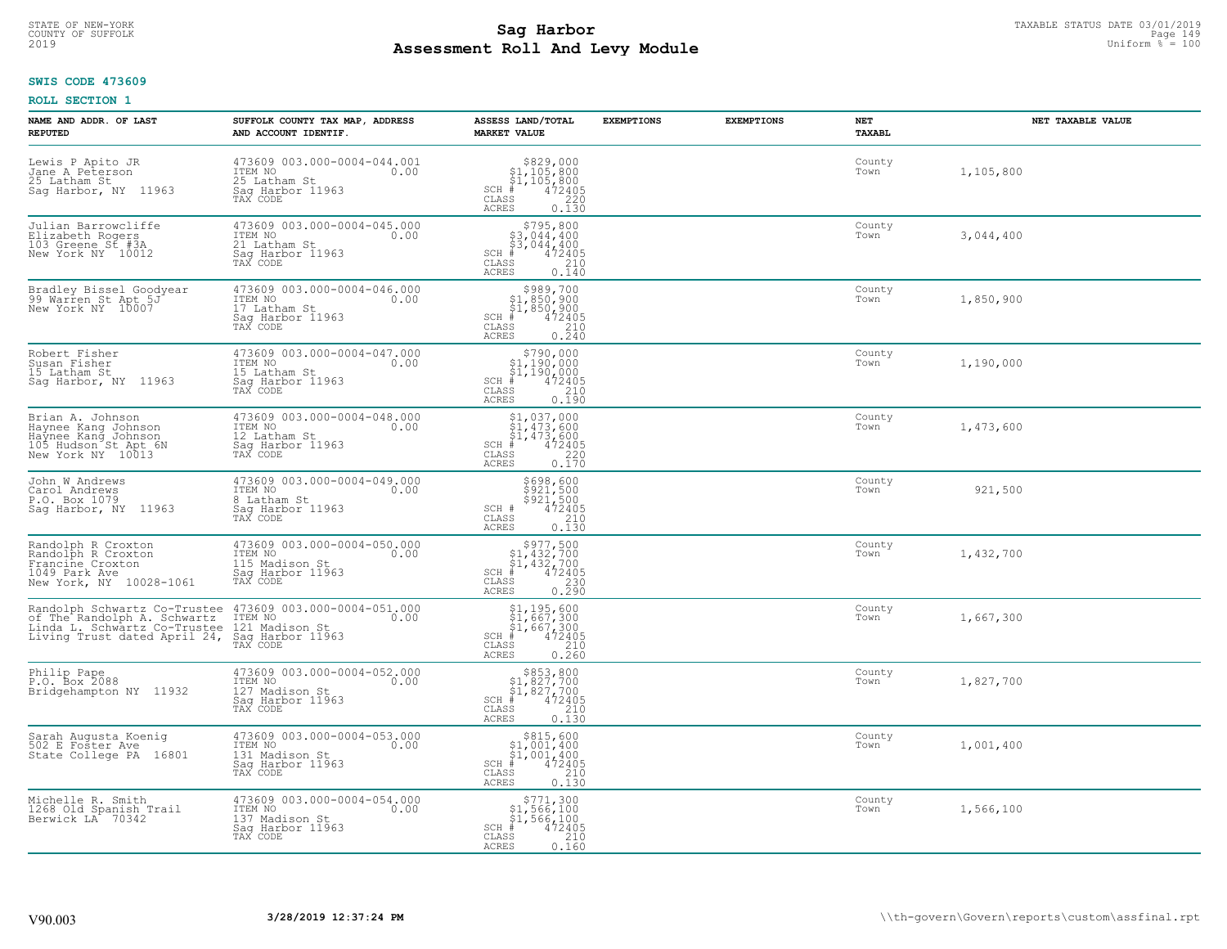# **SWIS CODE 473609**

| NAME AND ADDR. OF LAST<br><b>REPUTED</b>                                                                                    | SUFFOLK COUNTY TAX MAP, ADDRESS<br>AND ACCOUNT IDENTIF.                                                    | ASSESS LAND/TOTAL<br><b>MARKET VALUE</b>                                                                                                        | <b>EXEMPTIONS</b> | <b>EXEMPTIONS</b> | NET<br>TAXABL  | NET TAXABLE VALUE |
|-----------------------------------------------------------------------------------------------------------------------------|------------------------------------------------------------------------------------------------------------|-------------------------------------------------------------------------------------------------------------------------------------------------|-------------------|-------------------|----------------|-------------------|
| Lewis P Apito JR<br>Jane A Peterson<br>25 Latham St<br>Sag Harbor, NY 11963                                                 | 473609 003.000-0004-044.001<br>ITEM NO<br>0.00<br>25 Latham St<br>Saq Harbor 11963<br>TAX CODE             | $$829,000$<br>$$1,105,800$<br>$$1,105,800$<br>$472405$<br>$35$<br>$220$<br>$SCH$ #<br>CLASS<br>ACRES<br>0.130                                   |                   |                   | County<br>Town | 1,105,800         |
| Julian Barrowcliffe<br>Elizabeth Rogers<br>103 Greene St #3A<br>New York NY 10012                                           | 473609 003.000-0004-045.000<br>ITEM NO<br>0.00<br>21 Latham St<br>Sag Harbor 11963<br>TAX CODE             | $$795,800$<br>$$3,044,400$<br>$$3,044,400$<br>$$3,044,400$<br>$SCH$ #<br>472405<br>CLASS<br>$\frac{210}{0.140}$<br>ACRES                        |                   |                   | County<br>Town | 3,044,400         |
| Bradley Bissel Goodyear<br>99 Warren St Apt 5J<br>New York NY 10007                                                         | 473609 003.000-0004-046.000<br>ITEM NO<br>0.00<br>17 Latham St<br>Sag Harbor <sup>1</sup> 1963<br>TAX CODE | \$989,700<br>$$1,850,900$<br>$$1,850,900$<br>$*$ 472405<br>$SCH$ #<br>CLASS<br>$\frac{210}{0.240}$<br>ACRES                                     |                   |                   | County<br>Town | 1,850,900         |
| Robert Fisher<br>Susan Fisher<br>15 Latham St<br>Saq Harbor, NY 11963                                                       | 473609 003.000-0004-047.000<br>ITEM NO<br>0.00<br>15 Latham St<br>Saq Harbor 11963<br>TAX CODE             | \$790,000<br>\$1,190,000<br>\$1,190,000<br>$SCH$ #<br>$\begin{smallmatrix} 472405\ 210\ 0.190 \end{smallmatrix}$<br>CLASS<br>ACRES              |                   |                   | County<br>Town | 1,190,000         |
| Brian A. Johnson<br>Haynee Kang Johnson<br>Haynee Kang Johnson<br>105 Hudson St Apt 6N<br>New York NY 10013                 | 473609 003.000-0004-048.000<br>ITEM NO<br>0.00<br>12 Latham St<br>Saq Harbor 11963<br>TAX CODE             | \$1,037,000<br>31, 473, 600<br>\$1, 473, 600<br>\$1, 473, 600<br>\$1, 473, 600<br>\$220<br>\$220<br>\$220<br>\$170<br>$SCH$ #<br>CLASS<br>ACRES |                   |                   | County<br>Town | 1,473,600         |
| John W Andrews<br>Carol_Andrews<br>P.O. Box 1079<br>Saq Harbor, NY 11963                                                    | 473609 003.000-0004-049.000<br>ITEM NO<br>0.00<br>8 Latham St<br>Sag Harbor 11963<br>TAX CODE              | \$698,600<br>\$921,500<br>\$921,500<br>472405<br>SCH #<br>210<br>CLASS<br><b>ACRES</b><br>0.130                                                 |                   |                   | County<br>Town | 921,500           |
| Randolph R Croxton<br>Randolph R Croxton<br>Francine Croxton<br>1049 Park Ave<br>New York, NY 10028-1061                    | 473609 003.000-0004-050.000<br>ITEM NO<br>0.00<br>115 Madison St<br>Sag Harbor 11963<br>TAX CODE           | $\begin{array}{c} $977,50051,432,70051,432,70014,432,70016,472405 \end{array}$<br>$SCH$ #<br>$\mathtt{CLASS}$<br>$\frac{230}{0.290}$<br>ACRES   |                   |                   | County<br>Town | 1,432,700         |
| Randolph Schwartz Co-Trustee<br>of The Randolph A. Schwartz<br>Linda L. Schwartz Co-Trustee<br>Living Trust dated April 24, | 473609 003.000-0004-051.000<br>TTEM NO 0.00<br>121 Madison St<br>Saq Harbor 11963<br>TAX CODE              | $$1, 195, 600$<br>$$1, 667, 300$<br>$$1, 667, 300$<br>$*$<br>$*$ 472405<br>$SCH$ #<br>CLASS<br>$\frac{210}{0.260}$<br><b>ACRES</b>              |                   |                   | County<br>Town | 1,667,300         |
| Philip Pape<br>P.O. Box 2088<br>Bridgehampton NY 11932                                                                      | 473609 003.000-0004-052.000<br>ITEM NO<br>0.00<br>127 Madison St<br>Saq Harbor 11963<br>TAX CODE           | $$853, 800$<br>$$1, 827, 700$<br>$$1, 827, 700$<br>$*$ 472405<br>SCH<br>CLASS<br>$\frac{210}{0.130}$<br><b>ACRES</b>                            |                   |                   | County<br>Town | 1,827,700         |
| Sarah Augusta Koenig<br>502 E Foster Ave<br>State College PA 16801                                                          | 473609 003.000-0004-053.000<br>ITEM NO<br>0.00<br>131 Madison St<br>Sag Harbor 11963<br>TAX CODE           | $$315,60051,001,40051,001,400472405$<br>$SCH$ #<br>210<br>CLASS<br>ACRES<br>0.130                                                               |                   |                   | County<br>Town | 1,001,400         |
| Michelle R. Smith<br>1268 Old Spanish Trail<br>Berwick LA <sup>-</sup> 70342                                                | 473609 003.000-0004-054.000<br>ITEM NO<br>0.00<br>137 Madison St<br>Sag Harbor 11963<br>TAX CODE           | $$771,300$<br>$$1,566,100$<br>$$1,566,100$<br>$SCH$ #<br>472405<br>210<br>CLASS<br><b>ACRES</b><br>0.160                                        |                   |                   | County<br>Town | 1,566,100         |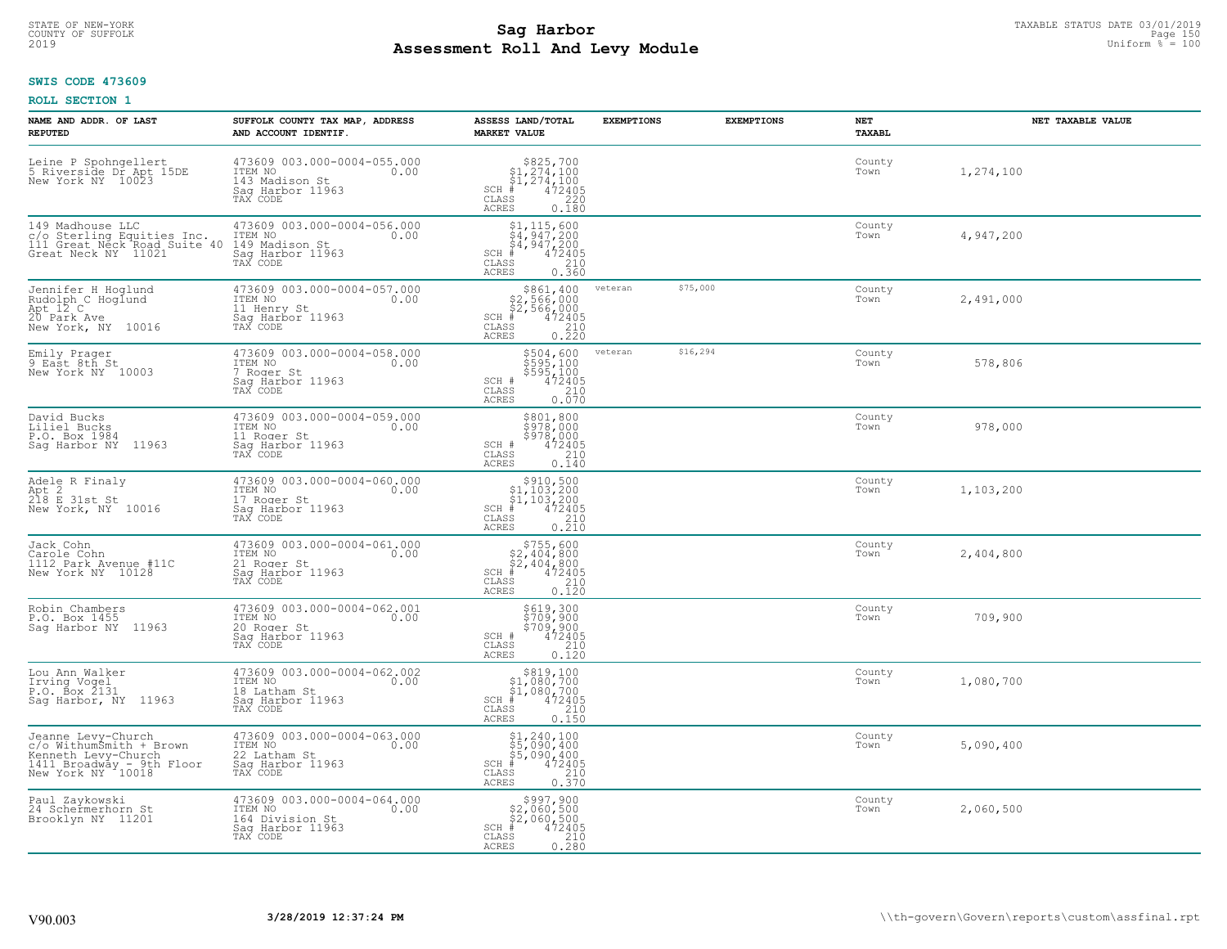# STATE OF NEW-YORK TAXABLE STATUS DATE 03/01/2019<br>COUNTY OF SUFFOLK Page 150 Page 150 **Assessment Roll And Levy Module** 2019 Uniform % = 100

### **SWIS CODE 473609**

| NAME AND ADDR. OF LAST<br><b>REPUTED</b>                                                                               | SUFFOLK COUNTY TAX MAP, ADDRESS<br>AND ACCOUNT IDENTIF.                                           | ASSESS LAND/TOTAL<br><b>MARKET VALUE</b>                                                                                         | <b>EXEMPTIONS</b> | <b>EXEMPTIONS</b> | NET<br>TAXABL  | NET TAXABLE VALUE |
|------------------------------------------------------------------------------------------------------------------------|---------------------------------------------------------------------------------------------------|----------------------------------------------------------------------------------------------------------------------------------|-------------------|-------------------|----------------|-------------------|
| Leine P Spohngellert<br>5 Riverside Dr Apt 15DE<br>New York NY 10023                                                   | 473609 003.000-0004-055.000<br>ITEM NO<br>0.00<br>143 Madison St<br>Sag Harbor 11963<br>TAX CODE  | $$825,700$<br>$$1,274,100$<br>$$1,274,100$<br>$*$<br>$472405$<br>$SCH$ #<br>CLASS<br>220<br><b>ACRES</b><br>0.180                |                   |                   | County<br>Town | 1,274,100         |
| 149 Madhouse LLC<br>c/o Sterling Equities Inc.<br>111 Great Neck Road Suite 40<br>Great Neck NY 11021                  | 473609 003.000-0004-056.000<br>ITEM NO<br>0.00<br>149 Madison St<br>Sag Harbor 11963<br>TAX CODE  | $\begin{array}{l} $1,115,600\\ $4,947,200\\ $4,947,200\\ *\\ 35 \end{array}$<br>$SCH$ #<br><b>CLASS</b><br>0.360<br><b>ACRES</b> |                   |                   | County<br>Town | 4,947,200         |
| Jennifer H Hoqlund<br>Rudolph C Hoglund<br>Apt 12 C<br>20 Park Ave<br>New York, NY 10016                               | 473609 003.000-0004-057.000<br>ITEM NO<br>0.00<br>11 Henry St<br>Sag Harbor 11963<br>TAX CODE     | \$861,400<br>$$2,566,000$<br>$$2,566,000$<br>$*$ 472405<br>$\frac{210}{210}$<br>$SCH$ #<br>CLASS<br>0.220<br><b>ACRES</b>        | veteran           | \$75,000          | County<br>Town | 2,491,000         |
| Emily Prager<br>9 East 8th.St<br>New York NY 10003                                                                     | 473609 003.000-0004-058.000<br>ITEM NO<br>0.00<br>7 Roger St<br>Saq Harbor 11963<br>TAX CODE      | $5504,600$<br>$5595,100$<br>$5595,100$<br>$472405$<br>$210$<br>SCH #<br>CLASS<br><b>ACRES</b><br>0.070                           | veteran           | \$16,294          | County<br>Town | 578,806           |
| David Bucks<br>Liliel Bucks<br>P.O. Box 1984<br>Saq Harbor NY 11963                                                    | 473609 003.000-0004-059.000<br>ITEM NO<br>0.00<br>11 Roger St<br>Sag Harbor 11963<br>TAX CODE     | \$801,800<br>\$978,000<br>\$978,000<br>472405<br>SCH #<br>$\mathtt{CLASS}$<br>210<br><b>ACRES</b><br>0.140                       |                   |                   | County<br>Town | 978,000           |
| Adele R Finaly<br>Apt 2<br>218 E 31st St<br>New York, NY 10016                                                         | 473609 003.000-0004-060.000<br>ITEM NO<br>0.00<br>17 Roger St<br>Sag Harbor 11963<br>TAX CODE     | $$910,500$<br>$$1,103,200$<br>$$1,103,200$<br>$$472405$<br>$SCH$ #<br>CLASS<br>210<br>0.210<br><b>ACRES</b>                      |                   |                   | County<br>Town | 1,103,200         |
| Jack Cohn<br>Carole Cohn<br>1112 Park Avenue #11C<br>New York NY 10128                                                 | 473609 003.000-0004-061.000<br>TTEM NO 0.00<br>21 Roger St<br>Sag Harbor 11963<br>TAX CODE        | $$755,600$<br>$$2,404,800$<br>$$2,404,800$<br>$$472405$<br>$SCH$ #<br>CLASS<br>210<br>0.120<br><b>ACRES</b>                      |                   |                   | County<br>Town | 2,404,800         |
| Robin Chambers<br>P.O. Box 1455<br>Sag Harbor NY 11963                                                                 | 473609 003.000-0004-062.001<br>TTEM NO 0.00<br>20 Roger St<br>Saq Harbor 11963<br>TAX CODE        | \$619,300<br>\$709,900<br>\$709,900<br>SCH #<br>472405<br>CLASS<br>210<br><b>ACRES</b><br>0.120                                  |                   |                   | County<br>Town | 709,900           |
| Lou Ann Walker<br>Irving Vogel<br>P.O. Box 2131<br>Sag Harbor, NY 11963                                                | 473609 003.000-0004-062.002<br>ITEM NO 0.00<br>18 Latham St<br>Saq Harbor 11963<br>TAX CODE       | $$819,100\n$1,080,700\n$1,080,700\n# 472405\n35\n$210$<br>$SCH$ #<br>CLASS<br><b>ACRES</b><br>0.150                              |                   |                   | County<br>Town | 1,080,700         |
| Jeanne Levy-Church<br>c/o WithumSmith + Brown<br>Kenneth Levy-Church<br>1411 Broadway - 9th Floor<br>New York NY 10018 | 473609 003.000-0004-063.000<br>ITEM NO<br>22 Latham St<br>0.00<br>Sag Harbor 11963<br>TAX CODE    | $$1, 240, 100$<br>$$5, 090, 400$<br>$$5, 090, 400$<br>$$4, 472405$<br>$SCH$ #<br>CLASS<br>210<br><b>ACRES</b><br>0.370           |                   |                   | County<br>Town | 5,090,400         |
| Paul Zaykowski<br>24 Schermerhorn St<br>Brooklyn NY 11201                                                              | 473609 003.000-0004-064.000<br>ITEM NO<br>0.00<br>164 Division St<br>Sag Harbor 11963<br>TAX CODE | $$997,900$<br>$$2,060,500$<br>$$2,060,500$<br>$$472405$<br>$SCH$ #<br>CLASS<br>210<br>0.280<br><b>ACRES</b>                      |                   |                   | County<br>Town | 2,060,500         |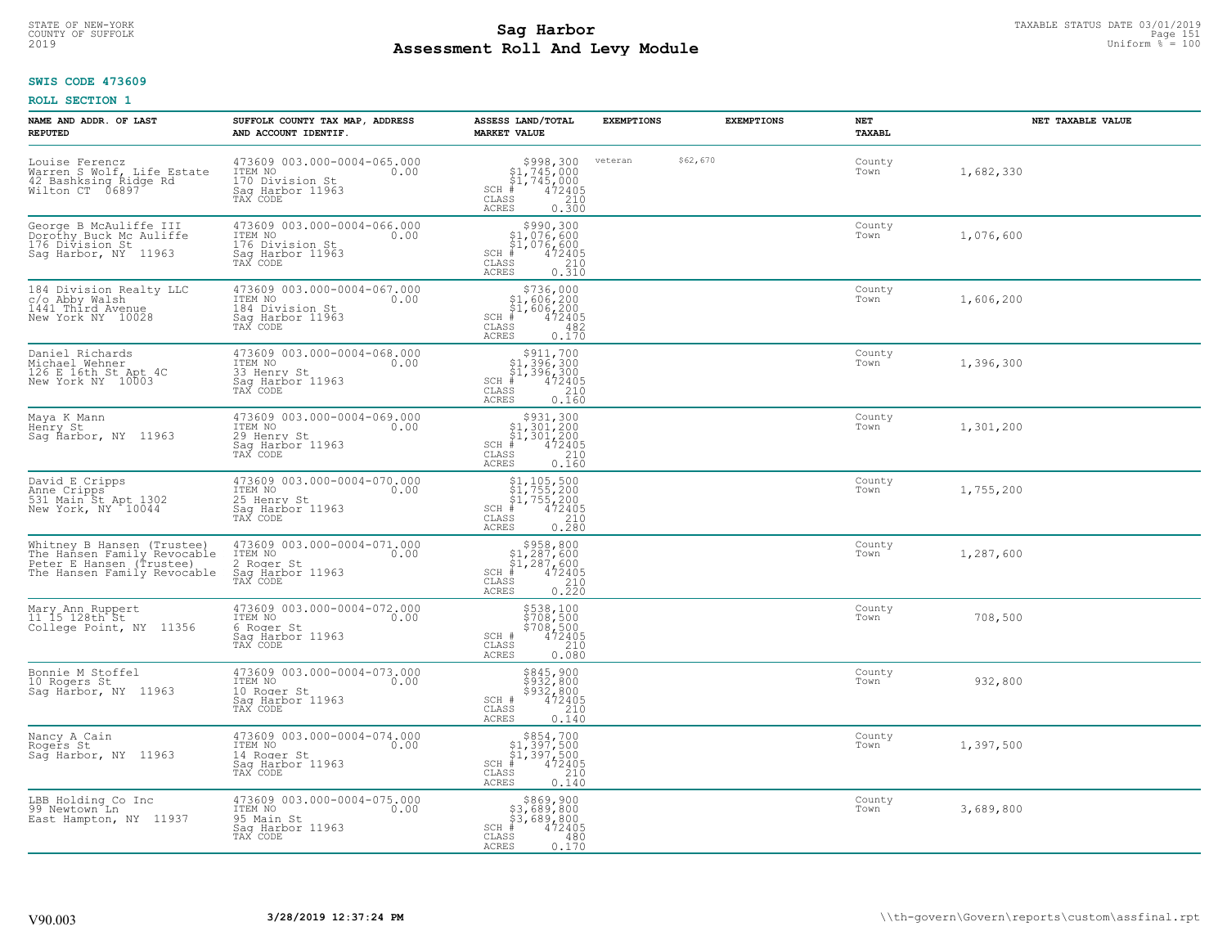### **Sag Harbor**<br>**Poll And Low Module Assessment Roll And Levy Module** 2019 Uniform % = 100 COUNTY OF SUFFOLK Page 151

#### **SWIS CODE 473609**

| NAME AND ADDR. OF LAST<br><b>REPUTED</b>                                                                             | SUFFOLK COUNTY TAX MAP, ADDRESS<br>AND ACCOUNT IDENTIF.                                           | ASSESS LAND/TOTAL<br><b>MARKET VALUE</b>                                                                                            | <b>EXEMPTIONS</b> |          | <b>EXEMPTIONS</b> | <b>NET</b><br><b>TAXABL</b> | NET TAXABLE VALUE |
|----------------------------------------------------------------------------------------------------------------------|---------------------------------------------------------------------------------------------------|-------------------------------------------------------------------------------------------------------------------------------------|-------------------|----------|-------------------|-----------------------------|-------------------|
| Louise Ferencz<br>Warren S Wolf, Life Estate<br>42 Bashksing Ridge Rd<br>Wilton CT 06897                             | 473609 003.000-0004-065.000<br>ITEM NO<br>0.00<br>170 Division St<br>Saq Harbor 11963<br>TAX CODE | $$998,300$<br>$$1,745,000$<br>$$1,745,000$<br>$*$ 472405<br>$SCH$ #<br>CLASS<br>$\frac{210}{0.300}$<br><b>ACRES</b>                 | veteran           | \$62,670 |                   | County<br>Town              | 1,682,330         |
| George B McAuliffe III<br>Dorothy Buck Mc Auliffe<br>176 Division St<br>Sag Harbor, NY 11963                         | 473609 003.000-0004-066.000<br>ITEM NO<br>0.00<br>176 Division St<br>Sag Harbor 11963<br>TAX CODE | $$990,300$<br>$$1,076,600$<br>$$1,076,600$<br>$*$<br>$472405$<br>$*$<br>$210$<br>SCH #<br>CLASS<br>0.310<br>ACRES                   |                   |          |                   | County<br>Town              | 1,076,600         |
| 184 Division Realty LLC<br>C/O Abby Walsh<br>1441 Third Avenue<br>New York NY 10028                                  | 473609 003.000-0004-067.000<br>ITEM NO<br>0.00<br>184 Division St<br>Sag Harbor 11963<br>TAX CODE | $$736,000$<br>$$1,606,200$<br>$$1,606,200$<br>$*1,606,200$<br>$SCH$ #<br>CLASS<br>482<br>0.170<br><b>ACRES</b>                      |                   |          |                   | County<br>Town              | 1,606,200         |
| Daniel Richards<br>Michael Wehner<br>126 E 16th St Apt 4C<br>New York NY 10003                                       | 473609 003.000-0004-068.000<br>ITEM NO<br>0.00<br>33 Henry St<br>Saq Harbor 11963<br>TAX CODE     | $$911,700$<br>$$1,396,300$<br>$$1,396,300$<br>$472405$<br>$$210$<br>$SCH$ #<br>$\mathtt{CLASS}$<br><b>ACRES</b><br>0.160            |                   |          |                   | County<br>Town              | 1,396,300         |
| Maya K Mann<br>Henry St<br>Sag Harbor, NY 11963                                                                      | 473609 003.000-0004-069.000<br>ITEM NO<br>0.00<br>29 Henry St<br>Sag Harbor 11963<br>TAX CODE     | $$931,300$<br>$$1,301,200$<br>$$1,301,200$<br>$*1,301,200$<br>$*1,301,200$<br>$SCH$ #<br>CLASS<br>210<br>0.160<br><b>ACRES</b>      |                   |          |                   | County<br>Town              | 1,301,200         |
| David E Cripps<br>Anne Cripps<br>531 Main St Apt 1302<br>New York, NY 10044                                          | 473609 003.000-0004-070.000<br>ITEM NO<br>0.00<br>25 Henry St<br>Saq Harbor 11963<br>TAX CODE     | $$1, 105, 500$<br>$$1, 755, 200$<br>$$1, 755, 200$<br>$*1, 755, 200$<br>$*2405$<br>$SCH$ #<br>CLASS<br>210<br>0.280<br><b>ACRES</b> |                   |          |                   | County<br>Town              | 1,755,200         |
| Whitney B Hansen (Trustee)<br>The Hansen Family Revocable<br>Peter E Hansen (Trustee)<br>The Hansen Family Revocable | 473609 003.000-0004-071.000<br>TTEM NO 0.00<br>2 Roger St<br>Sag Harbor 11963<br>TAX CODE         | $$958, 800$<br>$$1, 287, 600$<br>$$1, 287, 600$<br>$$472405$<br>$SCH$ #<br>CLASS<br>0.210<br><b>ACRES</b>                           |                   |          |                   | County<br>Town              | 1,287,600         |
| Mary Ann Ruppert<br>11 15 128th St<br>College Point, NY 11356                                                        | 473609 003.000-0004-072.000<br>TTEM NO 0.00<br>6 Roger St<br>Saq Harbor 11963<br>TAX CODE         | \$538,100<br>\$708,500<br>\$708,500<br>\$72405<br>SCH #<br>CLASS<br>210<br><b>ACRES</b><br>0.080                                    |                   |          |                   | County<br>Town              | 708,500           |
| Bonnie M Stoffel<br>10 Rogers St<br>Sag Harbor, NY 11963                                                             | 473609 003.000-0004-073.000<br>ITEM NO<br>0.00<br>10 Roger St<br>Saq Harbor 11963<br>TAX CODE     | \$845,900<br>\$932,800<br>\$932,800<br>SCH #<br>472405<br>CLASS<br>210<br><b>ACRES</b><br>0.140                                     |                   |          |                   | County<br>Town              | 932,800           |
| Nancy A Cain<br>Rogers St<br>Sag Harbor, NY 11963                                                                    | 473609 003.000-0004-074.000<br>ITEM NO<br>0.00<br>14 Roger St<br>Sag Harbor 11963<br>TAX CODE     | $$854,700$<br>$$1,397,500$<br>$$1,397,500$<br>$*1$<br>$472405$<br>$SCH$ #<br>210<br>CLASS<br>0.140<br><b>ACRES</b>                  |                   |          |                   | County<br>Town              | 1,397,500         |
| LBB Holding Co Inc<br>99 Newtown Ln<br>East Hampton, NY 11937                                                        | 473609 003.000-0004-075.000<br>ITEM NO<br>0.00<br>95 Main St<br>Sag Harbor 11963<br>TAX CODE      | 8869,900<br>83,689,800<br>000,089,899,<br>$SCH$ #<br>472405<br>CLASS<br>480<br><b>ACRES</b><br>0.170                                |                   |          |                   | County<br>Town              | 3,689,800         |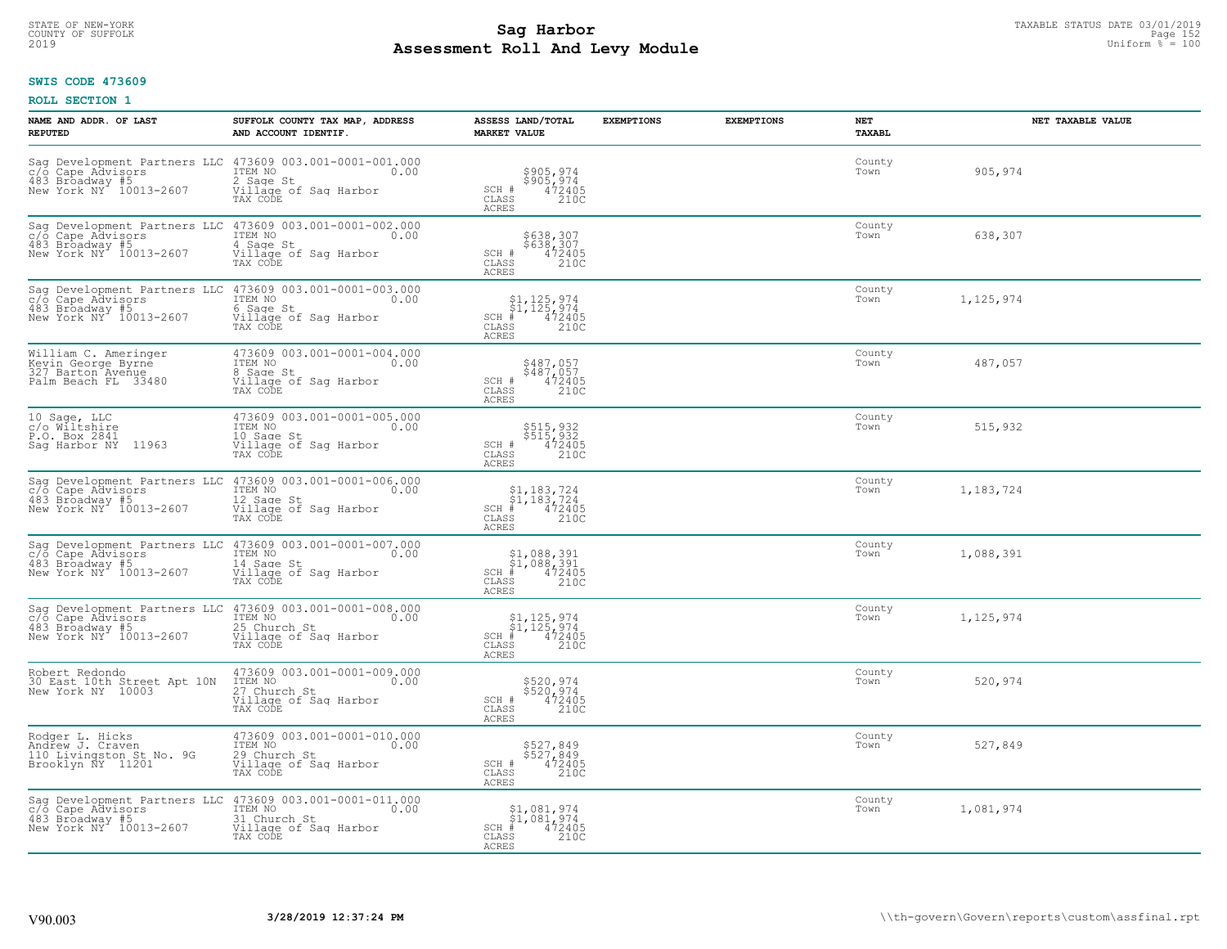# STATE OF NEW-YORK TAXABLE STATUS DATE 03/01/2019<br>COUNTY OF SUFFOLK Page 152 **Assessment Roll And Levy Module** 2019 Uniform % = 100

#### **SWIS CODE 473609**

| NAME AND ADDR. OF LAST<br><b>REPUTED</b>                                               | SUFFOLK COUNTY TAX MAP, ADDRESS<br>AND ACCOUNT IDENTIF.                                                                                                 | ASSESS LAND/TOTAL<br><b>MARKET VALUE</b>                                                                                                                 | <b>EXEMPTIONS</b> | <b>EXEMPTIONS</b> | NET<br><b>TAXABL</b> | NET TAXABLE VALUE |
|----------------------------------------------------------------------------------------|---------------------------------------------------------------------------------------------------------------------------------------------------------|----------------------------------------------------------------------------------------------------------------------------------------------------------|-------------------|-------------------|----------------------|-------------------|
| 483 Broadway #5<br>New York NY 10013-2607                                              | Sag Development Partners LLC 473609 003.001-0001-001.000 c/o Cape Advisors TEM NO $0.00$<br>2 Sage St<br>Village of Sag Harbor<br>TAX CODE              | \$905,974<br>\$905,974<br>472405<br>$SCH$ #<br>CLASS<br>210C<br><b>ACRES</b>                                                                             |                   |                   | County<br>Town       | 905,974           |
| c/o Cape Advisors<br>483 Broadway #5<br>New York NY 10013-2607                         | Saq Development Partners LLC 473609 003.001-0001-002.000<br>ITEM NO<br>0.00<br>4 Sage St<br>Village of Sag Harbor<br>TAX CODE                           | \$638,307<br>\$638,307<br>SCH #<br>$472405$<br>210C<br>CLASS<br><b>ACRES</b>                                                                             |                   |                   | County<br>Town       | 638,307           |
| c/o Cape Advisors<br>483 Broadway #5<br>New York NY 10013-2607                         | Saq Development Partners LLC 473609 003.001-0001-003.000<br>ITEM NO<br>0.00<br>6 Sage St<br>Village of Sag Harbor<br>TAX CODE                           | $\begin{array}{l} $1,125,974 \\ $1,125,974 \\ * & 472405 \\ * & 210C \end{array}$<br>$SCH$ #<br>CLASS<br><b>ACRES</b>                                    |                   |                   | County<br>Town       | 1,125,974         |
| William C. Ameringer<br>Kevin George Byrne<br>327 Barton Avenue<br>Palm Beach FL 33480 | 473609 003.001-0001-004.000<br>TTEM NO 0.00<br>8 Sage St<br>Village of Sag Harbor<br>TAX CODE                                                           | \$487,057<br>\$487,057<br>SCH #<br>CLASS<br>$472405$<br>$210C$<br>ACRES                                                                                  |                   |                   | County<br>Town       | 487,057           |
| 10 Sage, LLC<br>c/o Wiltshire<br>P.O. Box 2841<br>Saq Harbor NY 11963                  | 473609 003.001-0001-005.000<br>TTEM NO 0.00<br>10 Sage St<br>Village of Sag Harbor<br>TAX CODE                                                          | \$515,932<br>$\begin{array}{r} 515,932 \\ 472405 \\ 210C \end{array}$<br>SCH #<br>CLASS<br><b>ACRES</b>                                                  |                   |                   | County<br>Town       | 515,932           |
| c/o Cape Advisors<br>483 Broadway #5<br>New York NY 10013-2607                         | Sag Development Partners LLC 473609 003.001-0001-006.000<br>ITEM NO<br>0.00<br>12 Sage St<br>Village of Sag Harbor<br>TAX CODE                          | $\begin{array}{l} $1,183,724$ \\ $1,183,724$ \\ * & 472405\\ * & 210C \end{array}$<br>$SCH$ #<br>CLASS<br><b>ACRES</b>                                   |                   |                   | County<br>Town       | 1,183,724         |
| c/o Cape Advisors<br>483 Broadway #5<br>New York NY 10013-2607                         | Sag Development Partners LLC 473609 003.001-0001-007.000<br>ITEM NO<br>0.00<br>14 Sage St<br>Village of Sag Harbor<br>Village of Sag Harbor<br>TAX CODE | $$1,088,391$<br>$$1,088,391$<br>$$CH_*^4$ $472405$<br>CLASS<br>210C<br>ACRES                                                                             |                   |                   | County<br>Town       | 1,088,391         |
| 483 Broadway #5<br>New York NY 10013-2607                                              | Sag Development Partners LLC 473609 003.001-0001-008.000<br>c/o Cape Advisors TTEM NO 000.00<br>25 Church St<br>Village of Sag Harbor<br>TAX CODE       | $\begin{array}{c} $1,125,974 \ $1,125,974 \ }\\ $1,125,974 \ }\\ $472405 \end{array}$<br>$SCH$ #<br>CLASS<br>210C<br><b>ACRES</b>                        |                   |                   | County<br>Town       | 1,125,974         |
| Robert Redondo<br>30 East 10th Street Apt 10N<br>New York NY 10003                     | 473609 003.001-0001-009.000<br>10.00 0.00<br>27 Church St<br>Village of Sag Harbor<br>TAX CODE                                                          | \$520,974<br>\$520,974<br>472405<br>210C<br>SCH #<br>CLASS<br><b>ACRES</b>                                                                               |                   |                   | County<br>Town       | 520,974           |
| Rodger L. Hicks<br>Andrew J. Craven<br>110 Livingston St No. 9G<br>Brooklyn ÑY 11201   | 473609 003.001-0001-010.000<br>ITEM NO<br>0.00<br>29 Church St<br>Village of Sag Harbor<br>TAX CODE                                                     | \$527,849<br>\$527,849<br>472405<br>SCH #<br>CLASS<br>210C<br><b>ACRES</b>                                                                               |                   |                   | County<br>Town       | 527,849           |
| c/o Cape Advisors<br>483 Broadway #5<br>New York NY 10013-2607                         | Sag Development Partners LLC 473609 003.001-0001-011.000<br>ITEM NO<br>$\sim$ 0.00<br>31 Church St<br>Village of Sag Harbor<br>TAX CODE                 | $\begin{array}{c} \texttt{\$1,081,974}\ \\ \texttt{\$1,081,974}\ \\ \texttt{SCH} & \texttt{472405}\ \\ \texttt{\tiny CLASS} & 210C \end{array}$<br>ACRES |                   |                   | County<br>Town       | 1,081,974         |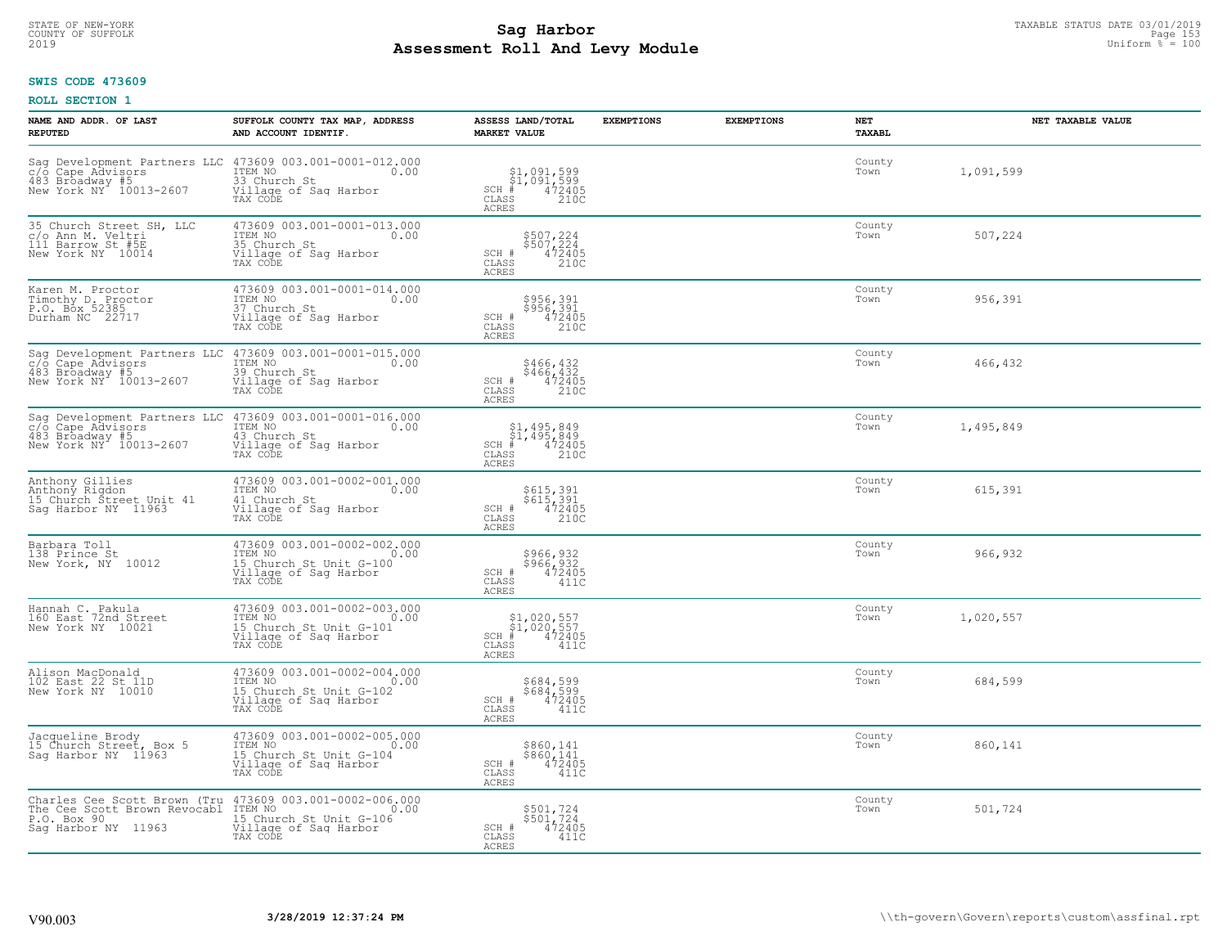# TAXABLE STATUS DATE 03/01/2019<br>COUNTY OF SUFFOLK Page 153 **Assessment Roll And Levy Module** 2019 Uniform % = 100

#### **SWIS CODE 473609**

| NAME AND ADDR. OF LAST<br><b>REPUTED</b>                                                                                                                                                                                    | SUFFOLK COUNTY TAX MAP, ADDRESS<br>AND ACCOUNT IDENTIF.                                                        | ASSESS LAND/TOTAL<br><b>MARKET VALUE</b>                                                           | <b>EXEMPTIONS</b> | <b>EXEMPTIONS</b> | NET<br><b>TAXABL</b> | NET TAXABLE VALUE |
|-----------------------------------------------------------------------------------------------------------------------------------------------------------------------------------------------------------------------------|----------------------------------------------------------------------------------------------------------------|----------------------------------------------------------------------------------------------------|-------------------|-------------------|----------------------|-------------------|
| Sag Development Partners LLC 473609 003.001-0001-012.000 c/o Cape Advisors ITEM NO 0.00<br>483 Broadway #5<br>New York NY 10013-2607                                                                                        | 33 Church St<br>Village of Sag Harbor<br>TAX CODE                                                              | $$1,091,599$<br>$$1,091,599$<br>$# 472405$<br>$35$<br>35<br>$SCH$ #<br>CLASS<br><b>ACRES</b>       |                   |                   | County<br>Town       | 1,091,599         |
| 35 Church Street SH, LLC<br>c/o Ann M. Veltri<br>111 Barrow St #5E<br>New York NY 10014                                                                                                                                     | 473609 003.001-0001-013.000<br>ITEM NO<br>0.00<br>35 Church St<br>Village of Sag Harbor<br>TAX CODE            | \$507,224<br>\$507,224<br>472405<br>210C<br>SCH #<br>CLASS<br><b>ACRES</b>                         |                   |                   | County<br>Town       | 507,224           |
| Karen M. Proctor<br>Timothy D. Proctor<br>P.O. Box 52385<br>Durham NC 22717                                                                                                                                                 | 473609 003.001-0001-014.000<br>ITEM NO<br>0.00<br>37 Church St<br>Village of Sag Harbor<br>TAX CODE            | \$956,391<br>\$956,391<br>472405<br>SCH #<br>CLASS<br>210C<br><b>ACRES</b>                         |                   |                   | County<br>Town       | 956,391           |
| Sag Development Partners LLC<br>c/o Cape Advisors<br>483 Broadway #5<br>New York NY 10013-2607                                                                                                                              | 473609 003.001-0001-015.000<br>ITEM NO<br>0.00<br>39 Church St<br>Village of Sag Harbor<br>TAX CODE            | \$466,432<br>\$466,432<br>SCH #<br>472405<br>CLASS<br>210C<br><b>ACRES</b>                         |                   |                   | County<br>Town       | 466,432           |
| Development Partners LLC<br>Sag<br>c/o Cape Advisors<br>483 Broadway #5<br>New York NY 10013-2607                                                                                                                           | 473609 003.001-0001-016.000<br>1TEM NO 0.00<br>43 Church St<br>Village of Sag Harbor<br>TAX CODE               | $$1,495,849$<br>$$1,495,849$<br>$472405$<br>$>2100$<br>$>2100$<br>$SCH$ #<br>CLASS<br><b>ACRES</b> |                   |                   | County<br>Town       | 1,495,849         |
| Anthony Gillies<br>Anthony Rigdon<br>15 Church Street Unit 41<br>Sag Harbor NY 11963                                                                                                                                        | 473609 003.001-0002-001.000<br>ITEM NO<br>0.00<br>41 Church St<br>Village of Sag Harbor<br>TAX CODE            | \$615,391<br>\$615,391<br>472405<br>210C<br>SCH #<br>CLASS<br><b>ACRES</b>                         |                   |                   | County<br>Town       | 615,391           |
| Barbara Toll<br>138 Prince St<br>New York, NY 10012                                                                                                                                                                         | 473609 003.001-0002-002.000<br>ITEM NO<br>0.00<br>15 Church St Unit G-100<br>Village of Sag Harbor<br>TAX CODE | \$966,932<br>\$966,932<br>472405<br>SCH #<br>CLASS<br>411C<br><b>ACRES</b>                         |                   |                   | County<br>Town       | 966,932           |
| Hannah C. Pakula<br>160 East 72nd Street<br>New York NY 10021                                                                                                                                                               | 473609 003.001-0002-003.000<br>ITEM NO<br>0.00<br>15 Church St Unit G-101<br>Village of Saq Harbor<br>TAX CODE | \$1,020,557<br>\$1,020,557<br>#472405<br>$SCH$ #<br>CLASS<br>411C<br><b>ACRES</b>                  |                   |                   | County<br>Town       | 1,020,557         |
| Alison MacDonald<br>102 East 22 St 11D<br>New York NY 10010                                                                                                                                                                 | 473609 003.001-0002-004.000<br>TTEM NO 0.00<br>15 Church St Unit G-102<br>Village of Sag Harbor<br>TAX CODE    | \$684,599<br>\$684,599<br>472405<br>SCH #<br>CLASS<br>411C<br><b>ACRES</b>                         |                   |                   | County<br>Town       | 684,599           |
| Jacqueline Brody<br>15 Church Street, Box 5<br>Saq Harbor NY 11963                                                                                                                                                          | 473609 003.001-0002-005.000<br>ITEM NO<br>0.00<br>15 Church St Unit G-104<br>Village of Sag Harbor<br>TAX CODE | \$860,141<br>$$860,141$<br>$472405$<br>SCH #<br>CLASS<br>411C<br><b>ACRES</b>                      |                   |                   | County<br>Town       | 860,141           |
| Charles Cee Scott Brown (Tru 473609 003.001-0002-006.000<br>The Cos Scott Brown Revocabl ITEN NO 000.000 000 000<br>P.O. Box 90<br>Sag Harbor NY 11963 15 Church St Unit G-106<br>Sag Harbor NY 11963 Village of Sag Harbor | 0.00<br>TAX CODE                                                                                               | \$501,724<br>\$501,724<br>472405<br>SCH #<br>CLASS<br>411C<br><b>ACRES</b>                         |                   |                   | County<br>Town       | 501,724           |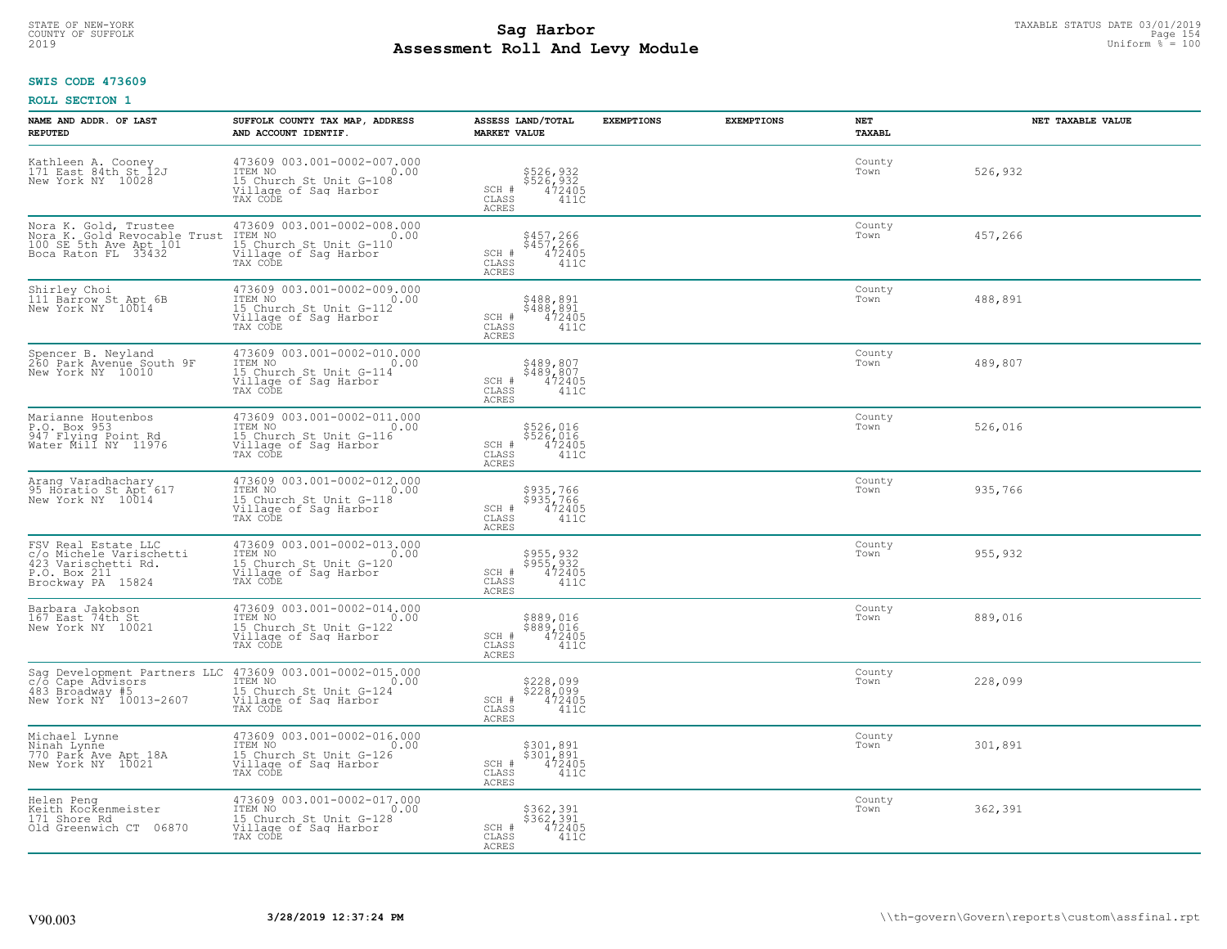# STATE OF NEW-YORK TAXABLE STATUS DATE 03/01/2019<br>COUNTY OF SUFFOLK Page 154 **Assessment Roll And Levy Module** 2019 Uniform % = 100

#### **SWIS CODE 473609**

| NAME AND ADDR. OF LAST<br><b>REPUTED</b>                                                                   | SUFFOLK COUNTY TAX MAP, ADDRESS<br>AND ACCOUNT IDENTIF.                                                             | ASSESS LAND/TOTAL<br><b>MARKET VALUE</b>                                                    | <b>EXEMPTIONS</b> | <b>EXEMPTIONS</b> | <b>NET</b><br><b>TAXABL</b> | NET TAXABLE VALUE |
|------------------------------------------------------------------------------------------------------------|---------------------------------------------------------------------------------------------------------------------|---------------------------------------------------------------------------------------------|-------------------|-------------------|-----------------------------|-------------------|
| Kathleen A. Cooney<br>171 East 84th St 12J<br>New York NY 10028                                            | 473609 003.001-0002-007.000<br>ITEM NO<br>0.00<br>15 Church St Unit G-108<br>Village of Sag Harbor<br>TAX CODE      | \$526,932<br>\$526,932<br>472405<br>SCH #<br>CLASS<br>ACRES<br>411C                         |                   |                   | County<br>Town              | 526,932           |
| Nora K. Gold, Trustee<br>Nora K. Gold Revocable Trust<br>100 SE 5th Ave Apt 101<br>Boca Raton FL 33432     | 473609 003.001-0002-008.000<br>0.00 0.00<br>15 Church St Unit G-110<br>Village of Sag Harbor<br>TAX CODE            | \$457,266<br>\$457,266<br>472405<br>SCH #<br>CLASS<br>411C<br><b>ACRES</b>                  |                   |                   | County<br>Town              | 457,266           |
| Shirley Choi<br>111 Barrow St Apt 6B<br>New York NY 10014                                                  | 473609 003.001-0002-009.000<br>ITEM NO<br>0.00<br>15 Church St Unit G-112<br>Village of Sag Harbor<br>TAX CODE      | \$488,891<br>$$488,891$<br>$472405$<br>SCH #<br>$\mathtt{CLASS}$<br>411C<br><b>ACRES</b>    |                   |                   | County<br>Town              | 488,891           |
| Spencer B. Neyland<br>260 Park Avenue South 9F<br>New York NY 10010                                        | 473609 003.001-0002-010.000<br>TTEM NO 0.00<br>15 Church St Unit G-114<br>Village of Saq Harbor<br>TAX CODE         | \$489,807<br>$$489, 807$<br>$472405$<br>SCH #<br>CLASS<br>411C<br>ACRES                     |                   |                   | County<br>Town              | 489,807           |
| Marianne Houtenbos<br>P.O. Box 953<br>947 Flying Point Rd<br>Water Mill NY 11976                           | 473609 003.001-0002-011.000<br>TTEM NO 0.00<br>0.00<br>15 Church St Unit G-116<br>Village of Sag Harbor<br>TAX CODE | \$526,016<br>\$526,016<br>472405<br>SCH #<br>CLASS<br>411C<br>ACRES                         |                   |                   | County<br>Town              | 526,016           |
| Arang Varadhachary<br>95 Horatio St Apt 617<br>New York NY 10014                                           | 473609 003.001-0002-012.000<br>ITEM NO<br>0.00<br>15 Church St Unit G-118<br>Village of Sag Harbor<br>TAX CODE      | \$935,766<br>\$935,766<br>SCH #<br>472405<br>CLASS<br>411C<br>ACRES                         |                   |                   | County<br>Town              | 935,766           |
| FSV Real Estate LLC<br>c/o Michele Varischetti<br>423 Varischetti Rd.<br>P.O. Box 211<br>Brockway PA 15824 | 473609 003.001-0002-013.000<br>ITEM NO<br>0.00<br>15 Church St Unit G-120<br>Village of Sag Harbor<br>TAX CODE      | \$955,932<br>\$955,932<br>472405<br>SCH #<br>411C<br>CLASS<br>ACRES                         |                   |                   | County<br>Town              | 955,932           |
| Barbara Jakobson<br>167 East 74th St<br>New York NY 10021                                                  | 473609 003.001-0002-014.000<br>ITEM NO<br>0.00<br>15 Church St Unit G-122<br>Village of Saq Harbor<br>TAX CODE      | \$889,016<br>\$889,016<br>472405<br>SCH #<br>CLASS<br>411C<br><b>ACRES</b>                  |                   |                   | County<br>Town              | 889,016           |
| Sag Development Partners LLC<br>c/o Cape Advisors<br>483 Broadway #5<br>New York NY 10013-2607             | 473609 003.001-0002-015.000<br>0.00 0.00<br>15 Church St Unit G-124<br>Village of Sag Harbor<br>TAX CODE            | \$228,099<br>\$228,099<br>472405<br>SCH #<br>CLASS<br>411C<br><b>ACRES</b>                  |                   |                   | County<br>Town              | 228,099           |
| Michael Lynne<br>Ninah Lynne<br>770 Park Ave Apt 18A<br>New York NY 10021                                  | 473609 003.001-0002-016.000<br>ITEM NO<br>0.00<br>15 Church St Unit G-126<br>Village of Sag Harbor<br>TAX CODE      | $$301, 891$<br>$$301, 891$<br>$472405$<br>SCH #<br>$\mathtt{CLASS}$<br>411C<br><b>ACRES</b> |                   |                   | County<br>Town              | 301,891           |
| Helen Peng<br>Keith Kockenmeister<br>171 Shore Rd<br>Old Greenwich CT 06870                                | 473609 003.001-0002-017.000<br>TEM NO<br>15 Church St Unit G-128<br>Village of Sag Harbor<br>0.00<br>TAX CODE       | \$362,391<br>\$362,391<br>472405<br>SCH #<br>$\mathtt{CLASS}$<br>411C<br>ACRES              |                   |                   | County<br>Town              | 362,391           |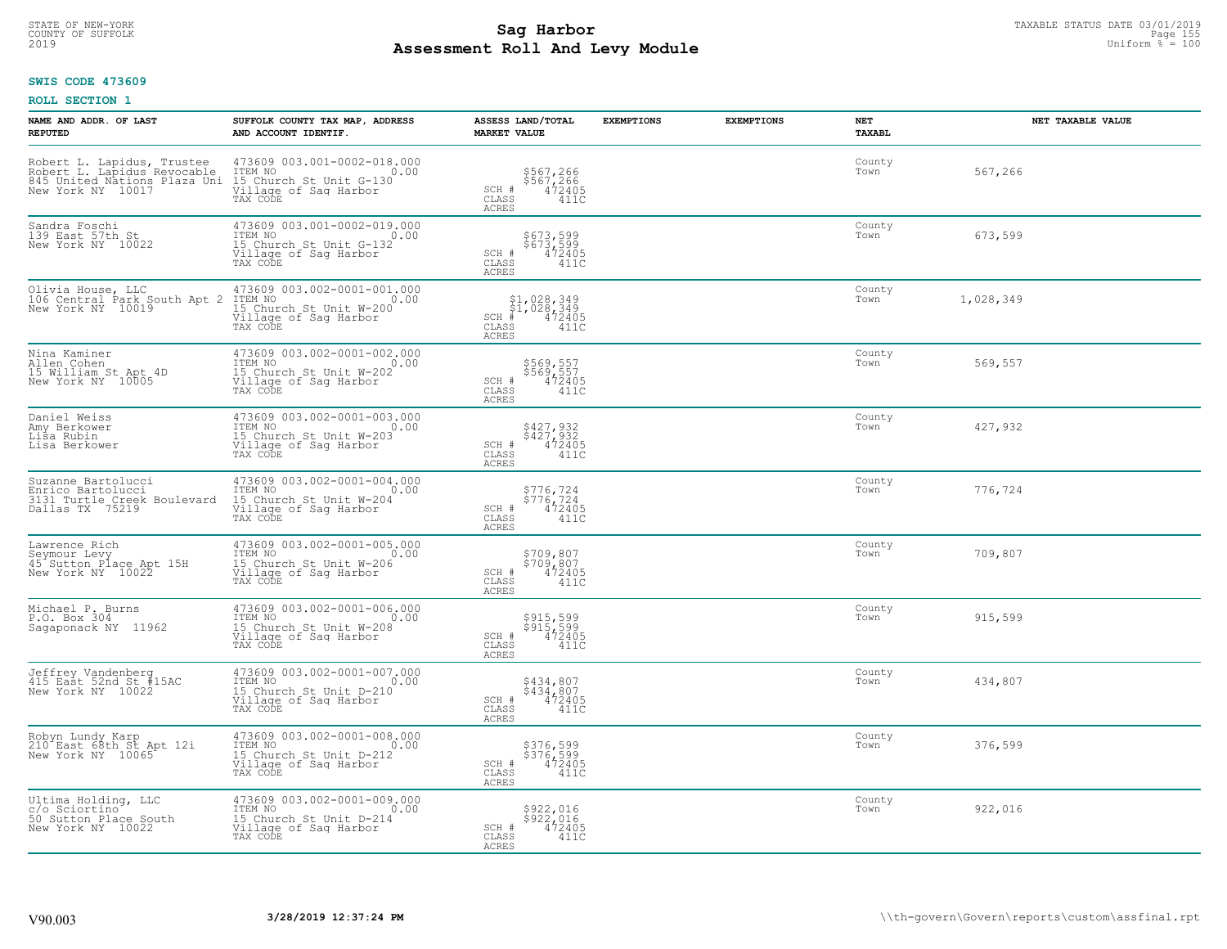# TAXABLE STATUS DATE 03/01/2019<br>COUNTY OF SUFFOLK Page 155 **Assessment Roll And Levy Module** 2019 Uniform % = 100

#### **SWIS CODE 473609**

| NAME AND ADDR. OF LAST<br><b>REPUTED</b>                                                                       | SUFFOLK COUNTY TAX MAP, ADDRESS<br>AND ACCOUNT IDENTIF.                                                             | ASSESS LAND/TOTAL<br><b>MARKET VALUE</b>                                             | <b>EXEMPTIONS</b> | <b>EXEMPTIONS</b> | <b>NET</b><br><b>TAXABL</b> | NET TAXABLE VALUE |
|----------------------------------------------------------------------------------------------------------------|---------------------------------------------------------------------------------------------------------------------|--------------------------------------------------------------------------------------|-------------------|-------------------|-----------------------------|-------------------|
| Robert L. Lapidus, Trustee<br>Robert L. Lapidus Revocable<br>845 United Nations Plaza Uni<br>New York NY 10017 | 473609 003.001-0002-018.000<br>ITEM NO<br>0.00<br>15 Church St Unit G-130<br>Village of Sag Harbor<br>TAX CODE      | \$567,266<br>\$567,266<br>472405<br>SCH #<br>CLASS<br>ACRES<br>411C                  |                   |                   | County<br>Town              | 567,266           |
| Sandra Foschi<br>139 East 57th St<br>New York NY 10022                                                         | 473609 003.001-0002-019.000<br>ITEM NO<br>0.00<br>15 Church St Unit G-132<br>Village of Sag Harbor<br>TAX CODE      | \$673,599<br>\$673,599<br>472405<br>SCH #<br>CLASS<br>411C<br><b>ACRES</b>           |                   |                   | County<br>Town              | 673,599           |
| Olivia House, LLC<br>106 Central Park South Apt 2<br>New York NY 10019                                         | 473609 003.002-0001-001.000<br>ITEM NO<br>0.00<br>15 Church St Unit W-200<br>Village of Sag Harbor<br>TAX CODE      | $$1,028,349$<br>$$1,028,349$<br>$472405$<br>$SCH$ #<br>CLASS<br>411C<br><b>ACRES</b> |                   |                   | County<br>Town              | 1,028,349         |
| Nina Kaminer<br>Allen Cohen<br>15 William St Apt 4D<br>New York NY 10005                                       | 473609 003.002-0001-002.000<br>TTEM NO 0.00<br>0.00<br>15 Church St Unit W-202<br>Village of Saq Harbor<br>TAX CODE | \$569,557<br>\$569,557<br>472405<br>SCH #<br>CLASS<br>411C<br>ACRES                  |                   |                   | County<br>Town              | 569,557           |
| Daniel Weiss<br>Amy Berkower<br>Lisa Rubin<br>Lisa Berkower                                                    | 473609 003.002-0001-003.000<br>ITEM NO<br>0.00<br>15 Church St Unit W-203<br>Village of Sag Harbor<br>TAX CODE      | \$427,932<br>\$427,932<br>472405<br>SCH #<br>CLASS<br>411C<br>ACRES                  |                   |                   | County<br>Town              | 427,932           |
| Suzanne Bartolucci<br>Enrico Bartolucci<br>3131 Turtle Creek Boulevard<br>Dallas TX 75219                      | 473609 003.002-0001-004.000<br>ITEM NO<br>0.00<br>15 Church St Unit W-204<br>Village of Sag Harbor<br>TAX CODE      | $$776, 724$<br>$$776, 724$<br>SCH #<br>472405<br>CLASS<br>411C<br>ACRES              |                   |                   | County<br>Town              | 776,724           |
| Lawrence Rich<br>Seymour Levy<br>45 Sutton Place Apt 15H<br>New York NY 10022                                  | 473609 003.002-0001-005.000<br>ITEM NO<br>0.00<br>15 Church St Unit W-206<br>Village of Sag Harbor<br>TAX CODE      | \$709,807<br>\$709,807<br>472405<br>SCH #<br>411C<br>CLASS<br><b>ACRES</b>           |                   |                   | County<br>Town              | 709,807           |
| Michael P. Burns<br>P.O. Box 304<br>Sagaponack NY 11962                                                        | 473609 003.002-0001-006.000<br>ITEM NO<br>0.00<br>15 Church St Unit W-208<br>Village of Saq Harbor<br>TAX CODE      | \$915,599<br>\$915,599<br>472405<br>SCH #<br>CLASS<br>411C<br><b>ACRES</b>           |                   |                   | County<br>Town              | 915,599           |
| Jeffrey Vandenberg<br>415 East 52nd St #15AC<br>New York NY 10022                                              | 473609 003.002-0001-007.000<br>TTEM NO 0.00<br>15 Church St Unit D-210<br>Village of Sag Harbor<br>TAX CODE         | \$434,807<br>\$434,807<br>472405<br>SCH #<br>CLASS<br>411C<br><b>ACRES</b>           |                   |                   | County<br>Town              | 434,807           |
| Robyn Lundy Karp<br>210 East 68th St Apt 12i<br>New York NY 10065                                              | 473609 003.002-0001-008.000<br>ITEM NO<br>0.00<br>15 Church St Unit D-212<br>Village of Sag Harbor<br>TAX CODE      | \$376,599<br>\$376,599<br>472405<br>SCH #<br>CLASS<br>411C<br><b>ACRES</b>           |                   |                   | County<br>Town              | 376,599           |
| Ultima Holding, LLC<br>c/o Sciortino<br>50 Sutton Place South<br>New York NY 10022                             | 473609 003.002-0001-009.000<br>ITEM NO<br>0.00<br>15 Church St Unit D-214<br>Village of Sag Harbor<br>TAX CODE      | \$922,016<br>\$922,016<br>472405<br>SCH #<br>$\mathtt{CLASS}$<br>411C<br>ACRES       |                   |                   | County<br>Town              | 922,016           |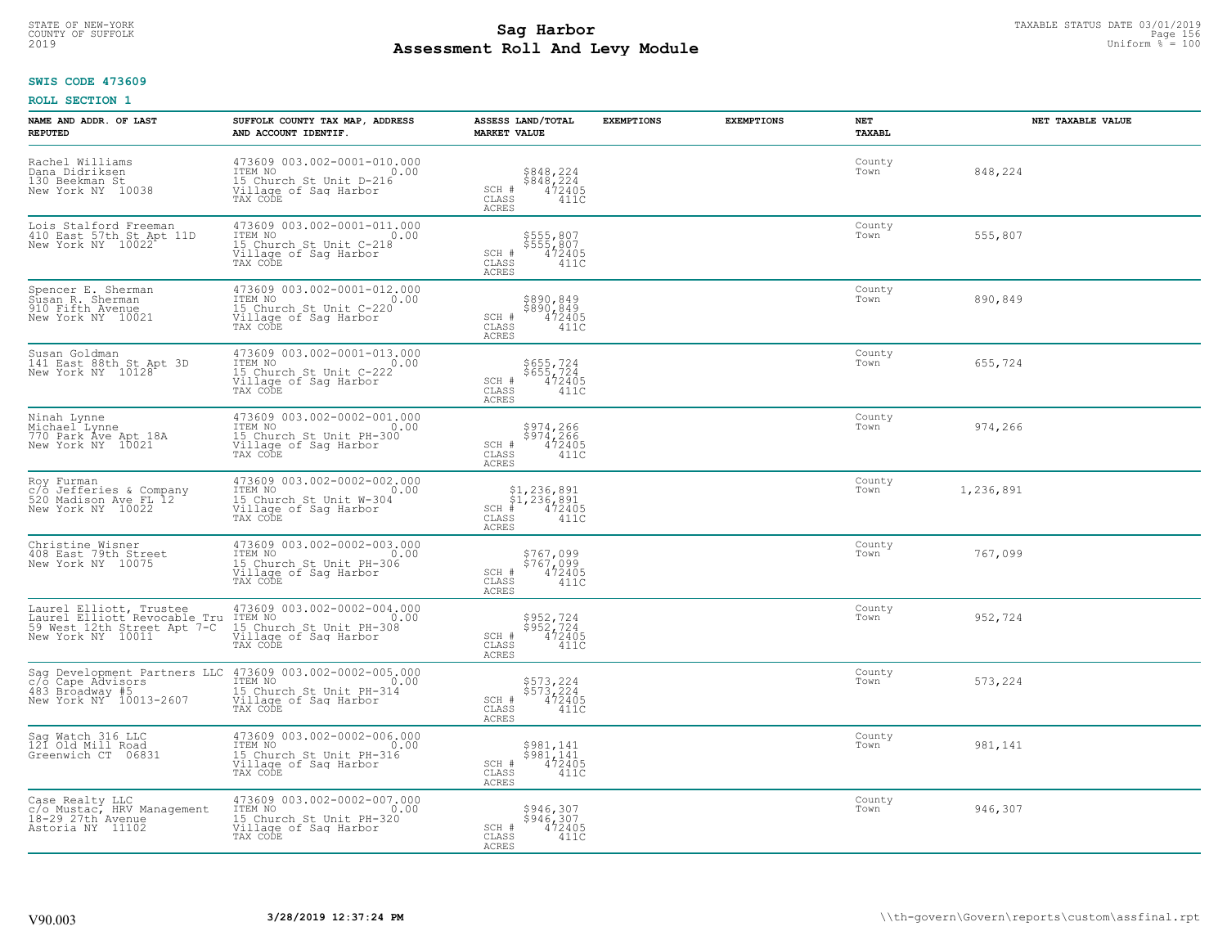# STATE OF NEW-YORK TAXABLE STATUS DATE 03/01/2019<br>COUNTY OF SUFFOLK Page 156 Page 156 **Assessment Roll And Levy Module** 2019 Uniform % = 100

# **SWIS CODE 473609**

| NAME AND ADDR. OF LAST<br><b>REPUTED</b>                                                                    | SUFFOLK COUNTY TAX MAP, ADDRESS<br>AND ACCOUNT IDENTIF.                                                                      | ASSESS LAND/TOTAL<br><b>MARKET VALUE</b>                                                             | <b>EXEMPTIONS</b> | <b>EXEMPTIONS</b> | NET<br><b>TAXABL</b> | NET TAXABLE VALUE |
|-------------------------------------------------------------------------------------------------------------|------------------------------------------------------------------------------------------------------------------------------|------------------------------------------------------------------------------------------------------|-------------------|-------------------|----------------------|-------------------|
| Rachel Williams<br>Dana Didriksen<br>130 Beekman St<br>New York NY 10038                                    | 473609 003.002-0001-010.000<br>ITEM NO<br>0.00<br>15 Church St Unit D-216<br>Village of Saq Harbor<br>TAX CODE               | \$848,224<br>\$848,224<br>472405<br>SCH #<br>CLASS<br>411C<br>ACRES                                  |                   |                   | County<br>Town       | 848,224           |
| Lois Stalford Freeman<br>410 East 57th St Apt 11D<br>New York NY 10022                                      | 473609 003.002-0001-011.000<br>TTEM NO 0.00<br>15 Church St Unit C-218<br>Village of Sag Harbor<br>TAX CODE                  | \$555,807<br>\$555,807<br>472405<br>SCH #<br>CLASS<br>411C<br>ACRES                                  |                   |                   | County<br>Town       | 555,807           |
| Spencer E. Sherman<br>Susan R. Sherman<br>910 Fifth Avenue<br>New York NY 10021                             | 473609 003.002-0001-012.000<br>ITEM NO 0.00<br>15 Church St Unit C-220<br>Village of Sag Harbor<br>TAX CODE                  | \$890,849<br>\$890,849<br>$SCH$ #<br>472405<br>CLASS<br>411C<br>ACRES                                |                   |                   | County<br>Town       | 890,849           |
| Susan Goldman<br>141 East 88th St Apt 3D<br>New York NY 10128                                               | 473609 003.002-0001-013.000<br>ITEM NO<br>0.00<br>1122 November 15 Church St Unit C-222<br>Village of Saq Harbor<br>TAX CODE | \$655,724<br>\$655,724<br>472405<br>SCH #<br>CLASS<br>411C<br>ACRES                                  |                   |                   | County<br>Town       | 655,724           |
| Ninah Lynne<br>Michael Lynne<br>770 Park Ave Apt 18A<br>New York NY 10021                                   | 473609 003.002-0002-001.000<br>ITEM NO<br>0.00<br>15 Church St Unit PH-300<br>Village of Sag Harbor<br>TAX CODE              | \$974,266<br>\$974,266<br>472405<br>SCH #<br>CLASS<br>411C<br>ACRES                                  |                   |                   | County<br>Town       | 974,266           |
| Roy Furman<br>c/o Jefferies & Company<br>520 Madison Ave FL 12<br>New York NY 10022                         | 473609 003.002-0002-002.000<br>ITEM NO<br>0.00<br>15 Church St Unit W-304<br>Village of Sag Harbor<br>TAX CODE               | $$1,236,891$<br>$$1,236,891$<br>$472405$<br>SCH #<br>CLASS<br>411C<br>ACRES                          |                   |                   | County<br>Town       | 1,236,891         |
| Christine Wisner<br>408 East 79th Street<br>New York NY 10075                                               | 473609 003.002-0002-003.000<br>ITEM NO<br>0.00<br>15 Church St Unit PH-306<br>Village of Sag Harbor<br>TAX CODE              | \$767,099<br>\$767,099<br>472405<br>SCH #<br>CLASS<br>411C<br>ACRES                                  |                   |                   | County<br>Town       | 767,099           |
| Laurel Elliott, Trustee<br>Laurel Elliott Revocable Tru<br>59 West 12th Street Apt 7-C<br>New York NY 10011 | 473609 003.002-0002-004.000<br>TTEM NO 0.00<br>15 Church St Unit PH-308<br>Village of Saq Harbor<br>TAX CODE                 | \$952,724<br>\$952,724<br>472405<br>SCH #<br>CLASS<br>411C<br>ACRES                                  |                   |                   | County<br>Town       | 952,724           |
| Sag Development Partners LLC<br>c/ō Cape Advisors<br>483 Broadway #5<br>New York NY 10013-2607              | 473609 003.002-0002-005.000<br>0.00 0.00<br>15 Church St Unit PH-314<br>Village of Saq Harbor<br>TAX CODE                    | \$573,224<br>\$573,224<br>472405<br>SCH #<br>CLASS<br>411C<br><b>ACRES</b>                           |                   |                   | County<br>Town       | 573,224           |
| Sag Watch 316 LLC<br>121 Old Mill Road<br>Greenwich CT 06831                                                | 473609 003.002-0002-006.000<br>ITEM NO<br>0.00<br>15 Church St Unit PH-316<br>Village of Sag Harbor<br>TAX CODE              | \$981,141<br>$$58\overline{1}, \overline{141}$<br>$472405$<br>SCH #<br>CLASS<br>411C<br><b>ACRES</b> |                   |                   | County<br>Town       | 981,141           |
| Case Realty LLC<br>c/o Mustac, HRV Management<br>18-29 27th Avenue<br>Astoria NY 11102                      | 473609 003.002-0002-007.000<br>ITEM NO 0.<br>15 Church St Unit PH-320<br>0.00<br>Village of Sag Harbor<br>TAX CODE           | \$946,307<br>\$946,307<br>472405<br>SCH #<br>CLASS<br>411C<br>ACRES                                  |                   |                   | County<br>Town       | 946,307           |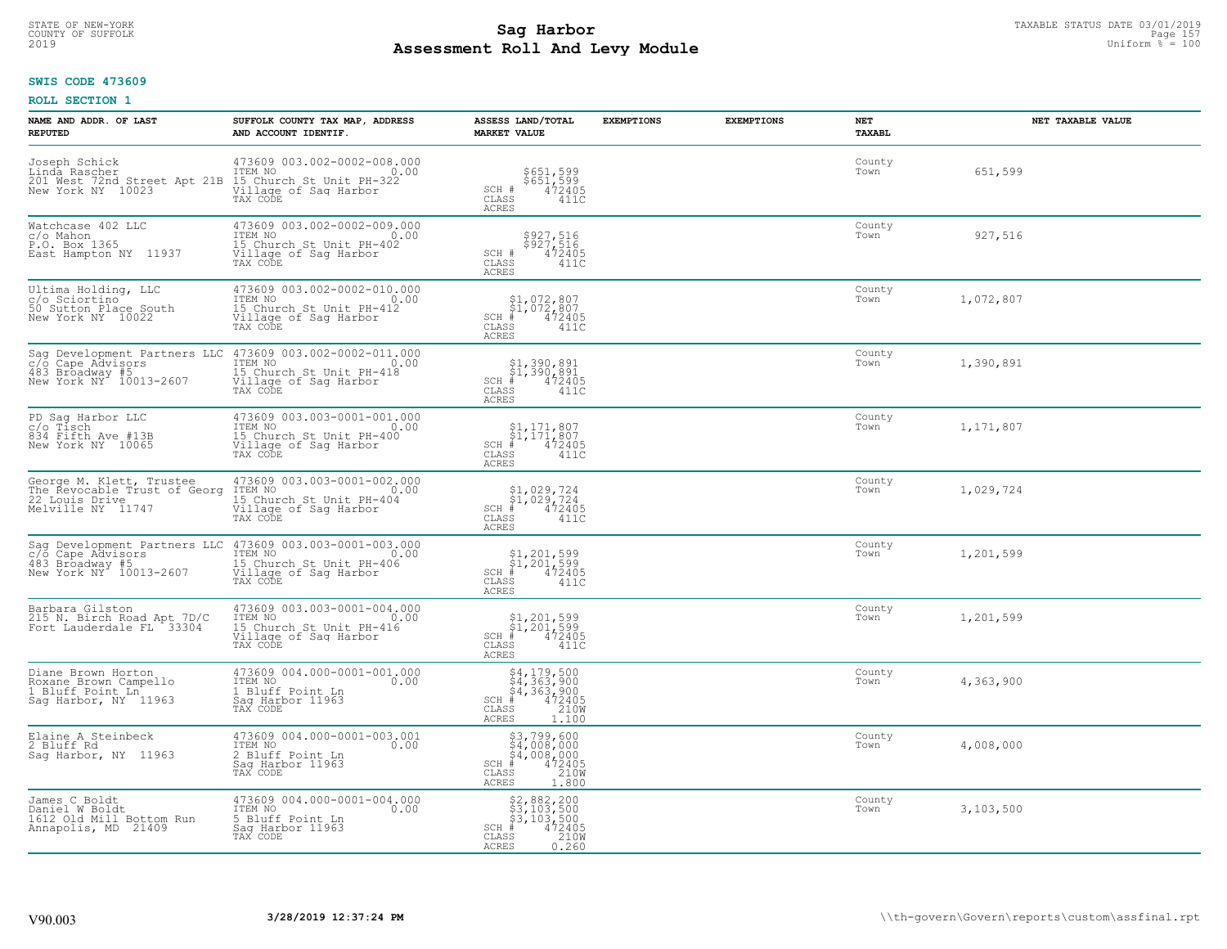# STATE OF NEW-YORK TAXABLE STATUS DATE 03/01/2019<br>COUNTY OF SUFFOLK Page 157 **Assessment Roll And Levy Module** 2019 Uniform % = 100

#### **SWIS CODE 473609**

| NAME AND ADDR. OF LAST<br><b>REPUTED</b>                                                        | SUFFOLK COUNTY TAX MAP, ADDRESS<br>AND ACCOUNT IDENTIF.                                                         | ASSESS LAND/TOTAL<br><b>MARKET VALUE</b>                                                                                                 | <b>EXEMPTIONS</b> | <b>EXEMPTIONS</b> | NET<br><b>TAXABL</b> | NET TAXABLE VALUE |
|-------------------------------------------------------------------------------------------------|-----------------------------------------------------------------------------------------------------------------|------------------------------------------------------------------------------------------------------------------------------------------|-------------------|-------------------|----------------------|-------------------|
| Joseph Schick<br>Linda Rascher<br>201 West 72nd Street Apt 21B<br>New York NY 10023             | 473609 003.002-0002-008.000<br>TTEM NO 0.00<br>15 Church St Unit PH-322<br>Village of Sag Harbor<br>TAX CODE    | \$651,599<br>\$651,599<br>472405<br>SCH #<br>CLASS<br>411C<br><b>ACRES</b>                                                               |                   |                   | County<br>Town       | 651,599           |
| Watchcase 402 LLC<br>c/o Mahon<br>P.O. Box 1365<br>East Hampton NY 11937                        | 473609 003.002-0002-009.000<br>ITEM NO<br>0.00<br>15 Church St Unit PH-402<br>Village of Sag Harbor<br>TAX CODE | \$927,516<br>\$927,516<br>472405<br>SCH #<br>CLASS<br>411C<br><b>ACRES</b>                                                               |                   |                   | County<br>Town       | 927,516           |
| Ultima Holding, LLC<br>c/o Sciortino<br>50 Sutton Place South<br>New York NY 10022              | 473609 003.002-0002-010.000<br>TTEM NO<br>15 Church St Unit PH-412<br>Village of Sag Harbor<br>0.00<br>TAX CODE | \$1,072,807<br>$\frac{51}{4}$ , 072, 807<br>$SCH$ #<br>CLASS<br>411C<br><b>ACRES</b>                                                     |                   |                   | County<br>Town       | 1,072,807         |
| Sag Development Partners LLC<br>c/õ Cape Advisors<br>483 Broadway #5<br>New York NY 10013-2607  | 473609 003.002-0002-011.000<br>ITEM NO<br>0.00<br>15 Church St Unit PH-418<br>Village of Sag Harbor<br>TAX CODE | \$1,390,891<br>\$1,390,891<br>$SCH$ #<br>472405<br>CLASS<br>411C<br>ACRES                                                                |                   |                   | County<br>Town       | 1,390,891         |
| PD Sag Harbor LLC<br>c/o Tisch<br>834 Fifth Ave #13B<br>New York NY 10065                       | 473609 003.003-0001-001.000<br>ITEM NO<br>0.00<br>15 Church St Unit PH-400<br>Village of Sag Harbor<br>TAX CODE | $\begin{array}{c} $1,171,807 \ $1,171,807 \ \end{array}$<br>$SCH$ #<br>CLASS<br>411C<br>ACRES                                            |                   |                   | County<br>Town       | 1,171,807         |
| George M. Klett, Trustee<br>The Revocable Trust of Georg<br>22 Louis Drive<br>Melville NY 11747 | 473609 003.003-0001-002.000<br>ITEM NO<br>0.00<br>15 Church St Unit PH-404<br>Village of Sag Harbor<br>TAX CODE | $$1,029,724$<br>$$1,029,724$<br>$472405$<br>$SCH$ #<br>$\mathtt{CLASS}$<br>411C<br>ACRES                                                 |                   |                   | County<br>Town       | 1,029,724         |
| Saq Development Partners LLC<br>c/o Cape Advisors<br>483 Broadway #5<br>New York NY 10013-2607  | 473609 003.003-0001-003.000<br>ITEM NO<br>0.00<br>15 Church St Unit PH-406<br>Village of Sag Harbor<br>TAX CODE | $\begin{array}{l} $1,201,599 \ $1,201,599 \ * \ 4 \end{array}$<br>$SCH$ #<br>CLASS<br>411C<br>ACRES                                      |                   |                   | County<br>Town       | 1,201,599         |
| Barbara Gilston<br>215 N. Birch Road Apt 7D/C<br>Fort Lauderdale FL 33304                       | 473609 003.003-0001-004.000<br>ITEM NO<br>0.00<br>15 Church St Unit PH-416<br>Village of Sag Harbor<br>TAX CODE | \$1,201,599<br>\$1,201,599<br>#472405<br>$SCH$ #<br>CLASS<br>411C<br><b>ACRES</b>                                                        |                   |                   | County<br>Town       | 1,201,599         |
| Diane Brown Horton<br>Roxane Brown Campello<br>1 Bluff Point Ln<br>Sag Harbor, NY 11963         | 473609 004.000-0001-001.000<br>TTEM NO 0.00<br>1 Bluff Point Ln<br>Saq Harbor 11963<br>TAX CODE                 | $$4,179,500$<br>$$4,363,900$<br>$$4,363,900$<br>$472405$<br>$363,900$<br>$472405$<br>$2100$<br>$SCH$ #<br>CLASS<br><b>ACRES</b><br>1.100 |                   |                   | County<br>Town       | 4,363,900         |
| Elaine A Steinbeck<br>2 Bluff Rd<br>Saq Harbor, NY 11963                                        | 473609 004.000-0001-003.001<br>ITEM NO<br>0.00<br>2 Bluff Point Ln<br>Sag Harbor 11963<br>TAX CODE              | \$3,799,600<br>\$4,008,000<br>\$4,008,000<br># 472405<br>\$5 4210M<br>SCH<br>CLASS<br><b>ACRES</b><br>1.800                              |                   |                   | County<br>Town       | 4,008,000         |
| James C Boldt<br>Daniel W Boldt<br>1612 Old Mill Bottom Run<br>Annapolis, MD 21409              | 473609 004.000-0001-004.000<br>ITEM NO<br>0.00<br>5 Bluff Point Ln<br>Sag Harbor 11963<br>TAX CODE              | \$2,882,200<br>\$3,103,500<br>\$3,103,500<br>472405<br>210W<br>$SCH$ #<br>CLASS<br><b>ACRES</b><br>0.260                                 |                   |                   | County<br>Town       | 3,103,500         |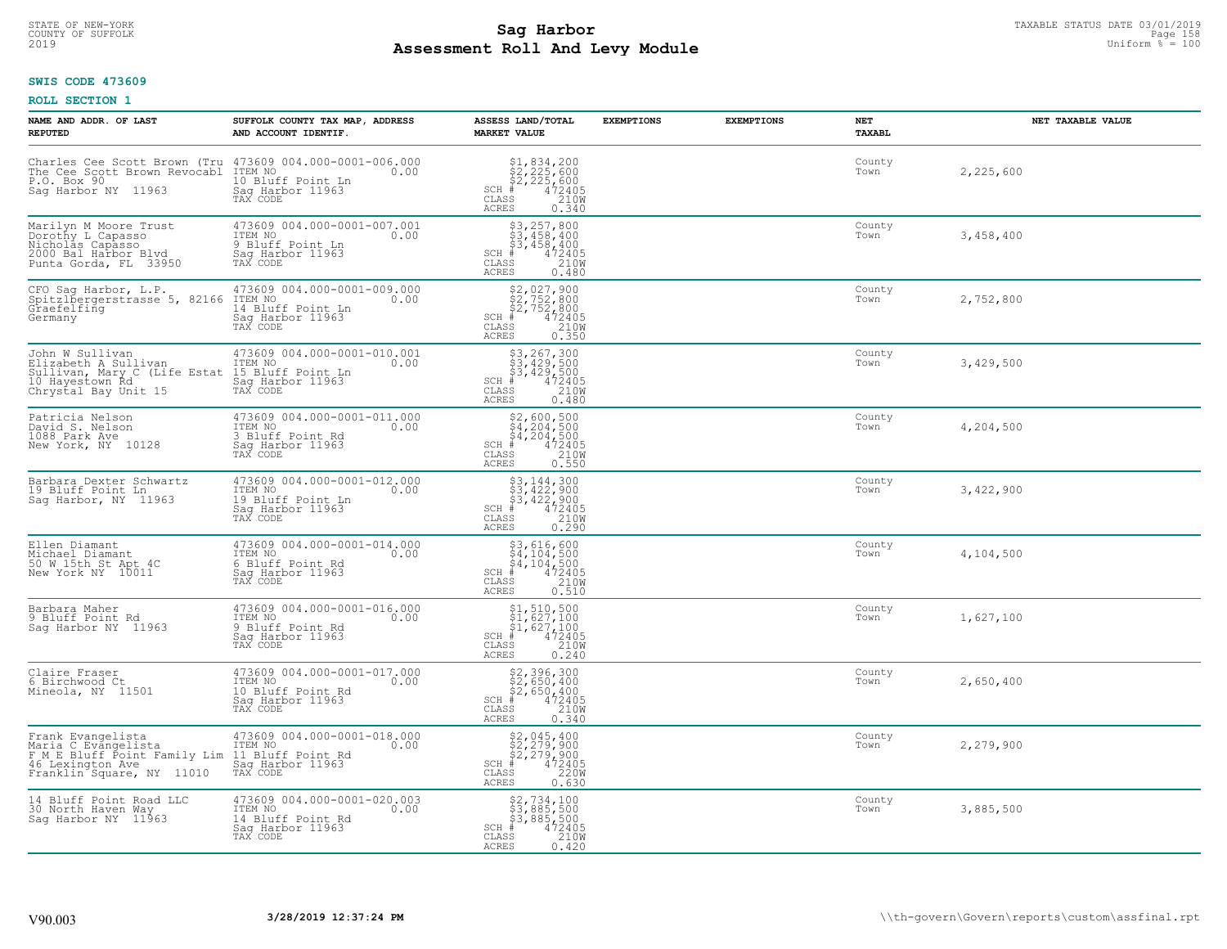# STATE OF NEW-YORK TAXABLE STATUS DATE 03/01/2019<br>COUNTY OF SUFFOLK Page 158 **Assessment Roll And Levy Module** 2019 Uniform % = 100

### **SWIS CODE 473609**

| NAME AND ADDR. OF LAST<br><b>REPUTED</b>                                                                                                                                                                         | SUFFOLK COUNTY TAX MAP, ADDRESS<br>AND ACCOUNT IDENTIF.                                             | ASSESS LAND/TOTAL<br><b>MARKET VALUE</b>                                                                                     | <b>EXEMPTIONS</b> | <b>EXEMPTIONS</b> | NET<br>TAXABL  | NET TAXABLE VALUE |
|------------------------------------------------------------------------------------------------------------------------------------------------------------------------------------------------------------------|-----------------------------------------------------------------------------------------------------|------------------------------------------------------------------------------------------------------------------------------|-------------------|-------------------|----------------|-------------------|
| Charles Cee Scott Brown (Tru 473609 004.000-0001-006.000<br>The Cee Scott Brown Revocabl ITEM NO <sub>11</sub><br>P.O. Box 90<br>Saq Harbor NY 11963                                                             | 10 Bluff Point Ln<br>Saq Harbor 11963                                                               | $$2, 225, 600$<br>$$2, 225, 600$<br>$$2, 225, 600$<br>$*$ 472405<br>$SCH$ #<br>CLASS<br>210W<br>ACRES<br>0.340               |                   |                   | County<br>Town | 2,225,600         |
| Marilyn M Moore Trust<br>Dorothy L Capasso<br>Nicholas Capasso<br>2000 Bal Harbor Blvd<br>Punta Gorda, FL 33950                                                                                                  | 473609 004.000-0001-007.001<br>ITEM NO<br>0.00<br>9 Bluff Point Ln<br>Sag Harbor 11963<br>TAX CODE  | $$3, 257, 800$<br>$$3, 458, 400$<br>$$3, 458, 400$<br>$*$<br>$472405$<br>$*$<br>$2100$<br>$SCH$ #<br>CLASS<br>ACRES<br>0.480 |                   |                   | County<br>Town | 3,458,400         |
| CFO Saq Harbor, L.P.<br>Spitzlbergerstrasse 5, 82166<br>Graefelfing<br>Germany                                                                                                                                   | 473609 004.000-0001-009.000<br>ITEM NO<br>0.00<br>14 Bluff Point Ln<br>Sag Harbor 11963<br>TAX CODE | $$2,027,900$<br>$$2,752,800$<br>$$2,752,800$<br>$*$ 472405<br>$$210M$<br>SCH #<br>CLASS<br>0.350<br>ACRES                    |                   |                   | County<br>Town | 2,752,800         |
| John W Sullivan<br>Elizabeth A Sullivan<br>Sullivan, Mary C (Life Estat 15 Bluff Point Ln 10 Hayestown Rd<br>10 Hayestown Rd<br>Chrystal Bay Unit 15 Sag Harbor 11963<br>10 Hayestown Rd<br>Chrystal Bay Unit 15 | 473609 004.000-0001-010.001<br>ITEM NO<br>0.00                                                      | \$3,267,300<br>\$3,429,500<br>\$3,429,500<br>#472405<br>\$5,210M<br>$SCH$ #<br>CLASS<br>ACRES<br>0.480                       |                   |                   | County<br>Town | 3,429,500         |
| Patricia Nelson<br>David S. Nelson<br>1088 Park Ave<br>New York, NY 10128                                                                                                                                        | 473609 004.000-0001-011.000<br>ITEM NO<br>0.00<br>3 Bluff Point Rd<br>Sag Harbor 11963<br>TAX CODE  | $$2,600,500$<br>$$4,204,500$<br>$$4,204,500$<br>$472405$<br>$$210M$<br>$$210M$<br>$SCH$ #<br>CLASS<br><b>ACRES</b><br>0.550  |                   |                   | County<br>Town | 4,204,500         |
| Barbara Dexter Schwartz<br>19 Bluff Point Ln<br>Saq Harbor, NY 11963                                                                                                                                             | 473609 004.000-0001-012.000<br>ITEM NO<br>0.00<br>19 Bluff Point Ln<br>Sag Harbor 11963<br>TAX CODE | \$3,144,300<br>\$3,422,900<br>\$3,422,900<br>#472405<br>$SCH$ #<br>210W<br>CLASS<br>0.290<br>ACRES                           |                   |                   | County<br>Town | 3,422,900         |
| Ellen Diamant<br>Michael Diamant<br>50 W 15th St Apt 4C<br>New York NY 10011                                                                                                                                     | 473609 004.000-0001-014.000<br>TTEM NO 0.00<br>6 Bluff Point Rd<br>Sag Harbor 11963<br>TAX CODE     | \$3,616,600<br>\$4,104,500<br>\$4,104,500<br>#472405<br>\$5,210M<br>$SCH$ #<br>CLASS<br>0.510<br>ACRES                       |                   |                   | County<br>Town | 4,104,500         |
| Barbara Maher<br>9 Bluff Point Rd<br>Sag Harbor NY 11963                                                                                                                                                         | 473609 004.000-0001-016.000<br>ITEM NO 0.00<br>9 Bluff Point Rd<br>Saq Harbor 11963<br>TAX CODE     | $$1, 510, 500$<br>$$1, 627, 100$<br>$$1, 627, 100$<br>$472405$<br>$$2100$<br>$$2100$<br>$SCH$ #<br>CLASS<br>ACRES<br>0.240   |                   |                   | County<br>Town | 1,627,100         |
| Claire Fraser<br>6 Birchwood Ct<br>Mineola, NY 11501                                                                                                                                                             | 473609 004.000-0001-017.000<br>ITEM NO 0.00<br>10 Bluff Point Rd<br>Saq Harbor 11963                | \$2,396,300<br>\$2,650,400<br>\$2,650,400<br>$SCH$ #<br>$\frac{472405}{2100}$<br>CLASS<br>ACRES<br>0.340                     |                   |                   | County<br>Town | 2,650,400         |
| Frank Evangelista<br>Maria C Evángelista<br>F M E Bluff Point Family Lim 11 Bluff Point Rd<br>46 Lexington Ave<br>Franklin Square, NY 11010                                                                      | 473609 004.000-0001-018.000<br>ITEM NO<br>0.00<br>Sag Harbor 11963<br>TAX CODE                      | \$2,045,400<br>\$2,279,900<br>\$2,279,900<br>#472405<br>$SCH$ #<br>220W<br>CLASS<br>ACRES<br>0.630                           |                   |                   | County<br>Town | 2,279,900         |
| 14 Bluff Point Road LLC<br>30 North Haven Way<br>Saq Harbor NY 11963                                                                                                                                             | 473609 004.000-0001-020.003<br>ITEM NO<br>0.00<br>14 Bluff Point Rd<br>Sag Harbor 11963<br>TAX CODE | \$2,734,100<br>\$3,885,500<br>\$3,885,500<br>$SCH$ #<br>472405<br>CLASS<br>210W<br>ACRES<br>0.420                            |                   |                   | County<br>Town | 3,885,500         |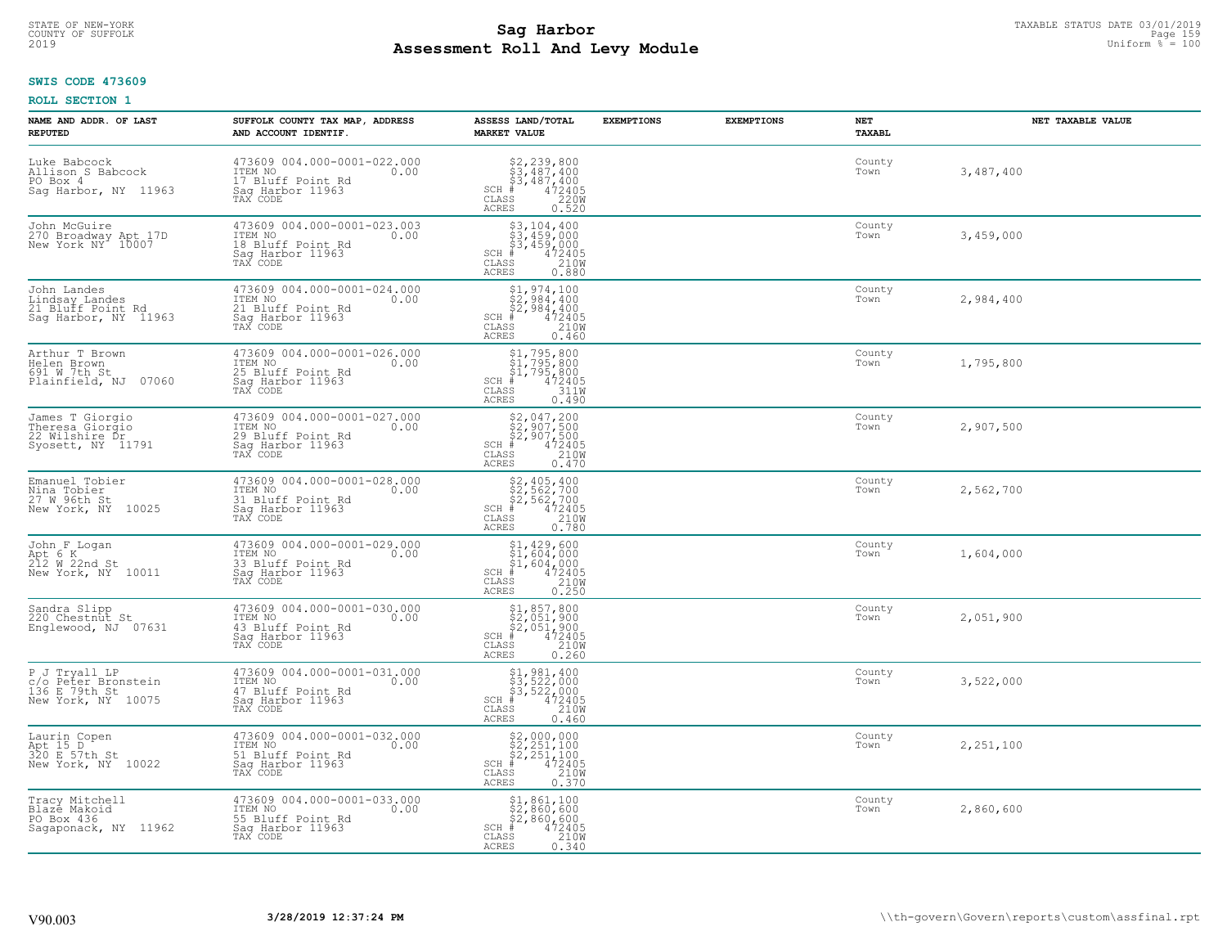# TAXABLE STATUS DATE 03/01/2019<br>COUNTY OF SUFFOLK Page 159 and the state of the state of the state of the state of the state of the state of th **Assessment Roll And Levy Module** 2019 Uniform % = 100

#### **SWIS CODE 473609**

| NAME AND ADDR. OF LAST<br><b>REPUTED</b>                                   | SUFFOLK COUNTY TAX MAP, ADDRESS<br>AND ACCOUNT IDENTIF.                                             | ASSESS LAND/TOTAL<br><b>MARKET VALUE</b>                                                                                                                                                                                                                                 | <b>EXEMPTIONS</b> | <b>EXEMPTIONS</b> | NET<br><b>TAXABL</b> | NET TAXABLE VALUE |
|----------------------------------------------------------------------------|-----------------------------------------------------------------------------------------------------|--------------------------------------------------------------------------------------------------------------------------------------------------------------------------------------------------------------------------------------------------------------------------|-------------------|-------------------|----------------------|-------------------|
| Luke Babcock<br>Allison S Babcock<br>PO Box 4<br>Sag Harbor, NY 11963      | 473609 004.000-0001-022.000<br>ITEM NO<br>0.00<br>17 Bluff Point Rd<br>Saq Harbor 11963             | $$3,487,400$<br>$$3,487,400$<br>$$487,400$<br>$472405$<br>$$220M$<br>$SCH$ #<br>CLASS<br><b>ACRES</b><br>0.520                                                                                                                                                           |                   |                   | County<br>Town       | 3,487,400         |
| John McGuire<br>270 Broadway Apt 17D<br>New York NY 10007                  | 473609 004.000-0001-023.003<br>ITEM NO<br>0.00<br>18 Bluff Point Rd<br>Sag Harbor 11963<br>TAX CODE | $\begin{array}{l} 53,104,400 \\ 53,459,000 \\ 53,459,000 \\ \ast & 472405 \\ \ast & 2100 \\ \ast & 2100 \\ \end{array}$<br>$SCH$ #<br>CLASS<br><b>ACRES</b><br>0.880                                                                                                     |                   |                   | County<br>Town       | 3,459,000         |
| John Landes<br>Lindsay Landes<br>21 Bluff Point Rd<br>Saq Harbor, NY 11963 | 473609 004.000-0001-024.000<br>ITEM NO<br>0.00<br>21 Bluff Point Rd<br>Sag Harbor 11963<br>TAX CODE | $$1,974,100$<br>$$2,984,400$<br>$$2,984,400$<br>$$472405$<br>$SCH$ #<br>CLASS<br>210W<br>ACRES<br>0.460                                                                                                                                                                  |                   |                   | County<br>Town       | 2,984,400         |
| Arthur T Brown<br>Helen Brown<br>691 W 7th St<br>Plainfield, NJ 07060      | 473609 004.000-0001-026.000<br>ITEM NO<br>0.00<br>25 Bluff Point Rd<br>Saq Harbor 11963<br>TAX CODE | $$1, 795, 800$<br>$$1, 795, 800$<br>$$1, 795, 800$<br>$472405$<br>$3110$<br>SCH #<br>CLASS<br><b>ACRES</b><br>0.490                                                                                                                                                      |                   |                   | County<br>Town       | 1,795,800         |
| James T Giorgio<br>Theresa Giorgio<br>22 Wilshire Dr<br>Syosett, NY 11791  | 473609 004.000-0001-027.000<br>ITEM NO<br>0.00<br>29 Bluff Point Rd<br>Saq Harbor 11963             | $$2, 047, 200$<br>$$2, 907, 500$<br>$$2, 907, 500$<br>$$472405$<br>$$2, 907$<br>$$2408$<br>$SCH$ #<br>CLASS<br><b>ACRES</b><br>0.470                                                                                                                                     |                   |                   | County<br>Town       | 2,907,500         |
| Emanuel Tobier<br>Nina Tobier<br>27 W 96th St<br>New York, NY 10025        | 473609 004.000-0001-028.000<br>ITEM NO<br>0.00<br>31 Bluff Point Rd<br>Sag Harbor 11963<br>TAX CODE | $SCH$ #<br>CLASS<br><b>ACRES</b>                                                                                                                                                                                                                                         |                   |                   | County<br>Town       | 2,562,700         |
| John F Logan<br>Apt 6 K<br>212 W 22nd St<br>New York, NY 10011             | 473609 004.000-0001-029.000<br>ITEM NO<br>0.00<br>33 Bluff Point Rd<br>Sag Harbor 11963<br>TAX CODE | $$1, 429, 600$<br>$$1, 604, 000$<br>$$1, 604, 000$<br>$$472405$<br>$SCH$ #<br>CLASS<br>210W<br>0.250<br><b>ACRES</b>                                                                                                                                                     |                   |                   | County<br>Town       | 1,604,000         |
| Sandra Slipp<br>220 Chestnut St<br>Englewood, NJ 07631                     | 473609 004.000-0001-030.000<br>TTEM NO 0.00<br>43 Bluff Point Rd<br>Saq Harbor 11963<br>TAX CODE    | $$2,051,800$<br>$$2,051,900$<br>$$2,051,900$<br>$472405$<br>$$210M$<br>$SCH$ #<br>CLASS<br><b>ACRES</b><br>0.260                                                                                                                                                         |                   |                   | County<br>Town       | 2,051,900         |
| PJ Tryall LP<br>c/o Peter Bronstein<br>136 E 79th St<br>New York, NY 10075 | 473609 004.000-0001-031.000<br>ITEM NO 0.00<br>47 Bluff Point Rd<br>Saq Harbor 11963<br>TAX CODE    | $$1, 981, 400$<br>$$3, 522, 000$<br>$$3, 522, 000$<br>$$472405$<br>$$210M$<br>$SCH$ #<br>CLASS<br><b>ACRES</b><br>0.460                                                                                                                                                  |                   |                   | County<br>Town       | 3,522,000         |
| Laurin Copen<br>Apt 15 D<br>320 E 57th St<br>New York, NY 10022            | 473609 004.000-0001-032.000<br>ITEM NO<br>0.00<br>51 Bluff Point Rd<br>Sag Harbor 11963<br>TAX CODE | $\begin{array}{r} \text{\small $52$, 000, 000} \\ \text{\small $52$, 251, 100} \\ \text{\small $52$, 251, 100} \\ \text{\small $4$ & 472405 \\ \text{\small $85$} & 210 \text{\small $W$} \\ \text{\small $85$} & 0.370 \end{array}$<br>$SCH$ #<br>CLASS<br><b>ACRES</b> |                   |                   | County<br>Town       | 2,251,100         |
| Tracy Mitchell<br>Blazė Makoid<br>PO Box 436<br>Sagaponack, NY 11962       | 473609 004.000-0001-033.000<br>ITEM NO<br>0.00<br>55 Bluff Point Rd<br>Sag Harbor 11963<br>TAX CODE | \$1,861,100<br>\$2,860,600<br>\$2,860,600<br>$SCH$ #<br>472405<br>210W<br>CLASS<br><b>ACRES</b><br>0.340                                                                                                                                                                 |                   |                   | County<br>Town       | 2,860,600         |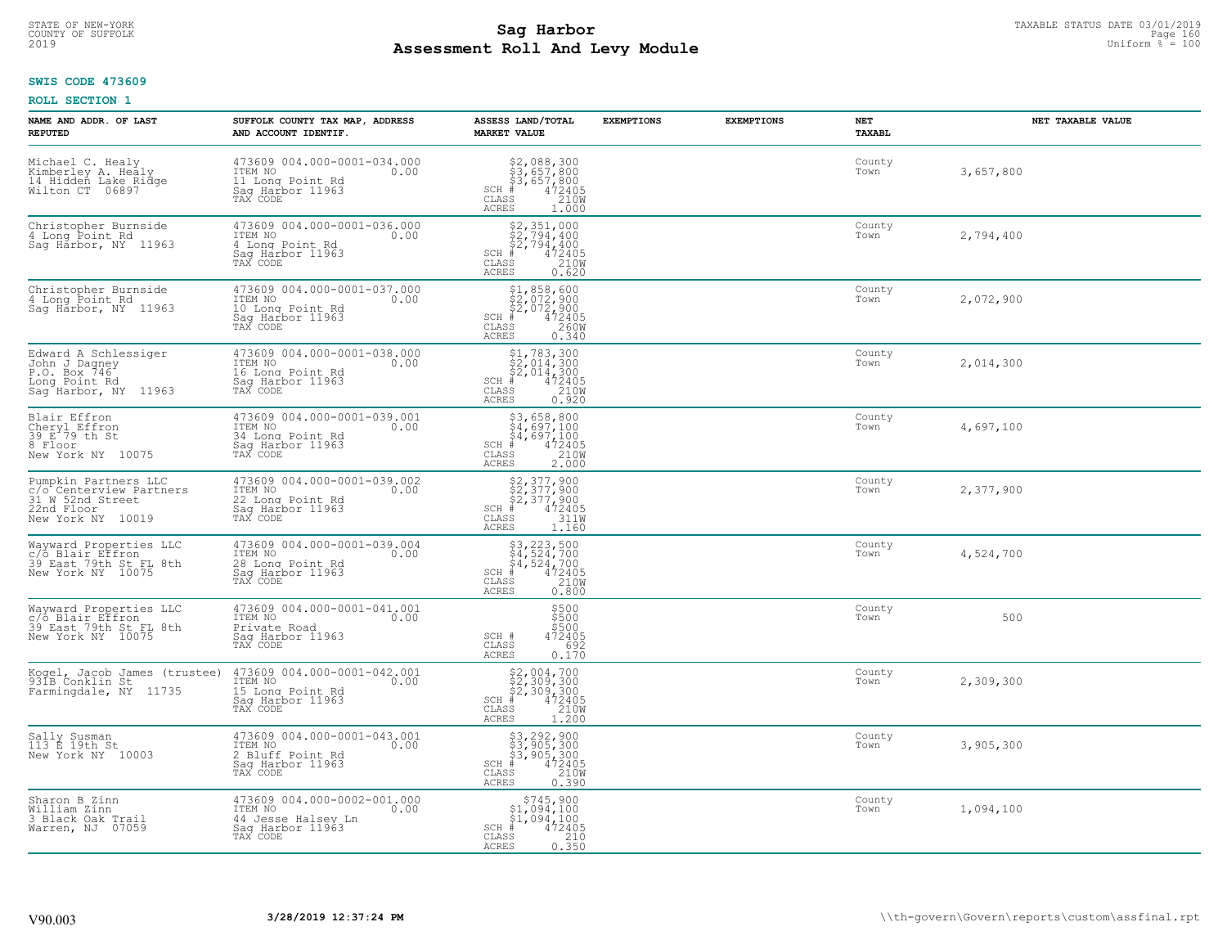### **Sag Harbor**<br>**Poll And Low Module Assessment Roll And Levy Module** 2019 Uniform % = 100 COUNTY OF SUFFOLK Page 160

### **SWIS CODE 473609**

| NAME AND ADDR. OF LAST<br><b>REPUTED</b>                                                               | SUFFOLK COUNTY TAX MAP, ADDRESS<br>AND ACCOUNT IDENTIF.                                                 | ASSESS LAND/TOTAL<br><b>MARKET VALUE</b>                                                                                                                             | <b>EXEMPTIONS</b> | <b>EXEMPTIONS</b> | <b>NET</b><br><b>TAXABL</b> | NET TAXABLE VALUE |
|--------------------------------------------------------------------------------------------------------|---------------------------------------------------------------------------------------------------------|----------------------------------------------------------------------------------------------------------------------------------------------------------------------|-------------------|-------------------|-----------------------------|-------------------|
| Michael C. Healy<br>Kimberley A. Healy<br>14 Hidden Lake Ridge<br>Wilton CT 06897                      | 473609 004.000-0001-034.000<br>TTEM NO 0.00<br>0.00<br>11 Long Point Rd<br>Saq Harbor 11963<br>TAX CODE | \$2,088,300<br>\$3,657,800<br>\$3,657,800<br># 472405<br>\$5 1210M<br>SCH<br>CLASS<br>ACRES<br>1.000                                                                 |                   |                   | County<br>Town              | 3,657,800         |
| Christopher Burnside<br>4 Long Point Rd<br>Sag Harbor, NY 11963                                        | 473609 004.000-0001-036.000<br>ITEM NO<br>0.00<br>4 Long Point Rd<br>Sag Harbor 11963<br>TAX CODE       | $$2,794,400\n$2,794,400\n$2,794,400\n# 472405\n$210M\n$5$<br>$SCH$ #<br>CLASS<br>ACRES<br>0.620                                                                      |                   |                   | County<br>Town              | 2,794,400         |
| Christopher Burnside<br>4 Long Point Rd<br>Sag Harbor, NY 11963                                        | 473609 004.000-0001-037.000<br>ITEM NO<br>0.00<br>10 Long Point Rd<br>Sag Harbor 11963<br>TAX CODE      | \$1,858,600<br>\$2,072,900<br>\$2,072,900<br># 472405<br>\$5 260M<br>$SCH$ #<br>CLASS<br>ACRES<br>0.340                                                              |                   |                   | County<br>Town              | 2,072,900         |
| Edward A Schlessiger<br>John J Dagney<br>P.O. Box 746<br>Long Point Rd<br>Saq Harbor, NY 11963         | 473609 004.000-0001-038.000<br>ITEM NO<br>0.00<br>16 Long Point Rd<br>Saq Harbor 11963<br>TAX CODE      | $$1,783,300$<br>$$2,014,300$<br>$$2,014,300$<br>$SCH$ #<br>$\frac{472405}{210}$<br>CLASS<br>ACRES<br>0.920                                                           |                   |                   | County<br>Town              | 2,014,300         |
| Blair Effron<br>Cheryl Effron<br>39 E 79 th St<br>8 Floor<br>New York NY 10075                         | 473609 004.000-0001-039.001<br>ITEM NO<br>0.00<br>34 Long Point Rd<br>Saq Harbor 11963<br>TAX CODE      | \$3,658,800<br>$\frac{5}{4}$ , $\frac{5}{9}$ , 100<br>$\begin{array}{r} 54,697,100 \\ 472405 \\ \text{ss} \\ 210M \end{array}$<br>$SCH$ #<br>CLASS<br>ACRES<br>2,000 |                   |                   | County<br>Town              | 4,697,100         |
| Pumpkin Partners LLC<br>c/o Centerview Partners<br>31 W 52nd Street<br>22nd Floor<br>New York NY 10019 | 473609 004.000-0001-039.002<br>ITEM NO<br>0.00<br>22 Long Point Rd<br>Saq Harbor 11963<br>TAX CODE      | $$2,377,900$<br>$$2,377,900$<br>$$472405$<br>$$311W$<br>$SCH$ #<br>CLASS<br>ACRES<br>1.160                                                                           |                   |                   | County<br>Town              | 2,377,900         |
| Wayward Properties LLC<br>"C/o Blair Effron<br>39 East 79th St FL 8th<br>New York NY 10075             | 473609 004.000-0001-039.004<br>ITEM NO<br>0.00<br>28 Long Point Rd<br>Sag Harbor 11963<br>TAX CODE      | \$3,223,500<br>\$4,524,700<br>\$4,524,700<br>#472405<br>\$5,210M<br>$SCH$ #<br>CLASS<br><b>ACRES</b><br>0.800                                                        |                   |                   | County<br>Town              | 4,524,700         |
| Wayward Properties LLC<br>c/ò Blair Effron<br>39 East 79th St FL 8th<br>New York NY 10075              | 473609 004.000-0001-041.001<br>ITEM NO<br>0.00<br>Private Road<br>Saq Harbor 11963<br>TAX CODE          | \$500<br>\$500<br>\$500<br>SCH #<br>472405<br>CLASS<br>692<br><b>ACRES</b><br>0.170                                                                                  |                   |                   | County<br>Town              | 500               |
| Kogel, Jacob James (trustee)<br>931B Conklin St<br>Farmingdale, NY 11735                               | 473609 004.000-0001-042.001<br>TTEM NO 0.00<br>15 Long Point Rd<br>Saq Harbor 11963<br>TAX CODE         | $$2,004,700$<br>$$2,309,300$<br>$$472405$<br>$$472405$<br>$$210M$<br>SCH<br>CLASS<br>ACRES<br>1,200                                                                  |                   |                   | County<br>Town              | 2,309,300         |
| Sally Susman<br>113 E 19th St<br>New York NY 10003                                                     | 473609 004.000-0001-043.001<br>ITEM NO<br>0.00<br>2 Bluff Point Rd<br>Sag Harbor 11963<br>TAX CODE      | \$3,292,900<br>\$3,905,300<br>\$3,905,300<br># 472405<br>\$8 210M<br>SCH<br>CLASS<br><b>ACRES</b><br>0.390                                                           |                   |                   | County<br>Town              | 3,905,300         |
| Sharon B Zinn<br>William Zinn<br>3 Black Oak Trail<br>Warren, NJ 07059                                 | 473609 004.000-0002-001.000<br>ITEM NO<br>0.00<br>44 Jesse Halsey Ln<br>Sag Harbor 11963<br>TAX CODE    | $$745,900$<br>$$1,094,100$<br>$$1,094,100$<br>$$1,094,100$<br>$SCH$ #<br>472405<br>210<br>CLASS<br>ACRES<br>0.350                                                    |                   |                   | County<br>Town              | 1,094,100         |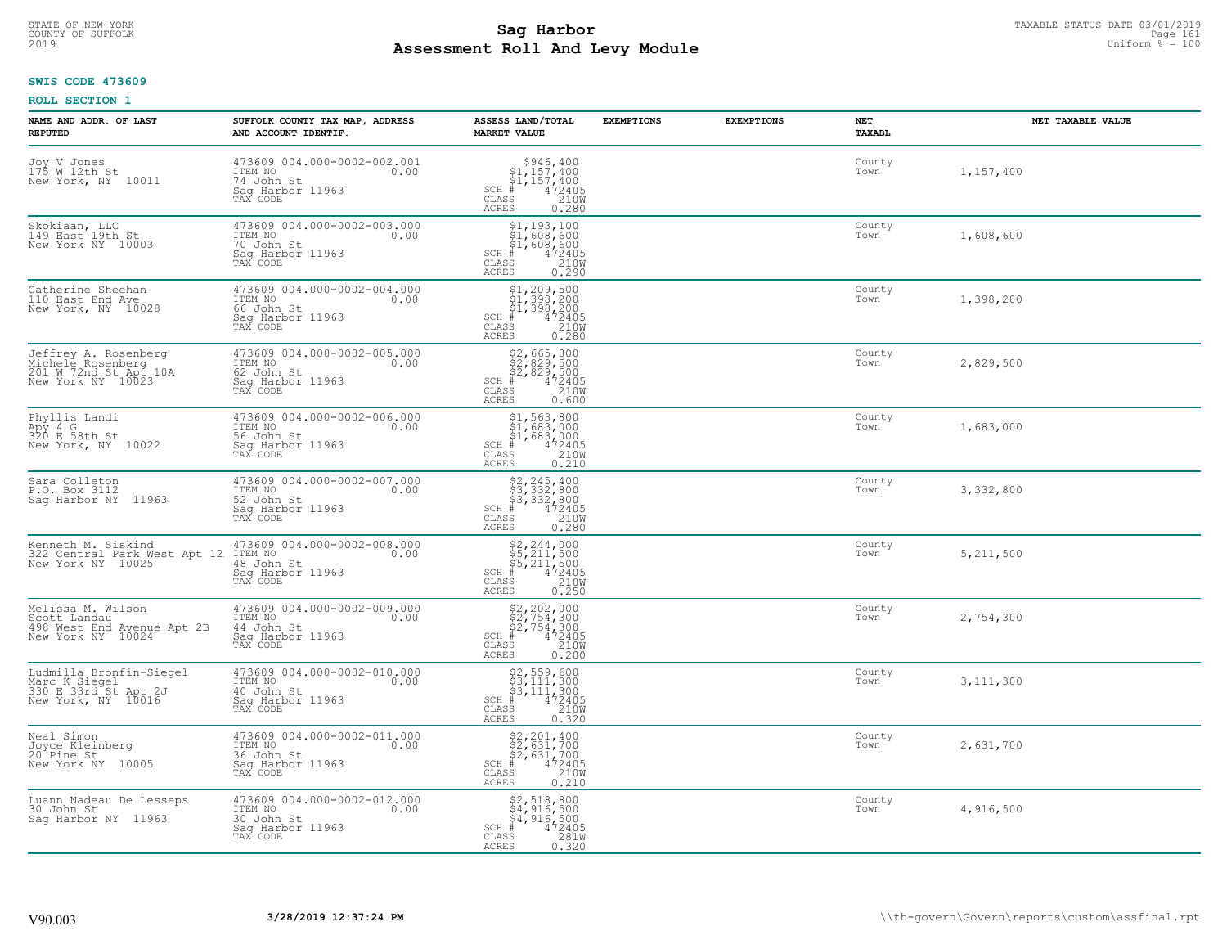### **SWIS CODE 473609**

| NAME AND ADDR. OF LAST<br><b>REPUTED</b>                                                              | SUFFOLK COUNTY TAX MAP, ADDRESS<br>AND ACCOUNT IDENTIF.                                      | ASSESS LAND/TOTAL<br><b>MARKET VALUE</b>                                                                                                                                                                                                                                                            | <b>EXEMPTIONS</b> | <b>EXEMPTIONS</b> | NET<br><b>TAXABL</b> | NET TAXABLE VALUE |
|-------------------------------------------------------------------------------------------------------|----------------------------------------------------------------------------------------------|-----------------------------------------------------------------------------------------------------------------------------------------------------------------------------------------------------------------------------------------------------------------------------------------------------|-------------------|-------------------|----------------------|-------------------|
| Joy V Jones<br>175 W 12th St<br>New York, NY 10011                                                    | 473609 004.000-0002-002.001<br>ITEM NO 0.00<br>74 John St<br>Saq Harbor 11963<br>TAX CODE    | $$946,400\n$1,157,400\n$1,157,400\n# 472405\n$210M\nF2$<br>$SCH$ #<br>CLASS<br>ACRES<br>0.280                                                                                                                                                                                                       |                   |                   | County<br>Town       | 1,157,400         |
| Skokiaan, LLC<br>149 East 19th St<br>New York NY 10003                                                | 473609 004.000-0002-003.000<br>ITEM NO<br>0.00<br>70 John St<br>Saq Harbor 11963<br>TAX CODE | $\begin{array}{r} \texttt{\$1,193,100}\ \\ \texttt{\$1,608,600}\ \\ \texttt{\$1,608,600}\ \\ \texttt{\$1,608,600}\ \\ \texttt{\$1,2405}\ \\ \texttt{\$10W}\ \\ \texttt{\$120W}\ \\ \texttt{\$10W}\ \\ \texttt{\$10W}\ \\ \texttt{\$10W}\ \\ \texttt{\$10W}\end{array}$<br>$SCH$ #<br>CLASS<br>ACRES |                   |                   | County<br>Town       | 1,608,600         |
| Catherine Sheehan<br>110 East End Ave<br>New York, NY 10028                                           | 473609 004.000-0002-004.000<br>ITEM NO 0.00<br>66 John St<br>Sag Harbor 11963<br>TAX CODE    | $$1, 209, 500$<br>$$1, 398, 200$<br>$$1, 398, 200$<br>$$1, 398, 200$<br>$$1, 472405$<br>$SCH$ #<br>CLASS<br>210W<br><b>ACRES</b><br>0.280                                                                                                                                                           |                   |                   | County<br>Town       | 1,398,200         |
| Jeffrey A. Rosenberg<br>Michele Rosenberg<br>201 W 72nd St Apt 10A<br>New York NY 10023               | 473609 004.000-0002-005.000<br>ITEM NO 0.00<br>62 John St<br>Sag Harbor 11963<br>TAX CODE    | $$2, 665, 800$<br>$$2, 829, 500$<br>$$2, 829, 500$<br>$$472405$<br>$$2100$<br>SCH #<br>CLASS<br><b>ACRES</b><br>0.600                                                                                                                                                                               |                   |                   | County<br>Town       | 2,829,500         |
| Phyllis Landi<br>Apy 4 G<br>320 E 58th St<br>New York, NY 10022                                       | 473609 004.000-0002-006.000<br>ITEM NO 0.00<br>56 John St<br>Sag Harbor 11963<br>TAX CODE    | $$1,563,800$<br>$$1,683,000$<br>$$1,683,000$<br>$*$<br>$472405$<br>$2100$<br>Fs<br>$SCH$ #<br>CLASS<br>ACRES<br>0.210                                                                                                                                                                               |                   |                   | County<br>Town       | 1,683,000         |
| Sara Colleton<br>P.O. Box 3112<br>Sag Harbor NY 11963                                                 | 473609 004.000-0002-007.000<br>ITEM NO<br>0.00<br>52 John St<br>Sag Harbor 11963<br>TAX CODE | $$2, 245, 400$<br>$$3, 332, 800$<br>$$3, 332, 800$<br>$$472405$<br>$$2100$<br>$SCH$ #<br>CLASS<br>0.280<br>ACRES                                                                                                                                                                                    |                   |                   | County<br>Town       | 3,332,800         |
| Kenneth M. Siskind 473609 004.000-0002-0<br>322 Central Park West Apt 12 ITEM NO<br>New York NY 10025 | 473609 004.000-0002-008.000<br>0.00<br>Sag Harbor 11963<br>TAX CODE                          | \$2,244,000<br>\$5,211,500<br>\$5,211,500<br>#472405<br>\$5,210M<br>$SCH$ #<br>CLASS<br>0.250<br><b>ACRES</b>                                                                                                                                                                                       |                   |                   | County<br>Town       | 5, 211, 500       |
| Melissa M. Wilson<br>Scott Landau<br>498 West End Avenue Apt 2B<br>New York NY 10024                  | 473609 004.000-0002-009.000<br>ITEM NO 0.00<br>44 John St<br>Saq Harbor 11963<br>TAX CODE    | $$2, 202, 000$<br>$$2, 754, 300$<br>$$2, 754, 300$<br>$472405$<br>$$2100$<br>SCH #<br>CLASS<br>ACRES<br>0.200                                                                                                                                                                                       |                   |                   | County<br>Town       | 2,754,300         |
| Ludmilla Bronfin-Siegel<br>Marc K Siegel<br>330 E 33rd St Apt 2J<br>New York, NY 10016                | 473609 004.000-0002-010.000<br>ITEM NO 0.00<br>40 John St<br>Saq Harbor 11963<br>TAX CODE    | $$2,559,600$<br>$$3,111,300$<br>$$3,111,300$<br>$$472405$<br>$$210M$<br>SCH #<br>CLASS<br><b>ACRES</b><br>0.320                                                                                                                                                                                     |                   |                   | County<br>Town       | 3, 111, 300       |
| Neal Simon<br>Joyce Kleinberg<br>20 <sup>-</sup> Pine St<br>New York NY 10005                         | 473609 004.000-0002-011.000<br>ITEM NO 0.00<br>36 John St<br>Sag Harbor 11963<br>TAX CODE    | \$2,201,400<br>\$2,631,700<br>\$2,631,700<br>#472405<br>\$5,210M<br>$SCH$ #<br>CLASS<br><b>ACRES</b><br>0.210                                                                                                                                                                                       |                   |                   | County<br>Town       | 2,631,700         |
| Luann Nadeau De Lesseps<br>30 John St<br>Sag Harbor NY 11963                                          | 473609 004.000-0002-012.000<br>ITEM NO<br>0.00<br>30 John St<br>Sag Harbor 11963<br>TAX CODE | $$2,518,800$<br>$$4,916,500$<br>$$4,916,500$<br>$472405$<br>$$2810$<br>$SCH$ #<br>CLASS<br><b>ACRES</b><br>0.320                                                                                                                                                                                    |                   |                   | County<br>Town       | 4,916,500         |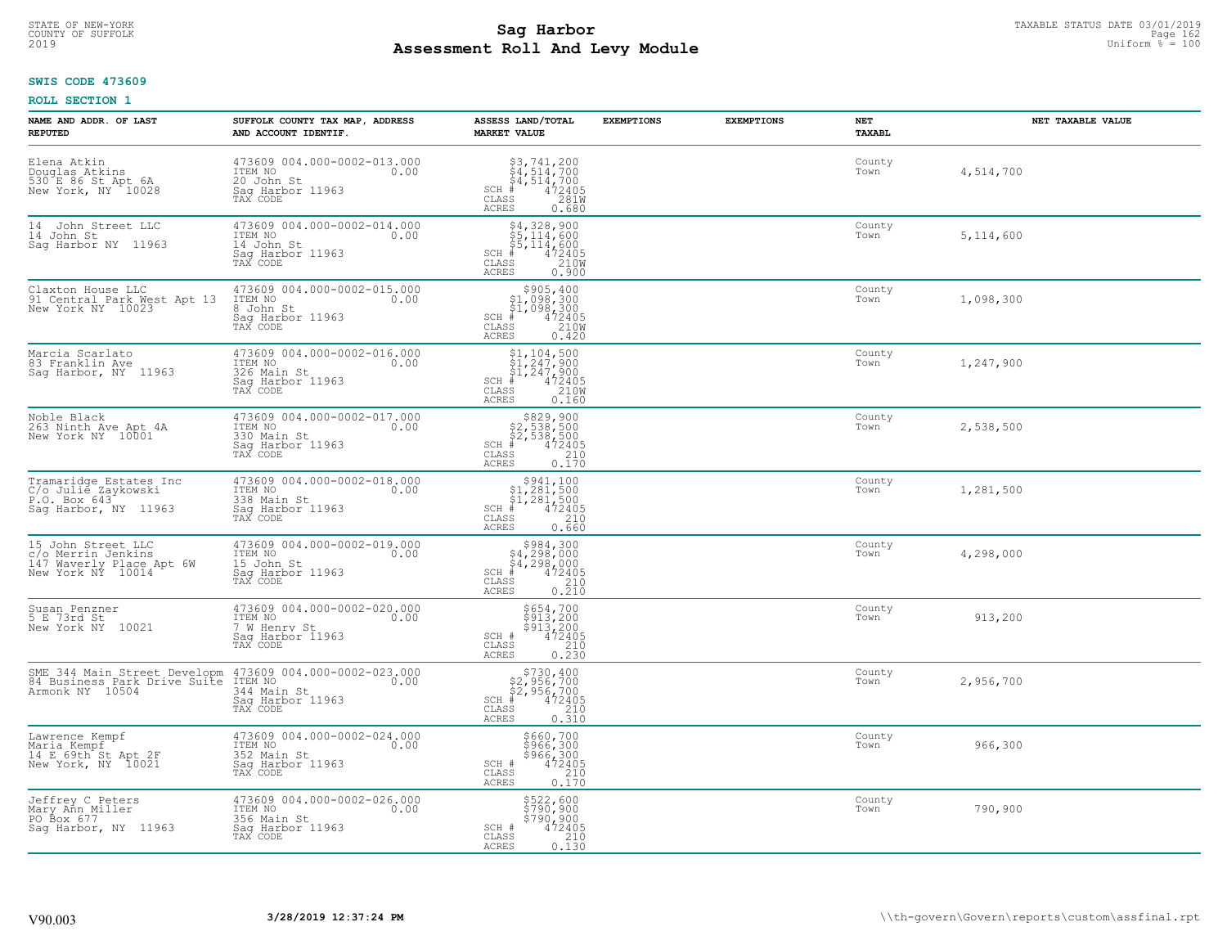#### **SWIS CODE 473609**

| NAME AND ADDR. OF LAST<br><b>REPUTED</b>                                                                              | SUFFOLK COUNTY TAX MAP, ADDRESS<br>AND ACCOUNT IDENTIF.                                       | ASSESS LAND/TOTAL<br><b>MARKET VALUE</b>                                                                                                                                    | <b>EXEMPTIONS</b> | <b>EXEMPTIONS</b> | NET<br><b>TAXABL</b> | NET TAXABLE VALUE |
|-----------------------------------------------------------------------------------------------------------------------|-----------------------------------------------------------------------------------------------|-----------------------------------------------------------------------------------------------------------------------------------------------------------------------------|-------------------|-------------------|----------------------|-------------------|
| Elena Atkin<br>Douglas Atkins<br>530 E 86 St Apt 6A<br>New York, NY 10028                                             | 473609 004.000-0002-013.000<br>ITEM NO<br>0.00<br>20 John St<br>Saq Harbor 11963<br>TAX CODE  | $\begin{array}{l} 53,741,200 \\ 54,514,700 \\ 4,514,700 \\ \text{\#} & 472405 \\ \text{\#} & 2810 \\ \text{\#} & 2810 \\ \end{array}$<br>$SCH$ #<br>CLASS<br>ACRES<br>0.680 |                   |                   | County<br>Town       | 4,514,700         |
| 14 John Street LLC<br>14 John St<br>Saq Harbor NY 11963                                                               | 473609 004.000-0002-014.000<br>ITEM NO<br>0.00<br>14 John St<br>Saq Harbor 11963<br>TAX CODE  | $$4,328,900$<br>$$5,114,600$<br>$$5,114,600$<br>$$5,114,600$<br>$472405$<br>210W<br>$SCH$ #<br>CLASS<br>ACRES<br>0.900                                                      |                   |                   | County<br>Town       | 5,114,600         |
| Claxton House LLC<br>91 Central Park West Apt 13<br>New York NY 10023                                                 | 473609 004.000-0002-015.000<br>ITEM NO<br>0.00<br>8 John St<br>Sag Harbor 11963<br>TAX CODE   | \$905,400<br>$$1,098,300$<br>$$1,098,300$<br>$$472405$<br>$$35$<br>$$2100$<br>$SCH$ #<br>CLASS<br><b>ACRES</b><br>0.420                                                     |                   |                   | County<br>Town       | 1,098,300         |
| Marcia Scarlato<br>83 Franklin Ave<br>Sag Harbor, NY 11963                                                            | 473609 004.000-0002-016.000<br>ITEM NO<br>0.00<br>326 Main St<br>Saq Harbor 11963<br>TAX CODE | $SCH$ #<br>CLASS<br>ACRES<br>0.160                                                                                                                                          |                   |                   | County<br>Town       | 1,247,900         |
| Noble Black<br>263 Ninth Ave Apt 4A<br>New York NY 10001                                                              | 473609 004.000-0002-017.000<br>ITEM NO<br>0.00<br>330 Main St<br>Sag Harbor 11963<br>TAX CODE | $$829,900$<br>$$2,538,500$<br>$$2,538,500$<br>$$472405$<br>ss $$210$<br>$SCH$ #<br>CLASS<br>ACRES<br>0.170                                                                  |                   |                   | County<br>Town       | 2,538,500         |
| Tramaridge Estates Inc<br>C/o Julie Zaykowski<br>P.O. Box 643<br>Saq Harbor, NY 11963                                 | 473609 004.000-0002-018.000<br>ITEM NO<br>0.00<br>338 Main St<br>Sag Harbor 11963<br>TAX CODE | $$5941,10051,281,50051,281,500# 47240535220$<br>$SCH$ #<br>CLASS<br>0.660<br><b>ACRES</b>                                                                                   |                   |                   | County<br>Town       | 1,281,500         |
| 15 John Street LLC<br>c/o Merrin Jenkins<br>147 Waverly Place Apt 6W<br>New York NY 10014                             | 473609 004.000-0002-019.000<br>ITEM NO<br>0.00<br>15 John St<br>Saq Harbor 11963<br>TAX CODE  | $$4,298,000$<br>$$4,298,000$<br>$$4,298,000$<br>$$4,298,000$<br>$*$<br>$*$<br>$SCH$ #<br>CLASS<br>210<br>0.210<br><b>ACRES</b>                                              |                   |                   | County<br>Town       | 4,298,000         |
| Susan Penzner<br>5 E 73rd St<br>New York NY 10021                                                                     | 473609 004.000-0002-020.000<br>TTEM NO 0.00<br>7 W Henry St<br>Saq Harbor 11963<br>TAX CODE   | \$654,700<br>\$913,200<br>\$913,200<br>472405<br>SCH #<br>CLASS<br>210<br><b>ACRES</b><br>0.230                                                                             |                   |                   | County<br>Town       | 913,200           |
| SME 344 Main Street Developm 473609 004.000-0002-023.000<br>84 Business Park Drive Suite ITEM NO 1000 Armonk NY 10504 | Saq Harbor 11963<br>TAX CODE                                                                  | $$730, 400$<br>$$2, 956, 700$<br>$$2, 956, 700$<br>$$472405$<br>$SCH$ #<br>CLASS<br>210<br>ACRES<br>0.310                                                                   |                   |                   | County<br>Town       | 2,956,700         |
| Lawrence Kempf<br>Maria Kempf<br>14 E 69th St Apt 2F<br>New York, NY 10021                                            | 473609 004.000-0002-024.000<br>ITEM NO<br>0.00<br>352 Main St<br>Sag Harbor 11963<br>TAX CODE | \$660,700<br>\$966,300<br>\$966,300<br>472405<br>SCH #<br>CLASS<br>210<br><b>ACRES</b><br>0.170                                                                             |                   |                   | County<br>Town       | 966,300           |
| Jeffrey C Peters<br>Mary Ann Miller<br>PO Box 677<br>Sag Harbor, NY 11963                                             | 473609 004.000-0002-026.000<br>ITEM NO<br>356 Main St<br>0.00<br>Sag Harbor 11963<br>TAX CODE | \$522,600<br>\$790,900<br>\$790,900<br>SCH #<br>472405<br>CLASS<br>210<br>ACRES<br>0.130                                                                                    |                   |                   | County<br>Town       | 790,900           |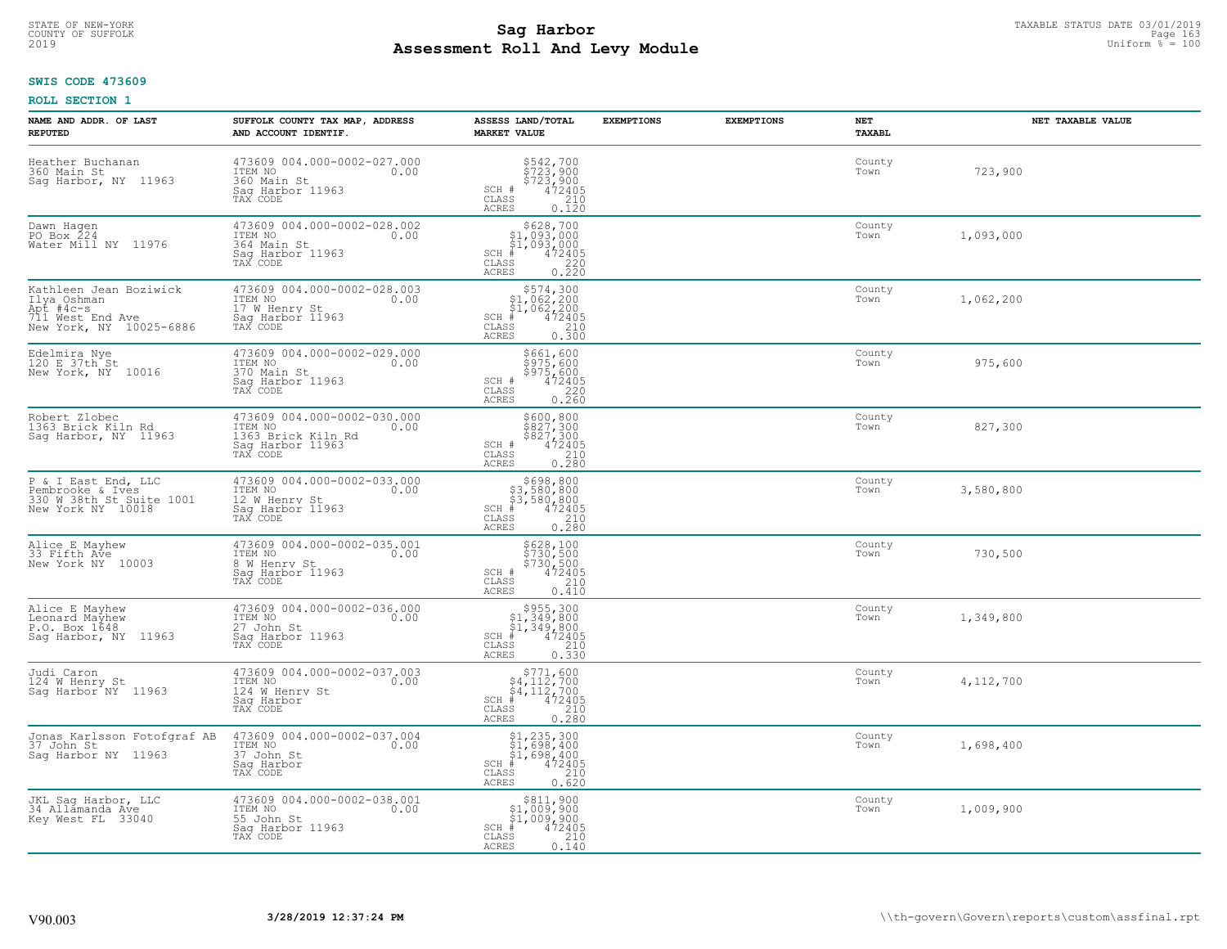### **Sag Harbor**<br>**Poll And Low Module**<br>
Poll And Low Module **Assessment Roll And Levy Module** 2019 Uniform % = 100 COUNTY OF SUFFOLK Page 163

### **SWIS CODE 473609**

| NAME AND ADDR. OF LAST<br><b>REPUTED</b>                                                          | SUFFOLK COUNTY TAX MAP, ADDRESS<br>AND ACCOUNT IDENTIF.                                              | ASSESS LAND/TOTAL<br><b>MARKET VALUE</b>                                                                                                    | <b>EXEMPTIONS</b> | <b>EXEMPTIONS</b> | NET<br>TAXABL  | NET TAXABLE VALUE |
|---------------------------------------------------------------------------------------------------|------------------------------------------------------------------------------------------------------|---------------------------------------------------------------------------------------------------------------------------------------------|-------------------|-------------------|----------------|-------------------|
| Heather Buchanan<br>360 Main St<br>Saq Harbor, NY 11963                                           | 473609 004.000-0002-027.000<br>ITEM NO<br>0.00<br>360 Main St<br>Saq Harbor 11963<br>TAX CODE        | \$542,700<br>\$723,900<br>\$723,900<br>\$72405<br>\$210<br>SCH #<br>CLASS<br><b>ACRES</b><br>0.120                                          |                   |                   | County<br>Town | 723,900           |
| Dawn Hagen<br>PO Box 224<br>Water Mill NY 11976                                                   | 473609 004.000-0002-028.002<br>ITEM NO<br>0.00<br>364 Main St<br>Sag Harbor 11963<br>TAX CODE        | \$628,700<br>$$1,093,000$<br>$$1,093,000$<br>$*$ 472405<br>$SCH$ #<br>CLASS<br>$\frac{220}{0.220}$<br>ACRES                                 |                   |                   | County<br>Town | 1,093,000         |
| Kathleen Jean Boziwick<br>Ilya Oshman<br>Apt #4c-s<br>711 West End Ave<br>New York, NY 10025-6886 | 473609 004.000-0002-028.003<br>ITEM NO<br>0.00<br>17 W Henry St<br>Sag Harbor II963<br>TAX CODE      | $$574,300$<br>$$1,062,200$<br>$$1,062,200$<br>$$472405$<br>$SCH$ #<br>CLASS<br>$\begin{bmatrix} 210 \\ 0.300 \end{bmatrix}$<br><b>ACRES</b> |                   |                   | County<br>Town | 1,062,200         |
| Edelmira Nye<br>120 E 37th St<br>New York, NY 10016                                               | 473609 004.000-0002-029.000<br>ITEM NO<br>0.00<br>370 Main St<br>Sag Harbor 11963<br>TAX CODE        | \$661,600<br>\$975,600<br>\$975,600<br>\$472405<br>0.260<br>0.260<br>SCH #<br>$\mathtt{CLASS}$<br><b>ACRES</b>                              |                   |                   | County<br>Town | 975,600           |
| Robert Zlobec<br>1363 Brick Kiln Rd<br>Sag Harbor, NY 11963                                       | 473609 004.000-0002-030.000<br>ITEM NO<br>0.00<br>1363 Brick Kiln Rd<br>Saq Harbor 11963<br>TAX CODE | \$600,800<br>$\frac{2827,300}{827,300}$<br>\$827,300<br>472405<br>210<br>SCH #<br>CLASS<br>0.280<br>ACRES                                   |                   |                   | County<br>Town | 827,300           |
| P & I East End, LLC<br>Pembrooke & Ives<br>330 W 38th St Suite 1001<br>New York NY 10018          | 473609 004.000-0002-033.000<br>ITEM NO<br>0.00<br>12 W Henry St<br>Sag Harbor 11963<br>TAX CODE      | $$698, 800$<br>$$3, 580, 800$<br>$$472405$<br>$$472405$<br>$SCH$ #<br>CLASS<br>$\begin{array}{c} 210 \\ 0.280 \end{array}$<br>ACRES         |                   |                   | County<br>Town | 3,580,800         |
| Alice E Mayhew<br>33 Fifth Ave<br>New York NY 10003                                               | 473609 004.000-0002-035.001<br>TTEM NO 0.00<br>8 W Henry St<br>Sag Harbor 11963<br>TAX CODE          | \$628,100<br>\$730,500<br>\$730,500<br>\$730,500<br>SCH #<br>CLASS<br>210<br>0.410<br><b>ACRES</b>                                          |                   |                   | County<br>Town | 730,500           |
| Alice E Mayhew<br>Leonard Mayhew<br>P.O. Box 1648<br>Sag Harbor, NY 11963                         | 473609 004.000-0002-036.000<br>10.00 0.00<br>27 John St<br>Saq Harbor 11963<br>TAX CODE              | $SCH$ #<br>CLASS<br>210<br><b>ACRES</b><br>0.330                                                                                            |                   |                   | County<br>Town | 1,349,800         |
| Judi Caron<br>124 W Henry St<br>Saq Harbor <sup>1</sup> NY 11963                                  | 473609 004.000-0002-037.003<br>ITEM NO<br>0.00<br>124 W Henry St<br>Saq Harbor<br>TAX CODE           | $$771,600$<br>$$4,112,700$<br>$$4,112,700$<br>$$4,112,700$<br>$*$<br>$*$<br>$SCH$ #<br>CLASS<br>210<br><b>ACRES</b><br>0.280                |                   |                   | County<br>Town | 4,112,700         |
| Jonas Karlsson Fotofgraf AB<br>37 John St<br>Saq Harbor NY 11963                                  | 473609 004.000-0002-037.004<br>ITEM NO<br>0.00<br>37 John St<br>Saq Harbor<br>TAX CODE               | $$1, 235, 300$<br>$$1, 698, 400$<br>$$1, 698, 400$<br>$$472405$<br>$SCH$ #<br>CLASS<br>210<br><b>ACRES</b><br>0.620                         |                   |                   | County<br>Town | 1,698,400         |
| JKL Sag Harbor, LLC<br>34 Allamanda Ave<br>Key West FL 33040                                      | 473609 004.000-0002-038.001<br>ITEM NO<br>0.00<br>55 John St<br>Sag Harbor 11963<br>TAX CODE         | $$311,900$1,009,900$1,009,900** 472405$<br>$SCH$ #<br>CLASS<br>0.140<br>ACRES                                                               |                   |                   | County<br>Town | 1,009,900         |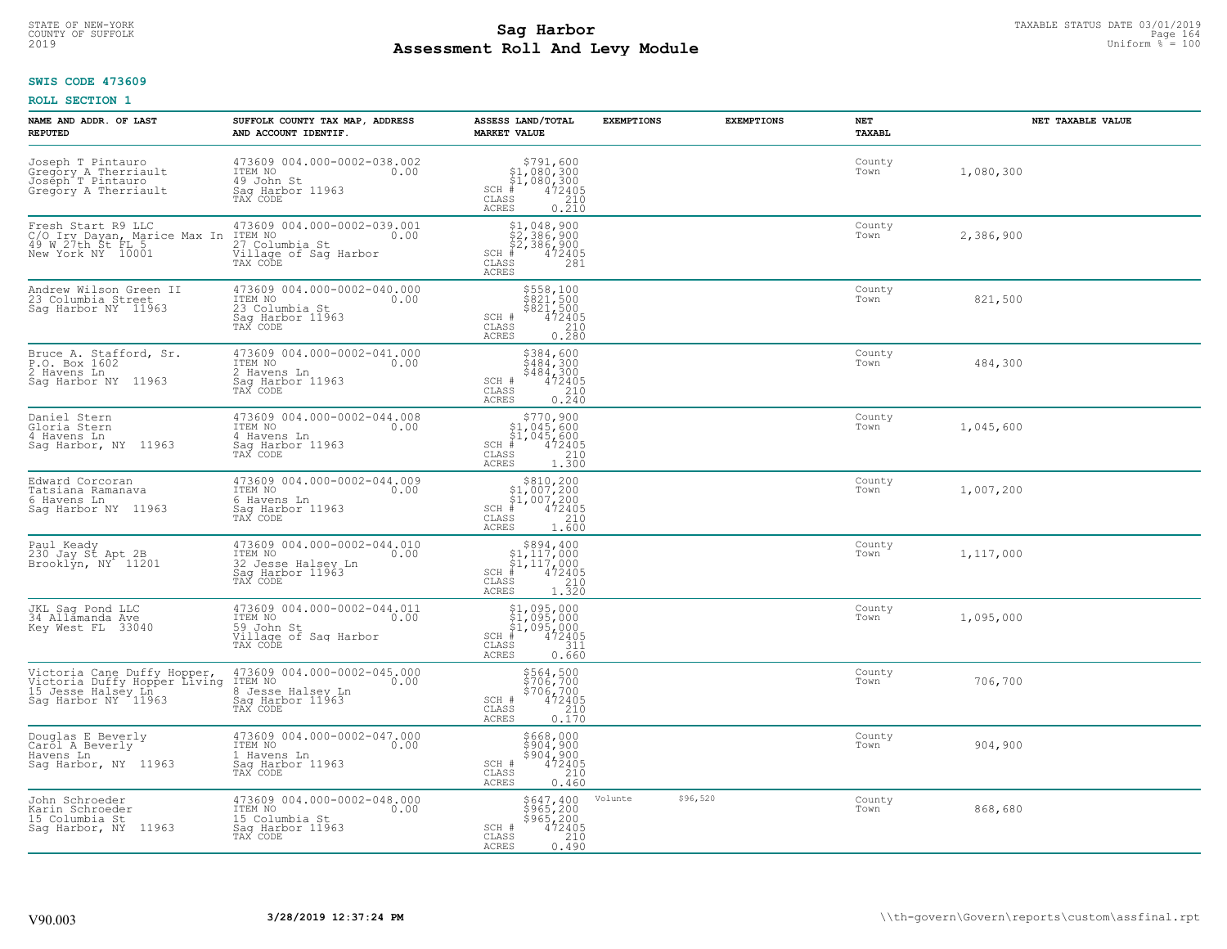#### **SWIS CODE 473609**

| NAME AND ADDR. OF LAST<br><b>REPUTED</b>                                                                 | SUFFOLK COUNTY TAX MAP, ADDRESS<br>AND ACCOUNT IDENTIF.                                               | ASSESS LAND/TOTAL<br><b>MARKET VALUE</b>                                                                                                                                                                                                       | <b>EXEMPTIONS</b> | <b>EXEMPTIONS</b> | NET<br><b>TAXABL</b> | NET TAXABLE VALUE |
|----------------------------------------------------------------------------------------------------------|-------------------------------------------------------------------------------------------------------|------------------------------------------------------------------------------------------------------------------------------------------------------------------------------------------------------------------------------------------------|-------------------|-------------------|----------------------|-------------------|
| Joseph T Pintauro<br>Gregory A Therriault<br>Joseph T Pintauro<br>Gregory A Therriault                   | 473609 004.000-0002-038.002<br>ITEM NO<br>0.00<br>49 John St<br>Sag Harbor 11963<br>TAX CODE          | $\begin{array}{r} \texttt{\$791,600}\ \\ \texttt{\$1,080,300}\ \\ \texttt{\$1,080,300}\ \\ \texttt{\$1,080,300}\ \\ \texttt{\$1,080,210}\ \\ \texttt{\$10}\ \\ \texttt{\$10}\ \\ \texttt{\$10}\end{array}$<br>$SCH$ #<br>CLASS<br><b>ACRES</b> |                   |                   | County<br>Town       | 1,080,300         |
| Fresh Start R9 LLC<br>C/O Irv Dayan, Marice Max In<br>49 W 27th St FL 5<br>New York NY 10001             | 473609 004.000-0002-039.001<br>ITEM NO<br>0.00<br>27 Columbia St<br>Village of Sag Harbor<br>TAX CODE | \$1,048,900<br>\$2,386,900<br>\$2,386,900<br>#472405<br>$SCH$ #<br>CLASS<br>281<br><b>ACRES</b>                                                                                                                                                |                   |                   | County<br>Town       | 2,386,900         |
| Andrew Wilson Green II<br>23 Columbia Street<br>Saq Harbor NY 11963                                      | 473609 004.000-0002-040.000<br>ITEM NO<br>0.00<br>23 Columbia St<br>Sag Harbor 11963<br>TAX CODE      | \$558,100<br>\$821,500<br>\$821,500<br>472405<br>SCH #<br>CLASS<br>$\frac{210}{0.280}$<br><b>ACRES</b>                                                                                                                                         |                   |                   | County<br>Town       | 821,500           |
| Bruce A. Stafford, Sr.<br>P.O. Box 1602<br>2 Havens Ln<br>Sag Harbor NY 11963                            | 473609 004.000-0002-041.000<br>ITEM NO<br>0.00<br>2 Havens Ln<br>Saq Harbor 11963<br>TAX CODE         | \$384,600<br>\$484,300<br>\$484,300<br>SCH #<br>$\frac{472405}{210}$<br>CLASS<br>$0, \overline{2}\,\overline{4}\,\overline{0}$<br><b>ACRES</b>                                                                                                 |                   |                   | County<br>Town       | 484,300           |
| Daniel Stern<br>Gloria Stern<br>4 Havens Ln<br>Sag Harbor, NY 11963                                      | 473609 004.000-0002-044.008<br>ITEM NO<br>0.00<br>4 Havens Ln<br>Saq Harbor 11963<br>TAX CODE         | $$770,900$<br>$$1,045,600$<br>$$1,045,600$<br>$472405$<br>$35$<br>$1,210$<br>SCH #<br>CLASS<br>ACRES<br>1.300                                                                                                                                  |                   |                   | County<br>Town       | 1,045,600         |
| Edward Corcoran<br>Tatsiana Ramanava<br>6 Havens Ln<br>Saq Harbor NY 11963                               | 473609 004.000-0002-044.009<br>ITEM NO<br>0.00<br>6 Havens Ln<br>Saq Harbor 11963<br>TAX CODE         | $\begin{array}{c} $810,200 $1,007,200 $1,007,200 $472405 \end{array}$<br>SCH #<br>CLASS<br>210<br><b>ACRES</b><br>1.600                                                                                                                        |                   |                   | County<br>Town       | 1,007,200         |
| Paul Keady<br>230 Jay St Apt 2B<br>Brooklyn, NY 11201                                                    | 473609 004.000-0002-044.010<br>ITEM NO<br>0.00<br>32 Jesse Halsey Ln<br>Sag Harbor 11963<br>TAX CODE  | $\begin{array}{c} $894,400 $1,117,000 $1,117,000 # 472405 \end{array}$<br>$SCH$ #<br>CLASS<br>210<br><b>ACRES</b><br>1.320                                                                                                                     |                   |                   | County<br>Town       | 1,117,000         |
| JKL Sag Pond LLC<br>34 Allamanda Ave<br>Key West FL 33040                                                | 473609 004.000-0002-044.011<br>1TEM NO 0.00<br>59 John St<br>Village of Saq Harbor<br>TAX CODE        | $$1,095,000$<br>$$1,095,000$<br>$$1,095,000$<br>$*$ 472405<br>$SCH$ #<br>CLASS<br>311<br><b>ACRES</b><br>0.660                                                                                                                                 |                   |                   | County<br>Town       | 1,095,000         |
| Victoria Cane Duffy Hopper,<br>Victoria Duffy Hopper Living<br>15 Jesse Halsey Ln<br>Sag Harbor NY 11963 | 473609 004.000-0002-045.000<br>ITEM NO 0.00<br>8 Jesse Halsey Ln<br>Saq Harbor 11963<br>TAX CODE      | \$564,500<br>\$706,700<br>\$706,700<br>\$72405<br>SCH #<br>CLASS<br>210<br><b>ACRES</b><br>0.170                                                                                                                                               |                   |                   | County<br>Town       | 706,700           |
| Douglas E Beverly<br>Carol A Beverly<br>Havens Ln<br>Saq Harbor, NY 11963                                | 473609 004.000-0002-047.000<br>ITEM NO<br>0.00<br>1 Havens Ln<br>Sag Harbor 11963<br>TAX CODE         | \$668,000<br>\$904,900<br>\$904,900<br>472405<br>SCH #<br>210<br>CLASS<br><b>ACRES</b><br>0.460                                                                                                                                                |                   |                   | County<br>Town       | 904,900           |
| John Schroeder<br>Karin Schroeder<br>15 Columbia St<br>Sag Harbor, NY 11963                              | 473609 004.000-0002-048.000<br>ITEM NO<br>0.00<br>15 Columbia St<br>Sag Harbor 11963<br>TAX CODE      | \$647,400<br>\$965,200<br>\$965,200<br>SCH #<br>472405<br>210<br>CLASS<br><b>ACRES</b><br>0.490                                                                                                                                                | Volunte           | \$96,520          | County<br>Town       | 868,680           |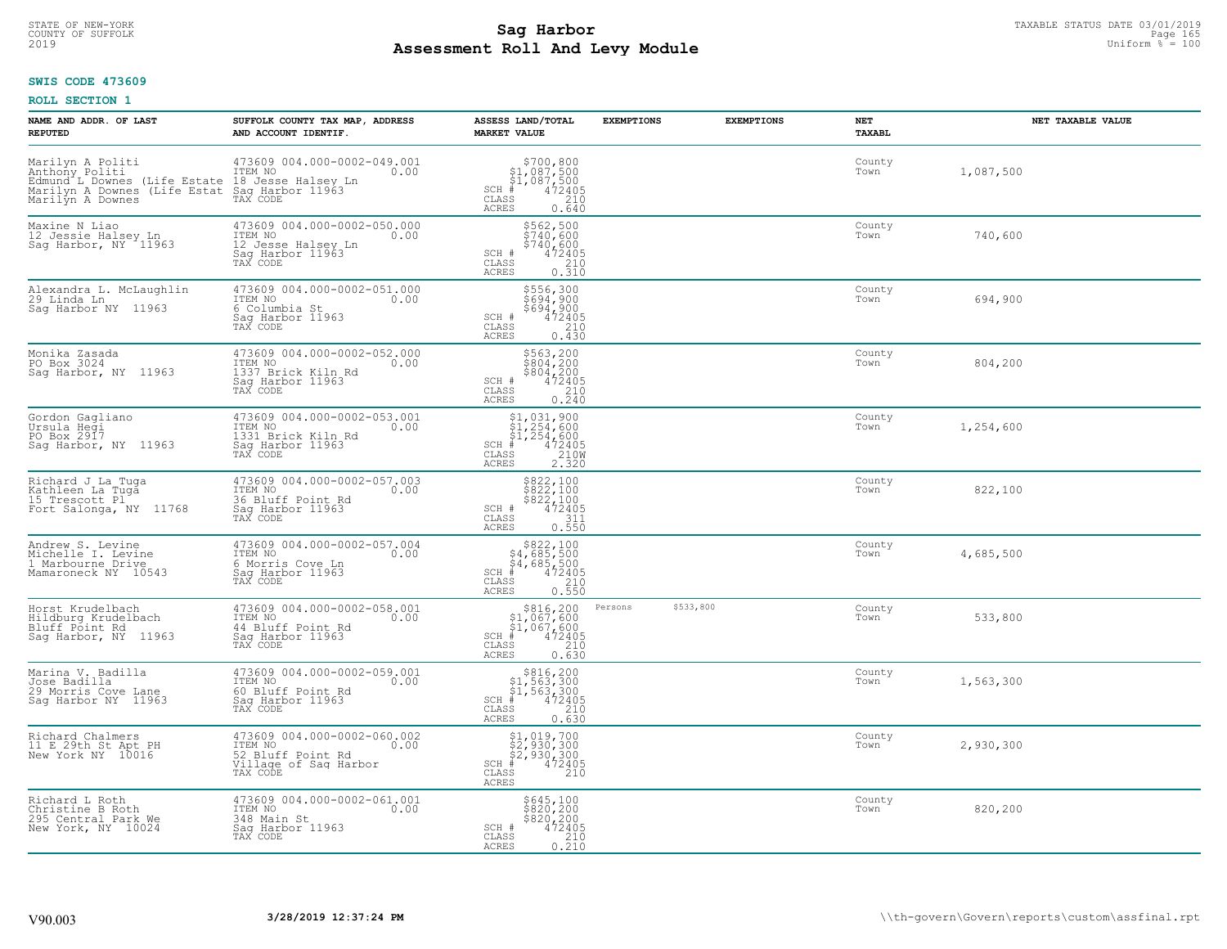### **Sag Harbor**<br>**Poll And Low Module**<br>
Poll And Low Module **Assessment Roll And Levy Module** 2019 Uniform % = 100 COUNTY OF SUFFOLK Page 165

#### **SWIS CODE 473609**

| NAME AND ADDR. OF LAST<br><b>REPUTED</b>                                                                                                                                | SUFFOLK COUNTY TAX MAP, ADDRESS<br>AND ACCOUNT IDENTIF.                                                  | ASSESS LAND/TOTAL<br><b>MARKET VALUE</b>                                                                                   | <b>EXEMPTIONS</b><br><b>EXEMPTIONS</b> | NET<br><b>TAXABL</b> | NET TAXABLE VALUE |
|-------------------------------------------------------------------------------------------------------------------------------------------------------------------------|----------------------------------------------------------------------------------------------------------|----------------------------------------------------------------------------------------------------------------------------|----------------------------------------|----------------------|-------------------|
| Marilyn A Politi<br>Anthony Political Community of the MAC of the Red Marilyn A Downes (Life Estate 18 Jackson Halsey Ln Marilyn A Downes (Life Estat Saq Harbor 11963) | 473609 004.000-0002-049.001<br>0.00                                                                      | $$700, 800$<br>$$1, 087, 500$<br>$$1, 087, 500$<br>$472405$<br>$$240$<br>$SCH$ #<br>CLASS<br><b>ACRES</b><br>0.640         |                                        | County<br>Town       | 1,087,500         |
| Maxine N Liao<br>12 Jessie Halsey Ln<br>Sag Harbor, NY 11963                                                                                                            | 473609 004.000-0002-050.000<br>ITEM NO<br>0.00<br>12 Jesse Halsey Ln<br>Sag Harbor 11963<br>TAX CODE     | \$562,500<br>\$740,600<br>$\frac{1}{2}$ 740,600<br>472405<br>SCH #<br>CLASS<br>210<br>0.510<br>ACRES                       |                                        | County<br>Town       | 740,600           |
| Alexandra L. McLaughlin<br>29 Linda Ln<br>Sag Harbor NY 11963                                                                                                           | 473609 004.000-0002-051.000<br>ITEM NO<br>0.00<br>6 Columbia St<br>Sag Harbor 11963<br>TAX CODE          | \$556,300<br>\$694,900<br>$$694,900$<br>$472405$<br>SCH #<br>CLASS<br>210<br>0.430<br><b>ACRES</b>                         |                                        | County<br>Town       | 694,900           |
| Monika Zasada<br>PO Box 3024<br>Sag Harbor, NY 11963                                                                                                                    | 473609 004.000-0002-052.000<br>ITEM NO<br>0.00<br>1337 Brick Kiln Rd<br>Saq Harbor 11963<br>TAX CODE     | \$563,200<br>\$804,200<br>\$804,200<br>SCH #<br>$^{47\bar{2}\bar{405}}_{210}$<br>0.240<br>CLASS<br><b>ACRES</b>            |                                        | County<br>Town       | 804,200           |
| Gordon Gagliano<br>Ursula Hegi<br>PO Box 2917<br>Saq Harbor, NY 11963                                                                                                   | 473609 004.000-0002-053.001<br>ITEM NO<br>0.00<br>1331 Brick Kiln Rd<br>Sag Harbor 11963<br>TAX CODE     | $$1,031,900$<br>$$1,254,600$<br>$$1,254,600$<br>$472405$<br>$35$<br>$2100$<br>$SCH$ #<br>CLASS<br><b>ACRES</b><br>2.320    |                                        | County<br>Town       | 1,254,600         |
| Richard J La Tuga<br>Kathleen La Tuga<br>15 Trescott Pl<br>Fort Salonga, NY 11768                                                                                       | 473609 004.000-0002-057.003<br>ITEM NO<br>0.00<br>36 Bluff Point Rd<br>Saq Harbor 11963<br>TAX CODE      | \$822,100<br>\$822,100<br>\$822,100<br>472405<br>$SCH$ #<br>CLASS<br>311<br>0.550<br><b>ACRES</b>                          |                                        | County<br>Town       | 822,100           |
| Andrew S. Levine<br>Michelle I. Levine<br>1 Marbourne Drive<br>Mamaroneck NY 10543                                                                                      | 473609 004.000-0002-057.004<br>ITEM NO 0.00<br>6 Morris Cove Ln<br>Sag Harbor 11963<br>TAX CODE          | $$822,100$<br>$$4,685,500$<br>$$4,685,500$<br>$$4,685,500$<br>$472405$<br>$SCH$ #<br>CLASS<br>210<br>0.550<br><b>ACRES</b> |                                        | County<br>Town       | 4,685,500         |
| Horst Krudelbach<br>Hildburg Krudelbach<br>Bluff Point Rd<br>11963<br>Saq Harbor, NY                                                                                    | 473609 004.000-0002-058.001<br>1TEM NO 0.00<br>44 Bluff Point Rd<br>Saq Harbor 11963<br>TAX CODE         | $$816,200\n$1,067,600\n$1,067,600\n# 472405\n85\n210$<br>$SCH$ #<br>CLASS<br><b>ACRES</b><br>0.630                         | \$533,800<br>Persons                   | County<br>Town       | 533,800           |
| Marina V. Badilla<br>Jose Badilla<br>29 Morris Cove Lane<br>Sag Harbor NY 11963                                                                                         | 473609 004.000-0002-059.001<br>ITEM NO 0.00<br>60 Bluff Point Rd<br>Saq Harbor 11963<br>TAX CODE         | \$816,200<br>\$1,563,300<br>\$1,563,300<br>$SCH$ #<br>472405<br>210<br>CLASS<br><b>ACRES</b><br>0.630                      |                                        | County<br>Town       | 1,563,300         |
| Richard Chalmers<br>11 E 29th St Apt PH<br>New York NY 10016                                                                                                            | 473609 004.000-0002-060.002<br>ITEM NO<br>0.00<br>52 Bluff Point Rd<br>Village of Sag Harbor<br>TAX CODE | $$2, 930, 300$<br>$$2, 930, 300$<br>$$2, 930, 300$<br>$$472405$<br>$SCH$ #<br>CLASS<br>210<br><b>ACRES</b>                 |                                        | County<br>Town       | 2,930,300         |
| Richard L Roth<br>Christine B Roth<br>295 Central Park We<br>New York, NY 10024                                                                                         | 473609 004.000-0002-061.001<br>ITEM NO<br>0.00<br>348 Main St<br>Sag Harbor 11963<br>TAX CODE            | \$645,100<br>\$820,200<br>\$820,200<br>SCH #<br>472405<br>CLASS<br>$\frac{210}{0.210}$<br><b>ACRES</b>                     |                                        | County<br>Town       | 820,200           |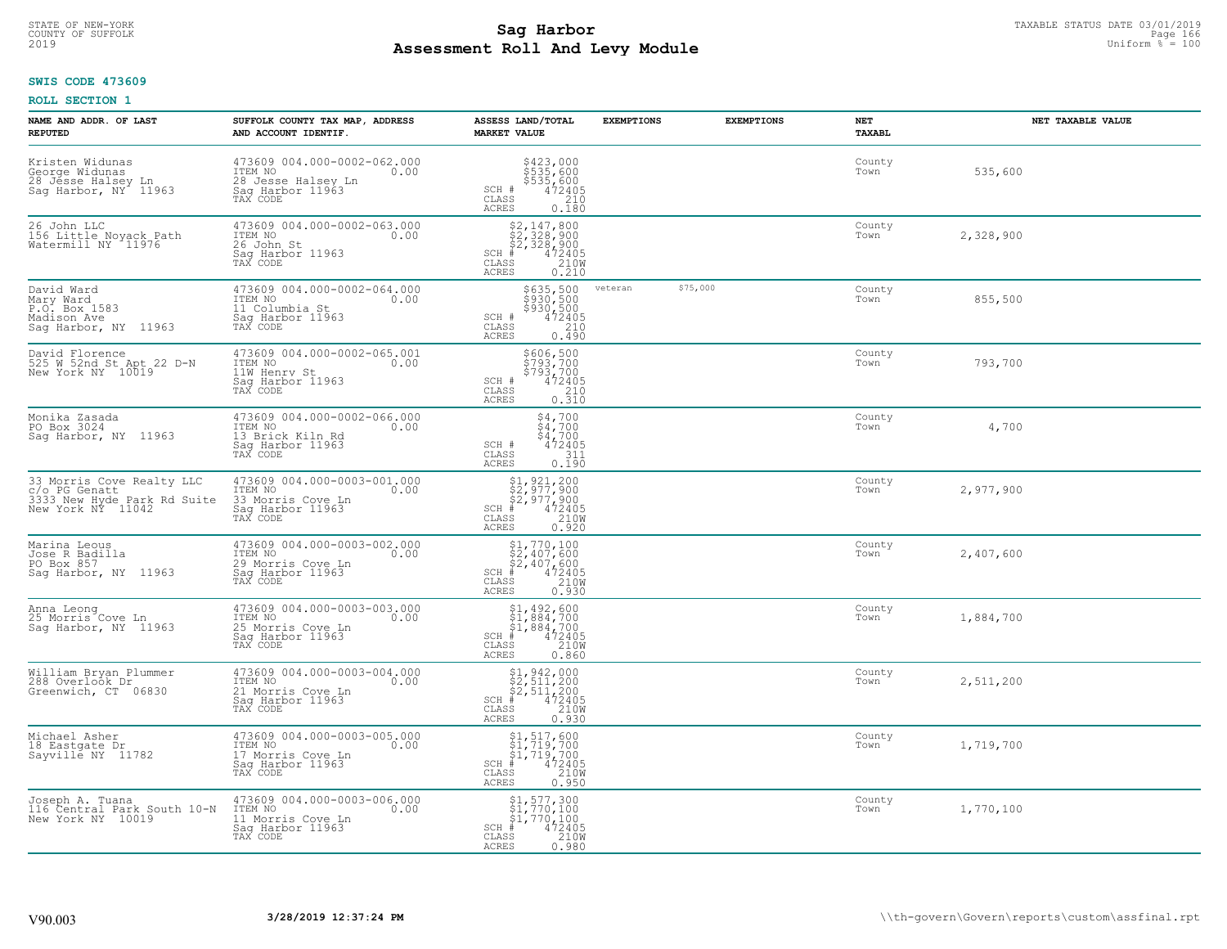# STATE OF NEW-YORK TAXABLE STATUS DATE 03/01/2019<br>COUNTY OF SUFFOLK Page 166 **Assessment Roll And Levy Module** 2019 Uniform % = 100

### **SWIS CODE 473609**

| NAME AND ADDR. OF LAST<br><b>REPUTED</b>                                                       | SUFFOLK COUNTY TAX MAP, ADDRESS<br>AND ACCOUNT IDENTIF.                                             | ASSESS LAND/TOTAL<br><b>MARKET VALUE</b>                                                                                                                                   | <b>EXEMPTIONS</b> | <b>EXEMPTIONS</b> | NET<br><b>TAXABL</b> | NET TAXABLE VALUE |
|------------------------------------------------------------------------------------------------|-----------------------------------------------------------------------------------------------------|----------------------------------------------------------------------------------------------------------------------------------------------------------------------------|-------------------|-------------------|----------------------|-------------------|
| Kristen Widunas<br>George Widunas<br>28 Jesse Halsey Ln<br>Sag Harbor, NY 11963                | 473609 004.000-0002-062.000<br>10.00 0.00<br>28 Jesse Halsey Ln<br>Saq Harbor 11963                 | \$423,000<br>\$535,600<br>\$535,600<br>472405<br>210<br>SCH #<br>CLASS<br><b>ACRES</b><br>0.180                                                                            |                   |                   | County<br>Town       | 535,600           |
| 26 John LLC<br>156 Little Noyack Path<br>Watermill NY 11976                                    | 473609 004.000-0002-063.000<br>ITEM NO<br>0.00<br>26 John St<br>Saq Harbor 11963<br>TAX CODE        | $\begin{array}{r} 52,147,800 \\ 52,328,900 \\ 52,328,900 \\ \text{\#} & 472405 \\ \text{\#} & 210 \text{\%} \\ \text{\#} & 0.210 \end{array}$<br>$SCH$ #<br>CLASS<br>ACRES |                   |                   | County<br>Town       | 2,328,900         |
| David Ward<br>Mary Ward<br>P.O. Box 1583<br>Madison Ave<br>Sag Harbor, NY 11963                | 473609 004.000-0002-064.000<br>ITEM NO<br>0.00<br>11 Columbia St<br>Sag Harbor 11963<br>TAX CODE    | \$635,500<br>\$930,500<br>\$930,500<br>472405<br>SCH #<br>210<br>CLASS<br><b>ACRES</b><br>0.490                                                                            | veteran           | \$75,000          | County<br>Town       | 855,500           |
| David Florence<br>525 W 52nd St Apt 22 D-N<br>New York NY 10019                                | 473609 004.000-0002-065.001<br>ITEM NO<br>0.00<br>11W Henry St<br>Sag Harbor 11963<br>TAX CODE      | \$606,500<br>\$793,700<br>\$793,700<br>SCH #<br>$\begin{smallmatrix} 472405\ 472405\ 210\ 0.310 \end{smallmatrix}$<br>CLASS<br><b>ACRES</b>                                |                   |                   | County<br>Town       | 793,700           |
| Monika Zasada<br>PO Box 3024<br>Saq Harbor, NY 11963                                           | 473609 004.000-0002-066.000<br>ITEM NO<br>0.00<br>13 Brick Kiln Rd<br>Sag Harbor 11963<br>TAX CODE  | \$4,700<br>\$4,700<br>\$4,700<br>SCH #<br>CLASS<br>472405<br>311<br>ACRES<br>0.190                                                                                         |                   |                   | County<br>Town       | 4,700             |
| 33 Morris Cove Realty LLC<br>c/o PG Genatt<br>3333 New Hyde Park Rd Suite<br>New York NY 11042 | 473609 004.000-0003-001.000<br>ITEM NO<br>0.00<br>33 Morris Cove Ln<br>Sag Harbor 11963<br>TAX CODE | $$2,921,200\n$2,977,900\n$2,977,900\n# 472405\n35 210M$<br>$SCH$ #<br>$\mathtt{CLASS}$<br>0.920<br><b>ACRES</b>                                                            |                   |                   | County<br>Town       | 2,977,900         |
| Marina Leous<br>Jose R Badilla<br>PO Box 857<br>Saq Harbor, NY 11963                           | 473609 004.000-0003-002.000<br>ITEM NO<br>0.00<br>29 Morris Cove Ln<br>Sag Harbor 11963<br>TAX CODE | $$2,407,600$<br>$$2,407,600$<br>$*12405$<br>$*12405$<br>$*210M$<br>$SCH$ #<br>CLASS<br>0.930<br><b>ACRES</b>                                                               |                   |                   | County<br>Town       | 2,407,600         |
| Anna Leong<br>25 Morris Cove Ln<br>Sag Harbor, NY 11963                                        | 473609 004.000-0003-003.000<br>TTEM NO 0.00<br>25 Morris Cove Ln<br>Saq Harbor 11963<br>TAX CODE    | $$1,492,600$<br>$$1,884,700$<br>$$1,884,700$<br>$472405$<br>$$2100$<br>SCH #<br>CLASS<br><b>ACRES</b><br>0.860                                                             |                   |                   | County<br>Town       | 1,884,700         |
| William Bryan Plummer<br>288 Overlook Dr<br>Greenwich, CT 06830                                | 473609 004.000-0003-004.000<br>TTEM NO 0.00<br>21 Morris Cove Ln<br>Saq Harbor 11963<br>TAX CODE    | $$2, 511, 200$<br>$$2, 511, 200$<br>$$2, 511, 200$<br>$472405$<br>$$2100$<br>$SCH$ #<br>CLASS<br><b>ACRES</b><br>0.930                                                     |                   |                   | County<br>Town       | 2,511,200         |
| Michael Asher<br>18 Eastgate Dr<br>Sayville NY 11782                                           | 473609 004.000-0003-005.000<br>ITEM NO<br>0.00<br>17 Morris Cove Ln<br>Sag Harbor 11963<br>TAX CODE | $$1, 517, 600$<br>$$1, 719, 700$<br>$$1, 719, 700$<br>472405<br>210W<br>$SCH$ #<br>CLASS<br><b>ACRES</b><br>0.950                                                          |                   |                   | County<br>Town       | 1,719,700         |
| Joseph A. Tuana<br>116 Central Park South 10-N<br>New York NY 10019                            | 473609 004.000-0003-006.000<br>ITEM NO<br>0.00<br>11 Morris Cove Ln<br>Sag Harbor 11963<br>TAX CODE | $$1, 577, 300$<br>$$1, 770, 100$<br>$$1, 770, 100$<br>$SCH$ #<br>472405<br>210W<br>CLASS<br><b>ACRES</b><br>0.980                                                          |                   |                   | County<br>Town       | 1,770,100         |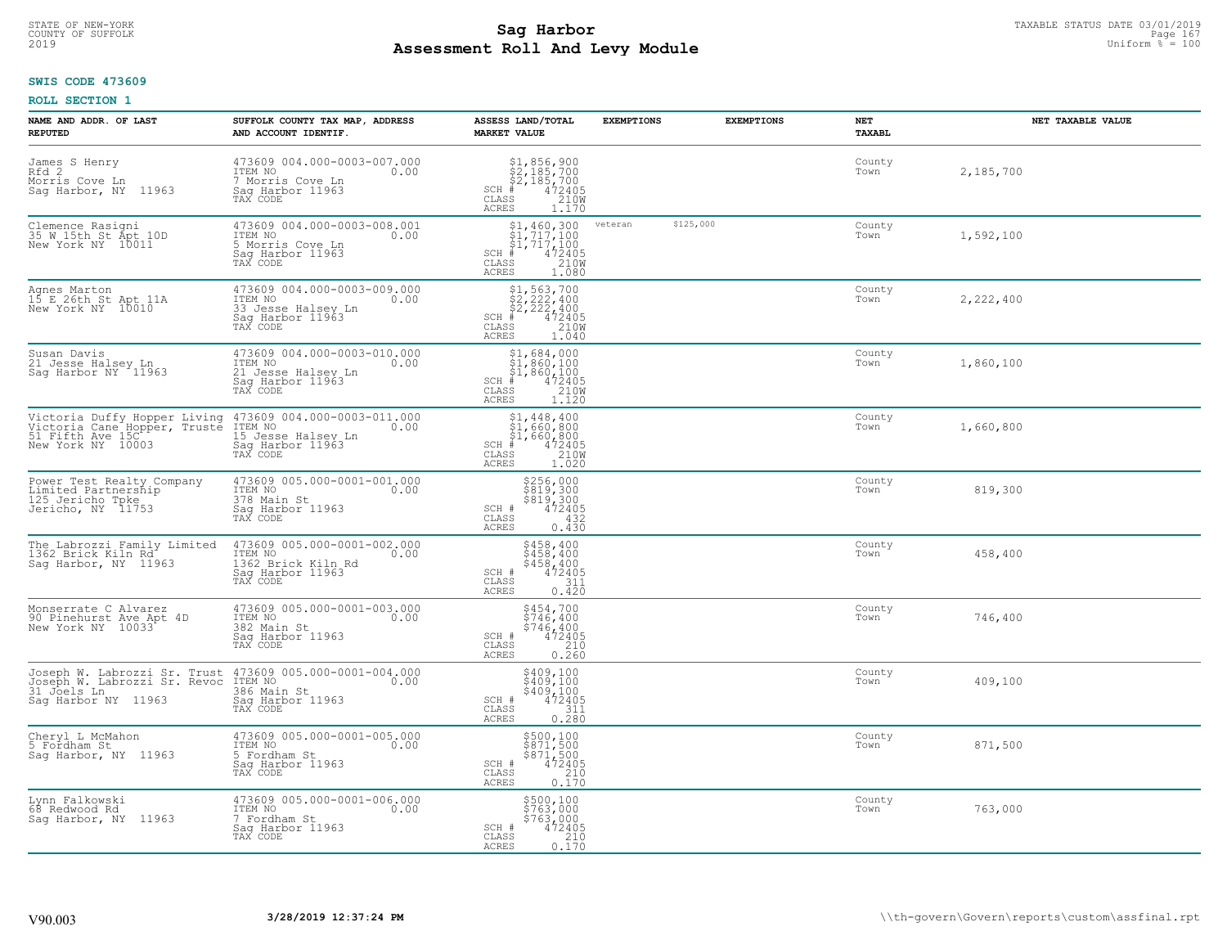#### **SWIS CODE 473609**

| NAME AND ADDR. OF LAST<br><b>REPUTED</b>                                                              | SUFFOLK COUNTY TAX MAP, ADDRESS<br>AND ACCOUNT IDENTIF.                                              | ASSESS LAND/TOTAL<br><b>MARKET VALUE</b>                                                                                       | <b>EXEMPTIONS</b> | <b>EXEMPTIONS</b> | <b>NET</b><br>TAXABL | NET TAXABLE VALUE |
|-------------------------------------------------------------------------------------------------------|------------------------------------------------------------------------------------------------------|--------------------------------------------------------------------------------------------------------------------------------|-------------------|-------------------|----------------------|-------------------|
| James S Henry<br>Rfd 2<br>Morris Cove Ln<br>Sag Harbor, NY 11963                                      | 473609 004.000-0003-007.000<br>ITEM NO<br>0.00<br>7 Morris Cove Ln<br>Saq Harbor 11963               | $$1,856,900$<br>$$2,185,700$<br>$$2,185,700$<br>$472405$<br>$35$<br>$2100$<br>$SCH$ #<br>CLASS<br><b>ACRES</b><br>1.170        |                   |                   | County<br>Town       | 2,185,700         |
| Clemence Rasigni<br>35 W 15th St Apt 10D<br>New York NY 10011                                         | 473609 004.000-0003-008.001<br>ITEM NO<br>0.00<br>5 Morris Cove Ln<br>Sag Harbor 11963<br>TAX CODE   | $SCH$ #<br>CLASS<br><b>ACRES</b><br>1.080                                                                                      | veteran           | \$125,000         | County<br>Town       | 1,592,100         |
| Agnes Marton<br>15 E 26th St Apt 11A<br>New York NY 10010                                             | 473609 004.000-0003-009.000<br>ITEM NO<br>0.00<br>33 Jesse Halsev Ln<br>Saq Harbor 11963<br>TAX CODE | $$2, 563, 700$<br>$$2, 222, 400$<br>$$2, 222, 400$<br>$SCH$ #<br>472405<br>CLASS<br>210W<br><b>ACRES</b><br>1.040              |                   |                   | County<br>Town       | 2,222,400         |
| Susan Davis<br>21 Jesse Halsey Ln<br>Sag Harbor NY 11963                                              | 473609 004.000-0003-010.000<br>ITEM NO<br>0.00<br>21 Jesse Halsey Ln<br>Saq Harbor 11963             | $$1,684,000$<br>$$1,860,100$<br>$$1,860,100$<br>$$1,860,100$<br>$SCH$ #<br>$\frac{472405}{210W}$<br>CLASS<br>ACRES<br>1.120    |                   |                   | County<br>Town       | 1,860,100         |
| Victoria Duffy Hopper Living<br>Victoria Cane Hopper, Truste<br>51 Fifth Ave 15C<br>New York NY 10003 | 473609 004.000-0003-011.000<br>ITEM NO<br>0.00<br>15 Jesse Halsey Ln<br>Saq Harbor 11963             | $$1, 448, 400$<br>$$1, 660, 800$<br>$$1, 660, 800$<br>$472405$<br>$35$<br>$1210M$<br>$SCH$ #<br>CLASS<br><b>ACRES</b><br>1.020 |                   |                   | County<br>Town       | 1,660,800         |
| Power Test Realty Company<br>Limited Partnership<br>125 Jericho Tpke<br>Jericho, NY 11753             | 473609 005.000-0001-001.000<br>ITEM NO<br>0.00<br>378 Main St<br>Sag Harbor 11963<br>TAX CODE        | \$256,000<br>\$819,300<br>\$819,300<br>472405<br>SCH #<br>432<br>$\mathtt{CLASS}$<br>0.430<br><b>ACRES</b>                     |                   |                   | County<br>Town       | 819,300           |
| The Labrozzi Family Limited<br>1362 Brick Kiln Rd<br>Sag Harbor, NY 11963                             | 473609 005.000-0001-002.000<br>ITEM NO<br>0.00<br>1362 Brick Kiln Rd<br>Sag Harbor 11963<br>TAX CODE | $$458, 400$<br>$$458, 400$<br>$$4\bar{58}'$ , $4\bar{00}$<br>$472405$<br>SCH #<br>311<br>CLASS<br>0.420<br><b>ACRES</b>        |                   |                   | County<br>Town       | 458,400           |
| Monserrate C Alvarez<br>90 Pinehurst Ave Apt 4D<br>New York NY 10033                                  | 473609 005.000-0001-003.000<br>ITEM NO<br>0.00<br>382 Main St<br>Saq Harbor 11963<br>TAX CODE        | \$454,700<br>\$746,400<br>\$746,400<br>472405<br>SCH #<br>CLASS<br>210<br><b>ACRES</b><br>0.260                                |                   |                   | County<br>Town       | 746,400           |
| Joseph W. Labrozzi Sr. Trust<br>Joseph W. Labrozzi Sr. Revoc<br>31 Joels Ln<br>Sag Harbor NY 11963    | 473609 005.000-0001-004.000<br>0.00 0.00<br>386 Main St<br>Saq Harbor 11963<br>TAX CODE              | \$409,100<br>\$409,100<br>\$409,100<br>472405<br>SCH #<br>CLASS<br>311<br><b>ACRES</b><br>0.280                                |                   |                   | County<br>Town       | 409,100           |
| Cheryl L McMahon<br>5 Fordham St<br>Saq Harbor, NY 11963                                              | 473609 005.000-0001-005.000<br>ITEM NO<br>0.00<br>5 Fordham St<br>Sag Harbor 11963<br>TAX CODE       | \$500,100<br>\$871,500<br>\$871,500<br>472405<br>SCH #<br>210<br>CLASS<br>0.170<br><b>ACRES</b>                                |                   |                   | County<br>Town       | 871,500           |
| Lynn Falkowski<br>68 Redwood Rd<br>Sag Harbor, NY 11963                                               | 473609 005.000-0001-006.000<br>ITEM NO<br>0.00<br>7 Fordham St<br>Sag Harbor 11963<br>TAX CODE       | \$500,100<br>\$763,000<br>\$763,000<br>SCH #<br>472405<br>CLASS<br>$\frac{210}{0.170}$<br><b>ACRES</b>                         |                   |                   | County<br>Town       | 763,000           |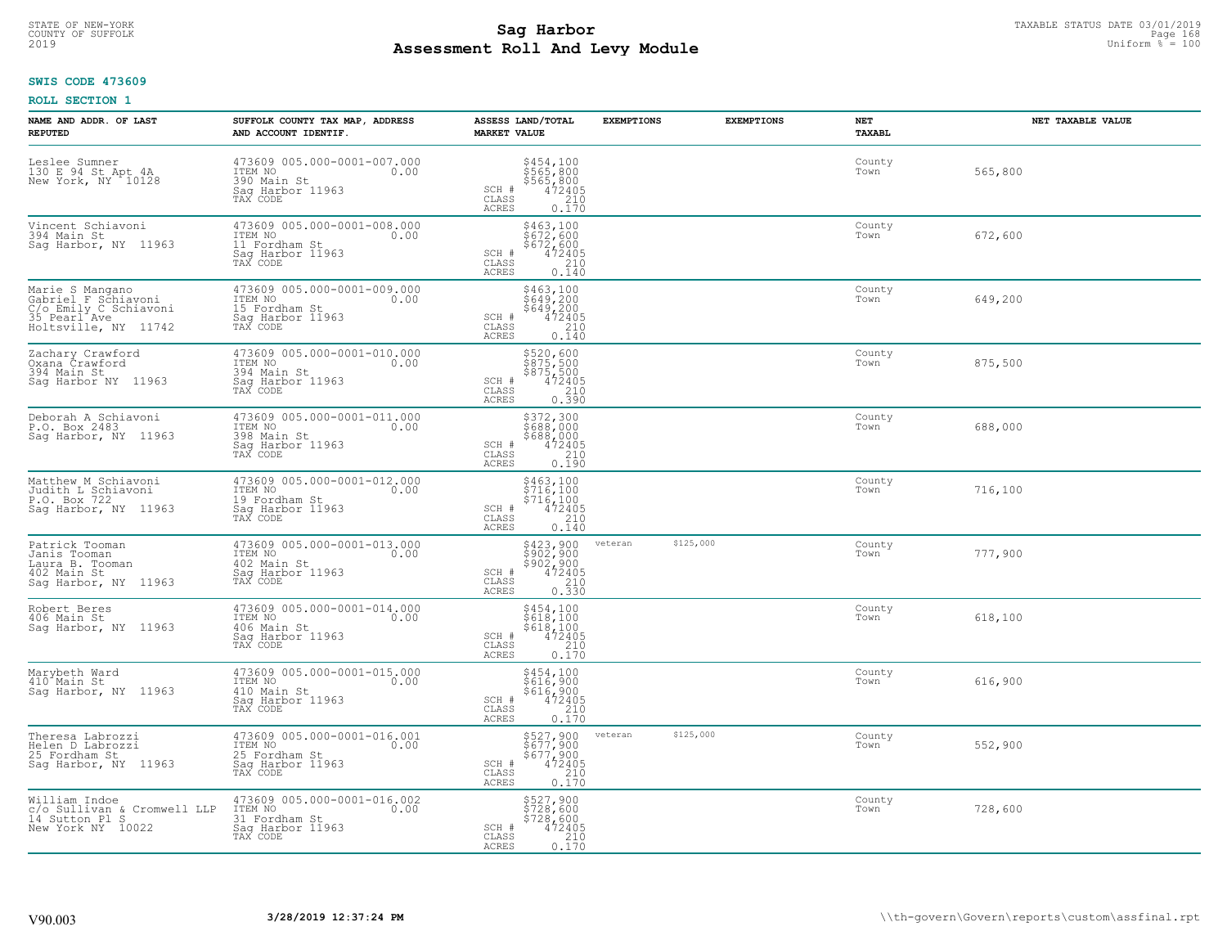# **SWIS CODE 473609**

| NAME AND ADDR. OF LAST<br><b>REPUTED</b>                                                                           | SUFFOLK COUNTY TAX MAP, ADDRESS<br>AND ACCOUNT IDENTIF.                                         | ASSESS LAND/TOTAL<br><b>MARKET VALUE</b>                                                                   | <b>EXEMPTIONS</b>    | <b>EXEMPTIONS</b> | NET<br>TAXABL  | NET TAXABLE VALUE |
|--------------------------------------------------------------------------------------------------------------------|-------------------------------------------------------------------------------------------------|------------------------------------------------------------------------------------------------------------|----------------------|-------------------|----------------|-------------------|
| Leslee Sumner<br>130 E 94 St Apt 4A<br>New York, NY 10128                                                          | 473609 005.000-0001-007.000<br>ITEM NO<br>0.00<br>390 Main St<br>Saq Harbor 11963<br>TAX CODE   | \$454,100<br>\$565,800<br>\$565,800<br>\$472405<br>\$410<br>SCH #<br>CLASS<br><b>ACRES</b><br>0.170        |                      |                   | County<br>Town | 565,800           |
| Vincent Schiavoni<br>394 Main St<br>Saq Harbor, NY 11963                                                           | 473609 005.000-0001-008.000<br>ITEM NO<br>0.00<br>11 Fordham St<br>Sag Harbor 11963<br>TAX CODE | \$463,100<br>\$672,600<br>\$672,600<br>SCH #<br>472405<br>CLASS<br>210<br>ACRES<br>0.140                   |                      |                   | County<br>Town | 672,600           |
| Marie S Mangano<br>Gabriel F Schiavoni<br>C/o Emily C Schiavoni<br>35 Pearl <sup>Ave</sup><br>Holtsville, NY 11742 | 473609 005.000-0001-009.000<br>ITEM NO<br>0.00<br>15 Fordham St<br>Sag Harbor 11963<br>TAX CODE | \$463,100<br>$\frac{200}{649}$ , 200<br>$\frac{472405}{472405}$<br>SCH #<br>CLASS<br><b>ACRES</b><br>0.140 |                      |                   | County<br>Town | 649,200           |
| Zachary Crawford<br>Oxana Crawford<br>394 Main St<br>Saq Harbor NY 11963                                           | 473609 005.000-0001-010.000<br>ITEM NO<br>0.00<br>394 Main St<br>Saq Harbor 11963<br>TAX CODE   | \$520,600<br>$\frac{5875,500}{875,500}$<br>\$875,500<br>472405<br>210<br>SCH #<br>CLASS<br>0.390<br>ACRES  |                      |                   | County<br>Town | 875,500           |
| Deborah A Schiavoni<br>P.O. Box 2483<br>Sag Harbor, NY 11963                                                       | 473609 005.000-0001-011.000<br>ITEM NO<br>0.00<br>398 Main St<br>Saq Harbor 11963<br>TAX CODE   | \$372,300<br>\$688,000<br>\$688,000<br>472405<br>SCH #<br>$\mathtt{CLASS}$<br>$\frac{210}{0.190}$<br>ACRES |                      |                   | County<br>Town | 688,000           |
| Matthew M Schiavoni<br>Judith L Schiavoni<br>P.O. Box 722<br>Sag Harbor, NY 11963                                  | 473609 005.000-0001-012.000<br>ITEM NO<br>0.00<br>19 Fordham St<br>Sag Harbor 11963<br>TAX CODE | \$463,100<br>\$716,100<br>\$716,100<br>472405<br>SCH #<br>210<br>CLASS<br><b>ACRES</b><br>0.140            |                      |                   | County<br>Town | 716,100           |
| Patrick Tooman<br>Janis Tooman<br>Laura B. Tooman<br>402 Main St<br>Sag Harbor, NY 11963                           | 473609 005.000-0001-013.000<br>ITEM NO 0.00<br>402 Main St<br>Sag Harbor 11963<br>TAX CODE      | $$423,900$<br>$$902,900$<br>$$902,900$<br>$$472405$<br>$$210$<br>SCH #<br>CLASS<br>0.330<br><b>ACRES</b>   | \$125,000<br>veteran |                   | County<br>Town | 777,900           |
| Robert Beres<br>406 Main St<br>Saq Harbor, NY 11963                                                                | 473609 005.000-0001-014.000<br>ITEM NO<br>0.00<br>406 Main St<br>Saq Harbor 11963<br>TAX CODE   | \$454,100<br>\$618,100<br>\$618,100<br>472405<br>$SCH$ #<br>210<br>CLASS<br><b>ACRES</b><br>0.170          |                      |                   | County<br>Town | 618,100           |
| Marybeth Ward<br>410 <sup>-</sup> Main St<br>Saq Harbor, NY 11963                                                  | 473609 005.000-0001-015.000<br>ITEM NO<br>0.00<br>410 Main St<br>Saq Harbor 11963<br>TAX CODE   | \$454,100<br>\$616,900<br>\$616,900<br>472405<br>210<br>SCH #<br>CLASS<br>ACRES<br>0.170                   |                      |                   | County<br>Town | 616,900           |
| Theresa Labrozzi<br>Helen D Labrozzi<br>25 Fordham St<br>Sag Harbor, NY 11963                                      | 473609 005.000-0001-016.001<br>ITEM NO<br>0.00<br>25 Fordham St<br>Sag Harbor 11963<br>TAX CODE | \$527,900<br>\$677,900<br>\$677,900<br>472405<br>0.170<br>SCH #<br>CLASS<br>ACRES                          | \$125,000<br>veteran |                   | County<br>Town | 552,900           |
| William Indoe<br>c/o Sullivan & Cromwell LLP<br>14 Sutton Pl S<br>New York NY 10022                                | 473609 005.000-0001-016.002<br>ITEM NO<br>0.00<br>31 Fordham St<br>Sag Harbor 11963<br>TAX CODE | \$527,900<br>\$728,600<br>$$728,600$<br>472405<br>210<br>SCH #<br>CLASS<br>0.170<br>ACRES                  |                      |                   | County<br>Town | 728,600           |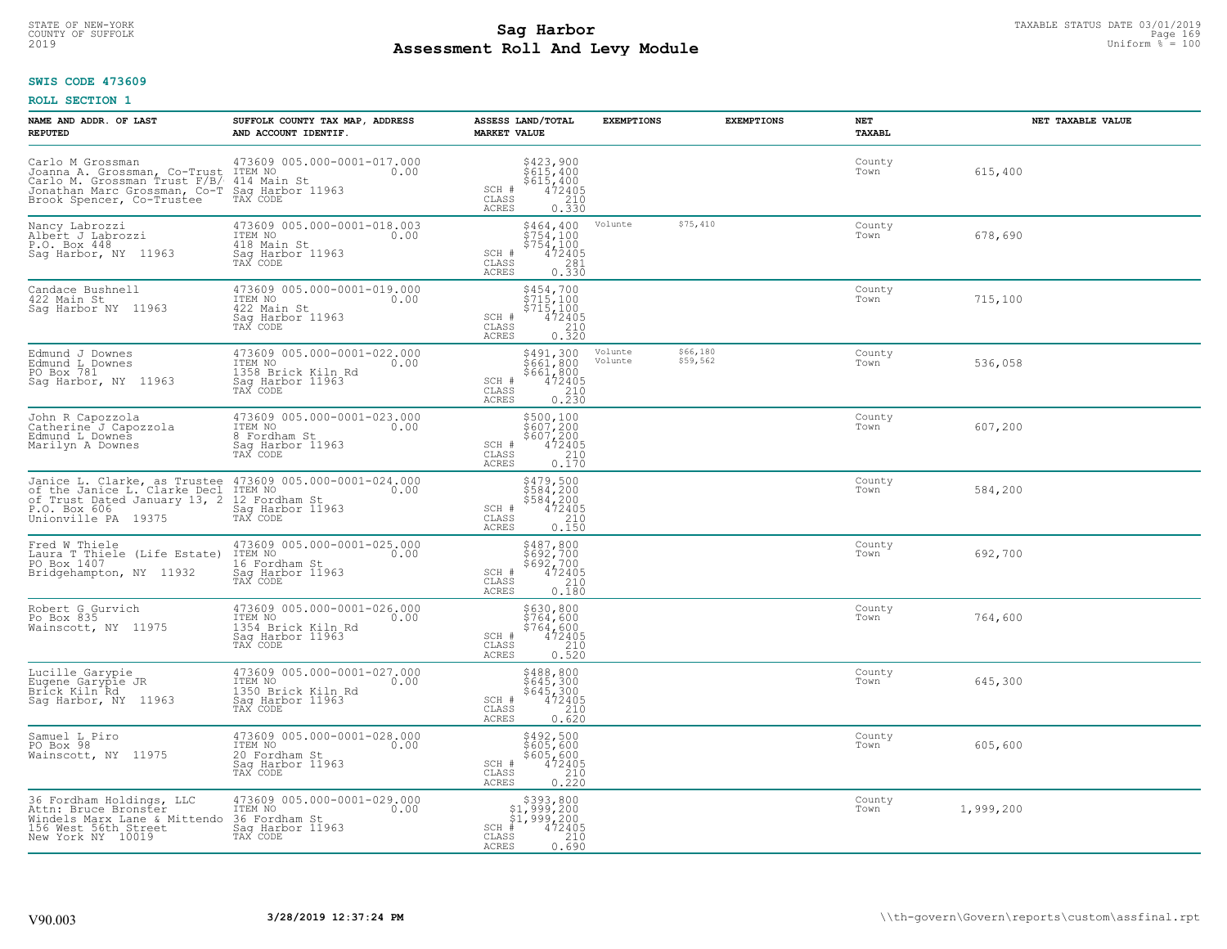### **Sag Harbor**<br>**Poll And Low Module Assessment Roll And Levy Module** 2019 Uniform % = 100 COUNTY OF SUFFOLK Page 169

### **SWIS CODE 473609**

| NAME AND ADDR. OF LAST<br><b>REPUTED</b>                                                                                                                                                                       | SUFFOLK COUNTY TAX MAP, ADDRESS<br>AND ACCOUNT IDENTIF.                                                                                                                                                                                               | ASSESS LAND/TOTAL<br><b>MARKET VALUE</b>                                                                                                       | <b>EXEMPTIONS</b>  | <b>EXEMPTIONS</b>    | NET<br>TAXABL  | NET TAXABLE VALUE |
|----------------------------------------------------------------------------------------------------------------------------------------------------------------------------------------------------------------|-------------------------------------------------------------------------------------------------------------------------------------------------------------------------------------------------------------------------------------------------------|------------------------------------------------------------------------------------------------------------------------------------------------|--------------------|----------------------|----------------|-------------------|
| Carlo M Grossman<br>Joanna A. Grossman, Co-Trust TTEM NO<br>Carlo M. Grossman Trust F7EM NO<br>Carlo M. Grossman, Co-Trust F7EM No<br>Jonathan Marc Grossman, Co-Trustee<br>Brook Spencer, Co-Trustee TAX CODE | 473609 005.000-0001-017.000<br>0.00<br>414 Main St<br>Sag Harbor 11963<br>TAX CODE                                                                                                                                                                    | \$423,900<br>\$615,400<br>\$615,400<br>472405<br>0.330<br>SCH #<br>CLASS<br>ACRES                                                              |                    |                      | County<br>Town | 615,400           |
| Nancy Labrozzi<br>Albert J Labrozzi<br>P.O. Box 448<br>Sag Harbor, NY 11963                                                                                                                                    | 473609 005.000-0001-018.003<br>TTEM NO 0.00<br>418 Main St<br>Sag Harbor 11963<br>TAX CODE                                                                                                                                                            | \$464,400<br>\$754,100<br>\$754,100<br>472405<br>SCH #<br>CLASS<br>$\begin{array}{c} 281 \\ 0.330 \end{array}$<br>ACRES                        | Volunte            | \$75,410             | County<br>Town | 678,690           |
| Candace Bushnell<br>422 Main St<br>Saq Harbor NY 11963                                                                                                                                                         | 473609 005.000-0001-019.000<br>ITEM NO<br>0.00<br>422 Main St<br>Sag Harbor 11963<br>TAX CODE                                                                                                                                                         | \$454,700<br>$\frac{3}{2}$ <sup>1</sup><br>$\begin{array}{r} 5715,100 \\ 472405 \\ 210 \\ 0.320 \end{array}$<br>SCH #<br>CLASS<br><b>ACRES</b> |                    |                      | County<br>Town | 715,100           |
| Edmund J Downes<br>Edmund L Downes<br>PO Box 781<br>Sag Harbor, NY 11963                                                                                                                                       | 473609 005.000-0001-022.000<br>ITEM NO<br>0.00<br>1358 Brick Kiln Rd<br>Saq Harbor 11963<br>TAX CODE                                                                                                                                                  | \$491,300<br>\$661,800<br>$$661,800$<br>472405<br>210<br>0.230<br>SCH #<br>$\mathtt{CLASS}$<br><b>ACRES</b>                                    | Volunte<br>Volunte | \$66,180<br>\$59,562 | County<br>Town | 536,058           |
| John R Capozzola<br>Catherine J Capozzola<br>Edmund L Downes<br>Marilyn A Downes                                                                                                                               | 473609 005.000-0001-023.000<br>ITEM NO<br>0.00<br>8 Fordham St<br>Sag Harbor 11963<br>TAX CODE                                                                                                                                                        | \$500,100<br>\$607,200<br>\$607,200<br>472405<br>SCH #<br>$\mathtt{CLASS}$<br>$\begin{array}{c} 210 \\ 0.170 \end{array}$<br><b>ACRES</b>      |                    |                      | County<br>Town | 607,200           |
| Unionville PA 19375                                                                                                                                                                                            | Janice L. Clarke, as Trustee 473609 005.000-0001-024.000<br>of the Janice L. Clarke Decl ITEEM NO 000<br>of Trust Dated January 13, 2 Fordham St<br>P.O. Box, 606, 1021r Sag Harbor 11963<br>112H NO<br>12 Fordham St<br>Sag Harbor 11963<br>TAX CODE | \$479,500<br>\$584,200<br>\$584,200<br>472405<br>SCH #<br>CLASS<br>210<br>0.150<br><b>ACRES</b>                                                |                    |                      | County<br>Town | 584,200           |
| Fred W Thiele<br>Laura T Thiele (Life Estate)<br>PO Box 1407<br>Bridgehampton, NY 11932                                                                                                                        | 473609 005.000-0001-025.000<br>0.00 0.00<br>16 Fordham St<br>Sag Harbor 11963<br>TAX CODE                                                                                                                                                             | \$487,800<br>\$692,700<br>\$692,700<br>472405<br>SCH #<br>CLASS<br>0.180<br><b>ACRES</b>                                                       |                    |                      | County<br>Town | 692,700           |
| Robert G Gurvich<br>Po Box 835<br>Wainscott, NY 11975                                                                                                                                                          | 473609 005.000-0001-026.000<br>10.00 0.00<br>1354 Brick Kiln Rd<br>Saq Harbor 11963                                                                                                                                                                   | \$630,800<br>\$764,600<br>\$764,600<br>\$764,600<br>\$72405<br>0.520<br>SCH #<br>CLASS<br>ACRES                                                |                    |                      | County<br>Town | 764,600           |
| Lucille Garypie<br>Eugene Garypie JR<br>Brick Kiln Rd<br>Sag Harbor, NY 11963                                                                                                                                  | 473609 005.000-0001-027.000<br>ITEM NO<br>1350 Brick Kiln Rd<br>Sag Harbor 11963<br>TAX CODE                                                                                                                                                          | \$488,800<br>\$645,300<br>\$645,300<br>SCH #<br>$72405$<br>$210$<br>0.620<br>CLASS<br><b>ACRES</b>                                             |                    |                      | County<br>Town | 645,300           |
| Samuel L Piro<br>PO Box 98<br>Wainscott, NY 11975                                                                                                                                                              | 473609 005.000-0001-028.000<br>ITEM NO<br>0.00<br>20 Fordham St<br>Sag Harbor 11963<br>TAX CODE                                                                                                                                                       | \$492,500<br>\$605,600<br>\$605,600<br>$\begin{array}{r} \n 472405 \\  210 \\  220\n \end{array}$<br>SCH #<br>CLASS<br><b>ACRES</b>            |                    |                      | County<br>Town | 605,600           |
| 36 Fordham Holdings, LLC<br>Attn: Bruce Bronster<br>Windels Marx Lane & Mittendo<br>156 West 56th Street<br>New York NY 10019                                                                                  | 473609 005.000-0001-029.000<br>TTEM NO 0.00<br>36 Fordham St<br>Sag Harbor 11963<br>TAX CODE                                                                                                                                                          | \$393,800<br>\$1,999,200<br>\$1,999,200<br>$SCH$ #<br>472405<br>CLASS<br>210<br>0.690<br>ACRES                                                 |                    |                      | County<br>Town | 1,999,200         |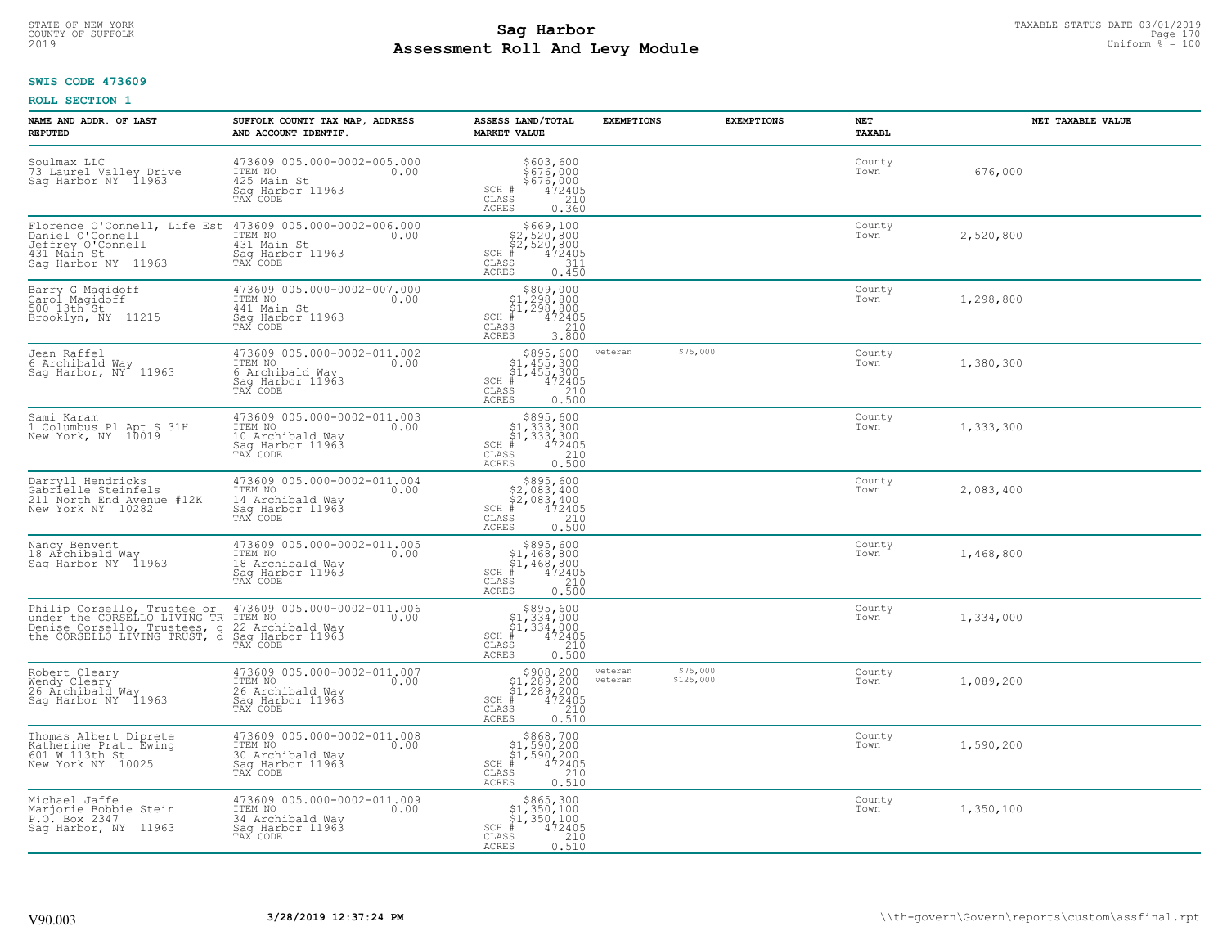# STATE OF NEW-YORK TAXABLE STATUS DATE 03/01/2019<br>COUNTY OF SUFFOLK Page 170 Page 170 **Assessment Roll And Levy Module** 2019 Uniform % = 100

### **SWIS CODE 473609**

| NAME AND ADDR. OF LAST<br><b>REPUTED</b>                                                                                    | SUFFOLK COUNTY TAX MAP, ADDRESS<br>AND ACCOUNT IDENTIF.                                            | ASSESS LAND/TOTAL<br><b>MARKET VALUE</b>                                                                                    | <b>EXEMPTIONS</b>  | <b>EXEMPTIONS</b>     | NET<br><b>TAXABL</b> | NET TAXABLE VALUE |
|-----------------------------------------------------------------------------------------------------------------------------|----------------------------------------------------------------------------------------------------|-----------------------------------------------------------------------------------------------------------------------------|--------------------|-----------------------|----------------------|-------------------|
| Soulmax LLC<br>73 Laurel Valley Drive<br>Sag Harbor NY 11963                                                                | 473609 005.000-0002-005.000<br>0.00 0.00<br>425 Main St<br>Saq Harbor 11963<br>TAX CODE            | \$603,600<br>\$676,000<br>\$676,000<br>472405<br>SCH #<br>CLASS<br>210<br><b>ACRES</b><br>0.360                             |                    |                       | County<br>Town       | 676,000           |
| Florence O'Connell, Life Est<br>Daniel O'Connell<br>Jeffrey O'Connell<br>431 Main St<br>Saq Harbor NY 11963                 | 473609 005.000-0002-006.000<br>ITEM NO<br>0.00<br>431 Main St<br>Saq Harbor 11963<br>TAX CODE      | \$669,100<br>\$2,520,800<br>\$2,520,800<br>SCH #<br>472405<br>CLASS<br>311<br><b>ACRES</b><br>0.450                         |                    |                       | County<br>Town       | 2,520,800         |
| Barry G Magidoff<br>Carol Magidoff<br>500 13th St<br>Brooklyn, NY 11215                                                     | 473609 005.000-0002-007.000<br>ITEM NO<br>0.00<br>441 Main St<br>Sag Harbor 11963<br>TAX CODE      | \$809,000<br>\$1,298,800<br>\$1,298,800<br>472405<br>$SCH$ #<br>CLASS<br>210<br><b>ACRES</b><br>3.800                       |                    |                       | County<br>Town       | 1,298,800         |
| Jean Raffel<br>6 Archibald Way<br>Sag Harbor, NY <sup>-</sup> 11963                                                         | 473609 005.000-0002-011.002<br>ITEM NO<br>0.00<br>6 Archibald Way<br>Sag Harbor 11963<br>TAX CODE  | $$895,600$<br>$$1,455,300$<br>$$1,455,300$<br>$*$<br>$*$<br>$472405$<br>$SCH$ $#$<br>CLASS<br>210<br><b>ACRES</b><br>0.500  | veteran            | \$75,000              | County<br>Town       | 1,380,300         |
| Sami Karam<br>1 Columbus P1 Apt S 31H<br>New York, NY 10019                                                                 | 473609 005.000-0002-011.003<br>ITEM NO<br>0.00<br>10 Archibald Way<br>Saq Harbor 11963<br>TAX CODE | $SCH$ #<br>CLASS<br>$\frac{210}{0.500}$<br><b>ACRES</b>                                                                     |                    |                       | County<br>Town       | 1,333,300         |
| Darryll Hendricks<br>Gabrielle Steinfels<br>211 North End Avenue #12K<br>New York NY 10282                                  | 473609 005.000-0002-011.004<br>ITEM NO<br>0.00<br>14 Archibald Way<br>Sag Harbor 11963<br>TAX CODE | $$895,600$<br>$$2,083,400$<br>$$2,083,400$<br>$472405$<br>$$210$<br>$$210$<br>SCH #<br>CLASS<br><b>ACRES</b><br>0.500       |                    |                       | County<br>Town       | 2,083,400         |
| Nancy Benvent<br>18 Archibald Way<br>Sag Harbor NY 11963                                                                    | 473609 005.000-0002-011.005<br>ITEM NO<br>0.00<br>18 Archibald Way<br>Sag Harbor 11963<br>TAX CODE | \$895,600<br>\$1,468,800<br>$\frac{1}{4}$ , 468, 800<br># 472405<br>SCH #<br>CLASS<br>210<br><b>ACRES</b><br>0.500          |                    |                       | County<br>Town       | 1,468,800         |
| Philip Corsello, Trustee or<br>under the CORSELLO LIVING TR<br>Denise Corsello, Trustees, o<br>the CORSELLO LIVING TRUST, d | 473609 005.000-0002-011.006<br>ITEM NO 0.00<br>22 Archibald Way<br>Sag Harbor 11963<br>TAX CODE    | $$895,600$<br>$$1,334,000$<br>$$1,334,000$<br>$*1,334,000$<br>$*1,472405$<br>SCH<br>CLASS<br>210<br><b>ACRES</b><br>0.500   |                    |                       | County<br>Town       | 1,334,000         |
| Robert Cleary<br>Wendy Cleary<br>26 Archibald Way<br>Saq Harbor NY 11963                                                    | 473609 005.000-0002-011.007<br>ITEM NO 0.00<br>26 Archibald Way<br>Saq Harbor 11963<br>TAX CODE    | $$908, 200$<br>$$1, 289, 200$<br>$$1, 289, 200$<br>$472405$<br>$$210$<br>$SCH$ #<br>CLASS<br><b>ACRES</b><br>0.510          | veteran<br>veteran | \$75,000<br>\$125,000 | County<br>Town       | 1,089,200         |
| Thomas Albert Diprete<br>Katherine Pratt Ewing<br>601 W 113th St<br>New York NY 10025                                       | 473609 005.000-0002-011.008<br>ITEM NO<br>0.00<br>30 Archibald Way<br>Sag Harbor 11963<br>TAX CODE | $$868,700$<br>$$1,590,200$<br>$$1,590,200$<br>$*1,590,200$<br>$*472405$<br>$SCH$ #<br>210<br>CLASS<br>0.510<br><b>ACRES</b> |                    |                       | County<br>Town       | 1,590,200         |
| Michael Jaffe<br>Marjorie Bobbie Stein<br>P.O. Box 2347<br>Sag Harbor, NY 11963                                             | 473609 005.000-0002-011.009<br>ITEM NO<br>0.00<br>34 Archibald Way<br>Sag Harbor 11963<br>TAX CODE | \$865,300<br>\$1,350,100<br>\$1,350,100<br>SCH #<br>472405<br>CLASS<br>210<br>0.510<br><b>ACRES</b>                         |                    |                       | County<br>Town       | 1,350,100         |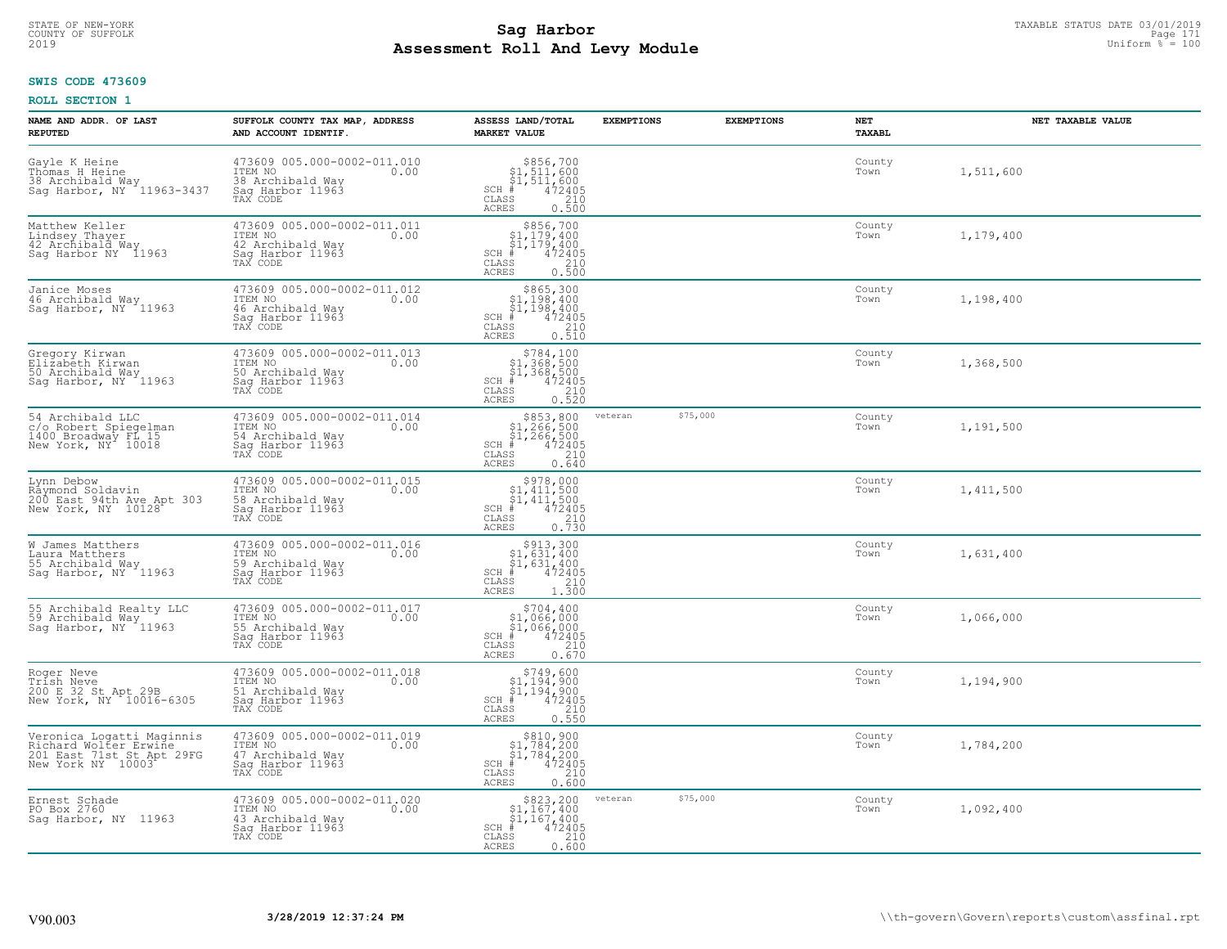# **SWIS CODE 473609**

| NAME AND ADDR. OF LAST<br><b>REPUTED</b>                                                             | SUFFOLK COUNTY TAX MAP, ADDRESS<br>AND ACCOUNT IDENTIF.                                            | ASSESS LAND/TOTAL<br><b>MARKET VALUE</b>                                                                                                                   | <b>EXEMPTIONS</b> | <b>EXEMPTIONS</b> | <b>NET</b><br>TAXABL | NET TAXABLE VALUE |
|------------------------------------------------------------------------------------------------------|----------------------------------------------------------------------------------------------------|------------------------------------------------------------------------------------------------------------------------------------------------------------|-------------------|-------------------|----------------------|-------------------|
| Gayle K Heine<br>Thomas H Heine<br>38 Archibald Way<br>Sag Harbor, NY 11963-3437                     | 473609 005.000-0002-011.010<br>ITEM NO<br>0.00<br>38 Archibald Way<br>Saq Harbor 11963<br>TAX CODE | $$856,700$<br>$$1,511,600$<br>$$1,511,600$<br>$472405$<br>$$210$<br>$SCH$ #<br>CLASS<br>ACRES<br>0.500                                                     |                   |                   | County<br>Town       | 1,511,600         |
| Matthew Keller<br>Lindsey Thayer<br>42 Archibald Way<br>Saq Harbor NY 11963                          | 473609 005.000-0002-011.011<br>ITEM NO<br>0.00<br>42 Archibald Way<br>Sag Harbor 11963<br>TAX CODE | $$856,700$<br>$$1,179,400$<br>$$1,179,400$<br>$SCH$ #<br>$472405$<br>210<br>CLASS<br><b>ACRES</b><br>0.500                                                 |                   |                   | County<br>Town       | 1,179,400         |
| Janice Moses<br>46 Archibald Way<br>Sag Harbor, NY 11963                                             | 473609 005.000-0002-011.012<br>ITEM NO<br>0.00<br>46 Archibald Way<br>Sag Harbor 11963<br>TAX CODE | \$865,300<br>\$1,198,400<br>\$1,198,400<br>$SCH$ #<br>$\begin{smallmatrix} 472405\ 210\ 0.510 \end{smallmatrix}$<br>CLASS<br>ACRES                         |                   |                   | County<br>Town       | 1,198,400         |
| Gregory Kirwan<br>Elizabeth Kirwan<br>50 Archibald Way<br>Sag Harbor, NY 11963                       | 473609 005.000-0002-011.013<br>ITEM NO<br>0.00<br>50 Archibald Way<br>Saq Harbor 11963<br>TAX CODE | \$784,100<br>\$1,368,500<br>$\begin{array}{r} 51,368,500 \\ * & 472405 \\ * & 210 \\ * & 210 \\ * & 0.520 \end{array}$<br>$SCH$ #<br>CLASS<br><b>ACRES</b> |                   |                   | County<br>Town       | 1,368,500         |
| 54 Archibald LLC<br>c/o Robert Spiegelman<br>1400 Broadway FL 15<br>New York, NY 10018               | 473609 005.000-0002-011.014<br>ITEM NO<br>0.00<br>54 Archibald Way<br>Saq Harbor 11963<br>TAX CODE | \$853,800<br>3833,800<br>\$1,266,500<br>\$1,266,500<br>\$210<br>\$210<br>\$210<br>0.640<br>$SCH$ #<br>CLASS<br><b>ACRES</b>                                | veteran           | \$75,000          | County<br>Town       | 1,191,500         |
| Lynn Debow<br>Räymond Soldavin<br>200 East 94th Ave Apt 303<br>New York, NY 10128                    | 473609 005.000-0002-011.015<br>ITEM NO<br>0.00<br>58 Archibald Way<br>Sag Harbor 11963<br>TAX CODE | $$978,000$<br>$$1,411,500$<br>$$1,411,500$<br>$$412,500$<br>$472405$<br>$SCH$ #<br>$\begin{array}{c} 210 \\ 0.730 \end{array}$<br>CLASS<br>ACRES           |                   |                   | County<br>Town       | 1,411,500         |
| W James Matthers<br>Laura Matthers<br>55 Archibald Way<br>Saq Harbor, NY 11963                       | 473609 005.000-0002-011.016<br>ITEM NO<br>0.00<br>59 Archibald Way<br>Sag Harbor 11963<br>TAX CODE | $\begin{array}{c} $913,300 $1,631,400 $1,631,400 $472405 \end{array}$<br>$SCH$ #<br>CLASS<br>210<br>1,300<br>ACRES                                         |                   |                   | County<br>Town       | 1,631,400         |
| 55 Archibald Realty LLC<br>59 Archibald May<br>Sag Harbor, NY <sup>-</sup> 11963                     | 473609 005.000-0002-011.017<br>ITEM NO<br>0.00<br>55 Archibald Way<br>Sag Harbor 11963<br>TAX CODE | $$704, 400$<br>$$1, 066, 000$<br>$\begin{array}{c} 31,066,000 \\ 472405 \\ \text{ss} \end{array}$<br>SCH<br>CLASS<br><b>ACRES</b><br>0.670                 |                   |                   | County<br>Town       | 1,066,000         |
| Roger Neve<br>Trish Neve<br>200 E 32 St Apt 29B<br>New York, NY 10016-6305                           | 473609 005.000-0002-011.018<br>ITEM NO<br>0.00<br>51 Archibald Way<br>Saq Harbor 11963<br>TAX CODE | $$749,600$<br>$$1,194,900$<br>$$1,194,900$<br>$*$<br>$*$<br>$*$<br>$*$<br>SCH<br>CLASS<br>$\frac{210}{0.550}$<br>ACRES                                     |                   |                   | County<br>Town       | 1,194,900         |
| Veronica Logatti Maginnis<br>Richard Wolter Erwine<br>201 East 71st St Apt 29FG<br>New York NY 10003 | 473609 005.000-0002-011.019<br>ITEM NO<br>0.00<br>47 Archibald Way<br>Sag Harbor 11963<br>TAX CODE | $$810,900\n$1,784,200\n$1,784,200\n# 472405\n 210\n 210$<br>SCH<br>CLASS<br><b>ACRES</b><br>0.600                                                          |                   |                   | County<br>Town       | 1,784,200         |
| Ernest Schade<br>PO Box 2760<br>Saq Harbor, NY 11963                                                 | 473609 005.000-0002-011.020<br>ITEM NO<br>0.00<br>43 Archibald Way<br>Sag Harbor 11963<br>TAX CODE | \$823,200<br>$\begin{array}{c} 51,167,400 \\ 51,167,400 \\ + 472405 \end{array}$<br>$SCH$ #<br>210<br>CLASS<br><b>ACRES</b><br>0.600                       | veteran           | \$75,000          | County<br>Town       | 1,092,400         |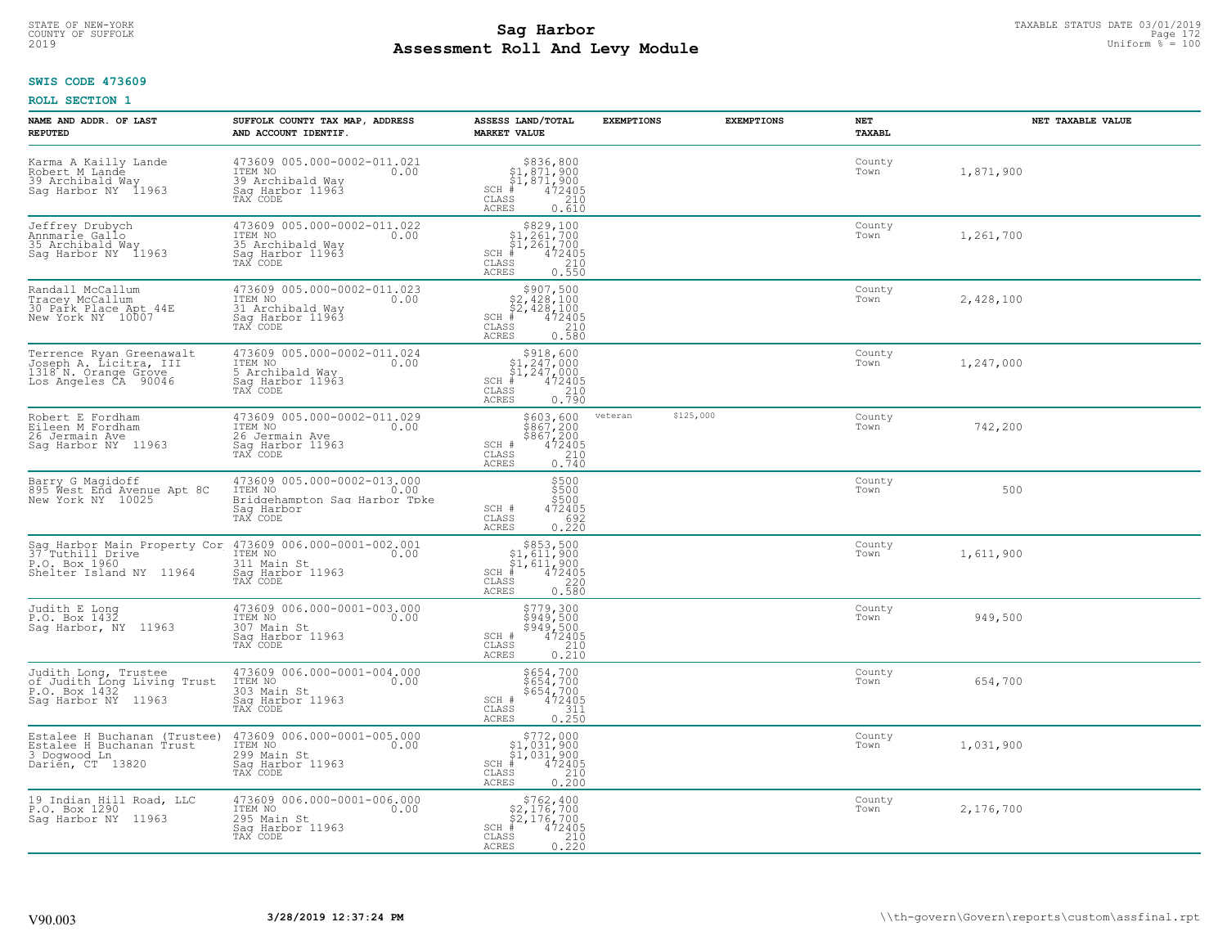# TAXABLE STATUS DATE 03/01/2019 **Sag Harbor** COUNTY OF SUFFOLK Page 172 **Assessment Roll And Levy Module** 2019 Uniform % = 100

### **SWIS CODE 473609**

| NAME AND ADDR. OF LAST<br><b>REPUTED</b>                                                           | SUFFOLK COUNTY TAX MAP, ADDRESS<br>AND ACCOUNT IDENTIF.                                                                                                           | ASSESS LAND/TOTAL<br><b>MARKET VALUE</b>                                                                                                          | <b>EXEMPTIONS</b>    | <b>EXEMPTIONS</b> | NET<br><b>TAXABL</b> | NET TAXABLE VALUE |
|----------------------------------------------------------------------------------------------------|-------------------------------------------------------------------------------------------------------------------------------------------------------------------|---------------------------------------------------------------------------------------------------------------------------------------------------|----------------------|-------------------|----------------------|-------------------|
| Karma A Kailly Lande<br>Robert M Lande<br>39 Archibald Way<br>Sag Harbor NY 11963                  | 473609 005.000-0002-011.021<br>ITEM NO<br>0.00<br>39 Archibald Wav<br>Saq Harbor 11963<br>TAX CODE                                                                | $$836,800$<br>$$1,871,900$<br>$$1,871,900$<br>$472405$<br>$$210$<br>$$210$<br>$SCH \#$<br>CLASS<br>ACRES<br>0.610                                 |                      |                   | County<br>Town       | 1,871,900         |
| Jeffrey Drubych<br>Annmarie Gallo<br>35 Archibald Way<br>Sag Harbor NY 11963                       | 473609 005.000-0002-011.022<br>ITEM NO<br>0.00<br>35 Archibald Way<br>Sag Harbor 11963<br>TAX CODE                                                                | $\begin{array}{c} $829,100\\ $1,261,700\\ $1,261,700 \end{array}$<br>$SCH$ #<br>$550$<br>472405<br>0.550<br>CLASS<br><b>ACRES</b>                 |                      |                   | County<br>Town       | 1,261,700         |
| Randall McCallum<br>Tracey McCallum<br>30 Park Place Apt 44E<br>New York NY 10007                  | 473609 005.000-0002-011.023<br>ITEM NO<br>0.00<br>31 Archibald Way<br>Sag Harbor 11963<br>TAX CODE                                                                | \$907,500<br>$$2,428,100$<br>$$2,428,100$<br>$SCH$ #<br>472405<br>CLASS<br>210<br><b>ACRES</b><br>0.580                                           |                      |                   | County<br>Town       | 2,428,100         |
| Terrence Ryan Greenawalt<br>Joseph A. Licitra, III<br>1318 N. Orange Grove<br>Los Angeles CA 90046 | 473609 005.000-0002-011.024<br>ITEM NO<br>0.00<br>5 Archibald Way<br>Saq Harbor 11963<br>TAX CODE                                                                 | $$318,60051,247,00051,247,000472405$<br>SCH #<br>CLASS<br>$\begin{array}{c} 210 \\ 0.790 \end{array}$<br><b>ACRES</b>                             |                      |                   | County<br>Town       | 1,247,000         |
| Robert E Fordham<br>Eileen M Fordham<br>26 Jermain Ave<br>Saq Harbor NY 11963                      | 473609 005.000-0002-011.029<br>ITEM NO<br>0.00<br>26 Jermain Ave<br>Saq Harbor 11963<br>TAX CODE                                                                  | \$603,600<br>\$867,200<br>\$867,200<br>\$867,200<br>\$10<br>\$10<br>\$10<br>\$10<br>SCH #<br>CLASS<br><b>ACRES</b>                                | \$125,000<br>veteran |                   | County<br>Town       | 742,200           |
| Barry G Maqidoff<br>895 West End Avenue Apt 8C<br>New York NY 10025                                | 473609 005.000-0002-013.000<br>ITEM NO<br>0.00<br>Bridgehampton Sag Harbor Tpke<br>Saq Harbor<br>TAX CODE                                                         | \$500<br>\$500<br>\$500<br>472405<br>SCH #<br>692<br>CLASS<br>0.220<br><b>ACRES</b>                                                               |                      |                   | County<br>Town       | 500               |
|                                                                                                    | Sag Harbor Main Property Cor 473609 006.000-0001-002.001<br>37 Tuthill Drive TEM NO 1781<br>P.O. Box 1960<br>Shelter Island NY 11964 Sag Harbor 11963<br>TAX CODE | $$853,500$<br>$$1,611,900$<br>$$1,611,900$<br>$$472405$<br>$SCH$ #<br>CLASS<br>220<br>0.580<br><b>ACRES</b>                                       |                      |                   | County<br>Town       | 1,611,900         |
| Judith E Long<br>P.O. Box 1432<br>Saq Harbor, NY 11963                                             | 473609 006.000-0001-003.000<br>TTEM NO 0.00<br>307 Main St<br>Saq Harbor 11963<br>TAX CODE                                                                        | 5779,300<br>5949,500<br>5949,500<br>472405<br>210<br>SCH #<br>CLASS<br><b>ACRES</b><br>0.210                                                      |                      |                   | County<br>Town       | 949,500           |
| Judith Long, Trustee<br>of Judith Long Living Trust<br>P.O. Box 1432<br>Saq Harbor NY 11963        | 473609 006.000-0001-004.000<br>ITEM NO 0.00<br>303 Main St<br>Saq Harbor 11963<br>TAX CODE                                                                        | \$654,700<br>\$654,700<br>\$654,700<br>472405<br>SCH #<br>CLASS<br>311<br><b>ACRES</b><br>0.250                                                   |                      |                   | County<br>Town       | 654,700           |
| Estalee H Buchanan (Trustee)<br>Estalee H Buchanan Trust<br>3 Dogwood Ln<br>Darién, CT 13820       | 473609 006.000-0001-005.000<br>ITEM NO<br>0.00<br>299 Main St<br>Sag Harbor 11963<br>TAX CODE                                                                     | $\begin{array}{r} 5772,000 \\ 51,031,900 \\ 51,031,900 \\ \pm 472405 \\ \pm 55 & 210 \\ \end{array}$<br>$SCH$ #<br>CLASS<br><b>ACRES</b><br>0.200 |                      |                   | County<br>Town       | 1,031,900         |
| 19 Indian Hill Road, LLC<br>P.O. Box 1290<br>Saq Harbor NY 11963                                   | 473609 006.000-0001-006.000<br>ITEM NO<br>0.00<br>295 Main St<br>Sag Harbor 11963<br>TAX CODE                                                                     | $$762, 400$<br>$$2, 176, 700$<br>$$2, 176, 700$<br>$SCH$ #<br>$\begin{array}{r} 472405 \\ 210 \\ 0.220 \end{array}$<br>CLASS<br><b>ACRES</b>      |                      |                   | County<br>Town       | 2,176,700         |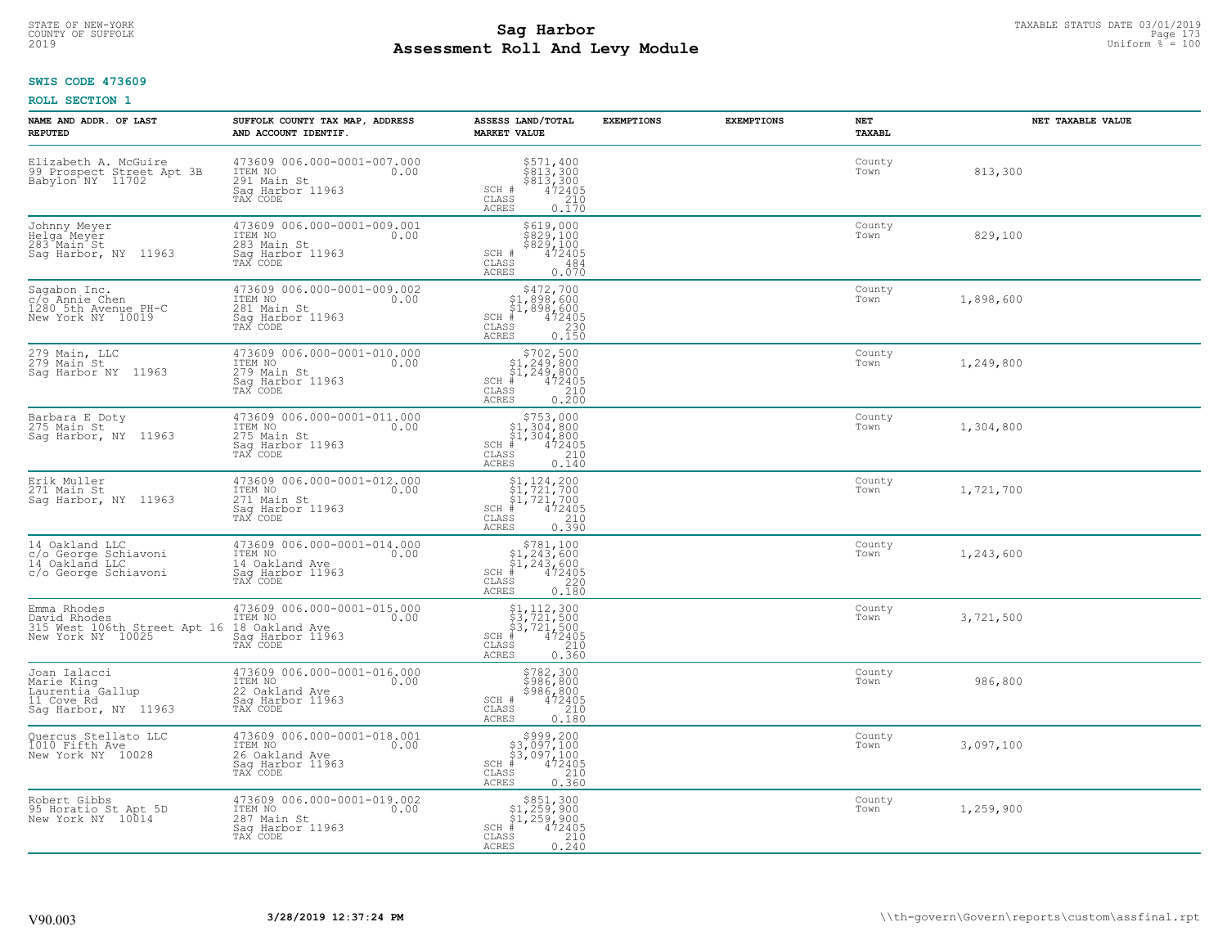# STATE OF NEW-YORK TAXABLE STATUS DATE 03/01/2019<br>COUNTY OF SUFFOLK Page 173 **Assessment Roll And Levy Module** 2019 Uniform % = 100

# **SWIS CODE 473609**

| NAME AND ADDR. OF LAST<br><b>REPUTED</b>                                             | SUFFOLK COUNTY TAX MAP, ADDRESS<br>AND ACCOUNT IDENTIF.                                          | ASSESS LAND/TOTAL<br><b>MARKET VALUE</b>                                                                                                                                                                                                                                                                             | <b>EXEMPTIONS</b> | <b>EXEMPTIONS</b> | NET<br>TAXABL  | NET TAXABLE VALUE |
|--------------------------------------------------------------------------------------|--------------------------------------------------------------------------------------------------|----------------------------------------------------------------------------------------------------------------------------------------------------------------------------------------------------------------------------------------------------------------------------------------------------------------------|-------------------|-------------------|----------------|-------------------|
| Elizabeth A. McGuire<br>99 Prospect Street Apt 3B<br>Babylon NY 11702                | 473609 006.000-0001-007.000<br>ITEM NO<br>0.00<br>291 Main St<br>Saq Harbor 11963<br>TAX CODE    | $\begin{array}{l} 5571, 400 \\ 8813, 300 \\ 8813, 300 \\ 472405 \\ 210 \\ \end{array}$<br>$SCH$ #<br>CLASS<br><b>ACRES</b><br>0.170                                                                                                                                                                                  |                   |                   | County<br>Town | 813,300           |
| Johnny Meyer<br>Helga Meyer<br>283 Main St<br>Saq Harbor, NY 11963                   | 473609 006.000-0001-009.001<br>ITEM NO<br>0.00<br>283 Main St<br>Sag Harbor 11963<br>TAX CODE    | \$619,000<br>\$829,100<br>\$829,100<br>SCH #<br>472405<br>$\mathtt{CLASS}$<br>484<br>0.070<br>ACRES                                                                                                                                                                                                                  |                   |                   | County<br>Town | 829,100           |
| Sagabon Inc.<br>c/o Annie Chen<br>1280 5th Avenue PH-C<br>New York NY 10019          | 473609 006.000-0001-009.002<br>ITEM NO<br>0.00<br>281 Main St<br>Saq Harbor 11963<br>TAX CODE    | \$472,700<br>$$^{94}_{61}, $^{98}_{89}, $^{600}_{61}, $^{898}_{70}, $^{600}_{700}$$<br>$SCH$ #<br>CLASS<br><b>ACRES</b><br>0.150                                                                                                                                                                                     |                   |                   | County<br>Town | 1,898,600         |
| 279 Main, LLC<br>$279$ Main St<br>Sag Harbor NY 11963                                | 473609 006.000-0001-010.000<br>ITEM NO<br>0.00<br>279 Main St<br>Saq Harbor 11963<br>TAX CODE    | $\begin{array}{r} \text{\small $>$702$, $500$} \\ \text{\small $>$1$, $249$, $800$} \\ \text{\small $>$1$, $249$, $800$} \\ \text{\small $>$472405$} \\ \text{\small $>$85$} \\ \text{\small $25$} \\ \text{\small $25$} \\ \text{\small $25$} \\ \text{\small $0$} \end{array}$<br>$SCH$ #<br>CLASS<br><b>ACRES</b> |                   |                   | County<br>Town | 1,249,800         |
| Barbara E Doty<br>275 Main St<br>Sag Harbor, NY 11963                                | 473609 006.000-0001-011.000<br>ITEM NO<br>0.00<br>275 Main St<br>Saq Harbor 11963<br>TAX CODE    | \$753,000<br>$\begin{array}{r} 51,304,800 \\ 51,304,800 \\ * & 472405 \\ * & 210 \\ * \end{array}$<br>$SCH$ #<br>CLASS<br>ACRES<br>0.140                                                                                                                                                                             |                   |                   | County<br>Town | 1,304,800         |
| Erik Muller<br>271 Main St<br>Sag Harbor, NY 11963                                   | 473609 006.000-0001-012.000<br>ITEM NO<br>271 Main St<br>0.00<br>Sag Harbor 11963<br>TAX CODE    | $$1, 124, 200$<br>$$1, 721, 700$<br>$$1, 721, 700$<br>$*1, 721, 700$<br>$SCH$ #<br>CLASS<br>210<br><b>ACRES</b><br>0.390                                                                                                                                                                                             |                   |                   | County<br>Town | 1,721,700         |
| 14 Oakland LLC<br>c/o George Schiavoni<br>14 Oakland LLC<br>c/o George Schiavoni     | 473609 006.000-0001-014.000<br>ITEM NO<br>0.00<br>14 Oakland Ave<br>Sag Harbor 11963<br>TAX CODE | $$781, 100$<br>$$1, 243, 600$<br>$$1, 243, 600$<br>$$472405$<br>$SCH$ #<br>CLASS<br>220<br><b>ACRES</b><br>0.180                                                                                                                                                                                                     |                   |                   | County<br>Town | 1,243,600         |
| Emma Rhodes<br>David Rhodes<br>315 West 106th Street Apt 16<br>New York NY 10025     | 473609 006.000-0001-015.000<br>TTEM NO 0.00<br>18 Oakland Ave<br>Saq Harbor 11963<br>TAX CODE    | $$3, 721, 500$<br>$$3, 721, 500$<br>$$3, 721, 500$<br>$472405$<br>$$210$<br>$SCH$ #<br>$\mathtt{CLASS}$<br>ACRES<br>0.360                                                                                                                                                                                            |                   |                   | County<br>Town | 3,721,500         |
| Joan Ialacci<br>Marie King<br>Laurentia Gallup<br>11 Cove Rd<br>Sag Harbor, NY 11963 | 473609 006.000-0001-016.000<br>10.00 0.00<br>22 Oakland Ave<br>Saq Harbor 11963<br>TAX CODE      | \$782,300<br>\$986,800<br>$$986, 800$<br>472405<br>210<br>SCH #<br>CLASS<br><b>ACRES</b><br>0.180                                                                                                                                                                                                                    |                   |                   | County<br>Town | 986,800           |
| Quercus Stellato LLC<br>1010 Fifth Ave<br>New York NY 10028                          | 473609 006.000-0001-018.001<br>ITEM NO<br>0.00<br>26 Oakland Ave<br>Sag Harbor 11963<br>TAX CODE | $$999, 200$<br>$$3, 097, 100$<br>$$3, 097, 100$<br>$$472405$<br>$SCH$ #<br>CLASS<br>$\begin{array}{c} 210 \\ 0.360 \end{array}$<br><b>ACRES</b>                                                                                                                                                                      |                   |                   | County<br>Town | 3,097,100         |
| Robert Gibbs<br>95 Horatio St Apt 5D<br>New York NY 10014                            | 473609 006.000-0001-019.002<br>ITEM NO<br>0.00<br>287 Main St<br>Sag Harbor 11963<br>TAX CODE    | \$851,300<br>\$1,259,900<br>\$1,259,900<br>$SCH$ #<br>472405<br>CLASS<br>$\frac{210}{0.240}$<br>ACRES                                                                                                                                                                                                                |                   |                   | County<br>Town | 1,259,900         |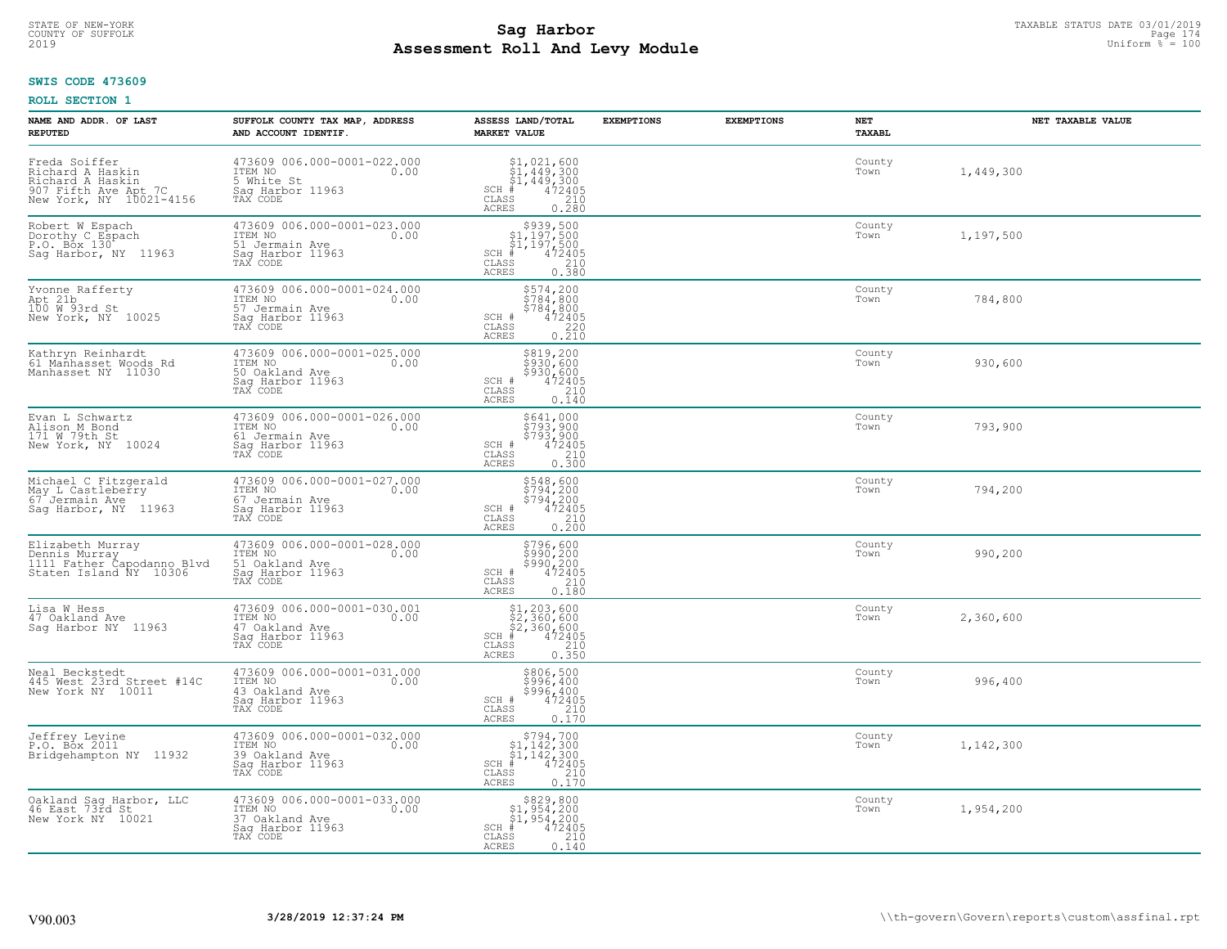# STATE OF NEW-YORK TAXABLE STATUS DATE 03/01/2019<br>Page 174 **Sag Harbor** Superinten and the superior of superior page 174 **Assessment Roll And Levy Module** 2019 Uniform % = 100

### **SWIS CODE 473609**

| NAME AND ADDR. OF LAST<br><b>REPUTED</b>                                                                 | SUFFOLK COUNTY TAX MAP, ADDRESS<br>AND ACCOUNT IDENTIF.                                          | ASSESS LAND/TOTAL<br><b>MARKET VALUE</b>                                                                                                     | <b>EXEMPTIONS</b> | <b>EXEMPTIONS</b> | NET<br>TAXABL  | NET TAXABLE VALUE |
|----------------------------------------------------------------------------------------------------------|--------------------------------------------------------------------------------------------------|----------------------------------------------------------------------------------------------------------------------------------------------|-------------------|-------------------|----------------|-------------------|
| Freda Soiffer<br>Richard A Haskin<br>Richard A Haskin<br>907 Fifth Ave Apt 7C<br>New York, NY 10021-4156 | 473609 006.000-0001-022.000<br>ITEM NO<br>0.00<br>5 White St<br>Saq Harbor 11963<br>TAX CODE     | \$1,021,600<br>$\begin{array}{l} 51,449,300 \\ 51,449,300 \\ + 472405 \end{array}$<br>$SCH$ #<br>CLASS<br>210<br>ACRES<br>0.280              |                   |                   | County<br>Town | 1,449,300         |
| Robert W Espach<br>Dorothy C Espach<br>P.O. Box 130<br>Sag Harbor, NY 11963                              | 473609 006.000-0001-023.000<br>ITEM NO<br>0.00<br>51 Jermain Ave<br>Saq Harbor 11963<br>TAX CODE | $$939,500$<br>$$1,197,500$<br>$$1,197,500$<br>$*1$<br>$*12405$<br>$SCH$ #<br>CLASS<br>$\begin{array}{c} 210 \\ 0.380 \end{array}$<br>ACRES   |                   |                   | County<br>Town | 1,197,500         |
| Yvonne Rafferty<br>Apt 21b<br>100 W 93rd St<br>New York, NY 10025                                        | 473609 006.000-0001-024.000<br>ITEM NO<br>0.00<br>57 Jermain Ave<br>Sag Harbor 11963<br>TAX CODE | \$574,200<br>\$784,800<br>$\begin{array}{r} 5784,800 \\ 472405 \\ 220 \\ 0.210 \end{array}$<br>SCH #<br>CLASS<br>ACRES                       |                   |                   | County<br>Town | 784,800           |
| Kathryn Reinhardt<br>61 Manhasset Woods Rd<br>Manhasset NY 11030                                         | 473609 006.000-0001-025.000<br>ITEM NO<br>0.00<br>50 Oakland Ave<br>Saq Harbor 11963<br>TAX CODE | \$819,200<br>\$930,600<br>\$930,600<br>SCH #<br>$\frac{472405}{210}$<br>CLASS<br><b>ACRES</b><br>0.140                                       |                   |                   | County<br>Town | 930,600           |
| Evan L Schwartz<br>Alison M Bond<br>171 W 79th St<br>New York, NY 10024                                  | 473609 006.000-0001-026.000<br>ITEM NO<br>0.00<br>61 Jermain Ave<br>Saq Harbor 11963<br>TAX CODE | \$641,000<br>\$793,900<br>\$793,900<br>\$793,900<br>SCH #<br>$\begin{array}{c} 210 \\ 0.300 \end{array}$<br>CLASS<br>ACRES                   |                   |                   | County<br>Town | 793,900           |
| Michael C Fitzgerald<br>May L Castleberry<br>67 Jermain Ave<br>Saq Harbor, NY 11963                      | 473609 006.000-0001-027.000<br>ITEM NO<br>0.00<br>67 Jermain Ave<br>Saq Harbor 11963<br>TAX CODE | \$548,600<br>\$794,200<br>\$794,200<br>472405<br>SCH #<br>$\mathtt{CLASS}$<br>210<br>0.200<br><b>ACRES</b>                                   |                   |                   | County<br>Town | 794,200           |
| Elizabeth Murray<br>Dennis Murray<br>1111 Father Capodanno Blvd<br>Staten Island NY 10306                | 473609 006.000-0001-028.000<br>ITEM NO<br>0.00<br>51 Oakland Ave<br>Sag Harbor 11963<br>TAX CODE | \$796,600<br>\$990,200<br>\$990,200<br>472405<br>SCH #<br>CLASS<br>210<br>0.180<br>ACRES                                                     |                   |                   | County<br>Town | 990,200           |
| Lisa W Hess<br>47 Oakland Ave<br>Saq Harbor NY 11963                                                     | 473609 006.000-0001-030.001<br>TTEM NO 0.00<br>47 Oakland Ave<br>Saq Harbor 11963<br>TAX CODE    | $$1, 203, 600$<br>$$2, 360, 600$<br>$$2, 360, 600$<br>$*$ 472405<br>$SCH$ #<br>CLASS<br>$\begin{array}{c} 210 \\ 0.350 \end{array}$<br>ACRES |                   |                   | County<br>Town | 2,360,600         |
| Neal Beckstedt<br>445 West 23rd Street #14C<br>New York NY 10011                                         | 473609 006.000-0001-031.000<br>ITEM NO 0.00<br>43 Oakland Ave<br>Saq Harbor 11963<br>TAX CODE    | \$806,500<br>\$996,400<br>$$996, 4004724052100.170$<br>SCH #<br>CLASS<br><b>ACRES</b>                                                        |                   |                   | County<br>Town | 996,400           |
| Jeffrey Levine<br>P.O. Box 2011<br>Bridgehampton NY 11932                                                | 473609 006.000-0001-032.000<br>ITEM NO<br>0.00<br>39 Oakland Ave<br>Sag Harbor 11963<br>TAX CODE | \$794,700<br>$$1,142,300$<br>$$1,142,300$<br>$*$ 472405<br>$SCH$ #<br>210<br>CLASS<br>ACRES<br>0.170                                         |                   |                   | County<br>Town | 1,142,300         |
| Oakland Sag Harbor, LLC<br>46 East 73rd St<br>New York NY 10021                                          | 473609 006.000-0001-033.000<br>ITEM NO<br>0.00<br>37 Oakland Ave<br>Sag Harbor 11963<br>TAX CODE | $$829, 800$<br>$$1, 954, 200$<br>$$1, 954, 200$<br>$$472405$<br>$SCH$ #<br>CLASS<br>210<br>ACRES<br>0.140                                    |                   |                   | County<br>Town | 1,954,200         |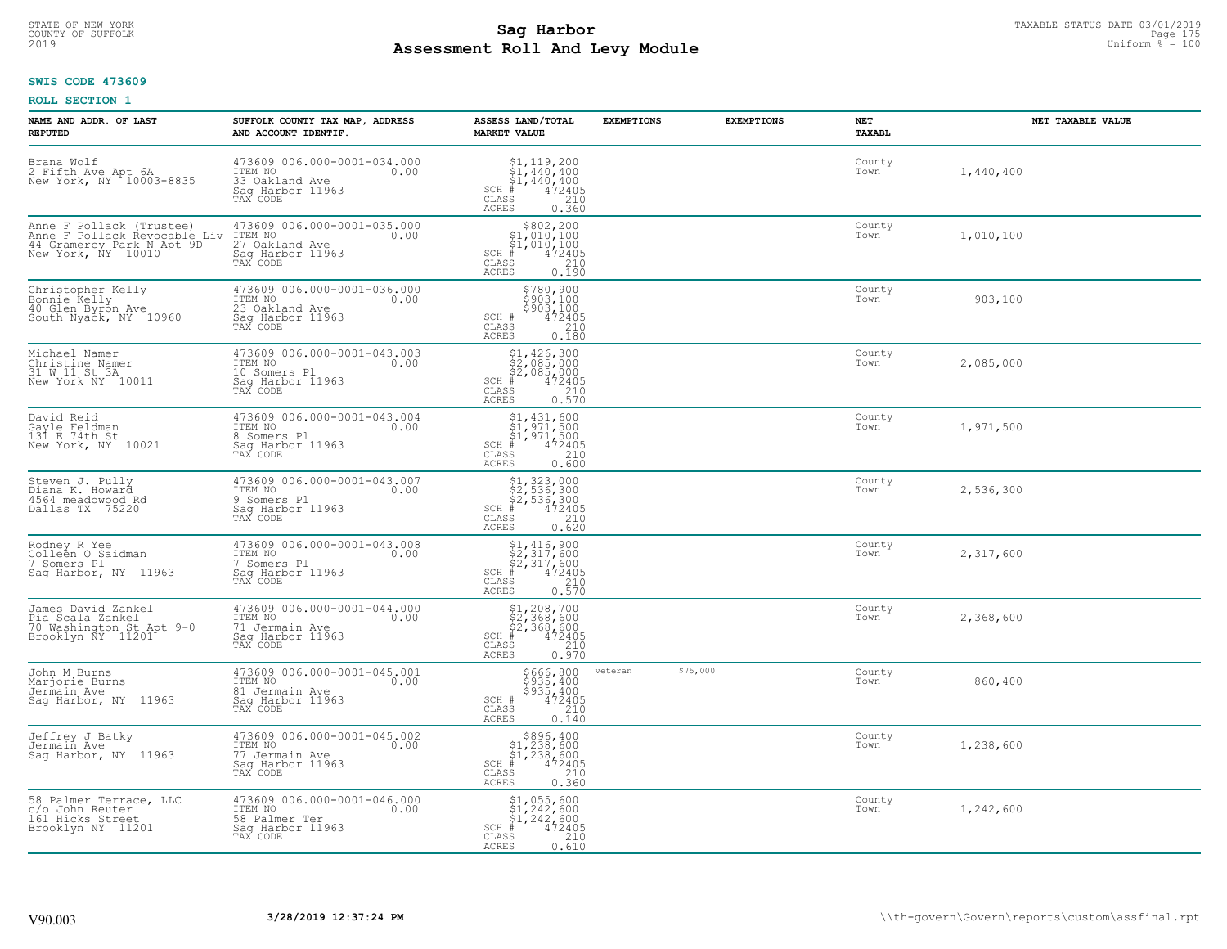# STATE OF NEW-YORK TAXABLE STATUS DATE 03/01/2019<br>COUNTY OF SUFFOLK Page 175 Page 175 **Assessment Roll And Levy Module** 2019 Uniform % = 100

### **SWIS CODE 473609**

| NAME AND ADDR. OF LAST<br><b>REPUTED</b>                                                                    | SUFFOLK COUNTY TAX MAP, ADDRESS<br>AND ACCOUNT IDENTIF.                                          | ASSESS LAND/TOTAL<br><b>MARKET VALUE</b>                                                                                                                                                                                                                                                                                                                                                                            | <b>EXEMPTIONS</b>   | <b>EXEMPTIONS</b><br>NET<br><b>TAXABL</b> |           | NET TAXABLE VALUE |
|-------------------------------------------------------------------------------------------------------------|--------------------------------------------------------------------------------------------------|---------------------------------------------------------------------------------------------------------------------------------------------------------------------------------------------------------------------------------------------------------------------------------------------------------------------------------------------------------------------------------------------------------------------|---------------------|-------------------------------------------|-----------|-------------------|
| Brana Wolf<br>2 Fifth Ave Apt 6A<br>New York, NY 10003-8835                                                 | 473609 006.000-0001-034.000<br>ITEM NO<br>0.00<br>33 Oakland Ave<br>Saq Harbor 11963<br>TAX CODE | $$1, 119, 200$<br>$$1, 440, 400$<br>$$1, 440, 400$<br>$472405$<br>$$210$<br>$SCH$ #<br>CLASS<br>0.360<br>ACRES                                                                                                                                                                                                                                                                                                      |                     | County<br>Town                            | 1,440,400 |                   |
| Anne F Pollack (Trustee)<br>Anne F Pollack Revocable Liv<br>44 Gramercy Park N Apt 9D<br>New York, NY 10010 | 473609 006.000-0001-035.000<br>ITEM NO<br>0.00<br>27 Oakland Ave<br>Sag Harbor 11963<br>TAX CODE | $$802,200\n$1,010,100\n$1,010,100\n# 472405\n85\n210$<br>$SCH$ #<br>CLASS<br>0.190<br>ACRES                                                                                                                                                                                                                                                                                                                         |                     | County<br>Town                            | 1,010,100 |                   |
| Christopher Kelly<br>Bonnie Kelly<br>40 Glen Byron Ave<br>South Nyack, NY 10960                             | 473609 006.000-0001-036.000<br>ITEM NO<br>0.00<br>23 Oakland Ave<br>Sag Harbor 11963<br>TAX CODE | \$780,900<br>\$903,100<br>$$903,100$<br>472405<br>210<br>SCH #<br>CLASS<br>0.180<br>ACRES                                                                                                                                                                                                                                                                                                                           |                     | County<br>Town                            | 903,100   |                   |
| Michael Namer<br>Christine Namer<br>31 W 11 St 3A<br>New York NY 10011                                      | 473609 006.000-0001-043.003<br>ITEM NO<br>0.00<br>10 Somers Pl<br>Saq Harbor 11963<br>TAX CODE   | \$1,426,300<br>\$2,085,000<br>\$2,085,000<br>$SCH$ #<br>$\frac{472405}{210}$<br>CLASS<br>ACRES<br>0.570                                                                                                                                                                                                                                                                                                             |                     | County<br>Town                            | 2,085,000 |                   |
| David Reid<br>Gayle Feldman<br>131 E 74th St<br>New York, NY 10021                                          | 473609 006.000-0001-043.004<br>ITEM NO<br>0.00<br>8 Somers Pl<br>Saq Harbor 11963<br>TAX CODE    | \$1,431,600<br>$\begin{array}{l} 31,371,500 \\ 51,971,500 \\ + 472405 \end{array}$<br>$SCH$ #<br>CLASS<br>$\begin{array}{c} 210 \\ 0.600 \end{array}$<br><b>ACRES</b>                                                                                                                                                                                                                                               |                     | County<br>Town                            | 1,971,500 |                   |
| Steven J. Pully<br>Diana K. Howard<br>4564 meadowood Rd<br>Dallas TX 75220                                  | 473609 006.000-0001-043.007<br>ITEM NO<br>0.00<br>9 Somers Pl<br>Sag Harbor 11963<br>TAX CODE    | $\begin{array}{r} \text{\$1$, $323$, $000$} \\ \text{\$2$, $536$, $300$} \\ \text{\$2$, $536$, $300$} \\ \text{\$4$72405} \\ \text{\$8$8$} \\ \text{\$10$} \\ \text{\$110$} \\ \text{\$120$} \\ \text{\$130$} \\ \text{\$140$} \\ \text{\$158$} \\ \text{\$168$} \\ \text{\$189$} \\ \text{\$190$} \\ \text{\$190$} \\ \text{\$190$} \\ \text{\$190$} \\ \text{\$190$} \\ \text{\$190$<br>$SCH$ #<br>CLASS<br>ACRES |                     | County<br>Town                            | 2,536,300 |                   |
| Rodney R Yee<br>Colleen O Saidman<br>7 Somers Pl<br>Saq Harbor, NY 11963                                    | 473609 006.000-0001-043.008<br>ITEM NO<br>0.00<br>7 Somers Pl<br>Saq Harbor 11963<br>TAX CODE    | $$2, 317, 600$<br>$$2, 317, 600$<br>$$2, 317, 600$<br>$*$ 472405<br>$SCH$ #<br>$\begin{array}{c} 210 \\ 0.570 \end{array}$<br>CLASS<br>ACRES                                                                                                                                                                                                                                                                        |                     | County<br>Town                            | 2,317,600 |                   |
| James David Zankel<br>Pia Scala Zankel<br>70 Washington St Apt 9-0<br>Brooklyn NY 11201                     | 473609 006.000-0001-044.000<br>ITEM NO<br>0.00<br>71 Jermain Ave<br>Saq Harbor 11963<br>TAX CODE | $$1, 208, 700$<br>$$2, 368, 600$<br>$$2, 368, 600$<br>$*$ 472405<br>$SCH$ #<br>CLASS<br>210<br><b>ACRES</b><br>0.970                                                                                                                                                                                                                                                                                                |                     | County<br>Town                            | 2,368,600 |                   |
| John M Burns<br>Marjorie Burns<br>Jermain Ave<br>Sag Harbor, NY 11963                                       | 473609 006.000-0001-045.001<br>ITEM NO 0.00<br>81 Jermain Ave<br>Saq Harbor 11963<br>TAX CODE    | \$666,800<br>\$935,400<br>\$935,400<br>472405<br>SCH #<br>CLASS<br>210<br><b>ACRES</b><br>0.140                                                                                                                                                                                                                                                                                                                     | \$75,000<br>veteran | County<br>Town                            | 860,400   |                   |
| Jeffrey J Batky<br>Jermain Ave<br>Saq Harbor, NY 11963                                                      | 473609 006.000-0001-045.002<br>ITEM NO<br>0.00<br>77 Jermain Ave<br>Sag Harbor 11963<br>TAX CODE | $$896, 400$<br>$$1, 238, 600$<br>$$1, 238, 600$<br>$472405$<br>$$210$<br>$SCH$ #<br>CLASS<br><b>ACRES</b><br>0.360                                                                                                                                                                                                                                                                                                  |                     | County<br>Town                            | 1,238,600 |                   |
| 58 Palmer Terrace, LLC<br>c/o John Reuter<br>161 Hicks Street<br>Brooklyn NY 11201                          | 473609 006.000-0001-046.000<br>ITEM NO<br>0.00<br>58 Palmer Ter<br>Sag Harbor 11963<br>TAX CODE  | \$1,055,600<br>\$1,242,600<br>\$1,242,600<br>$SCH$ #<br>472405<br>210<br>CLASS<br>ACRES<br>0.610                                                                                                                                                                                                                                                                                                                    |                     | County<br>Town                            | 1,242,600 |                   |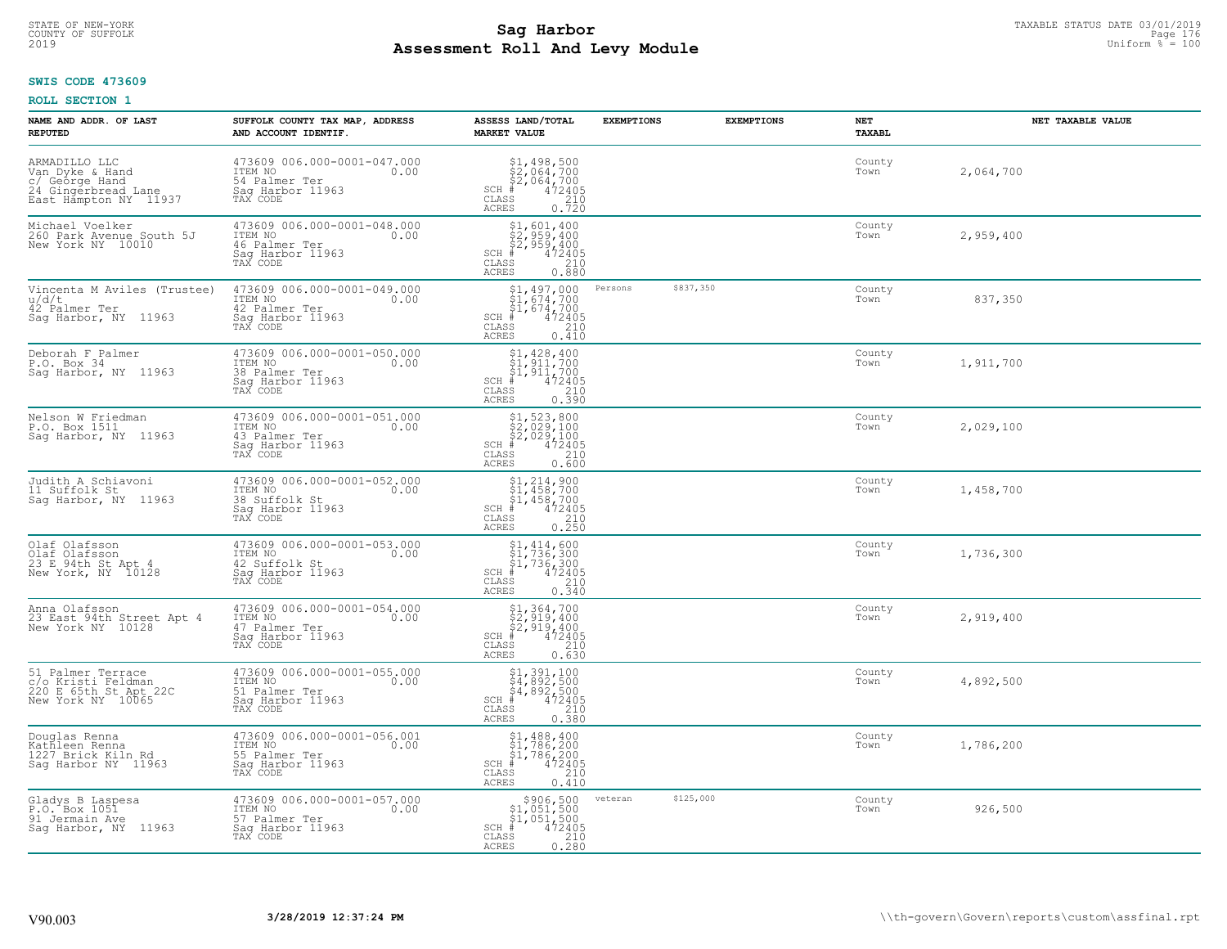# STATE OF NEW-YORK TAXABLE STATUS DATE 03/01/2019<br>COUNTY OF SUFFOLK Page 176 Page 176 **Assessment Roll And Levy Module** 2019 Uniform % = 100

### **SWIS CODE 473609**

| NAME AND ADDR. OF LAST<br><b>REPUTED</b>                                                           | SUFFOLK COUNTY TAX MAP, ADDRESS<br>AND ACCOUNT IDENTIF.                                         | ASSESS LAND/TOTAL<br><b>MARKET VALUE</b>                                                                                                                                                                                                                                                                                                | <b>EXEMPTIONS</b>    | <b>EXEMPTIONS</b> | <b>NET</b><br>TAXABL | NET TAXABLE VALUE |
|----------------------------------------------------------------------------------------------------|-------------------------------------------------------------------------------------------------|-----------------------------------------------------------------------------------------------------------------------------------------------------------------------------------------------------------------------------------------------------------------------------------------------------------------------------------------|----------------------|-------------------|----------------------|-------------------|
| ARMADILLO LLC<br>Van Dyke & Hand<br>c/ George Hand<br>24 Gingerbread Lane<br>East Hampton NY 11937 | 473609 006.000-0001-047.000<br>ITEM NO<br>0.00<br>54 Palmer Ter<br>Saq Harbor 11963<br>TAX CODE | $$2,064,700$<br>$$2,064,700$<br>$$2,064,700$<br>$472405$<br>$$2,064$<br>$$210$<br>$SCH$ #<br>CLASS<br>0.720<br>ACRES                                                                                                                                                                                                                    |                      |                   | County<br>Town       | 2,064,700         |
| Michael Voelker<br>260 Park Avenue South 5J<br>New York NY 10010                                   | 473609 006.000-0001-048.000<br>ITEM NO<br>0.00<br>46 Palmer Ter<br>Saq Harbor 11963<br>TAX CODE | $$2,959,400$<br>$$2,959,400$<br>$$2,959,400$<br>$\frac{472405}{210}$<br>$SCH$ #<br>CLASS<br>ACRES<br>0.880                                                                                                                                                                                                                              |                      |                   | County<br>Town       | 2,959,400         |
| Vincenta M Aviles (Trustee)<br>u/d/t<br>42 Palmer Ter<br>Saq Harbor, NY 11963                      | 473609 006.000-0001-049.000<br>ITEM NO<br>0.00<br>42 Palmer Ter<br>Sag Harbor 11963<br>TAX CODE | $$1,497,000$<br>$$1,674,700$<br>$$1,674,700$<br>$SCH$ #<br>$472405$<br>210<br>CLASS<br>0.410<br>ACRES                                                                                                                                                                                                                                   | \$837,350<br>Persons |                   | County<br>Town       | 837,350           |
| Deborah F Palmer<br>P.O. Box 34<br>Sag Harbor, NY 11963                                            | 473609 006.000-0001-050.000<br>ITEM NO<br>0.00<br>38 Palmer Ter<br>Saq Harbor 11963<br>TAX CODE | $$1,428,400$<br>$$1,911,700$<br>\$1,911,700<br>$SCH$ #<br>$\begin{array}{r} 472405 \\ 210 \\ 0.390 \end{array}$<br>CLASS<br>ACRES                                                                                                                                                                                                       |                      |                   | County<br>Town       | 1,911,700         |
| Nelson W Friedman<br>P.O. Box 1511<br>Sag Harbor, NY 11963                                         | 473609 006.000-0001-051.000<br>ITEM NO<br>0.00<br>43 Palmer Ter<br>Saq Harbor 11963<br>TAX CODE | $\begin{array}{r} \texttt{\$1$, 523$, 800} \\ \texttt{\$2$, 029, 100} \\ \texttt{\$2$, 029, 100} \\ \texttt{\$4$72405} \\ \texttt{\$8$} \\ \texttt{\$8$} \\ \texttt{\$8$} \\ \texttt{\$8$} \\ \texttt{\$9$} \\ \texttt{\$10$} \\ \texttt{\$10$} \\ \texttt{\$10$} \\ \texttt{\$18$} \\ \end{array}$<br>$SCH$ #<br>CLASS<br><b>ACRES</b> |                      |                   | County<br>Town       | 2,029,100         |
| Judith A Schiavoni<br>11 Suffolk St<br>Sag Harbor, NY 11963                                        | 473609 006.000-0001-052.000<br>ITEM NO<br>0.00<br>38 Suffolk St<br>Saq Harbor 11963<br>TAX CODE | $$1, 214, 900$<br>$$1, 458, 700$<br>$$1, 458, 700$<br>$$472405$<br>$SCH$ #<br>$\begin{array}{c} 210 \\ 0.250 \end{array}$<br>CLASS<br>ACRES                                                                                                                                                                                             |                      |                   | County<br>Town       | 1,458,700         |
| Olaf Olafsson<br>Olaf Olafsson<br>23 E 94th St Apt 4<br>New York, NY 10128                         | 473609 006.000-0001-053.000<br>ITEM NO<br>0.00<br>42 Suffolk St<br>Sag Harbor 11963<br>TAX CODE | $$1, 414, 600$<br>$$1, 736, 300$<br>$$1, 736, 300$<br>$$472405$<br>$SCH$ #<br>CLASS<br>$\frac{210}{0.340}$<br>ACRES                                                                                                                                                                                                                     |                      |                   | County<br>Town       | 1,736,300         |
| Anna Olafsson<br>23 East 94th Street Apt 4<br>New York NY 10128                                    | 473609 006.000-0001-054.000<br>ITEM NO<br>0.00<br>47 Palmer Ter<br>Saq Harbor 11963<br>TAX CODE | $$2,919,400$<br>$$2,919,400$<br>$$2,919,400$<br>$472405$<br>$$2,919$<br>$$210$<br>$SCH$ #<br>CLASS<br><b>ACRES</b><br>0.630                                                                                                                                                                                                             |                      |                   | County<br>Town       | 2,919,400         |
| 51 Palmer Terrace<br>c/o Kristi Feldman<br>220 E 65th St Apt 22C<br>New York NY 10065              | 473609 006.000-0001-055.000<br>TTEM NO 0.00<br>51 Palmer Ter<br>Saq Harbor 11963<br>TAX CODE    | $\begin{array}{r} \text{\small $51$, $391$, $100$} \\ \text{\small $54$, $892$, $500$} \\ \text{\small $54$, $892$, $500$} \\ \text{\small $4$ & $472405$} \\ \text{\small $85$ & $210$} \\ \text{\small $85$ & $210$} \\ \text{\small $85$ & $0.380$} \end{array}$<br>SCH<br>CLASS<br><b>ACRES</b>                                     |                      |                   | County<br>Town       | 4,892,500         |
| Douglas Renna<br>Kathleen Renna<br>1227 Brick Kiln Rd<br>Sag Harbor NY 11963                       | 473609 006.000-0001-056.001<br>ITEM NO<br>0.00<br>55 Palmer Ter<br>Sag Harbor 11963<br>TAX CODE | $$1, 488, 400$<br>$$1, 786, 200$<br>$$1, 786, 200$<br>$472405$<br>$$240$<br>$$240$<br>SCH<br>CLASS<br><b>ACRES</b><br>0.410                                                                                                                                                                                                             |                      |                   | County<br>Town       | 1,786,200         |
| Gladys B Laspesa<br>P.O. Box 1051<br>91 Jermain Ave<br>Saq Harbor, NY 11963                        | 473609 006.000-0001-057.000<br>ITEM NO<br>0.00<br>57 Palmer Ter<br>Saq Harbor 11963<br>TAX CODE | $\begin{array}{r} \texttt{\$906,500}\ \\ \texttt{\$1,051,500}\ \\ \texttt{\$1,051,500}\ \\ \texttt{\$1,051,500}\ \\ \texttt{\$1,2405}\ \\ \texttt{\$10}\ \\ \texttt{\$10}\ \\ \texttt{\$10}\ \\ \texttt{\$210}\ \\ \texttt{\$28}\end{array}$<br>$SCH$ #<br>CLASS<br><b>ACRES</b>                                                        | \$125,000<br>veteran |                   | County<br>Town       | 926,500           |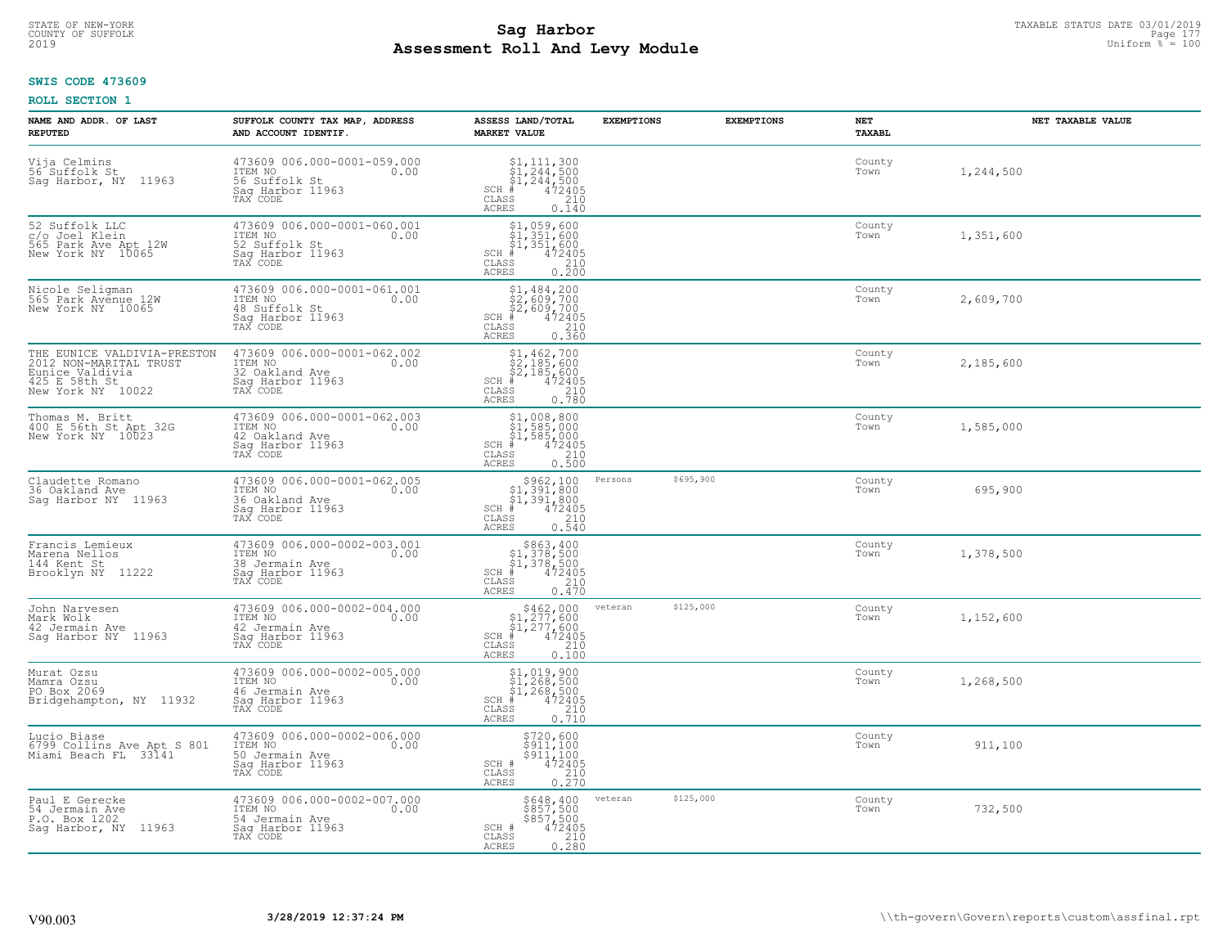# **SWIS CODE 473609**

| NAME AND ADDR. OF LAST<br><b>REPUTED</b>                                                                       | SUFFOLK COUNTY TAX MAP, ADDRESS<br>AND ACCOUNT IDENTIF.                                          | ASSESS LAND/TOTAL<br><b>MARKET VALUE</b>                                                                                                               | <b>EXEMPTIONS</b> | <b>EXEMPTIONS</b> | NET<br><b>TAXABL</b> | NET TAXABLE VALUE |
|----------------------------------------------------------------------------------------------------------------|--------------------------------------------------------------------------------------------------|--------------------------------------------------------------------------------------------------------------------------------------------------------|-------------------|-------------------|----------------------|-------------------|
| Vija Celmins<br>56 <sup>-</sup> Suffolk St<br>Sag Harbor, NY 11963                                             | 473609 006.000-0001-059.000<br>ITEM NO<br>0.00<br>56 Suffolk St<br>Sag Harbor 11963<br>TAX CODE  | $SCH$ #<br>CLASS<br><b>ACRES</b><br>0.140                                                                                                              |                   |                   | County<br>Town       | 1,244,500         |
| 52 Suffolk LLC<br>c/o Joel Klein<br>565 Park Ave Apt 12W<br>New York NY 10065                                  | 473609 006.000-0001-060.001<br>ITEM NO<br>0.00<br>52 Suffolk St<br>Saq Harbor 11963<br>TAX CODE  | \$1,059,600<br>\$1,351,600<br>\$1,351,600<br>#472405<br>$SCH$ #<br>CLASS<br>$\frac{210}{0.200}$<br><b>ACRES</b>                                        |                   |                   | County<br>Town       | 1,351,600         |
| Nicole Seligman<br>565 Park Avenue 12W<br>New York NY 10065                                                    | 473609 006.000-0001-061.001<br>ITEM NO<br>0.00<br>48 Suffolk St<br>Sag Harbor 11963<br>TAX CODE  | $$1,484,200$<br>$$2,609,700$<br>$$2,609,700$<br>$$472405$<br>$SCH$ #<br>CLASS<br>$\begin{array}{c} 210 \\ 0.360 \end{array}$<br><b>ACRES</b>           |                   |                   | County<br>Town       | 2,609,700         |
| THE EUNICE VALDIVIA-PRESTON<br>2012 NON-MARITAL TRUST<br>Eunice Valdivia<br>425 E 58th St<br>New York NY 10022 | 473609 006.000-0001-062.002<br>ITEM NO<br>0.00<br>32 Oakland Ave<br>Sag Harbor 11963<br>TAX CODE | $$2,185,600$<br>$$2,185,600$<br>$$472405$<br>$472405$<br>$$2,185$<br>$$210$<br>$SCH$ #<br>CLASS<br>0.780<br><b>ACRES</b>                               |                   |                   | County<br>Town       | 2,185,600         |
| Thomas M. Britt<br>400 E 56th St Apt 32G<br>New York NY 10023                                                  | 473609 006.000-0001-062.003<br>ITEM NO<br>0.00<br>42 Oakland Ave<br>Saq Harbor 11963<br>TAX CODE | $$1,008,800$<br>$$1,585,000$<br>$$1,585,000$<br>SCH #<br>$\frac{472405}{210}$<br>CLASS<br><b>ACRES</b><br>0.500                                        |                   |                   | County<br>Town       | 1,585,000         |
| Claudette Romano<br>36 Oakland Ave<br>Sag Harbor NY 11963                                                      | 473609 006.000-0001-062.005<br>ITEM NO<br>0.00<br>36 Oakland Ave<br>Sag Harbor 11963<br>TAX CODE | $\begin{array}{c} $962,100 $1,391,800 $1,391,800 $472405 \end{array}$<br>SCH #<br>CLASS<br>$\begin{array}{c} 210 \\ 0.540 \end{array}$<br><b>ACRES</b> | Persons           | \$695,900         | County<br>Town       | 695,900           |
| Francis Lemieux<br>Marena Nellos<br>144 Kent St<br>Brooklyn NY 11222                                           | 473609 006.000-0002-003.001<br>ITEM NO<br>0.00<br>38 Jermain Ave<br>Sag Harbor 11963<br>TAX CODE | $$863, 400$<br>$$1, 378, 500$<br>$$1, 378, 500$<br>$*1, 378, 500$<br>$SCH$ #<br>CLASS<br>210<br>0.470<br><b>ACRES</b>                                  |                   |                   | County<br>Town       | 1,378,500         |
| John Narvesen<br>Mark Wolk<br>42 Jermain Ave<br>Sag Harbor NY 11963                                            | 473609 006.000-0002-004.000<br>10.00 0.00<br>42 Jermain Ave<br>Saq Harbor 11963<br>TAX CODE      | $$462,000$<br>$$1,277,600$<br>$$1,277,600$<br>$*1,277,600$<br>$*1,472405$<br>$SCH$ #<br>CLASS<br>210<br><b>ACRES</b><br>0.100                          | veteran           | \$125,000         | County<br>Town       | 1,152,600         |
| Murat Ozsu<br>Mamra Ozsu<br>PO Box 2069<br>Bridgehampton, NY 11932                                             | 473609 006.000-0002-005.000<br>TTEM NO 0.00<br>46 Jermain Ave<br>Saq Harbor 11963<br>TAX CODE    | $$1,019,900$<br>$$1,268,500$<br>$$1,268,500$<br>$*$<br>$*$ 472405<br>$SCH$ #<br>CLASS<br>210<br><b>ACRES</b><br>0.710                                  |                   |                   | County<br>Town       | 1,268,500         |
| Lucio Biase<br>6799 Collins Ave Apt S 801<br>Miami Beach FL 33141                                              | 473609 006.000-0002-006.000<br>ITEM NO<br>0.00<br>50 Jermain Ave<br>Sag Harbor 11963<br>TAX CODE | $\begin{array}{c} 5720, 600 \\ 5911, 100 \\ 5911, 100 \\ 472405 \\ 0.210 \\ 0.270 \end{array}$<br>SCH #<br>CLASS<br><b>ACRES</b>                       |                   |                   | County<br>Town       | 911,100           |
| Paul E Gerecke<br>54 Jermain Ave<br>P.O. Box 1202<br>Sag Harbor, NY 11963                                      | 473609 006.000-0002-007.000<br>ITEM NO<br>0.00<br>54 Jermain Ave<br>Sag Harbor 11963<br>TAX CODE | \$648,400<br>\$857,500<br>\$857,500<br>472405<br>SCH #<br>$\begin{array}{c} 210 \\ 0.280 \end{array}$<br>CLASS<br><b>ACRES</b>                         | veteran           | \$125,000         | County<br>Town       | 732,500           |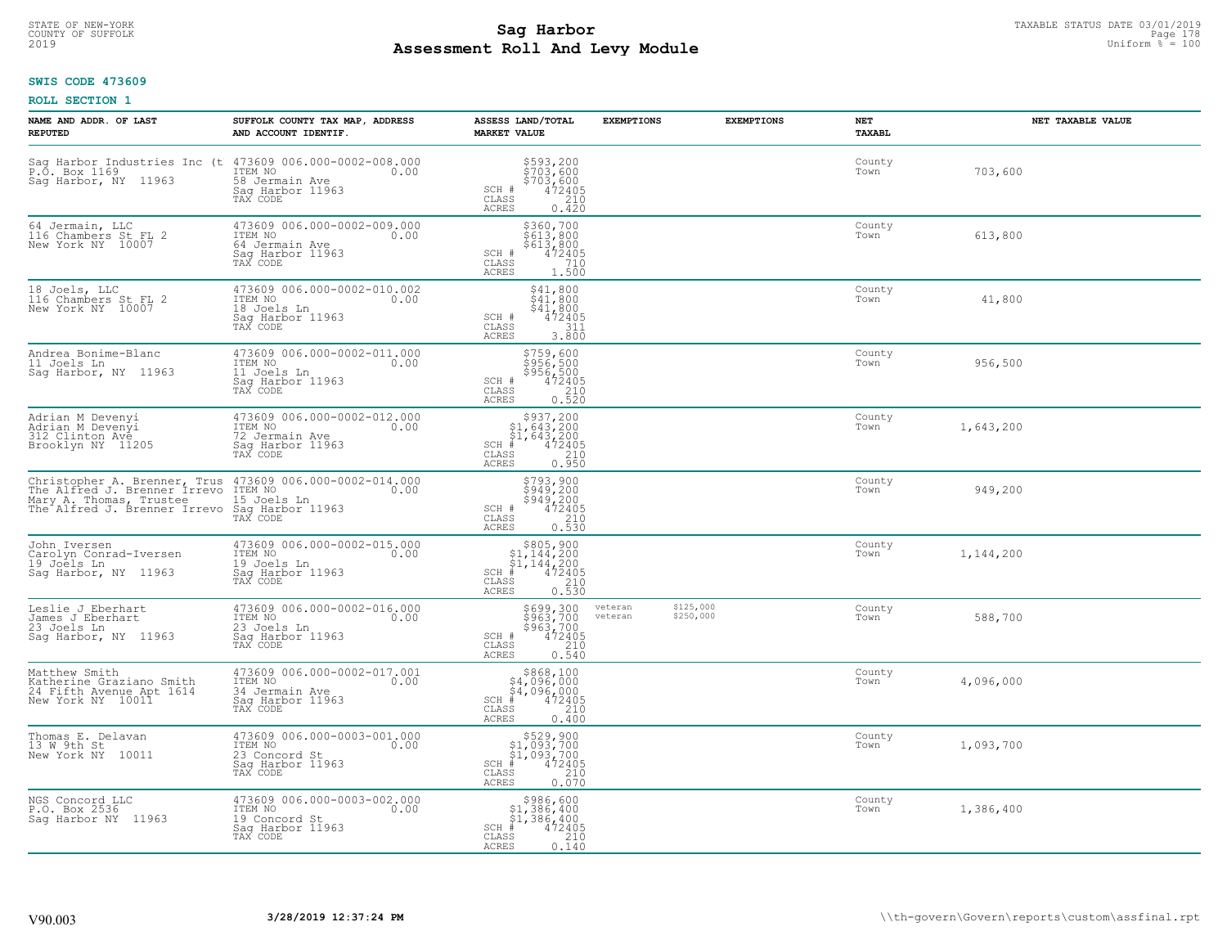# STATE OF NEW-YORK TAXABLE STATUS DATE 03/01/2019<br>COUNTY OF SUFFOLK Page 178 Page 178 **Assessment Roll And Levy Module** 2019 Uniform % = 100

### **SWIS CODE 473609**

| NAME AND ADDR. OF LAST<br><b>REPUTED</b>                                                          | SUFFOLK COUNTY TAX MAP, ADDRESS<br>AND ACCOUNT IDENTIF.                                          | ASSESS LAND/TOTAL<br><b>MARKET VALUE</b>                                                                                          | <b>EXEMPTIONS</b>                            | <b>EXEMPTIONS</b> | <b>NET</b><br>TAXABL | NET TAXABLE VALUE |
|---------------------------------------------------------------------------------------------------|--------------------------------------------------------------------------------------------------|-----------------------------------------------------------------------------------------------------------------------------------|----------------------------------------------|-------------------|----------------------|-------------------|
| Sag Harbor Industries Inc (t 473609 006.000-0002-008.000<br>P.O. Box 1169<br>Sag Harbor, NY 11963 | 58 Jermain Ave<br>Saq Harbor 11963<br>TAX CODE                                                   | \$593,200<br>\$703,600<br>\$703,600<br>\$703,600<br>SCH #<br>CLASS<br>210<br><b>ACRES</b><br>0.420                                |                                              |                   | County<br>Town       | 703,600           |
| 64 Jermain, LLC<br>116 Chambers St FL 2<br>New York NY 10007                                      | 473609 006.000-0002-009.000<br>ITEM NO<br>0.00<br>64 Jermain Ave<br>Sag Harbor 11963<br>TAX CODE | \$360,700<br>\$613,800<br>\$613,800<br>SCH #<br>472405<br>CLASS<br>710<br>ACRES<br>1.500                                          |                                              |                   | County<br>Town       | 613,800           |
| 18 Joels, LLC<br>116 Chambers St FL 2<br>New York NY 10007                                        | 473609 006.000-0002-010.002<br>ITEM NO<br>0.00<br>18 Joels Ln<br>Sag Harbor 11963<br>TAX CODE    | \$41,800<br>\$41,800<br>\$41,800<br>SCH #<br>472405<br>CLASS<br>311<br>3.800<br>ACRES                                             |                                              |                   | County<br>Town       | 41,800            |
| Andrea Bonime-Blanc<br>11 Joels Ln<br>Sag Harbor, NY 11963                                        | 473609 006.000-0002-011.000<br>ITEM NO<br>0.00<br>11 Joels Ln<br>Saq Harbor 11963<br>TAX CODE    | \$759,600<br>\$956,500<br>\$956,500<br>\$472405<br>\$210<br>SCH #<br>CLASS<br>0.520<br>ACRES                                      |                                              |                   | County<br>Town       | 956,500           |
| Adrian M Devenyi<br>Adrian M Devenyi<br>312 Clinton Ave<br>Brooklyn NY 11205                      | 473609 006.000-0002-012.000<br>ITEM NO<br>0.00<br>72 Jermain Ave<br>Saq Harbor 11963<br>TAX CODE | $$937,200$<br>$$1,643,200$<br>$$1,643,200$<br>$*$<br>$*$<br>$472405$<br>$SCH$ #<br>$\mathtt{CLASS}$<br>210<br>0.950<br>ACRES      |                                              |                   | County<br>Town       | 1,643,200         |
| Mary A. Thomas, Trustee<br>The Alfred J. Brenner Irrevo                                           | 15 Joels Ln<br>Sag Harbor 11963<br>TAX CODE                                                      | \$793,900<br>\$949,200<br>\$949,200<br>472405<br>SCH #<br>210<br>CLASS<br><b>ACRES</b><br>0.530                                   |                                              |                   | County<br>Town       | 949,200           |
| John Iversen<br>Carolyn Conrad-Iversen<br>19 Joels Ln<br>Saq Harbor, NY 11963                     | 473609 006.000-0002-015.000<br>ITEM NO<br>0.00<br>19 Joels Ln<br>Sag Harbor 11963<br>TAX CODE    | $\begin{array}{c} $805,900 \\ $1,144,200 \\ $1,144,200 \end{array}$<br>$SCH$ #<br>472405<br>CLASS<br>210<br><b>ACRES</b><br>0.530 |                                              |                   | County<br>Town       | 1,144,200         |
| Leslie J Eberhart<br>James J Eberhart<br>23 Joels Ln<br>Saq Harbor, NY 11963                      | 473609 006.000-0002-016.000<br>ITEM NO<br>0.00<br>23 Joels Ln<br>Saq Harbor 11963<br>TAX CODE    | \$699,300<br>\$963,700<br>\$963,700<br>SCH #<br>$\frac{472405}{210}$<br>CLASS<br><b>ACRES</b><br>0.540                            | \$125,000<br>veteran<br>\$250,000<br>veteran |                   | County<br>Town       | 588,700           |
| Matthew Smith<br>Katherine Graziano Smith<br>24 Fifth Avenue Apt 1614<br>New York NY 10011        | 473609 006.000-0002-017.001<br>ITEM NO<br>0.00<br>34 Jermain Ave<br>Saq Harbor 11963<br>TAX CODE | $$868,100$<br>$$4,096,000$<br>$$4,096,000$<br>$SCH$ #<br>472405<br>CLASS<br>210<br>0.400<br>ACRES                                 |                                              |                   | County<br>Town       | 4,096,000         |
| Thomas E. Delavan<br>13 W 9th St<br>New York NY<br>10011                                          | 473609 006.000-0003-001.000<br>ITEM NO<br>0.00<br>23 Concord St<br>Sag Harbor 11963<br>TAX CODE  | $$529,900\n$1,093,700\n$1,093,700\n# 472405\n$210\n$35$<br>$SCH$ #<br>CLASS<br>0.070<br><b>ACRES</b>                              |                                              |                   | County<br>Town       | 1,093,700         |
| NGS Concord LLC<br>P.O. Box 2536<br>Saq Harbor NY 11963                                           | 473609 006.000-0003-002.000<br>ITEM NO<br>0.00<br>19 Concord St<br>Sag Harbor 11963<br>TAX CODE  | \$986,600<br>\$1,386,400<br>\$1,386,400<br>SCH #<br>472405<br>210<br>CLASS<br>ACRES<br>0.140                                      |                                              |                   | County<br>Town       | 1,386,400         |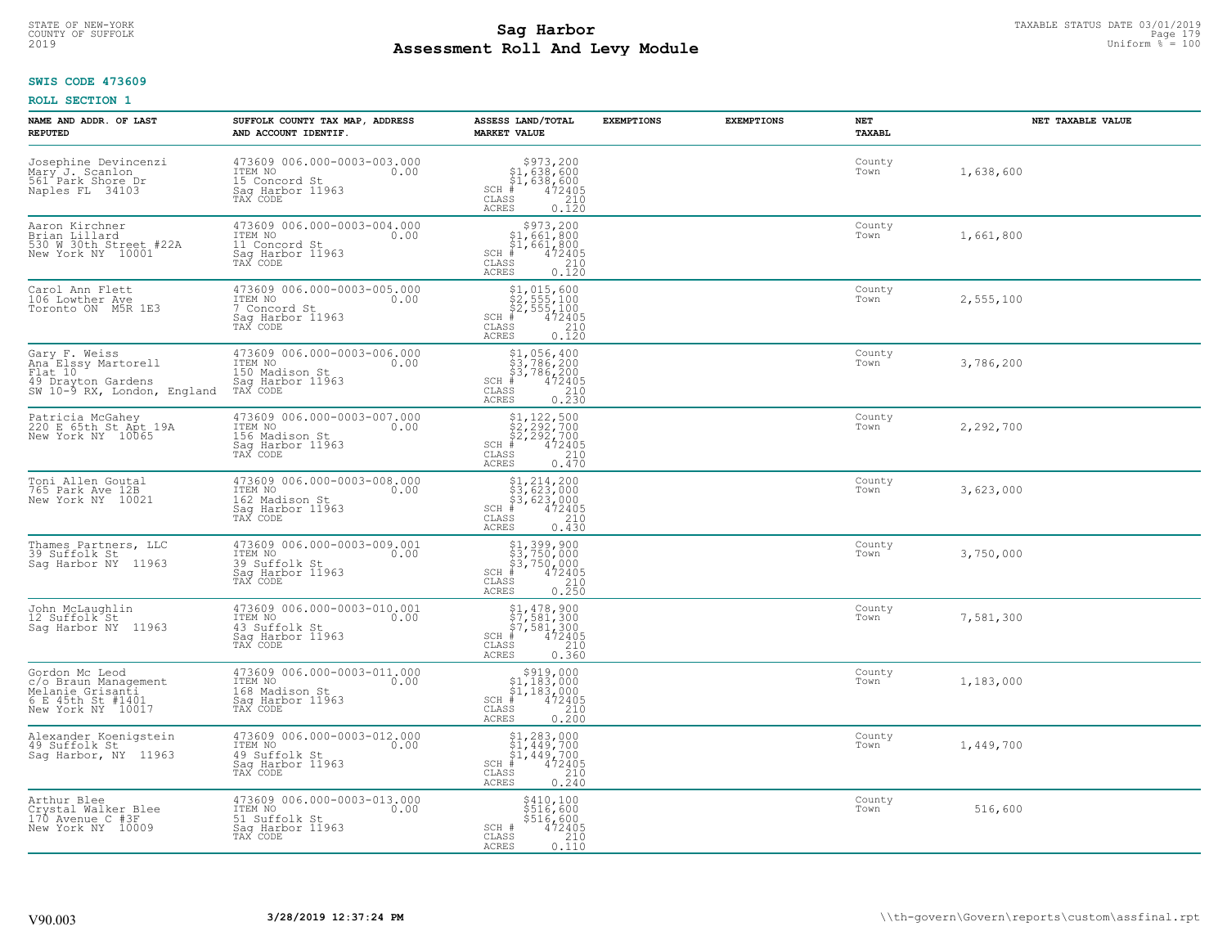# STATE OF NEW-YORK TAXABLE STATUS DATE 03/01/2019<br>COUNTY OF SUFFOLK Page 179 Page 179 **Assessment Roll And Levy Module** 2019 Uniform % = 100

### **SWIS CODE 473609**

| NAME AND ADDR. OF LAST<br><b>REPUTED</b>                                                             | SUFFOLK COUNTY TAX MAP, ADDRESS<br>AND ACCOUNT IDENTIF.                                          | ASSESS LAND/TOTAL<br><b>MARKET VALUE</b>                                                                                                                             | <b>EXEMPTIONS</b> | <b>EXEMPTIONS</b> | NET<br><b>TAXABL</b> | NET TAXABLE VALUE |
|------------------------------------------------------------------------------------------------------|--------------------------------------------------------------------------------------------------|----------------------------------------------------------------------------------------------------------------------------------------------------------------------|-------------------|-------------------|----------------------|-------------------|
| Josephine Devincenzi<br>Mary J. Scanlon<br>561 Park Shore Dr<br>Naples FL 34103                      | 473609 006.000-0003-003.000<br>ITEM NO<br>0.00<br>15 Concord St<br>Saq Harbor 11963<br>TAX CODE  | $$973, 200$<br>$$1, 638, 600$<br>$$1, 638, 600$<br>$472405$<br>$$210$<br>$SCH$ #<br>CLASS<br>ACRES<br>0.120                                                          |                   |                   | County<br>Town       | 1,638,600         |
| Aaron Kirchner<br>Brian Lillard<br>530 W 30th Street #22A<br>New York NY 10001                       | 473609 006.000-0003-004.000<br>ITEM NO<br>0.00<br>11 Concord St<br>Saq Harbor 11963<br>TAX CODE  | \$973,200<br>$$1,661,800$<br>$$1,661,800$<br>$SCH$ #<br>472405<br>CLASS<br>$\frac{210}{0.120}$<br><b>ACRES</b>                                                       |                   |                   | County<br>Town       | 1,661,800         |
| Carol Ann Flett<br>106 Lowther Ave<br>Toronto ON M5R 1E3                                             | 473609 006.000-0003-005.000<br>ITEM NO<br>0.00<br>7 Concord St<br>Saq Harbor 11963<br>TAX CODE   | $$2, 555, 100$<br>$$2, 555, 100$<br>$$2, 555, 100$<br>$$472405$<br>$SCH$ #<br>CLASS<br>210<br>0.120<br>ACRES                                                         |                   |                   | County<br>Town       | 2,555,100         |
| Gary F. Weiss<br>Ana Elssy Martorell<br>Flat 10<br>49 Drayton Gardens<br>SW 10-9 RX, London, England | 473609 006.000-0003-006.000<br>ITEM NO<br>0.00<br>150 Madison St<br>Saq Harbor 11963<br>TAX CODE | $$1,056,400$<br>$$3,786,200$<br>$$3,786,200$<br>$*$<br>$*$<br>$*$<br>$*$<br>$*$<br>$SCH$ #<br>CLASS<br>210<br>$0, \overline{2}\,\overline{3}\,\overline{0}$<br>ACRES |                   |                   | County<br>Town       | 3,786,200         |
| Patricia McGahey<br>220 E 65th St Apt 19A<br>New York NY 10065                                       | 473609 006.000-0003-007.000<br>ITEM NO<br>0.00<br>156 Madison St<br>Sag Harbor 11963<br>TAX CODE | $$2,292,700$<br>$$2,292,700$<br>$$2,292,700$<br>$472405$<br>$$35$<br>$$2,292$<br>$$210$<br>$SCH$ #<br>CLASS<br>0.470<br>ACRES                                        |                   |                   | County<br>Town       | 2,292,700         |
| Toni Allen Goutal<br>765 Park Ave 12B<br>New York NY 10021                                           | 473609 006.000-0003-008.000<br>ITEM NO<br>0.00<br>162 Madison St<br>Sag Harbor 11963<br>TAX CODE | $$3, 214, 200$<br>$$3, 623, 000$<br>$$3, 623, 000$<br>$$472405$<br>$SCH$ #<br>CLASS<br>210<br>0.430<br><b>ACRES</b>                                                  |                   |                   | County<br>Town       | 3,623,000         |
| Thames Partners, LLC<br>39 Suffolk St<br>Saq Harbor NY 11963                                         | 473609 006.000-0003-009.001<br>ITEM NO<br>0.00<br>39 Suffolk St<br>Sag Harbor 11963<br>TAX CODE  | \$1,399,900<br>\$3,750,000<br>\$3,750,000<br>472405<br>$SCH$ #<br>CLASS<br>210<br>0.250<br><b>ACRES</b>                                                              |                   |                   | County<br>Town       | 3,750,000         |
| John McLaughlin<br>12 Suffolk St<br>Saq Harbor NY 11963                                              | 473609 006.000-0003-010.001<br>1TEM NO 0.00<br>43 Suffolk St<br>Sag Harbor 11963<br>TAX CODE     | $$1, 478, 900$<br>$$7, 581, 300$<br>$$7, 581, 300$<br>$*$ $472405$<br>$SCH$ #<br>CLASS<br>210<br>ACRES<br>0.360                                                      |                   |                   | County<br>Town       | 7,581,300         |
| Gordon Mc Leod<br>c/o Braun Management<br>Melanie Grisanti<br>6 E 45th St #1401<br>New York NY 10017 | 473609 006.000-0003-011.000<br>ITEM NO 0.00<br>168 Madison St<br>Sag Harbor 11963<br>TAX CODE    | \$919,000<br>\$1,183,000<br>$\begin{matrix} 51,183,000 \\ 472405 \\ \text{ss} \end{matrix}$<br>SCH #<br>CLASS<br><b>ACRES</b><br>0.200                               |                   |                   | County<br>Town       | 1,183,000         |
| Alexander Koenigstein<br>49 Suffolk St<br>Sag Harbor, NY 11963                                       | 473609 006.000-0003-012.000<br>ITEM NO<br>0.00<br>49 Suffolk St<br>Sag Harbor 11963<br>TAX CODE  | $$1, 283, 000$<br>$$1, 449, 700$<br>$$1, 449, 700$<br>$$49, 700$<br>$$1, 449, 72405$<br>$SCH$ #<br>CLASS<br>210<br><b>ACRES</b><br>0.240                             |                   |                   | County<br>Town       | 1,449,700         |
| Arthur Blee<br>Crystal Walker Blee<br>170 Avenue C #3F<br>New York NY 10009                          | 473609 006.000-0003-013.000<br>ITEM NO<br>0.00<br>51 Suffolk St<br>Saq Harbor 11963<br>TAX CODE  | \$410,100<br>\$516,600<br>\$516,600<br>SCH #<br>472405<br>CLASS<br>210<br><b>ACRES</b><br>0.110                                                                      |                   |                   | County<br>Town       | 516,600           |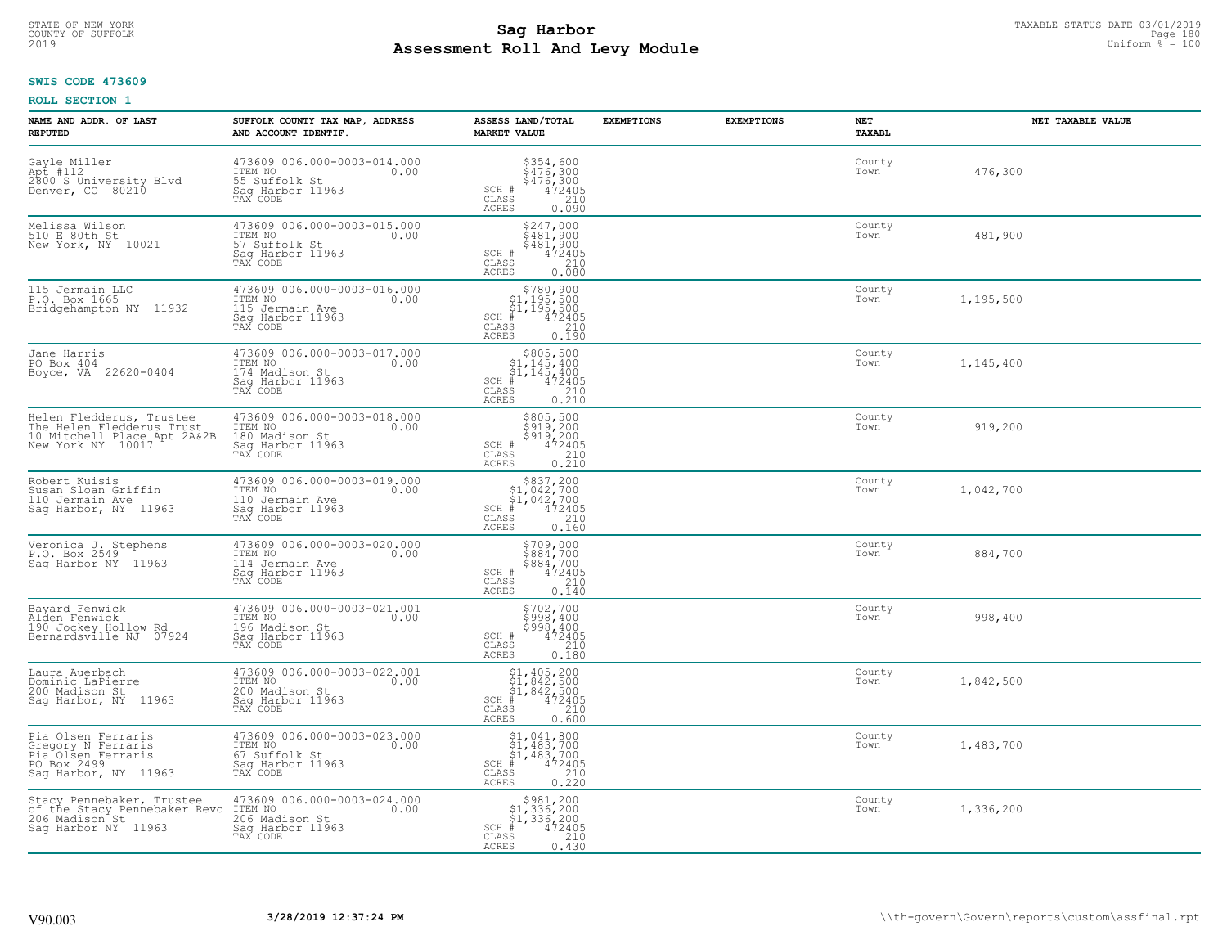# STATE OF NEW-YORK TAXABLE STATUS DATE 03/01/2019<br>COUNTY OF SUFFOLK Page 180 Page 180 **Assessment Roll And Levy Module** 2019 Uniform % = 100

### **SWIS CODE 473609**

| NAME AND ADDR. OF LAST<br><b>REPUTED</b>                                                                           | SUFFOLK COUNTY TAX MAP, ADDRESS<br>AND ACCOUNT IDENTIF.                                           | ASSESS LAND/TOTAL<br><b>MARKET VALUE</b>                                                                                                           | <b>EXEMPTIONS</b> | <b>EXEMPTIONS</b> | NET<br><b>TAXABL</b> | NET TAXABLE VALUE |
|--------------------------------------------------------------------------------------------------------------------|---------------------------------------------------------------------------------------------------|----------------------------------------------------------------------------------------------------------------------------------------------------|-------------------|-------------------|----------------------|-------------------|
| Gayle Miller<br>Apt #112<br>2800 S University Blvd<br>Denver, CO 80210                                             | 473609 006.000-0003-014.000<br>TTEM NO 0.00<br>55 Suffolk St<br>Sag Harbor 11963<br>TAX CODE      | \$354,600<br>\$476,300<br>\$476,300<br>472405<br>210<br>$\texttt{SCH}$ # CLASS<br>ACRES<br>0.090                                                   |                   |                   | County<br>Town       | 476,300           |
| Melissa Wilson<br>510 E 80th St<br>New York, NY 10021                                                              | 473609 006.000-0003-015.000<br>ITEM NO<br>0.00<br>57 Suffolk St<br>Sag Harbor 11963<br>TAX CODE   | $\begin{array}{c}\n $247,000 \\  $481,900 \\  $481,900 \\  $481,900 \\  $472405 \\  $210\n \end{array}$<br>SCH #<br>CLASS<br><b>ACRES</b><br>0.080 |                   |                   | County<br>Town       | 481,900           |
| 115 Jermain LLC<br>P.O. Box 1665<br>Bridgehampton NY 11932                                                         | 473609 006.000-0003-016.000<br>ITEM NO<br>0.00<br>115 Jermain Ave<br>Sag Harbor 11963<br>TAX CODE | $$780, 900$<br>$$1, 195, 500$<br>$$1, 195, 500$<br>$472405$<br>$$240$<br>$SCH$ #<br>CLASS<br>0.190<br>ACRES                                        |                   |                   | County<br>Town       | 1,195,500         |
| Jane Harris<br>PO Box 404<br>Boyce, VA 22620-0404                                                                  | 473609 006.000-0003-017.000<br>ITEM NO<br>0.00<br>174 Madison St<br>Sag Harbor 11963<br>TAX CODE  | \$805,500<br>$\frac{1}{2}$ , 145, 400<br>$\frac{1}{2}$ , 145, 400<br>SCH #<br>CLASS<br>472405<br>$\frac{210}{0.210}$<br>ACRES                      |                   |                   | County<br>Town       | 1,145,400         |
| Helen Fledderus, Trustee<br>The Helen Fledderus Trust<br>10 Mitchell Place Apt 2A&2B<br>New York NY 10017          | 473609 006.000-0003-018.000<br>ITEM NO<br>0.00<br>180 Madison St<br>Sag Harbor 11963<br>TAX CODE  | \$805,500<br>$\frac{5919}{5919}$ , 200<br>$\frac{5919}{472405}$<br>SCH #<br>CLASS<br>$\begin{array}{c} 210 \\ 0.210 \end{array}$<br><b>ACRES</b>   |                   |                   | County<br>Town       | 919,200           |
| Robert Kuisis<br>Susan Sloan Griffin<br>110 Jermain Ave<br>Saq Harbor, NY 11963                                    | 473609 006.000-0003-019.000<br>ITEM NO<br>0.00<br>110 Jermain Ave<br>Sag Harbor 11963<br>TAX CODE | $\begin{array}{c} $837,200 $1,042,700 $1,042,700 # 472405 \end{array}$<br>$SCH$ #<br>$\overline{210}$<br>CLASS<br><b>ACRES</b><br>0.160            |                   |                   | County<br>Town       | 1,042,700         |
| Veronica J. Stephens<br>P.O. Box 2549<br>Saq Harbor NY 11963                                                       | 473609 006.000-0003-020.000<br>ITEM NO<br>0.00<br>114 Jermain Ave<br>Sag Harbor 11963<br>TAX CODE | \$709,000<br>\$884,700<br>\$884,700<br>472405<br>SCH #<br>210<br>CLASS<br>0.140<br><b>ACRES</b>                                                    |                   |                   | County<br>Town       | 884,700           |
| Bayard Fenwick<br>Alden Fenwick<br>190 Jockey Hollow Rd<br>Bernardsville NJ 07924                                  | 473609 006.000-0003-021.001<br>ITEM NO 0.00<br>196 Madison St<br>Saq Harbor 11963<br>TAX CODE     | \$702,700<br>\$998,400<br>\$998,400<br>472405<br>SCH #<br>CLASS<br>210<br><b>ACRES</b><br>0.180                                                    |                   |                   | County<br>Town       | 998,400           |
| Laura Auerbach<br>Dominic LaPierre<br>200 Madison St<br>Sag Harbor, NY 11963                                       | 473609 006.000-0003-022.001<br>TTEM NO 0.00<br>200 Madison St<br>Saq Harbor 11963<br>TAX CODE     | $$1,405,200$<br>$$1,842,500$<br>$$1,842,500$<br>$$472405$<br>$SCH$ $#$<br>CLASS<br>210<br><b>ACRES</b><br>0.600                                    |                   |                   | County<br>Town       | 1,842,500         |
| Pia Olsen Ferraris<br>Gregory N Ferraris<br>Pia <sup>Olsen</sup> Ferraris<br>PO Box 2499<br>Sag Harbor, NY 11963   | 473609 006.000-0003-023.000<br>ITEM NO<br>0.00<br>67 Suffolk St<br>Sag Harbor 11963<br>TAX CODE   | $$1,041,800$<br>$$1,483,700$<br>$$1,483,700$<br>$472405$<br>$$210$<br>$SCH$ #<br>CLASS<br><b>ACRES</b><br>0.220                                    |                   |                   | County<br>Town       | 1,483,700         |
| Stacy Pennebaker, Trustee<br>of the Stacy Pennebaker Revo ITEM NO<br>206 Madison St 206 Mad<br>Saq Harbor NY 11963 | 473609 006.000-0003-024.000<br>0.00<br>206 Madison St<br>Sag Harbor 11963<br>TAX CODE             | $$3981, 200$<br>$$1, 336, 200$<br>$$1, 336, 200$<br>$*1, 336, 200$<br>$*1, 472405$<br>$SCH$ #<br>CLASS<br>210<br><b>ACRES</b><br>0.430             |                   |                   | County<br>Town       | 1,336,200         |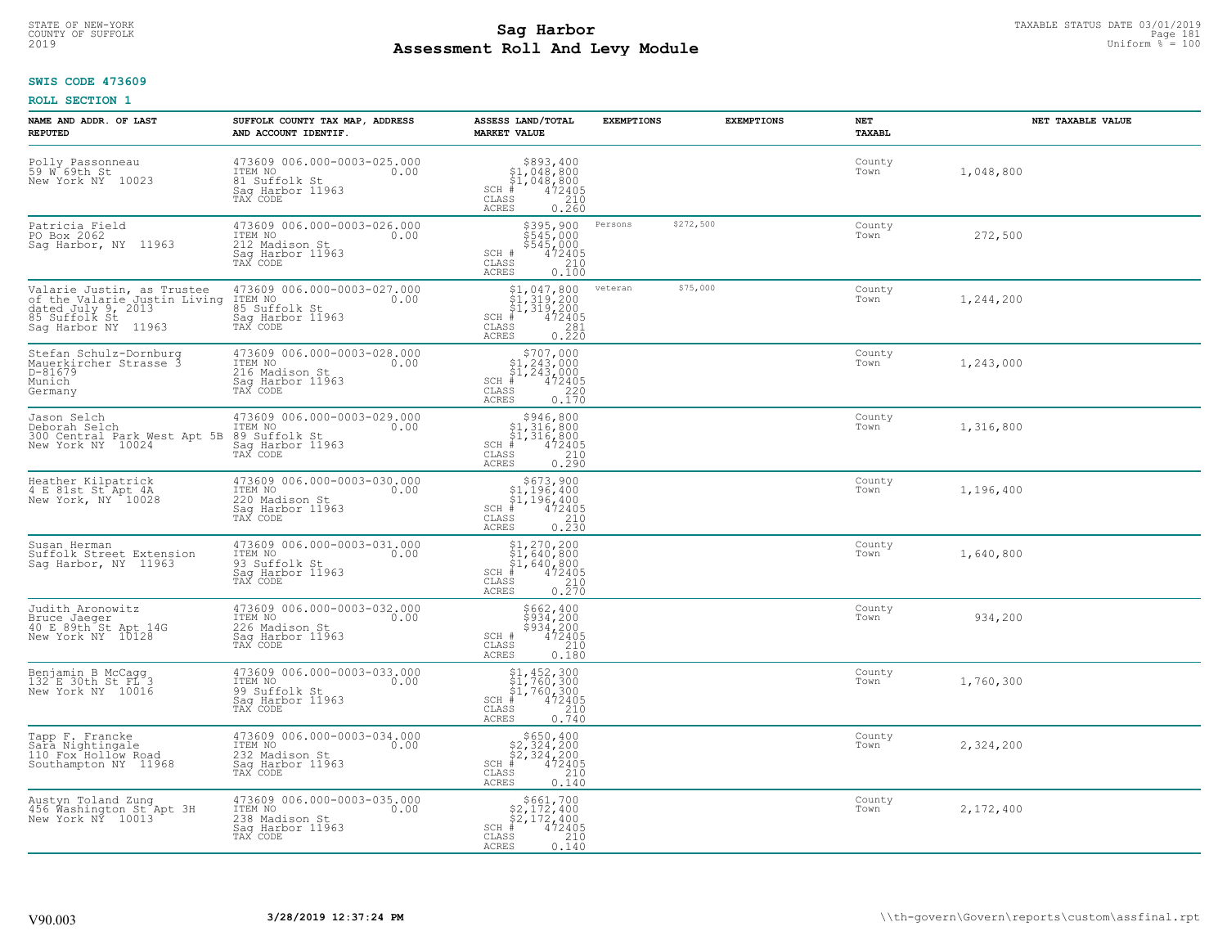#### **SWIS CODE 473609**

| NAME AND ADDR. OF LAST<br><b>REPUTED</b>                                                                                 | SUFFOLK COUNTY TAX MAP, ADDRESS<br>AND ACCOUNT IDENTIF.                                          | ASSESS LAND/TOTAL<br><b>MARKET VALUE</b>                                                                                                                       | <b>EXEMPTIONS</b> | <b>EXEMPTIONS</b> | <b>NET</b><br>TAXABL | NET TAXABLE VALUE |
|--------------------------------------------------------------------------------------------------------------------------|--------------------------------------------------------------------------------------------------|----------------------------------------------------------------------------------------------------------------------------------------------------------------|-------------------|-------------------|----------------------|-------------------|
| Polly Passonneau<br>59 W 69th St<br>New York NY 10023                                                                    | 473609 006.000-0003-025.000<br>ITEM NO<br>0.00<br>81 Suffolk St<br>Sag Harbor 11963<br>TAX CODE  | $$393,40051,048,80051,048,800+1,048,800+1,0472405$<br>$SCH$ #<br>CLASS<br>ACRES<br>210<br>0.260                                                                |                   |                   | County<br>Town       | 1,048,800         |
| Patricia Field<br>PO Box 2062<br>Sag Harbor, NY 11963                                                                    | 473609 006.000-0003-026.000<br>ITEM NO<br>0.00<br>212 Madison St<br>Sag Harbor 11963<br>TAX CODE | $$395,900$<br>$$545,000$<br>$$545,000$<br>$$472405$<br>$$210$<br>SCH #<br>CLASS<br><b>ACRES</b><br>0.100                                                       | Persons           | \$272,500         | County<br>Town       | 272,500           |
| Valarie Justin, as Trustee<br>of the Valarie Justin Living<br>dated July 9, 2013<br>85 Suffolk St<br>Sag Harbor NY 11963 | 473609 006.000-0003-027.000<br>ITEM NO<br>0.00<br>85 Suffolk St<br>Sag Harbor 11963<br>TAX CODE  | $$1, 047, 800$<br>$$1, 319, 200$<br>$$1, 319, 200$<br>$$472405$<br>$SCH$ #<br>$\begin{array}{c} 281 \\ 0.220 \end{array}$<br>CLASS<br><b>ACRES</b>             | veteran           | \$75,000          | County<br>Town       | 1,244,200         |
| Stefan Schulz-Dornburg<br>Mauerkircher Strasse 3<br>D-81679<br>Munich<br>Germany                                         | 473609 006.000-0003-028.000<br>ITEM NO<br>0.00<br>216 Madison St<br>Sag Harbor 11963<br>TAX CODE | \$707,000<br>\$1,243,000<br>\$1,243,000<br>$\frac{1}{4}$ 72405<br>220<br>$SCH$ #<br>CLASS<br>ACRES<br>0.170                                                    |                   |                   | County<br>Town       | 1,243,000         |
| Jason Selch<br>Deborah Selch<br>300 Central Park West Apt 5B<br>New York NY 10024                                        | 473609 006.000-0003-029.000<br>ITEM NO<br>0.00<br>89 Suffolk St<br>Sag Harbor 11963<br>TAX CODE  | $$946, 800$<br>$$1, 316, 800$<br>$$1, 316, 800$<br>$$1, 316, 800$<br>$SCH$ #<br>472405<br>CLASS<br>$\begin{array}{c} 210 \\ 0.290 \end{array}$<br><b>ACRES</b> |                   |                   | County<br>Town       | 1,316,800         |
| Heather Kilpatrick<br>4 E 81st St Apt 4A<br>New York, NY 10028                                                           | 473609 006.000-0003-030.000<br>ITEM NO<br>0.00<br>220 Madison St<br>Sag Harbor 11963<br>TAX CODE | $\begin{array}{r} $673,900\n$1,196,400\n$1,196,400\n# 472405\n$s$210$<br>$SCH$ #<br>CLASS<br>0.230<br><b>ACRES</b>                                             |                   |                   | County<br>Town       | 1,196,400         |
| Susan Herman<br>Suffolk Street Extension<br>Saq Harbor, NY 11963                                                         | 473609 006.000-0003-031.000<br>ITEM NO<br>0.00<br>93 Suffolk St<br>Sag Harbor 11963<br>TAX CODE  | $$1, 270, 200$<br>$$1, 640, 800$<br>$$1, 640, 800$<br>$$472405$<br>$SCH$ #<br>$\frac{210}{0.270}$<br>CLASS<br><b>ACRES</b>                                     |                   |                   | County<br>Town       | 1,640,800         |
| Judith Aronowitz<br>Bruce Jaeger<br>40 E 89th St Apt 14G<br>New York NY 10128                                            | 473609 006.000-0003-032.000<br>ITEM NO<br>0.00<br>226 Madison St<br>Sag Harbor 11963<br>TAX CODE | \$662,400<br>\$934,200<br>\$934,200<br>472405<br>SCH #<br>CLASS<br>210<br><b>ACRES</b><br>0.180                                                                |                   |                   | County<br>Town       | 934,200           |
| Benjamin B McCagg<br>132 E 30th St FL 3<br>New York NY 10016                                                             | 473609 006.000-0003-033.000<br>10.00 0.00<br>99 Suffolk St<br>Saq Harbor 11963<br>TAX CODE       | $$1, 452, 300$<br>$$1, 760, 300$<br>$$1, 760, 300$<br>$*$ 472405<br>$SCH$ #<br>CLASS<br>210<br><b>ACRES</b><br>0.740                                           |                   |                   | County<br>Town       | 1,760,300         |
| Tapp F. Francke<br>Sara Nightingale<br>110 Fox Hollow Road<br>Southampton NY 11968                                       | 473609 006.000-0003-034.000<br>ITEM NO<br>0.00<br>232 Madison St<br>Saq Harbor 11963<br>TAX CODE | $$650, 400$<br>$$2, 324, 200$<br>$$2, 324, 200$<br>$472405$<br>$SCH$ #<br>210<br>CLASS<br><b>ACRES</b><br>0.140                                                |                   |                   | County<br>Town       | 2,324,200         |
| Austyn Toland Zung<br>456 Washington St Apt 3H<br>New York NY 10013                                                      | 473609 006.000-0003-035.000<br>ITEM NO<br>0.00<br>238 Madison St<br>Saq Harbor 11963<br>TAX CODE | $$661,700$<br>$$2,172,400$<br>$$2,172,400$<br>$$472405$<br>$SCH$ #<br>CLASS<br>210<br>ACRES<br>0.140                                                           |                   |                   | County<br>Town       | 2,172,400         |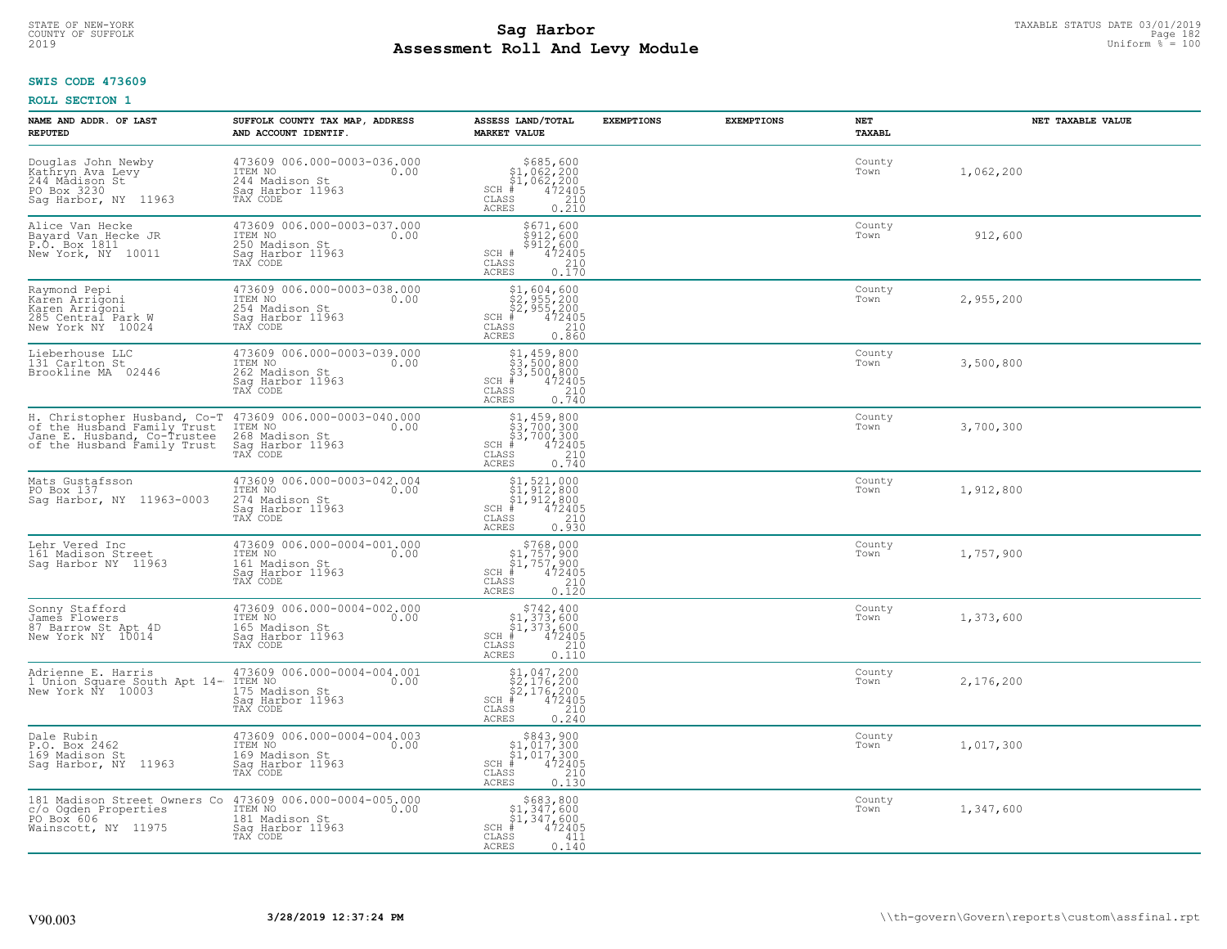# STATE OF NEW-YORK TAXABLE STATUS DATE 03/01/2019<br>COUNTY OF SUFFOLK Page 182 **Assessment Roll And Levy Module** 2019 Uniform % = 100

# **SWIS CODE 473609**

| NAME AND ADDR. OF LAST<br><b>REPUTED</b>                                                        | SUFFOLK COUNTY TAX MAP, ADDRESS<br>AND ACCOUNT IDENTIF.                                                                                                                             | ASSESS LAND/TOTAL<br><b>MARKET VALUE</b>                                                                                         | <b>EXEMPTIONS</b> | <b>EXEMPTIONS</b> | NET<br>TAXABL  | NET TAXABLE VALUE |
|-------------------------------------------------------------------------------------------------|-------------------------------------------------------------------------------------------------------------------------------------------------------------------------------------|----------------------------------------------------------------------------------------------------------------------------------|-------------------|-------------------|----------------|-------------------|
| Douglas John Newby<br>Kathryn Ava Levy<br>244 Mādison St<br>PO Box 3230<br>Sag Harbor, NY 11963 | 473609 006.000-0003-036.000<br>ITEM NO<br>0.00<br>244 Madison St<br>Saq Harbor 11963<br>TAX CODE                                                                                    | $$685, 600$<br>$$1, 062, 200$<br>$$1, 062, 200$<br>$472405$<br>$$210$<br>$$210$<br>$SCH$ #<br>$\mathtt{CLASS}$<br>ACRES<br>0.210 |                   |                   | County<br>Town | 1,062,200         |
| Alice Van Hecke<br>Bayard Van Hecke JR<br>P.O. Box 1811<br>New York, NY 10011                   | 473609 006.000-0003-037.000<br>ITEM NO<br>0.00<br>250 Madison St<br>Saq Harbor 11963<br>TAX CODE                                                                                    | \$671,600<br>\$912,600<br>$$512,600$<br>$472405$<br>SCH #<br>CLASS<br>$\frac{210}{0.170}$<br>ACRES                               |                   |                   | County<br>Town | 912,600           |
| Raymond Pepi<br>Karen Arrigoni<br>Karen Arrigoni<br>285 Central Park W<br>New York NY 10024     | 473609 006.000-0003-038.000<br>ITEM NO<br>0.00<br>254 Madison St<br>Sag Harbor 11963<br>TAX CODE                                                                                    | \$1,604,600<br>\$2,955,200<br>\$2,955,200<br>#472405<br>$SCH$ #<br>CLASS<br>210<br>0.860<br><b>ACRES</b>                         |                   |                   | County<br>Town | 2,955,200         |
| Lieberhouse LLC<br>131 Carlton St<br>Brookline MA 02446                                         | 473609 006.000-0003-039.000<br>ITEM NO<br>0.00<br>262 Madison St<br>Saq Harbor 11963<br>TAX CODE                                                                                    | $$1,459,800$<br>$$3,500,800$<br>$$3,500,800$<br>$SCH$ #<br>CLASS<br><b>ACRES</b>                                                 |                   |                   | County<br>Town | 3,500,800         |
| of the Husband Family Trust                                                                     | H. Christopher Husband, Co-T 473609 006.000-0003-040.000<br>of the Husband Family Trust ITEM NO 0.00<br>Jane E. Husband, Co-Trustee 268 Madison St.<br>Sag Harbor 11963<br>TAX CODE | $$1, 459, 800$<br>$$3, 700, 300$<br>$$3, 700, 300$<br>$SCH$ #<br>$472405$<br>210<br>CLASS<br>0.740<br><b>ACRES</b>               |                   |                   | County<br>Town | 3,700,300         |
| Mats Gustafsson<br>PO Box 137<br>Sag Harbor, NY 11963-0003                                      | 473609 006.000-0003-042.004<br>ITEM NO<br>0.00<br>274 Madison St<br>Sag Harbor 11963<br>TAX CODE                                                                                    | \$1,521,000<br>\$1,912,800<br>\$1,912,800<br>#472405<br>$SCH$ #<br>CLASS<br>210<br>0.930<br><b>ACRES</b>                         |                   |                   | County<br>Town | 1,912,800         |
| Lehr Vered Inc<br>161 Madison Street<br>Sag Harbor NY 11963                                     | 473609 006.000-0004-001.000<br>ITEM NO<br>0.00<br>161 Madison St<br>Sag Harbor 11963<br>TAX CODE                                                                                    | $$768,000$<br>$$1,757,900$<br>$$1,757,900$<br>$*1,757,900$<br>$SCH$ #<br>CLASS<br>210<br>0.120<br><b>ACRES</b>                   |                   |                   | County<br>Town | 1,757,900         |
| Sonny Stafford<br>James Flowers<br>87 Barrow St Apt 4D<br>New York NY 10014                     | 473609 006.000-0004-002.000<br>TTEM NO 0.00<br>165 Madison St<br>Saq Harbor 11963<br>TAX CODE                                                                                       | $$742, 400$<br>$$1, 373, 600$<br>$$1, 373, 600$<br>$*$ $472405$<br>$SCH$ #<br>CLASS<br>210<br><b>ACRES</b><br>0.110              |                   |                   | County<br>Town | 1,373,600         |
| Adrienne E. Harris<br>1 Union Square South Apt 14-<br>New York NY 10003                         | 473609 006.000-0004-004.001<br>1TEM NO 0.00<br>175 Madison St<br>Saq Harbor 11963<br>TAX CODE                                                                                       | \$1,047,200<br>\$2,176,200<br>\$2,176,200<br>$SCH$ #<br>472405<br>CLASS<br>210<br><b>ACRES</b><br>0.240                          |                   |                   | County<br>Town | 2,176,200         |
| Dale Rubin<br>P.O. Box 2462<br>169 Madison St<br>Sag Harbor, NY 11963                           | 473609 006.000-0004-004.003<br>ITEM NO<br>0.00<br>169 Madison St<br>Sag Harbor 11963<br>TAX CODE                                                                                    | $$843,900$<br>$$1,017,300$<br>$$1,017,300$<br>$472405$<br>$$210$<br>$SCH$ #<br>CLASS<br><b>ACRES</b><br>0.130                    |                   |                   | County<br>Town | 1,017,300         |
| Wainscott, NY 11975                                                                             | 181 Madison Street Owners Co 473609 006.000-0004-005.000<br>c/o Ogden Properties from 17EM NO 100<br>PO Box 606 181 Madison St<br>Sag Harbor 11963<br>TAX CODE                      | $$683, 800$<br>$$1, 347, 600$<br>$$1, 347, 600$<br>$SCH$ #<br>472405<br>CLASS<br>411<br><b>ACRES</b><br>0.140                    |                   |                   | County<br>Town | 1,347,600         |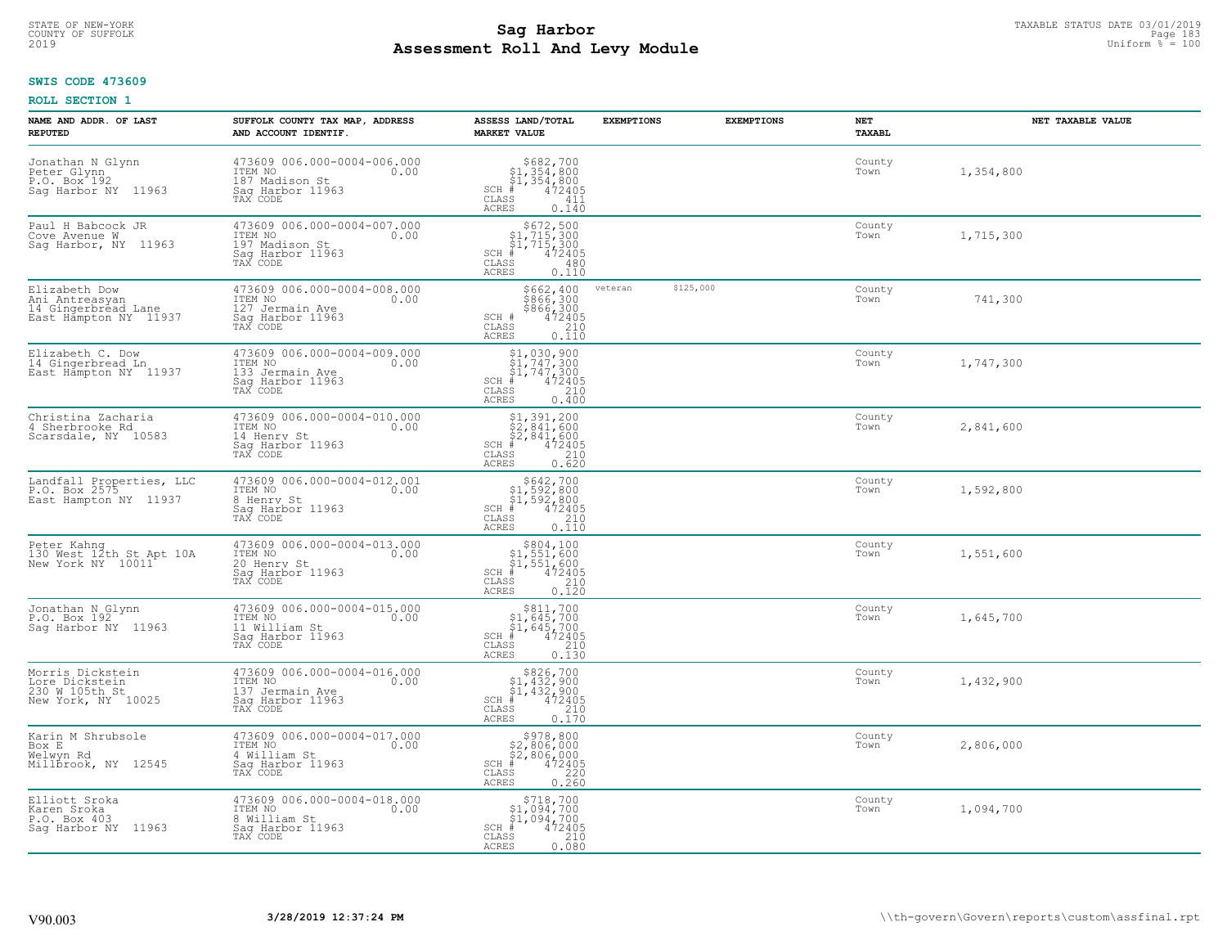### **Sag Harbor**<br>**Poll And Low Module**<br>
Poll And Low Module **Assessment Roll And Levy Module** 2019 Uniform % = 100 COUNTY OF SUFFOLK Page 183

#### **SWIS CODE 473609**

| NAME AND ADDR. OF LAST<br><b>REPUTED</b>                                           | SUFFOLK COUNTY TAX MAP, ADDRESS<br>AND ACCOUNT IDENTIF.                                           | ASSESS LAND/TOTAL<br><b>MARKET VALUE</b>                                                                                                                                                                                                                                | <b>EXEMPTIONS</b>    | <b>EXEMPTIONS</b> | NET<br>TAXABL  | NET TAXABLE VALUE |
|------------------------------------------------------------------------------------|---------------------------------------------------------------------------------------------------|-------------------------------------------------------------------------------------------------------------------------------------------------------------------------------------------------------------------------------------------------------------------------|----------------------|-------------------|----------------|-------------------|
| Jonathan N Glynn<br>Peter Glynn<br>P.O. Box <sup>-192</sup><br>Sag Harbor NY 11963 | 473609 006.000-0004-006.000<br>ITEM NO<br>0.00<br>187 Madison St<br>Sag Harbor 11963<br>TAX CODE  | \$682,700<br>\$1,354,800<br>\$1,354,800<br>#472405<br>$SCH$ #<br>CLASS<br>411<br>ACRES<br>0.140                                                                                                                                                                         |                      |                   | County<br>Town | 1,354,800         |
| Paul H Babcock JR<br>Cove Avenue W<br>Sag Harbor, NY 11963                         | 473609 006.000-0004-007.000<br>ITEM NO<br>0.00<br>197 Madison St<br>Sag Harbor 11963<br>TAX CODE  | $$672,500$<br>$$1,715,300$<br>$$1,715,300$<br>$*1$<br>$472405$<br>SCH #<br>CLASS<br>480<br>0.110<br>ACRES                                                                                                                                                               |                      |                   | County<br>Town | 1,715,300         |
| Elizabeth Dow<br>Ani Antreasyan<br>14 Gingerbread Lane<br>East Hampton NY 11937    | 473609 006.000-0004-008.000<br>ITEM NO<br>0.00<br>127 Jermain Ave<br>Sag Harbor 11963<br>TAX CODE | \$662,400<br>\$866,300<br>\$866,300<br>\$866,300<br>472405<br>0.110<br>SCH #<br>CLASS<br><b>ACRES</b>                                                                                                                                                                   | \$125,000<br>veteran |                   | County<br>Town | 741,300           |
| Elizabeth C. Dow<br>14 Gingerbread Ln<br>East Hampton NY 11937                     | 473609 006.000-0004-009.000<br>ITEM NO<br>0.00<br>133 Jermain Ave<br>Sag Harbor 11963<br>TAX CODE | $$1,030,900$<br>$$1,747,300$<br>$$1,747,300$<br>$472405$<br>$$210$<br>$SCH$ #<br>CLASS<br><b>ACRES</b><br>0.400                                                                                                                                                         |                      |                   | County<br>Town | 1,747,300         |
| Christina Zacharia<br>4 Sherbrooke Rd<br>Scarsdale, NY 10583                       | 473609 006.000-0004-010.000<br>ITEM NO<br>0.00<br>14 Henry St<br>Saq Harbor 11963<br>TAX CODE     | $\begin{array}{l} \text{\small $\$1$, $391$, $200$} \\ \text{\small $\$2$, $841$, $600$} \\ \text{\small $\$2$, $841$, $600$} \\ \text{\small $\$4$ & $472405$} \\ \text{\small $\$8$ & $210$} \\ \text{\small $\$8$ & $0.620$} \end{array}$<br>SCH #<br>CLASS<br>ACRES |                      |                   | County<br>Town | 2,841,600         |
| Landfall Properties, LLC<br>P.O. Box 2575<br>East Hampton NY 11937                 | 473609 006.000-0004-012.001<br>ITEM NO<br>0.00<br>8 Henry St<br>Sag Harbor 11963<br>TAX CODE      | $$642,700$<br>$$1,592,800$<br>$$1,592,800$<br>$$472405$<br>$SCH$ #<br>CLASS<br>210<br><b>ACRES</b><br>0.110                                                                                                                                                             |                      |                   | County<br>Town | 1,592,800         |
| Peter Kahng<br>130 West 12th St Apt 10A<br>New York NY 10011                       | 473609 006.000-0004-013.000<br>ITEM NO<br>0.00<br>20 Henry St<br>Sag Harbor 11963<br>TAX CODE     | $$804,100$<br>$$1,551,600$<br>$$1,551,600$<br>$$472405$<br>$SCH$ #<br>CLASS<br>210<br>0.120<br>ACRES                                                                                                                                                                    |                      |                   | County<br>Town | 1,551,600         |
| Jonathan N Glynn<br>P.O. Box 192<br>Saq Harbor NY 11963                            | 473609 006.000-0004-015.000<br>TTEM NO 0.00<br>11 William St<br>Saq Harbor 11963<br>TAX CODE      | $$811,700$<br>$$1,645,700$<br>$$1,645,700$<br>$*1,645,700$<br>$*1,6472405$<br>$SCH$ #<br>CLASS<br>210<br><b>ACRES</b><br>0.130                                                                                                                                          |                      |                   | County<br>Town | 1,645,700         |
| Morris Dickstein<br>Lore Dickstein<br>230 W 105th St<br>New York, NY 10025         | 473609 006.000-0004-016.000<br>0.00 0.00<br>137 Jermain Ave<br>Sag Harbor 11963<br>TAX CODE       | $$826,700$<br>$$1,432,900$<br>$$1,432,900$<br>$*1,432,900$<br>$*1,472405$<br>$SCH$ #<br>CLASS<br>210<br><b>ACRES</b><br>0.170                                                                                                                                           |                      |                   | County<br>Town | 1,432,900         |
| Karin M Shrubsole<br>Box E<br>Welwyn Rd<br>Millbrook, NY 12545                     | 473609 006.000-0004-017.000<br>ITEM NO<br>0.00<br>4 William St<br>Sag Harbor 11963<br>TAX CODE    | $$978,800$<br>$$2,806,000$<br>$$2,806,000$<br>$*1$<br>$472405$<br>$SCH$ #<br>220<br>$\mathtt{CLASS}$<br>0.260<br><b>ACRES</b>                                                                                                                                           |                      |                   | County<br>Town | 2,806,000         |
| Elliott Sroka<br>Karen Sroka<br>P.O. Box 403<br>Saq Harbor NY 11963                | 473609 006.000-0004-018.000<br>ITEM NO<br>0.00<br>8 William St<br>Sag Harbor 11963<br>TAX CODE    | $\substack{\$718,700\\\$1,094,700\\\$1,094,700}$<br>$SCH$ #<br>472405<br>210<br>CLASS<br><b>ACRES</b><br>0.080                                                                                                                                                          |                      |                   | County<br>Town | 1,094,700         |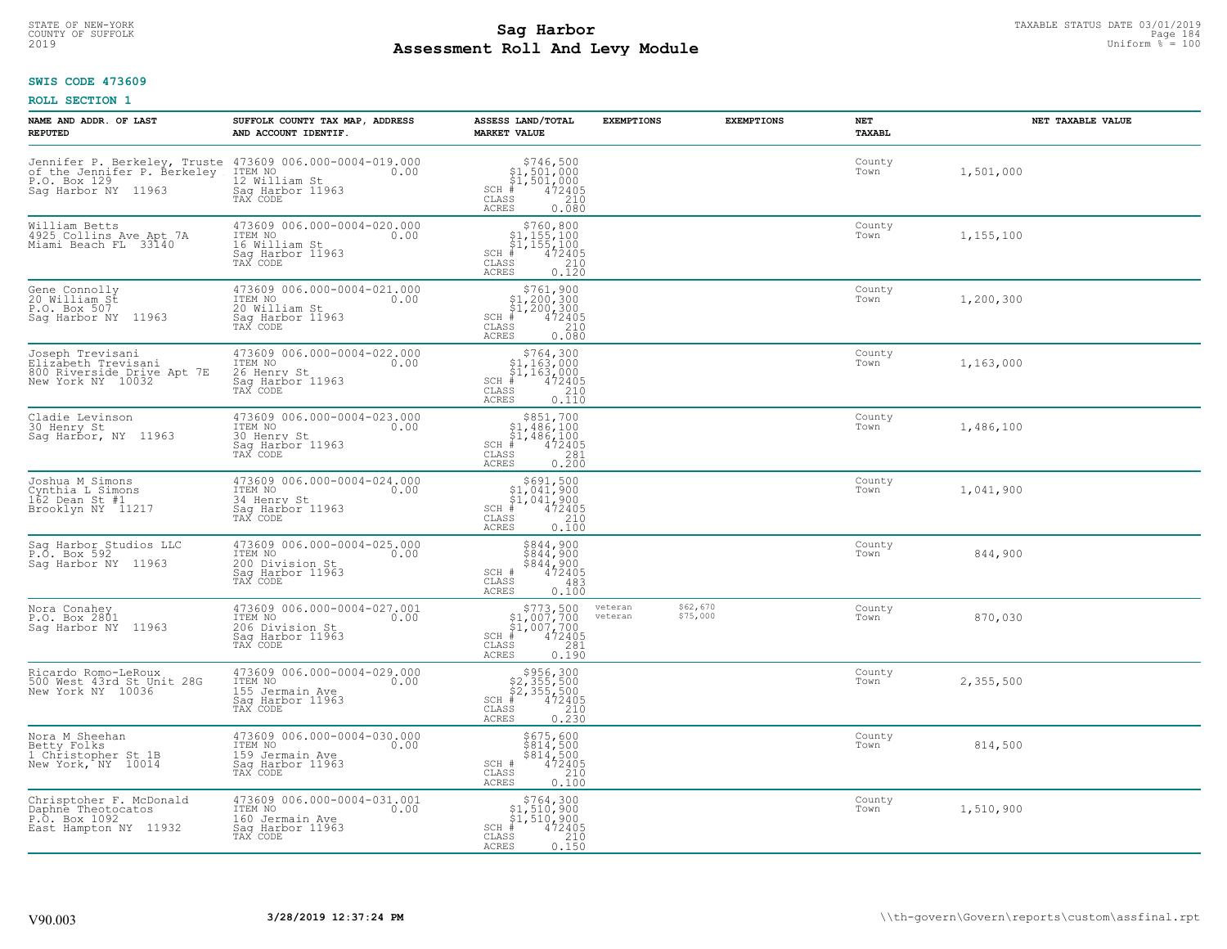### **SWIS CODE 473609**

| NAME AND ADDR. OF LAST<br><b>REPUTED</b>                                                           | SUFFOLK COUNTY TAX MAP, ADDRESS<br>AND ACCOUNT IDENTIF.                                           | ASSESS LAND/TOTAL<br><b>MARKET VALUE</b>                                                                                                                                                                                                                                                                                                                   | <b>EXEMPTIONS</b>  | <b>EXEMPTIONS</b>    | <b>NET</b><br>TAXABL | NET TAXABLE VALUE |
|----------------------------------------------------------------------------------------------------|---------------------------------------------------------------------------------------------------|------------------------------------------------------------------------------------------------------------------------------------------------------------------------------------------------------------------------------------------------------------------------------------------------------------------------------------------------------------|--------------------|----------------------|----------------------|-------------------|
| Jennifer P. Berkeley, Truste<br>of the Jennifer P. Berkeley<br>P.O. Box 129<br>Sag Harbor NY 11963 | 473609 006.000-0004-019.000<br>0.00 0.00<br>12 William St<br>Sag Harbor 11963<br>TAX CODE         | $\begin{array}{r} 5746, 500\\ 51, 501, 000\\ 51, 501, 000\\ *\\ 501, 2405\\ *\\ 501, 210\\ *\\ 500, 080 \end{array}$<br>$SCH$ #<br>$\mathtt{CLASS}$<br>ACRES                                                                                                                                                                                               |                    |                      | County<br>Town       | 1,501,000         |
| William Betts<br>4925 Collins Ave Apt 7A<br>Miami Beach FL 33140                                   | 473609 006.000-0004-020.000<br>ITEM NO<br>0.00<br>16 William St<br>Sag Harbor 11963<br>TAX CODE   | $$760, 800$<br>$$1, 155, 100$<br>$$1, 155, 100$<br>$$472405$<br>SCH #<br>CLASS<br>$\begin{array}{c} 210 \\ 0.120 \end{array}$<br>ACRES                                                                                                                                                                                                                     |                    |                      | County<br>Town       | 1,155,100         |
| Gene Connolly<br>20 William St<br>P.O. Box 507<br>Sag Harbor NY 11963                              | 473609 006.000-0004-021.000<br>ITEM NO<br>0.00<br>20 William St<br>Sag Harbor 11963<br>TAX CODE   | $$761, 900$<br>$$1, 200, 300$<br>$$1, 200, 300$<br>$472405$<br>$$210$<br>$SCH$ #<br>CLASS<br>0.080<br><b>ACRES</b>                                                                                                                                                                                                                                         |                    |                      | County<br>Town       | 1,200,300         |
| Joseph Trevisani<br>Elizabeth Trevisani<br>800 Riverside Drive Apt 7E<br>New York NY 10032         | 473609 006.000-0004-022.000<br>ITEM NO<br>0.00<br>26 Henry St<br>Sag Harbor 11963<br>TAX CODE     | $$764,300$<br>$$1,163,000$<br>$$1,163,000$<br>$*$<br>$472405$<br>$$210$<br>$$110$<br>SCH<br>CLASS<br>0.110<br>ACRES                                                                                                                                                                                                                                        |                    |                      | County<br>Town       | 1,163,000         |
| Cladie Levinson<br>30 Henry St<br>Sag Harbor, NY 11963                                             | 473609 006.000-0004-023.000<br>ITEM NO<br>0.00<br>30 Henry St<br>Sag Harbor 11963<br>TAX CODE     | \$851,700<br>$$1,486,100$<br>$$1,486,100$<br>$*$ 472405<br>$SCH$ #<br>CLASS<br>$\begin{array}{c} 281 \\ 0.200 \end{array}$<br><b>ACRES</b>                                                                                                                                                                                                                 |                    |                      | County<br>Town       | 1,486,100         |
| Joshua M Simons<br>Cynthia L Simons<br>162 Dean St #1<br>Brooklyn NY 11217                         | 473609 006.000-0004-024.000<br>ITEM NO<br>0.00<br>34 Henry St<br>Sag Harbor 11963<br>TAX CODE     | $\begin{array}{r}  \  \  \, 5691,500 \\  \  \, 51,041,900 \\  \  \, 51,041,900 \\  \  \  \, 472405 \\  \  \, 55 & 210 \\  \  \, 55 & 210 \\  \  \, 59 & 210 \\  \  \, 59 & 210 \\  \  \, 59 & 210 \\  \  \, 59 & 210 \\  \  \, 59 & 210 \\  \  \, 59 & 210 \\  \  \, 59 & 210 \\  \  \, 59 & 210 \\  \  \, 5$<br>SCH<br>$\mathtt{CLASS}$<br>0.100<br>ACRES |                    |                      | County<br>Town       | 1,041,900         |
| Sag Harbor Studios LLC<br>P.O. Box 592<br>Saq Harbor NY 11963                                      | 473609 006.000-0004-025.000<br>ITEM NO<br>0.00<br>200 Division St<br>Sag Harbor 11963<br>TAX CODE | \$844,900<br>\$844,900<br>\$844,900<br>472405<br>SCH #<br>CLASS<br>483<br>0.100<br><b>ACRES</b>                                                                                                                                                                                                                                                            |                    |                      | County<br>Town       | 844,900           |
| Nora Conahey<br>P.O. Box 2801<br>Saq Harbor NY<br>11963                                            | 473609 006.000-0004-027.001<br>ITEM NO 0.00<br>206 Division St<br>Sag Harbor 11963<br>TAX CODE    | $\begin{array}{r} 5773,500 \\ 51,007,700 \\ 51,007,700 \\ \pm \\ 472405 \\ \text{ss} \\ 281 \\ \end{array}$<br>SCH<br>CLASS<br><b>ACRES</b><br>0.190                                                                                                                                                                                                       | veteran<br>veteran | \$62,670<br>\$75,000 | County<br>Town       | 870,030           |
| Ricardo Romo-LeRoux<br>500 West 43rd St Unit 28G<br>New York NY 10036                              | 473609 006.000-0004-029.000<br>ITEM NO<br>0.00<br>155 Jermain Ave<br>Sag Harbor 11963<br>TAX CODE | $\begin{array}{r}  \  \  \, 5956,300 \\  \  \, 52,355,500 \\  \  \, 52,355,500 \\  \  \  \, 472405 \\  \  \  \, 85 \\  \  \  \, 85 \\  \  \  \, 210 \\  \  \, 0.230 \end{array}$<br>SCH<br>CLASS<br><b>ACRES</b>                                                                                                                                           |                    |                      | County<br>Town       | 2,355,500         |
| Nora M Sheehan<br>Betty Folks<br>1 Christopher St 1B<br>New York, NY 10014                         | 473609 006.000-0004-030.000<br>ITEM NO<br>0.00<br>159 Jermain Ave<br>Sag Harbor 11963<br>TAX CODE | \$675,600<br>\$814,500<br>\$814,500<br>472405<br>SCH #<br>CLASS<br>210<br><b>ACRES</b><br>0.100                                                                                                                                                                                                                                                            |                    |                      | County<br>Town       | 814,500           |
| Chrisptoher F. McDonald<br>Daphne Theotocatos<br>P.O. Box 1092<br>East Hampton NY 11932            | 473609 006.000-0004-031.001<br>ITEM NO<br>0.00<br>160 Jermain Ave<br>Sag Harbor 11963<br>TAX CODE | $\begin{array}{c} $764,300 \\ $1,510,900 \\ $1,510,900 \end{array}$<br>$SCH$ #<br>472405<br>CLASS<br>$\frac{210}{0.150}$<br>ACRES                                                                                                                                                                                                                          |                    |                      | County<br>Town       | 1,510,900         |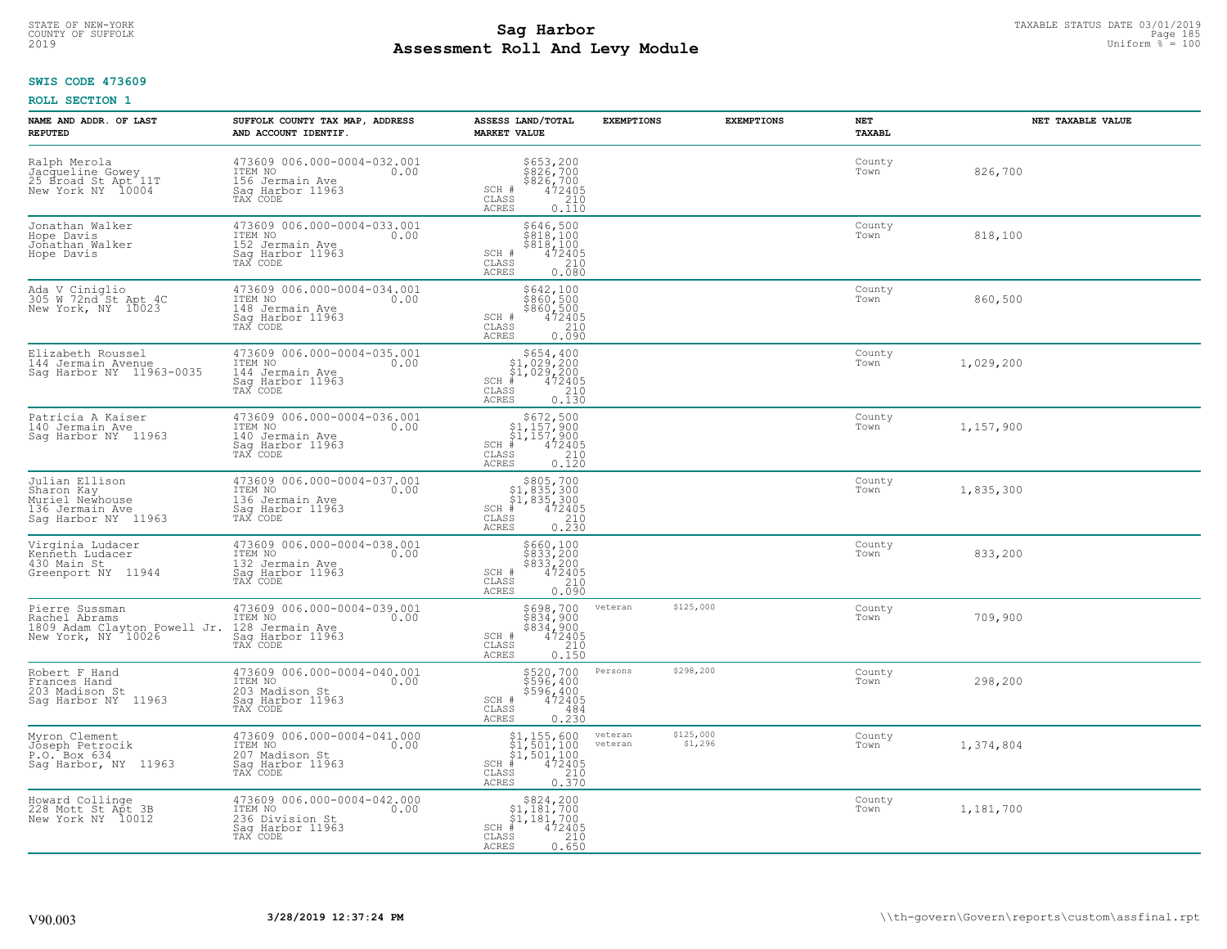# STATE OF NEW-YORK TAXABLE STATUS DATE 03/01/2019<br>COUNTY OF SUFFOLK Page 185 **Assessment Roll And Levy Module** 2019 Uniform % = 100

#### **SWIS CODE 473609**

| NAME AND ADDR. OF LAST<br><b>REPUTED</b>                                                  | SUFFOLK COUNTY TAX MAP, ADDRESS<br>AND ACCOUNT IDENTIF.                                           | ASSESS LAND/TOTAL<br><b>MARKET VALUE</b>                                                                                                                                                                      | <b>EXEMPTIONS</b>                          | <b>EXEMPTIONS</b> | <b>NET</b><br><b>TAXABL</b> | NET TAXABLE VALUE |
|-------------------------------------------------------------------------------------------|---------------------------------------------------------------------------------------------------|---------------------------------------------------------------------------------------------------------------------------------------------------------------------------------------------------------------|--------------------------------------------|-------------------|-----------------------------|-------------------|
| Ralph Merola<br>Jacqueline Gowey<br>25 Broad St Apt 11T<br>New York NY 10004              | 473609 006.000-0004-032.001<br>ITEM NO<br>156 Jermain Ave<br>Sag Harbor 11963<br>TAX CODE         | \$653,200<br>\$826,700<br>\$826,700<br>472405<br>210<br>SCH #<br>CLASS<br>ACRES<br>0.110                                                                                                                      |                                            |                   | County<br>Town              | 826,700           |
| Jonathan Walker<br>Hope Davis<br>Johathan Walker<br>Hope Davis                            | 473609 006.000-0004-033.001<br>ITEM NO<br>0.00<br>152 Jermain Ave<br>Sag Harbor 11963<br>TAX CODE | $5646, 500$<br>$5818, 100$<br>$5818, 100$<br>$472405$<br>$210$<br>SCH #<br>CLASS<br>0.080<br>ACRES                                                                                                            |                                            |                   | County<br>Town              | 818,100           |
| Ada V Ciniglio<br>305 W 72nd St Apt 4C<br>New York, NY 10023                              | 473609 006.000-0004-034.001<br>ITEM NO<br>0.00<br>148 Jermain Ave<br>Sag Harbor 11963<br>TAX CODE | \$642,100<br>\$860,500<br>\$860,500<br>SCH #<br>$\frac{472405}{210}$<br>CLASS<br>0.090<br>ACRES                                                                                                               |                                            |                   | County<br>Town              | 860,500           |
| Elizabeth Roussel<br>144 Jermain Avenue<br>Sag Harbor NY 11963-0035                       | 473609 006.000-0004-035.001<br>ITEM NO<br>0.00<br>144 Jermain Ave<br>Sag Harbor 11963<br>TAX CODE | $$654, 400$<br>$$1, 029, 200$<br>$$1, 029, 200$<br>$$472405$<br>$$210$<br>$$120$<br>$SCH$ #<br>CLASS<br><b>ACRES</b><br>0.130                                                                                 |                                            |                   | County<br>Town              | 1,029,200         |
| Patricia A Kaiser<br>140 Jermain Ave<br>Saq Harbor NY 11963                               | 473609 006.000-0004-036.001<br>ITEM NO<br>0.00<br>140 Jermain Ave<br>Saq Harbor 11963<br>TAX CODE | $\begin{array}{r}  \  \  \, 5672,500 \\  \  \, 51,157,900 \\  \  \, 51,157,900 \\  \  \  \, 472405 \\  \  \, 55 & 210 \\  \  \, 55 & 0.120 \\  \  \, 0 & 120 \end{array}$<br>$SCH$ #<br>CLASS<br><b>ACRES</b> |                                            |                   | County<br>Town              | 1,157,900         |
| Julian Ellison<br>Sharon Kay<br>Muriel Newhouse<br>136 Jermain Ave<br>Saq Harbor NY 11963 | 473609 006.000-0004-037.001<br>ITEM NO<br>0.00<br>136 Jermain Ave<br>Saq Harbor 11963<br>TAX CODE | $$805,700$<br>$$1,835,300$<br>$$1,835,300$<br>$$472405$<br>$SCH$ #<br>CLASS<br>$\frac{210}{0.230}$<br><b>ACRES</b>                                                                                            |                                            |                   | County<br>Town              | 1,835,300         |
| Virginia Ludacer<br>Kenneth Ludacer<br>430 Main St<br>Greenport NY 11944                  | 473609 006.000-0004-038.001<br>1TEM NO 0.00<br>132 Jermain Ave<br>Sag Harbor 11963<br>TAX CODE    | \$660,100<br>\$833,200<br>\$833,200<br>472405<br>SCH #<br>CLASS<br>210<br><b>ACRES</b><br>0.090                                                                                                               |                                            |                   | County<br>Town              | 833,200           |
| Pierre Sussman<br>Rachel Abrams<br>1809 Adam Clayton Powell Jr.<br>New York, NY 10026     | 473609 006.000-0004-039.001<br>ITEM NO<br>0.00<br>128 Jermain Ave<br>Saq Harbor 11963<br>TAX CODE | $\begin{array}{r} 5698,700 \\ 5834,900 \\ 5834,900 \\ 472405 \\ 210 \\ 210 \end{array}$<br>SCH #<br>CLASS<br><b>ACRES</b><br>0.150                                                                            | \$125,000<br>veteran                       |                   | County<br>Town              | 709,900           |
| Robert F Hand<br>Frances Hand<br>203 Madison St<br>Saq Harbor NY 11963                    | 473609 006.000-0004-040.001<br>ITEM NO<br>0.00<br>203 Madison St<br>Sag Harbor 11963<br>TAX CODE  | \$520,700<br>\$596,400<br>\$596,400<br>472405<br>SCH #<br>CLASS<br>484<br><b>ACRES</b><br>0.230                                                                                                               | \$298,200<br>Persons                       |                   | County<br>Town              | 298,200           |
| Myron Clement<br>Joseph Petrocik<br>P.O. Box 634<br>Sag Harbor, NY 11963                  | 473609 006.000-0004-041.000<br>ITEM NO<br>0.00<br>207 Madison St<br>Sag Harbor 11963<br>TAX CODE  | $$1,155,600$<br>$$1,501,100$<br>$$1,501,100$<br>$472405$<br>$35$<br>$210$<br>$SCH$ $#$<br>CLASS<br>0.370<br>ACRES                                                                                             | \$125,000<br>veteran<br>\$1,296<br>veteran |                   | County<br>Town              | 1,374,804         |
| Howard Collinge<br>228 Mott St Apt 3B<br>New York NY 10012                                | 473609 006.000-0004-042.000<br>ITEM NO<br>0.00<br>236 Division St<br>Sag Harbor 11963<br>TAX CODE | $\begin{array}{r} $824,200 $1,181,700 $1,181,700 # 472405 \end{array}$<br>$SCH$ #<br>210<br>$\mathtt{CLASS}$<br>0.650<br>ACRES                                                                                |                                            |                   | County<br>Town              | 1,181,700         |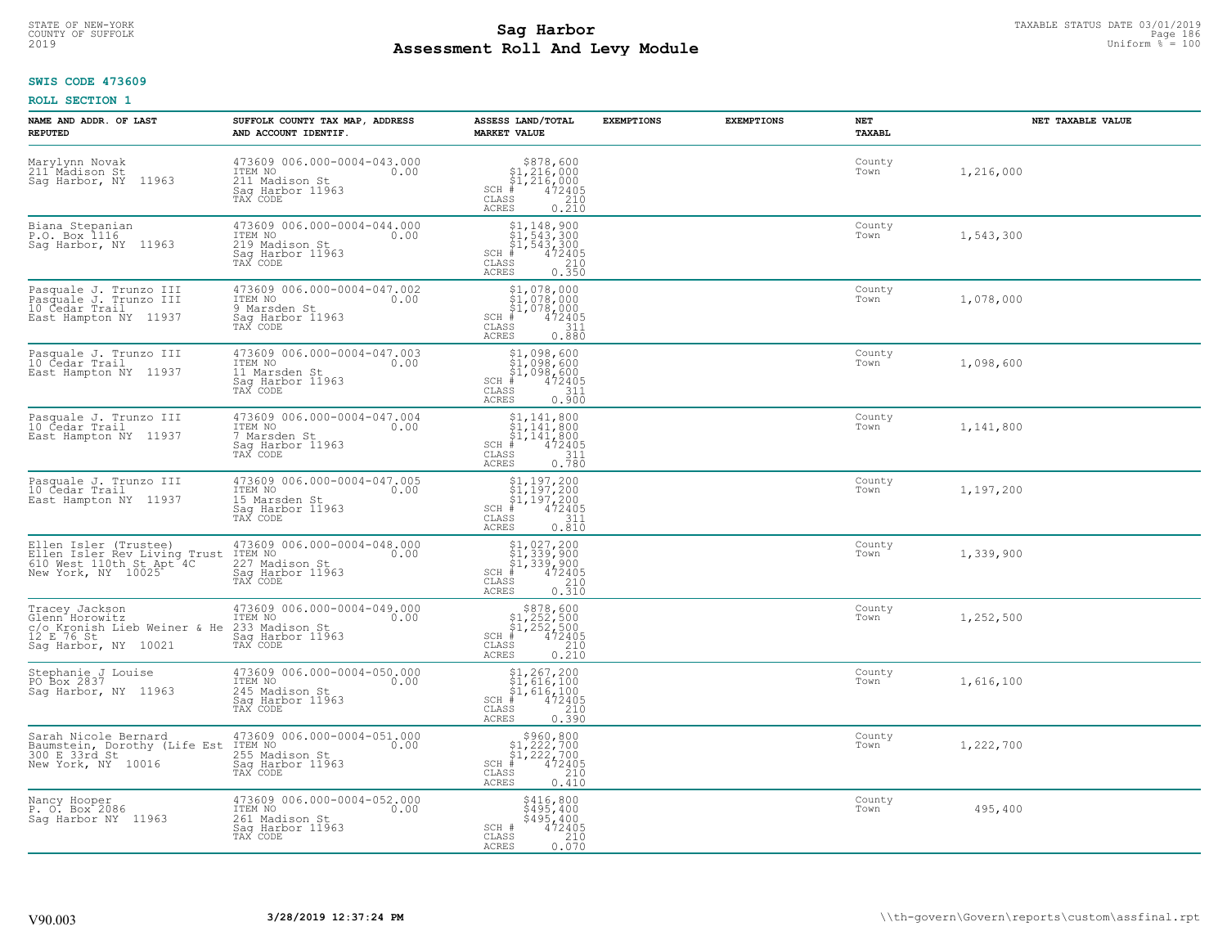# STATE OF NEW-YORK TAXABLE STATUS DATE 03/01/2019<br>COUNTY OF SUFFOLK Page 186 **Assessment Roll And Levy Module** 2019 Uniform % = 100

# **SWIS CODE 473609**

| NAME AND ADDR. OF LAST<br><b>REPUTED</b>                                                                | SUFFOLK COUNTY TAX MAP, ADDRESS<br>AND ACCOUNT IDENTIF.                                          | ASSESS LAND/TOTAL<br><b>MARKET VALUE</b>                                                                                        | <b>EXEMPTIONS</b> | <b>EXEMPTIONS</b> | NET<br><b>TAXABL</b> | NET TAXABLE VALUE |
|---------------------------------------------------------------------------------------------------------|--------------------------------------------------------------------------------------------------|---------------------------------------------------------------------------------------------------------------------------------|-------------------|-------------------|----------------------|-------------------|
| Marylynn Novak<br>211 Madison St<br>Sag Harbor, NY 11963                                                | 473609 006.000-0004-043.000<br>TTEM NO 0.00<br>211 Madison St<br>Saq Harbor 11963<br>TAX CODE    | $\begin{array}{r} $878,600 $1,216,000 $1,216,000 # 472405 $5210$<br>$SCH$ #<br>CLASS<br><b>ACRES</b><br>0.210                   |                   |                   | County<br>Town       | 1,216,000         |
| Biana Stepanian<br>P.O. Box 1116<br>Sag Harbor, NY 11963                                                | 473609 006.000-0004-044.000<br>ITEM NO<br>0.00<br>219 Madison St<br>Sag Harbor 11963<br>TAX CODE | $$1, 148, 900$<br>$$1, 543, 300$<br>$$1, 543, 300$<br>$$472405$<br>$SCH$ #<br>CLASS<br>210<br>0.350<br><b>ACRES</b>             |                   |                   | County<br>Town       | 1,543,300         |
| Pasquale J. Trunzo III<br>Pasquale J. Trunzo III<br>10 Cedar Trail<br>East Hampton NY 11937             | 473609 006.000-0004-047.002<br>ITEM NO<br>0.00<br>9 Marsden St<br>Sag Harbor 11963<br>TAX CODE   | $$1,078,000$<br>$$1,078,000$<br>$$1,078,000$<br>$$1,078,000$<br>$472405$<br>$SCH$ #<br>CLASS<br>311<br>0.880<br>ACRES           |                   |                   | County<br>Town       | 1,078,000         |
| Pasquale J. Trunzo III<br>10 Cedar Trail<br>East Hampton NY 11937                                       | 473609 006.000-0004-047.003<br>ITEM NO<br>0.00<br>11 Marsden St<br>Saq Harbor 11963<br>TAX CODE  | \$1,098,600<br>\$1,098,600<br>\$1,098,600<br>#472405<br>$SCH$ #<br>CLASS<br>311<br><b>ACRES</b><br>0.900                        |                   |                   | County<br>Town       | 1,098,600         |
| Pasquale J. Trunzo III<br>10 Cedar Trail<br>East Hampton NY 11937                                       | 473609 006.000-0004-047.004<br>ITEM NO<br>0.00<br>7 Marsden St<br>Saq Harbor 11963<br>TAX CODE   | $$1,141,800$<br>$$1,141,800$<br>$$1,141,800$<br>$472405$<br>$311$<br>$SCH$ #<br>CLASS<br>0.780<br><b>ACRES</b>                  |                   |                   | County<br>Town       | 1,141,800         |
| Pasquale J. Trunzo III<br>10 Cedar Trail<br>East Hampton NY 11937                                       | 473609 006.000-0004-047.005<br>ITEM NO<br>0.00<br>15 Marsden St<br>Sag Harbor 11963<br>TAX CODE  | \$1,197,200<br>\$1,197,200<br>\$1,197,200<br>#472405<br>$SCH$ #<br>CLASS<br>311<br>0.810<br><b>ACRES</b>                        |                   |                   | County<br>Town       | 1,197,200         |
| Ellen Isler (Trustee)<br>Ellen Isler Rev Living Trust<br>610 West 110th St Apt 4C<br>New York, NY 10025 | 473609 006.000-0004-048.000<br>ITEM NO<br>227 Madison St<br>Sag Harbor 11963<br>0.00<br>TAX CODE | $$1,027,200$<br>$$1,339,900$<br>$$1,339,900$<br>$$472405$<br>$SCH$ #<br>CLASS<br>$\frac{210}{0.310}$<br><b>ACRES</b>            |                   |                   | County<br>Town       | 1,339,900         |
| Tracey Jackson<br>Glenn Horowitz<br>c/o Kronish Lieb Weiner & He<br>12 E 76 St<br>Saq Harbor, NY 10021  | 473609 006.000-0004-049.000<br>ITEM NO<br>0.00<br>233 Madison St<br>Sag Harbor 11963<br>TAX CODE | $$878,600$<br>$$1,252,500$<br>$$1,252,500$<br>$*1,252,500$<br>$*1,252,2405$<br>$SCH$ #<br>CLASS<br>210<br><b>ACRES</b><br>0.210 |                   |                   | County<br>Town       | 1,252,500         |
| Stephanie J Louise<br>PO Box 2837<br>Saq Harbor, NY 11963                                               | 473609 006.000-0004-050.000<br>TTEM NO 0.00<br>245 Madison St<br>Saq Harbor 11963<br>TAX CODE    | $$1, 267, 200$<br>$$1, 616, 100$<br>$$1, 616, 100$<br>$$472405$<br>$SCH$ #<br>CLASS<br>210<br><b>ACRES</b><br>0.390             |                   |                   | County<br>Town       | 1,616,100         |
| Sarah Nicole Bernard<br>Baumstein, Dorothy (Life Est<br>300 E 33rd St<br>New York, NY 10016             | 473609 006.000-0004-051.000<br>ITEM NO<br>0.00<br>255 Madison St<br>Sag Harbor 11963<br>TAX CODE | $$360,800\n$1,222,700\n$1,222,700\n# 472405\n 410\n 210$<br>$SCH$ #<br>CLASS<br><b>ACRES</b><br>0.410                           |                   |                   | County<br>Town       | 1,222,700         |
| Nancy Hooper<br>P. O. Box 2086<br>Saq Harbor NY 11963                                                   | 473609 006.000-0004-052.000<br>ITEM NO<br>0.00<br>261 Madison St<br>Sag Harbor 11963<br>TAX CODE | \$416,800<br>\$495,400<br>\$495,400<br>SCH #<br>472405<br>CLASS<br>210<br><b>ACRES</b><br>0.070                                 |                   |                   | County<br>Town       | 495,400           |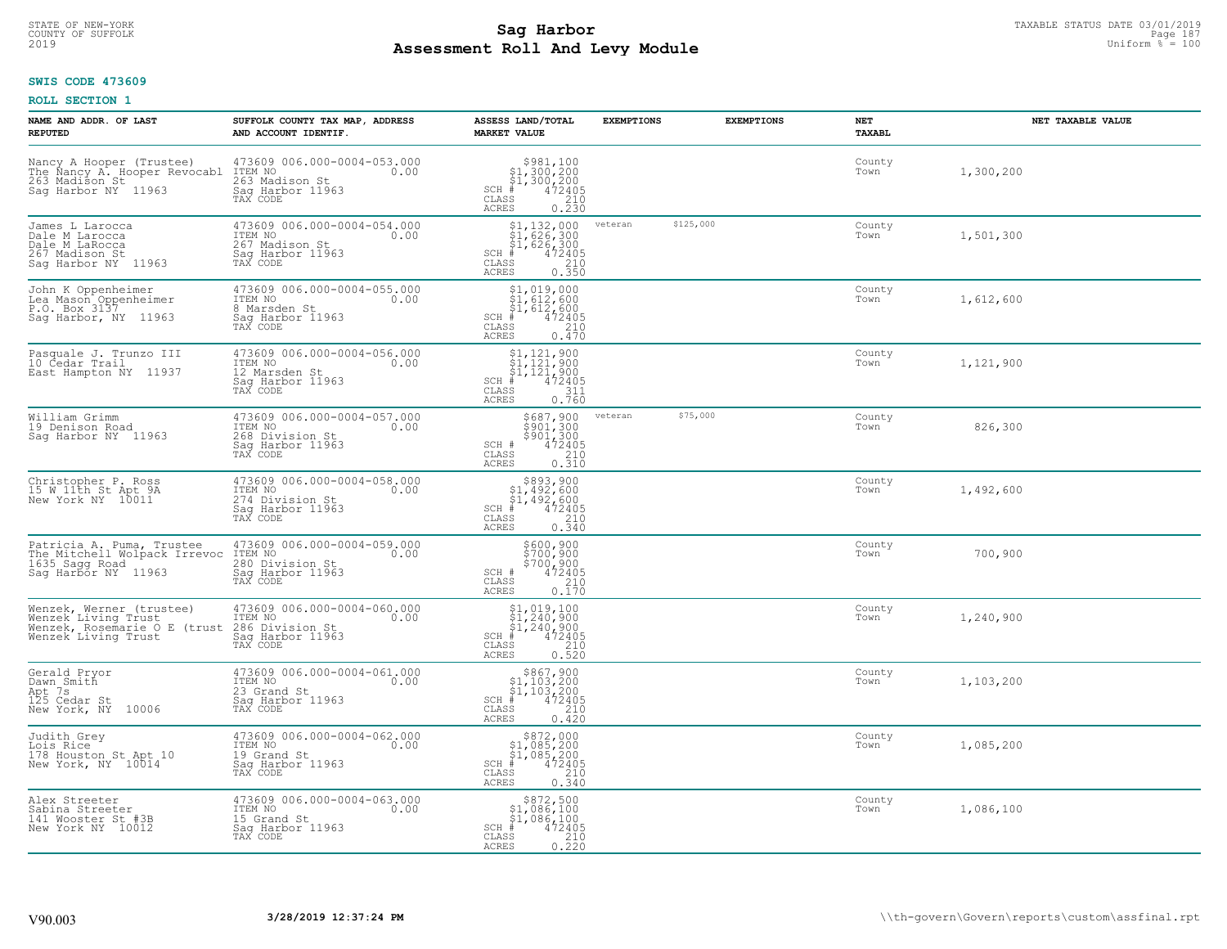#### **SWIS CODE 473609**

| NAME AND ADDR. OF LAST<br><b>REPUTED</b>                                                                  | SUFFOLK COUNTY TAX MAP, ADDRESS<br>AND ACCOUNT IDENTIF.                                           | ASSESS LAND/TOTAL<br><b>MARKET VALUE</b>                                                                                                                                                                                                                                                                                                                                                                                             | <b>EXEMPTIONS</b> | <b>EXEMPTIONS</b> | NET<br>TAXABL  | NET TAXABLE VALUE |
|-----------------------------------------------------------------------------------------------------------|---------------------------------------------------------------------------------------------------|--------------------------------------------------------------------------------------------------------------------------------------------------------------------------------------------------------------------------------------------------------------------------------------------------------------------------------------------------------------------------------------------------------------------------------------|-------------------|-------------------|----------------|-------------------|
| Nancy A Hooper (Trustee)<br>The Nancy A. Hooper Revocabl<br>263 Madison St<br>Saq Harbor NY 11963         | 473609 006.000-0004-053.000<br>ITEM NO<br>0.00<br>263 Madison St<br>Sag Harbor 11963<br>TAX CODE  | $\begin{array}{r} \texttt{\$981,100}\ \\ \texttt{\$1,300,200}\ \\ \texttt{\$1,300,200}\ \\ \texttt{\$1,300,200}\ \\ \texttt{\$1,472405}\ \\ \texttt{\$10}\ \\ \texttt{\$10}\ \\ \texttt{\$10}\ \\ \texttt{\$210}\ \\ \texttt{\$10}\ \\ \texttt{\$230}\ \end{array}$<br>SCH #<br>CLASS<br>ACRES                                                                                                                                       |                   |                   | County<br>Town | 1,300,200         |
| James L Larocca<br>Dale M Larocca<br>Dale M LaRocca<br>267 Madison St<br>Saq Harbor NY 11963              | 473609 006.000-0004-054.000<br>ITEM NO<br>0.00<br>267 Madison St<br>Sag Harbor 11963<br>TAX CODE  | $\begin{array}{l} \texttt{\$1,132,000}\ \texttt{\$1,626,300}\ \texttt{\$1,626,300}\ \texttt{\$1,626,300}\ \texttt{\$1,62405}\ \texttt{\$1,62405}\ \texttt{\$210}\ \texttt{\$35}\ \texttt{\$210}\ \texttt{\$35}\ \texttt{\$23}\ \texttt{\$23}\ \texttt{\$36}\ \texttt{\$38}\ \texttt{\$38}\ \texttt{\$39}\ \texttt{\$48}\ \texttt{\$48}\ \texttt{\$49}\ \texttt{\$40}\ \texttt{\$48}\ \texttt{\$$<br>$SCH$ #<br>CLASS<br><b>ACRES</b> | veteran           | \$125,000         | County<br>Town | 1,501,300         |
| John K Oppenheimer<br>Lea Mason Oppenheimer<br>P.O. Box 3137<br>Sag Harbor, NY 11963                      | 473609 006.000-0004-055.000<br>ITEM NO<br>0.00<br>8 Marsden St<br>Sag Harbor 11963<br>TAX CODE    | $$1,019,000$<br>$$1,612,600$<br>$$1,612,600$<br>$*$<br>$472405$<br>$*$<br>$210$<br>SCH #<br>CLASS<br>ACRES<br>0.470                                                                                                                                                                                                                                                                                                                  |                   |                   | County<br>Town | 1,612,600         |
| Pasquale J. Trunzo III<br>10 Cedar Trail<br>East Hampton NY 11937                                         | 473609 006.000-0004-056.000<br>ITEM NO<br>0.00<br>12 Marsden St<br>Saq Harbor 11963<br>TAX CODE   | $$1,121,900$<br>$$1,121,900$<br>$$1,121,900$<br>$472405$<br>$311$<br>$SCH$ #<br>CLASS<br><b>ACRES</b><br>0.760                                                                                                                                                                                                                                                                                                                       |                   |                   | County<br>Town | 1,121,900         |
| William Grimm<br>19 Denison Road<br>Sag Harbor NY 11963                                                   | 473609 006.000-0004-057.000<br>ITEM NO<br>0.00<br>268 Division St<br>Saq Harbor 11963<br>TAX CODE | $$687, 900$<br>$$901, 300$<br>$$901, 300$<br>$$472405$<br>$$210$<br>SCH #<br>CLASS<br>0.310<br>ACRES                                                                                                                                                                                                                                                                                                                                 | veteran           | \$75,000          | County<br>Town | 826,300           |
| Christopher P. Ross<br>15 W 11th St Apt 9A<br>New York NY 10011                                           | 473609 006.000-0004-058.000<br>ITEM NO<br>0.00<br>274 Division St<br>Saq Harbor 11963<br>TAX CODE | $$893,900$<br>$$1,492,600$<br>$$1,492,600$<br>$$472405$<br>$SCH$ #<br>$\mathtt{CLASS}$<br>210<br>0.340<br>ACRES                                                                                                                                                                                                                                                                                                                      |                   |                   | County<br>Town | 1,492,600         |
| Patricia A. Puma, Trustee<br>The Mitchell Wolpack Irrevoc<br>1635 Sagg Road<br>Saq Harbor NY 11963        | 473609 006.000-0004-059.000<br>10.00 0.00<br>280 Division St<br>Sag Harbor 11963<br>TAX CODE      | \$600,900<br>\$700,900<br>\$700,900<br>\$700,900<br>SCH #<br>CLASS<br>210<br><b>ACRES</b><br>0.170                                                                                                                                                                                                                                                                                                                                   |                   |                   | County<br>Town | 700,900           |
| Wenzek, Werner (trustee)<br>Wenzek Living Trust<br>Wenzek, Rosemarie O E<br>(trust<br>Wenzek Living Trust | 473609 006.000-0004-060.000<br>ITEM NO 0.00<br>286 Division St<br>Sag Harbor 11963<br>TAX CODE    | $$1,019,100$<br>$$1,240,900$<br>$$1,240,900$<br>$472405$<br>$$240$<br>$$240$<br>$SCH$ #<br>CLASS<br><b>ACRES</b><br>0.520                                                                                                                                                                                                                                                                                                            |                   |                   | County<br>Town | 1,240,900         |
| Gerald Pryor<br>Dawn Smith<br>Apt 7s<br>125 Cedar St<br>New York, NY<br>10006                             | 473609 006.000-0004-061.000<br>ITEM NO<br>0.00<br>23 Grand St<br>Saq Harbor 11963<br>TAX CODE     | $\begin{array}{c} $867,900 \\ $1,103,200 \\ $1,103,200 \end{array}$<br>$SCH$ #<br>472405<br>CLASS<br>210<br><b>ACRES</b><br>0.420                                                                                                                                                                                                                                                                                                    |                   |                   | County<br>Town | 1,103,200         |
| Judith Grey<br>Lois Rice<br>178 Houston St Apt 10<br>New York, NY 10014                                   | 473609 006.000-0004-062.000<br>ITEM NO<br>0.00<br>19 Grand St<br>Sag Harbor 11963<br>TAX CODE     | $$872,000$<br>$$1,085,200$<br>$$1,085,200$<br>$*1,085,200$<br>$*6$<br>$*72405$<br>$SCH$ $#$<br>CLASS<br>210<br>ACRES<br>0.340                                                                                                                                                                                                                                                                                                        |                   |                   | County<br>Town | 1,085,200         |
| Alex Streeter<br>Sabina Streeter<br>141 Wooster St #3B<br>New York NY 10012                               | 473609 006.000-0004-063.000<br>ITEM NO<br>0.00<br>15 Grand St<br>Sag Harbor 11963<br>TAX CODE     | $$872,500$<br>$$1,086,100$<br>$$1,086,100$<br>$$1,086,100$<br>$SCH$ #<br>472405<br>CLASS<br>$\frac{210}{0.220}$<br>ACRES                                                                                                                                                                                                                                                                                                             |                   |                   | County<br>Town | 1,086,100         |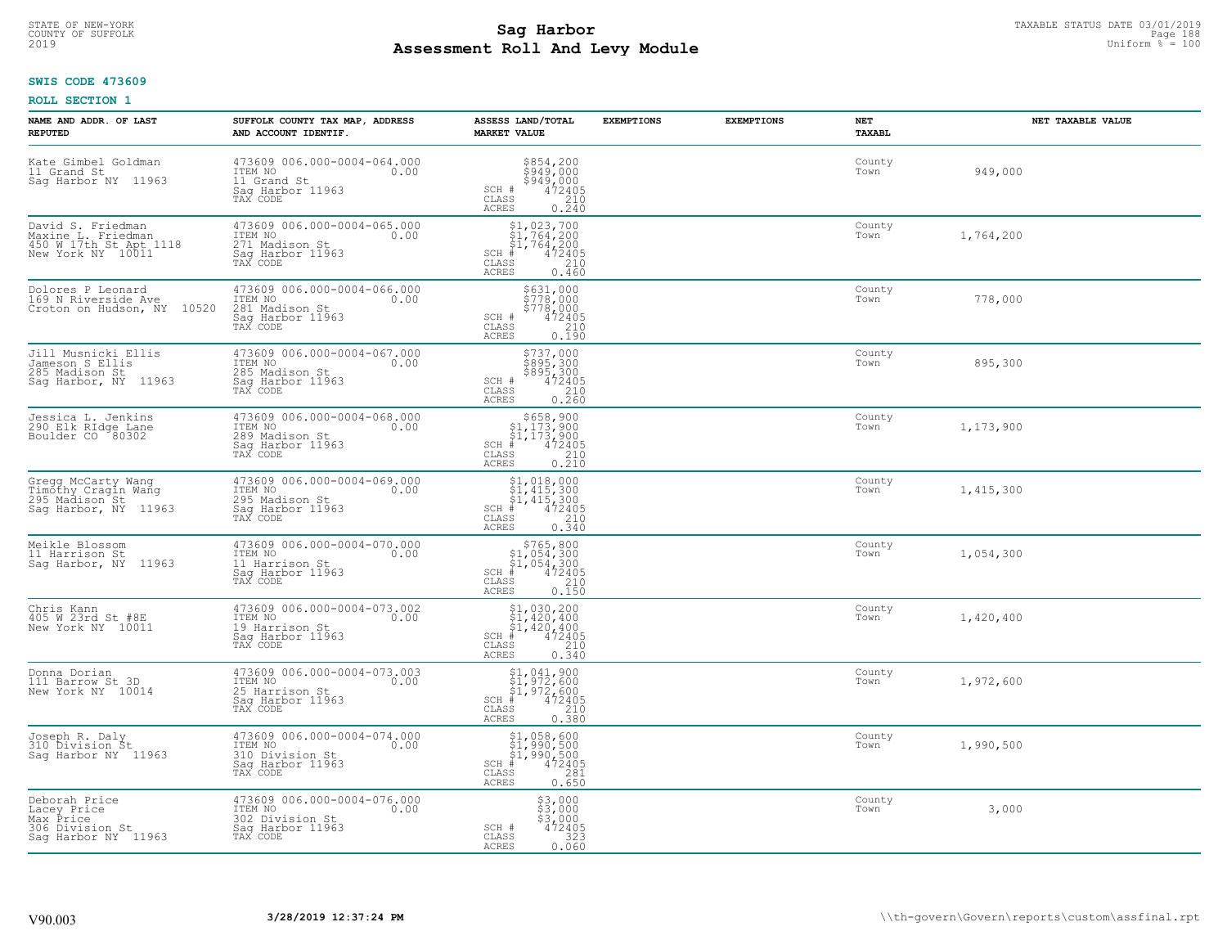# STATE OF NEW-YORK TAXABLE STATUS DATE 03/01/2019<br>Page 188 **Sag Harbor** Superinten and the superior of Superior Page 188 **Assessment Roll And Levy Module** 2019 Uniform % = 100

# **SWIS CODE 473609**

| NAME AND ADDR. OF LAST<br><b>REPUTED</b>                                               | SUFFOLK COUNTY TAX MAP, ADDRESS<br>AND ACCOUNT IDENTIF.                                           | ASSESS LAND/TOTAL<br><b>MARKET VALUE</b>                                                                                                                                                                                                                                                                                                                    | <b>EXEMPTIONS</b> | <b>EXEMPTIONS</b> | <b>NET</b><br>TAXABL | NET TAXABLE VALUE |
|----------------------------------------------------------------------------------------|---------------------------------------------------------------------------------------------------|-------------------------------------------------------------------------------------------------------------------------------------------------------------------------------------------------------------------------------------------------------------------------------------------------------------------------------------------------------------|-------------------|-------------------|----------------------|-------------------|
| Kate Gimbel Goldman<br>11 Grand St<br>Saq Harbor NY 11963                              | 473609 006.000-0004-064.000<br>ITEM NO<br>0.00<br>11 Grand St<br>Saq Harbor 11963<br>TAX CODE     | $$854, 200$<br>$$949, 000$<br>$$949, 000$<br>$472405$<br>$$210$<br>SCH #<br>CLASS<br><b>ACRES</b><br>0.240                                                                                                                                                                                                                                                  |                   |                   | County<br>Town       | 949,000           |
| David S. Friedman<br>Maxine L. Friedman<br>450 W 17th St Apt 1118<br>New York NY 10011 | 473609 006.000-0004-065.000<br>ITEM NO<br>0.00<br>271 Madison St<br>Saq Harbor 11963<br>TAX CODE  | $$1, 023, 700$<br>$$1, 764, 200$<br>$$1, 764, 200$<br>$472405$<br>$$240$<br>$SCH$ #<br>CLASS<br><b>ACRES</b><br>0.460                                                                                                                                                                                                                                       |                   |                   | County<br>Town       | 1,764,200         |
| Dolores P Leonard<br>169 N Riverside Ave<br>10520<br>Croton on Hudson, NY              | 473609 006.000-0004-066.000<br>ITEM NO<br>0.00<br>281 Madison St<br>Sag Harbor 11963<br>TAX CODE  | \$631,000<br>\$778,000<br>\$778,000<br>SCH #<br>$472405$<br>210<br>CLASS<br>0.190<br>ACRES                                                                                                                                                                                                                                                                  |                   |                   | County<br>Town       | 778,000           |
| Jill Musnicki Ellis<br>Jameson S Ellis<br>285 Madison St<br>Sag Harbor, NY 11963       | 473609 006.000-0004-067.000<br>ITEM NO<br>0.00<br>285 Madison St<br>Sag Harbor 11963<br>TAX CODE  | $\begin{array}{r} 5737,000 \\ 5895,300 \\ 5895,300 \\ 472405 \\ 210 \\ 0.260 \end{array}$<br>SCH #<br>CLASS<br><b>ACRES</b>                                                                                                                                                                                                                                 |                   |                   | County<br>Town       | 895,300           |
| Jessica L. Jenkins<br>290 Elk RIdge Lane<br>Boulder CO <sup>80302</sup>                | 473609 006.000-0004-068.000<br>ITEM NO<br>0.00<br>289 Madison St<br>Sag Harbor 11963<br>TAX CODE  | $\begin{array}{r}  \  \  \, 5658,900 \\  \  \, 51,173,900 \\  \  \, 51,173,900 \\  \  \  \, 472405 \\  \  \, 85 \\  \  \  \, 210 \\  \  \, 0.210 \end{array}$<br>$SCH$ #<br>CLASS<br><b>ACRES</b>                                                                                                                                                           |                   |                   | County<br>Town       | 1,173,900         |
| Gregg McCarty Wang<br>Timõthy Cragin Wang<br>295 Madison St<br>Sag Harbor, NY 11963    | 473609 006.000-0004-069.000<br>ITEM NO<br>0.00<br>295 Madison St<br>Sag Harbor 11963<br>TAX CODE  | $\begin{array}{l} $1,018,000 \ $1,415,300 \ $1,415,300 \ $1,415,300 \ \end{array}$<br>$SCH$ #<br>$\frac{210}{0.340}$<br>CLASS<br>ACRES                                                                                                                                                                                                                      |                   |                   | County<br>Town       | 1,415,300         |
| Meikle Blossom<br>11 Harrison St<br>Sag Harbor, NY 11963                               | 473609 006.000-0004-070.000<br>ITEM NO<br>0.00<br>11 Harrison St<br>Sag Harbor 11963<br>TAX CODE  | $$765, 800$<br>$$1, 054, 300$<br>$$1, 054, 300$<br>$$472405$<br>$SCH$ #<br>CLASS<br>$\frac{210}{0.150}$<br>ACRES                                                                                                                                                                                                                                            |                   |                   | County<br>Town       | 1,054,300         |
| Chris Kann<br>405 W 23rd St #8E<br>New York NY 10011                                   | 473609 006.000-0004-073.002<br>TTEM NO 0.00<br>19 Harrison St<br>Saq Harbor 11963<br>TAX CODE     | $$1,030,200$<br>$$1,420,400$<br>$$1,420,400$<br>$472405$<br>$$210$<br>$SCH$ #<br>CLASS<br><b>ACRES</b><br>$0.\bar{3}\bar{4}\tilde{0}$                                                                                                                                                                                                                       |                   |                   | County<br>Town       | 1,420,400         |
| Donna Dorian<br>111 Barrow St 3D<br>New York NY 10014                                  | 473609 006.000-0004-073.003<br>ITEM NO<br>0.00<br>25 Harrison St<br>Saq Harbor 11963<br>TAX CODE  | $\begin{array}{c} \text{\small $\$1$, 041, 900} \\ \text{\small $\$1$, 972, 600} \\ \text{\small $\$1$, 972, 600} \\ \text{\small $\$1$, 972, 600} \\ \text{\small $\$210} \\ \text{\small $\$3$} \\ \text{\small $\$3$} \\ \text{\small $\$5$} \\ \text{\small $\$1$} \\ \text{\small $\$1$} \\ \text{\small $\$380} \end{array}$<br>SCH<br>CLASS<br>ACRES |                   |                   | County<br>Town       | 1,972,600         |
| Joseph R. Daly<br>310 Division St<br>Sag Harbor NY 11963                               | 473609 006.000-0004-074.000<br>ITEM NO<br>0.00<br>310 Division St<br>Sag Harbor 11963<br>TAX CODE | \$1,058,600<br>\$1,990,500<br>\$1,990,500<br>#472405<br>SCH<br>281<br>CLASS<br><b>ACRES</b><br>0.650                                                                                                                                                                                                                                                        |                   |                   | County<br>Town       | 1,990,500         |
| Deborah Price<br>Lacey Price<br>Max Price<br>306 Division St<br>Sag Harbor NY 11963    | 473609 006.000-0004-076.000<br>ITEM NO<br>0.00<br>302 Division St<br>Sag Harbor 11963<br>TAX CODE | $$3,000$<br>$$3,000$<br>$$3,000$<br>SCH #<br>472405<br>323<br>CLASS<br><b>ACRES</b><br>0.060                                                                                                                                                                                                                                                                |                   |                   | County<br>Town       | 3,000             |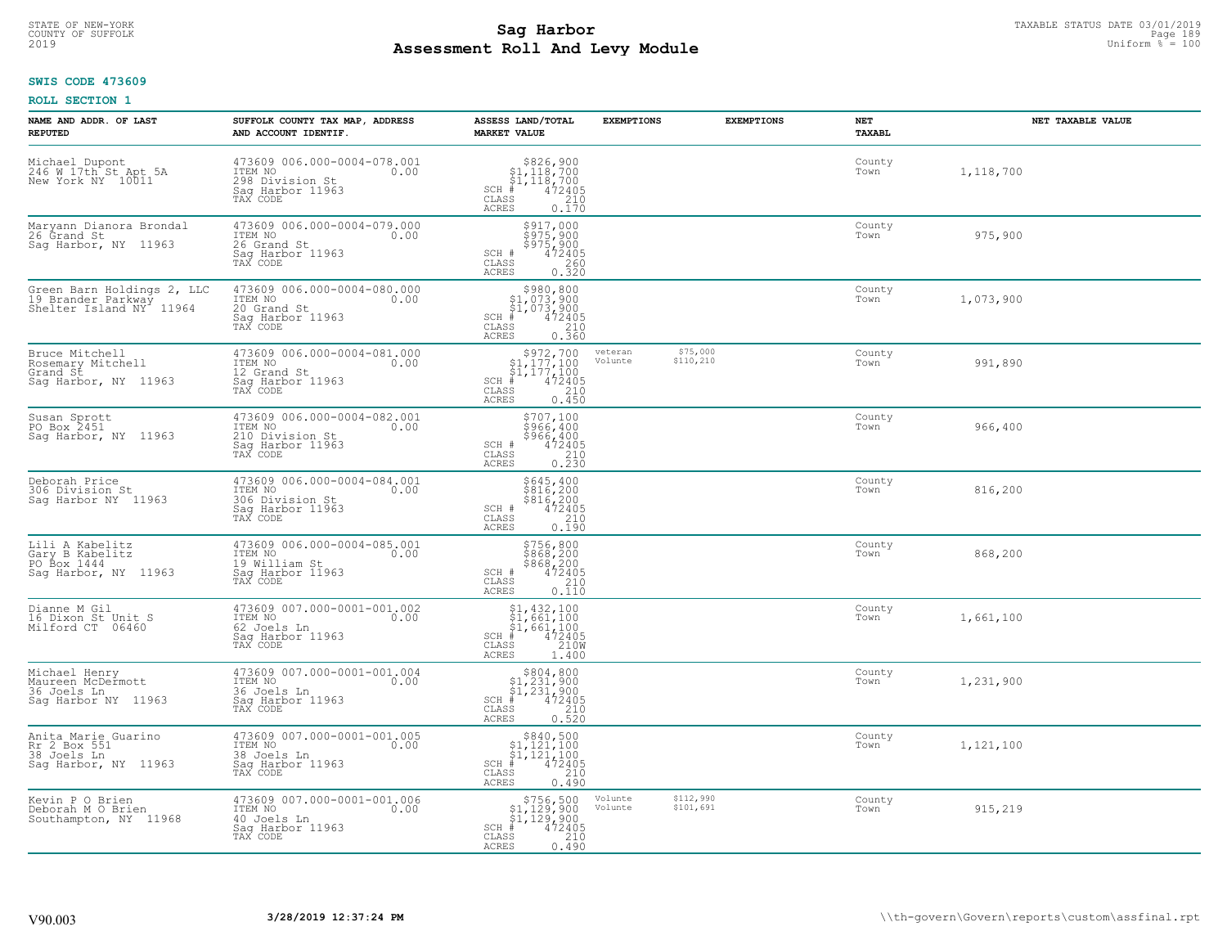### **SWIS CODE 473609**

| NAME AND ADDR. OF LAST<br><b>REPUTED</b>                                                 | SUFFOLK COUNTY TAX MAP, ADDRESS<br>AND ACCOUNT IDENTIF.                                           | ASSESS LAND/TOTAL<br><b>MARKET VALUE</b>                                                                                                     | <b>EXEMPTIONS</b>  | <b>EXEMPTIONS</b>      | NET<br>TAXABL  | NET TAXABLE VALUE |
|------------------------------------------------------------------------------------------|---------------------------------------------------------------------------------------------------|----------------------------------------------------------------------------------------------------------------------------------------------|--------------------|------------------------|----------------|-------------------|
| Michael Dupont<br>246 W 17th St Apt 5A<br>New York NY 10011                              | 473609 006.000-0004-078.001<br>ITEM NO<br>0.00<br>298 Division St<br>Saq Harbor 11963<br>TAX CODE | $SCH$ #<br>CLASS<br>210<br>ACRES<br>0.170                                                                                                    |                    |                        | County<br>Town | 1,118,700         |
| Maryann Dianora Brondal<br>26 Grand St<br>Sag Harbor, NY 11963                           | 473609 006.000-0004-079.000<br>ITEM NO<br>0.00<br>26 Grand St<br>Sag Harbor 11963<br>TAX CODE     | \$917,000<br>\$975,900<br>5975,900<br>472405<br>SCH #<br>CLASS<br>0.320<br>ACRES                                                             |                    |                        | County<br>Town | 975,900           |
| Green Barn Holdings 2, LLC<br>19 Brander Parkway<br>Shelter Island NY <sup>4</sup> 11964 | 473609 006.000-0004-080.000<br>ITEM NO<br>0.00<br>20 Grand St<br>Sag Harbor 11963<br>TAX CODE     | \$980,800<br>\$1,073,900<br>$\begin{array}{r} 51,073,900 \\ 472405 \\ \text{ss} \end{array}$<br>$SCH$ #<br>CLASS<br>0.360<br>ACRES           |                    |                        | County<br>Town | 1,073,900         |
| Bruce Mitchell<br>Rosemary Mitchell<br>Grand St<br>Sag Harbor, NY 11963                  | 473609 006.000-0004-081.000<br>ITEM NO<br>0.00<br>12 Grand St<br>Saq Harbor 11963<br>TAX CODE     | $$972,70051,177,10051,177,100# 47240555 210$<br>$SCH$ #<br>$\mathtt{CLASS}$<br>0.450<br>ACRES                                                | veteran<br>Volunte | \$75,000<br>\$110,210  | County<br>Town | 991,890           |
| Susan Sprott<br>PO Box 2451<br>Sag Harbor, NY 11963                                      | 473609 006.000-0004-082.001<br>ITEM NO<br>0.00<br>210 Division St<br>Saq Harbor 11963<br>TAX CODE | \$707,100<br>\$966,400<br>\$966,400<br>SCH #<br>472405<br>CLASS<br>$\begin{array}{c} 210 \\ 0.230 \end{array}$<br><b>ACRES</b>               |                    |                        | County<br>Town | 966,400           |
| Deborah Price<br>306 Division St<br>Saq Harbor NY 11963                                  | 473609 006.000-0004-084.001<br>ITEM NO<br>0.00<br>306 Division St<br>Sag Harbor 11963<br>TAX CODE | \$645,400<br>\$816,200<br>\$816,200<br>472405<br>210<br>SCH #<br>CLASS<br>0.190<br>ACRES                                                     |                    |                        | County<br>Town | 816,200           |
| Lili A Kabelitz<br>Gary B Kabelitz<br>PO Box 1444<br>Sag Harbor, NY 11963                | 473609 006.000-0004-085.001<br>ITEM NO<br>0.00<br>19 William St<br>Sag Harbor 11963<br>TAX CODE   | $$756, 800$<br>$$868, 200$<br>$$868, 200$<br>$472405$<br>$$210$<br>SCH #<br>CLASS<br>0.110<br>ACRES                                          |                    |                        | County<br>Town | 868,200           |
| Dianne M Gil<br>16 Dixon St Unit S<br>Milford CT 06460                                   | 473609 007.000-0001-001.002<br>ITEM NO<br>0.00<br>62 Joels Ln<br>Saq Harbor 11963<br>TAX CODE     | $$1,432,100$<br>$$1,661,100$<br>$$1,661,100$<br>$472405$<br>$32100$<br>$32100$<br>SCH<br>CLASS<br>ACRES<br>1,400                             |                    |                        | County<br>Town | 1,661,100         |
| Michael Henry<br>Maureen McDermott<br>36 Joels Ln<br>Sag Harbor NY 11963                 | 473609 007.000-0001-001.004<br>ITEM NO<br>0.00<br>36 Joels Ln<br>Saq Harbor 11963<br>TAX CODE     | $$804, 800$<br>$$1, 231, 900$<br>$$1, 231, 900$<br>$472405$<br>$$210$<br>$$210$<br>$SCH$ #<br>CLASS<br><b>ACRES</b><br>0.520                 |                    |                        | County<br>Town | 1,231,900         |
| Anita Marie Guarino<br>Rr 2 Box 551<br>38 Joels Ln<br>Sag Harbor, NY 11963               | 473609 007.000-0001-001.005<br>ITEM NO<br>0.00<br>38 Joels Ln<br>Saq Harbor 11963<br>TAX CODE     | \$840,500<br>$\frac{1}{21}$ , 121, 100<br>$\frac{1}{21}$ , 121, 100<br>$SCH$ #<br>472405<br>$\mathtt{CLASS}$<br>210<br><b>ACRES</b><br>0.490 |                    |                        | County<br>Town | 1,121,100         |
| Kevin P O Brien<br>Deborah M O Brien<br>Southampton, NY 11968                            | 473609 007.000-0001-001.006<br>ITEM NO<br>0.00<br>40 Joels Ln<br>Sag Harbor 11963<br>TAX CODE     | $$756,500$<br>$$1,129,900$<br>$$1,129,900$<br>472405<br>$SCH$ #<br>CLASS<br>210<br>0.490<br>ACRES                                            | Volunte<br>Volunte | \$112,990<br>\$101,691 | County<br>Town | 915,219           |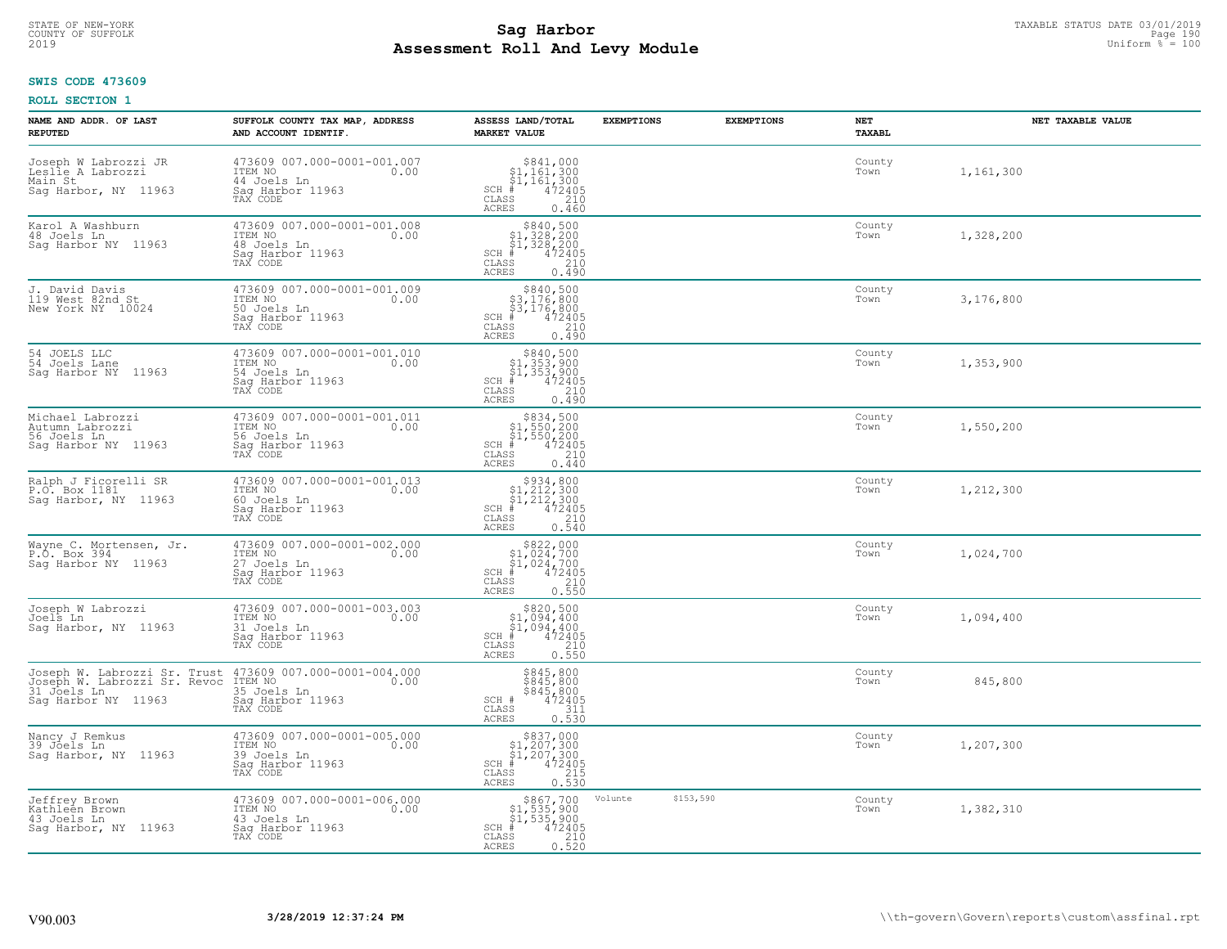### **Sag Harbor**<br>**Poll And Lows Module Assessment Roll And Levy Module** 2019 Uniform % = 100 COUNTY OF SUFFOLK Page 190

# **SWIS CODE 473609**

| NAME AND ADDR. OF LAST<br><b>REPUTED</b>                                                           | SUFFOLK COUNTY TAX MAP, ADDRESS<br>AND ACCOUNT IDENTIF.                                       | ASSESS LAND/TOTAL<br><b>MARKET VALUE</b>                                                                                                                     | <b>EXEMPTIONS</b>    | <b>EXEMPTIONS</b> | NET<br>TAXABL  | NET TAXABLE VALUE |
|----------------------------------------------------------------------------------------------------|-----------------------------------------------------------------------------------------------|--------------------------------------------------------------------------------------------------------------------------------------------------------------|----------------------|-------------------|----------------|-------------------|
| Joseph W Labrozzi JR<br>Leslie A Labrozzi<br>Main St<br>Sag Harbor, NY 11963                       | 473609 007.000-0001-001.007<br>ITEM NO<br>0.00<br>44 Joels Ln<br>Saq Harbor 11963<br>TAX CODE | $$841,000§1,161,300§1,161,300# 472405§5210$<br>$SCH$ #<br>CLASS<br><b>ACRES</b><br>0.460                                                                     |                      |                   | County<br>Town | 1,161,300         |
| Karol A Washburn<br>48 Joels Ln<br>Sag Harbor NY 11963                                             | 473609 007.000-0001-001.008<br>ITEM NO<br>0.00<br>48 Joels Ln<br>Saq Harbor 11963<br>TAX CODE | $\begin{array}{c} $840,500 \\ $1,328,200 \\ $1,328,200 \end{array}$<br>472405<br>$SCH$ #<br>CLASS<br>210<br><b>ACRES</b><br>0.490                            |                      |                   | County<br>Town | 1,328,200         |
| J. David Davis<br>119 West 82nd St<br>New York NY 10024                                            | 473609 007.000-0001-001.009<br>ITEM NO<br>0.00<br>50 Joels Ln<br>Sag Harbor 11963<br>TAX CODE | \$840,500<br>\$3,176,800<br>\$3,176,800<br>$SCH$ #<br>472405<br>CLASS<br>210<br>0.490<br>ACRES                                                               |                      |                   | County<br>Town | 3,176,800         |
| 54 JOELS LLC<br>54 Joels Lane<br>Saq Harbor NY 11963                                               | 473609 007.000-0001-001.010<br>ITEM NO<br>0.00<br>54 Joels Ln<br>Saq Harbor 11963<br>TAX CODE | $$840,500$<br>$$1,353,900$<br>$$1,353,900$<br>$$1,353,900$<br>$SCH$ #<br>$\frac{472405}{210}$<br>CLASS<br>ACRES<br>0.490                                     |                      |                   | County<br>Town | 1,353,900         |
| Michael Labrozzi<br>Autumn Labrozzi<br>56 Joels Ln<br>Sag Harbor NY 11963                          | 473609 007.000-0001-001.011<br>ITEM NO<br>0.00<br>56 Joels Ln<br>Sag Harbor 11963<br>TAX CODE | \$834,500<br>$\begin{array}{r} 2834, 200 \\ 51, 550, 200 \\ * & 472405 \\ * & 210 \end{array}$<br>$SCH$ #<br>CLASS<br><b>ACRES</b><br>0.440                  |                      |                   | County<br>Town | 1,550,200         |
| Ralph J Ficorelli SR<br>P.O. Box 1181<br>Sag Harbor, NY 11963                                      | 473609 007.000-0001-001.013<br>ITEM NO<br>0.00<br>60 Joels Ln<br>Sag Harbor 11963<br>TAX CODE | $\begin{array}{r} $934,800\n$1,212,300\n$1,212,300\n# 472405 \end{array}$<br>$SCH$ #<br>$\begin{array}{c} 210 \\ 0.540 \end{array}$<br>CLASS<br><b>ACRES</b> |                      |                   | County<br>Town | 1,212,300         |
| Wayne C. Mortensen, Jr.<br>P.O. Box 394<br>Sag Harbor NY 11963                                     | 473609 007.000-0001-002.000<br>ITEM NO<br>0.00<br>27 Joels Ln<br>Saq Harbor 11963<br>TAX CODE | $$822,000§1,024,700§1,024,700‡1,024,700‡1,02405$<br>$SCH$ #<br>$\mathtt{CLASS}$<br>210<br><b>ACRES</b><br>0.550                                              |                      |                   | County<br>Town | 1,024,700         |
| Joseph W Labrozzi<br>Joels Ln<br>Sag Harbor, NY 11963                                              | 473609 007.000-0001-003.003<br>ITEM NO<br>31 Joels Ln<br>Saq Harbor 11963<br>TAX CODE         | $$320,50051,094,40051,094,400+1,094,400+1,472405$<br>$SCH$ #<br>CLASS<br>210<br><b>ACRES</b><br>0.550                                                        |                      |                   | County<br>Town | 1,094,400         |
| Joseph W. Labrozzi Sr. Trust<br>Joseph W. Labrozzi Sr. Revoc<br>31 Joels Ln<br>Saq Harbor NY 11963 | 473609 007.000-0001-004.000<br>0.00 0.00<br>35 Joels Ln<br>Saq Harbor 11963<br>TAX CODE       | \$845,800<br>\$845,800<br>\$845,800<br>472405<br>SCH #<br>CLASS<br>311<br><b>ACRES</b><br>0.530                                                              |                      |                   | County<br>Town | 845,800           |
| Nancy J Remkus<br>39 Jõels Ln<br>Sag Harbor, NY 11963                                              | 473609 007.000-0001-005.000<br>ITEM NO<br>0.00<br>39 Joels Ln<br>Sag Harbor 11963<br>TAX CODE | $$337,00051,207,30051,207,300472405$<br>$SCH$ #<br>CLASS<br>215<br><b>ACRES</b><br>0.530                                                                     |                      |                   | County<br>Town | 1,207,300         |
| Jeffrey Brown<br>Kathleen Brown<br>43 Joels Ln<br>Saq Harbor, NY 11963                             | 473609 007.000-0001-006.000<br>ITEM NO<br>0.00<br>43 Joels Ln<br>Sag Harbor 11963<br>TAX CODE | \$867,700<br>\$1,535,900<br>\$1,535,900<br>472405<br>$SCH$ #<br>210<br>CLASS<br><b>ACRES</b><br>0.520                                                        | \$153,590<br>Volunte |                   | County<br>Town | 1,382,310         |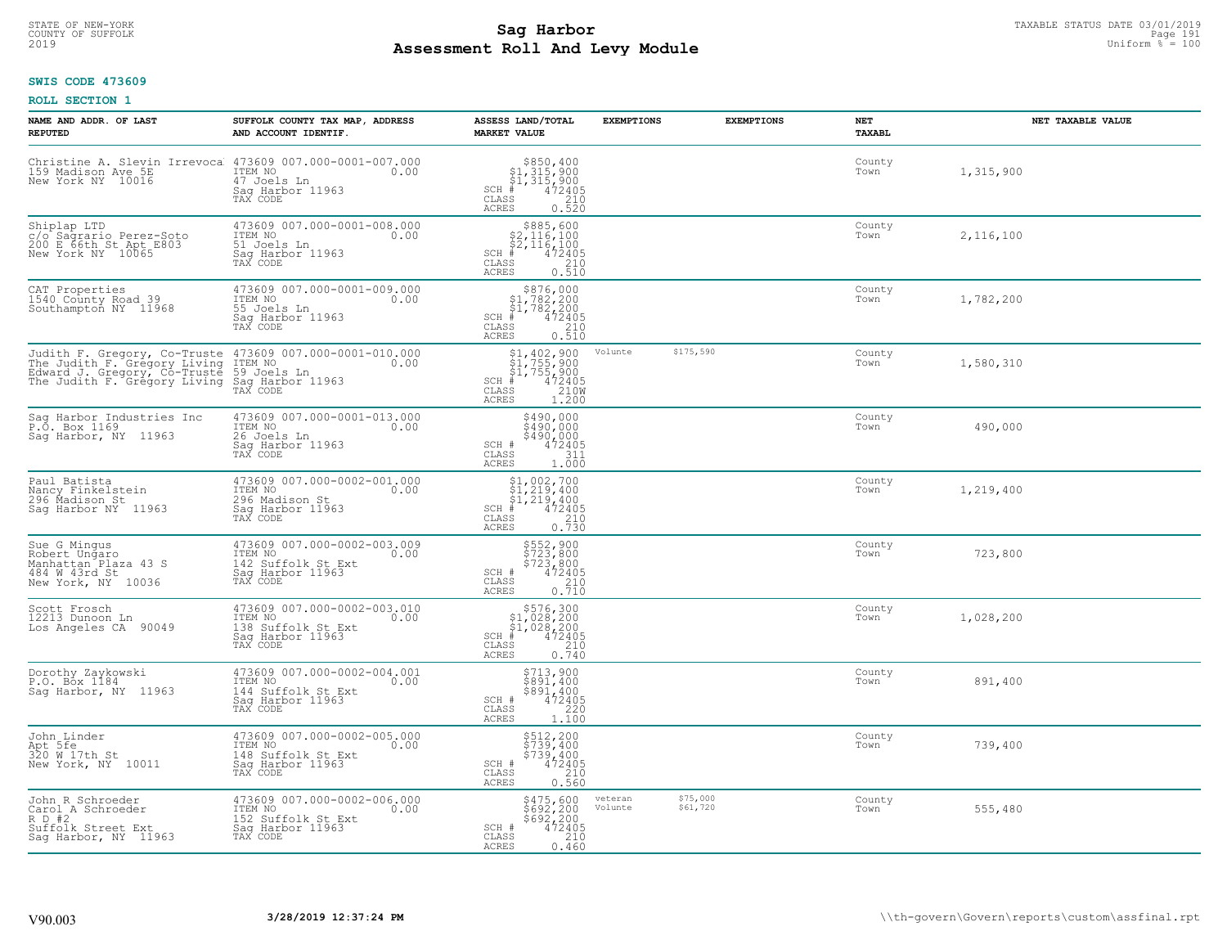# **SWIS CODE 473609**

| NAME AND ADDR. OF LAST<br><b>REPUTED</b>                                                                                                                                                           | SUFFOLK COUNTY TAX MAP, ADDRESS<br>AND ACCOUNT IDENTIF.                                              | ASSESS LAND/TOTAL<br><b>MARKET VALUE</b>                                                                                                                                                                                                                                   | <b>EXEMPTIONS</b>  | <b>EXEMPTIONS</b>    | NET<br><b>TAXABL</b> | NET TAXABLE VALUE |
|----------------------------------------------------------------------------------------------------------------------------------------------------------------------------------------------------|------------------------------------------------------------------------------------------------------|----------------------------------------------------------------------------------------------------------------------------------------------------------------------------------------------------------------------------------------------------------------------------|--------------------|----------------------|----------------------|-------------------|
| Christine A. Slevin Irrevoca<br>159 Madison Ave 5E<br>New York NY 10016                                                                                                                            | 473609 007.000-0001-007.000<br>ITEM NO<br>0.00<br>47 Joels Ln<br>Saq Harbor 11963<br>TAX CODE        | $$850, 400$<br>$$1, 315, 900$<br>$$1, 315, 900$<br>$472405$<br>$$210$<br>$$210$<br>$SCH$ #<br>CLASS<br><b>ACRES</b><br>0.520                                                                                                                                               |                    |                      | County<br>Town       | 1,315,900         |
| Shiplap LTD<br>c/o Sagrario Perez-Soto<br>200 E 66th St Apt E803<br>New York NY 10065                                                                                                              | 473609 007.000-0001-008.000<br>ITEM NO<br>51 Joels Ln<br>0.00<br>Sag Harbor 11963<br>TAX CODE        | $$885,600$<br>$$2,116,100$<br>$$2,116,100$<br>$$2,116,100$<br>$SCH$ #<br>472405<br>CLASS<br>210<br>0.510<br><b>ACRES</b>                                                                                                                                                   |                    |                      | County<br>Town       | 2,116,100         |
| CAT Properties<br>1540 County Road 39<br>Southampton NY 11968                                                                                                                                      | 473609 007.000-0001-009.000<br>ITEM NO<br>0.00<br>55 Joels Ln<br>Sag Harbor 11963<br>TAX CODE        | $\begin{array}{c} $876,000\n$1,782,200\n$1,782,200\n# 472405 \end{array}$<br>$SCH$ #<br>210<br>CLASS<br>0.510<br>ACRES                                                                                                                                                     |                    |                      | County<br>Town       | 1,782,200         |
| Judith F. Gregory, Co-Truste 473609 007.000-0001-010.000<br>The Judith F. Gregory Living ITEM NO. 000<br>Edward J. Gregory, Co-Truste 59 Joels Ln<br>The Judith F. Gregory Living Sag Harbor 11963 | TAX CODE                                                                                             | $\begin{array}{l} \text{\small $51$, $402$, $900$} \\ \text{\small $51$, $755$, $900$} \\ \text{\small $51$, $755$, $900$} \\ \text{\small $4$ & $472405$} \\ \text{\small $85$ & $210W$} \\ \text{\small $85$ & $1.200$} \end{array}$<br>$SCH$ #<br>CLASS<br><b>ACRES</b> | Volunte            | \$175,590            | County<br>Town       | 1,580,310         |
| Sag Harbor Industries Inc<br>P.O. Box 1169<br>Sag Harbor, NY 11963                                                                                                                                 | 473609 007.000-0001-013.000<br>ITEM NO<br>0.00<br>26 Joels Ln<br>Saq Harbor 11963<br>TAX CODE        | $$490,000$<br>$$490,000$<br>\$490,000<br>SCH #<br>$472405$<br>311<br>$\mathtt{CLASS}$<br>1.000<br><b>ACRES</b>                                                                                                                                                             |                    |                      | County<br>Town       | 490,000           |
| Paul Batista<br>Nancy Finkelstein<br>296 Madison St<br>Sag Harbor NY 11963                                                                                                                         | 473609 007.000-0002-001.000<br>ITEM NO<br>0.00<br>296 Madison St<br>Sag Harbor 11963<br>TAX CODE     | $$1,002,700$<br>$$1,219,400$<br>$$1,219,400$<br>$$4,472405$<br>SCH #<br>CLASS<br>210<br>0.730<br><b>ACRES</b>                                                                                                                                                              |                    |                      | County<br>Town       | 1,219,400         |
| Sue G Mingus<br>Robert Ungaro<br>Manhattan Plaza 43 S<br>484 W 43rd St<br>New York, NY 10036                                                                                                       | 473609 007.000-0002-003.009<br>ITEM NO<br>0.00<br>142 Suffolk St Ext<br>Sag Harbor 11963<br>TAX CODE | \$552,900<br>\$723,800<br>\$723,800<br>\$723,800<br>SCH #<br>CLASS<br>210<br>0.710<br><b>ACRES</b>                                                                                                                                                                         |                    |                      | County<br>Town       | 723,800           |
| Scott Frosch<br>12213 Dunoon Ln<br>Los Angeles CA 90049                                                                                                                                            | 473609 007.000-0002-003.010<br>TTEM NO 0.00<br>138 Suffolk St Ext<br>Sag Harbor 11963                | $$576,300$<br>$$1,028,200$<br>$$1,028,200$<br>$*$<br>$*$<br>$472405$<br>$SCH$ #<br>CLASS<br>210<br>ACRES<br>0.740                                                                                                                                                          |                    |                      | County<br>Town       | 1,028,200         |
| Dorothy Zaykowski<br>P.O. Box 1184<br>Sag Harbor, NY 11963                                                                                                                                         | 473609 007.000-0002-004.001<br>TTEM NO 0.00<br>144 Suffolk St Ext<br>Saq Harbor 11963<br>TAX CODE    | \$713,900<br>\$891,400<br>\$891,400<br>SCH #<br>$472405$<br>220<br>$\mathtt{CLASS}$<br><b>ACRES</b><br>1.100                                                                                                                                                               |                    |                      | County<br>Town       | 891,400           |
| John Linder<br>Apt 5fe<br>320 W 17th St<br>New York, NY 10011                                                                                                                                      | 473609 007.000-0002-005.000<br>ITEM NO<br>0.00<br>148 Suffolk St Ext<br>Sag Harbor 11963<br>TAX CODE | \$512,200<br>\$739,400<br>\$739,400<br>SCH #<br>$472405$<br>210<br>CLASS<br><b>ACRES</b><br>0.560                                                                                                                                                                          |                    |                      | County<br>Town       | 739,400           |
| John R Schroeder<br>Carol A Schroeder<br>R D #2<br>Suffolk Street Ext<br>Sag Harbor, NY 11963                                                                                                      | 473609 007.000-0002-006.000<br>ITEM NO<br>0.00<br>152 Suffolk St Ext<br>Sag Harbor 11963<br>TAX CODE | \$475,600<br>\$692,200<br>\$692,200<br>472405<br>SCH #<br>CLASS<br>210<br><b>ACRES</b><br>0.460                                                                                                                                                                            | veteran<br>Volunte | \$75,000<br>\$61,720 | County<br>Town       | 555,480           |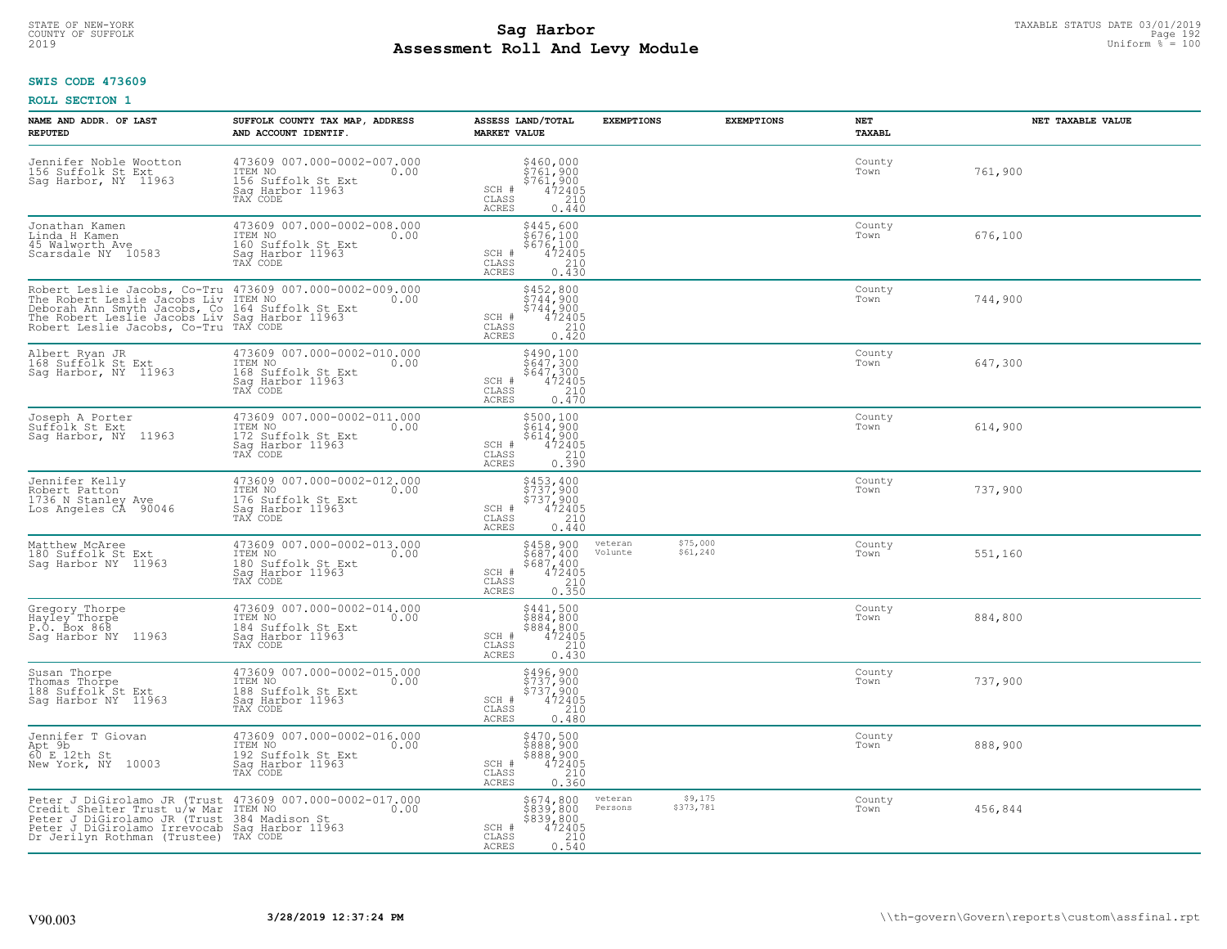### **Sag Harbor**<br>**Poll And Low Module**<br>
Poll And Low Module **Assessment Roll And Levy Module** 2019 Uniform % = 100 COUNTY OF SUFFOLK Page 192

# **SWIS CODE 473609**

| NAME AND ADDR. OF LAST<br><b>REPUTED</b>                                                                                                                                                                                                                          | SUFFOLK COUNTY TAX MAP, ADDRESS<br>AND ACCOUNT IDENTIF.                                              | ASSESS LAND/TOTAL<br><b>MARKET VALUE</b>                                                                                       | <b>EXEMPTIONS</b>  | <b>EXEMPTIONS</b>    | NET<br>TAXABL  | NET TAXABLE VALUE |
|-------------------------------------------------------------------------------------------------------------------------------------------------------------------------------------------------------------------------------------------------------------------|------------------------------------------------------------------------------------------------------|--------------------------------------------------------------------------------------------------------------------------------|--------------------|----------------------|----------------|-------------------|
| Jennifer Noble Wootton<br>156 Suffolk St Ext<br>Sag Harbor, NY 11963                                                                                                                                                                                              | 473609 007.000-0002-007.000<br>ITEM NO<br>0.00<br>156 Suffolk St Ext<br>Saq Harbor 11963<br>TAX CODE | \$460,000<br>\$761,900<br>\$761,900<br>472405<br>SCH #<br>CLASS<br>210<br><b>ACRES</b><br>0.440                                |                    |                      | County<br>Town | 761,900           |
| Jonathan Kamen<br>Linda H Kamen<br>45 Walworth Ave<br>Scarsdale NY 10583                                                                                                                                                                                          | 473609 007.000-0002-008.000<br>ITEM NO<br>0.00<br>160 Suffolk St Ext<br>Sag Harbor 11963<br>TAX CODE | \$445,600<br>\$676,100<br>\$676,100<br>SCH #<br>CLASS<br>$\frac{472405}{210}$<br>0.430<br><b>ACRES</b>                         |                    |                      | County<br>Town | 676,100           |
| Robert Leslie Jacobs, Co-Tru 473609 007.000-0002-009.000<br>The Robert Leslie Jacobs Liv ITEM NO <sub>ccle</sub> 2000<br>Deborah Ann Smyth Jacobs, Co 164 Suffolk St E.<br>The Robert Leslie Jacobs Liv Sag Harbor 11963<br>Robert Leslie Jacobs, Co-Tru TAX CODE | 164 Suffolk St Ext                                                                                   | \$452,800<br>$\frac{1744}{5744}$ , 900<br>$\frac{472405}{472405}$<br>SCH #<br>CLASS<br>0.420<br>ACRES                          |                    |                      | County<br>Town | 744,900           |
| Albert Ryan JR<br>168 Suffolk St Ext<br>Saq Harbor, NY 11963                                                                                                                                                                                                      | 473609 007.000-0002-010.000<br>ITEM NO<br>0.00<br>168 Suffolk St Ext<br>Saq Harbor 11963<br>TAX CODE | $5490,1005647,3005647,300472405210210$<br>SCH #<br>$\mathtt{CLASS}$<br><b>ACRES</b><br>0.470                                   |                    |                      | County<br>Town | 647,300           |
| Joseph A Porter<br>Suffolk St Ext<br>Sag Harbor, NY 11963                                                                                                                                                                                                         | 473609 007.000-0002-011.000<br>ITEM NO<br>0.00<br>172 Suffolk St Ext<br>Saq Harbor 11963<br>TAX CODE | $$500,100§614,900§614,900472405210$<br>SCH #<br>CLASS<br>ACRES<br>0.390                                                        |                    |                      | County<br>Town | 614,900           |
| Jennifer Kelly<br>Robert Patton<br>1736 N Stanley Ave<br>Los Angeles CÅ 90046                                                                                                                                                                                     | 473609 007.000-0002-012.000<br>ITEM NO<br>0.00<br>176 Suffolk St Ext<br>Sag Harbor 11963<br>TAX CODE | \$453,400<br>\$737,900<br>\$737,900<br>472405<br>SCH #<br>CLASS<br>210<br><b>ACRES</b><br>0.440                                |                    |                      | County<br>Town | 737,900           |
| Matthew McAree<br>180 Suffolk St Ext<br>Sag Harbor NY 11963                                                                                                                                                                                                       | 473609 007.000-0002-013.000<br>TTEM NO 0.00<br>180 Suffolk St Ext<br>Sag Harbor 11963<br>TAX CODE    | \$458,900<br>\$687,400<br>\$687,400<br>472405<br>0.350<br>SCH #<br>CLASS<br><b>ACRES</b>                                       | veteran<br>Volunte | \$75,000<br>\$61,240 | County<br>Town | 551,160           |
| Gregory Thorpe<br>Hayley Thorpe<br>P.O. Box 868<br>Sag Harbor NY 11963                                                                                                                                                                                            | 473609 007.000-0002-014.000<br>ITEM NO<br>0.00<br>184 Suffolk St Ext<br>Saq Harbor 11963<br>TAX CODE | $5441,5005884,8005884,800472405210$<br>SCH #<br>$\mathtt{CLASS}$<br><b>ACRES</b><br>0.430                                      |                    |                      | County<br>Town | 884,800           |
| Susan Thorpe<br>Thomas Thorpe<br>188 Suffolk St Ext<br>Sag Harbor NY 11963                                                                                                                                                                                        | 473609 007.000-0002-015.000<br>0.00 0.00<br>188 Suffolk St Ext<br>Saq Harbor 11963<br>TAX CODE       | \$496,900<br>\$737,900<br>\$737,900<br>\$737,900<br>SCH #<br>CLASS<br>210<br><b>ACRES</b><br>0.480                             |                    |                      | County<br>Town | 737,900           |
| Jennifer T Giovan<br>Apt 9b<br>60 E 12th St<br>New York, NY 10003                                                                                                                                                                                                 | 473609 007.000-0002-016.000<br>ITEM NO<br>192 Suffolk St Ext<br>0.00<br>Sag Harbor 11963<br>TAX CODE | \$470,500<br>\$888,900<br>\$888,900<br>472405<br>SCH #<br>CLASS<br>$\begin{array}{c} 210 \\ 0.360 \end{array}$<br><b>ACRES</b> |                    |                      | County<br>Town | 888,900           |
| Peter J DiGirolamo JR (Trust 473609 007.000-0002-017.000<br>Credit Shelter Trust u/w Mar ITEM NO 0002-017.000<br>Peter J DiGirolamo JR (Trust 384 Madison St.<br>Peter J DiGirolamo Irrevocab Saq Harbor 11963<br>Dr Jerilyn Rothman (Trustee) TAX CODE           |                                                                                                      | \$674,800<br>\$839,800<br>\$839,800<br>$\frac{472405}{210}$<br>SCH #<br>CLASS<br>ACRES<br>0.540                                | veteran<br>Persons | \$9,175<br>\$373,781 | County<br>Town | 456,844           |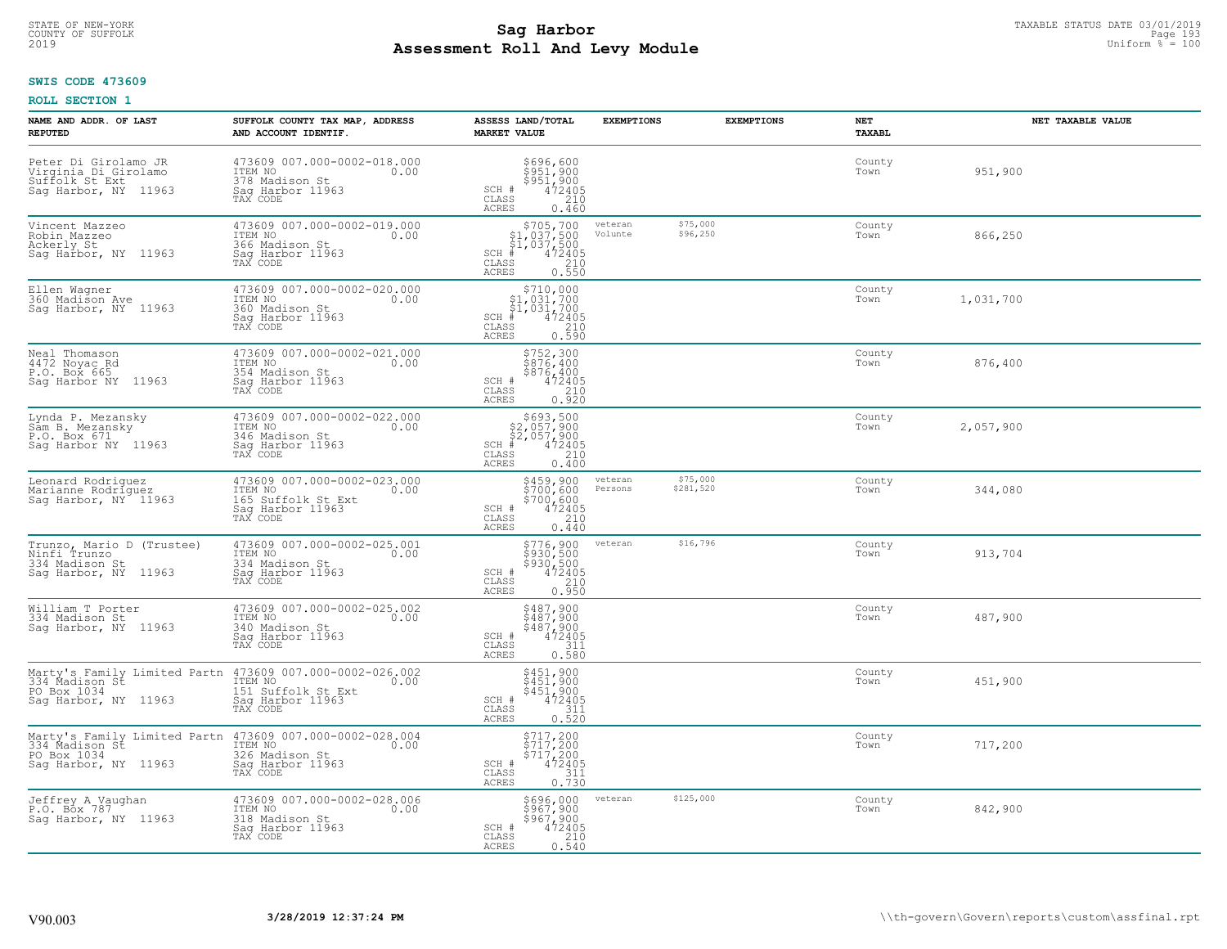### **Sag Harbor**<br>**Poll And Low Module**<br>
Poll And Low Module **Assessment Roll And Levy Module** 2019 Uniform % = 100 COUNTY OF SUFFOLK Page 193

#### **SWIS CODE 473609**

| NAME AND ADDR. OF LAST<br><b>REPUTED</b>                                                                                   | SUFFOLK COUNTY TAX MAP, ADDRESS<br>AND ACCOUNT IDENTIF.                                                                                      | ASSESS LAND/TOTAL<br><b>MARKET VALUE</b>                                                              | <b>EXEMPTIONS</b>  | <b>EXEMPTIONS</b>     | NET<br><b>TAXABL</b> | NET TAXABLE VALUE |
|----------------------------------------------------------------------------------------------------------------------------|----------------------------------------------------------------------------------------------------------------------------------------------|-------------------------------------------------------------------------------------------------------|--------------------|-----------------------|----------------------|-------------------|
| Peter Di Girolamo JR<br>Virginia Di Girolamo<br>Suffolk St Ext<br>Sag Harbor, NY 11963                                     | 473609 007.000-0002-018.000<br>ITEM NO<br>0.00<br>378 Madison St<br>Sag Harbor 11963<br>TAX CODE                                             | \$696,600<br>\$951,900<br>\$951,900<br>472405<br>SCH #<br>CLASS<br>210<br><b>ACRES</b><br>0.460       |                    |                       | County<br>Town       | 951,900           |
| Vincent Mazzeo<br>Robin Mazzeo<br>Ackerly St<br>Sag Harbor, NY 11963                                                       | 473609 007.000-0002-019.000<br>ITEM NO<br>0.00<br>366 Madison St<br>Sag Harbor 11963<br>TAX CODE                                             | $SCH$ #<br>CLASS<br>ACRES                                                                             | veteran<br>Volunte | \$75,000<br>\$96,250  | County<br>Town       | 866,250           |
| Ellen Wagner<br>360 Madison Ave<br>Sag Harbor, NY 11963                                                                    | 473609 007.000-0002-020.000<br>ITEM NO<br>0.00<br>360 Madison St<br>Sag Harbor 11963<br>TAX CODE                                             | \$710,000<br>\$1,031,700<br>\$1,031,700<br>$SCH$ #<br>472405<br>CLASS<br>0.590<br>ACRES               |                    |                       | County<br>Town       | 1,031,700         |
| Neal Thomason<br>4472 Noyac Rd<br>P.O. Box 665<br>Sag Harbor NY 11963                                                      | 473609 007.000-0002-021.000<br>ITEM NO<br>0.00<br>354 Madison St<br>Saq Harbor 11963<br>TAX CODE                                             | \$752,300<br>\$876,400<br>\$876,400<br>SCH #<br>472405<br>CLASS<br>210<br><b>ACRES</b><br>0.920       |                    |                       | County<br>Town       | 876,400           |
| Lynda P. Mezansky<br>Sam B. Mezansky<br>P.O. Box 671<br>Sag Harbor NY 11963                                                | 473609 007.000-0002-022.000<br>TTEM NO 0.00<br>346 Madison St<br>Saq Harbor 11963<br>TAX CODE                                                | $$693,500$<br>$$2,057,900$<br>$$2,057,900$<br>$*$ 472405<br>$SCH$ #<br>CLASS<br>210<br>ACRES<br>0.400 |                    |                       | County<br>Town       | 2,057,900         |
| Leonard Rodriquez<br>Marianne Rodriguez<br>Sag Harbor, NY <sup>-</sup> 11963                                               | 473609 007.000-0002-023.000<br>ITEM NO<br>0.00<br>165 Suffolk St Ext<br>Sag Harbor 11963<br>TAX CODE                                         | \$459,900<br>\$700,600<br>$$700,600$<br>472405<br>210<br>SCH #<br>CLASS<br>ACRES<br>0.440             | veteran<br>Persons | \$75,000<br>\$281,520 | County<br>Town       | 344,080           |
| Trunzo, Mario D (Trustee)<br>Ninfi Trunzo<br>334 Madison St<br>Sag Harbor, NY 11963                                        | 473609 007.000-0002-025.001<br>ITEM NO<br>0.00<br>334 Madison St<br>Sag Harbor 11963<br>TAX CODE                                             | \$776,900<br>\$930,500<br>\$930,500<br>472405<br>SCH #<br>210<br>CLASS<br>0.950<br>ACRES              | veteran            | \$16,796              | County<br>Town       | 913,704           |
| William T Porter<br>334 Madison St<br>Sag Harbor, NY 11963                                                                 | 473609 007.000-0002-025.002<br>ITEM NO<br>0.00<br>340 Madison St<br>Sag Harbor 11963<br>TAX CODE                                             | \$487,900<br>\$487,900<br>\$487,900<br>472405<br>SCH #<br>CLASS<br>311<br>ACRES<br>0.580              |                    |                       | County<br>Town       | 487,900           |
| PO Box 1034<br>Sag Harbor, NY 11963                                                                                        | Marty's Family Limited Partn 473609 007.000-0002-026.002<br>334 Madison St ITEM NO 100<br>151 Suffolk St Ext<br>Sag Harbor 11963<br>TAX CODE | \$451,900<br>\$451,900<br>\$451,900<br>472405<br>SCH #<br>CLASS<br>311<br><b>ACRES</b><br>0.520       |                    |                       | County<br>Town       | 451,900           |
| Marty's Family Limited Partn 473609 007.000-0002-028.004<br>334_Madison St [TEM NO]<br>PO Box 1034<br>Saq Harbor, NY 11963 | 326 Madison St<br>Sag Harbor 11963<br>TAX CODE                                                                                               | \$717,200<br>\$717,200<br>\$717,200<br>472405<br>SCH #<br>311<br>CLASS<br><b>ACRES</b><br>0.730       |                    |                       | County<br>Town       | 717,200           |
| Jeffrey A Vaughan<br>P.O. Bōx 787<br>Saq Harbor, NY 11963                                                                  | 473609 007.000-0002-028.006<br>ITEM NO<br>0.00<br>318 Madison St<br>Saq Harbor 11963<br>TAX CODE                                             | \$696,000<br>\$967,900<br>\$967,900<br>472405<br>SCH #<br>210<br>CLASS<br><b>ACRES</b><br>0.540       | veteran            | \$125,000             | County<br>Town       | 842,900           |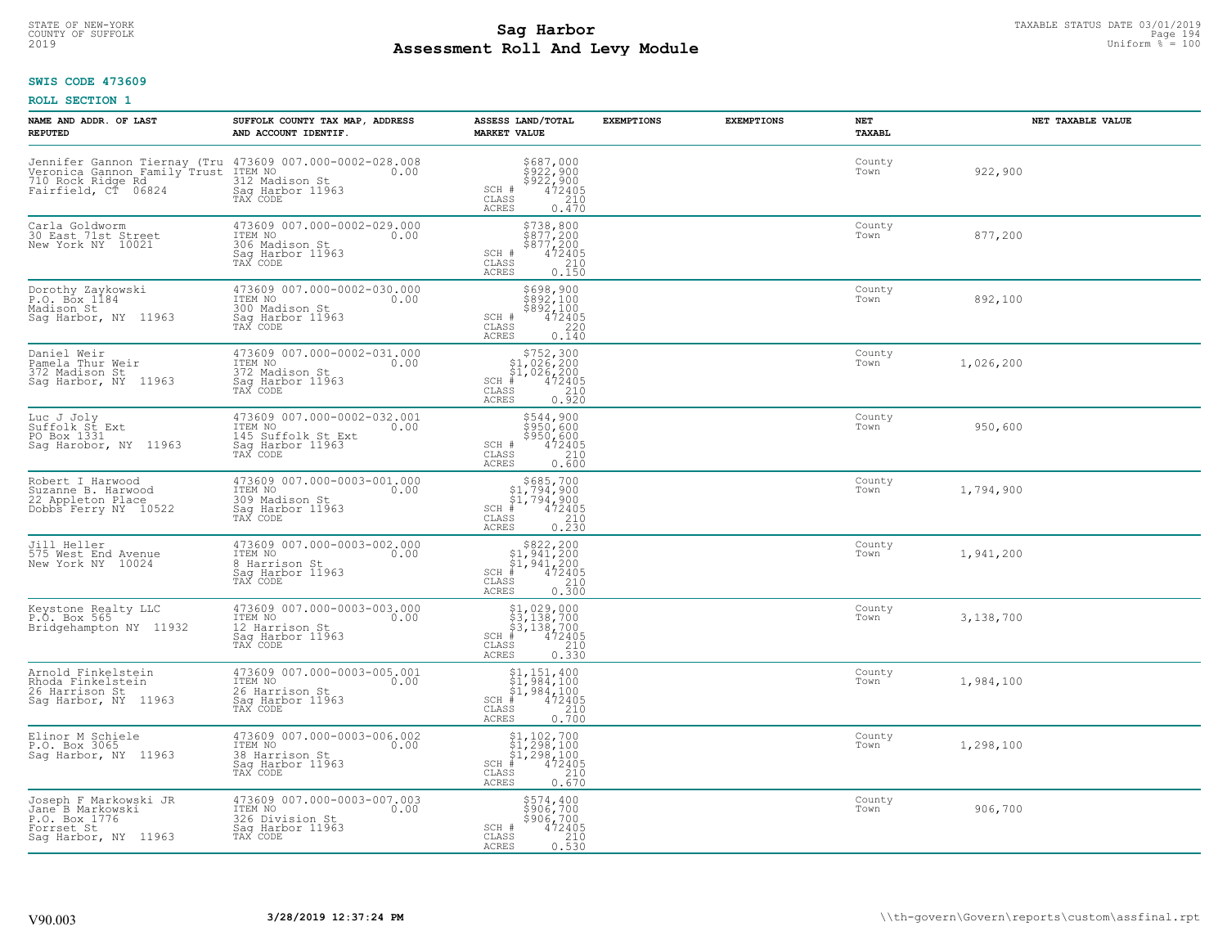### **SWIS CODE 473609**

| NAME AND ADDR. OF LAST<br><b>REPUTED</b>                                                                                                     | SUFFOLK COUNTY TAX MAP, ADDRESS<br>AND ACCOUNT IDENTIF.                                              | ASSESS LAND/TOTAL<br><b>MARKET VALUE</b>                                                                                                                                                                                                                                                                                                                                                                                            | <b>EXEMPTIONS</b> | <b>EXEMPTIONS</b> | <b>NET</b><br>TAXABL | NET TAXABLE VALUE |
|----------------------------------------------------------------------------------------------------------------------------------------------|------------------------------------------------------------------------------------------------------|-------------------------------------------------------------------------------------------------------------------------------------------------------------------------------------------------------------------------------------------------------------------------------------------------------------------------------------------------------------------------------------------------------------------------------------|-------------------|-------------------|----------------------|-------------------|
| Jennifer Gannon Tiernay (Tru 473609 007.000-0002-028.008<br>Veronica Gannon Family Trust ITEM NO<br>710 Rock Ridge Rd<br>Fairfield, CT 06824 | 312 Madison St<br>Saq Harbor 11963<br>TAX CODE                                                       | $$687,000$<br>$$922,900$<br>$$922,900$<br>$$472405$<br>$$210$<br>SCH #<br>CLASS<br><b>ACRES</b><br>0.470                                                                                                                                                                                                                                                                                                                            |                   |                   | County<br>Town       | 922,900           |
| Carla Goldworm<br>30 East 71st Street<br>New York NY 10021                                                                                   | 473609 007.000-0002-029.000<br>ITEM NO<br>0.00<br>306 Madison St<br>Saq Harbor 11963<br>TAX CODE     | $$738,800$<br>$$877,200$<br>$$877,200$<br>$472405$<br>$$210$<br>SCH #<br>CLASS<br>0.150<br>ACRES                                                                                                                                                                                                                                                                                                                                    |                   |                   | County<br>Town       | 877,200           |
| Dorothy Zaykowski<br>P.O. Box 1184<br>Madison St<br>Sag Harbor, NY 11963                                                                     | 473609 007.000-0002-030.000<br>ITEM NO<br>0.00<br>300 Madison St<br>Saq Harbor 11963<br>TAX CODE     | \$698,900<br>\$892,100<br>\$892,100<br>SCH #<br>$\frac{47\bar{2}\bar{405}}{220}$<br>CLASS<br>0.140<br>ACRES                                                                                                                                                                                                                                                                                                                         |                   |                   | County<br>Town       | 892,100           |
| Daniel Weir<br>Pamela Thur Weir<br>372 Madison St<br>Sag Harbor, NY 11963                                                                    | 473609 007.000-0002-031.000<br>ITEM NO<br>0.00<br>372 Madison St<br>Saq Harbor 11963<br>TAX CODE     | $\begin{array}{r}  \  \  \, 5752,300 \\  \  \, 51,026,200 \\  \  \, 51,026,200 \\  \  \  \, 472405 \\  \  \  \, 55 & 210 \\  \  \, 55 & 0.920 \end{array}$<br>$SCH$ #<br>CLASS<br>ACRES                                                                                                                                                                                                                                             |                   |                   | County<br>Town       | 1,026,200         |
| Luc J Joly<br>Suffolk St Ext<br>PO Box 1331<br>Saq Harobor, NY 11963                                                                         | 473609 007.000-0002-032.001<br>ITEM NO<br>0.00<br>145 Suffolk St Ext<br>Saq Harbor 11963<br>TAX CODE | \$544,900<br>$\frac{1}{2}$ $\frac{1}{2}$ $\frac{1}{2}$ $\frac{1}{2}$ $\frac{1}{2}$ $\frac{1}{2}$ $\frac{1}{2}$ $\frac{1}{2}$<br>$$950,600\n472405\n210\n0.600$<br>SCH #<br>CLASS<br><b>ACRES</b>                                                                                                                                                                                                                                    |                   |                   | County<br>Town       | 950,600           |
| Robert I Harwood<br>Suzanne B. Harwood<br>22 Appleton Place<br>Dobbs Ferry NY 10522                                                          | 473609 007.000-0003-001.000<br>ITEM NO<br>0.00<br>309 Madison St<br>Saq Harbor 11963<br>TAX CODE     | $$685,700$<br>$$1,794,900$<br>$$1,794,900$<br>$*1$<br>$472405$<br>$SCH$ #<br>CLASS<br>$\begin{array}{c} 210 \\ 0.230 \end{array}$<br>ACRES                                                                                                                                                                                                                                                                                          |                   |                   | County<br>Town       | 1,794,900         |
| Jill Heller<br>575 West End Avenue<br>New York NY 10024                                                                                      | 473609 007.000-0003-002.000<br>ITEM NO<br>0.00<br>8 Harrison St<br>Sag Harbor 11963<br>TAX CODE      | $\begin{array}{c} $822,200 $1,941,200 $1,941,200 $472405 \end{array}$<br>$SCH$ #<br>CLASS<br>0.300<br>ACRES                                                                                                                                                                                                                                                                                                                         |                   |                   | County<br>Town       | 1,941,200         |
| Keystone Realty LLC<br>P.O. Box 565<br>Bridgehampton NY 11932                                                                                | 473609 007.000-0003-003.000<br>ITEM NO<br>0.00<br>12 Harrison St<br>Saq Harbor 11963<br>TAX CODE     | $\begin{array}{l} \mathbf{\$1,029,000} \\ \mathbf{\$3,138,700} \\ \mathbf{\$3,138,700} \\ \mathbf{\$472405} \\ \mathbf{\$5} \\ \mathbf{\$5} \\ \mathbf{\$700} \\ \mathbf{\$8} \\ \mathbf{\$9} \\ \mathbf{\$10} \\ \mathbf{\$10} \\ \mathbf{\$210} \\ \mathbf{\$330} \end{array}$<br>$SCH$ #<br>CLASS<br>ACRES                                                                                                                       |                   |                   | County<br>Town       | 3,138,700         |
| Arnold Finkelstein<br>Rhoda Finkelstein<br>26 Harrison St<br>Sag Harbor, NY 11963                                                            | 473609 007.000-0003-005.001<br>ITEM NO 0.00<br>26 Harrison St<br>Saq Harbor 11963<br>TAX CODE        | $\begin{array}{c} \texttt{\$1$, 151$, 400} \\ \texttt{\$1$, 984$, 100} \\ \texttt{\$1$, 984, 100} \\ \texttt{\$1$, 984, 100} \\ \texttt{\$1$} \\ \texttt{\$1$} \\ \texttt{\$1$} \\ \texttt{\$1$} \\ \texttt{\$1$} \\ \texttt{\$1$} \\ \texttt{\$1$} \\ \texttt{\$2405} \\ \texttt{\$210} \\ \texttt{\$3$} \\ \texttt{\$1$} \\ \texttt{\$2$} \\ \texttt{\$3$} \\ \texttt{\$1$} \\ \texttt{\$2$} \\ \texttt$<br>SCH<br>CLASS<br>ACRES |                   |                   | County<br>Town       | 1,984,100         |
| Elinor M Schiele<br>P.O. Box 3065<br>Sag Harbor, NY 11963                                                                                    | 473609 007.000-0003-006.002<br>ITEM NO<br>0.00<br>38 Harrison St<br>Sag Harbor 11963<br>TAX CODE     | $$1,102,700$<br>$$1,298,100$<br>$$1,298,100$<br>$472405$<br>$$210$<br>$$210$<br>$SCH$ #<br>CLASS<br><b>ACRES</b><br>0.670                                                                                                                                                                                                                                                                                                           |                   |                   | County<br>Town       | 1,298,100         |
| Joseph F Markowski JR<br>Jane <sup>-</sup> B Markowski<br>P.O. Box 1776<br>Forrset St<br>Saq Harbor, NY 11963                                | 473609 007.000-0003-007.003<br>ITEM NO<br>0.00<br>326 Division St<br>Sag Harbor 11963<br>TAX CODE    | \$574,400<br>\$906,700<br>\$906,700<br>SCH #<br>472405<br>210<br>CLASS<br><b>ACRES</b><br>0.530                                                                                                                                                                                                                                                                                                                                     |                   |                   | County<br>Town       | 906,700           |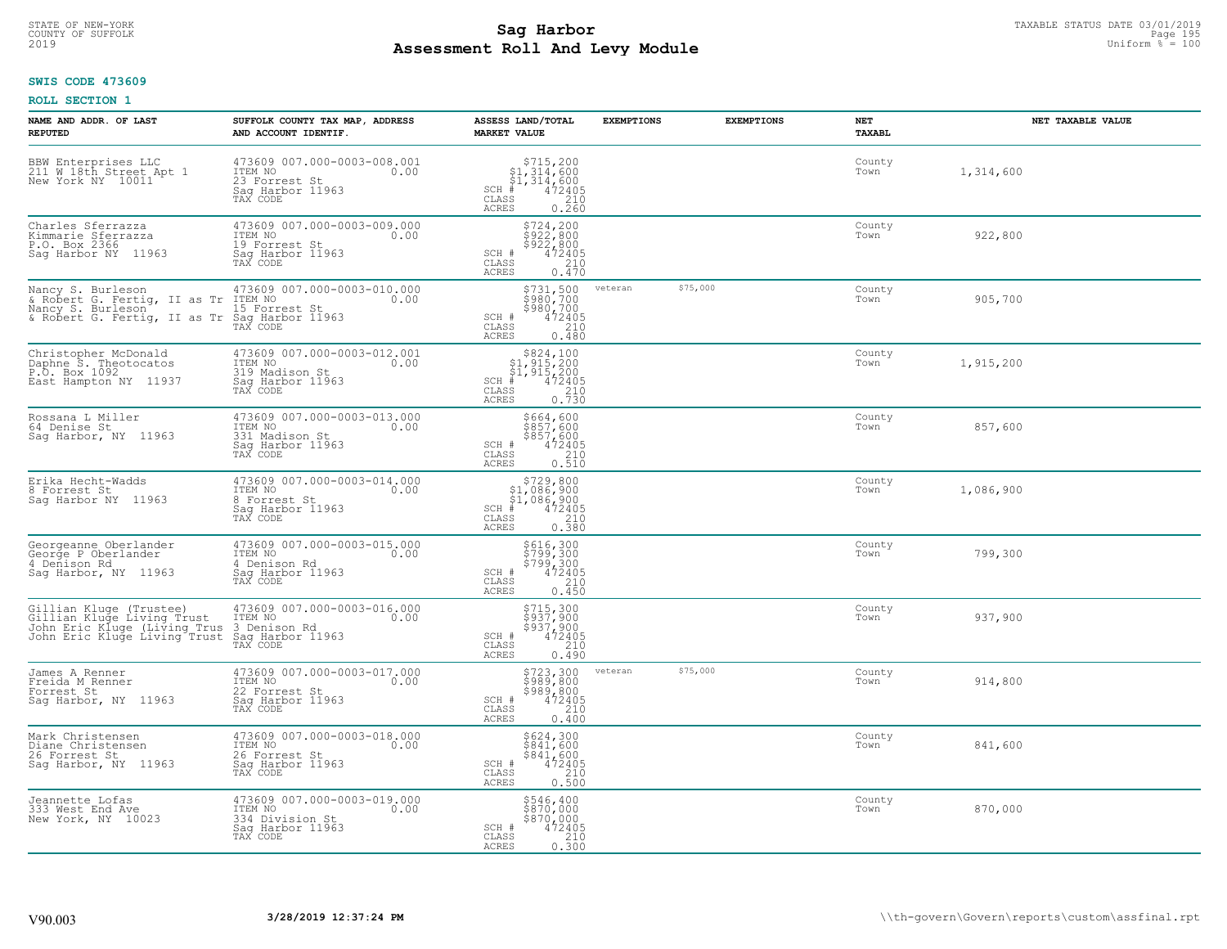### **Sag Harbor**<br>**Poll And Low Module Assessment Roll And Levy Module** 2019 Uniform % = 100 COUNTY OF SUFFOLK Page 195

### **SWIS CODE 473609**

| NAME AND ADDR. OF LAST<br><b>REPUTED</b>                                                                                | SUFFOLK COUNTY TAX MAP, ADDRESS<br>AND ACCOUNT IDENTIF.                                           | ASSESS LAND/TOTAL<br><b>MARKET VALUE</b>                                                                                                                                                                         | <b>EXEMPTIONS</b> | <b>EXEMPTIONS</b> | NET<br>TAXABL  | NET TAXABLE VALUE |
|-------------------------------------------------------------------------------------------------------------------------|---------------------------------------------------------------------------------------------------|------------------------------------------------------------------------------------------------------------------------------------------------------------------------------------------------------------------|-------------------|-------------------|----------------|-------------------|
| BBW Enterprises LLC<br>211 W 18th Street Apt 1<br>New York NY 10011                                                     | 473609 007.000-0003-008.001<br>ITEM NO<br>0.00<br>23 Forrest St<br>Saq Harbor 11963<br>TAX CODE   | \$715, 200<br>$\begin{array}{r} 51,314,600 \\ 51,314,600 \\ * & 472405 \\ * & 210 \end{array}$<br>$SCH$ #<br>CLASS<br><b>ACRES</b><br>0.260                                                                      |                   |                   | County<br>Town | 1,314,600         |
| Charles Sferrazza<br>Kimmarie Sferrazza<br>P.O. Box 2366<br>Saq Harbor NY 11963                                         | 473609 007.000-0003-009.000<br>ITEM NO<br>0.00<br>19 Forrest St<br>Sag Harbor 11963<br>TAX CODE   | \$724,200<br>\$922,800<br>\$922,800<br>SCH #<br>472405<br>$\mathtt{CLASS}$<br>210<br>ACRES<br>0.470                                                                                                              |                   |                   | County<br>Town | 922,800           |
| Nancy S. Burleson<br>& Robert G. Fertig, II as Tr<br>Nancy S. Burleson<br>& Robert G. Fertig, II as Tr Sag Harbor 11963 | 473609 007.000-0003-010.000<br>ITEM NO<br>0.00<br>15 Forrest St                                   | \$731,500<br>ខ្ញុំខ្ញុំ រូប្តូំ<br>\$980,700<br>SCH #<br>472405°<br>210<br>CLASS<br><b>ACRES</b><br>0.480                                                                                                        | veteran           | \$75,000          | County<br>Town | 905,700           |
| Christopher McDonald<br>Daphne S. Theotocatos<br>P.O. Box 1092<br>East Hampton NY 11937                                 | 473609 007.000-0003-012.001<br>ITEM NO<br>0.00<br>319 Madison St<br>Saq Harbor 11963<br>TAX CODE  | $\begin{array}{r}  \  \  \, 824, 100\\  \  \, 51, 915, 200\\  \  \, 51, 915, 200\\  \  \  \, 472405\\ \text{ss} \\  \  \  \, 210\\ \text{ss} \\  \  \  \, 0.730 \end{array}$<br>$SCH$ #<br>CLASS<br><b>ACRES</b> |                   |                   | County<br>Town | 1,915,200         |
| Rossana L Miller<br>64 Denise St<br>Sag Harbor, NY 11963                                                                | 473609 007.000-0003-013.000<br>ITEM NO<br>0.00<br>331 Madison St<br>Saq Harbor 11963<br>TAX CODE  | \$664,600<br>5857,600<br>\$857,600<br>472405<br>SCH #<br>210<br>CLASS<br>0.510<br>ACRES                                                                                                                          |                   |                   | County<br>Town | 857,600           |
| Erika Hecht-Wadds<br>8 Forrest St<br>Saq Harbor NY 11963                                                                | 473609 007.000-0003-014.000<br>ITEM NO<br>0.00<br>8 Forrest St<br>Sag Harbor 11963<br>TAX CODE    | $$729,800$<br>$$1,086,900$<br>$$1,086,900$<br>$$472405$<br>$SCH$ #<br>CLASS<br>210<br><b>ACRES</b><br>0.380                                                                                                      |                   |                   | County<br>Town | 1,086,900         |
| Georgeanne Oberlander<br>George P Oberlander<br>4 Denison Rd<br>Saq Harbor, NY 11963                                    | 473609 007.000-0003-015.000<br>ITEM NO<br>0.00<br>4 Denison Rd<br>Sag Harbor 11963<br>TAX CODE    | \$616,300<br>\$799,300<br>\$799,300<br>472405<br>SCH #<br>CLASS<br>210<br>0.450<br>ACRES                                                                                                                         |                   |                   | County<br>Town | 799,300           |
| Gillian Kluge (Trustee)<br>Gillian Kluge Living Trust<br>John Eric Kluge (Living Trus<br>John Eric Kluge Living Trust   | 473609 007.000-0003-016.000<br>10.00 0.00<br>3 Denison Rd<br>Saq Harbor 11963<br>TAX CODE         | \$715,300<br>\$937,900<br>\$937,900<br>472405<br>210<br>SCH #<br>$\mathtt{CLASS}$<br><b>ACRES</b><br>0.490                                                                                                       |                   |                   | County<br>Town | 937,900           |
| James A Renner<br>Freida M Renner<br>Forrest St<br>Sag Harbor, NY 11963                                                 | 473609 007.000-0003-017.000<br>ITEM NO 0.00<br>22 Forrest St<br>Saq Harbor 11963<br>TAX CODE      | \$723,300<br>\$989,800<br>\$989,800<br>\$472405<br>\$210<br>SCH #<br>CLASS<br><b>ACRES</b><br>0.400                                                                                                              | veteran           | \$75,000          | County<br>Town | 914,800           |
| Mark Christensen<br>Diane Christensen<br>26 Forrest St<br>Sag Harbor, NY 11963                                          | 473609 007.000-0003-018.000<br>ITEM NO<br>26 Forrest St<br>0.00<br>Sag Harbor 11963<br>TAX CODE   | \$624,300<br>\$841,600<br>\$841,600<br>472405<br>SCH #<br>$\begin{array}{c} 210 \\ 0.500 \end{array}$<br>CLASS<br><b>ACRES</b>                                                                                   |                   |                   | County<br>Town | 841,600           |
| Jeannette Lofas<br>333 West End Ave<br>New York, NY 10023                                                               | 473609 007.000-0003-019.000<br>ITEM NO<br>0.00<br>334 Division St<br>Sag Harbor 11963<br>TAX CODE | \$546,400<br>\$870,000<br>$$870L\00$<br>SCH #<br>472405<br>CLASS<br>210<br>ACRES<br>0.300                                                                                                                        |                   |                   | County<br>Town | 870,000           |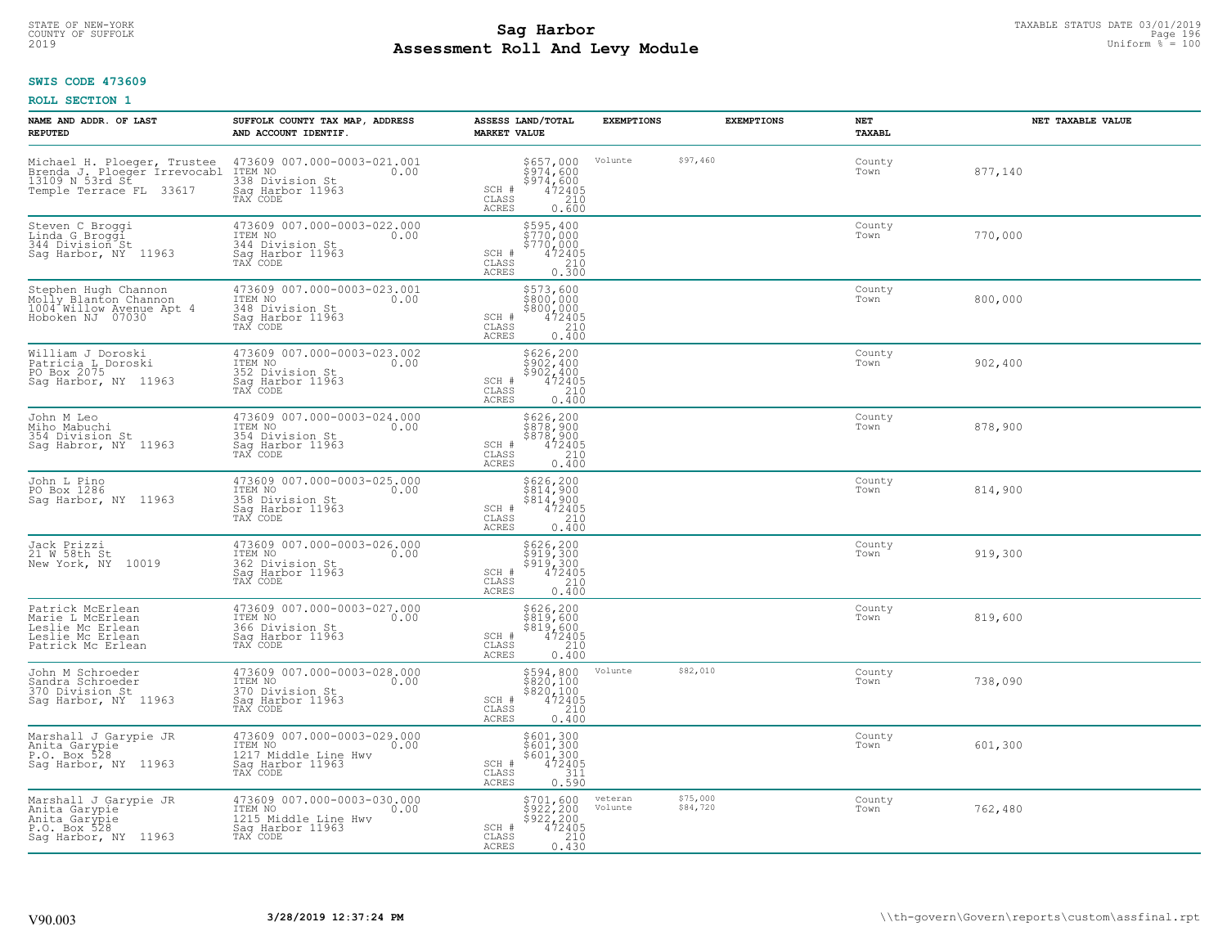### **Sag Harbor**<br>**Poll And Lows Module Assessment Roll And Levy Module** 2019 Uniform % = 100 COUNTY OF SUFFOLK Page 196

#### **SWIS CODE 473609**

| NAME AND ADDR. OF LAST<br><b>REPUTED</b>                                                          | SUFFOLK COUNTY TAX MAP, ADDRESS<br>AND ACCOUNT IDENTIF.                                                | ASSESS LAND/TOTAL<br><b>MARKET VALUE</b>                                                                                | <b>EXEMPTIONS</b>  | <b>EXEMPTIONS</b>    | NET<br><b>TAXABL</b> | NET TAXABLE VALUE |
|---------------------------------------------------------------------------------------------------|--------------------------------------------------------------------------------------------------------|-------------------------------------------------------------------------------------------------------------------------|--------------------|----------------------|----------------------|-------------------|
| Temple Terrace FL 33617                                                                           | 473609 007.000-0003-021.001<br>ITEM NO<br>0.00<br>338 Division St<br>Saq Harbor 11963<br>TAX CODE      | \$657,000<br>\$974,600<br>$\frac{5974}{472405}$<br>SCH #<br>CLASS<br>ACRES<br>0.600                                     | Volunte            | \$97,460             | County<br>Town       | 877,140           |
| Steven C Broggi<br>Linda G Broggi<br>344 Division St<br>Sag Harbor, NY 11963                      | 473609 007.000-0003-022.000<br>ITEM NO<br>0.00<br>344 Division St<br>Sag Harbor 11963<br>TAX CODE      | \$595,400<br>\$770,000<br>\$770,000<br>472405<br>SCH #<br>CLASS<br>0.300<br>ACRES                                       |                    |                      | County<br>Town       | 770,000           |
| Stephen Hugh Channon<br>Molly Blanton Channon<br>1004 Willow Avenue Apt 4<br>Hoboken NJ 07030     | 473609 007.000-0003-023.001<br>ITEM NO<br>0.00<br>348 Division St<br>Sag Harbor 11963<br>TAX CODE      | \$573,600<br>\$800,000<br>\$800,000<br>472405<br>SCH #<br>CLASS<br>210<br>0.400<br><b>ACRES</b>                         |                    |                      | County<br>Town       | 800,000           |
| William J Doroski<br>Patricia L Doroski<br>PO Box 2075<br>Sag Harbor, NY 11963                    | 473609 007.000-0003-023.002<br>ITEM NO<br>0.00<br>352 Division St<br>Saq Harbor 11963<br>TAX CODE      | \$626,200<br>\$902,400<br>\$902,400<br>SCH #<br>$\frac{472405}{210}$<br>CLASS<br><b>ACRES</b><br>0.400                  |                    |                      | County<br>Town       | 902,400           |
| John M Leo<br>Miho Mabuchi<br>354 Division St<br>Saq Habror, NY 11963                             | 473609 007.000-0003-024.000<br>ITEM NO<br>0.00<br>354 Division St<br>Saq Harbor 11963<br>TAX CODE      | \$626,200<br>\$878,900<br>\$878,900<br>472405<br>SCH #<br>CLASS<br>$\frac{210}{0.400}$<br>ACRES                         |                    |                      | County<br>Town       | 878,900           |
| John L Pino<br>PO Box 1286<br>Sag Harbor, NY 11963                                                | 473609 007.000-0003-025.000<br>ITEM NO<br>0.00<br>358 Division St<br>Sag Harbor 11963<br>TAX CODE      | \$626,200<br>\$814,900<br>\$814,900<br>472405<br>SCH #<br>210<br>CLASS<br>0.400<br><b>ACRES</b>                         |                    |                      | County<br>Town       | 814,900           |
| Jack Prizzi<br>21 W 58th St<br>10019<br>New York, NY                                              | 473609 007.000-0003-026.000<br>TTEM NO 0.00<br>362 Division St<br>Sag Harbor 11963<br>TAX CODE         | \$626,200<br>\$919,300<br>\$919,300<br>472405<br>SCH #<br>210<br>CLASS<br>$0.\overline{400}$<br><b>ACRES</b>            |                    |                      | County<br>Town       | 919,300           |
| Patrick McErlean<br>Marie L McErlean<br>Leslie Mc Erlean<br>Leslie Mc Erlean<br>Patrick Mc Erlean | 473609 007.000-0003-027.000<br>ITEM NO<br>0.00<br>366 Division St<br>Sag Harbor 11963<br>TAX CODE      | \$626,200<br>\$819,600<br>\$819,600<br>SCH #<br>472405<br>210<br>CLASS<br><b>ACRES</b><br>0.400                         |                    |                      | County<br>Town       | 819,600           |
| John M Schroeder<br>Sandra Schroeder<br>370 Division St<br>Sag Harbor, NY 11963                   | 473609 007.000-0003-028.000<br>ITEM NO<br>0.00<br>370 Division St<br>Sag Harbor 11963<br>TAX CODE      | $$594,800$<br>$$820,100$<br>$$820,100$<br>$472405$<br>210<br>SCH #<br>CLASS<br><b>ACRES</b><br>0.400                    | Volunte            | \$82,010             | County<br>Town       | 738,090           |
| Marshall J Garypie JR<br>Anita Garypie<br>P.O. Box 528<br>Sag Harbor, NY 11963                    | 473609 007.000-0003-029.000<br>ITEM NO<br>0.00<br>1217 Middle Line Hwy<br>Sag Harbor 11963<br>TAX CODE | $\begin{array}{c} 5601,300 \\ 5601,300 \\ 5601,300 \\ 472405 \\ 311 \\ 0.590 \end{array}$<br>SCH #<br>CLASS<br>ACRES    |                    |                      | County<br>Town       | 601,300           |
| Marshall J Garypie JR<br>Anita Garypie<br>Anita Garypie<br>P.O. Box 528<br>Sag Harbor, NY 11963   | 473609 007.000-0003-030.000<br>ITEM NO<br>0.00<br>1215 Middle Line Hwy<br>Sag Harbor 11963<br>TAX CODE | $\begin{array}{c} 5701, 600 \\ 5922, 200 \\ 5922, 200 \\ 472405 \\ 210 \\ 0.430 \end{array}$<br>SCH #<br>CLASS<br>ACRES | veteran<br>Volunte | \$75,000<br>\$84,720 | County<br>Town       | 762,480           |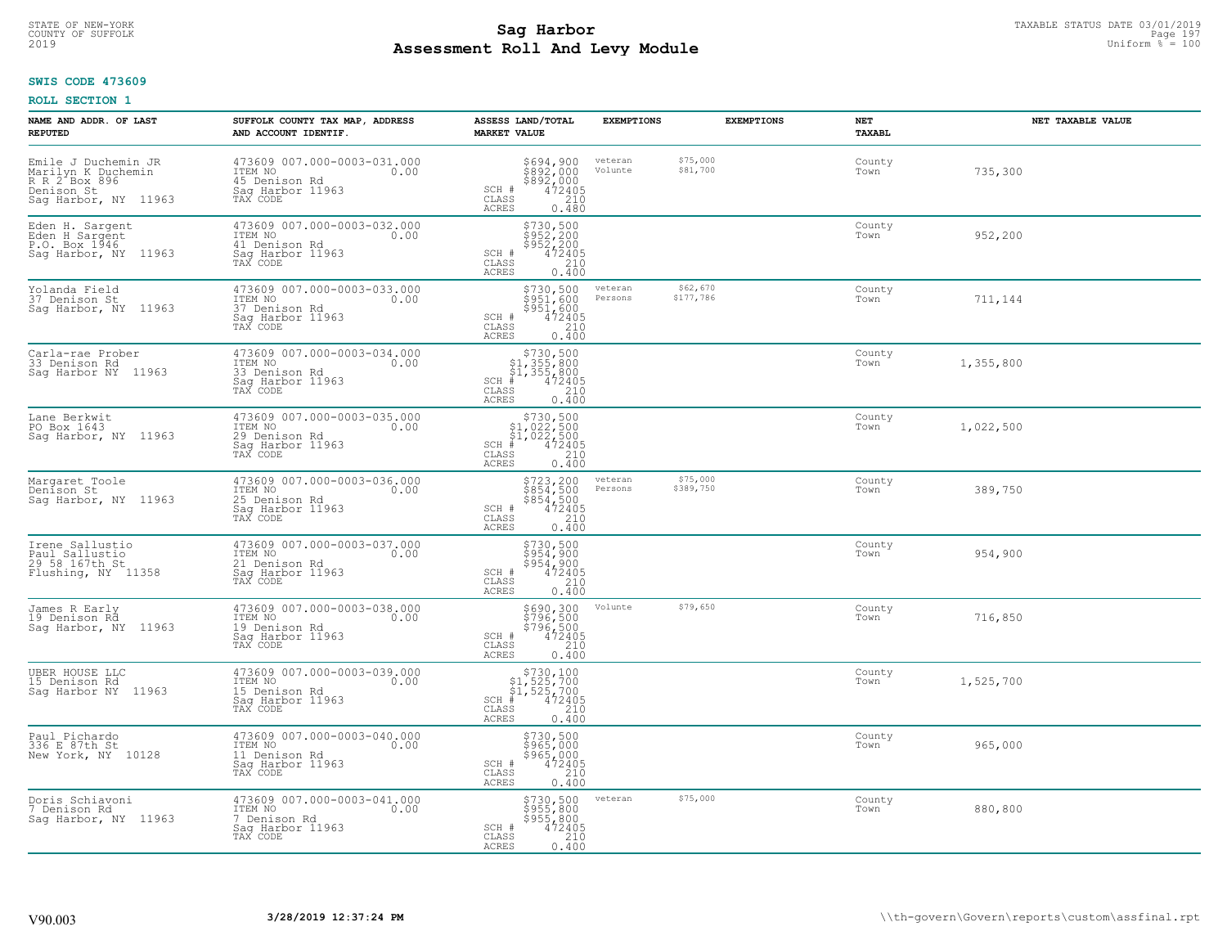#### **SWIS CODE 473609**

| NAME AND ADDR. OF LAST<br><b>REPUTED</b>                                                         | SUFFOLK COUNTY TAX MAP, ADDRESS<br>AND ACCOUNT IDENTIF.                                         | ASSESS LAND/TOTAL<br><b>MARKET VALUE</b>                                                                          | <b>EXEMPTIONS</b>  | <b>EXEMPTIONS</b>     | NET<br>TAXABL  | NET TAXABLE VALUE |
|--------------------------------------------------------------------------------------------------|-------------------------------------------------------------------------------------------------|-------------------------------------------------------------------------------------------------------------------|--------------------|-----------------------|----------------|-------------------|
| Emile J Duchemin JR<br>Marilyn K Duchemin<br>R R 2 Box 896<br>Denison St<br>Sag Harbor, NY 11963 | 473609 007.000-0003-031.000<br>TTEM NO 0.00<br>45 Denison Rd<br>Saq Harbor 11963<br>TAX CODE    | $$694, 900$<br>$$892, 000$<br>$$892, 000$<br>$$472405$<br>$$210$<br>SCH #<br>CLASS<br>ACRES<br>0.480              | veteran<br>Volunte | \$75,000<br>\$81,700  | County<br>Town | 735,300           |
| Eden H. Sargent<br>Eden H Sargent<br>P.O. Box 1946<br>Saq Harbor, NY 11963                       | 473609 007.000-0003-032.000<br>ITEM NO<br>0.00<br>41 Denison Rd<br>Saq Harbor 11963<br>TAX CODE | $$730, 500$<br>$$952, 200$<br>$$952, 200$<br>$472405$<br>$$210$<br>SCH #<br>$\mathtt{CLASS}$<br>0.400<br>ACRES    |                    |                       | County<br>Town | 952,200           |
| Yolanda Field<br>37 Denison St<br>Sag Harbor, NY 11963                                           | 473609 007.000-0003-033.000<br>ITEM NO<br>0.00<br>37 Denison Rd<br>Sag Harbor 11963<br>TAX CODE | \$730,500<br>$\frac{5951}{5951}$ , 600<br>$\frac{5951}{472405}$<br>SCH #<br>CLASS<br>210<br><b>ACRES</b><br>0.400 | veteran<br>Persons | \$62,670<br>\$177,786 | County<br>Town | 711,144           |
| Carla-rae Prober<br>33 Denison Rd<br>Saq Harbor NY 11963                                         | 473609 007.000-0003-034.000<br>ITEM NO<br>0.00<br>33 Denison Rd<br>Sag Harbor 11963<br>TAX CODE | \$730,500<br>\$1,355,800<br>\$1,355,800<br>SCH #<br>CLASS<br>472405<br>210<br><b>ACRES</b><br>0.400               |                    |                       | County<br>Town | 1,355,800         |
| Lane Berkwit<br>PO Box 1643<br>Sag Harbor, NY 11963                                              | 473609 007.000-0003-035.000<br>ITEM NO<br>0.00<br>29 Denison Rd<br>Sag Harbor 11963<br>TAX CODE | $$730,500$<br>$$1,022,500$<br>$$1,022,500$<br>$472405$<br>$35$<br>$240$<br>$SCH$ #<br>CLASS<br>0.400<br>ACRES     |                    |                       | County<br>Town | 1,022,500         |
| Margaret Toole<br>Denison St<br>Sag Harbor, NY 11963                                             | 473609 007.000-0003-036.000<br>ITEM NO<br>0.00<br>25 Denison Rd<br>Sag Harbor 11963<br>TAX CODE | $$723, 200$<br>$$854, 500$<br>$$854, 500$<br>$472405$<br>210<br>SCH #<br>CLASS<br>0.400<br><b>ACRES</b>           | veteran<br>Persons | \$75,000<br>\$389,750 | County<br>Town | 389,750           |
| Irene Sallustio<br>Paul Sallustio<br>29 58 167th St<br>Flushing, NY 11358                        | 473609 007.000-0003-037.000<br>ITEM NO<br>0.00<br>21 Denison Rd<br>Sag Harbor 11963<br>TAX CODE | \$730,500<br>\$954,900<br>\$954,900<br>\$954,900<br>SCH #<br>210<br>CLASS<br><b>ACRES</b><br>0.400                |                    |                       | County<br>Town | 954,900           |
| James R Early<br>19 Denison Rã<br>Sag Harbor, NY 11963                                           | 473609 007.000-0003-038.000<br>ITEM NO<br>0.00<br>19 Denison Rd<br>Saq Harbor 11963<br>TAX CODE | \$690,300<br>\$796,500<br>\$796,500<br>\$72405<br>\$710<br>SCH #<br>CLASS<br><b>ACRES</b><br>0.400                | Volunte            | \$79,650              | County<br>Town | 716,850           |
| UBER HOUSE LLC<br>15 Denison Rd<br>Saq Harbor NY 11963                                           | 473609 007.000-0003-039.000<br>TTEM NO 0.00<br>15 Denison Rd<br>Sag Harbor 11963<br>TAX CODE    | $$730, 100$<br>$$1, 525, 700$<br>$$1, 525, 700$<br>$*$ 472405<br>$SCH$ #<br>CLASS<br>210<br>ACRES<br>0.400        |                    |                       | County<br>Town | 1,525,700         |
| Paul Pichardo<br>336 E 87th St<br>New York, NY 10128                                             | 473609 007.000-0003-040.000<br>ITEM NO<br>0.00<br>11 Denison Rd<br>Sag Harbor 11963<br>TAX CODE | $\frac{$730,500}{$965,000}{$965,0000 $472405 $$<br>SCH #<br>CLASS<br><b>ACRES</b><br>0.400                        |                    |                       | County<br>Town | 965,000           |
| Doris Schiavoni<br>7 Denison Rd<br>Sag Harbor, NY 11963                                          | 473609 007.000-0003-041.000<br>ITEM NO<br>0.00<br>7 Denison Rd<br>Sag Harbor 11963<br>TAX CODE  | $$730, 500$<br>$$955, 800$<br>$$955, 800$<br>$472405$<br>210<br>SCH #<br>CLASS<br><b>ACRES</b><br>0.400           | veteran            | \$75,000              | County<br>Town | 880,800           |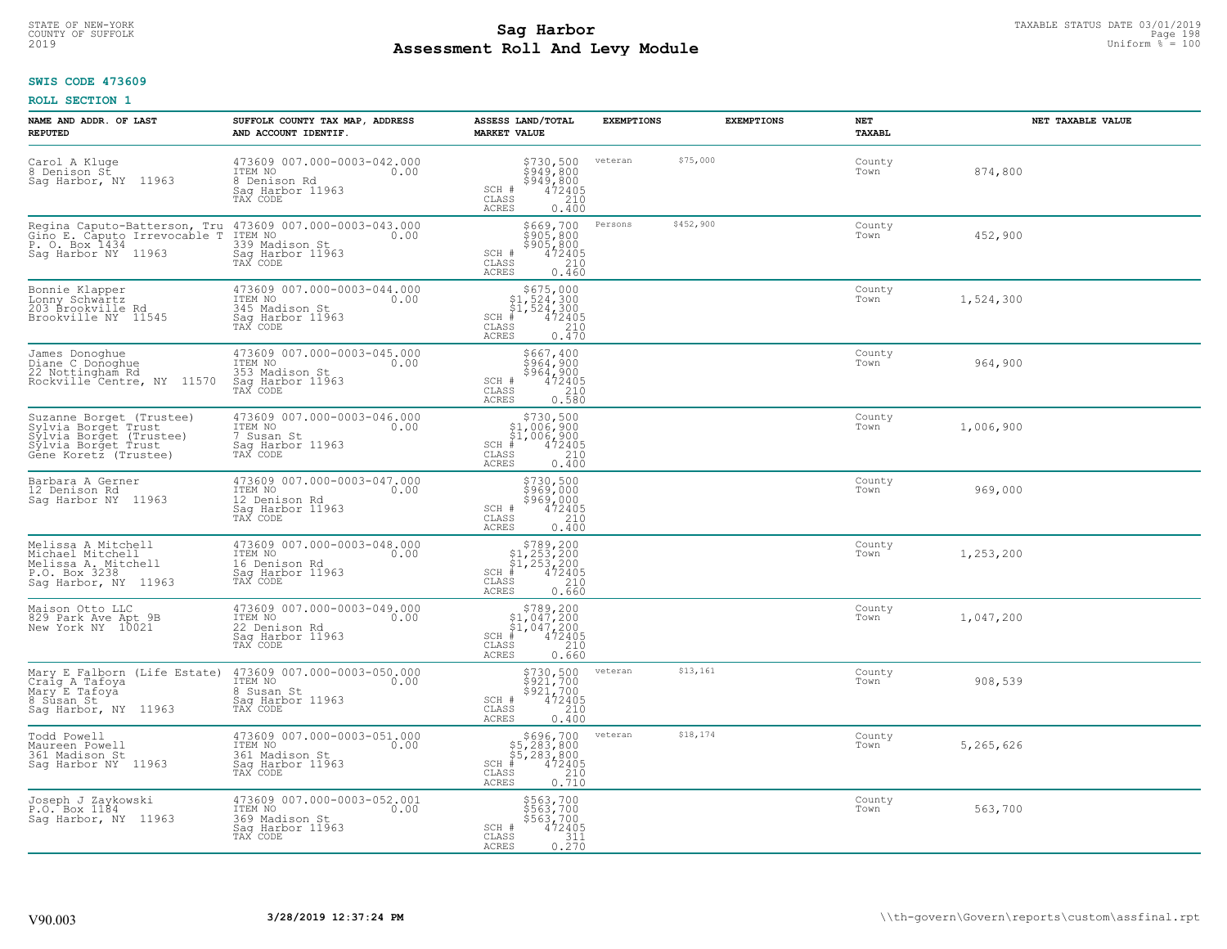#### **SWIS CODE 473609**

| NAME AND ADDR. OF LAST<br><b>REPUTED</b>                                                                                   | SUFFOLK COUNTY TAX MAP, ADDRESS<br>AND ACCOUNT IDENTIF.                                          | ASSESS LAND/TOTAL<br><b>MARKET VALUE</b>                                                                                                             | <b>EXEMPTIONS</b>    | <b>EXEMPTIONS</b> | NET<br><b>TAXABL</b> | NET TAXABLE VALUE |
|----------------------------------------------------------------------------------------------------------------------------|--------------------------------------------------------------------------------------------------|------------------------------------------------------------------------------------------------------------------------------------------------------|----------------------|-------------------|----------------------|-------------------|
| Carol A Kluge<br>8 Denison St<br>Sag Harbor, NY 11963                                                                      | 473609 007.000-0003-042.000<br>TTEM NO 0.00<br>8 Denison Rd<br>Saq Harbor 11963<br>TAX CODE      | \$730,500<br>\$949,800<br>\$949,800<br>\$949,800<br>SCH #<br>CLASS<br>210<br>ACRES<br>0.400                                                          | \$75,000<br>veteran  |                   | County<br>Town       | 874,800           |
| Regina Caputo-Batterson, Tru<br>Gino E. Caputo Irrevocable T<br>P. O. Box 1434<br>Sag Harbor NY 11963                      | 339 Madison St<br>Sag Harbor 11963<br>TAX CODE                                                   | $$669, 700$<br>$$905, 800$<br>$$905, 800$<br>$$472405$<br>$$210$<br>SCH #<br>CLASS<br><b>ACRES</b><br>0.460                                          | \$452,900<br>Persons |                   | County<br>Town       | 452,900           |
| Bonnie Klapper<br>Lonny Schwartz<br>203 Brookville Rd<br>Brookville NY 11545                                               | 473609 007.000-0003-044.000<br>ITEM NO<br>0.00<br>345 Madison St<br>Saq Harbor 11963<br>TAX CODE | $$675,000$<br>$$1,524,300$<br>$$1,524,300$<br>$472405$<br>$35$<br>$$210$<br>$SCH$ #<br>CLASS<br>0.470<br><b>ACRES</b>                                |                      |                   | County<br>Town       | 1,524,300         |
| James Donoghue<br>Diane C Donoghue<br>22 Nottingham Rd<br>Rockville Centre, NY 11570                                       | 473609 007.000-0003-045.000<br>ITEM NO<br>0.00<br>353 Madison St<br>Saq Harbor 11963<br>TAX CODE | \$667,400<br>\$964,900<br>\$964,900<br>SCH #<br>CLASS<br>$\frac{472405}{210}$<br>ACRES<br>0.580                                                      |                      |                   | County<br>Town       | 964,900           |
| Suzanne Borget (Trustee)<br>Sylvia Borget Trust<br>Sylvia Borget (Trustee)<br>Sýlvia Borget Trust<br>Gêne Koretz (Trustee) | 473609 007.000-0003-046.000<br>ITEM NO<br>0.00<br>7 Susan St<br>Saq Harbor 11963<br>TAX CODE     | \$730,500<br>\$1,006,900<br>$\begin{array}{r} 51,006,900 \\ 472405 \\ \text{ss} \qquad 210 \end{array}$<br>$SCH$ #<br>CLASS<br><b>ACRES</b><br>0.400 |                      |                   | County<br>Town       | 1,006,900         |
| Barbara A Gerner<br>12 Denison Rd<br>Sag Harbor NY 11963                                                                   | 473609 007.000-0003-047.000<br>ITEM NO<br>0.00<br>12 Denison Rd<br>Sag Harbor 11963<br>TAX CODE  | $$730,500$<br>$$969,000$<br>$$969,000$<br>472405<br>210<br>SCH #<br>$\mathtt{CLASS}$<br>ACRES<br>0.400                                               |                      |                   | County<br>Town       | 969,000           |
| Melissa A Mitchell<br>Michael Mitchell<br>Melissa A. Mitchell<br>P.O. Box 3238<br>Sag Harbor, NY 11963                     | 473609 007.000-0003-048.000<br>ITEM NO<br>0.00<br>16 Denison Rd<br>Sag Harbor 11963<br>TAX CODE  | $\begin{array}{c} $789,200 $1,253,200 $1,253,200 $472405 \end{array}$<br>$SCH$ #<br>$\mathtt{CLASS}$<br>210<br><b>ACRES</b><br>0.660                 |                      |                   | County<br>Town       | 1,253,200         |
| Maison Otto LLC<br>829 Park Ave Apt 9B<br>New York NY 10021                                                                | 473609 007.000-0003-049.000<br>ITEM NO<br>0.00<br>22 Denison Rd<br>Saq Harbor 11963<br>TAX CODE  | $\begin{array}{c} $789,200$ \\ $1,047,200$ \\ $1,047,200$ \\ \frac{4}{7} & 472405 \end{array}$<br>$SCH$ #<br>CLASS<br>210<br>ACRES<br>0.660          |                      |                   | County<br>Town       | 1,047,200         |
| Mary E Falborn (Life Estate)<br>Craig A Tafoya<br>Mary E Tafoya<br>8 Sūsan St<br>Saq Harbor, NY 11963                      | 473609 007.000-0003-050.000<br>TTEM NO 0.00<br>8 Susan St<br>Saq Harbor 11963<br>TAX CODE        | \$730,500<br>\$921,700<br>\$921,700<br>\$472405<br>\$410<br>SCH #<br>CLASS<br><b>ACRES</b><br>0.400                                                  | \$13,161<br>veteran  |                   | County<br>Town       | 908,539           |
| Todd Powell<br>Maureen Powell<br>361 Madison St<br>Saq Harbor NY 11963                                                     | 473609 007.000-0003-051.000<br>ITEM NO<br>0.00<br>361 Madison St<br>Sag Harbor 11963<br>TAX CODE | \$696,700<br>\$5,283,800<br>\$5,283,800<br>#472405<br>$SCH$ #<br>$\frac{210}{0.710}$<br>CLASS<br><b>ACRES</b>                                        | \$18,174<br>veteran  |                   | County<br>Town       | 5,265,626         |
| Joseph J Zaykowski<br>P.O. Box 1184<br>Saq Harbor, NY 11963                                                                | 473609 007.000-0003-052.001<br>ITEM NO<br>0.00<br>369 Madison St<br>Saq Harbor 11963<br>TAX CODE | \$563,700<br>\$563,700<br>\$563,700<br>SCH #<br>472405<br>CLASS<br>$\frac{311}{0.270}$<br>ACRES                                                      |                      |                   | County<br>Town       | 563,700           |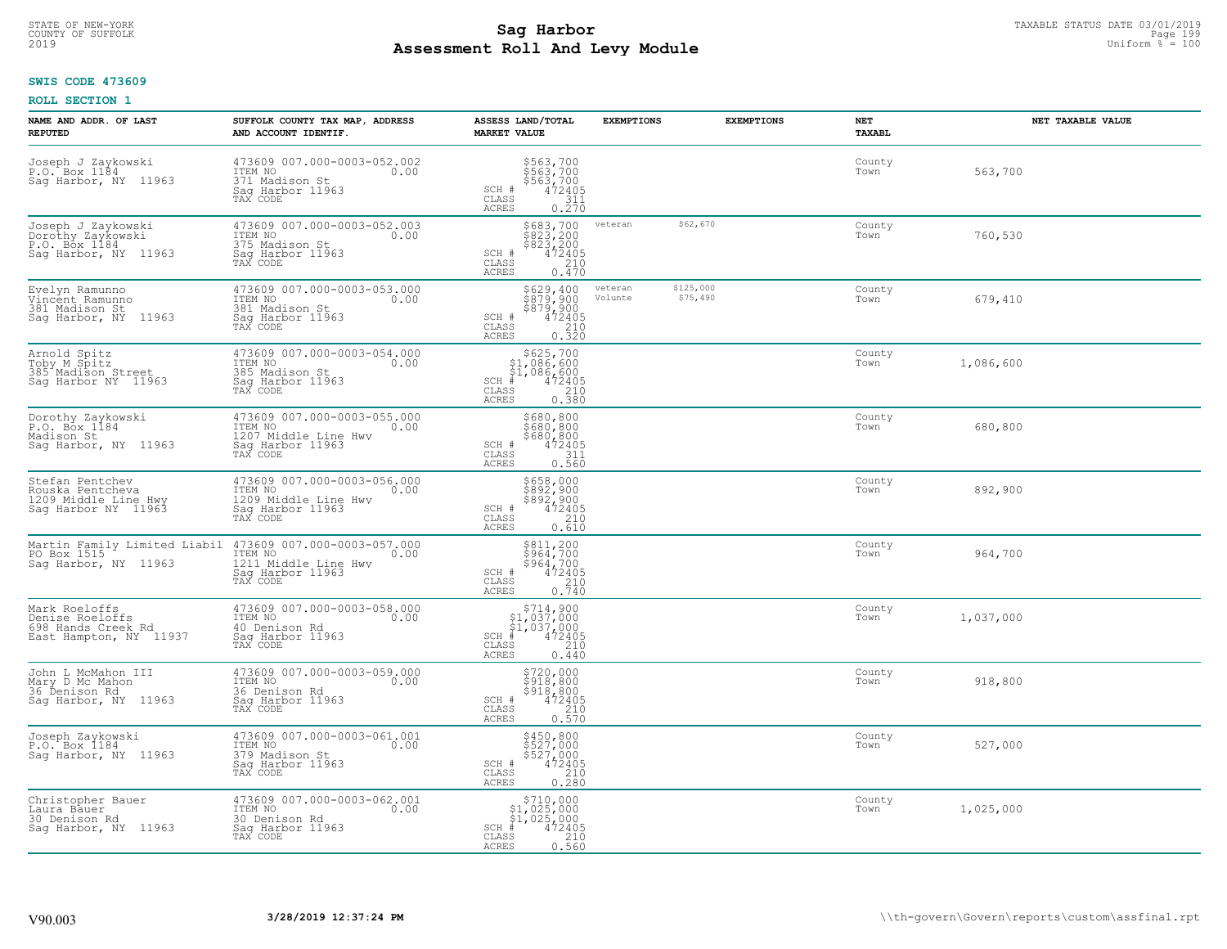### **SWIS CODE 473609**

| NAME AND ADDR. OF LAST<br><b>REPUTED</b>                                           | SUFFOLK COUNTY TAX MAP, ADDRESS<br>AND ACCOUNT IDENTIF.                                                | ASSESS LAND/TOTAL<br><b>MARKET VALUE</b>                                                                                                         | <b>EXEMPTIONS</b>                           | <b>EXEMPTIONS</b> | NET<br>TAXABL  | NET TAXABLE VALUE |
|------------------------------------------------------------------------------------|--------------------------------------------------------------------------------------------------------|--------------------------------------------------------------------------------------------------------------------------------------------------|---------------------------------------------|-------------------|----------------|-------------------|
| Joseph J Zaykowski<br>P.O. Box 1184<br>Sag Harbor, NY 11963                        | 473609 007.000-0003-052.002<br>ITEM NO<br>0.00<br>371 Madison St<br>Saq Harbor 11963<br>TAX CODE       | \$563,700<br>\$563,700<br>\$563,700<br>472405<br>311<br>SCH #<br>CLASS<br><b>ACRES</b><br>0.270                                                  |                                             |                   | County<br>Town | 563,700           |
| Joseph J Zaykowski<br>Dorothy Zaykowski<br>P.O. Box 1184<br>Sag Harbor, NY 11963   | 473609 007.000-0003-052.003<br>ITEM NO<br>0.00<br>375 Madison St<br>Sag Harbor 11963<br>TAX CODE       | $$683,700$<br>$$823,200$<br>$$823,200$<br>$472405$<br>210<br>SCH #<br>CLASS<br><b>ACRES</b><br>0.470                                             | \$62,670<br>veteran                         |                   | County<br>Town | 760,530           |
| Evelyn Ramunno<br>Vincēnt Ramunno<br>381 Madison St<br>Saq Harbor, NY 11963        | 473609 007.000-0003-053.000<br>ITEM NO<br>0.00<br>381 Madison St<br>Sag Harbor 11963<br>TAX CODE       | \$629,400<br>\$879,900<br>\$879,900<br>$\begin{array}{r} 472405 \\ 210 \\ 0.320 \end{array}$<br>SCH #<br>CLASS<br>ACRES                          | \$125,000<br>veteran<br>Volunte<br>\$75,490 |                   | County<br>Town | 679,410           |
| Arnold Spitz<br>Toby M Spitz<br>385 Madison Street<br>Sag Harbor NY 11963          | 473609 007.000-0003-054.000<br>ITEM NO<br>0.00<br>385 Madison St<br>Saq Harbor 11963<br>TAX CODE       | \$625,700<br>\$1,086,600<br>\$1,086,600<br>$SCH$ #<br>$\begin{smallmatrix} 472405 \\ 472405 \\ 210 \\ 0.380 \end{smallmatrix}$<br>CLASS<br>ACRES |                                             |                   | County<br>Town | 1,086,600         |
| Dorothy Zaykowski<br>P.O. Box 1184<br>Madison St<br>Saq Harbor, NY 11963           | 473609 007.000-0003-055.000<br>ITEM NO<br>0.00<br>1207 Middle Line Hwy<br>Saq Harbor 11963<br>TAX CODE | \$680,800<br>2080,800<br>$\begin{array}{r} 3680,800 \\ 472405 \\ 311 \end{array}$<br>SCH #<br>CLASS<br><b>ACRES</b><br>0.560                     |                                             |                   | County<br>Town | 680,800           |
| Stefan Pentchev<br>Rouska Pentcheva<br>1209 Middle Line Hwy<br>Sag Harbor NY 11963 | 473609 007.000-0003-056.000<br>ITEM NO<br>0.00<br>1209 Middle Line Hwy<br>Sag Harbor 11963<br>TAX CODE | \$658,000<br>\$892,900<br>\$892,900<br>\$892,900<br>SCH #<br>210<br>$\mathtt{CLASS}$<br><b>ACRES</b><br>0.610                                    |                                             |                   | County<br>Town | 892,900           |
| Martin Family Limited Liabil<br>PO Box 1515<br>Sag Harbor, NY 11963                | 473609 007.000-0003-057.000<br>ITEM NO<br>0.00<br>1211 Middle Line Hwy<br>Sag Harbor 11963<br>TAX CODE | \$811,200<br>\$964,700<br>\$964,700<br>472405<br>SCH #<br>$\mathtt{CLASS}$<br>$\frac{210}{0.740}$<br><b>ACRES</b>                                |                                             |                   | County<br>Town | 964,700           |
| Mark Roeloffs<br>Denise Roeloffs<br>698 Hands Creek Rd<br>East Hampton, NY 11937   | 473609 007.000-0003-058.000<br>TTEM NO 0.00<br>40 Denison Rd<br>Sag Harbor 11963<br>TAX CODE           | $$714,900$<br>$$1,037,000$<br>$$1,037,000$<br>$*1$<br>$472405$<br>SCH #<br>CLASS<br>210<br><b>ACRES</b><br>0.440                                 |                                             |                   | County<br>Town | 1,037,000         |
| John L McMahon III<br>Mary D Mc Mahon<br>36 Denison Rd<br>Sag Harbor, NY 11963     | 473609 007.000-0003-059.000<br>0.00 0.00<br>36 Denison Rd<br>Sag Harbor 11963<br>TAX CODE              | \$720,000<br>\$918,800<br>\$918,800<br>\$918,800<br>SCH #<br>CLASS<br>210<br>0.570<br><b>ACRES</b>                                               |                                             |                   | County<br>Town | 918,800           |
| Joseph Zaykowski<br>P.O. Box 1184<br>Sag Harbor, NY 11963                          | 473609 007.000-0003-061.001<br>ITEM NO<br>0.00<br>379 Madison St<br>Sag Harbor 11963<br>TAX CODE       | \$450,800<br>\$527,000<br>\$527,000<br>\$472405<br>$SCH$ $#$<br>CLASS<br>210<br><b>ACRES</b><br>0.280                                            |                                             |                   | County<br>Town | 527,000           |
| Christopher Bauer<br>Laura Bauer<br>30 Denison Rd<br>Saq Harbor, NY 11963          | 473609 007.000-0003-062.001<br>ITEM NO<br>0.00<br>30 Denison Rd<br>Sag Harbor 11963<br>TAX CODE        | $\substack{\$710,000\\\$1,025,000\\\$1,025,000}$<br>SCH #<br>$\frac{472405}{210}$<br>CLASS<br><b>ACRES</b><br>0.560                              |                                             |                   | County<br>Town | 1,025,000         |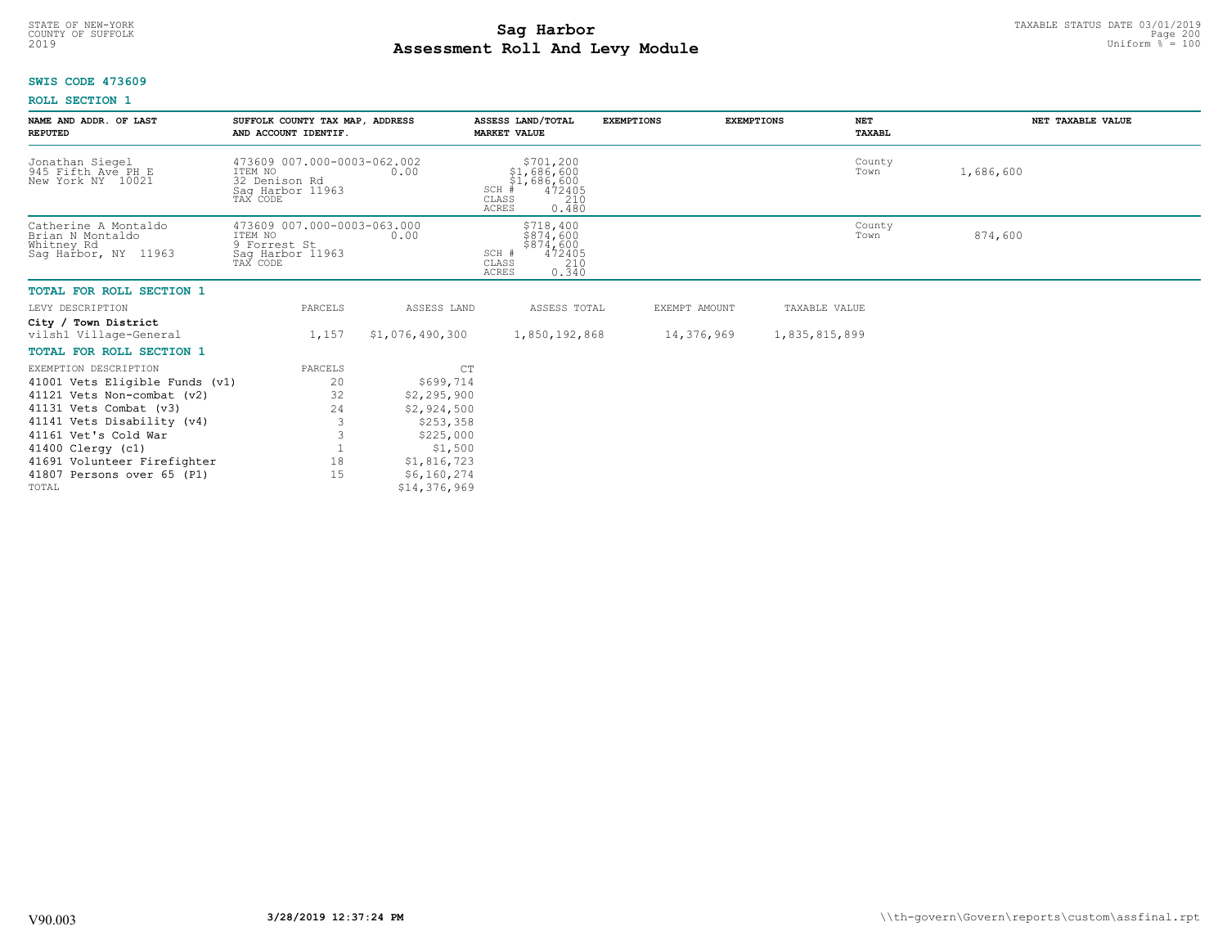# STATE OF NEW-YORK TAXABLE STATUS DATE 03/01/2019<br>COUNTY OF SUFFOLK Page 200 **Assessment Roll And Levy Module** 2019 Uniform % = 100

# **SWIS CODE 473609**

| NAME AND ADDR. OF LAST<br><b>REPUTED</b>                                       | SUFFOLK COUNTY TAX MAP, ADDRESS<br>AND ACCOUNT IDENTIF.                                 |                             | ASSESS LAND/TOTAL<br><b>MARKET VALUE</b>                                                               | <b>EXEMPTIONS</b> | <b>EXEMPTIONS</b> | <b>NET</b><br>TAXABL | NET TAXABLE VALUE |
|--------------------------------------------------------------------------------|-----------------------------------------------------------------------------------------|-----------------------------|--------------------------------------------------------------------------------------------------------|-------------------|-------------------|----------------------|-------------------|
| Jonathan Siegel<br>945 Fifth Ave PH E<br>New York NY 10021                     | 473609 007.000-0003-062.002<br>ITEM NO<br>32 Denison Rd<br>Saq Harbor 11963<br>TAX CODE | 0.00                        | \$701,200<br>\$1,686,600<br>$$1,686,600$<br>$472405$<br>SCH #<br>CLASS<br>210<br><b>ACRES</b><br>0.480 |                   |                   | County<br>Town       | 1,686,600         |
| Catherine A Montaldo<br>Brian N Montaldo<br>Whitney Rd<br>Saq Harbor, NY 11963 | 473609 007.000-0003-063.000<br>ITEM NO<br>9 Forrest St<br>Sag Harbor 11963<br>TAX CODE  | 0.00                        | \$718,400<br>\$874,600<br>$$874,600$<br>$472405$<br>SCH #<br>CLASS<br>210<br><b>ACRES</b><br>0.340     |                   |                   | County<br>Town       | 874,600           |
| <b>TOTAL FOR ROLL SECTION 1</b>                                                |                                                                                         |                             |                                                                                                        |                   |                   |                      |                   |
| LEVY DESCRIPTION                                                               | PARCELS                                                                                 | ASSESS LAND                 | ASSESS TOTAL                                                                                           | EXEMPT AMOUNT     |                   | TAXABLE VALUE        |                   |
| City / Town District<br>vilsh1 Village-General                                 | 1,157                                                                                   | \$1,076,490,300             | 1,850,192,868                                                                                          | 14,376,969        |                   | 1,835,815,899        |                   |
| <b>TOTAL FOR ROLL SECTION 1</b>                                                |                                                                                         |                             |                                                                                                        |                   |                   |                      |                   |
| EXEMPTION DESCRIPTION                                                          | PARCELS                                                                                 | CT                          |                                                                                                        |                   |                   |                      |                   |
| 41001 Vets Eligible Funds (v1)                                                 | 20                                                                                      | \$699,714                   |                                                                                                        |                   |                   |                      |                   |
| 41121 Vets Non-combat (v2)                                                     | 32                                                                                      | \$2,295,900                 |                                                                                                        |                   |                   |                      |                   |
| 41131 Vets Combat (v3)                                                         | 24                                                                                      | \$2,924,500                 |                                                                                                        |                   |                   |                      |                   |
| 41141 Vets Disability (v4)                                                     |                                                                                         | \$253,358                   |                                                                                                        |                   |                   |                      |                   |
| 41161 Vet's Cold War                                                           |                                                                                         | \$225,000                   |                                                                                                        |                   |                   |                      |                   |
| 41400 Clergy (c1)                                                              |                                                                                         | \$1,500                     |                                                                                                        |                   |                   |                      |                   |
| 41691 Volunteer Firefighter                                                    | 18                                                                                      | \$1,816,723                 |                                                                                                        |                   |                   |                      |                   |
| 41807 Persons over 65 (P1)<br>TOTAL                                            | 1.5                                                                                     | \$6,160,274<br>\$14,376,969 |                                                                                                        |                   |                   |                      |                   |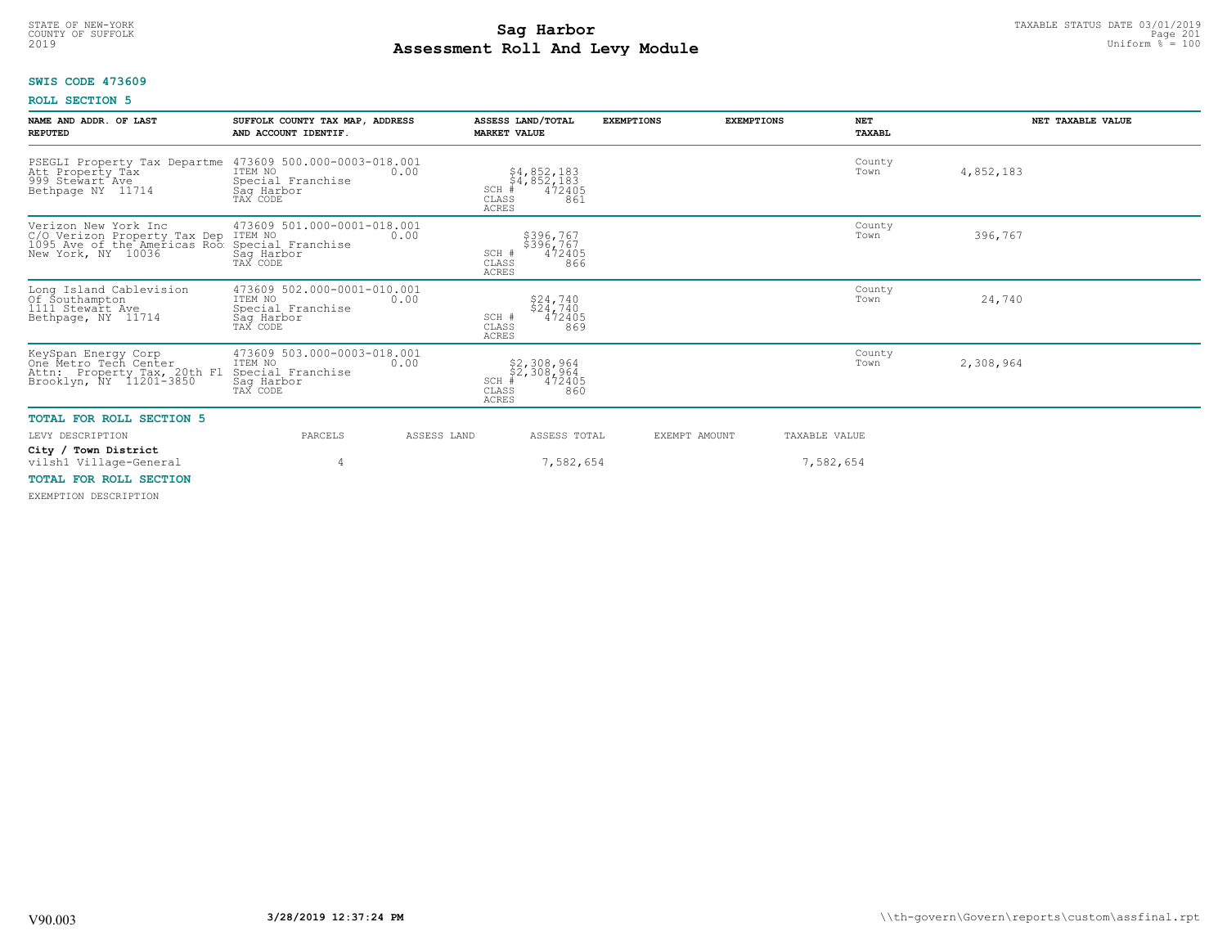### **Sag Harbor**<br>**Poll And Lows Module Assessment Roll And Levy Module** 2019 Uniform % = 100 COUNTY OF SUFFOLK Page 201

# **SWIS CODE 473609**

# **ROLL SECTION 5**

| NAME AND ADDR. OF LAST<br><b>REPUTED</b>                                                                                   | SUFFOLK COUNTY TAX MAP, ADDRESS<br>AND ACCOUNT IDENTIF.                               |             | ASSESS LAND/TOTAL<br><b>MARKET VALUE</b>                                        | <b>EXEMPTIONS</b> | <b>EXEMPTIONS</b> | <b>NET</b><br>TAXABL | NET TAXABLE VALUE |
|----------------------------------------------------------------------------------------------------------------------------|---------------------------------------------------------------------------------------|-------------|---------------------------------------------------------------------------------|-------------------|-------------------|----------------------|-------------------|
| PSEGLI Property Tax Departme<br>Att Property Tax<br>999 Stewart Ave<br>Bethpage NY 11714                                   | 473609 500.000-0003-018.001<br>ITEM NO<br>Special Franchise<br>Saq Harbor<br>TAX CODE | 0.00        | $$4,852,183$<br>$$4,852,183$<br>$472405$<br>SCH<br>CLASS<br>861<br><b>ACRES</b> |                   |                   | County<br>Town       | 4,852,183         |
| Verizon New York Inc<br>C/O Verizon Property Tax Dep ITEM NO<br>1095 Ave of the Americas Roo Special<br>New York, NY 10036 | 473609 501.000-0001-018.001<br>Special Franchise<br>Sag Harbor<br>TAX CODE            | 0.00        | \$396,767<br>\$396,767<br>472405<br>SCH #<br>866<br>CLASS<br><b>ACRES</b>       |                   |                   | County<br>Town       | 396,767           |
| Long Island Cablevision<br>Of Southampton<br>1111 Stewart Ave<br>Bethpage, NY 11714                                        | 473609 502.000-0001-010.001<br>ITEM NO<br>Special Franchise<br>Sag Harbor<br>TAX CODE | 0.00        | $$24,740$<br>$$24,740$<br>472405<br>SCH #<br>CLASS<br>869<br><b>ACRES</b>       |                   |                   | County<br>Town       | 24,740            |
| KeySpan Energy Corp<br>One Metro Tech Center<br>Attn: Property Tax, 20th Fl<br>Brooklyn, NY 11201-3850                     | 473609 503.000-0003-018.001<br>ITEM NO<br>Special Franchise<br>Saq Harbor<br>TAX CODE | 0.00        | \$2,308,964<br>\$2,308,964<br>#472405<br>SCH<br>CLASS<br>860<br>ACRES           |                   |                   | County<br>Town       | 2,308,964         |
| <b>TOTAL FOR ROLL SECTION 5</b>                                                                                            |                                                                                       |             |                                                                                 |                   |                   |                      |                   |
| LEVY DESCRIPTION                                                                                                           | PARCELS                                                                               | ASSESS LAND | ASSESS TOTAL                                                                    |                   | EXEMPT AMOUNT     | TAXABLE VALUE        |                   |
| City / Town District<br>vilsh1 Village-General                                                                             |                                                                                       |             | 7,582,654                                                                       |                   |                   | 7,582,654            |                   |
| <b>MORAL FOR POLI SECTION</b>                                                                                              |                                                                                       |             |                                                                                 |                   |                   |                      |                   |

# **TOTAL FOR ROLL SECTION**

EXEMPTION DESCRIPTION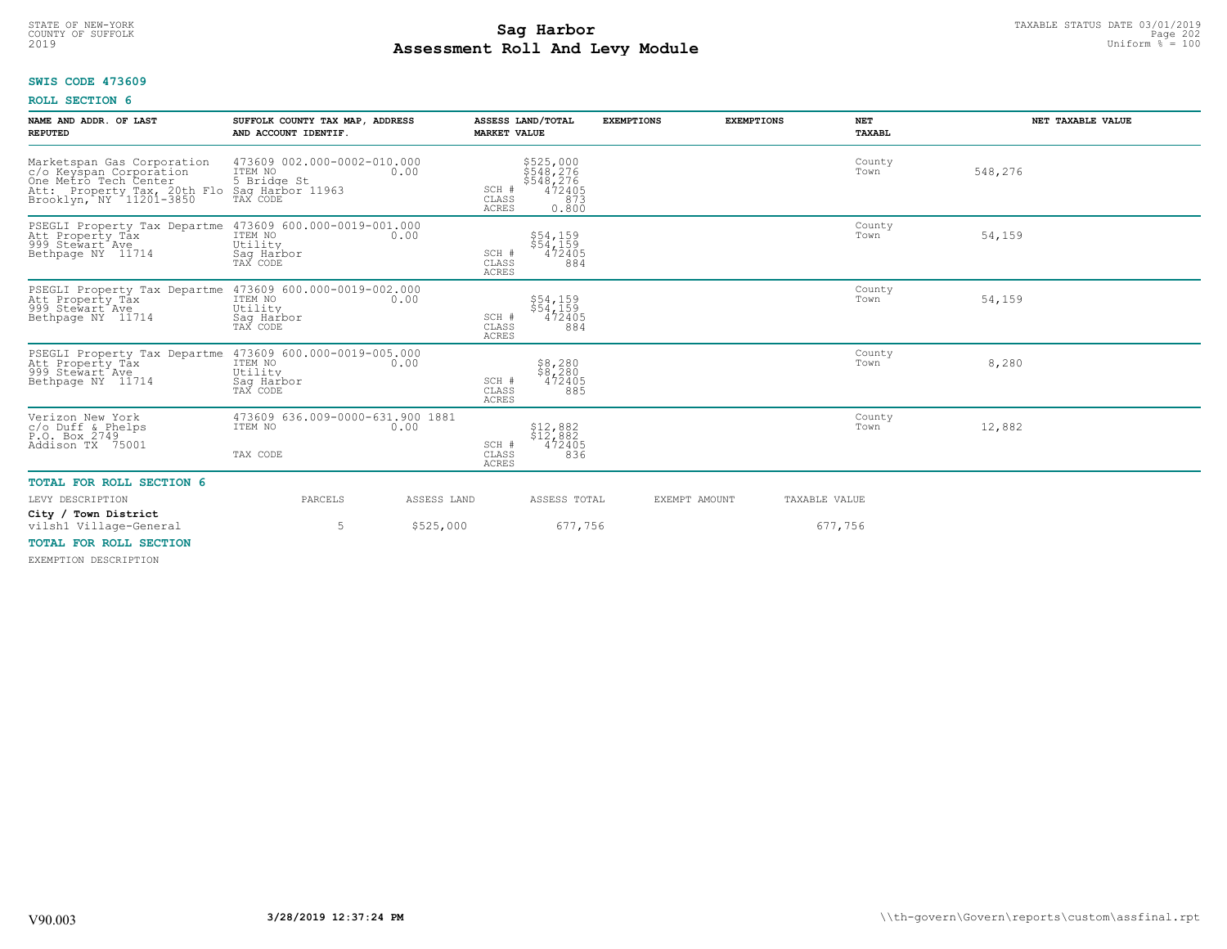# **SWIS CODE 473609**

# **ROLL SECTION 6**

| NAME AND ADDR. OF LAST<br><b>REPUTED</b>                                                                                                                           | SUFFOLK COUNTY TAX MAP, ADDRESS<br>AND ACCOUNT IDENTIF. |             | <b>MARKET VALUE</b>            | ASSESS LAND/TOTAL                                             | <b>EXEMPTIONS</b> | <b>EXEMPTIONS</b> | <b>NET</b><br>TAXABL | NET TAXABLE VALUE |
|--------------------------------------------------------------------------------------------------------------------------------------------------------------------|---------------------------------------------------------|-------------|--------------------------------|---------------------------------------------------------------|-------------------|-------------------|----------------------|-------------------|
| Marketspan Gas Corporation<br>c/o Keyspan Corporation<br>One Metro Tech Center<br>Att: Property Tax, 20th Flo Saq Harbor 11963<br>Brooklyn, NY 11201-3850 TAX CODE | 473609 002.000-0002-010.000<br>ITEM NO<br>5 Bridge St   | 0.00        | SCH #<br>CLASS<br><b>ACRES</b> | \$525,000<br>\$548,276<br>\$548,276<br>472405<br>873<br>0.800 |                   |                   | County<br>Town       | 548,276           |
| PSEGLI Property Tax Departme 473609 600.000-0019-001.000<br>Att Property Tax<br>999 Stewart Ave<br>Bethpage NY 11714                                               | ITEM NO<br>Utility<br>Saq Harbor<br>TAX CODE            | 0.00        | SCH #<br>CLASS<br><b>ACRES</b> | \$54,159<br>\$54,159<br>472405<br>884                         |                   |                   | County<br>Town       | 54,159            |
| PSEGLI Property Tax Departme 473609 600.000-0019-002.000<br>Att Property Tåx<br>999 Stewart Ave<br>Bethpage NY 11714                                               | ITEM NO<br>Utility<br>Sag Harbor<br>TAX CODE            | 0.00        | SCH #<br>CLASS<br><b>ACRES</b> | \$54,159<br>\$54,159<br>472405<br>884                         |                   |                   | County<br>Town       | 54,159            |
| PSEGLI Property Tax Departme 473609 600.000-0019-005.000<br>Att Property Tax ITEM NO 100.00<br>Att Property Tax<br>999 Stewart Ave<br>Bethpage NY 11714            | Utility<br>Saq Harbor<br>TAX CODE                       |             | SCH #<br>CLASS<br><b>ACRES</b> | $$8,280$<br>$$8,280$<br>472405<br>885                         |                   |                   | County<br>Town       | 8,280             |
| Verizon New York<br>$c$ /o Duff & Phelps<br>P.O. Box 2749<br>Addison TX 75001                                                                                      | 473609 636.009-0000-631.900 1881<br>ITEM NO<br>TAX CODE | 0.00        | SCH #<br>CLASS<br>ACRES        | $$12,882$<br>$$12,882$<br>472405<br>836                       |                   |                   | County<br>Town       | 12,882            |
| <b>TOTAL FOR ROLL SECTION 6</b>                                                                                                                                    |                                                         |             |                                |                                                               |                   |                   |                      |                   |
| LEVY DESCRIPTION                                                                                                                                                   | PARCELS                                                 | ASSESS LAND |                                | ASSESS TOTAL                                                  |                   | EXEMPT AMOUNT     | TAXABLE VALUE        |                   |
| City / Town District<br>vilsh1 Village-General                                                                                                                     | 5                                                       | \$525,000   |                                | 677,756                                                       |                   |                   | 677,756              |                   |
| <b>TOTAL FOR ROLL SECTION</b><br>DUDMORTAN BROADTBRIAM                                                                                                             |                                                         |             |                                |                                                               |                   |                   |                      |                   |

EXEMPTION DESCRIPTION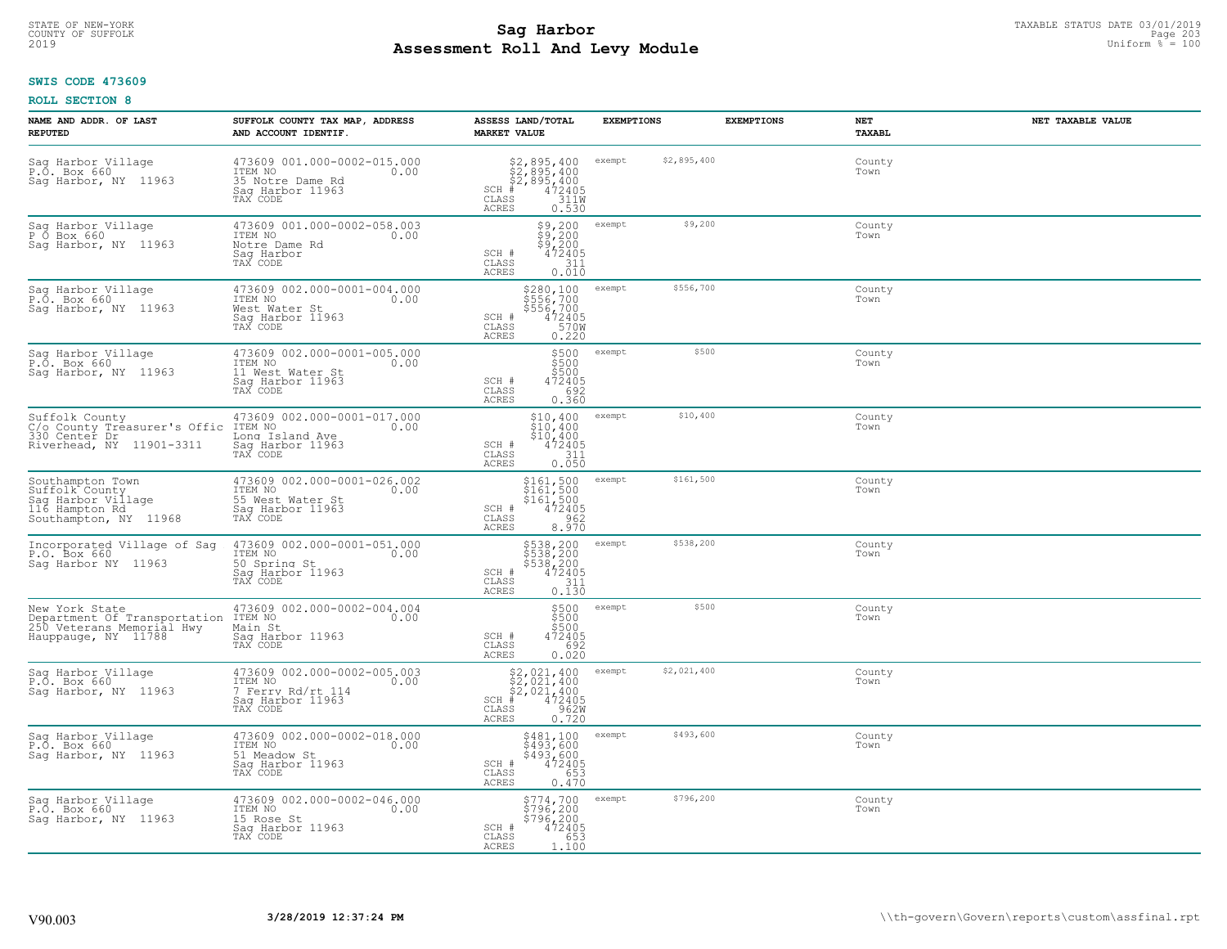# TAXABLE STATUS DATE 03/01/2019<br>COUNTY OF SUFFOLK Page 203 **Assessment Roll And Levy Module** 2019 Uniform % = 100

# **SWIS CODE 473609**

| NAME AND ADDR. OF LAST<br><b>REPUTED</b>                                                            | SUFFOLK COUNTY TAX MAP, ADDRESS<br>AND ACCOUNT IDENTIF.                                             | ASSESS LAND/TOTAL<br><b>MARKET VALUE</b>                                                                                                                                                                                                                                                                                                                                                                                                                                         | <b>EXEMPTIONS</b>     | <b>EXEMPTIONS</b><br><b>NET</b><br>TAXABL | NET TAXABLE VALUE |
|-----------------------------------------------------------------------------------------------------|-----------------------------------------------------------------------------------------------------|----------------------------------------------------------------------------------------------------------------------------------------------------------------------------------------------------------------------------------------------------------------------------------------------------------------------------------------------------------------------------------------------------------------------------------------------------------------------------------|-----------------------|-------------------------------------------|-------------------|
| Sag Harbor Village<br>P.O. Box 660<br>Saq Harbor, NY 11963                                          | 473609 001.000-0002-015.000<br>TTEM NO 0.00<br>35 Notre Dame Rd<br>Saq Harbor 11963<br>TAX CODE     | $$2,895,400$<br>$$2,895,400$<br>$$2,895,400$<br>$$472405$<br>$$311W$<br>SCH<br>CLASS<br>ACRES<br>0.530                                                                                                                                                                                                                                                                                                                                                                           | \$2,895,400<br>exempt | County<br>Town                            |                   |
| Sag Harbor Village<br>P Ő Box 660<br>Sag Harbor, NY 11963                                           | 473609 001.000-0002-058.003<br>ITEM NO<br>0.00<br>Notre Dame Rd<br>Sag Harbor<br>TAX CODE           | $$9,200$<br>$$9,200$<br>$$9,200$<br>$472405$<br>$311$<br>0<br>SCH #<br>CLASS<br>0.010<br>ACRES                                                                                                                                                                                                                                                                                                                                                                                   | \$9,200<br>exempt     | County<br>Town                            |                   |
| Sag Harbor Village<br>P.O. Box 660<br>Sag Harbor, NY 11963                                          | 473609 002.000-0001-004.000<br>ITEM NO<br>0.00<br>West Water St<br>Sag Harbor 11963<br>TAX CODE     | \$280,100<br>\$556,700<br>\$556,700<br>472405<br>570W<br>SCH #<br>CLASS<br>ACRES<br>0.220                                                                                                                                                                                                                                                                                                                                                                                        | \$556,700<br>exempt   | County<br>Town                            |                   |
| Sag Harbor Village<br>P.O. Box 660<br>Sag Harbor, NY 11963                                          | 473609 002.000-0001-005.000<br>ITEM NO<br>0.00<br>11 West Water St<br>Sag Harbor 11963<br>TAX CODE  | \$500<br>\$500<br>\$500<br>SCH #<br>472405<br>692<br>CLASS<br>ACRES<br>0.360                                                                                                                                                                                                                                                                                                                                                                                                     | \$500<br>exempt       | County<br>Town                            |                   |
| Suffolk County<br>C/o County Treasurer's Offic<br>330 Center Dr<br>Riverhead, NY 11901-3311         | 473609 002.000-0001-017.000<br>ITEM NO<br>0.00<br>Long Island Ave<br>Saq Harbor 11963<br>TAX CODE   | \$10,400<br>\$10,400<br>$\begin{array}{r} 310/400 \\ 472405 \\ 311 \\ 0.050 \end{array}$<br>SCH #<br>CLASS<br>ACRES                                                                                                                                                                                                                                                                                                                                                              | \$10,400<br>exempt    | County<br>Town                            |                   |
| Southampton Town<br>Suffolk County<br>Sag Harbor Village<br>116 Hampton Rd<br>Southampton, NY 11968 | 473609 002.000-0001-026.002<br>ITEM NO<br>0.00<br>55 West Water St<br>Saq Harbor 11963<br>TAX CODE  | $5161,500$<br>$5161,500$<br>$5161,500$<br>$472405$<br>$962$<br>SCH #<br>$\mathtt{CLASS}$<br>8.970<br>ACRES                                                                                                                                                                                                                                                                                                                                                                       | \$161,500<br>exempt   | County<br>Town                            |                   |
| Incorporated Village of Sag<br>P.O. Box 660<br>Saq Harbor NY 11963                                  | 473609 002.000-0001-051.000<br>ITEM NO<br>0.00<br>50 Spring St<br>Saq Harbor 11963<br>TAX CODE      | \$538,200<br>\$538,200<br>\$538,200<br>472405<br>SCH #<br>$\begin{array}{c} 311 \\ 0.130 \end{array}$<br>CLASS<br><b>ACRES</b>                                                                                                                                                                                                                                                                                                                                                   | \$538,200<br>exempt   | County<br>Town                            |                   |
| New York State<br>Department Of Transportation<br>250 Veterans Memorial Hwy<br>Hauppauge, NY 11788  | 473609 002.000-0002-004.004<br>ITEM NO<br>0.00<br>Main St<br>Saq Harbor 11963<br>TAX CODE           | \$500<br>\$500<br>\$500<br>472405<br>SCH #<br>CLASS<br>692<br><b>ACRES</b><br>0.020                                                                                                                                                                                                                                                                                                                                                                                              | \$500<br>exempt       | County<br>Town                            |                   |
| Sag Harbor Village<br>P.O. Box 660<br>Saq Harbor, NY 11963                                          | 473609 002.000-0002-005.003<br>ITEM NO<br>0.00<br>7 Ferry Rd/rt 114<br>Saq Harbor 11963<br>TAX CODE | $\begin{array}{r} \text{\small $52$, 021$, 400} \\ \text{\small $52$, 021, 400} \\ \text{\small $52$, 021, 400} \\ \text{\small $+$} \\ \text{\small $+$} \\ \text{\small $58$} \\ \text{\small $15$} \\ \text{\small $18$} \\ \text{\small $1962W} \\ \text{\small $1962W} \\ \text{\small $1962W} \\ \text{\small $1962W} \\ \text{\small $1962W} \\ \text{\small $1962W} \\ \text{\small $1962W} \\ \text{\small $1962W} \\ \text{\small $1962W} \\$<br>SCH<br>CLASS<br>ACRES | \$2,021,400<br>exempt | County<br>Town                            |                   |
| Sag Harbor Village<br>P.O. Box 660<br>Saq Harbor, NY 11963                                          | 473609 002.000-0002-018.000<br>ITEM NO<br>0.00<br>51 Meadow St<br>Sag Harbor 11963<br>TAX CODE      | \$481,100<br>\$493,600<br>$$493, 600$<br>$472405$<br>$653$<br>SCH #<br>CLASS<br><b>ACRES</b><br>0.470                                                                                                                                                                                                                                                                                                                                                                            | \$493,600<br>exempt   | County<br>Town                            |                   |
| Sag Harbor Village<br>P.O. Box 660<br>Saq Harbor, NY 11963                                          | 473609 002.000-0002-046.000<br>ITEM NO<br>0.00<br>15 Rose St<br>Saq Harbor 11963<br>TAX CODE        | \$774,700<br>\$796,200<br>\$796,200<br>472405<br>SCH #<br>653<br>CLASS<br>ACRES<br>1.100                                                                                                                                                                                                                                                                                                                                                                                         | \$796,200<br>exempt   | County<br>Town                            |                   |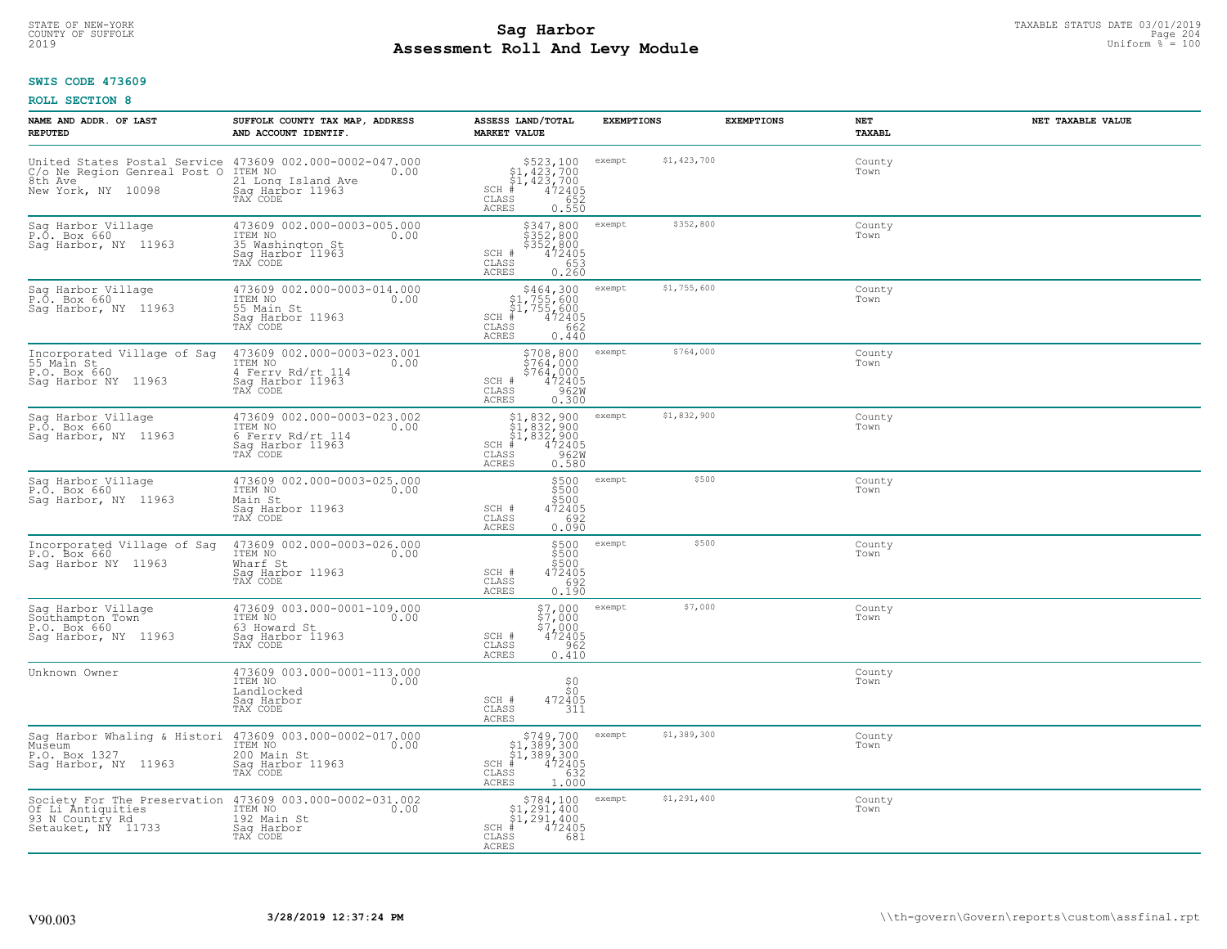# STATE OF NEW-YORK TAXABLE STATUS DATE 03/01/2019<br>204 Page 204 **Sag Harbor** State of Suffolk Page 204 **Assessment Roll And Levy Module** 2019 Uniform % = 100

### **SWIS CODE 473609**

| NAME AND ADDR. OF LAST<br><b>REPUTED</b>                                                                                  | SUFFOLK COUNTY TAX MAP, ADDRESS<br>AND ACCOUNT IDENTIF.                                            | ASSESS LAND/TOTAL<br><b>MARKET VALUE</b>                                                                                                                                                                        | <b>EXEMPTIONS</b>     | <b>EXEMPTIONS</b><br>NET<br><b>TAXABL</b> | NET TAXABLE VALUE |
|---------------------------------------------------------------------------------------------------------------------------|----------------------------------------------------------------------------------------------------|-----------------------------------------------------------------------------------------------------------------------------------------------------------------------------------------------------------------|-----------------------|-------------------------------------------|-------------------|
| United States Postal Service 473609 002.000-0002-047.000<br>C/o Ne Region Genreal Post O<br>8th Ave<br>New York, NY 10098 | ITEM NO<br>0.00<br>21 Long Island Ave<br>Sag Harbor 11963<br>TAX CODE                              | $$523,100$<br>$$1,423,700$<br>$$1,423,700$<br>$472405$<br>$$52$<br>$$652$<br>$SCH$ #<br>CLASS<br>ACRES<br>0.550                                                                                                 | \$1,423,700<br>exempt | County<br>Town                            |                   |
| Sag Harbor Village<br>P.O. Box 660<br>Sag Harbor, NY 11963                                                                | 473609 002.000-0003-005.000<br>ITEM NO<br>0.00<br>35 Washington St<br>Sag Harbor 11963<br>TAX CODE | \$347,800<br>\$352,800<br>\$352,800<br>SCH #<br>472405<br>CLASS<br>653<br>0.260<br>ACRES                                                                                                                        | \$352,800<br>exempt   | County<br>Town                            |                   |
| Sag Harbor Village<br>P.O. Box 660<br>Saq Harbor, NY 11963                                                                | 473609 002.000-0003-014.000<br>ITEM NO<br>0.00<br>55 Main St<br>Sag Harbor 11963<br>TAX CODE       | \$464,300<br>\$1,755,600<br>\$1,755,600<br>$SCH$ #<br>472405<br>662<br>$\mathtt{CLASS}$<br>ACRES<br>0.440                                                                                                       | \$1,755,600<br>exempt | County<br>Town                            |                   |
| Incorporated Village of Sag<br>55 Main St<br>P.O. Box 660<br>Sag Harbor NY 11963                                          | 473609 002.000-0003-023.001<br>ITEM NO<br>0.00<br>4 Ferry Rd/rt 114<br>Saq Harbor 11963            | $$708,800$ exempt<br>$\frac{1}{2}$ $\frac{1}{2}$ $\frac{1}{2}$ $\frac{1}{2}$ $\frac{1}{2}$ $\frac{1}{2}$ $\frac{1}{2}$ $\frac{1}{2}$<br>$$764,000$<br>472405<br>962W<br>SCH #<br>CLASS<br><b>ACRES</b><br>0.300 | \$764,000             | County<br>Town                            |                   |
| Sag Harbor Village<br>P.O. Box 660<br>Sag Harbor, NY 11963                                                                | 473609 002.000-0003-023.002<br>ITEM NO<br>0.00<br>6 Ferry Rd/rt 114<br>Saq Harbor 11963            | $$1,832,900$<br>$$1,832,900$<br>$$1,832,900$<br>$*1,832,900$<br>$*1,832,900$<br>$*12405$<br>$*2962M$<br>$SCH$ #<br>CLASS<br>ACRES<br>0.580                                                                      | \$1,832,900<br>exempt | County<br>Town                            |                   |
| Sag Harbor Village<br>P.O. Box 660<br>Sag Harbor, NY 11963                                                                | 473609 002.000-0003-025.000<br>ITEM NO<br>0.00<br>Main St<br>Sag Harbor 11963<br>TAX CODE          | \$500<br>\$500<br>3500<br>SCH #<br>472405<br>CLASS<br>692<br>ACRES<br>0.090                                                                                                                                     | \$500<br>exempt       | County<br>Town                            |                   |
| Incorporated Village of Sag<br>P.O. Box 660<br>Saq Harbor NY 11963                                                        | 473609 002.000-0003-026.000<br>ITEM NO<br>0.00<br>Wharf St<br>Sag Harbor 11963<br>TAX CODE         | \$500<br>\$500<br>\$500<br>472405<br>SCH #<br>CLASS<br>692<br>0.190<br>ACRES                                                                                                                                    | \$500<br>exempt       | County<br>Town                            |                   |
| Saq Harbor Village<br>Southampton Town<br>P.O. Box 660<br>Saq Harbor, NY 11963                                            | 473609 003.000-0001-109.000<br>ITEM NO<br>0.00<br>63 Howard St<br>Saq Harbor 11963<br>TAX CODE     | \$7,000 exempt<br>\$7,000<br>\$7,000<br>472405<br>SCH #<br>CLASS<br>962<br>ACRES<br>0.410                                                                                                                       | \$7,000               | County<br>Town                            |                   |
| Unknown Owner                                                                                                             | 473609 003.000-0001-113.000<br>ITEM NO<br>0.00<br>Landlocked<br>Saq Harbor<br>TAX CODE             | ${}^{50}_{50}$<br>SCH #<br>472405<br>CLASS<br>311<br><b>ACRES</b>                                                                                                                                               |                       | County<br>Town                            |                   |
| Sag Harbor Whaling & Histori 473609 003.000-0002-017.000<br>Museum<br>P.O. Box 1327<br>Saq Harbor, NY 11963               | ITEM NO<br>0.00<br>200 Main St<br>Sag Harbor 11963<br>TAX CODE                                     | $$749,700$<br>$$1,389,300$<br>$$1,389,300$<br>$*1$<br>$*12405$<br>$SCH$ #<br>632<br>CLASS<br>1.000<br>ACRES                                                                                                     | \$1,389,300<br>exempt | County<br>Town                            |                   |
| Society For The Preservation 473609 003.000-0002-031.002<br>0f Li Antiquities<br>93 N Country Rd<br>Setauket, NY 11733    | ITEM NO<br>0.00<br>192 Main St<br>Sag Harbor<br>TAX CODE                                           | \$784,100<br>$\begin{array}{c} 51,291,400 \\ 51,291,400 \\ 472405 \end{array}$<br>SCH #<br>CLASS<br>681<br>ACRES                                                                                                | \$1,291,400<br>exempt | County<br>Town                            |                   |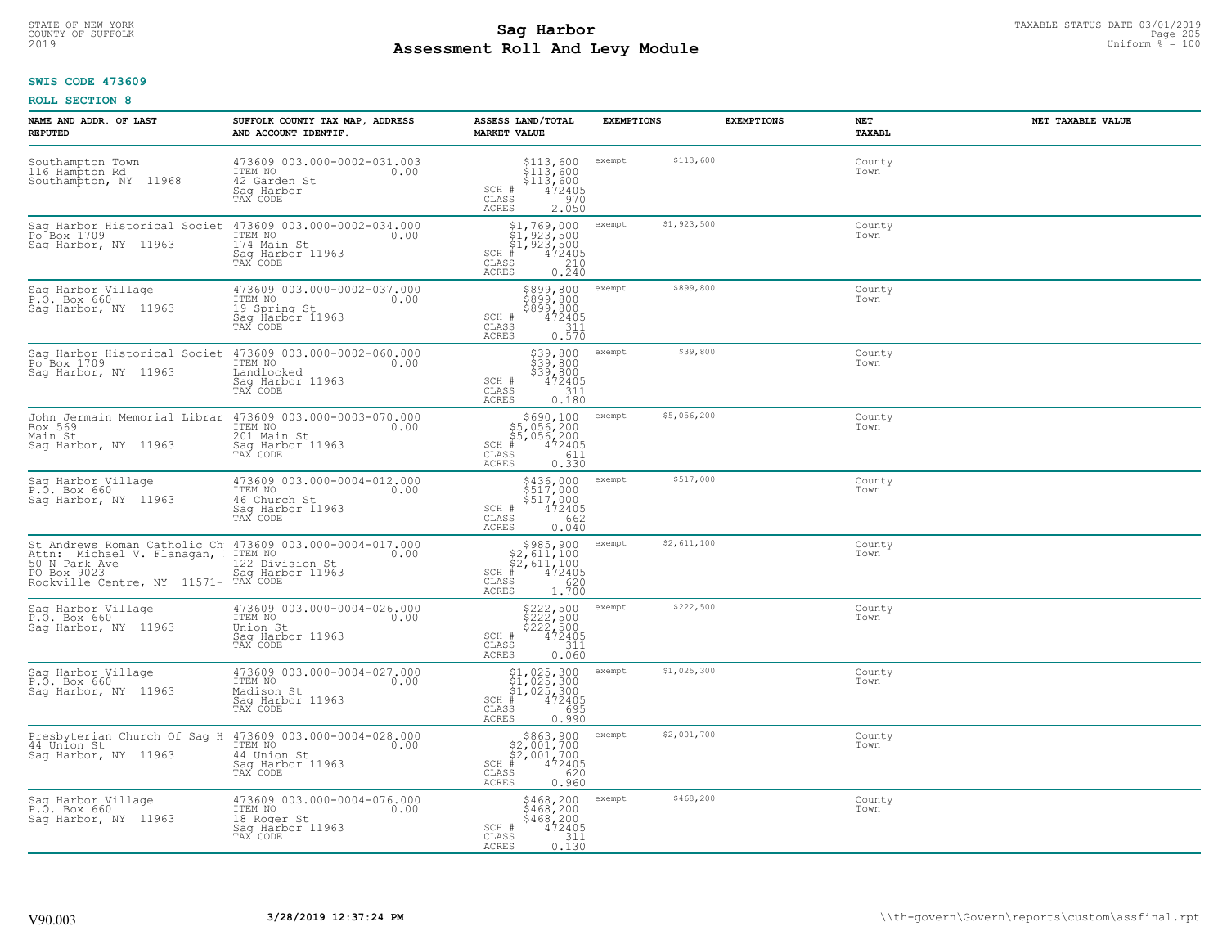# STATE OF NEW-YORK TAXABLE STATUS DATE 03/01/2019<br>COUNTY OF SUFFOLK Page 205 Page 205 **Assessment Roll And Levy Module** 2019 Uniform % = 100

# **SWIS CODE 473609**

| NAME AND ADDR. OF LAST<br><b>REPUTED</b>                                                                                                      | SUFFOLK COUNTY TAX MAP, ADDRESS<br>AND ACCOUNT IDENTIF.                                        | ASSESS LAND/TOTAL<br><b>MARKET VALUE</b>                                                                     | <b>EXEMPTIONS</b>     | <b>EXEMPTIONS</b><br>NET<br>TAXABL | NET TAXABLE VALUE |
|-----------------------------------------------------------------------------------------------------------------------------------------------|------------------------------------------------------------------------------------------------|--------------------------------------------------------------------------------------------------------------|-----------------------|------------------------------------|-------------------|
| Southampton Town<br>116 Hampton Rd<br>Southampton, NY 11968                                                                                   | 473609 003.000-0002-031.003<br>ITEM NO 0.00<br>42 Garden St<br>Saq Harbor<br>TAX CODE          | \$113,600<br>\$113,600<br>\$113,600<br>\$172405<br>\$270<br>SCH #<br>CLASS<br>ACRES<br>2.050                 | \$113,600<br>exempt   | County<br>Town                     |                   |
| Sag Harbor Historical Societ 473609 003.000-0002-034.000<br>Po Box 1709<br>Sag Harbor, NY 11963                                               | ITEM NO<br>0.00<br>174 Main St<br>Saq Harbor 11963<br>TAX CODE                                 | \$1,769,000<br>\$1,923,500<br>\$1,923,500<br>#472405<br>$SCH$ #<br>$\frac{210}{0.240}$<br>CLASS<br>ACRES     | \$1,923,500<br>exempt | County<br>Town                     |                   |
| Sag Harbor Village<br>P.O. Box 660<br>Sag Harbor, NY 11963                                                                                    | 473609 003.000-0002-037.000<br>ITEM NO<br>0.00<br>19 Spring St<br>Saq Harbor 11963<br>TAX CODE | \$899,800<br>\$899,800<br>\$899,800<br>$\frac{472405}{311}$<br>SCH #<br>CLASS<br>ACRES<br>0.570              | \$899,800<br>exempt   | County<br>Town                     |                   |
| Sag Harbor Historical Societ<br>Po Box 1709<br>Saq Harbor, NY 11963                                                                           | 473609 003.000-0002-060.000<br>ITEM NO<br>0.00<br>Landlocked<br>Saq Harbor 11963<br>TAX CODE   | $$39,800$<br>$$39,800$<br>$$39,800$<br>SCH #<br>472405<br>CLASS<br>311<br>ACRES<br>0.180                     | \$39,800<br>exempt    | County<br>Town                     |                   |
| John Jermain Memorial Librar 473609 003.000-0003-070.000<br>Box 569<br>Main St<br>Saq Harbor, NY 11963                                        | ITEM NO<br>0.00<br>201 Main St<br>Saq Harbor 11963<br>TAX CODE                                 | \$690,100<br>\$5,056,200<br>\$5,056,200<br>-- 472405<br>$SCH$ #<br>$\mathtt{CLASS}$<br>611<br>0.330<br>ACRES | \$5,056,200<br>exempt | County<br>Town                     |                   |
| Sag Harbor Village<br>P.O. Box 660<br>Sag Harbor, NY 11963                                                                                    | 473609 003.000-0004-012.000<br>ITEM NO<br>0.00<br>46 Church St<br>Sag Harbor 11963<br>TAX CODE | \$436,000<br>\$517,000<br>\$517,000<br>472405<br>662<br>SCH #<br>CLASS<br>0.040<br>ACRES                     | \$517,000<br>exempt   | County<br>Town                     |                   |
| St Andrews Roman Catholic Ch 473609 003.000-0004-017.000<br>Attn: Michael V. Flanagan,<br>PO Box 9023<br>Rockville Centre, NY 11571- TAX CODE | ITEM NO<br>0.00<br>122 Division St<br>Saq Harbor 11963                                         | $$2,611,100$<br>$$2,611,100$<br>$$2,611,100$<br>$472405$<br>$SCH$ #<br>CLASS<br>620<br>1.700<br>ACRES        | \$2,611,100<br>exempt | County<br>Town                     |                   |
| Sag Harbor Village<br>P.O. Box 660<br>Saq Harbor, NY 11963                                                                                    | 473609 003.000-0004-026.000<br>ITEM NO<br>0.00<br>Union St<br>Saq Harbor 11963<br>TAX CODE     | $$222,500$<br>$$222,500$<br>$$222,500$<br>$472405$<br>$$311$<br>SCH #<br>CLASS<br>ACRES<br>0.060             | \$222,500<br>exempt   | County<br>Town                     |                   |
| Sag Harbor Village<br>P.O. Box 660<br>Sag Harbor, NY 11963                                                                                    | 473609 003.000-0004-027.000<br>TTEM NO 0.00<br>Madison St<br>Saq Harbor 11963<br>TAX CODE      | \$1,025,300<br>\$1,025,300<br>\$1,025,300<br># 472405<br>\$8 695<br>$SCH$ #<br>CLASS<br>ACRES<br>0.990       | \$1,025,300<br>exempt | County<br>Town                     |                   |
| Presbyterian Church Of Saq H 473609 003.000-0004-028.000<br>44 Union St<br>Sag Harbor, NY 11963                                               | ITEM NO<br>0.00<br>44 Union St<br>Sag Harbor 11963<br>TAX CODE                                 | $$863,900$<br>$$2,001,700$<br>$$2,001,700$<br>$SCH$ #<br>472405<br>620<br>CLASS<br>0.960<br>ACRES            | \$2,001,700<br>exempt | County<br>Town                     |                   |
| Sag Harbor Village<br>P.O. Box 660<br>Saq Harbor, NY 11963                                                                                    | 473609 003.000-0004-076.000<br>ITEM NO<br>0.00<br>18 Roger St<br>Saq Harbor 11963<br>TAX CODE  | \$468,200<br>\$468,200<br>\$468,200<br>472405<br>SCH #<br>CLASS<br>311<br>0.130<br>ACRES                     | \$468,200<br>exempt   | County<br>Town                     |                   |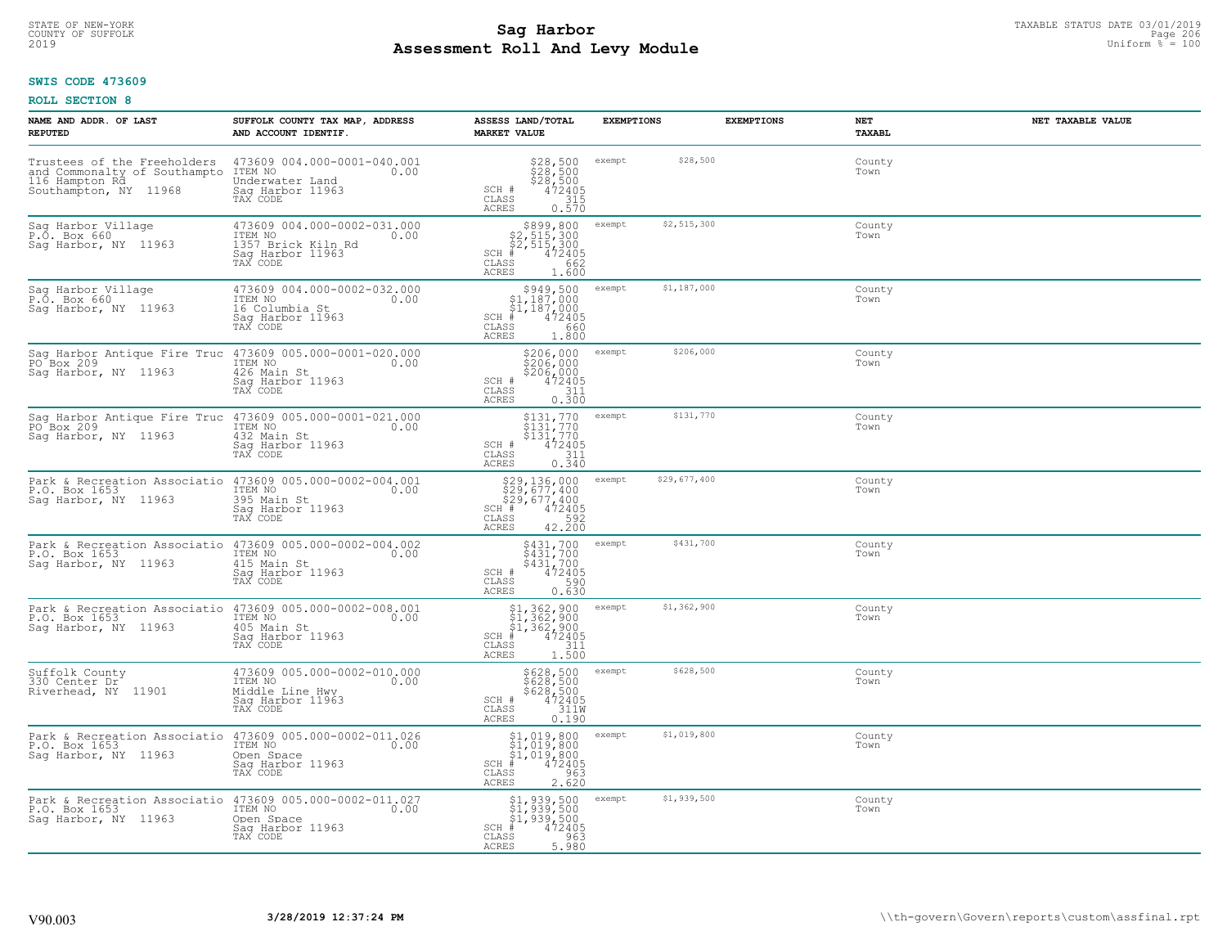# STATE OF NEW-YORK TAXABLE STATUS DATE 03/01/2019<br>COUNTY OF SUFFOLK Page 206 Page 206 **Assessment Roll And Levy Module** 2019 Uniform % = 100

# **SWIS CODE 473609**

| NAME AND ADDR. OF LAST<br><b>REPUTED</b>                                                                | SUFFOLK COUNTY TAX MAP, ADDRESS<br>AND ACCOUNT IDENTIF.                                              | ASSESS LAND/TOTAL<br><b>MARKET VALUE</b>                                                                                        | <b>EXEMPTIONS</b>      | <b>EXEMPTIONS</b><br>NET | NET TAXABLE VALUE<br>TAXABL |
|---------------------------------------------------------------------------------------------------------|------------------------------------------------------------------------------------------------------|---------------------------------------------------------------------------------------------------------------------------------|------------------------|--------------------------|-----------------------------|
| Trustees of the Freeholders<br>and Commonalty of Southampto<br>116 Hampton Rd.<br>Southampton, NY 11968 | 473609 004.000-0001-040.001<br>0.00 0.00<br>Underwater Land<br>Sag Harbor 11963<br>TAX CODE          | $$28,500$<br>$$28,500$<br>$$28,500$<br>$472405$<br>$$315$<br>SCH #<br>CLASS<br>ACRES<br>0.570                                   | \$28,500<br>exempt     |                          | County<br>Town              |
| Sag Harbor Village<br>P.O. Box 660<br>Sag Harbor, NY 11963                                              | 473609 004.000-0002-031.000<br>ITEM NO<br>1357 Brick Kiln Rd<br>Sag Harbor 11963<br>0.00<br>TAX CODE | $$899, 800$<br>$$2, 515, 300$<br>$$2, 515, 300$<br>$*1 472405$<br>$SCH$ #<br>CLASS<br>662<br>1.600<br>ACRES                     | \$2,515,300<br>exempt  |                          | County<br>Town              |
| Sag Harbor Village<br>P.O. Box 660<br>Sag Harbor, NY 11963                                              | 473609 004.000-0002-032.000<br>ITEM NO<br>0.00<br>16 Columbia St<br>Sag Harbor 11963<br>TAX CODE     | \$949,500<br>\$1,187,000<br>\$1,187,000<br>$SCH$ #<br>472405<br>CLASS<br>660<br>ACRES<br>1,800                                  | \$1,187,000<br>exempt  |                          | County<br>Town              |
| Sag Harbor Antique Fire Truc 473609 005.000-0001-020.000<br>PO Box 209<br>Saq Harbor, NY 11963          | ITEM NO<br>0.00<br>426 Main St<br>Saq Harbor 11963<br>TAX CODE                                       | \$206,000<br>\$206,000<br>\$206,000<br>SCH #<br>$\begin{array}{r} 472405 \\ 311 \\ 0.300 \end{array}$<br>CLASS<br>ACRES         | \$206,000<br>exempt    |                          | County<br>Town              |
| Sag Harbor Antique Fire Truc<br>PO Box 209<br>Saq Harbor, NY 11963                                      | 473609 005.000-0001-021.000<br>ITEM NO<br>0.00<br>432 Main St<br>Saq Harbor 11963<br>TAX CODE        | \$131,770<br>\$131,770<br>$\begin{array}{r} \n 5131, 770 \\  472405 \\  311 \\  0.340\n \end{array}$<br>SCH #<br>CLASS<br>ACRES | \$131,770<br>exempt    |                          | County<br>Town              |
| Park & Recreation Associatio 473609 005.000-0002-004.001<br>P.O. Box 1653<br>Sag Harbor, NY 11963       | ITEM NO<br>0.00<br>395 Main St<br>Sag Harbor 11963<br>TAX CODE                                       | \$29,136,000<br>\$29,677,400<br>\$29,677,400<br>##472405<br>SCH #<br>42.200<br>CLASS<br>ACRES                                   | \$29,677,400<br>exempt |                          | County<br>Town              |
| Park & Recreation Associatio<br>P.O. Box 1653<br>Saq Harbor, NY 11963                                   | 473609 005.000-0002-004.002<br>ITEM NO<br>0.00<br>415 Main St<br>Sag Harbor 11963<br>TAX CODE        | \$431,700<br>\$431,700<br>\$431,700<br>472405<br>SCH #<br>$\mathtt{CLASS}$<br>0.630<br>ACRES                                    | \$431,700<br>exempt    |                          | County<br>Town              |
| Park & Recreation Associatio 473609 005.000-0002-008.001<br>P.O. Box 1653<br>Saq Harbor, NY 11963       | 405 Main St<br>Sag Harbor 11963<br>TAX CODE                                                          | $$1,362,900$<br>$$1,362,900$<br>$$1,362,900$<br>$472405$<br>$352$<br>$111$<br>$SCH$ #<br>CLASS<br>1.500<br>ACRES                | \$1,362,900<br>exempt  |                          | County<br>Town              |
| Suffolk County<br>330 Center Dr<br>Riverhead, NY 11901                                                  | 473609 005.000-0002-010.000<br>ITEM NO<br>0.00<br>Middle Line Hwy<br>Saq Harbor 11963<br>TAX CODE    | \$628,500<br>\$628,500<br>\$628,500<br>\$472405<br>\$11M<br>SCH #<br>$\mathtt{CLASS}$<br><b>ACRES</b><br>0.190                  | \$628,500<br>exempt    |                          | County<br>Town              |
| Park & Recreation Associatio 473609 005.000-0002-011.026<br>P.O. Box 1653<br>Sag Harbor, NY 11963       | ITEM NO<br>0.00<br>Open Space<br>Sag Harbor 11963<br>TAX CODE                                        | $$1,019,800$<br>$$1,019,800$<br>$$1,019,800$<br>472405<br>$SCH$ #<br>963<br>CLASS<br>2.620<br><b>ACRES</b>                      | \$1,019,800<br>exempt  |                          | County<br>Town              |
| Park & Recreation Associatio 473609 005.000-0002-011.027<br>P.O. Box 1653<br>Saq Harbor, NY 11963       | ITEM NO<br>0.00<br>Open Space<br>Sag Harbor 11963<br>TAX CODE                                        | \$1,939,500<br>\$1,939,500<br>\$1,939,500<br>SCH #<br>472405<br>CLASS<br>963<br>5.980<br>ACRES                                  | \$1,939,500<br>exempt  |                          | County<br>Town              |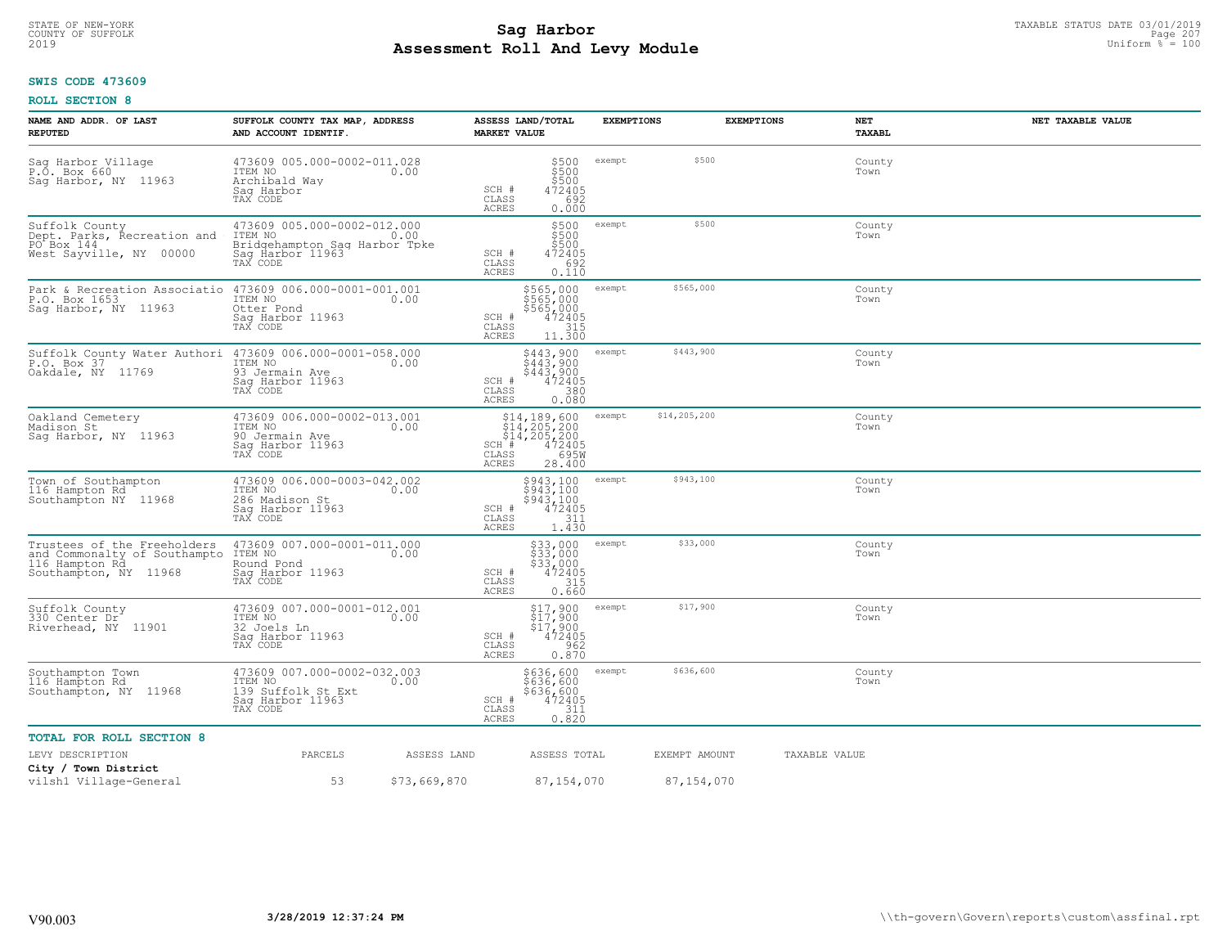#### **SWIS CODE 473609**

| NAME AND ADDR. OF LAST<br><b>REPUTED</b>                                                                               | SUFFOLK COUNTY TAX MAP, ADDRESS<br>AND ACCOUNT IDENTIF.                                                                         | ASSESS LAND/TOTAL<br><b>MARKET VALUE</b>                                                                                                | <b>EXEMPTIONS</b>                                                            |               | <b>EXEMPTIONS</b><br>NET<br>TAXABL | NET TAXABLE VALUE |
|------------------------------------------------------------------------------------------------------------------------|---------------------------------------------------------------------------------------------------------------------------------|-----------------------------------------------------------------------------------------------------------------------------------------|------------------------------------------------------------------------------|---------------|------------------------------------|-------------------|
| Sag Harbor Village<br>P.O. Box 660<br>Saq Harbor, NY 11963                                                             | 473609 005.000-0002-011.028<br>ITEM NO<br>0.00<br>Archibald Way<br>Sag Harbor<br>TAX CODE                                       | SCH #<br>CLASS<br><b>ACRES</b>                                                                                                          | exempt<br>\$500<br>\$500<br>\$500<br>472405<br>692<br>0.000                  | \$500         | County<br>Town                     |                   |
| Suffolk County<br>Dept. Parks, Recreation and<br>PO Box 144<br>West Sayville, NY 00000                                 | 473609 005.000-0002-012.000<br>TTEM NO 0.00<br>ITEM NO<br>0.00<br>Bridgehampton Saq Harbor Tpke<br>Sag Harbor 11963<br>TAX CODE | SCH #<br>CLASS<br><b>ACRES</b>                                                                                                          | \$500<br>exempt<br>\$500<br>\$500<br>472405<br>692<br>0.110                  | \$500         | County<br>Town                     |                   |
| Park & Recreation Associatio 473609 006.000-0001-001.001<br>P.O. Box 1653<br>Sag Harbor, NY 11963                      | ITEM NO<br>0.00<br>Otter Pond<br>Sag Harbor 11963<br>TAX CODE                                                                   | \$565,000<br>\$565,000<br>\$565,000<br>472405<br>315<br>SCH #<br>CLASS<br><b>ACRES</b>                                                  | exempt<br>11.300                                                             | \$565,000     | County<br>Town                     |                   |
| Suffolk County Water Authori<br>P.O. Box 37<br>Oakdale, NY 11769                                                       | 473609 006.000-0001-058.000<br>1TEM NO 0.00<br>93 Jermain Ave<br>Saq Harbor 11963<br>TAX CODE                                   | \$443,900<br>\$443,900<br>SCH #<br>CLASS<br>ACRES                                                                                       | exempt<br>$$443,900$<br>$472405$<br>380<br>0.080                             | \$443,900     | County<br>Town                     |                   |
| Oakland Cemetery<br>Madison St<br>Saq Harbor, NY 11963                                                                 | 473609 006.000-0002-013.001<br>ITEM NO 0.00<br>90 Jermain Ave<br>Saq Harbor 11963<br>TAX CODE                                   | $514, 189, 600$<br>$514, 205, 200$<br>$514, 205, 200$<br>$14, 205, 200$<br>$472405$<br>$595$<br>$295$<br>SCH #<br>CLASS<br><b>ACRES</b> | exempt<br>28.400                                                             | \$14,205,200  | County<br>Town                     |                   |
| Town of Southampton<br>116 Hampton Rd<br>Southampton NY 11968                                                          | 473609 006.000-0003-042.002<br>ITEM NO<br>0.00<br>286 Madison St<br>Sag Harbor 11963<br>TAX CODE                                | \$943,100<br>SCH #<br>CLASS<br><b>ACRES</b>                                                                                             | exempt<br>$\frac{5943,100}{943,100}$<br>$\frac{472405}{993}$<br>311<br>1.430 | \$943,100     | County<br>Town                     |                   |
| Trustees of the Freeholders<br>and Commonalty of Southampto ITEM NO<br>116 Hampton Rd Round P<br>Southampton, NY 11968 | 473609 007.000-0001-011.000<br>0.00<br>Round Pond<br>Sag Harbor 11963<br>TAX CODE                                               | SCH #<br>CLASS<br><b>ACRES</b>                                                                                                          | \$33,000<br>exempt<br>$\frac{2533,000}{333,000}$<br>315<br>0.660             | \$33,000      | County<br>Town                     |                   |
| Suffolk County<br>330 Center Dr<br>Riverhead, NY 11901                                                                 | 473609 007.000-0001-012.001<br>ITEM NO<br>0.00<br>32 Joels Ln<br>Saq Harbor 11963<br>TAX CODE                                   | SCH #<br>CLASS<br>ACRES                                                                                                                 | exempt<br>$$17,900$<br>$$17,900$<br>$$17,900$<br>$472405$<br>962<br>0.870    | \$17,900      | County<br>Town                     |                   |
| Southampton Town<br>116 Hampton Rd<br>Southampton, NY 11968                                                            | 473609 007.000-0002-032.003<br>ITEM NO<br>0.00<br>139 Suffolk St Ext<br>Sag Harbor 11963<br>TAX CODE                            | \$636,600<br>\$636,600<br>SCH #<br>CLASS<br><b>ACRES</b>                                                                                | exempt<br>\$636,600<br>472405<br>311<br>0.820                                | \$636,600     | County<br>Town                     |                   |
| <b>TOTAL FOR ROLL SECTION 8</b>                                                                                        |                                                                                                                                 |                                                                                                                                         |                                                                              |               |                                    |                   |
| LEVY DESCRIPTION                                                                                                       | PARCELS                                                                                                                         | ASSESS LAND                                                                                                                             | ASSESS TOTAL                                                                 | EXEMPT AMOUNT | TAXABLE VALUE                      |                   |
| City / Town District<br>vilsh1 Village-General                                                                         | 53                                                                                                                              | \$73,669,870                                                                                                                            | 87, 154, 070                                                                 | 87, 154, 070  |                                    |                   |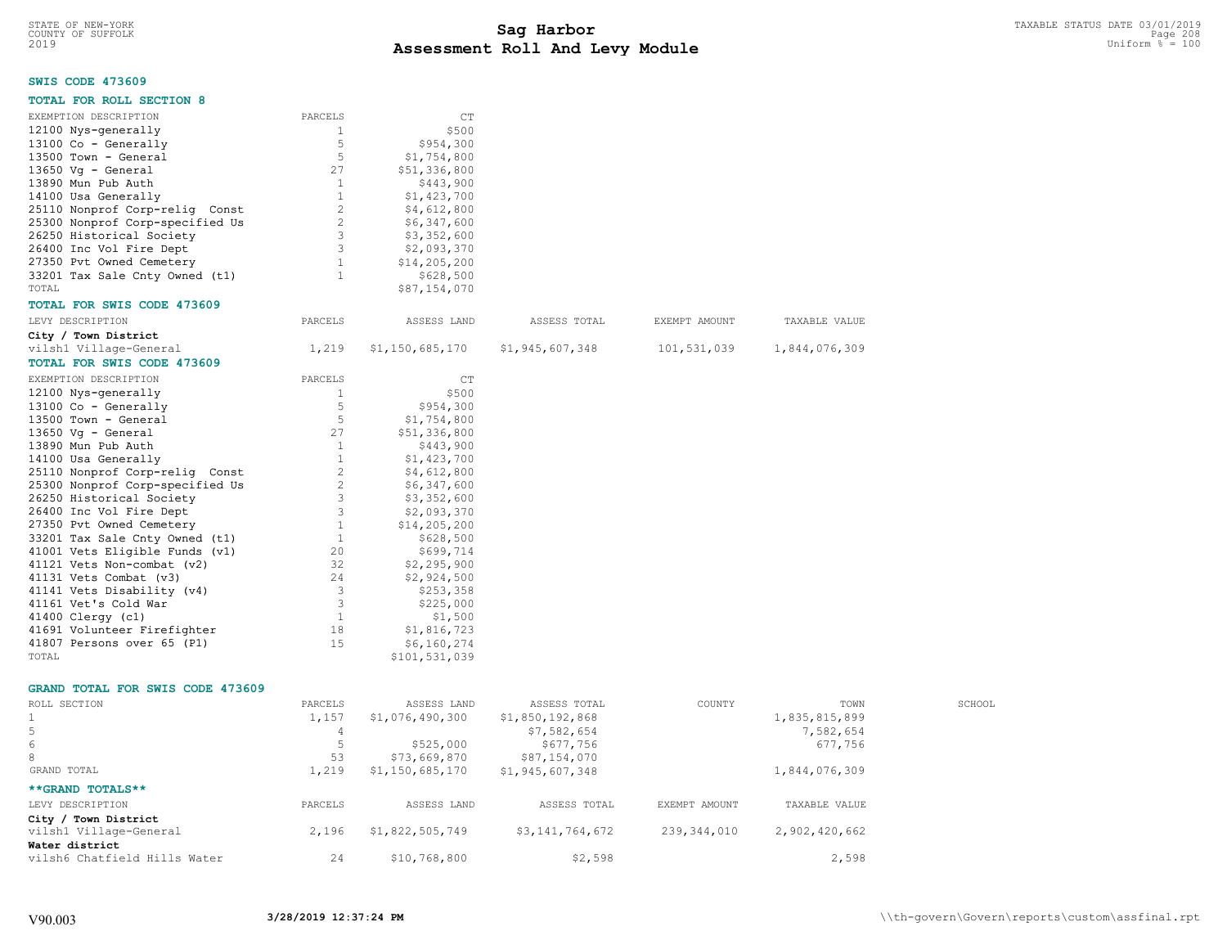# **SWIS CODE 473609**

| <b>TOTAL FOR ROLL SECTION 8</b>         |              |                 |                 |               |               |
|-----------------------------------------|--------------|-----------------|-----------------|---------------|---------------|
| EXEMPTION DESCRIPTION                   | PARCELS      | CT              |                 |               |               |
| 12100 Nys-generally                     | 1            | \$500           |                 |               |               |
| 13100 Co - Generally                    | 5            | \$954,300       |                 |               |               |
| 13500 Town - General                    | 5            | \$1,754,800     |                 |               |               |
| $13650$ Vq - General                    | 27           | \$51,336,800    |                 |               |               |
| 13890 Mun Pub Auth                      | 1            | \$443,900       |                 |               |               |
| 14100 Usa Generally                     | $\mathbf{1}$ | \$1,423,700     |                 |               |               |
| 25110 Nonprof Corp-relig Const          | 2            | \$4,612,800     |                 |               |               |
| 25300 Nonprof Corp-specified Us         | 2            | \$6,347,600     |                 |               |               |
| 26250 Historical Society                | 3            | \$3,352,600     |                 |               |               |
| 26400 Inc Vol Fire Dept                 | 3            | \$2,093,370     |                 |               |               |
| 27350 Pvt Owned Cemetery                | $\mathbf{1}$ | \$14,205,200    |                 |               |               |
| 33201 Tax Sale Cnty Owned (t1)          | 1            | \$628,500       |                 |               |               |
| TOTAL                                   |              | \$87,154,070    |                 |               |               |
| TOTAL FOR SWIS CODE 473609              |              |                 |                 |               |               |
| LEVY DESCRIPTION                        | PARCELS      | ASSESS LAND     | ASSESS TOTAL    | EXEMPT AMOUNT | TAXABLE VALUE |
| City / Town District                    |              |                 |                 |               |               |
| vilsh1 Village-General                  | 1,219        | \$1,150,685,170 | \$1,945,607,348 | 101,531,039   | 1,844,076,309 |
| <b>TOTAL FOR SWIS CODE 473609</b>       |              |                 |                 |               |               |
| EXEMPTION DESCRIPTION                   | PARCELS      | CT              |                 |               |               |
| 12100 Nys-generally                     | $\mathbf{1}$ | \$500           |                 |               |               |
| 13100 Co - Generally                    | 5            | \$954,300       |                 |               |               |
| 13500 Town - General                    | 5            | \$1,754,800     |                 |               |               |
| 13650 Vq - General                      | 27           | \$51,336,800    |                 |               |               |
| 13890 Mun Pub Auth                      | 1            | \$443,900       |                 |               |               |
| 14100 Usa Generally                     | $\mathbf{1}$ | \$1,423,700     |                 |               |               |
| 25110 Nonprof Corp-relig Const          | 2            | \$4,612,800     |                 |               |               |
| 25300 Nonprof Corp-specified Us         | 2            | \$6,347,600     |                 |               |               |
| 26250 Historical Society                | 3            | \$3,352,600     |                 |               |               |
| 26400 Inc Vol Fire Dept                 | 3            | \$2,093,370     |                 |               |               |
| 27350 Pvt Owned Cemetery                | 1            | \$14,205,200    |                 |               |               |
| 33201 Tax Sale Cnty Owned (t1)          | $\mathbf{1}$ | \$628,500       |                 |               |               |
| 41001 Vets Eligible Funds (v1)          | 20           | \$699,714       |                 |               |               |
| 41121 Vets Non-combat (v2)              | 32           | \$2,295,900     |                 |               |               |
| 41131 Vets Combat (v3)                  | 24           | \$2,924,500     |                 |               |               |
| 41141 Vets Disability (v4)              | 3            | \$253,358       |                 |               |               |
| 41161 Vet's Cold War                    | 3            | \$225,000       |                 |               |               |
| 41400 Clergy (c1)                       | <sup>1</sup> | \$1,500         |                 |               |               |
| 41691 Volunteer Firefighter             | 18           | \$1,816,723     |                 |               |               |
| 41807 Persons over 65 (P1)              | 15           | \$6,160,274     |                 |               |               |
| TOTAL                                   |              | \$101,531,039   |                 |               |               |
| <b>GRAND TOTAL FOR SWIS CODE 473609</b> |              |                 |                 |               |               |
| ROLL SECTION                            | PARCELS      | ASSESS LAND     | ASSESS TOTAL    | COUNTY        | TOWN          |
| 1                                       | 1,157        | \$1,076,490,300 | \$1,850,192,868 |               | 1,835,815,899 |

| ROLL SECTION                 | PARCELS | ASSESS LAND     | ASSESS TOTAL    | COUNTY        | TOWN          | SCHOOL |
|------------------------------|---------|-----------------|-----------------|---------------|---------------|--------|
|                              | 1,157   | \$1,076,490,300 | \$1,850,192,868 |               | 1,835,815,899 |        |
|                              |         |                 | \$7,582,654     |               | 7,582,654     |        |
| 6                            |         | \$525,000       | \$677,756       |               | 677,756       |        |
| 8                            | 53      | \$73,669,870    | \$87,154,070    |               |               |        |
| GRAND TOTAL                  | 1,219   | \$1,150,685,170 | \$1,945,607,348 |               | 1,844,076,309 |        |
| **GRAND TOTALS**             |         |                 |                 |               |               |        |
| LEVY DESCRIPTION             | PARCELS | ASSESS LAND     | ASSESS TOTAL    | EXEMPT AMOUNT | TAXABLE VALUE |        |
| City / Town District         |         |                 |                 |               |               |        |
| vilsh1 Village-General       | 2,196   | \$1,822,505,749 | \$3,141,764,672 | 239,344,010   | 2,902,420,662 |        |
| Water district               |         |                 |                 |               |               |        |
| vilsh6 Chatfield Hills Water | 24      | \$10,768,800    | \$2,598         |               | 2,598         |        |
|                              |         |                 |                 |               |               |        |